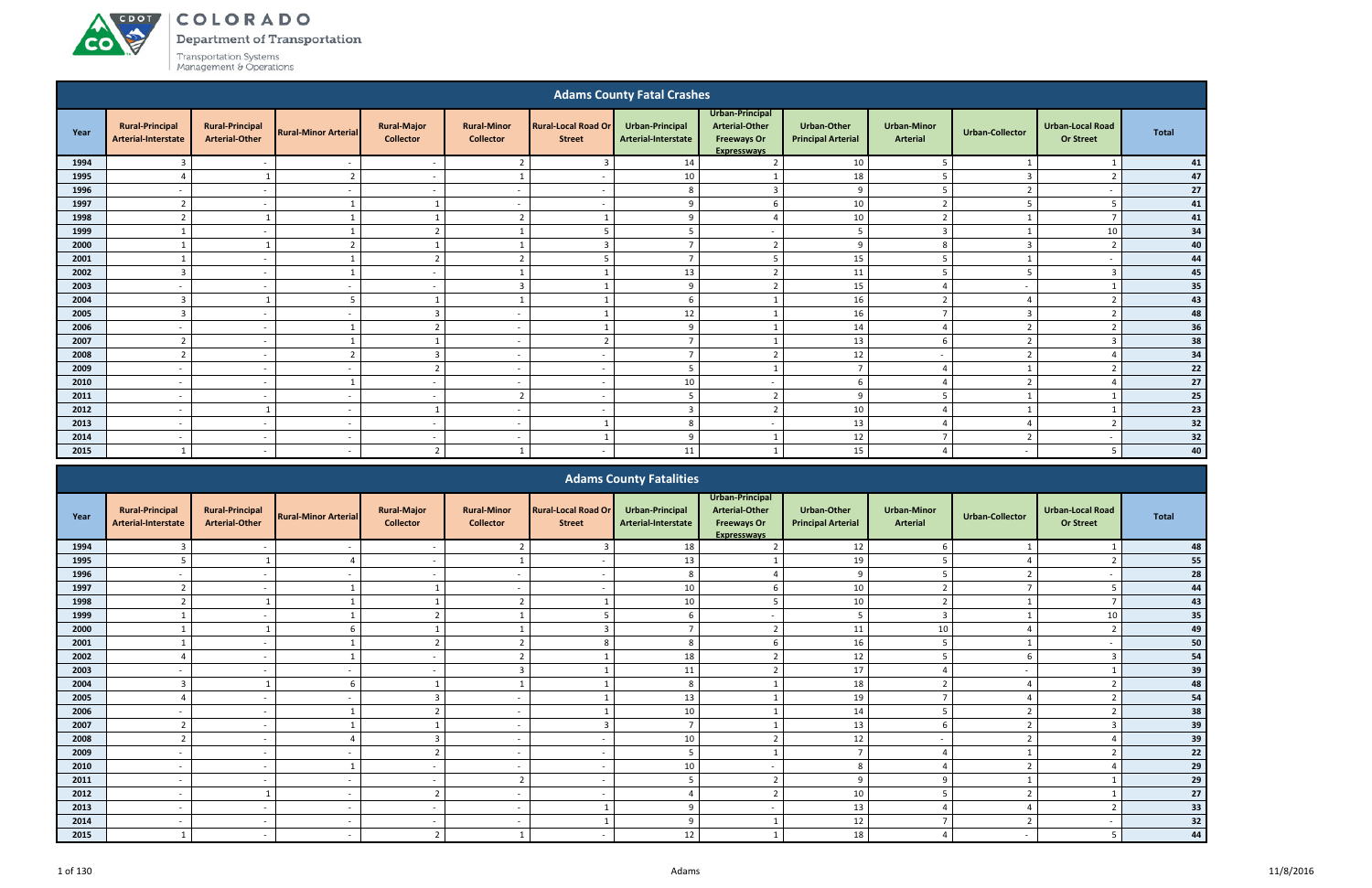#### ACDOT COLORADO

Department of Transportation

Transportation Systems<br>Management & Operations

**CO** 

|      |                                               |                                                 |                             |                                        |                                        |                                             | <b>Adams County Fatal Crashes</b>      |                                                                                      |                                                 |                                |                          |                                             |              |
|------|-----------------------------------------------|-------------------------------------------------|-----------------------------|----------------------------------------|----------------------------------------|---------------------------------------------|----------------------------------------|--------------------------------------------------------------------------------------|-------------------------------------------------|--------------------------------|--------------------------|---------------------------------------------|--------------|
| Year | <b>Rural-Principal</b><br>Arterial-Interstate | <b>Rural-Principal</b><br><b>Arterial-Other</b> | <b>Rural-Minor Arterial</b> | <b>Rural-Major</b><br><b>Collector</b> | <b>Rural-Minor</b><br><b>Collector</b> | <b>Rural-Local Road Or</b><br><b>Street</b> | Urban-Principal<br>Arterial-Interstate | Urban-Principal<br><b>Arterial-Other</b><br><b>Freeways Or</b><br><b>Expresswavs</b> | <b>Urban-Other</b><br><b>Principal Arterial</b> | <b>Urban-Minor</b><br>Arterial | <b>Urban-Collector</b>   | <b>Urban-Local Road</b><br><b>Or Street</b> | <b>Total</b> |
| 1994 | 3                                             | $\overline{\phantom{a}}$                        | $\overline{\phantom{a}}$    | $\sim$                                 | 2 <sup>1</sup>                         | $\overline{3}$                              | 14                                     | $\overline{2}$                                                                       | 10                                              | 5                              |                          |                                             | 41           |
| 1995 |                                               |                                                 | $\overline{2}$              | $\sim$                                 |                                        | $\overline{a}$                              | $10\,$                                 |                                                                                      | 18                                              | 5                              | $\mathbf{3}$             | $\overline{z}$                              | 47           |
| 1996 | $\overline{a}$                                | $\overline{\phantom{a}}$                        | $\sim$                      | $\sim$                                 | $\overline{a}$                         | $\sim$                                      | 8                                      | $\overline{3}$                                                                       | 9                                               | -5                             | ຳ                        | $\overline{a}$                              | 27           |
| 1997 | $\overline{2}$                                | $\sim$                                          |                             |                                        | $\sim$                                 | $\sim$                                      | q                                      | 6                                                                                    | $10\,$                                          | $\overline{2}$                 |                          |                                             | 41           |
| 1998 | $\mathbf{r}$                                  |                                                 |                             |                                        | $\overline{2}$                         |                                             | q                                      | $\Delta$                                                                             | 10                                              | $\overline{2}$                 |                          | $\mathbf{\tau}$                             | 41           |
| 1999 |                                               | $\overline{\phantom{a}}$                        |                             | $\overline{2}$                         |                                        | -5                                          |                                        | $\overline{\phantom{a}}$                                                             | 5                                               | $\overline{3}$                 |                          | 10                                          | 34           |
| 2000 |                                               |                                                 | h                           |                                        |                                        | $\mathbf{R}$                                |                                        | $\overline{2}$                                                                       | 9                                               | 8                              |                          | ຳ                                           | 40           |
| 2001 |                                               | $\sim$                                          |                             | $\overline{2}$                         | $\overline{2}$                         | 5                                           | $\overline{ }$                         | -5                                                                                   | 15                                              | -5                             |                          | $\overline{\phantom{a}}$                    | 44           |
| 2002 | $\overline{3}$                                | $\sim$                                          |                             | $\sim$                                 | $\mathbf{1}$                           |                                             | 13                                     | $\overline{2}$                                                                       | $11\,$                                          | -5                             |                          | $\overline{3}$                              | 45           |
| 2003 | $\overline{\phantom{0}}$                      | $\overline{\phantom{a}}$                        |                             | $\sim$                                 | $\overline{3}$                         |                                             | $\mathsf{q}$                           | $\overline{2}$                                                                       | 15                                              | ⊿                              | $\overline{\phantom{a}}$ |                                             | 35           |
| 2004 | $\overline{3}$                                |                                                 | 5                           |                                        |                                        |                                             | 6                                      |                                                                                      | 16                                              | $\overline{2}$                 |                          |                                             | 43           |
| 2005 | 3                                             | $\sim$                                          | $\sim$                      | 3                                      | $\overline{\phantom{a}}$               |                                             | 12                                     |                                                                                      | 16                                              | $\mathbf{\tau}$                | 3                        | ຳ                                           | 48           |
| 2006 | $\overline{\phantom{a}}$                      | $\overline{a}$                                  |                             | $\overline{\phantom{a}}$               | $\overline{\phantom{a}}$               |                                             | $\mathbf{q}$                           |                                                                                      | 14                                              | $\Delta$                       | $\mathbf{r}$             | ຳ                                           | 36           |
| 2007 | $\overline{2}$                                | $\overline{\phantom{a}}$                        |                             |                                        | $\overline{\phantom{a}}$               | $\overline{2}$                              | $\overline{ }$                         |                                                                                      | 13                                              | 6                              | ຳ                        | -3                                          | 38           |
| 2008 | $\overline{2}$                                | $\overline{\phantom{a}}$                        | $\overline{2}$              | $\overline{3}$                         | $\overline{\phantom{a}}$               | $\overline{\phantom{a}}$                    | -                                      | $\overline{2}$                                                                       | 12                                              | $\sim$                         | ຳ                        |                                             | 34           |
| 2009 | $\sim$                                        | $\sim$                                          | $\sim$                      | $\overline{2}$                         | $\sim$                                 | $\sim$                                      | 5                                      |                                                                                      | $\overline{7}$                                  | -4                             |                          | ຳ                                           | 22           |
| 2010 | $\overline{\phantom{a}}$                      | $\sim$                                          |                             | $\sim$                                 | $\overline{a}$                         | $\sim$                                      | 10                                     | $\overline{a}$                                                                       | 6                                               | $\Delta$                       | $\mathcal{D}$            |                                             | 27           |
| 2011 | $\overline{\phantom{a}}$                      | $\overline{\phantom{a}}$                        | $\overline{\phantom{a}}$    | $\sim$                                 | $\overline{2}$                         | $\sim$                                      | 5                                      | $\overline{2}$                                                                       | 9                                               | 5                              |                          |                                             | 25           |
| 2012 | $\overline{\phantom{a}}$                      |                                                 | $\overline{\phantom{a}}$    |                                        | $\overline{\phantom{a}}$               | $\overline{\phantom{a}}$                    | 3                                      | $\overline{2}$                                                                       | 10                                              |                                |                          |                                             | 23           |
| 2013 | $\overline{\phantom{a}}$                      | $\sim$                                          | $\sim$                      | $\sim$                                 | $\sim$                                 |                                             | 8                                      | $\overline{a}$                                                                       | 13                                              | $\overline{4}$                 |                          | ຳ                                           | 32           |
| 2014 | $\overline{\phantom{a}}$                      | $\sim$                                          | $\sim$                      | $\sim$                                 | $\overline{\phantom{0}}$               |                                             | q                                      |                                                                                      | 12                                              | $\overline{ }$                 | $\mathbf{r}$             | $\overline{\phantom{a}}$                    | 32           |
| 2015 |                                               |                                                 |                             | $\overline{2}$                         |                                        | $\overline{\phantom{a}}$                    | 11                                     |                                                                                      | 15                                              | $\overline{4}$                 |                          | 5                                           | 40           |

|      |                                               |                                                 |                             |                                        |                                        |                                             | <b>Adams County Fatalities</b>                |                                                                                      |                                                 |                                       |                 |                                             |              |
|------|-----------------------------------------------|-------------------------------------------------|-----------------------------|----------------------------------------|----------------------------------------|---------------------------------------------|-----------------------------------------------|--------------------------------------------------------------------------------------|-------------------------------------------------|---------------------------------------|-----------------|---------------------------------------------|--------------|
| Year | <b>Rural-Principal</b><br>Arterial-Interstate | <b>Rural-Principal</b><br><b>Arterial-Other</b> | <b>Rural-Minor Arterial</b> | <b>Rural-Major</b><br><b>Collector</b> | <b>Rural-Minor</b><br><b>Collector</b> | <b>Rural-Local Road Or</b><br><b>Street</b> | <b>Urban-Principal</b><br>Arterial-Interstate | Urban-Principal<br><b>Arterial-Other</b><br><b>Freeways Or</b><br><b>Expresswavs</b> | <b>Urban-Other</b><br><b>Principal Arterial</b> | <b>Urban-Minor</b><br><b>Arterial</b> | Urban-Collector | <b>Urban-Local Road</b><br><b>Or Street</b> | <b>Total</b> |
| 1994 |                                               |                                                 |                             |                                        | $\mathcal{L}$                          |                                             | 18                                            |                                                                                      | 12                                              |                                       |                 |                                             | 48           |
| 1995 |                                               |                                                 |                             | $\overline{\phantom{0}}$               |                                        |                                             | 13                                            |                                                                                      | 19                                              |                                       |                 |                                             | 55           |
| 1996 | $\overline{\phantom{a}}$                      | $\sim$                                          |                             | $\sim$                                 | $\overline{\phantom{a}}$               | $\overline{\phantom{a}}$                    | 8                                             |                                                                                      | 9                                               |                                       | $\mathcal{L}$   |                                             | 28           |
| 1997 | $\mathbf{r}$                                  |                                                 |                             |                                        | $\overline{\phantom{a}}$               |                                             | 10                                            |                                                                                      | 10                                              | $\mathbf{\Omega}$                     |                 |                                             | 44           |
| 1998 |                                               |                                                 |                             |                                        | $\mathcal{D}$                          |                                             | 10                                            |                                                                                      | 10                                              | $\mathbf{\Omega}$                     |                 |                                             | 43           |
| 1999 |                                               |                                                 |                             |                                        |                                        |                                             |                                               |                                                                                      | 5                                               | $\overline{3}$                        |                 | 10                                          | 35           |
| 2000 |                                               |                                                 |                             |                                        |                                        |                                             |                                               |                                                                                      | 11                                              | 10                                    |                 |                                             | 49           |
| 2001 |                                               | $\sim$                                          |                             |                                        | $\overline{2}$                         |                                             | 8                                             |                                                                                      | 16                                              |                                       |                 |                                             | 50           |
| 2002 |                                               |                                                 |                             | $\sim$                                 | $\overline{2}$                         |                                             | 18                                            |                                                                                      | 12                                              |                                       | 6               |                                             | 54           |
| 2003 |                                               |                                                 |                             | $\sim$                                 | $\mathbf{3}$                           |                                             | 11                                            |                                                                                      | 17                                              |                                       |                 |                                             | 39           |
| 2004 |                                               |                                                 |                             |                                        |                                        |                                             | 8                                             |                                                                                      | 18                                              |                                       |                 |                                             | 48           |
| 2005 |                                               | $\overline{\phantom{a}}$                        |                             |                                        | $\overline{\phantom{a}}$               |                                             | 13                                            |                                                                                      | 19                                              | $\overline{ }$                        |                 |                                             | 54           |
| 2006 |                                               | $\sim$                                          |                             |                                        | $\overline{\phantom{0}}$               |                                             | 10                                            |                                                                                      | 14                                              |                                       | $\overline{2}$  |                                             | 38           |
| 2007 | $\mathcal{L}$                                 | $\overline{\phantom{0}}$                        |                             |                                        | $\overline{\phantom{a}}$               |                                             | $\overline{ }$                                |                                                                                      | 13                                              | 6                                     | $\mathcal{L}$   |                                             | 39           |
| 2008 |                                               |                                                 |                             |                                        | $\overline{\phantom{a}}$               | $\overline{\phantom{a}}$                    | 10                                            |                                                                                      | 12                                              |                                       |                 |                                             | 39           |
| 2009 |                                               |                                                 |                             |                                        |                                        |                                             |                                               |                                                                                      | $\overline{7}$                                  |                                       |                 |                                             | 22           |
| 2010 | $\overline{\phantom{a}}$                      | $\sim$                                          |                             | $\sim$                                 | $\overline{\phantom{a}}$               | $\sim$                                      | 10                                            | $\overline{\phantom{a}}$                                                             | 8                                               |                                       | 2               |                                             | 29           |
| 2011 |                                               |                                                 |                             |                                        | $\overline{2}$                         | $\sim$                                      |                                               |                                                                                      | 9                                               | $\alpha$                              |                 |                                             | 29           |
| 2012 |                                               |                                                 |                             | - 1                                    | $\overline{\phantom{a}}$               | $\overline{\phantom{0}}$                    |                                               |                                                                                      | 10                                              |                                       | $\mathbf{r}$    |                                             | $27$         |
| 2013 |                                               |                                                 |                             | $\sim$                                 |                                        |                                             |                                               |                                                                                      | 13                                              |                                       |                 |                                             | 33           |
| 2014 | $\overline{\phantom{a}}$                      | $\sim$                                          |                             | $\sim$                                 | $\overline{\phantom{a}}$               |                                             |                                               |                                                                                      | 12                                              |                                       |                 |                                             | 32           |
| 2015 |                                               | $\sim$                                          |                             | ຳ                                      |                                        | $\overline{\phantom{a}}$                    | 12                                            |                                                                                      | 18                                              |                                       |                 |                                             | 44           |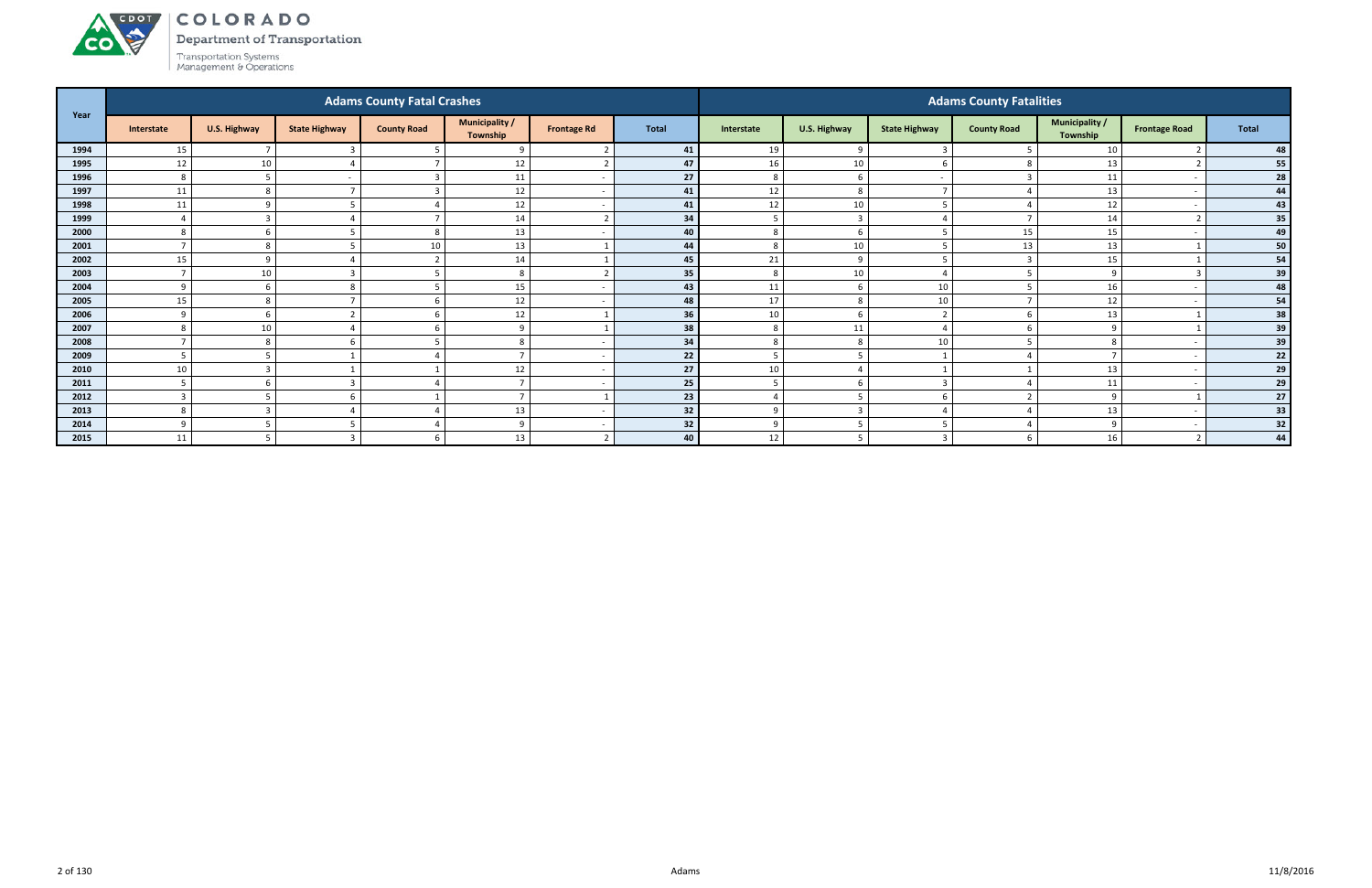Department of Transportation



ACDOT

|      |                |                     |                      | <b>Adams County Fatal Crashes</b> |                                   |                    |              |                 |                |                      | <b>Adams County Fatalities</b> |                            |                      |              |
|------|----------------|---------------------|----------------------|-----------------------------------|-----------------------------------|--------------------|--------------|-----------------|----------------|----------------------|--------------------------------|----------------------------|----------------------|--------------|
| Year | Interstate     | <b>U.S. Highway</b> | <b>State Highway</b> | <b>County Road</b>                | <b>Municipality /</b><br>Township | <b>Frontage Rd</b> | <b>Total</b> | Interstate      | U.S. Highway   | <b>State Highway</b> | <b>County Road</b>             | Municipality /<br>Township | <b>Frontage Road</b> | <b>Total</b> |
| 1994 | 15             |                     |                      |                                   | $\mathbf{q}$                      |                    | 41           | 19              | -9             |                      |                                | 10                         |                      | 48           |
| 1995 | 12             | 10                  |                      |                                   | 12                                |                    | 47           | 16              | 10             | h                    |                                | 13                         |                      | 55           |
| 1996 | 8              | -5                  |                      | 3                                 | 11                                |                    | 27           | 8               | - 6            |                      |                                | 11                         |                      | 28           |
| 1997 | 11             | 8                   |                      | 3                                 | 12                                |                    | 41           | 12              | 8              |                      |                                | 13                         |                      | 44           |
| 1998 | 11             | $\Omega$            |                      |                                   | $12\,$                            |                    | 41           | 12              | 10             |                      |                                | 12                         |                      | 43           |
| 1999 |                | ຳ                   |                      |                                   | 14                                |                    | 34           | 5               | $\mathbf{R}$   |                      |                                | 14                         |                      | 35           |
| 2000 | 8              | -6                  |                      | 8                                 | 13                                |                    | 40           | 8               | 6              |                      | 15                             | 15                         |                      | 49           |
| 2001 |                | 8                   |                      | 10                                | 13                                |                    | 44           | 8               | 10             | -5                   | 13                             | 13                         |                      | 50           |
| 2002 | 15             | $\alpha$            |                      | $\mathbf{r}$                      | 14                                |                    | 45           | 21              | $\mathbf{q}$   |                      |                                | 15                         |                      | 54           |
| 2003 |                | 10                  |                      |                                   | 8                                 |                    | 35           | 8               | 10             |                      |                                | 9                          |                      | 39           |
| 2004 | $\Omega$       |                     |                      |                                   | $15\,$                            |                    | 43           | 11              | -6             | 10                   |                                | 16                         |                      | 48           |
| 2005 | 15             | 8                   |                      | -6                                | 12                                |                    | 48           | 17              | 8              | 10                   |                                | 12                         |                      | 54           |
| 2006 | $\mathbf{q}$   | -6                  |                      | 6                                 | 12                                |                    | 36           | 10              | -6             | ຳ                    |                                | 13                         |                      | 38           |
| 2007 | 8              | 10                  |                      | 6                                 | -9                                |                    | 38           | 8               | 11             |                      |                                | 9                          |                      | 39           |
| 2008 |                | 8                   |                      |                                   | 8                                 |                    | 34           | 8               | 8              | 10                   |                                | 8                          |                      | 39           |
| 2009 | 5              |                     |                      |                                   |                                   |                    | 22           | 5               | -5             |                      |                                | $\mathbf{z}$               |                      | 22           |
| 2010 | 10             | 3                   |                      |                                   | 12                                |                    | 27           | 10 <sup>°</sup> |                |                      |                                | 13                         |                      | 29           |
| 2011 | -5             | h                   |                      |                                   | $\overline{ }$                    |                    | 25           | 5               | -6             | -3                   |                                | 11                         |                      | 29           |
| 2012 | $\overline{3}$ | .5                  |                      |                                   | $\overline{z}$                    |                    | 23           | $\overline{4}$  | - 5            | -6                   |                                | 9                          |                      | 27           |
| 2013 | 8              | $\mathbf{3}$        |                      |                                   | 13                                |                    | 32           | 9               | $\overline{3}$ |                      |                                | 13                         |                      | 33           |
| 2014 | $\Omega$       |                     |                      |                                   | $\mathbf{q}$                      |                    | 32           | 9               |                | -2                   |                                | 9                          |                      | 32           |
| 2015 | 11             | 5                   |                      | 6                                 | 13                                |                    | 40           | 12              | -5             | ຳ                    |                                | 16                         | $\overline{2}$       | 44           |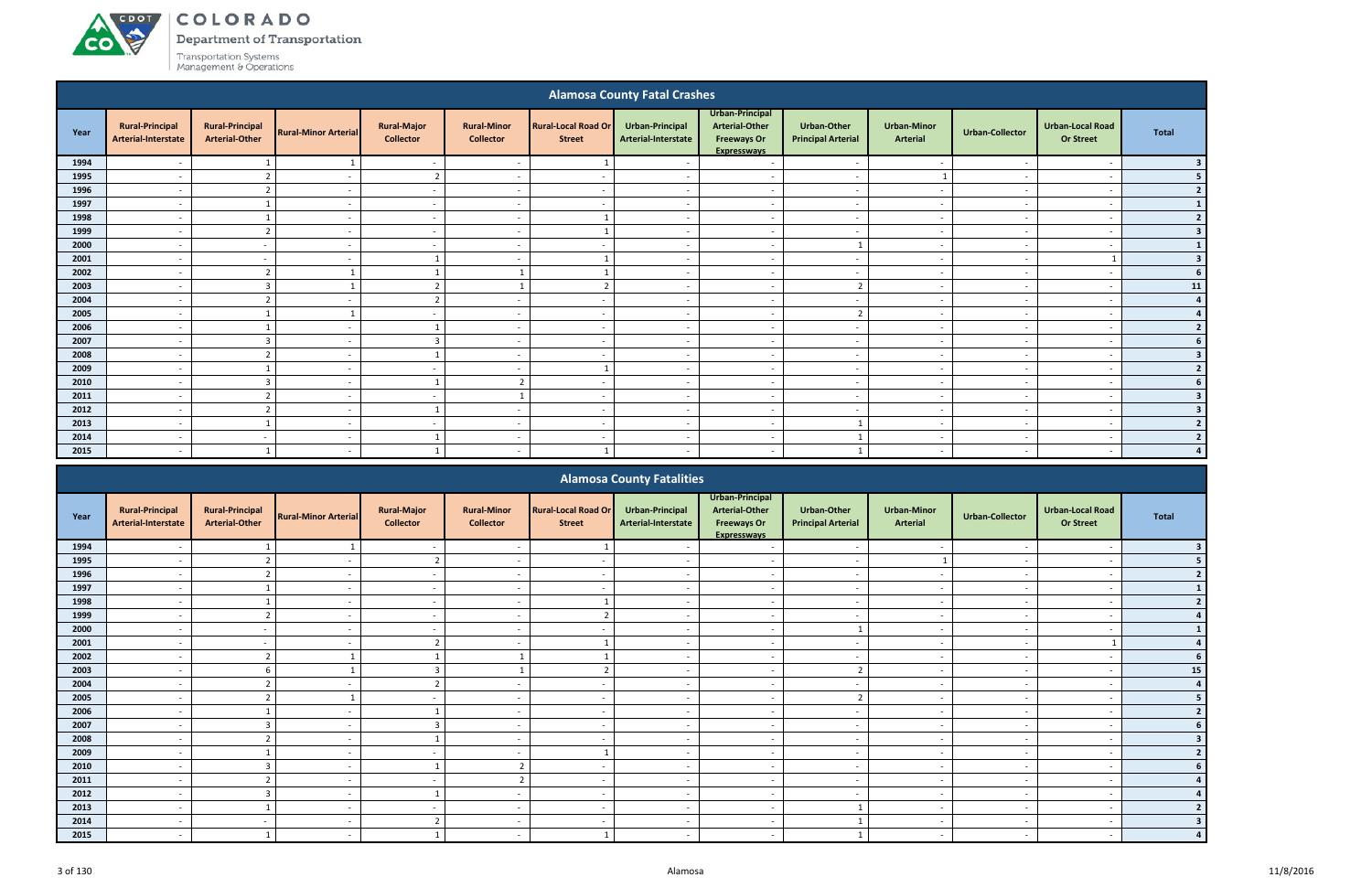# COLORADO

Department of Transportation

|      |                                               |                                                 |                             |                                        |                                        |                                             | <b>Alamosa County Fatal Crashes</b>    |                                                                                      |                                                 |                                |                          |                                             |                         |
|------|-----------------------------------------------|-------------------------------------------------|-----------------------------|----------------------------------------|----------------------------------------|---------------------------------------------|----------------------------------------|--------------------------------------------------------------------------------------|-------------------------------------------------|--------------------------------|--------------------------|---------------------------------------------|-------------------------|
| Year | <b>Rural-Principal</b><br>Arterial-Interstate | <b>Rural-Principal</b><br><b>Arterial-Other</b> | <b>Rural-Minor Arterial</b> | <b>Rural-Major</b><br><b>Collector</b> | <b>Rural-Minor</b><br><b>Collector</b> | <b>Rural-Local Road Or</b><br><b>Street</b> | Urban-Principal<br>Arterial-Interstate | Urban-Principal<br><b>Arterial-Other</b><br><b>Freeways Or</b><br><b>Expresswavs</b> | <b>Urban-Other</b><br><b>Principal Arterial</b> | <b>Urban-Minor</b><br>Arterial | <b>Urban-Collector</b>   | <b>Urban-Local Road</b><br><b>Or Street</b> | <b>Total</b>            |
| 1994 |                                               |                                                 |                             | $\overline{\phantom{a}}$               | $\overline{\phantom{a}}$               |                                             | $\overline{\phantom{a}}$               | $\overline{\phantom{a}}$                                                             | $\overline{\phantom{a}}$                        | $\overline{\phantom{a}}$       | $\overline{\phantom{a}}$ |                                             |                         |
| 1995 |                                               | $\overline{2}$                                  | $\overline{\phantom{a}}$    | $\overline{2}$                         | $\overline{\phantom{a}}$               | $\sim$                                      | $\overline{\phantom{a}}$               | $\overline{\phantom{a}}$                                                             | $\overline{\phantom{a}}$                        |                                | $\overline{\phantom{a}}$ | - -                                         | 5                       |
| 1996 | $\overline{\phantom{a}}$                      | $\overline{2}$                                  | $\overline{\phantom{a}}$    | $\sim$                                 | $\overline{a}$                         | $\overline{\phantom{a}}$                    | $\overline{\phantom{a}}$               | $\sim$                                                                               | $\sim$                                          | $\sim$                         | $\overline{a}$           | $\overline{\phantom{a}}$                    | $\overline{2}$          |
| 1997 |                                               |                                                 | $\overline{\phantom{a}}$    | $\overline{\phantom{a}}$               | $\overline{\phantom{a}}$               | $\overline{a}$                              | $\overline{\phantom{a}}$               | $\overline{\phantom{a}}$                                                             | $\overline{\phantom{a}}$                        | $\overline{a}$                 | $\overline{\phantom{a}}$ | $\overline{\phantom{a}}$                    |                         |
| 1998 | $\overline{\phantom{a}}$                      |                                                 | $\sim$                      | $\sim$                                 | $\overline{\phantom{a}}$               |                                             | $\sim$                                 | $\sim$                                                                               | $\overline{a}$                                  | $\sim$                         | $\sim$                   | $\overline{\phantom{a}}$                    | $\overline{2}$          |
| 1999 | $\overline{\phantom{a}}$                      | $\overline{2}$                                  | $\overline{\phantom{a}}$    | $\sim$                                 | $\overline{a}$                         | $\mathbf{1}$                                | $\overline{\phantom{a}}$               | $\overline{\phantom{a}}$                                                             | $\overline{a}$                                  | $\overline{\phantom{a}}$       | $\sim$                   | $\overline{\phantom{a}}$                    | 3                       |
| 2000 | $\overline{\phantom{a}}$                      | $\overline{a}$                                  | $\overline{\phantom{a}}$    | $\overline{\phantom{a}}$               | $\overline{a}$                         | $\sim$                                      | $\overline{\phantom{a}}$               | $\overline{a}$                                                                       | $\overline{1}$                                  | $\overline{\phantom{a}}$       | $\overline{\phantom{a}}$ | - -                                         |                         |
| 2001 |                                               | $\overline{\phantom{a}}$                        | $\overline{\phantom{a}}$    | $\overline{1}$                         | $\overline{\phantom{a}}$               |                                             | $\overline{\phantom{a}}$               | $\overline{\phantom{a}}$                                                             | $\overline{a}$                                  | $\overline{\phantom{a}}$       | $\overline{\phantom{a}}$ |                                             | $\overline{\mathbf{3}}$ |
| 2002 | $\overline{\phantom{a}}$                      | $\mathcal{D}$                                   |                             |                                        |                                        |                                             | $\overline{\phantom{a}}$               | $\overline{a}$                                                                       | $\overline{\phantom{a}}$                        | $\overline{a}$                 | $\sim$                   | $\overline{\phantom{a}}$                    | 6                       |
| 2003 | $\overline{\phantom{a}}$                      | $\overline{3}$                                  |                             | $\overline{2}$                         |                                        | $\overline{2}$                              | $\sim$                                 | $\sim$                                                                               | $\overline{2}$                                  | $\overline{\phantom{a}}$       | $\overline{a}$           | $\overline{\phantom{a}}$                    | 11                      |
| 2004 | $\overline{\phantom{a}}$                      |                                                 | $\sim$                      | $\overline{2}$                         | $\overline{\phantom{a}}$               | $\overline{\phantom{a}}$                    | $\sim$                                 | $\sim$                                                                               | $\sim$                                          | $\sim$                         | $\sim$                   | $\overline{\phantom{a}}$                    |                         |
| 2005 | $\overline{\phantom{a}}$                      |                                                 |                             | $\sim$                                 | $\overline{a}$                         | $\overline{\phantom{a}}$                    | $\sim$                                 | $\sim$                                                                               | $\overline{2}$                                  | $\overline{\phantom{a}}$       | $\sim$                   | $\overline{\phantom{a}}$                    |                         |
| 2006 | $\overline{\phantom{a}}$                      | $\mathbf{1}$                                    | $\overline{\phantom{a}}$    | $\overline{1}$                         | $\overline{a}$                         | $\sim$                                      | $\overline{\phantom{a}}$               | $\overline{\phantom{0}}$                                                             | $\overline{a}$                                  | $\sim$                         | $\overline{\phantom{a}}$ | - -                                         | $\overline{2}$          |
| 2007 |                                               | $\mathbf{3}$                                    | $\overline{\phantom{a}}$    | $\overline{3}$                         | $\overline{\phantom{a}}$               | $\sim$                                      | $\overline{\phantom{a}}$               | $\overline{\phantom{a}}$                                                             | $\overline{\phantom{a}}$                        | $\sim$                         |                          |                                             |                         |
| 2008 |                                               |                                                 | $\overline{\phantom{a}}$    | $\overline{1}$                         | $\overline{\phantom{a}}$               | $\overline{\phantom{a}}$                    | $\overline{\phantom{a}}$               | $\overline{\phantom{a}}$                                                             | $\overline{\phantom{a}}$                        | $\overline{\phantom{a}}$       |                          | $\overline{\phantom{a}}$                    |                         |
| 2009 | $\overline{\phantom{a}}$                      |                                                 | $\overline{\phantom{a}}$    | $\sim$                                 | $\overline{a}$                         |                                             | $\sim$                                 | $\sim$                                                                               | $\overline{a}$                                  | $\sim$                         | $\sim$                   | $\overline{\phantom{a}}$                    |                         |
| 2010 | $\overline{\phantom{a}}$                      | $\overline{3}$                                  | $\overline{\phantom{a}}$    | $\overline{1}$                         | $\overline{z}$                         | $\sim$                                      | $\overline{\phantom{a}}$               | $\sim$                                                                               | $\sim$                                          | $\sim$                         | $\sim$                   | $\overline{\phantom{a}}$                    |                         |
| 2011 | $\overline{\phantom{a}}$                      | $\overline{2}$                                  | $\overline{\phantom{a}}$    | $\sim$                                 | $\mathbf{1}$                           | $\overline{\phantom{a}}$                    | $\overline{a}$                         | $\sim$                                                                               | $\sim$                                          | $\overline{\phantom{a}}$       | $\sim$                   | $\overline{\phantom{a}}$                    |                         |
| 2012 | $\overline{\phantom{a}}$                      | ຳ                                               | $\overline{\phantom{a}}$    | $\overline{1}$                         | $\overline{\phantom{a}}$               | $\overline{\phantom{a}}$                    | $\overline{\phantom{a}}$               | $\overline{\phantom{a}}$                                                             | $\overline{a}$                                  | $\overline{\phantom{a}}$       | $\overline{\phantom{a}}$ | $\overline{\phantom{a}}$                    | 3                       |
| 2013 |                                               |                                                 | $\overline{\phantom{a}}$    | $\sim$                                 | $\overline{\phantom{a}}$               | $\sim$                                      | $\overline{\phantom{a}}$               | $\overline{\phantom{a}}$                                                             | $\mathbf{1}$                                    | $\sim$                         | $\overline{\phantom{a}}$ | $\overline{\phantom{a}}$                    | $\overline{2}$          |
| 2014 |                                               | $\overline{\phantom{a}}$                        | $\overline{\phantom{a}}$    |                                        | $\overline{\phantom{a}}$               | $\overline{\phantom{a}}$                    | $\overline{\phantom{a}}$               | $\overline{\phantom{a}}$                                                             |                                                 | $\overline{\phantom{a}}$       | $\sim$                   | $\overline{\phantom{a}}$                    | $\mathbf{z}$            |
| 2015 | $\overline{\phantom{a}}$                      |                                                 | $\sim$                      |                                        | $\sim$                                 |                                             | $\sim$                                 | $\overline{\phantom{a}}$                                                             |                                                 | $\sim$                         | $\sim$                   |                                             |                         |
|      |                                               |                                                 |                             |                                        |                                        |                                             | <b>Section</b><br>$\cdots$<br>.        |                                                                                      |                                                 |                                |                          |                                             |                         |

|      |                                               |                                                 |                             |                                        |                                        |                                             | <b>Alamosa County Fatalities</b>       |                                                                                      |                                          |                                       |                          |                                             |              |
|------|-----------------------------------------------|-------------------------------------------------|-----------------------------|----------------------------------------|----------------------------------------|---------------------------------------------|----------------------------------------|--------------------------------------------------------------------------------------|------------------------------------------|---------------------------------------|--------------------------|---------------------------------------------|--------------|
| Year | <b>Rural-Principal</b><br>Arterial-Interstate | <b>Rural-Principal</b><br><b>Arterial-Other</b> | <b>Rural-Minor Arterial</b> | <b>Rural-Major</b><br><b>Collector</b> | <b>Rural-Minor</b><br><b>Collector</b> | <b>Rural-Local Road Or</b><br><b>Street</b> | Urban-Principal<br>Arterial-Interstate | Urban-Principal<br><b>Arterial-Other</b><br><b>Freeways Or</b><br><b>Expresswavs</b> | Urban-Other<br><b>Principal Arterial</b> | <b>Urban-Minor</b><br><b>Arterial</b> | <b>Urban-Collector</b>   | <b>Urban-Local Road</b><br><b>Or Street</b> | <b>Total</b> |
| 1994 |                                               |                                                 |                             |                                        |                                        |                                             |                                        |                                                                                      |                                          |                                       |                          |                                             |              |
| 1995 |                                               |                                                 |                             | $\mathcal{L}$                          |                                        |                                             |                                        | $\overline{\phantom{a}}$                                                             |                                          |                                       |                          |                                             |              |
| 1996 |                                               | ຳ                                               |                             | $\sim$                                 | $\overline{\phantom{0}}$               | $\sim$                                      | $\blacksquare$                         | $\overline{\phantom{a}}$                                                             | $\sim$                                   | $\sim$                                |                          | $\overline{\phantom{a}}$                    |              |
| 1997 |                                               |                                                 |                             | $\sim$                                 |                                        |                                             |                                        | $\overline{a}$                                                                       | $\overline{\phantom{a}}$                 | $\overline{\phantom{a}}$              |                          | $\overline{\phantom{a}}$                    |              |
| 1998 |                                               |                                                 |                             | $\sim$                                 |                                        |                                             |                                        | $\overline{\phantom{a}}$                                                             |                                          | $\overline{\phantom{a}}$              |                          |                                             |              |
| 1999 |                                               | ຳ                                               |                             | $\sim$                                 | $\overline{\phantom{0}}$               |                                             |                                        | $\overline{\phantom{a}}$                                                             | $\overline{\phantom{a}}$                 | $\overline{\phantom{a}}$              |                          | $\overline{\phantom{a}}$                    |              |
| 2000 |                                               |                                                 |                             |                                        |                                        |                                             |                                        | $\overline{\phantom{a}}$                                                             |                                          |                                       |                          |                                             |              |
| 2001 | $\overline{\phantom{0}}$                      | $\sim$                                          | $\sim$                      | ി                                      | $\sim$                                 |                                             | $\sim$                                 | $\sim$                                                                               | $\overline{\phantom{a}}$                 | $\sim$                                | $\overline{\phantom{a}}$ |                                             |              |
| 2002 |                                               | $\overline{2}$                                  |                             |                                        |                                        |                                             |                                        | $\overline{\phantom{a}}$                                                             | $\overline{\phantom{a}}$                 | $\overline{\phantom{a}}$              |                          | $\overline{\phantom{a}}$                    |              |
| 2003 |                                               | b                                               |                             |                                        |                                        |                                             |                                        | $\overline{\phantom{0}}$                                                             | $\mathcal{L}$                            | $\overline{\phantom{a}}$              |                          | $\overline{\phantom{a}}$                    | 15           |
| 2004 |                                               |                                                 |                             |                                        |                                        |                                             |                                        | $\overline{\phantom{a}}$                                                             | $\overline{\phantom{a}}$                 |                                       |                          |                                             |              |
| 2005 |                                               |                                                 |                             |                                        |                                        |                                             |                                        | $\sim$                                                                               | $\mathcal{D}$                            | $\overline{\phantom{a}}$              |                          |                                             |              |
| 2006 | $\overline{\phantom{a}}$                      |                                                 | $\overline{\phantom{0}}$    |                                        | $\sim$                                 | $\sim$                                      | $\sim$                                 | $\sim$                                                                               | $\sim$                                   | $\sim$                                | $\overline{\phantom{a}}$ | $\overline{\phantom{a}}$                    |              |
| 2007 |                                               | $\overline{3}$                                  |                             | ി                                      |                                        |                                             |                                        | $\overline{\phantom{a}}$                                                             | $\overline{\phantom{a}}$                 | $\overline{\phantom{a}}$              |                          | $\overline{\phantom{a}}$                    |              |
| 2008 |                                               | $\overline{\phantom{a}}$                        |                             |                                        |                                        |                                             |                                        | $\overline{a}$                                                                       | $\overline{\phantom{a}}$                 | $\overline{\phantom{a}}$              |                          | $\overline{\phantom{a}}$                    |              |
| 2009 |                                               |                                                 |                             |                                        |                                        |                                             |                                        | $\overline{\phantom{0}}$                                                             | $\overline{\phantom{a}}$                 | $\overline{\phantom{a}}$              |                          | $\overline{\phantom{a}}$                    |              |
| 2010 |                                               | 3                                               |                             |                                        | $\mathbf{r}$                           |                                             |                                        | $\overline{\phantom{a}}$                                                             | $\overline{\phantom{a}}$                 | $\overline{\phantom{a}}$              |                          | $\overline{\phantom{a}}$                    |              |
| 2011 | $\overline{\phantom{a}}$                      | ຳ                                               | $\sim$                      | $\sim$                                 | $\overline{2}$                         | $\sim$                                      | $\overline{\phantom{a}}$               | $\overline{\phantom{a}}$                                                             | $\overline{\phantom{a}}$                 | $\overline{\phantom{a}}$              |                          | $\overline{\phantom{a}}$                    |              |
| 2012 |                                               | $\overline{3}$                                  |                             |                                        |                                        | $\sim$                                      |                                        | $\overline{\phantom{a}}$                                                             | $\overline{\phantom{a}}$                 | $\overline{\phantom{a}}$              |                          | $\overline{\phantom{a}}$                    |              |
| 2013 | $\overline{\phantom{a}}$                      |                                                 |                             | $\sim$                                 | $\overline{\phantom{a}}$               | $\sim$                                      |                                        | $\sim$                                                                               |                                          | $\overline{\phantom{a}}$              |                          | $\overline{\phantom{a}}$                    |              |
| 2014 |                                               |                                                 |                             |                                        |                                        |                                             |                                        | $\overline{\phantom{0}}$                                                             |                                          |                                       |                          |                                             |              |
| 2015 | $\overline{\phantom{0}}$                      |                                                 |                             |                                        |                                        |                                             |                                        | $\overline{\phantom{0}}$                                                             |                                          | $\overline{\phantom{a}}$              |                          |                                             |              |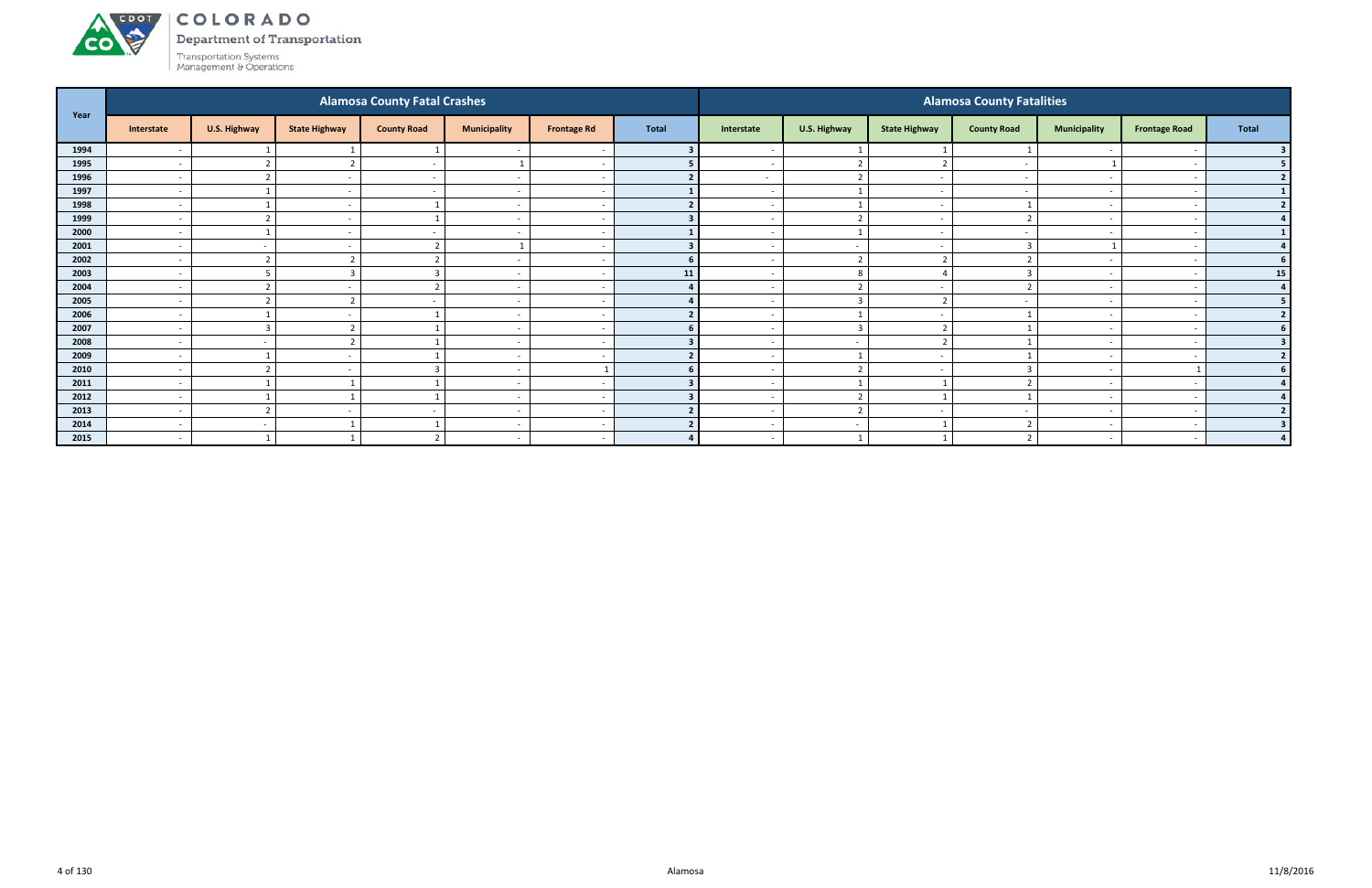

Department of Transportation

| Year |                          |                          |                          | <b>Alamosa County Fatal Crashes</b> |                          |                    |                |                          |                          |                          | <b>Alamosa County Fatalities</b> |                          |                          |                |
|------|--------------------------|--------------------------|--------------------------|-------------------------------------|--------------------------|--------------------|----------------|--------------------------|--------------------------|--------------------------|----------------------------------|--------------------------|--------------------------|----------------|
|      | Interstate               | U.S. Highway             | <b>State Highway</b>     | <b>County Road</b>                  | <b>Municipality</b>      | <b>Frontage Rd</b> | <b>Total</b>   | Interstate               | U.S. Highway             | <b>State Highway</b>     | <b>County Road</b>               | <b>Municipality</b>      | <b>Frontage Road</b>     | Total          |
| 1994 |                          |                          |                          |                                     |                          |                    |                |                          |                          |                          |                                  |                          |                          |                |
| 1995 | $\overline{\phantom{a}}$ | $\mathbf{\hat{z}}$       |                          | $\sim$                              |                          |                    |                | $\overline{\phantom{0}}$ | $\overline{2}$           | ຳ                        | $\overline{\phantom{a}}$         |                          | $\overline{\phantom{a}}$ | 5 <sub>1</sub> |
| 1996 | $\overline{\phantom{a}}$ | $\mathbf{\overline{1}}$  |                          | $\overline{\phantom{a}}$            | $\overline{\phantom{a}}$ |                    |                | $\sim$                   | $\overline{2}$           |                          |                                  | $\overline{\phantom{a}}$ |                          | 2              |
| 1997 | $\overline{\phantom{a}}$ |                          |                          |                                     | $\overline{\phantom{a}}$ |                    |                | $\overline{\phantom{0}}$ | $\overline{1}$           |                          |                                  |                          |                          | $\mathbf{1}$   |
| 1998 | $\overline{\phantom{a}}$ |                          | $\overline{\phantom{a}}$ |                                     | $\overline{\phantom{a}}$ |                    |                | $\overline{\phantom{0}}$ | - 1                      | $\overline{\phantom{a}}$ |                                  | $\sim$                   |                          | $2 \mid$       |
| 1999 | $\overline{\phantom{a}}$ |                          |                          |                                     |                          |                    |                |                          | $\overline{2}$           |                          |                                  |                          |                          | 4              |
| 2000 | $\overline{\phantom{a}}$ |                          | $\overline{\phantom{0}}$ |                                     | $\overline{\phantom{a}}$ |                    |                | $\overline{\phantom{a}}$ |                          |                          |                                  | $\overline{\phantom{0}}$ |                          | $\mathbf{1}$   |
| 2001 | $\overline{\phantom{a}}$ | $\sim$                   |                          | ຳ                                   |                          |                    |                | $\sim$                   | $\sim$                   |                          |                                  |                          |                          | 4              |
| 2002 | $\overline{\phantom{a}}$ | $\overline{2}$           |                          | $\mathbf{\hat{}}$                   | $\overline{\phantom{a}}$ |                    | 6 <sup>1</sup> | $\overline{\phantom{0}}$ | $\overline{2}$           | $\overline{2}$           |                                  |                          |                          | 6 <sup>1</sup> |
| 2003 | $\overline{\phantom{0}}$ |                          |                          | $\mathbf{\Gamma}$                   | $\overline{\phantom{0}}$ |                    | 11             | $\overline{\phantom{0}}$ | 8                        |                          |                                  | $\overline{\phantom{0}}$ |                          | 15             |
| 2004 | $\overline{\phantom{a}}$ | $\mathbf{\overline{a}}$  |                          | ຳ                                   | $\overline{\phantom{a}}$ |                    |                | $\overline{\phantom{0}}$ | ຳ                        |                          |                                  | $\overline{\phantom{a}}$ |                          | $\overline{a}$ |
| 2005 | $\overline{\phantom{a}}$ | $\mathbf{\overline{a}}$  |                          |                                     | $\overline{\phantom{a}}$ |                    |                |                          | $\overline{3}$           | $\overline{\phantom{a}}$ |                                  | $\overline{\phantom{0}}$ |                          | 5 <sub>1</sub> |
| 2006 | $\overline{\phantom{a}}$ |                          |                          |                                     | $\overline{\phantom{a}}$ |                    |                | $\overline{\phantom{0}}$ |                          |                          |                                  | $\overline{\phantom{0}}$ |                          | 2              |
| 2007 | $\overline{\phantom{a}}$ | $\overline{3}$           |                          |                                     | $\overline{\phantom{a}}$ |                    |                |                          | $\overline{\mathbf{3}}$  | $\overline{\phantom{a}}$ |                                  |                          |                          | 6 <sup>1</sup> |
| 2008 | $\overline{\phantom{0}}$ | $\overline{\phantom{a}}$ |                          |                                     | $\overline{\phantom{a}}$ |                    |                |                          | $\overline{a}$           | $\overline{\phantom{a}}$ |                                  | $\overline{\phantom{0}}$ |                          | 3 <sup>1</sup> |
| 2009 | $\overline{\phantom{a}}$ |                          |                          |                                     | $\overline{\phantom{a}}$ |                    |                | $\overline{\phantom{0}}$ |                          |                          |                                  |                          |                          | 2              |
| 2010 | $\overline{\phantom{a}}$ | $\mathbf{\overline{a}}$  |                          |                                     | $\overline{\phantom{a}}$ |                    |                |                          | $\overline{2}$           |                          |                                  |                          |                          | 6              |
| 2011 | $\overline{\phantom{0}}$ |                          |                          |                                     | $\overline{\phantom{a}}$ |                    |                | $\overline{\phantom{0}}$ |                          |                          |                                  | $\sim$                   |                          | 4              |
| 2012 | $\overline{\phantom{a}}$ |                          |                          |                                     | $\overline{\phantom{a}}$ |                    |                | $\sim$                   | $\overline{2}$           |                          |                                  | $\overline{\phantom{0}}$ | $\overline{\phantom{a}}$ | 4 <sup>1</sup> |
| 2013 | $\overline{\phantom{a}}$ | ຳ                        |                          |                                     | $\overline{\phantom{a}}$ |                    |                | $\overline{\phantom{0}}$ | $\overline{2}$           |                          |                                  | $\overline{\phantom{0}}$ |                          | 2              |
| 2014 | $\overline{\phantom{a}}$ | $\sim$                   |                          |                                     | $\overline{\phantom{a}}$ |                    |                | $\overline{\phantom{0}}$ | $\overline{\phantom{a}}$ |                          |                                  | $\overline{\phantom{a}}$ | $\overline{\phantom{a}}$ | 3 <sup>1</sup> |
| 2015 | $\overline{\phantom{a}}$ |                          |                          |                                     |                          |                    |                | $\overline{\phantom{0}}$ |                          |                          |                                  |                          |                          |                |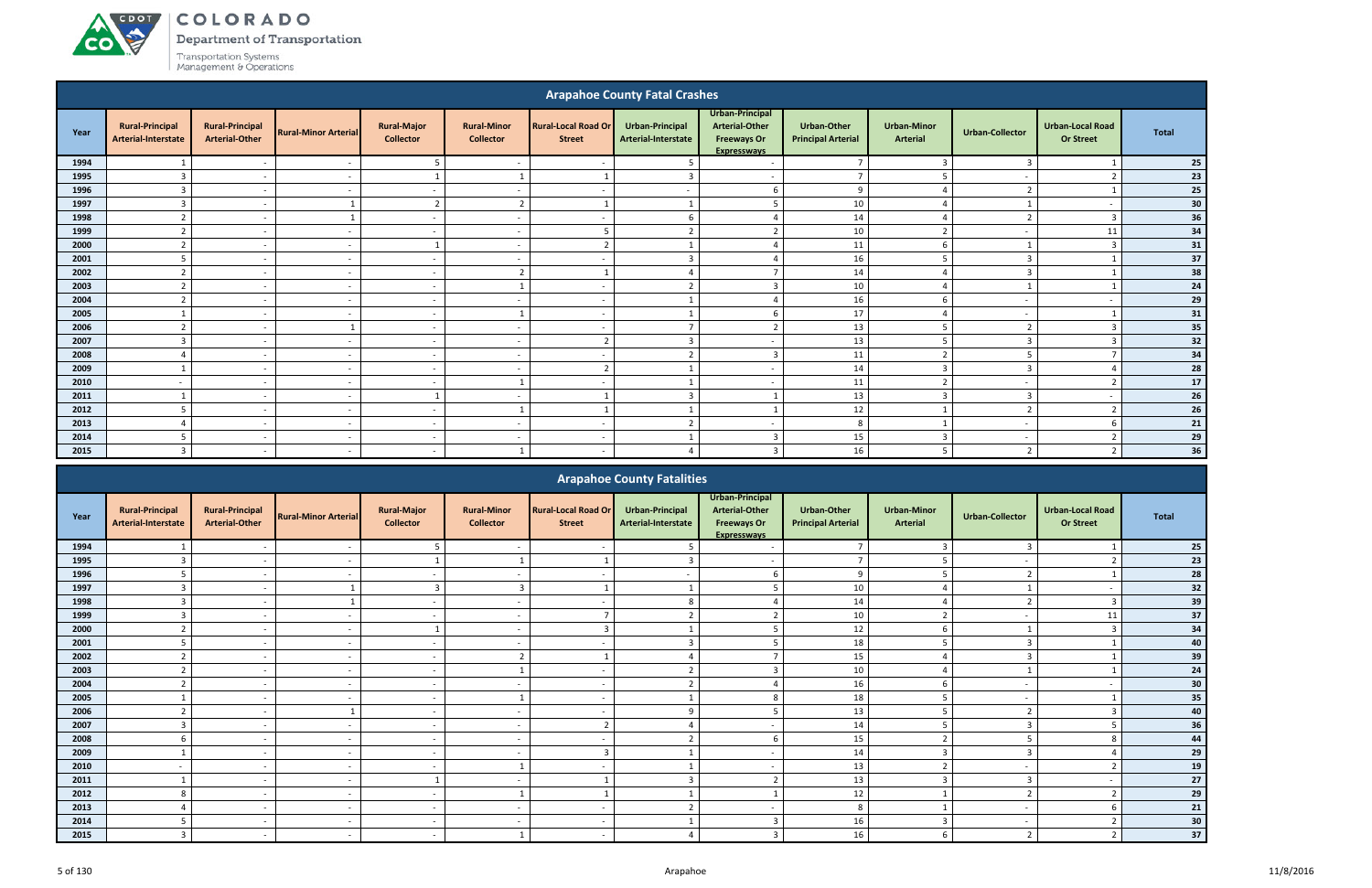#### ACDOL COLORADO

**CO** 

Department of Transportation

|      |                                               |                                                 |                             |                                        |                                        |                                             | <b>Arapahoe County Fatal Crashes</b>          |                                                                                      |                                                 |                                       |                          |                                             |              |
|------|-----------------------------------------------|-------------------------------------------------|-----------------------------|----------------------------------------|----------------------------------------|---------------------------------------------|-----------------------------------------------|--------------------------------------------------------------------------------------|-------------------------------------------------|---------------------------------------|--------------------------|---------------------------------------------|--------------|
| Year | <b>Rural-Principal</b><br>Arterial-Interstate | <b>Rural-Principal</b><br><b>Arterial-Other</b> | <b>Rural-Minor Arterial</b> | <b>Rural-Major</b><br><b>Collector</b> | <b>Rural-Minor</b><br><b>Collector</b> | <b>Rural-Local Road Or</b><br><b>Street</b> | <b>Urban-Principal</b><br>Arterial-Interstate | Urban-Principal<br><b>Arterial-Other</b><br><b>Freeways Or</b><br><b>Expresswavs</b> | <b>Urban-Other</b><br><b>Principal Arterial</b> | <b>Urban-Minor</b><br><b>Arterial</b> | <b>Urban-Collector</b>   | <b>Urban-Local Road</b><br><b>Or Street</b> | <b>Total</b> |
| 1994 |                                               | $\overline{\phantom{a}}$                        | $\sim$                      | -5                                     | $\overline{\phantom{a}}$               | $\overline{\phantom{a}}$                    |                                               | $\overline{\phantom{a}}$                                                             | $\overline{7}$                                  | $\overline{3}$                        | $\overline{3}$           |                                             | 25           |
| 1995 | $\overline{3}$                                | $\overline{\phantom{a}}$                        | $\sim$                      |                                        |                                        |                                             | з                                             | $\overline{a}$                                                                       | $\overline{7}$                                  |                                       | $\overline{\phantom{a}}$ | ຳ                                           | 23           |
| 1996 | $\mathbf{3}$                                  | $\sim$                                          | $\sim$                      | $\sim$                                 | $\sim$                                 | $\sim$                                      | $\overline{\phantom{a}}$                      | -6                                                                                   | 9                                               | $\boldsymbol{\varDelta}$              | $\overline{z}$           |                                             | 25           |
| 1997 | $\overline{3}$                                | $\sim$                                          |                             | $\overline{2}$                         | $\overline{2}$                         |                                             |                                               | -5                                                                                   | 10                                              | $\overline{4}$                        |                          | $\overline{a}$                              | 30           |
| 1998 | ຳ                                             | $\overline{\phantom{a}}$                        |                             | $\sim$                                 | $\overline{\phantom{a}}$               | $\overline{\phantom{a}}$                    |                                               |                                                                                      | 14                                              |                                       |                          | $\mathbf{a}$                                | 36           |
| 1999 | $\overline{2}$                                | $\sim$                                          | $\overline{\phantom{a}}$    | $\sim$                                 | $\overline{\phantom{a}}$               | -5                                          | ຳ                                             | - 2                                                                                  | 10                                              | $\overline{2}$                        | $\sim$                   | 11                                          | 34           |
| 2000 | $\overline{2}$                                | $\sim$                                          | $\sim$                      |                                        | $\overline{a}$                         | $\overline{2}$                              |                                               | Δ                                                                                    | 11                                              | 6                                     |                          | $\overline{3}$                              | 31           |
| 2001 | 5                                             | $\overline{\phantom{a}}$                        | $\overline{\phantom{a}}$    | $\sim$                                 | $\overline{\phantom{a}}$               | $\overline{\phantom{a}}$                    | $\overline{3}$                                | $\Lambda$                                                                            | 16                                              | 5                                     | 3                        |                                             | 37           |
| 2002 | $\overline{2}$                                | $\overline{\phantom{a}}$                        | $\sim$                      | $\sim$                                 | $\overline{2}$                         |                                             |                                               | -                                                                                    | 14                                              | ⊿                                     | 3                        |                                             | 38           |
| 2003 | $\overline{2}$                                | $\sim$                                          | $\overline{\phantom{a}}$    | $\sim$                                 |                                        | $\sim$                                      | $\mathbf{r}$                                  | $\overline{3}$                                                                       | 10                                              |                                       |                          |                                             | 24           |
| 2004 | $\mathbf{r}$                                  | $\sim$                                          | $\sim$                      | $\sim$                                 | $\overline{a}$                         | $\sim$                                      |                                               | $\boldsymbol{\varDelta}$                                                             | 16                                              | 6                                     | $\overline{\phantom{a}}$ | $\overline{a}$                              | 29           |
| 2005 |                                               | $\sim$                                          | $\overline{\phantom{a}}$    | $\sim$                                 | $\mathbf{1}$                           | $\sim$                                      |                                               | 6                                                                                    | 17                                              | $\overline{4}$                        | $\overline{\phantom{a}}$ |                                             | 31           |
| 2006 | h                                             | $\overline{\phantom{a}}$                        |                             | $\sim$                                 | $\overline{\phantom{a}}$               | $\overline{a}$                              |                                               | ຳ                                                                                    | 13                                              |                                       |                          |                                             | 35           |
| 2007 | $\overline{3}$                                | $\sim$                                          | $\sim$                      | $\sim$                                 | $\overline{a}$                         | $\overline{2}$                              | $\overline{3}$<br>$\mathbf{a}$                | $\overline{a}$                                                                       | 13                                              | -5                                    | $\overline{3}$           | $\mathbf{R}$                                | 32           |
| 2008 | $\Delta$                                      | $\sim$                                          | $\overline{a}$              | $\sim$                                 | $\overline{\phantom{0}}$               | $\sim$                                      |                                               | $\overline{3}$                                                                       | $11\,$                                          | $\overline{2}$                        |                          | $\overline{ }$                              | 34           |
| 2009 |                                               | $\overline{\phantom{a}}$                        |                             | $\sim$                                 | $\overline{\phantom{a}}$               | $\overline{z}$                              |                                               | $\overline{a}$                                                                       | 14                                              | $\mathbf{3}$                          | ₹                        |                                             | 28           |
| 2010 | $\overline{\phantom{a}}$                      | $\overline{\phantom{a}}$                        | $\overline{\phantom{a}}$    | $\sim$                                 |                                        | $\overline{a}$                              |                                               | $\overline{\phantom{a}}$                                                             | 11                                              | $\overline{2}$                        | $\overline{\phantom{a}}$ | ຳ                                           | 17           |
| 2011 |                                               | $\overline{\phantom{a}}$                        | $\sim$                      |                                        | $\sim$                                 |                                             | 3                                             |                                                                                      | 13                                              | 3                                     | $\overline{3}$           | $\overline{\phantom{a}}$                    | 26           |
| 2012 |                                               | $\overline{\phantom{a}}$                        | $\overline{\phantom{a}}$    | $\sim$                                 |                                        |                                             |                                               |                                                                                      | 12                                              |                                       | $\mathbf{r}$             | ຳ                                           | 26           |
| 2013 | $\Delta$                                      | $\sim$                                          | $\sim$                      | $\sim$                                 | $\overline{\phantom{a}}$               | $\overline{\phantom{a}}$                    | $\overline{2}$                                | $\overline{\phantom{a}}$                                                             | 8                                               |                                       | $\overline{\phantom{a}}$ |                                             | 21           |
| 2014 | 5                                             | . .                                             | $\overline{\phantom{a}}$    | $\sim$                                 | $\overline{\phantom{a}}$               | $\sim$                                      |                                               | 3                                                                                    | 15                                              | 3                                     | $\overline{\phantom{a}}$ |                                             | 29           |
| 2015 | $\overline{3}$                                | $-$                                             | $\sim$                      | $\sim$                                 |                                        | $\sim$                                      | $\Delta$                                      | $\overline{3}$                                                                       | 16                                              | 5                                     | $\overline{2}$           | $\overline{2}$                              | 36           |

|      |                                               |                                                 |                             |                                        |                                        |                                             | <b>Arapahoe County Fatalities</b>             |                                                                                      |                                          |                                       |                        |                                             |              |
|------|-----------------------------------------------|-------------------------------------------------|-----------------------------|----------------------------------------|----------------------------------------|---------------------------------------------|-----------------------------------------------|--------------------------------------------------------------------------------------|------------------------------------------|---------------------------------------|------------------------|---------------------------------------------|--------------|
| Year | <b>Rural-Principal</b><br>Arterial-Interstate | <b>Rural-Principal</b><br><b>Arterial-Other</b> | <b>Rural-Minor Arterial</b> | <b>Rural-Major</b><br><b>Collector</b> | <b>Rural-Minor</b><br><b>Collector</b> | <b>Rural-Local Road Or</b><br><b>Street</b> | <b>Urban-Principal</b><br>Arterial-Interstate | Urban-Principal<br><b>Arterial-Other</b><br><b>Freeways Or</b><br><b>Expresswavs</b> | Urban-Other<br><b>Principal Arterial</b> | <b>Urban-Minor</b><br><b>Arterial</b> | <b>Urban-Collector</b> | <b>Urban-Local Road</b><br><b>Or Street</b> | <b>Total</b> |
| 1994 |                                               |                                                 |                             |                                        |                                        |                                             |                                               |                                                                                      | $\overline{7}$                           |                                       |                        |                                             | 25           |
| 1995 |                                               |                                                 |                             |                                        |                                        |                                             |                                               | $\overline{\phantom{a}}$                                                             | $\overline{ }$                           |                                       |                        |                                             | 23           |
| 1996 |                                               | $\sim$                                          |                             | $\sim$                                 | $\overline{\phantom{a}}$               | $\overline{\phantom{0}}$                    |                                               |                                                                                      | 9                                        |                                       | 2                      |                                             | 28           |
| 1997 |                                               |                                                 |                             |                                        |                                        |                                             |                                               |                                                                                      | 10                                       |                                       |                        |                                             | $32$         |
| 1998 |                                               | $\sim$                                          |                             | $\sim$                                 | $\overline{\phantom{a}}$               | $\overline{\phantom{a}}$                    |                                               |                                                                                      | 14                                       |                                       |                        |                                             | 39           |
| 1999 |                                               | $\overline{a}$                                  |                             | $\sim$                                 |                                        |                                             |                                               |                                                                                      | 10                                       | $\mathcal{L}$                         |                        | 11                                          | 37           |
| 2000 |                                               | $\sim$                                          | $\overline{\phantom{0}}$    |                                        | $\overline{a}$                         |                                             |                                               |                                                                                      | 12                                       | 6                                     |                        |                                             | 34           |
| 2001 |                                               |                                                 |                             | $\sim$                                 | $\overline{a}$                         |                                             |                                               |                                                                                      | 18                                       |                                       | $\overline{3}$         |                                             | 40           |
| 2002 |                                               | $\sim$                                          |                             | $\sim$                                 | $\overline{2}$                         |                                             |                                               |                                                                                      | 15                                       |                                       | $\overline{3}$         |                                             | 39           |
| 2003 |                                               |                                                 |                             | $\sim$                                 |                                        |                                             |                                               |                                                                                      | 10                                       |                                       |                        |                                             | 24           |
| 2004 | $\mathcal{L}$                                 | $\sim$                                          | $\overline{\phantom{0}}$    | $\sim$                                 | $\overline{a}$                         | $\sim$                                      | $\mathbf{r}$                                  |                                                                                      | 16                                       | 6                                     |                        |                                             | 30           |
| 2005 |                                               |                                                 |                             | $\sim$                                 |                                        | $\sim$                                      |                                               |                                                                                      | 18                                       | 5                                     |                        |                                             | 35           |
| 2006 |                                               | $\overline{\phantom{0}}$                        |                             | $\sim$                                 | $\overline{a}$                         | $\overline{\phantom{0}}$                    |                                               |                                                                                      | 13                                       |                                       |                        |                                             | 40           |
| 2007 |                                               |                                                 |                             | $\sim$                                 |                                        | -                                           |                                               |                                                                                      | 14                                       |                                       |                        |                                             | 36           |
| 2008 |                                               | $\sim$                                          |                             | $\sim$                                 | $\overline{\phantom{a}}$               | $\overline{\phantom{a}}$                    |                                               |                                                                                      | 15                                       | ຳ                                     |                        |                                             | 44           |
| 2009 |                                               | $\sim$                                          | $\overline{\phantom{a}}$    | $\sim$                                 | $\overline{\phantom{a}}$               | $\mathbf{B}$                                |                                               | $\overline{\phantom{a}}$                                                             | 14                                       | $\overline{3}$                        | $\mathbf{3}$           |                                             | 29           |
| 2010 |                                               |                                                 |                             | $\sim$                                 |                                        |                                             |                                               |                                                                                      | 13                                       | $\mathcal{L}$                         |                        |                                             | 19           |
| 2011 |                                               |                                                 |                             |                                        |                                        |                                             |                                               |                                                                                      | 13                                       |                                       |                        |                                             | $\bf 27$     |
| 2012 | 8                                             | $\overline{\phantom{0}}$                        |                             | $\sim$                                 |                                        |                                             |                                               |                                                                                      | 12                                       |                                       |                        |                                             | 29           |
| 2013 |                                               | $\sim$                                          |                             | $\sim$                                 | $\overline{\phantom{a}}$               | $\overline{\phantom{0}}$                    |                                               | $\overline{\phantom{a}}$                                                             | 8                                        |                                       |                        |                                             | 21           |
| 2014 |                                               |                                                 |                             | $\sim$                                 |                                        |                                             |                                               |                                                                                      | 16                                       |                                       |                        |                                             | 30           |
| 2015 |                                               | $\sim$                                          |                             | $\sim$                                 |                                        | $\sim$                                      |                                               |                                                                                      | 16                                       | 6                                     | ຳ                      |                                             | 37           |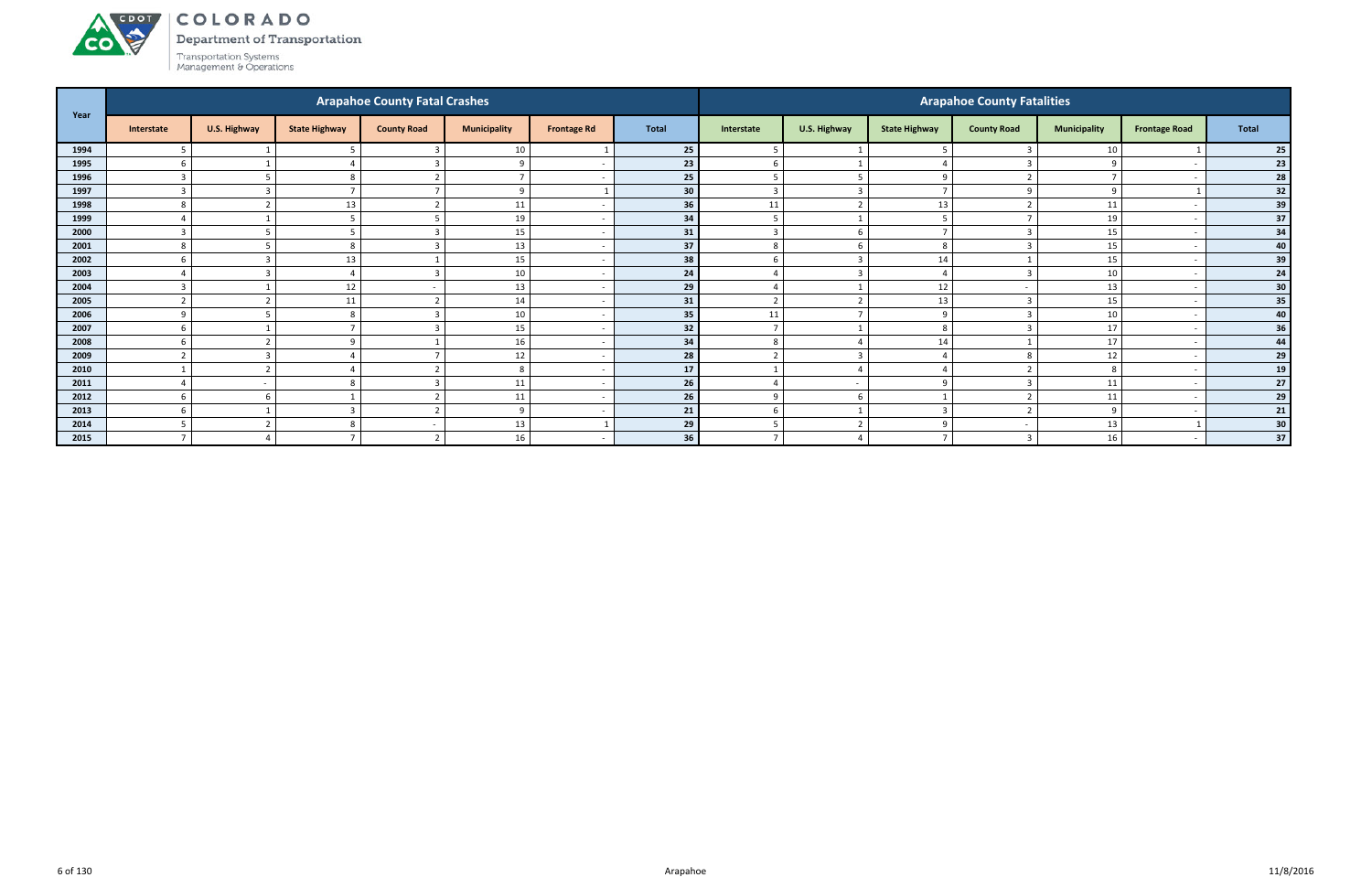#### ACDOL COLORADO

Department of Transportation

Transportation Systems<br>Management & Operations

**CO** 

| Year |                          |                          |                      | <b>Arapahoe County Fatal Crashes</b> |                     |                    |              |                |                          |                      | <b>Arapahoe County Fatalities</b> |                     |                          |              |
|------|--------------------------|--------------------------|----------------------|--------------------------------------|---------------------|--------------------|--------------|----------------|--------------------------|----------------------|-----------------------------------|---------------------|--------------------------|--------------|
|      | Interstate               | U.S. Highway             | <b>State Highway</b> | <b>County Road</b>                   | <b>Municipality</b> | <b>Frontage Rd</b> | <b>Total</b> | Interstate     | U.S. Highway             | <b>State Highway</b> | <b>County Road</b>                | <b>Municipality</b> | <b>Frontage Road</b>     | <b>Total</b> |
| 1994 | 5                        |                          |                      | 3                                    | 10                  |                    | 25           | 5              |                          |                      |                                   | 10                  |                          | 25           |
| 1995 | 6                        |                          |                      | $\overline{3}$                       | $\mathbf{q}$        |                    | 23           | 6              |                          |                      |                                   | 9                   |                          | 23           |
| 1996 | $\overline{3}$           |                          | $\Omega$             | $\overline{2}$                       | $\overline{ }$      |                    | 25           | 5              | $\overline{5}$           | $\Omega$             |                                   | $\overline{7}$      |                          | 28           |
| 1997 | $\overline{3}$           | $\overline{3}$           |                      |                                      | -9                  |                    | 30           | $\overline{3}$ | $\overline{3}$           |                      |                                   | 9                   |                          | 32           |
| 1998 | 8                        | ຳ                        | 13                   | $\overline{2}$                       | 11                  |                    | 36           | 11             | $\overline{2}$           | 13                   |                                   | 11                  |                          | 39           |
| 1999 |                          |                          |                      |                                      | 19                  |                    | 34           | 5              |                          |                      |                                   | 19                  |                          | 37           |
| 2000 | $\mathbf{\Omega}$        |                          |                      | 3                                    | 15                  |                    | 31           | $\overline{3}$ | 6                        |                      |                                   | 15                  |                          | 34           |
| 2001 | 8                        |                          |                      | 3                                    | 13                  |                    | 37           | 8              | - 6                      | 8                    |                                   | 15                  |                          | 40           |
| 2002 | -6                       | 3                        | 13                   |                                      | 15                  |                    | 38           | 6              | $\overline{3}$           | 14                   |                                   | 15                  |                          | 39           |
| 2003 |                          | r.<br>- 3                |                      | 3                                    | 10                  |                    | 24           |                | $\overline{3}$           |                      |                                   | 10                  |                          | 24           |
| 2004 | $\mathbf{R}$             |                          | 12                   |                                      | 13                  |                    | 29           |                |                          | 12                   |                                   | 13                  |                          | 30           |
| 2005 | $\overline{\phantom{a}}$ | $\overline{\phantom{a}}$ | 11                   | $\overline{2}$                       | 14                  |                    | 31           | $\overline{2}$ | $\overline{2}$           | 13                   |                                   | 15                  |                          | 35           |
| 2006 | $\alpha$                 |                          | 8                    | $\overline{3}$                       | 10                  |                    | 35           | 11             | $\overline{ }$           | q                    |                                   | 10                  |                          | 40           |
| 2007 | 6                        |                          |                      | $\overline{3}$                       | 15                  |                    | 32           | $\overline{7}$ | $\overline{\phantom{0}}$ | 8                    |                                   | 17                  |                          | 36           |
| 2008 | 6                        |                          |                      |                                      | 16                  |                    | 34           | 8              |                          | 14                   |                                   | 17                  |                          | 44           |
| 2009 | $\mathbf{\overline{1}}$  | $\mathbf{a}$             |                      |                                      | $12\,$              |                    | 28           | $\overline{2}$ | ્વ                       |                      |                                   | 12                  |                          | 29           |
| 2010 |                          | $\overline{\phantom{a}}$ |                      | $\mathbf{\overline{a}}$              | 8                   |                    | 17           |                |                          |                      |                                   | 8                   |                          | 19           |
| 2011 |                          | $\sim$                   |                      | 3                                    | 11                  |                    | 26           | $\Delta$       | $\overline{a}$           | $\Omega$             |                                   | 11                  |                          | 27           |
| 2012 | 6                        | -6                       |                      | $\overline{2}$                       | 11                  |                    | 26           | 9              | 6                        |                      |                                   | 11                  |                          | 29           |
| 2013 | 6                        |                          |                      | $\overline{2}$                       | $\mathbf{q}$        |                    | 21           | 6              |                          | 3                    |                                   | 9                   |                          | 21           |
| 2014 |                          |                          | ŏ                    |                                      | 13                  |                    | 29           | 5              |                          | $\Omega$             |                                   | 13                  |                          | 30           |
| 2015 | $\overline{ }$           |                          |                      | $\overline{2}$                       | 16                  |                    | 36           | $\overline{7}$ |                          |                      |                                   | 16                  | $\overline{\phantom{0}}$ | 37           |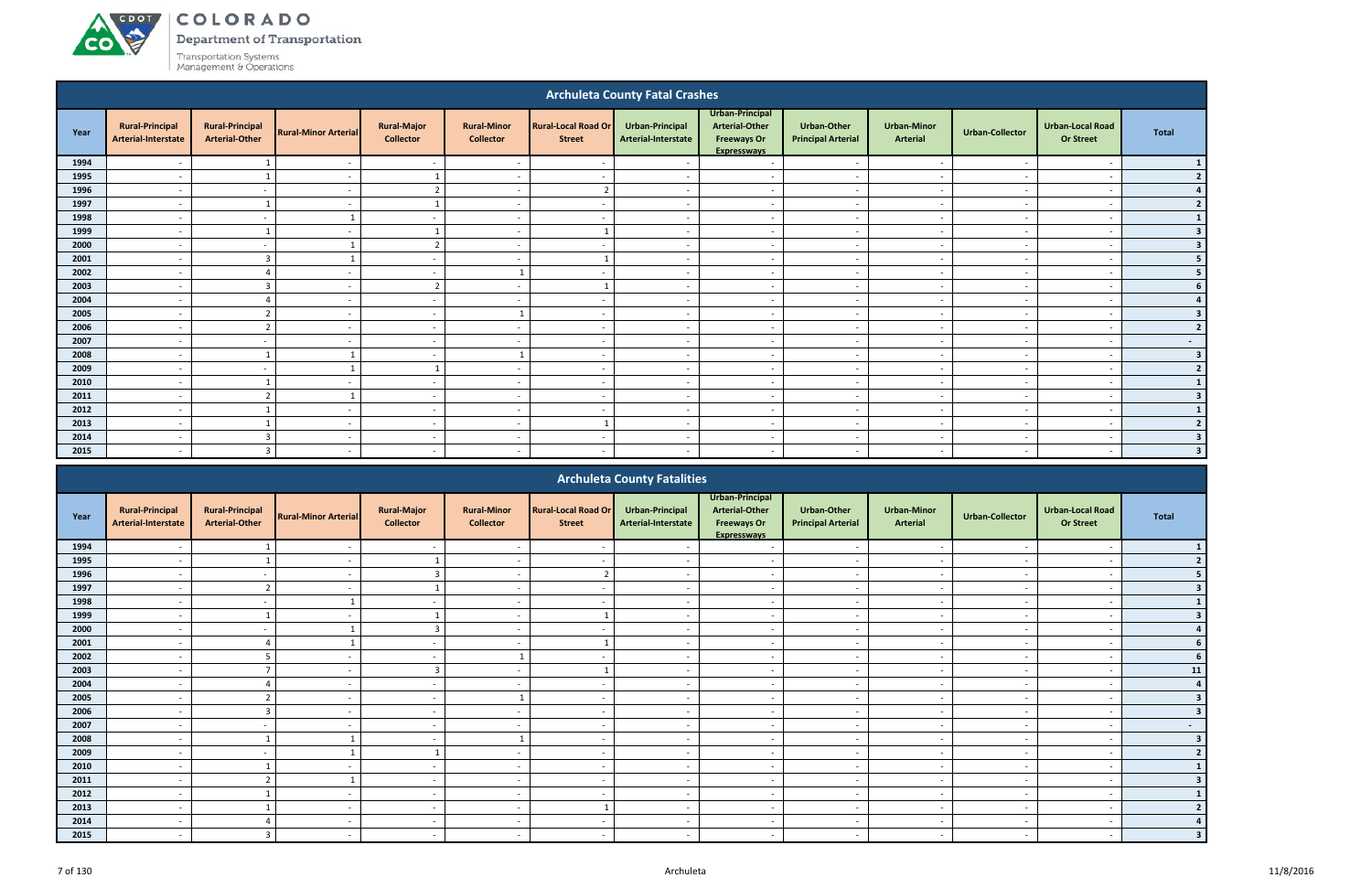COLORADO

Department of Transportation

|      |                                                                                                                                                                                                                    |                                                 |                             |                                        |                                        |                                             | <b>Archuleta County Fatal Crashes</b>  |                                                                               |                                                 |                                       |                          |                                             |                         |
|------|--------------------------------------------------------------------------------------------------------------------------------------------------------------------------------------------------------------------|-------------------------------------------------|-----------------------------|----------------------------------------|----------------------------------------|---------------------------------------------|----------------------------------------|-------------------------------------------------------------------------------|-------------------------------------------------|---------------------------------------|--------------------------|---------------------------------------------|-------------------------|
| Year | <b>Rural-Principal</b><br>Arterial-Interstate                                                                                                                                                                      | <b>Rural-Principal</b><br><b>Arterial-Other</b> | <b>Rural-Minor Arterial</b> | <b>Rural-Major</b><br><b>Collector</b> | <b>Rural-Minor</b><br><b>Collector</b> | <b>Rural-Local Road Or</b><br><b>Street</b> | Urban-Principal<br>Arterial-Interstate | Urban-Principal<br>Arterial-Other<br><b>Freeways Or</b><br><b>Expressways</b> | <b>Urban-Other</b><br><b>Principal Arterial</b> | <b>Urban-Minor</b><br><b>Arterial</b> | <b>Urban-Collector</b>   | <b>Urban-Local Road</b><br><b>Or Street</b> | <b>Total</b>            |
| 1994 |                                                                                                                                                                                                                    |                                                 |                             | $\sim$                                 |                                        |                                             |                                        | $\overline{\phantom{a}}$                                                      |                                                 |                                       |                          |                                             |                         |
| 1995 |                                                                                                                                                                                                                    |                                                 |                             |                                        |                                        |                                             |                                        | $\overline{\phantom{a}}$                                                      | $\overline{\phantom{a}}$                        | $\overline{\phantom{a}}$              |                          |                                             | $\overline{2}$          |
| 1996 | $\overline{\phantom{a}}$                                                                                                                                                                                           | $\sim$                                          | $\overline{\phantom{a}}$    | $\overline{2}$                         | $\overline{\phantom{a}}$               | $\overline{2}$                              | $\overline{a}$                         | $\sim$                                                                        | $\sim$                                          | $\sim$                                | $\overline{\phantom{a}}$ | $\overline{\phantom{a}}$                    |                         |
| 1997 | $\overline{\phantom{a}}$                                                                                                                                                                                           |                                                 | $\sim$                      |                                        | $\overline{\phantom{a}}$               | $\overline{\phantom{a}}$                    | $\overline{\phantom{a}}$               | $\overline{\phantom{a}}$                                                      | $\overline{\phantom{a}}$                        | $\sim$                                | $\overline{a}$           | $\overline{\phantom{a}}$                    | $\overline{2}$          |
| 1998 | $\overline{\phantom{0}}$                                                                                                                                                                                           | $\sim$                                          | $\mathbf{1}$                | $\sim$                                 | $\overline{\phantom{a}}$               | $\overline{\phantom{a}}$                    | $\overline{\phantom{a}}$               | $\overline{\phantom{a}}$                                                      | $\overline{\phantom{a}}$                        | $\overline{\phantom{a}}$              | $\sim$                   | $\overline{\phantom{a}}$                    | $\mathbf{1}$            |
| 1999 | $\overline{a}$<br>$\overline{\phantom{a}}$<br>$\overline{\phantom{a}}$<br>$\overline{\phantom{a}}$<br>$\overline{\phantom{a}}$<br>$\sim$<br>$\overline{\phantom{a}}$<br>$\overline{a}$<br>$\overline{\phantom{a}}$ |                                                 |                             |                                        |                                        |                                             |                                        |                                                                               | $\overline{\mathbf{3}}$                         |                                       |                          |                                             |                         |
| 2000 | $\overline{2}$<br>$\overline{a}$<br>$\overline{\phantom{a}}$<br>$\sim$<br>$\overline{\phantom{a}}$<br>$\sim$<br>$\overline{\phantom{a}}$<br>$\sim$<br>$\overline{\phantom{a}}$                                     |                                                 |                             |                                        |                                        |                                             |                                        |                                                                               |                                                 |                                       |                          | 3                                           |                         |
| 2001 | $\overline{\phantom{a}}$                                                                                                                                                                                           | $\overline{3}$                                  |                             | $\sim$                                 | $\overline{\phantom{a}}$               |                                             | $\sim$                                 | $\overline{a}$                                                                | $\overline{\phantom{a}}$                        | $\sim$                                | $\sim$                   | $\overline{\phantom{a}}$                    |                         |
| 2002 | $\overline{\phantom{a}}$                                                                                                                                                                                           | $\Delta$                                        | <b>.</b>                    | $\sim$                                 |                                        | $\overline{\phantom{a}}$                    |                                        | $\overline{\phantom{a}}$                                                      | $\overline{\phantom{a}}$                        | $\overline{\phantom{a}}$              | $\overline{a}$           | $\overline{\phantom{a}}$                    |                         |
| 2003 | $\overline{\phantom{a}}$                                                                                                                                                                                           | $\overline{3}$                                  | $\overline{\phantom{a}}$    | $\overline{2}$                         | $\overline{\phantom{a}}$               |                                             | $\overline{\phantom{a}}$               | $\overline{\phantom{a}}$                                                      | $\overline{\phantom{a}}$                        | $\overline{\phantom{a}}$              | $\sim$                   | $\overline{\phantom{a}}$                    |                         |
| 2004 |                                                                                                                                                                                                                    | $\Delta$                                        |                             | $\sim$                                 | $\overline{\phantom{a}}$               | $\overline{\phantom{a}}$                    |                                        | $\overline{a}$                                                                | $\overline{\phantom{a}}$                        | $\sim$                                |                          | $\overline{\phantom{a}}$                    |                         |
| 2005 |                                                                                                                                                                                                                    | $\overline{2}$                                  |                             | $\sim$                                 | $\mathbf{1}$                           |                                             |                                        | $\overline{a}$                                                                | $\overline{\phantom{a}}$                        | $\sim$                                | $\overline{\phantom{a}}$ | $\overline{\phantom{a}}$                    | -3                      |
| 2006 | $\overline{\phantom{a}}$                                                                                                                                                                                           | $\overline{2}$                                  |                             | $\sim$                                 | $\overline{\phantom{a}}$               |                                             |                                        | $\overline{a}$                                                                | $\overline{\phantom{a}}$                        | $\sim$                                |                          | $\overline{\phantom{a}}$                    | $\overline{2}$          |
| 2007 | $\overline{\phantom{a}}$                                                                                                                                                                                           | $\overline{\phantom{a}}$                        | $\overline{\phantom{a}}$    | $\sim$                                 | $\overline{\phantom{a}}$               |                                             |                                        | $\overline{a}$                                                                | $\overline{\phantom{a}}$                        | $\sim$                                | $\overline{\phantom{a}}$ | $\overline{\phantom{a}}$                    | $\sim$                  |
| 2008 | $\overline{\phantom{0}}$                                                                                                                                                                                           |                                                 |                             | $\sim$                                 | $\mathbf{1}$                           | $\overline{\phantom{a}}$                    | $\overline{\phantom{a}}$               | $\overline{a}$                                                                | $\overline{\phantom{a}}$                        | $\sim$                                | $\overline{\phantom{a}}$ | - -                                         | $\overline{\mathbf{3}}$ |
| 2009 | $\overline{\phantom{a}}$                                                                                                                                                                                           | $\sim$                                          |                             | -1                                     | $\sim$                                 | $\overline{\phantom{a}}$                    | $\sim$                                 | $\sim$                                                                        | $\overline{\phantom{a}}$                        | $\overline{\phantom{a}}$              | $\sim$                   | $\overline{\phantom{a}}$                    | $\overline{2}$          |
| 2010 | $\overline{\phantom{a}}$                                                                                                                                                                                           |                                                 | $\overline{\phantom{a}}$    | $\sim$                                 | $\overline{\phantom{a}}$               | $\overline{\phantom{a}}$                    | $\sim$                                 | $\overline{\phantom{a}}$                                                      | $\overline{\phantom{a}}$                        | $\sim$                                | $\sim$                   | $\overline{\phantom{a}}$                    |                         |
| 2011 | $\overline{a}$                                                                                                                                                                                                     | $\overline{2}$                                  |                             | $\sim$                                 | $\overline{\phantom{a}}$               | $\overline{\phantom{a}}$                    | $\sim$                                 | $\sim$                                                                        | $\overline{\phantom{a}}$                        | $\sim$                                | $\overline{\phantom{a}}$ | $\overline{\phantom{a}}$                    | $\overline{\mathbf{3}}$ |
| 2012 | $\overline{\phantom{a}}$                                                                                                                                                                                           |                                                 |                             | $\sim$                                 | $\overline{\phantom{a}}$               | $\overline{\phantom{a}}$                    | $\sim$                                 | $\overline{a}$                                                                | $\overline{\phantom{a}}$                        | $\sim$                                | $\sim$                   | $\overline{\phantom{a}}$                    |                         |
| 2013 | $\overline{\phantom{a}}$                                                                                                                                                                                           |                                                 | $\overline{\phantom{a}}$    | $\overline{\phantom{a}}$               | $\overline{\phantom{a}}$               |                                             |                                        | $\overline{\phantom{a}}$                                                      | $\overline{\phantom{a}}$                        | $\overline{\phantom{a}}$              | $\overline{\phantom{a}}$ | $\overline{\phantom{a}}$                    | $\mathbf{z}$            |
| 2014 | $\overline{\phantom{a}}$                                                                                                                                                                                           | $\overline{3}$                                  | $\overline{\phantom{a}}$    | $\overline{\phantom{a}}$               | $\overline{\phantom{a}}$               | $\overline{\phantom{a}}$                    | $\sim$                                 | $\overline{\phantom{a}}$                                                      | $\overline{\phantom{a}}$                        | $\overline{\phantom{a}}$              | $\sim$                   | $\overline{\phantom{a}}$                    |                         |
| 2015 |                                                                                                                                                                                                                    | 3                                               |                             | $\sim$                                 |                                        |                                             |                                        | $\overline{\phantom{a}}$                                                      |                                                 | $\overline{\phantom{a}}$              |                          |                                             |                         |
|      |                                                                                                                                                                                                                    |                                                 |                             |                                        |                                        |                                             | <b>Archuleta County Fatalities</b>     | <b>Urbon Dringinal</b>                                                        |                                                 |                                       |                          |                                             |                         |

|      |                                               |                                                 |                             |                                        |                                        |                                             | <b>AIGNUICLA COUILLY FALAILLICS</b>    |                                                                               |                                                 |                                       |                          |                                      |       |
|------|-----------------------------------------------|-------------------------------------------------|-----------------------------|----------------------------------------|----------------------------------------|---------------------------------------------|----------------------------------------|-------------------------------------------------------------------------------|-------------------------------------------------|---------------------------------------|--------------------------|--------------------------------------|-------|
| Year | <b>Rural-Principal</b><br>Arterial-Interstate | <b>Rural-Principal</b><br><b>Arterial-Other</b> | <b>Rural-Minor Arterial</b> | <b>Rural-Major</b><br><b>Collector</b> | <b>Rural-Minor</b><br><b>Collector</b> | <b>Rural-Local Road Or</b><br><b>Street</b> | Urban-Principal<br>Arterial-Interstate | Urban-Principal<br>Arterial-Other<br><b>Freeways Or</b><br><b>Expressways</b> | <b>Urban-Other</b><br><b>Principal Arterial</b> | <b>Urban-Minor</b><br><b>Arterial</b> | <b>Urban-Collector</b>   | Urban-Local Road<br><b>Or Street</b> | Total |
| 1994 |                                               |                                                 |                             |                                        |                                        |                                             |                                        |                                                                               |                                                 |                                       |                          |                                      |       |
| 1995 |                                               |                                                 |                             |                                        |                                        |                                             |                                        |                                                                               |                                                 | $\overline{\phantom{0}}$              |                          |                                      |       |
| 1996 |                                               |                                                 |                             |                                        |                                        |                                             |                                        | $\overline{\phantom{0}}$                                                      | $\overline{\phantom{a}}$                        | $\overline{\phantom{0}}$              |                          |                                      |       |
| 1997 | $\overline{\phantom{a}}$                      |                                                 | $\overline{\phantom{a}}$    |                                        | $\overline{\phantom{a}}$               |                                             | $\overline{\phantom{a}}$               | $\overline{\phantom{a}}$                                                      | $\overline{\phantom{a}}$                        | $\overline{\phantom{a}}$              | $\overline{\phantom{a}}$ | $\overline{\phantom{a}}$             |       |
| 1998 |                                               | $\overline{\phantom{a}}$                        |                             | $\overline{\phantom{a}}$               | $\overline{\phantom{a}}$               |                                             |                                        | $\overline{\phantom{a}}$                                                      | $\overline{\phantom{a}}$                        | $\overline{\phantom{a}}$              |                          |                                      |       |
| 1999 |                                               |                                                 |                             |                                        |                                        |                                             |                                        |                                                                               | $\overline{\phantom{a}}$                        | $\overline{\phantom{a}}$              |                          |                                      |       |
| 2000 |                                               |                                                 |                             |                                        |                                        |                                             |                                        | $\overline{\phantom{a}}$                                                      | $\overline{\phantom{a}}$                        | $\overline{\phantom{a}}$              |                          |                                      |       |
| 2001 |                                               |                                                 |                             |                                        |                                        |                                             |                                        |                                                                               |                                                 |                                       |                          |                                      |       |
| 2002 |                                               |                                                 |                             | $\overline{\phantom{a}}$               |                                        |                                             |                                        | $\overline{\phantom{a}}$                                                      | $\overline{\phantom{0}}$                        | $\overline{\phantom{a}}$              | $\overline{\phantom{0}}$ |                                      |       |
| 2003 | $\overline{\phantom{a}}$                      |                                                 |                             |                                        | $\overline{\phantom{a}}$               |                                             |                                        | $\overline{\phantom{a}}$                                                      | $\overline{a}$                                  | $\overline{\phantom{a}}$              | $\overline{\phantom{a}}$ | $\overline{\phantom{a}}$             | 11    |
| 2004 | $\overline{\phantom{0}}$                      |                                                 | $\overline{\phantom{a}}$    | $\overline{\phantom{a}}$               | $\overline{\phantom{a}}$               |                                             |                                        | $\overline{\phantom{a}}$                                                      | $\overline{\phantom{a}}$                        | $\overline{\phantom{a}}$              | $\overline{\phantom{a}}$ | $\overline{\phantom{0}}$             |       |
| 2005 |                                               |                                                 |                             | $\overline{\phantom{a}}$               |                                        |                                             |                                        |                                                                               | $\overline{\phantom{a}}$                        | $\overline{\phantom{a}}$              |                          |                                      |       |
| 2006 |                                               |                                                 |                             | $\sim$                                 |                                        |                                             |                                        |                                                                               |                                                 | $\overline{\phantom{a}}$              |                          |                                      |       |
| 2007 |                                               |                                                 |                             | $\overline{a}$                         |                                        |                                             |                                        |                                                                               |                                                 |                                       |                          |                                      |       |
| 2008 |                                               |                                                 |                             |                                        |                                        |                                             |                                        |                                                                               | $\overline{\phantom{0}}$                        | $\overline{\phantom{0}}$              |                          |                                      |       |
| 2009 | $\overline{\phantom{0}}$                      | $\overline{\phantom{a}}$                        |                             |                                        | $\overline{\phantom{a}}$               |                                             |                                        | $\overline{\phantom{a}}$                                                      | $\overline{\phantom{a}}$                        | $\overline{\phantom{a}}$              | $\overline{\phantom{a}}$ | $\overline{\phantom{a}}$             |       |
| 2010 |                                               |                                                 |                             |                                        |                                        |                                             |                                        |                                                                               | $\overline{\phantom{a}}$                        | $\overline{\phantom{a}}$              |                          |                                      |       |
| 2011 |                                               |                                                 |                             | $\overline{\phantom{a}}$               |                                        |                                             |                                        |                                                                               | $\overline{\phantom{a}}$                        | $\overline{\phantom{a}}$              |                          |                                      |       |
| 2012 |                                               |                                                 |                             | $\sim$                                 |                                        |                                             |                                        |                                                                               |                                                 | $\overline{\phantom{a}}$              |                          |                                      |       |
| 2013 |                                               |                                                 |                             | $\overline{a}$                         |                                        |                                             |                                        |                                                                               |                                                 |                                       |                          |                                      |       |
| 2014 |                                               |                                                 |                             | $\sim$                                 | $\overline{\phantom{a}}$               |                                             |                                        | $\overline{\phantom{0}}$                                                      | $\overline{\phantom{0}}$                        | $\overline{\phantom{a}}$              |                          |                                      |       |
| 2015 | $\overline{\phantom{0}}$                      |                                                 |                             | $\sim$                                 | $\overline{\phantom{a}}$               |                                             |                                        |                                                                               | $\sim$                                          | $\sim$                                |                          |                                      |       |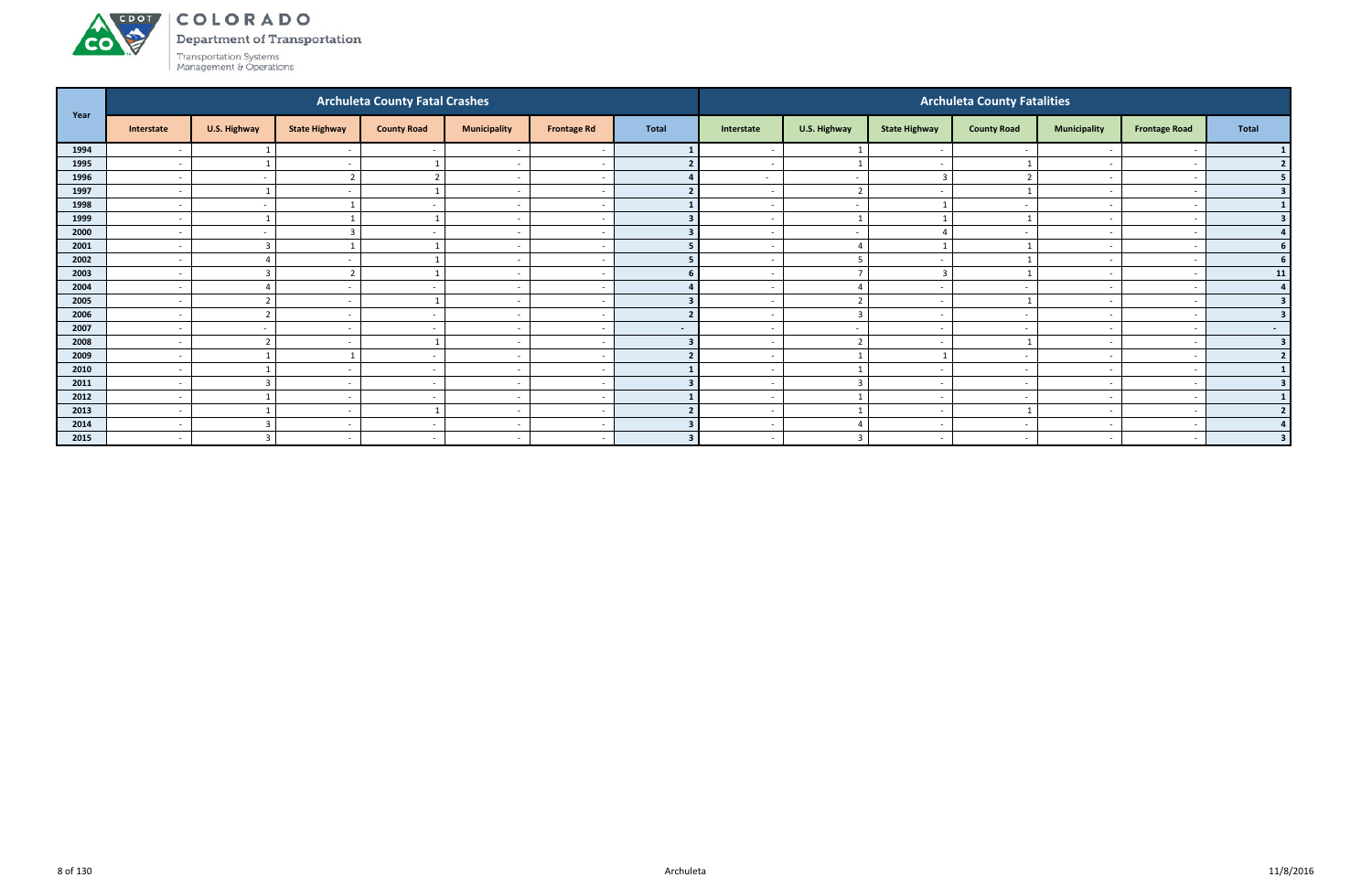# ACDOL **CO**

COLORADO

Department of Transportation

|      |                          |                          |                          | <b>Archuleta County Fatal Crashes</b> |                          |                    |                |                          |                          |                          | <b>Archuleta County Fatalities</b> |                          |                          |                |
|------|--------------------------|--------------------------|--------------------------|---------------------------------------|--------------------------|--------------------|----------------|--------------------------|--------------------------|--------------------------|------------------------------------|--------------------------|--------------------------|----------------|
| Year | Interstate               | U.S. Highway             | <b>State Highway</b>     | <b>County Road</b>                    | <b>Municipality</b>      | <b>Frontage Rd</b> | <b>Total</b>   | Interstate               | U.S. Highway             | <b>State Highway</b>     | <b>County Road</b>                 | <b>Municipality</b>      | <b>Frontage Road</b>     | Total          |
| 1994 | $\overline{\phantom{a}}$ |                          |                          |                                       |                          |                    |                |                          |                          |                          |                                    |                          |                          |                |
| 1995 | $\overline{\phantom{a}}$ |                          |                          |                                       | $\overline{\phantom{a}}$ |                    |                | $\overline{\phantom{a}}$ | $\overline{1}$           |                          |                                    | $\overline{\phantom{0}}$ | - -                      | 2 <sup>1</sup> |
| 1996 | $\overline{\phantom{a}}$ | $\sim$                   | $\mathbf{r}$             | $\overline{2}$                        | $\overline{\phantom{a}}$ |                    |                | $\sim$                   | $\sim$                   | -3                       |                                    | $\sim$                   |                          | 5 <sub>1</sub> |
| 1997 | $\overline{\phantom{a}}$ |                          |                          |                                       | $\overline{\phantom{a}}$ |                    |                | $\overline{\phantom{0}}$ | $\overline{2}$           |                          |                                    |                          |                          | 3 <sup>1</sup> |
| 1998 | $\overline{\phantom{0}}$ | $\sim$                   |                          | $\sim$                                | $\overline{\phantom{a}}$ |                    |                | $\overline{\phantom{0}}$ | $\sim$                   |                          | $\overline{\phantom{a}}$           | $\sim$                   | -                        | $\mathbf{1}$   |
| 1999 | $\overline{\phantom{a}}$ |                          |                          |                                       | $\overline{\phantom{a}}$ |                    |                |                          | $\overline{\phantom{0}}$ |                          |                                    | $\overline{\phantom{0}}$ |                          | 3 <sup>1</sup> |
| 2000 | $\overline{\phantom{a}}$ | $\overline{\phantom{0}}$ |                          |                                       | $\overline{\phantom{a}}$ |                    |                | $\overline{\phantom{a}}$ | $\sim$                   |                          | $\overline{\phantom{a}}$           | $\overline{\phantom{0}}$ | - -                      | 4              |
| 2001 | $\overline{\phantom{a}}$ | $\overline{3}$           |                          |                                       | $\sim$                   |                    |                | $\sim$                   | $\overline{a}$           |                          |                                    | $\sim$                   |                          | 6 <sup>1</sup> |
| 2002 | $\overline{\phantom{a}}$ | $\overline{4}$           |                          |                                       | $\overline{\phantom{a}}$ |                    |                | $\overline{\phantom{0}}$ | - 5                      |                          |                                    | $\overline{\phantom{0}}$ |                          | 6 <sup>1</sup> |
| 2003 | $\overline{\phantom{a}}$ | $\overline{3}$           |                          |                                       | $\overline{\phantom{a}}$ |                    |                | $\overline{\phantom{a}}$ | $\overline{ }$           | -3                       |                                    | $\overline{\phantom{0}}$ |                          | 11             |
| 2004 |                          |                          |                          |                                       | $\overline{\phantom{a}}$ |                    |                |                          |                          |                          |                                    |                          |                          | 4              |
| 2005 | $\overline{\phantom{a}}$ | ຳ                        | $\overline{\phantom{a}}$ |                                       | $\overline{\phantom{a}}$ |                    |                | $\overline{\phantom{0}}$ | $\overline{2}$           |                          |                                    | $\overline{\phantom{0}}$ | $\overline{\phantom{a}}$ | 3 <sup>1</sup> |
| 2006 | $\overline{\phantom{a}}$ | $\mathbf{r}$             | $\overline{\phantom{a}}$ | $\sim$                                | $\overline{\phantom{a}}$ |                    |                | $\sim$                   | $\overline{\mathbf{3}}$  | $\sim$                   | $\overline{\phantom{a}}$           | $\sim$                   |                          | 3 <sup>1</sup> |
| 2007 | $\overline{\phantom{a}}$ | $\sim$                   |                          |                                       | $\overline{\phantom{a}}$ |                    | $\sim$         | $\overline{\phantom{0}}$ | $\sim$                   | $\overline{\phantom{a}}$ |                                    | $\overline{\phantom{0}}$ | $\overline{\phantom{a}}$ | $\sim$ $-$     |
| 2008 | $\overline{\phantom{a}}$ | $\mathbf{\overline{a}}$  |                          |                                       | $\overline{\phantom{a}}$ |                    |                | $\overline{\phantom{0}}$ | $\overline{2}$           |                          |                                    | $\overline{\phantom{0}}$ |                          | 3 <sup>1</sup> |
| 2009 | $\overline{\phantom{a}}$ |                          |                          |                                       | $\overline{\phantom{a}}$ |                    |                |                          |                          |                          |                                    |                          |                          | 2              |
| 2010 | $\overline{\phantom{a}}$ |                          | $\overline{\phantom{a}}$ | $\sim$                                | $\overline{\phantom{a}}$ |                    |                | $\sim$                   | $\overline{1}$           | $\sim$                   | $\overline{\phantom{a}}$           | $\overline{\phantom{a}}$ | $\overline{\phantom{a}}$ | $\mathbf{1}$   |
| 2011 | $\overline{\phantom{a}}$ | $\overline{3}$           | $\overline{\phantom{a}}$ | $\sim$                                | $\overline{\phantom{a}}$ |                    |                | $\sim$                   | $\overline{\mathbf{3}}$  | $\sim$                   | $\overline{\phantom{a}}$           | $\sim$                   |                          | 3 <sup>1</sup> |
| 2012 | $\overline{\phantom{a}}$ |                          |                          |                                       | $\overline{\phantom{a}}$ |                    |                | $\overline{\phantom{0}}$ | $\overline{1}$           |                          |                                    | $\overline{\phantom{0}}$ |                          | $\mathbf{1}$   |
| 2013 | $\overline{\phantom{a}}$ |                          | $\overline{\phantom{a}}$ |                                       | $\overline{\phantom{a}}$ |                    |                | $\overline{\phantom{0}}$ |                          | $\sim$                   |                                    | $\overline{\phantom{a}}$ |                          | $2 \mid$       |
| 2014 | $\overline{\phantom{a}}$ |                          |                          |                                       | $\overline{\phantom{a}}$ |                    |                |                          |                          |                          |                                    |                          |                          | $\overline{4}$ |
| 2015 | $\overline{\phantom{a}}$ | $\mathbf{3}$             | $\overline{\phantom{0}}$ | $\sim$                                | $\overline{\phantom{a}}$ |                    | $\overline{2}$ | $\sim$                   | $\mathbf{R}$             | $\sim$                   | $\overline{\phantom{a}}$           | $\overline{a}$           | $\overline{\phantom{a}}$ | 3 <sup>1</sup> |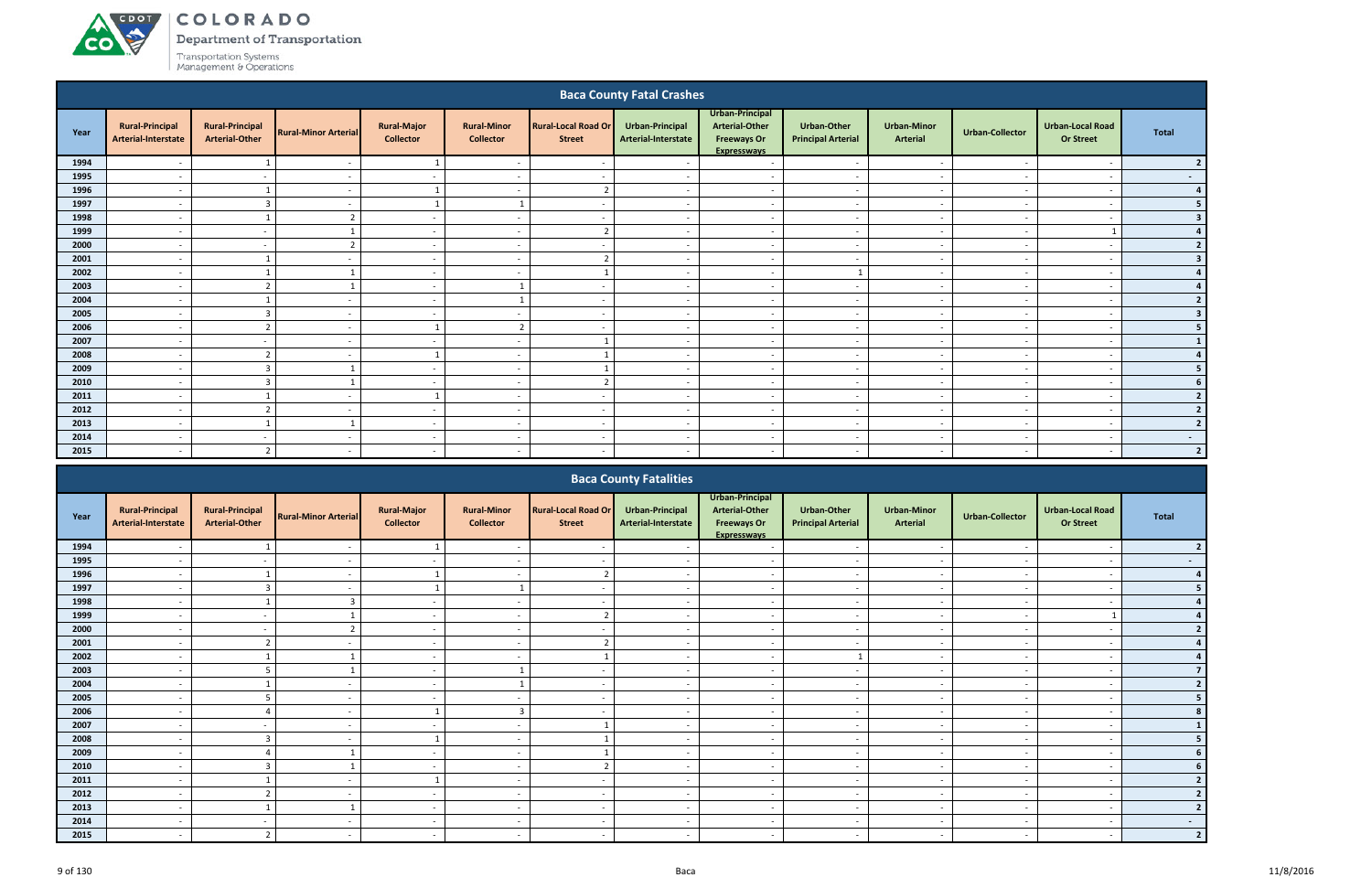#### ACDOL COLORADO

**CO** 

Department of Transportation

|         |                                               |                                                 |                             |                                        |                                        |                                             | <b>Baca County Fatal Crashes</b>       |                                                                                      |                                                 |                                       |                          |                                             |                         |
|---------|-----------------------------------------------|-------------------------------------------------|-----------------------------|----------------------------------------|----------------------------------------|---------------------------------------------|----------------------------------------|--------------------------------------------------------------------------------------|-------------------------------------------------|---------------------------------------|--------------------------|---------------------------------------------|-------------------------|
| Year    | <b>Rural-Principal</b><br>Arterial-Interstate | <b>Rural-Principal</b><br><b>Arterial-Other</b> | <b>Rural-Minor Arterial</b> | <b>Rural-Major</b><br><b>Collector</b> | <b>Rural-Minor</b><br><b>Collector</b> | <b>Rural-Local Road Or</b><br><b>Street</b> | Urban-Principal<br>Arterial-Interstate | Urban-Principal<br><b>Arterial-Other</b><br><b>Freeways Or</b><br><b>Expresswavs</b> | <b>Urban-Other</b><br><b>Principal Arterial</b> | <b>Urban-Minor</b><br><b>Arterial</b> | <b>Urban-Collector</b>   | <b>Urban-Local Road</b><br><b>Or Street</b> | <b>Total</b>            |
| 1994    | $\overline{\phantom{0}}$                      |                                                 | $\overline{\phantom{a}}$    |                                        | $\overline{\phantom{0}}$               | $\overline{\phantom{a}}$                    | $\overline{\phantom{a}}$               | $\overline{\phantom{a}}$                                                             | $\overline{\phantom{0}}$                        | $\sim$                                | $\overline{\phantom{a}}$ | $\overline{\phantom{a}}$                    | 2                       |
| 1995    |                                               | $\sim$                                          | $\sim$                      | $\sim$                                 |                                        |                                             |                                        | $\overline{\phantom{a}}$                                                             | $\overline{\phantom{0}}$                        | $\sim$                                |                          | $\overline{\phantom{a}}$                    | $\sim$ $-$              |
| 1996    | $\overline{\phantom{a}}$                      |                                                 |                             | $\mathbf{1}$                           | $\overline{\phantom{a}}$               | -2                                          |                                        | $\overline{\phantom{a}}$                                                             | $\overline{a}$                                  | $\overline{\phantom{a}}$              |                          | $\overline{\phantom{a}}$                    | 4                       |
| 1997    |                                               | 3                                               |                             |                                        |                                        | $\overline{\phantom{a}}$                    |                                        | $\overline{\phantom{a}}$                                                             | $\sim$                                          | $\sim$                                |                          | $\overline{\phantom{a}}$                    | 5 <sub>1</sub>          |
| 1998    | $\overline{\phantom{a}}$                      |                                                 | $\overline{2}$              | $\sim$                                 | $\overline{\phantom{a}}$               |                                             |                                        | $\overline{a}$                                                                       | $\sim$                                          | $\sim$                                |                          | $\overline{\phantom{a}}$                    | 3                       |
| 1999    |                                               | $\overline{\phantom{a}}$                        |                             | $\overline{\phantom{a}}$               | $\overline{\phantom{a}}$               |                                             |                                        | $\overline{a}$                                                                       | $\overline{\phantom{a}}$                        | $\sim$                                |                          |                                             | $4 \mid$                |
| 2000    |                                               | $\overline{\phantom{a}}$                        | $\overline{2}$              | $\sim$                                 | $\overline{\phantom{a}}$               |                                             |                                        | $\sim$                                                                               | $\overline{\phantom{0}}$                        | $\overline{\phantom{a}}$              |                          | $\overline{\phantom{a}}$                    | $\overline{2}$          |
| 2001    | $\overline{\phantom{a}}$                      |                                                 | $\overline{\phantom{a}}$    | $\overline{\phantom{a}}$               | $\overline{\phantom{a}}$               | $\overline{2}$                              | $\overline{\phantom{a}}$               | $\overline{a}$                                                                       | $\sim$                                          | $\overline{\phantom{a}}$              | $\overline{\phantom{a}}$ | $\overline{\phantom{a}}$                    | $\overline{\mathbf{3}}$ |
| 2002    |                                               |                                                 |                             | $\sim$                                 | $\overline{\phantom{a}}$               |                                             |                                        | $\sim$                                                                               | 1                                               | $\sim$                                |                          | $\overline{\phantom{a}}$                    | 4                       |
| 2003    |                                               | $\overline{2}$                                  |                             | $\overline{\phantom{a}}$               |                                        |                                             |                                        | $\overline{\phantom{a}}$                                                             |                                                 | $\overline{\phantom{a}}$              |                          | $\overline{\phantom{a}}$                    | $\overline{4}$          |
| 2004    | $\overline{\phantom{0}}$                      |                                                 | $\overline{\phantom{a}}$    | $\sim$                                 | $\mathbf{1}$                           |                                             | $\overline{\phantom{a}}$               | $\overline{\phantom{a}}$                                                             | $\sim$                                          | $\overline{\phantom{a}}$              | $\overline{\phantom{a}}$ | $\overline{\phantom{a}}$                    | $2 \mid$                |
| 2005    |                                               | $\overline{3}$                                  |                             | $\sim$                                 | $\overline{\phantom{a}}$               | $\overline{\phantom{a}}$                    |                                        | $\overline{\phantom{a}}$                                                             | $\sim$                                          | $\sim$                                |                          | $\overline{\phantom{a}}$                    | 3 <sup>1</sup>          |
| 2006    |                                               | $\overline{2}$                                  |                             |                                        | $\overline{2}$                         |                                             |                                        | $\overline{\phantom{a}}$                                                             | $\overline{\phantom{a}}$                        | $\overline{\phantom{a}}$              |                          | $\overline{\phantom{a}}$                    | 5 <sub>1</sub>          |
| 2007    |                                               | $\overline{\phantom{a}}$                        |                             | $\sim$                                 | $\overline{\phantom{0}}$               |                                             |                                        | $\overline{\phantom{a}}$                                                             | $\overline{\phantom{0}}$                        | $\sim$                                |                          | $\overline{\phantom{a}}$                    | $\mathbf{1}$            |
| 2008    |                                               | $\overline{2}$                                  |                             | 1                                      | $\overline{\phantom{a}}$               |                                             |                                        | $\overline{\phantom{a}}$                                                             | $\overline{\phantom{a}}$                        | $\overline{\phantom{a}}$              |                          | $\overline{\phantom{a}}$                    | 4                       |
| 2009    |                                               | $\overline{3}$                                  |                             | $\overline{\phantom{a}}$               |                                        |                                             |                                        | $\overline{\phantom{a}}$                                                             | $\overline{\phantom{a}}$                        | $\sim$                                |                          | $\overline{\phantom{a}}$                    | 5 <sub>1</sub>          |
| 2010    | $\overline{\phantom{0}}$                      | $\overline{3}$                                  |                             | $\sim$                                 | $\overline{\phantom{0}}$               | ຳ                                           | $\overline{\phantom{a}}$               | $\overline{\phantom{a}}$                                                             | $\overline{\phantom{a}}$                        | $\sim$                                | $\overline{\phantom{a}}$ | $\overline{\phantom{a}}$                    | 6 <sup>1</sup>          |
| 2011    |                                               |                                                 |                             | -1                                     | $\overline{\phantom{a}}$               |                                             |                                        | $\sim$                                                                               | $\overline{\phantom{a}}$                        | $\overline{\phantom{a}}$              |                          | $\overline{\phantom{a}}$                    | $\overline{2}$          |
| 2012    |                                               | $\overline{2}$                                  |                             | $\sim$                                 | $\overline{\phantom{a}}$               |                                             |                                        | $\sim$                                                                               | $\sim$                                          | $\sim$                                |                          | $\overline{\phantom{a}}$                    | $2 \mid$                |
| 2013    | $\overline{\phantom{0}}$                      |                                                 | $\mathbf{1}$                | $\sim$                                 | $\overline{\phantom{a}}$               | $\overline{\phantom{a}}$                    |                                        | $\overline{\phantom{a}}$                                                             | $\overline{\phantom{a}}$                        | $\sim$                                |                          | $\overline{\phantom{a}}$                    | 2 <sup>1</sup>          |
| 2014    | $\overline{\phantom{a}}$                      | $\overline{\phantom{a}}$                        | $\sim$                      | $\sim$                                 | $\overline{\phantom{a}}$               | $\overline{\phantom{a}}$                    | . .                                    | $\overline{a}$                                                                       | $\sim$                                          | $\overline{\phantom{a}}$              |                          | $\overline{\phantom{a}}$                    | $\sim$ $-$              |
| 2015    |                                               | $\overline{z}$                                  |                             | <b>.</b>                               |                                        |                                             |                                        |                                                                                      |                                                 |                                       |                          |                                             | 2 <sup>1</sup>          |
|         |                                               |                                                 |                             |                                        |                                        |                                             | <b>Baca County Fatalities</b>          |                                                                                      |                                                 |                                       |                          |                                             |                         |
| $V = V$ | <b>Rural-Principal</b>                        | <b>Rural-Principal</b>                          | <b>Dural Miner Arterial</b> | <b>Rural-Major</b>                     | <b>Rural-Minor</b>                     | <b>Rural-Local Road Or</b>                  | <b>Urban-Principal</b>                 | Urban-Principal<br><b>Arterial-Other</b>                                             | <b>Urban-Other</b>                              | <b>Urban-Minor</b>                    |                          | Urban-Local Road                            | <b>Tatal</b>            |

|      |                                               |                                                 |                             |                                        |                                        |                                             | <b>Paca County Fatalities</b>          |                                                                                      |                                                 |                                       |                          |                                             |                          |
|------|-----------------------------------------------|-------------------------------------------------|-----------------------------|----------------------------------------|----------------------------------------|---------------------------------------------|----------------------------------------|--------------------------------------------------------------------------------------|-------------------------------------------------|---------------------------------------|--------------------------|---------------------------------------------|--------------------------|
| Year | <b>Rural-Principal</b><br>Arterial-Interstate | <b>Rural-Principal</b><br><b>Arterial-Other</b> | <b>Rural-Minor Arterial</b> | <b>Rural-Major</b><br><b>Collector</b> | <b>Rural-Minor</b><br><b>Collector</b> | <b>Rural-Local Road Or</b><br><b>Street</b> | Urban-Principal<br>Arterial-Interstate | Urban-Principal<br><b>Arterial-Other</b><br><b>Freeways Or</b><br><b>Expresswavs</b> | <b>Urban-Other</b><br><b>Principal Arterial</b> | <b>Urban-Minor</b><br><b>Arterial</b> | Urban-Collector          | <b>Urban-Local Road</b><br><b>Or Street</b> | Total                    |
| 1994 |                                               |                                                 |                             |                                        |                                        |                                             |                                        |                                                                                      |                                                 |                                       |                          |                                             |                          |
| 1995 |                                               |                                                 |                             |                                        |                                        |                                             |                                        | $\overline{\phantom{0}}$                                                             |                                                 |                                       |                          | $\overline{\phantom{a}}$                    |                          |
| 1996 |                                               |                                                 |                             |                                        |                                        |                                             |                                        | $\overline{\phantom{0}}$                                                             |                                                 |                                       |                          |                                             |                          |
| 1997 |                                               | P                                               | $\sim$                      |                                        |                                        | $\sim$                                      | $\sim$                                 | $\sim$                                                                               | $\sim$                                          | $\overline{\phantom{a}}$              |                          | $\overline{\phantom{a}}$                    |                          |
| 1998 | $\overline{\phantom{0}}$                      |                                                 | 3                           | $\sim$                                 | $\overline{\phantom{0}}$               | $\sim$                                      |                                        | $\sim$                                                                               | $\overline{\phantom{a}}$                        | $\overline{\phantom{a}}$              |                          | $\overline{\phantom{a}}$                    |                          |
| 1999 |                                               | $\sim$                                          |                             | $\sim$                                 |                                        |                                             |                                        | $\overline{\phantom{a}}$                                                             | $\overline{\phantom{a}}$                        |                                       |                          |                                             |                          |
| 2000 |                                               |                                                 |                             | $\sim$                                 |                                        |                                             |                                        | $\sim$                                                                               | $\overline{\phantom{a}}$                        | $\overline{\phantom{a}}$              |                          |                                             |                          |
| 2001 |                                               |                                                 |                             | $\sim$                                 |                                        |                                             |                                        | $\overline{\phantom{0}}$                                                             |                                                 |                                       |                          |                                             |                          |
| 2002 |                                               |                                                 |                             | $\sim$                                 |                                        |                                             |                                        | $\overline{\phantom{a}}$                                                             |                                                 |                                       |                          |                                             |                          |
| 2003 |                                               |                                                 |                             | $\sim$                                 |                                        |                                             |                                        | $\sim$                                                                               | $\overline{\phantom{a}}$                        | $\overline{\phantom{a}}$              |                          | $\overline{\phantom{a}}$                    |                          |
| 2004 | $\overline{\phantom{0}}$                      |                                                 |                             | $\sim$                                 |                                        | $\sim$                                      | $\overline{\phantom{0}}$               | $\overline{\phantom{0}}$                                                             | $\overline{\phantom{a}}$                        | $\overline{\phantom{a}}$              | $\overline{\phantom{a}}$ | $\overline{\phantom{a}}$                    |                          |
| 2005 |                                               | 5                                               |                             | $\sim$                                 |                                        |                                             |                                        | $\overline{a}$                                                                       | $\overline{\phantom{a}}$                        | $\overline{\phantom{a}}$              |                          | $\overline{\phantom{a}}$                    |                          |
| 2006 |                                               |                                                 |                             |                                        |                                        |                                             |                                        | $\overline{\phantom{0}}$                                                             |                                                 |                                       |                          |                                             |                          |
| 2007 |                                               |                                                 |                             |                                        |                                        |                                             |                                        |                                                                                      |                                                 |                                       |                          |                                             |                          |
| 2008 |                                               | $\overline{3}$                                  |                             |                                        |                                        |                                             |                                        |                                                                                      |                                                 |                                       |                          |                                             |                          |
| 2009 |                                               |                                                 |                             | $\sim$                                 |                                        |                                             |                                        | $\overline{\phantom{0}}$                                                             | $\overline{\phantom{0}}$                        | $\overline{\phantom{a}}$              |                          | $\overline{\phantom{0}}$                    |                          |
| 2010 |                                               | 3                                               |                             | $\sim$                                 |                                        |                                             |                                        | $\overline{\phantom{a}}$                                                             | $\overline{\phantom{a}}$                        |                                       |                          |                                             |                          |
| 2011 |                                               |                                                 |                             |                                        |                                        | $\sim$                                      |                                        | $\sim$                                                                               | $\overline{\phantom{a}}$                        | $\overline{\phantom{a}}$              |                          | $\overline{\phantom{a}}$                    |                          |
| 2012 |                                               |                                                 |                             |                                        |                                        |                                             |                                        |                                                                                      |                                                 |                                       |                          |                                             |                          |
| 2013 |                                               |                                                 |                             | $\sim$                                 |                                        |                                             |                                        | $\overline{\phantom{0}}$                                                             |                                                 |                                       |                          |                                             |                          |
| 2014 |                                               |                                                 |                             |                                        |                                        | $\sim$                                      |                                        |                                                                                      |                                                 |                                       |                          |                                             | $\overline{\phantom{0}}$ |
| 2015 |                                               |                                                 |                             |                                        |                                        |                                             |                                        |                                                                                      |                                                 |                                       |                          |                                             |                          |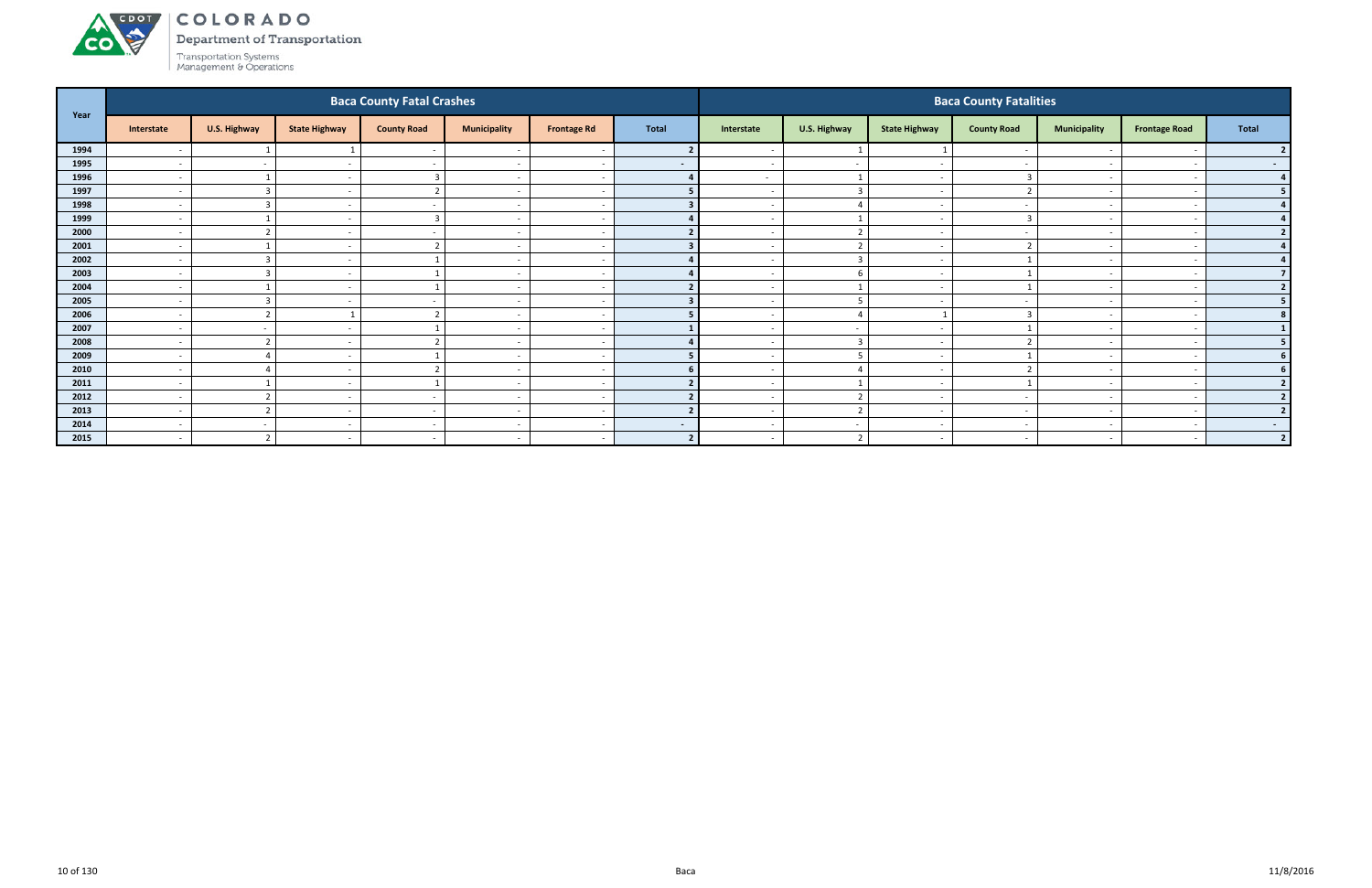

Department of Transportation

|      |                          |                         |                          | <b>Baca County Fatal Crashes</b> |                          |                          |                          |                          |                          |                          | <b>Baca County Fatalities</b> |                          |                          |                  |
|------|--------------------------|-------------------------|--------------------------|----------------------------------|--------------------------|--------------------------|--------------------------|--------------------------|--------------------------|--------------------------|-------------------------------|--------------------------|--------------------------|------------------|
| Year | Interstate               | U.S. Highway            | <b>State Highway</b>     | <b>County Road</b>               | <b>Municipality</b>      | <b>Frontage Rd</b>       | <b>Total</b>             | Interstate               | U.S. Highway             | <b>State Highway</b>     | <b>County Road</b>            | <b>Municipality</b>      | <b>Frontage Road</b>     | Total            |
| 1994 | $\overline{\phantom{a}}$ |                         |                          | $\sim$                           |                          |                          |                          |                          |                          |                          |                               |                          |                          |                  |
| 1995 | $\overline{\phantom{a}}$ | $\sim$                  | $\overline{\phantom{a}}$ | $\sim$                           | $\overline{\phantom{a}}$ | $\overline{\phantom{a}}$ | $\blacksquare$           | $\sim$                   | $\sim$                   | $\sim$                   |                               | $\overline{\phantom{0}}$ |                          | $\sim$ 100 $\mu$ |
| 1996 | $\overline{\phantom{a}}$ |                         |                          |                                  | $\overline{\phantom{a}}$ |                          |                          | $\sim$                   | 1                        | $\sim$                   |                               | $\sim$                   |                          | $\overline{4}$   |
| 1997 | $\overline{\phantom{a}}$ | $\overline{3}$          | $\overline{\phantom{a}}$ | ຳ                                | $\overline{\phantom{a}}$ |                          |                          | $\sim$                   | $\overline{\mathbf{3}}$  | $\overline{\phantom{a}}$ |                               | $\overline{\phantom{0}}$ |                          | 5 <sub>1</sub>   |
| 1998 | $\overline{\phantom{a}}$ | $\overline{3}$          |                          |                                  | $\overline{\phantom{0}}$ |                          |                          |                          | $\overline{4}$           | $\sim$                   |                               |                          |                          |                  |
| 1999 | $\overline{\phantom{a}}$ |                         |                          |                                  | $\overline{\phantom{a}}$ |                          |                          |                          |                          | $\overline{\phantom{a}}$ |                               |                          |                          |                  |
| 2000 | $\overline{\phantom{a}}$ | ຳ                       | $\overline{\phantom{a}}$ | $\sim$                           | $\overline{\phantom{a}}$ |                          |                          | $\overline{\phantom{a}}$ | $\mathcal{D}$            | $\sim$                   |                               |                          |                          | $\overline{2}$   |
| 2001 | $\overline{\phantom{a}}$ |                         | $\overline{\phantom{a}}$ |                                  | $\overline{\phantom{a}}$ |                          |                          | $\sim$                   | $\overline{2}$           | $\sim$                   |                               | $\sim$                   |                          |                  |
| 2002 | $\overline{\phantom{a}}$ | $\overline{3}$          |                          |                                  | $\overline{\phantom{a}}$ |                          |                          |                          | $\overline{3}$           | $\overline{\phantom{a}}$ |                               |                          |                          |                  |
| 2003 | $\overline{\phantom{a}}$ | $\overline{3}$          | $\overline{\phantom{a}}$ |                                  | $\overline{\phantom{a}}$ |                          |                          | $\overline{\phantom{a}}$ | 6                        | $\sim$                   |                               | $\overline{\phantom{0}}$ |                          |                  |
| 2004 | $\overline{\phantom{a}}$ |                         |                          |                                  | $\overline{\phantom{a}}$ |                          |                          |                          |                          | $\overline{\phantom{a}}$ |                               |                          |                          |                  |
| 2005 | $\overline{\phantom{a}}$ | $\overline{3}$          |                          |                                  | $\overline{\phantom{a}}$ |                          |                          |                          | 5                        | $\overline{\phantom{a}}$ |                               |                          |                          | 5 <sub>1</sub>   |
| 2006 | $\overline{\phantom{a}}$ | $\overline{2}$          |                          | ຳ                                | $\overline{\phantom{a}}$ |                          |                          | $\sim$                   | $\overline{a}$           |                          |                               | $\sim$                   |                          | 8                |
| 2007 | $\overline{\phantom{a}}$ | $\sim$                  | $\overline{\phantom{a}}$ |                                  | $\overline{\phantom{a}}$ |                          |                          | $\overline{\phantom{0}}$ | $\overline{\phantom{a}}$ | $\overline{\phantom{a}}$ |                               |                          |                          |                  |
| 2008 | $\overline{\phantom{a}}$ | $\mathbf{\overline{1}}$ |                          |                                  | $\overline{\phantom{a}}$ |                          |                          | $\overline{\phantom{0}}$ | $\overline{3}$           | $\sim$                   |                               |                          |                          | 5                |
| 2009 | $\overline{\phantom{a}}$ | Δ                       |                          |                                  | $\overline{\phantom{a}}$ | $\overline{\phantom{a}}$ |                          | $\sim$                   | -5                       | $\sim$                   |                               | $\overline{\phantom{a}}$ |                          |                  |
| 2010 | $\overline{\phantom{a}}$ | 4                       | $\overline{\phantom{a}}$ |                                  | $\overline{\phantom{a}}$ |                          |                          |                          | $\overline{4}$           | $\overline{\phantom{a}}$ |                               |                          |                          | 6 <sup>1</sup>   |
| 2011 | $\overline{\phantom{a}}$ |                         | $\overline{\phantom{a}}$ |                                  | $\overline{\phantom{a}}$ | $\overline{\phantom{a}}$ |                          | $\sim$                   |                          | $\sim$                   |                               | $\sim$                   |                          | $\overline{2}$   |
| 2012 | $\overline{\phantom{a}}$ | $\overline{2}$          | $\overline{\phantom{0}}$ | $\sim$                           | $\overline{\phantom{a}}$ | $\overline{\phantom{a}}$ |                          | $\sim$                   | $\overline{2}$           | $\sim$                   | $\overline{\phantom{a}}$      | $\overline{\phantom{0}}$ |                          |                  |
| 2013 | $\overline{\phantom{a}}$ | ຳ                       | $\overline{\phantom{a}}$ | $\sim$                           | $\overline{\phantom{a}}$ |                          |                          | $\sim$                   | $\overline{2}$           | $\sim$                   |                               | $\sim$                   |                          |                  |
| 2014 | $\overline{\phantom{a}}$ | $\sim$                  |                          | $\sim$                           | $\overline{\phantom{a}}$ | $\overline{\phantom{a}}$ | $\sim$                   | $\sim$                   | $\overline{\phantom{a}}$ | $\overline{\phantom{0}}$ |                               | $\overline{\phantom{0}}$ |                          | $\sim$           |
| 2015 | $\overline{\phantom{a}}$ | $\overline{2}$          | $\overline{\phantom{a}}$ | $\sim$                           | $\overline{\phantom{a}}$ | $\overline{\phantom{a}}$ | $\overline{\phantom{a}}$ | $\overline{\phantom{0}}$ | $\overline{2}$           | $\overline{\phantom{a}}$ | $\overline{\phantom{a}}$      |                          | $\overline{\phantom{a}}$ | 2 <sup>1</sup>   |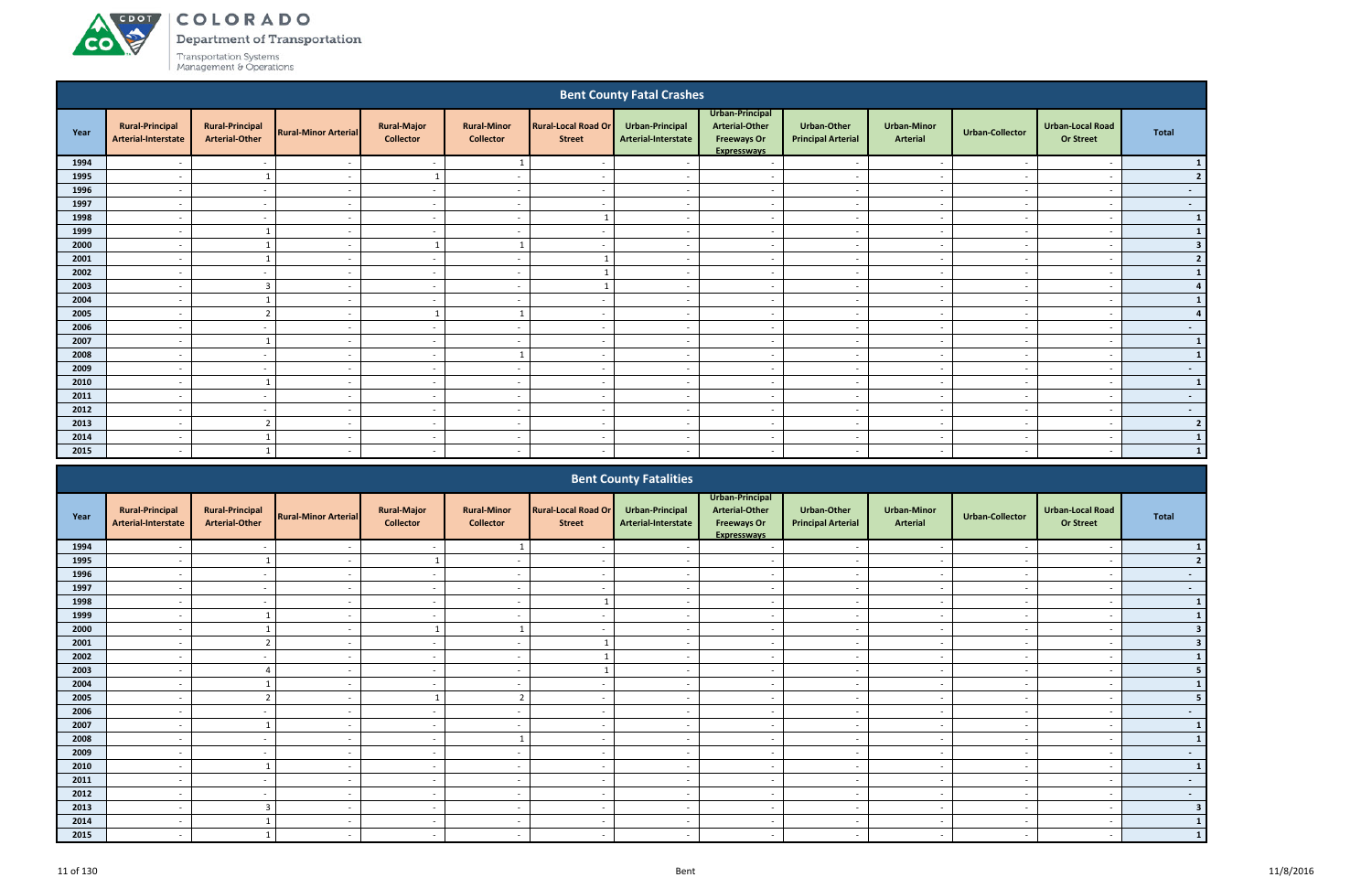# ACDOL **CO**

# COLORADO

Department of Transportation

|      |                                               |                                                 |                             |                                        |                                        |                                             | <b>Bent County Fatal Crashes</b>       |                                                                                      |                                                 |                                       |                          |                                             |                  |
|------|-----------------------------------------------|-------------------------------------------------|-----------------------------|----------------------------------------|----------------------------------------|---------------------------------------------|----------------------------------------|--------------------------------------------------------------------------------------|-------------------------------------------------|---------------------------------------|--------------------------|---------------------------------------------|------------------|
| Year | <b>Rural-Principal</b><br>Arterial-Interstate | <b>Rural-Principal</b><br><b>Arterial-Other</b> | <b>Rural-Minor Arterial</b> | <b>Rural-Major</b><br><b>Collector</b> | <b>Rural-Minor</b><br><b>Collector</b> | <b>Rural-Local Road Or</b><br><b>Street</b> | Urban-Principal<br>Arterial-Interstate | Urban-Principal<br><b>Arterial-Other</b><br><b>Freeways Or</b><br><b>Expressways</b> | <b>Urban-Other</b><br><b>Principal Arterial</b> | <b>Urban-Minor</b><br><b>Arterial</b> | Urban-Collector          | <b>Urban-Local Road</b><br><b>Or Street</b> | <b>Total</b>     |
| 1994 |                                               | $\overline{a}$                                  | $\overline{\phantom{a}}$    | $\sim$                                 |                                        | $\overline{\phantom{a}}$                    |                                        | $\sim$                                                                               | $\overline{\phantom{a}}$                        | $\overline{\phantom{a}}$              |                          | $\overline{\phantom{a}}$                    | $\mathbf{1}$     |
| 1995 |                                               |                                                 | $\overline{\phantom{a}}$    |                                        | $\overline{\phantom{a}}$               | $\overline{\phantom{a}}$                    | $\sim$                                 | $\overline{a}$                                                                       | $\overline{\phantom{a}}$                        | $\overline{\phantom{a}}$              |                          | $\overline{\phantom{a}}$                    | 2                |
| 1996 | $\overline{\phantom{a}}$                      | $\sim$                                          | $\overline{\phantom{a}}$    | $\sim$                                 | $\overline{\phantom{a}}$               | $\sim$                                      | $\sim$                                 | $\sim$                                                                               | $\sim$                                          | $\sim$                                | . .                      | $\sim$                                      | $\sim$ $-$       |
| 1997 | $\overline{\phantom{a}}$                      | $\overline{\phantom{a}}$                        | $\overline{\phantom{a}}$    | $\sim$                                 | $\overline{a}$                         | $\sim$                                      | $\overline{\phantom{a}}$               | $\sim$                                                                               | $\overline{\phantom{a}}$                        | $\sim$                                |                          | $\overline{\phantom{a}}$                    | $\sim 100$       |
| 1998 | $\overline{\phantom{a}}$                      | $\overline{\phantom{a}}$                        | $\overline{a}$              | $\sim$                                 | $\overline{a}$                         |                                             | $\sim$                                 | $\overline{a}$                                                                       | $\overline{\phantom{a}}$                        | $\overline{\phantom{a}}$              | $\overline{\phantom{a}}$ | $\overline{a}$                              | $\mathbf{1}$     |
| 1999 | $\overline{\phantom{a}}$                      | $\mathbf{1}$                                    | $\overline{a}$              | $\sim$                                 | $\overline{a}$                         | $\sim$                                      | $\overline{a}$                         | $\overline{a}$                                                                       | $\overline{\phantom{a}}$                        | $\sim$                                |                          | $\overline{\phantom{0}}$                    | $\vert$ 1        |
| 2000 |                                               |                                                 | $\overline{\phantom{a}}$    |                                        |                                        | $\overline{\phantom{a}}$                    |                                        | $\overline{\phantom{a}}$                                                             |                                                 | $\overline{\phantom{a}}$              |                          | $\overline{\phantom{a}}$                    | 3 <sup>1</sup>   |
| 2001 | $\overline{a}$                                |                                                 | $\overline{\phantom{a}}$    | $\sim$                                 | $\overline{a}$                         |                                             | $\sim$                                 | $\sim$                                                                               | $\overline{\phantom{a}}$                        | $\sim$                                | $\overline{\phantom{a}}$ | $\overline{\phantom{a}}$                    | $2 \mid$         |
| 2002 | $\overline{\phantom{a}}$                      | $\sim$                                          | $\overline{\phantom{a}}$    | $\sim$                                 | $\overline{a}$                         |                                             | $\sim$                                 | $\sim$                                                                               | $\overline{\phantom{0}}$                        | $\overline{\phantom{0}}$              | $\sim$                   | $\overline{\phantom{0}}$                    | $\mathbf{1}$     |
| 2003 | $\overline{\phantom{a}}$                      | $\overline{3}$                                  | $\overline{a}$              | $\sim$                                 | $\overline{a}$                         |                                             | $\sim$                                 | $\sim$                                                                               | $\sim$                                          | $\sim$                                | $\sim$                   | $\overline{a}$                              | 4                |
| 2004 | $\overline{\phantom{a}}$                      |                                                 | $\overline{\phantom{a}}$    | $\sim$                                 | $\overline{a}$                         | $\sim$                                      | $\sim$                                 | $\overline{a}$                                                                       | $\overline{\phantom{a}}$                        | $\sim$                                |                          | $\overline{\phantom{a}}$                    | $1\vert$         |
| 2005 | $\overline{\phantom{a}}$                      | $\overline{\phantom{a}}$                        | $\overline{\phantom{a}}$    |                                        |                                        | $\sim$                                      | $\sim$                                 | $\sim$                                                                               |                                                 | $\overline{\phantom{a}}$              |                          | $\overline{\phantom{a}}$                    | 4                |
| 2006 | $\overline{\phantom{a}}$                      | $\overline{\phantom{a}}$                        | $\sim$                      | $\sim$                                 | $\overline{a}$                         | $\sim$                                      | $\sim$                                 | $\sim$                                                                               | $\sim$                                          | $\sim$                                | $\overline{\phantom{a}}$ | $\overline{\phantom{0}}$                    | $\sim 100$       |
| 2007 | $\overline{\phantom{a}}$                      | $\overline{\mathbf{1}}$                         | $\overline{a}$              | $\sim$                                 | $\overline{a}$                         | $\sim$                                      | $\overline{\phantom{a}}$               | $\sim$                                                                               | $\sim$                                          | $\sim$                                | $\overline{\phantom{a}}$ | $\overline{\phantom{a}}$                    | $\mathbf{1}$     |
| 2008 | $\overline{a}$                                | $\overline{\phantom{a}}$                        | $\overline{\phantom{a}}$    | $\sim$                                 | $\mathbf{1}$                           | $\overline{\phantom{a}}$                    | $\sim$                                 | $\overline{a}$                                                                       | $\sim$                                          | $\sim$                                | $\overline{\phantom{a}}$ | $\overline{a}$                              | $\mathbf{1}$     |
| 2009 | $\overline{\phantom{a}}$                      | $\sim$                                          | $\overline{\phantom{a}}$    | $\sim$                                 | $\overline{a}$                         | $\overline{\phantom{a}}$                    | $\sim$                                 | $\overline{a}$                                                                       | $\sim$                                          | $\sim$                                |                          | $\overline{\phantom{a}}$                    | $\sim$           |
| 2010 | $\overline{\phantom{0}}$                      |                                                 | $\overline{\phantom{a}}$    | $\sim$                                 | $\overline{\phantom{a}}$               | $\overline{\phantom{a}}$                    | $\overline{a}$                         | $\overline{a}$                                                                       | $\overline{\phantom{a}}$                        | $\overline{\phantom{a}}$              |                          | $\overline{\phantom{a}}$                    | $\mathbf{1}$     |
| 2011 | $\overline{\phantom{a}}$                      | $\overline{\phantom{a}}$                        | $\overline{\phantom{a}}$    | $\sim$                                 | $\overline{\phantom{a}}$               | $\overline{\phantom{a}}$                    | $\overline{a}$                         | $\sim$                                                                               | $\overline{\phantom{a}}$                        | $\sim$                                | . .                      | $\overline{\phantom{a}}$                    | $\sim$           |
| 2012 | $\overline{\phantom{a}}$                      | $\overline{\phantom{a}}$                        | $\sim$                      | $\sim$                                 | $\overline{a}$                         | $\sim$                                      | $\sim$                                 | $\sim$                                                                               | $\sim$                                          | $\sim$                                | $\sim$                   | $\overline{\phantom{a}}$                    | $\sim$ 100 $\mu$ |
| 2013 | $\overline{\phantom{a}}$                      | $\overline{2}$                                  | $\overline{a}$              | $\sim$                                 | $\overline{a}$                         | $\overline{\phantom{a}}$                    | $\sim$                                 | $\overline{a}$                                                                       | $\overline{\phantom{a}}$                        | $\overline{\phantom{a}}$              | $\overline{\phantom{a}}$ | . —                                         | 2                |
| 2014 | $\overline{\phantom{a}}$                      | $\mathbf{1}$                                    | $\sim$                      | $\sim$                                 | $\overline{a}$                         | $\overline{\phantom{a}}$                    | $\sim$                                 | $\overline{a}$                                                                       | $\overline{\phantom{0}}$                        | $\overline{\phantom{a}}$              | . .                      | $\overline{\phantom{a}}$                    | $\vert$ 1        |
| 2015 |                                               |                                                 | $\overline{\phantom{a}}$    | $\sim$                                 | $\overline{\phantom{a}}$               | $\overline{a}$                              | $\overline{a}$                         | $\overline{a}$                                                                       |                                                 | $\overline{\phantom{a}}$              |                          |                                             | 1                |
|      |                                               |                                                 |                             |                                        |                                        |                                             |                                        |                                                                                      |                                                 |                                       |                          |                                             |                  |

|      |                                               |                                                 |                             |                                        |                                        |                                             | <b>Bent County Fatalities</b>                 |                                                                                      |                                                 |                                       |                          |                                             |                          |
|------|-----------------------------------------------|-------------------------------------------------|-----------------------------|----------------------------------------|----------------------------------------|---------------------------------------------|-----------------------------------------------|--------------------------------------------------------------------------------------|-------------------------------------------------|---------------------------------------|--------------------------|---------------------------------------------|--------------------------|
| Year | <b>Rural-Principal</b><br>Arterial-Interstate | <b>Rural-Principal</b><br><b>Arterial-Other</b> | <b>Rural-Minor Arterial</b> | <b>Rural-Major</b><br><b>Collector</b> | <b>Rural-Minor</b><br><b>Collector</b> | <b>Rural-Local Road Or</b><br><b>Street</b> | <b>Urban-Principal</b><br>Arterial-Interstate | Urban-Principal<br><b>Arterial-Other</b><br><b>Freeways Or</b><br><b>Expressways</b> | <b>Urban-Other</b><br><b>Principal Arterial</b> | <b>Urban-Minor</b><br><b>Arterial</b> | Urban-Collector          | <b>Urban-Local Road</b><br><b>Or Street</b> | <b>Total</b>             |
| 1994 |                                               |                                                 |                             |                                        |                                        |                                             |                                               |                                                                                      |                                                 |                                       |                          |                                             |                          |
| 1995 |                                               |                                                 |                             |                                        |                                        |                                             |                                               |                                                                                      |                                                 |                                       |                          |                                             | $\overline{2}$           |
| 1996 |                                               |                                                 |                             | $\sim$                                 | $\overline{\phantom{a}}$               | $\sim$                                      | $\overline{\phantom{a}}$                      | $\overline{\phantom{a}}$                                                             | $\sim$                                          | $\sim$                                | $\sim$                   | $\overline{\phantom{a}}$                    | $\sim$                   |
| 1997 |                                               |                                                 |                             | $\sim$                                 |                                        | $\overline{\phantom{0}}$                    |                                               | $\overline{\phantom{a}}$                                                             | $\sim$                                          | $\overline{\phantom{a}}$              |                          |                                             | $\sim$ $-$               |
| 1998 |                                               |                                                 |                             | $\sim$                                 |                                        |                                             |                                               | $\overline{\phantom{a}}$                                                             | $\overline{\phantom{a}}$                        | $\overline{\phantom{a}}$              |                          |                                             | $\mathbf{1}$             |
| 1999 |                                               |                                                 |                             | $\sim$                                 | $\overline{\phantom{a}}$               | $\sim$                                      |                                               | $\overline{\phantom{a}}$                                                             | $\overline{\phantom{a}}$                        | $\overline{\phantom{a}}$              | $\overline{\phantom{a}}$ |                                             |                          |
| 2000 |                                               |                                                 |                             |                                        |                                        |                                             |                                               | $\overline{\phantom{0}}$                                                             | $\sim$                                          | $\overline{\phantom{a}}$              |                          |                                             |                          |
| 2001 | $\overline{\phantom{0}}$                      | ຳ                                               | $\sim$                      | $\sim$                                 | $\overline{a}$                         |                                             | $\overline{\phantom{a}}$                      | $\overline{\phantom{a}}$                                                             | $\overline{\phantom{a}}$                        | $\sim$                                | $\sim$                   | $\overline{\phantom{a}}$                    |                          |
| 2002 |                                               |                                                 |                             | $\sim$                                 |                                        |                                             |                                               | $\overline{\phantom{a}}$                                                             | $\overline{\phantom{a}}$                        | $\sim$                                |                          |                                             |                          |
| 2003 |                                               |                                                 |                             | $\sim$                                 |                                        |                                             |                                               | $\overline{\phantom{a}}$                                                             | $\overline{\phantom{0}}$                        | $\overline{\phantom{a}}$              |                          |                                             |                          |
| 2004 |                                               |                                                 |                             |                                        | $\overline{\phantom{a}}$               | $\overline{\phantom{a}}$                    |                                               |                                                                                      | $\overline{\phantom{a}}$                        | $\overline{\phantom{a}}$              |                          |                                             |                          |
| 2005 |                                               |                                                 |                             |                                        | $\mathbf{r}$                           | $\overline{\phantom{0}}$                    |                                               | $\overline{\phantom{0}}$                                                             | $\overline{\phantom{a}}$                        | $\overline{\phantom{0}}$              |                          |                                             |                          |
| 2006 | $\overline{\phantom{a}}$                      | $\sim$                                          | $\sim$                      | $\sim$                                 | $\sim$                                 | $\overline{\phantom{a}}$                    | $\sim$                                        | $\overline{\phantom{a}}$                                                             | $\sim$                                          | $\sim$                                | $\sim$                   | $\overline{\phantom{a}}$                    | $\sim$                   |
| 2007 |                                               |                                                 |                             | $\sim$                                 |                                        | $\overline{\phantom{a}}$                    |                                               | $\overline{\phantom{a}}$                                                             | $\sim$                                          | $\sim$                                |                          |                                             | $\mathbf{1}$             |
| 2008 |                                               |                                                 |                             | $\sim$                                 |                                        | $\sim$                                      |                                               | $\overline{\phantom{a}}$                                                             | $\sim$                                          | $\sim$                                | $\overline{\phantom{a}}$ |                                             |                          |
| 2009 |                                               |                                                 |                             | $\sim$                                 |                                        | $\overline{\phantom{a}}$                    |                                               | $\overline{\phantom{0}}$                                                             | $\overline{\phantom{0}}$                        | $\overline{\phantom{0}}$              |                          |                                             | $\overline{\phantom{a}}$ |
| 2010 |                                               |                                                 |                             | $\sim$                                 | $\overline{\phantom{a}}$               | $\overline{\phantom{0}}$                    |                                               | $\overline{\phantom{a}}$                                                             | $\overline{\phantom{a}}$                        | $\overline{\phantom{a}}$              | $\overline{a}$           |                                             | $\mathbf{1}$             |
| 2011 | $\overline{\phantom{a}}$                      | $\sim$                                          |                             | $\sim$                                 | $\overline{\phantom{0}}$               | $\sim$                                      | $\overline{\phantom{a}}$                      | $\overline{\phantom{a}}$                                                             | $\overline{\phantom{a}}$                        | $\overline{\phantom{a}}$              | $\overline{\phantom{a}}$ |                                             | $\sim$ $-$               |
| 2012 |                                               |                                                 |                             | $\sim$                                 | $\overline{\phantom{a}}$               | $\sim$                                      |                                               | $\overline{\phantom{a}}$                                                             | $\sim$                                          | $\sim$                                |                          |                                             | $\sim$                   |
| 2013 |                                               | $\overline{3}$                                  |                             | $\sim$                                 | $\overline{a}$                         | $\sim$                                      | $\overline{\phantom{a}}$                      | $\overline{\phantom{a}}$                                                             | $\sim$                                          | $\sim$                                | $\sim$                   |                                             | $\overline{\mathbf{3}}$  |
| 2014 |                                               |                                                 |                             |                                        |                                        | $\overline{\phantom{0}}$                    |                                               |                                                                                      | $\overline{\phantom{a}}$                        | $\overline{\phantom{0}}$              |                          |                                             |                          |
| 2015 |                                               |                                                 |                             | $\sim$                                 | $\overline{\phantom{0}}$               | $\sim$                                      |                                               |                                                                                      | $\overline{\phantom{a}}$                        | $\overline{\phantom{0}}$              |                          |                                             |                          |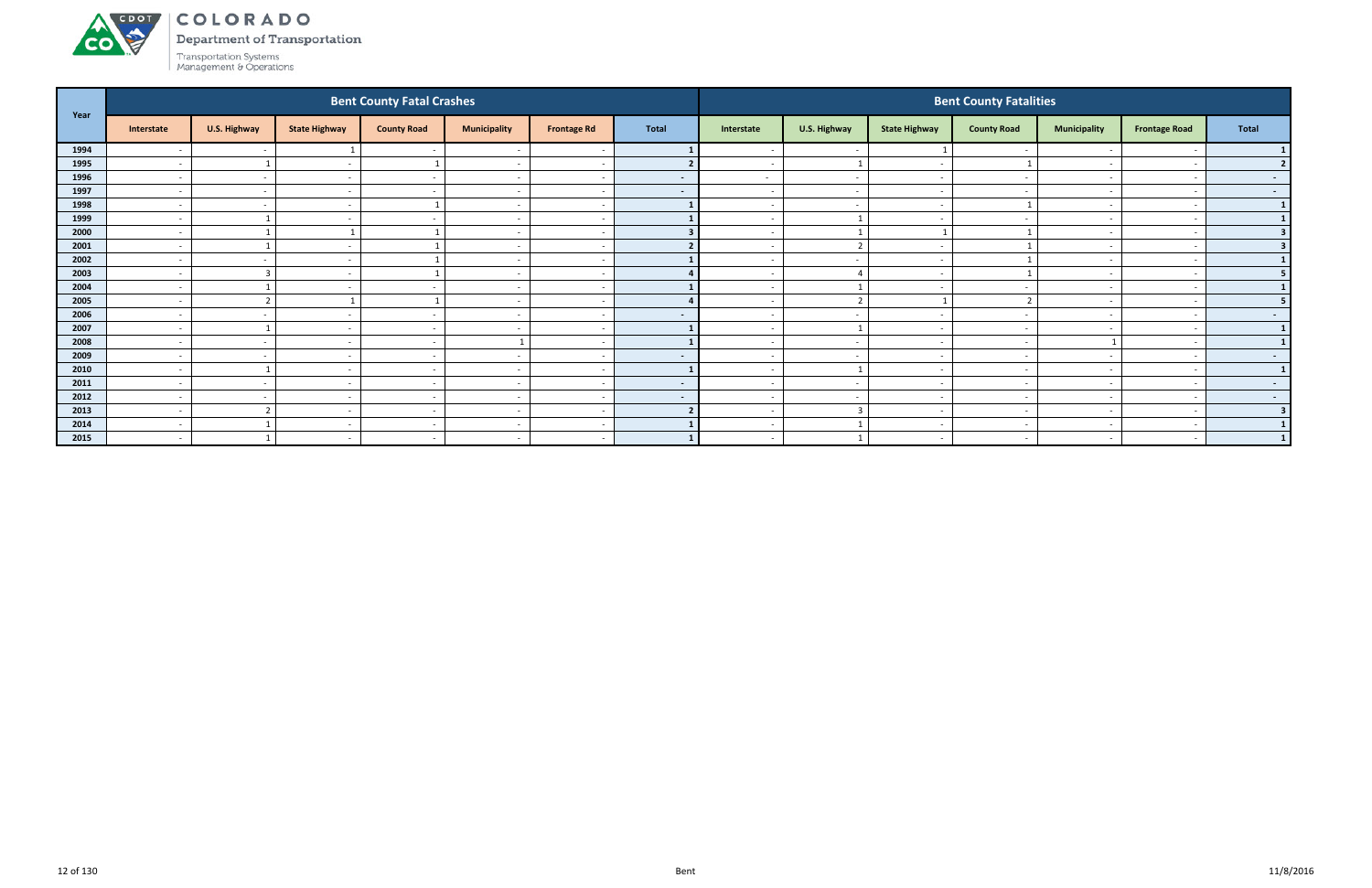

Department of Transportation

| Year |                          |                          |                          | <b>Bent County Fatal Crashes</b> |                          |                          |                |                          |                          |                          | <b>Bent County Fatalities</b> |                          |                          |                         |
|------|--------------------------|--------------------------|--------------------------|----------------------------------|--------------------------|--------------------------|----------------|--------------------------|--------------------------|--------------------------|-------------------------------|--------------------------|--------------------------|-------------------------|
|      | Interstate               | U.S. Highway             | <b>State Highway</b>     | <b>County Road</b>               | <b>Municipality</b>      | <b>Frontage Rd</b>       | <b>Total</b>   | Interstate               | U.S. Highway             | <b>State Highway</b>     | <b>County Road</b>            | <b>Municipality</b>      | <b>Frontage Road</b>     | <b>Total</b>            |
| 1994 | $\overline{\phantom{a}}$ | $\sim$                   |                          |                                  |                          | $\overline{\phantom{a}}$ |                | $\sim$                   | $\overline{\phantom{a}}$ |                          |                               |                          |                          |                         |
| 1995 | $\overline{\phantom{a}}$ |                          |                          |                                  | $\overline{\phantom{a}}$ | $\sim$                   |                |                          |                          | . —                      |                               |                          |                          | $\overline{\mathbf{z}}$ |
| 1996 | $\overline{a}$           | $\sim$                   | $\sim$                   | $\sim$ $-$                       | $\overline{\phantom{a}}$ | $\sim$                   | $\sim$         | $\sim$                   | $\overline{a}$           | $\sim$                   | $\sim$                        | $\sim$                   | $\overline{\phantom{a}}$ | $\sim$ 100 $\pm$        |
| 1997 | $\overline{\phantom{a}}$ | $\sim$                   | $\overline{\phantom{a}}$ | $\sim$                           | $\overline{\phantom{a}}$ | $\sim$                   | $\sim$         | $\sim$                   | $\sim$                   | $\sim$                   | $\overline{\phantom{a}}$      | $\overline{\phantom{0}}$ |                          | $\sim$ $-$              |
| 1998 | $\overline{\phantom{a}}$ | $\sim$                   | $\overline{\phantom{0}}$ |                                  | $\overline{\phantom{a}}$ | $\overline{\phantom{a}}$ |                |                          | $\overline{\phantom{a}}$ | $\sim$                   |                               | $\overline{\phantom{0}}$ |                          | $\mathbf{1}$            |
| 1999 | $\overline{\phantom{a}}$ |                          |                          |                                  | $\overline{\phantom{a}}$ | $\sim$                   |                |                          |                          | $\sim$                   |                               | $\overline{\phantom{0}}$ |                          |                         |
| 2000 | $\overline{\phantom{a}}$ |                          |                          |                                  | $\overline{\phantom{a}}$ | $\overline{\phantom{a}}$ |                |                          |                          |                          |                               |                          |                          | 3                       |
| 2001 | $\overline{a}$           |                          | $\overline{\phantom{a}}$ |                                  | $\overline{\phantom{0}}$ | $\overline{\phantom{a}}$ |                | $\sim$                   | $\overline{2}$           | $\sim$                   |                               |                          |                          | 3                       |
| 2002 | $\overline{a}$           | $\sim$                   | $\sim$                   |                                  | $\overline{\phantom{a}}$ | $\sim$                   |                | $\sim$                   | $\overline{\phantom{a}}$ | $\sim$                   |                               |                          |                          |                         |
| 2003 | $\overline{\phantom{a}}$ | $\overline{3}$           | $\overline{\phantom{0}}$ |                                  | $\overline{\phantom{0}}$ | $\overline{\phantom{a}}$ |                |                          | $\Delta$                 | $\sim$                   |                               | $\overline{\phantom{0}}$ |                          |                         |
| 2004 | $\overline{\phantom{a}}$ |                          |                          |                                  | $\overline{\phantom{a}}$ | $\sim$                   |                | $\overline{\phantom{0}}$ |                          | $\overline{\phantom{0}}$ |                               | $\overline{\phantom{0}}$ |                          |                         |
| 2005 | $\overline{\phantom{a}}$ | $\overline{\phantom{a}}$ |                          |                                  | $\overline{\phantom{a}}$ | $\overline{\phantom{a}}$ |                |                          | $\mathcal{L}$            |                          |                               |                          |                          |                         |
| 2006 | $\overline{\phantom{a}}$ | $\sim$                   | $\overline{\phantom{a}}$ | $\sim$                           | $\overline{\phantom{a}}$ | $\sim$                   | $\sim$         | $\sim$                   | $\overline{\phantom{a}}$ | $\sim$                   |                               | $\overline{\phantom{0}}$ |                          | $\sim$ 100 $\pm$        |
| 2007 | $\overline{\phantom{a}}$ |                          |                          | $\overline{\phantom{a}}$         | $\overline{\phantom{a}}$ | $\overline{\phantom{a}}$ |                |                          | $\mathbf{1}$             | $\sim$                   | $\overline{\phantom{a}}$      |                          |                          | $\mathbf{1}$            |
| 2008 | $\overline{\phantom{a}}$ | $\sim$                   | $\overline{\phantom{a}}$ | $\overline{\phantom{0}}$         |                          | $\overline{\phantom{a}}$ |                | $\overline{\phantom{a}}$ | $\sim$                   | $\sim$                   | $\overline{\phantom{a}}$      |                          |                          | $\mathbf{1}$            |
| 2009 | $\overline{\phantom{a}}$ | $\sim$                   |                          | $\sim$                           | $\overline{\phantom{a}}$ | $\sim$                   | $\blacksquare$ |                          | $\overline{\phantom{a}}$ | $\overline{\phantom{0}}$ |                               | $\overline{\phantom{0}}$ |                          | $\sim$ $-$              |
| 2010 | $\overline{\phantom{a}}$ |                          | $\overline{\phantom{0}}$ | $\sim$                           | $\overline{\phantom{0}}$ | $\overline{\phantom{a}}$ |                |                          | -1                       | $\sim$                   | $\overline{\phantom{0}}$      |                          |                          | $\vert$ 1               |
| 2011 | $\overline{\phantom{a}}$ | $\sim$                   | $\overline{\phantom{a}}$ | $\sim$                           | $\overline{\phantom{a}}$ | $\sim$                   | $\sim$         | $\sim$                   | $\sim$                   | $\sim$                   |                               | $\sim$                   |                          | $\sim$ $-$              |
| 2012 | $\overline{\phantom{a}}$ | $\sim$                   | $\overline{\phantom{a}}$ | <u>. на та</u>                   | $\overline{\phantom{a}}$ | $\sim$                   | $\sim$         | $\overline{\phantom{0}}$ | $\overline{\phantom{a}}$ | $\sim$                   | $\overline{\phantom{a}}$      |                          |                          | $\sim$ 100 $\mu$        |
| 2013 | $\overline{\phantom{a}}$ | $\overline{2}$           | $\overline{\phantom{0}}$ | $\overline{\phantom{a}}$         | $\overline{\phantom{a}}$ | $\sim$                   |                | $\overline{\phantom{0}}$ | $\overline{\mathbf{3}}$  | $\sim$                   |                               | $\overline{\phantom{0}}$ |                          | $\overline{\mathbf{3}}$ |
| 2014 | $\overline{\phantom{a}}$ |                          |                          | $\overline{\phantom{0}}$         | $\overline{\phantom{a}}$ | $\sim$                   |                | $\overline{\phantom{0}}$ |                          | $\sim$                   |                               | $\overline{\phantom{0}}$ |                          |                         |
| 2015 | $\overline{\phantom{a}}$ |                          | $\sim$                   | $\sim$                           | $\overline{\phantom{a}}$ | $\sim$                   |                | $\sim$                   |                          | $\sim$                   | $\overline{\phantom{0}}$      | $\overline{\phantom{0}}$ |                          | $\overline{1}$          |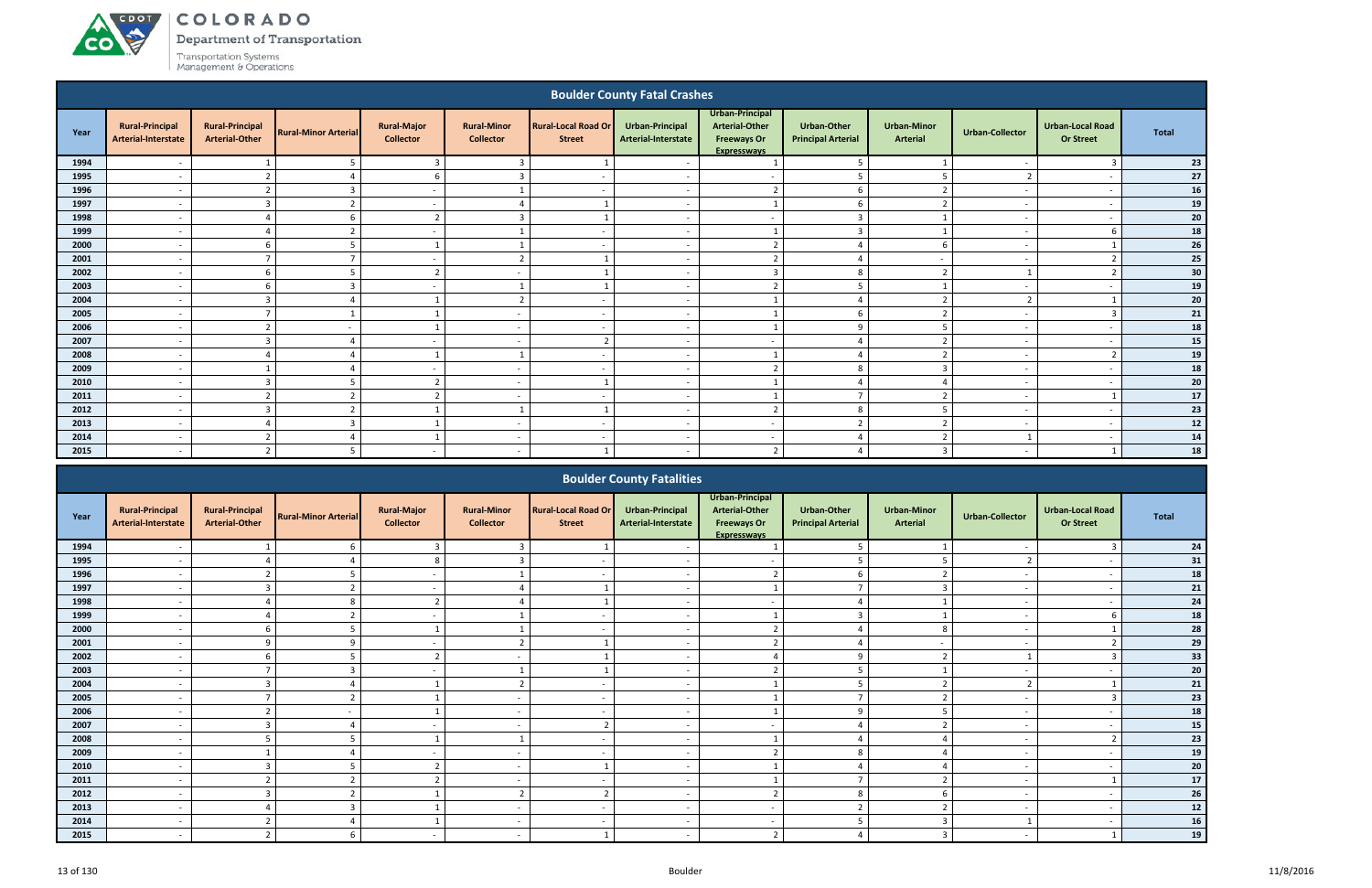COLORADO

Department of Transportation

|              |                                               |                                                 |                             |                                        |                                          |                                             | <b>Boulder County Fatal Crashes</b>        |                                                                                      |                                                 |                                       |                          |                                             |              |
|--------------|-----------------------------------------------|-------------------------------------------------|-----------------------------|----------------------------------------|------------------------------------------|---------------------------------------------|--------------------------------------------|--------------------------------------------------------------------------------------|-------------------------------------------------|---------------------------------------|--------------------------|---------------------------------------------|--------------|
| Year         | <b>Rural-Principal</b><br>Arterial-Interstate | <b>Rural-Principal</b><br><b>Arterial-Other</b> | <b>Rural-Minor Arterial</b> | <b>Rural-Major</b><br><b>Collector</b> | <b>Rural-Minor</b><br><b>Collector</b>   | <b>Rural-Local Road Or</b><br><b>Street</b> | Urban-Principal<br>Arterial-Interstate     | Urban-Principal<br><b>Arterial-Other</b><br><b>Freeways Or</b><br><b>Expressways</b> | <b>Urban-Other</b><br><b>Principal Arterial</b> | <b>Urban-Minor</b><br><b>Arterial</b> | <b>Urban-Collector</b>   | <b>Urban-Local Road</b><br><b>Or Street</b> | <b>Total</b> |
| 1994         | $\overline{\phantom{a}}$                      | 1                                               | 5                           | $\overline{3}$                         | $\overline{3}$                           |                                             | $\overline{\phantom{a}}$                   | 1                                                                                    | 5 <sup>5</sup>                                  |                                       | $\overline{\phantom{a}}$ | $\overline{\mathbf{3}}$                     | 23           |
| 1995         |                                               | $\overline{a}$                                  | $\overline{4}$              | 6                                      | $\overline{3}$                           |                                             | $\sim$                                     | $\overline{\phantom{a}}$                                                             | 5                                               | -5                                    | $\overline{2}$           | $\overline{\phantom{a}}$                    | 27           |
| 1996         | $\overline{\phantom{0}}$                      | $\overline{2}$                                  | 3                           | $\sim$                                 | 1                                        | $\overline{\phantom{a}}$                    | $\overline{a}$                             | $\overline{2}$                                                                       | 6                                               | $\overline{2}$                        | $\overline{\phantom{a}}$ | $\overline{\phantom{a}}$                    | ${\bf 16}$   |
| 1997         |                                               | $\overline{3}$                                  | $\overline{2}$              | $\sim$                                 | $\overline{4}$                           |                                             | $\overline{\phantom{a}}$                   | - 1                                                                                  | 6                                               | $\overline{2}$                        | $\sim$                   | $\overline{\phantom{a}}$                    | 19           |
| 1998         |                                               | 4                                               | 6                           | $\overline{2}$                         | $\overline{3}$                           |                                             | $\overline{a}$                             | $\sim$                                                                               | $\overline{3}$                                  |                                       | $\overline{\phantom{a}}$ | $\overline{\phantom{a}}$                    | 20           |
| 1999         |                                               | $\overline{a}$                                  | $\overline{2}$              | $\overline{\phantom{a}}$               | $\mathbf{1}$                             | $\overline{\phantom{a}}$                    | $\overline{a}$                             | - 1                                                                                  | $\overline{3}$                                  |                                       | $\overline{a}$           | -6                                          | 18           |
| 2000         |                                               | 6                                               | 5                           |                                        | $\mathbf{1}$                             |                                             |                                            | $\overline{2}$                                                                       | $\overline{4}$                                  | 6                                     | $\overline{\phantom{a}}$ |                                             | 26           |
| 2001         | $\overline{\phantom{a}}$                      | $\overline{7}$                                  | $\overline{7}$<br>5         | $\sim$<br>$\overline{2}$               | $\overline{2}$                           |                                             | $\overline{\phantom{a}}$                   | $\overline{2}$<br>$\overline{3}$                                                     | $\overline{4}$<br>8                             | $\overline{\phantom{a}}$              | $\overline{\phantom{a}}$ | $\overline{2}$<br>$\overline{2}$            | 25<br>30     |
| 2002<br>2003 | $\overline{\phantom{0}}$                      | -6<br>-6                                        | 3                           | $\sim$                                 | $\overline{\phantom{a}}$<br>$\mathbf{1}$ |                                             | $\overline{\phantom{a}}$<br>$\overline{a}$ | $\overline{2}$                                                                       | 5                                               | $\overline{2}$                        | $\sim$                   | $\overline{a}$                              |              |
| 2004         |                                               | $\overline{3}$                                  | $\overline{4}$              |                                        | $\overline{2}$                           | $\overline{\phantom{a}}$                    | $\sim$                                     | -1                                                                                   | $\overline{a}$                                  | $\overline{2}$                        | $\overline{2}$           |                                             | 19<br>20     |
| 2005         | $\overline{\phantom{0}}$                      | $\overline{7}$                                  | $\mathbf{1}$                | $\mathbf{1}$                           | $\overline{\phantom{0}}$                 | $\overline{\phantom{a}}$                    | $\overline{a}$                             | -1                                                                                   | 6                                               | $\overline{2}$                        | $\overline{\phantom{a}}$ | $\overline{3}$                              | 21           |
| 2006         |                                               | $\mathcal{P}$                                   |                             | $\mathbf{1}$                           | $\overline{\phantom{a}}$                 | $\overline{\phantom{a}}$                    | $\overline{a}$                             | $\overline{\mathbf{1}}$                                                              | 9                                               | -5                                    | $\overline{a}$           | $\overline{\phantom{a}}$                    | 18           |
| 2007         |                                               | $\overline{3}$                                  | $\overline{4}$              | $\overline{\phantom{a}}$               | $\overline{\phantom{a}}$                 | $\overline{2}$                              | $\overline{\phantom{a}}$                   | $\sim$                                                                               | $\overline{4}$                                  | $\overline{2}$                        | $\overline{\phantom{a}}$ | $\overline{a}$                              | 15           |
| 2008         | $\overline{a}$                                | $\overline{a}$                                  | $\overline{4}$              | 1                                      | 1                                        | $\overline{\phantom{a}}$                    | $\overline{\phantom{a}}$                   | $\overline{1}$                                                                       | $\overline{4}$                                  | $\overline{2}$                        | $\sim$                   | $\overline{2}$                              | 19           |
| 2009         |                                               |                                                 | $\overline{4}$              | $\overline{\phantom{a}}$               | $\overline{\phantom{a}}$                 |                                             |                                            | $\overline{2}$                                                                       | 8                                               | $\overline{3}$                        | $\overline{\phantom{a}}$ | $\overline{\phantom{a}}$                    | 18           |
| 2010         |                                               | $\overline{3}$                                  | 5                           | $\overline{2}$                         | $\overline{\phantom{a}}$                 |                                             | $\overline{a}$                             | $\overline{1}$                                                                       | $\overline{4}$                                  | $\overline{4}$                        | $\overline{a}$           | $\overline{\phantom{a}}$                    | 20           |
| 2011         |                                               | $\overline{2}$                                  | $\overline{2}$              | $\overline{2}$                         | $\overline{\phantom{a}}$                 | $\overline{\phantom{a}}$                    | $\overline{\phantom{a}}$                   |                                                                                      | $\overline{7}$                                  | $\overline{2}$                        | $\overline{\phantom{a}}$ |                                             | 17           |
| 2012         | $\overline{\phantom{a}}$                      | $\overline{3}$                                  | $\overline{2}$              | 1                                      | $\mathbf{1}$                             |                                             | $\overline{a}$                             | $\overline{2}$                                                                       | $8\phantom{1}$                                  | -5                                    | $\overline{\phantom{a}}$ | $\overline{\phantom{a}}$                    | 23           |
| 2013         |                                               | $\Delta$                                        | $\overline{3}$              | -1                                     | $\overline{\phantom{a}}$                 | $\overline{\phantom{a}}$                    | $\sim$                                     | $\overline{a}$                                                                       | $\overline{2}$                                  | $\overline{2}$                        | $\overline{\phantom{a}}$ | $\overline{\phantom{a}}$                    | 12           |
| 2014         |                                               | $\overline{2}$                                  | $\overline{4}$              |                                        | $\overline{\phantom{0}}$                 | $\overline{\phantom{a}}$                    | $\overline{\phantom{a}}$                   | $\overline{\phantom{a}}$                                                             | $\overline{4}$                                  | $\overline{2}$                        |                          | $\overline{\phantom{a}}$                    | ${\bf 14}$   |
| 2015         |                                               | $\overline{z}$                                  | 5                           | $\overline{\phantom{a}}$               |                                          |                                             |                                            | $\overline{2}$                                                                       | $\overline{4}$                                  | $\overline{3}$                        | $\overline{\phantom{a}}$ |                                             | 18           |
|              |                                               |                                                 |                             |                                        |                                          |                                             | <b>Boulder County Fatalities</b>           |                                                                                      |                                                 |                                       |                          |                                             |              |
| Year         | <b>Rural-Principal</b><br>Arterial-Interstate | <b>Rural-Principal</b><br><b>Arterial-Other</b> | <b>Rural-Minor Arterial</b> | <b>Rural-Major</b><br><b>Collector</b> | <b>Rural-Minor</b><br><b>Collector</b>   | <b>Rural-Local Road Or</b><br><b>Street</b> | Urban-Principal<br>Arterial-Interstate     | Urban-Principal<br><b>Arterial-Other</b><br><b>Freeways Or</b>                       | <b>Urban-Other</b><br><b>Principal Arterial</b> | <b>Urban-Minor</b><br><b>Arterial</b> | <b>Urban-Collector</b>   | <b>Urban-Local Road</b><br><b>Or Street</b> | <b>Total</b> |

|      |                                               |                                                 |                             |                                        |                                        |                                             | <b>BUULLER COURTLY FALATILIES</b>      |                                                                                      |                                                 |                                       |                 |                                             |              |
|------|-----------------------------------------------|-------------------------------------------------|-----------------------------|----------------------------------------|----------------------------------------|---------------------------------------------|----------------------------------------|--------------------------------------------------------------------------------------|-------------------------------------------------|---------------------------------------|-----------------|---------------------------------------------|--------------|
| Year | <b>Rural-Principal</b><br>Arterial-Interstate | <b>Rural-Principal</b><br><b>Arterial-Other</b> | <b>Rural-Minor Arterial</b> | <b>Rural-Major</b><br><b>Collector</b> | <b>Rural-Minor</b><br><b>Collector</b> | <b>Rural-Local Road Or</b><br><b>Street</b> | Urban-Principal<br>Arterial-Interstate | Urban-Principal<br><b>Arterial-Other</b><br><b>Freeways Or</b><br><b>Expresswavs</b> | <b>Urban-Other</b><br><b>Principal Arterial</b> | <b>Urban-Minor</b><br><b>Arterial</b> | Urban-Collector | <b>Urban-Local Road</b><br><b>Or Street</b> | <b>Total</b> |
| 1994 |                                               |                                                 | 6                           |                                        |                                        |                                             |                                        |                                                                                      |                                                 |                                       |                 |                                             | 24           |
| 1995 |                                               |                                                 |                             | 8                                      |                                        |                                             |                                        |                                                                                      |                                                 |                                       |                 |                                             | 31           |
| 1996 |                                               |                                                 |                             |                                        |                                        |                                             |                                        |                                                                                      |                                                 |                                       |                 |                                             | 18           |
| 1997 | $\overline{\phantom{a}}$                      |                                                 |                             | $\sim$                                 |                                        |                                             |                                        |                                                                                      |                                                 |                                       |                 | $\overline{\phantom{0}}$                    | 21           |
| 1998 |                                               |                                                 | $\mathsf{R}$                |                                        |                                        |                                             |                                        |                                                                                      |                                                 |                                       |                 |                                             | 24           |
| 1999 |                                               |                                                 |                             |                                        |                                        |                                             |                                        |                                                                                      |                                                 |                                       |                 |                                             | 18           |
| 2000 |                                               |                                                 |                             |                                        |                                        |                                             |                                        |                                                                                      |                                                 | 8                                     |                 |                                             | ${\bf 28}$   |
| 2001 |                                               |                                                 |                             |                                        |                                        |                                             |                                        |                                                                                      |                                                 |                                       |                 |                                             | 29           |
| 2002 |                                               |                                                 |                             |                                        |                                        |                                             |                                        |                                                                                      | $\alpha$                                        |                                       |                 |                                             | 33           |
| 2003 |                                               |                                                 |                             | $\overline{\phantom{a}}$               |                                        |                                             |                                        |                                                                                      |                                                 |                                       |                 |                                             | 20           |
| 2004 | $\overline{\phantom{a}}$                      |                                                 |                             |                                        | $\overline{2}$                         |                                             | $\overline{\phantom{0}}$               |                                                                                      | 5                                               | $\mathbf{r}$                          | $\overline{2}$  |                                             | 21           |
| 2005 |                                               | $\overline{ }$                                  |                             |                                        | $\overline{\phantom{0}}$               |                                             |                                        |                                                                                      | $\overline{7}$                                  | $\mathcal{L}$                         |                 |                                             | 23           |
| 2006 |                                               |                                                 |                             |                                        | $\overline{\phantom{a}}$               |                                             |                                        |                                                                                      | $\Omega$                                        |                                       |                 |                                             | ${\bf 18}$   |
| 2007 |                                               |                                                 |                             |                                        |                                        |                                             |                                        |                                                                                      |                                                 |                                       |                 |                                             | ${\bf 15}$   |
| 2008 |                                               |                                                 |                             |                                        |                                        |                                             |                                        |                                                                                      |                                                 |                                       |                 |                                             | 23           |
| 2009 | $\overline{\phantom{a}}$                      |                                                 |                             | $\overline{\phantom{a}}$               | $\overline{\phantom{a}}$               |                                             |                                        |                                                                                      | 8                                               |                                       |                 |                                             | 19           |
| 2010 |                                               |                                                 |                             |                                        | $\overline{\phantom{a}}$               |                                             |                                        |                                                                                      |                                                 |                                       |                 |                                             | ${\bf 20}$   |
| 2011 |                                               |                                                 |                             |                                        | $\overline{\phantom{a}}$               |                                             |                                        |                                                                                      | $\overline{\phantom{a}}$                        | $\mathbf{\hat{z}}$                    |                 |                                             | $17$         |
| 2012 |                                               |                                                 |                             |                                        | $\mathbf{r}$                           |                                             |                                        |                                                                                      | 8                                               |                                       |                 |                                             | $26\,$       |
| 2013 |                                               |                                                 |                             |                                        |                                        |                                             |                                        |                                                                                      |                                                 |                                       |                 |                                             | ${\bf 12}$   |
| 2014 |                                               |                                                 |                             |                                        | $\overline{\phantom{a}}$               |                                             |                                        |                                                                                      |                                                 |                                       |                 |                                             | 16           |
| 2015 |                                               |                                                 | $6\overline{6}$             |                                        | $\overline{\phantom{a}}$               |                                             |                                        |                                                                                      |                                                 |                                       |                 |                                             | 19           |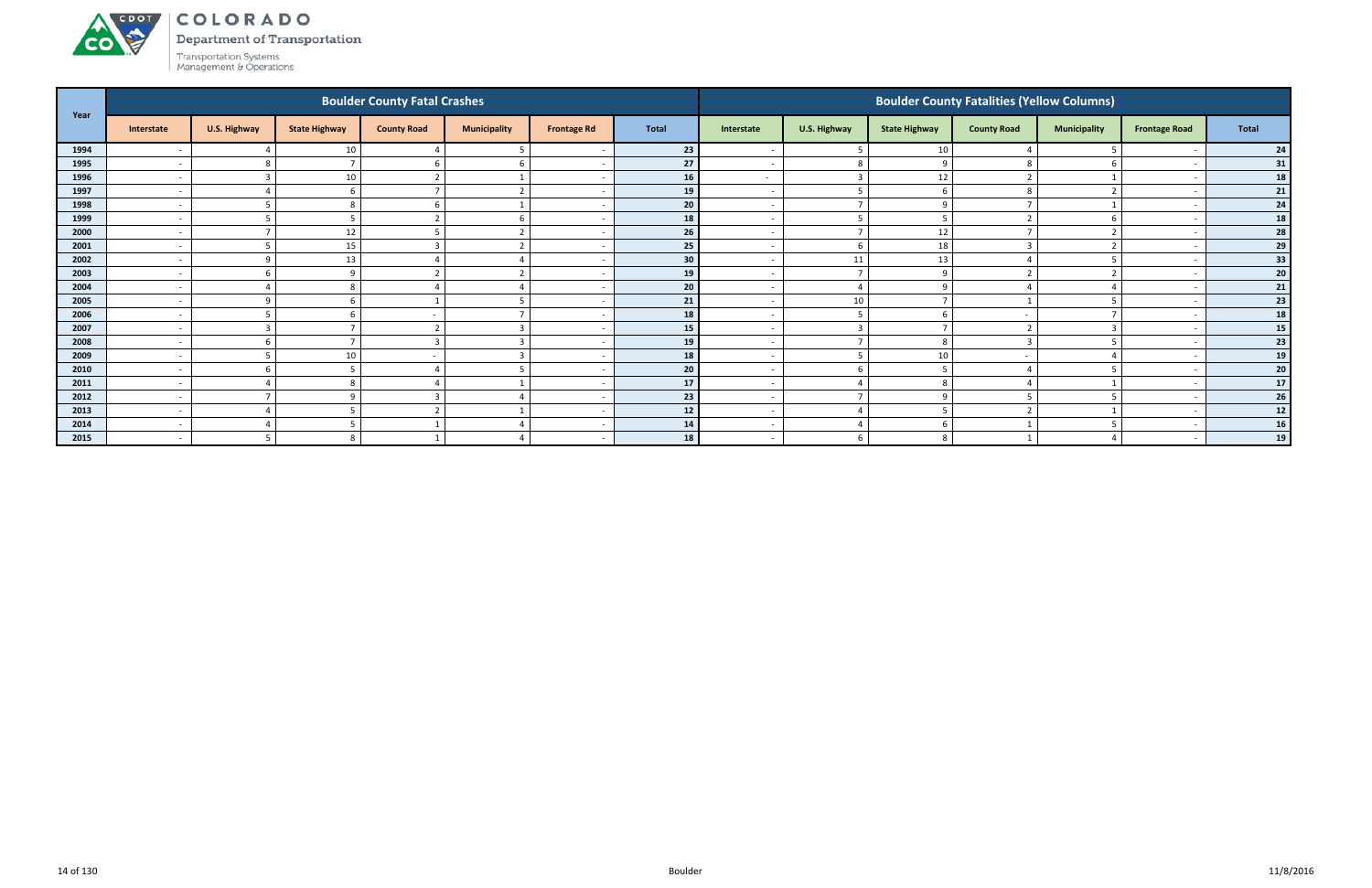#### ACDOT COLORADO

Department of Transportation

Transportation Systems<br>Management & Operations

**CO** 

| Year |                          |              |                      | <b>Boulder County Fatal Crashes</b> |                         |                    |       |                          |                          |                      | <b>Boulder County Fatalities (Yellow Columns)</b> |                     |                          |                                   |
|------|--------------------------|--------------|----------------------|-------------------------------------|-------------------------|--------------------|-------|--------------------------|--------------------------|----------------------|---------------------------------------------------|---------------------|--------------------------|-----------------------------------|
|      | Interstate               | U.S. Highway | <b>State Highway</b> | <b>County Road</b>                  | <b>Municipality</b>     | <b>Frontage Rd</b> | Total | Interstate               | U.S. Highway             | <b>State Highway</b> | <b>County Road</b>                                | <b>Municipality</b> | <b>Frontage Road</b>     | <b>Total</b>                      |
| 1994 | $\overline{\phantom{a}}$ |              | 10                   |                                     |                         |                    | 23    | $\overline{\phantom{0}}$ |                          | 10                   |                                                   |                     |                          | 24                                |
| 1995 | . .                      |              |                      |                                     | b                       |                    | 27    | $\overline{\phantom{0}}$ | 8                        |                      |                                                   | -6                  | $\overline{\phantom{a}}$ | $\begin{array}{c} 31 \end{array}$ |
| 1996 | $\overline{\phantom{a}}$ |              | 10                   |                                     |                         |                    | 16    | $\sim$                   | $\overline{3}$           | 12                   |                                                   |                     |                          | 18                                |
| 1997 | $\overline{\phantom{a}}$ |              |                      |                                     |                         |                    | 19    | $\overline{\phantom{0}}$ |                          |                      |                                                   |                     |                          | 21                                |
| 1998 | $\overline{\phantom{a}}$ |              |                      |                                     |                         |                    | 20    | $\overline{\phantom{a}}$ |                          |                      |                                                   |                     |                          | 24                                |
| 1999 | $\overline{\phantom{a}}$ |              |                      |                                     |                         |                    | 18    |                          |                          |                      |                                                   |                     |                          | 18                                |
| 2000 | $\overline{\phantom{a}}$ |              | 12                   |                                     | $\mathcal{D}$           |                    | 26    | $\sim$                   |                          | 12                   |                                                   | $\overline{2}$      | $\overline{\phantom{a}}$ | 28                                |
| 2001 | $\overline{\phantom{a}}$ |              | 15                   |                                     | $\mathbf{\overline{a}}$ |                    | 25    | $\overline{\phantom{0}}$ |                          | 18                   |                                                   | $\overline{2}$      |                          | 29                                |
| 2002 | $\overline{\phantom{a}}$ |              | 13                   |                                     |                         |                    | 30    | $\overline{\phantom{a}}$ | 11                       | 13                   |                                                   | -5                  |                          | 33                                |
| 2003 | $\overline{\phantom{a}}$ |              |                      |                                     |                         |                    | 19    | $\overline{\phantom{0}}$ | $\overline{\phantom{a}}$ | റ                    |                                                   | ി                   |                          | 20 <sub>2</sub>                   |
| 2004 |                          |              |                      |                                     |                         |                    | 20    |                          |                          |                      |                                                   |                     |                          | 21                                |
| 2005 | $\overline{\phantom{a}}$ |              |                      |                                     |                         |                    | 21    | $\overline{\phantom{a}}$ | 10                       |                      |                                                   |                     |                          | 23                                |
| 2006 | $\overline{\phantom{a}}$ |              |                      |                                     |                         |                    | 18    | $\overline{\phantom{0}}$ |                          |                      |                                                   |                     |                          | 18                                |
| 2007 | $\overline{\phantom{a}}$ |              |                      | ຳ                                   | $\mathbf{3}$            |                    | 15    | $\overline{\phantom{a}}$ | $\overline{3}$           |                      |                                                   | ຳ                   |                          | 15                                |
| 2008 | $\overline{\phantom{a}}$ |              |                      |                                     |                         |                    | 19    | $\overline{\phantom{a}}$ |                          |                      |                                                   |                     |                          | 23                                |
| 2009 | $\overline{\phantom{a}}$ |              | 10                   |                                     |                         |                    | 18    | $\overline{\phantom{a}}$ |                          | 10                   |                                                   |                     |                          | 19                                |
| 2010 | $\overline{\phantom{a}}$ |              |                      |                                     |                         |                    | 20    | $\overline{\phantom{a}}$ |                          |                      |                                                   |                     |                          | 20 <sup>1</sup>                   |
| 2011 | $\overline{\phantom{a}}$ |              |                      |                                     |                         |                    | 17    | $\overline{a}$           |                          |                      |                                                   |                     |                          | 17                                |
| 2012 | $\overline{\phantom{a}}$ |              |                      |                                     |                         |                    | 23    | $\sim$                   |                          |                      |                                                   | -5                  | $\overline{\phantom{a}}$ | $26\phantom{.}$                   |
| 2013 | $\overline{\phantom{a}}$ |              |                      |                                     |                         |                    | 12    | $\overline{\phantom{a}}$ |                          |                      |                                                   |                     |                          | 12                                |
| 2014 | $\overline{\phantom{a}}$ |              |                      |                                     |                         |                    | 14    | $\overline{a}$           |                          |                      |                                                   |                     |                          | 16                                |
| 2015 | $\overline{\phantom{a}}$ |              |                      |                                     |                         |                    | 18    | $\overline{\phantom{0}}$ |                          |                      |                                                   |                     |                          | 19                                |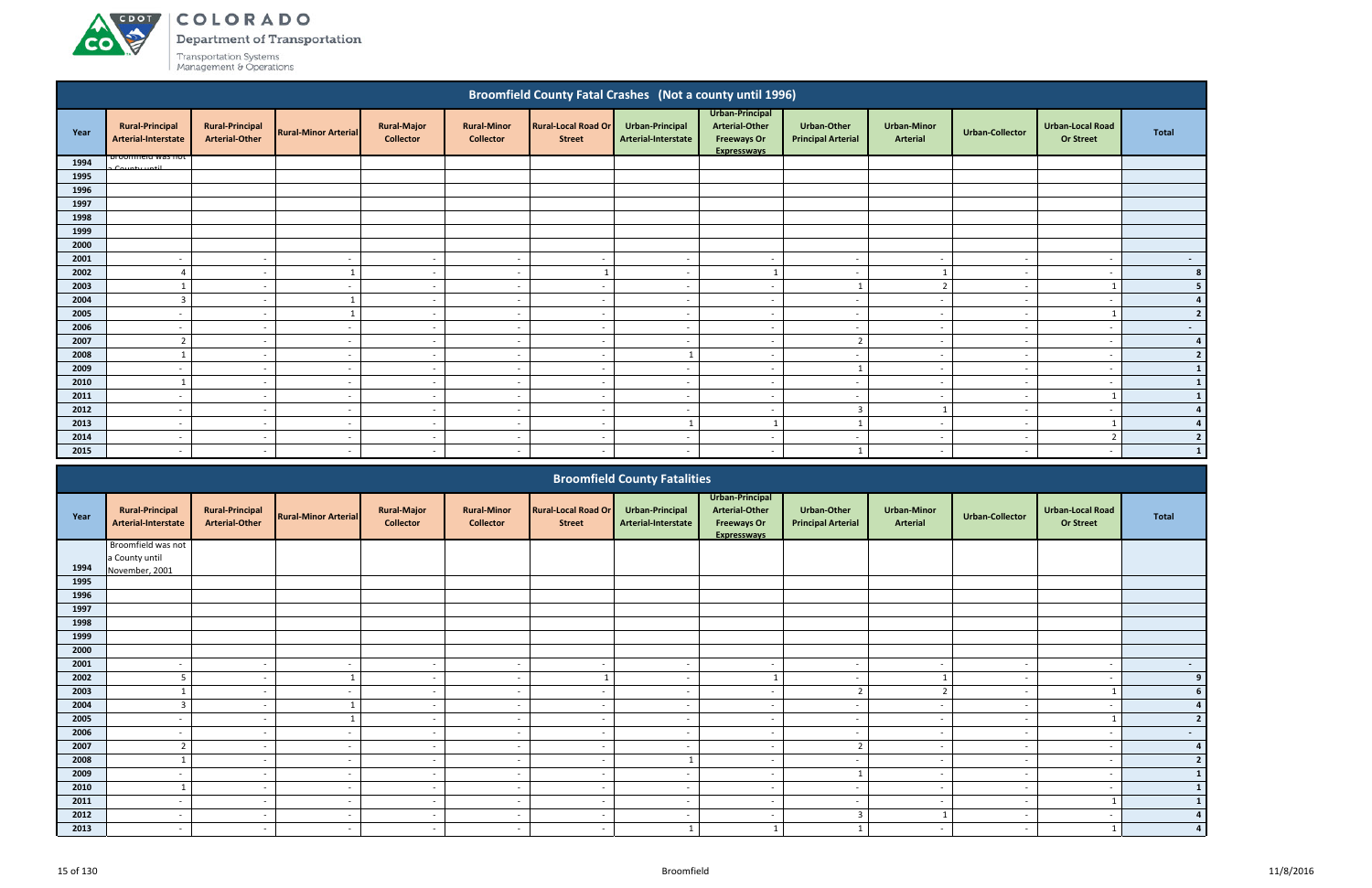

Department of Transportation

|              |                                               |                                                 |                             |                                        |                                        | <b>Broomfield County Fatal Crashes (Not a county until 1996)</b> |                                        |                                                                                      |                                          |                                       |                          |                                             |                |
|--------------|-----------------------------------------------|-------------------------------------------------|-----------------------------|----------------------------------------|----------------------------------------|------------------------------------------------------------------|----------------------------------------|--------------------------------------------------------------------------------------|------------------------------------------|---------------------------------------|--------------------------|---------------------------------------------|----------------|
| Year         | <b>Rural-Principal</b><br>Arterial-Interstate | <b>Rural-Principal</b><br><b>Arterial-Other</b> | <b>Rural-Minor Arterial</b> | <b>Rural-Major</b><br><b>Collector</b> | <b>Rural-Minor</b><br><b>Collector</b> | <b>Rural-Local Road Or</b><br><b>Street</b>                      | Urban-Principal<br>Arterial-Interstate | Urban-Principal<br><b>Arterial-Other</b><br><b>Freeways Or</b><br><b>Expresswavs</b> | Urban-Other<br><b>Principal Arterial</b> | <b>Urban-Minor</b><br><b>Arterial</b> | Urban-Collector          | <b>Urban-Local Road</b><br><b>Or Street</b> | <b>Total</b>   |
| 1994         | <b>DI UUITITIEIU WAS HUL</b><br>County until  |                                                 |                             |                                        |                                        |                                                                  |                                        |                                                                                      |                                          |                                       |                          |                                             |                |
| 1995         |                                               |                                                 |                             |                                        |                                        |                                                                  |                                        |                                                                                      |                                          |                                       |                          |                                             |                |
| 1996         |                                               |                                                 |                             |                                        |                                        |                                                                  |                                        |                                                                                      |                                          |                                       |                          |                                             |                |
| 1997         |                                               |                                                 |                             |                                        |                                        |                                                                  |                                        |                                                                                      |                                          |                                       |                          |                                             |                |
| 1998         |                                               |                                                 |                             |                                        |                                        |                                                                  |                                        |                                                                                      |                                          |                                       |                          |                                             |                |
| 1999         |                                               |                                                 |                             |                                        |                                        |                                                                  |                                        |                                                                                      |                                          |                                       |                          |                                             |                |
| 2000         |                                               |                                                 |                             |                                        |                                        |                                                                  |                                        |                                                                                      |                                          |                                       |                          |                                             |                |
| 2001         |                                               | $\overline{\phantom{a}}$                        | $\overline{\phantom{a}}$    | $\overline{\phantom{a}}$               | $\overline{\phantom{a}}$               |                                                                  |                                        | $\overline{\phantom{a}}$                                                             | $\overline{\phantom{0}}$                 | $\overline{\phantom{a}}$              |                          |                                             | $\sim$         |
| 2002         |                                               | $\overline{\phantom{a}}$                        |                             | $\sim$                                 | $\overline{\phantom{a}}$               |                                                                  |                                        |                                                                                      | $\overline{\phantom{0}}$                 |                                       |                          |                                             | 8 <sup>1</sup> |
| 2003         |                                               | $\overline{\phantom{a}}$                        | $\overline{\phantom{a}}$    | $\overline{\phantom{a}}$               | $\overline{\phantom{a}}$               |                                                                  |                                        | $\sim$                                                                               |                                          | $\overline{2}$                        |                          |                                             | 5 <sup>1</sup> |
| 2004         |                                               | $\overline{\phantom{a}}$                        |                             | $\sim$                                 | $\overline{\phantom{a}}$               | . .                                                              |                                        | $\sim$                                                                               | $\overline{\phantom{a}}$                 | $\sim$                                |                          |                                             | $\overline{4}$ |
| 2005         |                                               | $\overline{\phantom{a}}$                        |                             | $\overline{\phantom{a}}$               | $\overline{\phantom{a}}$               | $\overline{\phantom{a}}$                                         |                                        | $\overline{\phantom{a}}$                                                             | $\overline{\phantom{a}}$                 | $\sim$                                |                          |                                             | $\overline{2}$ |
| 2006         | $\overline{a}$                                | $\sim$                                          | $\overline{\phantom{a}}$    | $\sim$                                 | $\sim$                                 | $\sim$                                                           | $\sim$                                 | $\sim$                                                                               | $-$                                      | $\sim$                                | $\overline{\phantom{a}}$ | $\overline{\phantom{a}}$                    | $\sim$ $-$     |
| 2007         | $\overline{2}$                                | $\overline{\phantom{a}}$                        | $\overline{\phantom{a}}$    | $\sim$                                 | $\overline{\phantom{a}}$               | $\overline{\phantom{a}}$                                         |                                        | $\overline{\phantom{a}}$                                                             | $\overline{2}$                           | $\sim$                                |                          |                                             | 4              |
| 2008         |                                               | $\overline{\phantom{a}}$                        | $\sim$                      | $\sim$                                 | $\sim$                                 | $\overline{\phantom{a}}$                                         |                                        | $\overline{\phantom{a}}$                                                             | $\sim$                                   | $\sim$                                |                          | $\overline{\phantom{a}}$                    | $\overline{2}$ |
| 2009         | $\overline{\phantom{a}}$                      | $\overline{\phantom{a}}$                        | $\overline{\phantom{a}}$    | $\sim$                                 | $\overline{a}$                         | $\overline{\phantom{a}}$                                         | $\overline{\phantom{a}}$               | $\overline{a}$                                                                       | $\mathbf{1}$                             | $\sim$                                | $\sim$                   | $\overline{\phantom{a}}$                    | $\mathbf{1}$   |
| 2010         |                                               | $\overline{\phantom{a}}$                        | $\sim$                      | $\sim$                                 | $\overline{\phantom{a}}$               | $\overline{\phantom{a}}$                                         | $\overline{\phantom{a}}$               | $\overline{\phantom{a}}$                                                             | $\overline{a}$                           | $\sim$                                | $\overline{\phantom{a}}$ | $\overline{\phantom{a}}$                    | $\mathbf{1}$   |
| 2011         | $\overline{\phantom{a}}$                      | $\sim$                                          | $\overline{\phantom{a}}$    | $\sim$                                 | $\overline{\phantom{a}}$               | $\overline{\phantom{a}}$                                         | $\overline{\phantom{a}}$               | $\overline{\phantom{a}}$                                                             | $\sim$                                   | $\sim$                                | $\overline{\phantom{a}}$ |                                             | $\mathbf{1}$   |
| 2012         | $\overline{\phantom{a}}$                      | $\sim$                                          | $\overline{\phantom{a}}$    | $\sim$                                 | $\overline{\phantom{a}}$               | $\overline{\phantom{a}}$                                         | <b>.</b>                               | $\sim$                                                                               | 3                                        |                                       | $\overline{\phantom{a}}$ |                                             | 4              |
| 2013         | $\overline{\phantom{a}}$                      | $\overline{\phantom{a}}$                        | $\sim$                      | $\sim$                                 | $\overline{\phantom{a}}$               | $\overline{\phantom{a}}$                                         | 1                                      | $\mathbf{1}$                                                                         | $\mathbf{1}$                             | $\overline{\phantom{0}}$              | $\overline{\phantom{a}}$ | $\overline{\phantom{a}}$                    | $\overline{2}$ |
| 2014<br>2015 | $\overline{\phantom{0}}$                      | $\sim$                                          | $\sim$                      | $\sim$                                 | $\overline{\phantom{a}}$               | - -                                                              |                                        | $\overline{\phantom{0}}$                                                             | $\overline{\phantom{a}}$                 | $\sim$                                |                          |                                             |                |
|              |                                               |                                                 |                             | $\overline{\phantom{a}}$               |                                        |                                                                  |                                        |                                                                                      |                                          |                                       |                          |                                             |                |
|              |                                               |                                                 |                             |                                        |                                        |                                                                  | <b>Broomfield County Fatalities</b>    |                                                                                      |                                          |                                       |                          |                                             |                |

|      |                                               |                                                 |                             |                                        |                                        |                                             | <b>Broomfield County Fatalities</b>    |                                                                                      |                                          |                                       |                          |                                             |                |
|------|-----------------------------------------------|-------------------------------------------------|-----------------------------|----------------------------------------|----------------------------------------|---------------------------------------------|----------------------------------------|--------------------------------------------------------------------------------------|------------------------------------------|---------------------------------------|--------------------------|---------------------------------------------|----------------|
| Year | <b>Rural-Principal</b><br>Arterial-Interstate | <b>Rural-Principal</b><br><b>Arterial-Other</b> | <b>Rural-Minor Arterial</b> | <b>Rural-Major</b><br><b>Collector</b> | <b>Rural-Minor</b><br><b>Collector</b> | <b>Rural-Local Road Or</b><br><b>Street</b> | Urban-Principal<br>Arterial-Interstate | Urban-Principal<br><b>Arterial-Other</b><br><b>Freeways Or</b><br><b>Expressways</b> | Urban-Other<br><b>Principal Arterial</b> | <b>Urban-Minor</b><br><b>Arterial</b> | <b>Urban-Collector</b>   | <b>Urban-Local Road</b><br><b>Or Street</b> | Total          |
|      | Broomfield was not                            |                                                 |                             |                                        |                                        |                                             |                                        |                                                                                      |                                          |                                       |                          |                                             |                |
| 1994 | a County until                                |                                                 |                             |                                        |                                        |                                             |                                        |                                                                                      |                                          |                                       |                          |                                             |                |
| 1995 | November, 2001                                |                                                 |                             |                                        |                                        |                                             |                                        |                                                                                      |                                          |                                       |                          |                                             |                |
| 1996 |                                               |                                                 |                             |                                        |                                        |                                             |                                        |                                                                                      |                                          |                                       |                          |                                             |                |
| 1997 |                                               |                                                 |                             |                                        |                                        |                                             |                                        |                                                                                      |                                          |                                       |                          |                                             |                |
| 1998 |                                               |                                                 |                             |                                        |                                        |                                             |                                        |                                                                                      |                                          |                                       |                          |                                             |                |
| 1999 |                                               |                                                 |                             |                                        |                                        |                                             |                                        |                                                                                      |                                          |                                       |                          |                                             |                |
| 2000 |                                               |                                                 |                             |                                        |                                        |                                             |                                        |                                                                                      |                                          |                                       |                          |                                             |                |
| 2001 |                                               | $\qquad \qquad \blacksquare$                    |                             | $\overline{\phantom{a}}$               | $\overline{\phantom{a}}$               | $\overline{\phantom{a}}$                    | $\overline{\phantom{a}}$               | $\overline{\phantom{a}}$                                                             | $\overline{\phantom{a}}$                 | $\overline{\phantom{a}}$              | $\sim$                   | $\overline{\phantom{0}}$                    | $\sim$         |
| 2002 |                                               |                                                 |                             | $\overline{\phantom{a}}$               | $\overline{\phantom{a}}$               |                                             |                                        |                                                                                      | $\overline{\phantom{a}}$                 |                                       |                          |                                             | 9              |
| 2003 |                                               | $\overline{\phantom{a}}$                        |                             | $\sim$                                 | $\overline{\phantom{a}}$               | $\overline{\phantom{a}}$                    | $\overline{\phantom{a}}$               | $\overline{\phantom{a}}$                                                             | $\overline{2}$                           | $\mathbf{r}$                          | $\overline{\phantom{a}}$ |                                             |                |
| 2004 |                                               |                                                 |                             | $\overline{\phantom{a}}$               | $\overline{\phantom{a}}$               |                                             |                                        | $\overline{\phantom{a}}$                                                             | $\overline{\phantom{a}}$                 | $\overline{\phantom{a}}$              |                          |                                             |                |
| 2005 |                                               | $\overline{\phantom{a}}$                        |                             | $\sim$                                 | $\overline{\phantom{a}}$               |                                             | $\overline{\phantom{a}}$               | $\sim$                                                                               | $\overline{\phantom{a}}$                 | $\overline{\phantom{a}}$              |                          |                                             | $\overline{2}$ |
| 2006 | $\overline{\phantom{a}}$                      | $\sim$                                          | $\overline{\phantom{a}}$    | $\sim$                                 | $\overline{a}$                         | $\sim$                                      | $\sim$                                 | $\overline{a}$                                                                       | $\overline{\phantom{a}}$                 | $\overline{\phantom{a}}$              | $\overline{\phantom{a}}$ | $\overline{\phantom{a}}$                    | $\sim$         |
| 2007 | $\overline{2}$                                | $\overline{\phantom{a}}$                        |                             | $\overline{\phantom{a}}$               | $\overline{\phantom{a}}$               | $\qquad \qquad \blacksquare$                | $\overline{\phantom{a}}$               | $\overline{\phantom{a}}$                                                             | $\overline{2}$                           | $\overline{\phantom{a}}$              | $\sim$                   | $\overline{\phantom{0}}$                    |                |
| 2008 |                                               |                                                 |                             | $\overline{\phantom{a}}$               | $\overline{\phantom{a}}$               |                                             |                                        | $\overline{\phantom{a}}$                                                             | $\overline{\phantom{a}}$                 | $\overline{\phantom{a}}$              |                          |                                             |                |
| 2009 | $\overline{\phantom{a}}$                      | $\overline{\phantom{a}}$                        |                             | $\sim$                                 | $\overline{\phantom{a}}$               | $\overline{\phantom{a}}$                    | $\overline{\phantom{a}}$               | $\overline{\phantom{a}}$                                                             | $\overline{\mathbf{1}}$                  | $\overline{\phantom{a}}$              | $\sim$                   | $\overline{\phantom{a}}$                    |                |
| 2010 |                                               |                                                 |                             | $\overline{\phantom{a}}$               | $\overline{\phantom{a}}$               |                                             |                                        | $\overline{\phantom{a}}$                                                             | $\overline{\phantom{a}}$                 | $\overline{\phantom{a}}$              |                          |                                             |                |
| 2011 |                                               | $\overline{\phantom{a}}$                        |                             | $\overline{\phantom{a}}$               | $\overline{\phantom{a}}$               |                                             |                                        | $\overline{\phantom{a}}$                                                             | $\overline{\phantom{a}}$                 | $\overline{\phantom{a}}$              |                          |                                             |                |
| 2012 | $\overline{\phantom{a}}$                      | $\sim$                                          | $\sim$                      | $\sim$                                 | $\overline{\phantom{a}}$               | $\sim$                                      | $\sim$                                 | $\overline{\phantom{a}}$                                                             | $\overline{3}$                           |                                       | $\overline{\phantom{a}}$ | $\overline{\phantom{a}}$                    |                |
| 2013 |                                               |                                                 |                             |                                        | $\overline{\phantom{a}}$               |                                             |                                        |                                                                                      |                                          | $\overline{\phantom{a}}$              |                          |                                             |                |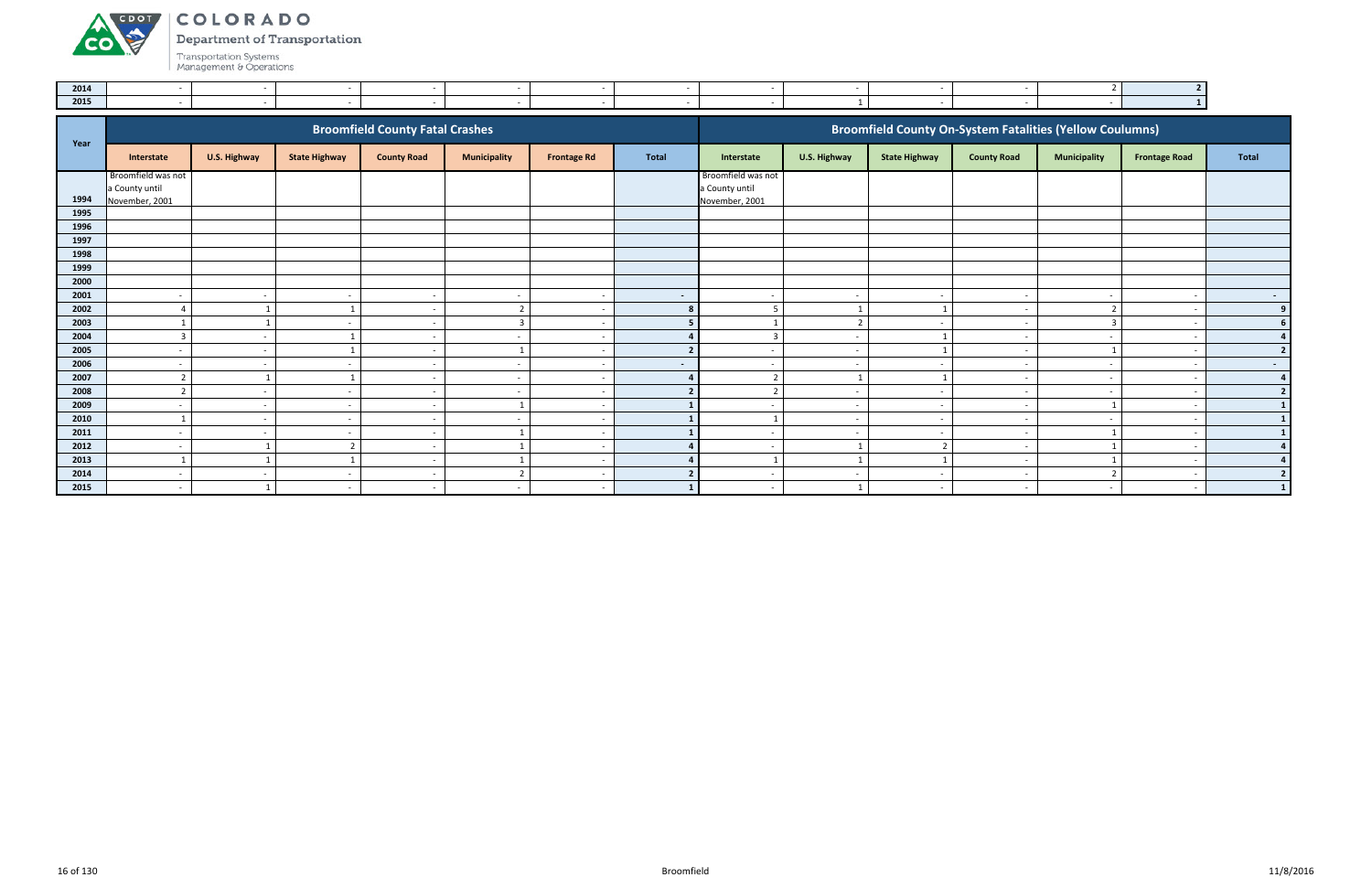**Department of Transportation** 

Transportation Systems<br>Management & Operations

ACDOL

**CO** 

| 2014 |  |  |  |  |  |  |
|------|--|--|--|--|--|--|
| 2015 |  |  |  |  |  |  |

| Year |                          |                          |                      | <b>Broomfield County Fatal Crashes</b> |                          |                          |                |                          |                          |                          | <b>Broomfield County On-System Fatalities (Yellow Coulumns)</b> |                          |                      |                |
|------|--------------------------|--------------------------|----------------------|----------------------------------------|--------------------------|--------------------------|----------------|--------------------------|--------------------------|--------------------------|-----------------------------------------------------------------|--------------------------|----------------------|----------------|
|      | Interstate               | U.S. Highway             | <b>State Highway</b> | <b>County Road</b>                     | <b>Municipality</b>      | <b>Frontage Rd</b>       | Total          | Interstate               | U.S. Highway             | <b>State Highway</b>     | <b>County Road</b>                                              | <b>Municipality</b>      | <b>Frontage Road</b> | <b>Total</b>   |
|      | Broomfield was not       |                          |                      |                                        |                          |                          |                | Broomfield was not       |                          |                          |                                                                 |                          |                      |                |
|      | a County until           |                          |                      |                                        |                          |                          |                | a County until           |                          |                          |                                                                 |                          |                      |                |
| 1994 | November, 2001           |                          |                      |                                        |                          |                          |                | November, 2001           |                          |                          |                                                                 |                          |                      |                |
| 1995 |                          |                          |                      |                                        |                          |                          |                |                          |                          |                          |                                                                 |                          |                      |                |
| 1996 |                          |                          |                      |                                        |                          |                          |                |                          |                          |                          |                                                                 |                          |                      |                |
| 1997 |                          |                          |                      |                                        |                          |                          |                |                          |                          |                          |                                                                 |                          |                      |                |
| 1998 |                          |                          |                      |                                        |                          |                          |                |                          |                          |                          |                                                                 |                          |                      |                |
| 1999 |                          |                          |                      |                                        |                          |                          |                |                          |                          |                          |                                                                 |                          |                      |                |
| 2000 |                          |                          |                      |                                        |                          |                          |                |                          |                          |                          |                                                                 |                          |                      |                |
| 2001 | $\overline{\phantom{a}}$ | $\overline{\phantom{a}}$ |                      | $\sim$                                 | $\overline{a}$           | $\overline{\phantom{a}}$ | $\sim$         | $\overline{\phantom{a}}$ | $\sim$                   |                          | $\sim$                                                          | $\overline{\phantom{a}}$ |                      | $\sim$ $-$     |
| 2002 |                          |                          |                      | $\overline{\phantom{a}}$               | ຳ                        |                          | 8              | 5                        |                          |                          |                                                                 | $\mathcal{D}$            |                      | 9              |
| 2003 |                          |                          |                      |                                        | $\overline{3}$           |                          |                |                          | $\overline{2}$           |                          |                                                                 | $\overline{3}$           |                      | 6              |
| 2004 | $\overline{3}$           | $\overline{\phantom{a}}$ |                      | $\sim$                                 | $\overline{a}$           |                          |                | $\overline{3}$           | $\sim$                   |                          | $\overline{\phantom{a}}$                                        | $\overline{\phantom{a}}$ |                      |                |
| 2005 |                          |                          |                      |                                        |                          |                          | $\overline{2}$ |                          | $\sim$                   |                          |                                                                 |                          |                      | $\overline{2}$ |
| 2006 | $\sim$                   | $\overline{\phantom{a}}$ |                      | $\overline{\phantom{a}}$               | $\sim$                   |                          | $\sim$         | $\overline{\phantom{a}}$ | $\sim$                   |                          | . .                                                             | $\overline{\phantom{a}}$ |                      | $\sim$ $-$     |
| 2007 | $\mathbf{\hat{z}}$       |                          |                      |                                        | $\sim$                   |                          | Δ              | $\mathcal{D}$            |                          |                          |                                                                 | $\overline{\phantom{a}}$ |                      | $\overline{a}$ |
| 2008 |                          | $\overline{\phantom{a}}$ |                      |                                        | $\overline{\phantom{0}}$ |                          |                |                          | $\overline{\phantom{a}}$ |                          |                                                                 | $\overline{\phantom{a}}$ |                      | 2 <sup>1</sup> |
| 2009 | $\overline{a}$           | $\sim$                   | $\sim$               | $\sim$                                 |                          |                          |                | $\overline{\phantom{a}}$ | $\sim$                   | $\overline{\phantom{a}}$ | $\sim$                                                          |                          |                      |                |
| 2010 |                          | $\overline{\phantom{a}}$ |                      |                                        | $\overline{\phantom{0}}$ |                          |                |                          | $\sim$                   | $\overline{\phantom{a}}$ |                                                                 | $\overline{\phantom{a}}$ |                      | 1              |
| 2011 | $\overline{\phantom{a}}$ |                          |                      |                                        |                          |                          |                | $\overline{\phantom{a}}$ | $\sim$                   |                          |                                                                 |                          |                      |                |
| 2012 | $\sim$                   |                          | $\overline{2}$       | $\sim$                                 |                          |                          |                | $\overline{\phantom{a}}$ |                          |                          | $\sim$                                                          |                          |                      | 4              |
| 2013 |                          |                          |                      | $\overline{\phantom{a}}$               |                          |                          |                |                          |                          |                          |                                                                 |                          |                      | $\Delta$       |
| 2014 | $\overline{\phantom{0}}$ | $\overline{\phantom{a}}$ | $\sim$               | $\overline{\phantom{a}}$               | ຳ                        |                          |                | $\overline{\phantom{a}}$ | $\sim$                   | $\overline{\phantom{a}}$ | . .                                                             | $\overline{2}$           |                      | $\overline{2}$ |
| 2015 | $\overline{\phantom{0}}$ |                          | $\sim$               |                                        | $\sim$                   |                          |                | $\overline{\phantom{a}}$ |                          | $\overline{\phantom{0}}$ |                                                                 | $\overline{\phantom{a}}$ |                      |                |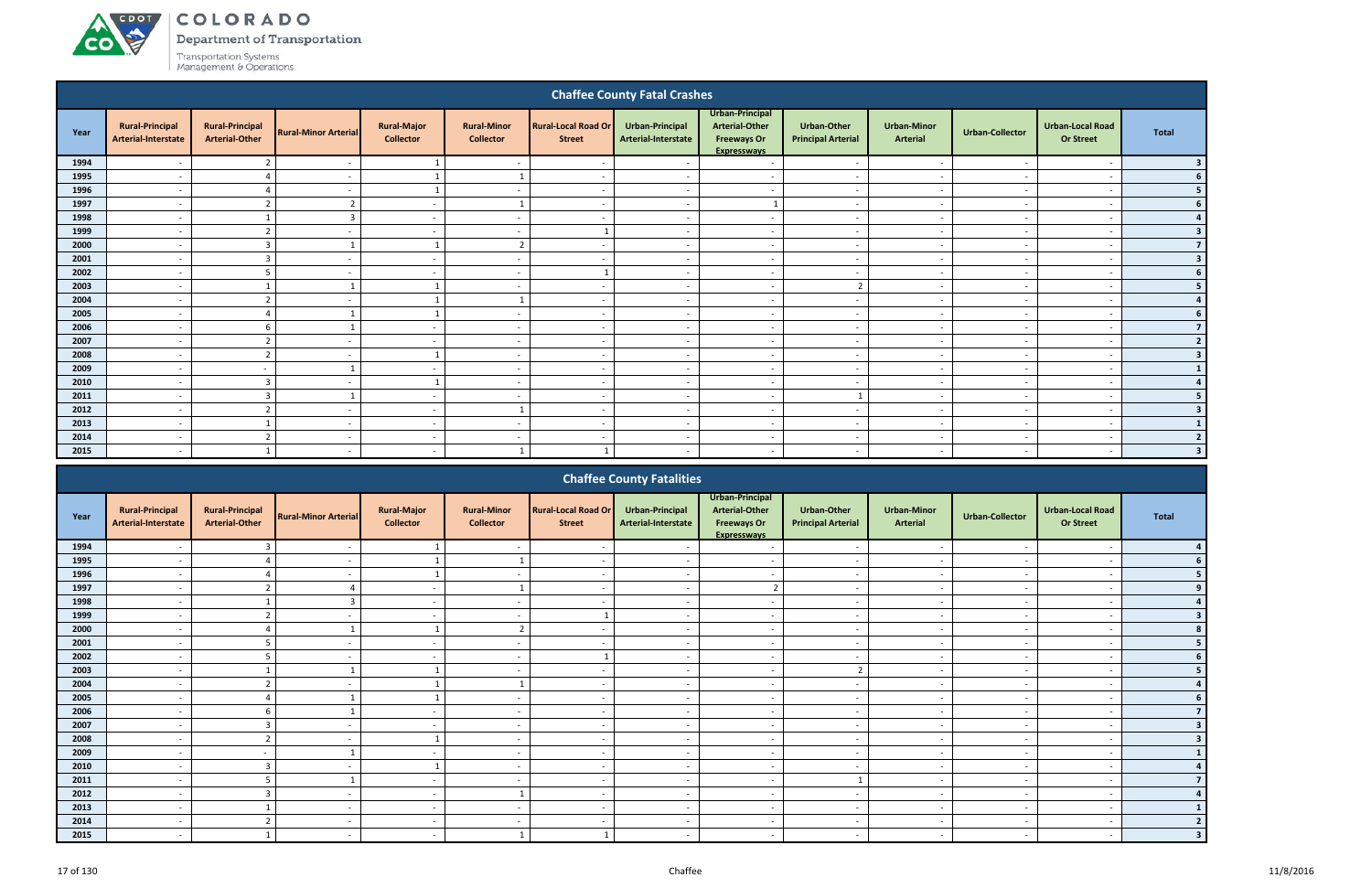COLORADO

Department of Transportation

|      |                                               |                                                 |                             |                                        |                                        |                                             | <b>Chaffee County Fatal Crashes</b>    |                                                                                      |                                          |                                |                          |                                             |                          |
|------|-----------------------------------------------|-------------------------------------------------|-----------------------------|----------------------------------------|----------------------------------------|---------------------------------------------|----------------------------------------|--------------------------------------------------------------------------------------|------------------------------------------|--------------------------------|--------------------------|---------------------------------------------|--------------------------|
| Year | <b>Rural-Principal</b><br>Arterial-Interstate | <b>Rural-Principal</b><br><b>Arterial-Other</b> | <b>Rural-Minor Arterial</b> | <b>Rural-Major</b><br><b>Collector</b> | <b>Rural-Minor</b><br><b>Collector</b> | <b>Rural-Local Road Or</b><br><b>Street</b> | Urban-Principal<br>Arterial-Interstate | Urban-Principal<br><b>Arterial-Other</b><br><b>Freeways Or</b><br><b>Expressways</b> | Urban-Other<br><b>Principal Arterial</b> | <b>Urban-Minor</b><br>Arterial | <b>Urban-Collector</b>   | <b>Urban-Local Road</b><br><b>Or Street</b> | <b>Total</b>             |
| 1994 |                                               |                                                 |                             |                                        |                                        | $\overline{\phantom{a}}$                    |                                        | $\overline{\phantom{a}}$                                                             | $\overline{\phantom{a}}$                 | $\overline{\phantom{a}}$       |                          |                                             |                          |
| 1995 | $\overline{\phantom{a}}$                      |                                                 | $\overline{\phantom{a}}$    | $\overline{1}$                         |                                        | $\sim$                                      | $\sim$                                 | $\sim$                                                                               | $\sim$                                   | $\sim$                         | $\sim$                   | $\overline{\phantom{a}}$                    |                          |
| 1996 | $\overline{\phantom{a}}$                      |                                                 | $\overline{\phantom{a}}$    | $\overline{1}$                         | $\sim$                                 | $\sim$                                      | $\sim$                                 | $\sim$                                                                               | $\overline{\phantom{a}}$                 | $\sim$                         | $\sim$                   | $\overline{\phantom{a}}$                    |                          |
| 1997 | $\overline{\phantom{a}}$                      | $\overline{z}$                                  | $\overline{\phantom{a}}$    | $\sim$                                 | $\mathbf{1}$                           | $\overline{\phantom{a}}$                    | $\overline{\phantom{a}}$               | $\overline{1}$                                                                       | $\overline{a}$                           | $\sim$                         | $\sim$                   | $\overline{\phantom{a}}$                    |                          |
| 1998 | $\overline{\phantom{a}}$                      |                                                 | $\overline{3}$              | $\sim$                                 | $\overline{a}$                         | $\sim$                                      | $\sim$                                 | $\overline{a}$                                                                       | $\overline{a}$                           | $\sim$                         | $\sim$                   | $\overline{\phantom{a}}$                    |                          |
| 1999 | $\overline{\phantom{a}}$                      | $\overline{\phantom{a}}$                        | $\overline{\phantom{a}}$    | $\sim$                                 | $\overline{a}$                         |                                             | $\overline{a}$                         | $\overline{\phantom{a}}$                                                             | $\overline{\phantom{a}}$                 | $\sim$                         | $\overline{\phantom{a}}$ | $\overline{\phantom{a}}$                    | 3                        |
| 2000 | $\overline{\phantom{a}}$                      | $\overline{3}$                                  | $\mathbf{1}$                | $\mathbf{1}$                           | $\overline{2}$                         | $\sim$                                      | $\overline{\phantom{a}}$               | $\overline{\phantom{a}}$                                                             | $\sim$                                   | $\sim$                         | $\overline{\phantom{a}}$ | $\overline{\phantom{a}}$                    | 7 <sup>1</sup>           |
| 2001 |                                               | $\overline{\mathbf{3}}$                         |                             | $\sim$                                 | $\overline{\phantom{a}}$               | $\sim$                                      | $\overline{\phantom{a}}$               | $\overline{\phantom{a}}$                                                             | $\overline{\phantom{a}}$                 | $\sim$                         |                          | $\overline{\phantom{a}}$                    | $\overline{\mathbf{3}}$  |
| 2002 |                                               | 5                                               | $\overline{\phantom{a}}$    | $\sim$                                 | $\overline{\phantom{a}}$               | $\overline{1}$                              | $\overline{\phantom{a}}$               | $\sim$                                                                               | $\overline{a}$                           | $\overline{\phantom{a}}$       | $\sim$                   | $\overline{\phantom{a}}$                    |                          |
| 2003 |                                               |                                                 |                             |                                        | $\overline{a}$                         | $\overline{\phantom{a}}$                    | $\overline{\phantom{a}}$               | $\overline{\phantom{a}}$                                                             | $\overline{2}$                           | $\overline{\phantom{a}}$       | $\sim$                   | $\overline{\phantom{a}}$                    |                          |
| 2004 | $\overline{\phantom{a}}$                      |                                                 | $\overline{\phantom{0}}$    |                                        |                                        | $\overline{\phantom{a}}$                    | $\overline{\phantom{a}}$               | $\overline{\phantom{a}}$                                                             | $\sim$                                   | $\overline{\phantom{a}}$       | $\sim$                   | $\overline{\phantom{a}}$                    |                          |
| 2005 | $\overline{\phantom{a}}$                      |                                                 |                             |                                        | $\overline{a}$                         | $\overline{\phantom{a}}$                    | $\overline{a}$                         | $\overline{\phantom{a}}$                                                             | $\overline{\phantom{a}}$                 | $\overline{\phantom{a}}$       | $\overline{\phantom{a}}$ | $\overline{\phantom{a}}$                    |                          |
| 2006 | $\overline{\phantom{a}}$                      | 6                                               |                             | $\sim$                                 | $\overline{\phantom{a}}$               | $\sim$                                      | $\sim$                                 | $\sim$                                                                               | $\overline{a}$                           | $\sim$                         | $\sim$                   | $\overline{\phantom{a}}$                    |                          |
| 2007 | $\overline{\phantom{a}}$                      | $\overline{2}$                                  | $\overline{\phantom{a}}$    | $\sim$                                 | $\overline{a}$                         | $\sim$                                      | $\sim$                                 | $\overline{a}$                                                                       | $\sim$                                   | $\sim$                         | $\sim$                   | $\overline{\phantom{a}}$                    | $\overline{2}$           |
| 2008 | $\overline{\phantom{a}}$                      | $\overline{2}$                                  | $\overline{a}$              | 1                                      | $\overline{a}$                         | $\overline{\phantom{a}}$                    | $\sim$                                 | $\overline{a}$                                                                       | $\overline{a}$                           | $\overline{\phantom{a}}$       | $\sim$                   | $\overline{\phantom{a}}$                    | 3                        |
| 2009 | $\overline{a}$                                | $\overline{a}$                                  |                             | $\sim$                                 | $\overline{a}$                         | $\overline{\phantom{a}}$                    | $\sim$                                 | $\sim$                                                                               | $\overline{a}$                           | $\overline{\phantom{a}}$       | $\sim$                   | $\overline{\phantom{a}}$                    |                          |
| 2010 | $\overline{\phantom{a}}$                      | $\overline{3}$                                  | $\overline{\phantom{a}}$    | $\overline{1}$                         | $\overline{a}$                         | $\overline{\phantom{a}}$                    | $\overline{\phantom{a}}$               | $\overline{\phantom{a}}$                                                             | $\overline{a}$                           | $\overline{\phantom{a}}$       | $\overline{\phantom{a}}$ | $\overline{\phantom{a}}$                    |                          |
| 2011 | $\overline{\phantom{0}}$                      | $\overline{3}$                                  | $\mathbf{1}$                | $\sim$                                 | $\overline{a}$                         | $\sim$                                      | $\overline{\phantom{a}}$               | $\overline{\phantom{a}}$                                                             | $\mathbf{1}$                             | $\sim$                         |                          | - -                                         |                          |
| 2012 |                                               | ຳ                                               |                             | $\sim$                                 |                                        | $\sim$                                      |                                        | $\overline{\phantom{a}}$                                                             | $\overline{\phantom{a}}$                 | $\sim$                         |                          | $\overline{\phantom{a}}$                    | 3                        |
| 2013 | $\overline{\phantom{a}}$                      |                                                 | $\overline{\phantom{a}}$    | $\sim$                                 | $\overline{\phantom{a}}$               | $\overline{\phantom{a}}$                    | $\overline{\phantom{a}}$               | $\overline{\phantom{a}}$                                                             | $\overline{\phantom{a}}$                 | $\sim$                         | $\sim$                   | $\overline{\phantom{a}}$                    |                          |
| 2014 | $\overline{\phantom{a}}$                      | $\mathcal{D}$                                   | $\overline{\phantom{a}}$    | $\sim$                                 | $\overline{\phantom{a}}$               | $\sim$                                      | $\overline{\phantom{a}}$               | $\overline{\phantom{a}}$                                                             | $\overline{\phantom{a}}$                 | $\sim$                         | $\sim$                   | $\overline{\phantom{a}}$                    | $\overline{\phantom{a}}$ |
| 2015 | $\overline{\phantom{a}}$                      |                                                 | $\overline{\phantom{a}}$    | $\sim$                                 | $\mathbf{1}$                           |                                             | $\overline{\phantom{a}}$               | $\overline{\phantom{a}}$                                                             | $\overline{\phantom{a}}$                 | $\sim$                         | $\sim$                   | $\overline{\phantom{a}}$                    | 3                        |
|      |                                               |                                                 |                             |                                        |                                        |                                             | <b>Chaffee County Fatalities</b>       |                                                                                      |                                          |                                |                          |                                             |                          |

|      |                                               |                                                 |                             |                                        |                                        |                                             | <b>Chaffee County Fatalities</b>       |                                                                                      |                                                 |                                       |                          |                                             |              |
|------|-----------------------------------------------|-------------------------------------------------|-----------------------------|----------------------------------------|----------------------------------------|---------------------------------------------|----------------------------------------|--------------------------------------------------------------------------------------|-------------------------------------------------|---------------------------------------|--------------------------|---------------------------------------------|--------------|
| Year | <b>Rural-Principal</b><br>Arterial-Interstate | <b>Rural-Principal</b><br><b>Arterial-Other</b> | <b>Rural-Minor Arterial</b> | <b>Rural-Major</b><br><b>Collector</b> | <b>Rural-Minor</b><br><b>Collector</b> | <b>Rural-Local Road Or</b><br><b>Street</b> | Urban-Principal<br>Arterial-Interstate | Urban-Principal<br><b>Arterial-Other</b><br><b>Freeways Or</b><br><b>Expresswavs</b> | <b>Urban-Other</b><br><b>Principal Arterial</b> | <b>Urban-Minor</b><br><b>Arterial</b> | <b>Urban-Collector</b>   | <b>Urban-Local Road</b><br><b>Or Street</b> | <b>Total</b> |
| 1994 |                                               |                                                 |                             |                                        | $\overline{\phantom{a}}$               |                                             |                                        |                                                                                      | $\overline{\phantom{a}}$                        |                                       |                          |                                             |              |
| 1995 |                                               |                                                 |                             |                                        |                                        |                                             |                                        |                                                                                      |                                                 |                                       |                          |                                             |              |
| 1996 | $\overline{\phantom{a}}$                      |                                                 |                             |                                        | $\blacksquare$                         |                                             |                                        | $\overline{\phantom{a}}$                                                             | $\overline{\phantom{a}}$                        | $\overline{\phantom{0}}$              |                          | $\overline{\phantom{0}}$                    |              |
| 1997 | $\overline{\phantom{0}}$                      |                                                 |                             | $\sim$                                 |                                        |                                             |                                        |                                                                                      | $\overline{\phantom{a}}$                        | $\overline{\phantom{a}}$              |                          | $\overline{\phantom{a}}$                    |              |
| 1998 |                                               |                                                 |                             | $\overline{\phantom{a}}$               | $\overline{\phantom{a}}$               |                                             |                                        | $\overline{\phantom{a}}$                                                             | $\overline{\phantom{a}}$                        | $\overline{\phantom{a}}$              |                          |                                             |              |
| 1999 | $\overline{\phantom{a}}$                      |                                                 |                             | $\sim$                                 | $\overline{\phantom{a}}$               |                                             |                                        | $\overline{\phantom{a}}$                                                             | $\overline{\phantom{a}}$                        | $\overline{\phantom{a}}$              |                          | $\overline{\phantom{a}}$                    |              |
| 2000 |                                               |                                                 |                             |                                        | $\mathbf{\hat{z}}$<br>ے                |                                             |                                        |                                                                                      |                                                 |                                       |                          |                                             |              |
| 2001 | $\overline{\phantom{a}}$                      |                                                 |                             | $\sim$                                 | $\overline{\phantom{a}}$               | $\overline{\phantom{a}}$                    |                                        | $\overline{\phantom{a}}$                                                             | $\sim$                                          | $\overline{\phantom{a}}$              |                          | $\overline{\phantom{a}}$                    |              |
| 2002 |                                               |                                                 |                             | $\sim$                                 | $\overline{\phantom{a}}$               |                                             |                                        | $\overline{\phantom{a}}$                                                             | $\overline{\phantom{a}}$                        | $\overline{\phantom{a}}$              |                          | $\overline{\phantom{a}}$                    |              |
| 2003 |                                               |                                                 |                             |                                        |                                        |                                             |                                        |                                                                                      | $\mathcal{L}$                                   | $\overline{\phantom{a}}$              |                          | $\overline{\phantom{0}}$                    |              |
| 2004 |                                               |                                                 |                             |                                        |                                        | $\overline{\phantom{a}}$                    |                                        | $\overline{\phantom{a}}$                                                             | $\overline{\phantom{a}}$                        | $\overline{\phantom{a}}$              |                          | $\overline{\phantom{a}}$                    |              |
| 2005 |                                               |                                                 |                             |                                        |                                        |                                             |                                        | $\overline{\phantom{a}}$                                                             | $\overline{\phantom{0}}$                        | $\overline{\phantom{0}}$              |                          |                                             |              |
| 2006 | $\overline{a}$                                |                                                 |                             | $\sim$                                 | $\sim$                                 | $\overline{\phantom{a}}$                    | $\sim$                                 | $\overline{\phantom{a}}$                                                             | $\overline{\phantom{a}}$                        | $\overline{\phantom{0}}$              | $\sim$                   | $\overline{\phantom{a}}$                    |              |
| 2007 |                                               |                                                 |                             | $\sim$                                 | $\overline{\phantom{a}}$               |                                             |                                        | $\overline{\phantom{a}}$                                                             | $\sim$                                          | $\overline{\phantom{0}}$              |                          | $\overline{\phantom{a}}$                    |              |
| 2008 |                                               |                                                 |                             |                                        | $\overline{\phantom{a}}$               | $\overline{\phantom{a}}$                    |                                        | $\overline{\phantom{a}}$                                                             | $\overline{\phantom{a}}$                        | $\overline{\phantom{a}}$              |                          | $\overline{\phantom{a}}$                    |              |
| 2009 |                                               |                                                 |                             | $\sim$                                 | $\overline{\phantom{a}}$               |                                             |                                        | $\overline{\phantom{a}}$                                                             | $\overline{\phantom{a}}$                        | $\overline{\phantom{0}}$              |                          | $\overline{\phantom{a}}$                    |              |
| 2010 |                                               |                                                 |                             |                                        | $\overline{\phantom{a}}$               |                                             |                                        | $\overline{\phantom{a}}$                                                             | $\overline{\phantom{a}}$                        | $\overline{\phantom{0}}$              |                          | $\overline{\phantom{0}}$                    |              |
| 2011 | $\overline{\phantom{a}}$                      |                                                 |                             | $\sim$                                 | $\overline{\phantom{a}}$               | $\overline{\phantom{0}}$                    | $\overline{\phantom{a}}$               | $\overline{\phantom{a}}$                                                             |                                                 | $\overline{\phantom{a}}$              | $\overline{\phantom{a}}$ | $\overline{\phantom{a}}$                    |              |
| 2012 |                                               |                                                 |                             | $\sim$                                 |                                        |                                             |                                        | $\overline{\phantom{a}}$                                                             | $\sim$                                          | $\overline{\phantom{a}}$              |                          | $\overline{\phantom{a}}$                    |              |
| 2013 | $\overline{\phantom{0}}$                      |                                                 | $\overline{\phantom{a}}$    | $\sim$                                 | $\overline{\phantom{a}}$               | $\overline{\phantom{a}}$                    | $\overline{\phantom{a}}$               | $\overline{\phantom{a}}$                                                             | $\sim$                                          | $\sim$                                | $\overline{\phantom{a}}$ | $\overline{\phantom{a}}$                    |              |
| 2014 |                                               |                                                 |                             | $\sim$                                 |                                        |                                             |                                        |                                                                                      | $\overline{\phantom{0}}$                        | $\overline{\phantom{0}}$              |                          |                                             |              |
| 2015 |                                               |                                                 |                             | $\sim$                                 |                                        |                                             |                                        |                                                                                      | $\overline{\phantom{a}}$                        | $\overline{\phantom{0}}$              |                          |                                             |              |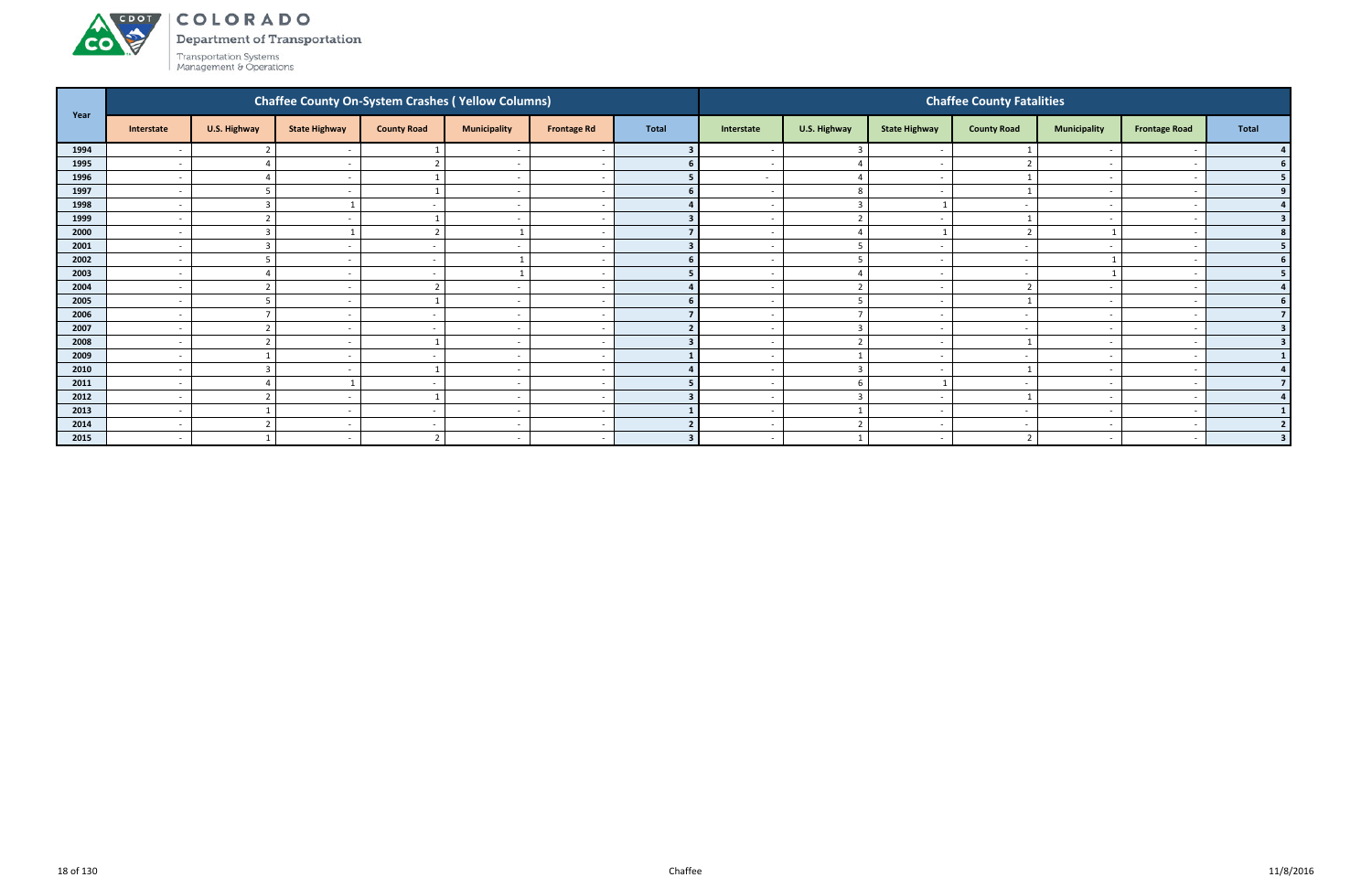COLORADO

Department of Transportation

| Year |                          |                    |                          |                          | <b>Chaffee County On-System Crashes (Yellow Columns)</b> |                          |              |                          |                |                          | <b>Chaffee County Fatalities</b> |                          |                      |              |
|------|--------------------------|--------------------|--------------------------|--------------------------|----------------------------------------------------------|--------------------------|--------------|--------------------------|----------------|--------------------------|----------------------------------|--------------------------|----------------------|--------------|
|      | Interstate               | U.S. Highway       | <b>State Highway</b>     | <b>County Road</b>       | <b>Municipality</b>                                      | <b>Frontage Rd</b>       | <b>Total</b> | Interstate               | U.S. Highway   | <b>State Highway</b>     | <b>County Road</b>               | <b>Municipality</b>      | <b>Frontage Road</b> | <b>Total</b> |
| 1994 |                          |                    |                          |                          |                                                          |                          |              |                          |                |                          |                                  |                          |                      |              |
| 1995 | $\sim$                   |                    | $\sim$                   |                          | $\overline{\phantom{a}}$                                 | $\overline{\phantom{a}}$ |              | $\overline{\phantom{0}}$ |                | $\sim$                   |                                  |                          |                      |              |
| 1996 | $\sim$                   |                    |                          |                          | $\overline{\phantom{a}}$                                 |                          |              | $\sim$                   |                | $\sim$                   |                                  |                          |                      |              |
| 1997 | $\overline{a}$           | 5                  |                          |                          | $\overline{\phantom{a}}$                                 |                          |              |                          | -8             | $\overline{\phantom{a}}$ |                                  |                          |                      |              |
| 1998 | $\sim$                   | 3                  |                          |                          | $\overline{\phantom{a}}$                                 |                          |              |                          | $\overline{3}$ |                          |                                  |                          |                      |              |
| 1999 | $\sim$                   |                    |                          |                          |                                                          |                          |              |                          |                |                          |                                  |                          |                      |              |
| 2000 | $\overline{a}$           | $\overline{3}$     |                          | <sup>-</sup>             |                                                          | -                        |              | $\overline{\phantom{0}}$ |                |                          |                                  |                          |                      |              |
| 2001 | $\sim$                   | $\mathbf{3}$       | $\overline{\phantom{a}}$ | $\overline{\phantom{a}}$ | $\overline{\phantom{a}}$                                 |                          |              |                          |                | $\overline{\phantom{0}}$ |                                  | $\overline{\phantom{0}}$ |                      |              |
| 2002 | $\overline{\phantom{0}}$ | 5                  |                          | $\overline{\phantom{a}}$ |                                                          |                          |              |                          | $\mathbf{r}$   | $\overline{\phantom{0}}$ |                                  |                          |                      |              |
| 2003 | $\sim$                   |                    | $\overline{\phantom{0}}$ | ٠.                       |                                                          |                          |              |                          |                | $\sim$                   |                                  |                          |                      |              |
| 2004 | $\sim$                   |                    |                          |                          |                                                          |                          |              |                          |                | . —                      |                                  |                          |                      |              |
| 2005 | $\overline{a}$           |                    | $\sim$                   |                          | $\overline{\phantom{a}}$                                 | $\overline{\phantom{a}}$ |              | $\overline{\phantom{0}}$ | $\mathbf{r}$   | $\sim$                   |                                  |                          |                      |              |
| 2006 | $\sim$                   |                    |                          |                          | $\overline{\phantom{a}}$                                 |                          |              |                          | $\overline{7}$ | $\sim$                   |                                  |                          |                      |              |
| 2007 | $\sim$                   | $\overline{2}$     | $\sim$                   |                          | $\overline{\phantom{a}}$                                 |                          |              |                          | $\overline{3}$ | $\sim$                   |                                  |                          |                      |              |
| 2008 | $\overline{a}$           | $\mathbf{\hat{z}}$ | $\sim$                   |                          | $\overline{\phantom{a}}$                                 |                          |              |                          | $\mathbf{a}$   | $\sim$                   |                                  |                          |                      |              |
| 2009 | $\overline{\phantom{0}}$ |                    |                          |                          |                                                          |                          |              |                          |                | $\sim$                   |                                  |                          |                      |              |
| 2010 | $\overline{a}$           | 3                  |                          |                          | $\overline{\phantom{a}}$                                 |                          |              |                          | $\mathbf{C}$   | $\sim$                   |                                  |                          |                      |              |
| 2011 | $\sim$                   |                    |                          |                          | $\overline{\phantom{a}}$                                 | $\overline{\phantom{a}}$ |              |                          | -6             |                          |                                  | $\overline{\phantom{0}}$ |                      |              |
| 2012 | $\sim$                   | $\overline{2}$     | $\overline{\phantom{0}}$ |                          | $\overline{\phantom{a}}$                                 | ٠.                       |              | $\overline{\phantom{0}}$ | $\mathbf{R}$   | $\sim$                   |                                  |                          |                      |              |
| 2013 | $\overline{a}$           |                    | $\overline{\phantom{0}}$ | . .                      | $\overline{\phantom{0}}$                                 |                          |              |                          |                | $\sim$                   |                                  |                          |                      |              |
| 2014 | $\overline{\phantom{0}}$ |                    | $\overline{\phantom{a}}$ |                          | $\overline{\phantom{a}}$                                 | $\overline{\phantom{a}}$ |              |                          |                | $\sim$                   |                                  |                          |                      |              |
| 2015 | $\overline{\phantom{a}}$ |                    |                          | $\mathbf{r}$             | $\overline{\phantom{0}}$                                 | $\overline{\phantom{a}}$ |              |                          |                | $\overline{\phantom{a}}$ |                                  |                          |                      | $\mathbf{R}$ |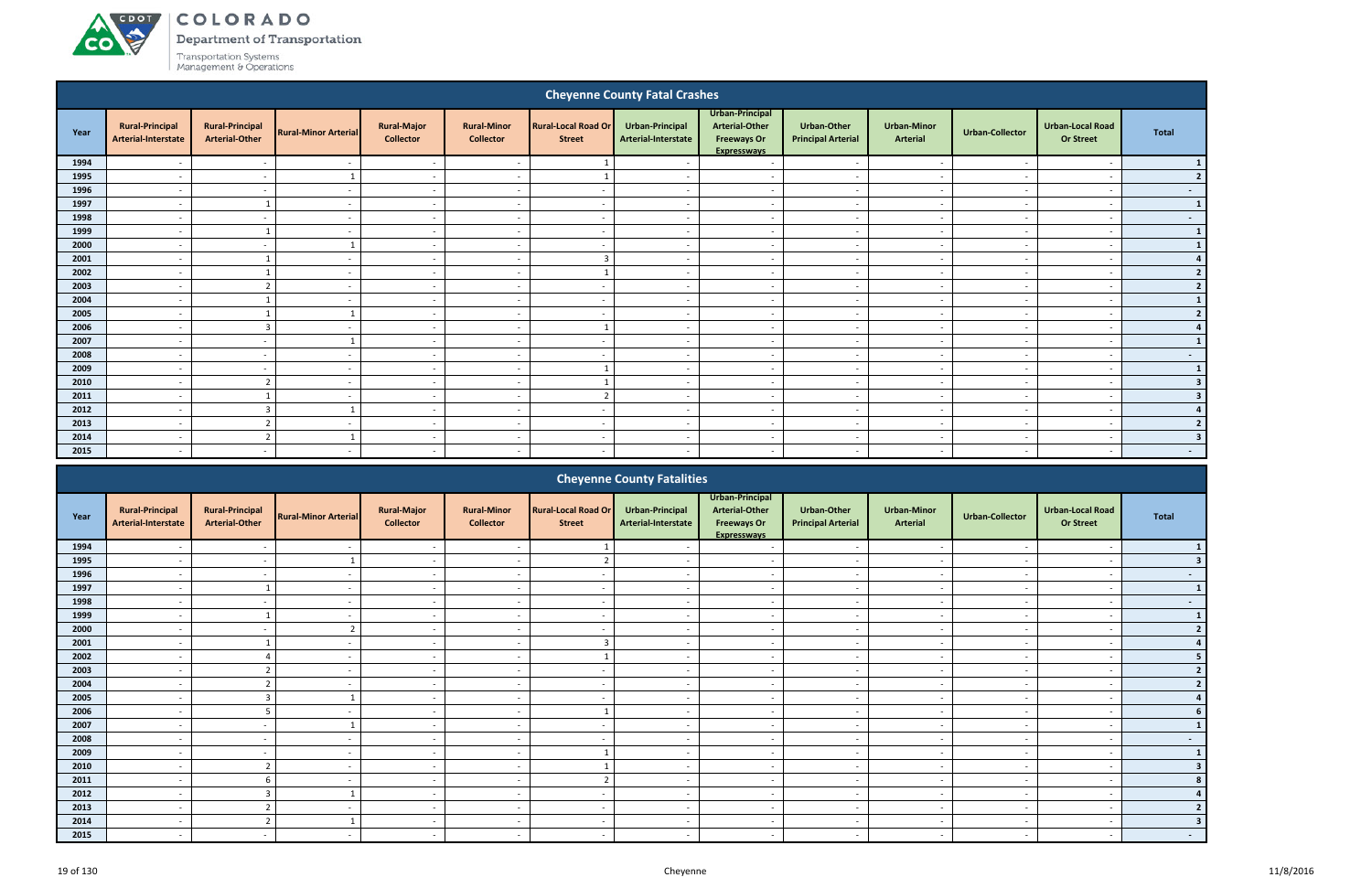#### ACDOT COLORADO

**CO** 

Department of Transportation

|      |                                               |                                                 |                             |                                        |                                        |                                             | <b>Cheyenne County Fatal Crashes</b>   |                                                                                      |                                          |                                |                          |                                             |                |
|------|-----------------------------------------------|-------------------------------------------------|-----------------------------|----------------------------------------|----------------------------------------|---------------------------------------------|----------------------------------------|--------------------------------------------------------------------------------------|------------------------------------------|--------------------------------|--------------------------|---------------------------------------------|----------------|
| Year | <b>Rural-Principal</b><br>Arterial-Interstate | <b>Rural-Principal</b><br><b>Arterial-Other</b> | <b>Rural-Minor Arterial</b> | <b>Rural-Major</b><br><b>Collector</b> | <b>Rural-Minor</b><br><b>Collector</b> | <b>Rural-Local Road Or</b><br><b>Street</b> | Urban-Principal<br>Arterial-Interstate | Urban-Principal<br><b>Arterial-Other</b><br><b>Freeways Or</b><br><b>Expressways</b> | Urban-Other<br><b>Principal Arterial</b> | <b>Urban-Minor</b><br>Arterial | <b>Urban-Collector</b>   | <b>Urban-Local Road</b><br><b>Or Street</b> | <b>Total</b>   |
| 1994 |                                               | $\sim$                                          | $\overline{\phantom{a}}$    | $\sim$                                 | $\overline{\phantom{a}}$               |                                             | $\sim$                                 | $\sim$                                                                               | $\overline{\phantom{a}}$                 | $\sim$                         | $\sim$                   | $\overline{\phantom{a}}$                    |                |
| 1995 | $\overline{\phantom{a}}$                      | $\sim$                                          |                             | $\sim$                                 | $\overline{\phantom{a}}$               |                                             | $\sim$                                 | $\overline{a}$                                                                       | $\overline{\phantom{a}}$                 | $\sim$                         | $\overline{a}$           | $\overline{\phantom{a}}$                    | 2              |
| 1996 | $\overline{\phantom{a}}$                      | $\sim$                                          | $\overline{\phantom{a}}$    | $\sim$                                 | $\overline{a}$                         | $\sim$                                      | $\overline{a}$                         | $\overline{a}$                                                                       | $\sim$                                   | $\sim$                         | $\overline{a}$           | $\overline{\phantom{a}}$                    | $\sim$         |
| 1997 |                                               |                                                 | $\overline{\phantom{a}}$    | $\overline{\phantom{a}}$               |                                        | $\overline{\phantom{a}}$                    |                                        | $\overline{\phantom{a}}$                                                             |                                          | $\overline{\phantom{a}}$       |                          |                                             | $\mathbf{1}$   |
| 1998 | $\overline{\phantom{a}}$                      | $\overline{\phantom{a}}$                        | $\overline{\phantom{a}}$    | $\sim$                                 | $\overline{\phantom{a}}$               | $\overline{\phantom{a}}$                    | $\sim$                                 | $\sim$                                                                               | $\overline{\phantom{a}}$                 | $\overline{\phantom{a}}$       | $\overline{\phantom{a}}$ | $\overline{\phantom{a}}$                    | $\sim$         |
| 1999 | $\overline{a}$                                |                                                 | $\overline{\phantom{a}}$    | $\sim$                                 | $\overline{\phantom{a}}$               | $\sim$                                      | $\sim$                                 | $\sim$                                                                               | $\sim$                                   | $\sim$                         | $\sim$                   | $\overline{\phantom{a}}$                    | $\mathbf{1}$   |
| 2000 | $\overline{a}$                                | $\sim$                                          |                             | $\sim$                                 | $\overline{a}$                         | $\sim$                                      | $\sim$                                 | $\sim$                                                                               | $\overline{a}$                           | $\sim$                         | $\overline{\phantom{a}}$ | $\overline{\phantom{a}}$                    |                |
| 2001 | $\overline{a}$                                |                                                 | $\sim$                      | $\sim$                                 | $\overline{a}$                         | $\overline{3}$                              | $\sim$                                 | $\overline{a}$                                                                       | $\overline{a}$                           | $\sim$                         | $\sim$                   | $\overline{\phantom{a}}$                    |                |
| 2002 | $\overline{\phantom{a}}$                      |                                                 | $\overline{a}$              | $\sim$                                 | $\overline{\phantom{a}}$               |                                             | $\overline{\phantom{a}}$               | $\overline{a}$                                                                       | $\overline{\phantom{a}}$                 | $\overline{\phantom{a}}$       | $\overline{\phantom{a}}$ | $\overline{\phantom{a}}$                    | $\overline{2}$ |
| 2003 | $\overline{\phantom{a}}$                      | $\overline{2}$                                  | $\overline{\phantom{a}}$    | $\sim$                                 | $\overline{\phantom{a}}$               | $\sim$                                      | $\overline{\phantom{a}}$               | $\overline{\phantom{a}}$                                                             | $\overline{\phantom{0}}$                 | $\sim$                         |                          | $\overline{\phantom{a}}$                    | $\overline{2}$ |
| 2004 |                                               |                                                 | $\overline{\phantom{a}}$    | $\overline{\phantom{a}}$               | $\overline{\phantom{a}}$               | $\overline{a}$                              |                                        | $\overline{\phantom{a}}$                                                             | $\overline{\phantom{a}}$                 | $\overline{a}$                 |                          | $\overline{\phantom{a}}$                    |                |
| 2005 | $\overline{\phantom{a}}$                      |                                                 |                             | $\sim$                                 | $\overline{a}$                         | $\overline{\phantom{a}}$                    | $\overline{\phantom{a}}$               | $\sim$                                                                               | $\overline{\phantom{a}}$                 | $\overline{\phantom{a}}$       | $\overline{\phantom{a}}$ | $\overline{\phantom{a}}$                    |                |
| 2006 | $\overline{\phantom{a}}$                      | $\mathbf{3}$                                    | $\sim$                      | $\sim$                                 | $\overline{\phantom{a}}$               | -1                                          | $\sim$                                 | $\overline{a}$                                                                       | $\overline{\phantom{a}}$                 | $\sim$                         | $\sim$                   | $\overline{\phantom{a}}$                    |                |
| 2007 | $\overline{a}$                                | $\overline{\phantom{a}}$                        |                             | $\sim$                                 | $\overline{a}$                         | $\sim$                                      | $\sim$                                 | $\overline{a}$                                                                       | $\overline{a}$                           | $\overline{\phantom{a}}$       | $\sim$                   | $\overline{\phantom{a}}$                    |                |
| 2008 | $\overline{\phantom{a}}$                      | $\overline{\phantom{a}}$                        | $\sim$                      | $\overline{\phantom{a}}$               | $\overline{\phantom{a}}$               | $\overline{\phantom{a}}$                    | $\sim$                                 | $\overline{a}$                                                                       | $\sim$                                   | $\overline{\phantom{a}}$       | $\sim$                   | $\overline{\phantom{a}}$                    | ÷              |
| 2009 | $\overline{\phantom{a}}$                      | $\sim$                                          | $\overline{\phantom{a}}$    | $\sim$                                 | $\overline{\phantom{a}}$               |                                             | $\overline{\phantom{a}}$               | $\overline{a}$                                                                       | $\overline{\phantom{0}}$                 | $\sim$                         | $\overline{\phantom{a}}$ | $\overline{\phantom{a}}$                    | $\mathbf{1}$   |
| 2010 | $\overline{\phantom{0}}$                      | $\overline{2}$                                  | $\overline{\phantom{a}}$    | $\sim$                                 | $\overline{\phantom{a}}$               |                                             | $\overline{\phantom{a}}$               | $\overline{a}$                                                                       | $\overline{\phantom{a}}$                 | $\sim$                         | - -                      | $\overline{\phantom{a}}$                    | 3              |
| 2011 |                                               |                                                 | $\overline{\phantom{a}}$    | $\sim$                                 |                                        | $\mathcal{D}$                               |                                        | $\overline{a}$                                                                       | $\overline{\phantom{a}}$                 | $\overline{\phantom{a}}$       |                          |                                             | 3              |
| 2012 | $\overline{a}$                                | $\overline{3}$                                  |                             | $\sim$                                 | $\overline{\phantom{a}}$               | $\sim$                                      | $\sim$                                 | $\sim$                                                                               | $\overline{\phantom{a}}$                 | $\sim$                         | $\sim$                   | $\overline{\phantom{a}}$                    |                |
| 2013 | $\overline{a}$                                | $\overline{2}$                                  | $\sim$                      | $\sim$                                 | $\overline{a}$                         | $\sim$                                      | $\sim$                                 | $\sim$                                                                               | $\sim$                                   | $\sim$                         | $\sim$                   | $\overline{\phantom{a}}$                    |                |
| 2014 | $\overline{a}$                                | $\overline{2}$                                  |                             | $\sim$                                 | $\overline{a}$                         | $\sim$                                      | $\sim$                                 | $\sim$                                                                               | $\overline{a}$                           | $\sim$                         | $\sim$                   | $\overline{\phantom{a}}$                    | -3             |
| 2015 | $\overline{a}$                                | $\sim$                                          | $\overline{\phantom{a}}$    | $\overline{\phantom{a}}$               | $\overline{a}$                         | $\sim$                                      | $\sim$                                 | $\overline{a}$                                                                       | $\sim$                                   | $\sim$                         | $\overline{\phantom{a}}$ | $\overline{\phantom{a}}$                    | $\sim$         |
|      |                                               |                                                 |                             |                                        |                                        |                                             | Chairman Compton Fotolitics            |                                                                                      |                                          |                                |                          |                                             |                |

|      |                                               |                                                 |                             |                                        |                                        |                                             | <b>Cheyenne County Fatalities</b>      |                                                                                      |                                                 |                                       |                          |                                             |              |
|------|-----------------------------------------------|-------------------------------------------------|-----------------------------|----------------------------------------|----------------------------------------|---------------------------------------------|----------------------------------------|--------------------------------------------------------------------------------------|-------------------------------------------------|---------------------------------------|--------------------------|---------------------------------------------|--------------|
| Year | <b>Rural-Principal</b><br>Arterial-Interstate | <b>Rural-Principal</b><br><b>Arterial-Other</b> | <b>Rural-Minor Arterial</b> | <b>Rural-Major</b><br><b>Collector</b> | <b>Rural-Minor</b><br><b>Collector</b> | <b>Rural-Local Road Or</b><br><b>Street</b> | Urban-Principal<br>Arterial-Interstate | Urban-Principal<br><b>Arterial-Other</b><br><b>Freeways Or</b><br><b>Expressways</b> | <b>Urban-Other</b><br><b>Principal Arterial</b> | <b>Urban-Minor</b><br><b>Arterial</b> | <b>Urban-Collector</b>   | <b>Urban-Local Road</b><br><b>Or Street</b> | <b>Total</b> |
| 1994 |                                               |                                                 |                             | $\overline{\phantom{a}}$               | $\overline{\phantom{a}}$               |                                             |                                        |                                                                                      | $\overline{\phantom{a}}$                        |                                       |                          |                                             |              |
| 1995 |                                               |                                                 |                             |                                        |                                        |                                             |                                        |                                                                                      |                                                 |                                       |                          |                                             |              |
| 1996 | $\overline{\phantom{a}}$                      | $\overline{\phantom{a}}$                        |                             | $\sim$                                 | $\overline{\phantom{a}}$               |                                             |                                        | $\overline{\phantom{a}}$                                                             | $\sim$                                          | $\overline{\phantom{a}}$              |                          | $\overline{\phantom{0}}$                    | $\sim$       |
| 1997 | $\overline{\phantom{a}}$                      |                                                 |                             | $\overline{\phantom{a}}$               | $\overline{\phantom{a}}$               |                                             |                                        | $\overline{\phantom{a}}$                                                             | $\overline{\phantom{a}}$                        | $\overline{\phantom{a}}$              |                          | $\overline{\phantom{a}}$                    |              |
| 1998 |                                               |                                                 |                             | $\overline{\phantom{a}}$               | $\overline{\phantom{a}}$               |                                             |                                        |                                                                                      | $\overline{\phantom{a}}$                        | $\overline{\phantom{a}}$              |                          |                                             | $\sim$       |
| 1999 | $\overline{\phantom{a}}$                      |                                                 |                             | $\sim$                                 | $\overline{\phantom{a}}$               |                                             |                                        | $\overline{\phantom{a}}$                                                             | $\sim$                                          | $\sim$                                |                          | $\overline{\phantom{a}}$                    |              |
| 2000 |                                               |                                                 |                             |                                        |                                        |                                             |                                        |                                                                                      |                                                 |                                       |                          |                                             |              |
| 2001 | $\overline{\phantom{a}}$                      |                                                 |                             | $\sim$                                 | $\overline{\phantom{0}}$               |                                             |                                        | $\overline{\phantom{0}}$                                                             | $\overline{\phantom{a}}$                        | $\overline{\phantom{0}}$              |                          | $\overline{\phantom{0}}$                    |              |
| 2002 |                                               |                                                 |                             | $\overline{\phantom{0}}$               | $\overline{\phantom{0}}$               |                                             |                                        | $\overline{\phantom{a}}$                                                             | $\overline{\phantom{a}}$                        | $\overline{\phantom{0}}$              |                          | $\overline{\phantom{0}}$                    |              |
| 2003 |                                               |                                                 |                             | $\overline{\phantom{a}}$               | $\overline{\phantom{a}}$               |                                             |                                        |                                                                                      | $\overline{\phantom{a}}$                        | $\overline{\phantom{a}}$              |                          |                                             |              |
| 2004 |                                               |                                                 |                             | $\sim$                                 | $\overline{\phantom{a}}$               |                                             |                                        | $\overline{\phantom{a}}$                                                             | $\sim$                                          | $\sim$                                |                          | $\overline{\phantom{a}}$                    |              |
| 2005 |                                               |                                                 |                             | $\overline{\phantom{a}}$               |                                        |                                             |                                        |                                                                                      | $\overline{\phantom{a}}$                        |                                       |                          |                                             |              |
| 2006 | $\overline{\phantom{a}}$                      |                                                 |                             | $\sim$                                 | $\overline{\phantom{a}}$               |                                             |                                        | $\overline{\phantom{a}}$                                                             | $\overline{\phantom{a}}$                        | $\sim$                                | $\overline{\phantom{a}}$ | $\overline{\phantom{a}}$                    |              |
| 2007 |                                               |                                                 |                             | $\overline{\phantom{a}}$               | $\overline{\phantom{a}}$               |                                             |                                        |                                                                                      | $\overline{\phantom{a}}$                        | $\overline{\phantom{0}}$              |                          |                                             |              |
| 2008 |                                               |                                                 |                             | $\overline{\phantom{a}}$               | $\overline{\phantom{a}}$               |                                             |                                        |                                                                                      | $\overline{\phantom{0}}$                        | $\overline{\phantom{0}}$              |                          |                                             |              |
| 2009 |                                               |                                                 |                             | $\overline{\phantom{a}}$               | $\overline{\phantom{a}}$               |                                             |                                        |                                                                                      | $\overline{\phantom{a}}$                        | $\overline{\phantom{a}}$              |                          |                                             |              |
| 2010 |                                               |                                                 |                             | $\overline{\phantom{a}}$               | $\overline{\phantom{a}}$               |                                             |                                        |                                                                                      | $\overline{\phantom{a}}$                        | $\overline{\phantom{0}}$              |                          |                                             |              |
| 2011 | $\overline{\phantom{a}}$                      | 6                                               | $\overline{\phantom{a}}$    | $\sim$                                 | $\overline{\phantom{a}}$               |                                             |                                        | $\overline{\phantom{a}}$                                                             | $\overline{\phantom{a}}$                        | $\sim$                                | $\overline{\phantom{a}}$ | $\overline{\phantom{a}}$                    |              |
| 2012 |                                               |                                                 |                             | $\sim$                                 | $\overline{\phantom{a}}$               |                                             |                                        | $\overline{\phantom{a}}$                                                             | $\overline{\phantom{a}}$                        | $\overline{\phantom{a}}$              |                          | $\overline{\phantom{0}}$                    |              |
| 2013 |                                               | $\mathcal{L}$                                   |                             | $\sim$                                 | $\overline{\phantom{a}}$               |                                             |                                        | $\overline{\phantom{a}}$                                                             | $\overline{\phantom{0}}$                        | $\overline{\phantom{0}}$              |                          | $\overline{\phantom{0}}$                    |              |
| 2014 |                                               |                                                 |                             | $\overline{\phantom{a}}$               | $\overline{\phantom{a}}$               |                                             |                                        | $\overline{\phantom{a}}$                                                             | $\overline{\phantom{a}}$                        | $\overline{\phantom{a}}$              |                          | $\overline{\phantom{0}}$                    |              |
| 2015 |                                               |                                                 |                             |                                        |                                        |                                             |                                        |                                                                                      | $\overline{\phantom{a}}$                        | $\overline{\phantom{a}}$              |                          |                                             | $\sim$       |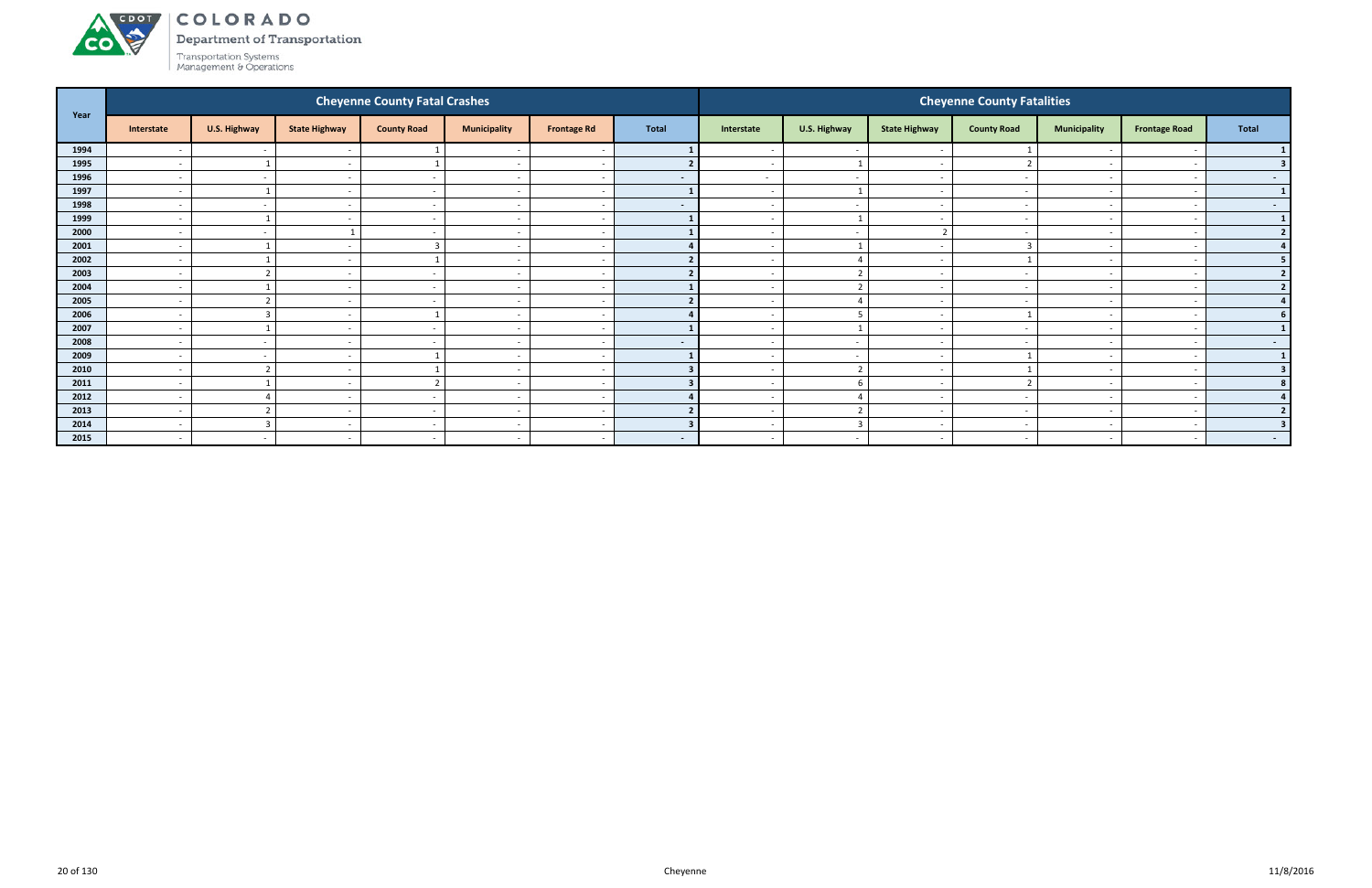

Department of Transportation

|      |                          |                          |                          | <b>Cheyenne County Fatal Crashes</b> |                          |                          |                          |                          |                          |                          | <b>Cheyenne County Fatalities</b> |                          |                          |                         |
|------|--------------------------|--------------------------|--------------------------|--------------------------------------|--------------------------|--------------------------|--------------------------|--------------------------|--------------------------|--------------------------|-----------------------------------|--------------------------|--------------------------|-------------------------|
| Year | Interstate               | U.S. Highway             | <b>State Highway</b>     | <b>County Road</b>                   | <b>Municipality</b>      | <b>Frontage Rd</b>       | <b>Total</b>             | Interstate               | U.S. Highway             | <b>State Highway</b>     | <b>County Road</b>                | <b>Municipality</b>      | <b>Frontage Road</b>     | <b>Total</b>            |
| 1994 | $\overline{\phantom{a}}$ | $\sim$                   |                          |                                      |                          | $\overline{\phantom{a}}$ |                          |                          | $\overline{\phantom{a}}$ | . —                      |                                   |                          |                          |                         |
| 1995 | $\sim$                   |                          | $\overline{\phantom{0}}$ |                                      | $\overline{\phantom{a}}$ | $\sim$                   |                          | $\sim$                   |                          | $\sim$                   |                                   | $\overline{\phantom{0}}$ |                          |                         |
| 1996 | $\overline{\phantom{a}}$ | $\sim$                   |                          | $\sim$                               | $\overline{\phantom{a}}$ | $\sim$                   | $\sim$                   | $\sim$                   | $\overline{\phantom{a}}$ | $\overline{\phantom{0}}$ |                                   | $\overline{\phantom{0}}$ |                          | $\sim$ $-$              |
| 1997 | $\overline{\phantom{a}}$ |                          |                          |                                      | $\overline{\phantom{a}}$ | $\overline{\phantom{a}}$ |                          |                          |                          | $\overline{\phantom{0}}$ |                                   | $\overline{\phantom{0}}$ |                          | $\mathbf{1}$            |
| 1998 | $\overline{\phantom{a}}$ | $\sim$                   |                          | $\overline{\phantom{a}}$             | $\overline{\phantom{a}}$ | $\overline{\phantom{a}}$ | $\overline{\phantom{a}}$ |                          | $\overline{\phantom{a}}$ | $\overline{\phantom{0}}$ |                                   | $\overline{\phantom{0}}$ |                          | $\sim$ 100 $\mu$        |
| 1999 |                          |                          |                          |                                      |                          | $\overline{\phantom{a}}$ |                          |                          |                          |                          |                                   |                          |                          | $\mathbf{1}$            |
| 2000 | $\overline{\phantom{a}}$ | $\sim$                   |                          | $\sim$                               | $\overline{\phantom{a}}$ | $\sim$                   |                          | $\sim$                   | $\overline{\phantom{a}}$ | ຳ                        |                                   |                          |                          | 2 <sup>1</sup>          |
| 2001 | $\overline{\phantom{a}}$ |                          |                          |                                      | $\overline{\phantom{a}}$ | $\sim$                   |                          |                          |                          | $\sim$                   |                                   | $\overline{\phantom{0}}$ |                          |                         |
| 2002 | $\overline{\phantom{a}}$ |                          |                          |                                      | $\overline{\phantom{a}}$ |                          |                          |                          | $\overline{a}$           | $\overline{\phantom{a}}$ |                                   |                          |                          | 5                       |
| 2003 | $\overline{\phantom{a}}$ | $\overline{2}$           |                          |                                      | $\overline{\phantom{a}}$ | $\sim$                   |                          |                          | $\overline{2}$           | $\sim$                   |                                   | $\overline{\phantom{0}}$ |                          | $\overline{2}$          |
| 2004 |                          |                          |                          |                                      |                          | $\overline{\phantom{a}}$ |                          |                          |                          | <u>т</u>                 |                                   |                          |                          |                         |
| 2005 | $\overline{\phantom{a}}$ | $\overline{\phantom{a}}$ | $\overline{\phantom{0}}$ | $\sim$                               | $\overline{a}$           | $\sim$                   |                          | $\overline{\phantom{0}}$ | $\overline{a}$           | $\sim$                   | $\overline{\phantom{a}}$          |                          |                          |                         |
| 2006 | $\overline{\phantom{a}}$ | $\overline{3}$           |                          |                                      | $\overline{\phantom{a}}$ | $\overline{\phantom{a}}$ |                          |                          | -5                       | $\overline{\phantom{0}}$ |                                   | $\overline{\phantom{0}}$ |                          |                         |
| 2007 | $\overline{\phantom{0}}$ |                          |                          | $\sim$                               | $\overline{\phantom{0}}$ | . .                      |                          |                          |                          | $\sim$                   |                                   | $\overline{\phantom{0}}$ |                          |                         |
| 2008 | $\overline{\phantom{a}}$ | $\sim$                   |                          |                                      | $\overline{\phantom{a}}$ | $\sim$                   | $\overline{\phantom{a}}$ |                          | $\overline{\phantom{a}}$ | $\sim$                   |                                   |                          |                          | $\sim$ 100 $\mu$        |
| 2009 | $\overline{\phantom{a}}$ | $\sim$                   |                          |                                      |                          | $\sim$                   |                          |                          | $\overline{\phantom{a}}$ | . —                      |                                   |                          |                          | $\mathbf{1}$            |
| 2010 | $\overline{a}$           | $\overline{2}$           | $\sim$                   |                                      | $\overline{\phantom{a}}$ | $\sim$                   |                          | $\sim$                   | $\overline{2}$           | $\sim$                   |                                   |                          |                          | $\overline{\mathbf{3}}$ |
| 2011 | $\overline{\phantom{a}}$ |                          |                          | $\mathbf{\hat{}}$                    | $\overline{\phantom{a}}$ | $\overline{\phantom{a}}$ |                          |                          | 6                        | $\sim$                   |                                   | $\overline{\phantom{0}}$ |                          |                         |
| 2012 | $\overline{\phantom{a}}$ | $\overline{4}$           |                          |                                      | $\overline{\phantom{0}}$ | $\overline{\phantom{a}}$ |                          |                          |                          | $\sim$                   |                                   |                          |                          |                         |
| 2013 | $\overline{\phantom{a}}$ | $\overline{2}$           | $\overline{\phantom{0}}$ | $\overline{\phantom{0}}$             | $\overline{\phantom{a}}$ | $\overline{\phantom{a}}$ |                          |                          | $\overline{2}$           | $\overline{\phantom{0}}$ |                                   | $\overline{\phantom{0}}$ |                          | ີ                       |
| 2014 | $\overline{\phantom{a}}$ | 3                        |                          |                                      | $\overline{\phantom{a}}$ | $\overline{\phantom{a}}$ |                          |                          |                          | $\overline{\phantom{a}}$ |                                   |                          |                          |                         |
| 2015 | $\overline{a}$           | $\sim$                   | $\overline{\phantom{a}}$ | $\sim$                               | $\overline{\phantom{a}}$ | $\sim$                   | $\sim$                   | $\sim$                   | $\sim$                   | $\sim$                   | $\overline{\phantom{a}}$          | $\sim$                   | $\overline{\phantom{0}}$ | $\sim$ 100 $\pm$        |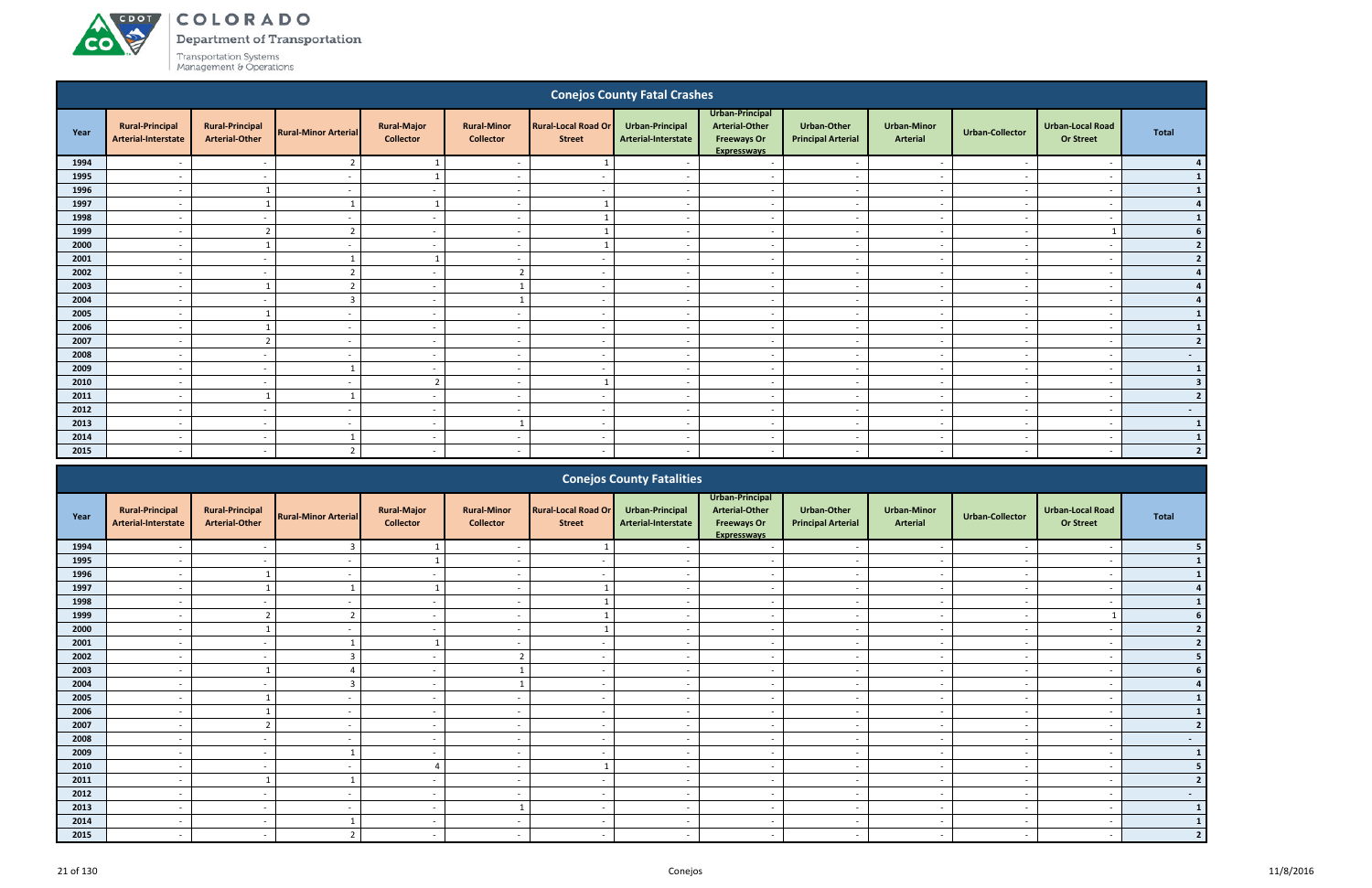# ACDOT

**CO** 

COLORADO

Department of Transportation

|              |                                                      |                                                 |                             |                                        |                                                      |                                             | <b>Conejos County Fatal Crashes</b>           |                                                                                      |                                                      |                                       |                                                      |                                                      |                         |
|--------------|------------------------------------------------------|-------------------------------------------------|-----------------------------|----------------------------------------|------------------------------------------------------|---------------------------------------------|-----------------------------------------------|--------------------------------------------------------------------------------------|------------------------------------------------------|---------------------------------------|------------------------------------------------------|------------------------------------------------------|-------------------------|
| Year         | <b>Rural-Principal</b><br>Arterial-Interstate        | <b>Rural-Principal</b><br><b>Arterial-Other</b> | <b>Rural-Minor Arterial</b> | <b>Rural-Major</b><br><b>Collector</b> | <b>Rural-Minor</b><br><b>Collector</b>               | <b>Rural-Local Road Or</b><br><b>Street</b> | <b>Urban-Principal</b><br>Arterial-Interstate | Urban-Principal<br><b>Arterial-Other</b><br><b>Freeways Or</b><br><b>Expresswavs</b> | <b>Urban-Other</b><br><b>Principal Arterial</b>      | <b>Urban-Minor</b><br><b>Arterial</b> | <b>Urban-Collector</b>                               | <b>Urban-Local Road</b><br><b>Or Street</b>          | <b>Total</b>            |
| 1994         |                                                      | $\overline{\phantom{a}}$                        | $\overline{2}$              | -1                                     | $\overline{\phantom{a}}$                             |                                             |                                               | $\overline{\phantom{a}}$                                                             | $\overline{\phantom{a}}$                             | $\overline{\phantom{a}}$              | .,                                                   | $\overline{\phantom{a}}$                             |                         |
| 1995         | $\overline{\phantom{a}}$                             | $\overline{\phantom{a}}$                        | $\overline{\phantom{a}}$    | - 1                                    | $\overline{\phantom{a}}$                             | $\overline{\phantom{a}}$                    | $\sim$                                        | $\overline{a}$                                                                       | $\sim$                                               | $\overline{a}$                        | $\overline{\phantom{a}}$                             | $\overline{\phantom{a}}$                             |                         |
| 1996         | $\overline{\phantom{a}}$                             |                                                 | $\overline{\phantom{a}}$    | $\sim$                                 | $\overline{\phantom{a}}$                             |                                             | $\overline{\phantom{a}}$                      | $\overline{a}$                                                                       | $\sim$                                               | $\overline{\phantom{a}}$              | $\overline{\phantom{a}}$                             |                                                      |                         |
| 1997         | $\overline{\phantom{a}}$                             | $\overline{\mathbf{1}}$                         | $\mathbf{1}$                | 1                                      | $\overline{\phantom{a}}$                             |                                             | $\overline{\phantom{a}}$                      | $\overline{a}$                                                                       | $\overline{a}$                                       | $\sim$                                | $\overline{\phantom{a}}$                             | $\overline{\phantom{a}}$                             | $\boldsymbol{a}$        |
| 1998         | $\overline{\phantom{a}}$                             | $\overline{\phantom{a}}$                        | $\overline{\phantom{a}}$    | $\overline{a}$                         | $\overline{\phantom{a}}$                             |                                             |                                               | $\overline{a}$                                                                       | $\overline{\phantom{a}}$                             | $\overline{\phantom{a}}$              | $\overline{\phantom{a}}$                             | $\overline{\phantom{a}}$                             | $\mathbf{1}$            |
| 1999<br>2000 | $\overline{\phantom{a}}$                             | $\overline{2}$                                  | $\overline{2}$              | $\sim$                                 | $\overline{\phantom{a}}$                             |                                             | $\sim$                                        | $\overline{a}$                                                                       | $\overline{\phantom{a}}$                             | $\overline{\phantom{a}}$              | $\sim$                                               |                                                      | 6<br>$\overline{2}$     |
| 2001         | $\overline{a}$<br>$\overline{\phantom{a}}$           | $\overline{\phantom{a}}$                        | $\sim$<br>$\mathbf{1}$      | $\sim$<br>- 1                          | $\overline{\phantom{a}}$<br>$\overline{\phantom{a}}$ | $\overline{\phantom{a}}$                    | $\overline{\phantom{a}}$<br>$\sim$            | $\overline{a}$<br>$\overline{a}$                                                     | $\overline{\phantom{a}}$<br>$\overline{\phantom{a}}$ | $\sim$<br>$\overline{\phantom{a}}$    | $\overline{\phantom{a}}$<br>$\overline{\phantom{a}}$ | $\overline{\phantom{a}}$<br>$\overline{\phantom{a}}$ | $\overline{2}$          |
| 2002         | $\overline{\phantom{a}}$                             | $\sim$                                          | $\overline{2}$              | $\sim$                                 | $\overline{2}$                                       | $\overline{\phantom{a}}$                    | $\overline{a}$                                | $\overline{a}$                                                                       | $\overline{\phantom{a}}$                             | $\sim$                                | $\overline{\phantom{a}}$                             | $\overline{\phantom{a}}$                             | $\Delta$                |
| 2003         | $\overline{\phantom{a}}$                             | - 1                                             | $\overline{2}$              | $\sim$                                 | $\mathbf{1}$                                         | $\overline{\phantom{a}}$                    | $\sim$                                        | $\overline{\phantom{a}}$                                                             | $\sim$                                               | $\overline{\phantom{a}}$              | $\overline{\phantom{a}}$                             | $\overline{\phantom{a}}$                             |                         |
| 2004         | $\overline{\phantom{a}}$                             | $\overline{\phantom{a}}$                        | $\overline{3}$              | $\sim$                                 | $\mathbf{1}$                                         | $\overline{\phantom{a}}$                    | $\overline{a}$                                | $\sim$                                                                               | $\sim$                                               | $\overline{a}$                        | $\overline{\phantom{a}}$                             | $\overline{\phantom{a}}$                             |                         |
| 2005         | $\overline{\phantom{a}}$                             | -1                                              | $\overline{a}$              | $\overline{\phantom{a}}$               | $\overline{\phantom{a}}$                             | $\overline{\phantom{a}}$                    | $\overline{\phantom{a}}$                      | $\overline{\phantom{a}}$                                                             | $\sim$                                               | $\overline{\phantom{a}}$              | $\overline{\phantom{a}}$                             | $\overline{\phantom{a}}$                             | -1                      |
| 2006         | $\overline{a}$                                       |                                                 | $\overline{\phantom{a}}$    | $\sim$                                 | $\overline{a}$                                       | $\overline{\phantom{a}}$                    | $\sim$                                        | $\overline{a}$                                                                       | $\sim$                                               | $\sim$                                | $\overline{\phantom{a}}$                             | $\overline{\phantom{a}}$                             | $\mathbf{1}$            |
| 2007         | $\overline{\phantom{a}}$                             | $\overline{2}$                                  | $\overline{\phantom{a}}$    | $\sim$                                 | $\overline{\phantom{a}}$                             | $\overline{\phantom{a}}$                    | $\sim$                                        | $\overline{a}$                                                                       | $\overline{\phantom{a}}$                             | $\sim$                                | $\sim$                                               | $\overline{\phantom{a}}$                             | $\overline{2}$          |
| 2008         | $\overline{\phantom{a}}$                             | $\overline{\phantom{a}}$                        | $\overline{\phantom{a}}$    | $\sim$                                 | $\overline{\phantom{a}}$                             | $\overline{\phantom{a}}$                    | $\overline{\phantom{a}}$                      | $\overline{a}$                                                                       | $\overline{a}$                                       | $\sim$                                | $\overline{\phantom{a}}$                             | $\overline{a}$                                       | $\sim 100$              |
| 2009         | $\overline{\phantom{a}}$                             | $\overline{\phantom{a}}$                        |                             | $\sim$                                 | $\overline{\phantom{a}}$                             | $\overline{\phantom{a}}$                    | $\overline{\phantom{a}}$                      | $\overline{a}$                                                                       | $\overline{\phantom{a}}$                             | $\overline{\phantom{a}}$              | $\overline{\phantom{a}}$                             | $\overline{\phantom{a}}$                             | $\mathbf{1}$            |
| 2010         | $\overline{\phantom{a}}$                             | $\overline{\phantom{a}}$                        | $\overline{\phantom{a}}$    | $\overline{2}$                         | $\overline{\phantom{a}}$                             |                                             | $\overline{a}$                                | $\overline{a}$                                                                       | $\overline{\phantom{a}}$                             | $\overline{\phantom{a}}$              | $\overline{a}$                                       | $\overline{\phantom{a}}$                             | $\overline{\mathbf{3}}$ |
| 2011         | $\overline{\phantom{a}}$                             |                                                 |                             | $\sim$                                 | $\overline{a}$                                       | $\overline{\phantom{a}}$                    | $\overline{\phantom{a}}$                      | $\sim$                                                                               | $\overline{\phantom{a}}$                             | $\sim$                                | $\overline{\phantom{a}}$                             | $\overline{\phantom{a}}$                             | $\overline{2}$          |
| 2012         | $\overline{\phantom{a}}$                             | $\overline{\phantom{a}}$                        | $\overline{\phantom{a}}$    | $\sim$                                 | $\overline{a}$                                       | $\overline{\phantom{a}}$                    | $\sim$                                        | $\overline{a}$                                                                       | $\overline{\phantom{a}}$                             | $\overline{\phantom{a}}$              | $\sim$                                               | $\overline{\phantom{a}}$                             | $\sim 100$              |
| 2013         | $\overline{a}$                                       | $\overline{a}$                                  | $\sim$                      | $\sim$                                 | 1                                                    | $\overline{\phantom{a}}$                    | $\overline{a}$                                | $\sim$                                                                               | $\overline{a}$                                       | $\overline{a}$                        | $\overline{\phantom{a}}$                             | $\overline{a}$                                       | $\mathbf{1}$            |
| 2014         | $\overline{\phantom{a}}$                             | $\sim$                                          | -1                          | $\sim$                                 | $\sim$                                               | $\overline{\phantom{a}}$                    | $\overline{\phantom{a}}$                      | $\overline{a}$                                                                       | $\overline{\phantom{a}}$                             | $\overline{\phantom{a}}$              | $\sim$                                               | $\overline{\phantom{a}}$                             | <sup>1</sup>            |
| 2015         | $\overline{\phantom{0}}$                             | $\overline{\phantom{a}}$                        | $\overline{2}$              | $\sim$                                 | $\overline{\phantom{0}}$                             | $\overline{\phantom{a}}$                    | $\overline{a}$                                | $\sim$                                                                               | $\overline{\phantom{a}}$                             | $\sim$                                | $\overline{a}$                                       | $\overline{\phantom{a}}$                             | $\overline{2}$          |
|              |                                                      |                                                 |                             |                                        |                                                      |                                             | <b>Conejos County Fatalities</b>              |                                                                                      |                                                      |                                       |                                                      |                                                      |                         |
| Year         | <b>Rural-Principal</b><br><b>Arterial-Interstate</b> | <b>Rural-Principal</b><br><b>Arterial-Other</b> | <b>Rural-Minor Arterial</b> | <b>Rural-Major</b><br><b>Collector</b> | <b>Rural-Minor</b><br><b>Collector</b>               | <b>Rural-Local Road Or</b><br><b>Street</b> | <b>Urban-Principal</b><br>Arterial-Interstate | Urban-Principal<br><b>Arterial-Other</b><br><b>Freeways Or</b><br><b>Expresswavs</b> | <b>Urban-Other</b><br><b>Principal Arterial</b>      | <b>Urban-Minor</b><br><b>Arterial</b> | <b>Urban-Collector</b>                               | <b>Urban-Local Road</b><br><b>Or Street</b>          | <b>Total</b>            |

|      |                                               |                                                 |                             |                                        |                                        |                                             | Conclos county rutunties               |                                                                                      |                                          |                                |                          |                                      |                          |
|------|-----------------------------------------------|-------------------------------------------------|-----------------------------|----------------------------------------|----------------------------------------|---------------------------------------------|----------------------------------------|--------------------------------------------------------------------------------------|------------------------------------------|--------------------------------|--------------------------|--------------------------------------|--------------------------|
| Year | <b>Rural-Principal</b><br>Arterial-Interstate | <b>Rural-Principal</b><br><b>Arterial-Other</b> | <b>Rural-Minor Arterial</b> | <b>Rural-Major</b><br><b>Collector</b> | <b>Rural-Minor</b><br><b>Collector</b> | <b>Rural-Local Road Or</b><br><b>Street</b> | Urban-Principal<br>Arterial-Interstate | Urban-Principal<br><b>Arterial-Other</b><br><b>Freeways Or</b><br><b>Expressways</b> | Urban-Other<br><b>Principal Arterial</b> | <b>Urban-Minor</b><br>Arterial | Urban-Collector          | Urban-Local Road<br><b>Or Street</b> | Total                    |
| 1994 |                                               |                                                 |                             |                                        | $\overline{\phantom{a}}$               |                                             |                                        |                                                                                      | $\overline{\phantom{a}}$                 |                                |                          |                                      |                          |
| 1995 |                                               |                                                 |                             |                                        |                                        |                                             |                                        |                                                                                      |                                          |                                |                          |                                      |                          |
| 1996 | $\overline{a}$                                |                                                 |                             |                                        | $\blacksquare$                         |                                             |                                        | $\overline{\phantom{a}}$                                                             | $\overline{\phantom{a}}$                 | $\overline{\phantom{0}}$       | $\sim$                   | $\overline{\phantom{a}}$             |                          |
| 1997 | $\overline{\phantom{a}}$                      |                                                 |                             |                                        | $\overline{\phantom{a}}$               |                                             | $\overline{\phantom{a}}$               | $\overline{\phantom{a}}$                                                             | $\overline{\phantom{a}}$                 | $\overline{\phantom{a}}$       | $\overline{\phantom{a}}$ | $\overline{\phantom{0}}$             |                          |
| 1998 |                                               |                                                 |                             |                                        | $\overline{\phantom{a}}$               |                                             |                                        | $\overline{\phantom{a}}$                                                             | $\overline{\phantom{a}}$                 | $\overline{\phantom{a}}$       |                          |                                      |                          |
| 1999 |                                               |                                                 |                             |                                        | $\overline{\phantom{a}}$               |                                             |                                        | $\overline{\phantom{a}}$                                                             | $\overline{\phantom{a}}$                 | $\overline{\phantom{a}}$       |                          |                                      |                          |
| 2000 |                                               |                                                 |                             |                                        |                                        |                                             |                                        |                                                                                      |                                          |                                |                          |                                      |                          |
| 2001 |                                               |                                                 |                             |                                        |                                        |                                             |                                        |                                                                                      |                                          |                                |                          |                                      |                          |
| 2002 |                                               |                                                 |                             | $\overline{\phantom{a}}$               | $\mathcal{L}$                          |                                             |                                        | $\overline{\phantom{a}}$                                                             | $\overline{\phantom{0}}$                 | $\overline{\phantom{a}}$       |                          |                                      |                          |
| 2003 | $\overline{\phantom{a}}$                      |                                                 |                             | $\sim$                                 |                                        | $\overline{\phantom{0}}$                    |                                        | $\overline{\phantom{a}}$                                                             | $\overline{\phantom{a}}$                 | $\overline{\phantom{a}}$       | $\overline{\phantom{a}}$ |                                      |                          |
| 2004 | $\overline{\phantom{a}}$                      |                                                 |                             | $\overline{\phantom{a}}$               |                                        | $\overline{\phantom{0}}$                    | $\overline{\phantom{a}}$               | $\overline{\phantom{a}}$                                                             | $\overline{\phantom{a}}$                 | $\overline{\phantom{a}}$       | $\overline{\phantom{a}}$ |                                      |                          |
| 2005 |                                               |                                                 |                             | $\overline{\phantom{a}}$               | $\overline{\phantom{0}}$               |                                             |                                        | $\overline{\phantom{a}}$                                                             | $\overline{\phantom{a}}$                 | $\overline{\phantom{a}}$       |                          |                                      |                          |
| 2006 |                                               |                                                 |                             | $\overline{\phantom{a}}$               | $\overline{\phantom{a}}$               | $\overline{\phantom{0}}$                    |                                        | $\overline{\phantom{a}}$                                                             | $\overline{\phantom{a}}$                 | $\overline{\phantom{a}}$       |                          |                                      |                          |
| 2007 |                                               |                                                 |                             |                                        |                                        |                                             |                                        | $\overline{\phantom{a}}$                                                             | $\overline{\phantom{a}}$                 | $\overline{\phantom{a}}$       |                          |                                      |                          |
| 2008 |                                               |                                                 |                             |                                        | $\overline{\phantom{a}}$               |                                             |                                        | $\overline{\phantom{a}}$                                                             | $\overline{\phantom{a}}$                 |                                |                          |                                      | $\sim$                   |
| 2009 | $\overline{\phantom{a}}$                      | $\overline{\phantom{a}}$                        |                             | $\overline{\phantom{a}}$               | $\overline{\phantom{a}}$               | $\overline{\phantom{a}}$                    | $\overline{\phantom{0}}$               | $\overline{\phantom{a}}$                                                             | $\overline{\phantom{a}}$                 | $\overline{\phantom{a}}$       | $\overline{a}$           | $\overline{\phantom{a}}$             | $\mathbf{1}$             |
| 2010 |                                               |                                                 |                             |                                        | $\overline{\phantom{a}}$               |                                             |                                        | $\overline{\phantom{a}}$                                                             | $\overline{\phantom{a}}$                 | $\overline{\phantom{a}}$       |                          |                                      |                          |
| 2011 |                                               |                                                 |                             |                                        |                                        |                                             |                                        |                                                                                      | $\overline{\phantom{a}}$                 |                                |                          |                                      |                          |
| 2012 |                                               |                                                 |                             |                                        | $\overline{\phantom{a}}$               |                                             |                                        | $\overline{\phantom{a}}$                                                             | $\overline{\phantom{a}}$                 | $\overline{\phantom{0}}$       |                          |                                      | $\overline{\phantom{0}}$ |
| 2013 |                                               |                                                 |                             |                                        |                                        |                                             |                                        |                                                                                      |                                          | $\overline{\phantom{a}}$       |                          |                                      |                          |
| 2014 |                                               |                                                 |                             |                                        |                                        |                                             |                                        |                                                                                      | $\overline{\phantom{a}}$                 |                                |                          |                                      |                          |
| 2015 |                                               |                                                 |                             |                                        | $\overline{\phantom{a}}$               | $\overline{\phantom{a}}$                    |                                        | $\overline{\phantom{0}}$                                                             | $\overline{\phantom{a}}$                 | $\overline{\phantom{0}}$       |                          |                                      |                          |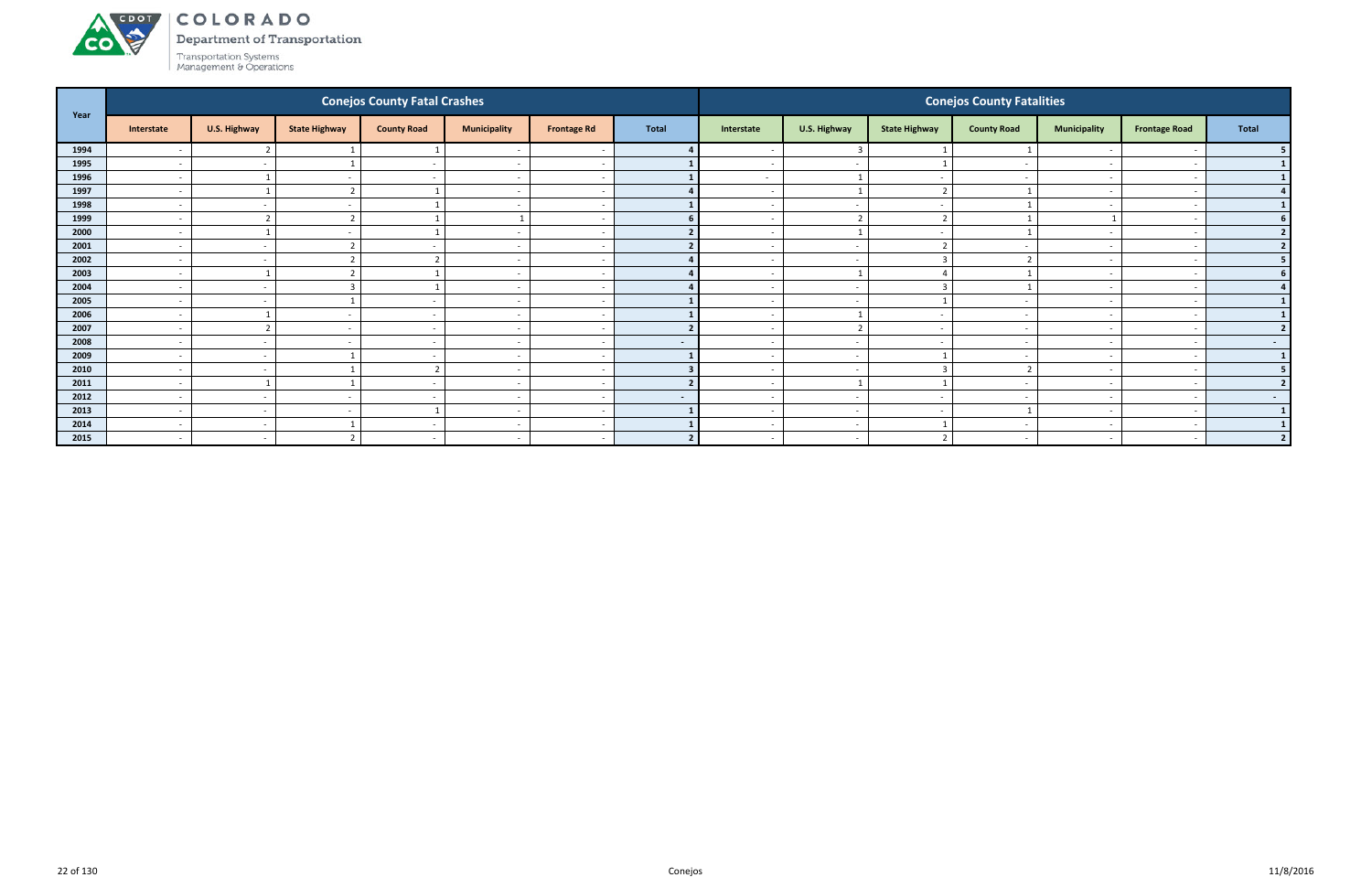

Department of Transportation

| Year |                          |                          |                      | <b>Conejos County Fatal Crashes</b> |                          |                    |                |                          |                          |                      | <b>Conejos County Fatalities</b> |                          |                          |                  |
|------|--------------------------|--------------------------|----------------------|-------------------------------------|--------------------------|--------------------|----------------|--------------------------|--------------------------|----------------------|----------------------------------|--------------------------|--------------------------|------------------|
|      | Interstate               | U.S. Highway             | <b>State Highway</b> | <b>County Road</b>                  | <b>Municipality</b>      | <b>Frontage Rd</b> | <b>Total</b>   | Interstate               | U.S. Highway             | <b>State Highway</b> | <b>County Road</b>               | <b>Municipality</b>      | <b>Frontage Road</b>     | Total            |
| 1994 | $\overline{\phantom{a}}$ | $\overline{2}$           |                      |                                     | $\overline{\phantom{a}}$ |                    |                | $\overline{\phantom{0}}$ | $\overline{3}$           |                      |                                  |                          |                          |                  |
| 1995 |                          | $\sim$                   |                      |                                     | $\overline{\phantom{a}}$ |                    |                |                          | $\overline{\phantom{a}}$ |                      |                                  |                          |                          | $\mathbf{1}$     |
| 1996 | $\overline{\phantom{a}}$ |                          |                      | $\sim$                              | $\sim$                   |                    |                | $\sim$                   | $\overline{\phantom{0}}$ | $\sim$               | $\overline{\phantom{a}}$         | $\overline{a}$           |                          | $\mathbf{1}$     |
| 1997 | $\overline{\phantom{a}}$ |                          |                      |                                     | $\overline{\phantom{a}}$ |                    |                | $\sim$                   | $\overline{1}$           | $\overline{2}$       |                                  | $\overline{\phantom{0}}$ | $\overline{\phantom{a}}$ | 4                |
| 1998 | $\overline{\phantom{a}}$ | $\sim$                   |                      |                                     | $\overline{\phantom{a}}$ |                    |                |                          | $\sim$                   |                      |                                  |                          |                          | $1\phantom{.}$   |
| 1999 | $\overline{\phantom{a}}$ | $\mathbf{\Gamma}$        |                      |                                     |                          |                    |                |                          | $\overline{2}$           |                      |                                  |                          |                          | 6 <sup>1</sup>   |
| 2000 | $\overline{\phantom{a}}$ |                          |                      |                                     | $\overline{\phantom{a}}$ |                    |                | $\overline{\phantom{0}}$ | $\overline{1}$           |                      |                                  | $\overline{\phantom{0}}$ |                          | 2                |
| 2001 | $\overline{\phantom{a}}$ | $\sim$                   |                      |                                     | $\overline{\phantom{a}}$ |                    |                | $\overline{\phantom{0}}$ | $\sim$                   |                      | $\overline{\phantom{a}}$         | $\overline{\phantom{0}}$ |                          | 2                |
| 2002 | $\overline{\phantom{a}}$ | $\sim$                   |                      |                                     | $\overline{\phantom{a}}$ |                    |                | $\overline{\phantom{0}}$ | $\sim$                   | $\overline{3}$       |                                  |                          |                          | 5 <sub>1</sub>   |
| 2003 | $\overline{\phantom{a}}$ |                          |                      |                                     | $\overline{\phantom{a}}$ |                    |                | $\overline{\phantom{0}}$ | $\overline{1}$           |                      |                                  | $\sim$                   |                          | 6 <sup>1</sup>   |
| 2004 | $\overline{\phantom{a}}$ | $\overline{\phantom{0}}$ |                      |                                     | $\overline{\phantom{a}}$ |                    |                |                          | $\overline{\phantom{a}}$ | 3                    |                                  |                          |                          | 4 <sup>1</sup>   |
| 2005 | $\overline{a}$           | $\sim$                   |                      | $\sim$                              | $\overline{\phantom{a}}$ |                    |                | $\overline{\phantom{0}}$ | $\sim$                   |                      | $\overline{\phantom{a}}$         | $\overline{\phantom{a}}$ | $\overline{\phantom{a}}$ | $\mathbf{1}$     |
| 2006 | $\overline{\phantom{a}}$ |                          |                      | $\sim$                              | $\sim$                   |                    |                | $\sim$                   | $\overline{\phantom{0}}$ | $\sim$               | $\overline{\phantom{a}}$         | $\overline{\phantom{a}}$ |                          | $\mathbf{1}$     |
| 2007 | $\overline{\phantom{a}}$ | $\overline{2}$           |                      |                                     | $\overline{\phantom{a}}$ |                    | $\overline{2}$ | $\overline{\phantom{0}}$ | $\overline{2}$           |                      |                                  | $\overline{\phantom{a}}$ |                          | 2                |
| 2008 | $\overline{\phantom{a}}$ | $\sim$                   |                      | $\sim$                              | $\overline{\phantom{a}}$ |                    | $\blacksquare$ | $\overline{\phantom{0}}$ | $\sim$                   | $\sim$               | $\overline{\phantom{a}}$         | $\overline{\phantom{0}}$ |                          | $\sim$ 100 $\mu$ |
| 2009 | $\overline{\phantom{a}}$ | $\sim$                   |                      |                                     | $\overline{\phantom{a}}$ |                    |                |                          | $\sim$                   |                      |                                  | $\overline{\phantom{0}}$ |                          | $\mathbf{1}$     |
| 2010 | $\overline{\phantom{a}}$ | $\sim$                   |                      | $\overline{2}$                      | $\overline{\phantom{a}}$ |                    |                | $\sim$                   | $\sim$                   | -3                   |                                  | $\sim$                   | $\overline{\phantom{a}}$ | 5 <sub>1</sub>   |
| 2011 | $\overline{\phantom{a}}$ |                          |                      | $\sim$                              | $\overline{\phantom{a}}$ |                    |                | $\sim$                   | $\overline{\phantom{0}}$ |                      | $\overline{\phantom{a}}$         | $\overline{\phantom{a}}$ |                          | 2                |
| 2012 | $\overline{\phantom{a}}$ | $\sim$                   |                      |                                     | $\overline{\phantom{a}}$ |                    | $\blacksquare$ | $\overline{\phantom{0}}$ | $\sim$                   |                      |                                  | $\overline{\phantom{0}}$ |                          | $\sim$ $-$       |
| 2013 | $\overline{\phantom{a}}$ | $\sim$                   |                      |                                     | $\overline{\phantom{a}}$ |                    |                | $\sim$                   | $\sim$                   | $\sim$               |                                  | $\overline{\phantom{a}}$ |                          | $\mathbf{1}$     |
| 2014 | $\overline{\phantom{a}}$ | $\sim$                   |                      |                                     | $\overline{\phantom{a}}$ |                    |                |                          | $\sim$                   |                      |                                  |                          |                          | $\mathbf{1}$     |
| 2015 | $\overline{\phantom{a}}$ | $\sim$                   |                      | $\sim$                              | $\overline{\phantom{a}}$ |                    | $\overline{2}$ | $\sim$                   | $\overline{a}$           | ຳ                    | $\overline{\phantom{0}}$         | $\overline{\phantom{0}}$ | $\overline{\phantom{a}}$ | 2 <sup>1</sup>   |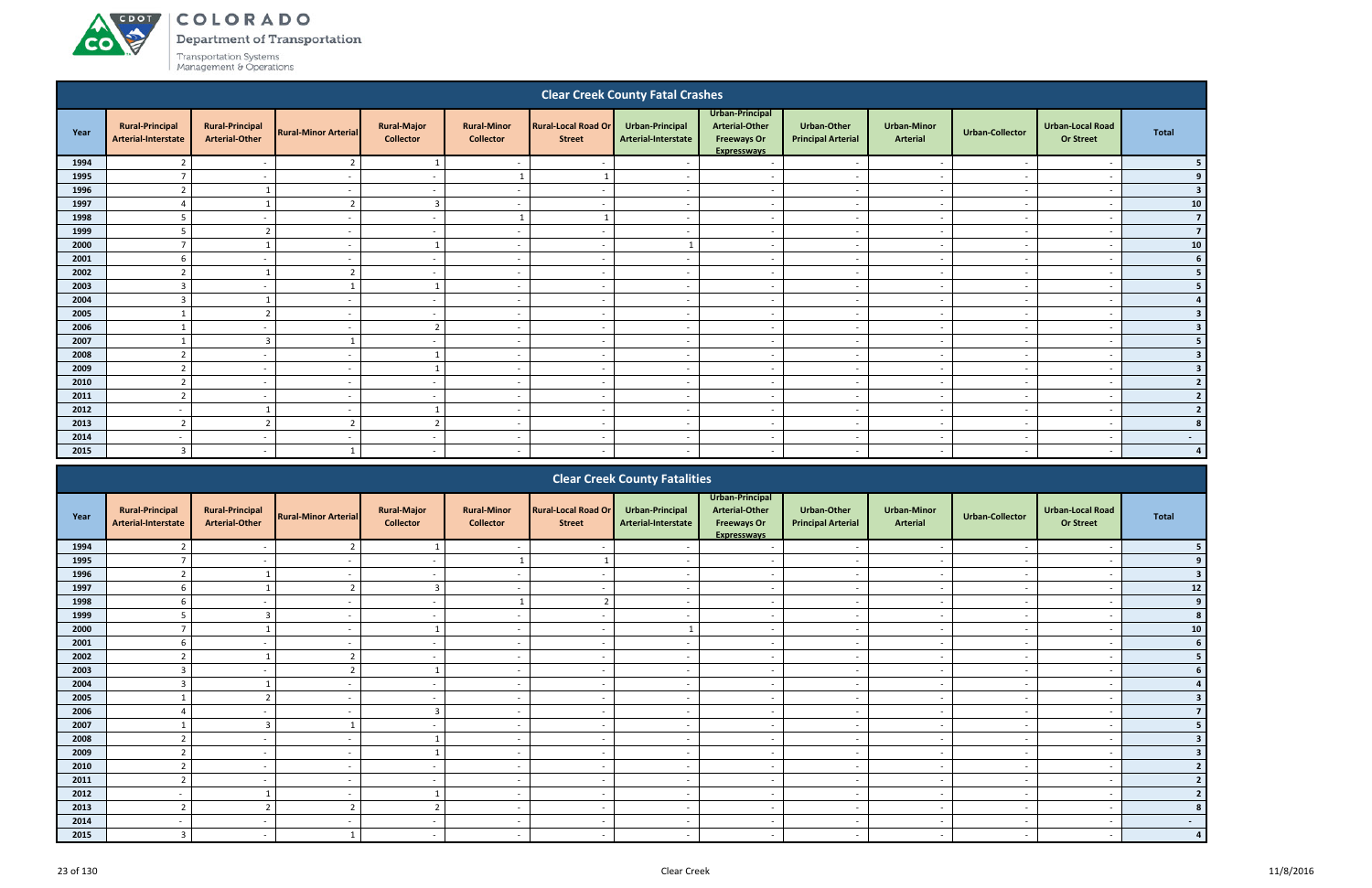ACDOT

**CO** 

**Department of Transportation** 

|      |                                               |                                                 |                             |                                        |                                        |                                             | <b>Clear Creek County Fatal Crashes</b> |                                                                                      |                                                 |                                |                          |                                             |                |
|------|-----------------------------------------------|-------------------------------------------------|-----------------------------|----------------------------------------|----------------------------------------|---------------------------------------------|-----------------------------------------|--------------------------------------------------------------------------------------|-------------------------------------------------|--------------------------------|--------------------------|---------------------------------------------|----------------|
| Year | <b>Rural-Principal</b><br>Arterial-Interstate | <b>Rural-Principal</b><br><b>Arterial-Other</b> | <b>Rural-Minor Arterial</b> | <b>Rural-Major</b><br><b>Collector</b> | <b>Rural-Minor</b><br><b>Collector</b> | <b>Rural-Local Road Or</b><br><b>Street</b> | Urban-Principal<br>Arterial-Interstate  | Urban-Principal<br><b>Arterial-Other</b><br><b>Freeways Or</b><br><b>Expresswavs</b> | <b>Urban-Other</b><br><b>Principal Arterial</b> | <b>Urban-Minor</b><br>Arterial | <b>Urban-Collector</b>   | <b>Urban-Local Road</b><br><b>Or Street</b> | <b>Total</b>   |
| 1994 | $\overline{2}$                                |                                                 | $\overline{2}$              |                                        |                                        |                                             |                                         | $\overline{a}$                                                                       |                                                 | . —                            |                          |                                             |                |
| 1995 | $\overline{7}$                                | $\sim$                                          | $\sim$                      | $\sim$                                 |                                        |                                             | $\sim$                                  | $\sim$                                                                               | $\overline{\phantom{a}}$                        | $\overline{\phantom{a}}$       | $\sim$                   | $\overline{\phantom{a}}$                    |                |
| 1996 | $\overline{2}$                                |                                                 | $\overline{\phantom{a}}$    | $\sim$                                 | $\overline{\phantom{a}}$               | $\overline{\phantom{a}}$                    | $\overline{\phantom{a}}$                | $\sim$                                                                               | $\overline{\phantom{a}}$                        | $\overline{\phantom{a}}$       | $\sim$                   | $\overline{\phantom{a}}$                    |                |
| 1997 | $\Delta$                                      |                                                 | $\overline{2}$              | $\overline{3}$                         | $\overline{\phantom{0}}$               | $\overline{\phantom{a}}$                    | $\overline{\phantom{a}}$                | $\overline{\phantom{a}}$                                                             | $\overline{\phantom{a}}$                        | $\sim$                         | $\sim$                   | $\overline{\phantom{a}}$                    | 10             |
| 1998 | .5                                            | $\overline{\phantom{a}}$                        | $\overline{\phantom{a}}$    | $\sim$                                 |                                        |                                             | $\sim$                                  | $\overline{\phantom{a}}$                                                             | $\overline{\phantom{a}}$                        | $\sim$                         | $\sim$                   | $\overline{\phantom{a}}$                    | $\overline{7}$ |
| 1999 | 5                                             | $\overline{2}$                                  | $\overline{\phantom{a}}$    | $\sim$                                 | $\overline{\phantom{a}}$               | $\overline{\phantom{a}}$                    | $\sim$                                  | $\overline{\phantom{a}}$                                                             | $\overline{\phantom{a}}$                        | $\sim$                         | $\sim$                   | $\overline{\phantom{a}}$                    | $\overline{7}$ |
| 2000 | $\overline{7}$                                |                                                 | $\sim$                      |                                        | $\overline{\phantom{a}}$               | . .                                         |                                         | $\overline{a}$                                                                       | $\overline{\phantom{a}}$                        | $\sim$                         | $\sim$                   | $\overline{\phantom{a}}$                    | ${\bf 10}$     |
| 2001 | 6                                             | $\overline{\phantom{a}}$                        | $\sim$                      | $\sim$                                 | $\overline{\phantom{0}}$               | $\overline{\phantom{a}}$                    | $\overline{\phantom{a}}$                | $\overline{a}$                                                                       | $\overline{\phantom{a}}$                        | $\overline{\phantom{a}}$       | $\overline{\phantom{a}}$ | - -                                         | 6              |
| 2002 | $\overline{2}$                                |                                                 | $\overline{2}$              | $\sim$                                 | $\overline{\phantom{a}}$               | $\overline{\phantom{a}}$                    | $\overline{\phantom{a}}$                | $\sim$                                                                               | $\overline{\phantom{a}}$                        | $\overline{\phantom{a}}$       | $\overline{\phantom{a}}$ | $\overline{\phantom{a}}$                    |                |
| 2003 | $\overline{3}$                                | $\overline{\phantom{a}}$                        |                             |                                        |                                        |                                             |                                         | $\overline{a}$                                                                       | - -                                             | $\sim$                         |                          | - -                                         | 5              |
| 2004 | $\overline{3}$                                |                                                 |                             | $\sim$                                 |                                        |                                             |                                         | $\overline{\phantom{a}}$                                                             |                                                 | $\overline{a}$                 |                          | $\overline{\phantom{a}}$                    |                |
| 2005 |                                               | $\overline{2}$                                  |                             | $\sim$                                 |                                        |                                             |                                         | $\overline{a}$                                                                       |                                                 | $\overline{\phantom{a}}$       |                          | $\overline{\phantom{a}}$                    | 3              |
| 2006 |                                               | $\overline{\phantom{a}}$                        | $\overline{\phantom{a}}$    | $\overline{2}$                         | $\overline{\phantom{a}}$               | $\overline{\phantom{a}}$                    | $\sim$                                  | $\overline{\phantom{a}}$                                                             | $\overline{\phantom{a}}$                        | $\overline{\phantom{a}}$       | $\sim$                   | $\overline{\phantom{a}}$                    |                |
| 2007 |                                               | $\overline{3}$                                  |                             | $\sim$                                 | $\overline{\phantom{a}}$               | $\overline{\phantom{a}}$                    | $\overline{\phantom{a}}$                | $\sim$                                                                               | $\overline{\phantom{a}}$                        | $\overline{\phantom{a}}$       | $\sim$                   | $\overline{\phantom{a}}$                    |                |
| 2008 | $\overline{2}$                                | $\sim$                                          | . .                         |                                        | $\overline{\phantom{a}}$               | $\overline{\phantom{a}}$                    | $\overline{\phantom{a}}$                | $\overline{\phantom{a}}$                                                             | $\overline{\phantom{a}}$                        | $\overline{\phantom{a}}$       | $\sim$                   | $\overline{\phantom{a}}$                    |                |
| 2009 |                                               | -                                               |                             |                                        | $\overline{\phantom{a}}$               |                                             |                                         | $\overline{\phantom{a}}$                                                             | $\overline{\phantom{a}}$                        | $\sim$                         |                          | $\overline{\phantom{a}}$                    |                |
| 2010 | $\overline{2}$                                | $\sim$                                          | $\overline{\phantom{a}}$    | $\sim$                                 | $\overline{\phantom{a}}$               | $\overline{\phantom{a}}$                    | $\sim$                                  | $\sim$                                                                               | $\overline{\phantom{a}}$                        | $\overline{\phantom{a}}$       | $\sim$                   | $\overline{\phantom{a}}$                    |                |
| 2011 | $\overline{2}$                                | $\sim$                                          | $\overline{\phantom{a}}$    | $\sim$                                 | $\overline{\phantom{a}}$               | $\overline{\phantom{a}}$                    | $\overline{\phantom{a}}$                | $\sim$                                                                               | $\overline{\phantom{a}}$                        | $\sim$                         | $\overline{\phantom{a}}$ | $\overline{\phantom{a}}$                    | $\overline{2}$ |
| 2012 | $\overline{a}$                                |                                                 | $\overline{\phantom{a}}$    |                                        | $\overline{\phantom{a}}$               | $\overline{\phantom{a}}$                    | $\sim$                                  | $\overline{a}$                                                                       | $\overline{\phantom{a}}$                        | $\sim$                         | $\sim$                   | $\overline{\phantom{a}}$                    |                |
| 2013 | $\overline{2}$                                | $\overline{2}$                                  | $\overline{2}$              | $\overline{2}$                         | $\sim$                                 | $\overline{\phantom{a}}$                    | $\sim$                                  | $\overline{a}$                                                                       | $\sim$                                          | $\sim$                         | $\overline{\phantom{a}}$ | $\overline{\phantom{a}}$                    |                |
| 2014 | $\overline{\phantom{a}}$                      | $\sim$                                          | $\overline{\phantom{0}}$    | $\sim$                                 | - -                                    | . .                                         | $\overline{\phantom{a}}$                | $\overline{a}$                                                                       | $\overline{\phantom{a}}$                        | $\sim$                         | $\sim$                   | $\overline{\phantom{a}}$                    | $\sim$         |
| 2015 | 3                                             | -                                               | 1                           | $\sim$                                 | -                                      |                                             |                                         | $\overline{\phantom{a}}$                                                             | $\overline{\phantom{a}}$                        | $\overline{\phantom{a}}$       | $\overline{\phantom{a}}$ |                                             | $\overline{a}$ |
|      |                                               |                                                 |                             |                                        |                                        |                                             | <b>Clear Creek County Fatalities</b>    |                                                                                      |                                                 |                                |                          |                                             |                |

|      |                                               |                                                 |                             |                                        |                                        |                                             | <b>Clear Creek County Fatalities</b>   |                                                                                      |                                                 |                                       |                          |                                             |                          |
|------|-----------------------------------------------|-------------------------------------------------|-----------------------------|----------------------------------------|----------------------------------------|---------------------------------------------|----------------------------------------|--------------------------------------------------------------------------------------|-------------------------------------------------|---------------------------------------|--------------------------|---------------------------------------------|--------------------------|
| Year | <b>Rural-Principal</b><br>Arterial-Interstate | <b>Rural-Principal</b><br><b>Arterial-Other</b> | <b>Rural-Minor Arterial</b> | <b>Rural-Major</b><br><b>Collector</b> | <b>Rural-Minor</b><br><b>Collector</b> | <b>Rural-Local Road Or</b><br><b>Street</b> | Urban-Principal<br>Arterial-Interstate | Urban-Principal<br><b>Arterial-Other</b><br><b>Freeways Or</b><br><b>Expresswavs</b> | <b>Urban-Other</b><br><b>Principal Arterial</b> | <b>Urban-Minor</b><br><b>Arterial</b> | <b>Urban-Collector</b>   | <b>Urban-Local Road</b><br><b>Or Street</b> | <b>Total</b>             |
| 1994 |                                               |                                                 |                             |                                        |                                        |                                             |                                        |                                                                                      |                                                 |                                       |                          |                                             |                          |
| 1995 |                                               |                                                 |                             |                                        |                                        |                                             |                                        |                                                                                      |                                                 |                                       |                          |                                             |                          |
| 1996 |                                               |                                                 |                             | $\sim$                                 | $\overline{\phantom{a}}$               |                                             |                                        | $\overline{\phantom{a}}$                                                             | $\sim$                                          | $\sim$                                |                          | $\overline{\phantom{a}}$                    |                          |
| 1997 | 6                                             |                                                 | $\overline{z}$              | $\mathbf{3}$                           | $\overline{\phantom{a}}$               |                                             |                                        | $\overline{\phantom{0}}$                                                             | $\overline{\phantom{0}}$                        | $\overline{\phantom{0}}$              |                          | $\overline{\phantom{0}}$                    | 12                       |
| 1998 |                                               |                                                 |                             | $\overline{\phantom{0}}$               |                                        |                                             |                                        |                                                                                      | $\overline{\phantom{a}}$                        |                                       |                          |                                             |                          |
| 1999 |                                               |                                                 |                             | $\sim$                                 | $\overline{\phantom{a}}$               |                                             |                                        | $\overline{\phantom{a}}$                                                             | $\overline{\phantom{a}}$                        | $\overline{\phantom{a}}$              |                          | $\overline{\phantom{a}}$                    | 8                        |
| 2000 |                                               |                                                 |                             |                                        |                                        |                                             |                                        |                                                                                      |                                                 |                                       |                          |                                             | 10                       |
| 2001 |                                               | $\overline{\phantom{a}}$                        |                             | $\sim$                                 | $\overline{\phantom{a}}$               | $\overline{\phantom{a}}$                    |                                        | $\overline{\phantom{a}}$                                                             | $\overline{\phantom{a}}$                        | $\sim$                                |                          | $\overline{\phantom{0}}$                    | 6                        |
| 2002 |                                               |                                                 |                             | $\sim$                                 | $\overline{\phantom{a}}$               |                                             |                                        | $\overline{\phantom{a}}$                                                             | $\overline{\phantom{a}}$                        | $\overline{\phantom{0}}$              |                          |                                             |                          |
| 2003 |                                               |                                                 |                             |                                        | $\overline{\phantom{0}}$               |                                             |                                        |                                                                                      | $\overline{\phantom{0}}$                        | $\overline{\phantom{0}}$              |                          |                                             |                          |
| 2004 |                                               |                                                 |                             | $\sim$                                 | $\overline{\phantom{a}}$               |                                             |                                        | $\overline{\phantom{a}}$                                                             | $\sim$                                          | $\overline{\phantom{a}}$              |                          | $\overline{\phantom{a}}$                    |                          |
| 2005 |                                               |                                                 |                             | $\overline{\phantom{0}}$               |                                        |                                             |                                        | $\overline{\phantom{0}}$                                                             | $\overline{\phantom{a}}$                        | $\overline{\phantom{a}}$              |                          |                                             |                          |
| 2006 |                                               | $\overline{\phantom{0}}$                        | $\overline{\phantom{a}}$    |                                        | $\overline{\phantom{a}}$               | $\overline{\phantom{a}}$                    | $\overline{\phantom{a}}$               | $\overline{\phantom{a}}$                                                             | $\overline{\phantom{a}}$                        | $\sim$                                | $\overline{\phantom{a}}$ | $\overline{\phantom{a}}$                    |                          |
| 2007 |                                               | $\mathbf{\Omega}$                               |                             | $\sim$                                 | $\overline{\phantom{a}}$               |                                             |                                        | $\overline{\phantom{a}}$                                                             | $\overline{\phantom{a}}$                        | $\sim$                                |                          | $\overline{\phantom{a}}$                    |                          |
| 2008 |                                               | $\overline{\phantom{a}}$                        |                             |                                        |                                        |                                             |                                        | $\overline{\phantom{a}}$                                                             | $\overline{\phantom{0}}$                        | $\overline{\phantom{0}}$              |                          | $\overline{\phantom{a}}$                    |                          |
| 2009 |                                               |                                                 |                             |                                        |                                        |                                             |                                        |                                                                                      | $\overline{\phantom{a}}$                        | $\overline{\phantom{0}}$              |                          |                                             |                          |
| 2010 |                                               |                                                 |                             | $\sim$                                 | $\overline{\phantom{a}}$               |                                             |                                        | $\overline{\phantom{0}}$                                                             | $\overline{\phantom{a}}$                        | $\overline{\phantom{0}}$              |                          |                                             |                          |
| 2011 | $\mathcal{L}$                                 | $\sim$                                          | $\overline{\phantom{a}}$    | $\sim$                                 | $\overline{\phantom{a}}$               | $\overline{\phantom{a}}$                    | $\overline{\phantom{a}}$               | $\overline{\phantom{a}}$                                                             | $\overline{\phantom{a}}$                        | $\sim$                                | $\overline{\phantom{a}}$ | $\overline{\phantom{a}}$                    |                          |
| 2012 |                                               |                                                 |                             |                                        | $\overline{\phantom{a}}$               |                                             |                                        | $\overline{\phantom{a}}$                                                             | $\overline{\phantom{a}}$                        | $\overline{\phantom{0}}$              |                          | $\overline{\phantom{a}}$                    |                          |
| 2013 |                                               |                                                 |                             | ി                                      | $\overline{\phantom{a}}$               |                                             |                                        | $\overline{\phantom{a}}$                                                             | $\overline{\phantom{a}}$                        | $\overline{\phantom{a}}$              |                          | $\overline{\phantom{a}}$                    |                          |
| 2014 |                                               | $\overline{\phantom{a}}$                        |                             | $\sim$                                 | $\overline{\phantom{a}}$               |                                             |                                        | $\overline{\phantom{a}}$                                                             | $\overline{\phantom{a}}$                        | $\overline{\phantom{a}}$              |                          | $\overline{\phantom{a}}$                    | $\overline{\phantom{0}}$ |
| 2015 |                                               |                                                 |                             |                                        |                                        |                                             |                                        |                                                                                      | $\overline{\phantom{a}}$                        | $\overline{\phantom{a}}$              |                          |                                             |                          |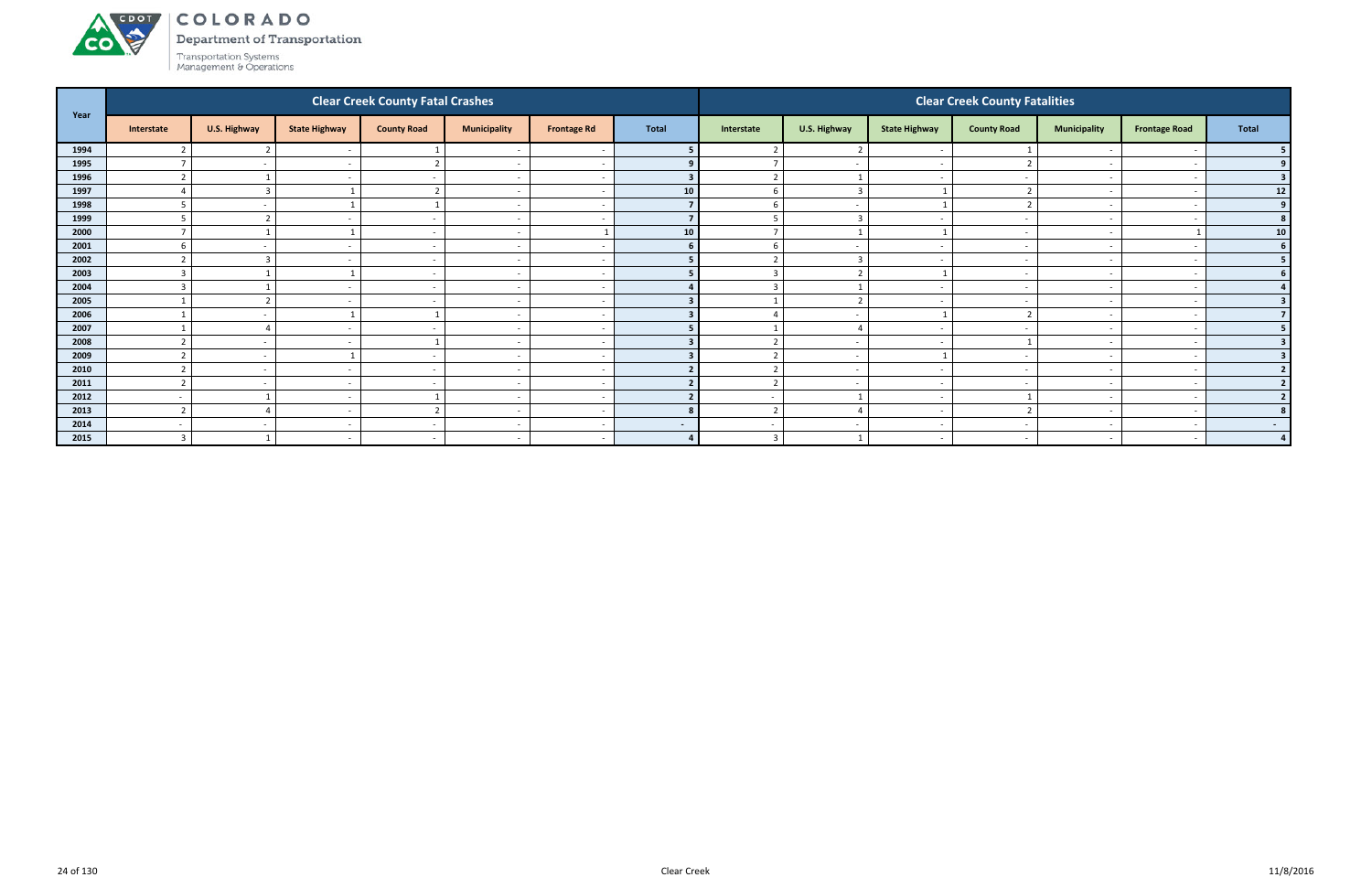#### ACDOT COLORADO

Department of Transportation

Transportation Systems<br>Management & Operations

**CO** 

| Year |                    |                          |                          | <b>Clear Creek County Fatal Crashes</b> |                          |                    |        |                          |                          |                      | <b>Clear Creek County Fatalities</b> |                          |                          |                 |
|------|--------------------|--------------------------|--------------------------|-----------------------------------------|--------------------------|--------------------|--------|--------------------------|--------------------------|----------------------|--------------------------------------|--------------------------|--------------------------|-----------------|
|      | Interstate         | U.S. Highway             | <b>State Highway</b>     | <b>County Road</b>                      | <b>Municipality</b>      | <b>Frontage Rd</b> | Total  | Interstate               | U.S. Highway             | <b>State Highway</b> | <b>County Road</b>                   | <b>Municipality</b>      | <b>Frontage Road</b>     | Total           |
| 1994 |                    |                          |                          |                                         | $\overline{\phantom{a}}$ |                    |        |                          |                          |                      |                                      |                          |                          |                 |
| 1995 |                    | $\sim$                   | $\sim$                   |                                         | $\sim$                   |                    |        |                          | $\overline{a}$           | $\sim$               |                                      | $\overline{\phantom{a}}$ | $\overline{\phantom{a}}$ | 9 <sub>1</sub>  |
| 1996 |                    |                          | $\overline{\phantom{a}}$ |                                         | $\overline{\phantom{a}}$ |                    |        | $\overline{2}$           |                          |                      |                                      | $\overline{\phantom{a}}$ |                          | 3 <sup>1</sup>  |
| 1997 |                    |                          |                          |                                         | $\sim$                   |                    | 10     | b                        | $\overline{3}$           |                      |                                      | $\overline{\phantom{0}}$ |                          | 12              |
| 1998 |                    |                          |                          |                                         | $\overline{\phantom{a}}$ |                    |        |                          | $\overline{a}$           |                      |                                      | $\overline{\phantom{a}}$ |                          | 9 <sup>1</sup>  |
| 1999 |                    |                          |                          |                                         | $\overline{\phantom{0}}$ |                    |        |                          |                          |                      |                                      |                          |                          | 8 <sup>1</sup>  |
| 2000 |                    |                          |                          | $\sim$                                  | $\sim$                   |                    | 10     | <u>–</u>                 |                          |                      | $\overline{a}$                       | $\overline{\phantom{a}}$ |                          | 10 <sup>1</sup> |
| 2001 |                    | $\sim$                   | $\overline{\phantom{a}}$ |                                         | $\overline{a}$           |                    |        | -6                       | $\sim$                   | $\sim$               | $\overline{\phantom{a}}$             | $\overline{\phantom{a}}$ |                          | 6 <sup>1</sup>  |
| 2002 |                    |                          |                          |                                         | $\overline{\phantom{a}}$ |                    |        |                          | $\overline{3}$           |                      |                                      | $\overline{\phantom{0}}$ |                          | 5 <sub>1</sub>  |
| 2003 |                    |                          |                          | $\overline{\phantom{a}}$                | $\sim$                   |                    |        | 3                        |                          |                      | $\overline{\phantom{a}}$             | $\overline{\phantom{0}}$ |                          | 6 <sup>1</sup>  |
| 2004 |                    |                          |                          |                                         | $\overline{\phantom{a}}$ |                    |        |                          |                          |                      |                                      |                          |                          |                 |
| 2005 |                    |                          | $\overline{\phantom{a}}$ | $\overline{\phantom{a}}$                | $\sim$                   |                    |        |                          |                          |                      | $\overline{\phantom{a}}$             | $\overline{\phantom{0}}$ |                          | 3 <sup>1</sup>  |
| 2006 |                    | $\sim$                   |                          |                                         | $-$                      |                    |        |                          | $\sim$                   |                      |                                      | $\overline{\phantom{0}}$ |                          | 7 <sup>1</sup>  |
| 2007 |                    |                          | $\overline{\phantom{a}}$ |                                         | $\overline{\phantom{a}}$ |                    |        |                          |                          | $\sim$               |                                      |                          |                          | 5 <sub>1</sub>  |
| 2008 |                    | $\sim$                   | <b>.</b>                 |                                         | $\overline{\phantom{a}}$ |                    |        |                          | $\overline{a}$           |                      |                                      | $\overline{\phantom{a}}$ |                          | 3 <sup>1</sup>  |
| 2009 |                    | $\sim$                   |                          |                                         | $\overline{\phantom{a}}$ |                    |        |                          | $\overline{\phantom{a}}$ |                      |                                      |                          |                          | 3 <sup>1</sup>  |
| 2010 | $\mathbf{\hat{z}}$ | $\sim$                   | $\overline{\phantom{a}}$ | $\sim$                                  | $\overline{\phantom{a}}$ |                    |        | ຳ                        | $\overline{\phantom{a}}$ | $\sim$               | $\overline{\phantom{a}}$             | $\overline{\phantom{a}}$ |                          | 2 <sup>1</sup>  |
| 2011 |                    | $\sim$                   | $\sim$                   |                                         | $\sim$                   |                    |        | $\overline{2}$           | $\sim$                   | $\sim$               | $\overline{\phantom{a}}$             | $\overline{\phantom{a}}$ |                          | 2               |
| 2012 | $\sim$             |                          | $\overline{\phantom{a}}$ |                                         | $\overline{a}$           |                    |        | $\overline{\phantom{a}}$ |                          | $\sim$               |                                      | $\overline{\phantom{a}}$ |                          | 2 <sup>1</sup>  |
| 2013 | $\mathbf{\cdot}$   |                          | $\overline{\phantom{a}}$ | ຳ                                       | $\overline{\phantom{a}}$ |                    |        | $\overline{2}$           |                          | $\sim$               |                                      | $\sim$                   |                          | 8               |
| 2014 | $\sim$             | $\overline{\phantom{0}}$ | $\overline{\phantom{a}}$ |                                         | $\sim$                   |                    | $\sim$ | $\overline{\phantom{0}}$ | $\sim$                   | $\sim$               |                                      | $\overline{\phantom{0}}$ |                          | $\sim$ $-$      |
| 2015 | $\overline{3}$     |                          | $\overline{\phantom{a}}$ | $\overline{\phantom{a}}$                | $\overline{\phantom{a}}$ |                    | 4      | $\overline{3}$           |                          |                      | $\overline{\phantom{a}}$             |                          | $\overline{\phantom{a}}$ | $\overline{4}$  |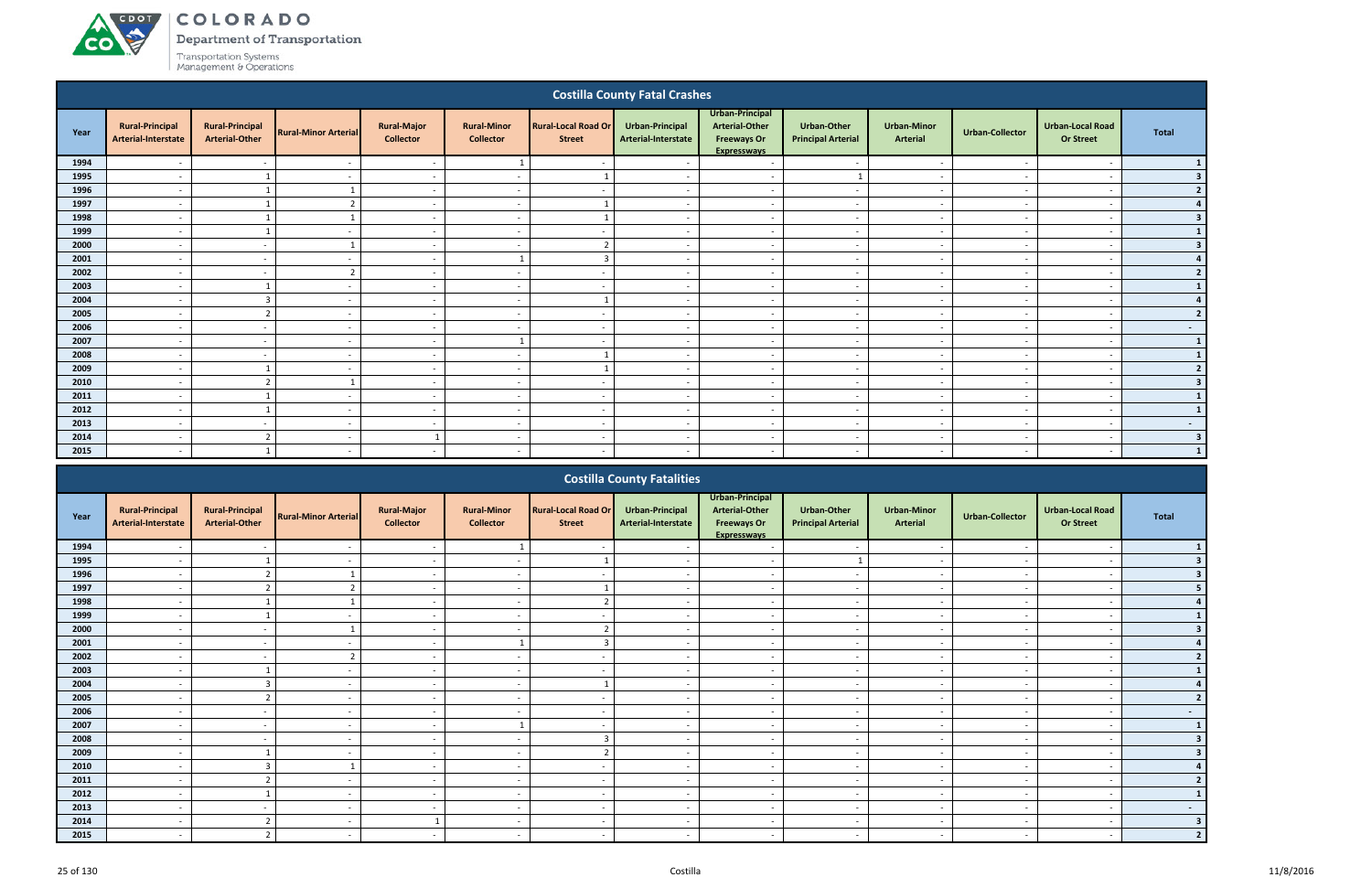COLORADO

Department of Transportation

|      |                                               |                                                 |                             |                                        |                                        |                                             | <b>Costilla County Fatal Crashes</b>   |                                                                                      |                                          |                                       |                          |                                             |                 |
|------|-----------------------------------------------|-------------------------------------------------|-----------------------------|----------------------------------------|----------------------------------------|---------------------------------------------|----------------------------------------|--------------------------------------------------------------------------------------|------------------------------------------|---------------------------------------|--------------------------|---------------------------------------------|-----------------|
| Year | <b>Rural-Principal</b><br>Arterial-Interstate | <b>Rural-Principal</b><br><b>Arterial-Other</b> | <b>Rural-Minor Arterial</b> | <b>Rural-Major</b><br><b>Collector</b> | <b>Rural-Minor</b><br><b>Collector</b> | <b>Rural-Local Road Or</b><br><b>Street</b> | Urban-Principal<br>Arterial-Interstate | Urban-Principal<br><b>Arterial-Other</b><br><b>Freeways Or</b><br><b>Expresswavs</b> | Urban-Other<br><b>Principal Arterial</b> | <b>Urban-Minor</b><br><b>Arterial</b> | <b>Urban-Collector</b>   | <b>Urban-Local Road</b><br><b>Or Street</b> | <b>Total</b>    |
| 1994 |                                               |                                                 |                             | $\sim$                                 | $\mathbf{1}$                           |                                             |                                        | $\overline{\phantom{a}}$                                                             | $\sim$                                   | $\overline{\phantom{a}}$              |                          | $\overline{\phantom{a}}$                    | $\mathbf{1}$    |
| 1995 |                                               |                                                 |                             | $\sim$                                 |                                        |                                             |                                        | $\overline{a}$                                                                       | $\mathbf{1}$                             | $\overline{\phantom{a}}$              |                          | $\overline{\phantom{a}}$                    | 3 <sup>1</sup>  |
| 1996 | $\overline{\phantom{a}}$                      |                                                 | 1                           | $\sim$                                 | $\sim$                                 |                                             | $\overline{\phantom{a}}$               | $\overline{a}$                                                                       | $\sim$                                   | $\sim$                                | $\overline{\phantom{a}}$ | $\overline{\phantom{a}}$                    | 2               |
| 1997 | $\overline{\phantom{a}}$                      |                                                 | $\overline{2}$              | $\sim$                                 | $\overline{\phantom{a}}$               |                                             | $\overline{\phantom{a}}$               | $\overline{a}$                                                                       | $\overline{a}$                           | $\sim$                                | $\overline{\phantom{a}}$ | $\overline{\phantom{a}}$                    | 4               |
| 1998 | $\overline{\phantom{a}}$                      |                                                 |                             | $\sim$                                 | $\overline{\phantom{a}}$               |                                             | $\sim$                                 | $\overline{a}$                                                                       | $\sim$                                   | $\sim$                                | $\sim$                   | $\overline{\phantom{a}}$                    | 3 <sup>1</sup>  |
| 1999 | $\overline{\phantom{0}}$                      |                                                 | $\overline{\phantom{a}}$    | $\sim$                                 | $\overline{\phantom{0}}$               | $\overline{\phantom{0}}$                    |                                        | $\sim$                                                                               | $\overline{\phantom{a}}$                 | $\sim$                                |                          | $\overline{\phantom{0}}$                    | $\mathbf{1}$    |
| 2000 |                                               | $\overline{\phantom{a}}$                        |                             | $\sim$                                 | $\overline{\phantom{a}}$               |                                             |                                        | $\overline{\phantom{a}}$                                                             | $\overline{\phantom{a}}$                 | $\sim$                                |                          | $\overline{\phantom{a}}$                    | 3 <sup>1</sup>  |
| 2001 | $\overline{\phantom{a}}$                      | $\sim$                                          | $\overline{\phantom{a}}$    | $\sim$                                 | $\mathbf{1}$                           | 3                                           | $\sim$                                 | $\overline{\phantom{a}}$                                                             | $\overline{\phantom{a}}$                 | $\overline{\phantom{a}}$              | $\sim$                   | $\overline{\phantom{a}}$                    | 4 <sup>1</sup>  |
| 2002 | $\overline{\phantom{a}}$                      | $\overline{\phantom{a}}$                        | $\overline{2}$              | $\overline{\phantom{a}}$               | $\overline{\phantom{a}}$               | $\overline{\phantom{a}}$                    |                                        | $\overline{\phantom{a}}$                                                             | $\overline{\phantom{a}}$                 | $\overline{\phantom{a}}$              |                          | $\overline{a}$                              | 2               |
| 2003 |                                               |                                                 |                             | $\sim$                                 |                                        |                                             |                                        | $\overline{\phantom{a}}$                                                             | $\overline{a}$                           | $\overline{\phantom{a}}$              |                          | $\overline{\phantom{a}}$                    | $\vert$ 1       |
| 2004 |                                               | $\overline{3}$                                  |                             | $\sim$                                 |                                        |                                             |                                        | $\sim$                                                                               | $\overline{\phantom{a}}$                 | $\sim$                                |                          | $\overline{\phantom{a}}$                    | 4               |
| 2005 | $\overline{\phantom{0}}$                      | $\overline{2}$                                  | $\sim$                      | $\sim$                                 | $\sim$                                 | $\overline{\phantom{0}}$                    | $\overline{\phantom{a}}$               | $\overline{\phantom{a}}$                                                             | $\sim$                                   | $\sim$                                | $\overline{\phantom{a}}$ | $\overline{\phantom{a}}$                    | 2               |
| 2006 | $\overline{\phantom{a}}$                      | $\overline{\phantom{a}}$                        | $\sim$                      | $\sim$                                 | $\sim$                                 | $\overline{\phantom{a}}$                    | $\overline{\phantom{a}}$               | $\overline{a}$                                                                       | $\sim$                                   | $\overline{\phantom{a}}$              | $\overline{\phantom{a}}$ | $\overline{\phantom{a}}$                    | $\sim 100$      |
| 2007 | $\overline{\phantom{a}}$                      | $\overline{\phantom{a}}$                        | $\overline{\phantom{a}}$    | $\sim$                                 | $\mathbf{1}$                           | $\overline{\phantom{a}}$                    | $\overline{\phantom{a}}$               | $\overline{a}$                                                                       | $\sim$                                   | $\sim$                                | $\overline{\phantom{a}}$ | $\overline{\phantom{a}}$                    | $\mathbf{1}$    |
| 2008 | $\overline{\phantom{a}}$                      | $\sim$                                          |                             | $\sim$                                 | $\overline{\phantom{a}}$               |                                             |                                        | $\overline{\phantom{a}}$                                                             | $\overline{\phantom{a}}$                 | $\sim$                                |                          | $\overline{\phantom{a}}$                    | $\vert$ 1       |
| 2009 | $\overline{\phantom{a}}$                      |                                                 | $\sim$                      | $\sim$                                 | $\overline{\phantom{0}}$               |                                             |                                        | $\sim$                                                                               | $\overline{\phantom{0}}$                 | $\sim$                                |                          | $\overline{\phantom{a}}$                    | $2 \mid$        |
| 2010 | $\overline{\phantom{a}}$                      | $\overline{2}$                                  |                             | $\sim$                                 | $\overline{\phantom{a}}$               | $\overline{\phantom{a}}$                    |                                        | $\overline{\phantom{a}}$                                                             | $\overline{a}$                           | $\sim$                                |                          | $\overline{\phantom{a}}$                    | 3 <sup>1</sup>  |
| 2011 |                                               |                                                 |                             | $\overline{\phantom{a}}$               | $\overline{\phantom{a}}$               |                                             |                                        | $\overline{\phantom{a}}$                                                             | $\overline{\phantom{a}}$                 | $\overline{\phantom{a}}$              |                          | $\overline{\phantom{a}}$                    | $1\vert$        |
| 2012 | $\overline{\phantom{a}}$                      |                                                 |                             | $\overline{\phantom{a}}$               | $\overline{\phantom{a}}$               | $\overline{\phantom{a}}$                    |                                        | $\overline{\phantom{a}}$                                                             | $\sim$                                   | $\overline{\phantom{a}}$              |                          | $\overline{\phantom{a}}$                    | $\mathbf{1}$    |
| 2013 | $\overline{\phantom{a}}$                      | $\overline{a}$                                  |                             | $\sim$                                 | $\overline{\phantom{a}}$               | $\overline{\phantom{0}}$                    |                                        | $\sim$                                                                               | $\overline{\phantom{a}}$                 | $\sim$                                |                          | $\overline{\phantom{a}}$                    | $\sim$          |
| 2014 | $\sim$                                        | $\overline{2}$                                  | $\overline{\phantom{a}}$    | $\mathbf{1}$                           | $\sim$                                 | $\overline{\phantom{a}}$                    | $\sim$                                 | $\overline{a}$                                                                       | $\overline{\phantom{0}}$                 | $\sim$                                | $\overline{\phantom{a}}$ | $\overline{\phantom{a}}$                    | 3 <sup>1</sup>  |
| 2015 | $\sim$                                        |                                                 | $\overline{\phantom{0}}$    | $\sim$                                 | $\overline{\phantom{0}}$               | $\overline{\phantom{0}}$                    | $\overline{\phantom{a}}$               | $\sim$                                                                               | $\sim$                                   | $\sim$                                | $\overline{\phantom{a}}$ | $\overline{\phantom{a}}$                    | $\vert 1 \vert$ |
|      |                                               |                                                 |                             |                                        |                                        |                                             | <b>Costilla County Fatalities</b>      | Ilrhan-Princinal                                                                     |                                          |                                       |                          |                                             |                 |

|      |                                               |                                                 |                             |                                        |                                        |                                             | COSTING COUNTY LATANTICS               |                                                                               |                                          |                                       |                          |                                             |        |
|------|-----------------------------------------------|-------------------------------------------------|-----------------------------|----------------------------------------|----------------------------------------|---------------------------------------------|----------------------------------------|-------------------------------------------------------------------------------|------------------------------------------|---------------------------------------|--------------------------|---------------------------------------------|--------|
| Year | <b>Rural-Principal</b><br>Arterial-Interstate | <b>Rural-Principal</b><br><b>Arterial-Other</b> | <b>Rural-Minor Arterial</b> | <b>Rural-Major</b><br><b>Collector</b> | <b>Rural-Minor</b><br><b>Collector</b> | <b>Rural-Local Road Or</b><br><b>Street</b> | Urban-Principal<br>Arterial-Interstate | Urban-Principal<br>Arterial-Other<br><b>Freeways Or</b><br><b>Expresswavs</b> | Urban-Other<br><b>Principal Arterial</b> | <b>Urban-Minor</b><br><b>Arterial</b> | <b>Urban-Collector</b>   | <b>Urban-Local Road</b><br><b>Or Street</b> | Total  |
| 1994 |                                               |                                                 |                             |                                        |                                        |                                             |                                        |                                                                               |                                          |                                       |                          |                                             |        |
| 1995 |                                               |                                                 |                             | $\overline{\phantom{a}}$               |                                        |                                             |                                        |                                                                               |                                          |                                       |                          |                                             |        |
| 1996 |                                               |                                                 |                             | $\overline{\phantom{a}}$               | $\overline{\phantom{a}}$               |                                             |                                        |                                                                               |                                          | $\overline{\phantom{a}}$              |                          |                                             |        |
| 1997 | $\overline{\phantom{a}}$                      |                                                 | 2                           | $\sim$                                 | $\overline{\phantom{a}}$               |                                             |                                        | $\overline{\phantom{a}}$                                                      | $\overline{\phantom{a}}$                 | $\sim$                                | $\overline{\phantom{a}}$ | $\overline{\phantom{a}}$                    |        |
| 1998 |                                               |                                                 |                             | $\overline{\phantom{0}}$               | $\overline{\phantom{a}}$               |                                             |                                        | $\overline{\phantom{a}}$                                                      | $\overline{\phantom{a}}$                 | $\overline{\phantom{a}}$              |                          | $\overline{\phantom{a}}$                    |        |
| 1999 |                                               |                                                 |                             | $\overline{\phantom{a}}$               |                                        |                                             |                                        |                                                                               | $\overline{\phantom{a}}$                 |                                       |                          |                                             |        |
| 2000 |                                               |                                                 |                             | $\sim$                                 | $\overline{\phantom{a}}$               |                                             |                                        | $\overline{\phantom{a}}$                                                      | $\blacksquare$                           | $\overline{\phantom{0}}$              |                          | $\overline{\phantom{a}}$                    |        |
| 2001 |                                               |                                                 |                             |                                        |                                        |                                             |                                        |                                                                               |                                          |                                       |                          |                                             |        |
| 2002 |                                               |                                                 |                             | $\overline{\phantom{a}}$               |                                        |                                             |                                        |                                                                               | $\overline{\phantom{0}}$                 | $\overline{\phantom{a}}$              |                          |                                             |        |
| 2003 |                                               |                                                 |                             | $\overline{a}$                         | $\blacksquare$                         |                                             |                                        | $\overline{\phantom{a}}$                                                      | $\sim$                                   | $\overline{\phantom{0}}$              |                          | $\overline{\phantom{a}}$                    |        |
| 2004 | $\overline{\phantom{a}}$                      |                                                 | $\overline{\phantom{a}}$    | $\overline{\phantom{a}}$               | $\overline{\phantom{a}}$               |                                             | $\overline{\phantom{a}}$               | $\overline{\phantom{a}}$                                                      | $\overline{\phantom{a}}$                 | $\overline{\phantom{a}}$              | $\overline{\phantom{a}}$ | $\overline{\phantom{a}}$                    |        |
| 2005 |                                               |                                                 |                             | $\overline{\phantom{a}}$               | $\overline{\phantom{a}}$               |                                             |                                        |                                                                               | $\sim$                                   | $\overline{\phantom{0}}$              |                          | $\overline{\phantom{a}}$                    |        |
| 2006 |                                               |                                                 |                             | $\overline{\phantom{a}}$               | $\overline{\phantom{a}}$               |                                             |                                        |                                                                               | $\overline{\phantom{0}}$                 | $\overline{\phantom{0}}$              |                          | $\overline{\phantom{a}}$                    | $\sim$ |
| 2007 |                                               |                                                 |                             | $\overline{\phantom{a}}$               |                                        |                                             |                                        |                                                                               | $\overline{\phantom{a}}$                 | $\overline{\phantom{a}}$              |                          | $\overline{\phantom{a}}$                    |        |
| 2008 |                                               |                                                 |                             |                                        |                                        |                                             |                                        |                                                                               |                                          |                                       |                          |                                             |        |
| 2009 | $\overline{a}$                                |                                                 |                             | $\overline{\phantom{a}}$               | $\blacksquare$                         |                                             |                                        | $\overline{\phantom{a}}$                                                      | $\overline{\phantom{a}}$                 | $\overline{\phantom{0}}$              |                          | $\overline{\phantom{0}}$                    |        |
| 2010 |                                               |                                                 |                             | $\overline{\phantom{a}}$               | $\overline{\phantom{a}}$               |                                             |                                        |                                                                               | $\overline{\phantom{a}}$                 | $\overline{\phantom{a}}$              |                          |                                             |        |
| 2011 |                                               | $\mathbf{\Omega}$<br>z.                         |                             | $\overline{\phantom{a}}$               | $\overline{\phantom{a}}$               |                                             |                                        | $\overline{\phantom{a}}$                                                      | $\sim$                                   | $\sim$                                |                          | $\overline{\phantom{a}}$                    |        |
| 2012 |                                               |                                                 |                             |                                        |                                        |                                             |                                        |                                                                               |                                          |                                       |                          |                                             |        |
| 2013 |                                               |                                                 |                             |                                        | $\overline{\phantom{a}}$               |                                             |                                        |                                                                               | $\overline{\phantom{a}}$                 | $\overline{\phantom{a}}$              |                          | $\overline{\phantom{a}}$                    | $\sim$ |
| 2014 |                                               | $\mathbf{\Omega}$<br>ے                          |                             |                                        |                                        |                                             |                                        |                                                                               |                                          | $\overline{\phantom{0}}$              |                          |                                             |        |
| 2015 |                                               |                                                 |                             |                                        |                                        |                                             |                                        |                                                                               |                                          |                                       |                          |                                             |        |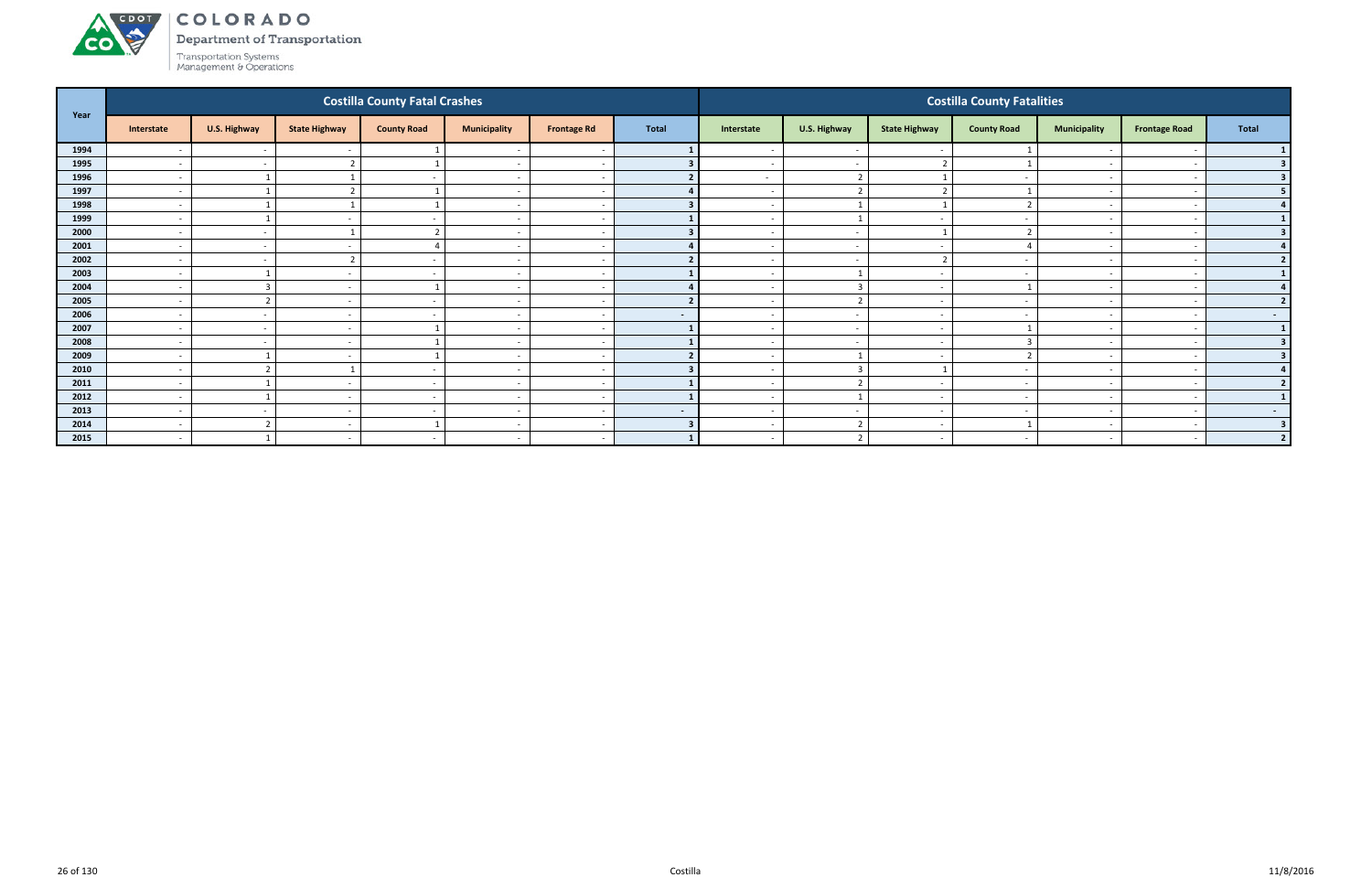#### ACDOT COLORADO

**CO** 

Department of Transportation

| Year |                          |              |                          | <b>Costilla County Fatal Crashes</b> |                          |                    |                |                          |                          |                          | <b>Costilla County Fatalities</b> |                          |                          |                  |
|------|--------------------------|--------------|--------------------------|--------------------------------------|--------------------------|--------------------|----------------|--------------------------|--------------------------|--------------------------|-----------------------------------|--------------------------|--------------------------|------------------|
|      | Interstate               | U.S. Highway | <b>State Highway</b>     | <b>County Road</b>                   | <b>Municipality</b>      | <b>Frontage Rd</b> | <b>Total</b>   | Interstate               | U.S. Highway             | <b>State Highway</b>     | <b>County Road</b>                | <b>Municipality</b>      | <b>Frontage Road</b>     | <b>Total</b>     |
| 1994 | $\overline{\phantom{a}}$ | $\sim$       |                          |                                      |                          |                    |                | $\overline{\phantom{0}}$ | $\sim$                   |                          |                                   |                          |                          |                  |
| 1995 | $\overline{\phantom{a}}$ | $\sim$       |                          |                                      | $\overline{\phantom{a}}$ |                    |                |                          | $\sim$                   |                          |                                   |                          |                          | 3 <sup>1</sup>   |
| 1996 | $\overline{\phantom{a}}$ |              |                          | $\sim$                               | $\sim$                   |                    |                | $\sim$                   | $\overline{2}$           |                          | $\overline{\phantom{a}}$          | $\sim$                   |                          | 3 <sup>1</sup>   |
| 1997 | $\overline{\phantom{a}}$ |              |                          |                                      | $\overline{\phantom{a}}$ |                    |                | $\overline{\phantom{0}}$ | $\overline{2}$           | $\overline{2}$           |                                   |                          |                          | 5 <sub>1</sub>   |
| 1998 | $\overline{\phantom{a}}$ |              |                          |                                      | $\overline{\phantom{a}}$ |                    |                | $\sim$                   | $\overline{1}$           |                          |                                   | $\overline{\phantom{0}}$ |                          | 4                |
| 1999 | $\overline{\phantom{a}}$ |              |                          |                                      | $\overline{\phantom{a}}$ |                    |                |                          |                          |                          |                                   |                          |                          | $\mathbf{1}$     |
| 2000 | $\overline{\phantom{0}}$ | $\sim$       |                          | ຳ                                    | $\overline{\phantom{a}}$ |                    |                | $\overline{\phantom{0}}$ | $\sim$                   |                          |                                   | $\overline{\phantom{0}}$ | $\overline{\phantom{0}}$ | 3                |
| 2001 | $\overline{\phantom{a}}$ | $\sim$       | $\overline{\phantom{a}}$ | Δ                                    | $\overline{\phantom{a}}$ |                    |                | $\sim$                   | $\sim$                   | $\sim$                   |                                   | $\overline{\phantom{a}}$ |                          | 4                |
| 2002 | $\overline{\phantom{a}}$ | $\sim$       |                          | $\sim$                               | $\overline{\phantom{a}}$ |                    |                | $\overline{\phantom{0}}$ | $\sim$                   | ຳ                        |                                   | $\overline{\phantom{0}}$ |                          | 2                |
| 2003 | $\overline{\phantom{a}}$ |              |                          |                                      | $\overline{\phantom{a}}$ |                    |                | $\overline{\phantom{0}}$ |                          |                          |                                   | $\overline{\phantom{a}}$ |                          | 1                |
| 2004 | $\blacksquare$           | 3            |                          |                                      | $\overline{\phantom{a}}$ |                    |                |                          | $\overline{3}$           |                          |                                   |                          |                          | 4 <sup>1</sup>   |
| 2005 | $\overline{\phantom{a}}$ | ຳ            | $\overline{\phantom{a}}$ | $\sim$                               | $\overline{\phantom{a}}$ |                    | $\overline{2}$ | $\sim$                   | $\overline{2}$           | $\overline{\phantom{a}}$ | $\sim$                            | $\sim$                   | $\sim$                   | 2                |
| 2006 | $\overline{\phantom{a}}$ | $\sim$       | $\overline{\phantom{0}}$ | $\overline{\phantom{a}}$             | $\overline{\phantom{a}}$ |                    | $\sim$         | $\sim$                   | $\sim$                   | $\overline{\phantom{a}}$ | $\overline{\phantom{a}}$          | $\sim$                   |                          | $\sim$ 100 $\pm$ |
| 2007 | $\overline{\phantom{a}}$ | $\sim$       | $\overline{\phantom{a}}$ |                                      | $\overline{\phantom{a}}$ |                    |                | $\overline{\phantom{0}}$ | $\sim$                   | $\sim$                   |                                   | $\overline{\phantom{0}}$ | -                        | $\mathbf{1}$     |
| 2008 | $\overline{\phantom{a}}$ | $\sim$       |                          |                                      | $\overline{\phantom{a}}$ |                    |                | $\overline{\phantom{a}}$ | $\sim$                   |                          |                                   | $\overline{\phantom{0}}$ |                          | 3 <sup>1</sup>   |
| 2009 | $\overline{\phantom{a}}$ |              |                          |                                      | $\overline{\phantom{a}}$ |                    |                |                          |                          |                          |                                   |                          |                          | 3 <sup>1</sup>   |
| 2010 | $\overline{\phantom{a}}$ | ຳ            |                          | $\sim$                               | $\overline{\phantom{a}}$ |                    |                | $\sim$                   | $\overline{\mathbf{3}}$  |                          | $\sim$                            | $\overline{\phantom{a}}$ | $\overline{\phantom{a}}$ | 4                |
| 2011 | $\overline{\phantom{a}}$ |              |                          |                                      | $\overline{\phantom{a}}$ |                    |                |                          | $\overline{2}$           |                          |                                   | $\overline{\phantom{0}}$ |                          | 2                |
| 2012 | $\overline{\phantom{a}}$ |              | $\overline{\phantom{a}}$ | $\sim$                               | $\overline{\phantom{a}}$ |                    |                | $\overline{\phantom{0}}$ | $\overline{\phantom{0}}$ | $\sim$                   | $\overline{\phantom{a}}$          | $\overline{\phantom{0}}$ |                          | 1 <sup>1</sup>   |
| 2013 | $\overline{\phantom{a}}$ | $\sim$       |                          |                                      | $\overline{\phantom{a}}$ |                    | $\sim$         |                          | $\overline{\phantom{a}}$ |                          |                                   |                          |                          | $\sim$ $-$       |
| 2014 | $\overline{\phantom{a}}$ | ຳ            | $\overline{\phantom{a}}$ |                                      | $\overline{\phantom{a}}$ |                    |                | $\sim$                   | $\overline{2}$           | $\overline{\phantom{a}}$ |                                   | $\overline{\phantom{0}}$ | $\overline{\phantom{0}}$ | 3 <sup>1</sup>   |
| 2015 | $\sim$                   |              | $\overline{\phantom{a}}$ | $\sim$                               | $\sim$                   |                    |                | $\overline{\phantom{0}}$ | $\overline{2}$           | $\sim$                   | $\sim$                            | $\overline{\phantom{0}}$ | $\sim$                   | 2                |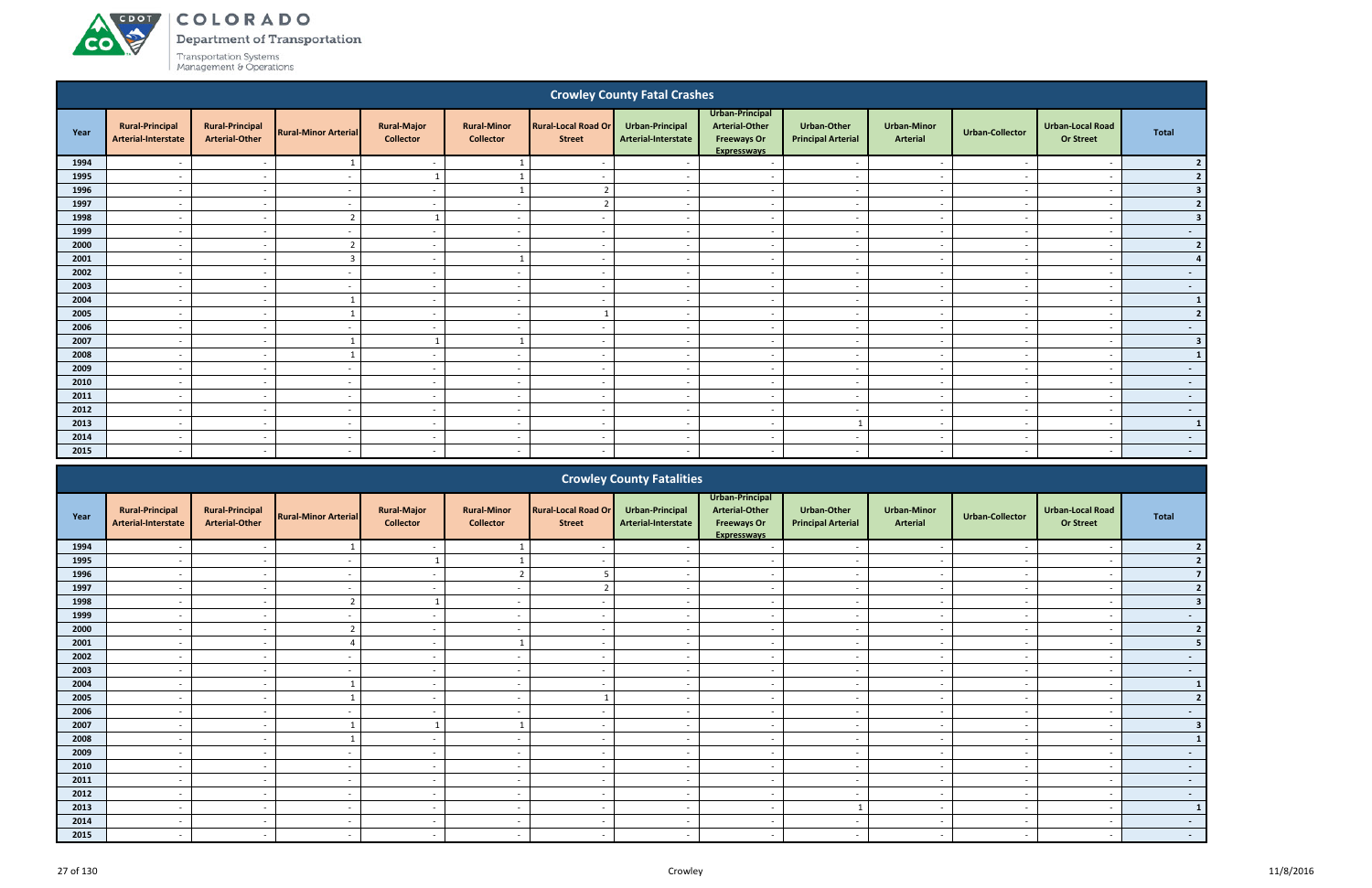# ACDOT

**CO** 

COLORADO

Department of Transportation

|      |                                               |                                                 |                             |                                        |                                        |                                             | <b>Crowley County Fatal Crashes</b>    |                                                                               |                                                 |                                |                          |                                             |                  |
|------|-----------------------------------------------|-------------------------------------------------|-----------------------------|----------------------------------------|----------------------------------------|---------------------------------------------|----------------------------------------|-------------------------------------------------------------------------------|-------------------------------------------------|--------------------------------|--------------------------|---------------------------------------------|------------------|
| Year | <b>Rural-Principal</b><br>Arterial-Interstate | <b>Rural-Principal</b><br><b>Arterial-Other</b> | <b>Rural-Minor Arterial</b> | <b>Rural-Major</b><br><b>Collector</b> | <b>Rural-Minor</b><br><b>Collector</b> | <b>Rural-Local Road Or</b><br><b>Street</b> | Urban-Principal<br>Arterial-Interstate | Urban-Principal<br><b>Arterial-Other</b><br><b>Freeways Or</b><br>Expressways | <b>Urban-Other</b><br><b>Principal Arterial</b> | <b>Urban-Minor</b><br>Arterial | <b>Urban-Collector</b>   | <b>Urban-Local Road</b><br><b>Or Street</b> | <b>Total</b>     |
| 1994 |                                               | $\sim$                                          | $\mathbf{1}$                | $\sim$                                 | 1                                      | $\sim$                                      |                                        | $\sim$                                                                        | $\overline{\phantom{a}}$                        | $\overline{\phantom{a}}$       | $\overline{\phantom{a}}$ | $\overline{\phantom{a}}$                    | 2                |
| 1995 |                                               | $\sim$                                          | $\overline{\phantom{a}}$    | $\overline{1}$                         |                                        | $\overline{\phantom{a}}$                    |                                        | $\sim$                                                                        | $\sim$                                          | $\overline{\phantom{a}}$       |                          | $\overline{\phantom{a}}$                    | 2                |
| 1996 | $\overline{\phantom{a}}$                      | $\sim$                                          | $\overline{\phantom{a}}$    | $\sim$                                 |                                        | $\overline{z}$                              | $\overline{\phantom{a}}$               | $\sim$                                                                        | $\overline{\phantom{a}}$                        | $\sim$                         | $\overline{\phantom{a}}$ | $\overline{\phantom{a}}$                    | 3 <sup>1</sup>   |
| 1997 | $\overline{\phantom{a}}$                      | $\sim$                                          | $\overline{\phantom{a}}$    | $\sim$                                 | $\overline{\phantom{a}}$               | $\overline{2}$                              | $\overline{\phantom{a}}$               | $\sim$                                                                        | $\overline{\phantom{a}}$                        | $\sim$                         |                          | $\overline{\phantom{a}}$                    | 2                |
| 1998 |                                               | $\overline{\phantom{a}}$                        | $\mathcal{I}$               | $\overline{1}$                         | $\overline{\phantom{a}}$               | $\overline{\phantom{a}}$                    | $\sim$                                 | $\overline{\phantom{a}}$                                                      | $\overline{\phantom{a}}$                        | $\overline{\phantom{a}}$       |                          | $\overline{\phantom{a}}$                    | 3 <sup>1</sup>   |
| 1999 |                                               | $\sim$                                          | $\overline{\phantom{a}}$    | $\overline{\phantom{a}}$               | $\overline{\phantom{a}}$               | $\sim$                                      | $\overline{\phantom{a}}$               | $\overline{a}$                                                                | $\overline{\phantom{a}}$                        | $\overline{\phantom{a}}$       |                          | $\overline{\phantom{a}}$                    | $\sim$ $-$       |
| 2000 | $\overline{\phantom{a}}$                      | $\overline{\phantom{a}}$                        | $\overline{2}$              | $\overline{\phantom{a}}$               | $\overline{\phantom{a}}$               | $\overline{\phantom{a}}$                    | $\sim$                                 | $\overline{\phantom{a}}$                                                      | $\overline{\phantom{a}}$                        | $\sim$                         |                          | $\overline{\phantom{a}}$                    | 2                |
| 2001 | $\overline{\phantom{a}}$                      | $\overline{a}$                                  | $\overline{\mathbf{3}}$     | $\overline{\phantom{a}}$               |                                        | $\overline{a}$                              |                                        | $\overline{\phantom{a}}$                                                      |                                                 | $\overline{\phantom{a}}$       |                          | $\overline{\phantom{a}}$                    | 4                |
| 2002 | $\overline{\phantom{a}}$                      | $\overline{\phantom{a}}$                        | $\overline{\phantom{a}}$    | $\sim$                                 | $\overline{a}$                         | $\overline{\phantom{a}}$                    | $\sim$                                 | $\overline{a}$                                                                | $\overline{\phantom{a}}$                        | $\sim$                         |                          | $\overline{\phantom{a}}$                    | $\sim$           |
| 2003 | $\overline{\phantom{a}}$                      | $\overline{\phantom{a}}$                        | $\overline{\phantom{a}}$    | $\sim$                                 | $\overline{\phantom{a}}$               | $\sim$                                      | $\overline{\phantom{a}}$               | $\overline{a}$                                                                | - -                                             | $\sim$                         |                          | $\sim$                                      | $\sim$ $-$       |
| 2004 | $\overline{\phantom{a}}$                      | $\overline{\phantom{a}}$                        |                             | $\overline{\phantom{a}}$               | $\overline{a}$                         | $\sim$                                      | $\overline{\phantom{a}}$               | $\overline{a}$                                                                | $\overline{\phantom{a}}$                        | $\sim$                         |                          | $\overline{\phantom{a}}$                    | $\vert$ 1        |
| 2005 | $\overline{a}$                                | $\overline{\phantom{a}}$                        | $\overline{\mathbf{1}}$     | $\overline{\phantom{a}}$               | $\overline{a}$                         |                                             | $\sim$                                 | $\sim$                                                                        | $\overline{\phantom{a}}$                        | $\sim$                         | $\overline{\phantom{a}}$ | $\overline{\phantom{a}}$                    | 2                |
| 2006 | $\overline{a}$                                | $\overline{\phantom{a}}$                        | $\overline{a}$              | $\overline{\phantom{a}}$               | $\overline{a}$                         | $\overline{\phantom{a}}$                    | $\sim$                                 | $\sim$                                                                        | $\overline{\phantom{a}}$                        | $\sim$                         | $\overline{\phantom{a}}$ | $\overline{\phantom{a}}$                    | $\sim 100$       |
| 2007 | $\overline{\phantom{a}}$                      | $\overline{\phantom{a}}$                        |                             | $\overline{1}$                         | $\mathbf{1}$                           | $\sim$                                      | $\sim$                                 | $\sim$                                                                        | $\overline{\phantom{a}}$                        | $\sim$                         | $\overline{\phantom{a}}$ | $\overline{\phantom{a}}$                    | 3 <sup>1</sup>   |
| 2008 | $\overline{\phantom{a}}$                      | $\overline{\phantom{a}}$                        | $\overline{1}$              | $\sim$                                 | $\overline{a}$                         | $\sim$                                      | $\sim$                                 | $\overline{a}$                                                                | $\sim$                                          | $\overline{\phantom{a}}$       | $\overline{\phantom{a}}$ | $\overline{\phantom{a}}$                    | $\vert$ 1        |
| 2009 | $\overline{a}$                                | $\overline{\phantom{a}}$                        | $\overline{a}$              | $\sim$                                 | $\overline{a}$                         | $\overline{\phantom{a}}$                    | $\sim$                                 | $\sim$                                                                        | $\sim$                                          | $\sim$                         | $\overline{\phantom{a}}$ | $\overline{a}$                              | $\sim$ 100 $\mu$ |
| 2010 | $\overline{\phantom{a}}$                      | $\overline{\phantom{a}}$                        | $\overline{\phantom{a}}$    | $\sim$                                 | $\overline{a}$                         | $\sim$                                      | $\sim$                                 | $\sim$                                                                        | $\sim$                                          | $\sim$                         | $\overline{\phantom{a}}$ | $\overline{\phantom{a}}$                    | $\sim$           |
| 2011 | $\overline{\phantom{a}}$                      | $\overline{\phantom{a}}$                        | $\overline{\phantom{a}}$    | $\sim$                                 | $\overline{\phantom{a}}$               | $\sim$                                      | $\sim$                                 | $\sim$                                                                        | $\overline{\phantom{a}}$                        | $\sim$                         |                          | $\overline{\phantom{a}}$                    | $\sim$           |
| 2012 | $\overline{\phantom{a}}$                      | $\overline{\phantom{a}}$                        | $\sim$                      | $\sim$                                 | $\overline{a}$                         | $\sim$                                      | $\overline{\phantom{a}}$               | $-$                                                                           | $\sim$                                          | $\sim$                         |                          | $\overline{\phantom{a}}$                    | $\sim$ $-$       |
| 2013 | $\overline{\phantom{a}}$                      | $\sim$                                          | $\overline{\phantom{a}}$    | $\sim$                                 | $\overline{\phantom{a}}$               | $\overline{\phantom{a}}$                    | $\sim$                                 | $\sim$                                                                        | $\mathbf{1}$                                    | $\sim$                         | $\overline{\phantom{a}}$ | $\overline{\phantom{a}}$                    | $\mathbf{1}$     |
| 2014 | $\overline{\phantom{a}}$                      | $\overline{\phantom{a}}$                        | $\overline{\phantom{a}}$    | $\sim$                                 | $\overline{\phantom{a}}$               | $\overline{\phantom{a}}$                    | $\sim$                                 | $\overline{\phantom{a}}$                                                      | $\overline{\phantom{a}}$                        | $\overline{\phantom{a}}$       |                          | $\overline{\phantom{a}}$                    | $\sim$ $-$       |
| 2015 | $\overline{\phantom{a}}$                      | $\overline{\phantom{a}}$                        | $\sim$                      | $\sim$                                 | $\overline{\phantom{a}}$               | $\overline{a}$                              | $\overline{\phantom{a}}$               | $\overline{a}$                                                                | $\sim$                                          | $\overline{\phantom{a}}$       | $\overline{\phantom{a}}$ | $\overline{\phantom{a}}$                    | $\sim$ $-$       |
|      |                                               |                                                 |                             |                                        |                                        |                                             | <b>Crowley County Fatalities</b>       |                                                                               |                                                 |                                |                          |                                             |                  |

|      |                                               |                                                 |                             |                                        |                                        |                                             | <b>Crowley County Fatalities</b>       |                                                                               |                                                 |                                       |                        |                                             |                          |
|------|-----------------------------------------------|-------------------------------------------------|-----------------------------|----------------------------------------|----------------------------------------|---------------------------------------------|----------------------------------------|-------------------------------------------------------------------------------|-------------------------------------------------|---------------------------------------|------------------------|---------------------------------------------|--------------------------|
| Year | <b>Rural-Principal</b><br>Arterial-Interstate | <b>Rural-Principal</b><br><b>Arterial-Other</b> | <b>Rural-Minor Arterial</b> | <b>Rural-Major</b><br><b>Collector</b> | <b>Rural-Minor</b><br><b>Collector</b> | <b>Rural-Local Road Or</b><br><b>Street</b> | Urban-Principal<br>Arterial-Interstate | Urban-Principal<br><b>Arterial-Other</b><br><b>Freeways Or</b><br>Expressways | <b>Urban-Other</b><br><b>Principal Arterial</b> | <b>Urban-Minor</b><br><b>Arterial</b> | <b>Urban-Collector</b> | <b>Urban-Local Road</b><br><b>Or Street</b> | Total                    |
| 1994 |                                               | $\sim$                                          |                             | $\sim$                                 |                                        | $\sim$                                      |                                        | $\overline{\phantom{a}}$                                                      | $\sim$                                          | $\overline{\phantom{a}}$              |                        | $\overline{\phantom{a}}$                    |                          |
| 1995 |                                               | $\overline{\phantom{0}}$                        |                             |                                        |                                        | $\overline{\phantom{a}}$                    |                                        | $\overline{\phantom{a}}$                                                      | $\overline{\phantom{0}}$                        | $\overline{\phantom{0}}$              |                        | $\overline{\phantom{a}}$                    |                          |
| 1996 |                                               |                                                 |                             |                                        | $\mathcal{L}$                          |                                             |                                        |                                                                               |                                                 |                                       |                        |                                             |                          |
| 1997 |                                               | $\sim$                                          |                             | $\sim$                                 | $\overline{\phantom{a}}$               | $\mathbf{\hat{z}}$                          |                                        | $\overline{\phantom{a}}$                                                      | $\overline{\phantom{a}}$                        | $\sim$                                |                        | $\overline{\phantom{a}}$                    |                          |
| 1998 |                                               |                                                 |                             |                                        |                                        | $\overline{\phantom{a}}$                    |                                        |                                                                               |                                                 |                                       |                        |                                             |                          |
| 1999 |                                               | $\sim$                                          |                             | $\sim$                                 | $\overline{\phantom{a}}$               | $\overline{\phantom{0}}$                    |                                        | $\overline{\phantom{a}}$                                                      | $\overline{\phantom{0}}$                        | $\overline{\phantom{a}}$              |                        | $\overline{\phantom{0}}$                    | $\sim$                   |
| 2000 | $\overline{\phantom{0}}$                      | $\sim$                                          |                             | $\sim$ $ \sim$                         | $\overline{\phantom{a}}$               | $\sim$                                      |                                        | $\overline{\phantom{0}}$                                                      | $\overline{\phantom{a}}$                        | $\overline{\phantom{a}}$              |                        | $\overline{\phantom{a}}$                    |                          |
| 2001 |                                               | $\sim$                                          |                             | $\sim$                                 |                                        | $\sim$                                      |                                        | $\overline{\phantom{a}}$                                                      | $\overline{\phantom{a}}$                        | $\overline{\phantom{a}}$              |                        | $\overline{\phantom{a}}$                    |                          |
| 2002 |                                               | $\sim$                                          |                             | $\sim$                                 | $\overline{\phantom{a}}$               | $\sim$                                      |                                        | $\overline{\phantom{a}}$                                                      | $\overline{\phantom{a}}$                        | $\overline{\phantom{a}}$              |                        | $\overline{\phantom{a}}$                    | $\overline{\phantom{0}}$ |
| 2003 |                                               |                                                 |                             | $\sim$                                 |                                        | $\overline{\phantom{a}}$                    |                                        |                                                                               |                                                 |                                       |                        |                                             | $\sim$                   |
| 2004 |                                               |                                                 |                             | $\sim$                                 |                                        |                                             |                                        | $\overline{\phantom{a}}$                                                      |                                                 |                                       |                        | $\overline{\phantom{a}}$                    |                          |
| 2005 | $\overline{\phantom{0}}$                      | $\sim$                                          |                             | $\sim$                                 | $\overline{\phantom{a}}$               |                                             |                                        | $\overline{a}$                                                                | $\overline{\phantom{a}}$                        | $\sim$                                |                        | $\overline{\phantom{a}}$                    |                          |
| 2006 |                                               | $\sim$                                          |                             | $\sim$                                 |                                        | $\overline{\phantom{a}}$                    |                                        | $\overline{\phantom{a}}$                                                      | $\overline{\phantom{a}}$                        | $\qquad \qquad \blacksquare$          |                        | $\overline{\phantom{a}}$                    | $\sim$                   |
| 2007 |                                               |                                                 |                             |                                        |                                        | $\overline{\phantom{a}}$                    |                                        | $\overline{\phantom{a}}$                                                      |                                                 |                                       |                        |                                             |                          |
| 2008 |                                               | $\sim$                                          |                             | $\sim$                                 | $\overline{\phantom{a}}$               | $\sim$                                      |                                        | $\overline{\phantom{a}}$                                                      | $\overline{\phantom{a}}$                        | $\overline{\phantom{a}}$              |                        | $\overline{\phantom{a}}$                    |                          |
| 2009 |                                               |                                                 |                             |                                        |                                        |                                             |                                        |                                                                               |                                                 |                                       |                        |                                             | $\sim$                   |
| 2010 |                                               | $\sim$                                          |                             | $\sim$                                 | $\overline{\phantom{a}}$               | $\sim$                                      |                                        | $\overline{\phantom{0}}$                                                      | $\sim$                                          | $\overline{\phantom{a}}$              |                        | $\overline{\phantom{a}}$                    | $\sim$                   |
| 2011 | $\overline{\phantom{0}}$                      | $\sim$                                          |                             | $\sim$ $-$                             | $\overline{\phantom{a}}$               | $\sim$                                      |                                        | $\overline{a}$                                                                | $\sim$                                          | $\overline{\phantom{a}}$              |                        | $\overline{\phantom{a}}$                    | $\sim$                   |
| 2012 |                                               |                                                 |                             | $\sim$                                 |                                        |                                             |                                        |                                                                               |                                                 |                                       |                        |                                             | $\sim$                   |
| 2013 |                                               | $\sim$                                          |                             | $\sim$                                 | $\overline{\phantom{0}}$               | $\sim$                                      |                                        | $\overline{\phantom{a}}$                                                      |                                                 | $\sim$                                |                        | $\overline{\phantom{a}}$                    | $\mathbf{1}$             |
| 2014 |                                               | $\sim$                                          |                             | $\sim$                                 | $\overline{\phantom{0}}$               | $\sim$                                      |                                        | $\overline{\phantom{a}}$                                                      |                                                 | $\overline{\phantom{a}}$              |                        | $\overline{\phantom{a}}$                    | $\sim$                   |
| 2015 |                                               |                                                 |                             |                                        |                                        | $\overline{\phantom{0}}$                    |                                        |                                                                               |                                                 |                                       |                        |                                             | $\sim$                   |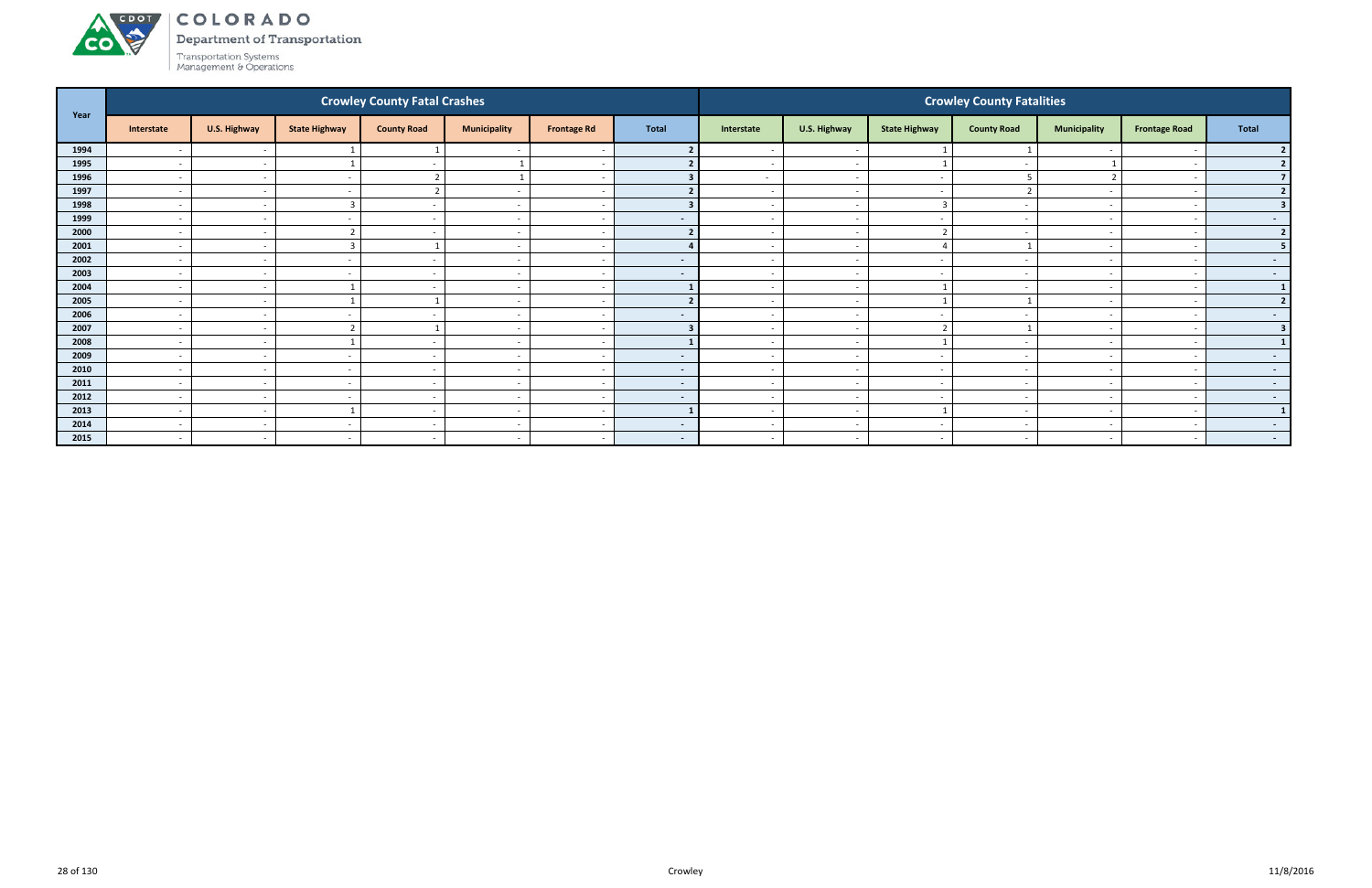

Department of Transportation

| Year |                          |              |                          | <b>Crowley County Fatal Crashes</b> |                          |                          |              |                          |                          |                          | <b>Crowley County Fatalities</b> |                          |                      |                         |
|------|--------------------------|--------------|--------------------------|-------------------------------------|--------------------------|--------------------------|--------------|--------------------------|--------------------------|--------------------------|----------------------------------|--------------------------|----------------------|-------------------------|
|      | Interstate               | U.S. Highway | <b>State Highway</b>     | <b>County Road</b>                  | <b>Municipality</b>      | <b>Frontage Rd</b>       | <b>Total</b> | Interstate               | U.S. Highway             | <b>State Highway</b>     | <b>County Road</b>               | <b>Municipality</b>      | <b>Frontage Road</b> | Total                   |
| 1994 | $\overline{\phantom{a}}$ | $\sim$       |                          |                                     |                          | $\overline{\phantom{a}}$ |              |                          | $\overline{\phantom{a}}$ |                          |                                  |                          |                      |                         |
| 1995 | $\overline{\phantom{a}}$ | $\sim$       |                          | $\sim$                              |                          | $\sim$                   |              | $\overline{\phantom{a}}$ | $\overline{\phantom{a}}$ |                          |                                  |                          |                      |                         |
| 1996 | $\overline{\phantom{a}}$ | $\sim$       |                          |                                     |                          | $\overline{a}$           |              | $\sim$                   | $\overline{a}$           | $\sim$                   |                                  | $\overline{2}$           |                      |                         |
| 1997 | $\overline{\phantom{a}}$ | $\sim$       |                          | ຳ                                   | $\overline{\phantom{a}}$ | $\sim$                   |              | $\sim$                   | $\overline{\phantom{a}}$ | $\sim$                   |                                  | $\overline{\phantom{0}}$ |                      |                         |
| 1998 | $\overline{\phantom{a}}$ | $\sim$       |                          | $\overline{\phantom{a}}$            | $\overline{\phantom{a}}$ | $\overline{\phantom{a}}$ |              |                          | $\overline{\phantom{a}}$ | $\overline{3}$           |                                  |                          |                      |                         |
| 1999 | $\overline{\phantom{a}}$ | $\sim$       |                          |                                     | $\overline{\phantom{a}}$ | $\sim$                   | $\sim$       |                          | $\overline{\phantom{a}}$ | . —                      |                                  |                          |                      | $\sim$                  |
| 2000 | $\sim$                   | $\sim$       |                          | $\sim$                              | $\overline{\phantom{a}}$ | $\overline{\phantom{a}}$ |              | $\overline{\phantom{0}}$ | $\overline{\phantom{a}}$ | $\overline{\phantom{a}}$ | $\overline{\phantom{a}}$         |                          |                      | $\overline{2}$          |
| 2001 | $\overline{\phantom{a}}$ | $\sim$       |                          |                                     | $\overline{\phantom{a}}$ | $\sim$                   |              |                          | $\sim$                   | $\overline{4}$           |                                  | $\overline{\phantom{0}}$ |                      | 5                       |
| 2002 | $\overline{\phantom{a}}$ | $\sim$       | $\overline{\phantom{a}}$ |                                     | $\overline{\phantom{a}}$ | $\overline{\phantom{a}}$ | $\sim$       |                          | $\overline{\phantom{a}}$ | $\overline{\phantom{0}}$ |                                  |                          |                      | $\sim$ $-$              |
| 2003 | $\overline{\phantom{a}}$ | $\sim$       |                          | $\sim$                              | $\overline{\phantom{a}}$ | $\sim$                   | $\sim$       | $\sim$                   | $\overline{\phantom{a}}$ | $\sim$                   |                                  | $\overline{\phantom{0}}$ |                      | $\sim$ $-$              |
| 2004 | $\overline{\phantom{a}}$ | $\sim$       |                          |                                     |                          | $\overline{\phantom{a}}$ |              |                          | $\overline{\phantom{a}}$ |                          |                                  |                          |                      | $\mathbf{1}$            |
| 2005 | $\overline{a}$           | $\sim$       |                          |                                     | $\overline{a}$           | $\sim$                   |              | $\sim$                   | $\sim$                   |                          |                                  |                          |                      | 2 <sup>1</sup>          |
| 2006 | $\overline{\phantom{a}}$ | $\sim$       |                          |                                     | $\overline{\phantom{a}}$ | $\sim$                   | $\sim$       | $\sim$                   | $\sim$                   | $\sim$                   |                                  | $\overline{\phantom{0}}$ |                      | $\sim$                  |
| 2007 | $\overline{\phantom{a}}$ | $\sim$       |                          |                                     | $\overline{\phantom{a}}$ | $\overline{\phantom{a}}$ | $\mathbf{R}$ |                          | $\overline{\phantom{a}}$ | $\mathbf{\overline{a}}$  |                                  |                          |                      | $\overline{\mathbf{3}}$ |
| 2008 | $\overline{\phantom{a}}$ | $\sim$       |                          | $\sim$                              | $\overline{\phantom{a}}$ | $\sim$                   |              | $\overline{\phantom{0}}$ | $\overline{\phantom{a}}$ |                          |                                  | $\overline{a}$           |                      |                         |
| 2009 | $\overline{\phantom{a}}$ | $\sim$       |                          |                                     | $\overline{\phantom{a}}$ | $\sim$                   | $\sim$       |                          | $\overline{\phantom{a}}$ | $\overline{\phantom{a}}$ |                                  |                          |                      | $\sim$                  |
| 2010 | $\overline{\phantom{a}}$ | $\sim$       | $\overline{\phantom{a}}$ | $\sim$                              | $\overline{\phantom{a}}$ | $\sim$                   | $\sim$       | $\sim$                   | $\overline{\phantom{a}}$ | $\sim$                   | $\overline{\phantom{a}}$         |                          |                      | $\sim$ 100 $\mu$        |
| 2011 | $\overline{\phantom{a}}$ | $\sim$       |                          | $\sim$                              | $\overline{\phantom{a}}$ | $\sim$                   | $\sim$       | $\sim$                   | $\sim$                   | $\overline{\phantom{0}}$ |                                  | $\sim$                   |                      | $\sim$ $-$              |
| 2012 | $\overline{\phantom{a}}$ | $\sim$       |                          | $\overline{\phantom{a}}$            | $\overline{\phantom{a}}$ | $\overline{\phantom{a}}$ | $\sim$       |                          | $\overline{\phantom{a}}$ | $\sim$                   |                                  |                          |                      | $\sim$ $-$              |
| 2013 | $\overline{\phantom{a}}$ | $\sim$       |                          | $\overline{\phantom{0}}$            | $\overline{\phantom{a}}$ | $\sim$                   |              | $\overline{\phantom{0}}$ | $\overline{\phantom{a}}$ |                          |                                  |                          |                      | $\mathbf{1}$            |
| 2014 | $\overline{\phantom{a}}$ | $\sim$       |                          | $\sim$                              | $\overline{\phantom{a}}$ | $\sim$                   | $\sim$       | $\overline{\phantom{0}}$ | $\overline{\phantom{a}}$ | $\overline{\phantom{a}}$ |                                  |                          |                      | $\sim$ $-$              |
| 2015 | $\overline{\phantom{a}}$ | $\sim$       | $\sim$                   | $\sim$                              | $\overline{\phantom{a}}$ | $\sim$                   | $\sim$       | $\sim$                   | $\overline{\phantom{a}}$ | $\sim$                   |                                  | $\overline{\phantom{0}}$ |                      | $\sim$ 100 $\mu$        |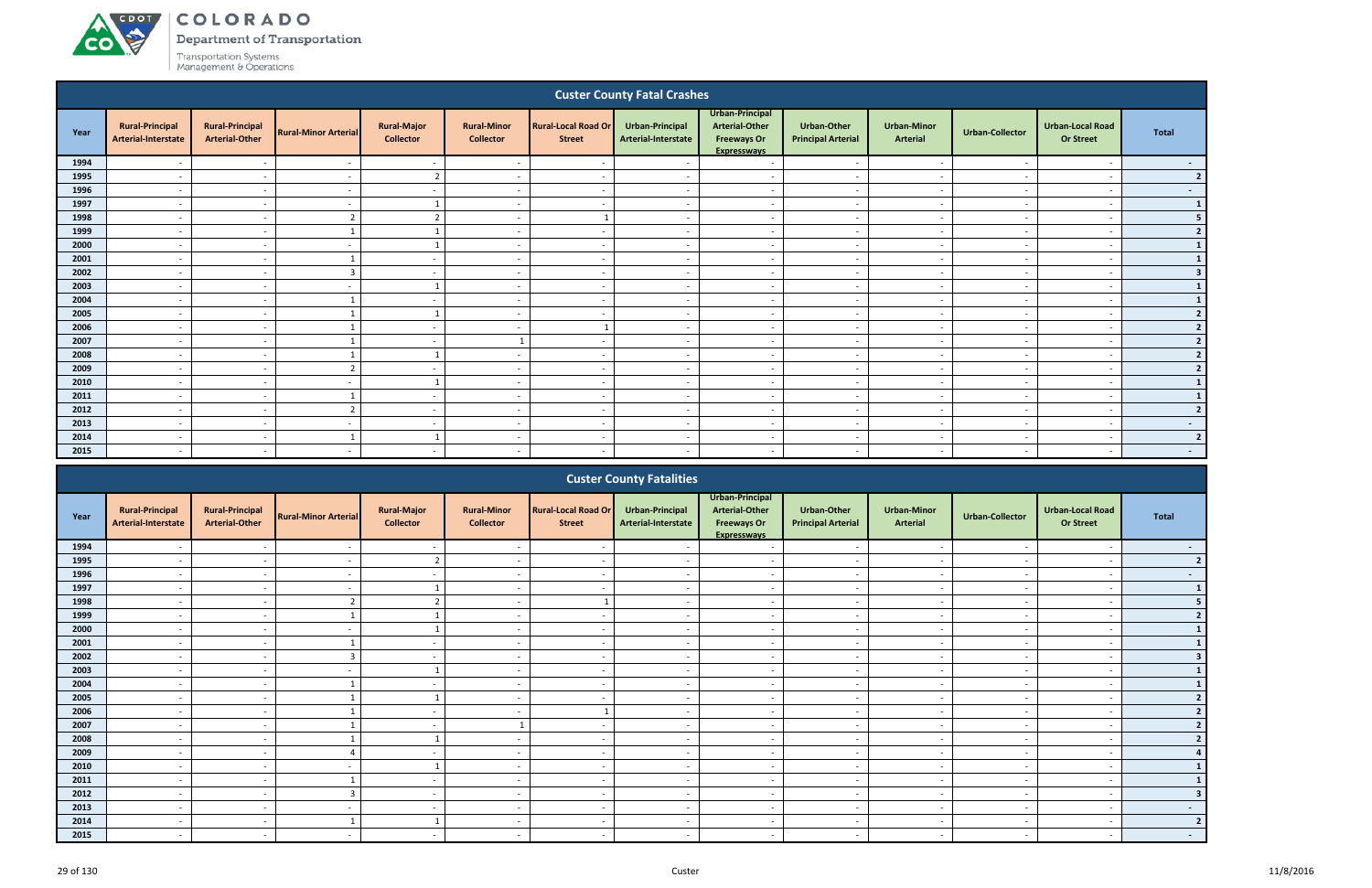# COLORADO

Department of Transportation

|      |                                               |                                                 |                             |                                        |                                        |                                             | <b>Custer County Fatal Crashes</b>            |                                                                                      |                                          |                                       |                          |                                             |                |
|------|-----------------------------------------------|-------------------------------------------------|-----------------------------|----------------------------------------|----------------------------------------|---------------------------------------------|-----------------------------------------------|--------------------------------------------------------------------------------------|------------------------------------------|---------------------------------------|--------------------------|---------------------------------------------|----------------|
| Year | <b>Rural-Principal</b><br>Arterial-Interstate | <b>Rural-Principal</b><br><b>Arterial-Other</b> | <b>Rural-Minor Arterial</b> | <b>Rural-Major</b><br><b>Collector</b> | <b>Rural-Minor</b><br><b>Collector</b> | <b>Rural-Local Road Or</b><br><b>Street</b> | <b>Urban-Principal</b><br>Arterial-Interstate | Urban-Principal<br><b>Arterial-Other</b><br><b>Freeways Or</b><br><b>Expresswavs</b> | Urban-Other<br><b>Principal Arterial</b> | <b>Urban-Minor</b><br><b>Arterial</b> | <b>Urban-Collector</b>   | <b>Urban-Local Road</b><br><b>Or Street</b> | <b>Total</b>   |
| 1994 |                                               | $\overline{\phantom{a}}$                        | $\overline{\phantom{a}}$    | $\sim$                                 | $\overline{\phantom{a}}$               | $\overline{\phantom{a}}$                    | $\overline{\phantom{a}}$                      | $\sim$                                                                               | $\overline{\phantom{a}}$                 | <b>.</b>                              |                          | $\overline{a}$                              | $\sim$         |
| 1995 | $\overline{\phantom{a}}$                      | $\overline{\phantom{a}}$                        | $\overline{\phantom{a}}$    | $\overline{2}$                         | $\overline{\phantom{a}}$               | $\sim$                                      | $\overline{\phantom{a}}$                      | $\overline{a}$                                                                       |                                          | $\overline{\phantom{a}}$              |                          | $\overline{\phantom{a}}$                    | 2 <sup>1</sup> |
| 1996 | $\overline{\phantom{a}}$                      | $\overline{\phantom{a}}$                        | $\overline{a}$              | $\sim$                                 | $\overline{a}$                         | $\overline{\phantom{a}}$                    | $\overline{\phantom{a}}$                      | $\sim$                                                                               | $\overline{\phantom{a}}$                 | $\overline{\phantom{a}}$              |                          | $\overline{\phantom{a}}$                    | $\sim 100$     |
| 1997 |                                               | $\overline{\phantom{a}}$                        | $\overline{\phantom{a}}$    |                                        | $\overline{\phantom{a}}$               | $\overline{\phantom{a}}$                    | $\overline{a}$                                | $\sim$                                                                               | $\overline{\phantom{a}}$                 | $\sim$                                |                          | $\overline{\phantom{a}}$                    | $\mathbf{1}$   |
| 1998 | $\overline{a}$                                | $\sim$                                          | $\overline{2}$              | $\overline{2}$                         | $\overline{a}$                         |                                             | $\sim$                                        | $\sim$                                                                               | $\overline{a}$                           | $\overline{\phantom{a}}$              | $\overline{\phantom{a}}$ | $\overline{a}$                              | 5 <sub>1</sub> |
| 1999 | $\overline{\phantom{0}}$                      | $\overline{\phantom{a}}$                        |                             | $\overline{\mathbf{1}}$                | $\overline{a}$                         | $\sim$                                      | $\sim$                                        | $\overline{a}$                                                                       | $\overline{\phantom{a}}$                 | $\sim$                                | $\overline{\phantom{a}}$ | $\overline{\phantom{a}}$                    | 2              |
| 2000 | $\overline{\phantom{a}}$                      | $\overline{\phantom{a}}$                        |                             |                                        | $\overline{\phantom{a}}$               | $\sim$                                      | $\overline{\phantom{a}}$                      | $\sim$                                                                               | $\overline{\phantom{a}}$                 | $\overline{\phantom{a}}$              |                          | $\overline{\phantom{a}}$                    | $\mathbf{1}$   |
| 2001 | $\overline{\phantom{a}}$                      | $\overline{\phantom{a}}$                        |                             | $\sim$                                 | $\overline{\phantom{a}}$               | $\overline{\phantom{a}}$                    | $\sim$                                        | $\sim$                                                                               | $\overline{\phantom{a}}$                 | $\overline{\phantom{a}}$              | $\overline{\phantom{a}}$ | $\overline{\phantom{a}}$                    | $1\vert$       |
| 2002 | $\overline{a}$                                | $\sim$                                          | $\overline{3}$              | $\overline{\phantom{a}}$               | $\overline{\phantom{a}}$               | $\sim$                                      | $\overline{\phantom{a}}$                      | $\sim$                                                                               | $\overline{\phantom{a}}$                 | $\sim$                                | <b>.</b>                 | $\overline{\phantom{a}}$                    | 3 <sup>1</sup> |
| 2003 | $\sim$                                        | $\sim$                                          | $\sim$                      | $\overline{\mathbf{1}}$                | $\overline{\phantom{a}}$               | $\overline{\phantom{a}}$                    | $\sim$                                        | $\sim$                                                                               | $\sim$                                   | $\sim$                                | $\overline{\phantom{a}}$ | $\overline{\phantom{a}}$                    | $\mathbf{1}$   |
| 2004 | $\overline{a}$                                | $\sim$                                          |                             | $\overline{\phantom{a}}$               | $\overline{a}$                         | $\sim$                                      | $\sim$                                        | $\sim$                                                                               | $\overline{a}$                           | $\overline{\phantom{a}}$              | <b>.</b>                 | $\overline{\phantom{a}}$                    | $\mathbf{1}$   |
| 2005 | $\overline{a}$                                | $\overline{\phantom{a}}$                        |                             | $\overline{\mathbf{1}}$                | $\overline{a}$                         | $\overline{\phantom{a}}$                    | $\sim$                                        | $\overline{a}$                                                                       | $\overline{\phantom{a}}$                 | $\overline{\phantom{a}}$              |                          | $\overline{a}$                              | 2              |
| 2006 | $\overline{\phantom{a}}$                      | $\overline{\phantom{a}}$                        |                             | $\sim$                                 | $\overline{\phantom{a}}$               |                                             | $\overline{\phantom{a}}$                      | $\overline{\phantom{a}}$                                                             | $\overline{\phantom{a}}$                 | $\overline{\phantom{a}}$              |                          | $\overline{\phantom{a}}$                    | 2 <sup>1</sup> |
| 2007 |                                               | $\overline{\phantom{a}}$                        |                             | $\sim$                                 |                                        | $\overline{\phantom{a}}$                    | $\overline{\phantom{a}}$                      | $\sim$                                                                               | $\overline{\phantom{a}}$                 | $\sim$                                |                          | $\overline{\phantom{a}}$                    | 2              |
| 2008 | $\sim$                                        | $\sim$                                          |                             | $\overline{1}$                         | $\overline{\phantom{a}}$               | $\sim$                                      | $\sim$                                        | $\sim$                                                                               | $\sim$                                   | $\sim$                                | $\overline{\phantom{a}}$ | $\overline{\phantom{a}}$                    | $\mathbf{2}$   |
| 2009 | $\overline{a}$                                | $\overline{a}$                                  | $\overline{2}$              | $\overline{a}$<br>$\overline{1}$       | $\overline{a}$                         | $\sim$                                      | $\sim$                                        | $\overline{a}$                                                                       | $\overline{a}$                           | $\sim$                                | $\overline{\phantom{a}}$ | $\overline{a}$                              | 2              |
| 2010 | $\overline{\phantom{a}}$                      | $\overline{a}$                                  | $\overline{a}$              |                                        | $\overline{\phantom{a}}$               | $\overline{a}$                              | $\overline{\phantom{a}}$                      | $\overline{a}$                                                                       | $\overline{\phantom{a}}$                 | $\sim$                                | . .                      | $\overline{\phantom{a}}$                    | $\mathbf{1}$   |
| 2011 | $\overline{\phantom{a}}$                      | $\overline{\phantom{a}}$                        |                             | $\sim$                                 | $\overline{\phantom{a}}$               | $\overline{\phantom{a}}$                    | $\overline{\phantom{a}}$                      | $\overline{\phantom{a}}$                                                             | $\overline{\phantom{a}}$                 | $\sim$                                |                          | $\overline{\phantom{a}}$                    | $\mathbf{1}$   |
| 2012 | $\overline{\phantom{a}}$                      | $\overline{\phantom{a}}$                        | ຳ                           | $\sim$                                 | $\overline{a}$                         | $\overline{\phantom{a}}$                    | $\overline{a}$                                | $\sim$                                                                               | $\overline{\phantom{a}}$                 | $\overline{\phantom{a}}$              |                          | $\overline{a}$                              | 2              |
| 2013 | $\overline{\phantom{a}}$                      | $\sim$                                          | $\overline{\phantom{a}}$    | $\sim$                                 | $\overline{\phantom{a}}$               | $\sim$                                      | $\sim$                                        | $\sim$                                                                               | $\sim$                                   | $\sim$                                | $\overline{\phantom{a}}$ | $\sim$                                      | $\sim 100$     |
| 2014 | $\overline{\phantom{a}}$                      | $\overline{\phantom{a}}$                        |                             | $\mathbf{1}$                           | $\overline{a}$                         | $\sim$                                      | $\sim$                                        | $\overline{a}$                                                                       | $\sim$                                   | $\sim$                                | $\overline{\phantom{a}}$ | $\overline{a}$                              | 2              |
| 2015 | $\overline{\phantom{a}}$                      | $\overline{\phantom{a}}$                        | $\overline{\phantom{a}}$    | $\sim$                                 | $\overline{a}$                         | $\sim$                                      | $\sim$                                        | $\sim$                                                                               | $\sim$                                   | $\sim$                                | $\sim$                   | $\overline{\phantom{0}}$                    | $\sim 100$     |
|      |                                               |                                                 |                             |                                        |                                        |                                             |                                               |                                                                                      |                                          |                                       |                          |                                             |                |

|      |                                               |                                                 |                             |                                        |                                        |                                             | <b>Custer County Fatalities</b>        |                                                                                      |                                                 |                                       |                          |                                             |                |
|------|-----------------------------------------------|-------------------------------------------------|-----------------------------|----------------------------------------|----------------------------------------|---------------------------------------------|----------------------------------------|--------------------------------------------------------------------------------------|-------------------------------------------------|---------------------------------------|--------------------------|---------------------------------------------|----------------|
| Year | <b>Rural-Principal</b><br>Arterial-Interstate | <b>Rural-Principal</b><br><b>Arterial-Other</b> | <b>Rural-Minor Arterial</b> | <b>Rural-Major</b><br><b>Collector</b> | <b>Rural-Minor</b><br><b>Collector</b> | <b>Rural-Local Road Or</b><br><b>Street</b> | Urban-Principal<br>Arterial-Interstate | Urban-Principal<br><b>Arterial-Other</b><br><b>Freeways Or</b><br><b>Expresswavs</b> | <b>Urban-Other</b><br><b>Principal Arterial</b> | <b>Urban-Minor</b><br><b>Arterial</b> | <b>Urban-Collector</b>   | <b>Urban-Local Road</b><br><b>Or Street</b> | Total          |
| 1994 |                                               |                                                 |                             |                                        |                                        |                                             |                                        |                                                                                      |                                                 |                                       |                          |                                             | $\sim$         |
| 1995 |                                               |                                                 |                             | $\overline{\phantom{a}}$               |                                        |                                             |                                        |                                                                                      |                                                 |                                       |                          |                                             | $\overline{2}$ |
| 1996 | $\overline{\phantom{0}}$                      | $\sim$                                          |                             | $\sim$                                 | $\overline{\phantom{a}}$               | $\sim$                                      | $\overline{\phantom{a}}$               | $\overline{\phantom{a}}$                                                             | $\sim$                                          | $\sim$                                |                          | $\overline{\phantom{a}}$                    | $\sim$         |
| 1997 |                                               |                                                 |                             |                                        | $\overline{\phantom{0}}$               | $\overline{\phantom{a}}$                    |                                        | $\overline{\phantom{0}}$                                                             | $\overline{\phantom{0}}$                        | $\overline{\phantom{0}}$              |                          |                                             |                |
| 1998 |                                               |                                                 |                             |                                        |                                        |                                             |                                        | $\overline{\phantom{a}}$                                                             | $\overline{\phantom{a}}$                        |                                       |                          |                                             |                |
| 1999 | $\overline{\phantom{0}}$                      | $\sim$                                          |                             |                                        | $\overline{\phantom{0}}$               | $\sim$                                      |                                        | $\overline{\phantom{a}}$                                                             | $\overline{\phantom{a}}$                        | $\overline{\phantom{a}}$              |                          | $\overline{\phantom{a}}$                    |                |
| 2000 |                                               |                                                 |                             |                                        |                                        |                                             |                                        |                                                                                      |                                                 |                                       |                          |                                             |                |
| 2001 |                                               | $\sim$                                          |                             | $\sim$                                 | $\overline{\phantom{a}}$               | $\sim$                                      |                                        | $\overline{\phantom{a}}$                                                             | $\overline{\phantom{a}}$                        | $\overline{\phantom{a}}$              |                          | $\overline{\phantom{0}}$                    |                |
| 2002 |                                               | $\sim$                                          |                             | $\sim$                                 | $\overline{\phantom{a}}$               | $\overline{\phantom{a}}$                    |                                        | $\overline{\phantom{0}}$                                                             | $\overline{\phantom{a}}$                        | $\overline{\phantom{a}}$              |                          | $\overline{\phantom{a}}$                    |                |
| 2003 |                                               |                                                 |                             |                                        |                                        | $\overline{\phantom{a}}$                    |                                        | $\overline{\phantom{0}}$                                                             | $\overline{\phantom{0}}$                        |                                       |                          | $\overline{\phantom{0}}$                    |                |
| 2004 | $\overline{\phantom{0}}$                      | $\sim$                                          |                             | $\sim$                                 | $\overline{\phantom{a}}$               | $\sim$                                      |                                        | $\overline{a}$                                                                       | $\overline{\phantom{a}}$                        | $\sim$                                |                          | $\overline{\phantom{a}}$                    |                |
| 2005 |                                               |                                                 |                             |                                        |                                        |                                             |                                        | $\overline{\phantom{0}}$                                                             | $\overline{\phantom{0}}$                        |                                       |                          |                                             |                |
| 2006 | $\overline{\phantom{0}}$                      | $\sim$                                          |                             | $\sim$                                 | $\sim$                                 |                                             | $\overline{\phantom{a}}$               | $\overline{\phantom{a}}$                                                             | $\overline{\phantom{a}}$                        | $\sim$                                | $\overline{\phantom{a}}$ | $\overline{\phantom{a}}$                    |                |
| 2007 |                                               |                                                 |                             |                                        | $\overline{ }$                         |                                             |                                        | $\overline{\phantom{a}}$                                                             | $\overline{\phantom{a}}$                        | $\overline{\phantom{a}}$              |                          |                                             |                |
| 2008 |                                               | $\sim$                                          |                             |                                        | $\overline{\phantom{a}}$               | $\sim$                                      |                                        | $\overline{\phantom{a}}$                                                             | $\overline{\phantom{a}}$                        | $\overline{\phantom{a}}$              |                          | $\overline{\phantom{a}}$                    |                |
| 2009 |                                               |                                                 |                             |                                        | $\overline{\phantom{0}}$               | $\overline{\phantom{0}}$                    |                                        | $\overline{\phantom{0}}$                                                             | $\overline{\phantom{a}}$                        |                                       |                          |                                             |                |
| 2010 |                                               |                                                 |                             |                                        | $\overline{\phantom{0}}$               | $\overline{\phantom{a}}$                    |                                        | $\overline{\phantom{0}}$                                                             | $\overline{\phantom{a}}$                        | $\overline{\phantom{a}}$              |                          |                                             |                |
| 2011 | $\overline{\phantom{0}}$                      | $\sim$                                          |                             | $\sim$                                 | $\overline{a}$                         | $\sim$                                      | $\overline{\phantom{a}}$               | $\sim$                                                                               | $\overline{\phantom{a}}$                        | $\sim$                                | $\overline{\phantom{a}}$ | $\overline{\phantom{a}}$                    |                |
| 2012 |                                               |                                                 |                             | $\sim$                                 | $\overline{\phantom{0}}$               | $\overline{\phantom{a}}$                    |                                        | $\sim$                                                                               | $\overline{\phantom{a}}$                        | $\overline{\phantom{a}}$              |                          | $\overline{\phantom{a}}$                    |                |
| 2013 |                                               | $\sim$                                          |                             | $\sim$                                 | $\overline{\phantom{0}}$               | $\sim$                                      | $\overline{\phantom{a}}$               | $\overline{\phantom{0}}$                                                             | $\overline{\phantom{a}}$                        | $\overline{a}$                        |                          | $\overline{\phantom{a}}$                    | $\sim$         |
| 2014 |                                               | $\sim$                                          |                             |                                        | $\overline{\phantom{a}}$               | $\sim$                                      |                                        | $\overline{\phantom{a}}$                                                             | $\overline{\phantom{a}}$                        | $\overline{\phantom{a}}$              |                          | $\overline{\phantom{a}}$                    |                |
| 2015 |                                               |                                                 |                             |                                        |                                        | $\overline{\phantom{a}}$                    |                                        |                                                                                      |                                                 |                                       |                          |                                             | $\sim$         |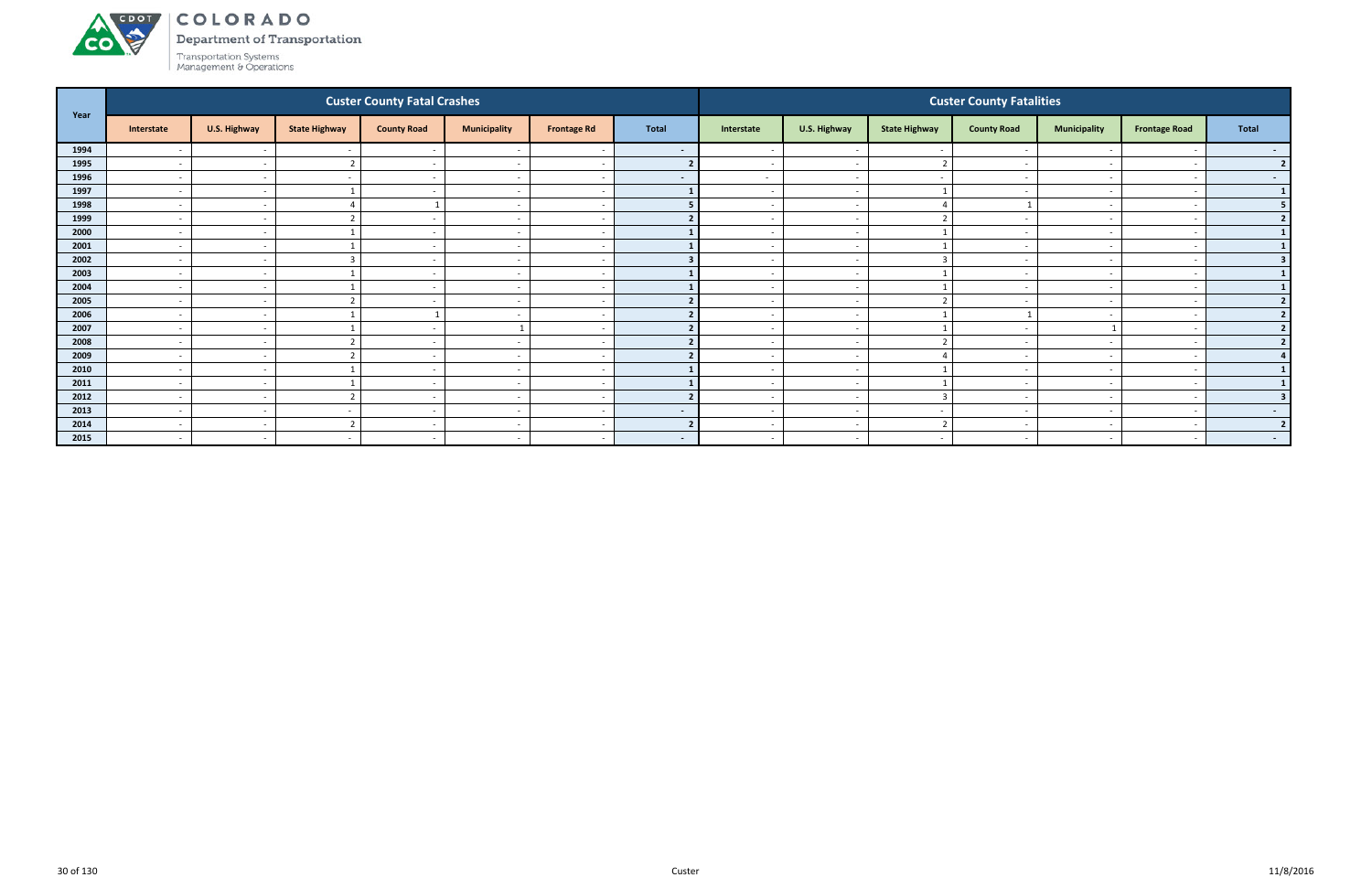

Department of Transportation

|      |                          |              |                          | <b>Custer County Fatal Crashes</b> |                          |                          |                          |                          |                          |                      | <b>Custer County Fatalities</b> |                          |                      |                  |
|------|--------------------------|--------------|--------------------------|------------------------------------|--------------------------|--------------------------|--------------------------|--------------------------|--------------------------|----------------------|---------------------------------|--------------------------|----------------------|------------------|
| Year | Interstate               | U.S. Highway | <b>State Highway</b>     | <b>County Road</b>                 | <b>Municipality</b>      | <b>Frontage Rd</b>       | <b>Total</b>             | Interstate               | U.S. Highway             | <b>State Highway</b> | <b>County Road</b>              | <b>Municipality</b>      | <b>Frontage Road</b> | Total            |
| 1994 |                          | $\sim$       |                          | $\sim$                             |                          |                          | $\sim$                   | $\sim$                   | $\overline{\phantom{a}}$ |                      |                                 |                          |                      | $\sim$           |
| 1995 | $\overline{\phantom{a}}$ | $\sim$       |                          | $\sim$                             | $\overline{\phantom{a}}$ | $\overline{\phantom{a}}$ |                          | $\sim$                   | $\sim$                   |                      | $\sim$                          | $\sim$                   |                      | 2 <sup>1</sup>   |
| 1996 | $\overline{\phantom{a}}$ | $\sim$       |                          | $\sim$                             | $\overline{\phantom{a}}$ | $\overline{\phantom{a}}$ | $\sim$ $-$               | $\sim$                   | $\overline{a}$           | $\sim$               |                                 | $\overline{\phantom{0}}$ |                      | $\sim$ 100 $\pm$ |
| 1997 | $\overline{\phantom{a}}$ | $\sim$       |                          |                                    | $\overline{\phantom{a}}$ |                          |                          | $\sim$                   | $\overline{a}$           |                      |                                 | $\overline{\phantom{0}}$ |                      | $\mathbf{1}$     |
| 1998 | $\overline{\phantom{a}}$ | $\sim$       |                          |                                    | $\overline{\phantom{a}}$ | <u>т</u>                 |                          |                          | $\overline{a}$           |                      |                                 |                          |                      | 5                |
| 1999 | $\overline{\phantom{a}}$ | $\sim$       |                          |                                    | $\overline{\phantom{a}}$ |                          |                          |                          | $\sim$                   |                      |                                 |                          |                      | $\mathbf{z}$     |
| 2000 | $\overline{\phantom{a}}$ | $\sim$       |                          | $\sim$                             | $\overline{\phantom{a}}$ | <u>т</u>                 |                          | $\sim$                   | $\sim$                   |                      | $\overline{\phantom{a}}$        | $\overline{\phantom{a}}$ |                      |                  |
| 2001 | $\overline{\phantom{a}}$ | $\sim$       |                          | $\sim$                             | $\overline{\phantom{a}}$ | $\overline{\phantom{a}}$ |                          | $\sim$                   | $\sim$                   |                      | $\overline{\phantom{a}}$        | $\sim$                   |                      |                  |
| 2002 | $\overline{\phantom{a}}$ | $\sim$       |                          | $\sim$                             | $\overline{\phantom{a}}$ |                          |                          |                          | $\overline{\phantom{a}}$ | $\overline{3}$       |                                 |                          |                      |                  |
| 2003 | $\overline{\phantom{a}}$ | $\sim$       |                          | $\sim$ $-$                         | $\overline{\phantom{a}}$ | $\overline{\phantom{a}}$ |                          | $\sim$                   | $\sim$                   |                      |                                 | $\overline{\phantom{0}}$ |                      |                  |
| 2004 | $\overline{\phantom{a}}$ | $\sim$       |                          | $\overline{\phantom{a}}$           | $\overline{\phantom{a}}$ |                          |                          |                          | $\overline{\phantom{a}}$ |                      |                                 |                          |                      |                  |
| 2005 | $\overline{\phantom{0}}$ | $\sim$       |                          | $\sim$                             | $\overline{\phantom{a}}$ | $\overline{\phantom{a}}$ |                          | $\sim$                   | $\sim$                   | $\mathbf{\cdot}$     | $\overline{\phantom{a}}$        | $\overline{\phantom{0}}$ |                      | $\overline{2}$   |
| 2006 | $\overline{\phantom{a}}$ | $\sim$       |                          |                                    | $\overline{\phantom{a}}$ | $\overline{\phantom{a}}$ |                          | $\sim$                   | $\sim$                   |                      |                                 | $\sim$                   |                      |                  |
| 2007 | $\overline{\phantom{a}}$ | $\sim$       |                          |                                    | $\mathbf{1}$             |                          |                          |                          | $\overline{\phantom{a}}$ | -1                   |                                 | $\mathbf{1}$             |                      | $\overline{2}$   |
| 2008 | $\overline{\phantom{a}}$ | $\sim$       |                          | $\sim$                             | $\overline{\phantom{a}}$ | . —                      |                          | $\sim$                   | $\sim$                   | $\mathbf{\Omega}$    |                                 | $\sim$                   |                      | $\mathbf{z}$     |
| 2009 | $\overline{\phantom{a}}$ | $\sim$       |                          | $\overline{\phantom{a}}$           | $\overline{\phantom{a}}$ |                          |                          |                          | $\sim$                   |                      |                                 |                          |                      |                  |
| 2010 | $\overline{\phantom{a}}$ | $\sim$       |                          | $\sim$                             | $\overline{\phantom{a}}$ | $\overline{\phantom{a}}$ |                          | $\sim$                   | $\sim$                   |                      | $\overline{\phantom{a}}$        | $\overline{\phantom{0}}$ |                      |                  |
| 2011 | $\overline{\phantom{a}}$ | $\sim$       |                          | $\sim$                             | $\overline{\phantom{a}}$ | $\overline{\phantom{a}}$ |                          | $\overline{\phantom{0}}$ | $\sim$                   |                      |                                 | $\sim$                   |                      |                  |
| 2012 | $\overline{\phantom{a}}$ | $\sim$       |                          | <b>.</b>                           | $\overline{\phantom{a}}$ |                          |                          |                          | $\overline{\phantom{a}}$ | $\overline{3}$       |                                 |                          |                      |                  |
| 2013 | $\overline{\phantom{a}}$ | $\sim$       |                          | $\sim$                             | $\overline{\phantom{a}}$ | $\overline{\phantom{a}}$ | $\sim$                   | $\sim$                   | $\overline{\phantom{a}}$ | $\sim$               |                                 | $\overline{\phantom{a}}$ |                      | $\sim$ 100 $\mu$ |
| 2014 | $\overline{\phantom{a}}$ | $\sim$       |                          | $\overline{\phantom{a}}$           | $\overline{\phantom{a}}$ | - -                      |                          |                          | $\sim$                   | ຳ                    |                                 |                          |                      | $\overline{2}$   |
| 2015 | $\overline{a}$           | $\sim$       | $\overline{\phantom{0}}$ | $\sim$                             | $\overline{\phantom{a}}$ | $\overline{\phantom{a}}$ | $\overline{\phantom{a}}$ | $\sim$                   | $\sim$                   | $\sim$               |                                 | $\sim$                   |                      | $\sim$ 100 $\mu$ |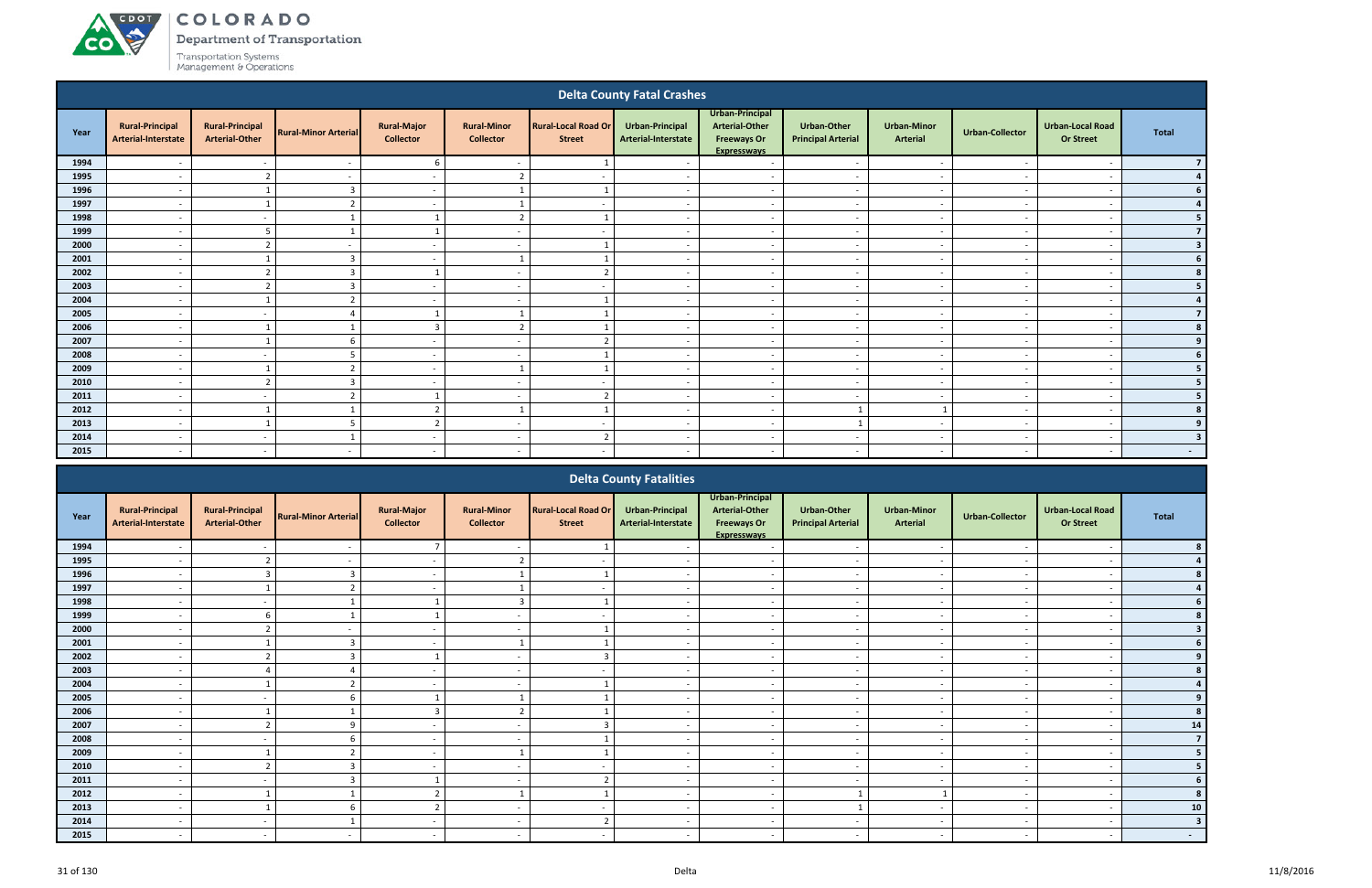# ACDOL

**CO** 

COLORADO

Department of Transportation

|          |                                               |                                                 |                             |                                        |                                        |                                             | <b>Delta County Fatal Crashes</b>             |                                                                                      |                                                 |                                |                             |                                             |                         |
|----------|-----------------------------------------------|-------------------------------------------------|-----------------------------|----------------------------------------|----------------------------------------|---------------------------------------------|-----------------------------------------------|--------------------------------------------------------------------------------------|-------------------------------------------------|--------------------------------|-----------------------------|---------------------------------------------|-------------------------|
| Year     | <b>Rural-Principal</b><br>Arterial-Interstate | <b>Rural-Principal</b><br><b>Arterial-Other</b> | <b>Rural-Minor Arterial</b> | <b>Rural-Major</b><br><b>Collector</b> | <b>Rural-Minor</b><br><b>Collector</b> | <b>Rural-Local Road Or</b><br><b>Street</b> | <b>Urban-Principal</b><br>Arterial-Interstate | Urban-Principal<br><b>Arterial-Other</b><br><b>Freeways Or</b><br><b>Expressways</b> | <b>Urban-Other</b><br><b>Principal Arterial</b> | <b>Urban-Minor</b><br>Arterial | <b>Urban-Collector</b>      | <b>Urban-Local Road</b><br><b>Or Street</b> | <b>Total</b>            |
| 1994     | $\overline{\phantom{a}}$                      | $\overline{\phantom{a}}$                        | $\overline{\phantom{a}}$    | -6                                     | $\overline{a}$                         |                                             | $\sim$                                        | $\sim$                                                                               | $\overline{a}$                                  | $\overline{\phantom{a}}$       | $\overline{\phantom{a}}$    | $\overline{\phantom{a}}$                    | $\overline{7}$          |
| 1995     |                                               | $\overline{2}$                                  | $\overline{\phantom{a}}$    | $\sim$                                 | $\overline{2}$                         | $\overline{\phantom{a}}$                    | $\overline{\phantom{a}}$                      | $\overline{\phantom{a}}$                                                             | $\overline{\phantom{a}}$                        | $\overline{\phantom{a}}$       | $\sim$                      | $\overline{\phantom{a}}$                    |                         |
| 1996     |                                               |                                                 | $\overline{3}$              | $\overline{\phantom{a}}$               | $\mathbf{1}$                           | $\overline{1}$                              | $\overline{\phantom{a}}$                      | $\overline{\phantom{a}}$                                                             | $\overline{\phantom{a}}$                        | $\overline{a}$                 | $\overline{\phantom{a}}$    | $\overline{\phantom{a}}$                    |                         |
| 1997     |                                               |                                                 | $\overline{z}$              | $\sim$                                 |                                        | $\sim$                                      | $\overline{\phantom{a}}$                      | $\overline{\phantom{a}}$                                                             | $\overline{\phantom{a}}$                        | $\sim$                         | $\overline{\phantom{a}}$    | $\overline{\phantom{a}}$                    |                         |
| 1998     | $\overline{\phantom{a}}$                      | $\overline{a}$                                  |                             | $\overline{1}$                         | $\overline{2}$                         | 1                                           | $\overline{\phantom{a}}$                      | $\overline{\phantom{a}}$                                                             | $\overline{\phantom{a}}$                        | $\overline{\phantom{a}}$       | $\sim$                      | $\overline{\phantom{a}}$                    |                         |
| 1999     |                                               | 5                                               |                             | $\overline{1}$                         | $\overline{\phantom{a}}$               | $\overline{\phantom{a}}$                    | $\overline{\phantom{a}}$                      | $\overline{\phantom{a}}$                                                             | $\overline{\phantom{a}}$                        | $\overline{\phantom{a}}$       | $\sim$                      | $\overline{\phantom{a}}$                    |                         |
| 2000     |                                               |                                                 | $\overline{\phantom{a}}$    | $\sim$                                 | $\overline{\phantom{a}}$               |                                             | $\overline{\phantom{a}}$                      | $\overline{\phantom{a}}$                                                             | $\overline{\phantom{a}}$                        | $\sim$                         | $\overline{\phantom{a}}$    | $\overline{\phantom{a}}$                    | $\overline{\mathbf{3}}$ |
| 2001     | $\overline{\phantom{a}}$                      |                                                 | $\overline{3}$              | $\overline{\phantom{a}}$               | $\mathbf{1}$                           | $\overline{1}$                              | $\sim$                                        | $\overline{\phantom{a}}$                                                             | $\overline{a}$                                  | $\overline{\phantom{a}}$       | $\overline{\phantom{a}}$    | $\overline{\phantom{a}}$                    |                         |
| 2002     | $\overline{\phantom{a}}$                      | $\overline{2}$                                  | $\mathbf{3}$                | $\overline{1}$                         | $\overline{\phantom{a}}$               | $\overline{2}$                              | $\overline{\phantom{a}}$                      | $\sim$                                                                               | $\overline{\phantom{a}}$                        | $\sim$                         | $\overline{\phantom{a}}$    | $\overline{\phantom{a}}$                    |                         |
| 2003     |                                               |                                                 |                             | $\sim$                                 | $\overline{\phantom{a}}$               | $\overline{\phantom{a}}$                    |                                               | $\sim$                                                                               | $\overline{\phantom{a}}$                        | $\overline{\phantom{a}}$       |                             |                                             |                         |
| 2004     | $\overline{\phantom{a}}$                      | $\overline{1}$                                  | $\overline{2}$              | $\overline{\phantom{a}}$               | $\overline{\phantom{a}}$               |                                             | $\overline{\phantom{a}}$                      | $\overline{\phantom{a}}$                                                             | $\overline{\phantom{a}}$                        | $\overline{\phantom{a}}$       | $\overline{\phantom{a}}$    | $\overline{\phantom{a}}$                    |                         |
| 2005     | $\overline{\phantom{a}}$                      | $\overline{\phantom{a}}$                        |                             | $\overline{1}$                         | $\mathbf{1}$                           |                                             | $\sim$                                        | $\sim$                                                                               | $\overline{\phantom{a}}$                        | $\sim$                         | $\overline{\phantom{a}}$    | $\overline{\phantom{a}}$                    |                         |
| 2006     |                                               |                                                 |                             | $\overline{3}$                         | $\overline{2}$                         |                                             | $\overline{\phantom{a}}$                      | $\overline{\phantom{a}}$                                                             | $\overline{\phantom{a}}$                        | $\overline{\phantom{a}}$       | $\sim$                      | $\overline{\phantom{a}}$                    |                         |
| 2007     |                                               | $\mathbf{1}$                                    |                             | $\sim$                                 | $\overline{\phantom{a}}$               | $\overline{2}$                              | $\overline{a}$                                | $\sim$                                                                               | $\overline{\phantom{a}}$                        | $\overline{\phantom{a}}$       | $\sim$                      | $\overline{\phantom{a}}$                    |                         |
| 2008     |                                               | $\overline{\phantom{a}}$                        |                             | $\sim$                                 | $\overline{\phantom{a}}$               |                                             | $\overline{a}$                                | $\sim$                                                                               | $\sim$                                          | $\overline{\phantom{a}}$       | $\sim$                      | $\overline{\phantom{a}}$                    |                         |
| 2009     |                                               |                                                 |                             | $\overline{\phantom{a}}$               |                                        | - 1                                         | $\overline{\phantom{a}}$                      | $\overline{\phantom{a}}$                                                             | $\overline{\phantom{a}}$                        | $\overline{\phantom{a}}$       | $\overline{\phantom{a}}$    | $\overline{\phantom{a}}$                    |                         |
| 2010     | $\overline{\phantom{a}}$                      | $\overline{2}$                                  | $\overline{3}$              | $\overline{\phantom{a}}$               | $\overline{\phantom{a}}$               | $\overline{\phantom{a}}$                    | $\overline{\phantom{a}}$                      | $\sim$                                                                               | $\overline{a}$                                  | $\overline{\phantom{a}}$       | $\overline{a}$              | $\overline{\phantom{a}}$                    |                         |
| 2011     | $\overline{\phantom{a}}$                      | $\overline{\phantom{a}}$                        | $\overline{2}$              | $\overline{1}$                         | $\overline{a}$                         | $\overline{2}$                              | $\overline{a}$                                | $\overline{\phantom{a}}$                                                             | $\overline{\phantom{a}}$                        | $\overline{\phantom{a}}$       | $\overline{\phantom{a}}$    | $\overline{\phantom{a}}$                    |                         |
| 2012     | $\overline{\phantom{a}}$                      |                                                 |                             | $\overline{2}$                         | $\mathbf{1}$                           | - 1                                         | $\overline{\phantom{a}}$                      | $\sim$                                                                               | $\mathbf{1}$                                    | -1                             | $\overline{\phantom{a}}$    | $\overline{\phantom{a}}$                    |                         |
| 2013     | $\overline{\phantom{a}}$                      | $\mathbf{1}$                                    | 5                           | $\overline{2}$                         | $\overline{\phantom{a}}$               | $\overline{\phantom{a}}$                    | $\overline{\phantom{a}}$                      | $\overline{a}$                                                                       | $\mathbf{1}$                                    | $\overline{\phantom{a}}$       | $\overline{\phantom{a}}$    | $\overline{\phantom{a}}$                    |                         |
| 2014     | $\overline{\phantom{a}}$                      | $\overline{\phantom{a}}$                        |                             | $\sim$                                 | $\overline{a}$                         | $\overline{2}$                              | $\overline{a}$                                | $\overline{\phantom{a}}$                                                             | $\overline{a}$                                  | $\overline{\phantom{a}}$       | $\overline{\phantom{a}}$    | $\overline{\phantom{a}}$                    | -3                      |
| 2015     | $\overline{\phantom{a}}$                      | $\overline{\phantom{a}}$                        | $\overline{\phantom{a}}$    | $\sim$                                 | $\overline{\phantom{a}}$               | $\overline{\phantom{a}}$                    | $\overline{\phantom{a}}$                      | $\overline{\phantom{a}}$                                                             | $\sim$                                          | $\overline{\phantom{a}}$       | $\sim$                      | $\overline{\phantom{a}}$                    | $\sim$                  |
|          |                                               |                                                 |                             |                                        |                                        |                                             | <b>Delta County Fatalities</b>                |                                                                                      |                                                 |                                |                             |                                             |                         |
| $V = -V$ | <b>Rural-Principal</b>                        | <b>Rural-Principal</b>                          | Dunal Milang Antonial       | <b>Rural-Major</b>                     | <b>Rural-Minor</b>                     | <b>Rural-Local Road Or</b>                  | Urban-Principal                               | Urban-Principal<br><b>Arterial-Other</b>                                             | <b>Urban-Other</b>                              | <b>Urban-Minor</b>             | <b>University Callenton</b> | Urban-Local Road                            | <b>TAALL</b>            |

|      |                                               |                                                 |                             |                                        |                                        |                                             | <b>PERA COMING I AGUNICS</b>           |                                                                                      |                                                 |                                       |                          |                                      |                         |
|------|-----------------------------------------------|-------------------------------------------------|-----------------------------|----------------------------------------|----------------------------------------|---------------------------------------------|----------------------------------------|--------------------------------------------------------------------------------------|-------------------------------------------------|---------------------------------------|--------------------------|--------------------------------------|-------------------------|
| Year | <b>Rural-Principal</b><br>Arterial-Interstate | <b>Rural-Principal</b><br><b>Arterial-Other</b> | <b>Rural-Minor Arterial</b> | <b>Rural-Major</b><br><b>Collector</b> | <b>Rural-Minor</b><br><b>Collector</b> | <b>Rural-Local Road Or</b><br><b>Street</b> | Urban-Principal<br>Arterial-Interstate | Urban-Principal<br><b>Arterial-Other</b><br><b>Freeways Or</b><br><b>Expressways</b> | <b>Urban-Other</b><br><b>Principal Arterial</b> | <b>Urban-Minor</b><br><b>Arterial</b> | <b>Urban-Collector</b>   | <b>Urban-Local Road</b><br>Or Street | Total                   |
| 1994 |                                               |                                                 |                             |                                        |                                        |                                             |                                        |                                                                                      |                                                 |                                       |                          |                                      |                         |
| 1995 |                                               |                                                 |                             | $\sim$                                 |                                        |                                             |                                        |                                                                                      |                                                 |                                       |                          |                                      |                         |
| 1996 |                                               |                                                 |                             | $\sim$                                 |                                        |                                             |                                        | $\overline{\phantom{a}}$                                                             | $\overline{\phantom{a}}$                        |                                       |                          |                                      |                         |
| 1997 | $\overline{\phantom{0}}$                      |                                                 |                             | $\sim$                                 |                                        | $\overline{\phantom{a}}$                    | $\overline{\phantom{a}}$               | $\overline{\phantom{a}}$                                                             | $\sim$                                          | $\sim$                                |                          | $\overline{\phantom{a}}$             |                         |
| 1998 |                                               |                                                 |                             |                                        | $\overline{3}$                         |                                             |                                        | $\overline{\phantom{a}}$                                                             | $\overline{\phantom{a}}$                        | $\overline{\phantom{a}}$              |                          | $\overline{\phantom{a}}$             |                         |
| 1999 |                                               |                                                 |                             |                                        |                                        |                                             |                                        | $\overline{\phantom{0}}$                                                             | $\overline{\phantom{a}}$                        |                                       |                          |                                      |                         |
| 2000 |                                               |                                                 |                             | $\sim$                                 | $\overline{\phantom{a}}$               |                                             |                                        | $\overline{\phantom{a}}$                                                             | $\overline{\phantom{a}}$                        | $\overline{\phantom{a}}$              |                          | $\overline{\phantom{a}}$             |                         |
| 2001 |                                               |                                                 |                             |                                        |                                        |                                             |                                        |                                                                                      |                                                 |                                       |                          |                                      |                         |
| 2002 |                                               |                                                 |                             |                                        |                                        |                                             |                                        | $\overline{\phantom{a}}$                                                             |                                                 |                                       |                          | $\overline{\phantom{0}}$             |                         |
| 2003 |                                               |                                                 |                             | $\sim$                                 | $\overline{\phantom{a}}$               | $\overline{\phantom{0}}$                    |                                        | $\sim$                                                                               | $\blacksquare$                                  | $\overline{\phantom{a}}$              |                          | $\overline{\phantom{a}}$             |                         |
| 2004 | $\overline{\phantom{0}}$                      |                                                 |                             | $\sim$                                 | $\overline{a}$                         |                                             | $\overline{\phantom{a}}$               | $\overline{\phantom{a}}$                                                             | $\overline{\phantom{a}}$                        | $\overline{\phantom{a}}$              | $\overline{\phantom{a}}$ | $\overline{\phantom{a}}$             |                         |
| 2005 |                                               |                                                 |                             |                                        | $\overline{\phantom{a}}$               |                                             |                                        | $\overline{\phantom{a}}$                                                             | $\overline{\phantom{a}}$                        |                                       |                          | $\overline{\phantom{a}}$             |                         |
| 2006 |                                               |                                                 |                             |                                        |                                        |                                             |                                        | $\overline{\phantom{a}}$                                                             | $\overline{\phantom{a}}$                        | $\overline{\phantom{a}}$              |                          | $\overline{\phantom{a}}$             |                         |
| 2007 |                                               |                                                 | $\Omega$                    | $\sim$                                 |                                        |                                             |                                        | $\overline{\phantom{a}}$                                                             | $\overline{\phantom{a}}$                        | $\overline{\phantom{a}}$              |                          | $\overline{\phantom{a}}$             | 14                      |
| 2008 |                                               |                                                 |                             |                                        |                                        |                                             |                                        |                                                                                      |                                                 |                                       |                          |                                      | $\overline{ }$          |
| 2009 |                                               |                                                 |                             | $\sim$                                 |                                        |                                             |                                        | $\overline{\phantom{a}}$                                                             | $\overline{\phantom{a}}$                        | $\overline{\phantom{a}}$              |                          | $\overline{\phantom{a}}$             |                         |
| 2010 | $\overline{\phantom{0}}$                      |                                                 |                             | $\sim$                                 | $\overline{\phantom{a}}$               |                                             |                                        | $\sim$                                                                               | $\overline{\phantom{a}}$                        |                                       |                          |                                      |                         |
| 2011 |                                               |                                                 |                             |                                        |                                        | ຳ                                           |                                        | $\overline{\phantom{a}}$                                                             |                                                 |                                       |                          | $\overline{\phantom{a}}$             |                         |
| 2012 |                                               |                                                 |                             |                                        |                                        |                                             |                                        |                                                                                      |                                                 |                                       |                          |                                      |                         |
| 2013 |                                               |                                                 |                             |                                        | $\overline{\phantom{a}}$               | $\overline{\phantom{a}}$                    |                                        |                                                                                      |                                                 |                                       |                          |                                      | ${\bf 10}$              |
| 2014 |                                               |                                                 |                             |                                        |                                        | ຳ                                           |                                        |                                                                                      |                                                 |                                       |                          |                                      | $\overline{\mathbf{3}}$ |
| 2015 |                                               |                                                 |                             |                                        |                                        |                                             |                                        |                                                                                      |                                                 |                                       |                          |                                      | $\sim$                  |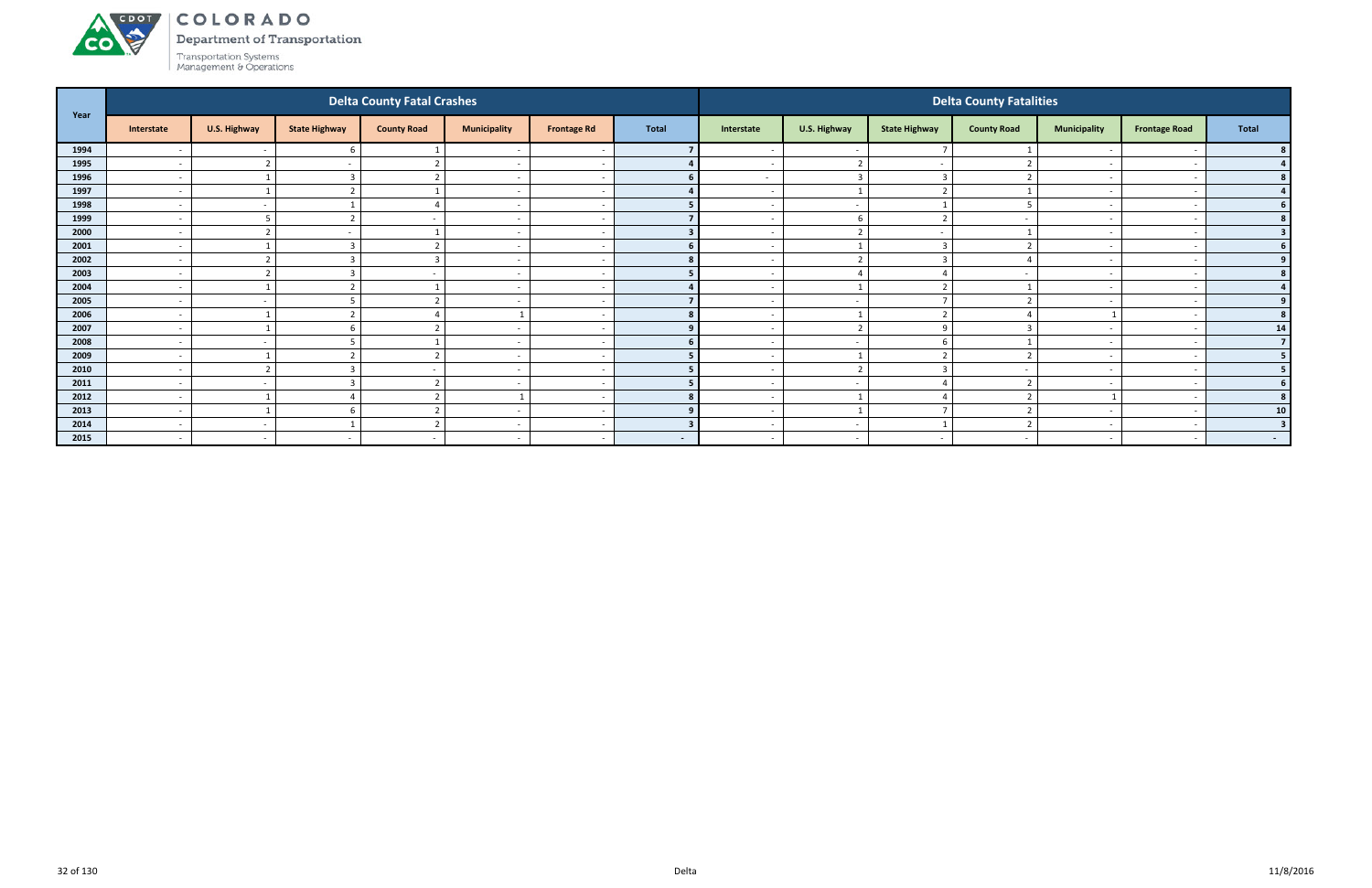#### ACDOL COLORADO

**CO** 

Department of Transportation

|      |                          |              |                      | <b>Delta County Fatal Crashes</b> |                          |                    |              |                          |                          |                      | <b>Delta County Fatalities</b> |                          |                      |                         |
|------|--------------------------|--------------|----------------------|-----------------------------------|--------------------------|--------------------|--------------|--------------------------|--------------------------|----------------------|--------------------------------|--------------------------|----------------------|-------------------------|
| Year | Interstate               | U.S. Highway | <b>State Highway</b> | <b>County Road</b>                | <b>Municipality</b>      | <b>Frontage Rd</b> | <b>Total</b> | Interstate               | U.S. Highway             | <b>State Highway</b> | <b>County Road</b>             | <b>Municipality</b>      | <b>Frontage Road</b> | <b>Total</b>            |
| 1994 | $\overline{\phantom{a}}$ | $\sim$       | 6                    | $\mathbf{1}$                      | $\overline{\phantom{a}}$ |                    |              | $\overline{\phantom{a}}$ | $\sim$                   |                      |                                |                          |                      |                         |
| 1995 | $\overline{\phantom{a}}$ | ຳ            |                      | $\mathbf{\overline{a}}$           | $\overline{\phantom{a}}$ |                    |              |                          | $\overline{2}$           |                      |                                |                          |                      |                         |
| 1996 | $\sim$                   |              | $\mathbf{R}$         | $\mathcal{L}$                     | $\sim$                   |                    |              | $\sim$ $-$               | $\overline{\mathbf{3}}$  | -3                   |                                | $\overline{\phantom{0}}$ |                      | 8 <sup>1</sup>          |
| 1997 | $\overline{\phantom{a}}$ | $\mathbf{1}$ |                      |                                   | $\overline{\phantom{a}}$ |                    |              | $\sim$                   | $\overline{1}$           | $\mathbf{\Omega}$    |                                | $\overline{\phantom{0}}$ |                      |                         |
| 1998 | $\overline{\phantom{a}}$ | $\sim$       |                      |                                   | $\overline{\phantom{a}}$ |                    |              |                          | $\overline{\phantom{a}}$ |                      |                                | $\overline{\phantom{0}}$ |                      |                         |
| 1999 | $\overline{\phantom{a}}$ | 5            | $\overline{ }$       |                                   | $\overline{\phantom{a}}$ |                    |              | $\overline{\phantom{0}}$ | 6                        | $\mathbf{\Omega}$    |                                | $\overline{\phantom{0}}$ |                      |                         |
| 2000 | $\overline{\phantom{a}}$ |              |                      |                                   | $\overline{\phantom{a}}$ |                    |              |                          |                          |                      |                                |                          |                      | $\overline{\mathbf{3}}$ |
| 2001 | $\sim$                   |              |                      | $\mathcal{L}$                     | $\overline{\phantom{a}}$ |                    |              | $\sim$                   | $\overline{\phantom{0}}$ | $\overline{3}$       |                                | $\overline{\phantom{0}}$ |                      | <b>6</b>                |
| 2002 | $\overline{\phantom{a}}$ | ຳ            | $\mathbf{r}$         | $\overline{3}$                    | $\overline{\phantom{a}}$ |                    |              | $\sim$                   | $\overline{2}$           | $\overline{3}$       |                                |                          |                      |                         |
| 2003 | $\overline{\phantom{a}}$ |              |                      |                                   | $\overline{\phantom{0}}$ |                    |              | $\overline{\phantom{0}}$ | $\Delta$                 |                      |                                | $\overline{\phantom{0}}$ |                      |                         |
| 2004 | $\overline{\phantom{a}}$ |              | $\overline{ }$       |                                   | $\overline{\phantom{a}}$ |                    |              | $\overline{\phantom{0}}$ |                          | $\mathbf{\Omega}$    |                                | $\overline{\phantom{0}}$ |                      |                         |
| 2005 | $\overline{\phantom{a}}$ | $\sim$       |                      | ຳ                                 | $\overline{\phantom{a}}$ |                    |              |                          | $\overline{\phantom{a}}$ |                      |                                |                          |                      |                         |
| 2006 | $\overline{\phantom{a}}$ |              |                      |                                   |                          |                    |              | $\sim$                   | $\overline{\phantom{0}}$ | $\mathbf{\Omega}$    |                                |                          |                      |                         |
| 2007 | $\overline{\phantom{a}}$ | $\mathbf{1}$ |                      |                                   | $\overline{\phantom{a}}$ |                    |              |                          | $\overline{2}$           | q                    |                                |                          |                      | 14                      |
| 2008 | $\overline{\phantom{a}}$ | $\sim$       |                      |                                   | $\overline{\phantom{a}}$ |                    |              | $\overline{\phantom{0}}$ | $\sim$                   | h                    |                                | $\overline{\phantom{0}}$ |                      | $\overline{7}$          |
| 2009 | $\overline{\phantom{a}}$ |              |                      |                                   | $\overline{\phantom{a}}$ |                    |              |                          |                          |                      |                                |                          |                      |                         |
| 2010 | $\overline{\phantom{a}}$ | ຳ            |                      |                                   | $\overline{\phantom{a}}$ |                    |              | $\overline{\phantom{a}}$ | $\mathbf{a}$             | 3                    |                                |                          |                      | 5 <sub>1</sub>          |
| 2011 | $\overline{\phantom{a}}$ | $\sim$       |                      | $\overline{2}$                    | $\sim$                   |                    |              | $\sim$                   | $\sim$                   |                      |                                | $\sim$                   |                      | 6                       |
| 2012 | $\overline{\phantom{a}}$ |              |                      |                                   |                          |                    |              | $\overline{\phantom{0}}$ | $\overline{1}$           |                      |                                |                          |                      | 8 <sup>1</sup>          |
| 2013 | $\overline{\phantom{a}}$ |              |                      |                                   | $\overline{\phantom{a}}$ |                    |              | $\overline{\phantom{a}}$ | $\overline{\phantom{0}}$ |                      |                                |                          |                      | 10 <sup>1</sup>         |
| 2014 | $\overline{\phantom{a}}$ | $\sim$       |                      | $\overline{2}$                    | $\overline{\phantom{a}}$ |                    |              | $\overline{\phantom{0}}$ | $\overline{\phantom{a}}$ |                      |                                | $\overline{\phantom{0}}$ |                      | $\overline{\mathbf{3}}$ |
| 2015 | $\sim$                   | $\sim$       |                      |                                   | $\overline{\phantom{a}}$ |                    | $\sim$       | $\sim$                   | $\sim$                   | $\sim$               |                                | $\sim$                   |                      | $\sim$ 100 $\mu$        |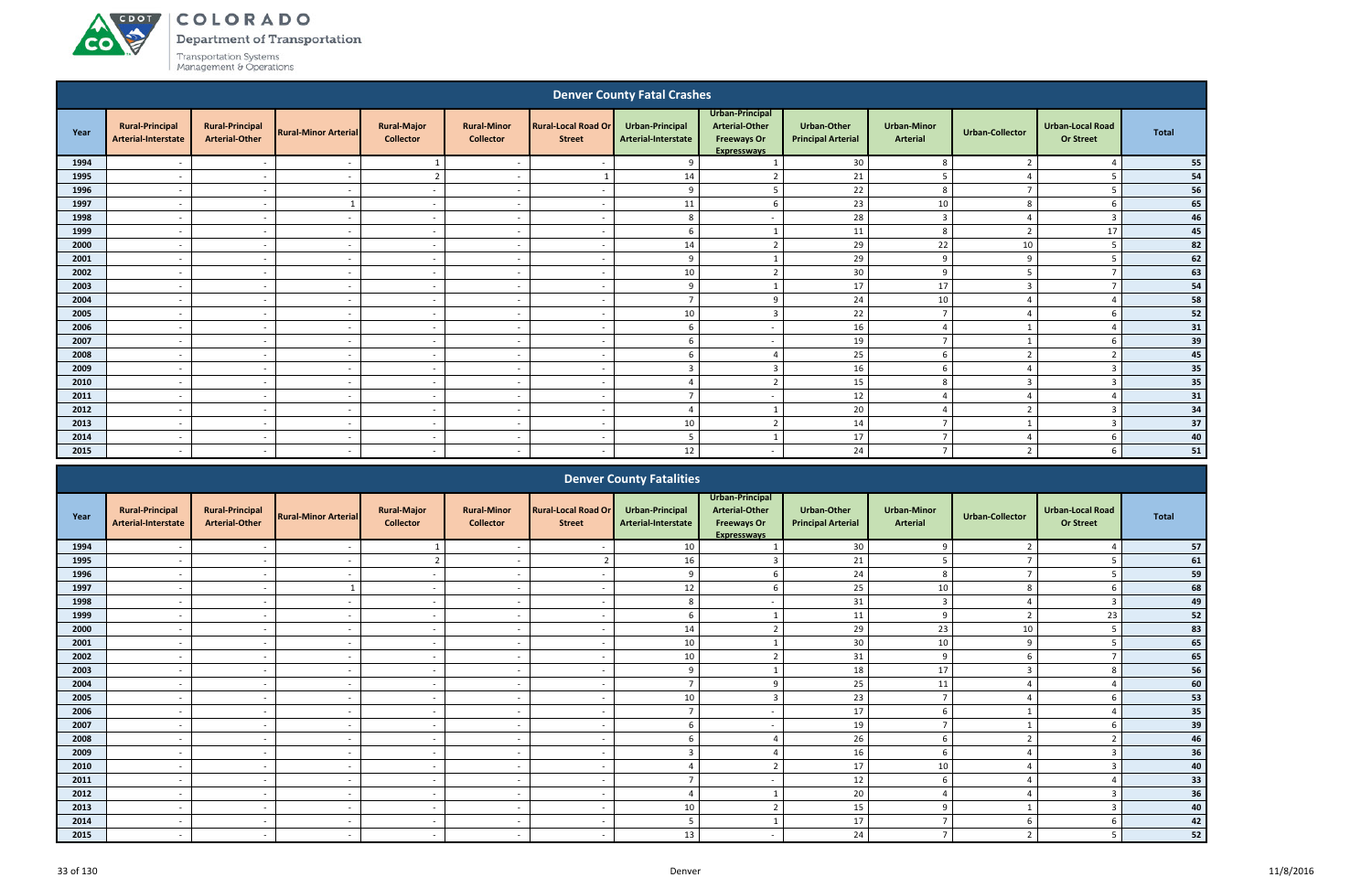# ACDOL **CO**

COLORADO

Department of Transportation

|      | <b>Denver County Fatal Crashes</b>                                                                                                           |                                                 |                             |                                        |                                        |                                             |                                               |                                                                                      |                                                 |                                       |                        |                                             |              |  |
|------|----------------------------------------------------------------------------------------------------------------------------------------------|-------------------------------------------------|-----------------------------|----------------------------------------|----------------------------------------|---------------------------------------------|-----------------------------------------------|--------------------------------------------------------------------------------------|-------------------------------------------------|---------------------------------------|------------------------|---------------------------------------------|--------------|--|
| Year | <b>Rural-Principal</b><br><b>Arterial-Interstate</b>                                                                                         | <b>Rural-Principal</b><br><b>Arterial-Other</b> | <b>Rural-Minor Arterial</b> | <b>Rural-Major</b><br><b>Collector</b> | <b>Rural-Minor</b><br><b>Collector</b> | <b>Rural-Local Road Or</b><br><b>Street</b> | <b>Urban-Principal</b><br>Arterial-Interstate | Urban-Principal<br><b>Arterial-Other</b><br><b>Freeways Or</b><br><b>Expresswavs</b> | <b>Urban-Other</b><br><b>Principal Arterial</b> | <b>Urban-Minor</b><br><b>Arterial</b> | <b>Urban-Collector</b> | <b>Urban-Local Road</b><br><b>Or Street</b> | <b>Total</b> |  |
| 1994 |                                                                                                                                              | $\overline{\phantom{a}}$                        |                             | $\mathbf{1}$                           | - -                                    |                                             | 9                                             |                                                                                      | 30                                              | 8                                     | $\overline{2}$         |                                             | 55           |  |
| 1995 |                                                                                                                                              | $\overline{\phantom{0}}$                        |                             | $\overline{2}$                         | $\overline{\phantom{a}}$               |                                             | 14                                            | ຳ                                                                                    | 21                                              |                                       |                        |                                             | 54           |  |
| 1996 |                                                                                                                                              | $\overline{\phantom{a}}$                        | . —                         | $\sim$                                 | $\overline{\phantom{a}}$               | $\overline{\phantom{a}}$                    | 9                                             | -5                                                                                   | 22                                              | 8                                     | <u>т</u>               |                                             | 56<br>65     |  |
| 1997 | 23<br>11<br>10<br>8<br>6<br>$\sim$<br>$\sim$<br>$\overline{\phantom{a}}$<br>$\overline{\phantom{a}}$                                         |                                                 |                             |                                        |                                        |                                             |                                               |                                                                                      |                                                 |                                       |                        |                                             |              |  |
| 1998 | 28<br>8<br>3<br>-3<br>$\overline{\phantom{a}}$<br>$\sim$<br>$\overline{\phantom{a}}$<br>$\overline{\phantom{a}}$<br>$\overline{\phantom{a}}$ |                                                 |                             |                                        |                                        |                                             |                                               |                                                                                      |                                                 |                                       |                        |                                             |              |  |
| 1999 | 17<br>6<br>11<br>8<br>$\overline{2}$<br>$\sim$<br>$\sim$<br>$\overline{\phantom{a}}$<br>$\overline{\phantom{a}}$                             |                                                 |                             |                                        |                                        |                                             |                                               |                                                                                      |                                                 |                                       |                        |                                             |              |  |
| 2000 | 14<br>29<br>22<br>10<br>$\overline{2}$<br>-5<br>$\sim$<br>$\sim$<br>$\overline{a}$<br>$\overline{\phantom{a}}$<br>$\sim$                     |                                                 |                             |                                        |                                        |                                             |                                               |                                                                                      |                                                 |                                       |                        |                                             | 82           |  |
| 2001 |                                                                                                                                              | $\overline{\phantom{a}}$                        | $\overline{\phantom{a}}$    | $\sim$                                 | $\overline{\phantom{a}}$               | $\overline{\phantom{a}}$                    | 9                                             |                                                                                      | 29                                              | 9                                     | q                      |                                             | 62           |  |
| 2002 |                                                                                                                                              | $\sim$                                          | $\sim$                      | $\sim$                                 | $\overline{a}$                         | $\sim$                                      | 10 <sup>1</sup>                               | $\overline{2}$                                                                       | 30 <sup>°</sup>                                 | 9                                     | 5                      | $\overline{7}$                              | 63           |  |
| 2003 |                                                                                                                                              | $\sim$                                          | $\sim$                      | $\sim$                                 | $\overline{\phantom{0}}$               | $\overline{\phantom{a}}$                    | 9                                             |                                                                                      | 17                                              | 17                                    | $\overline{3}$         | $\mathbf{z}$                                | 54           |  |
| 2004 |                                                                                                                                              | $\sim$                                          | $\sim$                      | $\sim$                                 | $\overline{a}$                         | $\overline{\phantom{a}}$                    | $\overline{7}$                                | 9                                                                                    | 24                                              | 10                                    |                        | $\Delta$                                    | 58           |  |
| 2005 | $\overline{\phantom{0}}$                                                                                                                     | $\sim$                                          | $\sim$                      | $\sim$                                 | $\overline{\phantom{a}}$               | $\overline{\phantom{a}}$                    | 10 <sup>1</sup>                               | $\overline{3}$                                                                       | 22                                              | $\overline{z}$                        | $\Delta$               |                                             | ${\bf 52}$   |  |
| 2006 | $\overline{\phantom{0}}$                                                                                                                     | $\overline{\phantom{a}}$                        | $\sim$                      | $\sim$                                 | $\overline{\phantom{a}}$               | $\overline{\phantom{0}}$                    | 6                                             | $\sim$                                                                               | 16                                              | $\overline{4}$                        |                        | $\Lambda$                                   | 31           |  |
| 2007 |                                                                                                                                              | $\overline{\phantom{a}}$                        | $\sim$                      | $\sim$                                 | $\overline{\phantom{a}}$               | $\overline{\phantom{a}}$                    | 6                                             | $\sim$                                                                               | 19                                              | $\overline{z}$                        |                        |                                             | 39           |  |
| 2008 | $\overline{\phantom{0}}$                                                                                                                     | $\sim$                                          | $\sim$                      | $\sim$                                 | $\sim$                                 | $\overline{\phantom{a}}$                    | 6                                             | $\overline{4}$                                                                       | 25                                              | 6                                     | $\overline{2}$         | $\overline{2}$                              | 45           |  |
| 2009 | $\overline{\phantom{0}}$                                                                                                                     | $\overline{\phantom{a}}$                        | $\sim$                      | $\sim$                                 | $\overline{\phantom{a}}$               | $\overline{\phantom{a}}$                    | 3                                             | $\overline{3}$                                                                       | 16                                              | 6                                     | $\Delta$               | $\overline{\mathbf{3}}$                     | 35           |  |
| 2010 | $\overline{\phantom{a}}$                                                                                                                     | $\sim$                                          | $\sim$                      | $\sim$                                 | $\overline{a}$                         | $\overline{\phantom{a}}$                    | $\Delta$                                      | $\overline{2}$                                                                       | 15                                              | 8                                     | $\overline{3}$         | $\overline{3}$                              | 35           |  |
| 2011 |                                                                                                                                              | $\sim$                                          | $\overline{\phantom{a}}$    | $\sim$                                 | $\overline{\phantom{a}}$               | $\overline{\phantom{a}}$                    | $\overline{7}$                                | $\overline{a}$                                                                       | 12                                              | $\Delta$                              | Δ                      |                                             | 31           |  |
| 2012 | $\sim$                                                                                                                                       | $\sim$                                          | $\sim$                      | $\sim$                                 | $\sim$                                 | $\overline{\phantom{a}}$                    | $\Delta$                                      |                                                                                      | 20                                              | $\overline{4}$                        | $\overline{2}$         | $\overline{3}$                              | 34           |  |
| 2013 |                                                                                                                                              | $\sim$                                          | $\sim$                      | $\sim$                                 | $\overline{\phantom{a}}$               | $\overline{\phantom{a}}$                    | 10                                            | $\overline{2}$                                                                       | 14                                              | $\overline{ }$                        |                        | $\mathbf{3}$                                | 37           |  |
| 2014 |                                                                                                                                              | $\sim$                                          | $\sim$                      | $\sim$                                 | $\overline{a}$                         | $\overline{\phantom{a}}$                    | 5                                             |                                                                                      | 17                                              | $\overline{7}$                        | $\Delta$               | h                                           | 40           |  |
| 2015 | $\overline{\phantom{a}}$                                                                                                                     | $\sim$                                          | $\sim$                      | $\sim$                                 | $\overline{a}$                         | $\overline{\phantom{a}}$                    | 12                                            | $\overline{a}$                                                                       | 24                                              | $\overline{z}$                        | $\overline{2}$         |                                             | 51           |  |
|      |                                                                                                                                              |                                                 |                             |                                        |                                        |                                             | <b>Denver County Fatalities</b>               |                                                                                      |                                                 |                                       |                        |                                             |              |  |

|      |                                               |                                                 |                             |                                        |                                        |                                             | <b>Denver County Fatalities</b>        |                                                                                      |                                                 |                                       |                        |                                             |       |
|------|-----------------------------------------------|-------------------------------------------------|-----------------------------|----------------------------------------|----------------------------------------|---------------------------------------------|----------------------------------------|--------------------------------------------------------------------------------------|-------------------------------------------------|---------------------------------------|------------------------|---------------------------------------------|-------|
| Year | <b>Rural-Principal</b><br>Arterial-Interstate | <b>Rural-Principal</b><br><b>Arterial-Other</b> | <b>Rural-Minor Arterial</b> | <b>Rural-Major</b><br><b>Collector</b> | <b>Rural-Minor</b><br><b>Collector</b> | <b>Rural-Local Road Or</b><br><b>Street</b> | Urban-Principal<br>Arterial-Interstate | Urban-Principal<br><b>Arterial-Other</b><br><b>Freeways Or</b><br><b>Expressways</b> | <b>Urban-Other</b><br><b>Principal Arterial</b> | <b>Urban-Minor</b><br><b>Arterial</b> | <b>Urban-Collector</b> | <b>Urban-Local Road</b><br><b>Or Street</b> | Total |
| 1994 |                                               |                                                 |                             |                                        | $\overline{\phantom{a}}$               |                                             | 10 <sup>1</sup>                        |                                                                                      | 30                                              |                                       |                        |                                             | 57    |
| 1995 | $\overline{\phantom{0}}$                      | $\sim$                                          |                             | $\overline{2}$                         | $\overline{\phantom{a}}$               | $\mathbf{\cdot}$                            | 16                                     |                                                                                      | 21                                              |                                       | $\overline{ }$         |                                             | 61    |
| 1996 |                                               |                                                 |                             | $\sim$                                 |                                        |                                             | $\mathbf{q}$                           |                                                                                      | 24                                              |                                       | $\overline{ }$         |                                             | 59    |
| 1997 |                                               |                                                 |                             | $\sim$                                 | $\overline{\phantom{0}}$               |                                             | 12                                     |                                                                                      | 25                                              | 10                                    |                        |                                             | 68    |
| 1998 |                                               |                                                 |                             | $\sim$                                 |                                        |                                             | 8                                      |                                                                                      | 31                                              | 3                                     |                        |                                             | 49    |
| 1999 | $\overline{\phantom{0}}$                      | $\sim$                                          |                             | $\sim$                                 | $\overline{\phantom{0}}$               |                                             |                                        |                                                                                      | 11                                              | $\alpha$                              | $\overline{2}$         | 23                                          | 52    |
| 2000 |                                               |                                                 |                             | $\sim$                                 |                                        | $\overline{\phantom{a}}$                    | 14                                     |                                                                                      | 29                                              | 23                                    | 10                     |                                             | 83    |
| 2001 |                                               |                                                 |                             | $\sim$                                 |                                        |                                             | 10                                     |                                                                                      | 30                                              | 10                                    | 9                      |                                             | 65    |
| 2002 |                                               |                                                 |                             | $\sim$                                 | $\overline{\phantom{0}}$               | $\sim$                                      | 10                                     |                                                                                      | 31                                              | q                                     |                        |                                             | 65    |
| 2003 |                                               |                                                 |                             | $\sim$                                 |                                        |                                             |                                        |                                                                                      | 18                                              | 17                                    |                        |                                             | 56    |
| 2004 | $\overline{\phantom{0}}$                      | $\sim$                                          | $\overline{a}$              | $\sim$                                 | $\overline{\phantom{0}}$               |                                             |                                        |                                                                                      | 25                                              | 11                                    |                        |                                             | 60    |
| 2005 |                                               |                                                 |                             | $\sim$                                 |                                        |                                             | 10                                     |                                                                                      | 23                                              | $\overline{ }$                        |                        |                                             | 53    |
| 2006 |                                               | $\sim$                                          |                             | $\sim$                                 | $\overline{\phantom{0}}$               | $\overline{\phantom{a}}$                    |                                        | $\overline{\phantom{0}}$                                                             | 17                                              | 6                                     |                        |                                             | 35    |
| 2007 |                                               |                                                 |                             | $\sim$                                 |                                        |                                             |                                        |                                                                                      | 19                                              |                                       |                        |                                             | 39    |
| 2008 |                                               |                                                 |                             | $\sim$                                 |                                        |                                             |                                        |                                                                                      | 26                                              |                                       |                        |                                             | 46    |
| 2009 | $\overline{\phantom{0}}$                      | $\sim$                                          | $\sim$                      | $\sim$                                 | $\overline{\phantom{a}}$               | $\sim$                                      |                                        |                                                                                      | 16                                              |                                       |                        |                                             | 36    |
| 2010 |                                               |                                                 |                             | $\sim$                                 |                                        |                                             |                                        |                                                                                      | 17                                              | 10                                    |                        |                                             | 40    |
| 2011 |                                               |                                                 |                             | $\sim$                                 |                                        |                                             |                                        |                                                                                      | 12                                              | 6                                     |                        |                                             | 33    |
| 2012 |                                               |                                                 |                             | $\sim$                                 |                                        |                                             |                                        |                                                                                      | 20                                              |                                       |                        |                                             | 36    |
| 2013 |                                               |                                                 |                             | $\sim$                                 |                                        |                                             | 10                                     |                                                                                      | 15                                              | $\Omega$                              |                        |                                             | 40    |
| 2014 | $\overline{\phantom{0}}$                      | $\sim$                                          |                             | $\sim$                                 | $\overline{\phantom{0}}$               | $\sim$                                      |                                        |                                                                                      | 17                                              |                                       | 6                      |                                             | 42    |
| 2015 |                                               |                                                 |                             |                                        |                                        |                                             | 13                                     |                                                                                      | 24                                              | $\overline{z}$                        | $\mathcal{L}$          |                                             | 52    |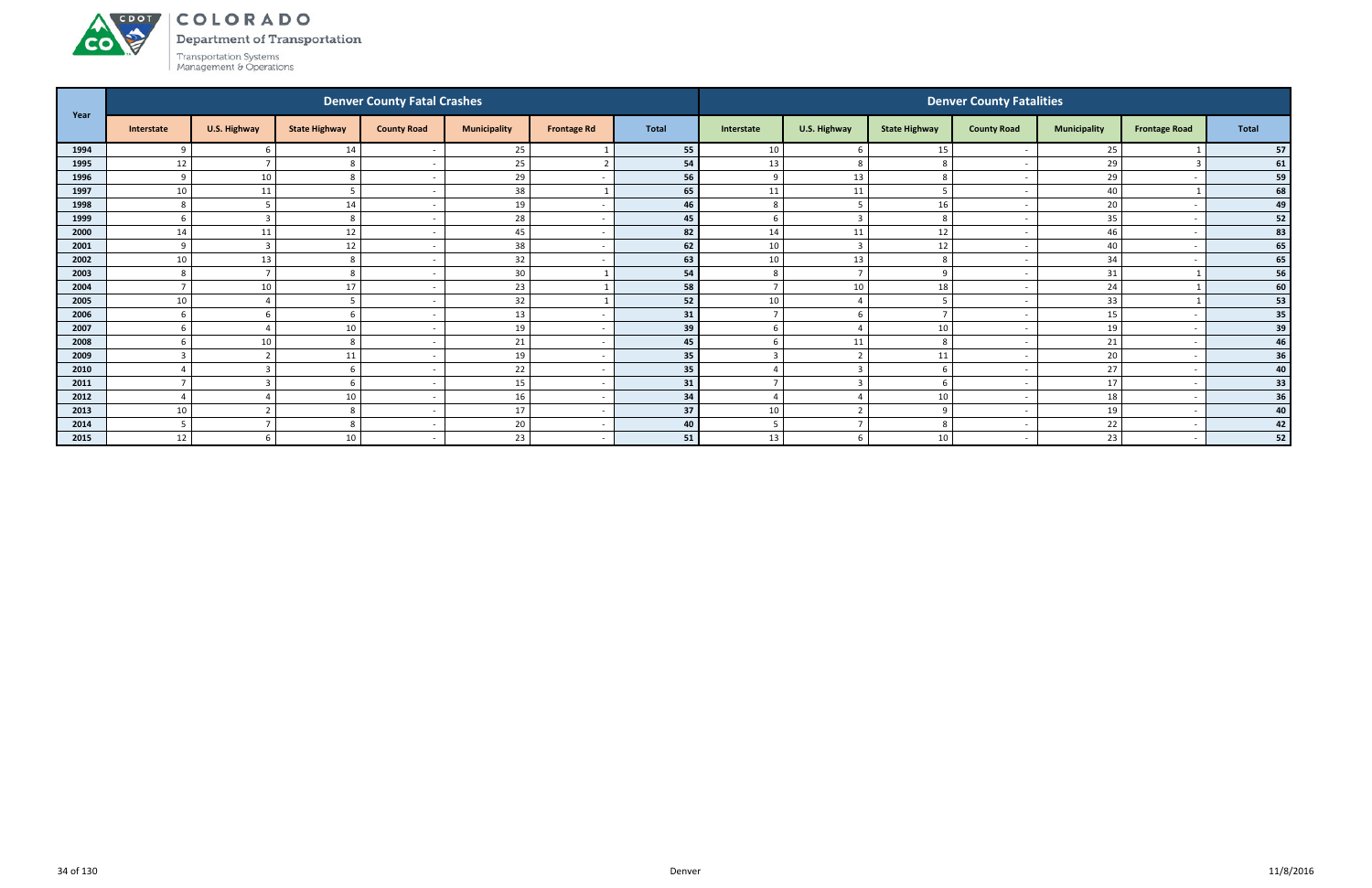Department of Transportation



ACDOT

|      |              |                     |                      | <b>Denver County Fatal Crashes</b> |                     |                    |              |                |                          |                      | <b>Denver County Fatalities</b> |                     |                          |       |
|------|--------------|---------------------|----------------------|------------------------------------|---------------------|--------------------|--------------|----------------|--------------------------|----------------------|---------------------------------|---------------------|--------------------------|-------|
| Year | Interstate   | <b>U.S. Highway</b> | <b>State Highway</b> | <b>County Road</b>                 | <b>Municipality</b> | <b>Frontage Rd</b> | <b>Total</b> | Interstate     | U.S. Highway             | <b>State Highway</b> | <b>County Road</b>              | <b>Municipality</b> | <b>Frontage Road</b>     | Total |
| 1994 | $\Omega$     |                     | 14                   |                                    | 25                  |                    | 55           | 10             | - 6                      | 15                   |                                 | 25                  |                          | 57    |
| 1995 | 12           |                     |                      |                                    | 25                  |                    | 54           | 13             | 8                        | 8                    |                                 | 29                  |                          | 61    |
| 1996 | $\mathsf{q}$ | 10                  |                      | $\sim$                             | 29                  |                    | 56           | 9              | 13                       | 8                    | $\overline{\phantom{a}}$        | 29                  |                          | 59    |
| 1997 | 10           | 11                  |                      |                                    | 38                  |                    | 65           | 11             | 11                       |                      |                                 | 40                  |                          | 68    |
| 1998 | 8            | .5                  | 14                   |                                    | 19                  |                    | 46           | 8              | 5                        | 16                   |                                 | 20                  |                          | 49    |
| 1999 | 6            | -3                  | 8                    |                                    | 28                  |                    | 45           | 6              | $\overline{3}$           | 8                    |                                 | 35                  |                          | 52    |
| 2000 | 14           | 11                  | 12                   |                                    | 45                  |                    | 82           | 14             | 11                       | 12                   |                                 | 46                  |                          | 83    |
| 2001 | $\mathbf{q}$ | 3                   | 12                   | $\sim$                             | 38                  |                    | 62           | 10             | $\overline{\mathbf{3}}$  | 12                   | $\overline{\phantom{a}}$        | 40                  |                          | 65    |
| 2002 | 10           | 13                  | 8                    |                                    | 32                  |                    | 63           | 10             | 13                       | 8                    |                                 | 34                  |                          | 65    |
| 2003 | 8            |                     | $\Omega$             |                                    | 30                  |                    | 54           | 8              | $\overline{7}$           | $\Omega$             |                                 | 31                  |                          | 56    |
| 2004 |              | 10                  | 17                   |                                    | 23                  |                    | 58           | $\overline{7}$ | 10                       | 18                   |                                 | 24                  |                          | 60    |
| 2005 | 10           |                     |                      |                                    | 32                  |                    | 52           | 10             |                          |                      |                                 | 33                  |                          | 53    |
| 2006 | -6           | 6                   |                      |                                    | 13                  |                    | 31           | $\overline{7}$ | -6                       |                      |                                 | 15                  |                          | 35    |
| 2007 | 6            |                     | 10                   |                                    | 19                  |                    | 39           | 6              | $\Delta$                 | 10                   |                                 | 19                  |                          | 39    |
| 2008 |              | 10                  |                      |                                    | 21                  |                    | 45           | 6              | 11                       | 8                    |                                 | 21                  |                          | 46    |
| 2009 | $\mathbf{R}$ | ຳ                   | 11                   |                                    | 19                  |                    | 35           | $\overline{3}$ | $\overline{2}$           | 11                   |                                 | 20                  |                          | 36    |
| 2010 |              | -                   |                      |                                    | 22                  |                    | 35           |                | $\overline{3}$           |                      |                                 | 27                  |                          | 40    |
| 2011 |              | $\mathbf{3}$        |                      |                                    | 15                  |                    | 31           |                | $\overline{3}$           |                      | $\overline{\phantom{a}}$        | 17                  |                          | 33    |
| 2012 |              |                     | 10                   | $\sim$                             | 16                  |                    | 34           | $\overline{4}$ |                          | 10                   |                                 | 18                  |                          | 36    |
| 2013 | 10           | ຳ                   | 8                    |                                    | 17                  |                    | 37           | 10             | $\overline{\phantom{a}}$ | q                    |                                 | 19                  |                          | 40    |
| 2014 |              |                     | 8                    |                                    | $20\,$              |                    | 40           | 5              |                          | 8                    |                                 | 22                  |                          | 42    |
| 2015 | 12           | 6                   | 10                   |                                    | 23                  |                    | 51           | 13             | -6                       | 10                   |                                 | 23                  | $\overline{\phantom{0}}$ | 52    |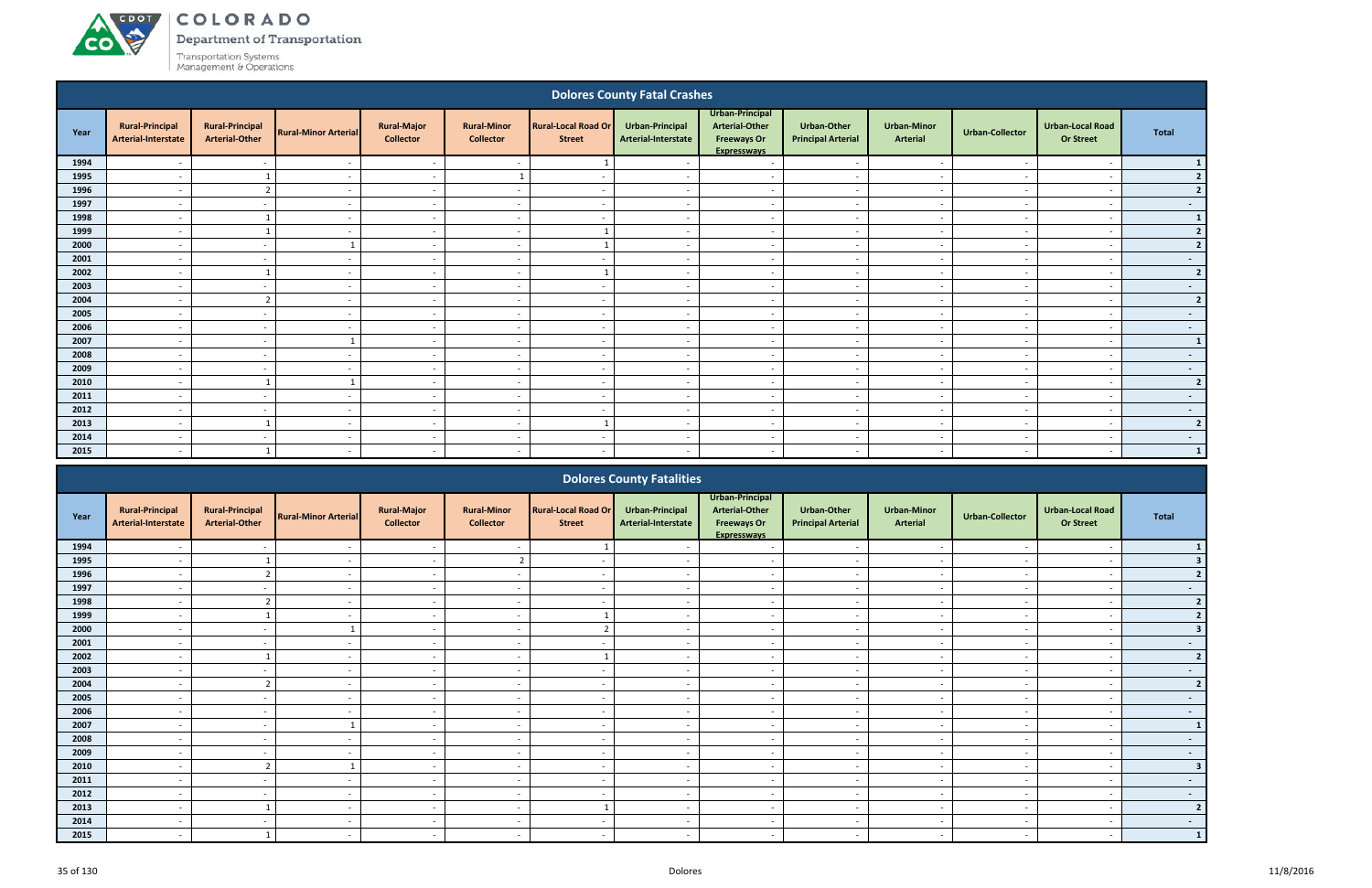COLORADO

Department of Transportation

| <b>Dolores County Fatal Crashes</b> |                                               |                                                 |                             |                                        |                                        |                                             |                                        |                                                                                      |                                                 |                                |                          |                                             |                  |
|-------------------------------------|-----------------------------------------------|-------------------------------------------------|-----------------------------|----------------------------------------|----------------------------------------|---------------------------------------------|----------------------------------------|--------------------------------------------------------------------------------------|-------------------------------------------------|--------------------------------|--------------------------|---------------------------------------------|------------------|
| Year                                | <b>Rural-Principal</b><br>Arterial-Interstate | <b>Rural-Principal</b><br><b>Arterial-Other</b> | <b>Rural-Minor Arterial</b> | <b>Rural-Major</b><br><b>Collector</b> | <b>Rural-Minor</b><br><b>Collector</b> | <b>Rural-Local Road Or</b><br><b>Street</b> | Urban-Principal<br>Arterial-Interstate | Urban-Principal<br><b>Arterial-Other</b><br><b>Freeways Or</b><br><b>Expresswavs</b> | <b>Urban-Other</b><br><b>Principal Arterial</b> | <b>Urban-Minor</b><br>Arterial | <b>Urban-Collector</b>   | <b>Urban-Local Road</b><br><b>Or Street</b> | <b>Total</b>     |
| 1994                                |                                               | $\overline{\phantom{a}}$                        | $\overline{\phantom{a}}$    | $\sim$                                 | $\overline{\phantom{a}}$               |                                             |                                        | $\sim$                                                                               | $\overline{\phantom{a}}$                        | $\overline{\phantom{a}}$       |                          | $\overline{a}$                              | $\mathbf{1}$     |
| 1995                                | $\overline{\phantom{a}}$                      | $\overline{\mathbf{1}}$                         | $\overline{\phantom{a}}$    | $\sim$                                 | $\mathbf{1}$                           | $\sim$                                      | $\sim$                                 | $\sim$                                                                               | $\overline{\phantom{a}}$                        | $\sim$                         | $\overline{\phantom{a}}$ | $\overline{\phantom{a}}$                    | 2                |
| 1996                                | $\overline{\phantom{a}}$                      | $\overline{2}$                                  | $\overline{\phantom{a}}$    | $\sim$                                 | $\overline{a}$                         | $\sim$                                      | $\sim$                                 | $\sim$                                                                               | $\sim$                                          | $\sim$                         |                          | $\overline{\phantom{0}}$                    | 2                |
| 1997                                | $\overline{\phantom{a}}$                      | $\overline{\phantom{a}}$                        | $\overline{\phantom{a}}$    | $\sim$                                 | $\overline{a}$                         | $\sim$                                      | $\sim$                                 | $\sim$                                                                               | $\sim$                                          | $\sim$                         | $\sim$                   | $\overline{\phantom{a}}$                    | $\sim 100$       |
| 1998                                | $\overline{\phantom{a}}$                      | $\overline{\mathbf{1}}$                         | $\sim$                      | $\sim$                                 | $\overline{a}$                         | $\sim$                                      | $\sim$                                 | $\sim$                                                                               | $\sim$                                          | $\sim$                         | $\overline{\phantom{a}}$ | $\overline{a}$                              | $\mathbf{1}$     |
| 1999                                | $\overline{\phantom{a}}$                      | $\overline{\mathbf{1}}$                         | $\overline{a}$              | $\sim$                                 | $\overline{a}$                         |                                             | $\sim$                                 | $\overline{a}$                                                                       | $\overline{\phantom{a}}$                        | $\sim$                         | $\sim$                   | $\overline{a}$                              | 2                |
| 2000                                | $\overline{\phantom{a}}$                      | $\overline{\phantom{a}}$                        | $\overline{1}$              | $\sim$                                 | $\overline{a}$                         | $\mathbf{1}$                                | $\sim$                                 | $\overline{a}$                                                                       | $\overline{\phantom{a}}$                        | $\sim$                         | $\overline{\phantom{a}}$ | $\overline{a}$                              | 2                |
| 2001                                |                                               | $\sim$                                          | $\overline{\phantom{a}}$    | $\sim$                                 | $\overline{\phantom{a}}$               | $\sim$                                      |                                        | $\overline{a}$                                                                       |                                                 | $\overline{\phantom{a}}$       |                          | $\overline{\phantom{a}}$                    | $\sim$           |
| 2002                                |                                               | $\overline{1}$                                  | $\overline{\phantom{a}}$    | $\sim$                                 | $\overline{\phantom{a}}$               |                                             | $\sim$                                 | $\overline{a}$                                                                       | $\overline{\phantom{a}}$                        | $\sim$                         |                          | $\overline{\phantom{a}}$                    | 2                |
| 2003                                |                                               | $\overline{a}$                                  | $\overline{\phantom{a}}$    | $\overline{\phantom{a}}$               | $\overline{\phantom{a}}$               | $\overline{a}$                              |                                        | $\overline{a}$                                                                       |                                                 | $\overline{\phantom{a}}$       |                          | $\overline{\phantom{a}}$                    | $\sim$           |
| 2004                                | $\overline{\phantom{a}}$                      | $\overline{2}$                                  | $\overline{\phantom{a}}$    | $\sim$                                 | $\overline{\phantom{a}}$               | $\sim$                                      | $\sim$                                 | $\overline{a}$                                                                       | $\overline{\phantom{0}}$                        | $\sim$                         | $\overline{\phantom{a}}$ | $\overline{\phantom{a}}$                    | 2                |
| 2005                                |                                               | $\overline{\phantom{a}}$                        | $\overline{a}$              | $\sim$                                 | $\overline{\phantom{a}}$               | $\sim$                                      | $\overline{\phantom{a}}$               | $\sim$                                                                               | $\sim$                                          | $\sim$                         |                          | $\sim$                                      | $\sim$ $-$       |
| 2006                                | $\overline{\phantom{a}}$                      | $\sim$                                          | $\overline{\phantom{a}}$    | $\sim$                                 | $\overline{\phantom{a}}$               | $\sim$                                      | $\sim$                                 | $\sim$                                                                               | $\overline{\phantom{0}}$                        | $\sim$                         | $\overline{\phantom{a}}$ | $\overline{\phantom{a}}$                    | $\sim$           |
| 2007                                | $\overline{\phantom{a}}$                      | $\overline{\phantom{a}}$                        |                             | $\sim$                                 | $\overline{a}$                         | $\sim$                                      | $\sim$                                 | $\overline{a}$                                                                       | $\sim$                                          | $\sim$                         | $\sim$                   | $\overline{a}$                              | $\mathbf{1}$     |
| 2008                                | $\overline{\phantom{a}}$                      | $\overline{\phantom{a}}$                        | $\sim$                      | $\sim$                                 | $\overline{a}$                         | $\sim$                                      | $\sim$                                 | $\overline{a}$                                                                       | $\sim$                                          | $\sim$                         | $\overline{\phantom{a}}$ | $\overline{a}$                              | $\sim$           |
| 2009                                | $\overline{\phantom{a}}$                      | $\overline{\phantom{a}}$                        | $\sim$                      | $\sim$                                 | $\overline{a}$                         | $\overline{\phantom{a}}$                    | $\sim$                                 | $\sim$                                                                               | $\sim$                                          | $\sim$                         | $\overline{\phantom{a}}$ | $\overline{a}$                              | $\sim$ $-$       |
| 2010                                | $\overline{\phantom{a}}$                      | $\overline{1}$                                  | $\overline{\mathbf{1}}$     | $\sim$                                 | $\overline{a}$                         | $\sim$                                      | $\sim$                                 | $\sim$                                                                               | $\overline{\phantom{a}}$                        | $\overline{a}$                 | $\overline{\phantom{a}}$ | $\overline{a}$                              | 2                |
| 2011                                | $\overline{\phantom{0}}$                      | $\sim$                                          | $\overline{\phantom{a}}$    | $\sim$                                 | $\overline{a}$                         | $\overline{\phantom{a}}$                    | $\overline{a}$                         | $\sim$                                                                               | $\sim$                                          | $\sim$                         |                          | $\overline{\phantom{a}}$                    | $\sim$           |
| 2012                                |                                               | $\sim$                                          | $\overline{\phantom{a}}$    | $\sim$                                 | $\overline{\phantom{a}}$               | $\overline{\phantom{a}}$                    |                                        | $\sim$                                                                               |                                                 | $\overline{\phantom{a}}$       |                          | $\overline{\phantom{a}}$                    | $\sim$           |
| 2013                                |                                               |                                                 | $\overline{\phantom{a}}$    | $\sim$                                 | $\overline{\phantom{a}}$               |                                             | $\sim$                                 | $\overline{a}$                                                                       | $\overline{\phantom{a}}$                        | $\sim$                         |                          | $\overline{\phantom{a}}$                    | 2 <sup>1</sup>   |
| 2014                                | $\overline{\phantom{a}}$                      | $\overline{\phantom{a}}$                        | $\overline{\phantom{a}}$    | $\sim$                                 | $\overline{\phantom{a}}$               | $\overline{\phantom{a}}$                    | $\sim$                                 | $\overline{\phantom{a}}$                                                             | $\overline{\phantom{a}}$                        | $\overline{\phantom{a}}$       |                          | $\overline{\phantom{a}}$                    | $\sim$ 100 $\mu$ |
| 2015                                | $\overline{a}$                                |                                                 | $\sim$                      | $\sim$                                 | $\overline{\phantom{a}}$               | $\sim$                                      | $\overline{\phantom{a}}$               | $\overline{\phantom{a}}$                                                             | $\sim$                                          | $\overline{\phantom{a}}$       | $\overline{\phantom{a}}$ | $\overline{\phantom{a}}$                    | $\vert$ 1        |
|                                     |                                               |                                                 |                             |                                        |                                        |                                             | <b>Dolores County Fatalities</b>       |                                                                                      |                                                 |                                |                          |                                             |                  |

|      |                                               |                                                 |                             |                                        |                                        |                                             | <b>Dolores County Fatalities</b>       |                                                                                      |                                                 |                                       |                          |                                             |                      |
|------|-----------------------------------------------|-------------------------------------------------|-----------------------------|----------------------------------------|----------------------------------------|---------------------------------------------|----------------------------------------|--------------------------------------------------------------------------------------|-------------------------------------------------|---------------------------------------|--------------------------|---------------------------------------------|----------------------|
| Year | <b>Rural-Principal</b><br>Arterial-Interstate | <b>Rural-Principal</b><br><b>Arterial-Other</b> | <b>Rural-Minor Arterial</b> | <b>Rural-Major</b><br><b>Collector</b> | <b>Rural-Minor</b><br><b>Collector</b> | <b>Rural-Local Road Or</b><br><b>Street</b> | Urban-Principal<br>Arterial-Interstate | Urban-Principal<br><b>Arterial-Other</b><br><b>Freeways Or</b><br><b>Expressways</b> | <b>Urban-Other</b><br><b>Principal Arterial</b> | <b>Urban-Minor</b><br><b>Arterial</b> | <b>Urban-Collector</b>   | <b>Urban-Local Road</b><br><b>Or Street</b> | Total                |
| 1994 |                                               |                                                 |                             |                                        |                                        |                                             |                                        |                                                                                      |                                                 |                                       |                          |                                             |                      |
| 1995 |                                               |                                                 |                             |                                        |                                        |                                             |                                        |                                                                                      |                                                 |                                       |                          |                                             |                      |
| 1996 | $\overline{\phantom{a}}$                      | $\mathcal{L}$                                   | $\overline{\phantom{a}}$    | $\sim$                                 | $\overline{\phantom{a}}$               | $\overline{\phantom{a}}$                    | $\overline{\phantom{a}}$               | $\overline{\phantom{a}}$                                                             | $\sim$                                          | $\sim$                                | $\sim$                   | $\overline{\phantom{a}}$                    |                      |
| 1997 |                                               |                                                 |                             | $\overline{\phantom{a}}$               | $\overline{\phantom{a}}$               |                                             |                                        | $\overline{\phantom{a}}$                                                             | $\overline{\phantom{0}}$                        | $\overline{\phantom{0}}$              |                          | $\overline{\phantom{a}}$                    | <b>START COMPANY</b> |
| 1998 |                                               |                                                 |                             | $\overline{\phantom{a}}$               | $\overline{\phantom{a}}$               |                                             |                                        |                                                                                      | $\overline{\phantom{0}}$                        | $\overline{\phantom{0}}$              |                          | $\overline{\phantom{a}}$                    | $\mathbf{r}$         |
| 1999 |                                               |                                                 |                             | $\overline{\phantom{0}}$               | $\overline{\phantom{a}}$               |                                             |                                        | $\overline{\phantom{a}}$                                                             | $\overline{\phantom{a}}$                        | $\overline{\phantom{0}}$              |                          |                                             |                      |
| 2000 |                                               |                                                 |                             | $\overline{\phantom{a}}$               | $\overline{\phantom{a}}$               |                                             |                                        | $\overline{\phantom{a}}$                                                             | $\overline{\phantom{0}}$                        | $\overline{\phantom{0}}$              |                          |                                             |                      |
| 2001 | $\overline{\phantom{a}}$                      | $\overline{\phantom{a}}$                        | $\overline{\phantom{a}}$    | $\sim$                                 | $\overline{\phantom{a}}$               |                                             | $\overline{\phantom{a}}$               | $\overline{\phantom{a}}$                                                             | $\overline{\phantom{a}}$                        | $\sim$                                | $\sim$                   | $\overline{\phantom{a}}$                    | $\sim$               |
| 2002 |                                               |                                                 |                             | $\overline{\phantom{a}}$               | $\overline{\phantom{a}}$               |                                             |                                        |                                                                                      | $\overline{\phantom{a}}$                        | $\overline{\phantom{a}}$              |                          |                                             |                      |
| 2003 | $\overline{\phantom{a}}$                      | $\overline{\phantom{a}}$                        |                             | $\overline{\phantom{a}}$               | $\overline{\phantom{a}}$               |                                             |                                        | $\overline{\phantom{a}}$                                                             | $\sim$                                          | $\overline{\phantom{0}}$              |                          | $\overline{\phantom{a}}$                    |                      |
| 2004 |                                               |                                                 |                             | $\overline{\phantom{a}}$               |                                        |                                             |                                        |                                                                                      | $\overline{\phantom{0}}$                        | $\overline{\phantom{0}}$              |                          |                                             |                      |
| 2005 |                                               | $\overline{\phantom{a}}$                        |                             | $\sim$                                 | $\blacksquare$                         |                                             |                                        | $\overline{\phantom{a}}$                                                             | $\sim$                                          | $\overline{\phantom{0}}$              |                          | $\overline{\phantom{a}}$                    | $\sim$               |
| 2006 | $\overline{\phantom{a}}$                      | $\overline{\phantom{a}}$                        | $\overline{\phantom{a}}$    | $\overline{\phantom{a}}$               | $\overline{\phantom{a}}$               | $\overline{\phantom{0}}$                    | $\overline{\phantom{0}}$               | $\overline{\phantom{a}}$                                                             | $\overline{\phantom{a}}$                        | $\overline{\phantom{a}}$              | $\overline{\phantom{a}}$ | $\overline{\phantom{a}}$                    | $\sim$               |
| 2007 |                                               |                                                 |                             | $\overline{\phantom{a}}$               | $\overline{\phantom{a}}$               |                                             |                                        |                                                                                      | $\sim$                                          | $\overline{\phantom{a}}$              |                          |                                             |                      |
| 2008 |                                               | $\overline{\phantom{a}}$                        |                             | $\sim$                                 | $\overline{\phantom{a}}$               |                                             |                                        | $\overline{\phantom{a}}$                                                             | $\sim$                                          | $\sim$                                |                          | $\overline{\phantom{a}}$                    | $\sim$               |
| 2009 |                                               |                                                 |                             | $\overline{\phantom{a}}$               |                                        |                                             |                                        |                                                                                      | $\overline{\phantom{a}}$                        | $\overline{\phantom{a}}$              |                          |                                             | $\sim$               |
| 2010 | $\overline{\phantom{a}}$                      |                                                 |                             | $\sim$                                 | $\overline{\phantom{a}}$               |                                             |                                        | $\overline{\phantom{a}}$                                                             | $\overline{\phantom{a}}$                        | $\sim$                                |                          | $\overline{\phantom{a}}$                    | 3                    |
| 2011 | $\overline{\phantom{a}}$                      | $\overline{\phantom{0}}$                        |                             | $\overline{\phantom{0}}$               | $\overline{\phantom{a}}$               |                                             |                                        | $\overline{\phantom{0}}$                                                             | $\overline{\phantom{a}}$                        | $\overline{\phantom{0}}$              |                          | $\overline{\phantom{a}}$                    | $\sim$               |
| 2012 |                                               |                                                 |                             |                                        |                                        |                                             |                                        |                                                                                      | $\overline{\phantom{a}}$                        | $\overline{\phantom{a}}$              |                          |                                             | $\sim$               |
| 2013 |                                               |                                                 |                             | $\overline{\phantom{a}}$               | $\overline{\phantom{a}}$               |                                             |                                        |                                                                                      | $\overline{\phantom{a}}$                        | $\overline{\phantom{a}}$              |                          |                                             | $\overline{2}$       |
| 2014 |                                               |                                                 |                             | $\sim$                                 | $\overline{\phantom{a}}$               |                                             |                                        | $\overline{\phantom{a}}$                                                             | $\sim$                                          | $\overline{\phantom{a}}$              |                          |                                             | $\sim$               |
| 2015 | $\overline{\phantom{a}}$                      |                                                 |                             | $\sim$                                 | $\overline{\phantom{a}}$               |                                             |                                        |                                                                                      | $\sim$                                          | $\sim$                                |                          |                                             |                      |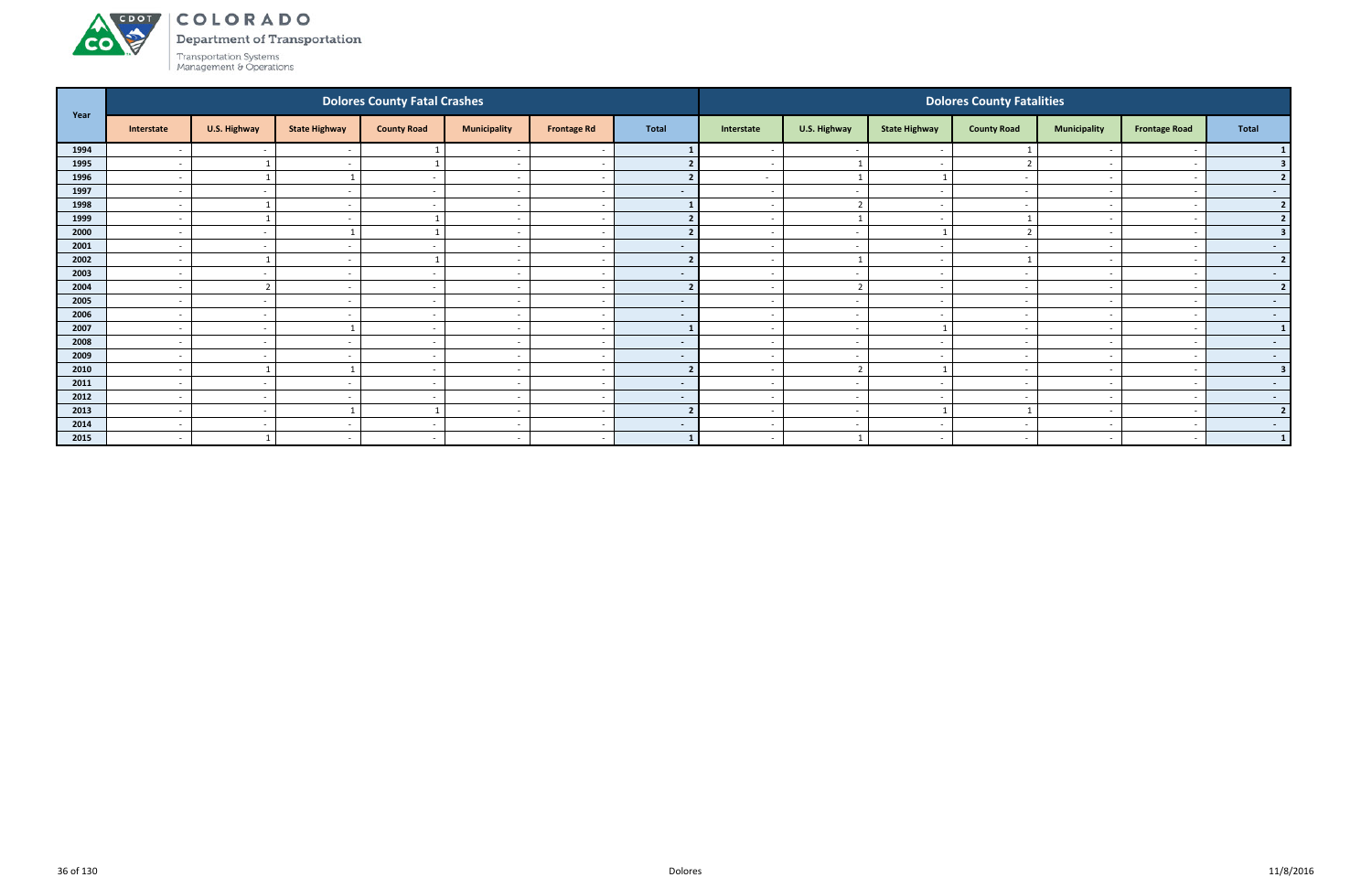

Department of Transportation

|      |                          |                   |                          | <b>Dolores County Fatal Crashes</b> |                          |                          |                          | <b>Dolores County Fatalities</b> |                          |                          |                          |                          |                          |                         |  |
|------|--------------------------|-------------------|--------------------------|-------------------------------------|--------------------------|--------------------------|--------------------------|----------------------------------|--------------------------|--------------------------|--------------------------|--------------------------|--------------------------|-------------------------|--|
| Year | Interstate               | U.S. Highway      | <b>State Highway</b>     | <b>County Road</b>                  | <b>Municipality</b>      | <b>Frontage Rd</b>       | <b>Total</b>             | Interstate                       | U.S. Highway             | <b>State Highway</b>     | <b>County Road</b>       | <b>Municipality</b>      | <b>Frontage Road</b>     | Total                   |  |
| 1994 |                          | $\sim$            |                          |                                     |                          |                          |                          |                                  | $\sim$                   |                          |                          |                          |                          |                         |  |
| 1995 | $\overline{\phantom{0}}$ |                   | $\overline{\phantom{a}}$ |                                     | $\overline{\phantom{a}}$ | $\overline{\phantom{a}}$ |                          | $\sim$                           | $\mathbf{1}$             | $\sim$                   |                          | $\overline{\phantom{a}}$ |                          |                         |  |
| 1996 | $\overline{\phantom{a}}$ |                   |                          | $\sim$                              | $\overline{\phantom{a}}$ | - -                      |                          | $\sim$                           | $\mathbf{1}$             | - 1                      |                          | $\sim$                   |                          |                         |  |
| 1997 | $\overline{\phantom{a}}$ | $\sim$            |                          |                                     | $\overline{\phantom{a}}$ |                          | $\blacksquare$           | $\sim$                           | $\overline{\phantom{a}}$ | $\sim$                   |                          | $\overline{\phantom{0}}$ |                          | $\sim$                  |  |
| 1998 | $\overline{\phantom{a}}$ |                   | $\overline{\phantom{a}}$ |                                     | $\overline{\phantom{a}}$ | $\overline{\phantom{a}}$ |                          |                                  | $\mathcal{L}$            | $\sim$                   |                          |                          |                          | $\overline{2}$          |  |
| 1999 | $\overline{\phantom{a}}$ |                   |                          |                                     | $\overline{\phantom{a}}$ |                          |                          |                                  |                          |                          |                          |                          |                          | $\mathbf{z}$            |  |
| 2000 | $\overline{\phantom{a}}$ | $\sim$            |                          |                                     | $\overline{\phantom{a}}$ | <u>т</u>                 |                          | $\sim$                           | $\overline{a}$           |                          |                          | $\overline{\phantom{a}}$ |                          |                         |  |
| 2001 | $\overline{\phantom{a}}$ | $\sim$            |                          |                                     | $\overline{\phantom{a}}$ | $\overline{\phantom{a}}$ | $\sim$                   | $\sim$                           | $\sim$                   | $\sim$                   |                          | $\sim$                   |                          | $\sim$                  |  |
| 2002 | $\overline{\phantom{a}}$ |                   |                          |                                     | $\overline{\phantom{a}}$ |                          | $\overline{2}$           |                                  | $\overline{1}$           | $\overline{\phantom{a}}$ |                          |                          |                          | 2 <sup>1</sup>          |  |
| 2003 | $\overline{\phantom{a}}$ | $\sim$            |                          | $\sim$                              | $\overline{\phantom{a}}$ | $\overline{\phantom{a}}$ | $\sim$                   | $\sim$                           | $\overline{a}$           | $\sim$                   |                          | $\sim$                   |                          | $\sim$ 100 $\mu$        |  |
| 2004 |                          | $\mathbf{\Gamma}$ |                          |                                     | $\overline{\phantom{a}}$ |                          |                          |                                  |                          |                          |                          |                          |                          | $\overline{2}$          |  |
| 2005 | $\overline{a}$           | $\sim$            | $\overline{\phantom{a}}$ | $\sim$                              | $\overline{\phantom{a}}$ | $\sim$                   | $\overline{\phantom{a}}$ | $\sim$                           | $\sim$                   | $\sim$                   | $\overline{\phantom{a}}$ | $\overline{\phantom{0}}$ |                          | $\sim$ 100 $\mu$        |  |
| 2006 | $\overline{\phantom{a}}$ | $\sim$            |                          | $\sim$                              | $\overline{\phantom{a}}$ | $\overline{\phantom{a}}$ | $\sim$                   | $\sim$                           | $\sim$                   | $\overline{\phantom{0}}$ |                          | $\sim$                   |                          | $\sim$ $-$              |  |
| 2007 | $\overline{\phantom{a}}$ | $\sim$            |                          | $\sim$                              | $\overline{\phantom{a}}$ |                          |                          | $\overline{\phantom{a}}$         | $\overline{\phantom{a}}$ |                          |                          | $\sim$                   |                          | $\mathbf{1}$            |  |
| 2008 | $\overline{\phantom{a}}$ | $\sim$            |                          |                                     | $\overline{\phantom{a}}$ | $\overline{\phantom{a}}$ | $\overline{\phantom{a}}$ | $\sim$                           | $\sim$                   | $\sim$                   |                          | $\overline{\phantom{0}}$ |                          | $\sim$ $-$              |  |
| 2009 | $\overline{\phantom{a}}$ | $\sim$            |                          |                                     | $\overline{\phantom{a}}$ |                          | $\sim$                   |                                  | $\sim$                   |                          |                          |                          |                          | $\sim$ $-$              |  |
| 2010 | $\overline{\phantom{a}}$ |                   |                          | $\sim$                              | $\overline{\phantom{a}}$ | . —                      | $\overline{2}$           | $\sim$                           | $\overline{2}$           |                          | $\overline{\phantom{a}}$ | $\overline{a}$           | $\overline{\phantom{a}}$ | $\overline{\mathbf{3}}$ |  |
| 2011 | $\overline{\phantom{a}}$ | $\sim$            | $\overline{\phantom{a}}$ | $\sim$                              | $\overline{\phantom{a}}$ | $\overline{\phantom{a}}$ | $\sim$                   | $\sim$                           | $\sim$                   | $\sim$                   |                          | $\sim$                   |                          | $\sim$ $-$              |  |
| 2012 | $\overline{\phantom{a}}$ | $\sim$            |                          |                                     | $\overline{\phantom{a}}$ |                          | $\sim$                   | $\sim$                           | $\sim$                   | $\sim$                   |                          | $\overline{\phantom{0}}$ |                          | $\sim$ $-$              |  |
| 2013 | $\overline{\phantom{a}}$ | $\sim$            |                          |                                     | $\overline{\phantom{a}}$ | $\overline{\phantom{a}}$ |                          | $\sim$                           | $\sim$                   |                          |                          | $\overline{\phantom{0}}$ |                          | $\overline{2}$          |  |
| 2014 | $\overline{\phantom{a}}$ | $\sim$            |                          |                                     | $\overline{\phantom{a}}$ |                          | $\sim$                   |                                  | $\sim$                   |                          |                          |                          |                          | $\sim$                  |  |
| 2015 | $\overline{\phantom{a}}$ |                   | $\overline{a}$           | $\sim$                              | $\sim$                   | $\sim$                   | $\blacksquare$           | $\sim$                           | $\overline{\phantom{0}}$ | $\sim$                   | $\overline{\phantom{a}}$ | $\sim$                   |                          | $\mathbf{1}$            |  |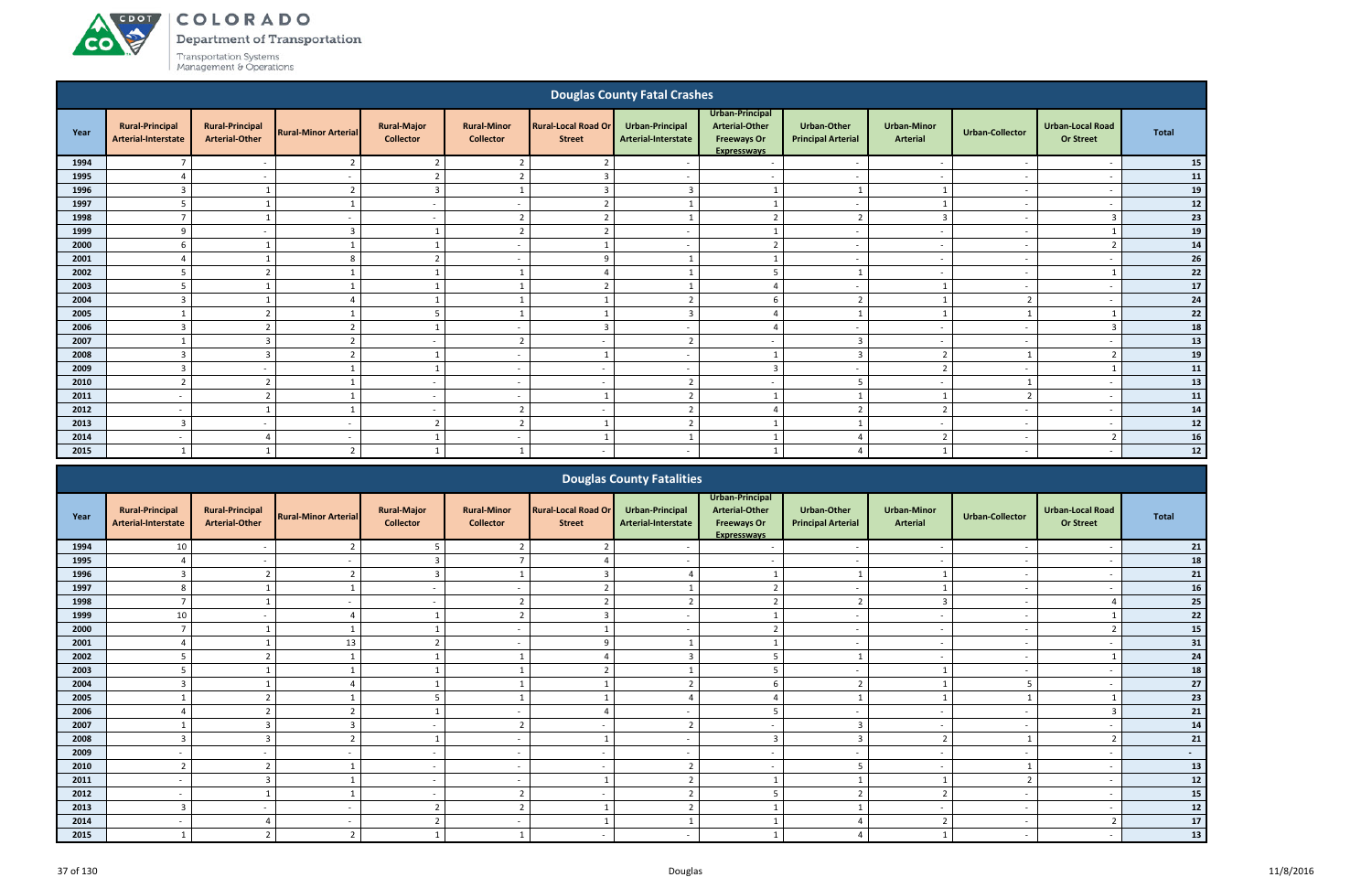ACDOL

**CO** 

Department of Transportation

|      |                                                      |                                                 |                             |                                        |                                        |                                             | <b>Douglas County Fatal Crashes</b>    |                                                                                      |                                                 |                                       |                          |                                             |              |
|------|------------------------------------------------------|-------------------------------------------------|-----------------------------|----------------------------------------|----------------------------------------|---------------------------------------------|----------------------------------------|--------------------------------------------------------------------------------------|-------------------------------------------------|---------------------------------------|--------------------------|---------------------------------------------|--------------|
| Year | <b>Rural-Principal</b><br><b>Arterial-Interstate</b> | <b>Rural-Principal</b><br><b>Arterial-Other</b> | <b>Rural-Minor Arterial</b> | <b>Rural-Major</b><br><b>Collector</b> | <b>Rural-Minor</b><br><b>Collector</b> | <b>Rural-Local Road Or</b><br><b>Street</b> | Urban-Principal<br>Arterial-Interstate | Urban-Principal<br><b>Arterial-Other</b><br><b>Freeways Or</b><br><b>Expresswavs</b> | <b>Urban-Other</b><br><b>Principal Arterial</b> | <b>Urban-Minor</b><br><b>Arterial</b> | <b>Urban-Collector</b>   | <b>Urban-Local Road</b><br><b>Or Street</b> | <b>Total</b> |
| 1994 | $\overline{z}$                                       | $\overline{\phantom{a}}$                        | $\overline{2}$              | $\overline{2}$                         | $\overline{2}$                         | $\overline{2}$                              | $\overline{\phantom{a}}$               | $\overline{\phantom{a}}$                                                             | $\overline{\phantom{a}}$                        | $\overline{\phantom{a}}$              | $\overline{\phantom{a}}$ | $\overline{\phantom{a}}$                    | 15           |
| 1995 |                                                      | $\overline{\phantom{a}}$                        | $\overline{\phantom{a}}$    | $\overline{2}$                         | $\mathbf{\cdot}$                       | $\mathbf{3}$                                | $\overline{\phantom{a}}$               | $\overline{a}$                                                                       | $\overline{\phantom{a}}$                        | $\overline{\phantom{a}}$              | $\overline{\phantom{a}}$ | $\overline{a}$                              | 11           |
| 1996 | $\mathbf{3}$                                         |                                                 | $\overline{z}$              | $\overline{3}$                         |                                        | $\overline{3}$                              | $\overline{3}$                         |                                                                                      |                                                 |                                       | $\overline{\phantom{a}}$ | $\overline{\phantom{a}}$                    | 19           |
| 1997 | 5                                                    |                                                 |                             | $\sim$                                 | $\sim$                                 | $\overline{z}$                              |                                        |                                                                                      | $\sim$                                          | -1                                    | $\sim$                   | $\sim$                                      | 12           |
| 1998 | $\overline{z}$                                       |                                                 | $\sim$                      | $\sim$                                 | $\overline{2}$                         | $\mathcal{L}$                               |                                        | $\overline{2}$                                                                       | $\overline{2}$                                  | $\overline{3}$                        | $\sim$                   | $\overline{3}$                              | 23           |
| 1999 | 9                                                    | $\sim$                                          | $\overline{3}$              | $\overline{1}$                         | $\overline{2}$                         | $\overline{2}$                              | $\overline{\phantom{a}}$               | $\overline{\mathbf{1}}$                                                              | $\overline{a}$                                  | $\sim$                                | $\overline{\phantom{a}}$ | $\overline{1}$                              | 19           |
| 2000 |                                                      |                                                 |                             |                                        | $\overline{\phantom{a}}$               |                                             | $\overline{\phantom{a}}$               | $\overline{2}$                                                                       | $\overline{\phantom{a}}$                        | $\sim$                                | $\overline{\phantom{a}}$ | $\overline{\phantom{a}}$                    | 14           |
| 2001 |                                                      |                                                 | 8                           | $\overline{2}$                         | $\overline{\phantom{a}}$               | $\mathsf{q}$                                |                                        |                                                                                      | $\overline{a}$                                  | $\overline{\phantom{a}}$              | $\sim$                   | $\overline{\phantom{a}}$                    | 26           |
| 2002 | 5                                                    | $\overline{2}$                                  |                             |                                        | $\mathbf{1}$                           | ⊿                                           |                                        | 5                                                                                    |                                                 | $\overline{\phantom{a}}$              | $\sim$                   |                                             | 22           |
| 2003 |                                                      |                                                 |                             |                                        |                                        | $\overline{2}$                              |                                        |                                                                                      | $\overline{a}$                                  |                                       | $\overline{\phantom{a}}$ | $\overline{a}$                              | 17           |
| 2004 | $\overline{3}$                                       |                                                 |                             |                                        |                                        |                                             | $\overline{2}$                         | -6                                                                                   | $\overline{2}$                                  |                                       | $\overline{2}$           | $\overline{\phantom{a}}$                    | 24           |
| 2005 |                                                      | $\overline{z}$                                  |                             | 5                                      |                                        |                                             | $\overline{3}$                         |                                                                                      |                                                 |                                       |                          |                                             | 22           |
| 2006 | 3                                                    | $\mathcal{P}$                                   |                             |                                        | $\overline{a}$                         | $\overline{\mathbf{3}}$                     | $\sim$                                 | $\Delta$                                                                             | $\overline{\phantom{a}}$                        | $\overline{\phantom{a}}$              | $\overline{\phantom{a}}$ | $\mathbf{3}$                                | 18           |
| 2007 |                                                      | $\overline{3}$                                  | $\overline{2}$              | $\sim$                                 | $\overline{2}$                         | $\overline{\phantom{a}}$                    | $\overline{2}$                         | $\overline{a}$                                                                       | $\overline{3}$                                  | $\overline{\phantom{a}}$              | $\sim$                   | $\overline{a}$                              | 13           |
| 2008 | $\overline{3}$                                       | $\overline{3}$                                  | $\mathbf{r}$                | $\overline{1}$                         | $\overline{\phantom{a}}$               | $\overline{1}$                              | $\overline{a}$                         |                                                                                      | $\overline{3}$                                  | $\overline{2}$                        |                          | $\overline{\phantom{a}}$                    | 19           |
| 2009 | $\overline{3}$                                       | $\overline{\phantom{a}}$                        |                             |                                        | $\overline{\phantom{a}}$               | $\overline{\phantom{a}}$                    | $\overline{\phantom{a}}$               | $\overline{3}$                                                                       | $\overline{a}$                                  | $\overline{2}$                        |                          |                                             | 11           |
| 2010 | $\mathcal{D}$                                        | $\overline{z}$                                  |                             | $\sim$                                 | $\overline{\phantom{a}}$               | $\overline{a}$                              | $\overline{2}$                         | $\overline{a}$                                                                       | 5                                               | $\sim$                                |                          | $\overline{\phantom{a}}$                    | 13           |
| 2011 | $\overline{\phantom{a}}$                             | $\overline{2}$                                  |                             | $\sim$                                 | $\overline{\phantom{a}}$               | $\overline{1}$                              | $\mathcal{P}$                          |                                                                                      | $\mathbf{1}$                                    |                                       | ຳ                        | $\sim$                                      | 11           |
| 2012 | $\overline{a}$                                       |                                                 |                             | $\sim$                                 | $\overline{2}$                         | $\overline{\phantom{a}}$                    | $\overline{2}$                         | $\Delta$                                                                             | $\overline{2}$                                  | $\overline{2}$                        | $\sim$                   | $\overline{\phantom{a}}$                    | 14           |
| 2013 | $\overline{3}$                                       | $\sim$                                          | $\overline{\phantom{a}}$    | $\overline{2}$                         | $\overline{2}$                         | $\overline{\mathbf{1}}$                     | $\overline{z}$                         |                                                                                      | $\overline{1}$                                  | $\sim$                                | $\overline{a}$           | $\overline{a}$                              | $12\,$       |
| 2014 | $\overline{\phantom{a}}$                             | $\overline{4}$                                  | $\sim$                      |                                        | $\overline{\phantom{a}}$               | $\overline{1}$                              |                                        |                                                                                      | $\overline{4}$                                  | $\overline{2}$                        | $\overline{\phantom{a}}$ | $\overline{2}$                              | 16           |
| 2015 |                                                      |                                                 | $\overline{2}$              |                                        |                                        | $\overline{\phantom{a}}$                    | $\overline{\phantom{a}}$               |                                                                                      |                                                 |                                       | $\overline{\phantom{a}}$ | $\overline{a}$                              | $12$         |
|      |                                                      |                                                 |                             |                                        |                                        |                                             |                                        |                                                                                      |                                                 |                                       |                          |                                             |              |

|      |                                               |                                                 |                             |                                        |                                        |                                             | <b>Douglas County Fatalities</b>       |                                                                                      |                                                 |                                       |                          |                                             |              |
|------|-----------------------------------------------|-------------------------------------------------|-----------------------------|----------------------------------------|----------------------------------------|---------------------------------------------|----------------------------------------|--------------------------------------------------------------------------------------|-------------------------------------------------|---------------------------------------|--------------------------|---------------------------------------------|--------------|
| Year | <b>Rural-Principal</b><br>Arterial-Interstate | <b>Rural-Principal</b><br><b>Arterial-Other</b> | <b>Rural-Minor Arterial</b> | <b>Rural-Major</b><br><b>Collector</b> | <b>Rural-Minor</b><br><b>Collector</b> | <b>Rural-Local Road Or</b><br><b>Street</b> | Urban-Principal<br>Arterial-Interstate | Urban-Principal<br><b>Arterial-Other</b><br><b>Freeways Or</b><br><b>Expresswavs</b> | <b>Urban-Other</b><br><b>Principal Arterial</b> | <b>Urban-Minor</b><br><b>Arterial</b> | <b>Urban-Collector</b>   | <b>Urban-Local Road</b><br><b>Or Street</b> | <b>Total</b> |
| 1994 | 10                                            |                                                 |                             |                                        |                                        |                                             |                                        |                                                                                      |                                                 |                                       |                          |                                             | 21           |
| 1995 |                                               |                                                 |                             |                                        |                                        |                                             |                                        |                                                                                      |                                                 |                                       |                          |                                             | 18           |
| 1996 | $\overline{3}$                                |                                                 | $\mathbf{r}$                |                                        |                                        |                                             |                                        |                                                                                      |                                                 |                                       | $\overline{\phantom{a}}$ | $\overline{\phantom{a}}$                    | 21           |
| 1997 | 8                                             |                                                 |                             | $\sim$                                 |                                        |                                             |                                        | $\mathbf{\cdot}$                                                                     | $\overline{\phantom{a}}$                        |                                       |                          |                                             | 16           |
| 1998 |                                               |                                                 |                             | $\sim$                                 | ຳ                                      | $\mathbf{\hat{z}}$                          |                                        |                                                                                      |                                                 | 3                                     |                          |                                             | 25           |
| 1999 | 10                                            |                                                 |                             |                                        | ຳ                                      |                                             |                                        |                                                                                      |                                                 |                                       |                          |                                             | 22           |
| 2000 |                                               |                                                 |                             |                                        |                                        |                                             |                                        |                                                                                      | $\overline{\phantom{0}}$                        | $\overline{\phantom{a}}$              |                          |                                             | 15           |
| 2001 |                                               |                                                 | 13                          |                                        | $\overline{\phantom{a}}$               |                                             |                                        |                                                                                      | $\overline{\phantom{a}}$                        | $\overline{\phantom{a}}$              | $\overline{\phantom{a}}$ |                                             | 31           |
| 2002 | 5                                             |                                                 |                             |                                        |                                        |                                             |                                        |                                                                                      |                                                 |                                       |                          |                                             | 24           |
| 2003 |                                               |                                                 |                             |                                        |                                        |                                             |                                        |                                                                                      |                                                 |                                       |                          | $\overline{\phantom{a}}$                    | 18           |
| 2004 | 3                                             |                                                 |                             |                                        |                                        |                                             |                                        |                                                                                      |                                                 |                                       |                          |                                             | 27           |
| 2005 |                                               |                                                 |                             |                                        |                                        |                                             |                                        |                                                                                      |                                                 |                                       |                          |                                             | 23           |
| 2006 |                                               |                                                 |                             |                                        | $\overline{a}$                         |                                             |                                        |                                                                                      | $\overline{\phantom{a}}$                        | $\overline{\phantom{a}}$              |                          |                                             | 21           |
| 2007 |                                               |                                                 |                             |                                        | ຳ                                      | $\overline{\phantom{0}}$                    | $\mathcal{L}$                          |                                                                                      | $\overline{3}$                                  | $\overline{\phantom{0}}$              |                          |                                             | 14           |
| 2008 | 3                                             |                                                 |                             |                                        |                                        |                                             |                                        |                                                                                      |                                                 |                                       |                          |                                             | 21           |
| 2009 |                                               |                                                 |                             |                                        |                                        |                                             |                                        | $\overline{\phantom{a}}$                                                             |                                                 |                                       |                          |                                             | $\sim$       |
| 2010 | $\overline{2}$                                |                                                 |                             | $\sim$                                 | $\overline{a}$                         | $\sim$                                      | 2                                      | $\overline{\phantom{a}}$                                                             | 5                                               | $\sim$                                |                          | $\overline{\phantom{a}}$                    | 13           |
| 2011 |                                               |                                                 |                             | $\sim$                                 | $\overline{a}$                         |                                             |                                        |                                                                                      |                                                 |                                       |                          | $\overline{\phantom{a}}$                    | $12\,$       |
| 2012 |                                               |                                                 |                             | $\sim$                                 | $\overline{2}$                         | $\overline{\phantom{0}}$                    |                                        |                                                                                      |                                                 | $\mathbf{r}$                          |                          | $\overline{\phantom{a}}$                    | 15           |
| 2013 | $\overline{3}$                                |                                                 |                             |                                        | ຳ                                      |                                             |                                        |                                                                                      |                                                 |                                       |                          |                                             | $12\,$       |
| 2014 |                                               |                                                 |                             |                                        | $\overline{\phantom{0}}$               |                                             |                                        |                                                                                      |                                                 |                                       |                          |                                             | 17           |
| 2015 |                                               |                                                 | $\mathcal{D}$               |                                        |                                        | $\overline{\phantom{a}}$                    |                                        |                                                                                      |                                                 |                                       |                          |                                             | 13           |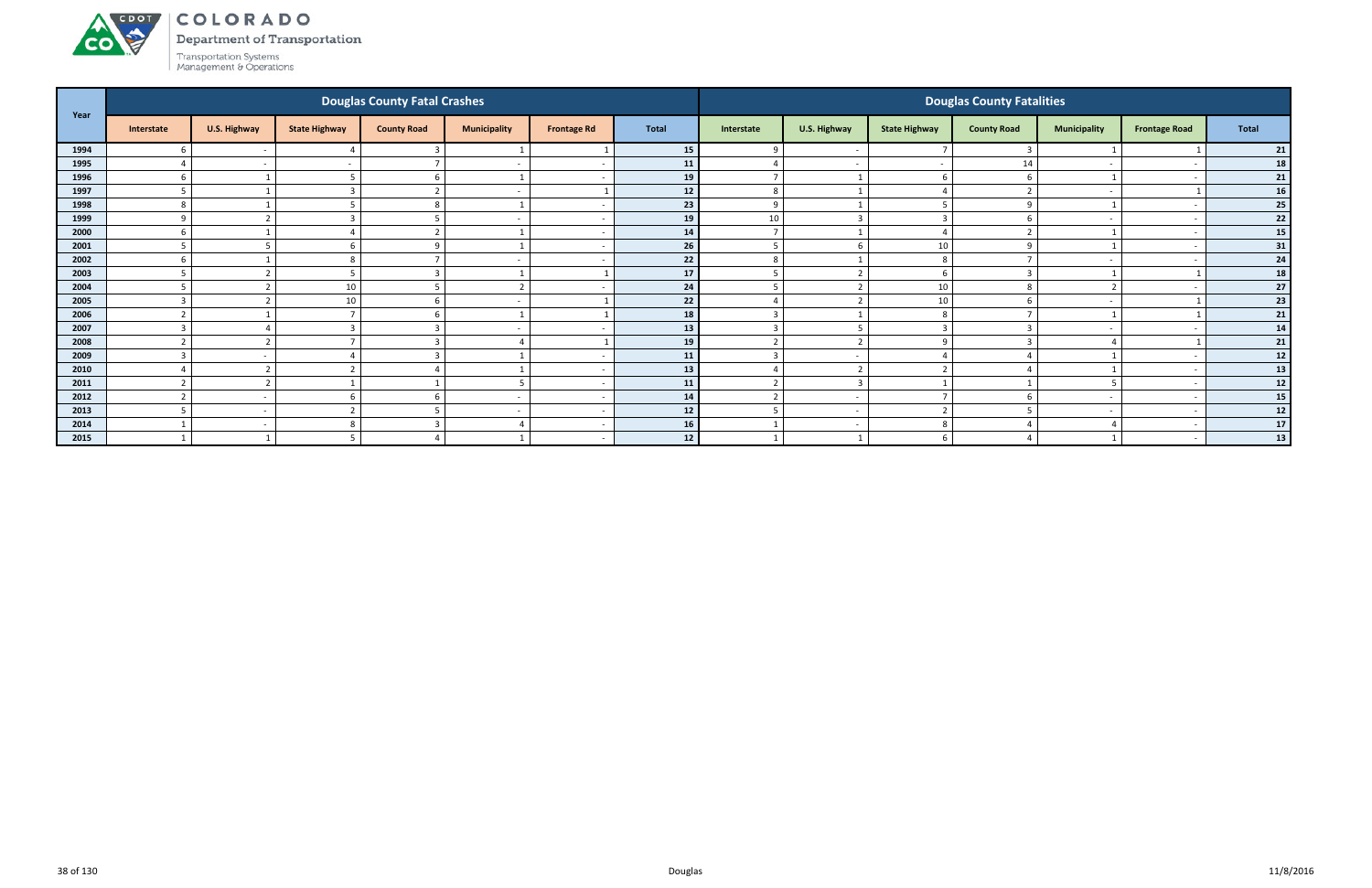# ACDOL **CO**

COLORADO

Department of Transportation

|      |                  |                         |                      | <b>Douglas County Fatal Crashes</b> |                          |                    |                 |                |                          |                      | <b>Douglas County Fatalities</b> |                          |                          |       |
|------|------------------|-------------------------|----------------------|-------------------------------------|--------------------------|--------------------|-----------------|----------------|--------------------------|----------------------|----------------------------------|--------------------------|--------------------------|-------|
| Year | Interstate       | U.S. Highway            | <b>State Highway</b> | <b>County Road</b>                  | <b>Municipality</b>      | <b>Frontage Rd</b> | <b>Total</b>    | Interstate     | U.S. Highway             | <b>State Highway</b> | <b>County Road</b>               | <b>Municipality</b>      | <b>Frontage Road</b>     | Total |
| 1994 |                  | $\sim$                  |                      |                                     |                          |                    | 15 <sup>1</sup> | 9              | $\overline{\phantom{a}}$ |                      |                                  |                          |                          | 21    |
| 1995 |                  | $\sim$                  |                      | $\overline{ }$                      | $\overline{\phantom{a}}$ |                    | 11              |                | $\overline{\phantom{a}}$ |                      | 14                               |                          |                          | 18    |
| 1996 | -6               |                         |                      | 6                                   |                          |                    | 19              | $\overline{7}$ | $\overline{\phantom{0}}$ | -6                   |                                  |                          | $\overline{\phantom{0}}$ | 21    |
| 1997 |                  |                         |                      |                                     | $\overline{\phantom{a}}$ |                    | 12              | 8              | $\overline{\phantom{0}}$ |                      |                                  | $\overline{\phantom{0}}$ |                          | 16    |
| 1998 |                  |                         |                      | 8                                   |                          |                    | 23              | 9              | $\overline{\phantom{0}}$ |                      | $\Omega$                         |                          |                          | 25    |
| 1999 | $\Omega$         | $\mathbf{\Gamma}$       |                      |                                     | $\overline{\phantom{a}}$ |                    | 19              | 10             | $\overline{3}$           | 3                    |                                  | $\overline{\phantom{a}}$ |                          | 22    |
| 2000 |                  |                         |                      |                                     |                          |                    | 14              |                |                          |                      |                                  |                          |                          | 15    |
| 2001 |                  |                         |                      | $\Omega$                            |                          |                    | 26              | .5             | - 6                      | 10                   |                                  |                          |                          | 31    |
| 2002 |                  |                         | 8                    |                                     | $\overline{\phantom{a}}$ |                    | 22              | 8              | $\overline{\mathbf{1}}$  | 8                    |                                  | $\overline{\phantom{0}}$ |                          | 24    |
| 2003 |                  |                         |                      |                                     |                          |                    | 17              | 5              | $\overline{2}$           | b                    |                                  |                          |                          | 18    |
| 2004 |                  | $\mathbf{\overline{a}}$ | 10                   |                                     | $\overline{2}$           |                    | 24              | 5              | $\overline{\phantom{a}}$ | 10                   |                                  | $\overline{2}$           |                          | 27    |
| 2005 |                  |                         | 10                   | 6                                   | $\overline{\phantom{a}}$ |                    | 22              |                | $\overline{2}$           | 10                   |                                  |                          |                          | 23    |
| 2006 |                  |                         |                      |                                     |                          |                    | 18              | $\overline{3}$ |                          | 8                    |                                  |                          |                          | 21    |
| 2007 |                  | $\Delta$                |                      |                                     | $\overline{\phantom{a}}$ |                    | 13              | $\overline{3}$ | - 5                      | -3                   |                                  | $\overline{\phantom{0}}$ |                          | 14    |
| 2008 | $\mathbf{\cdot}$ | $\mathbf{\overline{a}}$ |                      |                                     | $\overline{4}$           |                    | 19              | $\overline{2}$ | $\overline{2}$           | q                    |                                  |                          |                          | 21    |
| 2009 |                  | $\sim$                  |                      |                                     |                          |                    | 11              | 3              | $\overline{\phantom{a}}$ |                      |                                  |                          |                          | 12    |
| 2010 |                  | $\mathbf{\Gamma}$       |                      |                                     |                          |                    | 13              |                | $\overline{2}$           |                      |                                  |                          |                          | 13    |
| 2011 |                  | ຳ                       |                      |                                     | $\mathbf{r}$             |                    | 11              | $\mathbf{r}$   | $\overline{3}$           |                      |                                  | 5                        | $\overline{\phantom{0}}$ | 12    |
| 2012 |                  | $\sim$                  |                      | -6                                  | $\overline{\phantom{a}}$ |                    | 14              | $\overline{2}$ | $\sim$                   |                      |                                  | $\overline{\phantom{a}}$ | $\sim$                   | 15    |
| 2013 |                  | $\sim$                  |                      |                                     | $\overline{\phantom{a}}$ |                    | 12              | 5              | $\overline{\phantom{a}}$ | ຳ                    |                                  |                          |                          | 12    |
| 2014 |                  | $\sim$                  | 8                    | 3                                   | 4                        |                    | 16              |                | $\overline{\phantom{a}}$ | 8                    |                                  |                          | $\overline{\phantom{0}}$ | 17    |
| 2015 |                  |                         |                      |                                     |                          |                    | 12              |                |                          |                      |                                  |                          |                          | 13    |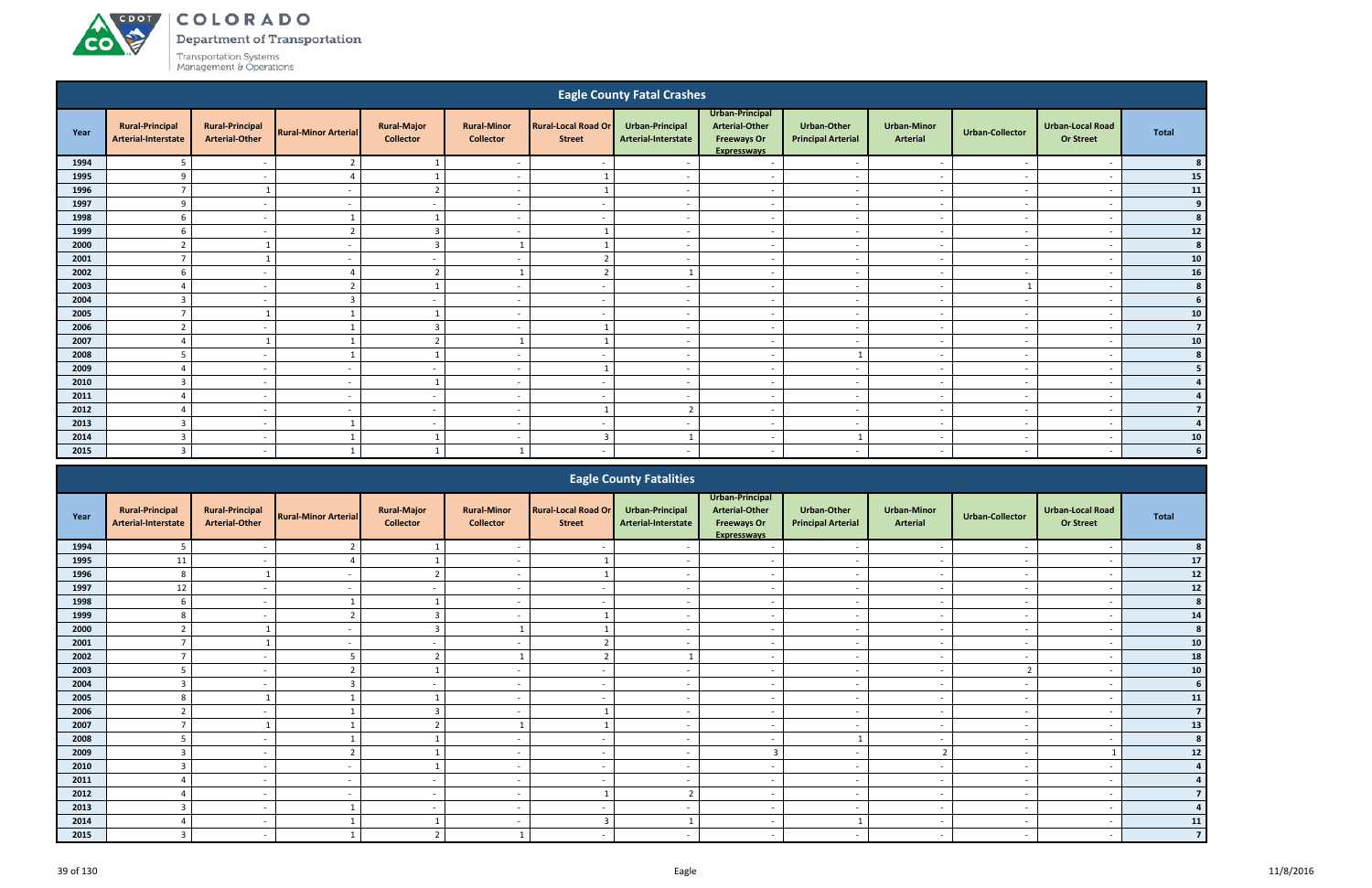A CDOT

**CO** 

Department of Transportation

|                                                                                                                                                                                                                                                                                                                                            |                                               |                                                 |                             |                                        |                                        |                                             | <b>Eagle County Fatal Crashes</b>      |                                                                                      |                                          |                                       |                          |                                             |                |  |
|--------------------------------------------------------------------------------------------------------------------------------------------------------------------------------------------------------------------------------------------------------------------------------------------------------------------------------------------|-----------------------------------------------|-------------------------------------------------|-----------------------------|----------------------------------------|----------------------------------------|---------------------------------------------|----------------------------------------|--------------------------------------------------------------------------------------|------------------------------------------|---------------------------------------|--------------------------|---------------------------------------------|----------------|--|
| Year                                                                                                                                                                                                                                                                                                                                       | <b>Rural-Principal</b><br>Arterial-Interstate | <b>Rural-Principal</b><br><b>Arterial-Other</b> | <b>Rural-Minor Arterial</b> | <b>Rural-Major</b><br><b>Collector</b> | <b>Rural-Minor</b><br><b>Collector</b> | <b>Rural-Local Road Or</b><br><b>Street</b> | Urban-Principal<br>Arterial-Interstate | Urban-Principal<br><b>Arterial-Other</b><br><b>Freeways Or</b><br><b>Expresswavs</b> | Urban-Other<br><b>Principal Arterial</b> | <b>Urban-Minor</b><br><b>Arterial</b> | <b>Urban-Collector</b>   | <b>Urban-Local Road</b><br><b>Or Street</b> | <b>Total</b>   |  |
| 1994                                                                                                                                                                                                                                                                                                                                       | 5                                             | $\overline{\phantom{a}}$                        |                             |                                        |                                        |                                             |                                        | $\overline{\phantom{a}}$                                                             |                                          | $\overline{\phantom{a}}$              |                          | $\overline{\phantom{a}}$                    |                |  |
| 1995                                                                                                                                                                                                                                                                                                                                       | 9                                             | $\sim$                                          |                             |                                        | $\overline{\phantom{a}}$               |                                             |                                        | $\overline{\phantom{a}}$                                                             | $\overline{\phantom{a}}$                 | $\sim$                                | $\sim$                   | $\overline{\phantom{a}}$                    | 15             |  |
| 1996                                                                                                                                                                                                                                                                                                                                       | $\overline{7}$                                |                                                 |                             | $\overline{2}$                         | $\overline{\phantom{0}}$               |                                             |                                        | $\overline{a}$                                                                       | $\overline{\phantom{a}}$                 | $\sim$                                | $\overline{\phantom{a}}$ | $\overline{\phantom{a}}$                    | ${\bf 11}$     |  |
| 1997                                                                                                                                                                                                                                                                                                                                       | 9                                             | $\sim$                                          | $\sim$                      | $\sim$                                 | $\sim$                                 | $\sim$                                      | $\sim$                                 | $\sim$                                                                               | $\overline{a}$                           | $\sim$                                | $\overline{\phantom{a}}$ | $\overline{\phantom{a}}$                    | 9              |  |
| 1998                                                                                                                                                                                                                                                                                                                                       | 6                                             | $\sim$                                          | $\mathbf{1}$                |                                        | $\sim$                                 | $\overline{\phantom{a}}$                    | $\overline{\phantom{a}}$               | $\overline{a}$                                                                       | $\sim$                                   | $\sim$                                | $\sim$                   | $\overline{\phantom{a}}$                    |                |  |
| 1999                                                                                                                                                                                                                                                                                                                                       | 6                                             | $\sim$                                          | $\overline{2}$              | $\overline{3}$                         | $\sim$                                 |                                             | $\sim$                                 | $\overline{\phantom{a}}$                                                             | $\overline{\phantom{a}}$                 | $\sim$                                | $\overline{\phantom{a}}$ | $\overline{\phantom{a}}$                    | 12             |  |
| 2000                                                                                                                                                                                                                                                                                                                                       | $\overline{2}$                                |                                                 |                             | $\overline{3}$                         | $\mathbf{1}$                           |                                             | $\overline{\phantom{a}}$               | $\overline{a}$                                                                       | $\sim$                                   | $\sim$                                | $\overline{\phantom{a}}$ | $\overline{\phantom{a}}$                    | 8              |  |
| 2001                                                                                                                                                                                                                                                                                                                                       | $\overline{7}$                                |                                                 |                             | $\overline{\phantom{a}}$               |                                        |                                             |                                        | $\overline{a}$                                                                       | $\overline{\phantom{a}}$                 | $\overline{\phantom{a}}$              |                          |                                             | 10<br>16       |  |
| $\overline{2}$<br>$\mathbf{\overline{1}}$<br>2002<br>6<br>$\overline{4}$<br>$\mathbf{1}$<br>$\overline{a}$<br>$\sim$<br>$\overline{a}$<br>$\sim$<br>$\overline{\phantom{a}}$<br>2003<br>$\boldsymbol{A}$<br>$\overline{a}$<br>$\overline{\phantom{a}}$<br>$\overline{\phantom{a}}$<br>$\overline{\phantom{a}}$<br>$\overline{\phantom{a}}$ |                                               |                                                 |                             |                                        |                                        |                                             |                                        |                                                                                      |                                          |                                       |                          |                                             |                |  |
|                                                                                                                                                                                                                                                                                                                                            |                                               |                                                 |                             |                                        |                                        |                                             |                                        |                                                                                      |                                          |                                       |                          |                                             |                |  |
| 2004                                                                                                                                                                                                                                                                                                                                       | $\overline{3}$                                | $\sim$                                          | 3                           | $\sim$                                 | $\overline{\phantom{0}}$               | $\sim$                                      | $\overline{\phantom{a}}$               | $\sim$                                                                               | $\sim$                                   | $\sim$                                | $\sim$                   | $\overline{\phantom{a}}$                    | 6              |  |
| 2005                                                                                                                                                                                                                                                                                                                                       | $\overline{7}$                                |                                                 |                             |                                        | $\sim$                                 | $\overline{\phantom{0}}$                    | $\overline{\phantom{a}}$               | $\overline{a}$                                                                       | $\overline{a}$                           | $\sim$                                | $\sim$                   | $\overline{\phantom{a}}$                    | 10             |  |
| 2006                                                                                                                                                                                                                                                                                                                                       | $\overline{2}$                                | $\sim$                                          |                             | $\overline{3}$                         | $\sim$                                 |                                             | $\sim$                                 | $\sim$                                                                               | $\overline{\phantom{a}}$                 | $\sim$                                | $\overline{\phantom{a}}$ | $\overline{\phantom{a}}$                    | $\overline{7}$ |  |
| 2007                                                                                                                                                                                                                                                                                                                                       | $\overline{4}$                                |                                                 |                             | $\overline{2}$                         |                                        |                                             | $\overline{\phantom{a}}$               | $\overline{a}$                                                                       | $\overline{\phantom{a}}$                 | $\sim$                                | $\sim$                   | $\overline{\phantom{a}}$                    | 10             |  |
| 2008                                                                                                                                                                                                                                                                                                                                       | 5                                             | $\sim$                                          |                             |                                        | $\overline{\phantom{a}}$               | $\overline{\phantom{a}}$                    | $\overline{\phantom{a}}$               | $\overline{a}$                                                                       | $\mathbf{1}$                             | $\sim$                                | $\sim$                   | $\overline{\phantom{a}}$                    | 8              |  |
| 2009                                                                                                                                                                                                                                                                                                                                       | $\overline{4}$                                | $\sim$                                          | $\overline{\phantom{0}}$    | $\sim$                                 | $\overline{\phantom{0}}$               |                                             | $\overline{\phantom{a}}$               | $\overline{\phantom{a}}$                                                             | $\overline{\phantom{0}}$                 | $\sim$                                | $\overline{\phantom{a}}$ | $\overline{\phantom{a}}$                    | -5             |  |
| 2010                                                                                                                                                                                                                                                                                                                                       | $\overline{3}$                                | $\sim$                                          | $\overline{\phantom{a}}$    | $\mathbf{1}$                           | $\overline{\phantom{0}}$               | $\overline{\phantom{a}}$                    | $\overline{\phantom{a}}$               | $\overline{a}$                                                                       | $\overline{\phantom{a}}$                 | $\overline{\phantom{a}}$              | $\overline{\phantom{a}}$ | - -                                         | $\overline{a}$ |  |
| 2011                                                                                                                                                                                                                                                                                                                                       | $\overline{4}$                                | $\sim$                                          |                             | $\sim$                                 | $\overline{\phantom{a}}$               | $\overline{\phantom{a}}$                    |                                        | $\overline{\phantom{a}}$                                                             | $\overline{\phantom{a}}$                 | $\overline{\phantom{a}}$              |                          | $\overline{\phantom{a}}$                    |                |  |
| 2012                                                                                                                                                                                                                                                                                                                                       | 4                                             | $\overline{a}$                                  |                             | $\sim$                                 | $\overline{\phantom{a}}$               |                                             | $\mathbf{\hat{}}$                      | $\overline{\phantom{a}}$                                                             |                                          | $\overline{\phantom{a}}$              |                          | $\overline{\phantom{a}}$                    | $\overline{7}$ |  |
| 2013                                                                                                                                                                                                                                                                                                                                       | $\overline{3}$                                | $\sim$                                          |                             | $\sim$                                 | $\overline{\phantom{a}}$               | $\overline{\phantom{a}}$                    |                                        | $\sim$                                                                               | $\overline{a}$                           | $\sim$                                | $\sim$                   | $\overline{\phantom{a}}$                    |                |  |
| 2014                                                                                                                                                                                                                                                                                                                                       | $\overline{3}$                                | $\overline{\phantom{a}}$                        |                             |                                        | $\overline{\phantom{a}}$               |                                             |                                        | $\overline{\phantom{a}}$                                                             |                                          | $\overline{\phantom{a}}$              | $\overline{\phantom{a}}$ | $\overline{\phantom{a}}$                    | 10             |  |
| 2015                                                                                                                                                                                                                                                                                                                                       | $\overline{3}$                                | $\sim$                                          |                             |                                        | 1                                      | $\sim$                                      | $\sim$                                 | $\overline{\phantom{a}}$                                                             | $-$                                      | $\sim$                                | $\sim$                   | $\overline{\phantom{a}}$                    | 6              |  |
|                                                                                                                                                                                                                                                                                                                                            |                                               |                                                 |                             |                                        |                                        |                                             | <b>Fagle County Fatalities</b>         |                                                                                      |                                          |                                       |                          |                                             |                |  |

|      |                                               |                                                 |                             |                                        |                                        |                                             | <b>Eagle County Fatalities</b>         |                                                                                      |                                                 |                                       |                          |                                             |                |
|------|-----------------------------------------------|-------------------------------------------------|-----------------------------|----------------------------------------|----------------------------------------|---------------------------------------------|----------------------------------------|--------------------------------------------------------------------------------------|-------------------------------------------------|---------------------------------------|--------------------------|---------------------------------------------|----------------|
| Year | <b>Rural-Principal</b><br>Arterial-Interstate | <b>Rural-Principal</b><br><b>Arterial-Other</b> | <b>Rural-Minor Arterial</b> | <b>Rural-Major</b><br><b>Collector</b> | <b>Rural-Minor</b><br><b>Collector</b> | <b>Rural-Local Road Or</b><br><b>Street</b> | Urban-Principal<br>Arterial-Interstate | Urban-Principal<br><b>Arterial-Other</b><br><b>Freeways Or</b><br><b>Expresswavs</b> | <b>Urban-Other</b><br><b>Principal Arterial</b> | <b>Urban-Minor</b><br><b>Arterial</b> | <b>Urban-Collector</b>   | <b>Urban-Local Road</b><br><b>Or Street</b> | <b>Total</b>   |
| 1994 | 5                                             |                                                 |                             |                                        |                                        |                                             |                                        |                                                                                      |                                                 |                                       |                          |                                             |                |
| 1995 | 11                                            |                                                 |                             |                                        |                                        |                                             |                                        |                                                                                      |                                                 |                                       |                          |                                             | 17             |
| 1996 | 8                                             |                                                 |                             | ຳ                                      | $\overline{a}$                         |                                             | $\sim$                                 | $\overline{\phantom{a}}$                                                             | $\overline{\phantom{a}}$                        | $\sim$                                | $\sim$                   | $\overline{\phantom{0}}$                    | $12$           |
| 1997 | 12                                            |                                                 |                             |                                        |                                        | $\sim$                                      |                                        | $\overline{\phantom{a}}$                                                             | $\overline{\phantom{a}}$                        | $\overline{\phantom{a}}$              |                          |                                             | 12             |
| 1998 | 6                                             |                                                 |                             |                                        |                                        | $\sim$                                      |                                        | $\overline{\phantom{a}}$                                                             | $\overline{\phantom{a}}$                        | $\sim$                                |                          |                                             | 8              |
| 1999 | 8                                             |                                                 |                             |                                        |                                        |                                             |                                        | $\overline{\phantom{a}}$                                                             | $\overline{\phantom{a}}$                        | $\overline{\phantom{a}}$              |                          |                                             | ${\bf 14}$     |
| 2000 |                                               |                                                 |                             |                                        |                                        |                                             |                                        | $\overline{\phantom{0}}$                                                             | $\overline{\phantom{a}}$                        | $\overline{\phantom{0}}$              |                          |                                             | 8              |
| 2001 |                                               |                                                 | $\sim$                      | $\sim$                                 | $\overline{a}$                         | ຳ                                           | $\overline{\phantom{a}}$               | $\overline{\phantom{a}}$                                                             | $\overline{\phantom{a}}$                        | $\overline{\phantom{a}}$              | $\sim$                   | $\overline{\phantom{0}}$                    | ${\bf 10}$     |
| 2002 | $\overline{ }$                                |                                                 |                             | ຳ                                      |                                        | ຳ                                           |                                        | $\overline{\phantom{a}}$                                                             | $\overline{\phantom{a}}$                        | $\overline{\phantom{a}}$              |                          |                                             | 18             |
| 2003 | 5                                             |                                                 |                             |                                        |                                        | $\overline{\phantom{a}}$                    |                                        | $\overline{\phantom{a}}$                                                             | $\overline{\phantom{a}}$                        | $\overline{\phantom{a}}$              | <sup>-</sup>             |                                             | ${\bf 10}$     |
| 2004 | 3                                             |                                                 |                             |                                        |                                        | $\overline{\phantom{0}}$                    |                                        | $\overline{\phantom{a}}$                                                             | $\overline{\phantom{a}}$                        | $\overline{\phantom{0}}$              |                          |                                             | 6              |
| 2005 | 8                                             |                                                 |                             |                                        | $\overline{\phantom{a}}$               | $\sim$                                      |                                        | $\overline{\phantom{a}}$                                                             | $\blacksquare$                                  | $\sim$                                | $\overline{\phantom{a}}$ |                                             | 11             |
| 2006 | $\overline{2}$                                |                                                 |                             |                                        | $\overline{\phantom{0}}$               |                                             |                                        | $\overline{\phantom{0}}$                                                             | $\overline{\phantom{a}}$                        | $\overline{\phantom{0}}$              | $\overline{\phantom{0}}$ |                                             | $\overline{7}$ |
| 2007 | $\overline{7}$                                |                                                 |                             |                                        |                                        |                                             |                                        | $\overline{\phantom{0}}$                                                             | $\overline{\phantom{a}}$                        | $\overline{\phantom{a}}$              | $\overline{\phantom{a}}$ |                                             | 13             |
| 2008 |                                               |                                                 |                             |                                        |                                        | $\overline{\phantom{a}}$                    |                                        |                                                                                      |                                                 |                                       |                          |                                             |                |
| 2009 | $\overline{3}$                                |                                                 |                             |                                        |                                        |                                             |                                        |                                                                                      | $\overline{\phantom{a}}$                        | $\mathbf{\hat{z}}$                    |                          |                                             | 12             |
| 2010 | $\overline{3}$                                | $\sim$                                          |                             |                                        | $\overline{a}$                         | $\sim$                                      | $\overline{\phantom{a}}$               | $\overline{\phantom{a}}$                                                             | $\overline{\phantom{a}}$                        | $\sim$                                | $\sim$                   |                                             |                |
| 2011 |                                               |                                                 |                             | $\sim$                                 |                                        | $\sim$                                      |                                        | $\overline{\phantom{a}}$                                                             | $\overline{\phantom{a}}$                        | $\overline{\phantom{a}}$              |                          |                                             |                |
| 2012 |                                               |                                                 |                             | $\sim$                                 |                                        |                                             | $\mathbf{r}$                           | $\overline{\phantom{a}}$                                                             | $\overline{\phantom{a}}$                        | $\sim$                                |                          |                                             |                |
| 2013 | 3                                             |                                                 |                             |                                        |                                        |                                             |                                        |                                                                                      |                                                 | $\overline{\phantom{0}}$              |                          |                                             |                |
| 2014 |                                               | $\sim$                                          |                             |                                        | $\overline{\phantom{0}}$               |                                             |                                        | $\overline{\phantom{a}}$                                                             |                                                 | $\overline{\phantom{a}}$              | $\overline{\phantom{0}}$ |                                             | 11             |
| 2015 | 3                                             | $\sim$                                          |                             |                                        |                                        | $\overline{\phantom{a}}$                    |                                        | $\overline{\phantom{a}}$                                                             | $\overline{\phantom{a}}$                        | $\overline{\phantom{a}}$              | $\overline{\phantom{a}}$ |                                             | $\overline{7}$ |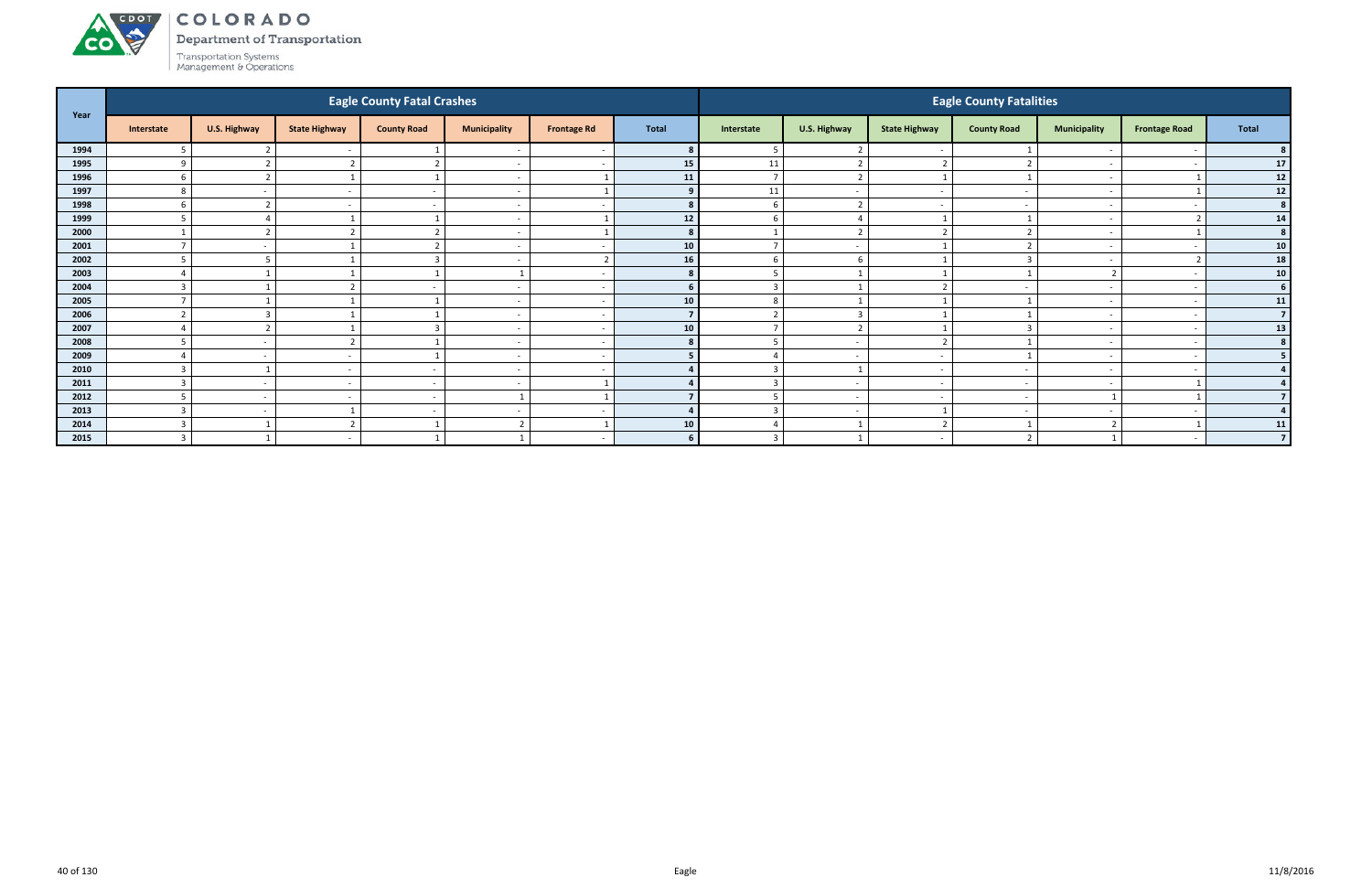#### ACDOL COLORADO

Department of Transportation



| Year |                  |                          |                          | <b>Eagle County Fatal Crashes</b> |                          |                    |                 |                |                          |                          | <b>Eagle County Fatalities</b> |                          |                      |                 |
|------|------------------|--------------------------|--------------------------|-----------------------------------|--------------------------|--------------------|-----------------|----------------|--------------------------|--------------------------|--------------------------------|--------------------------|----------------------|-----------------|
|      | Interstate       | U.S. Highway             | <b>State Highway</b>     | <b>County Road</b>                | <b>Municipality</b>      | <b>Frontage Rd</b> | <b>Total</b>    | Interstate     | U.S. Highway             | <b>State Highway</b>     | <b>County Road</b>             | <b>Municipality</b>      | <b>Frontage Road</b> | Total           |
| 1994 |                  |                          |                          |                                   | $\overline{\phantom{a}}$ |                    |                 | .5             | ີ                        |                          |                                |                          |                      |                 |
| 1995 | $\Omega$         | $\overline{\phantom{a}}$ |                          | $\overline{2}$                    | $\overline{a}$           |                    | 15              | 11             | $\overline{2}$           |                          |                                | $\overline{\phantom{a}}$ |                      | 17              |
| 1996 | 6                | $\overline{2}$           |                          |                                   | $\overline{a}$           |                    | 11              | $\overline{7}$ | $\overline{2}$           |                          |                                | $\sim$                   |                      | $12$            |
| 1997 | 8                |                          |                          |                                   | $\overline{\phantom{a}}$ |                    | 9               | 11             | $\overline{\phantom{a}}$ |                          |                                | $\overline{\phantom{0}}$ |                      | 12              |
| 1998 | b                |                          |                          |                                   | $\overline{\phantom{a}}$ |                    |                 | 6              | $\overline{\phantom{a}}$ |                          |                                | $\overline{\phantom{0}}$ |                      | 8               |
| 1999 |                  |                          |                          |                                   | $\overline{\phantom{a}}$ |                    | 12              | 6              |                          |                          |                                |                          |                      | 14              |
| 2000 |                  | ຳ                        |                          | $\overline{2}$                    | $\overline{a}$           |                    | 8 <sup>1</sup>  |                | $\overline{2}$           | ຳ                        |                                | $\overline{\phantom{a}}$ |                      | 8 <sup>1</sup>  |
| 2001 |                  | $\overline{\phantom{a}}$ |                          | $\overline{2}$                    | $\overline{a}$           |                    | 10              | $\overline{7}$ | $\sim$                   |                          |                                | $\sim$                   |                      | ${\bf 10}$      |
| 2002 | $\blacksquare$   |                          |                          | $\overline{3}$                    | $\overline{a}$           |                    | 16              | 6              | - 6                      |                          |                                |                          |                      | 18              |
| 2003 |                  |                          |                          |                                   |                          |                    | 8               | 5              |                          |                          |                                | $\overline{2}$           |                      | 10 <sup>1</sup> |
| 2004 | $\mathbf{3}$     |                          |                          |                                   | $\overline{a}$           |                    | 6.              | $\overline{3}$ |                          |                          |                                |                          |                      | 6               |
| 2005 |                  |                          |                          |                                   | $\overline{a}$           |                    | 10              | 8              |                          |                          |                                |                          |                      | 11              |
| 2006 | $\mathbf{\cdot}$ | $\overline{3}$           |                          |                                   | $\overline{a}$           |                    | $\overline{7}$  | $\overline{2}$ | $\overline{3}$           |                          |                                | $\sim$                   |                      |                 |
| 2007 |                  | r.                       |                          | 3                                 | $\overline{\phantom{a}}$ |                    | 10 <sup>1</sup> | $\overline{7}$ | $\overline{2}$           |                          |                                |                          |                      | 13              |
| 2008 |                  | $\overline{\phantom{0}}$ |                          |                                   | $\overline{\phantom{a}}$ |                    | $\mathbf{R}$    | 5              | $\overline{a}$           | ຳ                        |                                | $\overline{\phantom{0}}$ |                      |                 |
| 2009 |                  |                          |                          |                                   | $\overline{a}$           |                    |                 |                | $\overline{\phantom{a}}$ |                          |                                |                          |                      |                 |
| 2010 | $\mathbf{r}$     |                          |                          |                                   | $\overline{\phantom{a}}$ |                    |                 | 3              | $\overline{\phantom{0}}$ |                          |                                |                          |                      |                 |
| 2011 | $\mathbf{3}$     | $\sim$                   | $\overline{\phantom{a}}$ | $\sim$                            | $\overline{a}$           |                    |                 | $\overline{3}$ | $\overline{a}$           | $\overline{\phantom{a}}$ |                                | $\sim$                   |                      |                 |
| 2012 | -5               | $\sim$                   | $\overline{\phantom{a}}$ | $\sim$                            |                          |                    |                 | 5              | $\overline{\phantom{a}}$ | $\overline{\phantom{a}}$ | $\overline{\phantom{a}}$       |                          |                      |                 |
| 2013 | $\overline{3}$   | $\sim$                   |                          |                                   | $-$                      |                    |                 | $\overline{3}$ | $\sim$                   |                          |                                | $\overline{\phantom{0}}$ |                      |                 |
| 2014 | $\overline{3}$   |                          |                          |                                   | $\mathcal{L}$            |                    | 10              |                |                          | ຳ                        |                                | $\overline{2}$           |                      | 11              |
| 2015 | $\mathbf{R}$     |                          |                          |                                   |                          |                    | 6 <sup>1</sup>  | $\overline{3}$ |                          |                          |                                |                          |                      | $\overline{7}$  |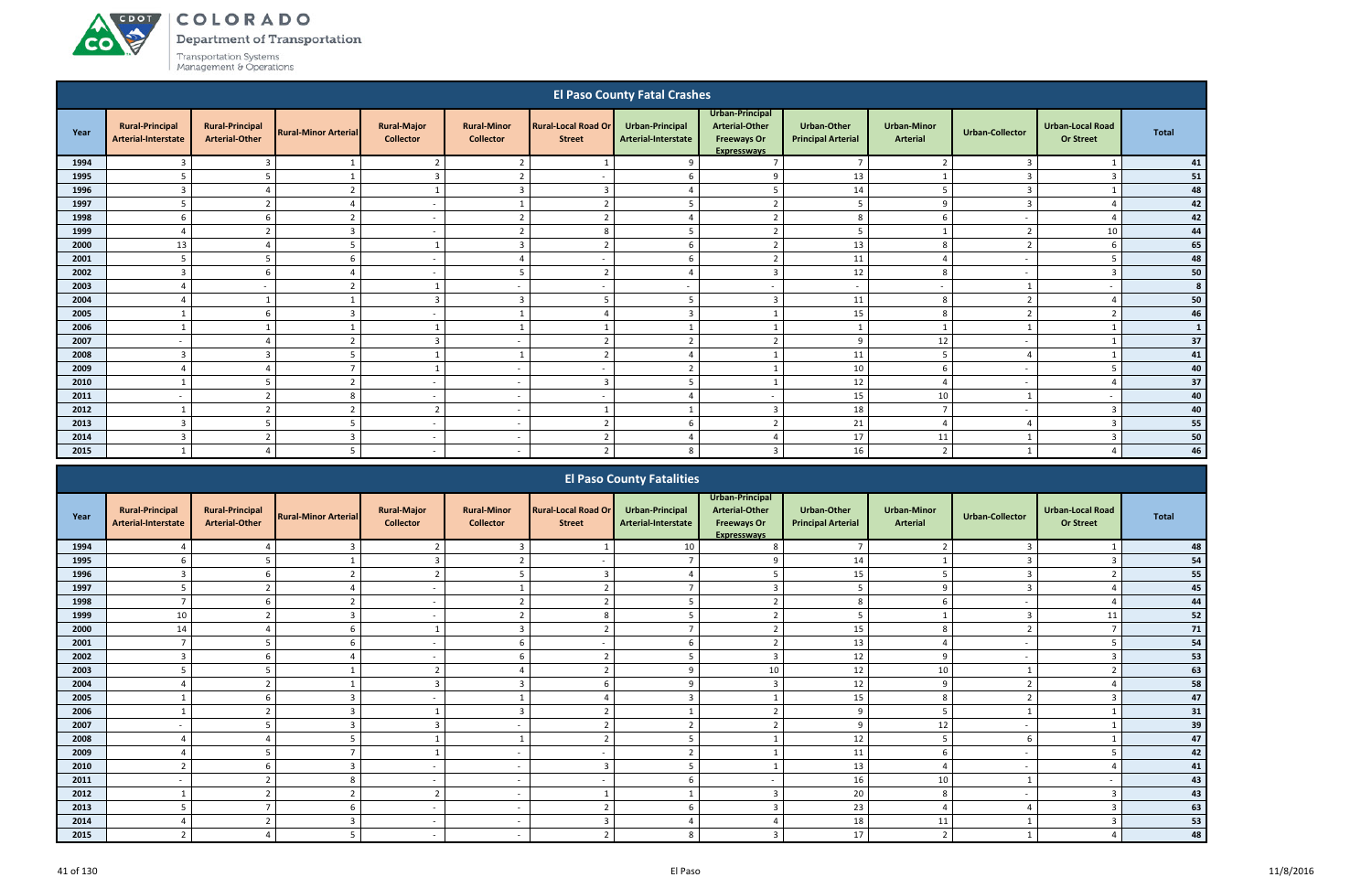A CDOT

**CO** 

Department of Transportation

|                                                                                                                          |                                               |                                                 |                             |                                        |                                        |                                             | <b>El Paso County Fatal Crashes</b>           |                                                                                      |                                                 |                                |                          |                                             |              |
|--------------------------------------------------------------------------------------------------------------------------|-----------------------------------------------|-------------------------------------------------|-----------------------------|----------------------------------------|----------------------------------------|---------------------------------------------|-----------------------------------------------|--------------------------------------------------------------------------------------|-------------------------------------------------|--------------------------------|--------------------------|---------------------------------------------|--------------|
| Year                                                                                                                     | <b>Rural-Principal</b><br>Arterial-Interstate | <b>Rural-Principal</b><br><b>Arterial-Other</b> | <b>Rural-Minor Arterial</b> | <b>Rural-Major</b><br><b>Collector</b> | <b>Rural-Minor</b><br><b>Collector</b> | <b>Rural-Local Road Or</b><br><b>Street</b> | <b>Urban-Principal</b><br>Arterial-Interstate | Urban-Principal<br><b>Arterial-Other</b><br><b>Freeways Or</b><br><b>Expresswavs</b> | <b>Urban-Other</b><br><b>Principal Arterial</b> | <b>Urban-Minor</b><br>Arterial | <b>Urban-Collector</b>   | <b>Urban-Local Road</b><br><b>Or Street</b> | <b>Total</b> |
| 1994                                                                                                                     | 3                                             | 3                                               |                             | $\overline{2}$                         | $\overline{2}$                         |                                             | 9                                             | $\overline{ }$                                                                       | $\overline{7}$                                  | ຳ                              | 3                        |                                             | 41           |
| 1995                                                                                                                     |                                               |                                                 |                             | $\overline{3}$                         | $\overline{2}$                         |                                             | 6                                             | q                                                                                    | 13                                              |                                |                          | -3                                          | 51           |
| 1996                                                                                                                     | $\overline{3}$                                | $\Delta$                                        | $\overline{2}$              | 1                                      | $\overline{3}$                         | $\mathbf{a}$                                | $\Delta$                                      | -5                                                                                   | 14                                              | 5                              | $\mathbf{a}$             |                                             | 48           |
| 1997                                                                                                                     | 5                                             | ຳ                                               |                             | $\sim$                                 |                                        |                                             |                                               | $\mathcal{L}$                                                                        | 5                                               | q                              | $\mathbf{a}$             |                                             | 42           |
| 1998                                                                                                                     | 6                                             | -6                                              | $\mathbf{\hat{}}$           | $\sim$                                 | $\overline{2}$                         | $\mathbf{\overline{1}}$                     |                                               | $\overline{2}$                                                                       | 8                                               | 6                              |                          |                                             | 42           |
| 1999                                                                                                                     | $\overline{4}$                                | $\mathbf{\hat{}}$                               | $\overline{3}$              | $\overline{\phantom{a}}$               | $\overline{2}$                         | 8                                           |                                               | $\overline{2}$                                                                       | 5                                               |                                | $\mathbf{r}$             | 10                                          | 44           |
| 2000                                                                                                                     | 13                                            |                                                 |                             |                                        | $\overline{3}$                         |                                             |                                               | $\overline{2}$                                                                       | 13                                              | 8                              |                          |                                             | 65           |
| 2001<br>11<br>5<br>$\overline{2}$<br>5<br>-6<br>$\overline{a}$<br>6<br>Δ<br>$\sim$<br>$\sim$<br>$\overline{\phantom{a}}$ |                                               |                                                 |                             |                                        |                                        |                                             |                                               |                                                                                      |                                                 |                                |                          |                                             | 48           |
| 2002                                                                                                                     | $\overline{3}$                                | -6                                              |                             | $\sim$                                 | 5                                      | $\mathbf{\overline{2}}$                     |                                               | $\overline{\mathbf{3}}$                                                              | 12                                              | -8                             | $\sim$                   | $\mathbf{R}$                                | 50           |
| 2003                                                                                                                     | $\overline{a}$                                |                                                 | $\mathbf{r}$                |                                        | $\overline{\phantom{0}}$               |                                             | $\overline{\phantom{a}}$                      | $\overline{\phantom{a}}$                                                             | $\overline{a}$                                  | $\overline{\phantom{a}}$       |                          | $\overline{\phantom{a}}$                    |              |
| 2004                                                                                                                     |                                               |                                                 |                             | $\overline{3}$                         | $\overline{3}$                         |                                             | 5                                             | $\overline{\mathbf{3}}$                                                              | 11                                              | 8                              |                          |                                             | 50           |
| 2005                                                                                                                     |                                               | -6                                              | $\overline{3}$              | $\sim$                                 |                                        |                                             | $\overline{3}$                                |                                                                                      | 15                                              | 8                              | $\mathbf{\overline{}}$   | ຳ                                           | 46           |
| 2006                                                                                                                     |                                               |                                                 |                             |                                        |                                        |                                             |                                               |                                                                                      | $\mathbf{1}$                                    |                                |                          |                                             |              |
| 2007                                                                                                                     |                                               | ⊿                                               | $\overline{2}$              | 3                                      | $\overline{\phantom{a}}$               | ຳ                                           | $\mathcal{D}$                                 | $\overline{2}$                                                                       | 9                                               | 12                             | $\sim$                   |                                             | 37           |
| 2008                                                                                                                     | 3                                             | 3                                               | 5                           |                                        |                                        | ຳ                                           |                                               |                                                                                      | 11                                              | -5                             |                          |                                             | 41           |
| 2009                                                                                                                     | $\overline{4}$                                | $\Delta$                                        | $\mathbf{z}$                |                                        | -                                      | . .                                         | $\mathbf{\hat{z}}$                            |                                                                                      | $10\,$                                          | 6                              | $\overline{\phantom{a}}$ |                                             | 40           |
| 2010                                                                                                                     | $\mathbf{1}$                                  | 5                                               | $\mathcal{L}$               | $\sim$                                 | $\overline{\phantom{a}}$               | $\overline{3}$                              |                                               |                                                                                      | 12                                              | $\Delta$                       | $\overline{\phantom{a}}$ |                                             | 37           |
| 2011                                                                                                                     |                                               |                                                 | 8                           | $\overline{\phantom{a}}$               |                                        |                                             |                                               | $\overline{\phantom{a}}$                                                             | 15                                              | 10                             |                          | $\overline{\phantom{a}}$                    | 40           |
| 2012                                                                                                                     |                                               | ຳ                                               | $\overline{2}$              | $\overline{2}$                         | $\overline{\phantom{a}}$               |                                             |                                               | $\overline{\mathbf{3}}$                                                              | 18                                              | $\mathbf{\tau}$                | $\overline{\phantom{a}}$ | $\mathbf{3}$                                | 40           |
| 2013                                                                                                                     | 3                                             | 5                                               |                             | $\sim$                                 | $\overline{\phantom{a}}$               | h                                           |                                               | $\overline{2}$                                                                       | 21                                              | $\Delta$                       |                          |                                             | 55           |
| 2014                                                                                                                     | $\overline{3}$                                | h                                               | $\overline{3}$              | $\sim$                                 | $\overline{\phantom{a}}$               | ຳ                                           | $\Delta$                                      | $\Delta$                                                                             | 17                                              | 11                             |                          | -3                                          | 50           |
| 2015                                                                                                                     |                                               |                                                 | .5                          | $\sim$                                 | $\overline{\phantom{0}}$               | ຳ                                           | 8                                             | 3                                                                                    | 16                                              | $\overline{2}$                 |                          |                                             | 46           |
|                                                                                                                          |                                               |                                                 |                             |                                        |                                        |                                             | <b>FL Denis Complete Federation</b>           |                                                                                      |                                                 |                                |                          |                                             |              |

|      |                                               |                                                 |                             |                                        |                                        |                                             | <b>El Paso County Fatalities</b>       |                                                                                      |                                                 |                                       |                        |                                             |              |
|------|-----------------------------------------------|-------------------------------------------------|-----------------------------|----------------------------------------|----------------------------------------|---------------------------------------------|----------------------------------------|--------------------------------------------------------------------------------------|-------------------------------------------------|---------------------------------------|------------------------|---------------------------------------------|--------------|
| Year | <b>Rural-Principal</b><br>Arterial-Interstate | <b>Rural-Principal</b><br><b>Arterial-Other</b> | <b>Rural-Minor Arterial</b> | <b>Rural-Major</b><br><b>Collector</b> | <b>Rural-Minor</b><br><b>Collector</b> | <b>Rural-Local Road Or</b><br><b>Street</b> | Urban-Principal<br>Arterial-Interstate | Urban-Principal<br><b>Arterial-Other</b><br><b>Freeways Or</b><br><b>Expresswavs</b> | <b>Urban-Other</b><br><b>Principal Arterial</b> | <b>Urban-Minor</b><br><b>Arterial</b> | <b>Urban-Collector</b> | <b>Urban-Local Road</b><br><b>Or Street</b> | <b>Total</b> |
| 1994 | $\overline{a}$                                |                                                 | $\overline{3}$              |                                        |                                        |                                             | 10                                     |                                                                                      | $\overline{7}$                                  |                                       | 3                      |                                             | 48           |
| 1995 |                                               |                                                 |                             |                                        |                                        |                                             |                                        |                                                                                      | 14                                              |                                       |                        |                                             | 54           |
| 1996 | 3                                             | 6                                               | $\overline{2}$              | ി                                      |                                        |                                             |                                        |                                                                                      | 15                                              |                                       |                        |                                             | 55           |
| 1997 | 5                                             | $\overline{2}$                                  |                             |                                        |                                        |                                             |                                        | ີ                                                                                    | 5                                               | 9                                     | 3                      |                                             | 45           |
| 1998 |                                               |                                                 |                             | $\sim$                                 |                                        |                                             |                                        |                                                                                      | 8                                               |                                       |                        |                                             | 44           |
| 1999 | 10                                            |                                                 |                             |                                        |                                        |                                             |                                        |                                                                                      |                                                 |                                       |                        | 11                                          | 52           |
| 2000 | 14                                            |                                                 |                             |                                        |                                        |                                             |                                        |                                                                                      | 15                                              | $\mathbf{8}$                          |                        |                                             | 71           |
| 2001 | $\overline{7}$                                | ŗ.                                              | -6                          | $\sim$                                 | 6                                      |                                             |                                        |                                                                                      | 13                                              |                                       |                        |                                             | ${\bf 54}$   |
| 2002 | $\overline{3}$                                |                                                 |                             |                                        | 6                                      |                                             |                                        |                                                                                      | 12                                              | $\Omega$                              |                        |                                             | 53           |
| 2003 | 5                                             |                                                 |                             |                                        |                                        |                                             |                                        | 10                                                                                   | 12                                              | 10                                    |                        |                                             | 63           |
| 2004 |                                               |                                                 |                             |                                        |                                        |                                             |                                        |                                                                                      | 12                                              |                                       |                        |                                             | 58           |
| 2005 |                                               | 6                                               | 3                           | $\sim$                                 |                                        |                                             |                                        |                                                                                      | 15                                              | 8                                     |                        |                                             | 47           |
| 2006 | $\mathbf{1}$                                  | ຳ                                               | 3                           |                                        | $\mathbf{\Omega}$                      |                                             |                                        |                                                                                      | 9                                               |                                       |                        |                                             | 31           |
| 2007 |                                               |                                                 | 3                           | ി                                      |                                        |                                             |                                        |                                                                                      | 9                                               | 12                                    |                        |                                             | 39           |
| 2008 |                                               |                                                 |                             |                                        |                                        |                                             |                                        |                                                                                      | 12                                              |                                       | 6                      |                                             | 47           |
| 2009 | $\Delta$                                      |                                                 |                             |                                        | $\overline{\phantom{0}}$               |                                             |                                        |                                                                                      | 11                                              | 6                                     |                        |                                             | 42           |
| 2010 | $\overline{2}$                                | 6                                               | 3                           | $\sim$                                 |                                        | $\mathbf{\Omega}$                           |                                        |                                                                                      | 13                                              |                                       |                        |                                             | 41           |
| 2011 |                                               |                                                 | 8                           | $\sim$                                 |                                        |                                             |                                        |                                                                                      | 16                                              | 10                                    |                        |                                             | 43           |
| 2012 |                                               |                                                 |                             |                                        |                                        |                                             |                                        |                                                                                      | $20\,$                                          | 8                                     |                        |                                             | 43           |
| 2013 | 5                                             |                                                 |                             | $\sim$                                 |                                        |                                             |                                        |                                                                                      | 23                                              |                                       |                        |                                             | 63           |
| 2014 | $\Delta$                                      | r.                                              | 3                           | $\sim$                                 | $\overline{\phantom{0}}$               |                                             |                                        |                                                                                      | 18                                              | 11                                    |                        |                                             | 53           |
| 2015 | $\overline{2}$                                |                                                 | 5                           | $\sim$                                 |                                        |                                             | $\mathsf{R}$                           |                                                                                      | 17                                              | $\mathbf{a}$                          |                        |                                             | 48           |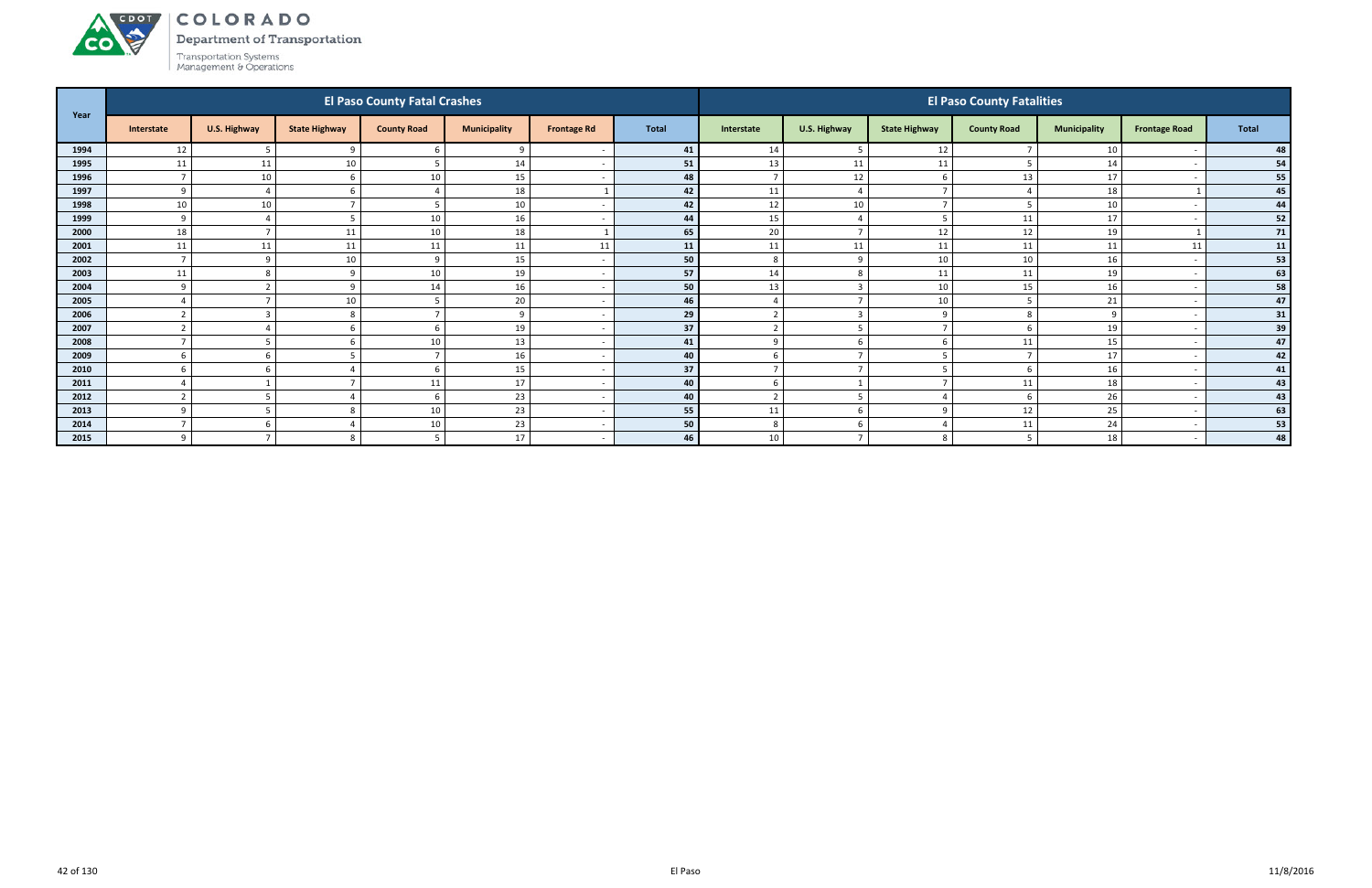Department of Transportation



ACDOT

| Year |                  |                     |                      | <b>El Paso County Fatal Crashes</b> |                     |                    |              |                |                          |                      | <b>El Paso County Fatalities</b> |                     |                      |       |
|------|------------------|---------------------|----------------------|-------------------------------------|---------------------|--------------------|--------------|----------------|--------------------------|----------------------|----------------------------------|---------------------|----------------------|-------|
|      | Interstate       | <b>U.S. Highway</b> | <b>State Highway</b> | <b>County Road</b>                  | <b>Municipality</b> | <b>Frontage Rd</b> | <b>Total</b> | Interstate     | U.S. Highway             | <b>State Highway</b> | <b>County Road</b>               | <b>Municipality</b> | <b>Frontage Road</b> | Total |
| 1994 | 12               | .5                  | $\Omega$             | 6                                   | $\mathbf{q}$        |                    | 41           | 14             | - 5                      | 12                   |                                  | 10                  |                      | 48    |
| 1995 | 11               | 11                  | 10                   | 5                                   | 14                  |                    | 51           | 13             | 11                       | 11                   |                                  | 14                  |                      | 54    |
| 1996 |                  | 10                  | h                    | 10                                  | 15                  |                    | 48           | $\overline{7}$ | 12                       | h                    | 13                               | 17                  |                      | 55    |
| 1997 | $\mathsf{q}$     |                     |                      |                                     | 18                  |                    | 42           | 11             | $\overline{a}$           |                      |                                  | 18                  |                      | 45    |
| 1998 | 10               | 10                  |                      |                                     | 10                  |                    | 42           | 12             | 10                       |                      |                                  | 10                  |                      | 44    |
| 1999 | $\mathbf{q}$     |                     |                      | 10                                  | 16                  |                    | 44           | 15             |                          |                      | 11                               | 17                  |                      | 52    |
| 2000 | 18               | <b>-</b>            | 11                   | 10                                  | 18                  |                    | 65           | 20             | $\overline{7}$           | 12                   | 12                               | 19                  |                      | 71    |
| 2001 | 11               | 11                  | 11                   | 11                                  | 11                  | 11                 | 11           | 11             | 11                       | 11                   | 11                               | 11                  | 11                   | 11    |
| 2002 | $\overline{7}$   | 9                   | 10                   | 9                                   | 15                  |                    | 50           | 8              | -9                       | 10                   | 10                               | 16                  |                      | 53    |
| 2003 | 11               | 8                   | $\Omega$             | 10                                  | 19                  |                    | 57           | 14             | 8                        | 11                   | 11                               | 19                  |                      | 63    |
| 2004 | $\Omega$         |                     | $\Omega$             | 14                                  | 16                  |                    | 50           | 13             | $\overline{3}$           | 10                   | 15                               | 16                  |                      | 58    |
| 2005 |                  |                     | 10                   | 5                                   | 20                  |                    | 46           |                | $\overline{\phantom{a}}$ | 10                   |                                  | 21                  |                      | 47    |
| 2006 |                  | r.                  |                      | -                                   | $\mathbf{q}$        |                    | 29           | $\overline{2}$ | $\overline{\mathbf{3}}$  | $\Omega$             |                                  | 9                   |                      | 31    |
| 2007 | $\overline{2}$   |                     | 6                    | 6                                   | 19                  |                    | 37           | $\overline{2}$ | - 5                      |                      |                                  | 19                  |                      | 39    |
| 2008 |                  |                     |                      | 10                                  | 13                  |                    | 41           | 9              | -6                       |                      | 11                               | 15                  |                      | 47    |
| 2009 | 6                | -6                  |                      | 7                                   | 16                  |                    | 40           | 6              |                          |                      |                                  | 17                  |                      | 42    |
| 2010 |                  |                     |                      | 6                                   | 15                  |                    | 37           | $\overline{7}$ |                          |                      |                                  | 16                  |                      | 41    |
| 2011 |                  |                     |                      | 11                                  | 17                  |                    | 40           | 6              |                          |                      | 11                               | 18                  |                      | 43    |
| 2012 | $\mathbf{\cdot}$ |                     |                      | 6                                   | 23                  |                    | 40           | $\overline{2}$ | -5                       |                      |                                  | 26                  |                      | 43    |
| 2013 | $\mathbf{q}$     | .5                  |                      | 10                                  | 23                  |                    | 55           | 11             | 6                        | q                    | 12                               | 25                  |                      | 63    |
| 2014 |                  | -6                  |                      | 10                                  | 23                  |                    | 50           | 8              | -6                       |                      | 11                               | 24                  |                      | 53    |
| 2015 | $\Omega$         |                     |                      | 5                                   | $17\,$              |                    | 46           | 10             |                          | 8                    |                                  | 18                  |                      | 48    |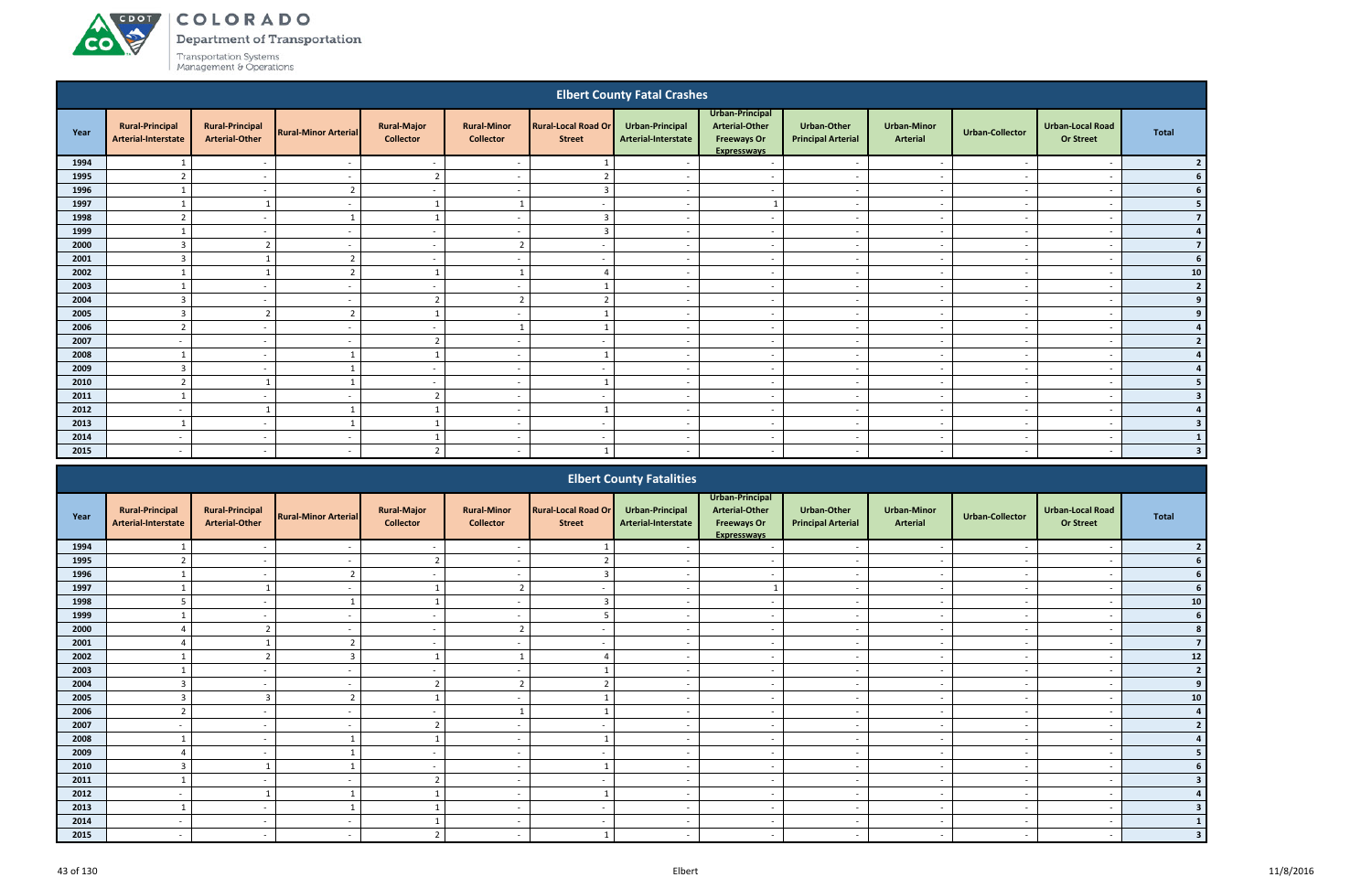ACDOT

**CO** 

Department of Transportation

|      |                                               |                                                 |                             |                                        |                                        |                                             | <b>Elbert County Fatal Crashes</b>            |                                                                                      |                                          |                                |                          |                                             |                  |
|------|-----------------------------------------------|-------------------------------------------------|-----------------------------|----------------------------------------|----------------------------------------|---------------------------------------------|-----------------------------------------------|--------------------------------------------------------------------------------------|------------------------------------------|--------------------------------|--------------------------|---------------------------------------------|------------------|
| Year | <b>Rural-Principal</b><br>Arterial-Interstate | <b>Rural-Principal</b><br><b>Arterial-Other</b> | <b>Rural-Minor Arterial</b> | <b>Rural-Major</b><br><b>Collector</b> | <b>Rural-Minor</b><br><b>Collector</b> | <b>Rural-Local Road Or</b><br><b>Street</b> | <b>Urban-Principal</b><br>Arterial-Interstate | Urban-Principal<br><b>Arterial-Other</b><br><b>Freeways Or</b><br><b>Expresswavs</b> | Urban-Other<br><b>Principal Arterial</b> | <b>Urban-Minor</b><br>Arterial | <b>Urban-Collector</b>   | <b>Urban-Local Road</b><br><b>Or Street</b> | <b>Total</b>     |
| 1994 |                                               | $\overline{\phantom{a}}$                        | $\overline{\phantom{a}}$    | $\overline{\phantom{a}}$               | $\overline{\phantom{a}}$               |                                             | $\overline{\phantom{a}}$                      | $\overline{\phantom{a}}$                                                             | $\overline{\phantom{a}}$                 | $\overline{\phantom{a}}$       | $\sim$                   |                                             |                  |
| 1995 | $\overline{2}$                                | $\overline{a}$                                  | $\overline{\phantom{a}}$    | $\overline{2}$                         | $\overline{\phantom{a}}$               | $\overline{2}$                              | $\overline{\phantom{a}}$                      | $\overline{\phantom{a}}$                                                             | $\overline{\phantom{a}}$                 | $\overline{\phantom{a}}$       | $\sim$                   |                                             | 6                |
| 1996 |                                               | $\overline{\phantom{a}}$                        | $\mathcal{P}$               | $\overline{\phantom{a}}$               | $\overline{a}$                         | $\overline{3}$                              | $\overline{\phantom{a}}$                      | $\overline{\phantom{a}}$                                                             | $\overline{\phantom{a}}$                 | $\overline{\phantom{a}}$       | $\sim$                   | $\overline{\phantom{a}}$                    |                  |
| 1997 |                                               |                                                 | $\overline{\phantom{a}}$    |                                        |                                        | $\sim$                                      | $\overline{\phantom{a}}$                      |                                                                                      | $\overline{\phantom{a}}$                 | $\overline{\phantom{a}}$       | $\sim$                   | $\overline{\phantom{a}}$                    |                  |
| 1998 | $\overline{2}$                                | $\overline{\phantom{a}}$                        |                             | $\overline{1}$                         | $\overline{a}$                         | $\overline{3}$                              | $\sim$                                        | $\sim$                                                                               | $\overline{a}$                           | $\overline{\phantom{a}}$       | $\sim$                   | $\overline{\phantom{a}}$                    | $\overline{7}$   |
| 1999 | $\mathbf{1}$                                  | $\overline{a}$                                  | $\overline{\phantom{a}}$    | $\sim$                                 | $\overline{a}$                         | $\overline{3}$                              | $\overline{\phantom{a}}$                      | $\overline{a}$                                                                       | $\overline{a}$                           | $\sim$                         | $\overline{\phantom{a}}$ | $\overline{\phantom{a}}$                    | $\boldsymbol{A}$ |
| 2000 | $\overline{3}$                                | ຳ                                               | $\overline{\phantom{a}}$    | $\sim$                                 | $\overline{2}$                         | $\overline{\phantom{a}}$                    | $\overline{\phantom{a}}$                      | $\overline{a}$                                                                       | $\overline{\phantom{a}}$                 | $\sim$                         | $\overline{\phantom{a}}$ | $\overline{\phantom{a}}$                    | $\overline{7}$   |
| 2001 | $\overline{3}$                                |                                                 | $\overline{2}$              | $\sim$                                 | $\overline{\phantom{a}}$               | $\overline{\phantom{a}}$                    | $\overline{a}$                                | $\sim$                                                                               | $\overline{\phantom{a}}$                 | $\overline{\phantom{a}}$       | $\sim$                   | $\overline{\phantom{a}}$                    |                  |
| 2002 |                                               |                                                 | $\mathbf{\hat{}}$           |                                        |                                        | Δ                                           | $\overline{\phantom{a}}$                      | $\overline{\phantom{a}}$                                                             | $\overline{\phantom{a}}$                 | $\sim$                         | $\sim$                   | $\overline{\phantom{a}}$                    | 10               |
| 2003 |                                               | $\sim$                                          | $\sim$                      | $\sim$                                 | $\sim$                                 |                                             | $\sim$                                        | $\sim$                                                                               | $\overline{a}$                           | $\sim$                         | $\sim$                   | $\overline{\phantom{a}}$                    | $\overline{2}$   |
| 2004 | $\overline{3}$                                | $\overline{\phantom{a}}$                        | $\overline{a}$              | $\overline{2}$                         | $\overline{2}$                         | $\overline{2}$                              | $\sim$                                        | $\overline{\phantom{a}}$                                                             | $\overline{a}$                           | $\sim$                         | $\overline{\phantom{a}}$ | $\overline{\phantom{a}}$                    |                  |
| 2005 | $\overline{3}$                                | $\overline{z}$                                  | $\overline{z}$              | $\overline{1}$                         | $\overline{\phantom{a}}$               |                                             | $\overline{\phantom{a}}$                      | $\overline{a}$                                                                       | $\overline{\phantom{a}}$                 | $\overline{\phantom{a}}$       | $\overline{\phantom{a}}$ | $\overline{\phantom{a}}$                    |                  |
| 2006 | $\overline{2}$                                | $\overline{\phantom{a}}$                        |                             | $\sim$                                 |                                        |                                             | $\overline{\phantom{a}}$                      | $\overline{\phantom{a}}$                                                             | $\overline{\phantom{a}}$                 | $\overline{\phantom{a}}$       |                          | $\overline{\phantom{a}}$                    |                  |
| 2007 |                                               | $\sim$                                          |                             | ຳ                                      | $\overline{\phantom{a}}$               | $\sim$                                      | $\overline{\phantom{a}}$                      | $\overline{a}$                                                                       | $\overline{\phantom{a}}$                 | $\sim$                         | $\overline{\phantom{a}}$ | . .                                         |                  |
| 2008 |                                               | $\sim$                                          |                             | $\overline{1}$                         | $\overline{\phantom{a}}$               |                                             | $\overline{\phantom{a}}$                      | $\overline{\phantom{a}}$                                                             | $\overline{\phantom{a}}$                 | $\sim$                         | $\sim$                   | $\overline{\phantom{a}}$                    |                  |
| 2009 | $\overline{3}$                                | $\overline{a}$                                  |                             | $\sim$                                 | $\overline{a}$                         | $\sim$                                      | $\overline{\phantom{a}}$                      | $\sim$                                                                               | $\overline{a}$                           | $\sim$                         | $\overline{\phantom{a}}$ | $\overline{\phantom{a}}$                    |                  |
| 2010 | $\mathcal{L}$                                 |                                                 |                             | $\sim$                                 | $\overline{\phantom{a}}$               | $\overline{\mathbf{1}}$                     | $\overline{\phantom{a}}$                      | $\overline{a}$                                                                       | $\overline{a}$                           | $\sim$                         | $\overline{\phantom{a}}$ | $\overline{\phantom{a}}$                    |                  |
| 2011 |                                               | $\overline{\phantom{a}}$                        |                             | $\overline{2}$                         | $\overline{\phantom{a}}$               | $\overline{\phantom{a}}$                    | $\overline{\phantom{a}}$                      | $\overline{\phantom{a}}$                                                             | $\overline{a}$                           | $\overline{\phantom{a}}$       | $\overline{\phantom{a}}$ | $\overline{\phantom{a}}$                    |                  |
| 2012 | $\overline{\phantom{a}}$                      |                                                 |                             |                                        | $\overline{a}$                         |                                             | $\overline{a}$                                | $\sim$                                                                               | $\overline{\phantom{a}}$                 | $\overline{\phantom{a}}$       | $\overline{\phantom{a}}$ | $\overline{\phantom{a}}$                    |                  |
| 2013 | $\mathbf{1}$                                  | $\sim$                                          |                             | $\overline{\mathbf{1}}$                | $\overline{\phantom{a}}$               | $\overline{\phantom{a}}$                    | $\sim$                                        | $\sim$                                                                               | $\overline{a}$                           | $\sim$                         | $\sim$                   | $\overline{\phantom{a}}$                    |                  |
| 2014 | $\overline{\phantom{a}}$                      | $\overline{\phantom{a}}$                        | $\sim$                      | $\mathbf{1}$                           | $\overline{a}$                         | $\sim$                                      | $\sim$                                        | $\overline{a}$                                                                       | $\overline{a}$                           | $\sim$                         | $\sim$                   | $\overline{\phantom{a}}$                    |                  |
| 2015 | $\overline{\phantom{0}}$                      | $\overline{a}$                                  | $\sim$                      | $\overline{2}$                         | $\overline{a}$                         |                                             | $\sim$                                        | $\overline{a}$                                                                       | $\overline{a}$                           | $\sim$                         | $\sim$                   | $\overline{\phantom{a}}$                    | 3                |
|      |                                               |                                                 |                             |                                        |                                        |                                             |                                               |                                                                                      |                                          |                                |                          |                                             |                  |

|      |                                               |                                                 |                             |                                        |                                        |                                             | <b>Elbert County Fatalities</b>        |                                                                                      |                                          |                                       |                          |                                             |              |
|------|-----------------------------------------------|-------------------------------------------------|-----------------------------|----------------------------------------|----------------------------------------|---------------------------------------------|----------------------------------------|--------------------------------------------------------------------------------------|------------------------------------------|---------------------------------------|--------------------------|---------------------------------------------|--------------|
| Year | <b>Rural-Principal</b><br>Arterial-Interstate | <b>Rural-Principal</b><br><b>Arterial-Other</b> | <b>Rural-Minor Arterial</b> | <b>Rural-Major</b><br><b>Collector</b> | <b>Rural-Minor</b><br><b>Collector</b> | <b>Rural-Local Road Or</b><br><b>Street</b> | Urban-Principal<br>Arterial-Interstate | Urban-Principal<br><b>Arterial-Other</b><br><b>Freeways Or</b><br><b>Expresswavs</b> | Urban-Other<br><b>Principal Arterial</b> | <b>Urban-Minor</b><br><b>Arterial</b> | <b>Urban-Collector</b>   | <b>Urban-Local Road</b><br><b>Or Street</b> | <b>Total</b> |
| 1994 |                                               |                                                 |                             |                                        |                                        |                                             |                                        |                                                                                      |                                          |                                       |                          |                                             |              |
| 1995 |                                               |                                                 |                             | $\overline{\phantom{a}}$               |                                        |                                             |                                        | $\overline{\phantom{a}}$                                                             |                                          |                                       |                          |                                             |              |
| 1996 |                                               | $\sim$                                          | $\mathcal{L}$               | $\sim$                                 | $\overline{\phantom{0}}$               |                                             | $\overline{\phantom{a}}$               | $\overline{\phantom{a}}$                                                             | $\overline{\phantom{a}}$                 | $\sim$                                |                          | $\overline{\phantom{a}}$                    |              |
| 1997 | $\overline{\mathbf{1}}$                       |                                                 |                             |                                        | 2                                      |                                             |                                        |                                                                                      | $\overline{\phantom{a}}$                 | $\overline{\phantom{a}}$              |                          | $\overline{\phantom{a}}$                    |              |
| 1998 | 5                                             |                                                 |                             |                                        |                                        |                                             |                                        | $\overline{\phantom{a}}$                                                             | $\overline{\phantom{a}}$                 | $\overline{\phantom{a}}$              |                          |                                             | ${\bf 10}$   |
| 1999 |                                               |                                                 |                             | $\sim$                                 | $\overline{\phantom{0}}$               |                                             |                                        | $\overline{\phantom{0}}$                                                             | $\overline{\phantom{a}}$                 | $\overline{\phantom{a}}$              |                          | $\overline{\phantom{a}}$                    |              |
| 2000 |                                               |                                                 |                             |                                        |                                        |                                             |                                        | $\overline{\phantom{a}}$                                                             | $\overline{\phantom{a}}$                 |                                       |                          |                                             |              |
| 2001 | $\Delta$                                      |                                                 | ຳ                           | $\sim$                                 | $\sim$                                 |                                             | $\sim$                                 | $\sim$                                                                               | $\overline{\phantom{a}}$                 | $\sim$                                | $\overline{\phantom{a}}$ | $\overline{\phantom{a}}$                    |              |
| 2002 | $\mathbf{1}$                                  | ຳ                                               | 3                           |                                        | $\overline{1}$                         |                                             |                                        | $\overline{\phantom{a}}$                                                             | $\overline{\phantom{a}}$                 | $\overline{\phantom{a}}$              |                          | $\overline{\phantom{a}}$                    | $12$         |
| 2003 | $\mathbf{1}$                                  |                                                 |                             |                                        |                                        |                                             |                                        | $\overline{\phantom{0}}$                                                             | $\overline{\phantom{a}}$                 | $\overline{\phantom{a}}$              |                          | $\overline{\phantom{a}}$                    |              |
| 2004 | 3                                             |                                                 |                             |                                        |                                        |                                             |                                        | $\overline{\phantom{a}}$                                                             | $\overline{\phantom{a}}$                 |                                       |                          |                                             | 9            |
| 2005 | 3                                             | $\overline{3}$                                  | ຳ                           |                                        |                                        |                                             |                                        | $\overline{\phantom{0}}$                                                             | $\overline{\phantom{a}}$                 | $\overline{\phantom{a}}$              |                          |                                             | ${\bf 10}$   |
| 2006 | $\overline{2}$                                | $\sim$                                          | $\overline{\phantom{0}}$    | $\sim$                                 | - 1                                    |                                             | $\sim$                                 | $\sim$                                                                               | $\sim$                                   | $\sim$                                | $\sim$                   | $\overline{\phantom{a}}$                    |              |
| 2007 |                                               |                                                 |                             | $\mathcal{L}$                          |                                        |                                             |                                        | $\overline{\phantom{a}}$                                                             | $\overline{\phantom{a}}$                 | $\overline{\phantom{a}}$              |                          | $\overline{\phantom{a}}$                    |              |
| 2008 |                                               | $\sim$                                          |                             |                                        |                                        |                                             |                                        | $\overline{a}$                                                                       | $\overline{\phantom{a}}$                 | $\overline{\phantom{a}}$              |                          | $\overline{\phantom{a}}$                    |              |
| 2009 |                                               |                                                 |                             | $\sim$                                 |                                        |                                             |                                        | $\sim$                                                                               | $\overline{\phantom{a}}$                 | $\overline{\phantom{0}}$              |                          | $\overline{\phantom{a}}$                    |              |
| 2010 | $\overline{3}$                                |                                                 |                             | $\sim$                                 |                                        |                                             |                                        | $\overline{\phantom{a}}$                                                             | $\overline{\phantom{a}}$                 | $\overline{\phantom{a}}$              |                          | $\overline{\phantom{a}}$                    |              |
| 2011 | -1                                            | $\sim$                                          |                             | ຳ                                      | $\overline{\phantom{0}}$               | $\sim$                                      | $\overline{\phantom{0}}$               | $\overline{\phantom{a}}$                                                             | $\overline{\phantom{a}}$                 | $\overline{\phantom{a}}$              |                          | $\overline{\phantom{a}}$                    |              |
| 2012 |                                               |                                                 |                             |                                        |                                        |                                             |                                        | $\overline{\phantom{a}}$                                                             | $\overline{\phantom{a}}$                 | $\overline{\phantom{a}}$              |                          | $\overline{\phantom{a}}$                    |              |
| 2013 | $\mathbf{1}$                                  | $\sim$                                          |                             |                                        | $\overline{a}$                         | $\sim$                                      | $\overline{\phantom{a}}$               | $\sim$                                                                               | $\overline{\phantom{a}}$                 | $\overline{\phantom{a}}$              |                          | $\overline{\phantom{a}}$                    |              |
| 2014 |                                               |                                                 |                             |                                        |                                        |                                             |                                        | $\overline{\phantom{0}}$                                                             |                                          |                                       |                          |                                             |              |
| 2015 |                                               | $\sim$                                          |                             |                                        |                                        |                                             |                                        | $\overline{\phantom{0}}$                                                             | $\overline{\phantom{a}}$                 | $\overline{\phantom{a}}$              |                          |                                             |              |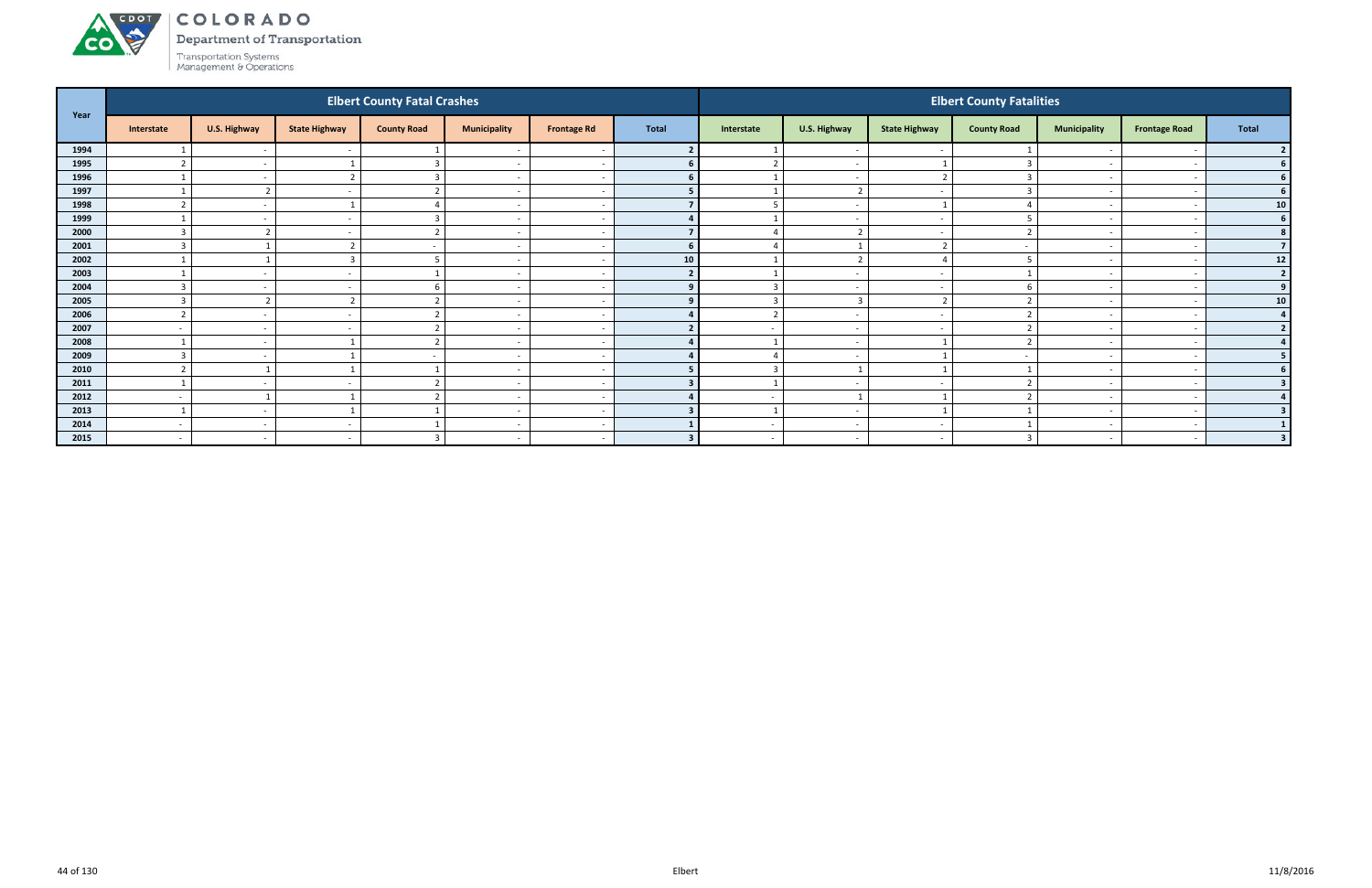#### ACDOL COLORADO

Department of Transportation

Transportation Systems<br>Management & Operations

**CO** 

| Year |                          |                          |                          | <b>Elbert County Fatal Crashes</b> |                          |                    |                |                          |                          |                          | <b>Elbert County Fatalities</b> |                          |                          |                 |
|------|--------------------------|--------------------------|--------------------------|------------------------------------|--------------------------|--------------------|----------------|--------------------------|--------------------------|--------------------------|---------------------------------|--------------------------|--------------------------|-----------------|
|      | Interstate               | U.S. Highway             | <b>State Highway</b>     | <b>County Road</b>                 | <b>Municipality</b>      | <b>Frontage Rd</b> | <b>Total</b>   | Interstate               | U.S. Highway             | <b>State Highway</b>     | <b>County Road</b>              | <b>Municipality</b>      | <b>Frontage Road</b>     | <b>Total</b>    |
| 1994 |                          | $\sim$                   |                          |                                    | $\overline{\phantom{a}}$ |                    |                |                          | $\sim$                   |                          |                                 |                          |                          |                 |
| 1995 |                          | $\sim$                   |                          | 3                                  | $\overline{a}$           |                    |                | $\overline{2}$           | $\sim$                   |                          |                                 | $\overline{\phantom{0}}$ |                          | <b>6</b>        |
| 1996 |                          | $\sim$                   | $\mathbf{r}$             | 3                                  | $\sim$                   |                    |                |                          | $\sim$                   | $\overline{2}$           |                                 | $\sim$                   |                          | <b>6</b>        |
| 1997 |                          | $\overline{\phantom{a}}$ |                          | $\mathbf{r}$                       | $\overline{\phantom{a}}$ |                    |                |                          | $\overline{2}$           |                          |                                 |                          |                          | 6 <sup>1</sup>  |
| 1998 |                          | $\sim$                   |                          |                                    | $\overline{a}$           |                    |                | 5                        | $\overline{a}$           |                          |                                 | $\sim$                   |                          | 10 <sup>1</sup> |
| 1999 |                          | $\sim$                   | <b>.</b>                 | 3                                  | $\overline{\phantom{a}}$ |                    |                |                          | $\overline{a}$           |                          |                                 | $\overline{\phantom{a}}$ |                          | 6 <sup>1</sup>  |
| 2000 | $\mathbf{\Omega}$        |                          | $\overline{\phantom{a}}$ | ຳ                                  | $\overline{\phantom{a}}$ |                    |                |                          | $\mathbf{\cdot}$         |                          |                                 |                          |                          |                 |
| 2001 | ્ર                       |                          |                          | $\sim$                             | $\overline{\phantom{0}}$ |                    | 6 <sup>1</sup> | $\Delta$                 | $\overline{\phantom{0}}$ | $\overline{\phantom{a}}$ |                                 | $\sim$                   |                          |                 |
| 2002 |                          |                          |                          | 5                                  | $\overline{\phantom{a}}$ |                    | 10             |                          | $\overline{2}$           |                          |                                 |                          |                          | 12              |
| 2003 |                          | $\sim$                   | $\overline{\phantom{a}}$ |                                    | $\overline{\phantom{a}}$ |                    | $\overline{2}$ |                          | $\overline{a}$           | $\sim$                   |                                 |                          |                          | $\overline{2}$  |
| 2004 |                          |                          |                          | b                                  | $\overline{\phantom{a}}$ |                    |                | $\overline{3}$           | $\overline{a}$           |                          |                                 |                          |                          | 9               |
| 2005 | $\overline{\mathbf{3}}$  | -                        |                          | ຳ                                  | $\overline{a}$           |                    |                | $\overline{3}$           | $\overline{\mathbf{3}}$  | ຳ                        |                                 | $\overline{\phantom{0}}$ |                          | 10 <sup>1</sup> |
| 2006 | $\mathbf{\hat{z}}$       | $\overline{\phantom{0}}$ | $\overline{\phantom{a}}$ | ຳ                                  | $\overline{\phantom{a}}$ |                    |                | $\overline{2}$           | $\sim$                   | $\sim$                   |                                 | $\sim$                   |                          |                 |
| 2007 | $\sim$                   | $\sim$                   | $\overline{\phantom{0}}$ | $\mathbf{r}$                       | $\overline{a}$           |                    |                |                          | $\sim$                   |                          |                                 | $\overline{\phantom{0}}$ |                          |                 |
| 2008 |                          | $\sim$                   |                          | ຳ                                  | $\overline{a}$           |                    |                |                          | $\overline{a}$           |                          |                                 |                          |                          |                 |
| 2009 |                          | $\sim$                   |                          |                                    | $\overline{\phantom{0}}$ |                    |                |                          | $\overline{\phantom{a}}$ |                          |                                 |                          |                          |                 |
| 2010 | $\mathbf{r}$             |                          |                          |                                    | $\overline{a}$           |                    |                | $\overline{3}$           | $\overline{\phantom{0}}$ |                          |                                 | $\overline{\phantom{a}}$ | $\overline{\phantom{a}}$ |                 |
| 2011 |                          | $\overline{\phantom{a}}$ | $\overline{\phantom{0}}$ |                                    | $\sim$                   |                    |                |                          | $\overline{a}$           | $\sim$                   |                                 | $\sim$                   |                          |                 |
| 2012 | $\overline{a}$           |                          |                          | ຳ                                  | $\overline{\phantom{a}}$ |                    |                | $\overline{\phantom{0}}$ | $\overline{\phantom{a}}$ |                          |                                 |                          |                          |                 |
| 2013 |                          | $\sim$                   |                          |                                    | $\overline{\phantom{a}}$ |                    |                |                          | $\sim$                   |                          |                                 | $\sim$                   |                          |                 |
| 2014 | $\overline{\phantom{a}}$ |                          |                          |                                    | $\overline{\phantom{a}}$ |                    |                |                          | $\sim$                   |                          |                                 |                          |                          |                 |
| 2015 | $\overline{a}$           | $\sim$                   | $\sim$                   | ર                                  | $\sim$                   | $\sim$             | $\mathbf{R}$   | $\overline{a}$           | $\sim$                   | $\sim$                   |                                 | $\sim$                   | $\overline{\phantom{0}}$ | $\mathbf{3}$    |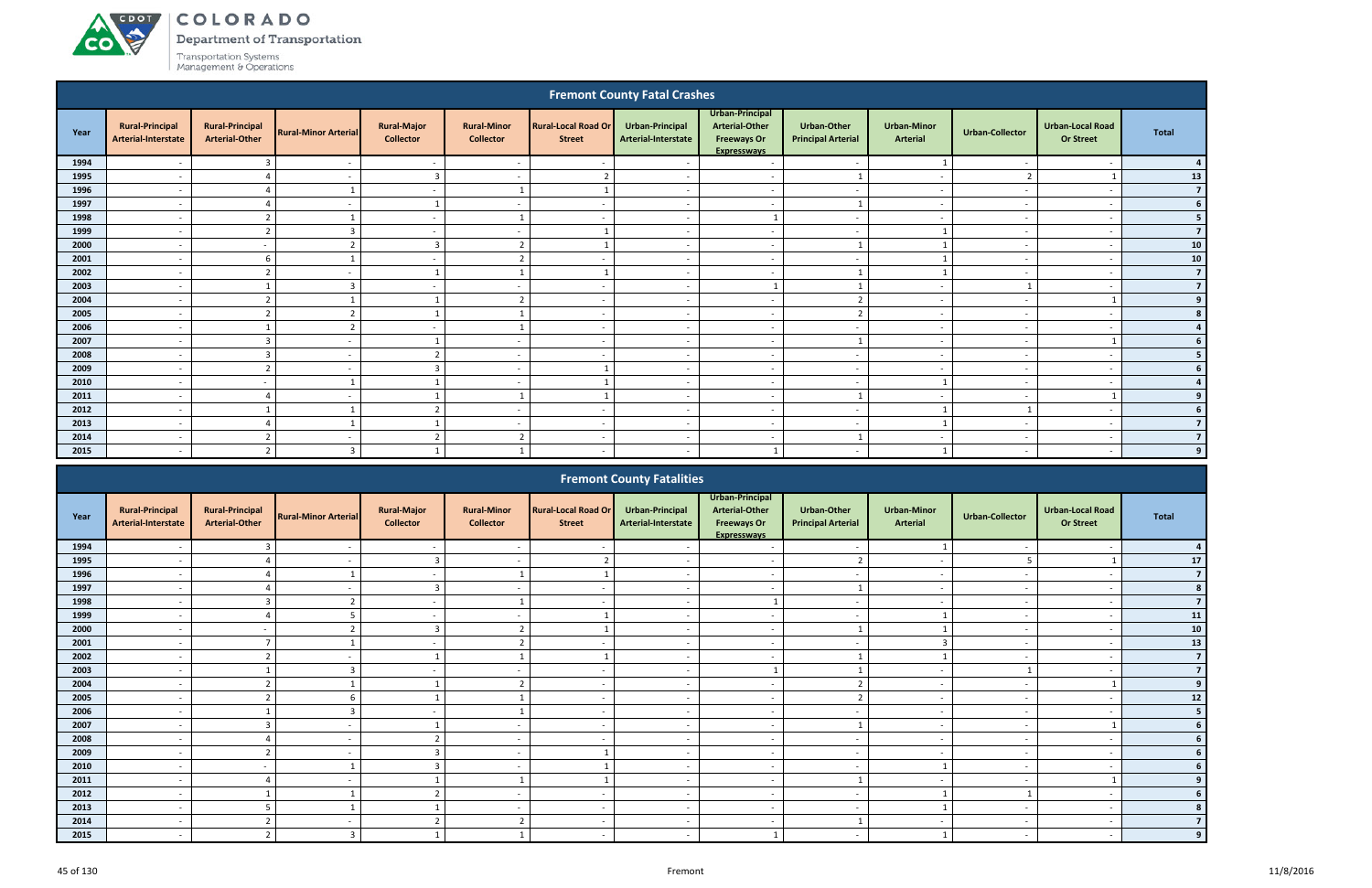# A CDOT

**CO** 

COLORADO

Department of Transportation

|                                                                                                                                                                                                                                                                                                                                                                                                          |                                               |                                                 |                             |                                        |                                        |                                             | <b>Fremont County Fatal Crashes</b>    |                                                                               |                                                 |                                |                          |                                             |                              |  |
|----------------------------------------------------------------------------------------------------------------------------------------------------------------------------------------------------------------------------------------------------------------------------------------------------------------------------------------------------------------------------------------------------------|-----------------------------------------------|-------------------------------------------------|-----------------------------|----------------------------------------|----------------------------------------|---------------------------------------------|----------------------------------------|-------------------------------------------------------------------------------|-------------------------------------------------|--------------------------------|--------------------------|---------------------------------------------|------------------------------|--|
| Year                                                                                                                                                                                                                                                                                                                                                                                                     | <b>Rural-Principal</b><br>Arterial-Interstate | <b>Rural-Principal</b><br><b>Arterial-Other</b> | <b>Rural-Minor Arterial</b> | <b>Rural-Major</b><br><b>Collector</b> | <b>Rural-Minor</b><br><b>Collector</b> | <b>Rural-Local Road Or</b><br><b>Street</b> | Urban-Principal<br>Arterial-Interstate | Urban-Principal<br><b>Arterial-Other</b><br><b>Freeways Or</b><br>Expressways | <b>Urban-Other</b><br><b>Principal Arterial</b> | <b>Urban-Minor</b><br>Arterial | <b>Urban-Collector</b>   | <b>Urban-Local Road</b><br><b>Or Street</b> | <b>Total</b>                 |  |
| 1994                                                                                                                                                                                                                                                                                                                                                                                                     | $\overline{\phantom{0}}$                      | $\overline{3}$                                  | $\overline{\phantom{a}}$    | $\sim$                                 | $\overline{a}$                         | $\overline{\phantom{a}}$                    |                                        | $\sim$                                                                        | $\sim$                                          |                                |                          | $\overline{\phantom{a}}$                    |                              |  |
| 1995                                                                                                                                                                                                                                                                                                                                                                                                     | $\overline{\phantom{a}}$                      | $\Delta$                                        | $\overline{\phantom{a}}$    | $\overline{3}$                         | $\overline{a}$                         | $\overline{2}$                              | $\overline{\phantom{a}}$               | $\overline{a}$                                                                | $\mathbf{1}$                                    | $\overline{\phantom{a}}$       | $\overline{2}$           |                                             | 13                           |  |
| 1996                                                                                                                                                                                                                                                                                                                                                                                                     | $\overline{\phantom{a}}$                      | $\Lambda$                                       |                             | $\sim$                                 |                                        |                                             | $\overline{\phantom{a}}$               | $\sim$                                                                        | $\overline{\phantom{a}}$                        | $\sim$                         |                          | - -                                         | $\overline{7}$               |  |
| 1997                                                                                                                                                                                                                                                                                                                                                                                                     | $\overline{\phantom{a}}$                      | Δ                                               | $\overline{\phantom{a}}$    |                                        | $\overline{\phantom{a}}$               | $\sim$                                      | $\overline{\phantom{a}}$               | $\overline{\phantom{a}}$                                                      | $\mathbf{1}$                                    | $\sim$                         |                          | $\overline{\phantom{a}}$                    | 6                            |  |
| 1998                                                                                                                                                                                                                                                                                                                                                                                                     | $\overline{\phantom{a}}$                      | $\overline{2}$                                  |                             | $\overline{\phantom{a}}$               |                                        | $\overline{a}$                              | $\overline{\phantom{a}}$               |                                                                               | $\overline{\phantom{a}}$                        | $\overline{a}$                 |                          | $\overline{\phantom{a}}$                    | 5                            |  |
| 1999                                                                                                                                                                                                                                                                                                                                                                                                     | $\overline{\phantom{0}}$                      | $\overline{2}$                                  | $\overline{3}$              | $\sim$                                 | $\overline{a}$                         |                                             | $\overline{a}$                         | $\overline{a}$                                                                | $\sim$                                          |                                | $\sim$                   | $\overline{\phantom{a}}$                    | $\overline{\mathbf{z}}$      |  |
| 2000                                                                                                                                                                                                                                                                                                                                                                                                     | $\overline{\phantom{a}}$                      | $\overline{\phantom{a}}$                        | $\mathbf{\hat{}}$           | $\overline{3}$                         | $\overline{2}$                         |                                             | $\overline{\phantom{a}}$               | $\overline{\phantom{a}}$                                                      |                                                 |                                |                          | $\overline{\phantom{a}}$                    | ${\bf 10}$                   |  |
| 2001                                                                                                                                                                                                                                                                                                                                                                                                     | $\overline{\phantom{a}}$                      | 6                                               |                             | $\overline{\phantom{a}}$               | $\overline{2}$                         | $\sim$                                      | $\overline{\phantom{a}}$               | $\overline{\phantom{a}}$                                                      | $\overline{a}$                                  |                                | $\overline{\phantom{a}}$ | $\overline{\phantom{a}}$                    | ${\bf 10}$<br>$\overline{7}$ |  |
| 2002<br>$\overline{2}$<br>$\overline{\phantom{a}}$<br>$\overline{\phantom{a}}$<br>$\overline{\phantom{a}}$<br>$\overline{\phantom{a}}$<br>$\sim$<br>$\overline{\phantom{a}}$<br>2003<br>$\overline{3}$<br>$\mathbf{1}$<br>$\overline{\phantom{a}}$<br>$\overline{\phantom{a}}$<br>$\overline{\phantom{a}}$<br>$\overline{\phantom{a}}$<br>$\overline{\phantom{a}}$<br>$\sim$<br>$\overline{\phantom{a}}$ |                                               |                                                 |                             |                                        |                                        |                                             |                                        |                                                                               |                                                 |                                |                          |                                             |                              |  |
| ຳ<br>$\overline{2}$<br>$\overline{2}$<br>$\sim$<br>$\overline{\phantom{a}}$<br>$\overline{\phantom{a}}$<br>$\sim$<br>$\sim$<br>$\overline{\phantom{a}}$                                                                                                                                                                                                                                                  |                                               |                                                 |                             |                                        |                                        |                                             |                                        |                                                                               |                                                 |                                |                          |                                             |                              |  |
| 2004                                                                                                                                                                                                                                                                                                                                                                                                     |                                               |                                                 |                             |                                        |                                        |                                             |                                        |                                                                               |                                                 |                                |                          |                                             |                              |  |
| 2005                                                                                                                                                                                                                                                                                                                                                                                                     | $\overline{\phantom{a}}$                      | $\overline{z}$                                  | ຳ                           |                                        |                                        | $\overline{\phantom{a}}$                    | $\overline{\phantom{a}}$               | $\sim$                                                                        | $\overline{2}$                                  | $\overline{\phantom{a}}$       | $\sim$                   | $\overline{\phantom{a}}$                    |                              |  |
| 2006                                                                                                                                                                                                                                                                                                                                                                                                     | $\overline{a}$                                |                                                 | $\overline{2}$              | $\sim$                                 | $\mathbf{1}$                           | $\sim$                                      | $\sim$                                 | $\sim$                                                                        | $\sim$                                          | $\sim$                         | $\sim$                   | $\overline{\phantom{a}}$                    |                              |  |
| 2007                                                                                                                                                                                                                                                                                                                                                                                                     | $\overline{\phantom{a}}$                      | $\mathbf{3}$                                    | $\overline{\phantom{a}}$    |                                        | $\overline{\phantom{a}}$               | $\overline{\phantom{a}}$                    | $\sim$                                 | $\sim$                                                                        | $\mathbf{1}$                                    | $\overline{\phantom{a}}$       | $\sim$                   |                                             |                              |  |
| 2008                                                                                                                                                                                                                                                                                                                                                                                                     | $\overline{a}$                                | $\overline{3}$                                  | $\overline{\phantom{a}}$    | $\overline{2}$                         | $\overline{a}$                         | $\sim$                                      | $\sim$                                 | $\sim$                                                                        | $\sim$                                          | $\sim$                         | $\sim$                   | $\overline{\phantom{a}}$                    |                              |  |
| 2009                                                                                                                                                                                                                                                                                                                                                                                                     | $\overline{a}$                                | $\overline{2}$                                  | $\overline{\phantom{a}}$    | $\overline{\mathbf{3}}$                | $\overline{a}$                         |                                             | $\sim$                                 | $\sim$                                                                        | $\overline{a}$                                  | $\sim$                         | $\sim$                   | $\overline{\phantom{a}}$                    |                              |  |
| 2010                                                                                                                                                                                                                                                                                                                                                                                                     | $\overline{a}$                                | $\sim$                                          |                             | $\overline{1}$                         | $\overline{a}$                         |                                             | $\sim$                                 | $\sim$                                                                        | $-$                                             | $\mathbf{1}$                   | $\sim$                   | $\overline{\phantom{a}}$                    |                              |  |
| 2011                                                                                                                                                                                                                                                                                                                                                                                                     | $\overline{\phantom{a}}$                      | $\Delta$                                        | $\overline{\phantom{a}}$    | $\overline{1}$                         | $\mathbf{1}$                           |                                             | $\sim$                                 | $\sim$                                                                        | $\mathbf{1}$                                    | $\sim$                         | $\overline{\phantom{a}}$ |                                             |                              |  |
| 2012                                                                                                                                                                                                                                                                                                                                                                                                     | $\overline{\phantom{a}}$                      |                                                 |                             | $\overline{2}$                         | $\overline{a}$                         | $\sim$                                      | $\overline{a}$                         | $\overline{a}$                                                                | $\overline{a}$                                  |                                |                          | $\overline{\phantom{a}}$                    |                              |  |
| 2013                                                                                                                                                                                                                                                                                                                                                                                                     | $\overline{\phantom{a}}$                      | $\Delta$                                        |                             |                                        | $\overline{\phantom{a}}$               | $\sim$                                      | $\sim$                                 | $\overline{a}$                                                                | $\overline{\phantom{a}}$                        |                                | $\overline{\phantom{a}}$ | $\overline{\phantom{a}}$                    | 7                            |  |
| 2014                                                                                                                                                                                                                                                                                                                                                                                                     | $\overline{\phantom{a}}$                      | $\overline{2}$                                  | $\overline{\phantom{a}}$    | $\overline{2}$                         | $\overline{2}$                         | $\overline{\phantom{a}}$                    | $\sim$                                 | $\sim$                                                                        | $\mathbf{1}$                                    | $\overline{\phantom{a}}$       | $\sim$                   | $\overline{\phantom{a}}$                    | $\overline{ }$               |  |
| 2015                                                                                                                                                                                                                                                                                                                                                                                                     | $\overline{a}$                                | $\overline{2}$                                  | $\overline{3}$              |                                        |                                        | $\sim$                                      | $\sim$                                 |                                                                               | $\sim$                                          |                                | $\sim$                   | $\overline{\phantom{a}}$                    |                              |  |
|                                                                                                                                                                                                                                                                                                                                                                                                          |                                               |                                                 |                             |                                        |                                        |                                             | <b>Fremont County Fatalities</b>       |                                                                               |                                                 |                                |                          |                                             |                              |  |

|      |                                               |                                                 |                             |                                        |                                          |                                             | <b>Fremont County Fatalities</b>       |                                                                               |                                                 |                                       |                          |                                             |                         |
|------|-----------------------------------------------|-------------------------------------------------|-----------------------------|----------------------------------------|------------------------------------------|---------------------------------------------|----------------------------------------|-------------------------------------------------------------------------------|-------------------------------------------------|---------------------------------------|--------------------------|---------------------------------------------|-------------------------|
| Year | <b>Rural-Principal</b><br>Arterial-Interstate | <b>Rural-Principal</b><br><b>Arterial-Other</b> | <b>Rural-Minor Arterial</b> | <b>Rural-Major</b><br><b>Collector</b> | <b>Rural-Minor</b><br><b>Collector</b>   | <b>Rural-Local Road Or</b><br><b>Street</b> | Urban-Principal<br>Arterial-Interstate | Urban-Principal<br>Arterial-Other<br><b>Freeways Or</b><br><b>Expressways</b> | <b>Urban-Other</b><br><b>Principal Arterial</b> | <b>Urban-Minor</b><br><b>Arterial</b> | Urban-Collector          | <b>Urban-Local Road</b><br><b>Or Street</b> | Total                   |
| 1994 | $\overline{\phantom{a}}$                      |                                                 |                             | $\overline{\phantom{0}}$               | $\overline{\phantom{a}}$                 |                                             |                                        |                                                                               | $\overline{\phantom{a}}$                        |                                       |                          |                                             |                         |
| 1995 |                                               |                                                 |                             |                                        |                                          |                                             |                                        | $\overline{\phantom{a}}$                                                      | $\mathbf{\hat{z}}$                              | $\overline{\phantom{0}}$              |                          |                                             | 17                      |
| 1996 | $\overline{\phantom{a}}$                      |                                                 |                             | $\overline{\phantom{0}}$               |                                          |                                             |                                        | $\overline{\phantom{a}}$                                                      | $\overline{\phantom{a}}$                        | $\overline{\phantom{a}}$              |                          |                                             |                         |
| 1997 |                                               |                                                 |                             | ີ                                      | $\overline{\phantom{a}}$                 |                                             |                                        |                                                                               | $\overline{1}$                                  | $\overline{\phantom{a}}$              |                          |                                             |                         |
| 1998 |                                               |                                                 |                             | $\sim$                                 |                                          |                                             |                                        |                                                                               | $\overline{\phantom{a}}$                        | $\overline{\phantom{a}}$              | $\overline{\phantom{a}}$ |                                             | $\overline{7}$          |
| 1999 |                                               |                                                 |                             | $\overline{\phantom{a}}$               |                                          |                                             |                                        | $\overline{\phantom{a}}$                                                      |                                                 |                                       |                          |                                             | 11                      |
| 2000 | $\overline{\phantom{a}}$                      | $\overline{\phantom{a}}$                        |                             |                                        | $\mathbf{\overline{a}}$                  |                                             |                                        | $\overline{\phantom{a}}$                                                      |                                                 |                                       | $\overline{\phantom{a}}$ | $\overline{\phantom{a}}$                    | ${\bf 10}$              |
| 2001 | $\overline{\phantom{a}}$                      |                                                 |                             | $\overline{\phantom{0}}$               | $\overline{2}$                           |                                             | $\overline{\phantom{a}}$               | $\overline{\phantom{a}}$                                                      | $\overline{\phantom{a}}$                        | $\mathbf{3}$                          | $\overline{\phantom{a}}$ | $\overline{\phantom{0}}$                    | 13                      |
| 2002 |                                               | $\mathbf{r}$                                    |                             |                                        |                                          |                                             |                                        |                                                                               | $\overline{\mathbf{1}}$                         |                                       |                          |                                             | $\overline{\mathbf{z}}$ |
| 2003 |                                               |                                                 |                             |                                        |                                          |                                             |                                        |                                                                               |                                                 | $\overline{\phantom{a}}$              |                          |                                             | $\overline{7}$          |
| 2004 |                                               | $\mathbf{\hat{z}}$                              |                             |                                        | $\mathbf{\overline{a}}$<br>$\mathcal{L}$ |                                             |                                        | $\overline{\phantom{a}}$                                                      | $\mathbf{\hat{z}}$<br>$\epsilon$                | $\overline{\phantom{a}}$              |                          |                                             | 9                       |
| 2005 | $\overline{\phantom{a}}$                      |                                                 |                             |                                        |                                          |                                             |                                        | $\overline{\phantom{a}}$                                                      | $\mathcal{L}$                                   | $\overline{\phantom{a}}$              | $\overline{\phantom{a}}$ |                                             | 12                      |
| 2006 |                                               |                                                 |                             | $\sim$                                 |                                          |                                             |                                        | $\overline{\phantom{a}}$                                                      | $\overline{\phantom{a}}$                        | $\overline{\phantom{a}}$              | $\overline{\phantom{a}}$ |                                             |                         |
| 2007 |                                               |                                                 |                             |                                        |                                          |                                             |                                        | $\overline{\phantom{a}}$                                                      | $\overline{\mathbf{1}}$                         | $\overline{\phantom{a}}$              |                          |                                             |                         |
| 2008 |                                               |                                                 |                             |                                        | $\overline{\phantom{a}}$                 |                                             |                                        |                                                                               | $\overline{\phantom{a}}$                        | $\overline{\phantom{a}}$              |                          |                                             |                         |
| 2009 |                                               |                                                 |                             |                                        | $\overline{\phantom{a}}$                 |                                             |                                        | $\overline{\phantom{a}}$                                                      | $\overline{\phantom{a}}$                        | $\overline{\phantom{a}}$              |                          |                                             |                         |
| 2010 | $\overline{\phantom{0}}$                      |                                                 |                             |                                        | $\overline{\phantom{a}}$                 |                                             |                                        | $\overline{\phantom{a}}$                                                      | $\overline{\phantom{a}}$                        |                                       | $\overline{\phantom{a}}$ |                                             |                         |
| 2011 |                                               |                                                 |                             |                                        |                                          |                                             |                                        | $\overline{\phantom{a}}$                                                      | $\overline{1}$                                  | $\overline{\phantom{a}}$              |                          |                                             |                         |
| 2012 |                                               |                                                 |                             |                                        |                                          |                                             |                                        | $\overline{\phantom{a}}$                                                      | $\overline{\phantom{0}}$                        |                                       |                          |                                             |                         |
| 2013 |                                               |                                                 |                             |                                        |                                          |                                             |                                        |                                                                               |                                                 |                                       |                          |                                             |                         |
| 2014 | $\overline{\phantom{0}}$                      |                                                 |                             |                                        | $\mathbf{\Omega}$<br>∠                   |                                             |                                        | $\sim$                                                                        |                                                 | $\overline{\phantom{a}}$              | $\overline{\phantom{a}}$ | $\overline{\phantom{0}}$                    |                         |
| 2015 | $\overline{\phantom{0}}$                      |                                                 | $\overline{3}$              |                                        |                                          |                                             |                                        |                                                                               | $\overline{\phantom{a}}$                        |                                       | $\overline{\phantom{a}}$ |                                             |                         |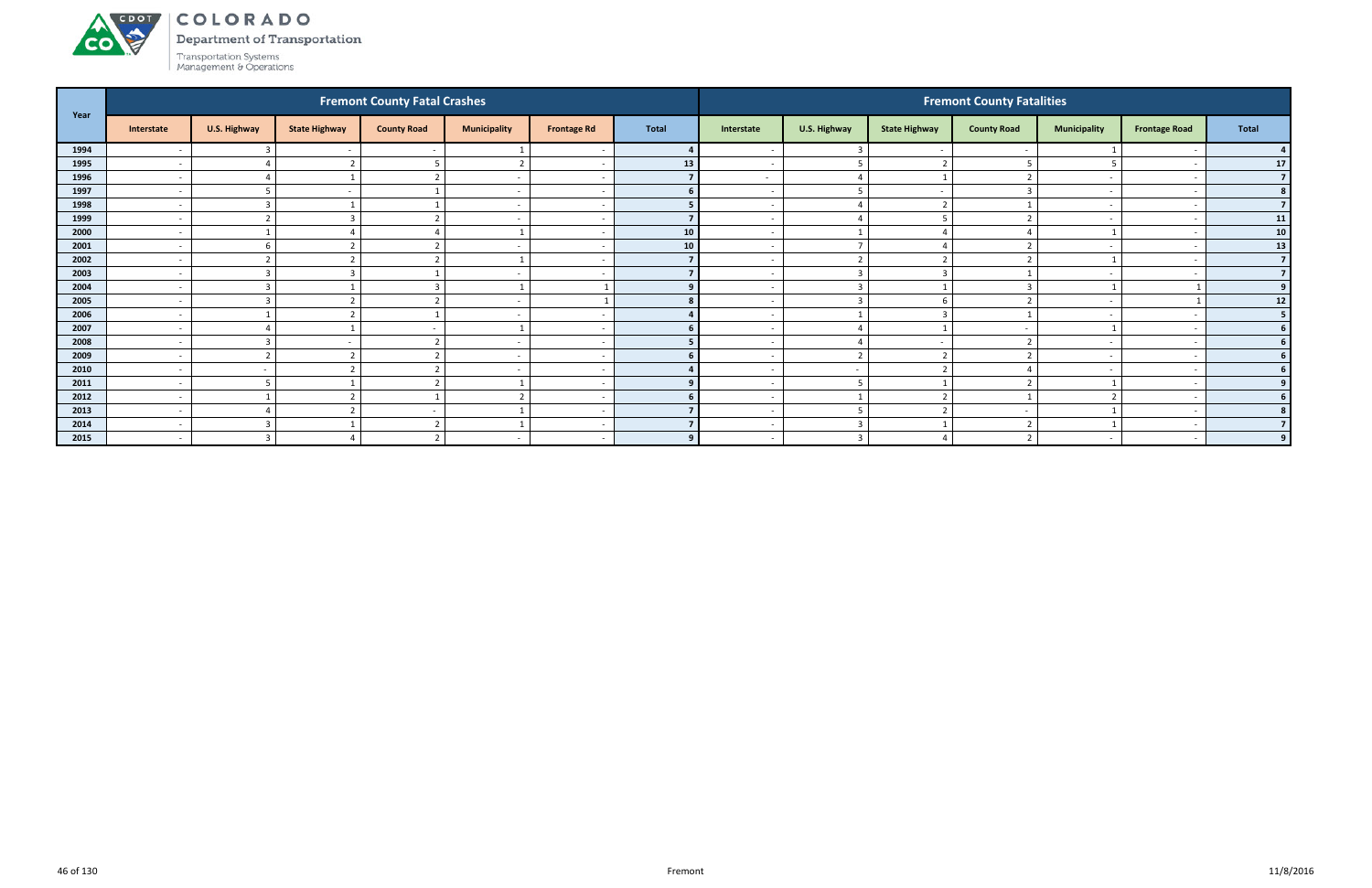# ACDOL

**CO** 

COLORADO

Department of Transportation Transportation Systems<br>Management & Operations

| Year |                          |                         |                      | <b>Fremont County Fatal Crashes</b> |                          |                          |              |                          |                         |                         | <b>Fremont County Fatalities</b> |                          |                      |                 |
|------|--------------------------|-------------------------|----------------------|-------------------------------------|--------------------------|--------------------------|--------------|--------------------------|-------------------------|-------------------------|----------------------------------|--------------------------|----------------------|-----------------|
|      | Interstate               | U.S. Highway            | <b>State Highway</b> | <b>County Road</b>                  | <b>Municipality</b>      | <b>Frontage Rd</b>       | <b>Total</b> | Interstate               | U.S. Highway            | <b>State Highway</b>    | <b>County Road</b>               | <b>Municipality</b>      | <b>Frontage Road</b> | <b>Total</b>    |
| 1994 |                          |                         |                      |                                     |                          | - -                      |              |                          | $\overline{3}$          |                         |                                  |                          |                      |                 |
| 1995 | $\overline{\phantom{a}}$ | 4                       |                      |                                     | $\mathcal{L}$            | - -                      | 13           | $\overline{\phantom{a}}$ | 5                       | ຳ                       |                                  | 5                        |                      | 17              |
| 1996 | $\overline{\phantom{a}}$ | $\Delta$                |                      |                                     | $\overline{\phantom{a}}$ | - -                      |              | $\sim$                   | $\overline{4}$          |                         |                                  | $\overline{\phantom{0}}$ |                      |                 |
| 1997 | $\overline{\phantom{a}}$ |                         |                      |                                     | $\overline{\phantom{a}}$ |                          |              | $\sim$                   | 5                       |                         |                                  |                          |                      |                 |
| 1998 | $\overline{\phantom{a}}$ | 3                       |                      |                                     | $\overline{\phantom{a}}$ |                          |              |                          | $\Delta$                |                         |                                  | $\overline{\phantom{a}}$ |                      |                 |
| 1999 | $\overline{\phantom{a}}$ | <u>ີ</u>                |                      |                                     | $\overline{\phantom{a}}$ |                          |              |                          |                         |                         |                                  |                          |                      | 11              |
| 2000 | $\overline{\phantom{a}}$ |                         |                      |                                     |                          |                          | ${\bf 10}$   |                          |                         |                         |                                  |                          |                      | 10 <sup>1</sup> |
| 2001 | $\overline{\phantom{0}}$ | 6                       |                      |                                     | $\overline{\phantom{a}}$ |                          | 10           | $\sim$                   | $\overline{7}$          |                         |                                  | $\overline{\phantom{a}}$ |                      | 13              |
| 2002 | $\overline{\phantom{a}}$ | ຳ                       |                      |                                     |                          | <u>т</u>                 |              | $\sim$                   | $\overline{2}$          | ຳ                       |                                  | -1                       |                      | $\overline{7}$  |
| 2003 | $\overline{\phantom{a}}$ | 3                       |                      |                                     | $\overline{\phantom{a}}$ |                          |              |                          | $\overline{3}$          |                         |                                  |                          |                      | $\overline{7}$  |
| 2004 | $\overline{\phantom{a}}$ | 3                       |                      |                                     |                          |                          |              | $\sim$                   | $\overline{3}$          |                         |                                  |                          |                      | 9               |
| 2005 | $\overline{\phantom{a}}$ | $\overline{3}$          |                      |                                     |                          |                          |              |                          | $\overline{3}$          |                         |                                  |                          |                      | $12$            |
| 2006 | $\overline{\phantom{a}}$ |                         |                      |                                     | $\overline{\phantom{0}}$ |                          |              |                          |                         |                         |                                  |                          |                      | 5 <sub>1</sub>  |
| 2007 | $\overline{\phantom{a}}$ | $\overline{4}$          |                      |                                     |                          | <u>т</u>                 |              | $\sim$                   | $\overline{4}$          |                         |                                  |                          |                      | 6               |
| 2008 | $\overline{\phantom{a}}$ | $\overline{3}$          |                      |                                     | $\overline{\phantom{a}}$ |                          |              |                          | $\overline{4}$          |                         |                                  | $\overline{\phantom{0}}$ |                      | 6 <sup>1</sup>  |
| 2009 | $\overline{\phantom{a}}$ | $\mathbf{\overline{a}}$ |                      |                                     | $\overline{\phantom{a}}$ |                          |              |                          | $\mathbf{a}$            |                         |                                  |                          |                      |                 |
| 2010 | $\overline{\phantom{a}}$ | $\sim$                  |                      |                                     | $\overline{\phantom{a}}$ |                          |              |                          | $\sim$                  |                         |                                  |                          |                      |                 |
| 2011 | $\overline{\phantom{a}}$ |                         |                      |                                     |                          |                          |              |                          |                         |                         |                                  |                          |                      | 9 <sup>1</sup>  |
| 2012 | $\overline{\phantom{a}}$ |                         |                      |                                     | $\overline{2}$           | <u>т</u>                 |              | $\sim$                   | $\overline{\mathbf{1}}$ | $\mathbf{\overline{a}}$ |                                  | $\overline{2}$           |                      | 6 I             |
| 2013 | $\overline{\phantom{a}}$ | $\Delta$                |                      |                                     |                          |                          |              |                          | 5                       | $\mathbf{\cdot}$        |                                  | $\overline{1}$           |                      |                 |
| 2014 | $\overline{\phantom{a}}$ | $\overline{3}$          |                      |                                     |                          |                          |              | $\overline{\phantom{a}}$ | $\overline{\mathbf{3}}$ |                         |                                  |                          |                      |                 |
| 2015 | $\overline{\phantom{a}}$ | 3                       |                      | n,                                  | $\overline{\phantom{a}}$ | $\overline{\phantom{a}}$ | $\mathbf{q}$ | $\sim$                   | $\mathbf{R}$            |                         |                                  | $\overline{\phantom{0}}$ |                      | $\mathbf{q}$    |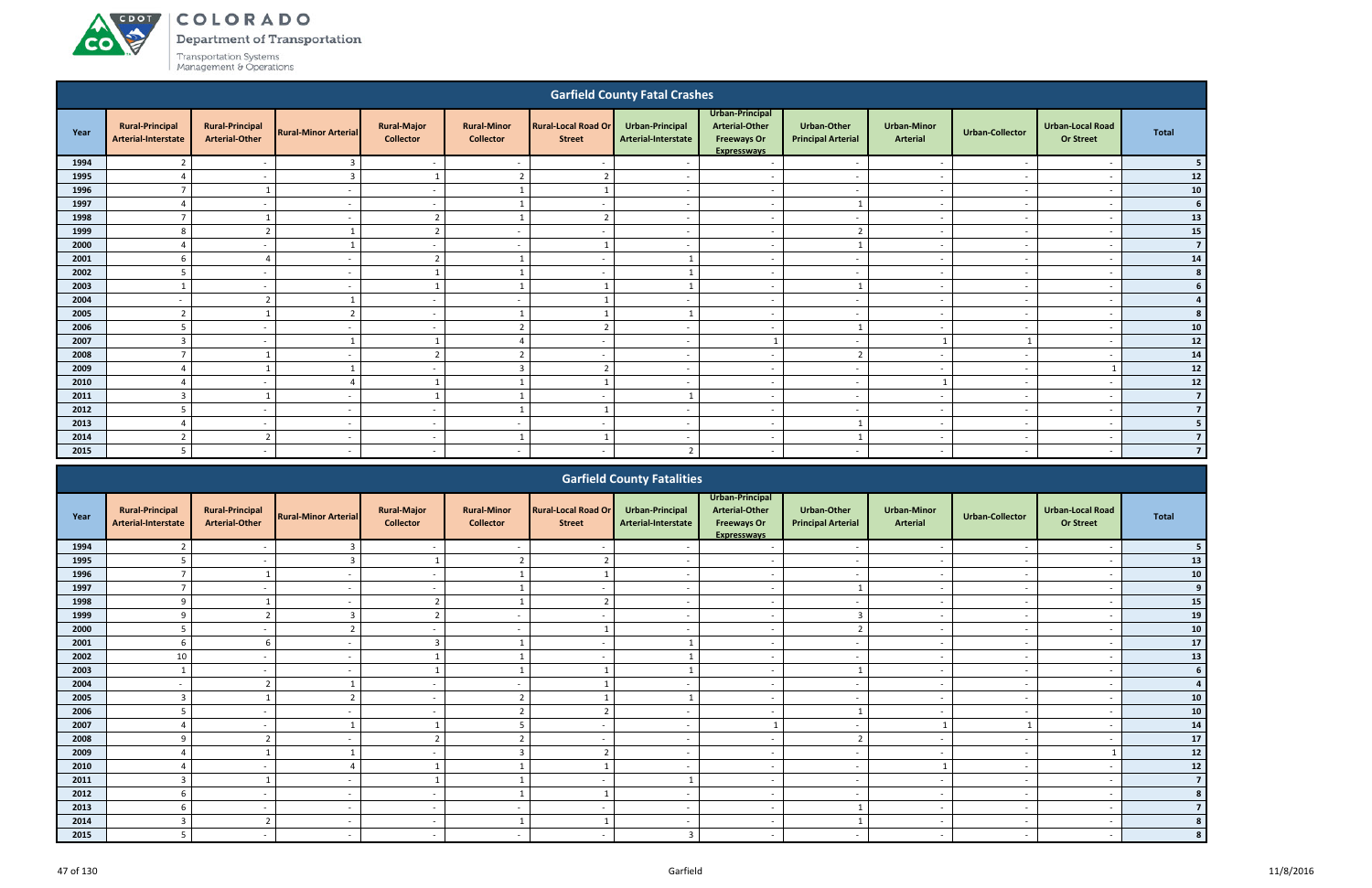ACDOT

**CO** 

Department of Transportation

|                                                                                                                                                                                                                                                                                                                                                                                                          |                                               |                                                 |                             |                                        |                                        |                                             | <b>Garfield County Fatal Crashes</b>   |                                                                                      |                                                 |                                       |                          |                                             |                                           |
|----------------------------------------------------------------------------------------------------------------------------------------------------------------------------------------------------------------------------------------------------------------------------------------------------------------------------------------------------------------------------------------------------------|-----------------------------------------------|-------------------------------------------------|-----------------------------|----------------------------------------|----------------------------------------|---------------------------------------------|----------------------------------------|--------------------------------------------------------------------------------------|-------------------------------------------------|---------------------------------------|--------------------------|---------------------------------------------|-------------------------------------------|
| Year                                                                                                                                                                                                                                                                                                                                                                                                     | <b>Rural-Principal</b><br>Arterial-Interstate | <b>Rural-Principal</b><br><b>Arterial-Other</b> | <b>Rural-Minor Arterial</b> | <b>Rural-Major</b><br><b>Collector</b> | <b>Rural-Minor</b><br><b>Collector</b> | <b>Rural-Local Road Or</b><br><b>Street</b> | Urban-Principal<br>Arterial-Interstate | Urban-Principal<br><b>Arterial-Other</b><br><b>Freeways Or</b><br><b>Expresswavs</b> | <b>Urban-Other</b><br><b>Principal Arterial</b> | <b>Urban-Minor</b><br><b>Arterial</b> | <b>Urban-Collector</b>   | <b>Urban-Local Road</b><br><b>Or Street</b> | <b>Total</b>                              |
| 1994                                                                                                                                                                                                                                                                                                                                                                                                     | $\overline{2}$                                | $\overline{\phantom{a}}$                        | $\overline{3}$              | $\sim$                                 | $\sim$                                 | $\overline{\phantom{a}}$                    |                                        | $\overline{\phantom{a}}$                                                             | $\overline{\phantom{0}}$                        | $\overline{\phantom{a}}$              | <b>.</b>                 | $\overline{\phantom{a}}$                    | 5                                         |
| 1995                                                                                                                                                                                                                                                                                                                                                                                                     |                                               |                                                 | 3                           | $\mathbf{1}$                           | $\overline{2}$                         | h                                           |                                        | $\overline{\phantom{a}}$                                                             | $\overline{\phantom{a}}$                        | $\sim$                                |                          | $\overline{\phantom{a}}$                    | 12                                        |
| 1996                                                                                                                                                                                                                                                                                                                                                                                                     | $\overline{7}$                                | $\mathbf{1}$                                    | $\sim$                      | $\sim$                                 | $\mathbf{1}$                           |                                             | $\overline{a}$                         | $\overline{\phantom{a}}$                                                             | $\overline{a}$                                  | $\sim$                                |                          | $\overline{\phantom{a}}$                    | ${\bf 10}$                                |
| 1997                                                                                                                                                                                                                                                                                                                                                                                                     |                                               |                                                 |                             | $\sim$                                 | $\mathbf{1}$                           | $\overline{\phantom{a}}$                    |                                        | $\overline{\phantom{a}}$                                                             | 1                                               | $\overline{\phantom{a}}$              |                          | $\overline{\phantom{a}}$                    | 6                                         |
| 1998                                                                                                                                                                                                                                                                                                                                                                                                     |                                               |                                                 |                             | 2                                      |                                        |                                             |                                        | $\overline{\phantom{a}}$                                                             | $\overline{\phantom{a}}$                        | $\overline{\phantom{a}}$              |                          | $\overline{\phantom{a}}$                    | 13                                        |
| 1999                                                                                                                                                                                                                                                                                                                                                                                                     | 8                                             | 2                                               | $\mathbf{1}$                | 2                                      | $\overline{\phantom{a}}$               |                                             |                                        | $\overline{\phantom{a}}$                                                             | $\overline{2}$                                  | $\overline{\phantom{a}}$              |                          | $\overline{\phantom{a}}$                    | 15                                        |
| 2000                                                                                                                                                                                                                                                                                                                                                                                                     |                                               |                                                 |                             | $\sim$                                 | $\overline{\phantom{0}}$               |                                             |                                        | $\overline{\phantom{a}}$                                                             |                                                 | $\overline{\phantom{a}}$              | . .                      | $\overline{\phantom{a}}$                    | $\overline{7}$                            |
| 2001                                                                                                                                                                                                                                                                                                                                                                                                     | 6                                             | $\sqrt{2}$                                      | $\overline{\phantom{a}}$    | $\overline{2}$                         | $\mathbf{1}$                           | $\sim$                                      |                                        | $\sim$                                                                               | $\sim$                                          | $\sim$                                | <b>.</b>                 | $\overline{\phantom{a}}$                    | 14                                        |
| 2002                                                                                                                                                                                                                                                                                                                                                                                                     | 5                                             | $\overline{\phantom{a}}$                        | $\sim$                      | $\mathbf{1}$                           | $\mathbf{1}$                           | $\sim$                                      |                                        | $\overline{\phantom{a}}$                                                             | $\sim$                                          | $\sim$                                | <b>.</b>                 | $\overline{\phantom{a}}$                    | 8                                         |
| 2003<br>$\mathbf{1}$<br>$\mathbf{1}$<br>$\lceil$<br>$\overline{\phantom{a}}$<br>$\sim$<br>$\overline{\phantom{a}}$<br>$\sim$<br>$\overline{\phantom{a}}$<br>$\overline{\phantom{a}}$<br>2004<br>$\overline{2}$<br>-1<br>$\sim$<br>$\sim$<br>$\overline{\phantom{a}}$<br>$\overline{\phantom{0}}$<br>$\sim$<br>$\overline{\phantom{a}}$<br>$\overline{\phantom{a}}$<br>$\sim$<br>$\overline{\phantom{a}}$ |                                               |                                                 |                             |                                        |                                        |                                             |                                        |                                                                                      |                                                 |                                       |                          |                                             |                                           |
|                                                                                                                                                                                                                                                                                                                                                                                                          |                                               |                                                 |                             |                                        |                                        |                                             |                                        |                                                                                      |                                                 |                                       |                          |                                             |                                           |
| 2005                                                                                                                                                                                                                                                                                                                                                                                                     | $\overline{2}$                                | -1                                              | $\overline{2}$              | $\sim$                                 | $\mathbf{1}$                           |                                             |                                        | $\overline{\phantom{a}}$                                                             | $\sim$                                          | $\sim$                                | $\sim$                   | $\overline{\phantom{a}}$                    |                                           |
| 2006                                                                                                                                                                                                                                                                                                                                                                                                     | 5                                             | $\sim$                                          | $\sim$                      | $\sim$                                 | $\overline{2}$                         | n,                                          | $\sim$                                 | $\overline{a}$                                                                       | $\mathbf{1}$                                    | $\sim$                                | $\overline{\phantom{a}}$ | $\overline{\phantom{a}}$                    | 10                                        |
| 2007                                                                                                                                                                                                                                                                                                                                                                                                     | 3                                             | $\sim$                                          | $\overline{1}$              | -1                                     | $\overline{4}$                         | $\overline{\phantom{a}}$                    | $\sim$                                 |                                                                                      | $\overline{\phantom{a}}$                        |                                       |                          | $\overline{\phantom{a}}$                    | $12$                                      |
| 2008                                                                                                                                                                                                                                                                                                                                                                                                     | $\overline{7}$                                | $\overline{\phantom{0}}$                        | $\overline{\phantom{a}}$    | $\overline{2}$                         | $\overline{2}$                         | $\overline{\phantom{a}}$                    | $\sim$                                 | $\sim$                                                                               | $\overline{2}$                                  | $\sim$                                | $\sim$                   | $\overline{\phantom{a}}$                    | ${\bf 14}$                                |
| 2009                                                                                                                                                                                                                                                                                                                                                                                                     | $\Delta$                                      | -1                                              | $\mathbf{1}$                | $\sim$                                 | $\overline{3}$                         | n,                                          | $\overline{\phantom{a}}$               | $\overline{\phantom{0}}$                                                             | $\overline{\phantom{0}}$                        | $\overline{\phantom{a}}$              | <b>.</b>                 |                                             | ${\bf 12}$                                |
| 2010                                                                                                                                                                                                                                                                                                                                                                                                     | $\overline{a}$                                | $\sim$                                          | $\overline{4}$              | -1                                     | $\mathbf{1}$                           | $\overline{\mathbf{1}}$                     | $\overline{\phantom{a}}$               | $\overline{a}$                                                                       | $\overline{\phantom{0}}$                        | $\mathbf{1}$                          | $\sim$                   | $\overline{\phantom{a}}$                    | ${\bf 12}$                                |
| 2011                                                                                                                                                                                                                                                                                                                                                                                                     | $\overline{3}$                                | $\overline{1}$                                  | $\overline{\phantom{0}}$    | 1                                      | $\mathbf{1}$                           | $\overline{\phantom{a}}$                    |                                        | $\overline{\phantom{a}}$                                                             | $\overline{\phantom{0}}$                        | $\overline{\phantom{a}}$              | <b>.</b>                 | $\overline{\phantom{a}}$                    | $\overline{7}$                            |
| 2012                                                                                                                                                                                                                                                                                                                                                                                                     | 5                                             | $\overline{\phantom{0}}$                        |                             | $\sim$                                 | $\mathbf{1}$                           |                                             |                                        | $\overline{\phantom{a}}$                                                             | $\overline{\phantom{a}}$                        | $\sim$                                |                          | $\overline{\phantom{a}}$                    | $\overline{7}$                            |
| 2013                                                                                                                                                                                                                                                                                                                                                                                                     |                                               | $\overline{\phantom{0}}$                        |                             | $\sim$                                 | $\overline{a}$                         | $\overline{\phantom{a}}$                    |                                        | $\overline{\phantom{a}}$                                                             | $\mathbf{1}$                                    | $\sim$                                |                          | $\overline{\phantom{a}}$                    | 5                                         |
| 2014                                                                                                                                                                                                                                                                                                                                                                                                     | $\overline{2}$                                | $\overline{2}$                                  |                             | $\sim$                                 | $\mathbf{1}$                           |                                             |                                        | $\overline{\phantom{a}}$                                                             | $\mathbf{1}$                                    | $\overline{\phantom{a}}$              |                          | $\overline{\phantom{a}}$                    | $\overline{7}$<br>$\overline{\mathbf{z}}$ |
| 2015                                                                                                                                                                                                                                                                                                                                                                                                     | 5                                             |                                                 | $\overline{\phantom{a}}$    | $\sim$                                 |                                        |                                             | $\overline{2}$                         | $\overline{\phantom{a}}$                                                             |                                                 | $\overline{\phantom{a}}$              |                          |                                             |                                           |
|                                                                                                                                                                                                                                                                                                                                                                                                          |                                               |                                                 |                             |                                        |                                        |                                             | <b>Garfield County Fatalities</b>      |                                                                                      |                                                 |                                       |                          |                                             |                                           |

|      |                                               |                                                 |                             |                                        |                                        |                                             | <b>Gartield County Fatalities</b>      |                                                                               |                                                 |                                       |                          |                                             |                  |
|------|-----------------------------------------------|-------------------------------------------------|-----------------------------|----------------------------------------|----------------------------------------|---------------------------------------------|----------------------------------------|-------------------------------------------------------------------------------|-------------------------------------------------|---------------------------------------|--------------------------|---------------------------------------------|------------------|
| Year | <b>Rural-Principal</b><br>Arterial-Interstate | <b>Rural-Principal</b><br><b>Arterial-Other</b> | <b>Rural-Minor Arterial</b> | <b>Rural-Major</b><br><b>Collector</b> | <b>Rural-Minor</b><br><b>Collector</b> | <b>Rural-Local Road Or</b><br><b>Street</b> | Urban-Principal<br>Arterial-Interstate | Urban-Principal<br><b>Arterial-Other</b><br><b>Freeways Or</b><br>Expressways | <b>Urban-Other</b><br><b>Principal Arterial</b> | <b>Urban-Minor</b><br><b>Arterial</b> | <b>Urban-Collector</b>   | <b>Urban-Local Road</b><br><b>Or Street</b> | <b>Total</b>     |
| 1994 |                                               |                                                 |                             | $\sim$                                 | $\overline{\phantom{a}}$               |                                             |                                        | $\overline{\phantom{a}}$                                                      | $\sim$                                          | $\overline{\phantom{a}}$              |                          | $\overline{\phantom{a}}$                    |                  |
| 1995 |                                               | $\overline{\phantom{0}}$                        |                             |                                        | $\overline{2}$                         | ຳ                                           |                                        | $\sim$                                                                        | $\overline{\phantom{a}}$                        | $\overline{\phantom{a}}$              |                          | $\overline{\phantom{0}}$                    | 13               |
| 1996 |                                               |                                                 |                             | $\sim$                                 |                                        |                                             |                                        | $\overline{\phantom{a}}$                                                      |                                                 |                                       |                          |                                             | ${\bf 10}$       |
| 1997 |                                               |                                                 |                             |                                        |                                        | $\overline{\phantom{0}}$                    |                                        | $\overline{\phantom{a}}$                                                      |                                                 | $\overline{\phantom{a}}$              |                          | $\overline{\phantom{a}}$                    | $\boldsymbol{9}$ |
| 1998 | 9                                             |                                                 |                             |                                        |                                        | $\overline{\phantom{a}}$                    |                                        | $\overline{\phantom{a}}$                                                      |                                                 |                                       |                          |                                             | 15               |
| 1999 | 9                                             |                                                 |                             |                                        | $\overline{\phantom{0}}$               | $\overline{\phantom{0}}$                    |                                        | $\overline{\phantom{0}}$                                                      | $\overline{3}$                                  | $\overline{\phantom{a}}$              |                          | $\overline{\phantom{0}}$                    | 19               |
| 2000 | .5                                            |                                                 |                             | $\sim$                                 | $\overline{\phantom{0}}$               |                                             |                                        | $\sim$                                                                        | $\overline{2}$                                  | $\overline{\phantom{a}}$              |                          | $\overline{\phantom{a}}$                    | ${\bf 10}$       |
| 2001 | 6                                             | 6                                               |                             | 3                                      |                                        | $\sim$                                      |                                        | $\overline{\phantom{a}}$                                                      | $\sim$                                          | $\overline{\phantom{a}}$              |                          | $\overline{\phantom{a}}$                    | $17$             |
| 2002 | 10                                            |                                                 |                             |                                        |                                        | $\overline{\phantom{0}}$                    |                                        | $\overline{\phantom{a}}$                                                      | $\overline{\phantom{a}}$                        | $\overline{\phantom{a}}$              |                          |                                             | 13               |
| 2003 |                                               |                                                 |                             |                                        |                                        |                                             |                                        | $\overline{\phantom{a}}$                                                      |                                                 | $\overline{\phantom{a}}$              |                          |                                             | 6                |
| 2004 |                                               |                                                 |                             |                                        |                                        |                                             |                                        | $\overline{\phantom{a}}$                                                      |                                                 |                                       |                          |                                             |                  |
| 2005 | $\overline{3}$                                |                                                 |                             | $\sim$                                 | $\mathcal{L}$                          |                                             |                                        | $\overline{\phantom{a}}$                                                      | $\overline{\phantom{a}}$                        | $\overline{\phantom{a}}$              |                          | $\overline{\phantom{a}}$                    | 10               |
| 2006 | 5                                             | $\sim$                                          |                             | $\sim$                                 | $\overline{2}$                         | ຳ                                           |                                        | $\overline{\phantom{0}}$                                                      |                                                 | $\overline{\phantom{a}}$              |                          | $\overline{\phantom{a}}$                    | ${\bf 10}$       |
| 2007 |                                               |                                                 |                             |                                        | $5^{\circ}$                            |                                             |                                        |                                                                               | $\overline{\phantom{0}}$                        |                                       |                          |                                             | 14               |
| 2008 | 9                                             |                                                 |                             |                                        | $\mathbf{r}$                           | $\overline{\phantom{a}}$                    |                                        | $\sim$                                                                        |                                                 | $\overline{\phantom{a}}$              |                          | $\overline{\phantom{a}}$                    | $17\,$           |
| 2009 |                                               |                                                 |                             |                                        | $\mathbf{3}$                           | $\overline{\phantom{a}}$                    |                                        | $\overline{\phantom{a}}$                                                      | $\overline{\phantom{a}}$                        |                                       |                          |                                             | $12$             |
| 2010 |                                               |                                                 |                             |                                        |                                        |                                             |                                        | $\overline{\phantom{a}}$                                                      | $\overline{\phantom{a}}$                        |                                       |                          |                                             | $12$             |
| 2011 | 3                                             |                                                 |                             |                                        |                                        | $\overline{\phantom{a}}$                    |                                        | $\overline{\phantom{a}}$                                                      | $\sim$                                          | $\sim$                                | $\overline{\phantom{a}}$ | $\overline{\phantom{a}}$                    | $\overline{7}$   |
| 2012 | 6                                             |                                                 |                             | $\sim$                                 |                                        | $\overline{1}$                              |                                        | $\overline{\phantom{0}}$                                                      | $\overline{\phantom{a}}$                        | $\overline{\phantom{a}}$              |                          | $\overline{\phantom{a}}$                    |                  |
| 2013 |                                               |                                                 |                             | $\sim$                                 |                                        | $\overline{\phantom{0}}$                    |                                        | $\overline{\phantom{a}}$                                                      |                                                 | $\overline{\phantom{a}}$              |                          | $\overline{\phantom{a}}$                    |                  |
| 2014 |                                               |                                                 |                             | $\sim$                                 |                                        |                                             |                                        | $\overline{\phantom{0}}$                                                      |                                                 |                                       |                          |                                             |                  |
| 2015 |                                               |                                                 |                             |                                        |                                        |                                             | $\mathbf{\Omega}$                      |                                                                               |                                                 |                                       |                          |                                             |                  |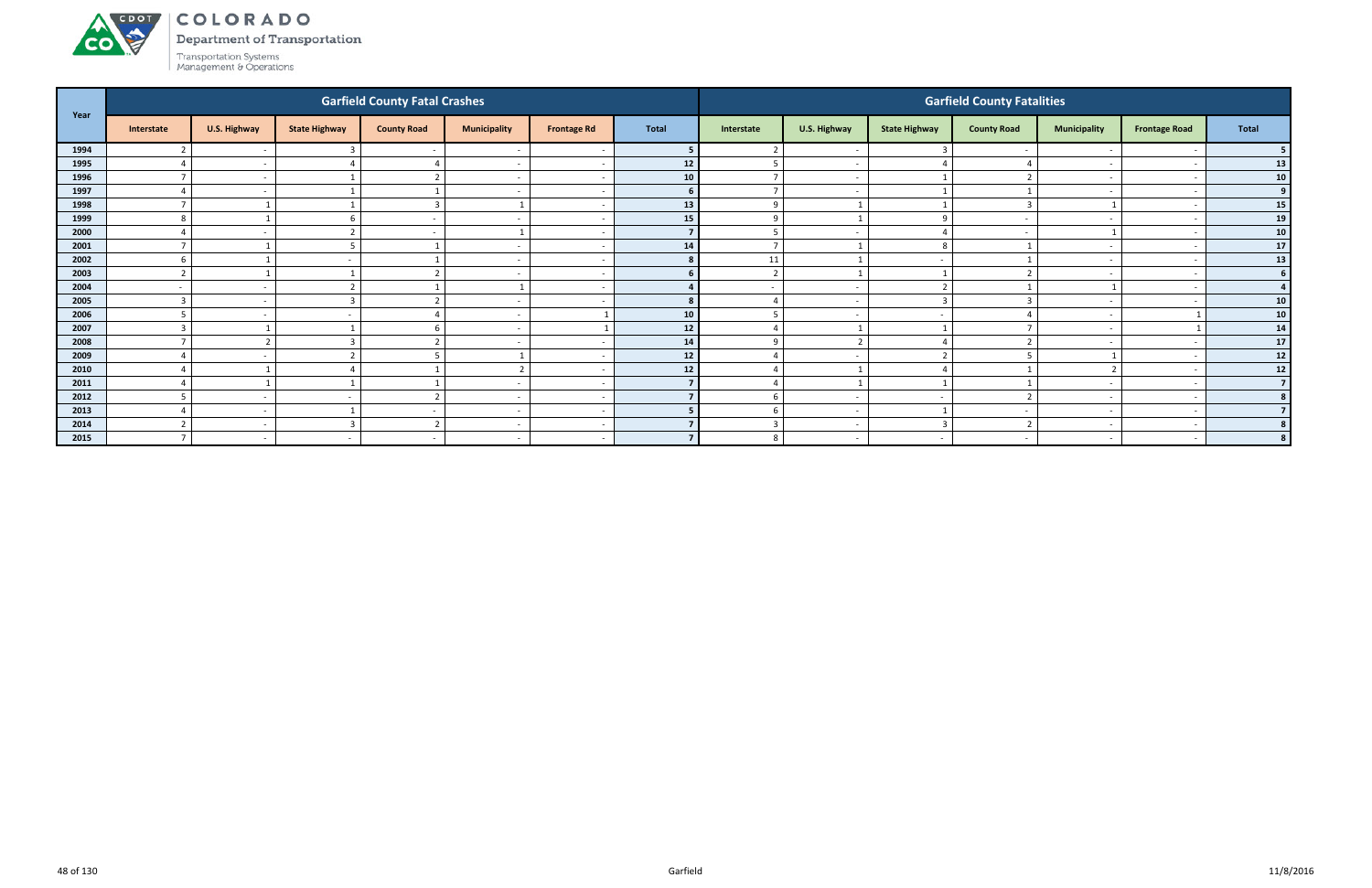# ACDOL **CO**

COLORADO

Department of Transportation

|      |                 |                          |                      | <b>Garfield County Fatal Crashes</b> |                          |                          |              |                |                          |                      | <b>Garfield County Fatalities</b> |                          |                      |                 |
|------|-----------------|--------------------------|----------------------|--------------------------------------|--------------------------|--------------------------|--------------|----------------|--------------------------|----------------------|-----------------------------------|--------------------------|----------------------|-----------------|
| Year | Interstate      | U.S. Highway             | <b>State Highway</b> | <b>County Road</b>                   | <b>Municipality</b>      | <b>Frontage Rd</b>       | <b>Total</b> | Interstate     | U.S. Highway             | <b>State Highway</b> | <b>County Road</b>                | <b>Municipality</b>      | <b>Frontage Road</b> | <b>Total</b>    |
| 1994 |                 | $\sim$                   |                      |                                      |                          |                          |              |                | $\overline{\phantom{a}}$ |                      |                                   |                          |                      |                 |
| 1995 |                 | $\sim$                   |                      |                                      | $\overline{\phantom{a}}$ | - -                      | 12           |                | $\sim$                   |                      |                                   | $\overline{\phantom{0}}$ |                      | 13              |
| 1996 |                 | $\sim$                   |                      |                                      | $\overline{\phantom{a}}$ |                          | 10           | $\overline{7}$ | $\overline{a}$           |                      |                                   | $\overline{\phantom{0}}$ |                      | 10 <sup>1</sup> |
| 1997 |                 | $\sim$                   |                      |                                      | $\overline{\phantom{a}}$ |                          | <b>6</b>     | $\overline{7}$ | $\overline{\phantom{a}}$ |                      |                                   |                          |                      | 9 <sup>1</sup>  |
| 1998 |                 |                          |                      | $\overline{3}$                       |                          |                          | 13           | 9              |                          |                      |                                   |                          |                      | 15              |
| 1999 |                 |                          |                      |                                      | $\overline{\phantom{a}}$ |                          | 15           | $\Omega$       |                          | $\Omega$             |                                   |                          |                      | 19              |
| 2000 |                 | $\sim$                   |                      | $\sim$                               |                          |                          |              | 5              | $\overline{a}$           |                      |                                   |                          |                      | 10 <sup>1</sup> |
| 2001 | $\overline{ }$  |                          |                      |                                      | $\overline{\phantom{a}}$ |                          | 14           | $\overline{7}$ | $\overline{1}$           | 8                    |                                   | $\overline{\phantom{0}}$ |                      | $17\,$          |
| 2002 |                 |                          |                      |                                      | $\overline{\phantom{a}}$ |                          | 8            | 11             | $\overline{\mathbf{1}}$  |                      |                                   |                          |                      | 13              |
| 2003 |                 |                          |                      |                                      | $\overline{\phantom{a}}$ | - -                      | 6.           | $\overline{2}$ | - 1                      |                      |                                   | $\overline{\phantom{0}}$ |                      | 6               |
| 2004 |                 | $\sim$                   |                      |                                      |                          |                          |              |                | $\overline{\phantom{a}}$ | ຳ                    |                                   |                          |                      | $\Delta$        |
| 2005 | $\overline{3}$  | $\sim$                   |                      | $\mathbf{\overline{}}$               | $\overline{\phantom{a}}$ | <u>т</u>                 |              | $\Delta$       | $\overline{\phantom{a}}$ | $\overline{3}$       |                                   |                          |                      | 10 <sup>1</sup> |
| 2006 |                 | $\sim$                   |                      |                                      | $\overline{\phantom{a}}$ |                          | 10           | 5              | $\overline{\phantom{a}}$ | $\sim$               |                                   | $\sim$                   |                      | 10 <sup>°</sup> |
| 2007 | $\mathbf{3}$    |                          |                      | 6                                    | $\overline{\phantom{a}}$ |                          | 12           | $\overline{4}$ | $\overline{1}$           |                      |                                   |                          |                      | 14              |
| 2008 | $\mathbf{\tau}$ | ຳ                        |                      | $\mathbf{r}$                         | $\overline{\phantom{a}}$ |                          | 14           | 9              | $\overline{2}$           |                      |                                   |                          |                      | $17\,$          |
| 2009 |                 | $\overline{\phantom{a}}$ |                      |                                      |                          |                          | 12           |                | $\overline{\phantom{a}}$ |                      |                                   |                          |                      | $12$            |
| 2010 |                 |                          |                      |                                      | $\mathcal{D}$            |                          | 12           |                | $\overline{1}$           |                      |                                   | $\overline{2}$           |                      | 12              |
| 2011 |                 |                          |                      |                                      | $\overline{\phantom{a}}$ |                          |              | $\Delta$       | $\overline{\mathbf{1}}$  |                      |                                   | $\overline{\phantom{0}}$ |                      | $\overline{7}$  |
| 2012 |                 | $\sim$                   |                      |                                      | $\overline{\phantom{a}}$ |                          |              | 6              | $\overline{\phantom{a}}$ |                      |                                   |                          |                      |                 |
| 2013 |                 | $\sim$                   |                      |                                      | $\overline{\phantom{a}}$ |                          |              | 6              | $\overline{\phantom{a}}$ |                      |                                   |                          |                      |                 |
| 2014 |                 | $\sim$                   |                      | n,                                   | $\overline{\phantom{a}}$ | - -                      |              | 3              | $\overline{\phantom{a}}$ | 3                    |                                   |                          |                      |                 |
| 2015 | $\overline{ }$  | $\sim$                   | $\overline{a}$       | $\sim$                               | $\overline{\phantom{a}}$ | $\overline{\phantom{a}}$ |              | 8              | $\overline{a}$           | $\sim$               |                                   | $\overline{\phantom{0}}$ |                      |                 |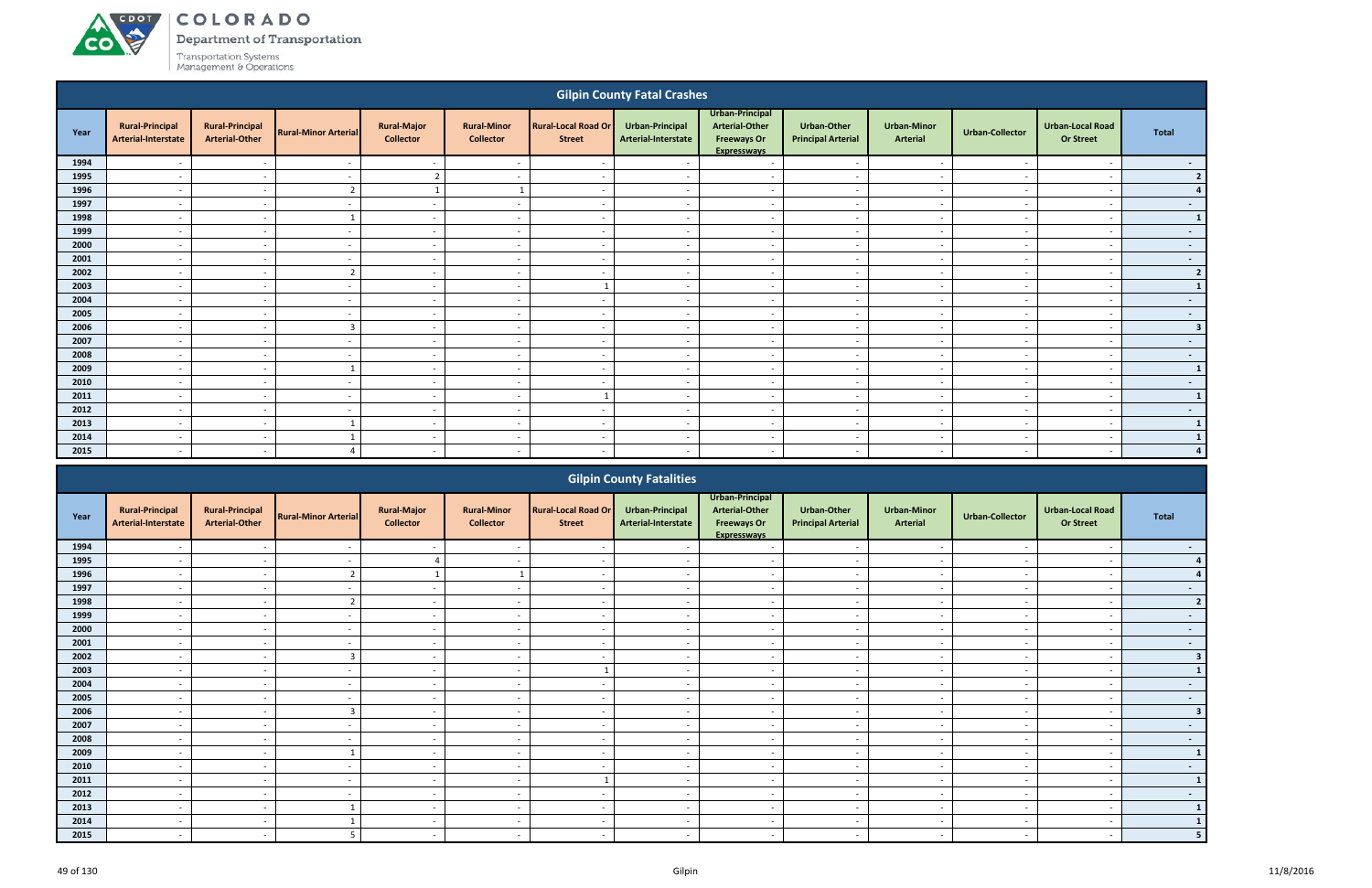# ACDOT

**CO** 

COLORADO

Department of Transportation

|      |                                               |                                                 |                             |                                        |                                        |                                             | <b>Gilpin County Fatal Crashes</b>            |                                                                                      |                                          |                                       |                          |                                             |                         |
|------|-----------------------------------------------|-------------------------------------------------|-----------------------------|----------------------------------------|----------------------------------------|---------------------------------------------|-----------------------------------------------|--------------------------------------------------------------------------------------|------------------------------------------|---------------------------------------|--------------------------|---------------------------------------------|-------------------------|
| Year | <b>Rural-Principal</b><br>Arterial-Interstate | <b>Rural-Principal</b><br><b>Arterial-Other</b> | <b>Rural-Minor Arterial</b> | <b>Rural-Major</b><br><b>Collector</b> | <b>Rural-Minor</b><br><b>Collector</b> | <b>Rural-Local Road Or</b><br><b>Street</b> | <b>Urban-Principal</b><br>Arterial-Interstate | Urban-Principal<br><b>Arterial-Other</b><br><b>Freeways Or</b><br><b>Expresswavs</b> | Urban-Other<br><b>Principal Arterial</b> | <b>Urban-Minor</b><br><b>Arterial</b> | <b>Urban-Collector</b>   | <b>Urban-Local Road</b><br><b>Or Street</b> | <b>Total</b>            |
| 1994 | $\overline{\phantom{a}}$                      | $\overline{\phantom{a}}$                        | $\overline{\phantom{a}}$    | $\sim$                                 | $\sim$                                 | $\sim$                                      | $\overline{\phantom{a}}$                      | $\sim$                                                                               | $\sim$                                   | $\sim$                                | $\sim$                   | $\overline{a}$                              | $\sim 100$              |
| 1995 | $\overline{\phantom{a}}$                      | $\overline{\phantom{a}}$                        | $\overline{\phantom{a}}$    | $\overline{2}$                         | $\overline{a}$                         | $\sim$                                      | $\overline{\phantom{a}}$                      | $\overline{\phantom{a}}$                                                             | $\overline{\phantom{0}}$                 | $\sim$                                | <b>.</b>                 | $\overline{a}$                              | 2                       |
| 1996 | $\overline{\phantom{a}}$                      | $\overline{\phantom{a}}$                        | $\overline{2}$              | 1                                      | $\mathbf{1}$                           | $\sim$                                      | $\overline{a}$                                | $\overline{a}$                                                                       | $\sim$                                   | $\sim$                                | $\overline{\phantom{a}}$ | $\overline{\phantom{a}}$                    | 4                       |
| 1997 | $\sim$                                        | $\sim$                                          | $\overline{\phantom{a}}$    | $\sim$                                 | $\overline{\phantom{a}}$               | $\overline{\phantom{a}}$                    | $\sim$                                        | $\sim$                                                                               | $\sim$                                   | $\overline{\phantom{a}}$              | $\overline{\phantom{a}}$ | $\overline{\phantom{a}}$                    | $\sim$                  |
| 1998 | $\overline{\phantom{a}}$                      | $\sim$                                          | 1                           | $\sim$                                 | $\overline{\phantom{a}}$               | $\overline{\phantom{a}}$                    | $\overline{\phantom{a}}$                      | $\sim$                                                                               | $\overline{\phantom{a}}$                 | $\sim$                                | $\overline{\phantom{a}}$ | $\overline{\phantom{a}}$                    | $\vert 1 \vert$         |
| 1999 | $\overline{\phantom{a}}$                      | $\overline{\phantom{a}}$                        | $\overline{\phantom{a}}$    | $\overline{\phantom{a}}$               | $\overline{a}$                         | $\overline{\phantom{a}}$                    | $\overline{a}$                                | $\sim$                                                                               | $\overline{\phantom{a}}$                 | $\overline{\phantom{a}}$              |                          | $\overline{a}$                              | $\sim$                  |
| 2000 | $\overline{\phantom{a}}$                      | $\overline{\phantom{a}}$                        |                             | $\sim$                                 | $\overline{\phantom{a}}$               | $\overline{\phantom{a}}$                    | $\overline{\phantom{a}}$                      | $\overline{\phantom{a}}$                                                             | $\overline{\phantom{a}}$                 | $\overline{\phantom{a}}$              |                          | $\overline{a}$                              | $\sim$                  |
| 2001 | $\overline{\phantom{a}}$                      | $\overline{\phantom{a}}$                        | $\overline{\phantom{a}}$    | $\sim$                                 | $\overline{a}$                         | $\sim$                                      | $\overline{\phantom{a}}$                      | $\overline{\phantom{a}}$                                                             | $\overline{\phantom{a}}$                 | $\sim$                                |                          | $\overline{\phantom{a}}$                    | $\sim$                  |
| 2002 | $\overline{a}$                                | $\overline{\phantom{a}}$                        | $\overline{2}$              | $\overline{\phantom{a}}$               | $\overline{\phantom{a}}$               | $\sim$                                      | $\overline{\phantom{a}}$                      | $\sim$                                                                               | $\overline{\phantom{a}}$                 | $\sim$                                | <b>.</b>                 | $\overline{\phantom{a}}$                    | 2                       |
| 2003 | $\overline{a}$                                | $\overline{\phantom{a}}$                        | $\overline{\phantom{a}}$    | $\sim$                                 | $\overline{\phantom{a}}$               | 1                                           | $\sim$                                        | $\sim$                                                                               | $\overline{\phantom{a}}$                 | $\overline{\phantom{a}}$              | <b>.</b>                 | $\overline{\phantom{a}}$                    | $\mathbf{1}$            |
| 2004 | $\overline{a}$                                | $\overline{a}$                                  | $\overline{\phantom{a}}$    | $\sim$                                 | $\overline{a}$                         | $\sim$                                      | $\sim$                                        | $\overline{a}$                                                                       | $\overline{\phantom{a}}$                 | $\sim$                                | . .                      | $\overline{\phantom{a}}$                    | $\sim 100$              |
| 2005 | $\sim$                                        | $\sim$                                          | $\overline{\phantom{a}}$    | $\sim$                                 | $\overline{\phantom{a}}$               | $\overline{\phantom{a}}$                    | $\sim$                                        | $\sim$                                                                               | $\sim$                                   | $\sim$                                | $\overline{\phantom{a}}$ | $\overline{\phantom{a}}$                    | $\sim$                  |
| 2006 | $\overline{\phantom{a}}$                      | $\sim$                                          | $\overline{3}$              | $\sim$                                 | $\overline{\phantom{a}}$               | $\overline{\phantom{a}}$                    | $\overline{\phantom{a}}$                      | $\sim$                                                                               | $\sim$                                   | $\overline{\phantom{a}}$              | $\overline{\phantom{a}}$ | $\overline{\phantom{a}}$                    | $\overline{\mathbf{3}}$ |
| 2007 | $\overline{\phantom{a}}$                      | $\overline{\phantom{a}}$                        | $\overline{\phantom{a}}$    | $\sim$                                 | $\overline{\phantom{a}}$               | $\overline{\phantom{a}}$                    | $\sim$                                        | $\sim$                                                                               | $\sim$                                   | $\sim$                                | $\overline{\phantom{a}}$ | $\overline{\phantom{0}}$                    | $\sim$ $-$              |
| 2008 | $\overline{\phantom{a}}$                      | $\overline{\phantom{a}}$                        | $\overline{\phantom{a}}$    | $\overline{\phantom{a}}$               | $\overline{\phantom{a}}$               | $\overline{\phantom{a}}$                    | $\overline{\phantom{a}}$                      | $\sim$                                                                               | $\sim$                                   | $\overline{\phantom{a}}$              | <b>.</b>                 | $\overline{\phantom{a}}$                    | $\sim$ $-$              |
| 2009 | $\overline{\phantom{a}}$                      | $\overline{\phantom{a}}$                        |                             | $\sim$                                 | $\overline{\phantom{a}}$               | $\sim$                                      |                                               | $\overline{\phantom{a}}$                                                             | $\overline{\phantom{a}}$                 | $\overline{\phantom{a}}$              |                          | $\overline{\phantom{a}}$                    | $\mathbf{1}$            |
| 2010 | $\overline{\phantom{a}}$                      | $\overline{\phantom{a}}$                        | $\overline{\phantom{a}}$    | $\sim$                                 | $\overline{a}$                         | $\overline{\phantom{a}}$                    | $\overline{\phantom{a}}$                      | $\sim$                                                                               | $\sim$                                   | $\sim$                                | $\sim$                   | $\overline{a}$                              | $\sim$                  |
| 2011 | $\overline{\phantom{a}}$                      | $\overline{\phantom{a}}$                        | $\overline{\phantom{a}}$    | $\sim$                                 | $\overline{\phantom{a}}$               | $\overline{\mathbf{1}}$                     | $\overline{\phantom{a}}$                      | $\overline{a}$                                                                       | $\overline{a}$                           | $\sim$                                | <b>.</b>                 | $\overline{a}$                              | $\mathbf{1}$            |
| 2012 | $\overline{a}$                                | $\overline{\phantom{a}}$                        | $\overline{\phantom{a}}$    | $\overline{\phantom{a}}$               | $\overline{a}$                         | $\sim$                                      | $\overline{a}$                                | $\sim$                                                                               | $\sim$                                   | $\overline{\phantom{a}}$              | $\sim$                   | $\overline{a}$                              | $\sim 100$              |
| 2013 | $\overline{\phantom{a}}$                      | $\overline{\phantom{a}}$                        |                             | $\sim$                                 | $\overline{\phantom{a}}$               | $\overline{\phantom{a}}$                    | $\sim$                                        | $\sim$                                                                               | $\overline{\phantom{a}}$                 | $\sim$                                |                          | $\overline{\phantom{a}}$                    | $\mathbf{1}$            |
| 2014 | $\sim$                                        | $\sim$                                          |                             | $\sim$                                 | $\overline{\phantom{a}}$               | $\overline{\phantom{a}}$                    | $\sim$                                        | $\sim$                                                                               | $\sim$                                   | $\sim$                                | $\overline{\phantom{a}}$ | $\overline{\phantom{a}}$                    | $\mathbf{1}$            |
| 2015 | $\overline{\phantom{a}}$                      | $\overline{\phantom{a}}$                        |                             | $\sim$                                 | $\overline{\phantom{a}}$               | $\overline{\phantom{a}}$                    | $\overline{\phantom{a}}$                      | $\overline{\phantom{a}}$                                                             | $\overline{\phantom{a}}$                 | $\overline{\phantom{a}}$              |                          |                                             | 4                       |
|      |                                               |                                                 |                             |                                        |                                        |                                             | <b>Gilpin County Fatalities</b>               | Urban-Principal                                                                      |                                          |                                       |                          |                                             |                         |

|      |                                               |                                                 |                             |                                        |                                        |                                             | <b>Supril County Fatalities</b>        |                                                                                      |                                                 |                                |                          |                                      |              |
|------|-----------------------------------------------|-------------------------------------------------|-----------------------------|----------------------------------------|----------------------------------------|---------------------------------------------|----------------------------------------|--------------------------------------------------------------------------------------|-------------------------------------------------|--------------------------------|--------------------------|--------------------------------------|--------------|
| Year | <b>Rural-Principal</b><br>Arterial-Interstate | <b>Rural-Principal</b><br><b>Arterial-Other</b> | <b>Rural-Minor Arterial</b> | <b>Rural-Major</b><br><b>Collector</b> | <b>Rural-Minor</b><br><b>Collector</b> | <b>Rural-Local Road Or</b><br><b>Street</b> | Urban-Principal<br>Arterial-Interstate | Urban-Principal<br><b>Arterial-Other</b><br><b>Freeways Or</b><br><b>Expressways</b> | <b>Urban-Other</b><br><b>Principal Arterial</b> | <b>Urban-Minor</b><br>Arterial | <b>Urban-Collector</b>   | <b>Urban-Local Road</b><br>Or Street | Total        |
| 1994 |                                               |                                                 |                             |                                        |                                        |                                             |                                        |                                                                                      |                                                 |                                |                          |                                      |              |
| 1995 |                                               |                                                 |                             |                                        |                                        | $\overline{\phantom{a}}$                    |                                        |                                                                                      |                                                 |                                |                          |                                      |              |
| 1996 |                                               |                                                 |                             |                                        |                                        | $\sim$                                      |                                        | $\overline{\phantom{a}}$                                                             |                                                 |                                |                          |                                      |              |
| 1997 | $\overline{\phantom{0}}$                      | $\sim$                                          |                             | $\sim$                                 | $\overline{\phantom{a}}$               | $\sim$                                      | $\overline{\phantom{a}}$               | $\overline{a}$                                                                       | $\sim$                                          | $\sim$                         |                          | $\overline{\phantom{a}}$             | $\sim$       |
| 1998 |                                               |                                                 |                             | $\sim$                                 | $\overline{\phantom{0}}$               | $\overline{\phantom{a}}$                    |                                        | $\overline{\phantom{a}}$                                                             | $\overline{\phantom{a}}$                        |                                |                          |                                      |              |
| 1999 |                                               |                                                 |                             | $\sim$                                 |                                        | $\overline{\phantom{a}}$                    |                                        |                                                                                      |                                                 |                                |                          |                                      | $\sim$       |
| 2000 |                                               |                                                 |                             | $\sim$                                 | $\overline{\phantom{a}}$               | $\sim$                                      |                                        | $\overline{\phantom{a}}$                                                             | $\overline{\phantom{a}}$                        | $\overline{\phantom{a}}$       |                          | $\overline{\phantom{a}}$             | $\sim$       |
| 2001 |                                               |                                                 |                             | $\sim$                                 |                                        | $\overline{\phantom{0}}$                    |                                        |                                                                                      |                                                 |                                |                          |                                      | $\sim$       |
| 2002 |                                               |                                                 |                             | $\sim$                                 |                                        |                                             |                                        | $\overline{\phantom{0}}$                                                             |                                                 |                                |                          |                                      | $\mathbf{R}$ |
| 2003 |                                               |                                                 |                             | $\sim$                                 | $\overline{\phantom{a}}$               |                                             |                                        | $\overline{\phantom{a}}$                                                             | $\overline{\phantom{a}}$                        | $\overline{\phantom{a}}$       |                          | $\overline{\phantom{a}}$             |              |
| 2004 | $\overline{\phantom{0}}$                      | $\sim$                                          | $\overline{\phantom{0}}$    | $\sim$                                 | $\overline{\phantom{0}}$               | $\overline{\phantom{a}}$                    | $\overline{\phantom{a}}$               | $\overline{\phantom{a}}$                                                             | $\overline{\phantom{a}}$                        | $\overline{\phantom{a}}$       | $\overline{\phantom{a}}$ | $\overline{\phantom{a}}$             | $\sim$       |
| 2005 |                                               |                                                 |                             | $\sim$                                 |                                        |                                             |                                        | $\overline{\phantom{a}}$                                                             | $\overline{\phantom{a}}$                        |                                |                          | $\overline{\phantom{a}}$             | $\sim$       |
| 2006 |                                               |                                                 |                             | $\sim$                                 |                                        | $\sim$                                      |                                        | $\overline{\phantom{a}}$                                                             |                                                 |                                |                          | $\overline{\phantom{a}}$             | 3            |
| 2007 |                                               |                                                 |                             | $\sim$                                 | $\overline{\phantom{a}}$               | $\overline{\phantom{a}}$                    |                                        | $\overline{\phantom{a}}$                                                             |                                                 |                                |                          |                                      | $\sim$       |
| 2008 |                                               |                                                 |                             |                                        |                                        |                                             |                                        |                                                                                      |                                                 |                                |                          |                                      | $\sim$       |
| 2009 |                                               | $\sim$                                          |                             | $\sim$                                 | $\overline{\phantom{a}}$               | $\sim$                                      |                                        | $\overline{\phantom{0}}$                                                             | $\overline{\phantom{a}}$                        | $\overline{\phantom{0}}$       |                          | $\overline{\phantom{a}}$             | 1            |
| 2010 |                                               |                                                 |                             | $\sim$                                 | $\overline{\phantom{a}}$               | $\overline{\phantom{a}}$                    |                                        | $\overline{\phantom{a}}$                                                             | $\overline{\phantom{a}}$                        |                                |                          |                                      | $\sim$       |
| 2011 |                                               |                                                 |                             | $\sim$                                 |                                        |                                             |                                        | $\overline{\phantom{a}}$                                                             |                                                 | $\overline{\phantom{a}}$       |                          | $\overline{\phantom{a}}$             | $\mathbf{1}$ |
| 2012 |                                               |                                                 |                             |                                        |                                        |                                             |                                        |                                                                                      |                                                 |                                |                          |                                      | $\sim$       |
| 2013 |                                               |                                                 |                             | $\sim$                                 |                                        | $\overline{\phantom{a}}$                    |                                        |                                                                                      |                                                 |                                |                          |                                      |              |
| 2014 |                                               |                                                 |                             | $\sim$                                 |                                        | $\sim$                                      |                                        |                                                                                      |                                                 |                                |                          |                                      |              |
| 2015 |                                               |                                                 |                             |                                        |                                        | $\overline{\phantom{0}}$                    |                                        |                                                                                      |                                                 |                                |                          |                                      |              |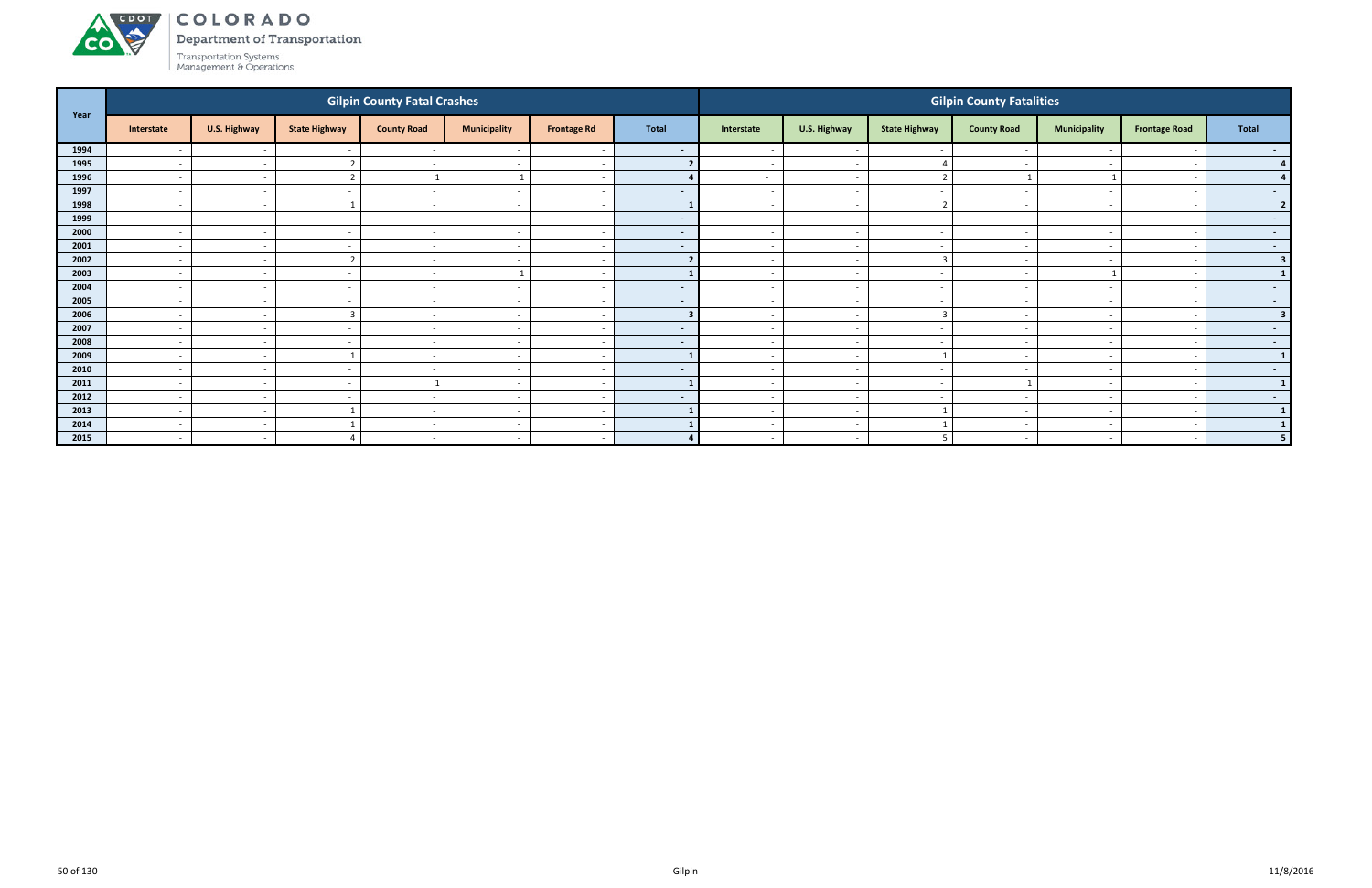

Department of Transportation

| Year |                          |                          |                          | <b>Gilpin County Fatal Crashes</b> |                          |                          |                |                          |                          |                          | <b>Gilpin County Fatalities</b> |                          |                          |                  |
|------|--------------------------|--------------------------|--------------------------|------------------------------------|--------------------------|--------------------------|----------------|--------------------------|--------------------------|--------------------------|---------------------------------|--------------------------|--------------------------|------------------|
|      | Interstate               | U.S. Highway             | <b>State Highway</b>     | <b>County Road</b>                 | <b>Municipality</b>      | <b>Frontage Rd</b>       | <b>Total</b>   | Interstate               | U.S. Highway             | <b>State Highway</b>     | <b>County Road</b>              | <b>Municipality</b>      | <b>Frontage Road</b>     | Total            |
| 1994 | $\overline{\phantom{0}}$ | $\sim$                   |                          | $\overline{\phantom{a}}$           |                          | $\overline{\phantom{a}}$ | $\sim$         |                          | $\overline{\phantom{a}}$ |                          |                                 |                          |                          | $\sim$ $-$       |
| 1995 | $\overline{\phantom{0}}$ | $\overline{\phantom{a}}$ |                          | $\sim$                             | $\overline{\phantom{a}}$ | $\sim$                   |                | $\overline{\phantom{a}}$ | $\overline{\phantom{a}}$ |                          |                                 | $\overline{\phantom{0}}$ |                          | 4 <sup>1</sup>   |
| 1996 | $\sim$                   | $\sim$                   | ີ                        |                                    |                          | $\overline{\phantom{a}}$ |                | $\sim$                   | $\sim$                   | $\overline{2}$           |                                 |                          |                          |                  |
| 1997 | $\sim$                   | $\sim$                   |                          |                                    | $\overline{\phantom{a}}$ | $\overline{\phantom{a}}$ | $\blacksquare$ |                          | $\sim$                   |                          |                                 |                          |                          | $\sim$ 100 $\mu$ |
| 1998 | $\sim$                   | $\sim$                   |                          | $\sim$                             | $\overline{\phantom{a}}$ | $\sim$                   |                | $\sim$                   | $\sim$                   | ຳ                        |                                 | $\overline{\phantom{0}}$ |                          | 2 <sup>1</sup>   |
| 1999 | $\overline{\phantom{a}}$ | $\sim$                   |                          |                                    | $\overline{\phantom{a}}$ | $\overline{\phantom{a}}$ | $\sim$         |                          | $\sim$                   |                          |                                 |                          |                          | $\sim$ $-$       |
| 2000 | $\sim$                   | $\overline{\phantom{a}}$ | $\sim$                   | $\sim$                             | $\overline{\phantom{a}}$ | $\sim$                   | $\sim$         | $\sim$                   | $\sim$                   | $\sim$                   | $\sim$                          | $\overline{\phantom{0}}$ | $\overline{\phantom{a}}$ | $\sim$ 100 $\pm$ |
| 2001 | $\sim$                   | $\sim$                   | -                        | $\overline{\phantom{a}}$           | $\overline{\phantom{a}}$ | $\sim$                   | $\sim$         | $\sim$                   | $\sim$                   | $\sim$                   |                                 | $\sim$                   |                          | $\sim$ $-$       |
| 2002 | $\overline{\phantom{0}}$ | $\sim$                   | ີ                        | $\overline{\phantom{a}}$           | $\overline{\phantom{0}}$ | $\overline{\phantom{a}}$ |                |                          | $\sim$                   | $\overline{3}$           |                                 | $\overline{\phantom{a}}$ |                          | 3                |
| 2003 | $\sim$                   | $\sim$                   |                          | $\overline{\phantom{a}}$           |                          | $\overline{\phantom{a}}$ |                |                          | $\sim$                   | $\sim$                   |                                 |                          |                          |                  |
| 2004 | $\overline{\phantom{a}}$ | $\sim$                   |                          |                                    |                          | $\overline{\phantom{a}}$ | $\sim$         |                          | $\sim$                   |                          |                                 |                          |                          | $\sim$ $-$       |
| 2005 | $\sim$                   | $\overline{\phantom{a}}$ | $\sim$                   | $\sim$                             | $\overline{\phantom{a}}$ | $\sim$                   | $\sim$         | $\sim$                   | $\sim$                   | $\sim$                   | $\overline{\phantom{a}}$        | $\sim$                   | $\sim$                   | $\sim$ $-$       |
| 2006 | $\overline{a}$           | $\overline{\phantom{a}}$ | $\sqrt{2}$               | $\sim$                             | $\overline{\phantom{a}}$ | $\overline{\phantom{a}}$ |                | $\sim$                   | $\overline{\phantom{a}}$ | 3                        | $\overline{\phantom{a}}$        | $\overline{\phantom{0}}$ |                          | 3                |
| 2007 | $\overline{a}$           | $\overline{\phantom{a}}$ | $\overline{\phantom{a}}$ | $\overline{\phantom{a}}$           | $\overline{\phantom{a}}$ | $\overline{\phantom{a}}$ | $\sim$         | $\sim$                   | $\overline{\phantom{a}}$ | $\sim$                   |                                 | $\overline{a}$           | $\overline{\phantom{0}}$ | $\sim$ $-$       |
| 2008 | $\sim$                   | $\overline{\phantom{a}}$ |                          | $\overline{\phantom{a}}$           | $\overline{\phantom{0}}$ | $\overline{\phantom{a}}$ | $\sim$         |                          | $\overline{\phantom{a}}$ | $\overline{\phantom{a}}$ |                                 | $\overline{\phantom{0}}$ |                          | $\sim$ $-$       |
| 2009 | $\sim$                   | $\sim$                   |                          | $\overline{\phantom{a}}$           | $\overline{\phantom{0}}$ | $\overline{\phantom{a}}$ |                |                          | $\sim$                   |                          |                                 | $\overline{\phantom{0}}$ |                          | 1                |
| 2010 | $\sim$                   | $\sim$                   | $\overline{\phantom{a}}$ | $\overline{a}$                     | $\overline{\phantom{a}}$ | $\sim$                   | $\sim$         | $\sim$                   | $\sim$                   | $\sim$                   | $\qquad \qquad \blacksquare$    | $\overline{\phantom{a}}$ | $\overline{\phantom{a}}$ | $\sim$ 100 $\pm$ |
| 2011 | $\overline{\phantom{a}}$ | $\sim$                   |                          |                                    | $\overline{\phantom{a}}$ | $\overline{\phantom{a}}$ |                |                          | $\sim$                   |                          |                                 | $\overline{\phantom{a}}$ |                          | $\mathbf{1}$     |
| 2012 | $\overline{a}$           | $\sim$                   | $\overline{\phantom{0}}$ | $\overline{\phantom{a}}$           | $\overline{\phantom{a}}$ | $\overline{\phantom{a}}$ | $\sim$         | $\sim$                   | $\sim$                   | $\sim$                   |                                 | $\overline{a}$           |                          | $\sim$ $-$       |
| 2013 | $\sim$                   | $\sim$                   |                          | и,                                 | $\overline{\phantom{a}}$ | $\sim$                   |                |                          | $\sim$                   |                          |                                 |                          |                          | $\mathbf{1}$     |
| 2014 | $\overline{a}$           | $\sim$                   |                          | $\sim$                             | $\overline{\phantom{a}}$ | $\overline{\phantom{a}}$ |                | $\overline{\phantom{0}}$ | $\sim$                   |                          |                                 | $\overline{\phantom{0}}$ | $\overline{\phantom{0}}$ | $1\phantom{.}$   |
| 2015 | $\sim$                   | $\sim$                   |                          | $\sim$                             | $\overline{\phantom{a}}$ | $\sim$                   | $\mathbf{A}$   | $\sim$                   | $\sim$                   | -5                       | $\overline{\phantom{a}}$        | $\overline{\phantom{0}}$ | $\overline{a}$           | 5 <sub>1</sub>   |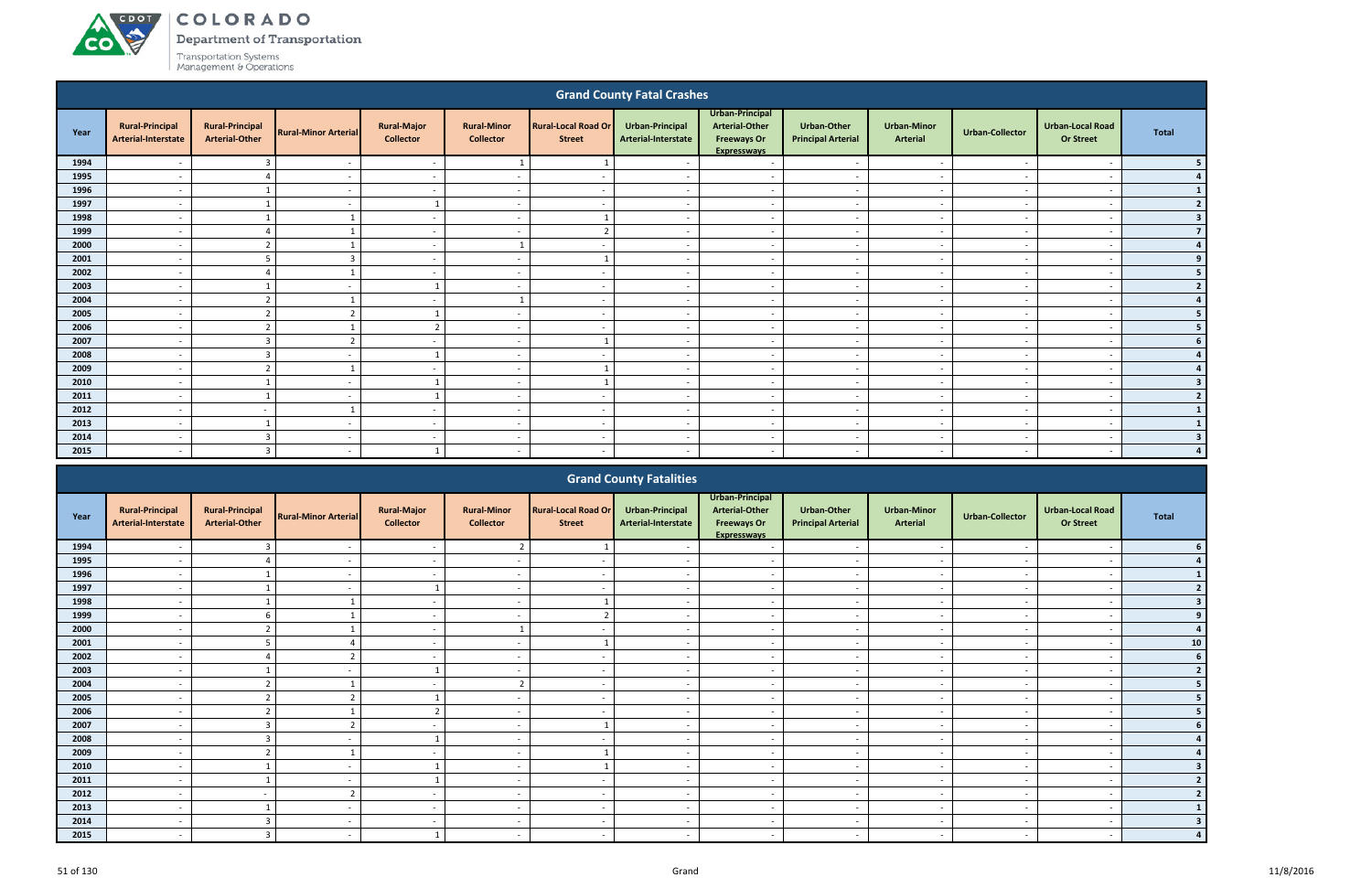# ACDOT **CO**

COLORADO

Department of Transportation

|      |                                               |                                                 |                             |                                        |                                        |                                             | <b>Grand County Fatal Crashes</b>             |                                                                                      |                                                 |                                |                          |                                             |                         |
|------|-----------------------------------------------|-------------------------------------------------|-----------------------------|----------------------------------------|----------------------------------------|---------------------------------------------|-----------------------------------------------|--------------------------------------------------------------------------------------|-------------------------------------------------|--------------------------------|--------------------------|---------------------------------------------|-------------------------|
| Year | <b>Rural-Principal</b><br>Arterial-Interstate | <b>Rural-Principal</b><br><b>Arterial-Other</b> | <b>Rural-Minor Arterial</b> | <b>Rural-Major</b><br><b>Collector</b> | <b>Rural-Minor</b><br><b>Collector</b> | <b>Rural-Local Road Or</b><br><b>Street</b> | <b>Urban-Principal</b><br>Arterial-Interstate | Urban-Principal<br><b>Arterial-Other</b><br><b>Freeways Or</b><br><b>Expressways</b> | <b>Urban-Other</b><br><b>Principal Arterial</b> | <b>Urban-Minor</b><br>Arterial | <b>Urban-Collector</b>   | <b>Urban-Local Road</b><br><b>Or Street</b> | <b>Total</b>            |
| 1994 |                                               | $\overline{\mathbf{3}}$                         | $\overline{\phantom{a}}$    | $\sim$                                 | 1                                      | $\overline{1}$                              |                                               | $\overline{\phantom{a}}$                                                             | $\overline{\phantom{a}}$                        | $\overline{\phantom{a}}$       | $\sim$                   | $\overline{\phantom{a}}$                    | 5                       |
| 1995 | $\overline{\phantom{a}}$                      | $\Delta$                                        | $\overline{\phantom{0}}$    | $\sim$                                 | $\overline{\phantom{0}}$               | $\overline{\phantom{0}}$                    | $\overline{\phantom{a}}$                      | $\overline{\phantom{a}}$                                                             | $\sim$                                          | $\sim$                         | $\overline{\phantom{a}}$ | $\overline{\phantom{a}}$                    | $\overline{a}$          |
| 1996 | $\overline{\phantom{a}}$                      | $\overline{1}$                                  | $\overline{\phantom{a}}$    | $\sim$                                 | $\sim$                                 | $\overline{\phantom{a}}$                    | $\sim$                                        | $\sim$                                                                               | $\sim$                                          | $\overline{\phantom{a}}$       | $\overline{\phantom{a}}$ | $\overline{\phantom{a}}$                    |                         |
| 1997 | $\overline{\phantom{a}}$                      |                                                 | $\overline{\phantom{a}}$    | -1                                     | $\overline{\phantom{a}}$               | $\overline{\phantom{a}}$                    | $\sim$                                        | $\sim$                                                                               | $\overline{\phantom{a}}$                        | $\overline{\phantom{a}}$       | $\sim$                   | $\overline{\phantom{a}}$                    | $\overline{2}$          |
| 1998 | $\overline{a}$                                |                                                 |                             | $\overline{\phantom{a}}$               | $\overline{\phantom{a}}$               |                                             | $\sim$                                        | $\sim$                                                                               | $\overline{\phantom{a}}$                        | $\sim$                         | $\sim$                   | $\overline{\phantom{a}}$                    | $\overline{\mathbf{3}}$ |
| 1999 | $\overline{\phantom{a}}$                      |                                                 |                             | $\overline{\phantom{a}}$               | $\overline{a}$                         | $\overline{2}$                              | $\overline{\phantom{a}}$                      | $\overline{\phantom{a}}$                                                             | $\overline{\phantom{a}}$                        | $\overline{\phantom{a}}$       | $\sim$                   | $\overline{\phantom{a}}$                    | $\overline{7}$          |
| 2000 | $\overline{\phantom{a}}$                      | $\overline{2}$                                  |                             | $\overline{\phantom{a}}$               |                                        | $\overline{\phantom{a}}$                    |                                               | $\overline{\phantom{a}}$                                                             | $\overline{\phantom{a}}$                        | $\sim$                         |                          | $\overline{\phantom{a}}$                    | $\overline{a}$          |
| 2001 | $\overline{\phantom{a}}$                      | 5                                               | $\overline{3}$              | $\sim$                                 | $\overline{\phantom{a}}$               |                                             | $\overline{\phantom{a}}$                      | $\overline{\phantom{a}}$                                                             | $\overline{a}$                                  | $\overline{\phantom{a}}$       | $\sim$                   | $\overline{\phantom{a}}$                    | 9                       |
| 2002 | $\overline{a}$                                |                                                 |                             | $\overline{\phantom{a}}$               | $\overline{\phantom{a}}$               | $\overline{\phantom{a}}$                    | $\overline{a}$                                | $\overline{\phantom{a}}$                                                             | $\overline{a}$                                  | $\overline{\phantom{a}}$       | $\overline{\phantom{a}}$ | $\overline{\phantom{a}}$                    | 5                       |
| 2003 | $\overline{a}$                                | $\mathbf{1}$                                    | $\overline{\phantom{a}}$    | $\mathbf{1}$                           | $\overline{a}$                         | $\overline{\phantom{a}}$                    | $\sim$                                        | $\overline{\phantom{a}}$                                                             | $\overline{\phantom{a}}$                        | $\overline{\phantom{a}}$       | $\overline{\phantom{a}}$ | $\overline{a}$                              | $\overline{2}$          |
| 2004 | $\overline{\phantom{a}}$                      | $\overline{2}$                                  |                             | $\sim$                                 |                                        | $\overline{\phantom{a}}$                    | $\sim$                                        | $\overline{\phantom{a}}$                                                             | $\overline{\phantom{a}}$                        | $\overline{\phantom{a}}$       | $\sim$                   | $\overline{\phantom{a}}$                    | 4                       |
| 2005 | $\overline{\phantom{a}}$                      | $\overline{2}$                                  | ຳ                           |                                        | $\overline{\phantom{a}}$               | $\overline{\phantom{a}}$                    | $\overline{\phantom{a}}$                      | $\overline{\phantom{a}}$                                                             | $\overline{\phantom{a}}$                        | $\overline{\phantom{a}}$       | $\sim$                   | $\overline{\phantom{a}}$                    |                         |
| 2006 | $\overline{\phantom{a}}$                      | $\overline{2}$                                  |                             | $\overline{2}$                         | $\overline{\phantom{a}}$               | $\sim$                                      | $\sim$                                        | $\overline{\phantom{a}}$                                                             | $\overline{\phantom{a}}$                        | $\overline{\phantom{a}}$       | $\sim$                   | $\overline{\phantom{a}}$                    |                         |
| 2007 | $\overline{\phantom{a}}$                      | $\overline{3}$                                  |                             | $\overline{\phantom{a}}$               | $\overline{\phantom{a}}$               |                                             | $\overline{\phantom{a}}$                      | $\overline{\phantom{a}}$                                                             | $\overline{a}$                                  | $\overline{\phantom{a}}$       | $\overline{\phantom{a}}$ | $\overline{\phantom{a}}$                    |                         |
| 2008 | $\overline{\phantom{a}}$                      | $\overline{\mathbf{3}}$                         | $\overline{\phantom{a}}$    | -1                                     | $\overline{\phantom{a}}$               | $\overline{\phantom{a}}$                    | $\overline{\phantom{a}}$                      | $\overline{\phantom{a}}$                                                             | $\overline{a}$                                  | $\overline{\phantom{a}}$       | $\sim$                   | $\overline{\phantom{a}}$                    |                         |
| 2009 | $\overline{\phantom{a}}$                      | $\overline{2}$                                  |                             | $\sim$                                 | $\overline{\phantom{a}}$               |                                             | $\overline{\phantom{a}}$                      | $\overline{a}$                                                                       | $\overline{\phantom{0}}$                        | $\sim$                         | - -                      | $\overline{\phantom{a}}$                    | 4                       |
| 2010 | $\overline{a}$                                | $\mathbf{1}$                                    | $\overline{\phantom{a}}$    | 1                                      | $\overline{a}$                         |                                             | $\sim$                                        | $\overline{\phantom{a}}$                                                             | $\overline{\phantom{a}}$                        | $\overline{\phantom{a}}$       | $\sim$                   | $\overline{\phantom{a}}$                    | $\overline{\mathbf{3}}$ |
| 2011 | $\overline{\phantom{a}}$                      |                                                 | $\overline{\phantom{a}}$    | $\overline{1}$                         | $\overline{\phantom{a}}$               | $\overline{\phantom{a}}$                    | $\sim$                                        | $\overline{\phantom{a}}$                                                             | $\overline{\phantom{a}}$                        | $\overline{\phantom{a}}$       | $\sim$                   | $\overline{\phantom{a}}$                    | $\overline{2}$          |
| 2012 | $\sim$                                        | $\overline{\phantom{a}}$                        |                             | $\sim$                                 | $\overline{\phantom{a}}$               | $\sim$                                      | $\sim$                                        | $\sim$                                                                               | $\overline{\phantom{a}}$                        | $\overline{\phantom{a}}$       | $\sim$                   | $\overline{\phantom{a}}$                    |                         |
| 2013 | $\overline{\phantom{a}}$                      | $\overline{\mathbf{1}}$                         | $\overline{\phantom{a}}$    | $\overline{\phantom{a}}$               | $\overline{\phantom{a}}$               | $\overline{\phantom{a}}$                    | $\sim$                                        | $\overline{\phantom{a}}$                                                             | $\overline{\phantom{a}}$                        | $\overline{\phantom{a}}$       | $\sim$                   | $\overline{\phantom{a}}$                    |                         |
| 2014 | $\overline{\phantom{a}}$                      | $\overline{3}$                                  | $\overline{\phantom{a}}$    | $\overline{\phantom{a}}$               | $\overline{\phantom{a}}$               | $\overline{\phantom{a}}$                    | $\overline{\phantom{a}}$                      | $\overline{\phantom{a}}$                                                             | $\overline{a}$                                  | $\overline{\phantom{a}}$       | $\sim$                   | $\overline{\phantom{a}}$                    | 3                       |
| 2015 |                                               | $\overline{3}$                                  |                             |                                        |                                        |                                             |                                               |                                                                                      |                                                 |                                |                          |                                             |                         |
|      |                                               |                                                 |                             |                                        |                                        |                                             | <b>Grand County Fatalities</b>                | <b>Urban-Principal</b>                                                               |                                                 |                                |                          |                                             |                         |

|      |                                               |                                                 |                             |                                        |                                        |                                             | <b>Startu County Fatallities</b>       |                                                                               |                                                 |                                |                          |                                             |       |
|------|-----------------------------------------------|-------------------------------------------------|-----------------------------|----------------------------------------|----------------------------------------|---------------------------------------------|----------------------------------------|-------------------------------------------------------------------------------|-------------------------------------------------|--------------------------------|--------------------------|---------------------------------------------|-------|
| Year | <b>Rural-Principal</b><br>Arterial-Interstate | <b>Rural-Principal</b><br><b>Arterial-Other</b> | <b>Rural-Minor Arterial</b> | <b>Rural-Major</b><br><b>Collector</b> | <b>Rural-Minor</b><br><b>Collector</b> | <b>Rural-Local Road Or</b><br><b>Street</b> | Urban-Principal<br>Arterial-Interstate | Urban-Principal<br>Arterial-Other<br><b>Freeways Or</b><br><b>Expresswavs</b> | <b>Urban-Other</b><br><b>Principal Arterial</b> | <b>Urban-Minor</b><br>Arterial | <b>Urban-Collector</b>   | <b>Urban-Local Road</b><br><b>Or Street</b> | Total |
| 1994 |                                               |                                                 |                             | $\overline{\phantom{a}}$               | $\overline{2}$                         |                                             |                                        |                                                                               | $\overline{\phantom{a}}$                        |                                |                          |                                             |       |
| 1995 |                                               |                                                 |                             | $\overline{\phantom{a}}$               |                                        |                                             |                                        |                                                                               | $\overline{\phantom{0}}$                        | $\overline{\phantom{0}}$       |                          | $\overline{\phantom{a}}$                    |       |
| 1996 |                                               |                                                 |                             |                                        |                                        |                                             |                                        |                                                                               |                                                 |                                |                          |                                             |       |
| 1997 |                                               |                                                 |                             |                                        | $\overline{\phantom{a}}$               |                                             |                                        | $\overline{\phantom{a}}$                                                      | $\overline{\phantom{a}}$                        | $\overline{\phantom{a}}$       |                          | $\overline{\phantom{a}}$                    |       |
| 1998 | $\overline{\phantom{a}}$                      |                                                 |                             | $\sim$                                 | $\blacksquare$                         |                                             |                                        | $\overline{\phantom{a}}$                                                      | $\overline{a}$                                  | $\overline{\phantom{0}}$       |                          | $\overline{\phantom{a}}$                    |       |
| 1999 |                                               |                                                 |                             | $\overline{\phantom{a}}$               | $\overline{\phantom{a}}$               |                                             |                                        | $\overline{\phantom{a}}$                                                      | $\overline{\phantom{a}}$                        | $\overline{\phantom{a}}$       |                          | $\overline{\phantom{a}}$                    |       |
| 2000 |                                               |                                                 |                             | $\overline{\phantom{a}}$               |                                        |                                             |                                        |                                                                               | $\sim$                                          | $\overline{\phantom{a}}$       |                          | $\overline{\phantom{a}}$                    |       |
| 2001 |                                               |                                                 |                             | $\overline{\phantom{a}}$               | $\overline{\phantom{a}}$               |                                             |                                        | $\overline{\phantom{a}}$                                                      | $\overline{\phantom{a}}$                        | $\sim$                         |                          | $\overline{\phantom{a}}$                    | 10    |
| 2002 |                                               |                                                 |                             |                                        |                                        |                                             |                                        |                                                                               | $\overline{\phantom{a}}$                        | $\overline{\phantom{0}}$       |                          | $\overline{\phantom{a}}$                    |       |
| 2003 |                                               |                                                 |                             |                                        | $\overline{\phantom{a}}$               |                                             |                                        | $\overline{\phantom{0}}$                                                      | $\overline{\phantom{a}}$                        | $\overline{\phantom{a}}$       |                          | $\overline{\phantom{0}}$                    |       |
| 2004 | $\overline{\phantom{a}}$                      |                                                 |                             | $\sim$                                 | $\overline{2}$                         | $\overline{\phantom{0}}$                    | $\sim$                                 | $\overline{a}$                                                                | $\sim$                                          | $\sim$                         | $\sim$                   | $\overline{\phantom{a}}$                    |       |
| 2005 |                                               | $\mathcal{L}$<br>L                              | $\mathbf{\hat{z}}$          |                                        | $\overline{\phantom{a}}$               |                                             |                                        | $\overline{\phantom{a}}$                                                      | $\overline{\phantom{a}}$                        | $\overline{\phantom{a}}$       |                          | $\overline{\phantom{a}}$                    |       |
| 2006 |                                               |                                                 |                             |                                        | $\overline{\phantom{a}}$               |                                             |                                        |                                                                               | $\overline{\phantom{a}}$                        | $\overline{\phantom{a}}$       |                          | $\overline{\phantom{a}}$                    |       |
| 2007 |                                               |                                                 |                             |                                        | $\overline{\phantom{a}}$               |                                             |                                        | $\overline{\phantom{a}}$                                                      | $\overline{\phantom{a}}$                        | $\overline{\phantom{a}}$       |                          | $\overline{\phantom{a}}$                    |       |
| 2008 |                                               |                                                 |                             |                                        |                                        |                                             |                                        |                                                                               | $\overline{\phantom{a}}$                        |                                |                          | $\overline{\phantom{a}}$                    |       |
| 2009 | $\overline{\phantom{a}}$                      |                                                 |                             | $\overline{\phantom{a}}$               | $\overline{\phantom{a}}$               |                                             |                                        | $\overline{\phantom{a}}$                                                      | $\overline{\phantom{a}}$                        | $\sim$                         | $\overline{\phantom{a}}$ | $\overline{\phantom{a}}$                    |       |
| 2010 |                                               |                                                 |                             |                                        | $\overline{\phantom{a}}$               |                                             |                                        | $\overline{\phantom{a}}$                                                      | $\overline{\phantom{a}}$                        | $\overline{\phantom{a}}$       |                          |                                             |       |
| 2011 |                                               |                                                 |                             |                                        | $\overline{\phantom{a}}$               |                                             |                                        |                                                                               | $\overline{\phantom{a}}$                        | $\overline{\phantom{a}}$       |                          |                                             |       |
| 2012 |                                               |                                                 |                             |                                        |                                        |                                             |                                        |                                                                               | $\overline{\phantom{a}}$                        | $\overline{\phantom{a}}$       |                          | $\overline{\phantom{a}}$                    |       |
| 2013 |                                               |                                                 |                             |                                        |                                        |                                             |                                        |                                                                               |                                                 |                                |                          |                                             |       |
| 2014 |                                               |                                                 |                             | $\overline{\phantom{a}}$               | $\overline{\phantom{0}}$               |                                             |                                        | $\overline{\phantom{a}}$                                                      | $\overline{\phantom{a}}$                        | $\overline{\phantom{a}}$       |                          | $\overline{\phantom{0}}$                    |       |
| 2015 | $\overline{\phantom{a}}$                      |                                                 |                             |                                        | $\overline{\phantom{a}}$               |                                             |                                        |                                                                               | $\overline{\phantom{a}}$                        | $\sim$                         |                          |                                             |       |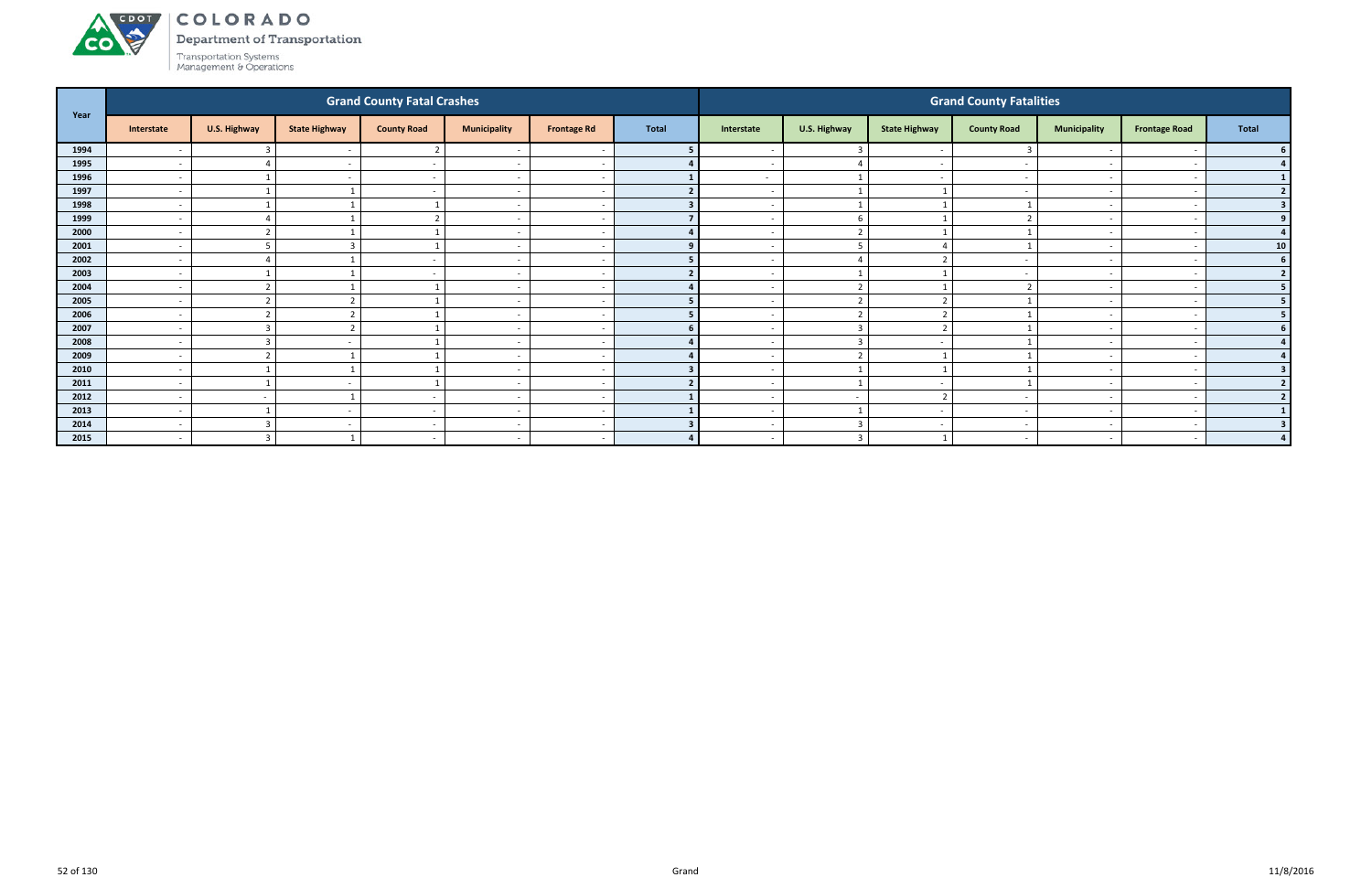

Department of Transportation

| Year |                          |                         |                          | <b>Grand County Fatal Crashes</b> |                          |                          |              |                          |                          |                      | <b>Grand County Fatalities</b> |                          |                          |                |
|------|--------------------------|-------------------------|--------------------------|-----------------------------------|--------------------------|--------------------------|--------------|--------------------------|--------------------------|----------------------|--------------------------------|--------------------------|--------------------------|----------------|
|      | Interstate               | U.S. Highway            | <b>State Highway</b>     | <b>County Road</b>                | <b>Municipality</b>      | <b>Frontage Rd</b>       | <b>Total</b> | Interstate               | U.S. Highway             | <b>State Highway</b> | <b>County Road</b>             | <b>Municipality</b>      | <b>Frontage Road</b>     | <b>Total</b>   |
| 1994 | $\overline{\phantom{a}}$ |                         |                          | <sup>-</sup>                      |                          | $\overline{\phantom{a}}$ |              |                          | $\overline{3}$           |                      |                                |                          |                          |                |
| 1995 | $\sim$                   |                         | $\overline{\phantom{a}}$ | $\overline{\phantom{0}}$          | $\overline{\phantom{a}}$ | $\overline{\phantom{a}}$ |              | $\overline{\phantom{a}}$ | $\overline{4}$           |                      |                                | $\overline{\phantom{0}}$ |                          | 4              |
| 1996 | $\overline{a}$           |                         | $\overline{\phantom{0}}$ | $\sim$                            | $\overline{\phantom{a}}$ | $\sim$                   |              | $\sim$                   | $\overline{1}$           | $\sim$               |                                | $\sim$                   |                          | $1\phantom{.}$ |
| 1997 | $\sim$                   |                         |                          |                                   | $\overline{\phantom{a}}$ | $\sim$                   |              | $\sim$                   | $\overline{\phantom{0}}$ |                      |                                |                          |                          | 2              |
| 1998 | $\sim$                   |                         |                          |                                   | $\overline{\phantom{a}}$ | $\overline{\phantom{a}}$ |              | $\sim$                   | - 1                      |                      |                                | $\sim$                   |                          | 3 <sup>1</sup> |
| 1999 | $\sim$                   |                         |                          |                                   | $\overline{\phantom{a}}$ | $\overline{\phantom{a}}$ |              |                          | -6                       |                      |                                | $\overline{\phantom{a}}$ |                          | 9 <sup>1</sup> |
| 2000 | $\overline{a}$           | $\mathbf{\hat{z}}$      |                          |                                   | $\overline{\phantom{a}}$ | $\overline{\phantom{a}}$ |              | $\overline{\phantom{a}}$ | $\mathbf{\cdot}$         |                      |                                |                          |                          | 4              |
| 2001 | $\sim$                   | 5                       |                          |                                   | $\overline{\phantom{a}}$ | $\sim$                   |              | $\sim$                   | -5                       |                      |                                | $\sim$                   |                          | 10             |
| 2002 | $\overline{\phantom{0}}$ |                         |                          |                                   | $\overline{\phantom{a}}$ | $\overline{\phantom{a}}$ |              |                          | $\overline{4}$           | $\mathbf{r}$         |                                |                          |                          | 6 <sup>1</sup> |
| 2003 | $\sim$                   |                         |                          | $\overline{\phantom{a}}$          | $\overline{\phantom{a}}$ | $\sim$                   |              | $\overline{\phantom{0}}$ |                          |                      |                                | $\overline{\phantom{0}}$ |                          | 2              |
| 2004 | $\overline{\phantom{0}}$ |                         |                          |                                   |                          | $\overline{\phantom{a}}$ |              |                          |                          |                      |                                |                          |                          | 5 <sub>1</sub> |
| 2005 | $\sim$                   | $\overline{2}$          |                          |                                   | $\overline{\phantom{a}}$ | $\overline{\phantom{a}}$ |              | $\sim$                   | $\mathcal{D}$            | ຳ                    |                                | $\overline{\phantom{0}}$ |                          | 5 <sub>1</sub> |
| 2006 | $\sim$                   | $\overline{2}$          |                          |                                   | $\overline{\phantom{a}}$ | $\overline{\phantom{a}}$ |              | $\overline{\phantom{0}}$ | $\overline{2}$           | $\mathbf{r}$         |                                | $\sim$                   |                          | 5 <sub>1</sub> |
| 2007 | $\sim$                   | $\overline{3}$          |                          |                                   | $\overline{\phantom{a}}$ | $\sim$                   |              |                          | $\overline{3}$           | $\mathbf{r}$         |                                | $\overline{\phantom{0}}$ |                          | 6 <sup>1</sup> |
| 2008 | $\sim$                   | 3                       |                          |                                   | $\overline{\phantom{a}}$ | $\sim$                   |              |                          | $\overline{3}$           |                      |                                |                          |                          | 4 <sup>1</sup> |
| 2009 | $\overline{a}$           | $\mathbf{\overline{a}}$ |                          |                                   |                          | $\overline{\phantom{a}}$ |              |                          | $\overline{\phantom{a}}$ |                      |                                |                          |                          |                |
| 2010 | $\overline{a}$           |                         |                          |                                   | $\overline{\phantom{a}}$ | $\overline{\phantom{a}}$ |              | $\sim$                   | $\overline{1}$           |                      |                                | $\overline{\phantom{a}}$ | $\overline{\phantom{a}}$ | 3 <sup>1</sup> |
| 2011 | $\sim$                   |                         | $\overline{\phantom{a}}$ |                                   | $\overline{\phantom{a}}$ | $\sim$                   |              | $\sim$                   | $\overline{1}$           | $\sim$               |                                | $\sim$                   |                          | 2              |
| 2012 | $\sim$                   | $\sim$                  |                          | $\overline{\phantom{a}}$          | $\overline{\phantom{a}}$ | $\overline{a}$           |              |                          | $\overline{\phantom{a}}$ | $\mathbf{r}$         |                                | $\overline{\phantom{0}}$ |                          | 2              |
| 2013 | $\sim$                   |                         | $\overline{\phantom{a}}$ | $\sim$                            | $\overline{\phantom{a}}$ | $\overline{\phantom{a}}$ |              | $\sim$                   |                          | $\sim$               |                                | $\sim$                   |                          | 1 <sup>1</sup> |
| 2014 | $\overline{\phantom{a}}$ | 3                       |                          |                                   |                          | $\overline{\phantom{a}}$ |              |                          |                          |                      |                                |                          |                          | 3 <sup>1</sup> |
| 2015 | $\overline{a}$           | $\mathbf{3}$            |                          | $\sim$                            | $\overline{\phantom{a}}$ | $\sim$                   | $\Delta$     | $\sim$                   | $\mathbf{R}$             |                      | $\overline{\phantom{a}}$       | $\overline{a}$           | $\overline{\phantom{a}}$ | $\overline{4}$ |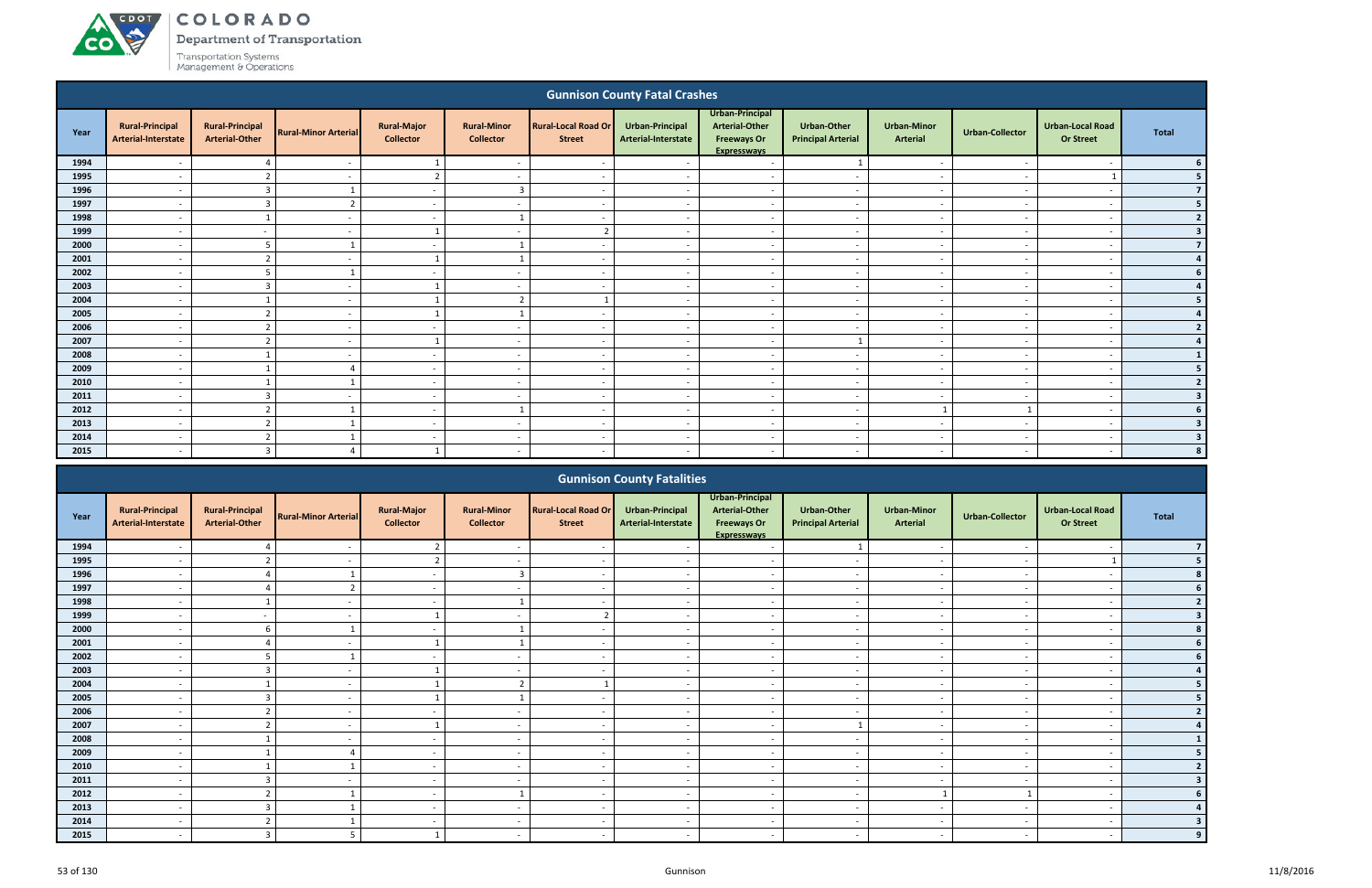### ACDOT COLORADO

**CO** 

Department of Transportation

|                                                                                                                                                                                                                                                                                                                                                                                                                                                              |                                               |                                                 |                             |                                        |                                        |                                             | <b>Gunnison County Fatal Crashes</b>   |                                                                               |                                                 |                                       |                          |                                             |                |  |
|--------------------------------------------------------------------------------------------------------------------------------------------------------------------------------------------------------------------------------------------------------------------------------------------------------------------------------------------------------------------------------------------------------------------------------------------------------------|-----------------------------------------------|-------------------------------------------------|-----------------------------|----------------------------------------|----------------------------------------|---------------------------------------------|----------------------------------------|-------------------------------------------------------------------------------|-------------------------------------------------|---------------------------------------|--------------------------|---------------------------------------------|----------------|--|
| Year                                                                                                                                                                                                                                                                                                                                                                                                                                                         | <b>Rural-Principal</b><br>Arterial-Interstate | <b>Rural-Principal</b><br><b>Arterial-Other</b> | <b>Rural-Minor Arterial</b> | <b>Rural-Major</b><br><b>Collector</b> | <b>Rural-Minor</b><br><b>Collector</b> | <b>Rural-Local Road Or</b><br><b>Street</b> | Urban-Principal<br>Arterial-Interstate | Urban-Principal<br>Arterial-Other<br><b>Freeways Or</b><br><b>Expresswavs</b> | <b>Urban-Other</b><br><b>Principal Arterial</b> | <b>Urban-Minor</b><br><b>Arterial</b> | <b>Urban-Collector</b>   | <b>Urban-Local Road</b><br><b>Or Street</b> | <b>Total</b>   |  |
| 1994                                                                                                                                                                                                                                                                                                                                                                                                                                                         |                                               |                                                 |                             |                                        |                                        |                                             |                                        | $\overline{a}$                                                                |                                                 | . —                                   |                          |                                             |                |  |
| 1995                                                                                                                                                                                                                                                                                                                                                                                                                                                         | $\overline{\phantom{a}}$                      | $\overline{2}$                                  | $\sim$                      | $\overline{2}$                         | $\sim$                                 | $\overline{\phantom{a}}$                    | $\sim$                                 | $\sim$                                                                        | $\sim$                                          | $\sim$                                | $\sim$                   |                                             |                |  |
| 1996                                                                                                                                                                                                                                                                                                                                                                                                                                                         | $\overline{\phantom{a}}$                      | $\overline{3}$                                  |                             | $\sim$                                 | $\overline{3}$                         | $\overline{\phantom{a}}$                    | $\sim$                                 | $\sim$                                                                        | $\sim$                                          | $\sim$                                | $\sim$                   | $\overline{\phantom{a}}$                    |                |  |
| 1997                                                                                                                                                                                                                                                                                                                                                                                                                                                         | $\overline{\phantom{a}}$                      | $\overline{3}$                                  | $\overline{2}$              | $\sim$                                 | $\overline{\phantom{a}}$               | $\overline{\phantom{a}}$                    | $\sim$                                 | $\sim$                                                                        | $\sim$                                          | $\sim$                                | $\sim$                   | $\overline{\phantom{a}}$                    |                |  |
| 1998                                                                                                                                                                                                                                                                                                                                                                                                                                                         | $\overline{\phantom{a}}$                      |                                                 | $\overline{\phantom{a}}$    | $\sim$                                 |                                        | $\overline{\phantom{a}}$                    | $\sim$                                 | $\overline{a}$                                                                | $\sim$                                          | $\sim$                                | $\overline{\phantom{a}}$ | $\overline{\phantom{a}}$                    |                |  |
| 1999                                                                                                                                                                                                                                                                                                                                                                                                                                                         | $\overline{\phantom{a}}$                      | $\overline{\phantom{a}}$                        | $\overline{\phantom{a}}$    |                                        | $\overline{\phantom{a}}$               | ຳ                                           | $\sim$                                 | $\overline{a}$                                                                | $\overline{\phantom{a}}$                        | $\sim$                                | $\sim$                   | $\overline{\phantom{a}}$                    | 3              |  |
| 2000                                                                                                                                                                                                                                                                                                                                                                                                                                                         | $\overline{\phantom{a}}$                      | 5                                               |                             | $\sim$                                 | $\mathbf{1}$                           | $\overline{\phantom{a}}$                    | $\sim$                                 | $\overline{a}$                                                                | $\overline{\phantom{a}}$                        | $\sim$                                | $\sim$                   | $\overline{\phantom{a}}$                    | $\overline{7}$ |  |
| 2001<br>ຳ<br>$\overline{a}$<br>$\sim$<br>$\overline{\phantom{a}}$<br>$\overline{\phantom{a}}$<br>$\overline{\phantom{a}}$<br>$\overline{\phantom{a}}$<br>$\overline{\phantom{0}}$<br>$\overline{\phantom{a}}$<br>5<br>2002<br>$\sim$<br>$\sim$<br>$\sim$<br>$\overline{\phantom{a}}$<br>$\overline{\phantom{a}}$<br>$\overline{\phantom{a}}$<br>$\overline{\phantom{a}}$<br>$\overline{\phantom{a}}$<br>$\overline{\phantom{a}}$<br>$\overline{\phantom{a}}$ |                                               |                                                 |                             |                                        |                                        |                                             |                                        |                                                                               |                                                 |                                       |                          |                                             |                |  |
|                                                                                                                                                                                                                                                                                                                                                                                                                                                              |                                               |                                                 |                             |                                        |                                        |                                             |                                        |                                                                               |                                                 |                                       |                          |                                             |                |  |
| 2003                                                                                                                                                                                                                                                                                                                                                                                                                                                         |                                               | $\overline{3}$                                  |                             |                                        |                                        |                                             |                                        | $\overline{a}$                                                                | $\overline{\phantom{a}}$                        | $\overline{\phantom{a}}$              |                          | $\overline{\phantom{a}}$                    |                |  |
| 2004                                                                                                                                                                                                                                                                                                                                                                                                                                                         |                                               |                                                 |                             |                                        | $\overline{2}$                         |                                             |                                        | $\overline{a}$                                                                | $\overline{\phantom{a}}$                        | $\overline{\phantom{a}}$              |                          | $\overline{\phantom{a}}$                    |                |  |
| 2005                                                                                                                                                                                                                                                                                                                                                                                                                                                         |                                               | $\overline{2}$                                  |                             |                                        |                                        |                                             |                                        | $\overline{a}$                                                                |                                                 | $\overline{\phantom{a}}$              |                          | $\overline{\phantom{a}}$                    |                |  |
| 2006                                                                                                                                                                                                                                                                                                                                                                                                                                                         | $\overline{\phantom{a}}$                      | $\overline{2}$                                  | $\sim$                      | $\sim$                                 | $\overline{\phantom{a}}$               | $\overline{\phantom{a}}$                    | $\sim$                                 | $\overline{\phantom{a}}$                                                      | $\sim$                                          | $\overline{\phantom{a}}$              | $\overline{\phantom{a}}$ | $\overline{\phantom{a}}$                    |                |  |
| 2007                                                                                                                                                                                                                                                                                                                                                                                                                                                         | $\overline{\phantom{a}}$                      | ຳ                                               | . .                         |                                        | $\overline{\phantom{a}}$               |                                             |                                        | $\overline{\phantom{a}}$                                                      |                                                 | $\sim$                                | $\overline{\phantom{a}}$ | $\overline{\phantom{a}}$                    |                |  |
| 2008                                                                                                                                                                                                                                                                                                                                                                                                                                                         | $\overline{\phantom{a}}$                      |                                                 | $\overline{\phantom{a}}$    | $\sim$                                 | $\overline{\phantom{a}}$               | $\overline{\phantom{a}}$                    | $\overline{\phantom{a}}$               | $\overline{\phantom{a}}$                                                      | $\overline{\phantom{a}}$                        | $\overline{\phantom{a}}$              | $\overline{\phantom{a}}$ | $\overline{\phantom{a}}$                    |                |  |
| 2009                                                                                                                                                                                                                                                                                                                                                                                                                                                         | $\overline{\phantom{a}}$                      |                                                 | Δ                           | $\sim$                                 | $\overline{\phantom{a}}$               | $\overline{\phantom{a}}$                    | $\sim$                                 | $\sim$                                                                        | $\sim$                                          | $\sim$                                | $\overline{\phantom{a}}$ | $\overline{\phantom{a}}$                    |                |  |
| 2010                                                                                                                                                                                                                                                                                                                                                                                                                                                         | $\overline{\phantom{a}}$                      |                                                 |                             | $\sim$                                 | $\overline{\phantom{a}}$               | $\overline{\phantom{a}}$                    | $\sim$                                 | $\sim$                                                                        | $\overline{\phantom{a}}$                        | $\overline{\phantom{a}}$              | $\overline{\phantom{a}}$ | $\overline{\phantom{a}}$                    |                |  |
| 2011                                                                                                                                                                                                                                                                                                                                                                                                                                                         | $\overline{\phantom{a}}$                      | $\overline{3}$                                  | $\overline{\phantom{a}}$    | $\sim$                                 | $\overline{\phantom{a}}$               | $\overline{\phantom{a}}$                    | $\sim$                                 | $\overline{a}$                                                                | $\overline{\phantom{a}}$                        | $\sim$                                | $\sim$                   | $\overline{\phantom{a}}$                    | 3              |  |
| 2012                                                                                                                                                                                                                                                                                                                                                                                                                                                         | $\overline{\phantom{a}}$                      | $\mathbf{r}$                                    |                             | $\sim$                                 |                                        | $\overline{\phantom{a}}$                    | $\overline{\phantom{a}}$               | $\overline{\phantom{a}}$                                                      | $\overline{\phantom{0}}$                        |                                       |                          | $\overline{\phantom{a}}$                    |                |  |
| 2013                                                                                                                                                                                                                                                                                                                                                                                                                                                         | $\sim$                                        | $\overline{2}$                                  |                             | $\sim$                                 | $\sim$                                 | $\overline{\phantom{a}}$                    | $\sim$                                 | $\sim$                                                                        | $\overline{\phantom{a}}$                        | $\overline{\phantom{a}}$              | $\overline{a}$           | $\overline{\phantom{a}}$                    |                |  |
| 2014                                                                                                                                                                                                                                                                                                                                                                                                                                                         | $\overline{\phantom{a}}$                      | $\mathbf{\overline{2}}$                         |                             | $\sim$                                 |                                        | - -                                         | - -                                    | $\overline{a}$                                                                | - -                                             | $\overline{\phantom{a}}$              | - -                      | - -                                         | 3              |  |
| 2015                                                                                                                                                                                                                                                                                                                                                                                                                                                         |                                               | $\overline{3}$                                  | $\Delta$                    |                                        |                                        |                                             |                                        |                                                                               |                                                 |                                       |                          |                                             |                |  |
|                                                                                                                                                                                                                                                                                                                                                                                                                                                              |                                               |                                                 |                             |                                        |                                        |                                             | <b>Gunnison County Fatalities</b>      |                                                                               |                                                 |                                       |                          |                                             |                |  |

|      |                                               |                                                 |                             |                                        |                                        |                                             | <b>Gunnison County Fatalities</b>      |                                                                                      |                                                 |                                       |                          |                                             |              |
|------|-----------------------------------------------|-------------------------------------------------|-----------------------------|----------------------------------------|----------------------------------------|---------------------------------------------|----------------------------------------|--------------------------------------------------------------------------------------|-------------------------------------------------|---------------------------------------|--------------------------|---------------------------------------------|--------------|
| Year | <b>Rural-Principal</b><br>Arterial-Interstate | <b>Rural-Principal</b><br><b>Arterial-Other</b> | <b>Rural-Minor Arterial</b> | <b>Rural-Major</b><br><b>Collector</b> | <b>Rural-Minor</b><br><b>Collector</b> | <b>Rural-Local Road Or</b><br><b>Street</b> | Urban-Principal<br>Arterial-Interstate | Urban-Principal<br><b>Arterial-Other</b><br><b>Freeways Or</b><br><b>Expressways</b> | <b>Urban-Other</b><br><b>Principal Arterial</b> | <b>Urban-Minor</b><br><b>Arterial</b> | <b>Urban-Collector</b>   | <b>Urban-Local Road</b><br><b>Or Street</b> | <b>Total</b> |
| 1994 |                                               |                                                 |                             |                                        |                                        |                                             |                                        |                                                                                      |                                                 |                                       |                          |                                             |              |
| 1995 |                                               |                                                 |                             |                                        |                                        |                                             |                                        |                                                                                      |                                                 |                                       |                          |                                             |              |
| 1996 | $\overline{\phantom{a}}$                      |                                                 |                             | $\sim$                                 | $\overline{3}$                         | $\overline{\phantom{a}}$                    | $\sim$                                 | $\overline{\phantom{a}}$                                                             | $\sim$                                          | $\sim$                                | $\overline{\phantom{a}}$ | $\overline{\phantom{a}}$                    |              |
| 1997 |                                               |                                                 |                             | $\overline{\phantom{a}}$               | $\overline{\phantom{a}}$               | $\overline{\phantom{a}}$                    |                                        | $\overline{\phantom{a}}$                                                             | $\overline{\phantom{a}}$                        | $\overline{\phantom{a}}$              |                          | $\overline{\phantom{a}}$                    |              |
| 1998 |                                               |                                                 |                             | $\overline{\phantom{0}}$               |                                        |                                             |                                        | $\overline{\phantom{a}}$                                                             | $\overline{\phantom{a}}$                        | $\overline{\phantom{a}}$              |                          |                                             |              |
| 1999 | $\overline{\phantom{a}}$                      | $\overline{\phantom{0}}$                        |                             |                                        | $\overline{\phantom{a}}$               |                                             |                                        | $\overline{\phantom{a}}$                                                             | $\overline{\phantom{a}}$                        | $\overline{\phantom{a}}$              |                          | $\overline{\phantom{a}}$                    |              |
| 2000 |                                               |                                                 |                             | $\overline{\phantom{a}}$               |                                        |                                             |                                        | $\overline{\phantom{a}}$                                                             | $\sim$                                          | $\overline{\phantom{a}}$              |                          |                                             |              |
| 2001 | $\overline{\phantom{a}}$                      |                                                 | $\overline{\phantom{a}}$    |                                        |                                        | $\overline{\phantom{a}}$                    | $\sim$                                 | $\overline{\phantom{a}}$                                                             | $\sim$                                          | $\sim$                                | $\sim$                   | $\overline{\phantom{a}}$                    |              |
| 2002 |                                               | п.                                              |                             | $\overline{\phantom{a}}$               | $\overline{\phantom{a}}$               | $\overline{\phantom{a}}$                    |                                        | $\sim$                                                                               | $\overline{\phantom{a}}$                        | $\sim$                                |                          | $\overline{\phantom{a}}$                    |              |
| 2003 |                                               |                                                 |                             |                                        | $\overline{\phantom{0}}$               |                                             |                                        | $\overline{\phantom{0}}$                                                             | $\overline{\phantom{a}}$                        | $\overline{\phantom{a}}$              |                          | $\overline{\phantom{0}}$                    |              |
| 2004 |                                               |                                                 |                             |                                        | $\mathbf{\overline{a}}$                |                                             |                                        | $\overline{\phantom{a}}$                                                             | $\overline{\phantom{a}}$                        | $\overline{\phantom{a}}$              |                          |                                             |              |
| 2005 |                                               |                                                 |                             |                                        |                                        |                                             |                                        | $\overline{\phantom{a}}$                                                             | $\sim$                                          | $\overline{\phantom{0}}$              |                          | $\overline{\phantom{0}}$                    |              |
| 2006 | $\overline{\phantom{a}}$                      |                                                 | $\sim$                      | $\sim$                                 | $\overline{a}$                         | $\overline{\phantom{a}}$                    | $\sim$                                 | $\overline{a}$                                                                       | $\overline{\phantom{a}}$                        | $\sim$                                | $\sim$                   | $\overline{\phantom{a}}$                    |              |
| 2007 |                                               | $\mathbf{\hat{z}}$                              |                             |                                        | $\overline{\phantom{a}}$               | $\overline{\phantom{a}}$                    |                                        | $\overline{\phantom{a}}$                                                             | $\mathbf{1}$                                    | $\overline{\phantom{a}}$              |                          |                                             |              |
| 2008 |                                               |                                                 |                             | $\sim$                                 | $\overline{\phantom{a}}$               | $\overline{\phantom{a}}$                    | $\overline{\phantom{a}}$               | $\overline{\phantom{a}}$                                                             | $\sim$                                          | $\sim$                                | $\overline{\phantom{a}}$ | $\overline{\phantom{a}}$                    |              |
| 2009 |                                               |                                                 |                             | $\overline{\phantom{0}}$               | $\overline{\phantom{a}}$               | $\overline{\phantom{a}}$                    |                                        | $\overline{\phantom{0}}$                                                             | $\overline{\phantom{a}}$                        | $\overline{\phantom{0}}$              |                          | $\overline{\phantom{0}}$                    |              |
| 2010 |                                               |                                                 |                             | $\overline{\phantom{0}}$               | $\overline{\phantom{a}}$               | $\overline{\phantom{a}}$                    |                                        | $\overline{\phantom{0}}$                                                             | $\overline{\phantom{a}}$                        | $\overline{\phantom{0}}$              |                          | $\overline{\phantom{a}}$                    |              |
| 2011 |                                               |                                                 |                             | $\overline{\phantom{a}}$               | $\overline{\phantom{a}}$               | $\overline{\phantom{a}}$                    | $\overline{\phantom{a}}$               | $\overline{\phantom{a}}$                                                             | $\overline{\phantom{a}}$                        | $\overline{\phantom{a}}$              | $\overline{\phantom{a}}$ | $\overline{\phantom{a}}$                    |              |
| 2012 |                                               | $\mathbf{\hat{z}}$                              |                             | $\overline{\phantom{a}}$               | 1                                      | $\overline{\phantom{0}}$                    |                                        | $\overline{\phantom{a}}$                                                             | $\sim$                                          |                                       |                          | $\overline{\phantom{a}}$                    |              |
| 2013 | $\overline{\phantom{a}}$                      | $\mathbf{3}$                                    |                             | $\sim$                                 | $\overline{\phantom{a}}$               | $\sim$                                      | $\overline{\phantom{a}}$               | $\overline{\phantom{a}}$                                                             | $\overline{\phantom{a}}$                        | $\sim$                                | $\overline{\phantom{a}}$ | $\overline{\phantom{a}}$                    |              |
| 2014 |                                               |                                                 |                             | $\overline{\phantom{a}}$               | $\overline{\phantom{a}}$               | $\overline{\phantom{a}}$                    |                                        | $\overline{\phantom{a}}$                                                             | $\overline{\phantom{0}}$                        | $\overline{\phantom{0}}$              |                          |                                             |              |
| 2015 |                                               |                                                 | $\mathbf{r}$                |                                        | $\blacksquare$                         | $\overline{\phantom{a}}$                    |                                        |                                                                                      | $\blacksquare$                                  | $\overline{\phantom{0}}$              |                          |                                             |              |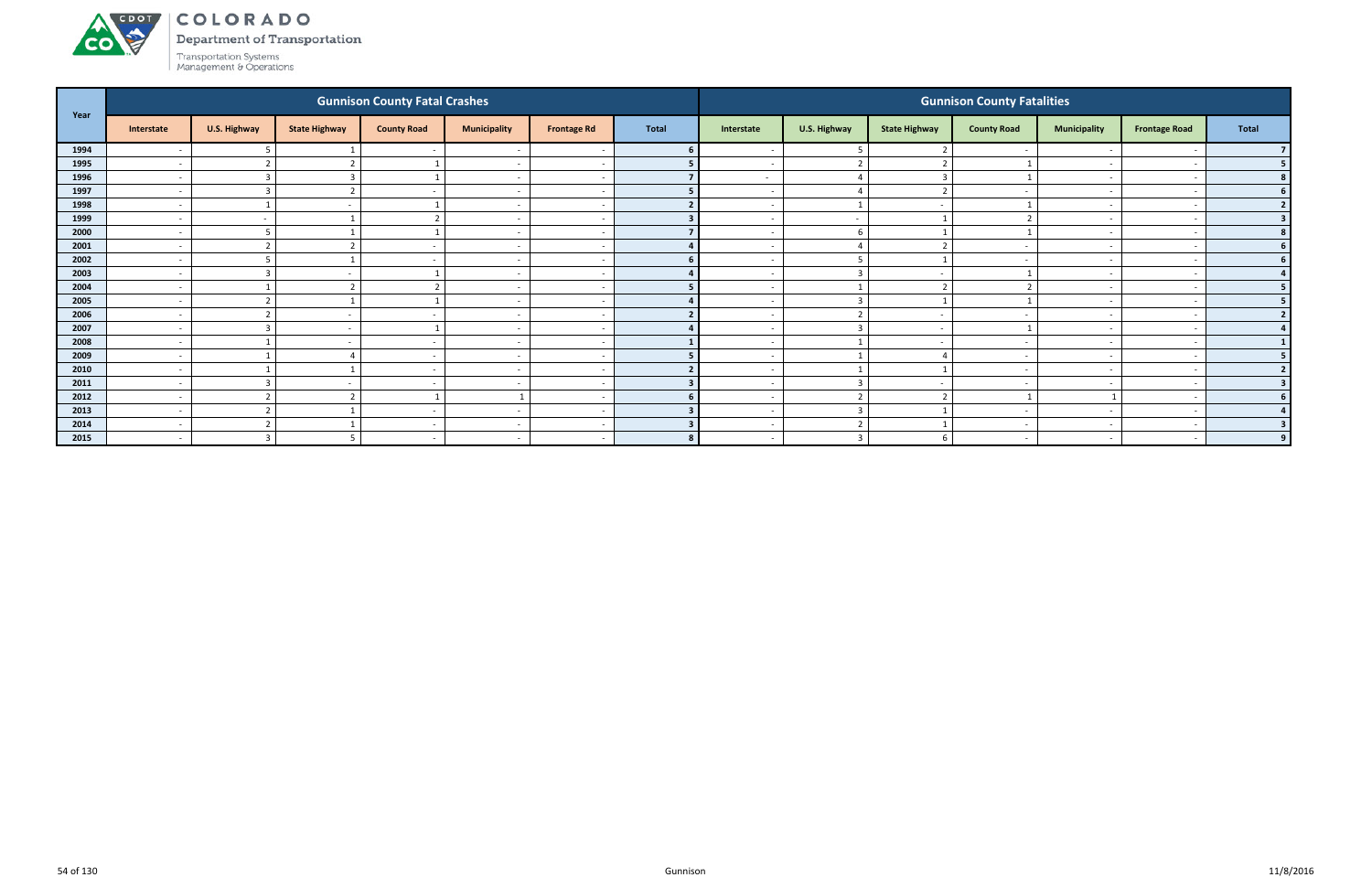#### ACDOL COLORADO

**CO** 

Department of Transportation

|      |                          |                          |                                  | <b>Gunnison County Fatal Crashes</b> |                          |                    |              |                          |                               |                      | <b>Gunnison County Fatalities</b> |                          |                          |                |
|------|--------------------------|--------------------------|----------------------------------|--------------------------------------|--------------------------|--------------------|--------------|--------------------------|-------------------------------|----------------------|-----------------------------------|--------------------------|--------------------------|----------------|
| Year | Interstate               | U.S. Highway             | <b>State Highway</b>             | <b>County Road</b>                   | <b>Municipality</b>      | <b>Frontage Rd</b> | <b>Total</b> | Interstate               | U.S. Highway                  | <b>State Highway</b> | <b>County Road</b>                | <b>Municipality</b>      | <b>Frontage Road</b>     | Total          |
| 1994 | $\overline{\phantom{a}}$ |                          |                                  |                                      |                          |                    |              | $\overline{\phantom{a}}$ |                               |                      |                                   |                          |                          |                |
| 1995 | $\overline{\phantom{a}}$ |                          |                                  |                                      | $\overline{a}$           |                    |              | $\overline{\phantom{0}}$ |                               |                      |                                   |                          |                          | 5 <sub>1</sub> |
| 1996 | $\overline{a}$           | $\mathbf{B}$             |                                  |                                      | $\sim$                   |                    |              | $\sim$ $-$               |                               |                      |                                   | $\overline{\phantom{a}}$ |                          | 8 <sup>1</sup> |
| 1997 | $\overline{\phantom{a}}$ | $\overline{3}$           | $\mathbf{\hat{z}}$<br>$\epsilon$ |                                      | $\overline{\phantom{a}}$ |                    |              | $\sim$                   |                               | ຳ                    | $\overline{\phantom{a}}$          |                          | $\overline{\phantom{a}}$ | 6 <sup>1</sup> |
| 1998 | $\overline{\phantom{a}}$ |                          |                                  |                                      | $\overline{\phantom{0}}$ |                    |              |                          |                               |                      |                                   |                          |                          | 2 <sup>1</sup> |
| 1999 | $\overline{\phantom{a}}$ |                          |                                  |                                      | $\overline{a}$           |                    |              |                          | $\sim$                        |                      |                                   | $\overline{\phantom{0}}$ |                          | 3 <sup>1</sup> |
| 2000 | $\overline{\phantom{a}}$ | 5                        |                                  |                                      | $\overline{\phantom{a}}$ |                    |              | $\overline{\phantom{a}}$ | 6                             |                      |                                   |                          |                          | 8 <sup>1</sup> |
| 2001 | $\overline{a}$           |                          |                                  |                                      | $\overline{a}$           |                    |              | $\overline{\phantom{0}}$ |                               |                      | $\overline{\phantom{0}}$          | $\overline{\phantom{0}}$ |                          | 6 <sup>1</sup> |
| 2002 | $\overline{a}$           | 5                        |                                  |                                      | $\overline{a}$           |                    |              | $\overline{\phantom{0}}$ |                               |                      | $\overline{\phantom{a}}$          |                          |                          | 6 <sup>1</sup> |
| 2003 | $\overline{\phantom{a}}$ | ່າ<br>-2                 |                                  |                                      | $\overline{a}$           |                    |              | $\overline{\phantom{0}}$ | $\overline{3}$                |                      |                                   | $\overline{\phantom{0}}$ |                          | 4 <sup>1</sup> |
| 2004 | $\overline{\phantom{a}}$ |                          |                                  | ຳ                                    | $\overline{a}$           |                    |              | $\overline{\phantom{a}}$ |                               |                      |                                   |                          |                          | 5 <sub>1</sub> |
| 2005 | $\overline{\phantom{a}}$ | $\overline{\phantom{a}}$ |                                  |                                      | $\overline{\phantom{a}}$ |                    |              |                          | $\overline{\mathbf{3}}$       |                      |                                   |                          |                          | 5 <sub>1</sub> |
| 2006 | $\overline{\phantom{a}}$ |                          | $\overline{\phantom{a}}$         |                                      | $\overline{\phantom{0}}$ |                    |              | $\sim$                   | $\overline{\phantom{a}}$      | $\sim$               | $\overline{\phantom{0}}$          | $\overline{\phantom{0}}$ |                          | 2 <sup>1</sup> |
| 2007 | $\overline{a}$           | $\overline{3}$           | $\overline{\phantom{a}}$         |                                      | $\overline{a}$           |                    |              | $\sim$ $-$               | $\overline{\mathbf{3}}$       | $\sim$               |                                   | $\overline{\phantom{0}}$ | $\overline{\phantom{0}}$ |                |
| 2008 | $\overline{\phantom{a}}$ |                          |                                  |                                      | $\overline{\phantom{a}}$ |                    |              | $\overline{\phantom{a}}$ |                               |                      |                                   |                          |                          | 1 <sup>1</sup> |
| 2009 | $\overline{a}$           |                          |                                  | $\sim$                               | $\overline{a}$           |                    |              | $\overline{a}$           |                               |                      | $\overline{\phantom{a}}$          | $\sim$                   | $\overline{\phantom{a}}$ | 5 <sub>1</sub> |
| 2010 | $\overline{\phantom{a}}$ |                          |                                  |                                      | $\overline{\phantom{a}}$ |                    |              | $\overline{\phantom{0}}$ |                               |                      | $\overline{\phantom{a}}$          | $\overline{\phantom{0}}$ |                          | 2 <sub>1</sub> |
| 2011 | $\overline{a}$           | r.                       |                                  |                                      | $\overline{\phantom{a}}$ |                    |              | $\overline{\phantom{0}}$ | $\overline{\phantom{a}}$      | $\sim$               | $\overline{\phantom{a}}$          | $\overline{\phantom{0}}$ |                          | 3 <sup>1</sup> |
| 2012 | $\overline{a}$           | ຳ                        |                                  |                                      |                          |                    |              | $\overline{\phantom{0}}$ | $\overline{2}$                |                      |                                   |                          | $\sim$                   | 6 <sup>1</sup> |
| 2013 | $\overline{\phantom{a}}$ | $\overline{2}$           |                                  |                                      | $\overline{a}$           |                    |              | $\overline{\phantom{a}}$ | $\overline{\mathbf{3}}$       |                      |                                   | $\overline{\phantom{0}}$ |                          | 4 <sup>1</sup> |
| 2014 | $\overline{a}$           | $\overline{\phantom{a}}$ |                                  |                                      | $\overline{a}$           |                    |              | $\sim$                   | $\overline{\phantom{a}}$<br>╶ |                      | $\overline{\phantom{0}}$          | $\overline{\phantom{0}}$ | . .                      | 3 <sup>1</sup> |
| 2015 | $\overline{a}$           | $\overline{3}$           |                                  |                                      | $\overline{\phantom{0}}$ |                    |              | $\overline{\phantom{0}}$ | $\overline{3}$                |                      | $\overline{\phantom{a}}$          | $\overline{\phantom{0}}$ |                          | 9              |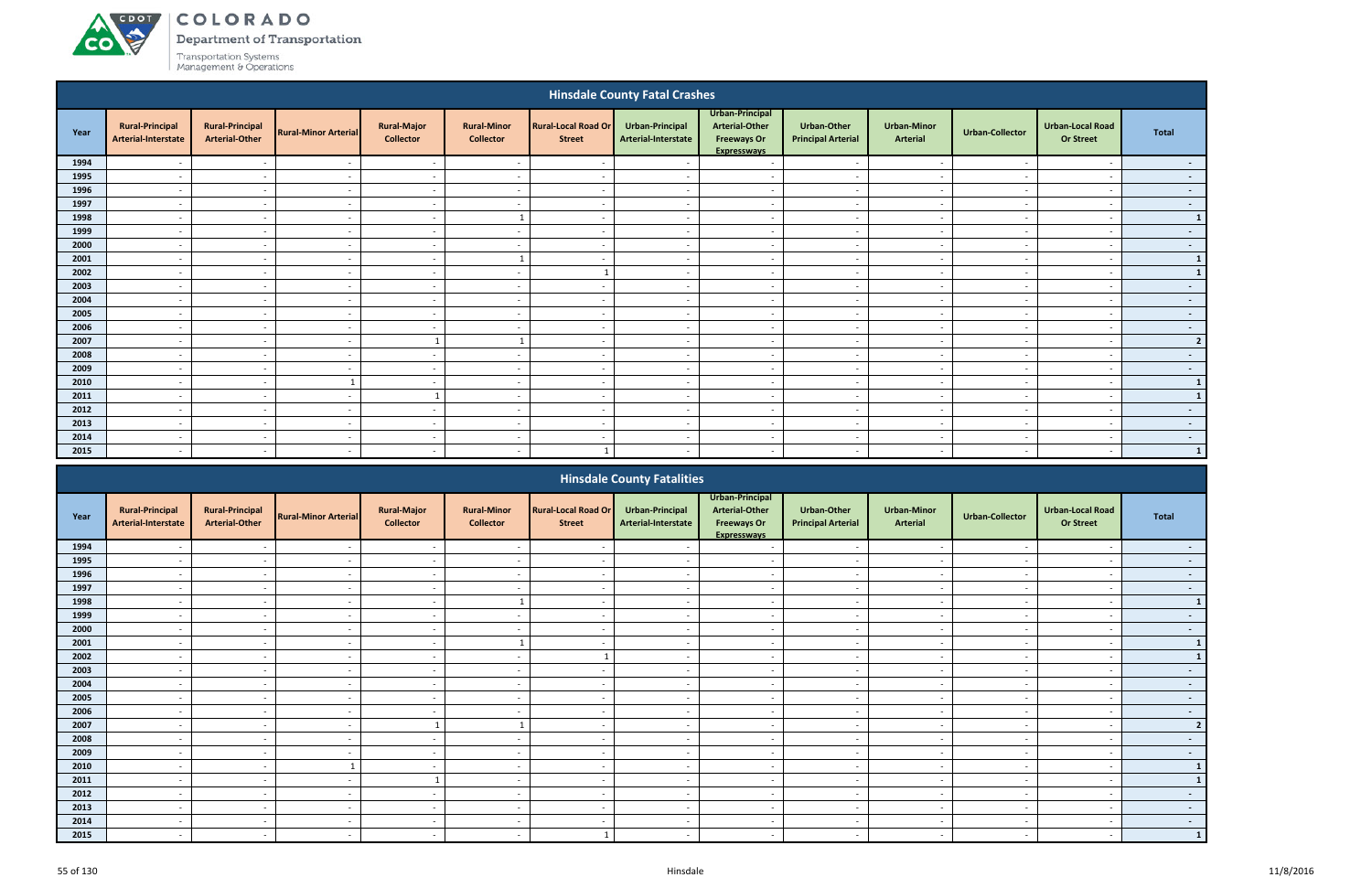# ACDOT **CO**

# COLORADO

**Department of Transportation** 

|                                                                                                                                                                                                                                                                                  |                                               |                                                 |                             |                                        |                                        |                                             | <b>Hinsdale County Fatal Crashes</b>   |                                                                                      |                                                 |                                       |                          |                                             |                |
|----------------------------------------------------------------------------------------------------------------------------------------------------------------------------------------------------------------------------------------------------------------------------------|-----------------------------------------------|-------------------------------------------------|-----------------------------|----------------------------------------|----------------------------------------|---------------------------------------------|----------------------------------------|--------------------------------------------------------------------------------------|-------------------------------------------------|---------------------------------------|--------------------------|---------------------------------------------|----------------|
| Year                                                                                                                                                                                                                                                                             | <b>Rural-Principal</b><br>Arterial-Interstate | <b>Rural-Principal</b><br><b>Arterial-Other</b> | <b>Rural-Minor Arterial</b> | <b>Rural-Major</b><br><b>Collector</b> | <b>Rural-Minor</b><br><b>Collector</b> | <b>Rural-Local Road Or</b><br><b>Street</b> | Urban-Principal<br>Arterial-Interstate | Urban-Principal<br><b>Arterial-Other</b><br><b>Freeways Or</b><br><b>Expresswavs</b> | <b>Urban-Other</b><br><b>Principal Arterial</b> | <b>Urban-Minor</b><br><b>Arterial</b> | <b>Urban-Collector</b>   | <b>Urban-Local Road</b><br><b>Or Street</b> | <b>Total</b>   |
| 1994                                                                                                                                                                                                                                                                             |                                               | $\overline{\phantom{a}}$                        |                             | $\sim$                                 |                                        |                                             |                                        | $\overline{\phantom{a}}$                                                             |                                                 |                                       |                          |                                             | $\sim$         |
| 1995                                                                                                                                                                                                                                                                             | $\overline{a}$                                | $\sim$                                          | $\sim$                      | $\sim$                                 | $\overline{\phantom{a}}$               | $\sim$                                      | $\overline{\phantom{a}}$               | $\sim$                                                                               | $-$                                             | $-$                                   | $\sim$                   | $\overline{\phantom{a}}$                    | $\sim$         |
| 1996                                                                                                                                                                                                                                                                             | $\overline{a}$                                | $\sim$                                          | $\overline{\phantom{a}}$    | $\sim$                                 | $\overline{\phantom{a}}$               | $\overline{\phantom{a}}$                    | . .                                    | $\sim$                                                                               | $\sim$                                          | $\sim$                                | $\overline{\phantom{a}}$ | $\overline{\phantom{a}}$                    | $\sim$         |
| 1997                                                                                                                                                                                                                                                                             | $\overline{\phantom{a}}$                      | $\overline{\phantom{a}}$                        | $\sim$                      | $\sim$                                 | $\overline{\phantom{a}}$               | $\overline{\phantom{a}}$                    |                                        | $\sim$                                                                               | $\sim$                                          | $\sim$                                |                          | $\overline{\phantom{a}}$                    | $\sim$ $-$     |
| 1998                                                                                                                                                                                                                                                                             | $\overline{a}$                                | $\sim$                                          | $\sim$                      | $\sim$                                 |                                        | $\sim$                                      | $\sim$                                 | $\sim$                                                                               | $-$                                             | $-$                                   | $\sim$                   | $\overline{\phantom{a}}$                    | $\mathbf{1}$   |
| 1999                                                                                                                                                                                                                                                                             | $\overline{a}$                                | $\sim$                                          | $\sim$                      | $\sim$                                 | $\overline{\phantom{a}}$               | $\overline{\phantom{a}}$                    | $\sim$                                 | $\sim$                                                                               | $\overline{\phantom{a}}$                        | $-$                                   | $\sim$                   | $\overline{\phantom{a}}$                    | $\sim$ $-$     |
| 2000<br>$\sim$<br>$\overline{\phantom{a}}$<br>$\sim$<br>$\sim$<br>$\overline{\phantom{a}}$<br>$\overline{\phantom{a}}$<br>$\sim$<br>$\sim$<br>$\sim$<br>2001<br>$\sim$<br>$\sim$<br>$\sim$<br>$\sim$<br>$\overline{\phantom{a}}$<br>$\overline{a}$<br>$\sim$<br>$\sim$<br>$\sim$ |                                               |                                                 |                             |                                        |                                        |                                             |                                        |                                                                                      |                                                 |                                       |                          |                                             | $\sim$         |
| 2002<br>$\sim$<br>$\sim$<br>$\sim$<br>$\sim$<br>$\overline{\phantom{a}}$<br>$\overline{\phantom{a}}$<br>$\sim$<br>$\sim$<br>$\overline{\phantom{a}}$                                                                                                                             |                                               |                                                 |                             |                                        |                                        |                                             |                                        |                                                                                      |                                                 |                                       |                          |                                             | $\mathbf{1}$   |
|                                                                                                                                                                                                                                                                                  |                                               |                                                 |                             |                                        |                                        |                                             |                                        |                                                                                      |                                                 |                                       |                          | и,                                          | $\mathbf{1}$   |
| 2003                                                                                                                                                                                                                                                                             | $\overline{a}$                                | $\sim$                                          | $\sim$                      | $\sim$                                 | $\overline{\phantom{a}}$               | $\overline{\phantom{a}}$                    | $\sim$                                 | $\overline{a}$                                                                       | $\sim$                                          | $\sim$                                | $\sim$                   | $\overline{\phantom{a}}$                    | $\sim$ $-$     |
| 2004                                                                                                                                                                                                                                                                             | $\overline{a}$                                | $\overline{\phantom{a}}$                        | $\sim$                      | $\sim$                                 | $\overline{\phantom{a}}$               | $\overline{\phantom{a}}$                    | $\overline{\phantom{a}}$               | $\overline{a}$                                                                       | $\sim$                                          | $\sim$                                | $\sim$                   | $\overline{\phantom{a}}$                    | $\sim$         |
| 2005                                                                                                                                                                                                                                                                             | $\overline{a}$                                | $\overline{\phantom{a}}$                        | $\sim$                      | $\sim$                                 | $\overline{\phantom{a}}$               | $\sim$                                      | $\overline{\phantom{a}}$               | $\overline{\phantom{a}}$                                                             | $\sim$                                          | $\sim$                                | $\overline{\phantom{a}}$ | $\overline{\phantom{a}}$                    | $\sim$ $-$     |
| 2006                                                                                                                                                                                                                                                                             | $\overline{a}$                                | $\overline{\phantom{a}}$                        | $\overline{\phantom{a}}$    | $\sim$                                 | $\overline{\phantom{0}}$               | $\overline{\phantom{0}}$                    | $\overline{\phantom{a}}$               | $\overline{\phantom{0}}$                                                             | $\sim$                                          | $\sim$                                | $\sim$                   | $\overline{\phantom{a}}$                    | $\sim$ $-$     |
| 2007                                                                                                                                                                                                                                                                             | $\overline{\phantom{a}}$                      | $\overline{\phantom{a}}$                        | $\overline{\phantom{a}}$    |                                        |                                        | $\sim$                                      | - -                                    | $\overline{\phantom{a}}$                                                             | $\sim$                                          | $\sim$                                | - -                      |                                             | $\overline{2}$ |
| 2008                                                                                                                                                                                                                                                                             | $\overline{\phantom{a}}$                      | $\sim$                                          | $\sim$                      | $\sim$                                 | $\overline{a}$                         | $\sim$                                      | $\overline{\phantom{a}}$               | $\overline{\phantom{a}}$                                                             | $\sim$                                          | $\sim$                                | $\sim$                   | $\overline{\phantom{a}}$                    | $\sim$         |
| 2009                                                                                                                                                                                                                                                                             | $\overline{\phantom{0}}$                      | $\sim$                                          | $\overline{\phantom{a}}$    | $\sim$                                 | $\overline{\phantom{a}}$               | $\overline{\phantom{a}}$                    |                                        | $\overline{\phantom{0}}$                                                             | $\sim$                                          | $\sim$                                |                          |                                             | $\sim$         |
| 2010                                                                                                                                                                                                                                                                             | $\overline{\phantom{a}}$                      | $\sim$                                          | $\mathbf{1}$                | $\sim$                                 | $\overline{\phantom{0}}$               | $\overline{\phantom{0}}$                    | $\overline{\phantom{a}}$               | $\overline{\phantom{a}}$                                                             | $\overline{\phantom{0}}$                        | $\sim$                                | $\sim$                   |                                             | $\mathbf{1}$   |
| 2011                                                                                                                                                                                                                                                                             | $\overline{\phantom{a}}$                      | $\sim$                                          | $\overline{\phantom{a}}$    |                                        | $\overline{\phantom{a}}$               | $\overline{\phantom{a}}$                    |                                        | $\overline{\phantom{a}}$                                                             | $\overline{a}$                                  | $\sim$                                |                          |                                             | $\mathbf{1}$   |
| 2012                                                                                                                                                                                                                                                                             | $\overline{\phantom{a}}$                      | $\sim$                                          | $\overline{\phantom{a}}$    | $\sim$                                 | $\overline{\phantom{a}}$               | $\overline{\phantom{a}}$                    |                                        | $\overline{\phantom{a}}$                                                             | $\sim$                                          | $\overline{\phantom{a}}$              |                          |                                             | $\sim$         |
| 2013                                                                                                                                                                                                                                                                             | $\overline{\phantom{a}}$                      | $\overline{\phantom{a}}$                        | $\overline{\phantom{a}}$    | $\sim$                                 | $\overline{\phantom{a}}$               | $\overline{\phantom{a}}$                    |                                        | $\overline{a}$                                                                       | $\sim$                                          | $\sim$                                |                          |                                             | $\sim$         |
| 2014                                                                                                                                                                                                                                                                             | $\overline{\phantom{a}}$                      | $\overline{\phantom{a}}$                        | $\overline{\phantom{a}}$    | $\sim$                                 | $\overline{\phantom{a}}$               | $\overline{\phantom{a}}$                    |                                        | $\overline{\phantom{a}}$                                                             | $\overline{\phantom{a}}$                        | $\sim$                                |                          |                                             | $\sim$ $-$     |
| 2015                                                                                                                                                                                                                                                                             | $\overline{\phantom{a}}$                      | $\sim$                                          | $\sim$                      | $\sim$                                 | $\overline{\phantom{a}}$               |                                             |                                        | $\overline{\phantom{a}}$                                                             | $\overline{\phantom{a}}$                        | $\sim$                                | $\sim$                   |                                             | $\mathbf{1}$   |
|                                                                                                                                                                                                                                                                                  |                                               |                                                 |                             |                                        |                                        |                                             | <b>Hinsdale County Fatalities</b>      |                                                                                      |                                                 |                                       |                          |                                             |                |

|      |                                               |                                                 |                             |                                        |                                        |                                             | <b>Hinsdale County Fatalities</b>      |                                                                               |                                                 |                                       |                          |                                             |                |
|------|-----------------------------------------------|-------------------------------------------------|-----------------------------|----------------------------------------|----------------------------------------|---------------------------------------------|----------------------------------------|-------------------------------------------------------------------------------|-------------------------------------------------|---------------------------------------|--------------------------|---------------------------------------------|----------------|
| Year | <b>Rural-Principal</b><br>Arterial-Interstate | <b>Rural-Principal</b><br><b>Arterial-Other</b> | <b>Rural-Minor Arterial</b> | <b>Rural-Major</b><br><b>Collector</b> | <b>Rural-Minor</b><br><b>Collector</b> | <b>Rural-Local Road Or</b><br><b>Street</b> | Urban-Principal<br>Arterial-Interstate | Urban-Principal<br>Arterial-Other<br><b>Freeways Or</b><br><b>Expressways</b> | <b>Urban-Other</b><br><b>Principal Arterial</b> | <b>Urban-Minor</b><br><b>Arterial</b> | <b>Urban-Collector</b>   | <b>Urban-Local Road</b><br><b>Or Street</b> | Total          |
| 1994 |                                               | $\sim$                                          |                             | $\sim$                                 | $\overline{\phantom{a}}$               |                                             |                                        |                                                                               | $\overline{\phantom{a}}$                        | $\overline{\phantom{a}}$              |                          |                                             | $\sim 100$     |
| 1995 |                                               | $\sim$                                          |                             | $\sim$                                 | $\overline{\phantom{a}}$               |                                             |                                        | $\overline{\phantom{a}}$                                                      | $\sim$                                          | $\sim$                                | $\overline{\phantom{0}}$ |                                             | $\sim 100$     |
| 1996 |                                               |                                                 |                             | $\sim$                                 | $\overline{\phantom{a}}$               |                                             |                                        |                                                                               | $\sim$                                          | $\overline{\phantom{a}}$              |                          |                                             | $\sim 100$     |
| 1997 |                                               | $\sim$                                          |                             | $\sim$                                 | $\overline{\phantom{a}}$               |                                             |                                        | $\overline{\phantom{a}}$                                                      | $\overline{\phantom{a}}$                        | $\overline{\phantom{a}}$              |                          |                                             | $\sim$         |
| 1998 |                                               |                                                 |                             | $\sim$                                 |                                        |                                             |                                        |                                                                               |                                                 |                                       |                          |                                             | $\mathbf{1}$   |
| 1999 |                                               | $\sim$                                          |                             | $\sim$                                 | $\overline{\phantom{a}}$               |                                             |                                        | $\overline{\phantom{a}}$                                                      | $\sim$                                          | $\overline{\phantom{a}}$              | $\overline{\phantom{0}}$ |                                             | $\sim 100$     |
| 2000 | $\overline{\phantom{0}}$                      | $\sim$                                          |                             | $\sim$                                 | $\overline{\phantom{a}}$               | $\overline{\phantom{0}}$                    |                                        | $\overline{\phantom{a}}$                                                      | $\sim$                                          | $\sim$                                | $\blacksquare$           | $\overline{\phantom{a}}$                    | $\sim 100$     |
| 2001 |                                               | $\sim$                                          |                             | $\sim$                                 |                                        |                                             |                                        | $\overline{\phantom{a}}$                                                      | $\sim$                                          | $\overline{\phantom{a}}$              | $\overline{\phantom{a}}$ |                                             | $\mathbf{1}$   |
| 2002 |                                               |                                                 |                             | $\sim$                                 | $\overline{\phantom{a}}$               |                                             |                                        |                                                                               | $\overline{\phantom{a}}$                        | $\overline{\phantom{0}}$              |                          |                                             | $\mathbf{1}$   |
| 2003 |                                               | $\sim$                                          |                             | $\sim$                                 | $\overline{\phantom{a}}$               |                                             |                                        | $\overline{\phantom{a}}$                                                      | $\overline{\phantom{a}}$                        | $\overline{\phantom{a}}$              | $\overline{\phantom{0}}$ |                                             | $\sim$         |
| 2004 |                                               |                                                 |                             | $\sim$                                 |                                        |                                             |                                        |                                                                               | $\overline{\phantom{a}}$                        | $\overline{\phantom{a}}$              |                          |                                             | $\sim$         |
| 2005 |                                               | $\sim$                                          |                             | $\sim$                                 | $\overline{\phantom{a}}$               |                                             |                                        | $\overline{\phantom{a}}$                                                      | $\sim$                                          | $\sim$                                | $\sim$                   | $\overline{\phantom{a}}$                    | $\sim 100$     |
| 2006 | $\overline{\phantom{a}}$                      | $\sim$                                          |                             | $\sim$                                 | $\overline{\phantom{a}}$               | $\overline{\phantom{0}}$                    |                                        | $\overline{\phantom{a}}$                                                      | $\overline{\phantom{a}}$                        | $\overline{\phantom{a}}$              | $\overline{\phantom{a}}$ | $\overline{\phantom{a}}$                    | $\sim$         |
| 2007 |                                               |                                                 |                             |                                        |                                        |                                             |                                        |                                                                               | $\overline{\phantom{a}}$                        | $\overline{\phantom{a}}$              |                          |                                             | $\overline{2}$ |
| 2008 |                                               | $\sim$                                          |                             | $\sim$                                 | $\overline{\phantom{a}}$               |                                             |                                        | $\overline{\phantom{a}}$                                                      | $\sim$                                          | $\sim$                                | $\overline{\phantom{0}}$ |                                             | $\sim$         |
| 2009 |                                               |                                                 |                             |                                        |                                        |                                             |                                        |                                                                               |                                                 |                                       |                          |                                             | $\sim$         |
| 2010 |                                               | $\sim$                                          |                             | $\sim$                                 | $\overline{\phantom{a}}$               |                                             |                                        | $\overline{\phantom{a}}$                                                      | $\overline{\phantom{a}}$                        | $\overline{\phantom{a}}$              | $\overline{\phantom{a}}$ | $\overline{\phantom{0}}$                    | $\mathbf{1}$   |
| 2011 | $\overline{\phantom{0}}$                      | $\sim$                                          |                             |                                        | $\overline{\phantom{a}}$               | $\overline{\phantom{0}}$                    |                                        | $\overline{\phantom{a}}$                                                      | $\overline{\phantom{a}}$                        | $\overline{\phantom{a}}$              | $\overline{\phantom{a}}$ | $\overline{\phantom{0}}$                    |                |
| 2012 |                                               |                                                 |                             | $\sim$                                 |                                        |                                             |                                        |                                                                               | $\overline{\phantom{a}}$                        | $\overline{\phantom{a}}$              |                          |                                             | $\sim$         |
| 2013 |                                               | $\sim$                                          |                             | $\sim$                                 | $\overline{\phantom{a}}$               |                                             |                                        | $\overline{\phantom{a}}$                                                      | $\sim$                                          | $\sim$                                | $\overline{\phantom{a}}$ |                                             | $\sim 100$     |
| 2014 |                                               | $\sim$                                          |                             | $\sim$                                 | $\overline{\phantom{0}}$               |                                             |                                        |                                                                               | $\overline{\phantom{0}}$                        | $\overline{\phantom{a}}$              | $\overline{\phantom{a}}$ |                                             | $\sim$         |
| 2015 |                                               |                                                 |                             |                                        |                                        |                                             |                                        |                                                                               |                                                 | $\overline{\phantom{0}}$              |                          |                                             | $\mathbf{1}$   |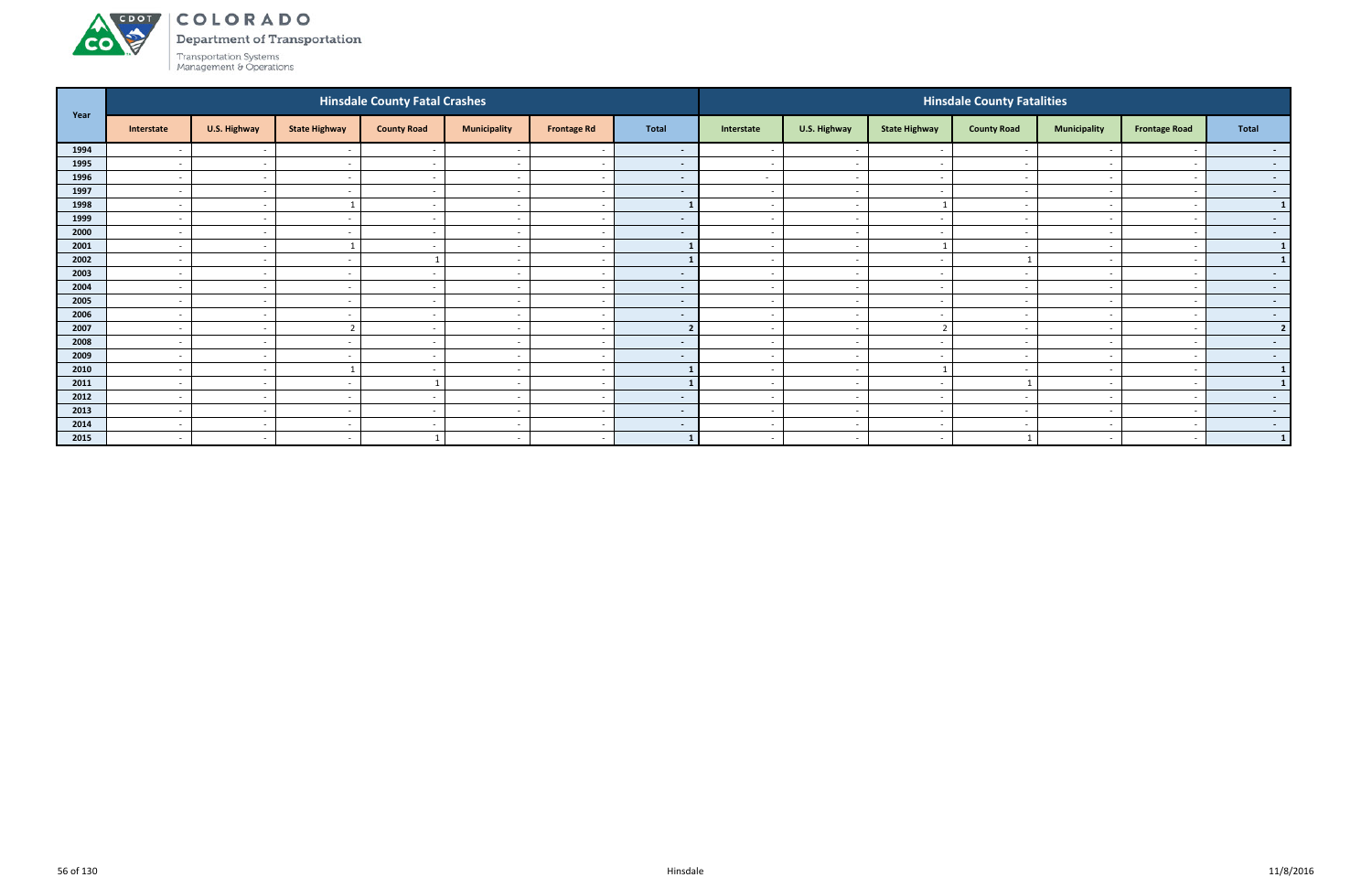

Department of Transportation

|      |                          |              |                              | <b>Hinsdale County Fatal Crashes</b> |                          |                          |                          |                          |                          |                          | <b>Hinsdale County Fatalities</b> |                          |                      |                  |
|------|--------------------------|--------------|------------------------------|--------------------------------------|--------------------------|--------------------------|--------------------------|--------------------------|--------------------------|--------------------------|-----------------------------------|--------------------------|----------------------|------------------|
| Year | Interstate               | U.S. Highway | <b>State Highway</b>         | <b>County Road</b>                   | <b>Municipality</b>      | <b>Frontage Rd</b>       | <b>Total</b>             | Interstate               | U.S. Highway             | <b>State Highway</b>     | <b>County Road</b>                | <b>Municipality</b>      | <b>Frontage Road</b> | <b>Total</b>     |
| 1994 | $\overline{\phantom{a}}$ | $\sim$       |                              |                                      |                          |                          | $\sim$ $-$               |                          | $\overline{\phantom{a}}$ | $\sim$                   |                                   |                          |                      |                  |
| 1995 | $\overline{\phantom{a}}$ | $\sim$       |                              | $\sim$                               | $\overline{\phantom{a}}$ | $\sim$                   | $\sim$                   |                          | $\sim$                   | . —                      |                                   |                          |                      | $\sim$           |
| 1996 | $\overline{a}$           | $\sim$       | $\overline{\phantom{a}}$     | $\sim$ $-$                           | $\sim$                   | $\sim$                   | $\sim$                   | $\sim$                   | $\overline{a}$           | $\sim$                   | $\overline{\phantom{a}}$          | $\sim$                   |                      | $\sim$ 100 $\mu$ |
| 1997 | $\overline{a}$           | $\sim$       | $\overline{\phantom{a}}$     | $\sim$                               | $\overline{\phantom{a}}$ | $\sim$                   | $\sim$                   | $\sim$                   | $\overline{\phantom{a}}$ | $\sim$                   | $\overline{\phantom{a}}$          |                          |                      | $\sim$ 100 $\mu$ |
| 1998 | $\overline{\phantom{0}}$ | $\sim$       |                              | $\sim$                               | $\overline{\phantom{0}}$ | $\overline{\phantom{a}}$ |                          |                          | $\overline{\phantom{a}}$ |                          |                                   | $\overline{\phantom{a}}$ |                      | $\mathbf{1}$     |
| 1999 | $\overline{\phantom{a}}$ | $\sim$       |                              | $\overline{\phantom{0}}$             | $\overline{\phantom{a}}$ | $\sim$                   | $\sim$                   | $\sim$                   | $\overline{\phantom{a}}$ | $\overline{\phantom{0}}$ |                                   | $\overline{\phantom{0}}$ |                      | $\sim$           |
| 2000 | $\overline{\phantom{a}}$ | $\sim$       |                              | $\overline{\phantom{a}}$             | $\overline{\phantom{a}}$ | $\sim$                   | $\overline{\phantom{a}}$ |                          | $\overline{\phantom{a}}$ | $\overline{\phantom{a}}$ | $\overline{\phantom{a}}$          |                          |                      | $\sim$ $-$       |
| 2001 | $\overline{\phantom{a}}$ | $\sim$       |                              | $\sim$                               | $\overline{\phantom{a}}$ | $\sim$                   |                          | $\sim$                   | $\sim$                   |                          | $\overline{\phantom{a}}$          | $\sim$                   |                      | $\mathbf{1}$     |
| 2002 | $\overline{\phantom{a}}$ | $\sim$       | $\overline{\phantom{a}}$     |                                      | $\overline{\phantom{a}}$ | $\sim$                   |                          | $\overline{\phantom{0}}$ | $\overline{\phantom{a}}$ | $\sim$                   |                                   |                          |                      | $\mathbf{1}$     |
| 2003 | $\overline{\phantom{a}}$ | $\sim$       | $\overline{\phantom{0}}$     | $\overline{\phantom{0}}$             | $\overline{\phantom{0}}$ | $\overline{\phantom{a}}$ | $\sim$                   |                          | $\overline{\phantom{a}}$ | $\sim$                   |                                   | $\overline{\phantom{0}}$ |                      | $\sim$ $-$       |
| 2004 | $\overline{\phantom{a}}$ | $\sim$       |                              | $\sim$                               | $\overline{\phantom{a}}$ | $\sim$                   | $\sim$                   | $\sim$                   | $\overline{\phantom{a}}$ | $\overline{\phantom{0}}$ |                                   |                          |                      | $\sim$           |
| 2005 | $\overline{\phantom{a}}$ | $\sim$       |                              | $\overline{\phantom{0}}$             | $\overline{\phantom{0}}$ | $\overline{\phantom{a}}$ | $\blacksquare$           |                          | $\overline{\phantom{a}}$ | $\overline{\phantom{a}}$ |                                   |                          |                      | $\sim$           |
| 2006 | $\overline{\phantom{a}}$ | $\sim$       | $\overline{\phantom{a}}$     | $\sim$ $-$                           | $\overline{\phantom{a}}$ | $\sim$                   | $\sim$                   | $\sim$                   | $\sim$                   | $\sim$                   | $\overline{\phantom{a}}$          | $\overline{a}$           |                      | $\sim$ 100 $\pm$ |
| 2007 | $\overline{a}$           | $\sim$       | ຳ                            | $\sim$                               | $\overline{\phantom{a}}$ | $\sim$                   | $\overline{2}$           | $\sim$                   | $\overline{\phantom{a}}$ | $\overline{2}$           | $\overline{\phantom{a}}$          |                          |                      | $\overline{2}$   |
| 2008 | $\overline{\phantom{a}}$ | $\sim$       |                              | $\overline{\phantom{0}}$             | $\overline{\phantom{0}}$ | $\overline{\phantom{a}}$ | $\sim$                   | $\overline{\phantom{0}}$ | $\overline{\phantom{a}}$ | $\sim$                   |                                   | $\overline{\phantom{0}}$ |                      | $\sim$ $-$       |
| 2009 | $\overline{\phantom{a}}$ | $\sim$       |                              | $\sim$                               | $\overline{\phantom{a}}$ | $\sim$                   | $\sim$                   | $\sim$                   | $\overline{\phantom{a}}$ | $\overline{\phantom{0}}$ |                                   | $\overline{\phantom{0}}$ |                      | $\sim$           |
| 2010 | $\overline{\phantom{a}}$ | $\sim$       |                              |                                      | $\overline{\phantom{0}}$ | $\overline{\phantom{a}}$ |                          |                          | $\overline{\phantom{a}}$ |                          |                                   |                          |                      | $\mathbf{1}$     |
| 2011 | $\overline{\phantom{a}}$ | $\sim$       | $\overline{\phantom{a}}$     |                                      | $\overline{\phantom{a}}$ | $\sim$                   |                          | $\sim$                   | $\sim$                   | $\sim$                   |                                   | $\sim$                   |                      | $\mathbf{1}$     |
| 2012 | $\overline{\phantom{a}}$ | $\sim$       | $\overline{\phantom{0}}$     | $\overline{\phantom{0}}$             | $\overline{\phantom{a}}$ | $\sim$                   | $\sim$                   | $\sim$                   | $\overline{\phantom{a}}$ | $\sim$                   | $\overline{\phantom{a}}$          | $\overline{\phantom{0}}$ |                      | $\sim$           |
| 2013 | $\overline{\phantom{a}}$ | $\sim$       | $\overline{\phantom{a}}$     | $\overline{\phantom{a}}$             | $\overline{\phantom{a}}$ | $\overline{\phantom{a}}$ | $\sim$                   | $\sim$                   | $\overline{\phantom{a}}$ | $\sim$                   |                                   | $\overline{\phantom{0}}$ |                      | $\sim$ $-$       |
| 2014 | $\overline{\phantom{a}}$ | $\sim$       | $\qquad \qquad \blacksquare$ | $\overline{\phantom{0}}$             | $\overline{\phantom{a}}$ | $\sim$                   | $\sim$                   | $\sim$                   | $\overline{\phantom{a}}$ | $\sim$                   |                                   |                          |                      | $\sim$ $-$       |
| 2015 | $\overline{\phantom{a}}$ | $\sim$       | $\overline{\phantom{a}}$     |                                      | $\overline{\phantom{a}}$ | $\sim$                   |                          | $\sim$                   | $\overline{\phantom{a}}$ | $\sim$                   |                                   |                          | $\sim$               | $\vert 1 \vert$  |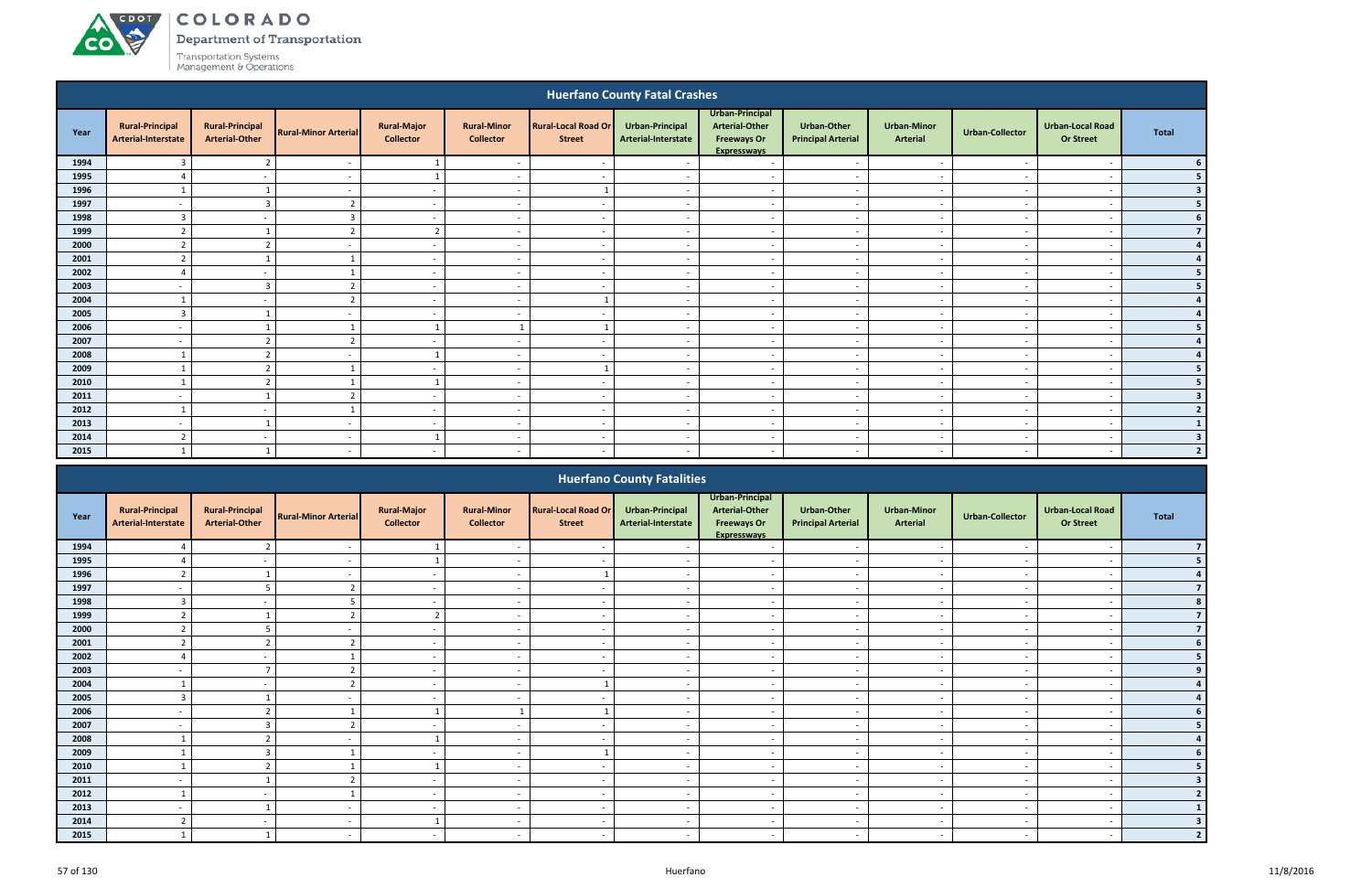ACDOT

**CO** 

Department of Transportation

|                                                                                                                                                                                                                                                                                                                                                                                                                                                 |                                               |                                                 |                             |                                        |                                                      |                                             | <b>Huerfano County Fatal Crashes</b>   |                                                                                      |                                                      |                                       |                                    |                                                      |                |  |
|-------------------------------------------------------------------------------------------------------------------------------------------------------------------------------------------------------------------------------------------------------------------------------------------------------------------------------------------------------------------------------------------------------------------------------------------------|-----------------------------------------------|-------------------------------------------------|-----------------------------|----------------------------------------|------------------------------------------------------|---------------------------------------------|----------------------------------------|--------------------------------------------------------------------------------------|------------------------------------------------------|---------------------------------------|------------------------------------|------------------------------------------------------|----------------|--|
| Year                                                                                                                                                                                                                                                                                                                                                                                                                                            | <b>Rural-Principal</b><br>Arterial-Interstate | <b>Rural-Principal</b><br><b>Arterial-Other</b> | <b>Rural-Minor Arterial</b> | <b>Rural-Major</b><br><b>Collector</b> | <b>Rural-Minor</b><br><b>Collector</b>               | <b>Rural-Local Road Or</b><br><b>Street</b> | Urban-Principal<br>Arterial-Interstate | Urban-Principal<br><b>Arterial-Other</b><br><b>Freeways Or</b><br><b>Expresswavs</b> | <b>Urban-Other</b><br><b>Principal Arterial</b>      | <b>Urban-Minor</b><br><b>Arterial</b> | <b>Urban-Collector</b>             | <b>Urban-Local Road</b><br><b>Or Street</b>          | <b>Total</b>   |  |
| 1994                                                                                                                                                                                                                                                                                                                                                                                                                                            | 3                                             | $\overline{2}$                                  | $\overline{\phantom{a}}$    |                                        | $\overline{\phantom{a}}$                             |                                             |                                        | $\overline{a}$                                                                       | $\overline{\phantom{a}}$                             | $\sim$                                | $\sim$                             | $\overline{\phantom{a}}$                             |                |  |
| 1995                                                                                                                                                                                                                                                                                                                                                                                                                                            | $\Delta$                                      | $\overline{\phantom{a}}$                        | $\overline{\phantom{a}}$    | -1                                     | $\sim$                                               |                                             | $\sim$                                 | $\sim$                                                                               | $\sim$                                               | $\sim$                                | $\overline{\phantom{a}}$           | $\overline{\phantom{a}}$                             |                |  |
| 1996                                                                                                                                                                                                                                                                                                                                                                                                                                            |                                               |                                                 | $\overline{\phantom{a}}$    | $\sim$                                 | $\overline{\phantom{a}}$                             |                                             | $\sim$                                 | $\sim$                                                                               | $\overline{\phantom{a}}$                             | $\sim$                                | $\overline{a}$                     | $\overline{\phantom{a}}$                             | -3             |  |
| 1997                                                                                                                                                                                                                                                                                                                                                                                                                                            | $\overline{\phantom{a}}$                      | 3                                               | $\overline{2}$              | $\sim$                                 | $\overline{\phantom{a}}$                             |                                             | $\sim$                                 | $\overline{a}$                                                                       | $\overline{\phantom{a}}$                             | $\sim$                                | $\sim$                             | $\overline{\phantom{a}}$                             |                |  |
| 1998                                                                                                                                                                                                                                                                                                                                                                                                                                            | $\overline{3}$                                | $\sim$                                          | $\overline{3}$              | $\sim$                                 | $\overline{\phantom{a}}$                             | $\overline{\phantom{a}}$                    | $\sim$                                 | $\overline{a}$                                                                       | $\overline{a}$                                       | $\overline{\phantom{a}}$              | $\sim$                             | $\overline{\phantom{a}}$                             | 6              |  |
| 1999                                                                                                                                                                                                                                                                                                                                                                                                                                            | $\overline{2}$                                |                                                 | $\overline{2}$              | $\overline{2}$                         | $\overline{\phantom{a}}$                             |                                             | $\sim$                                 | $\sim$                                                                               | $\sim$                                               | $\sim$                                | $\overline{\phantom{a}}$           | $\overline{\phantom{a}}$                             |                |  |
| 2000                                                                                                                                                                                                                                                                                                                                                                                                                                            | $\overline{2}$                                | $\overline{2}$                                  | $\overline{\phantom{a}}$    | $\sim$                                 | $\overline{\phantom{a}}$                             | $\overline{\phantom{a}}$                    | $\overline{a}$                         | $\overline{a}$                                                                       | $\sim$                                               | $\sim$                                | $\overline{a}$                     | $\overline{\phantom{a}}$                             |                |  |
| 2001<br>$\overline{2}$<br>$\sim$<br>$\sim$<br>$\overline{\phantom{a}}$<br>$\overline{\phantom{a}}$<br>$\sim$<br>$\overline{\phantom{a}}$<br>$\overline{\phantom{a}}$<br>$\overline{\phantom{a}}$<br>$\overline{\phantom{a}}$<br>2002<br>$\Lambda$<br>$\sim$<br>$\sim$<br>$\overline{\phantom{a}}$<br>$\overline{\phantom{a}}$<br>$\overline{\phantom{a}}$<br>$\sim$<br>$\overline{\phantom{a}}$<br>$\sim$<br>$\sim$<br>$\overline{\phantom{a}}$ |                                               |                                                 |                             |                                        |                                                      |                                             |                                        |                                                                                      |                                                      |                                       |                                    |                                                      |                |  |
| 2003<br>$\overline{3}$<br>$\overline{2}$<br>$\sim$<br>$\sim$<br>$\overline{\phantom{a}}$<br>$\sim$<br>$\overline{\phantom{a}}$<br>$\overline{\phantom{a}}$<br>$\sim$<br>$\sim$<br>$\overline{\phantom{a}}$                                                                                                                                                                                                                                      |                                               |                                                 |                             |                                        |                                                      |                                             |                                        |                                                                                      |                                                      |                                       |                                    |                                                      |                |  |
|                                                                                                                                                                                                                                                                                                                                                                                                                                                 |                                               |                                                 |                             |                                        |                                                      |                                             |                                        |                                                                                      |                                                      |                                       |                                    |                                                      |                |  |
| 2004                                                                                                                                                                                                                                                                                                                                                                                                                                            |                                               | $\sim$                                          | ຳ                           | $\sim$                                 | $\overline{\phantom{a}}$                             |                                             | $\sim$                                 | $\overline{a}$                                                                       | $\overline{\phantom{a}}$                             | $\overline{\phantom{a}}$              | $\sim$                             | $\overline{\phantom{a}}$                             |                |  |
| 2005                                                                                                                                                                                                                                                                                                                                                                                                                                            | $\overline{3}$                                |                                                 | $\overline{\phantom{a}}$    | $\sim$                                 | $\overline{\phantom{a}}$                             |                                             | $\sim$                                 | $\overline{a}$                                                                       | $\overline{\phantom{a}}$                             | $\sim$                                | $\sim$                             | $\overline{\phantom{a}}$                             |                |  |
| 2006<br>2007                                                                                                                                                                                                                                                                                                                                                                                                                                    | $\overline{\phantom{0}}$                      | $\overline{2}$                                  | $\overline{2}$              |                                        |                                                      |                                             | $\sim$                                 | $\overline{a}$                                                                       | $\overline{\phantom{a}}$                             | $\sim$                                | $\sim$                             | $\overline{\phantom{a}}$                             |                |  |
| 2008                                                                                                                                                                                                                                                                                                                                                                                                                                            | $\overline{\phantom{a}}$                      | $\overline{2}$                                  | $\overline{\phantom{a}}$    | $\sim$<br>-1                           | $\overline{\phantom{a}}$<br>$\overline{\phantom{a}}$ | $\overline{\phantom{a}}$                    | $\sim$<br>$\sim$                       | $\sim$<br>$\overline{a}$                                                             | $\overline{a}$                                       | $\sim$<br>$\overline{\phantom{a}}$    | $\sim$<br>$\overline{\phantom{a}}$ | $\overline{\phantom{a}}$<br>$\overline{\phantom{a}}$ |                |  |
| 2009                                                                                                                                                                                                                                                                                                                                                                                                                                            |                                               | $\overline{2}$                                  |                             | $\sim$                                 | $\overline{\phantom{a}}$                             |                                             | $\sim$                                 | $\sim$                                                                               | $\overline{\phantom{a}}$<br>$\overline{\phantom{a}}$ | $\sim$                                | $\overline{\phantom{a}}$           | $\overline{\phantom{a}}$                             |                |  |
| 2010                                                                                                                                                                                                                                                                                                                                                                                                                                            |                                               | $\overline{2}$                                  |                             |                                        | $\overline{\phantom{a}}$                             | $\overline{\phantom{a}}$                    | $\sim$                                 | $\sim$                                                                               | $\overline{\phantom{0}}$                             | $\sim$                                | $\sim$                             | $\overline{\phantom{a}}$                             |                |  |
| 2011                                                                                                                                                                                                                                                                                                                                                                                                                                            | $\overline{\phantom{0}}$                      |                                                 | C.                          | $\sim$                                 | $\overline{\phantom{a}}$                             |                                             |                                        | $\sim$                                                                               | $\overline{\phantom{a}}$                             | $\sim$                                | $\sim$                             | $\overline{\phantom{a}}$                             | 3              |  |
| 2012                                                                                                                                                                                                                                                                                                                                                                                                                                            |                                               | $\sim$                                          |                             | $\sim$                                 | $\overline{\phantom{a}}$                             | $\overline{\phantom{a}}$                    | $\overline{\phantom{a}}$               | $\sim$                                                                               | $\overline{\phantom{a}}$                             | $\overline{\phantom{a}}$              | $\overline{\phantom{a}}$           | $\overline{\phantom{a}}$                             | $\overline{2}$ |  |
| 2013                                                                                                                                                                                                                                                                                                                                                                                                                                            | $\overline{\phantom{0}}$                      |                                                 | $\overline{\phantom{a}}$    | $\sim$                                 | $\overline{\phantom{a}}$                             |                                             | $\sim$                                 | $\sim$                                                                               | $\sim$                                               | $\sim$                                | $\sim$                             | $\overline{\phantom{a}}$                             |                |  |
| 2014                                                                                                                                                                                                                                                                                                                                                                                                                                            | $\overline{2}$                                | $\sim$                                          | $\overline{\phantom{a}}$    | 1                                      | $\overline{\phantom{a}}$                             | $\overline{\phantom{a}}$                    | $\overline{\phantom{a}}$               | $\overline{\phantom{0}}$                                                             | $\overline{\phantom{a}}$                             | $\sim$                                | $\overline{\phantom{a}}$           | $\overline{\phantom{a}}$                             | 3              |  |
| 2015                                                                                                                                                                                                                                                                                                                                                                                                                                            |                                               |                                                 |                             | $\sim$                                 |                                                      |                                             |                                        | $\overline{a}$                                                                       | $\overline{\phantom{a}}$                             | $\sim$                                |                                    |                                                      | $\overline{2}$ |  |
|                                                                                                                                                                                                                                                                                                                                                                                                                                                 |                                               |                                                 |                             |                                        |                                                      |                                             |                                        |                                                                                      |                                                      |                                       |                                    |                                                      |                |  |
|                                                                                                                                                                                                                                                                                                                                                                                                                                                 |                                               |                                                 |                             |                                        |                                                      |                                             | <b>Huerfano County Fatalities</b>      |                                                                                      |                                                      |                                       |                                    |                                                      |                |  |

|      |                                               |                                                 |                             |                                        |                                        |                                             | <b>Huerfano County Fatalities</b>      |                                                                                      |                                          |                                       |                          |                                             |       |
|------|-----------------------------------------------|-------------------------------------------------|-----------------------------|----------------------------------------|----------------------------------------|---------------------------------------------|----------------------------------------|--------------------------------------------------------------------------------------|------------------------------------------|---------------------------------------|--------------------------|---------------------------------------------|-------|
| Year | <b>Rural-Principal</b><br>Arterial-Interstate | <b>Rural-Principal</b><br><b>Arterial-Other</b> | <b>Rural-Minor Arterial</b> | <b>Rural-Major</b><br><b>Collector</b> | <b>Rural-Minor</b><br><b>Collector</b> | <b>Rural-Local Road Or</b><br><b>Street</b> | Urban-Principal<br>Arterial-Interstate | Urban-Principal<br><b>Arterial-Other</b><br><b>Freeways Or</b><br><b>Expressways</b> | Urban-Other<br><b>Principal Arterial</b> | <b>Urban-Minor</b><br><b>Arterial</b> | <b>Urban-Collector</b>   | <b>Urban-Local Road</b><br><b>Or Street</b> | Total |
| 1994 |                                               |                                                 |                             |                                        |                                        |                                             |                                        |                                                                                      |                                          |                                       |                          |                                             |       |
| 1995 |                                               |                                                 |                             |                                        |                                        |                                             |                                        |                                                                                      |                                          |                                       |                          |                                             |       |
| 1996 | $\mathcal{L}$                                 |                                                 |                             | $\sim$                                 | $\blacksquare$                         |                                             |                                        | $\overline{\phantom{0}}$                                                             | $\blacksquare$                           | $\overline{\phantom{0}}$              |                          | $\overline{\phantom{a}}$                    |       |
| 1997 |                                               |                                                 | $\mathbf{r}$                | $\overline{\phantom{a}}$               | $\overline{\phantom{a}}$               | $\overline{\phantom{0}}$                    | $\overline{\phantom{a}}$               | $\overline{\phantom{a}}$                                                             | $\overline{\phantom{a}}$                 | $\overline{\phantom{a}}$              |                          | $\overline{\phantom{0}}$                    |       |
| 1998 | 3                                             |                                                 |                             |                                        | $\overline{\phantom{a}}$               |                                             |                                        |                                                                                      | $\overline{\phantom{a}}$                 |                                       |                          |                                             |       |
| 1999 | $\overline{2}$                                |                                                 |                             |                                        | $\overline{\phantom{a}}$               |                                             |                                        | $\overline{\phantom{a}}$                                                             | $\overline{\phantom{a}}$                 | $\sim$                                |                          | $\overline{\phantom{a}}$                    |       |
| 2000 |                                               |                                                 |                             |                                        | $\overline{\phantom{a}}$               |                                             |                                        |                                                                                      | $\overline{\phantom{a}}$                 | $\overline{\phantom{a}}$              |                          |                                             |       |
| 2001 | $\mathcal{L}$                                 |                                                 |                             | $\sim$                                 | $\overline{\phantom{a}}$               | $\overline{\phantom{0}}$                    | $\overline{\phantom{0}}$               | $\sim$                                                                               | $\overline{\phantom{a}}$                 | $\sim$                                | $\overline{\phantom{a}}$ | $\overline{\phantom{a}}$                    |       |
| 2002 |                                               |                                                 |                             | $\overline{\phantom{a}}$               | $\overline{\phantom{a}}$               |                                             |                                        | $\overline{\phantom{a}}$                                                             | $\overline{\phantom{a}}$                 | $\overline{\phantom{a}}$              |                          |                                             |       |
| 2003 |                                               |                                                 |                             | $\overline{\phantom{a}}$               | $\overline{\phantom{0}}$               |                                             |                                        | $\overline{\phantom{a}}$                                                             | $\overline{\phantom{0}}$                 | $\overline{\phantom{0}}$              |                          |                                             |       |
| 2004 |                                               |                                                 |                             | $\overline{\phantom{a}}$               | $\overline{\phantom{a}}$               |                                             |                                        | $\overline{\phantom{a}}$                                                             | $\overline{\phantom{a}}$                 | $\overline{\phantom{a}}$              |                          |                                             |       |
| 2005 |                                               |                                                 |                             | $\overline{\phantom{a}}$               | $\overline{\phantom{a}}$               |                                             |                                        | $\overline{\phantom{0}}$                                                             | $\sim$                                   | $\overline{\phantom{a}}$              |                          |                                             |       |
| 2006 | $\overline{\phantom{a}}$                      |                                                 |                             |                                        |                                        |                                             | $\sim$                                 | $\overline{\phantom{a}}$                                                             | $\overline{\phantom{a}}$                 | $\sim$                                | $\sim$                   | $\overline{\phantom{a}}$                    |       |
| 2007 |                                               | $\mathbf{r}$                                    | $\mathbf{\hat{z}}$          |                                        | $\overline{\phantom{a}}$               |                                             |                                        | $\overline{\phantom{a}}$                                                             | $\overline{\phantom{a}}$                 | $\overline{\phantom{a}}$              |                          |                                             |       |
| 2008 |                                               |                                                 |                             |                                        | $\overline{\phantom{a}}$               | $\overline{\phantom{a}}$                    | $\overline{\phantom{a}}$               | $\overline{\phantom{a}}$                                                             | $\overline{\phantom{a}}$                 | $\sim$                                |                          | $\overline{\phantom{a}}$                    |       |
| 2009 |                                               |                                                 |                             |                                        | $\overline{\phantom{a}}$               |                                             |                                        | $\overline{\phantom{a}}$                                                             | $\overline{\phantom{a}}$                 | $\overline{\phantom{a}}$              |                          | $\overline{\phantom{a}}$                    |       |
| 2010 |                                               |                                                 |                             |                                        | $\overline{\phantom{a}}$               | $\overline{\phantom{a}}$                    |                                        | $\overline{\phantom{a}}$                                                             | $\overline{\phantom{a}}$                 | $\overline{\phantom{a}}$              |                          | $\overline{\phantom{a}}$                    |       |
| 2011 |                                               |                                                 |                             | $\overline{\phantom{a}}$               | $\overline{\phantom{a}}$               | $\overline{\phantom{0}}$                    | $\overline{\phantom{a}}$               | $\overline{\phantom{a}}$                                                             | $\overline{\phantom{a}}$                 | $\overline{\phantom{a}}$              | $\overline{\phantom{a}}$ | $\overline{\phantom{a}}$                    |       |
| 2012 |                                               |                                                 |                             |                                        | $\overline{\phantom{a}}$               |                                             |                                        |                                                                                      | $\overline{\phantom{a}}$                 | $\overline{\phantom{a}}$              |                          |                                             |       |
| 2013 |                                               |                                                 |                             | $\overline{\phantom{a}}$               | $\overline{\phantom{a}}$               |                                             |                                        |                                                                                      | $\overline{\phantom{a}}$                 | $\overline{\phantom{a}}$              |                          |                                             |       |
| 2014 | $\mathbf{\Omega}$<br>$\epsilon$               |                                                 |                             |                                        | $\overline{\phantom{a}}$               | $\overline{\phantom{a}}$                    |                                        | $\overline{\phantom{a}}$                                                             | $\overline{\phantom{a}}$                 | $\overline{\phantom{a}}$              |                          |                                             |       |
| 2015 |                                               |                                                 |                             | $\overline{\phantom{a}}$               | $\overline{a}$                         | $\sim$                                      |                                        | $\overline{\phantom{a}}$                                                             | $\sim$                                   | $\overline{a}$                        |                          |                                             |       |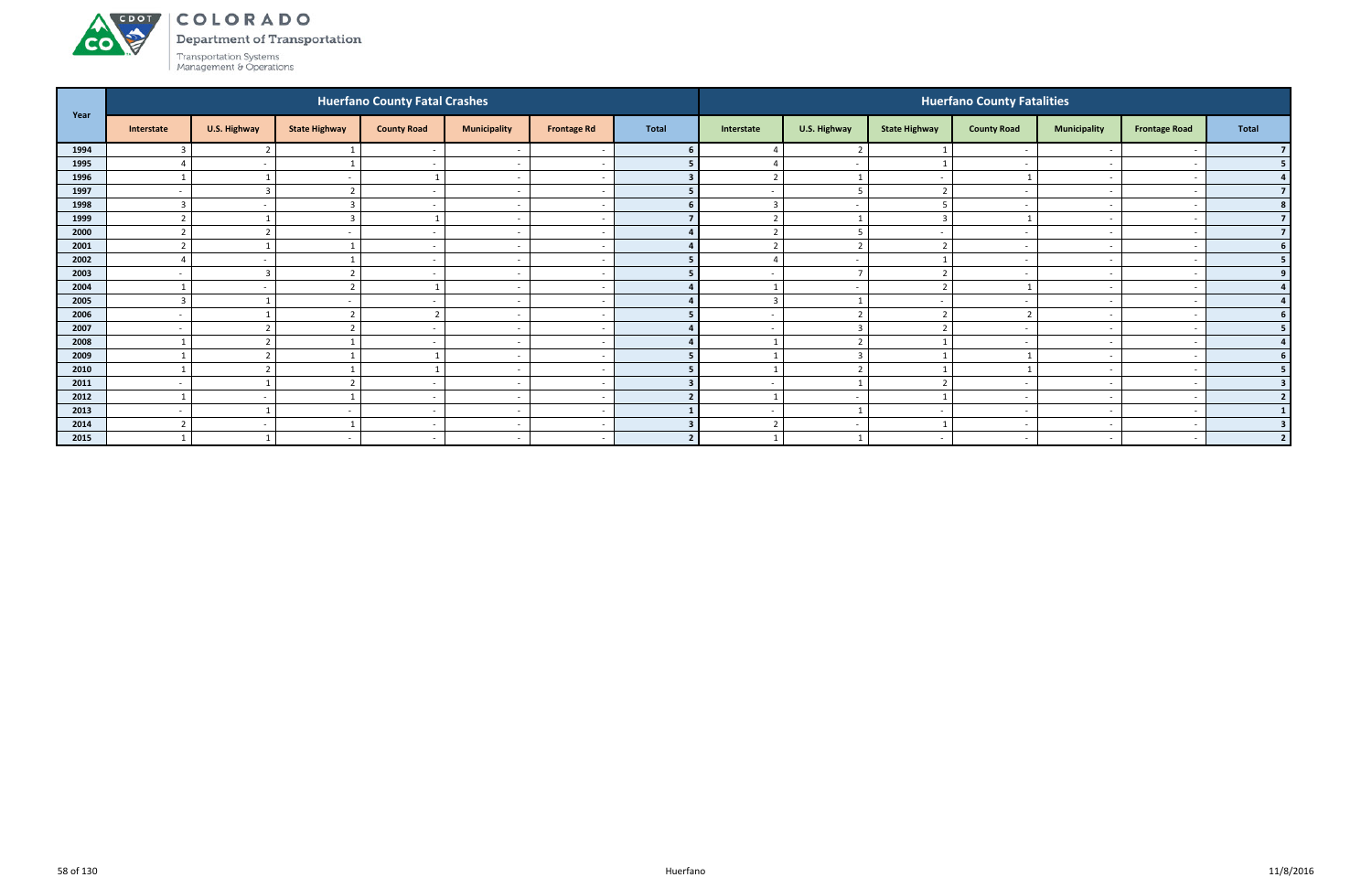#### ACDOL COLORADO

Department of Transportation



|      |                          |                          |                      | <b>Huerfano County Fatal Crashes</b> |                          |                    |                |                          |                          |                          | <b>Huerfano County Fatalities</b> |                          |                          |                |
|------|--------------------------|--------------------------|----------------------|--------------------------------------|--------------------------|--------------------|----------------|--------------------------|--------------------------|--------------------------|-----------------------------------|--------------------------|--------------------------|----------------|
| Year | Interstate               | U.S. Highway             | <b>State Highway</b> | <b>County Road</b>                   | <b>Municipality</b>      | <b>Frontage Rd</b> | <b>Total</b>   | Interstate               | U.S. Highway             | <b>State Highway</b>     | <b>County Road</b>                | <b>Municipality</b>      | <b>Frontage Road</b>     | Total          |
| 1994 |                          | ຳ                        |                      |                                      |                          |                    |                |                          | $\overline{2}$           |                          | $\overline{\phantom{a}}$          |                          |                          |                |
| 1995 |                          | $\overline{\phantom{a}}$ |                      | $\sim$                               | $\overline{\phantom{a}}$ |                    |                |                          | $\overline{a}$           |                          | $\overline{\phantom{a}}$          | $\overline{\phantom{0}}$ |                          | 5 <sub>1</sub> |
| 1996 |                          |                          |                      |                                      | $\overline{\phantom{a}}$ |                    |                | $\overline{2}$           | - 1                      |                          |                                   | $\overline{\phantom{a}}$ |                          | 4              |
| 1997 | $\overline{\phantom{a}}$ | $\overline{3}$           |                      |                                      | $\overline{\phantom{a}}$ |                    |                |                          | -5                       | ຳ                        |                                   |                          |                          | 7 <sup>1</sup> |
| 1998 |                          |                          |                      |                                      | $\overline{\phantom{a}}$ |                    |                | $\overline{\mathbf{3}}$  | $\overline{a}$           |                          |                                   | $\overline{\phantom{0}}$ |                          | 8 <sup>1</sup> |
| 1999 |                          |                          |                      |                                      | $\overline{\phantom{a}}$ |                    |                | ຳ                        |                          | 3                        |                                   |                          |                          | 7 <sup>1</sup> |
| 2000 |                          |                          |                      |                                      | $\overline{\phantom{a}}$ |                    |                | ຳ                        | - 5                      |                          | $\overline{\phantom{a}}$          | $\overline{\phantom{0}}$ |                          | 7 <sup>1</sup> |
| 2001 |                          |                          |                      |                                      | $\overline{\phantom{a}}$ |                    |                | $\overline{2}$           | $\overline{\phantom{a}}$ |                          | $\overline{\phantom{0}}$          | $\overline{\phantom{0}}$ |                          | 6 <sup>1</sup> |
| 2002 |                          | $\overline{\phantom{a}}$ |                      |                                      | $\overline{\phantom{a}}$ |                    |                |                          | $\overline{a}$           |                          | $\overline{\phantom{a}}$          |                          |                          | 5 <sub>1</sub> |
| 2003 | $\overline{\phantom{a}}$ | 3                        |                      |                                      | $\overline{\phantom{a}}$ |                    |                |                          | $\overline{7}$           | $\overline{\phantom{a}}$ | - -                               | $\overline{\phantom{0}}$ |                          | 9 <sub>1</sub> |
| 2004 |                          |                          |                      |                                      | $\overline{\phantom{a}}$ |                    |                |                          | $\overline{a}$           |                          |                                   |                          |                          |                |
| 2005 | $\mathbf{c}$             |                          |                      |                                      | $\overline{\phantom{a}}$ |                    |                | $\overline{3}$           |                          |                          | - -                               |                          |                          | $\overline{4}$ |
| 2006 | $\overline{\phantom{a}}$ |                          |                      | $\overline{2}$                       | $\sim$                   |                    |                | $\sim$                   | $\overline{2}$           | ຳ                        |                                   | $\sim$                   |                          | 6 <sup>1</sup> |
| 2007 | $\overline{\phantom{a}}$ | $\mathbf{\hat{}}$        |                      |                                      | $\overline{\phantom{a}}$ |                    |                | $\overline{\phantom{a}}$ | $\overline{\mathbf{3}}$  | ຳ                        | $\overline{\phantom{a}}$          |                          |                          | 5 <sub>1</sub> |
| 2008 |                          |                          |                      |                                      | $\overline{\phantom{a}}$ |                    |                |                          | $\overline{\phantom{a}}$ |                          |                                   | $\overline{\phantom{0}}$ |                          | 4 <sup>1</sup> |
| 2009 |                          |                          |                      |                                      | $\overline{\phantom{a}}$ |                    |                |                          | $\overline{\mathbf{3}}$  |                          |                                   | $\overline{\phantom{a}}$ |                          | 6 <sup>1</sup> |
| 2010 |                          | n,                       |                      |                                      | $\overline{\phantom{a}}$ |                    |                |                          | $\mathbf{\cdot}$         |                          |                                   | $\overline{\phantom{0}}$ |                          | 5 <sub>1</sub> |
| 2011 | $\overline{\phantom{a}}$ |                          |                      |                                      | $\overline{\phantom{a}}$ |                    |                | $\overline{\phantom{0}}$ |                          |                          | $\overline{\phantom{a}}$          | $\overline{\phantom{0}}$ |                          | 3 <sup>1</sup> |
| 2012 | $\overline{1}$           | $\sim$                   |                      | $\sim$                               | $\overline{a}$           |                    | $\overline{2}$ | $\mathbf{1}$             | $\sim$                   |                          | $\overline{\phantom{0}}$          | $\overline{\phantom{0}}$ |                          | 2              |
| 2013 | $\overline{\phantom{a}}$ |                          |                      |                                      | $\overline{\phantom{a}}$ |                    |                | $\sim$                   | $\overline{\mathbf{1}}$  |                          | $\overline{\phantom{a}}$          | $\sim$                   |                          | 1 <sup>1</sup> |
| 2014 |                          | $\overline{\phantom{a}}$ |                      |                                      | $\overline{\phantom{a}}$ |                    |                | $\overline{2}$           | $\overline{a}$           |                          |                                   | $\overline{\phantom{0}}$ |                          | 3 <sup>1</sup> |
| 2015 |                          |                          |                      |                                      | $\overline{\phantom{a}}$ |                    | $\overline{2}$ | $\mathbf{A}$             |                          |                          | $\overline{\phantom{a}}$          | $\overline{\phantom{0}}$ | $\overline{\phantom{a}}$ | 2 <sup>1</sup> |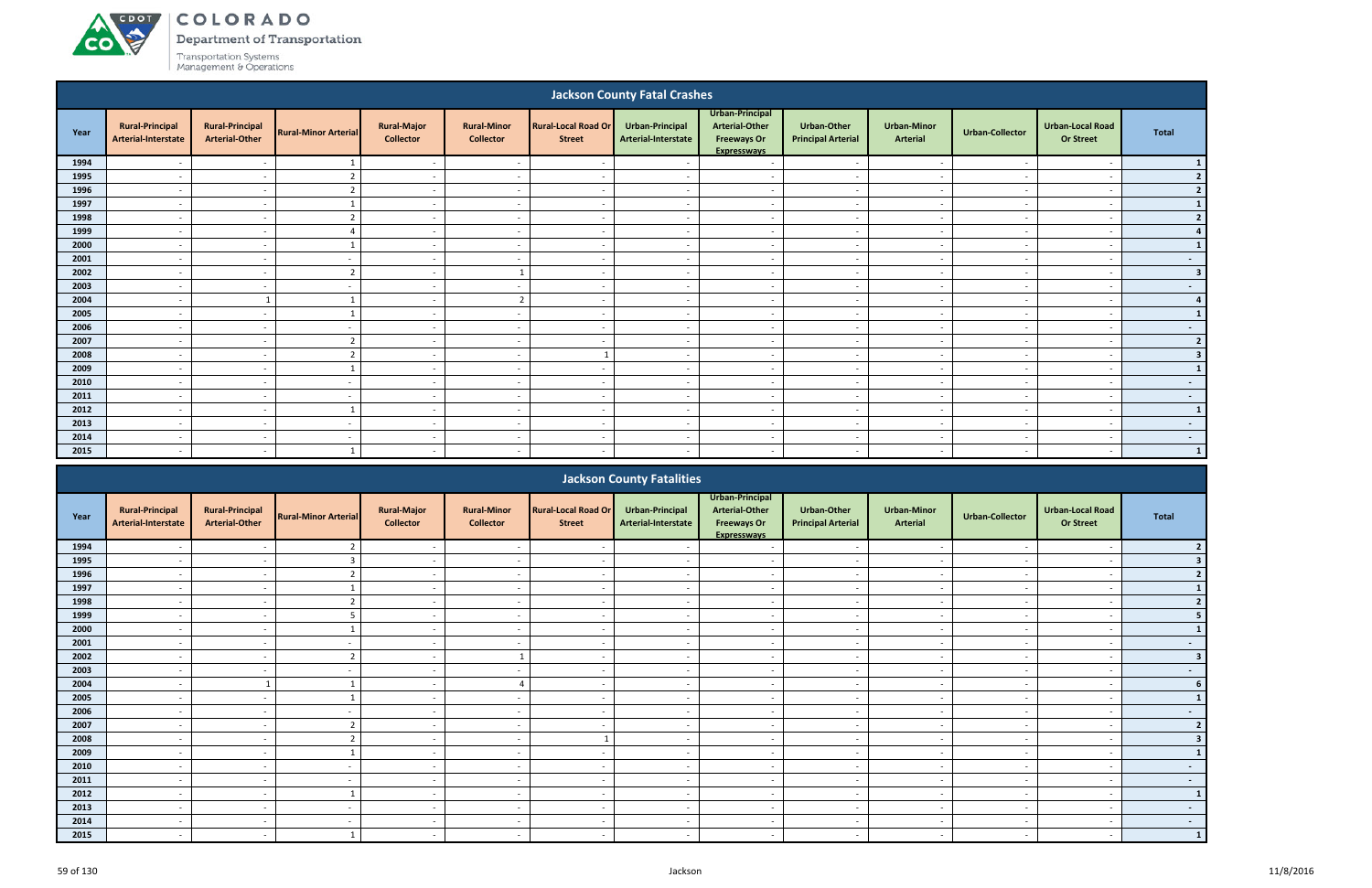# ACDOT **CO**

# COLORADO

Department of Transportation

|      |                                                                                                                                                                                                                                                                                                                                        |                                                 |                             |                                        |                                        |                                             | <b>Jackson County Fatal Crashes</b>    |                                                                                      |                                                 |                                       |                          |                                             |                 |
|------|----------------------------------------------------------------------------------------------------------------------------------------------------------------------------------------------------------------------------------------------------------------------------------------------------------------------------------------|-------------------------------------------------|-----------------------------|----------------------------------------|----------------------------------------|---------------------------------------------|----------------------------------------|--------------------------------------------------------------------------------------|-------------------------------------------------|---------------------------------------|--------------------------|---------------------------------------------|-----------------|
| Year | <b>Rural-Principal</b><br>Arterial-Interstate                                                                                                                                                                                                                                                                                          | <b>Rural-Principal</b><br><b>Arterial-Other</b> | <b>Rural-Minor Arterial</b> | <b>Rural-Major</b><br><b>Collector</b> | <b>Rural-Minor</b><br><b>Collector</b> | <b>Rural-Local Road Or</b><br><b>Street</b> | Urban-Principal<br>Arterial-Interstate | Urban-Principal<br><b>Arterial-Other</b><br><b>Freeways Or</b><br><b>Expresswavs</b> | <b>Urban-Other</b><br><b>Principal Arterial</b> | <b>Urban-Minor</b><br><b>Arterial</b> | <b>Urban-Collector</b>   | <b>Urban-Local Road</b><br><b>Or Street</b> | <b>Total</b>    |
| 1994 |                                                                                                                                                                                                                                                                                                                                        | $\overline{\phantom{a}}$                        |                             | $\sim$                                 | $\overline{\phantom{a}}$               | $\overline{\phantom{a}}$                    |                                        | $\sim$                                                                               |                                                 |                                       |                          | $\overline{\phantom{a}}$                    | $\vert$ 1       |
| 1995 | $\overline{\phantom{a}}$                                                                                                                                                                                                                                                                                                               | $\overline{\phantom{a}}$                        | $\overline{z}$              | $\sim$                                 | $\overline{\phantom{a}}$               | $\sim$                                      | $\sim$                                 | $\overline{a}$                                                                       | $\overline{\phantom{a}}$                        | $\sim$                                | $\overline{\phantom{a}}$ | $\overline{\phantom{a}}$                    | 2               |
| 1996 | $\overline{\phantom{a}}$                                                                                                                                                                                                                                                                                                               | $\overline{a}$                                  | $\overline{2}$              | $\sim$                                 | $\overline{a}$                         | $\sim$                                      | $\sim$                                 | $\sim$                                                                               | $\sim$                                          | $\sim$                                | $\overline{\phantom{a}}$ | $\overline{\phantom{a}}$                    | $2 \mid$        |
| 1997 | $\overline{\phantom{a}}$                                                                                                                                                                                                                                                                                                               | $\overline{\phantom{a}}$                        |                             | $\sim$                                 | $\overline{a}$                         | $\sim$                                      | $\sim$                                 | $\overline{a}$                                                                       | $\overline{\phantom{a}}$                        | $\overline{\phantom{a}}$              | $\overline{\phantom{a}}$ | $\overline{a}$                              | $1\vert$        |
| 1998 | $\overline{\phantom{a}}$                                                                                                                                                                                                                                                                                                               | $\sim$                                          | $\overline{2}$              | $\sim$                                 | $\overline{a}$                         | $\sim$                                      | $\overline{\phantom{a}}$               | $\sim$                                                                               | $\sim$                                          | $\overline{\phantom{a}}$              |                          | $\overline{\phantom{a}}$                    | 2               |
| 1999 | $\overline{\phantom{0}}$                                                                                                                                                                                                                                                                                                               | $\overline{\phantom{a}}$                        |                             | $\sim$                                 | $\overline{\phantom{a}}$               | $\sim$                                      | $\overline{\phantom{a}}$               | $\overline{a}$                                                                       |                                                 | $\sim$                                |                          | $\overline{\phantom{a}}$                    | 4               |
| 2000 |                                                                                                                                                                                                                                                                                                                                        | $\overline{a}$                                  |                             | $\sim$                                 | $\overline{\phantom{a}}$               | $\sim$                                      |                                        | $\overline{a}$                                                                       | $\overline{\phantom{a}}$                        | $\overline{\phantom{a}}$              |                          | $\overline{\phantom{a}}$                    | $\mathbf{1}$    |
| 2001 | $\sim$<br>$\sim$<br>$\sim$<br>$\overline{a}$<br>$\sim$<br>$\sim$<br>$\sim$<br>$\sim$<br>$\overline{\phantom{a}}$<br>$\sim$<br>$\overline{z}$<br>2002<br>$\mathbf{1}$<br>$\overline{\phantom{a}}$<br>$\sim$<br>$\sim$<br>$\sim$<br>$\sim$<br>$\sim$<br>$\overline{a}$<br>$\overline{\phantom{a}}$<br>$\sim$<br>$\overline{\phantom{a}}$ |                                                 |                             |                                        |                                        |                                             |                                        |                                                                                      |                                                 |                                       |                          |                                             | $\sim$          |
|      |                                                                                                                                                                                                                                                                                                                                        |                                                 |                             |                                        |                                        |                                             |                                        |                                                                                      |                                                 |                                       |                          |                                             | 3 <sup>1</sup>  |
| 2003 | $\overline{\phantom{a}}$                                                                                                                                                                                                                                                                                                               | $\sim$                                          | $\sim$                      | $\sim$                                 | $\sim$                                 | $\sim$                                      | $\overline{\phantom{a}}$               | $\sim$                                                                               | $\overline{\phantom{a}}$                        | $\sim$                                |                          | $\overline{\phantom{a}}$                    | $\sim$          |
| 2004 | $\overline{\phantom{a}}$                                                                                                                                                                                                                                                                                                               | $\overline{1}$                                  |                             | $\sim$                                 | $\overline{2}$                         | $\overline{\phantom{a}}$                    | $\sim$                                 | $\sim$                                                                               | $\overline{a}$                                  | $\sim$                                | $\overline{\phantom{a}}$ | $\overline{\phantom{a}}$                    | 4               |
| 2005 | $\overline{\phantom{a}}$                                                                                                                                                                                                                                                                                                               | $\overline{\phantom{a}}$                        |                             | $\sim$                                 | $\overline{a}$                         | $\overline{\phantom{a}}$                    | $\sim$                                 | $\sim$                                                                               | $\overline{a}$                                  | $\sim$                                | $\overline{\phantom{a}}$ | $\overline{\phantom{a}}$                    | $\mathbf{1}$    |
| 2006 | $\overline{\phantom{a}}$                                                                                                                                                                                                                                                                                                               | $\sim$                                          | $\sim$                      | $\sim$                                 | $\overline{a}$                         | $\sim$                                      | $\overline{\phantom{a}}$               | $\overline{a}$                                                                       | $\overline{\phantom{0}}$                        | $\sim$                                | $\overline{\phantom{a}}$ | $\overline{\phantom{a}}$                    | $\sim$          |
| 2007 |                                                                                                                                                                                                                                                                                                                                        | $\overline{\phantom{a}}$                        | $\overline{2}$              | $\sim$                                 | $\overline{a}$                         | $\overline{\phantom{a}}$                    | $\sim$                                 | $\overline{a}$                                                                       | $\overline{\phantom{a}}$                        | $\sim$                                |                          | $\overline{\phantom{a}}$                    | 2               |
| 2008 |                                                                                                                                                                                                                                                                                                                                        | $\overline{\phantom{a}}$                        | $\mathbf{\cdot}$            | $\sim$                                 | $\overline{\phantom{a}}$               |                                             | $\overline{\phantom{a}}$               | $\overline{a}$                                                                       | $\overline{\phantom{a}}$                        | $\sim$                                |                          | $\overline{\phantom{a}}$                    | 3 <sup>1</sup>  |
| 2009 |                                                                                                                                                                                                                                                                                                                                        | $\overline{\phantom{a}}$                        |                             | $\sim$                                 | $\overline{\phantom{a}}$               | $\overline{\phantom{a}}$                    | $\sim$                                 | $\overline{\phantom{a}}$                                                             | $\overline{\phantom{a}}$                        | $\sim$                                |                          | $\overline{\phantom{a}}$                    | $\mathbf{1}$    |
| 2010 |                                                                                                                                                                                                                                                                                                                                        | $\overline{a}$                                  | $\overline{\phantom{a}}$    | $\overline{\phantom{a}}$               | $\overline{\phantom{a}}$               | $\sim$                                      | $\sim$                                 | $\overline{a}$                                                                       | $\overline{\phantom{a}}$                        | $\sim$                                |                          | $\overline{\phantom{a}}$                    | $\sim$ $-$      |
| 2011 | $\overline{\phantom{a}}$                                                                                                                                                                                                                                                                                                               | $\sim$                                          | $\overline{\phantom{a}}$    | $\sim$                                 | $\overline{\phantom{a}}$               | $\sim$                                      | $\sim$                                 | $\sim$                                                                               | $\sim$                                          | $\sim$                                | $\overline{\phantom{a}}$ | $\overline{\phantom{a}}$                    | $\sim$ $-$      |
| 2012 | $\overline{\phantom{a}}$                                                                                                                                                                                                                                                                                                               | $\overline{\phantom{a}}$                        | $\mathbf{1}$                | $\sim$                                 | $\overline{a}$                         | $\sim$                                      | $\overline{\phantom{a}}$               | $\sim$                                                                               | $\sim$                                          | $\sim$                                | $\overline{\phantom{a}}$ | $\overline{\phantom{a}}$                    | $\mathbf{1}$    |
| 2013 | $\overline{\phantom{a}}$                                                                                                                                                                                                                                                                                                               | $\overline{\phantom{a}}$                        | $\sim$                      | $\sim$                                 | $\overline{\phantom{a}}$               | $\overline{\phantom{a}}$                    | $\sim$                                 | $\sim$                                                                               | $\sim$                                          | $\sim$                                | $\overline{\phantom{a}}$ | $\overline{\phantom{a}}$                    | $\sim$          |
| 2014 | $\overline{\phantom{a}}$                                                                                                                                                                                                                                                                                                               | $\overline{\phantom{a}}$                        | $\overline{a}$              | $\sim$                                 | $\overline{a}$                         | $\overline{\phantom{a}}$                    | $\sim$                                 | $\overline{a}$                                                                       | $\sim$                                          | $\overline{\phantom{a}}$              | $\overline{\phantom{a}}$ | $\overline{a}$                              | $\sim 100$      |
| 2015 | $\overline{\phantom{0}}$                                                                                                                                                                                                                                                                                                               | $\sim$                                          |                             | $\sim$                                 | $\overline{\phantom{0}}$               | $\sim$                                      | $\sim$                                 | $\sim$                                                                               | $\sim$                                          | $\sim$                                | $\overline{\phantom{a}}$ | $\overline{\phantom{0}}$                    | $\vert 1 \vert$ |
|      |                                                                                                                                                                                                                                                                                                                                        |                                                 |                             |                                        |                                        |                                             | <b>Jackson County Eatalities</b>       |                                                                                      |                                                 |                                       |                          |                                             |                 |

|      |                                               |                                                 |                             |                                        |                                        |                                             | <b>Jackson County Fatalities</b>       |                                                                                      |                                                 |                                       |                          |                                             |                          |
|------|-----------------------------------------------|-------------------------------------------------|-----------------------------|----------------------------------------|----------------------------------------|---------------------------------------------|----------------------------------------|--------------------------------------------------------------------------------------|-------------------------------------------------|---------------------------------------|--------------------------|---------------------------------------------|--------------------------|
| Year | <b>Rural-Principal</b><br>Arterial-Interstate | <b>Rural-Principal</b><br><b>Arterial-Other</b> | <b>Rural-Minor Arterial</b> | <b>Rural-Major</b><br><b>Collector</b> | <b>Rural-Minor</b><br><b>Collector</b> | <b>Rural-Local Road Or</b><br><b>Street</b> | Urban-Principal<br>Arterial-Interstate | Urban-Principal<br><b>Arterial-Other</b><br><b>Freeways Or</b><br><b>Expresswavs</b> | <b>Urban-Other</b><br><b>Principal Arterial</b> | <b>Urban-Minor</b><br><b>Arterial</b> | <b>Urban-Collector</b>   | <b>Urban-Local Road</b><br><b>Or Street</b> | <b>Total</b>             |
| 1994 |                                               |                                                 |                             |                                        |                                        |                                             |                                        |                                                                                      |                                                 |                                       |                          |                                             |                          |
| 1995 |                                               |                                                 |                             |                                        |                                        |                                             |                                        |                                                                                      |                                                 |                                       |                          |                                             |                          |
| 1996 |                                               | $\sim$                                          |                             | $\sim$                                 | $\overline{\phantom{a}}$               | $\sim$                                      | $\overline{\phantom{a}}$               | $\overline{\phantom{a}}$                                                             | $\sim$                                          | $\sim$                                |                          | $\overline{\phantom{a}}$                    |                          |
| 1997 |                                               |                                                 |                             | $\sim$                                 | $\overline{\phantom{0}}$               | $\overline{\phantom{0}}$                    |                                        | $\overline{\phantom{0}}$                                                             | $\overline{\phantom{0}}$                        | $\overline{\phantom{0}}$              |                          |                                             |                          |
| 1998 |                                               |                                                 |                             | $\sim$                                 |                                        | $\overline{\phantom{a}}$                    |                                        | $\overline{\phantom{a}}$                                                             |                                                 |                                       |                          |                                             |                          |
| 1999 | $\overline{\phantom{0}}$                      | $\sim$                                          |                             | $\sim$                                 | $\overline{\phantom{a}}$               | $\sim$                                      |                                        | $\overline{\phantom{a}}$                                                             | $\overline{\phantom{a}}$                        | $\overline{\phantom{a}}$              |                          | $\overline{\phantom{a}}$                    |                          |
| 2000 |                                               |                                                 |                             |                                        |                                        |                                             |                                        |                                                                                      |                                                 |                                       |                          |                                             |                          |
| 2001 |                                               | $\sim$                                          |                             | $\sim$                                 | $\overline{\phantom{a}}$               | $\overline{\phantom{0}}$                    |                                        | $\overline{\phantom{a}}$                                                             | $\sim$                                          | $\overline{\phantom{a}}$              |                          | $\overline{\phantom{0}}$                    | $\sim$                   |
| 2002 |                                               | $\sim$                                          |                             | $\sim$                                 |                                        | $\overline{\phantom{0}}$                    |                                        | $\overline{\phantom{a}}$                                                             | $\overline{\phantom{a}}$                        | $\overline{\phantom{a}}$              |                          | $\overline{\phantom{a}}$                    |                          |
| 2003 |                                               |                                                 |                             | $\sim$                                 |                                        | $\overline{\phantom{a}}$                    |                                        | $\overline{\phantom{0}}$                                                             |                                                 |                                       |                          | $\overline{\phantom{0}}$                    | $\overline{\phantom{a}}$ |
| 2004 |                                               |                                                 |                             | $\sim$                                 | $\mathbf 4$                            | $\sim$                                      |                                        | $\overline{\phantom{a}}$                                                             | $\sim$                                          | $\sim$                                |                          | $\overline{\phantom{a}}$                    |                          |
| 2005 |                                               |                                                 |                             | $\sim$                                 |                                        |                                             |                                        | $\overline{\phantom{0}}$                                                             |                                                 |                                       |                          |                                             |                          |
| 2006 | $\overline{\phantom{0}}$                      | $\sim$                                          |                             | $\sim$                                 | $\overline{a}$                         | $\sim$                                      | $\overline{\phantom{a}}$               | $\overline{\phantom{a}}$                                                             | $\sim$                                          | $\sim$                                | $\overline{\phantom{a}}$ | $\overline{\phantom{a}}$                    | $\sim$                   |
| 2007 |                                               |                                                 |                             | $\sim$                                 |                                        |                                             |                                        | $\overline{\phantom{a}}$                                                             |                                                 | $\overline{\phantom{a}}$              |                          |                                             |                          |
| 2008 |                                               | $\sim$                                          |                             | $\sim$                                 | $\overline{\phantom{a}}$               |                                             |                                        | $\overline{\phantom{a}}$                                                             | $\overline{\phantom{a}}$                        | $\overline{\phantom{a}}$              |                          | $\overline{\phantom{a}}$                    |                          |
| 2009 |                                               |                                                 |                             | $\sim$                                 | $\overline{\phantom{a}}$               | $\overline{\phantom{a}}$                    |                                        | $\overline{\phantom{0}}$                                                             |                                                 |                                       |                          |                                             |                          |
| 2010 |                                               |                                                 |                             | $\sim$                                 | $\overline{\phantom{0}}$               | $\overline{\phantom{a}}$                    |                                        | $\overline{\phantom{0}}$                                                             | $\overline{\phantom{a}}$                        | $\overline{\phantom{a}}$              |                          | $\overline{\phantom{0}}$                    | $\sim$                   |
| 2011 | $\overline{\phantom{0}}$                      | $\sim$                                          | $\overline{\phantom{0}}$    | $\sim$                                 | $\overline{\phantom{a}}$               | $\sim$                                      | $\overline{\phantom{a}}$               | $\overline{a}$                                                                       | $\sim$                                          | $\sim$                                | $\overline{\phantom{a}}$ | $\overline{\phantom{a}}$                    | $\sim$                   |
| 2012 |                                               |                                                 |                             | $\sim$                                 | $\overline{\phantom{0}}$               | $\overline{\phantom{a}}$                    |                                        | $\overline{\phantom{0}}$                                                             | $\overline{\phantom{a}}$                        | $\overline{\phantom{a}}$              |                          | $\overline{\phantom{a}}$                    |                          |
| 2013 |                                               | $\sim$                                          |                             | $\sim$ $ \sim$                         | $\overline{\phantom{0}}$               | $\sim$                                      | $\overline{\phantom{a}}$               | $\overline{\phantom{0}}$                                                             | $\overline{\phantom{0}}$                        | $\overline{a}$                        |                          | $\overline{\phantom{a}}$                    | $\sim$                   |
| 2014 |                                               | $\sim$                                          |                             | $\sim$                                 | $\overline{\phantom{0}}$               | $\sim$                                      |                                        | $\overline{\phantom{a}}$                                                             | $\overline{\phantom{a}}$                        | $\overline{\phantom{a}}$              |                          | $\overline{\phantom{a}}$                    | $\sim$                   |
| 2015 |                                               |                                                 |                             |                                        |                                        | $\overline{\phantom{a}}$                    |                                        |                                                                                      |                                                 |                                       |                          |                                             |                          |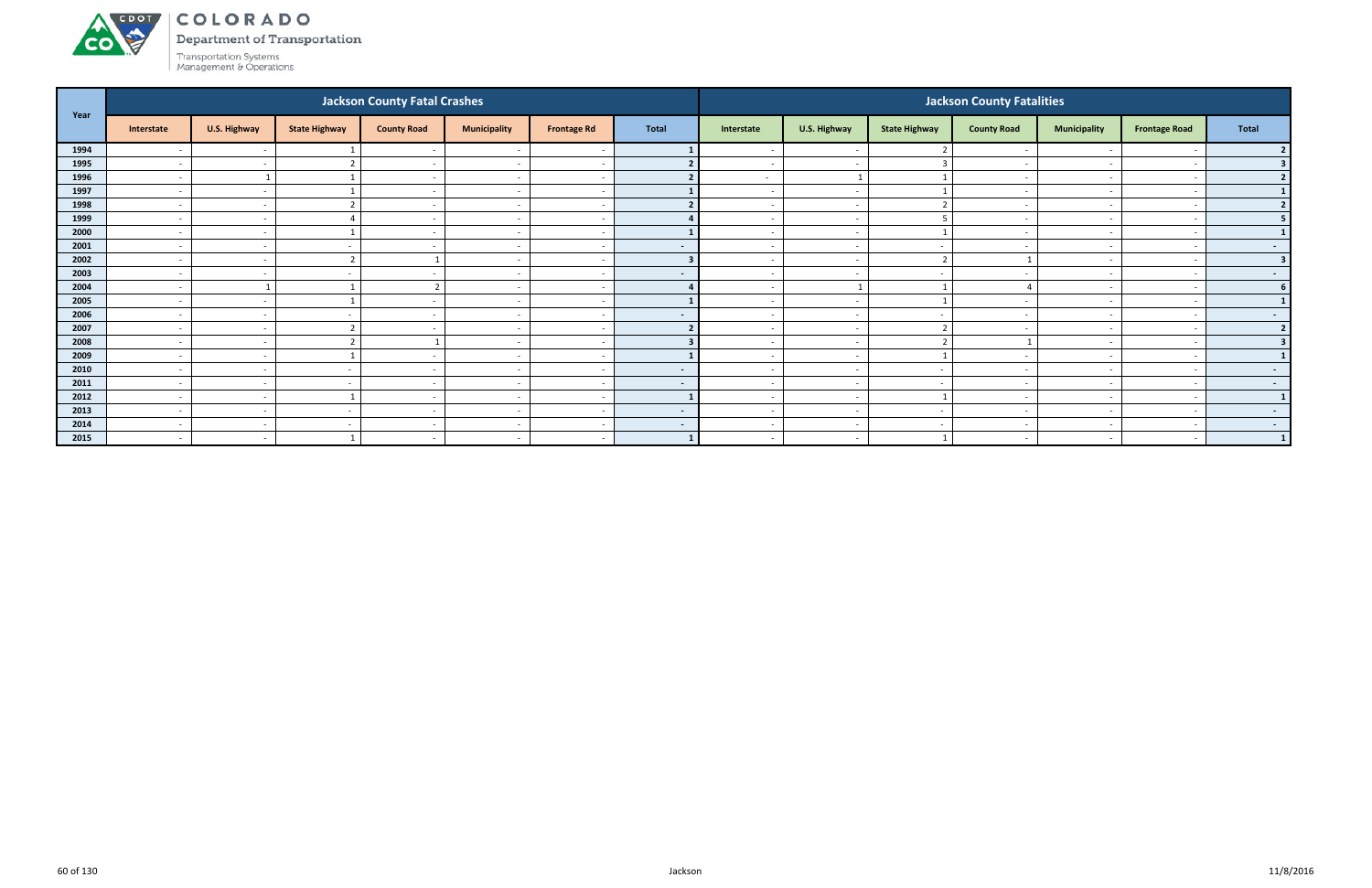

Department of Transportation

|      |                          |              |                          | <b>Jackson County Fatal Crashes</b> |                          |                          |                |                          |                          |                         | <b>Jackson County Fatalities</b> |                          |                      |                         |
|------|--------------------------|--------------|--------------------------|-------------------------------------|--------------------------|--------------------------|----------------|--------------------------|--------------------------|-------------------------|----------------------------------|--------------------------|----------------------|-------------------------|
| Year | Interstate               | U.S. Highway | <b>State Highway</b>     | <b>County Road</b>                  | <b>Municipality</b>      | <b>Frontage Rd</b>       | <b>Total</b>   | Interstate               | U.S. Highway             | <b>State Highway</b>    | <b>County Road</b>               | <b>Municipality</b>      | <b>Frontage Road</b> | Total                   |
| 1994 |                          | $\sim$       |                          | $\sim$                              |                          |                          |                |                          | $\overline{\phantom{a}}$ |                         |                                  |                          |                      |                         |
| 1995 | $\overline{\phantom{a}}$ | $\sim$       |                          | $\sim$                              | $\overline{\phantom{a}}$ | - -                      |                | $\overline{\phantom{a}}$ | $\sim$                   |                         | $\sim$                           | $\sim$                   |                      |                         |
| 1996 | $\overline{\phantom{a}}$ |              |                          | $\sim$                              | $\overline{\phantom{a}}$ |                          |                | $\sim$                   | $\overline{1}$           |                         |                                  | $\overline{\phantom{0}}$ |                      | $\overline{2}$          |
| 1997 | $\overline{\phantom{a}}$ | $\sim$       |                          | $\sim$                              | $\overline{\phantom{a}}$ |                          |                | $\sim$                   | $\overline{\phantom{a}}$ |                         |                                  | $\overline{\phantom{0}}$ |                      |                         |
| 1998 | $\overline{\phantom{0}}$ | $\sim$       |                          | $\overline{a}$                      | $\overline{\phantom{a}}$ | <u>т</u>                 |                |                          | $\overline{a}$           | $\mathbf{\overline{a}}$ |                                  |                          |                      | $\overline{2}$          |
| 1999 | $\overline{\phantom{a}}$ | $\sim$       |                          |                                     | $\overline{\phantom{a}}$ |                          |                |                          | $\sim$                   |                         |                                  |                          |                      |                         |
| 2000 | $\overline{\phantom{0}}$ | $\sim$       |                          | $\sim$                              | $\overline{\phantom{0}}$ | <u>т</u>                 |                | $\sim$                   | $\sim$                   |                         | $\overline{\phantom{a}}$         | $\overline{\phantom{a}}$ |                      |                         |
| 2001 | $\overline{\phantom{a}}$ | $\sim$       |                          | $\sim$                              | $\overline{\phantom{a}}$ | $\overline{\phantom{a}}$ | $\sim$         | $\sim$                   | $\sim$                   | $\sim$                  |                                  | $\overline{\phantom{0}}$ |                      | $\sim$ 100 $\mu$        |
| 2002 | $\overline{\phantom{a}}$ | $\sim$       |                          |                                     | $\overline{\phantom{a}}$ |                          | $\mathbf{R}$   | $\overline{\phantom{a}}$ | $\overline{\phantom{a}}$ | ຳ                       |                                  |                          |                      | $\overline{\mathbf{3}}$ |
| 2003 | $\overline{\phantom{a}}$ | $\sim$       |                          | $\overline{\phantom{a}}$            | $\overline{\phantom{a}}$ | $\overline{\phantom{a}}$ | $\sim$         | $\sim$                   | $\sim$                   | $\sim$                  |                                  | $\overline{\phantom{0}}$ |                      | $\sim$ 100 $\mu$        |
| 2004 | $\overline{\phantom{a}}$ |              |                          | n,                                  | $\overline{\phantom{a}}$ | - -                      |                |                          |                          |                         |                                  |                          |                      |                         |
| 2005 | $\overline{\phantom{0}}$ | $\sim$       |                          | $\sim$                              | $\overline{\phantom{a}}$ | <u>т</u>                 |                | $\sim$                   | $\sim$                   |                         | $\overline{\phantom{a}}$         | $\overline{\phantom{0}}$ |                      | 1                       |
| 2006 | $\overline{\phantom{a}}$ | $\sim$       |                          | $\sim$                              | $\overline{\phantom{a}}$ | $\sim$                   | $\sim$         | $\sim$                   | $\sim$                   | $\sim$                  |                                  | $\sim$                   |                      | $\sim$                  |
| 2007 | $\overline{\phantom{a}}$ | $\sim$       |                          |                                     | $\overline{\phantom{a}}$ |                          | $\mathbf{r}$   |                          | $\overline{\phantom{a}}$ | ຳ                       |                                  |                          |                      | $\overline{2}$          |
| 2008 | $\overline{\phantom{a}}$ | $\sim$       |                          |                                     | $\overline{\phantom{a}}$ | $\sim$                   |                | $\sim$                   | $\sim$                   | ຳ                       |                                  | $\overline{\phantom{0}}$ |                      | 3                       |
| 2009 |                          | $\sim$       |                          |                                     | $\overline{\phantom{a}}$ |                          |                |                          | $\sim$                   |                         |                                  |                          |                      |                         |
| 2010 | $\overline{\phantom{a}}$ | $\sim$       | $\overline{\phantom{a}}$ | $\sim$                              | $\overline{\phantom{a}}$ | $\overline{\phantom{a}}$ | $\blacksquare$ | $\sim$                   | $\sim$                   | $\sim$                  | $\overline{\phantom{a}}$         | $\overline{\phantom{0}}$ |                      | $\sim$ 100 $\mu$        |
| 2011 | $\overline{\phantom{a}}$ | $\sim$       |                          | $\sim$                              | $\overline{\phantom{a}}$ | $\overline{\phantom{a}}$ | $\sim$         | $\sim$                   | $\sim$                   | $\sim$                  |                                  | $\overline{\phantom{0}}$ |                      | $\sim$ 100 $\pm$        |
| 2012 | $\overline{\phantom{a}}$ | $\sim$       |                          | <b>.</b>                            | $\overline{\phantom{a}}$ |                          |                |                          | $\overline{\phantom{a}}$ |                         |                                  |                          |                      | $\mathbf{1}$            |
| 2013 | $\overline{\phantom{a}}$ | $\sim$       |                          | $\sim$                              | $\overline{\phantom{a}}$ | $\overline{\phantom{a}}$ | $\sim$         | $\sim$                   | $\overline{\phantom{a}}$ | $\sim$                  |                                  | $\overline{\phantom{0}}$ |                      | $\sim$ 100 $\mu$        |
| 2014 | $\overline{\phantom{a}}$ | $\sim$       |                          | $\overline{\phantom{a}}$            | $\overline{\phantom{a}}$ | <u>т</u>                 | $\sim$         | $\overline{\phantom{0}}$ | $\overline{a}$           | $\sim$                  |                                  |                          |                      | $\sim$                  |
| 2015 | $\overline{\phantom{0}}$ | $\sim$       |                          | $\sim$                              | $\overline{\phantom{a}}$ | $\overline{\phantom{a}}$ |                | $\sim$                   | $\sim$                   |                         |                                  | $\sim$                   |                      | $\mathbf{1}$            |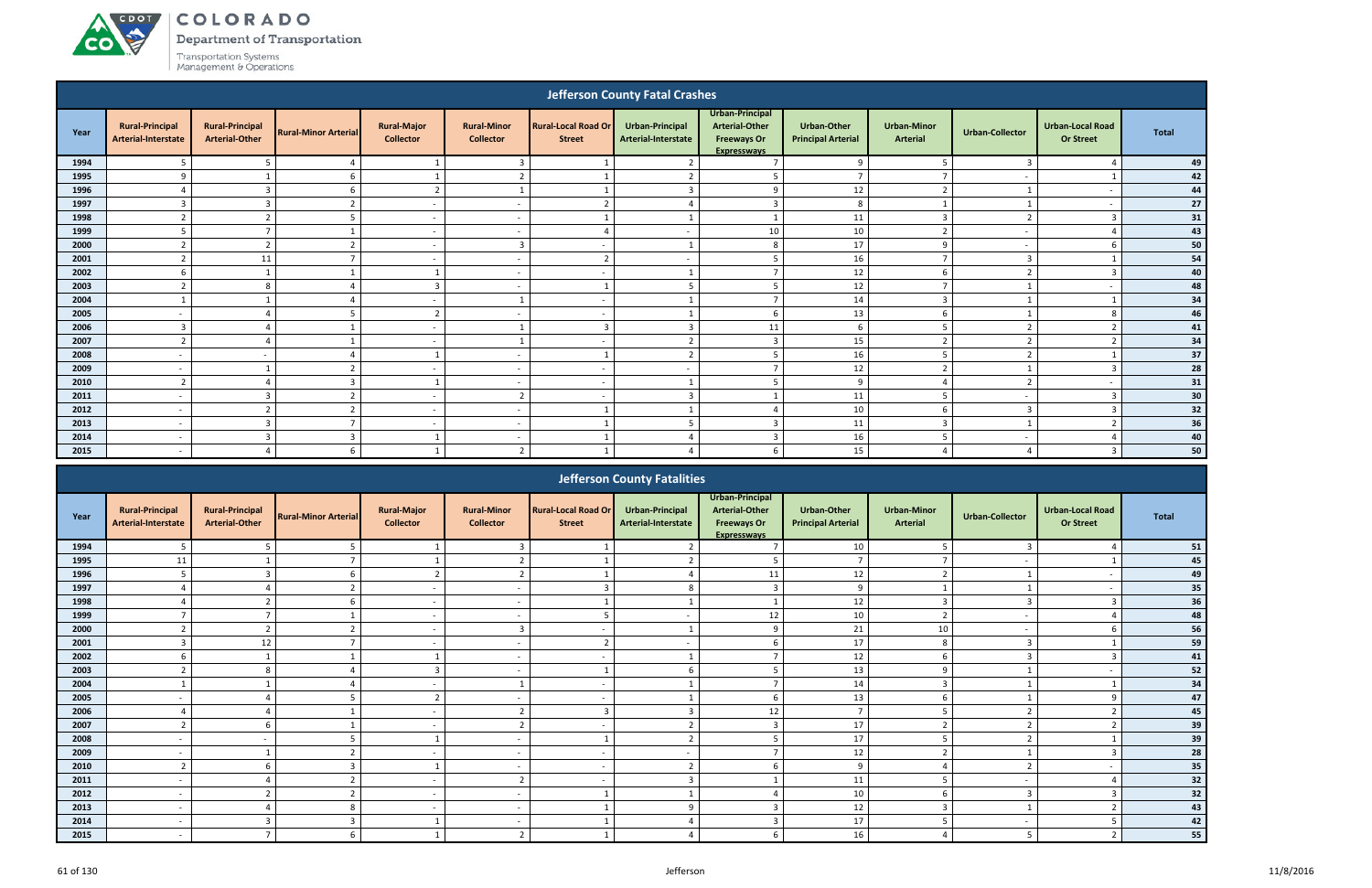A CDOT

**CO** 

Department of Transportation

|      |                                               |                                                 |                             |                                        |                                        |                                             | <b>Jefferson County Fatal Crashes</b>         |                                                                                      |                                                 |                                       |                          |                                             |              |
|------|-----------------------------------------------|-------------------------------------------------|-----------------------------|----------------------------------------|----------------------------------------|---------------------------------------------|-----------------------------------------------|--------------------------------------------------------------------------------------|-------------------------------------------------|---------------------------------------|--------------------------|---------------------------------------------|--------------|
| Year | <b>Rural-Principal</b><br>Arterial-Interstate | <b>Rural-Principal</b><br><b>Arterial-Other</b> | <b>Rural-Minor Arterial</b> | <b>Rural-Major</b><br><b>Collector</b> | <b>Rural-Minor</b><br><b>Collector</b> | <b>Rural-Local Road Or</b><br><b>Street</b> | <b>Urban-Principal</b><br>Arterial-Interstate | Urban-Principal<br><b>Arterial-Other</b><br><b>Freeways Or</b><br><b>Expressways</b> | <b>Urban-Other</b><br><b>Principal Arterial</b> | <b>Urban-Minor</b><br><b>Arterial</b> | <b>Urban-Collector</b>   | <b>Urban-Local Road</b><br><b>Or Street</b> | <b>Total</b> |
| 1994 | 5                                             | 5                                               | $\Delta$                    | 1                                      | $\overline{3}$                         |                                             | $\overline{2}$                                | $\overline{7}$                                                                       | 9                                               | 5                                     | $\overline{3}$           |                                             | 49           |
| 1995 | 9                                             |                                                 | 6                           |                                        | ຳ                                      |                                             |                                               | 5                                                                                    | $\overline{ }$                                  |                                       |                          |                                             | 42           |
| 1996 | $\Delta$                                      | $\overline{3}$                                  | 6                           | $\overline{2}$                         | $\mathbf{1}$                           |                                             | $\overline{3}$                                | 9                                                                                    | 12                                              | $\overline{2}$                        |                          | $\overline{a}$                              | 44           |
| 1997 | $\overline{3}$                                | $\overline{3}$                                  | $\overline{z}$              | $\sim$                                 | $\sim$                                 | $\mathcal{L}$                               |                                               | $\overline{3}$                                                                       | 8                                               | $\mathbf{1}$                          |                          | $\overline{a}$                              | 27           |
| 1998 | $\overline{2}$                                | ຳ                                               | 5                           | $\sim$                                 | $\overline{\phantom{a}}$               |                                             |                                               |                                                                                      | 11                                              | $\overline{3}$                        | $\mathbf{r}$             | $\overline{3}$                              | 31           |
| 1999 | 5                                             | $\overline{7}$                                  |                             | $\sim$                                 | $\overline{\phantom{a}}$               |                                             | $\overline{\phantom{a}}$                      | 10                                                                                   | 10                                              | $\overline{2}$                        | $\overline{\phantom{a}}$ |                                             | 43           |
| 2000 | $\mathbf{\hat{z}}$                            | $\overline{z}$                                  |                             | $\sim$                                 | $\overline{3}$                         | $\overline{\phantom{a}}$                    |                                               | 8                                                                                    | 17                                              | q                                     | $\overline{\phantom{a}}$ |                                             | 50           |
| 2001 | $\overline{2}$                                | 11                                              |                             | $\overline{\phantom{a}}$               | $\overline{\phantom{a}}$               | $\overline{\phantom{a}}$                    | $\sim$                                        | -5                                                                                   | 16                                              | $\overline{ }$                        | 3                        |                                             | 54           |
| 2002 | 6                                             |                                                 |                             |                                        | $\overline{\phantom{a}}$               | $\overline{\phantom{a}}$                    |                                               | 7                                                                                    | 12                                              | b                                     | ຳ                        | $\mathbf{3}$                                | 40           |
| 2003 | $\mathcal{L}$                                 | 8                                               |                             | $\overline{3}$                         | $\overline{a}$                         |                                             | 5                                             | 5                                                                                    | 12                                              | $\overline{7}$                        |                          | $\overline{\phantom{a}}$                    | 48           |
| 2004 |                                               |                                                 |                             | $\sim$                                 |                                        | $\overline{\phantom{a}}$                    |                                               | $\overline{z}$                                                                       | 14                                              | $\overline{3}$                        |                          |                                             | 34           |
| 2005 |                                               |                                                 |                             | $\overline{\phantom{a}}$               | $\overline{\phantom{a}}$               | $\overline{\phantom{a}}$                    |                                               | 6                                                                                    | 13                                              |                                       |                          |                                             | 46           |
| 2006 | $\overline{3}$                                |                                                 |                             | $\sim$                                 | $\mathbf{1}$                           | $\overline{3}$                              | 3                                             | 11                                                                                   | 6                                               | .5                                    | $\mathcal{P}$            | $\mathcal{D}$                               | 41           |
| 2007 | $\overline{2}$                                |                                                 |                             | $\sim$                                 | $\mathbf{1}$                           | $\overline{\phantom{a}}$                    | $\overline{2}$                                | $\overline{3}$                                                                       | 15                                              | $\overline{2}$                        | $\mathbf{D}$             | $\overline{2}$                              | 34           |
| 2008 | $\overline{\phantom{a}}$                      | $\overline{\phantom{a}}$                        |                             | $\overline{1}$                         | $\overline{\phantom{a}}$               |                                             | $\overline{z}$                                | 5                                                                                    | 16                                              | 5                                     | $\mathbf{r}$             |                                             | 37           |
| 2009 | $\overline{\phantom{a}}$                      |                                                 | $\mathbf{\Omega}$           | $\sim$                                 | $\overline{\phantom{a}}$               | $\overline{\phantom{a}}$                    | $\overline{\phantom{a}}$                      | $\overline{ }$                                                                       | 12                                              | $\overline{2}$                        |                          | $\overline{3}$                              | 28           |
| 2010 | $\overline{2}$                                |                                                 | $\overline{3}$              |                                        | $\overline{a}$                         | $\overline{\phantom{a}}$                    |                                               |                                                                                      | 9                                               |                                       | ຳ                        | $\overline{a}$                              | 31           |
| 2011 | $\overline{\phantom{a}}$                      | $\overline{3}$                                  | $\mathcal{P}$               | $\sim$                                 | $\overline{2}$                         | $\overline{\phantom{a}}$                    | $\mathbf{3}$                                  | $\overline{\mathbf{1}}$                                                              | 11                                              | 5                                     | $\sim$                   | $\overline{3}$                              | 30           |
| 2012 | $\overline{\phantom{a}}$                      | $\overline{2}$                                  | $\mathbf{\cdot}$            | $\sim$                                 | $\overline{a}$                         |                                             |                                               |                                                                                      | 10                                              | 6                                     | $\overline{3}$           | $\overline{3}$                              | 32           |
| 2013 | $\overline{\phantom{a}}$                      | $\overline{3}$                                  | $\overline{ }$              | $\sim$                                 | $\overline{\phantom{a}}$               |                                             | 5                                             | $\overline{3}$                                                                       | 11                                              | $\overline{3}$                        |                          | ຳ                                           | 36           |
| 2014 | $\overline{\phantom{a}}$                      | $\overline{3}$                                  | $\overline{3}$              |                                        | $\overline{\phantom{a}}$               |                                             |                                               | $\overline{\mathbf{3}}$                                                              | 16                                              | 5                                     | $\overline{\phantom{a}}$ |                                             | 40           |
| 2015 | $\qquad \qquad \blacksquare$                  |                                                 | 6                           |                                        | $\overline{2}$                         |                                             |                                               |                                                                                      | 15                                              |                                       |                          |                                             | 50           |
|      |                                               |                                                 |                             |                                        |                                        |                                             |                                               |                                                                                      |                                                 |                                       |                          |                                             |              |

|      |                                               |                                                 |                             |                                        |                                        |                                             | <b>Jefferson County Fatalities</b>            |                                                                                      |                                                 |                                       |                          |                                             |              |
|------|-----------------------------------------------|-------------------------------------------------|-----------------------------|----------------------------------------|----------------------------------------|---------------------------------------------|-----------------------------------------------|--------------------------------------------------------------------------------------|-------------------------------------------------|---------------------------------------|--------------------------|---------------------------------------------|--------------|
| Year | <b>Rural-Principal</b><br>Arterial-Interstate | <b>Rural-Principal</b><br><b>Arterial-Other</b> | <b>Rural-Minor Arterial</b> | <b>Rural-Major</b><br><b>Collector</b> | <b>Rural-Minor</b><br><b>Collector</b> | <b>Rural-Local Road Or</b><br><b>Street</b> | <b>Urban-Principal</b><br>Arterial-Interstate | Urban-Principal<br><b>Arterial-Other</b><br><b>Freeways Or</b><br><b>Expresswavs</b> | <b>Urban-Other</b><br><b>Principal Arterial</b> | <b>Urban-Minor</b><br><b>Arterial</b> | <b>Urban-Collector</b>   | <b>Urban-Local Road</b><br><b>Or Street</b> | <b>Total</b> |
| 1994 | .5                                            |                                                 |                             |                                        | $\overline{3}$                         |                                             | $\overline{2}$                                |                                                                                      | 10                                              |                                       | $\mathbf{3}$             |                                             | 51           |
| 1995 | 11                                            |                                                 |                             |                                        |                                        |                                             |                                               |                                                                                      |                                                 |                                       |                          |                                             | 45           |
| 1996 | -5                                            |                                                 |                             | ി                                      | $\overline{2}$                         |                                             | $\Delta$                                      | 11                                                                                   | 12                                              |                                       |                          |                                             | 49           |
| 1997 |                                               |                                                 |                             | $\overline{\phantom{0}}$               | $\overline{\phantom{a}}$               |                                             | 8                                             |                                                                                      | 9                                               |                                       |                          |                                             | 35           |
| 1998 |                                               |                                                 |                             | $\sim$                                 | $\overline{\phantom{a}}$               |                                             |                                               |                                                                                      | 12                                              |                                       |                          |                                             | 36           |
| 1999 |                                               |                                                 |                             |                                        |                                        |                                             |                                               | 12                                                                                   | 10                                              |                                       |                          |                                             | 48           |
| 2000 |                                               |                                                 |                             | $\sim$                                 | $\overline{3}$                         |                                             |                                               |                                                                                      | 21                                              | 10                                    | $\overline{\phantom{a}}$ |                                             | 56           |
| 2001 | $\overline{3}$                                | 12                                              |                             | $\sim$                                 | $\overline{\phantom{a}}$               |                                             |                                               |                                                                                      | 17                                              | 8                                     | $\overline{3}$           |                                             | 59           |
| 2002 | 6                                             |                                                 |                             |                                        | $\overline{\phantom{a}}$               |                                             |                                               |                                                                                      | 12                                              | 6                                     | $\overline{a}$           |                                             | 41           |
| 2003 |                                               |                                                 |                             |                                        |                                        |                                             |                                               |                                                                                      | 13                                              | $\Omega$                              |                          |                                             | $52\,$       |
| 2004 |                                               |                                                 |                             | $\overline{\phantom{0}}$               |                                        |                                             |                                               |                                                                                      | 14                                              | $\mathbf{r}$                          |                          |                                             | 34           |
| 2005 |                                               |                                                 |                             | ຳ                                      | $\overline{\phantom{a}}$               |                                             |                                               | h                                                                                    | 13                                              | 6                                     |                          |                                             | 47           |
| 2006 |                                               |                                                 |                             |                                        | $\mathcal{L}$<br>$\epsilon$            |                                             |                                               | 12                                                                                   | $\overline{7}$                                  |                                       |                          |                                             | 45           |
| 2007 |                                               |                                                 |                             | $\overline{\phantom{0}}$               | $\overline{2}$                         |                                             |                                               |                                                                                      | 17                                              |                                       |                          |                                             | 39           |
| 2008 |                                               |                                                 |                             |                                        |                                        |                                             |                                               |                                                                                      | 17                                              |                                       |                          |                                             | 39           |
| 2009 | $\overline{\phantom{a}}$                      |                                                 |                             | $\sim$                                 | $\overline{\phantom{a}}$               |                                             | $\overline{\phantom{a}}$                      |                                                                                      | 12                                              |                                       |                          |                                             | 28           |
| 2010 | $\mathbf{\overline{a}}$                       |                                                 |                             |                                        | $\overline{\phantom{a}}$               |                                             | $\mathcal{L}$                                 |                                                                                      | 9                                               |                                       |                          |                                             | 35           |
| 2011 |                                               |                                                 |                             | $\sim$                                 | $\overline{2}$                         |                                             |                                               |                                                                                      | 11                                              |                                       |                          |                                             | 32           |
| 2012 |                                               |                                                 |                             | $\sim$                                 | $\overline{\phantom{a}}$               |                                             |                                               |                                                                                      | 10                                              |                                       |                          |                                             | 32           |
| 2013 | $\overline{\phantom{0}}$                      |                                                 |                             | $\sim$                                 | $\overline{\phantom{a}}$               |                                             | $\alpha$                                      |                                                                                      | 12                                              | $\mathbf{R}$                          |                          |                                             | 43           |
| 2014 | $\overline{\phantom{0}}$                      | $\mathbf{3}$                                    | 3                           |                                        | $\overline{\phantom{a}}$               |                                             |                                               |                                                                                      | 17                                              |                                       |                          |                                             | 42           |
| 2015 |                                               |                                                 |                             |                                        | $\overline{2}$                         |                                             |                                               |                                                                                      | 16                                              |                                       | 5                        |                                             | 55           |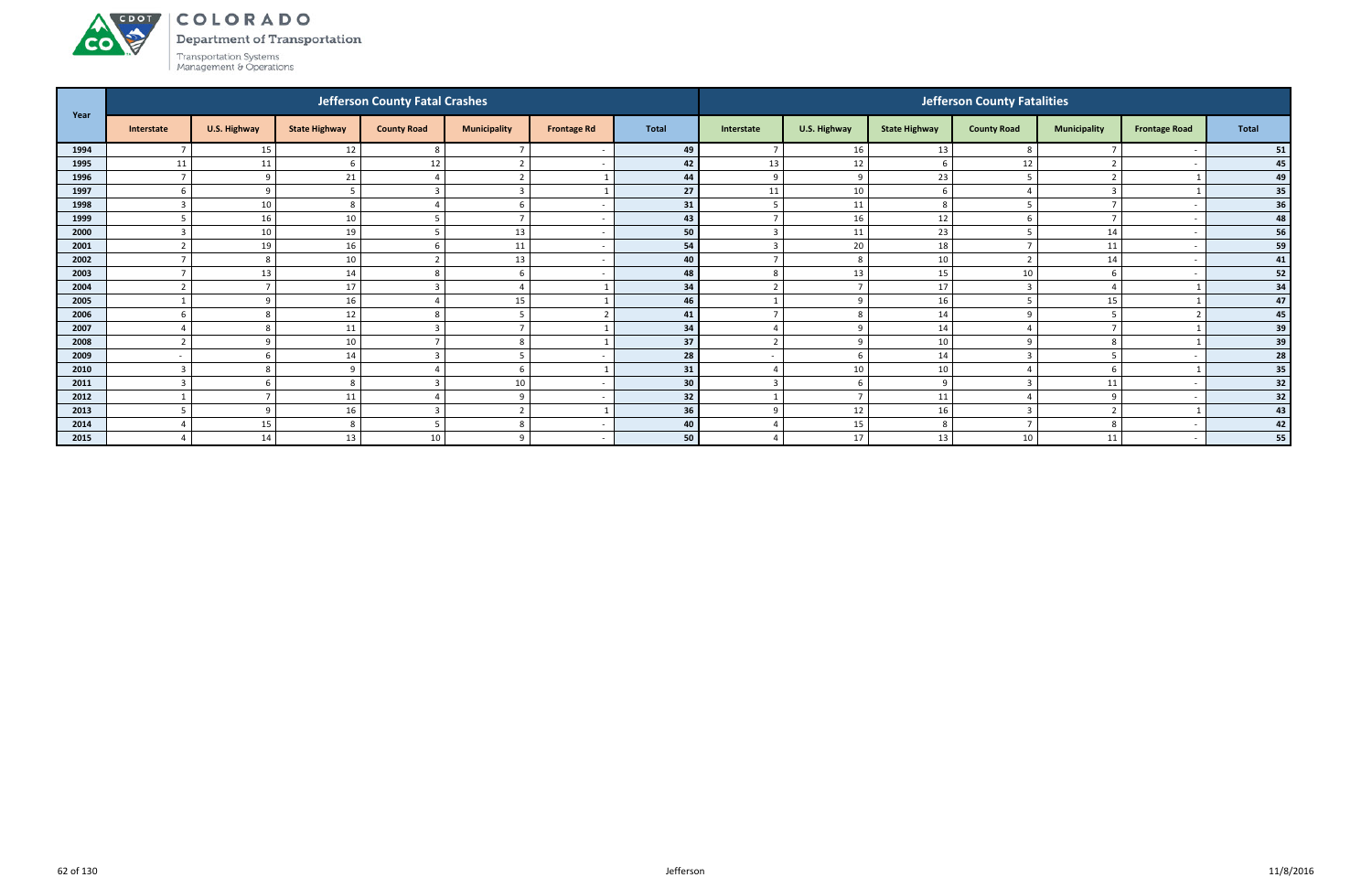Department of Transportation



ACDOL

|      |                          |                          |                      | <b>Jefferson County Fatal Crashes</b> |                     |                          |              |                    |                |                      | <b>Jefferson County Fatalities</b> |                     |                      |       |
|------|--------------------------|--------------------------|----------------------|---------------------------------------|---------------------|--------------------------|--------------|--------------------|----------------|----------------------|------------------------------------|---------------------|----------------------|-------|
| Year | Interstate               | U.S. Highway             | <b>State Highway</b> | <b>County Road</b>                    | <b>Municipality</b> | <b>Frontage Rd</b>       | <b>Total</b> | Interstate         | U.S. Highway   | <b>State Highway</b> | <b>County Road</b>                 | <b>Municipality</b> | <b>Frontage Road</b> | Total |
| 1994 |                          | 15                       | 12                   | 8                                     | $\overline{ }$      |                          | 49           | $\overline{ }$     | 16             | 13                   | 8                                  |                     |                      | 51    |
| 1995 | 11                       | 11                       |                      | 12                                    | $\mathbf{r}$        |                          | 42           | 13                 | 12             | -6                   | 12                                 | $\overline{2}$      |                      | 45    |
| 1996 | $\overline{7}$           | q                        | 21                   |                                       | 2                   |                          | 44           | 9                  | -9             | 23                   | Е.                                 | $\overline{2}$      |                      | 49    |
| 1997 |                          | 9                        |                      |                                       | $\overline{3}$      |                          | 27           | 11                 | 10             | b                    |                                    | $\overline{3}$      |                      | 35    |
| 1998 |                          | 10                       |                      |                                       | 6                   |                          | 31           | 5                  | 11             | 8                    |                                    |                     |                      | 36    |
| 1999 |                          | 16                       | 10                   |                                       | $\overline{7}$      | $\overline{\phantom{a}}$ | 43           | $\overline{7}$     | 16             | 12                   |                                    | $\overline{7}$      |                      | 48    |
| 2000 |                          | 10                       | 19                   |                                       | 13                  |                          | 50           | ຳ                  | 11             | 23                   |                                    | 14                  |                      | 56    |
| 2001 |                          | 19                       | 16                   |                                       | 11                  | - -                      | 54           |                    | 20             | 18                   |                                    | 11                  |                      | 59    |
| 2002 |                          | -8                       | 10                   |                                       | 13                  | $\overline{\phantom{a}}$ | 40           | $\overline{ }$     | 8              | 10                   |                                    | 14                  |                      | 41    |
| 2003 | $\overline{ }$           | 13                       | 14                   | 8                                     | 6                   |                          | 48           | 8                  | 13             | 15                   | 10                                 | 6                   |                      | 52    |
| 2004 |                          | $\overline{ }$           | 17                   |                                       | Δ                   |                          | 34           |                    |                | 17                   |                                    |                     |                      | 34    |
| 2005 |                          | q                        | 16                   |                                       | 15                  |                          | 46           |                    | $\mathbf{q}$   | 16                   |                                    | 15                  |                      | 47    |
| 2006 |                          | 8                        | 12                   |                                       | 5                   |                          | 41           | $\overline{ }$     | 8              | 14                   |                                    | 5                   |                      | 45    |
| 2007 |                          | -8                       | 11                   |                                       | $\overline{7}$      |                          | 34           | $\overline{4}$     | 9              | 14                   |                                    | $\overline{7}$      |                      | 39    |
| 2008 |                          | q                        | 10                   |                                       | 8                   |                          | 37           | $\mathbf{\hat{z}}$ | $\mathbf{q}$   | 10                   |                                    | 8                   |                      | 39    |
| 2009 | $\overline{\phantom{a}}$ | 6                        | 14                   |                                       | 5                   |                          | 28           |                    | -6             | 14                   |                                    | 5                   |                      | 28    |
| 2010 |                          | 8                        |                      |                                       | 6                   |                          | 31           | $\overline{A}$     | 10             | 10                   |                                    | 6                   |                      | 35    |
| 2011 |                          |                          |                      |                                       | 10                  |                          | 30           | ຳ                  | <b>6</b>       | $\Omega$             |                                    | 11                  |                      | 32    |
| 2012 |                          | $\overline{\phantom{a}}$ | 11                   |                                       | 9                   | <u>т</u>                 | 32           |                    | $\overline{7}$ | 11                   |                                    | 9                   |                      | 32    |
| 2013 |                          | -9                       | 16                   |                                       | $\overline{2}$      |                          | 36           | 9                  | 12             | 16                   |                                    | $\overline{2}$      |                      | 43    |
| 2014 |                          | 15                       |                      |                                       | 8                   | - -                      | 40           |                    | 15             | 8                    |                                    | 8                   |                      | 42    |
| 2015 |                          | 14                       | 13                   | 10                                    | 9                   |                          | 50           | $\Delta$           | 17             | 13                   | 10                                 | 11                  |                      | 55    |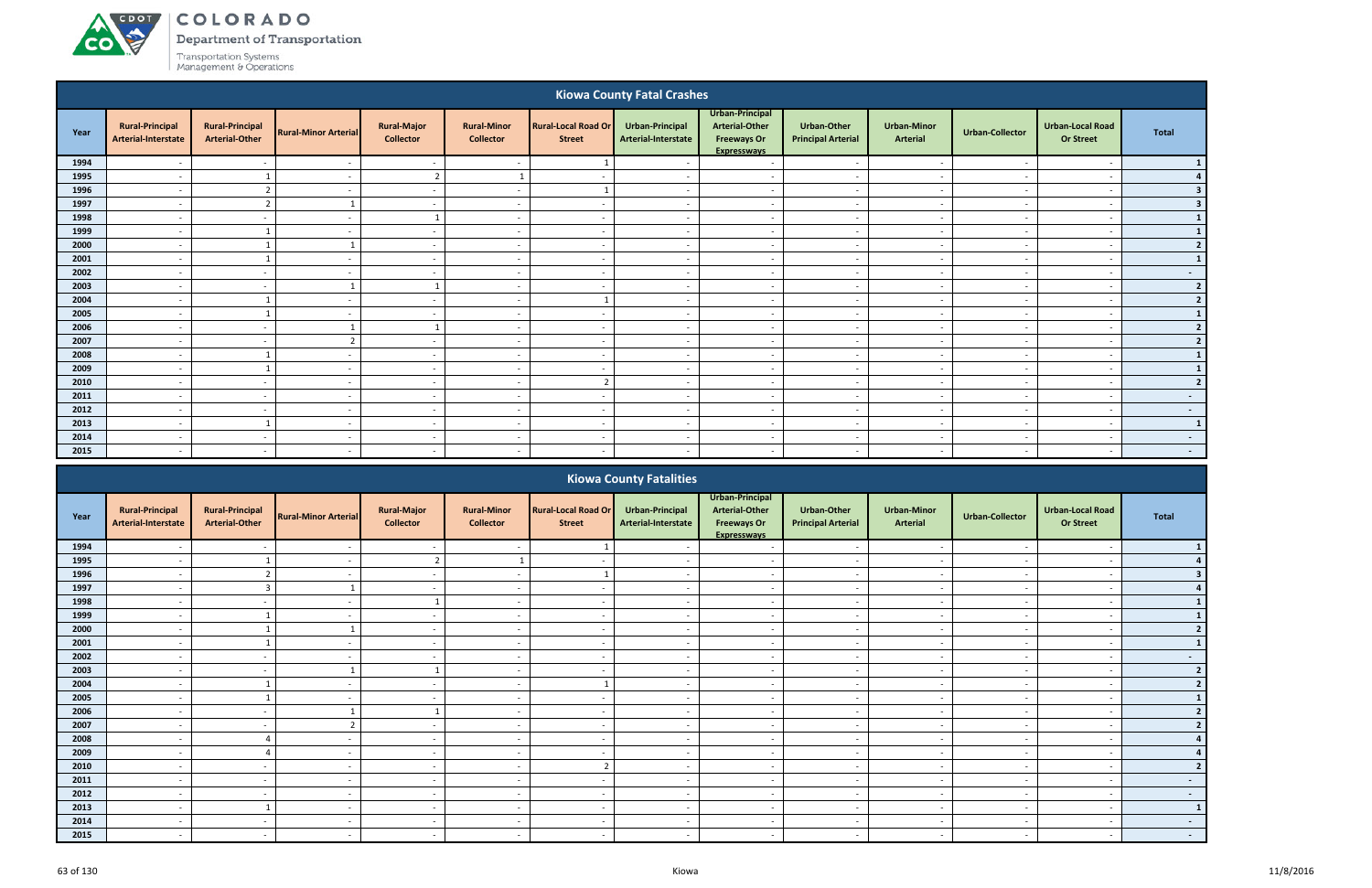#### ACDOT COLORADO

**CO** 

Department of Transportation

|      |                                               |                                                 |                             |                                        |                                        |                                             | <b>Kiowa County Fatal Crashes</b>             |                                                                                      |                                                 |                                       |                          |                                             |                |
|------|-----------------------------------------------|-------------------------------------------------|-----------------------------|----------------------------------------|----------------------------------------|---------------------------------------------|-----------------------------------------------|--------------------------------------------------------------------------------------|-------------------------------------------------|---------------------------------------|--------------------------|---------------------------------------------|----------------|
| Year | <b>Rural-Principal</b><br>Arterial-Interstate | <b>Rural-Principal</b><br><b>Arterial-Other</b> | <b>Rural-Minor Arterial</b> | <b>Rural-Major</b><br><b>Collector</b> | <b>Rural-Minor</b><br><b>Collector</b> | <b>Rural-Local Road Or</b><br><b>Street</b> | <b>Urban-Principal</b><br>Arterial-Interstate | Urban-Principal<br><b>Arterial-Other</b><br><b>Freeways Or</b><br><b>Expressways</b> | <b>Urban-Other</b><br><b>Principal Arterial</b> | <b>Urban-Minor</b><br><b>Arterial</b> | <b>Urban-Collector</b>   | <b>Urban-Local Road</b><br><b>Or Street</b> | <b>Total</b>   |
| 1994 |                                               |                                                 |                             | $\sim$                                 | $\overline{a}$                         | - 1                                         |                                               | $\overline{\phantom{a}}$                                                             | $\overline{\phantom{a}}$                        | $\overline{\phantom{a}}$              |                          | $\overline{\phantom{a}}$                    | $\mathbf{1}$   |
| 1995 |                                               |                                                 |                             | $\overline{2}$                         | $\mathbf{1}$                           | $\overline{\phantom{a}}$                    |                                               | $\overline{\phantom{0}}$                                                             | $\overline{\phantom{a}}$                        | $\overline{\phantom{0}}$              |                          | $\overline{\phantom{0}}$                    | 4              |
| 1996 | $\overline{a}$                                | $\overline{2}$                                  | $\sim$                      | $\sim$                                 | $\sim$                                 | -1                                          | $\sim$                                        | $\overline{a}$                                                                       | $\overline{\phantom{a}}$                        | $\sim$                                | $\sim$                   | $\overline{\phantom{a}}$                    | 3              |
| 1997 |                                               | $\overline{2}$                                  |                             | $\sim$                                 | $\overline{\phantom{a}}$               | $\overline{\phantom{a}}$                    | $\overline{\phantom{a}}$                      | $\overline{a}$                                                                       | $\sim$                                          | $\sim$                                | $\overline{\phantom{a}}$ | $\overline{\phantom{a}}$                    | 3 <sup>1</sup> |
| 1998 | $\overline{a}$                                | $\sim$                                          | $\overline{\phantom{a}}$    | $\mathbf{1}$                           | $\overline{\phantom{a}}$               | $\sim$                                      | $\sim$                                        | $\overline{a}$                                                                       | $\overline{a}$                                  | $\sim$                                | $\sim$                   | $\overline{\phantom{a}}$                    | $\mathbf{1}$   |
| 1999 |                                               |                                                 | $\sim$                      | $\sim$                                 | $\overline{\phantom{a}}$               | $\sim$                                      |                                               | $\overline{\phantom{a}}$                                                             | $\sim$                                          | $\sim$                                |                          | $\overline{\phantom{a}}$                    | $\vert$ 1      |
| 2000 |                                               | -1                                              |                             | $\sim$                                 | $\overline{\phantom{a}}$               | $\overline{\phantom{a}}$                    |                                               | $\overline{\phantom{a}}$                                                             | $\overline{\phantom{a}}$                        | $\sim$                                |                          | $\overline{\phantom{a}}$                    | 2              |
| 2001 |                                               |                                                 | $\overline{\phantom{a}}$    | $\sim$                                 | $\overline{\phantom{a}}$               | $\sim$                                      | $\overline{\phantom{a}}$                      | $\sim$                                                                               | $\overline{\phantom{a}}$                        | $\sim$                                | $\overline{\phantom{a}}$ | $\overline{\phantom{a}}$                    | $\vert$ 1      |
| 2002 |                                               | $\sim$                                          | $\sim$                      | $\sim$                                 | $\overline{a}$                         | $\sim$                                      |                                               | $\overline{\phantom{a}}$                                                             | $\sim$                                          | $\sim$                                |                          | $\overline{\phantom{a}}$                    | $\sim$ $-$     |
| 2003 |                                               | $\sim$ $-$                                      | $\mathbf{1}$                | $\mathbf{1}$                           | $\overline{\phantom{a}}$               | $\overline{\phantom{a}}$                    |                                               | $\overline{\phantom{a}}$                                                             | $\overline{a}$                                  | $\sim$                                |                          | $\overline{\phantom{a}}$                    | 2              |
| 2004 |                                               |                                                 | - 1                         | $\sim$                                 | $\overline{\phantom{a}}$               |                                             |                                               | $\overline{\phantom{a}}$                                                             | $\overline{\phantom{a}}$                        | $\sim$                                |                          | $\overline{\phantom{a}}$                    | $\mathbf{2}$   |
| 2005 | $\overline{\phantom{a}}$                      | $\overline{\mathbf{1}}$                         | $\overline{\phantom{a}}$    | $\sim$                                 | $\overline{a}$                         | $\overline{\phantom{a}}$                    | $\sim$                                        | $\overline{a}$                                                                       | $\sim$                                          | $\sim$                                | $\overline{\phantom{a}}$ | $\overline{\phantom{a}}$                    | $\mathbf{1}$   |
| 2006 | $\overline{\phantom{a}}$                      | $\sim$                                          | $\mathbf{1}$                | -1                                     | $\overline{\phantom{a}}$               | $\sim$                                      | $\overline{\phantom{a}}$                      | $\overline{a}$                                                                       | $\overline{\phantom{a}}$                        | $\sim$                                | $\overline{\phantom{a}}$ | $\overline{\phantom{a}}$                    | 2              |
| 2007 | $\overline{\phantom{a}}$                      | $\overline{\phantom{a}}$                        | $\overline{2}$              | $\sim$                                 | $\overline{\phantom{a}}$               | $\overline{\phantom{a}}$                    |                                               | $\overline{a}$                                                                       | $\overline{\phantom{a}}$                        | $\sim$                                |                          | $\overline{\phantom{a}}$                    | $2 \mid$       |
| 2008 |                                               | -1                                              |                             | $\sim$                                 | $\overline{\phantom{a}}$               | $\sim$                                      |                                               | $\overline{\phantom{a}}$                                                             | $\overline{\phantom{a}}$                        | $\sim$                                |                          | $\overline{\phantom{a}}$                    | $\vert$ 1      |
| 2009 |                                               |                                                 |                             | $\sim$                                 | $\overline{a}$                         | $\sim$                                      |                                               | $\overline{\phantom{a}}$                                                             | $\sim$                                          | $\sim$                                |                          | $\overline{\phantom{a}}$                    | $\vert$ 1      |
| 2010 |                                               | $\sim$                                          | $\sim$                      | $\sim$                                 | $\overline{a}$                         | $\overline{2}$                              | $\sim$                                        | $\overline{a}$                                                                       | $\sim$                                          | $\sim$                                | $\overline{\phantom{a}}$ | $\overline{a}$                              | 2              |
| 2011 |                                               | $\sim$                                          |                             | $\sim$                                 | $\overline{\phantom{a}}$               | $\overline{\phantom{0}}$                    |                                               | $\overline{\phantom{a}}$                                                             | $\overline{\phantom{a}}$                        | $\sim$                                |                          | $\overline{\phantom{a}}$                    | $\sim$         |
| 2012 |                                               | $\sim$                                          | $\sim$                      | $\sim$                                 | $\overline{a}$                         | $\overline{\phantom{a}}$                    |                                               | $\overline{\phantom{a}}$                                                             | $\sim$                                          | $\sim$                                |                          | $\overline{\phantom{a}}$                    | $\sim$ $-$     |
| 2013 | $\overline{\phantom{a}}$                      |                                                 | $\sim$                      | $\sim$                                 | $\overline{\phantom{0}}$               | $\sim$                                      | $\overline{\phantom{a}}$                      | $\overline{\phantom{a}}$                                                             | $\sim$                                          | $\sim$                                | $\overline{\phantom{a}}$ | $\overline{\phantom{a}}$                    | $\vert$ 1      |
| 2014 | $\overline{\phantom{a}}$                      | $\sim$                                          | $\sim$                      | $\sim$                                 | $\sim$                                 | $\sim$                                      | $\sim$                                        | $\overline{a}$                                                                       | $\sim$                                          | $\sim$                                | $\sim$                   | $\overline{\phantom{a}}$                    | $\sim$         |
| 2015 | $\overline{\phantom{a}}$                      | $\overline{\phantom{a}}$                        | $\sim$                      | $\sim$                                 | $\overline{\phantom{a}}$               |                                             | $\overline{\phantom{a}}$                      | $\overline{\phantom{0}}$                                                             | $\overline{\phantom{a}}$                        | $\sim$                                | $\overline{\phantom{a}}$ | $\overline{\phantom{a}}$                    | $\sim 100$     |
|      |                                               |                                                 |                             |                                        |                                        |                                             | <b>Kiowa County Fatalities</b>                | Ilrhan-Princinal                                                                     |                                                 |                                       |                          |                                             |                |

|      |                                               |                                                 |                             |                                        |                                        |                                             | <b>INVITA COMITY LANGUAGO</b>          |                                                                                      |                                                 |                                       |                 |                                             |              |
|------|-----------------------------------------------|-------------------------------------------------|-----------------------------|----------------------------------------|----------------------------------------|---------------------------------------------|----------------------------------------|--------------------------------------------------------------------------------------|-------------------------------------------------|---------------------------------------|-----------------|---------------------------------------------|--------------|
| Year | <b>Rural-Principal</b><br>Arterial-Interstate | <b>Rural-Principal</b><br><b>Arterial-Other</b> | <b>Rural-Minor Arterial</b> | <b>Rural-Major</b><br><b>Collector</b> | <b>Rural-Minor</b><br><b>Collector</b> | <b>Rural-Local Road Or</b><br><b>Street</b> | Urban-Principal<br>Arterial-Interstate | Urban-Principal<br><b>Arterial-Other</b><br><b>Freeways Or</b><br><b>Expresswavs</b> | <b>Urban-Other</b><br><b>Principal Arterial</b> | <b>Urban-Minor</b><br><b>Arterial</b> | Urban-Collector | <b>Urban-Local Road</b><br><b>Or Street</b> | Total        |
| 1994 |                                               |                                                 |                             |                                        |                                        |                                             |                                        |                                                                                      |                                                 |                                       |                 |                                             |              |
| 1995 |                                               |                                                 |                             |                                        |                                        | $\overline{\phantom{0}}$                    |                                        | $\overline{\phantom{a}}$                                                             | $\overline{\phantom{0}}$                        | $\overline{\phantom{a}}$              |                 | $\overline{\phantom{a}}$                    |              |
| 1996 | $\overline{\phantom{0}}$                      |                                                 |                             | $\sim$                                 | $\overline{a}$                         |                                             |                                        | $\overline{\phantom{0}}$                                                             | $\overline{\phantom{a}}$                        | $\overline{\phantom{a}}$              |                 | $\qquad \qquad \blacksquare$                |              |
| 1997 |                                               | $\overline{a}$                                  |                             | $\sim$                                 | $\overline{\phantom{a}}$               | $\overline{\phantom{a}}$                    |                                        | $\overline{\phantom{0}}$                                                             | $\overline{\phantom{a}}$                        | $\overline{\phantom{a}}$              |                 | $\overline{\phantom{a}}$                    |              |
| 1998 |                                               |                                                 |                             |                                        |                                        | $\overline{\phantom{0}}$                    |                                        | $\overline{\phantom{a}}$                                                             |                                                 |                                       |                 |                                             |              |
| 1999 |                                               |                                                 |                             | $\sim$                                 | $\overline{\phantom{a}}$               | $\sim$                                      |                                        | $\overline{\phantom{a}}$                                                             | $\overline{\phantom{a}}$                        | $\overline{\phantom{a}}$              |                 | $\overline{\phantom{a}}$                    |              |
| 2000 |                                               |                                                 |                             | $\sim$                                 |                                        | $\overline{\phantom{0}}$                    |                                        | $\overline{\phantom{a}}$                                                             |                                                 |                                       |                 | $\overline{\phantom{a}}$                    |              |
| 2001 |                                               |                                                 |                             | $\sim$                                 |                                        |                                             |                                        |                                                                                      |                                                 |                                       |                 |                                             |              |
| 2002 | $\overline{\phantom{0}}$                      | $\sim$                                          |                             | $\sim$                                 | $\overline{a}$                         | $\sim$                                      | $\overline{\phantom{a}}$               | $\sim$                                                                               | $\sim$                                          | $\sim$                                |                 | $\overline{\phantom{a}}$                    | $\sim$       |
| 2003 | $\overline{\phantom{0}}$                      |                                                 |                             |                                        | $\overline{a}$                         | $\sim$                                      |                                        | $\overline{\phantom{0}}$                                                             | $\overline{\phantom{a}}$                        | $\overline{\phantom{a}}$              |                 | $\overline{\phantom{a}}$                    |              |
| 2004 |                                               |                                                 |                             | $\sim$                                 |                                        |                                             |                                        | $\overline{\phantom{a}}$                                                             |                                                 |                                       |                 | $\overline{\phantom{a}}$                    |              |
| 2005 |                                               |                                                 |                             | $\sim$                                 | $\overline{\phantom{0}}$               | $\overline{\phantom{0}}$                    |                                        | $\overline{\phantom{0}}$                                                             |                                                 | $\overline{\phantom{a}}$              |                 | $\overline{\phantom{a}}$                    |              |
| 2006 | $\overline{\phantom{0}}$                      |                                                 |                             |                                        | $\overline{\phantom{a}}$               | $\sim$                                      |                                        | $\overline{\phantom{a}}$                                                             | $\overline{\phantom{a}}$                        | $\overline{\phantom{a}}$              |                 | $\overline{\phantom{a}}$                    |              |
| 2007 |                                               |                                                 |                             | $\sim$                                 |                                        | $\overline{\phantom{a}}$                    |                                        | $\overline{\phantom{a}}$                                                             |                                                 |                                       |                 | $\overline{\phantom{a}}$                    |              |
| 2008 |                                               |                                                 |                             | $\sim$                                 | $\overline{\phantom{a}}$               | $\overline{\phantom{0}}$                    |                                        | $\overline{\phantom{0}}$                                                             | $\overline{\phantom{a}}$                        | $\overline{\phantom{a}}$              |                 | $\overline{\phantom{a}}$                    |              |
| 2009 | $\overline{\phantom{0}}$                      |                                                 | $\overline{\phantom{a}}$    | $\sim$                                 | $\overline{\phantom{a}}$               | $\sim$                                      | $\overline{\phantom{a}}$               | $\overline{\phantom{a}}$                                                             | $\sim$                                          | $\sim$                                |                 | $\overline{\phantom{a}}$                    |              |
| 2010 |                                               |                                                 |                             | $\sim$                                 |                                        | $\overline{\phantom{a}}$                    |                                        | $\overline{\phantom{a}}$                                                             | $\overline{\phantom{a}}$                        | $\overline{\phantom{a}}$              |                 | $\overline{\phantom{a}}$                    |              |
| 2011 |                                               |                                                 |                             | $\sim$                                 |                                        | $\overline{\phantom{a}}$                    |                                        | $\overline{\phantom{a}}$                                                             |                                                 |                                       |                 | $\overline{\phantom{a}}$                    | $\sim$       |
| 2012 |                                               |                                                 |                             | $\sim$                                 | $\overline{\phantom{a}}$               | $\sim$                                      |                                        | $\overline{\phantom{a}}$                                                             | $\overline{\phantom{a}}$                        | $\overline{\phantom{a}}$              |                 | $\overline{\phantom{a}}$                    | $\sim$       |
| 2013 |                                               |                                                 |                             | $\sim$                                 |                                        | $\overline{\phantom{0}}$                    |                                        |                                                                                      |                                                 |                                       |                 |                                             | $\mathbf{1}$ |
| 2014 |                                               |                                                 |                             | $\sim$                                 |                                        | $\overline{\phantom{a}}$                    |                                        | $\overline{\phantom{a}}$                                                             |                                                 | $\overline{\phantom{a}}$              |                 |                                             | $\sim$       |
| 2015 | $\overline{\phantom{0}}$                      | $\overline{a}$                                  |                             | $\sim$                                 | $\overline{a}$                         | $\sim$                                      |                                        | $\overline{\phantom{a}}$                                                             | $\overline{\phantom{a}}$                        | $\overline{\phantom{a}}$              |                 |                                             | $\sim 100$   |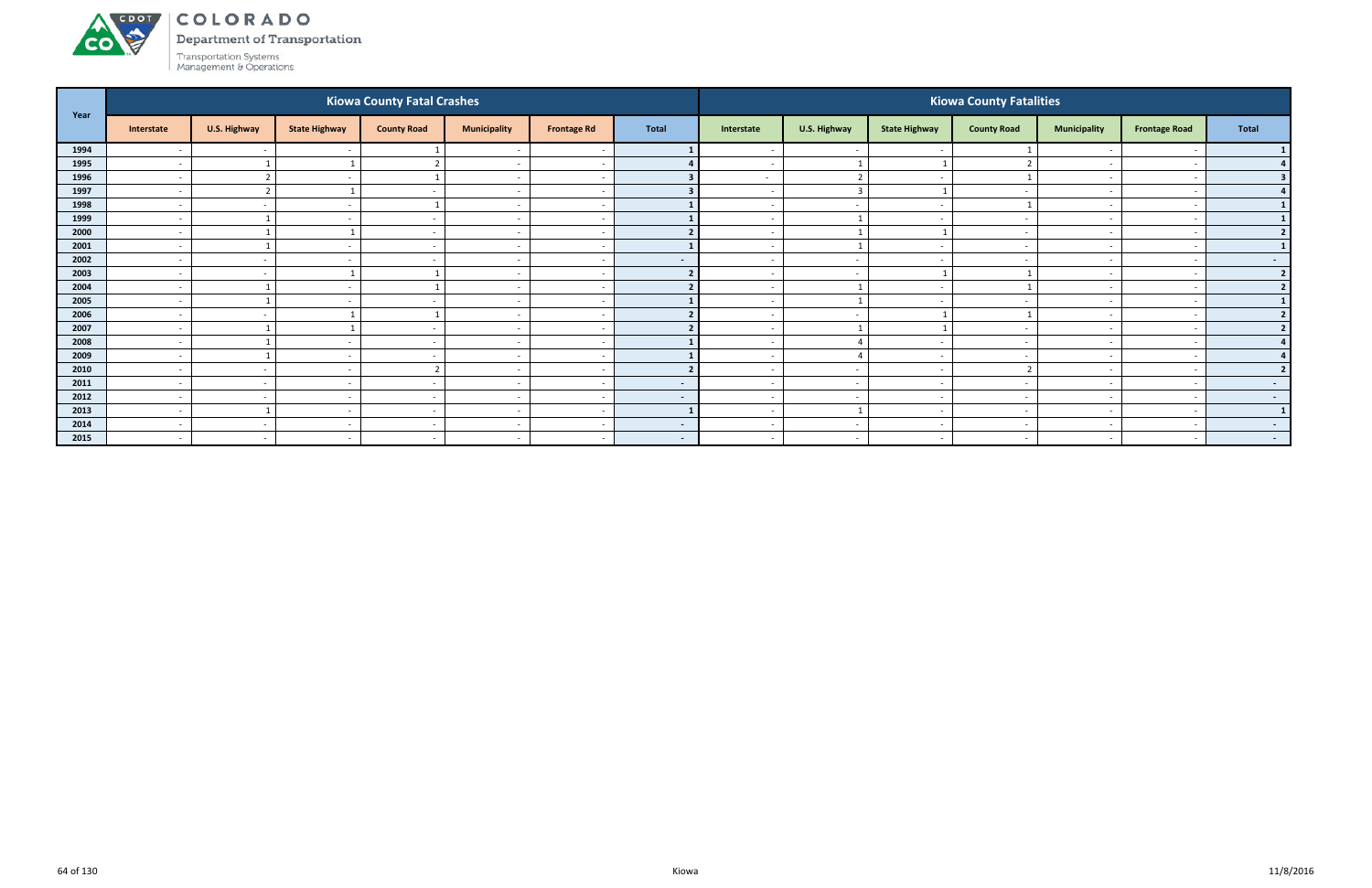### ACDOL COLORADO

**CO** 

Department of Transportation

|      |                          |                          |                          | <b>Kiowa County Fatal Crashes</b> |                          |                          |              |                          |                          |                          | <b>Kiowa County Fatalities</b> |                          |                      |                  |
|------|--------------------------|--------------------------|--------------------------|-----------------------------------|--------------------------|--------------------------|--------------|--------------------------|--------------------------|--------------------------|--------------------------------|--------------------------|----------------------|------------------|
| Year | Interstate               | U.S. Highway             | <b>State Highway</b>     | <b>County Road</b>                | <b>Municipality</b>      | <b>Frontage Rd</b>       | <b>Total</b> | Interstate               | U.S. Highway             | <b>State Highway</b>     | <b>County Road</b>             | <b>Municipality</b>      | <b>Frontage Road</b> | Total            |
| 1994 |                          | $\sim$                   |                          |                                   |                          |                          |              |                          | $\sim$                   |                          |                                |                          |                      |                  |
| 1995 | $\overline{\phantom{a}}$ |                          |                          | ຳ                                 | $\overline{\phantom{a}}$ | $\overline{\phantom{a}}$ |              | $\sim$                   | $\mathbf{1}$             |                          |                                | $\overline{\phantom{0}}$ |                      |                  |
| 1996 | $\overline{\phantom{a}}$ | $\overline{\phantom{a}}$ |                          |                                   | $\overline{\phantom{a}}$ |                          |              | $\sim$                   | $\overline{2}$           | $\sim$                   |                                |                          |                      |                  |
| 1997 | $\overline{\phantom{a}}$ | ຳ                        |                          |                                   | $\overline{\phantom{a}}$ |                          |              | $\overline{\phantom{a}}$ | $\overline{3}$           |                          |                                |                          |                      |                  |
| 1998 | $\overline{\phantom{a}}$ | $\sim$                   | $\overline{\phantom{a}}$ |                                   | $\overline{\phantom{a}}$ | $\overline{\phantom{a}}$ |              | $\sim$                   | $\overline{a}$           | $\sim$                   |                                | $\overline{\phantom{0}}$ |                      |                  |
| 1999 | $\overline{\phantom{a}}$ |                          |                          |                                   | $\overline{\phantom{a}}$ |                          |              |                          |                          |                          |                                |                          |                      |                  |
| 2000 | $\overline{\phantom{a}}$ |                          |                          | $\sim$                            | $\overline{\phantom{a}}$ | $\sim$                   |              | $\sim$                   | $\mathbf{1}$             |                          | $\sim$                         | $\overline{\phantom{0}}$ |                      | $\overline{2}$   |
| 2001 | $\overline{\phantom{a}}$ |                          |                          | $\sim$                            | $\overline{\phantom{a}}$ | $\overline{\phantom{a}}$ |              | $\sim$                   | $\overline{1}$           | $\sim$                   |                                | $\sim$                   |                      |                  |
| 2002 | $\overline{\phantom{a}}$ | $\sim$                   |                          |                                   | $\overline{\phantom{a}}$ |                          | $\sim$       | $\overline{\phantom{a}}$ | $\sim$                   | $\sim$                   |                                | $\overline{\phantom{0}}$ |                      | $\sim$ $-$       |
| 2003 | $\overline{\phantom{a}}$ | $\sim$                   |                          |                                   | $\overline{\phantom{a}}$ | $\overline{\phantom{a}}$ |              |                          | $\sim$                   |                          |                                |                          |                      | $\overline{2}$   |
| 2004 | $\overline{\phantom{a}}$ |                          |                          |                                   | $\overline{\phantom{a}}$ |                          |              |                          |                          |                          |                                |                          |                      | $\overline{2}$   |
| 2005 | $\overline{\phantom{a}}$ |                          | $\overline{\phantom{a}}$ | $\sim$                            | $\overline{\phantom{a}}$ | <u>т</u>                 |              | $\sim$                   | $\mathbf{1}$             | $\sim$                   |                                | $\overline{\phantom{0}}$ |                      |                  |
| 2006 | $\overline{\phantom{a}}$ | $\sim$                   |                          |                                   | $\overline{\phantom{a}}$ | $\overline{\phantom{a}}$ |              | $\sim$                   | $\sim$                   |                          |                                | $\sim$                   |                      | $\overline{2}$   |
| 2007 | $\overline{\phantom{a}}$ |                          |                          |                                   | $\overline{\phantom{a}}$ |                          |              |                          | $\mathbf{1}$             |                          |                                |                          |                      | $\overline{2}$   |
| 2008 | $\overline{\phantom{a}}$ |                          | $\overline{\phantom{a}}$ | $\sim$                            | $\overline{\phantom{a}}$ | $\overline{\phantom{a}}$ |              | $\sim$                   | $\Delta$                 | $\sim$                   |                                | $\overline{\phantom{0}}$ |                      |                  |
| 2009 |                          |                          |                          |                                   | $\overline{\phantom{a}}$ |                          |              |                          |                          | <u>т</u>                 |                                |                          |                      |                  |
| 2010 | $\overline{\phantom{a}}$ | $\sim$                   | $\overline{\phantom{a}}$ | ຳ                                 | $\overline{\phantom{a}}$ | - -                      |              | $\sim$                   | $\overline{\phantom{a}}$ | $\sim$                   |                                | $\overline{\phantom{0}}$ |                      | $\overline{2}$   |
| 2011 | $\overline{\phantom{a}}$ | $\sim$                   |                          | $\sim$                            | $\overline{\phantom{a}}$ | $\overline{\phantom{a}}$ | $\sim$       | $\sim$                   | $\sim$                   | $\sim$                   |                                | $\sim$                   |                      | $\sim$ 100 $\pm$ |
| 2012 | $\overline{\phantom{a}}$ | $\sim$                   | $\overline{\phantom{a}}$ |                                   | $\overline{\phantom{a}}$ |                          | $\sim$       |                          | $\overline{\phantom{a}}$ | $\overline{\phantom{a}}$ |                                |                          |                      | $\sim$ 100 $\mu$ |
| 2013 | $\overline{\phantom{a}}$ |                          | $\overline{\phantom{a}}$ | $\sim$                            | $\overline{\phantom{a}}$ | <u>т</u>                 |              | $\sim$                   | - 1                      | $\sim$                   |                                |                          |                      | $\mathbf{1}$     |
| 2014 | $\overline{\phantom{a}}$ | $\sim$                   |                          | $\overline{\phantom{a}}$          | $\overline{\phantom{a}}$ | - -                      | $\sim$       | $\overline{\phantom{0}}$ | $\sim$                   | $\sim$                   |                                |                          |                      | $\sim$ 100 $\mu$ |
| 2015 | $\overline{\phantom{a}}$ | $\sim$                   | $\overline{\phantom{0}}$ | $\sim$                            | $\overline{\phantom{a}}$ | $\overline{\phantom{a}}$ | $\sim 100$   | $\sim$                   | $\overline{a}$           | $\sim$                   | <b>.</b>                       | $\sim$                   |                      | $\sim$ 100 $\mu$ |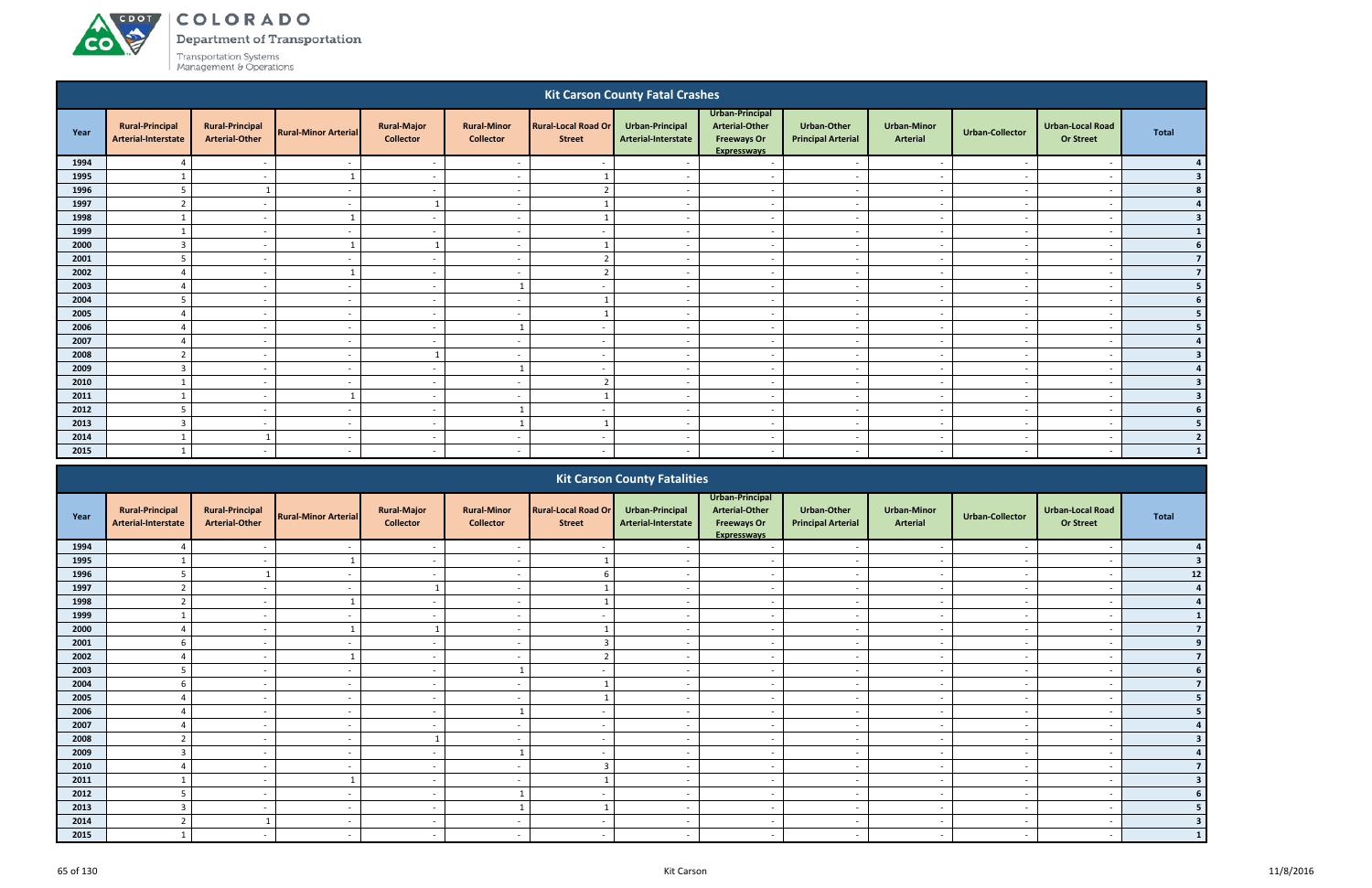ACDOT

**CO** 

Department of Transportation

|      |                                               |                                                 |                             |                                        |                                        |                                             | <b>Kit Carson County Fatal Crashes</b> |                                                                               |                                                 |                                       |                          |                                             |                |
|------|-----------------------------------------------|-------------------------------------------------|-----------------------------|----------------------------------------|----------------------------------------|---------------------------------------------|----------------------------------------|-------------------------------------------------------------------------------|-------------------------------------------------|---------------------------------------|--------------------------|---------------------------------------------|----------------|
| Year | <b>Rural-Principal</b><br>Arterial-Interstate | <b>Rural-Principal</b><br><b>Arterial-Other</b> | <b>Rural-Minor Arterial</b> | <b>Rural-Major</b><br><b>Collector</b> | <b>Rural-Minor</b><br><b>Collector</b> | <b>Rural-Local Road Or</b><br><b>Street</b> | Urban-Principal<br>Arterial-Interstate | Urban-Principal<br><b>Arterial-Other</b><br><b>Freeways Or</b><br>Expressways | <b>Urban-Other</b><br><b>Principal Arterial</b> | <b>Urban-Minor</b><br><b>Arterial</b> | Urban-Collector          | <b>Urban-Local Road</b><br><b>Or Street</b> | <b>Total</b>   |
| 1994 | $\Delta$                                      | $\overline{\phantom{a}}$                        | . .                         | $\sim$                                 | $\overline{\phantom{a}}$               |                                             |                                        | $\overline{\phantom{a}}$                                                      | $\overline{\phantom{a}}$                        | $\overline{\phantom{a}}$              | $\overline{\phantom{a}}$ |                                             |                |
| 1995 |                                               | $\overline{\phantom{a}}$                        |                             | $\sim$                                 |                                        |                                             |                                        | $\overline{a}$                                                                |                                                 | . .                                   |                          |                                             | 3              |
| 1996 | 5                                             |                                                 |                             | $\sim$                                 | $\overline{\phantom{0}}$               | $\mathbf{\Omega}$                           |                                        | $\overline{\phantom{a}}$                                                      | $\overline{\phantom{a}}$                        | $\sim$                                |                          | $\overline{\phantom{a}}$                    |                |
| 1997 |                                               | $\overline{\phantom{a}}$                        |                             |                                        | $\overline{\phantom{a}}$               |                                             |                                        | $\overline{\phantom{a}}$                                                      | $\overline{\phantom{a}}$                        | $\overline{\phantom{a}}$              |                          |                                             |                |
| 1998 |                                               | $\sim$                                          |                             | $\sim$                                 | $\sim$                                 |                                             | $\sim$                                 | $\sim$                                                                        | $\sim$                                          | $\sim$                                | $\sim$                   | $\overline{\phantom{a}}$                    |                |
| 1999 |                                               | $\sim$                                          | $\overline{\phantom{a}}$    | $\sim$                                 | $\overline{\phantom{a}}$               |                                             | $\sim$                                 | $\sim$                                                                        | $\overline{\phantom{a}}$                        | $\sim$                                | $\sim$                   | $\overline{\phantom{a}}$                    |                |
| 2000 | 3                                             | $\sim$                                          |                             |                                        | $\overline{\phantom{a}}$               |                                             | $\overline{\phantom{a}}$               | $\overline{a}$                                                                | $\overline{\phantom{a}}$                        | $\sim$                                | $\overline{\phantom{a}}$ | $\overline{\phantom{a}}$                    | 6              |
| 2001 | 5                                             | $\sim$                                          |                             | $\sim$                                 | $\overline{\phantom{a}}$               | ຳ                                           |                                        | $\overline{\phantom{a}}$                                                      | $\overline{\phantom{a}}$                        | $\sim$                                |                          | $\overline{\phantom{a}}$                    | $\overline{7}$ |
| 2002 |                                               | $\sim$                                          |                             | $\sim$                                 |                                        | $\mathbf{\hat{}}$                           |                                        | $\overline{a}$                                                                |                                                 | $\overline{\phantom{a}}$              |                          | $\overline{\phantom{a}}$                    | $\overline{7}$ |
| 2003 | $\Delta$                                      | $\sim$                                          | . .                         | $\sim$                                 |                                        | . .                                         | $\overline{\phantom{a}}$               | $\overline{a}$                                                                | $\sim$                                          | $\sim$                                | $\overline{\phantom{a}}$ | $\overline{\phantom{a}}$                    |                |
| 2004 | 5                                             | $\overline{\phantom{a}}$                        |                             | $\sim$                                 | $\overline{\phantom{a}}$               |                                             |                                        | $\overline{\phantom{a}}$                                                      | $\sim$                                          | $\sim$                                | $\sim$                   | $\overline{\phantom{a}}$                    |                |
| 2005 | $\Delta$                                      | $\sim$                                          | $\overline{\phantom{a}}$    | $\sim$                                 | $\sim$                                 |                                             | $\overline{\phantom{a}}$               | $\overline{a}$                                                                | $\overline{\phantom{a}}$                        | $\sim$                                | $\overline{\phantom{a}}$ | $\overline{\phantom{a}}$                    |                |
| 2006 | $\Delta$                                      | $\overline{\phantom{a}}$                        | <b>.</b>                    | $\sim$                                 | $\mathbf{1}$                           | $\overline{\phantom{a}}$                    | $\overline{\phantom{a}}$               | $\sim$                                                                        | $\overline{\phantom{a}}$                        | $\sim$                                | $\overline{\phantom{a}}$ | $\overline{\phantom{a}}$                    |                |
| 2007 |                                               | $\overline{\phantom{a}}$                        |                             | $\sim$                                 |                                        |                                             |                                        | $\overline{a}$                                                                |                                                 | $\overline{\phantom{a}}$              |                          |                                             |                |
| 2008 | $\overline{2}$                                | $\overline{\phantom{a}}$                        |                             |                                        | $\overline{\phantom{a}}$               |                                             |                                        | $\overline{\phantom{a}}$                                                      | $\overline{\phantom{a}}$                        | $\overline{\phantom{a}}$              |                          |                                             |                |
| 2009 | $\overline{3}$                                | $\sim$                                          |                             | $\sim$                                 |                                        | $\overline{\phantom{a}}$                    |                                        | $\overline{a}$                                                                | $\sim$                                          | $\sim$                                | $\sim$                   | $\overline{\phantom{a}}$                    |                |
| 2010 |                                               | $\sim$                                          | <b>.</b>                    | $\sim$                                 | $\overline{\phantom{0}}$               | $\mathbf{\Omega}$                           | $\sim$                                 | $\sim$                                                                        | $\overline{\phantom{a}}$                        | $\sim$                                | $\sim$                   | $\overline{\phantom{a}}$                    |                |
| 2011 |                                               | $\sim$                                          |                             | $\sim$                                 | $\overline{\phantom{a}}$               |                                             | $\sim$                                 | $\overline{a}$                                                                | $\overline{\phantom{a}}$                        | $\sim$                                | $\sim$                   | $\overline{\phantom{a}}$                    |                |
| 2012 | 5                                             | $\sim$                                          | <b>.</b>                    | $\sim$                                 |                                        |                                             | $\overline{\phantom{a}}$               | $\overline{a}$                                                                | $\overline{\phantom{a}}$                        | $\sim$                                | $\overline{\phantom{a}}$ | $\overline{\phantom{a}}$                    |                |
| 2013 | $\overline{3}$                                | $\overline{\phantom{a}}$                        |                             | $\sim$                                 | $\mathbf{1}$                           |                                             |                                        | $\overline{a}$                                                                | $\overline{\phantom{a}}$                        | $\sim$                                | $\overline{\phantom{a}}$ | $\overline{\phantom{a}}$                    |                |
| 2014 |                                               |                                                 | $\overline{\phantom{a}}$    | $\sim$                                 | $\overline{\phantom{a}}$               |                                             |                                        | $\overline{\phantom{a}}$                                                      | $\overline{\phantom{a}}$                        | $\overline{\phantom{a}}$              | ٠.                       | $\overline{\phantom{a}}$                    | $\mathbf{z}$   |
| 2015 |                                               |                                                 | $\overline{\phantom{a}}$    | $\sim$                                 | $\overline{\phantom{a}}$               |                                             | $\sim$                                 | $\overline{\phantom{a}}$                                                      | $\overline{\phantom{a}}$                        | $\sim$                                | $\sim$                   |                                             |                |
|      |                                               |                                                 |                             |                                        |                                        |                                             |                                        |                                                                               |                                                 |                                       |                          |                                             |                |

|      |                                               |                                                 |                             |                                        |                                        |                                             | <b>Kit Carson County Fatalities</b>    |                                                                                      |                                                 |                                       |                          |                                             |              |
|------|-----------------------------------------------|-------------------------------------------------|-----------------------------|----------------------------------------|----------------------------------------|---------------------------------------------|----------------------------------------|--------------------------------------------------------------------------------------|-------------------------------------------------|---------------------------------------|--------------------------|---------------------------------------------|--------------|
| Year | <b>Rural-Principal</b><br>Arterial-Interstate | <b>Rural-Principal</b><br><b>Arterial-Other</b> | <b>Rural-Minor Arterial</b> | <b>Rural-Major</b><br><b>Collector</b> | <b>Rural-Minor</b><br><b>Collector</b> | <b>Rural-Local Road Or</b><br><b>Street</b> | Urban-Principal<br>Arterial-Interstate | Urban-Principal<br><b>Arterial-Other</b><br><b>Freeways Or</b><br><b>Expressways</b> | <b>Urban-Other</b><br><b>Principal Arterial</b> | <b>Urban-Minor</b><br><b>Arterial</b> | <b>Urban-Collector</b>   | <b>Urban-Local Road</b><br><b>Or Street</b> | <b>Total</b> |
| 1994 |                                               |                                                 |                             |                                        |                                        |                                             |                                        |                                                                                      |                                                 |                                       |                          |                                             |              |
| 1995 |                                               |                                                 |                             |                                        |                                        |                                             |                                        |                                                                                      |                                                 |                                       |                          |                                             |              |
| 1996 |                                               |                                                 |                             | $\sim$                                 | $\overline{\phantom{a}}$               |                                             |                                        | $\overline{\phantom{a}}$                                                             | $\overline{\phantom{a}}$                        | $\sim$                                | $\overline{\phantom{a}}$ | $\overline{\phantom{a}}$                    | 12           |
| 1997 | $\overline{2}$                                |                                                 |                             |                                        | $\overline{\phantom{a}}$               |                                             |                                        | $\overline{\phantom{a}}$                                                             | $\overline{\phantom{a}}$                        | $\overline{\phantom{a}}$              |                          | $\overline{\phantom{0}}$                    |              |
| 1998 | $\mathbf{r}$                                  |                                                 |                             | $\overline{\phantom{a}}$               | $\overline{\phantom{a}}$               |                                             |                                        |                                                                                      | $\overline{\phantom{a}}$                        | $\overline{\phantom{a}}$              |                          |                                             |              |
| 1999 |                                               | $\overline{\phantom{a}}$                        |                             | $\overline{\phantom{a}}$               | $\overline{\phantom{a}}$               |                                             |                                        | $\overline{\phantom{a}}$                                                             | $\overline{\phantom{a}}$                        | $\overline{\phantom{a}}$              |                          | $\overline{\phantom{a}}$                    |              |
| 2000 |                                               |                                                 |                             |                                        | $\overline{\phantom{a}}$               |                                             |                                        | $\overline{\phantom{0}}$                                                             | $\overline{\phantom{a}}$                        | $\overline{\phantom{a}}$              |                          |                                             |              |
| 2001 |                                               | $\sim$                                          | $\overline{\phantom{a}}$    | $\sim$                                 | $\overline{\phantom{a}}$               |                                             | $\overline{\phantom{a}}$               | $\overline{\phantom{a}}$                                                             | $\overline{\phantom{a}}$                        | $\sim$                                | $\sim$                   | $\overline{\phantom{a}}$                    |              |
| 2002 |                                               |                                                 |                             | $\overline{\phantom{a}}$               | $\overline{\phantom{a}}$               |                                             |                                        | $\overline{\phantom{a}}$                                                             | $\overline{\phantom{a}}$                        | $\sim$                                |                          | $\overline{\phantom{a}}$                    |              |
| 2003 |                                               |                                                 |                             | $\overline{\phantom{0}}$               |                                        |                                             |                                        |                                                                                      | $\overline{\phantom{a}}$                        | $\overline{\phantom{a}}$              |                          | $\overline{\phantom{0}}$                    |              |
| 2004 |                                               |                                                 |                             | $\overline{\phantom{a}}$               |                                        |                                             |                                        |                                                                                      | $\overline{\phantom{a}}$                        | $\qquad \qquad \blacksquare$          |                          |                                             |              |
| 2005 |                                               |                                                 |                             | $\overline{\phantom{a}}$               | $\overline{\phantom{0}}$               |                                             |                                        | $\overline{\phantom{0}}$                                                             | $\overline{\phantom{a}}$                        | $\overline{\phantom{0}}$              |                          |                                             |              |
| 2006 |                                               | $\sim$                                          | $\sim$                      | $\sim$                                 |                                        | $\overline{\phantom{a}}$                    | $\sim$                                 | $\overline{a}$                                                                       | $\overline{\phantom{a}}$                        | $\sim$                                | $\sim$                   | $\overline{\phantom{a}}$                    |              |
| 2007 |                                               |                                                 |                             | $\overline{\phantom{a}}$               | $\overline{\phantom{a}}$               |                                             |                                        | $\overline{\phantom{a}}$                                                             | $\overline{\phantom{a}}$                        | $\overline{\phantom{a}}$              |                          |                                             |              |
| 2008 | $\mathbf{a}$                                  | $\overline{\phantom{a}}$                        |                             |                                        | $\overline{\phantom{a}}$               |                                             |                                        | $\overline{\phantom{a}}$                                                             | $\overline{\phantom{a}}$                        | $\sim$                                |                          | $\overline{\phantom{a}}$                    |              |
| 2009 |                                               |                                                 |                             | $\overline{\phantom{0}}$               |                                        |                                             |                                        | $\overline{\phantom{a}}$                                                             | $\overline{\phantom{a}}$                        | $\overline{\phantom{0}}$              |                          | $\overline{\phantom{0}}$                    |              |
| 2010 |                                               | $\overline{\phantom{a}}$                        |                             | $\overline{\phantom{a}}$               | $\overline{\phantom{a}}$               |                                             |                                        | $\overline{\phantom{a}}$                                                             | $\overline{\phantom{a}}$                        | $\overline{\phantom{0}}$              |                          | $\overline{\phantom{a}}$                    |              |
| 2011 |                                               | $\overline{\phantom{a}}$                        |                             | $\overline{\phantom{a}}$               | $\overline{\phantom{a}}$               |                                             |                                        | $\overline{\phantom{a}}$                                                             | $\overline{\phantom{a}}$                        | $\overline{\phantom{a}}$              | $\overline{\phantom{a}}$ | $\overline{\phantom{a}}$                    |              |
| 2012 |                                               |                                                 |                             | $\overline{\phantom{a}}$               |                                        |                                             |                                        | $\overline{\phantom{a}}$                                                             | $\sim$                                          | $\sim$                                |                          |                                             |              |
| 2013 | $\mathbf{3}$                                  | $\overline{\phantom{a}}$                        |                             | $\sim$                                 |                                        |                                             |                                        | $\overline{\phantom{a}}$                                                             | $\overline{\phantom{a}}$                        | $\sim$                                | $\overline{\phantom{a}}$ | $\overline{\phantom{a}}$                    |              |
| 2014 |                                               |                                                 |                             | $\overline{\phantom{a}}$               |                                        |                                             |                                        |                                                                                      | $\overline{\phantom{0}}$                        | $\overline{\phantom{0}}$              |                          |                                             |              |
| 2015 |                                               |                                                 |                             | $\overline{\phantom{a}}$               | $\overline{\phantom{a}}$               |                                             |                                        |                                                                                      | $\overline{\phantom{a}}$                        | $\overline{\phantom{0}}$              |                          |                                             |              |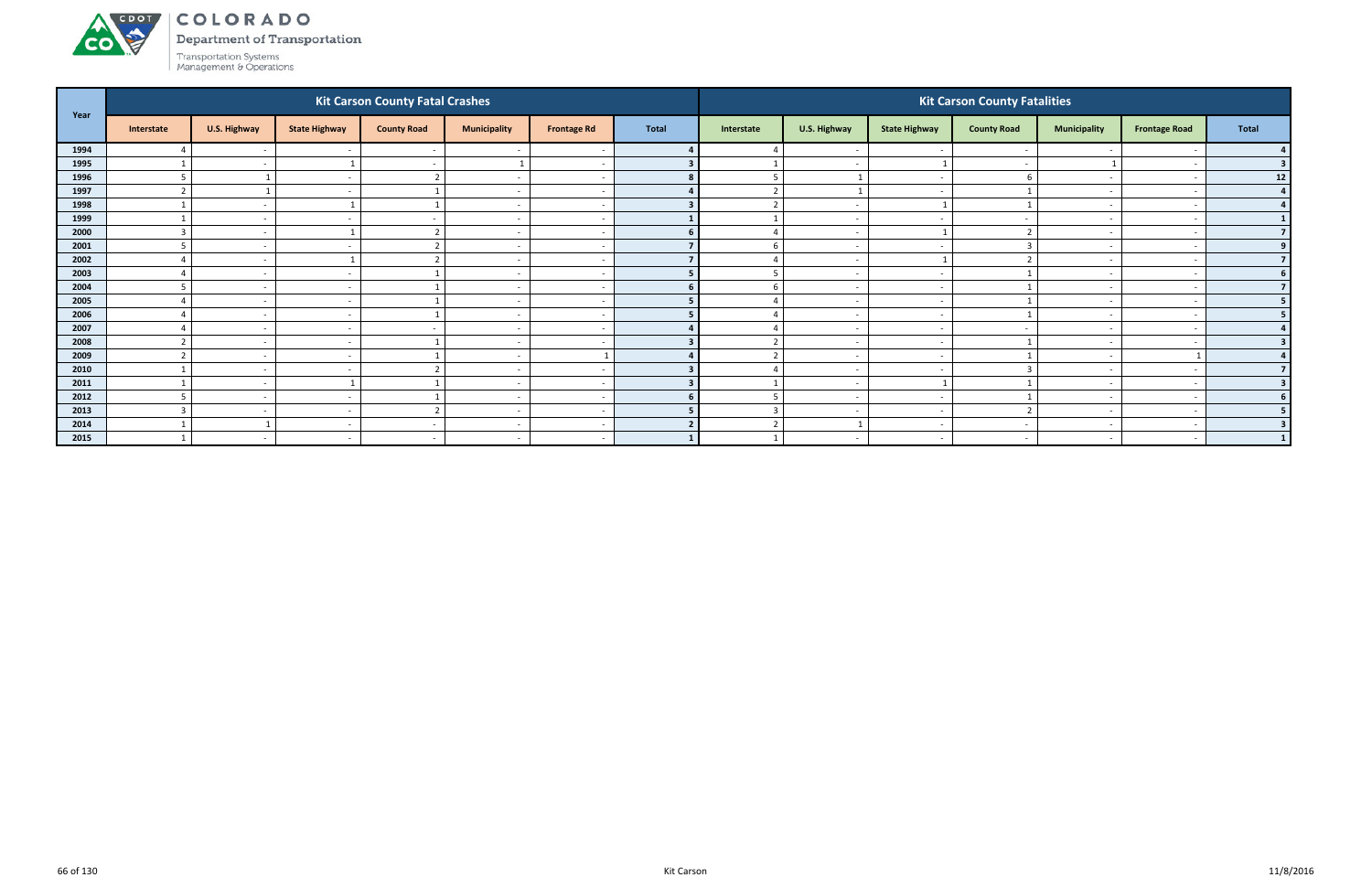### ACDOL COLORADO

**CO** 

Department of Transportation

| Year |                          |                          |                          | <b>Kit Carson County Fatal Crashes</b> |                          |                    |              |                |                          |                          | <b>Kit Carson County Fatalities</b> |                          |                      |              |
|------|--------------------------|--------------------------|--------------------------|----------------------------------------|--------------------------|--------------------|--------------|----------------|--------------------------|--------------------------|-------------------------------------|--------------------------|----------------------|--------------|
|      | Interstate               | U.S. Highway             | <b>State Highway</b>     | <b>County Road</b>                     | <b>Municipality</b>      | <b>Frontage Rd</b> | <b>Total</b> | Interstate     | U.S. Highway             | <b>State Highway</b>     | <b>County Road</b>                  | <b>Municipality</b>      | <b>Frontage Road</b> | <b>Total</b> |
| 1994 |                          | $\sim$                   |                          |                                        |                          |                    |              |                | $\overline{\phantom{a}}$ |                          |                                     |                          |                      |              |
| 1995 |                          | $\sim$                   |                          | $\sim$                                 |                          |                    |              |                | $\overline{\phantom{a}}$ |                          |                                     |                          |                      |              |
| 1996 | $\overline{5}$           |                          | $\overline{\phantom{a}}$ | $\overline{2}$                         | $\sim$                   |                    |              | 5              | $\overline{\mathbf{1}}$  | $\sim$                   |                                     | $\overline{\phantom{0}}$ |                      | 12           |
| 1997 |                          |                          |                          |                                        | $\overline{\phantom{a}}$ |                    |              | $\overline{2}$ | $\overline{\phantom{0}}$ | $\overline{\phantom{a}}$ |                                     |                          |                      |              |
| 1998 |                          | $\sim$                   |                          |                                        | $\overline{\phantom{a}}$ |                    |              | $\overline{2}$ | $\overline{\phantom{a}}$ |                          |                                     | $\overline{\phantom{0}}$ |                      |              |
| 1999 |                          | $\sim$                   |                          |                                        | $\overline{\phantom{a}}$ |                    |              |                | $\overline{\phantom{a}}$ |                          |                                     |                          |                      |              |
| 2000 |                          | $\sim$                   |                          |                                        | $\overline{\phantom{a}}$ |                    |              |                | $\overline{\phantom{a}}$ |                          |                                     |                          |                      |              |
| 2001 | $\overline{\phantom{a}}$ | $\sim$                   |                          | $\mathbf{r}$                           | $\sim$                   |                    |              | 6              | $\sim$                   | $\overline{\phantom{a}}$ |                                     | $\overline{\phantom{0}}$ |                      | 9            |
| 2002 | 4                        | $\overline{\phantom{a}}$ |                          | $\mathbf{r}$                           | $\overline{\phantom{a}}$ |                    |              | $\overline{4}$ | $\overline{\phantom{a}}$ |                          |                                     |                          |                      |              |
| 2003 |                          | $\sim$                   |                          |                                        | $\overline{\phantom{0}}$ |                    |              | 5              | $\overline{\phantom{a}}$ | $\overline{\phantom{a}}$ |                                     |                          |                      |              |
| 2004 |                          | $\sim$                   |                          |                                        | $\overline{\phantom{a}}$ |                    |              | 6              | $\overline{\phantom{a}}$ | $\overline{\phantom{a}}$ |                                     | $\overline{\phantom{0}}$ |                      |              |
| 2005 |                          | $\sim$                   |                          |                                        | $\overline{\phantom{a}}$ |                    |              |                | $\overline{\phantom{a}}$ | $\overline{\phantom{a}}$ |                                     |                          |                      | 5.           |
| 2006 |                          | $\sim$                   | $\overline{\phantom{a}}$ |                                        | $\overline{\phantom{a}}$ |                    |              | $\Delta$       | $\sim$                   | $\overline{\phantom{a}}$ |                                     | $\overline{\phantom{0}}$ |                      | 5            |
| 2007 |                          | $\sim$                   |                          |                                        | $\overline{\phantom{a}}$ |                    |              |                | $\overline{\phantom{a}}$ | $\overline{\phantom{a}}$ |                                     |                          |                      |              |
| 2008 |                          | $\sim$                   | $\overline{\phantom{a}}$ |                                        | $\overline{\phantom{a}}$ |                    |              | $\overline{2}$ | $\overline{\phantom{a}}$ | $\overline{\phantom{a}}$ |                                     | $\overline{\phantom{0}}$ |                      |              |
| 2009 |                          | $\sim$                   |                          |                                        | $\overline{\phantom{a}}$ |                    |              | ຳ              | $\overline{\phantom{a}}$ |                          |                                     |                          |                      |              |
| 2010 |                          | $\sim$ $-$               |                          |                                        | $\overline{\phantom{a}}$ |                    |              |                | $\sim$                   | $\overline{\phantom{a}}$ |                                     |                          |                      |              |
| 2011 |                          | $\sim$                   |                          |                                        | $\sim$                   |                    |              |                | $\sim$                   |                          |                                     | $\sim$                   |                      |              |
| 2012 |                          | $\sim$                   | $\overline{\phantom{a}}$ |                                        | $\overline{\phantom{a}}$ |                    |              | 5              | $\overline{\phantom{a}}$ | $\overline{\phantom{a}}$ |                                     |                          |                      |              |
| 2013 |                          | $\sim$                   |                          | $\mathbf{\overline{a}}$                | $\overline{\phantom{a}}$ |                    |              | $\overline{3}$ | $\overline{\phantom{a}}$ | $\overline{\phantom{a}}$ |                                     |                          |                      |              |
| 2014 |                          |                          |                          |                                        | $\overline{\phantom{a}}$ |                    |              | $\overline{2}$ | $\mathcal{L}$            | $\overline{\phantom{a}}$ |                                     |                          |                      |              |
| 2015 |                          | $\sim$                   | <b>.</b>                 | $\sim$                                 | $\overline{\phantom{a}}$ |                    |              |                | $\overline{\phantom{a}}$ | $\sim$                   |                                     | $\sim$                   |                      |              |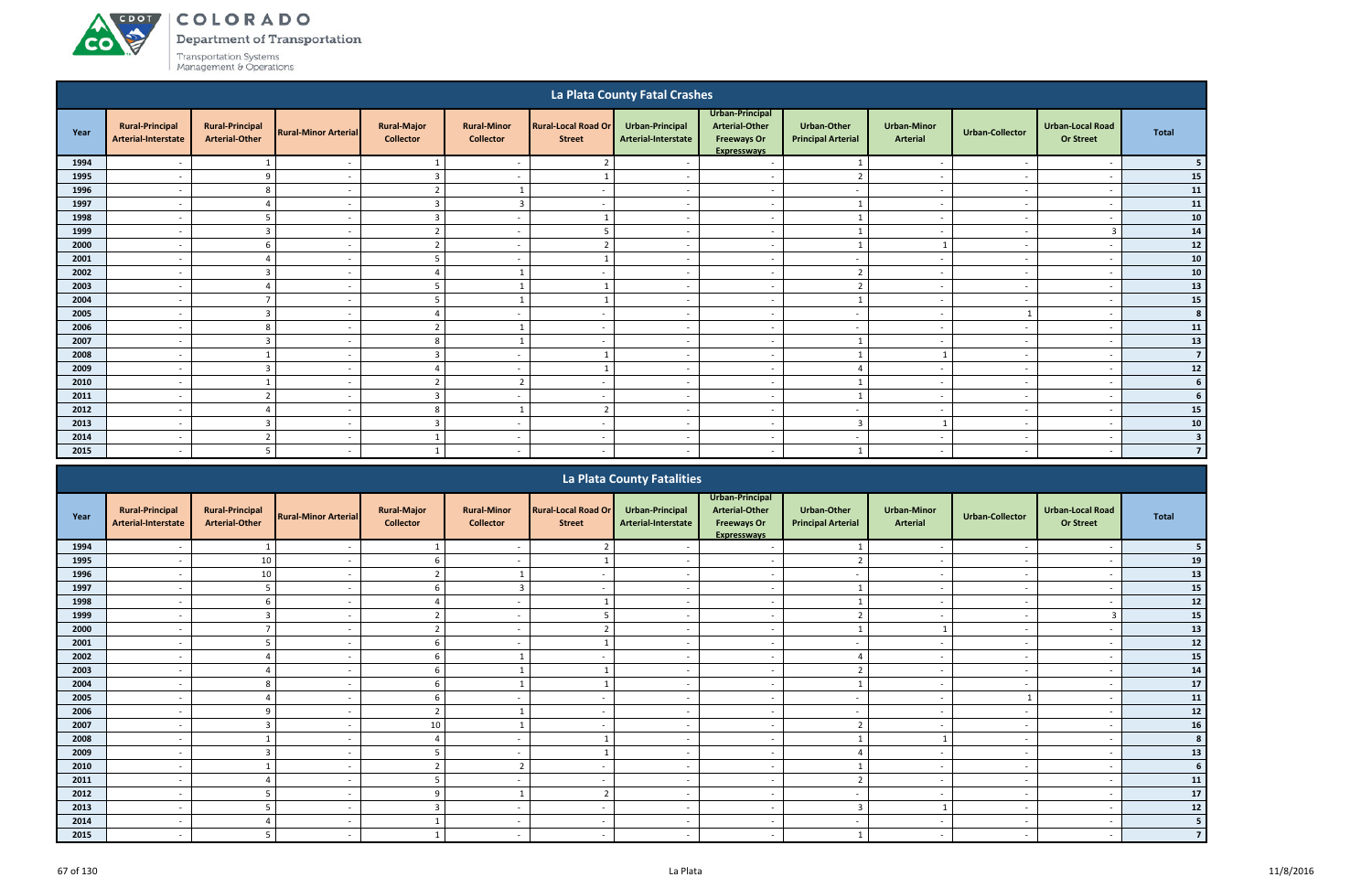# ACDOL **CO**

COLORADO

Department of Transportation

|      |                                               |                                                 |                             |                                        |                                        |                                             | La Plata County Fatal Crashes          |                                                                                      |                                                 |                                       |                          |                                      |                         |
|------|-----------------------------------------------|-------------------------------------------------|-----------------------------|----------------------------------------|----------------------------------------|---------------------------------------------|----------------------------------------|--------------------------------------------------------------------------------------|-------------------------------------------------|---------------------------------------|--------------------------|--------------------------------------|-------------------------|
| Year | <b>Rural-Principal</b><br>Arterial-Interstate | <b>Rural-Principal</b><br><b>Arterial-Other</b> | <b>Rural-Minor Arterial</b> | <b>Rural-Major</b><br><b>Collector</b> | <b>Rural-Minor</b><br><b>Collector</b> | <b>Rural-Local Road Or</b><br><b>Street</b> | Urban-Principal<br>Arterial-Interstate | Urban-Principal<br><b>Arterial-Other</b><br><b>Freeways Or</b><br><b>Expressways</b> | <b>Urban-Other</b><br><b>Principal Arterial</b> | <b>Urban-Minor</b><br><b>Arterial</b> | <b>Urban-Collector</b>   | Urban-Local Road<br><b>Or Street</b> | <b>Total</b>            |
| 1994 |                                               |                                                 |                             | -1                                     |                                        |                                             |                                        | $\overline{\phantom{a}}$                                                             |                                                 | $\overline{\phantom{a}}$              |                          | $\overline{\phantom{a}}$             |                         |
| 1995 | $\overline{\phantom{a}}$                      | 9                                               | $\overline{\phantom{a}}$    | $\overline{\mathbf{3}}$                | $\overline{\phantom{a}}$               |                                             | $\overline{\phantom{a}}$               | $\sim$                                                                               | $\overline{2}$                                  | $\sim$                                | $\sim$                   | $\overline{\phantom{a}}$             | 15                      |
| 1996 | $\overline{\phantom{a}}$                      | 8                                               | $\overline{\phantom{a}}$    | $\overline{2}$                         | $\mathbf{1}$                           | $\overline{\phantom{a}}$                    | $\overline{\phantom{a}}$               | $\sim$                                                                               | $\sim$                                          | $\overline{\phantom{a}}$              | $\sim$                   | $\overline{\phantom{a}}$             | 11                      |
| 1997 | $\overline{\phantom{a}}$                      | $\Delta$                                        | $\overline{\phantom{a}}$    | $\overline{\mathbf{3}}$                | $\overline{3}$                         | $\overline{\phantom{a}}$                    | $\overline{\phantom{a}}$               | $\overline{a}$                                                                       | $\overline{1}$                                  | $\sim$                                | $\sim$                   | $\overline{\phantom{a}}$             | 11                      |
| 1998 | $\overline{\phantom{a}}$                      | -5                                              | $\overline{\phantom{a}}$    | $\overline{\mathbf{3}}$                | $\overline{\phantom{a}}$               |                                             | $\overline{\phantom{a}}$               | $\overline{\phantom{a}}$                                                             | $\mathbf{1}$                                    | $\overline{\phantom{a}}$              | $\overline{\phantom{a}}$ | $\overline{\phantom{a}}$             | ${\bf 10}$              |
| 1999 | $\overline{\phantom{a}}$                      | $\overline{3}$                                  | $\overline{\phantom{a}}$    | $\overline{2}$                         | $\overline{\phantom{a}}$               |                                             | $\overline{\phantom{a}}$               | $\overline{a}$                                                                       | $\overline{ }$                                  | $\sim$                                | $\overline{\phantom{a}}$ | $\overline{3}$                       | ${\bf 14}$              |
| 2000 |                                               | $6\overline{6}$                                 | $\overline{\phantom{a}}$    | $\overline{2}$                         | $\overline{\phantom{a}}$               |                                             |                                        | $\overline{\phantom{a}}$                                                             | $\overline{1}$                                  |                                       | $\overline{\phantom{a}}$ | $\overline{\phantom{a}}$             | 12                      |
| 2001 |                                               |                                                 | $\overline{\phantom{a}}$    | - 5                                    | $\overline{\phantom{a}}$               |                                             |                                        | $\overline{\phantom{a}}$                                                             | $\overline{\phantom{a}}$                        | $\sim$                                | $\overline{\phantom{a}}$ | $\overline{\phantom{a}}$             | ${\bf 10}$              |
| 2002 | $\overline{\phantom{a}}$                      | $\overline{\mathbf{3}}$                         | $\overline{\phantom{a}}$    | $\Delta$                               |                                        | $\overline{\phantom{a}}$                    | $\sim$                                 | $\overline{\phantom{a}}$                                                             | $\overline{2}$                                  | $\overline{\phantom{a}}$              | $\sim$                   | $\overline{\phantom{a}}$             | ${\bf 10}$              |
| 2003 | $\overline{\phantom{a}}$                      | $\overline{4}$                                  | $\overline{\phantom{a}}$    | -5                                     | 1                                      |                                             | $\overline{\phantom{a}}$               | $\overline{\phantom{a}}$                                                             | $\overline{2}$                                  | $\overline{\phantom{a}}$              | $\sim$                   | $\overline{\phantom{a}}$             | 13                      |
| 2004 | $\overline{\phantom{a}}$                      |                                                 | $\overline{\phantom{a}}$    | -5                                     |                                        |                                             | $\overline{\phantom{a}}$               | $\overline{\phantom{a}}$                                                             | $\overline{ }$                                  | $\overline{\phantom{a}}$              | $\sim$                   | $\overline{\phantom{a}}$             | ${\bf 15}$              |
| 2005 | $\overline{\phantom{a}}$                      | $\overline{3}$                                  | $\overline{\phantom{a}}$    | $\overline{4}$                         | $\overline{\phantom{a}}$               | $\overline{\phantom{a}}$                    | $\overline{\phantom{a}}$               | $\overline{\phantom{a}}$                                                             | $\overline{\phantom{a}}$                        | $\overline{\phantom{a}}$              |                          | $\overline{\phantom{a}}$             | 8                       |
| 2006 | $\overline{\phantom{a}}$                      | 8                                               | $\overline{\phantom{a}}$    | $\overline{2}$                         | $\mathbf{1}$                           | $\overline{\phantom{a}}$                    | $\overline{\phantom{a}}$               | $\overline{\phantom{a}}$                                                             | $\sim$                                          | $\sim$                                | $\overline{\phantom{a}}$ | $\overline{\phantom{a}}$             | ${\bf 11}$              |
| 2007 | $\overline{\phantom{a}}$                      | $\overline{3}$                                  | $\overline{\phantom{a}}$    | 8                                      | $\overline{1}$                         |                                             |                                        | $\overline{\phantom{a}}$                                                             | $\mathbf{1}$                                    | $\sim$                                | $\overline{\phantom{a}}$ | $\overline{\phantom{a}}$             | 13                      |
| 2008 | $\overline{\phantom{0}}$                      | $\mathbf{1}$                                    | $\overline{\phantom{a}}$    | $\overline{\mathbf{3}}$                | $\overline{\phantom{a}}$               |                                             |                                        | $\overline{\phantom{a}}$                                                             |                                                 |                                       | $\overline{\phantom{a}}$ | $\overline{\phantom{a}}$             | $\overline{7}$          |
| 2009 | $\overline{\phantom{a}}$                      | $\overline{\mathbf{3}}$                         | $\overline{\phantom{a}}$    | $\overline{4}$                         | $\overline{\phantom{a}}$               |                                             |                                        | $\overline{\phantom{a}}$                                                             |                                                 | $\sim$                                | $\overline{\phantom{a}}$ | $\overline{\phantom{a}}$             | $12$                    |
| 2010 | $\overline{\phantom{a}}$                      | $\overline{\mathbf{1}}$                         | $\overline{\phantom{a}}$    | $\overline{2}$                         | $\overline{2}$                         |                                             | $\overline{\phantom{a}}$               | $\overline{\phantom{a}}$                                                             |                                                 | $\sim$                                | $\overline{\phantom{a}}$ | $\overline{\phantom{a}}$             | 6                       |
| 2011 |                                               | $\overline{2}$                                  | $\overline{\phantom{a}}$    | $\overline{3}$                         | $\overline{\phantom{a}}$               |                                             |                                        | $\overline{\phantom{a}}$                                                             |                                                 | $\sim$                                | $\overline{\phantom{a}}$ | $\overline{\phantom{a}}$             |                         |
| 2012 | $\overline{\phantom{a}}$                      | $\overline{4}$                                  | $\overline{\phantom{a}}$    | 8                                      |                                        |                                             | $\overline{\phantom{a}}$               | $\overline{\phantom{a}}$                                                             | $\sim$                                          | $\overline{\phantom{a}}$              | $\sim$                   | $\overline{\phantom{a}}$             | 15                      |
| 2013 | $\overline{\phantom{a}}$                      | $\overline{3}$                                  | $\overline{\phantom{a}}$    | $\overline{\mathbf{3}}$                | $\overline{\phantom{a}}$               | $\overline{\phantom{a}}$                    | $\sim$                                 | $\sim$                                                                               | $\overline{3}$                                  |                                       | $\sim$                   | $\overline{\phantom{a}}$             | 10                      |
| 2014 | $\overline{\phantom{a}}$                      | $\overline{2}$                                  | $\overline{\phantom{a}}$    | 1                                      | $\overline{\phantom{a}}$               | $\overline{\phantom{a}}$                    | $\sim$                                 | $\overline{\phantom{a}}$                                                             | $\overline{a}$                                  | $\sim$                                | $\sim$                   | $\overline{\phantom{a}}$             | $\overline{\mathbf{3}}$ |
| 2015 | $\overline{\phantom{a}}$                      | -5                                              | $\overline{\phantom{a}}$    | $\overline{1}$                         | $\overline{a}$                         | $\overline{\phantom{a}}$                    | $\sim$                                 | $\overline{a}$                                                                       |                                                 | $\overline{\phantom{a}}$              | $\sim$                   | $\overline{\phantom{a}}$             | $\overline{7}$          |
|      |                                               |                                                 |                             |                                        |                                        |                                             | La Plata County Eatalities             |                                                                                      |                                                 |                                       |                          |                                      |                         |

|      |                                               |                                                 |                             |                                        |                                        |                                             | La Plata County Fatalities             |                                                                                      |                                                 |                                       |                          |                                             |              |
|------|-----------------------------------------------|-------------------------------------------------|-----------------------------|----------------------------------------|----------------------------------------|---------------------------------------------|----------------------------------------|--------------------------------------------------------------------------------------|-------------------------------------------------|---------------------------------------|--------------------------|---------------------------------------------|--------------|
| Year | <b>Rural-Principal</b><br>Arterial-Interstate | <b>Rural-Principal</b><br><b>Arterial-Other</b> | <b>Rural-Minor Arterial</b> | <b>Rural-Major</b><br><b>Collector</b> | <b>Rural-Minor</b><br><b>Collector</b> | <b>Rural-Local Road Or</b><br><b>Street</b> | Urban-Principal<br>Arterial-Interstate | Urban-Principal<br><b>Arterial-Other</b><br><b>Freeways Or</b><br><b>Expressways</b> | <b>Urban-Other</b><br><b>Principal Arterial</b> | <b>Urban-Minor</b><br><b>Arterial</b> | Urban-Collector          | <b>Urban-Local Road</b><br><b>Or Street</b> | <b>Total</b> |
| 1994 |                                               |                                                 |                             |                                        |                                        |                                             |                                        |                                                                                      |                                                 |                                       |                          |                                             |              |
| 1995 |                                               | 10                                              |                             |                                        |                                        |                                             |                                        |                                                                                      |                                                 |                                       |                          |                                             | 19           |
| 1996 | $\overline{\phantom{a}}$                      | 10                                              |                             |                                        |                                        |                                             |                                        | $\overline{\phantom{a}}$                                                             | $\sim$                                          | $\overline{\phantom{a}}$              |                          | $\overline{\phantom{a}}$                    | 13           |
| 1997 |                                               |                                                 |                             |                                        | $\overline{3}$                         |                                             |                                        | $\overline{\phantom{0}}$                                                             |                                                 | $\overline{\phantom{a}}$              |                          |                                             | 15           |
| 1998 |                                               |                                                 |                             |                                        |                                        |                                             |                                        |                                                                                      |                                                 |                                       |                          |                                             | 12           |
| 1999 |                                               |                                                 |                             |                                        | $\overline{\phantom{a}}$               |                                             |                                        | $\overline{\phantom{a}}$                                                             | $\overline{2}$                                  |                                       |                          |                                             | ${\bf 15}$   |
| 2000 |                                               |                                                 |                             |                                        |                                        |                                             |                                        |                                                                                      |                                                 |                                       |                          |                                             | 13           |
| 2001 | $\overline{\phantom{a}}$                      |                                                 |                             |                                        | $\overline{\phantom{a}}$               |                                             |                                        | $\overline{\phantom{a}}$                                                             | $\overline{\phantom{a}}$                        | $\overline{\phantom{a}}$              |                          | $\overline{\phantom{a}}$                    | 12           |
| 2002 |                                               |                                                 |                             |                                        |                                        |                                             |                                        | $\overline{\phantom{a}}$                                                             |                                                 |                                       |                          |                                             | 15           |
| 2003 |                                               |                                                 |                             |                                        |                                        |                                             |                                        | $\overline{\phantom{0}}$                                                             | $\mathbf{\Omega}$                               | $\overline{\phantom{a}}$              |                          |                                             | ${\bf 14}$   |
| 2004 |                                               |                                                 |                             |                                        |                                        |                                             |                                        | $\overline{\phantom{a}}$                                                             |                                                 | $\overline{\phantom{a}}$              |                          |                                             | ${\bf 17}$   |
| 2005 |                                               |                                                 |                             |                                        |                                        |                                             |                                        |                                                                                      | $\overline{\phantom{a}}$                        |                                       |                          |                                             | 11           |
| 2006 | $\overline{\phantom{a}}$                      | $\Omega$                                        | $\overline{\phantom{a}}$    |                                        |                                        | $\overline{\phantom{a}}$                    | $\overline{\phantom{a}}$               | $\overline{\phantom{a}}$                                                             | $\sim$                                          | $\sim$                                |                          | $\overline{\phantom{a}}$                    | 12           |
| 2007 |                                               | $\mathcal{L}$                                   |                             | 10                                     | $\mathbf{1}$                           |                                             |                                        | $\overline{\phantom{a}}$                                                             | $\overline{2}$                                  | $\overline{\phantom{a}}$              |                          |                                             | 16           |
| 2008 |                                               |                                                 |                             |                                        | $\overline{\phantom{a}}$               |                                             |                                        | $\overline{\phantom{a}}$                                                             |                                                 |                                       |                          |                                             | 8            |
| 2009 |                                               |                                                 |                             |                                        |                                        |                                             |                                        |                                                                                      |                                                 |                                       |                          |                                             | 13           |
| 2010 |                                               |                                                 |                             |                                        | $\mathcal{L}$                          |                                             |                                        | $\overline{\phantom{0}}$                                                             |                                                 |                                       |                          |                                             | 6            |
| 2011 | $\overline{\phantom{a}}$                      |                                                 | $\overline{\phantom{a}}$    |                                        | $\overline{\phantom{a}}$               |                                             | $\overline{\phantom{a}}$               | $\overline{\phantom{a}}$                                                             | $\overline{2}$                                  | $\sim$                                | $\overline{\phantom{a}}$ | $\overline{\phantom{a}}$                    | 11           |
| 2012 |                                               |                                                 |                             |                                        |                                        |                                             |                                        | $\overline{\phantom{a}}$                                                             | $\overline{\phantom{a}}$                        |                                       |                          |                                             | 17           |
| 2013 |                                               |                                                 |                             |                                        | $\overline{\phantom{a}}$               |                                             |                                        | $\overline{\phantom{a}}$                                                             | $\mathbf{c}$                                    |                                       |                          |                                             | 12           |
| 2014 |                                               |                                                 |                             |                                        | $\overline{\phantom{a}}$               |                                             |                                        | $\overline{\phantom{a}}$                                                             | $\overline{\phantom{a}}$                        | $\overline{\phantom{a}}$              |                          |                                             | 5            |
| 2015 |                                               |                                                 |                             |                                        |                                        |                                             |                                        |                                                                                      |                                                 |                                       |                          |                                             |              |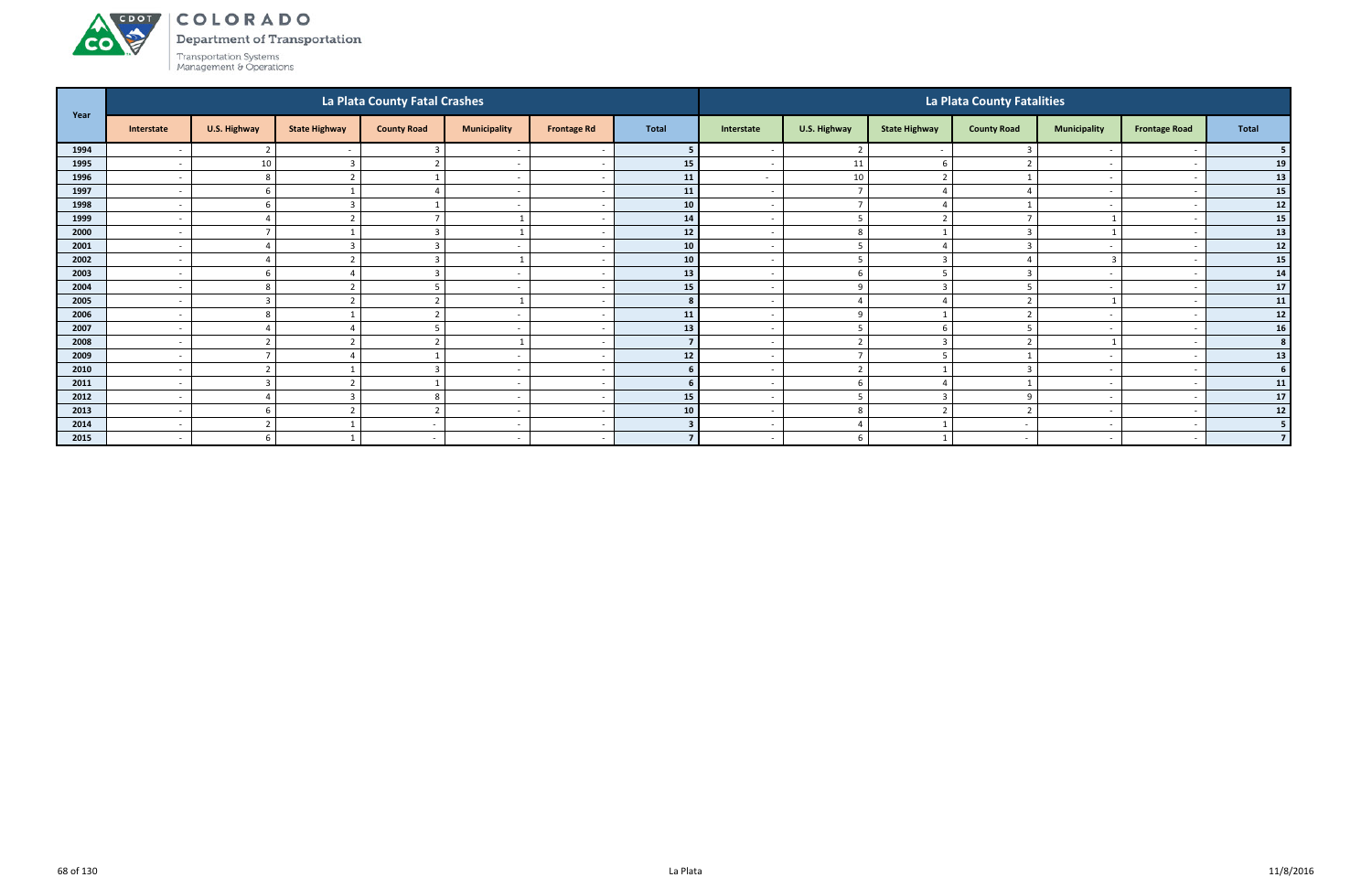### ACDOT COLORADO

**CO** 

Department of Transportation

|      |                          |                          |                      | La Plata County Fatal Crashes |                          |                    |                 |                          |                          |                      | La Plata County Fatalities |                          |                              |                |
|------|--------------------------|--------------------------|----------------------|-------------------------------|--------------------------|--------------------|-----------------|--------------------------|--------------------------|----------------------|----------------------------|--------------------------|------------------------------|----------------|
| Year | Interstate               | <b>U.S. Highway</b>      | <b>State Highway</b> | <b>County Road</b>            | <b>Municipality</b>      | <b>Frontage Rd</b> | <b>Total</b>    | Interstate               | U.S. Highway             | <b>State Highway</b> | <b>County Road</b>         | <b>Municipality</b>      | <b>Frontage Road</b>         | Total          |
| 1994 |                          | $\mathbf{\hat{}}$        |                      |                               |                          |                    |                 |                          | $\overline{2}$           |                      |                            |                          |                              |                |
| 1995 |                          | 10                       |                      |                               | $\overline{\phantom{a}}$ |                    | 15              |                          | 11                       |                      |                            |                          |                              | 19             |
| 1996 | $\overline{\phantom{a}}$ | 8                        |                      |                               | $\overline{\phantom{a}}$ |                    | 11              | $\sim$                   | 10                       | ຳ                    |                            | $\overline{\phantom{0}}$ | $\overline{\phantom{a}}$     | 13             |
| 1997 | $\overline{\phantom{a}}$ | -6                       |                      |                               | $\overline{\phantom{a}}$ |                    | 11              | $\sim$                   | $\overline{7}$           |                      |                            |                          | $\overline{\phantom{a}}$     | 15             |
| 1998 | $\overline{\phantom{a}}$ | -6                       |                      |                               | $\overline{\phantom{0}}$ |                    | 10 <sup>1</sup> | $\overline{\phantom{0}}$ | $\overline{7}$           |                      |                            | $\overline{\phantom{0}}$ |                              | 12             |
| 1999 | $\overline{\phantom{a}}$ |                          |                      |                               |                          |                    | 14              | $\overline{\phantom{0}}$ | - 5                      |                      |                            |                          |                              | 15             |
| 2000 | $\overline{\phantom{a}}$ | $\overline{\phantom{0}}$ |                      |                               |                          |                    | $12$            |                          | 8                        |                      |                            |                          |                              | 13             |
| 2001 | $\overline{\phantom{a}}$ | $\Delta$                 |                      |                               | $\sim$                   |                    | 10              | $\sim$                   | -5                       |                      |                            | $\overline{\phantom{0}}$ | $\overline{\phantom{0}}$     | 12             |
| 2002 | $\overline{\phantom{a}}$ | $\Delta$                 |                      |                               | $\overline{1}$           |                    | 10 <sup>1</sup> | $\overline{\phantom{a}}$ | 5                        | $\overline{3}$       |                            | $\overline{3}$           | $\overline{\phantom{a}}$     | 15             |
| 2003 | $\overline{\phantom{a}}$ |                          |                      |                               | $\overline{\phantom{a}}$ |                    | 13              | $\overline{\phantom{0}}$ | -6                       |                      |                            | $\sim$                   |                              | 14             |
| 2004 | $\overline{\phantom{a}}$ | 8                        |                      |                               | $\overline{\phantom{a}}$ |                    | 15              | $\overline{\phantom{0}}$ | $\Omega$                 | 3                    |                            |                          |                              | $17$           |
| 2005 | $\overline{\phantom{a}}$ | 3                        |                      |                               |                          |                    |                 |                          |                          |                      |                            |                          |                              | 11             |
| 2006 | $\overline{\phantom{a}}$ | -8                       |                      |                               | $\overline{\phantom{a}}$ |                    | 11              | $\sim$                   | -9                       |                      |                            | $\sim$                   |                              | 12             |
| 2007 | $\overline{\phantom{a}}$ | $\overline{4}$           |                      |                               | $\overline{\phantom{a}}$ |                    | 13              | $\overline{\phantom{0}}$ | 5                        | -6                   |                            |                          |                              | 16             |
| 2008 | $\overline{\phantom{a}}$ | $\mathbf{\Gamma}$        |                      |                               |                          |                    | $\overline{ }$  | $\overline{\phantom{0}}$ | $\overline{\phantom{a}}$ |                      |                            |                          |                              | 8 <sup>1</sup> |
| 2009 | $\overline{\phantom{a}}$ | $\mathbf{\tau}$          |                      |                               | $\overline{\phantom{a}}$ |                    | 12              | $\overline{\phantom{0}}$ |                          |                      |                            | $\overline{\phantom{a}}$ |                              | 13             |
| 2010 | $\overline{\phantom{0}}$ | $\mathbf{\overline{a}}$  |                      |                               | $\overline{\phantom{0}}$ |                    |                 |                          | $\mathbf{\cdot}$         |                      |                            |                          |                              | 6 <sup>1</sup> |
| 2011 | $\overline{\phantom{a}}$ | $\overline{3}$           |                      |                               | $\overline{\phantom{a}}$ |                    | 6 <sup>1</sup>  | $\overline{\phantom{0}}$ | - 6                      |                      |                            | $\overline{\phantom{0}}$ |                              | 11             |
| 2012 | $\overline{\phantom{a}}$ | $\overline{4}$           |                      | 8                             | $\overline{\phantom{a}}$ |                    | 15              | $\sim$                   | - 5                      | $\overline{3}$       | $\Omega$                   | $\sim$                   | $\overline{\phantom{a}}$     | 17             |
| 2013 | $\overline{\phantom{a}}$ | -6                       |                      | ຳ                             | $\overline{\phantom{a}}$ |                    | 10 <sup>1</sup> | $\overline{\phantom{0}}$ | 8                        | ຳ                    |                            | $\sim$                   |                              | 12             |
| 2014 | $\overline{\phantom{a}}$ |                          |                      |                               | $\overline{\phantom{a}}$ |                    |                 | $\overline{\phantom{0}}$ |                          |                      |                            | $\overline{\phantom{0}}$ | $\qquad \qquad \blacksquare$ | 5 <sub>1</sub> |
| 2015 | $\overline{\phantom{a}}$ | -6                       |                      |                               | $\overline{\phantom{a}}$ |                    | $\mathbf{z}$    |                          | -6                       |                      | $\overline{\phantom{a}}$   |                          | $\overline{\phantom{a}}$     | 7 <sup>1</sup> |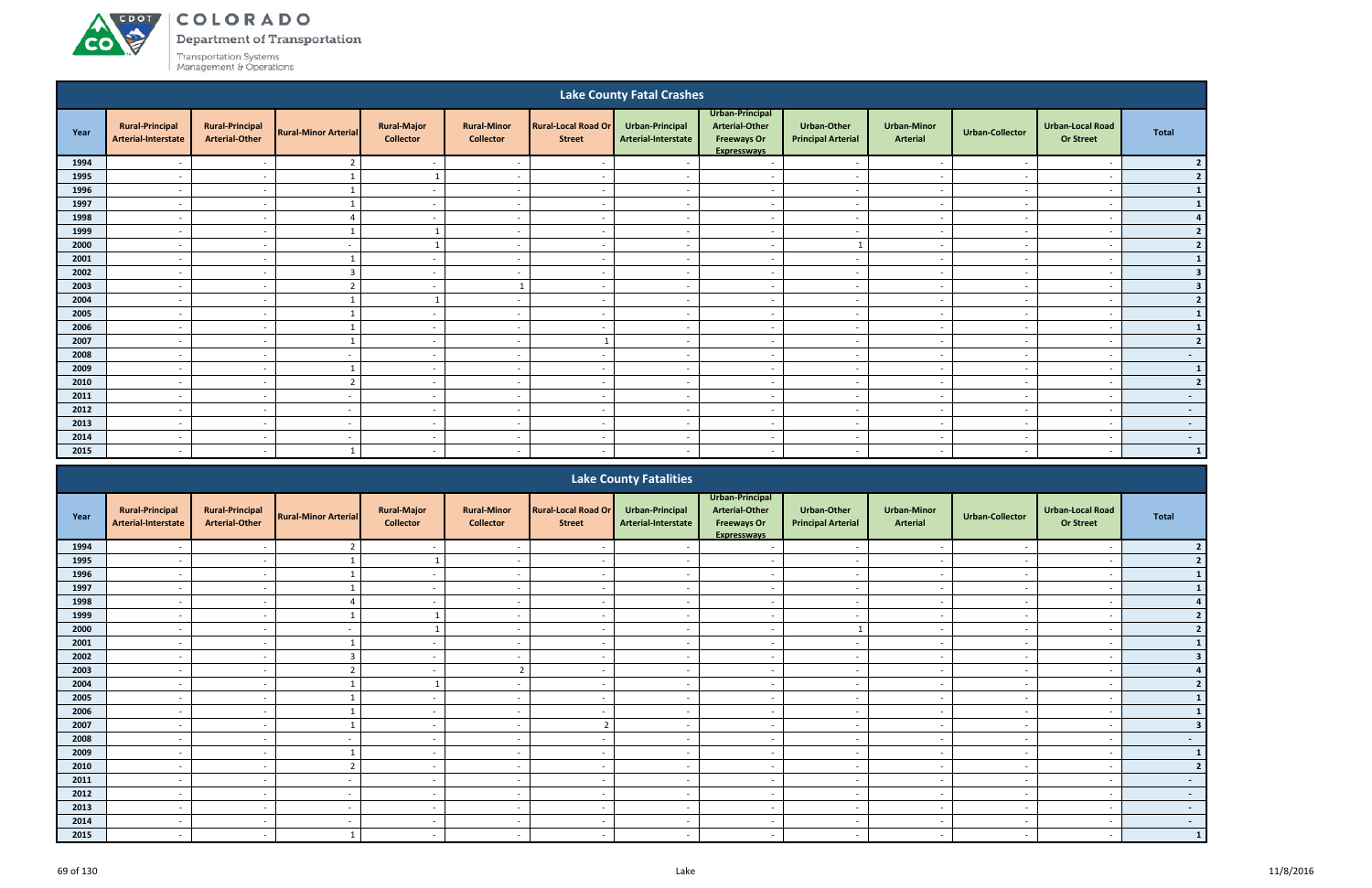## ACDOL COLORADO

**co** 

Department of Transportation

| <b>Lake County Fatal Crashes</b> |                                               |                                                 |                             |                                        |                                        |                                             |                                        |                                                                                      |                                          |                                       |                          |                                             |                 |
|----------------------------------|-----------------------------------------------|-------------------------------------------------|-----------------------------|----------------------------------------|----------------------------------------|---------------------------------------------|----------------------------------------|--------------------------------------------------------------------------------------|------------------------------------------|---------------------------------------|--------------------------|---------------------------------------------|-----------------|
| Year                             | <b>Rural-Principal</b><br>Arterial-Interstate | <b>Rural-Principal</b><br><b>Arterial-Other</b> | <b>Rural-Minor Arterial</b> | <b>Rural-Major</b><br><b>Collector</b> | <b>Rural-Minor</b><br><b>Collector</b> | <b>Rural-Local Road Or</b><br><b>Street</b> | Urban-Principal<br>Arterial-Interstate | Urban-Principal<br><b>Arterial-Other</b><br><b>Freeways Or</b><br><b>Expresswavs</b> | Urban-Other<br><b>Principal Arterial</b> | <b>Urban-Minor</b><br><b>Arterial</b> | <b>Urban-Collector</b>   | <b>Urban-Local Road</b><br><b>Or Street</b> | <b>Total</b>    |
| 1994                             |                                               | $\overline{\phantom{a}}$                        | $\overline{2}$              | $\sim$                                 |                                        | $\overline{\phantom{a}}$                    |                                        | $\overline{\phantom{a}}$                                                             | $\sim$                                   | $\overline{\phantom{a}}$              |                          | $\overline{\phantom{a}}$                    | 2 <sup>1</sup>  |
| 1995                             | $\overline{\phantom{0}}$                      | $\sim$                                          |                             |                                        | $\overline{\phantom{0}}$               | $\sim$                                      |                                        | $\sim$                                                                               | $\overline{\phantom{0}}$                 | $\sim$                                | $\overline{\phantom{a}}$ | $\overline{\phantom{0}}$                    | 2               |
| 1996                             | $\sim$                                        | $\sim$                                          |                             | $\sim$                                 | $-$                                    | $\sim$                                      | $\sim$                                 | $\sim$                                                                               | $\sim$                                   | $\sim$                                | $\sim$                   | $\overline{\phantom{a}}$                    | $\mathbf{1}$    |
| 1997                             | $\overline{\phantom{a}}$                      | $\sim$                                          |                             | $\sim$                                 | $\overline{\phantom{a}}$               | $\sim$                                      | $\overline{\phantom{a}}$               | $\overline{\phantom{a}}$                                                             | $\sim$                                   | $\sim$                                | . .                      | $\overline{\phantom{a}}$                    | $\mathbf{1}$    |
| 1998                             |                                               | $\sim$                                          | 4                           | $\sim$                                 |                                        | $\overline{\phantom{a}}$                    |                                        | $\overline{\phantom{a}}$                                                             |                                          | $\sim$                                |                          | $\overline{\phantom{a}}$                    | 4               |
| 1999                             | $\overline{\phantom{a}}$                      | $\sim$                                          |                             |                                        | $\overline{\phantom{a}}$               | $\overline{\phantom{a}}$                    |                                        | $\overline{\phantom{a}}$                                                             | $\overline{a}$                           | $\sim$                                |                          | $\overline{\phantom{a}}$                    | 2 <sup>1</sup>  |
| 2000                             | $\overline{\phantom{a}}$                      | $\sim$                                          |                             |                                        | $\overline{\phantom{0}}$               | $\sim$                                      |                                        | $\overline{\phantom{0}}$                                                             |                                          | $\sim$                                |                          | $\overline{\phantom{a}}$                    | $2 \mid$        |
| 2001                             | $\overline{\phantom{0}}$                      | $\sim$                                          |                             | $\sim$                                 | $\overline{\phantom{a}}$               | $\overline{\phantom{a}}$                    | $\overline{\phantom{a}}$               | $\sim$                                                                               | $\overline{\phantom{a}}$                 | $\sim$                                | $\overline{\phantom{a}}$ | $\overline{\phantom{a}}$                    | $1\vert$        |
| 2002                             | $\overline{\phantom{0}}$                      | $\sim$                                          | $\overline{3}$              | $\sim$                                 | $\overline{\phantom{0}}$               | $\sim$                                      |                                        | $\overline{\phantom{a}}$                                                             | $\overline{\phantom{0}}$                 | $\sim$                                |                          | $\overline{\phantom{a}}$                    | 3 <sup>1</sup>  |
| 2003                             |                                               | $\overline{\phantom{a}}$                        |                             | $\overline{\phantom{a}}$               |                                        |                                             |                                        | $\overline{\phantom{a}}$                                                             |                                          | $\overline{\phantom{a}}$              |                          | $\overline{\phantom{a}}$                    | 3 <sup>1</sup>  |
| 2004                             | $\overline{a}$                                | $\sim$                                          |                             |                                        | $\overline{a}$                         | $\sim$                                      | $\overline{\phantom{a}}$               | $\sim$                                                                               | $\overline{\phantom{0}}$                 | $\sim$                                | $\sim$                   | $\overline{\phantom{a}}$                    | $\mathbf{2}$    |
| 2005                             | $\overline{\phantom{a}}$                      | $\sim$                                          |                             | $\sim$                                 | $\overline{a}$                         | $\sim$                                      | $\sim$                                 | $\sim$                                                                               | $\overline{\phantom{a}}$                 | $\sim$                                | $\sim$                   | $\overline{\phantom{a}}$                    | $\mathbf{1}$    |
| 2006                             | $\overline{\phantom{0}}$                      | $\overline{\phantom{a}}$                        |                             | $\sim$                                 | $\overline{\phantom{0}}$               | $\overline{\phantom{0}}$                    | . .                                    | $\sim$                                                                               | $\overline{\phantom{0}}$                 | $\sim$                                |                          | $\overline{\phantom{a}}$                    | $\mathbf{1}$    |
| 2007                             | $\overline{\phantom{a}}$                      | $\sim$                                          |                             | $\overline{\phantom{a}}$               | $\overline{\phantom{a}}$               |                                             |                                        | $\overline{\phantom{a}}$                                                             | $\overline{\phantom{a}}$                 | $\sim$                                |                          | $\overline{\phantom{a}}$                    | 2               |
| 2008                             | $\overline{\phantom{a}}$                      | $\sim$                                          | $\overline{\phantom{a}}$    | $\overline{\phantom{a}}$               | $\overline{\phantom{a}}$               | $\overline{\phantom{a}}$                    |                                        | $\overline{\phantom{a}}$                                                             |                                          | $\sim$                                |                          | $\overline{\phantom{a}}$                    | $\sim$ $-$      |
| 2009                             | $\overline{\phantom{a}}$                      | $\sim$                                          |                             | $\sim$                                 | $\overline{\phantom{0}}$               | $\sim$                                      | $\sim$                                 | $\sim$                                                                               | $\overline{a}$                           | $\sim$                                | $\sim$                   | $\overline{\phantom{a}}$                    | $\vert 1 \vert$ |
| 2010                             | $\overline{\phantom{a}}$                      | $\sim$                                          | $\overline{2}$              | $\sim$                                 | $\sim$                                 | $\overline{\phantom{a}}$                    | $\sim$                                 | $\overline{a}$                                                                       | $\sim$                                   | $\sim$                                | $\sim$                   | $\overline{\phantom{a}}$                    | 2               |
| 2011                             | - -                                           | $\overline{\phantom{a}}$                        |                             | $\sim$                                 | $\overline{\phantom{0}}$               | $\overline{\phantom{a}}$                    |                                        | $\overline{\phantom{a}}$                                                             | $\overline{\phantom{0}}$                 | $\sim$                                |                          | $\overline{\phantom{a}}$                    | $\sim$ $-$      |
| 2012                             | $\overline{\phantom{a}}$                      | $\overline{\phantom{a}}$                        | $\overline{\phantom{a}}$    | $\overline{\phantom{a}}$               | $\overline{\phantom{a}}$               | $\overline{\phantom{a}}$                    | $\overline{\phantom{a}}$               | $\overline{a}$                                                                       | $\sim$                                   | $\sim$                                | $\overline{\phantom{a}}$ | $\overline{\phantom{a}}$                    | $\sim$          |
| 2013                             | $\overline{\phantom{a}}$                      | $\sim$                                          | $\overline{\phantom{a}}$    | $\sim$                                 | $\sim$                                 | $\sim$                                      | $\sim$                                 | $\overline{a}$                                                                       | $\sim$                                   | $\sim$                                | $\overline{\phantom{a}}$ | $\sim$                                      | $\sim$          |
| 2014                             | $\sim$                                        | $\sim$                                          | $\overline{\phantom{a}}$    | $\sim$                                 | $\overline{\phantom{a}}$               | $\overline{\phantom{a}}$                    | $\sim$                                 | $\overline{\phantom{a}}$                                                             | $\sim$                                   | $\overline{\phantom{a}}$              | $\sim$                   | $\overline{\phantom{a}}$                    | $\sim$ $-$      |
| 2015                             | $\overline{\phantom{0}}$                      | $\overline{\phantom{0}}$                        |                             | $\sim$                                 | $\overline{\phantom{a}}$               | $\overline{\phantom{0}}$                    |                                        | $\overline{\phantom{a}}$                                                             | $\overline{\phantom{0}}$                 | $\overline{\phantom{0}}$              |                          |                                             | $\vert$ 1       |
|                                  |                                               |                                                 |                             |                                        |                                        |                                             |                                        |                                                                                      |                                          |                                       |                          |                                             |                 |

|      | <b>Lake County Fatalities</b>                 |                                                 |                             |                                        |                                        |                                             |                                        |                                                                                      |                                                 |                                       |                          |                                             |                |
|------|-----------------------------------------------|-------------------------------------------------|-----------------------------|----------------------------------------|----------------------------------------|---------------------------------------------|----------------------------------------|--------------------------------------------------------------------------------------|-------------------------------------------------|---------------------------------------|--------------------------|---------------------------------------------|----------------|
| Year | <b>Rural-Principal</b><br>Arterial-Interstate | <b>Rural-Principal</b><br><b>Arterial-Other</b> | <b>Rural-Minor Arterial</b> | <b>Rural-Major</b><br><b>Collector</b> | <b>Rural-Minor</b><br><b>Collector</b> | <b>Rural-Local Road Or</b><br><b>Street</b> | Urban-Principal<br>Arterial-Interstate | Urban-Principal<br><b>Arterial-Other</b><br><b>Freeways Or</b><br><b>Expressways</b> | <b>Urban-Other</b><br><b>Principal Arterial</b> | <b>Urban-Minor</b><br><b>Arterial</b> | <b>Urban-Collector</b>   | <b>Urban-Local Road</b><br><b>Or Street</b> | <b>Total</b>   |
| 1994 |                                               |                                                 |                             |                                        |                                        |                                             |                                        |                                                                                      |                                                 |                                       |                          |                                             |                |
| 1995 |                                               |                                                 |                             |                                        |                                        |                                             |                                        |                                                                                      |                                                 |                                       |                          |                                             |                |
| 1996 | $\overline{\phantom{a}}$                      | $\overline{\phantom{a}}$                        |                             | $\sim$                                 | $\overline{\phantom{a}}$               |                                             | $\overline{\phantom{a}}$               | $\overline{\phantom{a}}$                                                             | $\overline{\phantom{a}}$                        | $\overline{\phantom{a}}$              | $\overline{\phantom{a}}$ | $\overline{\phantom{a}}$                    |                |
| 1997 |                                               | $\overline{\phantom{a}}$                        |                             | $\sim$                                 | $\overline{\phantom{a}}$               |                                             |                                        | $\overline{\phantom{a}}$                                                             | $\overline{\phantom{a}}$                        | $\overline{\phantom{a}}$              |                          |                                             |                |
| 1998 |                                               | $\overline{\phantom{a}}$                        |                             | $\overline{\phantom{a}}$               | $\overline{\phantom{a}}$               |                                             |                                        |                                                                                      | $\overline{\phantom{a}}$                        | $\overline{\phantom{a}}$              |                          |                                             |                |
| 1999 | $\overline{\phantom{a}}$                      | $\overline{\phantom{a}}$                        |                             |                                        | $\overline{\phantom{a}}$               |                                             |                                        | $\overline{\phantom{a}}$                                                             | $\overline{\phantom{a}}$                        | $\overline{\phantom{a}}$              | $\overline{\phantom{a}}$ |                                             |                |
| 2000 |                                               |                                                 |                             |                                        | $\overline{\phantom{a}}$               |                                             |                                        | $\overline{\phantom{a}}$                                                             |                                                 | $\overline{\phantom{a}}$              |                          |                                             |                |
| 2001 | $\overline{\phantom{a}}$                      | $\sim$                                          |                             | $\sim$                                 | $\overline{a}$                         | $\overline{\phantom{a}}$                    | $\sim$                                 | $\overline{\phantom{a}}$                                                             | $\overline{\phantom{a}}$                        | $\overline{\phantom{a}}$              | $\overline{\phantom{a}}$ | $\overline{\phantom{a}}$                    |                |
| 2002 |                                               | $\sim$                                          | $\mathbf{3}$                | $\sim$                                 | $\overline{\phantom{a}}$               |                                             |                                        | $\overline{\phantom{a}}$                                                             | $\overline{\phantom{a}}$                        | $\overline{\phantom{a}}$              | $\overline{\phantom{a}}$ |                                             |                |
| 2003 |                                               | $\overline{\phantom{0}}$                        |                             | $\overline{\phantom{0}}$               | $\mathcal{L}$<br>∠                     |                                             |                                        | $\overline{\phantom{a}}$                                                             | $\overline{\phantom{0}}$                        | $\overline{\phantom{a}}$              |                          |                                             |                |
| 2004 |                                               |                                                 |                             |                                        | $\overline{\phantom{0}}$               |                                             |                                        | $\overline{\phantom{a}}$                                                             | $\overline{\phantom{a}}$                        | $\overline{\phantom{a}}$              |                          |                                             |                |
| 2005 |                                               | $\overline{\phantom{a}}$                        |                             | $\overline{a}$                         | $\overline{\phantom{a}}$               |                                             |                                        | $\overline{\phantom{a}}$                                                             | $\overline{\phantom{a}}$                        | $\overline{\phantom{a}}$              |                          |                                             |                |
| 2006 | $\overline{a}$                                | $\sim$                                          |                             | $\sim$                                 | $\overline{\phantom{a}}$               | $\overline{\phantom{a}}$                    | $\sim$                                 | $\sim$                                                                               | $\overline{\phantom{a}}$                        | $\overline{\phantom{a}}$              | $\overline{\phantom{a}}$ | $\overline{\phantom{a}}$                    |                |
| 2007 |                                               |                                                 |                             | $\overline{\phantom{a}}$               | $\overline{\phantom{a}}$               |                                             |                                        | $\overline{\phantom{a}}$                                                             | $\overline{\phantom{a}}$                        | $\overline{\phantom{a}}$              |                          |                                             |                |
| 2008 |                                               | $\sim$                                          |                             | $\sim$                                 | $\overline{\phantom{a}}$               |                                             |                                        | $\overline{\phantom{a}}$                                                             | $\overline{\phantom{a}}$                        | $\overline{\phantom{a}}$              | $\overline{\phantom{a}}$ | $\overline{\phantom{0}}$                    | $\sim$         |
| 2009 |                                               | $\overline{\phantom{0}}$                        |                             | $\overline{\phantom{0}}$               | $\overline{\phantom{a}}$               |                                             |                                        | $\overline{\phantom{0}}$                                                             | $\overline{\phantom{a}}$                        | $\overline{\phantom{0}}$              |                          |                                             | 1              |
| 2010 |                                               | $\overline{\phantom{0}}$                        |                             | $\sim$                                 | $\overline{\phantom{a}}$               |                                             |                                        | $\overline{\phantom{a}}$                                                             | $\overline{\phantom{a}}$                        | $\overline{\phantom{a}}$              | $\overline{\phantom{a}}$ |                                             | $\overline{2}$ |
| 2011 | $\overline{\phantom{a}}$                      | $\sim$                                          | $\overline{\phantom{a}}$    | $\sim$                                 | $\overline{\phantom{a}}$               |                                             |                                        | $\overline{\phantom{a}}$                                                             | $\overline{\phantom{a}}$                        | $\overline{\phantom{a}}$              | $\overline{\phantom{a}}$ | $\overline{\phantom{0}}$                    | $\sim$         |
| 2012 |                                               | $\overline{\phantom{0}}$                        |                             | $\sim$                                 | $\overline{\phantom{a}}$               |                                             |                                        | $\overline{\phantom{a}}$                                                             | $\overline{\phantom{a}}$                        | $\overline{\phantom{a}}$              | $\overline{\phantom{a}}$ |                                             | $\sim 100$     |
| 2013 | $\overline{\phantom{a}}$                      | $\sim$                                          | $\overline{\phantom{a}}$    | $\sim$                                 | $\overline{\phantom{a}}$               | $\overline{\phantom{a}}$                    | $\overline{\phantom{a}}$               | $\overline{\phantom{a}}$                                                             | $\overline{\phantom{a}}$                        | $\overline{\phantom{a}}$              | $\overline{\phantom{a}}$ | $\overline{\phantom{a}}$                    | $\sim$         |
| 2014 |                                               |                                                 |                             | $\sim$                                 |                                        |                                             |                                        |                                                                                      | $\overline{\phantom{0}}$                        | $\overline{\phantom{a}}$              |                          |                                             | $\sim$         |
| 2015 |                                               | $\overline{\phantom{0}}$                        |                             | $\sim$                                 | $\overline{\phantom{a}}$               |                                             |                                        |                                                                                      | $\overline{\phantom{a}}$                        | $\overline{\phantom{a}}$              | $\overline{\phantom{a}}$ |                                             | $\mathbf{1}$   |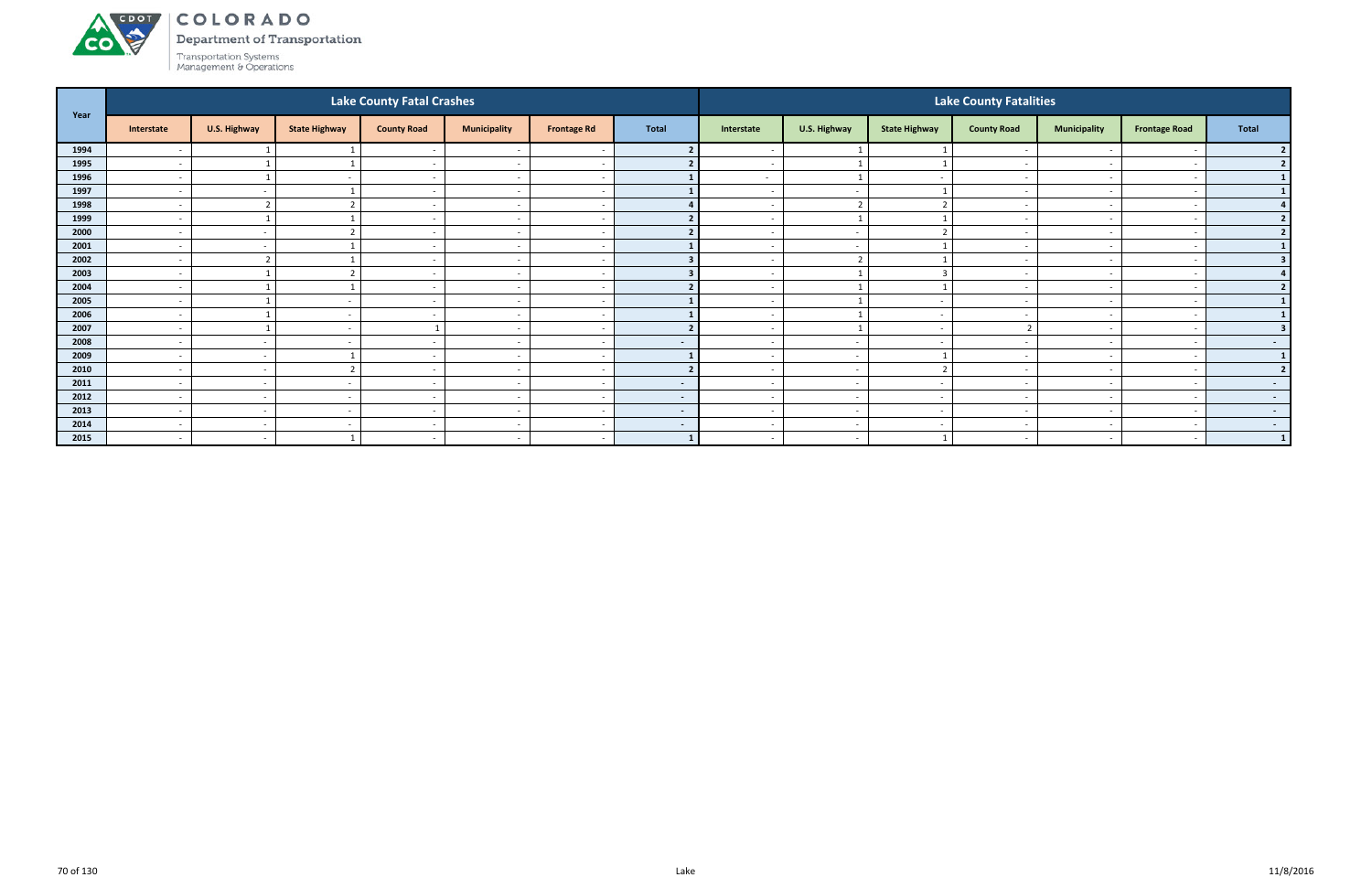

Department of Transportation

| Year |                          |                |                          | Lake County Fatal Crashes |                          |                          | <b>Lake County Fatalities</b> |                          |                          |                          |                          |                          |                          |                  |  |
|------|--------------------------|----------------|--------------------------|---------------------------|--------------------------|--------------------------|-------------------------------|--------------------------|--------------------------|--------------------------|--------------------------|--------------------------|--------------------------|------------------|--|
|      | Interstate               | U.S. Highway   | <b>State Highway</b>     | <b>County Road</b>        | <b>Municipality</b>      | <b>Frontage Rd</b>       | <b>Total</b>                  | Interstate               | U.S. Highway             | <b>State Highway</b>     | <b>County Road</b>       | <b>Municipality</b>      | <b>Frontage Road</b>     | Total            |  |
| 1994 | $\overline{\phantom{a}}$ |                |                          | $\sim$                    |                          |                          |                               |                          |                          |                          |                          |                          |                          |                  |  |
| 1995 |                          |                |                          | $\overline{\phantom{a}}$  | $\overline{\phantom{a}}$ | $\overline{\phantom{a}}$ |                               |                          |                          |                          |                          |                          |                          | $\overline{2}$   |  |
| 1996 | $\overline{a}$           |                | $\overline{\phantom{a}}$ | $\sim$ $-$                | $\overline{\phantom{a}}$ | $\sim$                   |                               | $\sim$                   | 1                        | $\sim$                   | $\overline{\phantom{a}}$ | $\sim$                   |                          | 1                |  |
| 1997 | $\overline{a}$           | $\sim$         |                          | $\overline{\phantom{a}}$  | $\overline{\phantom{a}}$ | $\sim$                   |                               | $\sim$                   | $\overline{\phantom{a}}$ |                          | $\overline{\phantom{a}}$ |                          |                          |                  |  |
| 1998 | $\overline{\phantom{a}}$ | $\overline{2}$ |                          | $\sim$                    | $\overline{\phantom{a}}$ | $\overline{\phantom{a}}$ |                               | $\overline{\phantom{a}}$ | $\overline{2}$           |                          | $\overline{\phantom{a}}$ | $\overline{\phantom{0}}$ |                          |                  |  |
| 1999 | $\overline{\phantom{a}}$ |                |                          | $\sim$                    | $\overline{\phantom{a}}$ | $\sim$                   |                               |                          |                          |                          |                          | $\overline{\phantom{0}}$ |                          | $\overline{2}$   |  |
| 2000 | $\overline{\phantom{a}}$ | $\sim$         |                          | $\sim$                    | $\overline{\phantom{a}}$ | $\sim$                   |                               | $\overline{\phantom{a}}$ | $\overline{\phantom{a}}$ | $\mathbf{\hat{z}}$       | $\overline{\phantom{0}}$ |                          |                          | $\overline{2}$   |  |
| 2001 | $\overline{\phantom{a}}$ | $\sim$         |                          | $\sim$                    | $\overline{\phantom{a}}$ | $\sim$                   |                               |                          | $\overline{\phantom{a}}$ |                          | $\overline{\phantom{a}}$ | $\sim$                   |                          |                  |  |
| 2002 | $\overline{\phantom{a}}$ | $\overline{2}$ |                          |                           | $\overline{\phantom{a}}$ | $\overline{\phantom{a}}$ |                               |                          | $\overline{2}$           |                          |                          | $\overline{\phantom{0}}$ |                          |                  |  |
| 2003 | $\overline{\phantom{a}}$ |                |                          | $\sim$                    | $\overline{\phantom{a}}$ | $\sim$                   |                               |                          |                          | 3                        | $\overline{\phantom{a}}$ | $\sim$                   |                          |                  |  |
| 2004 | $\overline{\phantom{a}}$ |                |                          |                           | $\overline{\phantom{a}}$ | $\overline{\phantom{a}}$ |                               |                          |                          |                          |                          |                          |                          | $\overline{2}$   |  |
| 2005 | $\overline{a}$           |                | $\overline{\phantom{a}}$ | $\sim$ $-$                | $\overline{\phantom{a}}$ | $\sim$                   |                               | $\sim$                   | 1                        | $\sim$                   | $\overline{\phantom{a}}$ | $\sim$                   |                          | $\mathbf{1}$     |  |
| 2006 | $\overline{\phantom{a}}$ |                | $\overline{\phantom{a}}$ | . .                       | $\overline{\phantom{a}}$ | $\sim$                   |                               | $\overline{\phantom{0}}$ | $\overline{1}$           | $\sim$                   |                          | $\sim$                   |                          |                  |  |
| 2007 | $\overline{\phantom{a}}$ |                | $\sim$                   |                           | $\overline{\phantom{a}}$ | $\sim$                   |                               | $\sim$                   | -1                       | $\sim$                   |                          | $\sim$                   |                          | 3                |  |
| 2008 | $\overline{\phantom{a}}$ | $\sim$         |                          | $\overline{\phantom{0}}$  | $\overline{\phantom{a}}$ | $\sim$                   | $\sim$                        |                          | $\overline{\phantom{a}}$ | $\overline{\phantom{a}}$ |                          |                          |                          | $\sim$ 100 $\pm$ |  |
| 2009 | $\overline{\phantom{a}}$ | $\sim$         |                          | $\sim$                    | $\overline{\phantom{a}}$ | $\overline{\phantom{a}}$ |                               |                          | $\sim$                   |                          |                          | $\overline{\phantom{0}}$ |                          | $\vert$ 1        |  |
| 2010 | $\overline{a}$           | $\sim$         |                          | $\sim$                    | $\overline{\phantom{a}}$ | $\sim$                   |                               | $\sim$                   | $\overline{\phantom{a}}$ | $\overline{2}$           | $\overline{\phantom{a}}$ | $\sim$                   |                          | $\overline{2}$   |  |
| 2011 | $\overline{\phantom{a}}$ | $\sim$         |                          | $\overline{\phantom{a}}$  | $\overline{\phantom{a}}$ | $\overline{a}$           | $\blacksquare$                |                          | $\overline{\phantom{a}}$ | $\sim$                   |                          | $\overline{\phantom{0}}$ |                          | $\sim$ 100 $\mu$ |  |
| 2012 | $\overline{\phantom{a}}$ | $\sim$         | $\sim$                   | $\sim$                    | $\overline{\phantom{a}}$ | $\sim$                   | $\sim$                        | $\sim$                   | $\sim$                   | $\sim$                   | $\overline{\phantom{a}}$ | $\sim$                   |                          | $\sim$           |  |
| 2013 | $\overline{\phantom{a}}$ | $\sim$         | $\overline{\phantom{a}}$ |                           | $\overline{\phantom{a}}$ | $\sim$                   | $\sim$                        |                          | $\sim$                   | . —                      |                          |                          |                          | $\sim$ $-$       |  |
| 2014 | $\overline{a}$           | $\sim$         | $\overline{\phantom{a}}$ | $\sim$ $-$                | $\overline{\phantom{a}}$ | $\sim$                   | $\sim$                        | $\sim$                   | $\sim$                   | $\sim$                   | $\overline{\phantom{a}}$ | $\sim$                   | $\overline{\phantom{a}}$ | $\sim$ $-$       |  |
| 2015 | $\overline{\phantom{a}}$ | $\sim$         |                          | $\sim$                    | $\sim$                   | $\sim$                   | $\mathbf{1}$                  | $\sim$                   | $\overline{\phantom{a}}$ | $\mathbf{1}$             | $\overline{\phantom{a}}$ | $\sim$                   |                          | $\vert 1 \vert$  |  |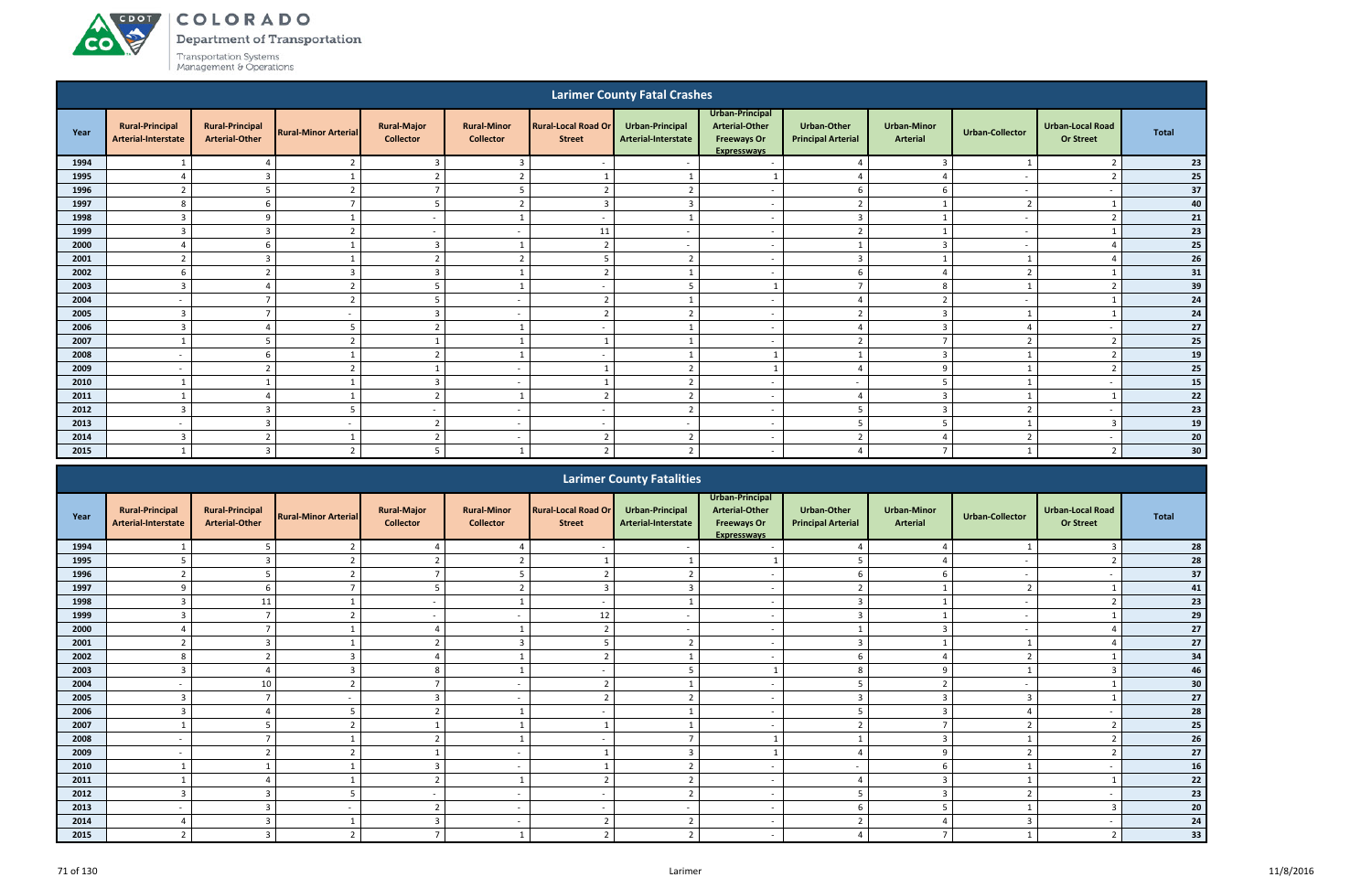ACDOT

**CO** 

Department of Transportation

| <b>Larimer County Fatal Crashes</b> |                                                      |                                                 |                             |                                        |                                        |                                             |                                               |                                                                                      |                                                 |                                |                          |                                             |              |
|-------------------------------------|------------------------------------------------------|-------------------------------------------------|-----------------------------|----------------------------------------|----------------------------------------|---------------------------------------------|-----------------------------------------------|--------------------------------------------------------------------------------------|-------------------------------------------------|--------------------------------|--------------------------|---------------------------------------------|--------------|
| Year                                | <b>Rural-Principal</b><br><b>Arterial-Interstate</b> | <b>Rural-Principal</b><br><b>Arterial-Other</b> | <b>Rural-Minor Arterial</b> | <b>Rural-Major</b><br><b>Collector</b> | <b>Rural-Minor</b><br><b>Collector</b> | <b>Rural-Local Road Or</b><br><b>Street</b> | <b>Urban-Principal</b><br>Arterial-Interstate | Urban-Principal<br><b>Arterial-Other</b><br><b>Freeways Or</b><br><b>Expresswavs</b> | <b>Urban-Other</b><br><b>Principal Arterial</b> | <b>Urban-Minor</b><br>Arterial | <b>Urban-Collector</b>   | <b>Urban-Local Road</b><br><b>Or Street</b> | <b>Total</b> |
| 1994                                | $\mathbf{1}$                                         | 4                                               | $\overline{2}$              | $\overline{3}$                         | $\mathbf{3}$                           | $\sim$                                      | $\sim$                                        | $\overline{a}$                                                                       | $\overline{4}$                                  | $\overline{3}$                 | $\mathbf{1}$             | $\overline{2}$                              | 23           |
| 1995                                |                                                      | -3                                              |                             | $\overline{2}$                         | $\overline{2}$                         |                                             |                                               |                                                                                      | $\overline{a}$                                  | ⊿                              | $\overline{\phantom{a}}$ | $\overline{\phantom{a}}$                    | 25           |
| 1996                                | 2                                                    | -5                                              | $\overline{2}$              | $\overline{7}$                         | 5                                      |                                             | $\overline{2}$                                | $\overline{a}$                                                                       | 6                                               | 6                              | $\overline{\phantom{a}}$ | $\overline{\phantom{a}}$                    | 37           |
| 1997                                | 8                                                    | 6                                               | $\overline{7}$              | 5                                      | $\overline{2}$                         | $\overline{3}$                              | $\overline{3}$                                | $\overline{a}$                                                                       | $\overline{2}$                                  |                                | $\overline{2}$           |                                             | 40           |
| 1998                                | $\mathbf{3}$                                         | q                                               | $\mathbf{1}$                | $\sim$                                 | $\mathbf{1}$                           | $\overline{\phantom{a}}$                    |                                               | $\sim$                                                                               | $\overline{3}$                                  |                                | $\overline{\phantom{a}}$ | $\overline{z}$                              | 21           |
| 1999                                | $\overline{3}$                                       | 3                                               | $\overline{2}$              | $\sim$                                 | $\sim$                                 | 11                                          | $\sim$                                        | $\overline{a}$                                                                       | $\overline{2}$                                  | $\overline{1}$                 | $\sim$                   | $\overline{1}$                              | 23           |
| 2000                                | $\sqrt{2}$                                           | -6                                              | -1                          | $\overline{3}$                         | $\mathbf{1}$                           | $\overline{2}$                              | $\sim$                                        | $\overline{a}$                                                                       | $\mathbf{1}$                                    | $\overline{3}$                 | $\sim$                   |                                             | 25           |
| 2001                                | $\overline{2}$                                       | $\overline{3}$                                  | $\mathbf{1}$                | $\overline{2}$                         | $\overline{2}$                         |                                             | $\overline{2}$                                | $\sim$                                                                               | $\overline{3}$                                  |                                |                          |                                             | 26           |
| 2002                                | 6                                                    | $\overline{2}$                                  | $\overline{3}$              | 3                                      | $\mathbf{1}$                           | $\overline{2}$                              |                                               | $\overline{a}$                                                                       | 6                                               | $\overline{4}$                 | $\overline{2}$           |                                             | 31           |
| 2003                                | $\overline{3}$                                       | $\prime$                                        | $\overline{2}$              | 5                                      | $\mathbf{1}$                           | $\overline{\phantom{a}}$                    | 5                                             |                                                                                      | $\overline{7}$                                  | 8                              |                          | $\overline{2}$                              | 39           |
| 2004                                | $\overline{\phantom{a}}$                             | $\mathbf{z}$                                    | $\overline{2}$              | 5                                      | $\overline{\phantom{0}}$               | $\overline{2}$                              |                                               | $\overline{a}$                                                                       | $\overline{4}$                                  | $\overline{2}$                 | $\overline{\phantom{0}}$ | $\overline{1}$                              | 24           |
| 2005                                | 3                                                    | г.                                              | $\sim$                      | 3                                      | $\overline{a}$                         | ຳ                                           | $\overline{2}$                                | $\overline{a}$                                                                       | $\overline{2}$                                  | $\overline{3}$                 |                          |                                             | 24           |
| 2006                                | $\overline{3}$                                       | Δ                                               | -5                          | $\overline{2}$                         | $\mathbf{1}$                           | $\sim$                                      |                                               | $\overline{a}$                                                                       | $\overline{4}$                                  | $\overline{3}$                 |                          | $\overline{\phantom{a}}$                    | 27           |
| 2007                                | -1                                                   | -5                                              | $\overline{2}$              |                                        | $\mathbf{1}$                           |                                             |                                               | $\overline{a}$                                                                       | $\overline{2}$                                  | $\mathbf{z}$                   | $\mathcal{I}$            | $\overline{2}$                              | 25           |
| 2008                                |                                                      | 6                                               | $\mathbf{1}$                | $\overline{2}$                         | $\mathbf{1}$                           |                                             |                                               |                                                                                      | $\mathbf{1}$                                    | 3                              |                          | - 2                                         | 19           |
| 2009                                |                                                      | $\overline{2}$                                  | $\overline{2}$              |                                        | $\overline{a}$                         |                                             | $\overline{2}$                                |                                                                                      | $\overline{4}$                                  | 9                              |                          | $\overline{2}$                              | 25           |
| 2010                                | -1                                                   |                                                 | $\mathbf{1}$                | $\overline{3}$                         | $\overline{\phantom{0}}$               |                                             | $\overline{2}$                                | $\sim$                                                                               | $\sim$                                          | -5                             |                          | $\overline{a}$                              | 15           |
| 2011                                | 1                                                    | Δ                                               | $\mathbf{1}$                | $\overline{2}$                         | $\mathbf{1}$                           | $\overline{2}$                              | $\overline{2}$                                | $\overline{a}$                                                                       | $\overline{4}$                                  | $\overline{3}$                 |                          | $\overline{1}$                              | 22           |
| 2012                                | 3                                                    | $\overline{3}$                                  | 5                           | $\sim$                                 | $\overline{\phantom{a}}$               | $\overline{\phantom{a}}$                    | $\overline{2}$                                | $\overline{\phantom{a}}$                                                             | 5                                               | 3                              | ຳ                        | $\overline{\phantom{a}}$                    | 23           |
| 2013                                |                                                      | 3                                               | $\overline{\phantom{a}}$    | $\overline{2}$                         | $\overline{\phantom{a}}$               | $\overline{\phantom{a}}$                    | $\overline{\phantom{a}}$                      | $\overline{a}$                                                                       | 5                                               | 5                              |                          | $\mathbf{B}$                                | 19           |
| 2014                                | $\overline{3}$                                       | 2                                               | $\mathbf{1}$                | $\overline{2}$                         | $\overline{\phantom{a}}$               | ി                                           | $\overline{2}$                                | $\overline{\phantom{a}}$                                                             | $\overline{2}$                                  | 4                              | $\overline{2}$           | $\overline{\phantom{a}}$                    | 20           |
| 2015                                | $\mathbf{1}$                                         | 3                                               | $\overline{2}$              | .5                                     |                                        |                                             | $\overline{2}$                                | $\overline{\phantom{a}}$                                                             | $\overline{4}$                                  | $\overline{7}$                 |                          | $\overline{2}$                              | 30           |
|                                     |                                                      |                                                 |                             |                                        |                                        |                                             | <b>Larimer County Fatalities</b>              |                                                                                      |                                                 |                                |                          |                                             |              |
|                                     |                                                      |                                                 |                             |                                        |                                        |                                             |                                               | Urban-Principal                                                                      |                                                 |                                |                          |                                             |              |

|      | <b>LATTLICE COUTLY FALATILICS</b>             |                                                 |                             |                                        |                                        |                                             |                                        |                                                                                      |                                                 |                                       |                 |                                             |       |
|------|-----------------------------------------------|-------------------------------------------------|-----------------------------|----------------------------------------|----------------------------------------|---------------------------------------------|----------------------------------------|--------------------------------------------------------------------------------------|-------------------------------------------------|---------------------------------------|-----------------|---------------------------------------------|-------|
| Year | <b>Rural-Principal</b><br>Arterial-Interstate | <b>Rural-Principal</b><br><b>Arterial-Other</b> | <b>Rural-Minor Arterial</b> | <b>Rural-Major</b><br><b>Collector</b> | <b>Rural-Minor</b><br><b>Collector</b> | <b>Rural-Local Road Or</b><br><b>Street</b> | Urban-Principal<br>Arterial-Interstate | Urban-Principal<br><b>Arterial-Other</b><br><b>Freeways Or</b><br><b>Expresswavs</b> | <b>Urban-Other</b><br><b>Principal Arterial</b> | <b>Urban-Minor</b><br><b>Arterial</b> | Urban-Collector | <b>Urban-Local Road</b><br><b>Or Street</b> | Total |
| 1994 |                                               |                                                 |                             |                                        |                                        |                                             |                                        |                                                                                      |                                                 |                                       |                 |                                             | 28    |
| 1995 |                                               | Ê                                               |                             |                                        |                                        |                                             |                                        |                                                                                      |                                                 |                                       |                 |                                             | 28    |
| 1996 |                                               |                                                 |                             |                                        |                                        |                                             |                                        | $\overline{\phantom{0}}$                                                             |                                                 |                                       |                 |                                             | 37    |
| 1997 | 9                                             | 6                                               |                             |                                        |                                        |                                             |                                        | $\overline{\phantom{a}}$                                                             | 2                                               |                                       |                 |                                             | 41    |
| 1998 | $\mathbf{3}$                                  | 11                                              |                             | $\sim$                                 |                                        |                                             |                                        | $\overline{\phantom{0}}$                                                             | $\overline{3}$                                  |                                       |                 |                                             | 23    |
| 1999 | 3                                             |                                                 |                             |                                        |                                        | 12                                          |                                        | $\overline{\phantom{a}}$                                                             |                                                 |                                       |                 |                                             | 29    |
| 2000 |                                               |                                                 |                             |                                        |                                        |                                             |                                        |                                                                                      |                                                 |                                       |                 |                                             | 27    |
| 2001 |                                               | ຳ                                               |                             |                                        |                                        |                                             |                                        | $\overline{\phantom{a}}$                                                             |                                                 |                                       |                 |                                             | 27    |
| 2002 | 8                                             |                                                 | $\mathbf{a}$                |                                        |                                        |                                             |                                        | $\overline{\phantom{a}}$                                                             | 6                                               |                                       |                 |                                             | 34    |
| 2003 | $\overline{3}$                                |                                                 | 3                           | -8                                     |                                        |                                             |                                        |                                                                                      | 8                                               |                                       |                 |                                             | 46    |
| 2004 |                                               | 10                                              | $\overline{2}$              |                                        |                                        |                                             |                                        | $\overline{\phantom{a}}$                                                             |                                                 |                                       |                 |                                             | 30    |
| 2005 | $\overline{3}$                                |                                                 |                             |                                        |                                        |                                             |                                        | $\overline{\phantom{a}}$                                                             | $\overline{3}$                                  |                                       | ς               |                                             | 27    |
| 2006 |                                               |                                                 |                             |                                        |                                        |                                             |                                        |                                                                                      |                                                 |                                       |                 |                                             | 28    |
| 2007 |                                               |                                                 |                             |                                        |                                        |                                             |                                        | $\overline{\phantom{a}}$                                                             | ຳ                                               |                                       |                 |                                             | 25    |
| 2008 |                                               |                                                 |                             |                                        |                                        |                                             |                                        |                                                                                      |                                                 |                                       |                 |                                             | 26    |
| 2009 |                                               |                                                 |                             |                                        |                                        |                                             |                                        |                                                                                      |                                                 | $\Omega$                              |                 |                                             | 27    |
| 2010 | $\mathbf{1}$                                  |                                                 |                             |                                        |                                        |                                             |                                        |                                                                                      |                                                 |                                       |                 |                                             | 16    |
| 2011 |                                               |                                                 |                             |                                        |                                        |                                             |                                        | $\overline{\phantom{a}}$                                                             |                                                 |                                       |                 |                                             | $22$  |
| 2012 | $\overline{3}$                                | $\mathbf{\Omega}$                               |                             |                                        |                                        |                                             |                                        | $\overline{\phantom{a}}$                                                             |                                                 |                                       |                 |                                             | 23    |
| 2013 |                                               | P                                               |                             |                                        | $\overline{\phantom{0}}$               |                                             |                                        | $\overline{\phantom{0}}$                                                             | $6 \overline{6}$                                |                                       |                 |                                             | 20    |
| 2014 | $\overline{4}$                                | $\overline{3}$                                  |                             |                                        | $\overline{\phantom{0}}$               |                                             | ຳ                                      | $\overline{\phantom{a}}$                                                             | $\overline{2}$                                  |                                       |                 |                                             | 24    |
| 2015 | $\overline{2}$                                | $\overline{3}$                                  | $\overline{2}$              |                                        |                                        |                                             | $\mathbf{\Omega}$                      |                                                                                      |                                                 | $\overline{ }$                        |                 |                                             | 33    |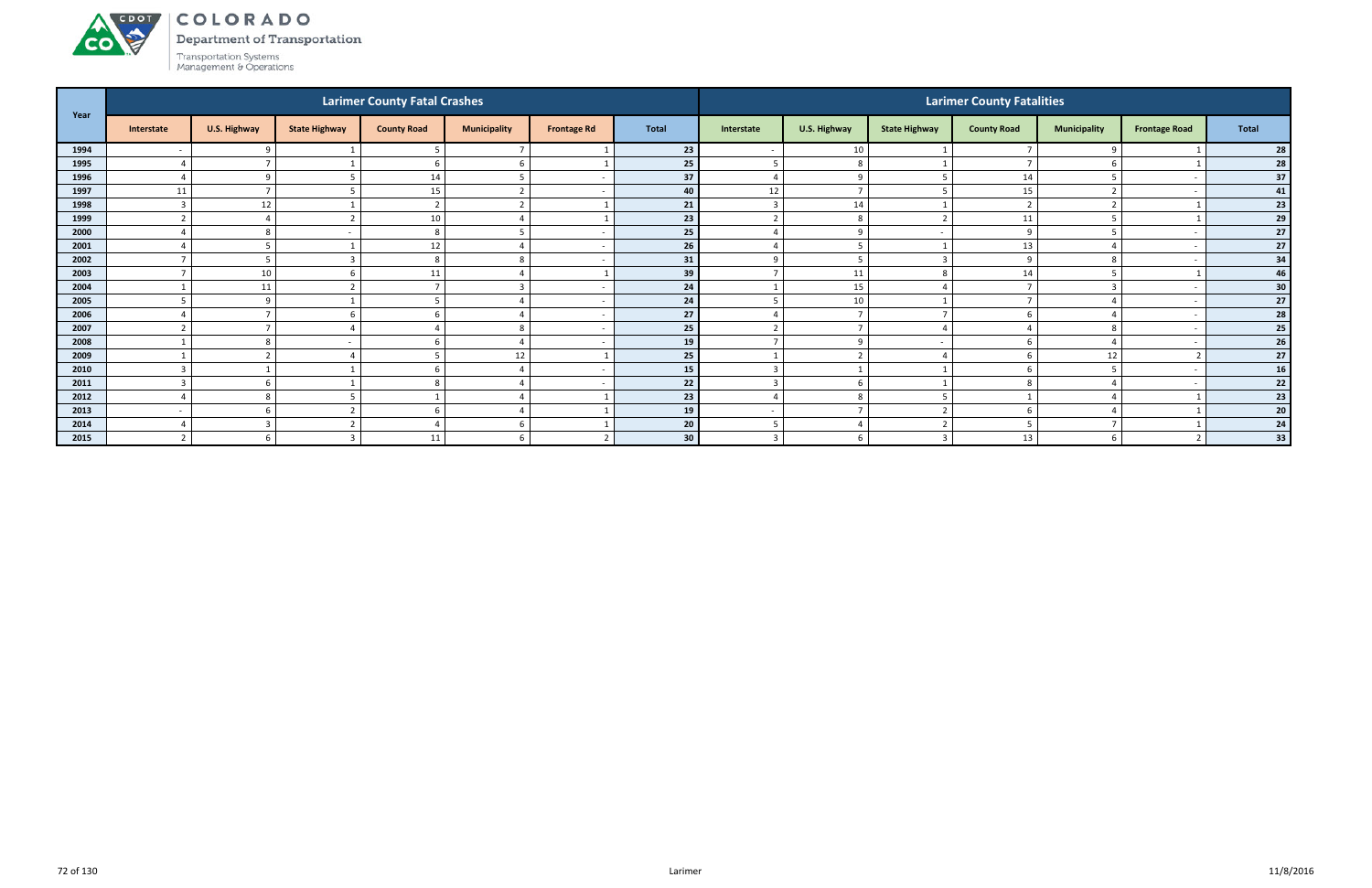#### ACDOT COLORADO

Department of Transportation



|      |                |                          |                      | <b>Larimer County Fatal Crashes</b> |                          |                    |                 | <b>Larimer County Fatalities</b> |                |                          |                    |                     |                          |            |  |  |
|------|----------------|--------------------------|----------------------|-------------------------------------|--------------------------|--------------------|-----------------|----------------------------------|----------------|--------------------------|--------------------|---------------------|--------------------------|------------|--|--|
| Year | Interstate     | U.S. Highway             | <b>State Highway</b> | <b>County Road</b>                  | <b>Municipality</b>      | <b>Frontage Rd</b> | <b>Total</b>    | Interstate                       | U.S. Highway   | <b>State Highway</b>     | <b>County Road</b> | <b>Municipality</b> | <b>Frontage Road</b>     | Total      |  |  |
| 1994 |                | $\Omega$                 |                      |                                     |                          |                    | 23              |                                  | 10             |                          |                    | 9                   |                          | 28         |  |  |
| 1995 |                |                          |                      | -6                                  | 6                        |                    | 25              | 5                                | 8              |                          |                    | 6                   |                          | 28         |  |  |
| 1996 |                | $\Omega$                 |                      | 14                                  |                          |                    | 37              |                                  | -9             |                          | 14                 | 5                   |                          | 37         |  |  |
| 1997 | $11\,$         |                          |                      | 15                                  | $\mathbf{r}$             |                    | 40              | 12                               | $\overline{7}$ |                          | 15                 | $\overline{2}$      |                          | 41         |  |  |
| 1998 | $\overline{3}$ | 12                       |                      | $\overline{2}$                      | $\overline{\phantom{a}}$ |                    | 21              | $\overline{3}$                   | 14             |                          |                    | $\overline{2}$      |                          | 23         |  |  |
| 1999 |                |                          |                      | 10                                  |                          |                    | 23              | $\overline{2}$                   | 8              | $\overline{\phantom{a}}$ | 11                 | 5                   |                          | 29         |  |  |
| 2000 |                |                          |                      | 8                                   |                          |                    | 25              |                                  | $\mathbf{q}$   |                          | $\Omega$           |                     |                          | 27         |  |  |
| 2001 |                |                          |                      | 12                                  |                          |                    | 26              |                                  |                |                          | 13                 |                     |                          | 27         |  |  |
| 2002 |                |                          |                      | 8                                   | 8                        |                    | 31              | 9                                | - 5            | E                        | C                  | 8                   |                          | 34         |  |  |
| 2003 |                | 10                       |                      | 11                                  |                          |                    | 39              | $\overline{7}$                   | 11             | 8                        | 14                 | 5                   |                          | 46         |  |  |
| 2004 |                | 11                       |                      | $\overline{\phantom{a}}$            |                          |                    | 24              |                                  | 15             |                          |                    | $\overline{3}$      |                          | 30         |  |  |
| 2005 |                | $\circ$                  |                      |                                     |                          |                    | 24              |                                  | 10             |                          |                    |                     |                          | 27         |  |  |
| 2006 |                |                          |                      |                                     |                          |                    | 27              |                                  | - 7            |                          |                    |                     |                          | 28         |  |  |
| 2007 |                |                          |                      |                                     | 8                        |                    | 25              | $\overline{2}$                   | $\overline{7}$ |                          |                    | 8                   | $\overline{\phantom{a}}$ | 25         |  |  |
| 2008 |                | -8                       |                      | $\mathbf b$                         |                          |                    | 19              | $\overline{7}$                   | -9             | $\overline{\phantom{a}}$ |                    | $\overline{4}$      |                          | ${\bf 26}$ |  |  |
| 2009 |                |                          |                      |                                     | 12                       |                    | 25              |                                  | $\overline{2}$ |                          |                    | 12                  |                          | 27         |  |  |
| 2010 |                |                          |                      | h                                   |                          |                    | 15              | 3                                |                |                          |                    | 5                   |                          | 16         |  |  |
| 2011 |                |                          |                      |                                     |                          |                    | 22              | $\overline{3}$                   | 6              |                          |                    |                     |                          | 22         |  |  |
| 2012 |                |                          |                      |                                     |                          |                    | 23              |                                  | -8             |                          |                    |                     |                          | 23         |  |  |
| 2013 | $\sim$         |                          |                      | -6                                  |                          |                    | 19              | $\overline{\phantom{a}}$         |                |                          |                    | 4                   |                          | 20         |  |  |
| 2014 |                | $\overline{\phantom{a}}$ | ∠                    |                                     | 6                        |                    | 20 <sup>1</sup> | - 5                              |                | ຳ                        |                    | $\overline{7}$      |                          | 24         |  |  |
| 2015 |                |                          |                      | 11                                  |                          |                    | 30 <sup>°</sup> | $\overline{3}$                   | -6             |                          | 13                 | 6                   |                          | 33         |  |  |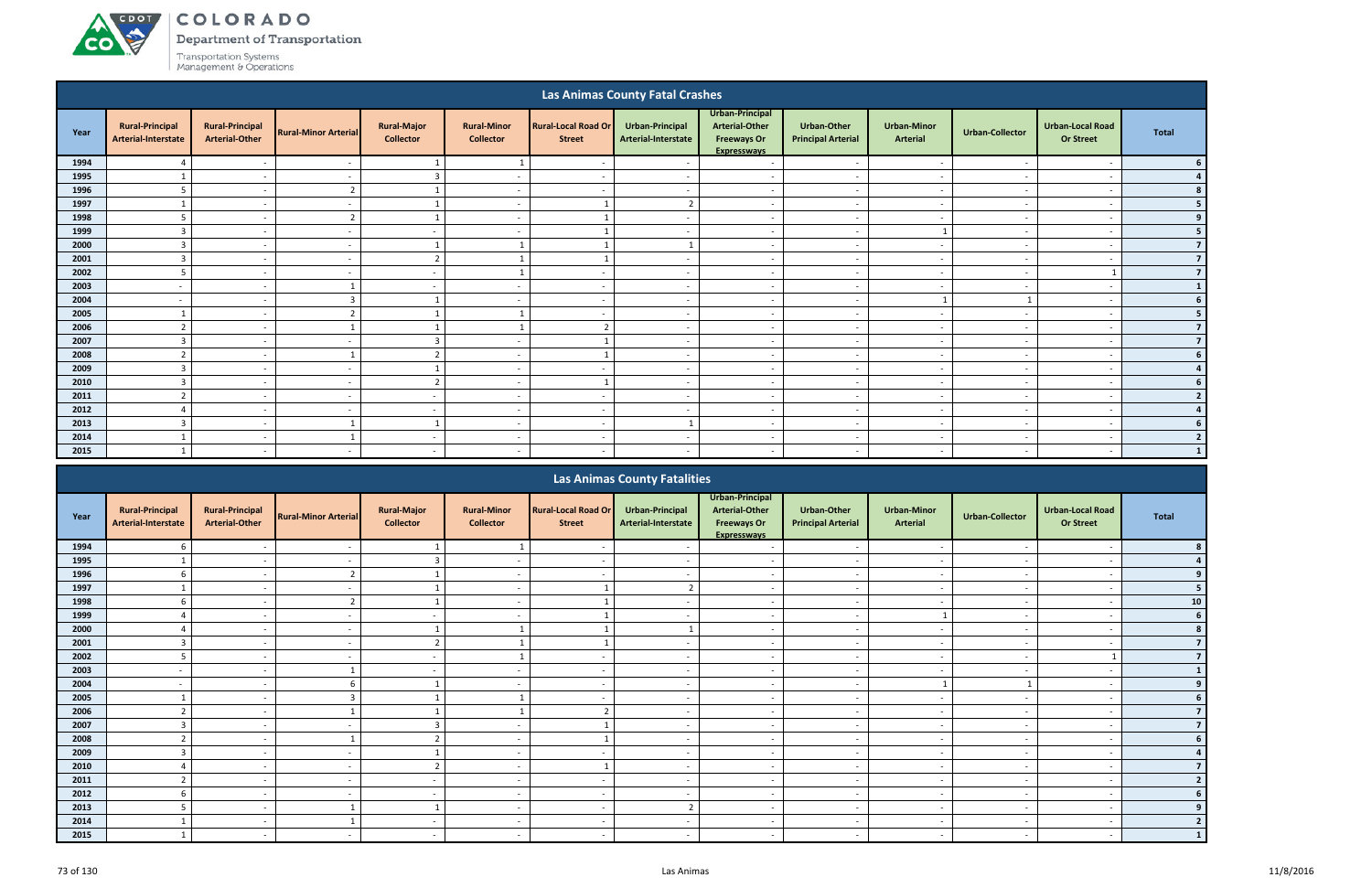ACDOL

**CO** 

**Department of Transportation** 

|                                                                                                                                                                                                                                                                                                                                                        |                                               |                                                 |                             |                                        |                                        |                                             | <b>Las Animas County Fatal Crashes</b> |                                                                                      |                                                 |                                       |                          |                                             |                          |
|--------------------------------------------------------------------------------------------------------------------------------------------------------------------------------------------------------------------------------------------------------------------------------------------------------------------------------------------------------|-----------------------------------------------|-------------------------------------------------|-----------------------------|----------------------------------------|----------------------------------------|---------------------------------------------|----------------------------------------|--------------------------------------------------------------------------------------|-------------------------------------------------|---------------------------------------|--------------------------|---------------------------------------------|--------------------------|
| Year                                                                                                                                                                                                                                                                                                                                                   | <b>Rural-Principal</b><br>Arterial-Interstate | <b>Rural-Principal</b><br><b>Arterial-Other</b> | <b>Rural-Minor Arterial</b> | <b>Rural-Major</b><br><b>Collector</b> | <b>Rural-Minor</b><br><b>Collector</b> | <b>Rural-Local Road Or</b><br><b>Street</b> | Urban-Principal<br>Arterial-Interstate | Urban-Principal<br><b>Arterial-Other</b><br><b>Freeways Or</b><br><b>Expresswavs</b> | <b>Urban-Other</b><br><b>Principal Arterial</b> | <b>Urban-Minor</b><br><b>Arterial</b> | <b>Urban-Collector</b>   | <b>Urban-Local Road</b><br><b>Or Street</b> | <b>Total</b>             |
| 1994                                                                                                                                                                                                                                                                                                                                                   | $\boldsymbol{A}$                              |                                                 |                             |                                        | 1                                      |                                             |                                        | $\overline{\phantom{a}}$                                                             |                                                 | $\overline{\phantom{a}}$              |                          |                                             |                          |
| 1995                                                                                                                                                                                                                                                                                                                                                   |                                               | $\sim$                                          | $\overline{\phantom{a}}$    | 3                                      | $\overline{\phantom{0}}$               | $\overline{\phantom{a}}$                    | $\overline{\phantom{a}}$               | $\overline{a}$                                                                       | $\overline{\phantom{a}}$                        | $\overline{a}$                        | $\overline{\phantom{a}}$ | $\overline{\phantom{a}}$                    |                          |
| 1996                                                                                                                                                                                                                                                                                                                                                   | 5                                             | $\sim$                                          | $\overline{2}$              | 1                                      | $\overline{\phantom{0}}$               | $\overline{\phantom{a}}$                    |                                        | $\overline{a}$                                                                       | $\overline{\phantom{a}}$                        | $\overline{\phantom{a}}$              | $\overline{\phantom{a}}$ | - -                                         |                          |
| 1997                                                                                                                                                                                                                                                                                                                                                   |                                               | $\overline{\phantom{a}}$                        |                             |                                        |                                        |                                             | $\mathbf{\Omega}$                      | $\overline{a}$                                                                       |                                                 | $\overline{\phantom{a}}$              |                          | $\overline{\phantom{a}}$                    |                          |
| 1998                                                                                                                                                                                                                                                                                                                                                   | 5                                             | $\sim$                                          | $\overline{2}$              |                                        | $\overline{\phantom{a}}$               |                                             |                                        | $\overline{\phantom{a}}$                                                             | $\overline{\phantom{a}}$                        | $\sim$                                | $\sim$                   | $\overline{\phantom{a}}$                    |                          |
| 1999                                                                                                                                                                                                                                                                                                                                                   | 3                                             | $\sim$                                          |                             | $\sim$                                 | $\overline{\phantom{a}}$               |                                             |                                        | $\overline{\phantom{a}}$                                                             | $\overline{\phantom{a}}$                        |                                       | $\overline{\phantom{a}}$ | $\overline{\phantom{a}}$                    |                          |
| 2000<br>$\overline{3}$<br>1<br>$\overline{a}$<br>$\overline{\phantom{0}}$<br>$\sim$<br>$\overline{\phantom{0}}$<br>$\sim$<br>$\overline{\phantom{a}}$<br>3<br>$\overline{2}$<br>$\sim$<br>$\overline{\phantom{a}}$<br>$\sim$<br>$\overline{\phantom{a}}$<br>$\sim$<br>$\overline{\phantom{a}}$<br>$\overline{\phantom{a}}$<br>$\overline{\phantom{a}}$ |                                               |                                                 |                             |                                        |                                        |                                             |                                        |                                                                                      |                                                 |                                       |                          |                                             |                          |
| 2001<br>$\mathbf{1}$                                                                                                                                                                                                                                                                                                                                   |                                               |                                                 |                             |                                        |                                        |                                             |                                        |                                                                                      |                                                 |                                       |                          |                                             | $\overline{7}$           |
| 2002                                                                                                                                                                                                                                                                                                                                                   | 5                                             | $\sim$                                          | $\sim$                      | $\sim$                                 |                                        | $\overline{\phantom{a}}$                    | $\overline{\phantom{a}}$               | $\overline{a}$                                                                       | $\overline{\phantom{a}}$                        | $\sim$                                | $\sim$                   |                                             | $\overline{7}$           |
| 2003                                                                                                                                                                                                                                                                                                                                                   |                                               | $\sim$                                          |                             | $\sim$                                 | $\overline{\phantom{0}}$               | $\overline{\phantom{a}}$                    |                                        | $\sim$                                                                               | $\overline{\phantom{0}}$                        | $\overline{\phantom{a}}$              |                          | $\overline{\phantom{a}}$                    | $\mathbf{1}$             |
| 2004                                                                                                                                                                                                                                                                                                                                                   |                                               | $\sim$                                          | 3                           |                                        |                                        |                                             |                                        | $\overline{\phantom{a}}$                                                             |                                                 |                                       |                          |                                             |                          |
| 2005                                                                                                                                                                                                                                                                                                                                                   |                                               | $\sim$                                          | $\mathbf{r}$                |                                        |                                        |                                             |                                        | $\overline{\phantom{a}}$                                                             | $\overline{\phantom{a}}$                        | $\overline{\phantom{a}}$              |                          | $\overline{\phantom{a}}$                    |                          |
| 2006                                                                                                                                                                                                                                                                                                                                                   | ຳ                                             | $\sim$                                          |                             |                                        |                                        |                                             |                                        | $\overline{a}$                                                                       | $\overline{\phantom{a}}$                        | $\sim$                                |                          | $\overline{\phantom{a}}$                    | 7                        |
| 2007                                                                                                                                                                                                                                                                                                                                                   | 3                                             | $\sim$                                          |                             | 3                                      | $\overline{\phantom{a}}$               |                                             |                                        | $\overline{\phantom{a}}$                                                             | $\overline{a}$                                  | $\sim$                                | $\sim$                   | $\overline{\phantom{a}}$                    |                          |
| 2008                                                                                                                                                                                                                                                                                                                                                   | $\overline{2}$                                | $\sim$                                          | -1                          | $\overline{2}$                         | $\overline{\phantom{a}}$               |                                             |                                        | $\overline{\phantom{a}}$                                                             | $\overline{a}$                                  | $\sim$                                | $\sim$                   | $\overline{\phantom{a}}$                    |                          |
| 2009                                                                                                                                                                                                                                                                                                                                                   | 3                                             | $\sim$                                          | $\overline{\phantom{a}}$    |                                        | $\overline{\phantom{0}}$               | $\overline{\phantom{a}}$                    | $\overline{\phantom{a}}$               | $\overline{a}$                                                                       | - -                                             | $\overline{\phantom{a}}$              | $\overline{\phantom{a}}$ | $\overline{\phantom{a}}$                    |                          |
| 2010                                                                                                                                                                                                                                                                                                                                                   | $\overline{3}$                                | $\overline{\phantom{a}}$                        |                             | $\overline{2}$                         | $\overline{\phantom{0}}$               |                                             |                                        | $\overline{a}$                                                                       | $\overline{\phantom{0}}$                        | $\sim$                                | $\overline{\phantom{a}}$ | $\overline{\phantom{a}}$                    |                          |
| 2011                                                                                                                                                                                                                                                                                                                                                   | $\mathbf{r}$                                  | $\overline{\phantom{a}}$                        |                             | $\sim$                                 |                                        |                                             |                                        | $\overline{\phantom{a}}$                                                             |                                                 | $\overline{\phantom{a}}$              |                          |                                             | $\overline{\phantom{a}}$ |
| 2012                                                                                                                                                                                                                                                                                                                                                   |                                               | $\sim$                                          |                             | $\sim$                                 | $\overline{\phantom{a}}$               | $\overline{\phantom{a}}$                    |                                        | $\overline{\phantom{a}}$                                                             | $\overline{\phantom{a}}$                        | $\overline{\phantom{a}}$              |                          | $\overline{\phantom{a}}$                    |                          |
| 2013                                                                                                                                                                                                                                                                                                                                                   | 3                                             | $\sim$                                          |                             |                                        | $\overline{\phantom{a}}$               | $\overline{\phantom{a}}$                    |                                        | $\overline{\phantom{a}}$                                                             | $\overline{\phantom{a}}$                        | $\overline{\phantom{a}}$              | ٠.                       | $\overline{\phantom{a}}$                    |                          |
| 2014                                                                                                                                                                                                                                                                                                                                                   |                                               | $-$                                             |                             | $\sim$                                 | $\sim$                                 | $\sim$                                      | $\sim$                                 | $\sim$                                                                               | $\overline{\phantom{0}}$                        | $\sim$                                | $\sim$                   | $\overline{\phantom{a}}$                    |                          |
| 2015                                                                                                                                                                                                                                                                                                                                                   | $\mathbf{1}$                                  | $\sim$                                          |                             | $\sim$                                 | $\overline{\phantom{a}}$               | $\sim$                                      |                                        | $\sim$                                                                               | $\sim$                                          | $\sim$                                | $\overline{\phantom{a}}$ | . .                                         |                          |
|                                                                                                                                                                                                                                                                                                                                                        |                                               |                                                 |                             |                                        |                                        |                                             | Lon Animon County Fotolition           |                                                                                      |                                                 |                                       |                          |                                             |                          |

|      |                                               |                                                 |                             |                                        |                                        |                                             | <b>Las Animas County Fatalities</b>    |                                                                                      |                                                 |                                       |                          |                                             |            |
|------|-----------------------------------------------|-------------------------------------------------|-----------------------------|----------------------------------------|----------------------------------------|---------------------------------------------|----------------------------------------|--------------------------------------------------------------------------------------|-------------------------------------------------|---------------------------------------|--------------------------|---------------------------------------------|------------|
| Year | <b>Rural-Principal</b><br>Arterial-Interstate | <b>Rural-Principal</b><br><b>Arterial-Other</b> | <b>Rural-Minor Arterial</b> | <b>Rural-Major</b><br><b>Collector</b> | <b>Rural-Minor</b><br><b>Collector</b> | <b>Rural-Local Road Or</b><br><b>Street</b> | Urban-Principal<br>Arterial-Interstate | Urban-Principal<br><b>Arterial-Other</b><br><b>Freeways Or</b><br><b>Expresswavs</b> | <b>Urban-Other</b><br><b>Principal Arterial</b> | <b>Urban-Minor</b><br><b>Arterial</b> | <b>Urban-Collector</b>   | <b>Urban-Local Road</b><br><b>Or Street</b> | Total      |
| 1994 | 6                                             |                                                 |                             |                                        |                                        |                                             |                                        |                                                                                      |                                                 |                                       |                          |                                             |            |
| 1995 |                                               |                                                 |                             |                                        |                                        |                                             |                                        |                                                                                      |                                                 |                                       |                          |                                             |            |
| 1996 | 6                                             | $\sim$                                          |                             |                                        | $\overline{\phantom{a}}$               | $\overline{\phantom{a}}$                    |                                        | $\overline{\phantom{a}}$                                                             | $\overline{\phantom{a}}$                        | $\sim$                                |                          | $\overline{\phantom{a}}$                    |            |
| 1997 |                                               |                                                 |                             |                                        | $\overline{\phantom{0}}$               |                                             |                                        | $\overline{\phantom{0}}$                                                             | $\overline{\phantom{0}}$                        |                                       |                          |                                             |            |
| 1998 | 6                                             |                                                 |                             |                                        |                                        |                                             |                                        |                                                                                      | $\overline{\phantom{a}}$                        |                                       |                          |                                             | ${\bf 10}$ |
| 1999 |                                               | $\overline{\phantom{0}}$                        |                             | $\sim$                                 | $\overline{\phantom{a}}$               |                                             |                                        | $\overline{\phantom{a}}$                                                             | $\overline{\phantom{a}}$                        |                                       |                          | $\overline{\phantom{a}}$                    |            |
| 2000 |                                               |                                                 |                             |                                        |                                        |                                             |                                        |                                                                                      |                                                 |                                       |                          |                                             |            |
| 2001 | 3                                             | $\sim$                                          |                             |                                        |                                        |                                             |                                        | $\overline{\phantom{a}}$                                                             | $\overline{\phantom{a}}$                        | $\overline{\phantom{a}}$              |                          | $\overline{\phantom{0}}$                    |            |
| 2002 | 5                                             |                                                 |                             | $\sim$                                 |                                        | $\overline{\phantom{a}}$                    |                                        | $\overline{\phantom{0}}$                                                             | $\overline{\phantom{a}}$                        | $\overline{\phantom{a}}$              |                          |                                             |            |
| 2003 |                                               |                                                 |                             |                                        |                                        | $\overline{\phantom{a}}$                    |                                        | $\overline{\phantom{a}}$                                                             |                                                 |                                       |                          |                                             |            |
| 2004 |                                               | $\sim$                                          |                             |                                        | $\overline{\phantom{a}}$               | $\sim$                                      |                                        | $\overline{\phantom{a}}$                                                             | $\overline{\phantom{a}}$                        |                                       |                          | $\overline{\phantom{a}}$                    |            |
| 2005 |                                               |                                                 |                             |                                        |                                        |                                             |                                        | $\overline{\phantom{0}}$                                                             |                                                 |                                       |                          |                                             |            |
| 2006 | $\mathcal{D}$                                 | $\sim$                                          |                             |                                        |                                        | ີ                                           | $\overline{\phantom{a}}$               | $\overline{\phantom{a}}$                                                             | $\overline{\phantom{a}}$                        | $\sim$                                | $\overline{\phantom{a}}$ | $\overline{\phantom{a}}$                    |            |
| 2007 | $\mathbf{\Omega}$                             |                                                 |                             |                                        |                                        |                                             |                                        | $\overline{\phantom{a}}$                                                             |                                                 |                                       |                          |                                             |            |
| 2008 |                                               |                                                 |                             |                                        | $\overline{\phantom{a}}$               |                                             |                                        | $\overline{\phantom{a}}$                                                             | $\overline{\phantom{a}}$                        | $\overline{\phantom{a}}$              |                          | $\overline{\phantom{a}}$                    |            |
| 2009 |                                               |                                                 |                             |                                        | $\overline{\phantom{0}}$               |                                             |                                        | $\overline{\phantom{0}}$                                                             | $\overline{\phantom{a}}$                        |                                       |                          |                                             |            |
| 2010 |                                               |                                                 |                             |                                        | $\overline{\phantom{0}}$               |                                             |                                        | $\overline{\phantom{0}}$                                                             | $\overline{\phantom{0}}$                        |                                       |                          |                                             |            |
| 2011 | $\overline{2}$                                | $\sim$                                          | $\sim$                      | $\sim$                                 | $\overline{a}$                         | $\overline{\phantom{0}}$                    | $\overline{\phantom{a}}$               | $\overline{\phantom{a}}$                                                             | $\overline{\phantom{a}}$                        | $\sim$                                | $\overline{\phantom{a}}$ | $\overline{\phantom{a}}$                    |            |
| 2012 | 6                                             |                                                 |                             | $\sim$                                 | $\overline{\phantom{0}}$               | $\overline{\phantom{0}}$                    |                                        | $\overline{\phantom{0}}$                                                             | $\overline{\phantom{a}}$                        | $\overline{\phantom{a}}$              |                          | $\overline{\phantom{a}}$                    |            |
| 2013 |                                               | $\sim$                                          |                             |                                        | $\overline{\phantom{0}}$               | $\sim$                                      | $\mathbf{r}$                           | $\overline{\phantom{0}}$                                                             | $\overline{\phantom{a}}$                        | $\overline{\phantom{a}}$              |                          | $\overline{\phantom{a}}$                    |            |
| 2014 |                                               | $\sim$                                          |                             | $\sim$                                 | $\overline{\phantom{0}}$               | $\sim$                                      |                                        | $\sim$                                                                               | $\overline{\phantom{a}}$                        | $\overline{\phantom{a}}$              |                          | $\overline{\phantom{a}}$                    |            |
| 2015 |                                               |                                                 |                             |                                        |                                        | $\overline{\phantom{a}}$                    |                                        |                                                                                      |                                                 |                                       |                          |                                             |            |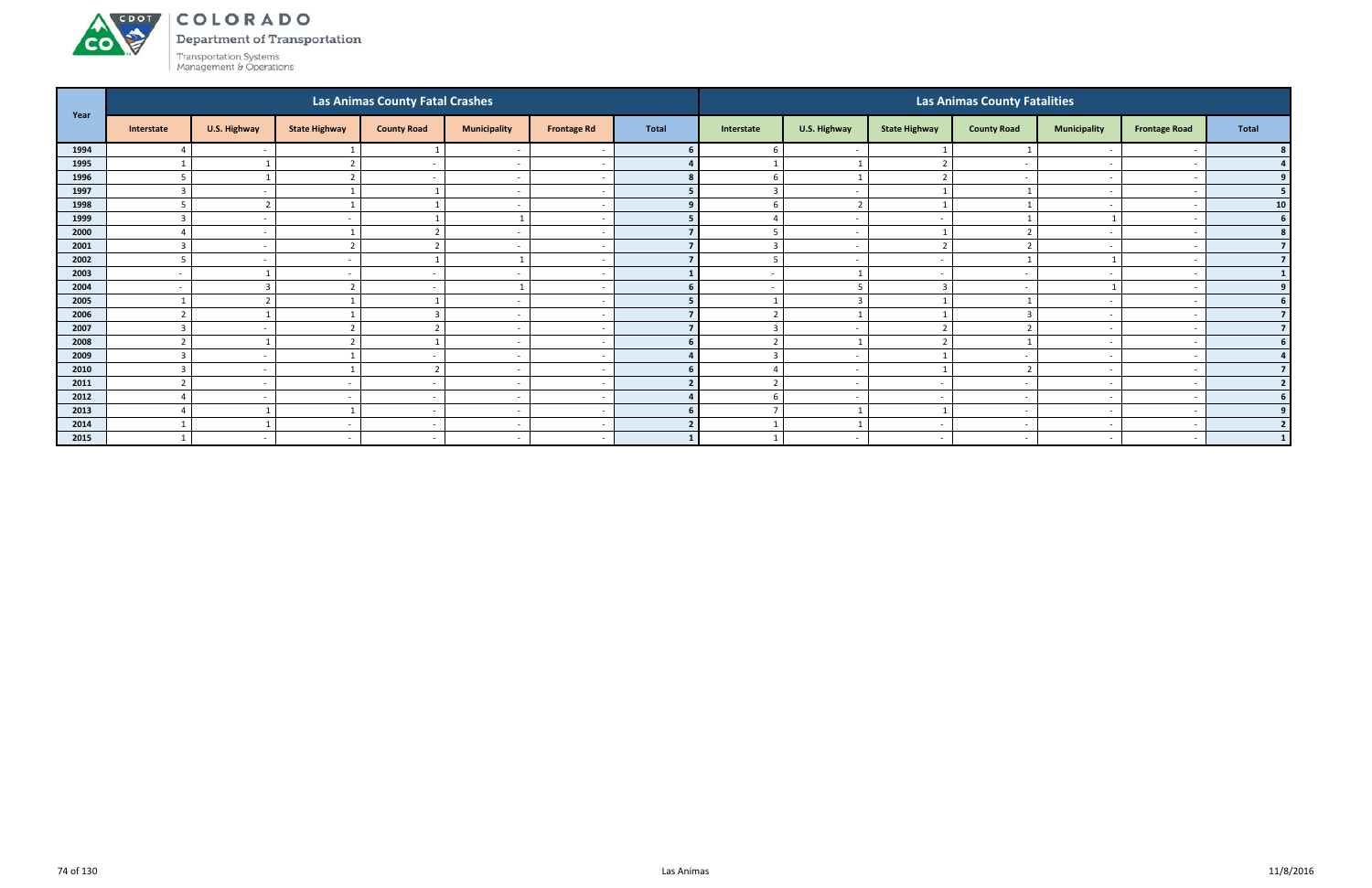Department of Transportation



|      |                          |                          |                          | <b>Las Animas County Fatal Crashes</b> |                          |                    |              |                          |                          |                          | <b>Las Animas County Fatalities</b> |                          |                          |                 |
|------|--------------------------|--------------------------|--------------------------|----------------------------------------|--------------------------|--------------------|--------------|--------------------------|--------------------------|--------------------------|-------------------------------------|--------------------------|--------------------------|-----------------|
| Year | Interstate               | U.S. Highway             | <b>State Highway</b>     | <b>County Road</b>                     | <b>Municipality</b>      | <b>Frontage Rd</b> | <b>Total</b> | Interstate               | U.S. Highway             | <b>State Highway</b>     | <b>County Road</b>                  | <b>Municipality</b>      | <b>Frontage Road</b>     | Total           |
| 1994 |                          | $\sim$                   |                          |                                        | $\overline{\phantom{a}}$ |                    |              | -6                       | $\overline{a}$           |                          |                                     |                          |                          |                 |
| 1995 |                          |                          |                          | $\sim$                                 | $\overline{a}$           |                    |              |                          |                          |                          | $\sim$                              | $\overline{\phantom{0}}$ | $\overline{\phantom{a}}$ | 4 <sup>1</sup>  |
| 1996 | 5                        |                          |                          |                                        | $\overline{a}$           |                    |              | 6                        | $\overline{\phantom{0}}$ | $\mathbf{r}$             |                                     | $\overline{\phantom{a}}$ |                          | 9 <sub>1</sub>  |
| 1997 | $\overline{3}$           |                          |                          |                                        | $\overline{a}$           |                    |              | $\overline{3}$           | $\overline{a}$           |                          |                                     | $\overline{\phantom{0}}$ |                          | 5 <sub>1</sub>  |
| 1998 |                          | r.                       |                          |                                        | $\overline{a}$           |                    |              | -6                       | ຳ                        |                          |                                     | $\overline{\phantom{0}}$ |                          | 10              |
| 1999 |                          | $\overline{\phantom{a}}$ |                          |                                        |                          |                    |              |                          | $\overline{a}$           |                          |                                     |                          |                          | 6               |
| 2000 |                          | $\sim$                   |                          | $\overline{2}$                         | $\sim$                   |                    |              | 5                        | $\sim$                   |                          |                                     | $\overline{\phantom{0}}$ | $\overline{a}$           | 8 <sup>1</sup>  |
| 2001 | $\overline{3}$           | $\sim$                   |                          | $\overline{2}$                         | $\overline{a}$           |                    |              | $\overline{3}$           | $\overline{a}$           | $\overline{ }$           |                                     | $\overline{\phantom{a}}$ |                          | 7 <sup>1</sup>  |
| 2002 | -5                       | $\overline{\phantom{0}}$ | $\overline{\phantom{0}}$ |                                        |                          |                    |              | 5                        | $\overline{a}$           | $\sim$                   |                                     |                          |                          | 7 <sup>1</sup>  |
| 2003 | $\overline{\phantom{a}}$ |                          |                          |                                        | $\overline{a}$           |                    |              | $\overline{\phantom{a}}$ |                          | $\overline{\phantom{0}}$ | <b>.</b>                            | $\overline{\phantom{0}}$ |                          | 1               |
| 2004 | $\overline{\phantom{a}}$ |                          |                          |                                        |                          |                    |              |                          |                          |                          |                                     |                          |                          | 9               |
| 2005 |                          | ຳ                        |                          |                                        | $\sim$                   |                    |              |                          | $\overline{3}$           |                          |                                     | $\sim$                   | $\overline{\phantom{a}}$ | 6 <sup>1</sup>  |
| 2006 | $\overline{2}$           |                          |                          | $\mathbf{B}$                           | $\overline{a}$           |                    |              | $\overline{2}$           |                          |                          |                                     | $\overline{\phantom{a}}$ |                          | 7 <sup>1</sup>  |
| 2007 | $\overline{3}$           | $\sim$                   |                          | ຳ                                      | $\overline{a}$           |                    |              | $\overline{3}$           | $\overline{a}$           |                          |                                     | $\overline{\phantom{0}}$ |                          | 7 <sup>1</sup>  |
| 2008 |                          |                          |                          |                                        | $\overline{a}$           |                    |              | $\overline{2}$           |                          |                          |                                     | $\overline{\phantom{0}}$ |                          | 6               |
| 2009 | $\mathbf{R}$             |                          |                          |                                        | $\overline{\phantom{a}}$ |                    |              | $\overline{3}$           | $\overline{a}$           |                          |                                     |                          |                          | 4 <sup>1</sup>  |
| 2010 | $\overline{3}$           | $\sim$                   |                          | $\overline{2}$                         | $\sim$                   | $\sim$             |              | $\Delta$                 | $\sim$                   |                          |                                     | $\overline{a}$           | $\sim$                   | 7 <sup>1</sup>  |
| 2011 |                          | $\overline{\phantom{a}}$ | $\overline{\phantom{0}}$ |                                        | $\overline{a}$           |                    |              | $\overline{2}$           | $\overline{a}$           | $\sim$                   | <b>.</b>                            | $\overline{\phantom{a}}$ |                          | 2               |
| 2012 |                          |                          |                          |                                        | $\overline{a}$           |                    |              | 6                        | $\overline{a}$           | $\overline{\phantom{a}}$ | . .                                 | $\overline{\phantom{0}}$ |                          | 6 <sup>1</sup>  |
| 2013 |                          |                          |                          |                                        | $\overline{a}$           |                    |              | 7                        |                          |                          | $\overline{\phantom{a}}$            | $\overline{\phantom{a}}$ |                          | 9 <sub>1</sub>  |
| 2014 |                          |                          |                          |                                        | $\overline{\phantom{a}}$ |                    |              |                          |                          |                          |                                     |                          |                          | 2 <sup>1</sup>  |
| 2015 |                          | $\sim$                   | $\overline{\phantom{a}}$ | $\sim$                                 | $\sim$                   | $\sim$             |              |                          | $\sim$                   | $\sim$                   | $\overline{\phantom{a}}$            | $\overline{a}$           | $\overline{\phantom{a}}$ | $1\phantom{.0}$ |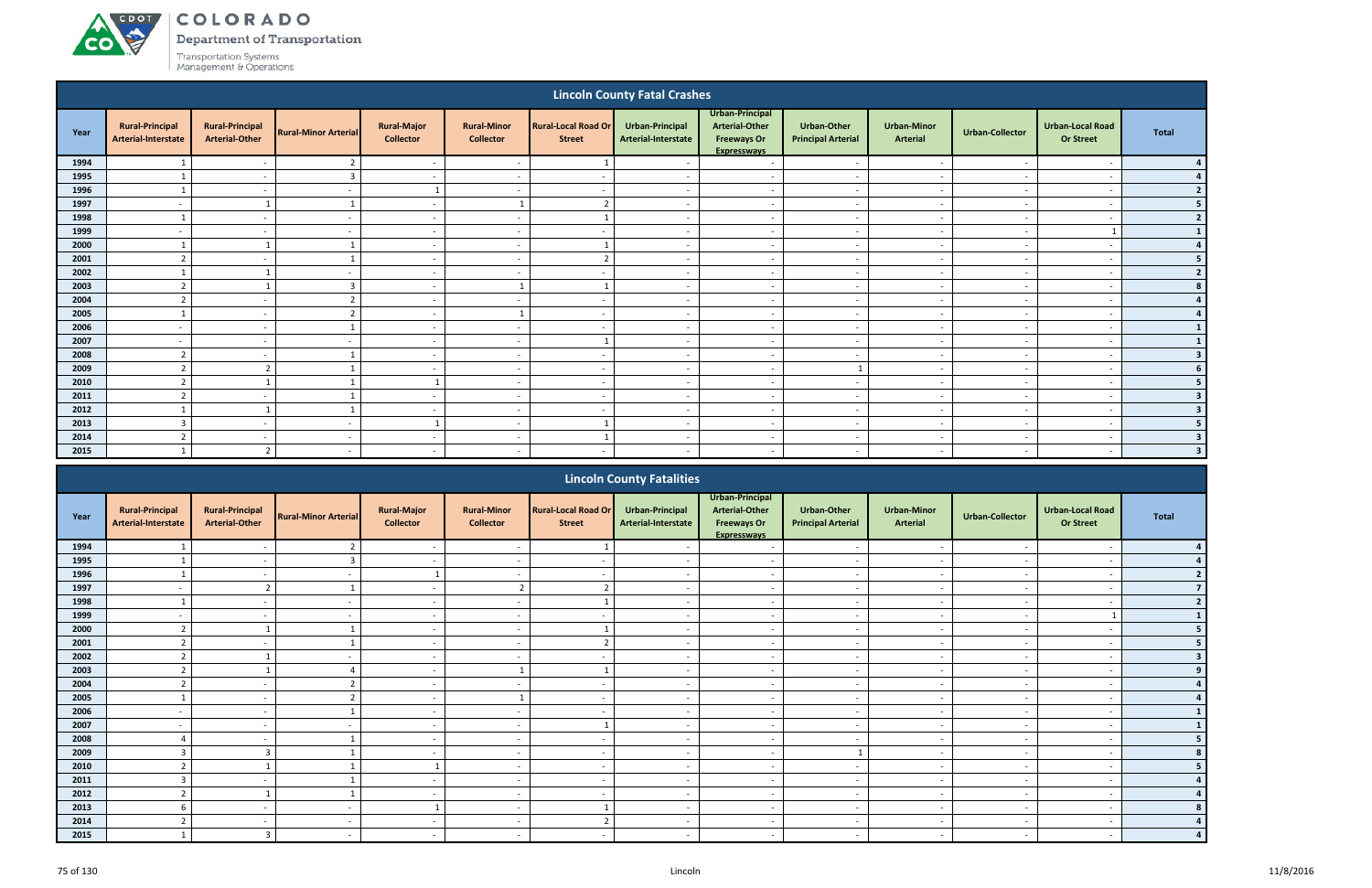ACDOT

**CO** 

Department of Transportation

|                                                                                                                                                                  |                                                                                                                                                                                                                      |                                                 |                             |                                        |                                        |                                             | <b>Lincoln County Fatal Crashes</b>    |                                                                                      |                                                 |                                       |                          |                                             |                         |  |
|------------------------------------------------------------------------------------------------------------------------------------------------------------------|----------------------------------------------------------------------------------------------------------------------------------------------------------------------------------------------------------------------|-------------------------------------------------|-----------------------------|----------------------------------------|----------------------------------------|---------------------------------------------|----------------------------------------|--------------------------------------------------------------------------------------|-------------------------------------------------|---------------------------------------|--------------------------|---------------------------------------------|-------------------------|--|
| Year                                                                                                                                                             | <b>Rural-Principal</b><br>Arterial-Interstate                                                                                                                                                                        | <b>Rural-Principal</b><br><b>Arterial-Other</b> | <b>Rural-Minor Arterial</b> | <b>Rural-Major</b><br><b>Collector</b> | <b>Rural-Minor</b><br><b>Collector</b> | <b>Rural-Local Road Or</b><br><b>Street</b> | Urban-Principal<br>Arterial-Interstate | Urban-Principal<br><b>Arterial-Other</b><br><b>Freeways Or</b><br><b>Expresswavs</b> | <b>Urban-Other</b><br><b>Principal Arterial</b> | <b>Urban-Minor</b><br><b>Arterial</b> | <b>Urban-Collector</b>   | <b>Urban-Local Road</b><br><b>Or Street</b> | <b>Total</b>            |  |
| 1994                                                                                                                                                             |                                                                                                                                                                                                                      |                                                 | ຳ                           | $\sim$                                 |                                        |                                             |                                        | $\overline{a}$                                                                       |                                                 |                                       |                          |                                             |                         |  |
| 1995                                                                                                                                                             |                                                                                                                                                                                                                      | $\sim$                                          | $\overline{3}$              | $\sim$                                 | $\overline{\phantom{a}}$               |                                             | $\sim$                                 | $\sim$                                                                               | $\overline{\phantom{a}}$                        | $\sim$                                | $\overline{\phantom{a}}$ | $\overline{\phantom{a}}$                    |                         |  |
| 1996                                                                                                                                                             | $\mathbf{1}$                                                                                                                                                                                                         | $\overline{\phantom{a}}$                        | $\sim$                      | 1                                      | $\overline{\phantom{a}}$               |                                             | $\sim$                                 | $\sim$                                                                               | $\sim$                                          | $\sim$                                | $\overline{\phantom{a}}$ | $\overline{\phantom{a}}$                    |                         |  |
| 1997                                                                                                                                                             | $\overline{\phantom{a}}$                                                                                                                                                                                             |                                                 |                             | $\sim$                                 |                                        | ຳ                                           | $\sim$                                 | $\overline{a}$                                                                       | $\overline{\phantom{a}}$                        | $\sim$                                | $\sim$                   | $\overline{\phantom{a}}$                    |                         |  |
| 1998                                                                                                                                                             |                                                                                                                                                                                                                      | $\overline{\phantom{a}}$                        |                             | $\sim$                                 | $\overline{\phantom{0}}$               |                                             | $\overline{\phantom{a}}$               | $\overline{a}$                                                                       | $\overline{\phantom{a}}$                        | $\sim$                                | $\overline{\phantom{a}}$ | $\overline{\phantom{a}}$                    | $\overline{2}$          |  |
| 1999                                                                                                                                                             | $\overline{\phantom{0}}$                                                                                                                                                                                             | $\overline{\phantom{a}}$                        |                             | $\sim$                                 | $\overline{\phantom{a}}$               |                                             |                                        | $\overline{a}$                                                                       | $\overline{\phantom{a}}$                        | $\sim$                                | $\overline{\phantom{a}}$ |                                             |                         |  |
| 2000<br>$\sim$<br>$\overline{\phantom{a}}$<br>$\overline{a}$<br>$\overline{\phantom{a}}$<br>ຳ<br>n,                                                              |                                                                                                                                                                                                                      |                                                 |                             |                                        |                                        |                                             |                                        |                                                                                      |                                                 |                                       |                          |                                             |                         |  |
| 2001<br>$\sim$<br>$\overline{a}$<br>$\overline{\phantom{a}}$<br>$\sim$<br>$\overline{\phantom{a}}$<br>$\overline{\phantom{a}}$<br>.,<br>$\overline{\phantom{a}}$ |                                                                                                                                                                                                                      |                                                 |                             |                                        |                                        |                                             |                                        |                                                                                      |                                                 |                                       |                          |                                             |                         |  |
|                                                                                                                                                                  | 2002<br>$\sim$<br>$\overline{\phantom{a}}$<br>$\overline{\phantom{a}}$<br>$\sim$<br>$\overline{\phantom{a}}$<br>$\sim$<br>$\overline{\phantom{a}}$<br>$\overline{\phantom{a}}$<br>$\overline{\phantom{a}}$<br>$\sim$ |                                                 |                             |                                        |                                        |                                             |                                        |                                                                                      |                                                 |                                       |                          |                                             |                         |  |
| 2003                                                                                                                                                             | $\overline{2}$                                                                                                                                                                                                       |                                                 | $\overline{3}$              | $\sim$                                 |                                        |                                             | $\overline{\phantom{a}}$               | $\overline{\phantom{a}}$                                                             | $\overline{\phantom{a}}$                        | $\sim$                                | $\sim$                   | $\overline{\phantom{a}}$                    |                         |  |
| 2004                                                                                                                                                             | $\overline{2}$                                                                                                                                                                                                       | $\sim$                                          | $\overline{2}$              | $\sim$                                 | $\sim$                                 | $\overline{\phantom{a}}$                    | $\overline{\phantom{a}}$               | $\sim$                                                                               | $\sim$                                          | $\sim$                                | $\overline{\phantom{a}}$ | $\overline{\phantom{a}}$                    |                         |  |
| 2005                                                                                                                                                             |                                                                                                                                                                                                                      | $\sim$                                          | $\overline{2}$              | $\sim$                                 | $\mathbf{1}$                           | $\overline{\phantom{a}}$                    | $\sim$                                 | $\overline{a}$                                                                       | $\sim$                                          | $\sim$                                | $\overline{\phantom{a}}$ | $\overline{\phantom{a}}$                    |                         |  |
| 2006                                                                                                                                                             | $\overline{\phantom{0}}$                                                                                                                                                                                             | $\overline{\phantom{a}}$                        |                             | $\sim$                                 | $\overline{\phantom{0}}$               | $\overline{\phantom{a}}$                    | $\overline{\phantom{a}}$               | $\overline{a}$                                                                       | $\overline{\phantom{a}}$                        | $\sim$                                | $\overline{\phantom{a}}$ | $\overline{\phantom{a}}$                    |                         |  |
| 2007                                                                                                                                                             | $\overline{\phantom{0}}$                                                                                                                                                                                             | $\sim$                                          |                             | $\sim$                                 | $\overline{\phantom{0}}$               |                                             |                                        | $\overline{a}$                                                                       | $\overline{\phantom{a}}$                        | $\sim$                                |                          | $\overline{\phantom{a}}$                    |                         |  |
| 2008                                                                                                                                                             | $\mathbf{r}$                                                                                                                                                                                                         | $\sim$                                          |                             | $\sim$                                 | - -                                    |                                             |                                        | $\overline{a}$                                                                       | $\overline{\phantom{0}}$                        | $\sim$                                |                          | $\overline{\phantom{a}}$                    | $\overline{\mathbf{3}}$ |  |
| 2009                                                                                                                                                             | $\overline{2}$                                                                                                                                                                                                       | $\overline{2}$                                  |                             | $\sim$                                 | $\overline{\phantom{a}}$               |                                             |                                        | $\sim$                                                                               |                                                 | $\sim$                                |                          |                                             |                         |  |
| 2010                                                                                                                                                             | $\mathbf{\overline{1}}$                                                                                                                                                                                              |                                                 |                             |                                        | $\overline{\phantom{a}}$               |                                             |                                        | $\overline{a}$                                                                       | $\overline{\phantom{a}}$                        | $\overline{\phantom{a}}$              |                          |                                             |                         |  |
| 2011                                                                                                                                                             | C.                                                                                                                                                                                                                   | $\overline{\phantom{a}}$                        |                             | $\sim$                                 | $\overline{\phantom{a}}$               |                                             |                                        | $\sim$                                                                               | $\overline{\phantom{a}}$                        | $\overline{\phantom{a}}$              |                          | $\overline{\phantom{a}}$                    |                         |  |
| 2012                                                                                                                                                             |                                                                                                                                                                                                                      |                                                 |                             | $\sim$                                 | $\overline{\phantom{a}}$               |                                             |                                        | $\sim$                                                                               | $\overline{\phantom{0}}$                        | $\sim$                                | $\sim$                   | $\overline{\phantom{a}}$                    |                         |  |
| 2013                                                                                                                                                             | 3                                                                                                                                                                                                                    | $\sim$                                          | $\overline{\phantom{a}}$    |                                        | $\overline{\phantom{a}}$               |                                             | $\overline{\phantom{a}}$               | $\sim$                                                                               | $\overline{\phantom{a}}$                        | $\sim$                                | $\sim$                   | $\overline{\phantom{a}}$                    |                         |  |
| 2014                                                                                                                                                             | $\overline{2}$                                                                                                                                                                                                       | $\sim$                                          | $\overline{\phantom{a}}$    | $\sim$                                 | $\overline{\phantom{a}}$               |                                             | $\overline{\phantom{a}}$               | $\overline{a}$                                                                       | $\overline{\phantom{a}}$                        | $\sim$                                | $\overline{\phantom{a}}$ | $\overline{\phantom{a}}$                    | 3                       |  |
| 2015                                                                                                                                                             |                                                                                                                                                                                                                      | $\overline{2}$                                  | $\sim$                      | $\sim$                                 | $\sim$                                 | $\overline{\phantom{a}}$                    | $\sim$                                 | $\sim$                                                                               | $\sim$                                          | $\sim$                                | $\sim$                   | $\overline{\phantom{a}}$                    | $\overline{\mathbf{3}}$ |  |
|                                                                                                                                                                  |                                                                                                                                                                                                                      |                                                 |                             |                                        |                                        |                                             | <b>Lincoln County Eatalities</b>       |                                                                                      |                                                 |                                       |                          |                                             |                         |  |

|      |                                               |                                                 |                             |                                        |                                        |                                             | <b>Lincoln County Fatalities</b>       |                                                                                      |                                                 |                                       |                          |                                             |              |
|------|-----------------------------------------------|-------------------------------------------------|-----------------------------|----------------------------------------|----------------------------------------|---------------------------------------------|----------------------------------------|--------------------------------------------------------------------------------------|-------------------------------------------------|---------------------------------------|--------------------------|---------------------------------------------|--------------|
| Year | <b>Rural-Principal</b><br>Arterial-Interstate | <b>Rural-Principal</b><br><b>Arterial-Other</b> | <b>Rural-Minor Arterial</b> | <b>Rural-Major</b><br><b>Collector</b> | <b>Rural-Minor</b><br><b>Collector</b> | <b>Rural-Local Road Or</b><br><b>Street</b> | Urban-Principal<br>Arterial-Interstate | Urban-Principal<br><b>Arterial-Other</b><br><b>Freeways Or</b><br><b>Expresswavs</b> | <b>Urban-Other</b><br><b>Principal Arterial</b> | <b>Urban-Minor</b><br><b>Arterial</b> | <b>Urban-Collector</b>   | <b>Urban-Local Road</b><br><b>Or Street</b> | <b>Total</b> |
| 1994 |                                               |                                                 |                             |                                        |                                        |                                             |                                        |                                                                                      |                                                 |                                       |                          |                                             |              |
| 1995 |                                               |                                                 |                             |                                        |                                        |                                             |                                        |                                                                                      |                                                 |                                       |                          |                                             |              |
| 1996 |                                               | $\overline{\phantom{0}}$                        |                             |                                        | $\overline{\phantom{a}}$               |                                             |                                        | $\overline{\phantom{a}}$                                                             | $\overline{\phantom{a}}$                        | $\sim$                                |                          | $\overline{\phantom{a}}$                    |              |
| 1997 |                                               | ຳ                                               |                             | $\sim$                                 | 2 <sub>1</sub>                         |                                             |                                        | $\overline{\phantom{0}}$                                                             | $\overline{\phantom{a}}$                        | $\overline{\phantom{0}}$              |                          | $\overline{\phantom{0}}$                    |              |
| 1998 |                                               |                                                 |                             | $\overline{\phantom{a}}$               |                                        |                                             |                                        |                                                                                      | $\overline{\phantom{a}}$                        |                                       |                          |                                             |              |
| 1999 |                                               |                                                 |                             | $\sim$                                 | $\overline{\phantom{a}}$               |                                             |                                        | $\overline{\phantom{0}}$                                                             | $\overline{\phantom{a}}$                        | $\overline{\phantom{a}}$              |                          |                                             |              |
| 2000 |                                               |                                                 |                             | $\sim$                                 |                                        |                                             |                                        |                                                                                      | $\overline{\phantom{a}}$                        |                                       |                          |                                             |              |
| 2001 |                                               | $\overline{\phantom{a}}$                        |                             | $\sim$                                 | $\overline{\phantom{a}}$               |                                             |                                        | $\overline{\phantom{a}}$                                                             | $\overline{\phantom{a}}$                        | $\sim$                                | $\overline{\phantom{a}}$ | $\overline{\phantom{0}}$                    |              |
| 2002 |                                               |                                                 |                             | $\sim$                                 | $\overline{\phantom{a}}$               |                                             |                                        | $\overline{\phantom{a}}$                                                             | $\sim$                                          | $\overline{\phantom{0}}$              |                          |                                             |              |
| 2003 |                                               |                                                 |                             | $\overline{\phantom{0}}$               |                                        |                                             |                                        | $\overline{\phantom{a}}$                                                             | $\overline{\phantom{a}}$                        | $\overline{\phantom{a}}$              |                          |                                             |              |
| 2004 |                                               |                                                 |                             | $\sim$                                 | $\overline{\phantom{a}}$               |                                             |                                        | $\sim$                                                                               | $\overline{\phantom{a}}$                        | $\sim$                                |                          | $\overline{\phantom{a}}$                    |              |
| 2005 |                                               |                                                 |                             | $\overline{\phantom{0}}$               |                                        |                                             |                                        | $\overline{\phantom{a}}$                                                             | $\overline{\phantom{a}}$                        | $\overline{\phantom{a}}$              |                          | $\overline{\phantom{0}}$                    |              |
| 2006 | $\overline{\phantom{a}}$                      | $\sim$                                          |                             | $\sim$                                 | $\overline{\phantom{a}}$               | $\overline{\phantom{a}}$                    | $\overline{\phantom{a}}$               | $\overline{\phantom{a}}$                                                             | $\overline{\phantom{a}}$                        | $\sim$                                | $\sim$                   | $\overline{\phantom{a}}$                    |              |
| 2007 |                                               | $\sim$                                          |                             | $\sim$                                 | $\overline{\phantom{a}}$               |                                             |                                        | $\overline{\phantom{a}}$                                                             | $\overline{\phantom{a}}$                        | $\sim$                                |                          | $\overline{\phantom{a}}$                    |              |
| 2008 |                                               |                                                 |                             | $\sim$                                 | $\overline{\phantom{a}}$               |                                             |                                        | $\overline{\phantom{0}}$                                                             | $\overline{\phantom{0}}$                        | $\overline{\phantom{a}}$              |                          | $\overline{\phantom{0}}$                    |              |
| 2009 |                                               |                                                 |                             | $\sim$                                 | $\overline{\phantom{a}}$               |                                             |                                        |                                                                                      |                                                 | $\overline{\phantom{0}}$              |                          |                                             |              |
| 2010 |                                               |                                                 |                             |                                        | $\overline{\phantom{a}}$               |                                             |                                        | $\overline{\phantom{0}}$                                                             | $\overline{\phantom{a}}$                        | $\overline{\phantom{0}}$              |                          |                                             |              |
| 2011 | 3                                             | $\overline{\phantom{0}}$                        |                             | $\sim$                                 | $\overline{\phantom{a}}$               | $\overline{\phantom{a}}$                    | $\overline{\phantom{a}}$               | $\sim$                                                                               | $\overline{\phantom{a}}$                        | $\sim$                                | $\overline{\phantom{a}}$ | $\overline{\phantom{a}}$                    |              |
| 2012 |                                               |                                                 |                             | $\sim$                                 | $\overline{\phantom{a}}$               |                                             |                                        | $\overline{\phantom{a}}$                                                             | $\overline{\phantom{a}}$                        | $\overline{\phantom{0}}$              |                          | $\overline{\phantom{a}}$                    |              |
| 2013 |                                               | $\sim$                                          |                             |                                        | $\overline{\phantom{a}}$               |                                             |                                        | $\overline{\phantom{a}}$                                                             | $\overline{\phantom{a}}$                        | $\overline{\phantom{0}}$              |                          | $\overline{\phantom{a}}$                    |              |
| 2014 |                                               | $\overline{\phantom{0}}$                        |                             | $\sim$                                 | $\overline{\phantom{a}}$               |                                             |                                        | $\overline{\phantom{a}}$                                                             | $\overline{\phantom{a}}$                        | $\overline{\phantom{a}}$              |                          | $\overline{\phantom{a}}$                    |              |
| 2015 |                                               |                                                 |                             |                                        |                                        |                                             |                                        |                                                                                      | $\overline{\phantom{a}}$                        | $\overline{\phantom{a}}$              |                          |                                             |              |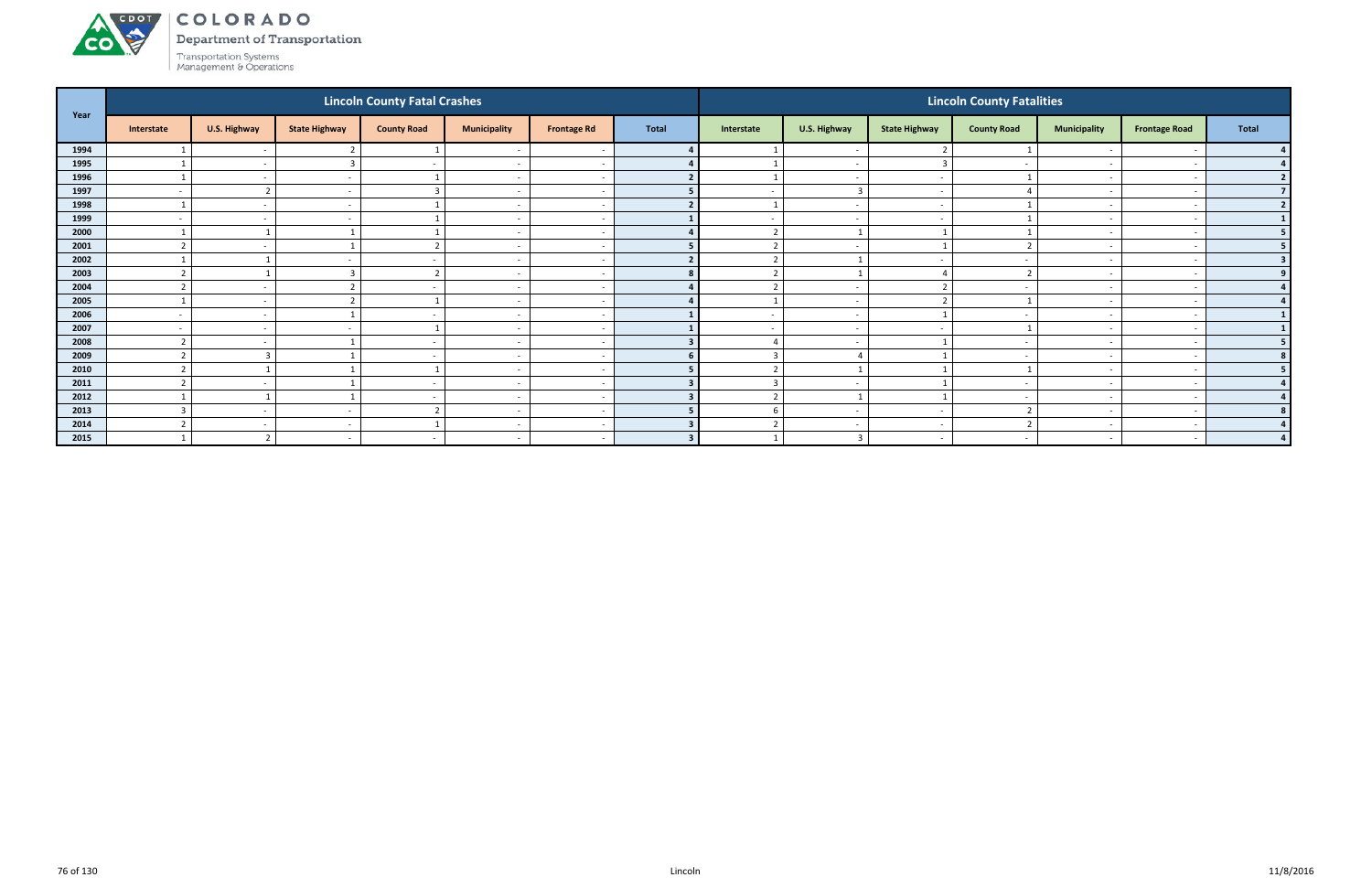Department of Transportation

| Year |                   |                          |                      | <b>Lincoln County Fatal Crashes</b> |                          |                          |       |                          |                          |                          | <b>Lincoln County Fatalities</b> |                          |                      |                |
|------|-------------------|--------------------------|----------------------|-------------------------------------|--------------------------|--------------------------|-------|--------------------------|--------------------------|--------------------------|----------------------------------|--------------------------|----------------------|----------------|
|      | Interstate        | U.S. Highway             | <b>State Highway</b> | <b>County Road</b>                  | <b>Municipality</b>      | <b>Frontage Rd</b>       | Total | Interstate               | U.S. Highway             | <b>State Highway</b>     | <b>County Road</b>               | <b>Municipality</b>      | <b>Frontage Road</b> | <b>Total</b>   |
| 1994 |                   | $\overline{\phantom{a}}$ |                      |                                     |                          |                          |       |                          | $\sim$                   |                          |                                  |                          |                      |                |
| 1995 |                   | $\overline{\phantom{0}}$ | 3                    | $\blacksquare$                      | $\sim$                   | $\overline{\phantom{0}}$ |       |                          | $\sim$                   |                          | $\overline{\phantom{a}}$         | $\overline{\phantom{a}}$ |                      | 4 <sup>1</sup> |
| 1996 |                   | $\overline{\phantom{a}}$ | $\sim$               |                                     | $\overline{\phantom{a}}$ |                          |       |                          | $\sim$                   | $\overline{\phantom{a}}$ |                                  | $\overline{\phantom{0}}$ |                      | 2              |
| 1997 |                   |                          |                      |                                     | $\overline{\phantom{a}}$ | $\overline{\phantom{a}}$ |       | $\overline{\phantom{a}}$ | $\overline{\mathbf{3}}$  | $\overline{\phantom{0}}$ |                                  | $\overline{\phantom{0}}$ |                      | 7 <sup>1</sup> |
| 1998 |                   |                          |                      |                                     | $\overline{\phantom{a}}$ | $\overline{\phantom{a}}$ |       |                          | $\overline{a}$           | $\overline{\phantom{0}}$ |                                  | $\overline{\phantom{a}}$ |                      | 2              |
| 1999 |                   |                          |                      |                                     | $\overline{\phantom{a}}$ |                          |       | $\overline{\phantom{a}}$ | $\sim$                   |                          |                                  | $\overline{\phantom{a}}$ |                      | 1              |
| 2000 |                   |                          |                      |                                     | $\overline{\phantom{a}}$ | $\overline{\phantom{0}}$ |       | $\mathbf{r}$             |                          |                          |                                  | $\overline{\phantom{0}}$ |                      | 5 <sub>1</sub> |
| 2001 |                   | $\overline{\phantom{a}}$ |                      |                                     | $\sim$                   | $\overline{\phantom{a}}$ |       | $\mathcal{D}$            | $\overline{\phantom{a}}$ |                          |                                  | $\sim$                   |                      | 5 <sub>1</sub> |
| 2002 |                   |                          |                      | $\overline{\phantom{a}}$            | <u>. на та</u>           | $\overline{\phantom{a}}$ |       | $\overline{2}$           |                          |                          | . .                              | $\overline{\phantom{a}}$ |                      | 3 <sup>1</sup> |
| 2003 |                   |                          | 3                    |                                     | $\overline{\phantom{a}}$ | $\overline{\phantom{a}}$ |       | ຳ                        |                          |                          |                                  | $\overline{\phantom{a}}$ |                      | 9 <sup>1</sup> |
| 2004 |                   |                          | $\mathbf{r}$         |                                     | $\overline{\phantom{a}}$ | $\sim$                   |       |                          | $\sim$                   |                          |                                  | $\overline{\phantom{a}}$ |                      | 4 <sup>1</sup> |
| 2005 |                   |                          |                      |                                     |                          | $\overline{\phantom{a}}$ |       |                          | $\overline{\phantom{a}}$ |                          |                                  |                          |                      | $\overline{4}$ |
| 2006 |                   | $\overline{\phantom{a}}$ |                      | $\blacksquare$                      | $\overline{\phantom{0}}$ | $\overline{\phantom{a}}$ |       | $\overline{\phantom{a}}$ | $\sim$                   |                          | $\overline{\phantom{a}}$         | $\overline{\phantom{a}}$ |                      | $1\phantom{.}$ |
| 2007 |                   | $\sim$                   |                      |                                     | $\overline{\phantom{a}}$ | $\overline{\phantom{0}}$ |       | $\overline{\phantom{a}}$ | $\sim$                   | $\overline{\phantom{0}}$ |                                  | $\overline{\phantom{a}}$ |                      | $1\vert$       |
| 2008 |                   |                          |                      |                                     | $\overline{\phantom{a}}$ |                          |       |                          | $\sim$                   |                          |                                  | $\overline{\phantom{0}}$ |                      | 5 <sup>1</sup> |
| 2009 |                   |                          |                      | $\overline{\phantom{a}}$            | $\sim$                   | $\sim$                   |       | $\mathbf{3}$             |                          |                          | $\overline{\phantom{a}}$         | $\sim$                   |                      | 8 <sup>1</sup> |
| 2010 |                   |                          |                      |                                     |                          | $\overline{\phantom{a}}$ |       | $\overline{\phantom{a}}$ |                          |                          |                                  | $\overline{\phantom{a}}$ |                      | 5 <sub>1</sub> |
| 2011 |                   | $\overline{\phantom{a}}$ |                      | $\overline{\phantom{a}}$            | $\overline{\phantom{0}}$ | $\overline{\phantom{a}}$ |       |                          | $\sim$                   |                          | $\overline{\phantom{a}}$         | $\overline{\phantom{a}}$ |                      | 4              |
| 2012 |                   |                          | $\mathbf{1}$         | $\overline{\phantom{a}}$            | $\sim$                   | $\sim$                   | 3     | 2                        |                          |                          | $\sim$                           | $\sim$                   |                      | 4              |
| 2013 | $\mathbf{\Omega}$ |                          |                      | $\mathbf{\Omega}$                   | <u>. на та</u>           | $\overline{\phantom{a}}$ |       | -6                       | $\overline{\phantom{a}}$ | $\overline{\phantom{a}}$ |                                  | $\overline{\phantom{a}}$ |                      | 8 <sup>1</sup> |
| 2014 |                   | $\overline{\phantom{a}}$ | $\sim$               |                                     | $\overline{\phantom{a}}$ | $\sim$                   |       | ຳ                        | $\overline{\phantom{a}}$ | $\sim$                   |                                  | $\overline{\phantom{a}}$ |                      |                |
| 2015 |                   |                          |                      | $\overline{\phantom{a}}$            | $\sim$                   | $\overline{\phantom{0}}$ |       |                          | $\overline{3}$           | $\overline{\phantom{a}}$ | $\overline{\phantom{a}}$         | $\overline{\phantom{a}}$ |                      | $\mathbf{A}$   |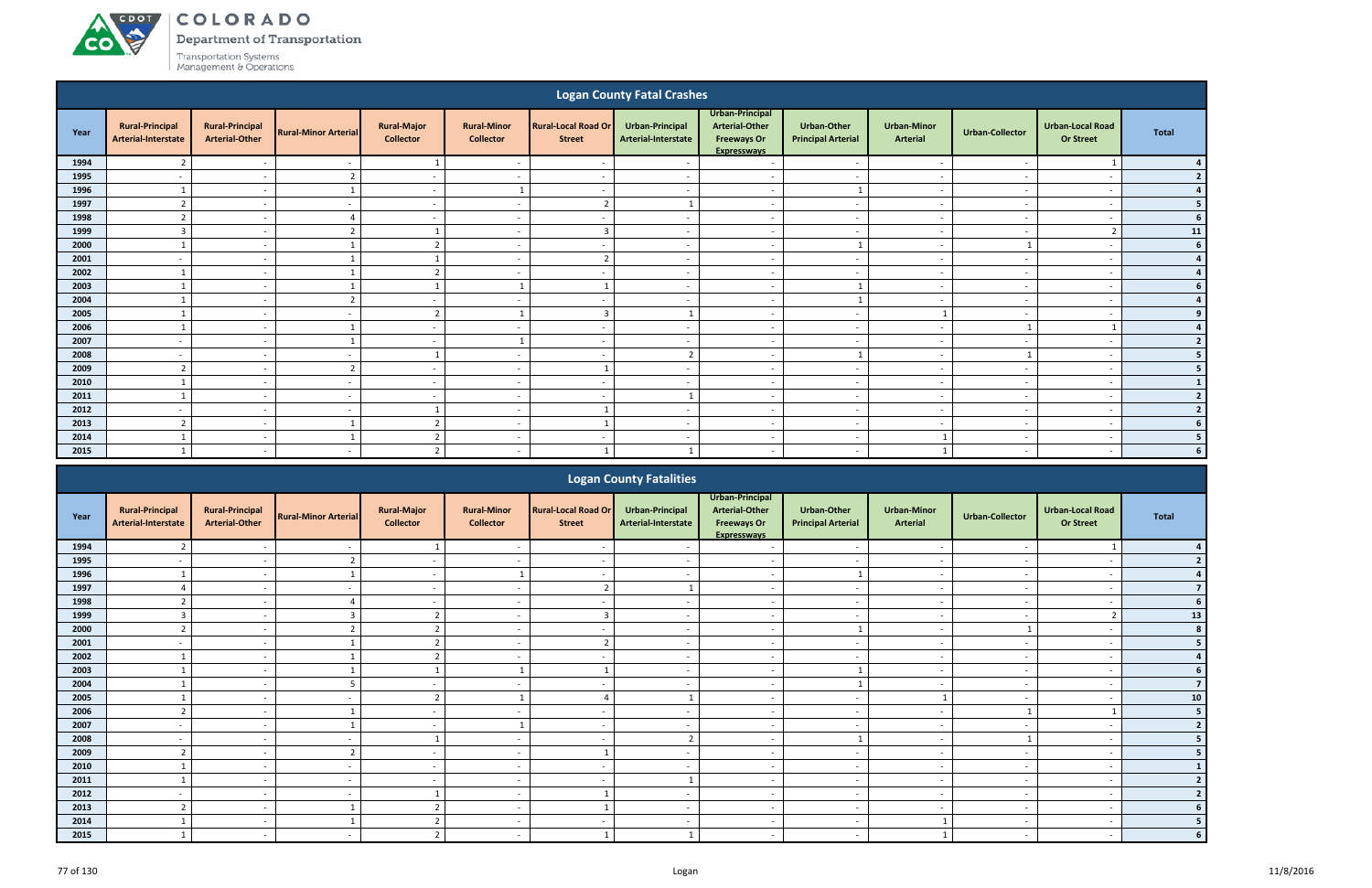**CO** 

Department of Transportation

|                                                                                                                                                                                                                                    |                                               |                                                      |                                            |                                        |                                        |                                             | <b>Logan County Fatal Crashes</b>          |                                                                                      |                                                 |                                                      |                                    |                                                      |                          |
|------------------------------------------------------------------------------------------------------------------------------------------------------------------------------------------------------------------------------------|-----------------------------------------------|------------------------------------------------------|--------------------------------------------|----------------------------------------|----------------------------------------|---------------------------------------------|--------------------------------------------|--------------------------------------------------------------------------------------|-------------------------------------------------|------------------------------------------------------|------------------------------------|------------------------------------------------------|--------------------------|
| Year                                                                                                                                                                                                                               | <b>Rural-Principal</b><br>Arterial-Interstate | <b>Rural-Principal</b><br><b>Arterial-Other</b>      | <b>Rural-Minor Arterial</b>                | <b>Rural-Major</b><br><b>Collector</b> | <b>Rural-Minor</b><br><b>Collector</b> | <b>Rural-Local Road Or</b><br><b>Street</b> | Urban-Principal<br>Arterial-Interstate     | Urban-Principal<br><b>Arterial-Other</b><br><b>Freeways Or</b><br><b>Expresswavs</b> | <b>Urban-Other</b><br><b>Principal Arterial</b> | <b>Urban-Minor</b><br>Arterial                       | <b>Urban-Collector</b>             | <b>Urban-Local Road</b><br><b>Or Street</b>          | <b>Total</b>             |
| 1994                                                                                                                                                                                                                               | $\overline{z}$                                | $\overline{\phantom{a}}$                             |                                            | $\overline{1}$                         | $\overline{\phantom{a}}$               | $\overline{\phantom{a}}$                    |                                            | $\sim$                                                                               | $\overline{\phantom{a}}$                        | $\overline{\phantom{a}}$                             | $\sim$                             |                                                      |                          |
| 1995                                                                                                                                                                                                                               | $\overline{\phantom{a}}$                      | $\overline{\phantom{a}}$                             | $\overline{2}$                             | $\sim$                                 | $\overline{\phantom{a}}$               | $\overline{\phantom{a}}$                    | $\sim$                                     | $\sim$                                                                               | $\overline{\phantom{a}}$                        | $\overline{\phantom{a}}$                             | $\sim$                             | $\overline{\phantom{a}}$                             | $\overline{\phantom{a}}$ |
| 1996                                                                                                                                                                                                                               | $\mathbf{1}$                                  | $\overline{\phantom{a}}$                             |                                            | $\overline{\phantom{a}}$               | $\mathbf{1}$                           | $\overline{\phantom{a}}$                    | $\sim$                                     | $\overline{a}$                                                                       | $\mathbf{1}$                                    | $\overline{\phantom{a}}$                             | $\sim$                             | $\overline{\phantom{a}}$                             |                          |
| 1997                                                                                                                                                                                                                               | ຳ                                             | $\sim$                                               |                                            | $\sim$                                 | $\overline{\phantom{0}}$               | $\overline{2}$                              |                                            | $\overline{a}$                                                                       | $\overline{\phantom{a}}$                        | $\sim$                                               | - -                                | - -                                                  | 5                        |
| 1998                                                                                                                                                                                                                               | $\mathcal{P}$                                 | $\overline{\phantom{a}}$                             | $\Delta$                                   | $\sim$                                 | $\overline{\phantom{a}}$               | $\overline{\phantom{a}}$                    |                                            | $\sim$                                                                               | $\overline{\phantom{a}}$                        | $\overline{\phantom{a}}$                             |                                    |                                                      |                          |
| 1999                                                                                                                                                                                                                               | 3                                             | $\overline{a}$                                       | $\overline{2}$                             |                                        | $\overline{\phantom{a}}$               | $\overline{3}$                              | $\overline{\phantom{a}}$                   | $\overline{\phantom{a}}$                                                             | $\overline{\phantom{a}}$                        | $\overline{a}$                                       |                                    | $\mathbf{\Gamma}$                                    | ${\bf 11}$               |
| 2000                                                                                                                                                                                                                               |                                               | $\sim$                                               |                                            | $\overline{2}$                         | $\overline{a}$                         | $\sim$                                      | $\sim$                                     | $\sim$                                                                               | $\mathbf{1}$                                    | $\sim$                                               |                                    | $\overline{\phantom{a}}$                             | 6                        |
| 2001<br>$\overline{2}$<br>$\sim$<br>$\overline{a}$<br>$\overline{\phantom{a}}$<br>$\overline{\phantom{a}}$<br>$\overline{\phantom{a}}$<br>$\sim$<br>$\sim$<br>$\overline{\phantom{a}}$<br>$\overline{\phantom{a}}$<br>$\mathbf{1}$ |                                               |                                                      |                                            |                                        |                                        |                                             |                                            |                                                                                      |                                                 |                                                      |                                    |                                                      |                          |
| 2002                                                                                                                                                                                                                               |                                               | $\sim$                                               |                                            | $\overline{2}$                         | $\overline{\phantom{a}}$               | $\sim$                                      | $\sim$                                     | $\overline{a}$                                                                       | $\sim$                                          | $\sim$                                               | $\sim$                             | $\overline{\phantom{a}}$                             |                          |
| 2003                                                                                                                                                                                                                               |                                               | $\sim$                                               |                                            | $\mathbf{1}$                           | $\mathbf{1}$                           | $\mathbf{1}$                                | $\sim$                                     | $\sim$                                                                               | $\mathbf{1}$                                    | $\sim$                                               | $\sim$                             | $\overline{\phantom{a}}$                             |                          |
| 2004                                                                                                                                                                                                                               |                                               | $\sim$                                               | $\mathbf{\hat{z}}$                         | $\overline{\phantom{a}}$               | $\overline{\phantom{a}}$               | $\overline{\phantom{0}}$                    |                                            | $\overline{\phantom{a}}$                                                             |                                                 | $\sim$                                               |                                    | - -                                                  |                          |
| 2005                                                                                                                                                                                                                               |                                               | $\overline{\phantom{a}}$                             | $\overline{\phantom{a}}$                   | $\overline{2}$                         | $\mathbf{1}$                           | $\overline{3}$                              |                                            | $\overline{a}$                                                                       | $\sim$                                          |                                                      |                                    |                                                      |                          |
| 2006                                                                                                                                                                                                                               |                                               | $\overline{\phantom{a}}$                             |                                            | $\sim$                                 | $\overline{a}$                         | $\sim$                                      | $\overline{\phantom{a}}$                   | $\overline{\phantom{a}}$                                                             | $\overline{a}$                                  | $\overline{\phantom{a}}$                             |                                    |                                                      |                          |
| 2007                                                                                                                                                                                                                               | $\overline{\phantom{a}}$                      | $\sim$                                               |                                            | $\sim$                                 | $\mathbf{1}$                           | $\sim$                                      | $\sim$<br>$\overline{2}$                   | $\sim$                                                                               | $-$                                             | $\sim$                                               | $\overline{\phantom{a}}$           | $\overline{\phantom{a}}$                             |                          |
| 2008<br>2009                                                                                                                                                                                                                       | $\overline{\phantom{a}}$<br>$\overline{2}$    | $\sim$                                               | $\overline{\phantom{a}}$<br>$\overline{2}$ | $\overline{1}$                         | $\sim$                                 | $\sim$                                      |                                            | $\sim$                                                                               | $\mathbf{1}$                                    | $\sim$                                               |                                    | $\overline{\phantom{a}}$                             |                          |
|                                                                                                                                                                                                                                    |                                               | $\overline{\phantom{a}}$<br>$\overline{\phantom{a}}$ | $\overline{\phantom{a}}$                   | $\overline{\phantom{a}}$               | $\overline{a}$<br>$\overline{a}$       | $\sim$                                      | $\overline{\phantom{a}}$<br>$\overline{a}$ | $\overline{a}$<br>$\overline{\phantom{a}}$                                           | $\overline{a}$<br>$\overline{a}$                | $\overline{\phantom{a}}$<br>$\overline{\phantom{a}}$ | $\sim$<br>$\overline{\phantom{a}}$ | $\overline{\phantom{a}}$<br>$\overline{\phantom{a}}$ |                          |
| 2010<br>2011                                                                                                                                                                                                                       |                                               | $\sim$                                               | $\overline{\phantom{a}}$                   | $\overline{\phantom{a}}$<br>$\sim$     | $\overline{\phantom{a}}$               | $\overline{\phantom{a}}$                    |                                            | $\sim$                                                                               | $\overline{\phantom{a}}$                        | $\sim$                                               |                                    | $\overline{\phantom{a}}$                             | $\overline{2}$           |
| 2012                                                                                                                                                                                                                               | $\overline{\phantom{a}}$                      | $\overline{\phantom{a}}$                             | $\overline{a}$                             |                                        | $\overline{\phantom{a}}$               |                                             | $\sim$                                     | $\overline{\phantom{a}}$                                                             | $\overline{\phantom{a}}$                        | $\sim$                                               | $\sim$                             | $\overline{\phantom{a}}$                             |                          |
| 2013                                                                                                                                                                                                                               | 2                                             | $\sim$                                               |                                            | $\overline{2}$                         | $\overline{\phantom{a}}$               |                                             | $\overline{a}$                             | $\overline{\phantom{a}}$                                                             | $\overline{\phantom{a}}$                        | $\overline{a}$                                       | $\overline{a}$                     | $\overline{\phantom{a}}$                             |                          |
| 2014                                                                                                                                                                                                                               |                                               | $\sim$                                               |                                            | $\overline{2}$                         | $\overline{a}$                         | $\sim$                                      | $\sim$                                     | $\sim$                                                                               | $\overline{a}$                                  |                                                      | $\sim$                             | $\overline{\phantom{a}}$                             |                          |
| 2015                                                                                                                                                                                                                               | $\mathbf{1}$                                  | $\sim$                                               | $\overline{\phantom{a}}$                   | $\overline{2}$                         | $\overline{\phantom{a}}$               |                                             |                                            | $\overline{a}$                                                                       | $\sim$                                          |                                                      | $\overline{\phantom{a}}$           | $\overline{\phantom{a}}$                             |                          |
|                                                                                                                                                                                                                                    |                                               |                                                      |                                            |                                        |                                        |                                             |                                            |                                                                                      |                                                 |                                                      |                                    |                                                      |                          |
|                                                                                                                                                                                                                                    |                                               |                                                      |                                            |                                        |                                        |                                             | Logan County Fotolitics                    |                                                                                      |                                                 |                                                      |                                    |                                                      |                          |

|      |                                               |                                                 |                             |                                        |                                        |                                             | <b>Logan County Fatalities</b>         |                                                                                      |                                          |                                       |                        |                                             |              |
|------|-----------------------------------------------|-------------------------------------------------|-----------------------------|----------------------------------------|----------------------------------------|---------------------------------------------|----------------------------------------|--------------------------------------------------------------------------------------|------------------------------------------|---------------------------------------|------------------------|---------------------------------------------|--------------|
| Year | <b>Rural-Principal</b><br>Arterial-Interstate | <b>Rural-Principal</b><br><b>Arterial-Other</b> | <b>Rural-Minor Arterial</b> | <b>Rural-Major</b><br><b>Collector</b> | <b>Rural-Minor</b><br><b>Collector</b> | <b>Rural-Local Road Or</b><br><b>Street</b> | Urban-Principal<br>Arterial-Interstate | Urban-Principal<br><b>Arterial-Other</b><br><b>Freeways Or</b><br><b>Expresswavs</b> | Urban-Other<br><b>Principal Arterial</b> | <b>Urban-Minor</b><br><b>Arterial</b> | <b>Urban-Collector</b> | <b>Urban-Local Road</b><br><b>Or Street</b> | <b>Total</b> |
| 1994 |                                               |                                                 |                             |                                        |                                        |                                             |                                        |                                                                                      |                                          |                                       |                        |                                             |              |
| 1995 |                                               | $\overline{\phantom{a}}$                        |                             |                                        |                                        |                                             |                                        |                                                                                      |                                          |                                       |                        |                                             |              |
| 1996 |                                               | $\sim$                                          |                             | $\sim$                                 |                                        |                                             |                                        | $\overline{\phantom{a}}$                                                             |                                          | $\overline{\phantom{0}}$              |                        |                                             |              |
| 1997 | Δ                                             | $\overline{\phantom{a}}$                        |                             | $\sim$                                 |                                        |                                             |                                        | $\overline{\phantom{a}}$                                                             | $\overline{\phantom{0}}$                 | $\qquad \qquad \blacksquare$          |                        |                                             |              |
| 1998 | $\overline{2}$                                | $\sim$                                          |                             | $\sim$                                 |                                        |                                             |                                        | $\sim$                                                                               | $\overline{\phantom{a}}$                 | $\overline{\phantom{a}}$              |                        |                                             |              |
| 1999 | 3                                             | $\sim$                                          | $\mathbf{B}$                | $\mathcal{L}$                          | $\overline{\phantom{0}}$               |                                             |                                        | $\overline{\phantom{a}}$                                                             | $\overline{\phantom{a}}$                 | $\sim$                                |                        |                                             | 13           |
| 2000 |                                               |                                                 |                             |                                        |                                        |                                             |                                        |                                                                                      |                                          |                                       |                        |                                             |              |
| 2001 |                                               | $\sim$                                          |                             |                                        | $\overline{\phantom{0}}$               |                                             |                                        | $\overline{\phantom{a}}$                                                             | $\overline{\phantom{a}}$                 | $\overline{\phantom{a}}$              |                        |                                             |              |
| 2002 |                                               | $\sim$                                          |                             | $\overline{\phantom{a}}$               |                                        |                                             |                                        | $\overline{\phantom{0}}$                                                             | $\overline{\phantom{a}}$                 | $\overline{\phantom{0}}$              |                        |                                             |              |
| 2003 |                                               | $\overline{\phantom{a}}$                        |                             |                                        |                                        |                                             |                                        | $\overline{\phantom{a}}$                                                             |                                          |                                       |                        |                                             |              |
| 2004 |                                               | $\sim$                                          |                             | $\sim$                                 |                                        |                                             |                                        | $\sim$                                                                               |                                          | $\overline{\phantom{a}}$              |                        |                                             |              |
| 2005 |                                               | $\overline{\phantom{0}}$                        |                             | $\overline{\phantom{a}}$               |                                        |                                             |                                        |                                                                                      |                                          |                                       |                        |                                             | 10           |
| 2006 | ຳ                                             | $\sim$                                          |                             | $\sim$                                 | $\overline{\phantom{0}}$               |                                             |                                        | $\sim$                                                                               | $\overline{\phantom{a}}$                 | $\sim$                                |                        |                                             |              |
| 2007 |                                               |                                                 |                             |                                        |                                        |                                             |                                        |                                                                                      |                                          |                                       |                        |                                             |              |
| 2008 | $\overline{\phantom{a}}$                      | $\sim$                                          |                             |                                        | $\overline{\phantom{0}}$               |                                             |                                        | $\overline{\phantom{a}}$                                                             |                                          | $\sim$                                |                        |                                             |              |
| 2009 |                                               | $\overline{\phantom{a}}$                        |                             | $\sim$                                 |                                        |                                             |                                        |                                                                                      |                                          |                                       |                        |                                             |              |
| 2010 |                                               | $\sim$                                          |                             | $\sim$                                 | $\overline{\phantom{0}}$               |                                             |                                        | $\overline{\phantom{a}}$                                                             | $\overline{\phantom{a}}$                 | $\overline{a}$                        |                        |                                             |              |
| 2011 |                                               | $-$                                             | $\sim$                      | $\sim$                                 | $\overline{\phantom{0}}$               |                                             |                                        | $\overline{\phantom{0}}$                                                             | $\overline{\phantom{a}}$                 | $\overline{\phantom{a}}$              |                        |                                             |              |
| 2012 |                                               |                                                 |                             |                                        |                                        |                                             |                                        |                                                                                      |                                          |                                       |                        |                                             |              |
| 2013 |                                               | $\overline{\phantom{a}}$                        |                             |                                        |                                        |                                             |                                        |                                                                                      | $\overline{\phantom{0}}$                 |                                       |                        |                                             |              |
| 2014 |                                               | $\sim$                                          |                             | $\mathbf{\Gamma}$                      |                                        |                                             |                                        | $\overline{\phantom{a}}$                                                             | $\overline{\phantom{a}}$                 |                                       |                        |                                             |              |
| 2015 |                                               | $\sim$                                          |                             |                                        | $\overline{\phantom{a}}$               |                                             |                                        | $\overline{\phantom{a}}$                                                             | $\sim$                                   |                                       |                        |                                             |              |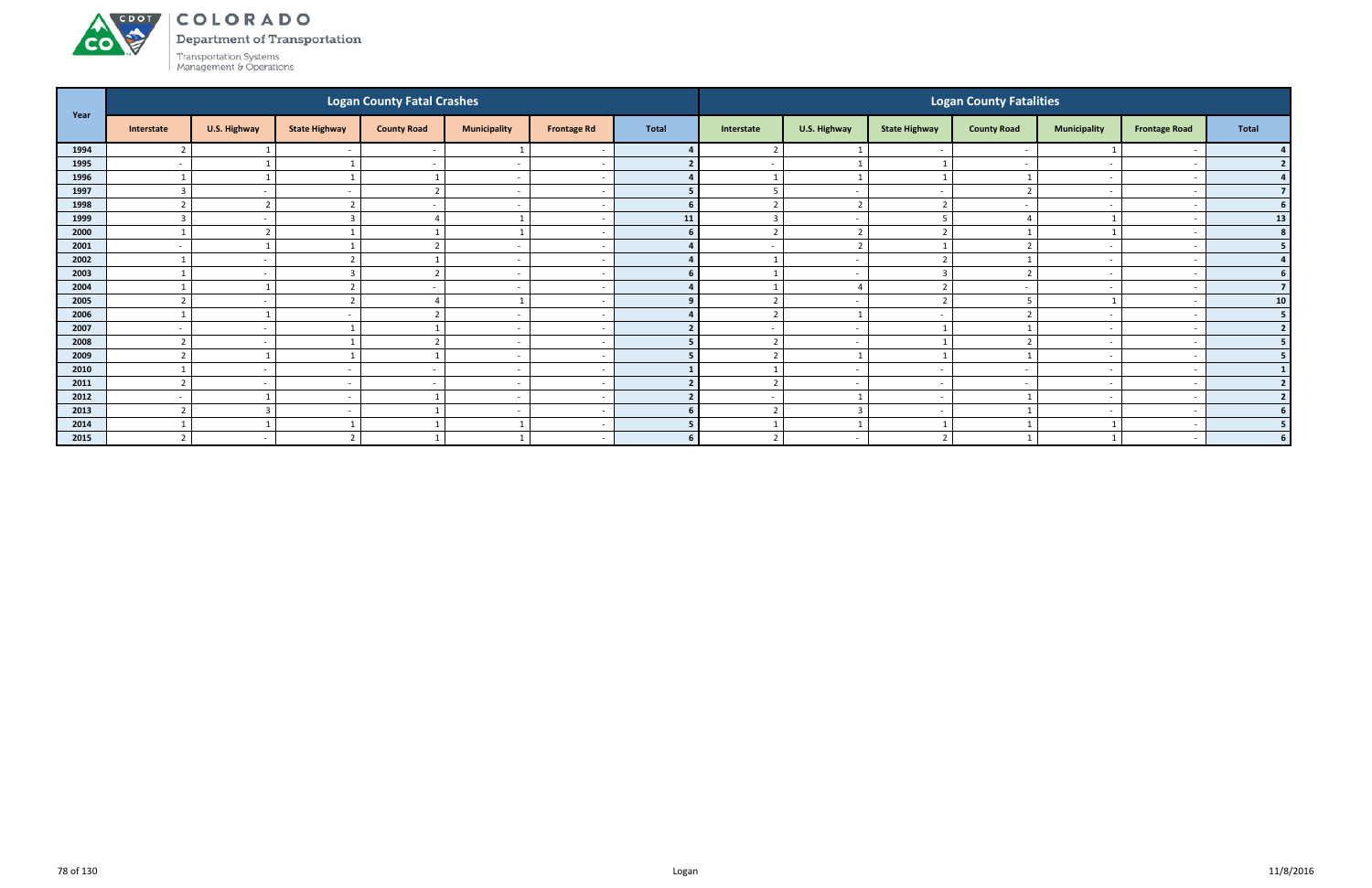# ACDOL

**CO** 

COLORADO Department of Transportation

|      |                          |              |                          | <b>Logan County Fatal Crashes</b> |                          |                          |                |                          |                          |                          | <b>Logan County Fatalities</b> |                          |                          |                          |
|------|--------------------------|--------------|--------------------------|-----------------------------------|--------------------------|--------------------------|----------------|--------------------------|--------------------------|--------------------------|--------------------------------|--------------------------|--------------------------|--------------------------|
| Year | Interstate               | U.S. Highway | <b>State Highway</b>     | <b>County Road</b>                | <b>Municipality</b>      | <b>Frontage Rd</b>       | <b>Total</b>   | Interstate               | U.S. Highway             | <b>State Highway</b>     | <b>County Road</b>             | <b>Municipality</b>      | <b>Frontage Road</b>     | <b>Total</b>             |
| 1994 |                          |              |                          | $\sim$                            |                          | <u>т</u>                 |                |                          |                          | $\sim$                   |                                |                          |                          |                          |
| 1995 | $\overline{\phantom{a}}$ |              |                          | $\sim$                            | $\overline{\phantom{a}}$ | $\sim$                   |                | $\overline{\phantom{0}}$ | $\overline{1}$           |                          |                                | $\overline{\phantom{0}}$ |                          |                          |
| 1996 |                          |              |                          |                                   | $\overline{\phantom{a}}$ |                          |                |                          | 1                        |                          |                                | $\overline{\phantom{0}}$ |                          |                          |
| 1997 | $\overline{3}$           | $\sim$       |                          | $\mathbf{\overline{a}}$           | $\overline{\phantom{a}}$ | - -                      |                | 5                        | $\overline{a}$           | $\sim$                   |                                | $\overline{\phantom{0}}$ |                          |                          |
| 1998 |                          | ຳ            |                          |                                   | $\overline{\phantom{a}}$ | - -                      | 6              |                          | $\mathbf{r}$             |                          |                                | $\overline{\phantom{0}}$ |                          | 6                        |
| 1999 |                          | $\sim$       |                          |                                   |                          |                          | 11             |                          | $\overline{\phantom{a}}$ |                          |                                |                          |                          | 13                       |
| 2000 |                          | ຳ            |                          |                                   |                          | . —                      | 6 <sup>1</sup> | $\overline{2}$           | $\overline{2}$           | $\mathbf{\Omega}$        |                                |                          | $\overline{\phantom{a}}$ | 8 <sup>1</sup>           |
| 2001 | $\overline{\phantom{a}}$ |              |                          |                                   | $\overline{\phantom{a}}$ |                          |                | $\overline{\phantom{0}}$ | $\overline{2}$           |                          |                                | $\overline{\phantom{0}}$ |                          | 5                        |
| 2002 |                          | $\sim$       |                          |                                   | $\overline{\phantom{a}}$ |                          |                |                          | $\overline{\phantom{a}}$ | $\mathbf{\overline{a}}$  |                                |                          |                          |                          |
| 2003 |                          | $\sim$       |                          | ຳ                                 | $\overline{\phantom{a}}$ | <u>т</u>                 |                |                          | $\overline{\phantom{a}}$ | $\mathbf{3}$             |                                | $\overline{\phantom{0}}$ |                          |                          |
| 2004 |                          |              |                          |                                   | $\overline{\phantom{a}}$ |                          |                |                          |                          |                          |                                |                          |                          | $\overline{7}$           |
| 2005 |                          | $\sim$       |                          |                                   |                          |                          |                |                          | $\overline{\phantom{a}}$ |                          |                                |                          |                          | 10 <sup>1</sup>          |
| 2006 |                          |              |                          |                                   | $\overline{\phantom{a}}$ | <u>т</u>                 |                | $\overline{2}$           | $\overline{\mathbf{1}}$  | $\sim$                   |                                | $\sim$                   |                          | 5 <sup>5</sup>           |
| 2007 | $\overline{\phantom{a}}$ | $\sim$       |                          |                                   | $\overline{\phantom{a}}$ |                          |                |                          | $\overline{\phantom{a}}$ |                          |                                |                          |                          | $\overline{2}$           |
| 2008 |                          | $\sim$       |                          |                                   | $\overline{\phantom{a}}$ |                          |                | $\mathbf{\hat{}}$        | $\overline{\phantom{a}}$ |                          |                                |                          |                          | 5                        |
| 2009 | ຳ                        |              |                          |                                   | $\overline{\phantom{a}}$ | $\overline{\phantom{a}}$ |                | $\overline{2}$           | - 1                      |                          |                                | $\sim$                   |                          |                          |
| 2010 |                          | $\sim$       |                          |                                   | $\overline{\phantom{a}}$ |                          |                |                          | $\overline{\phantom{a}}$ |                          |                                |                          |                          |                          |
| 2011 | $\mathcal{L}$            | $\sim$ $-$   | $\overline{\phantom{a}}$ | $\sim$                            | $\overline{\phantom{a}}$ | <u>т</u>                 |                | $\mathbf{r}$             | $\sim$                   | $\sim$                   | $\overline{\phantom{0}}$       | $\overline{\phantom{0}}$ |                          | $\overline{\phantom{a}}$ |
| 2012 | $\overline{\phantom{a}}$ |              | $\overline{\phantom{a}}$ |                                   | $\overline{\phantom{a}}$ | $\sim$                   | $\mathbf{r}$   | $\overline{\phantom{0}}$ | $\overline{\phantom{0}}$ | $\overline{\phantom{0}}$ |                                | $\sim$                   |                          | $\overline{2}$           |
| 2013 | $\mathcal{L}$            | 3            |                          |                                   | $\overline{\phantom{a}}$ |                          | 6              | $\overline{2}$           | $\overline{3}$           | $\overline{\phantom{a}}$ |                                | $\overline{\phantom{0}}$ |                          | 6                        |
| 2014 |                          |              |                          |                                   |                          | - -                      |                |                          |                          |                          |                                |                          |                          |                          |
| 2015 |                          | $\sim$       |                          |                                   |                          | $\overline{\phantom{a}}$ | 6              | ຳ                        | $\overline{\phantom{a}}$ |                          |                                |                          |                          | 6 <sup>1</sup>           |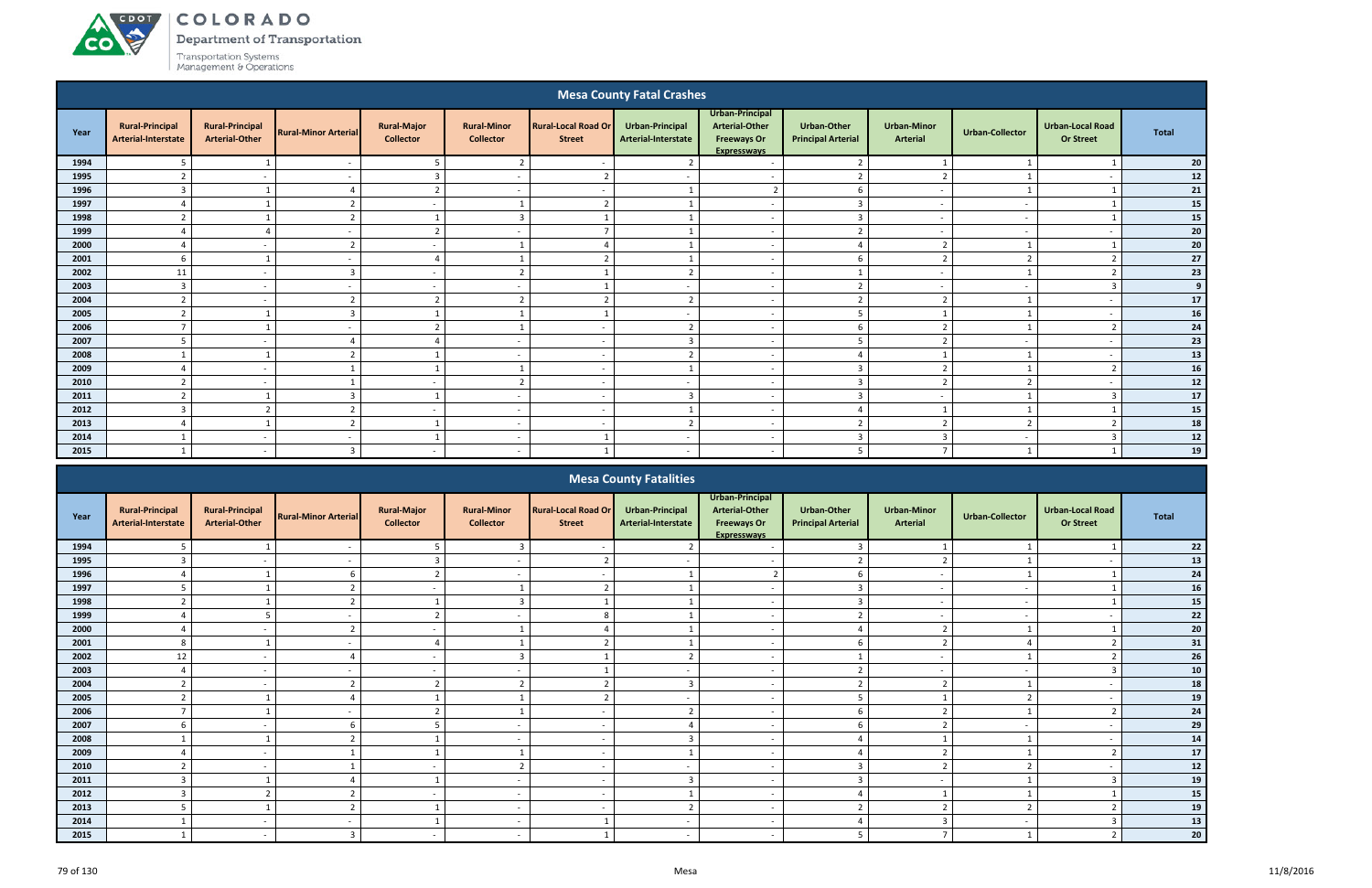ACDOL

**CO** 

Department of Transportation

|      |                                                      |                                                 |                             |                                        |                                        |                                             | <b>Mesa County Fatal Crashes</b>       |                                                                                      |                                                 |                                       |                          |                                             |              |
|------|------------------------------------------------------|-------------------------------------------------|-----------------------------|----------------------------------------|----------------------------------------|---------------------------------------------|----------------------------------------|--------------------------------------------------------------------------------------|-------------------------------------------------|---------------------------------------|--------------------------|---------------------------------------------|--------------|
| Year | <b>Rural-Principal</b><br><b>Arterial-Interstate</b> | <b>Rural-Principal</b><br><b>Arterial-Other</b> | <b>Rural-Minor Arterial</b> | <b>Rural-Major</b><br><b>Collector</b> | <b>Rural-Minor</b><br><b>Collector</b> | <b>Rural-Local Road Or</b><br><b>Street</b> | Urban-Principal<br>Arterial-Interstate | Urban-Principal<br><b>Arterial-Other</b><br><b>Freeways Or</b><br><b>Expresswavs</b> | <b>Urban-Other</b><br><b>Principal Arterial</b> | <b>Urban-Minor</b><br><b>Arterial</b> | <b>Urban-Collector</b>   | <b>Urban-Local Road</b><br><b>Or Street</b> | <b>Total</b> |
| 1994 | 5                                                    |                                                 | $\overline{\phantom{a}}$    | 5                                      | $2^{\circ}$                            | $\overline{\phantom{a}}$                    | $\overline{2}$                         | $\sim$                                                                               | $\overline{2}$                                  |                                       |                          |                                             | 20           |
| 1995 | $\mathbf{r}$                                         | $\sim$                                          | $\overline{a}$              | $\overline{3}$                         | $\overline{\phantom{a}}$               | ຳ                                           | $\overline{\phantom{a}}$               | $\overline{a}$                                                                       | $\overline{2}$                                  | ຳ                                     |                          | $\overline{\phantom{a}}$                    | 12           |
| 1996 | $\overline{3}$                                       |                                                 | $\overline{a}$              | $\overline{2}$                         | $\overline{\phantom{a}}$               | $\overline{\phantom{a}}$                    |                                        | $\overline{2}$                                                                       | 6                                               | $\overline{\phantom{a}}$              |                          |                                             | 21           |
| 1997 |                                                      |                                                 | $\mathbf{\hat{}}$           | $\sim$                                 |                                        | $\overline{2}$                              |                                        | $\overline{\phantom{a}}$                                                             | $\overline{3}$                                  | $\sim$                                |                          |                                             | 15           |
| 1998 | $\overline{2}$                                       |                                                 | $\overline{2}$              | $\overline{1}$                         | $\overline{3}$                         |                                             |                                        | $\sim$                                                                               | $\overline{3}$                                  | $\overline{\phantom{a}}$              | $\sim$                   |                                             | 15           |
| 1999 | $\Delta$                                             | $\Delta$                                        | $\sim$                      | $\overline{2}$                         | $\overline{\phantom{a}}$               | $\mathbf{r}$                                |                                        | $\sim$                                                                               | $\overline{2}$                                  | $\overline{\phantom{a}}$              | $\sim$                   | $\overline{a}$                              | 20           |
| 2000 | $\Delta$                                             | $\sim$                                          | $\overline{2}$              | $\sim$                                 |                                        | $\Lambda$                                   |                                        | $\sim$                                                                               | $\Delta$                                        | $\overline{2}$                        |                          |                                             | 20           |
| 2001 | 6                                                    |                                                 | $\overline{\phantom{0}}$    | $\overline{4}$                         | $\mathbf{1}$                           | $\overline{2}$                              |                                        | $\overline{a}$                                                                       | 6                                               | $\overline{2}$                        | $\mathbf{\overline{a}}$  | $\overline{2}$                              | 27           |
| 2002 | 11                                                   | $\sim$                                          | $\overline{3}$              | $\sim$                                 | $\overline{2}$                         |                                             | $\mathbf{\Omega}$                      | $\overline{a}$                                                                       |                                                 | $\sim$                                |                          | ຳ                                           | 23           |
| 2003 | $\overline{3}$                                       | $\overline{\phantom{a}}$                        | $\sim$                      | $\sim$                                 | $\overline{a}$                         |                                             | $\sim$                                 | $\overline{\phantom{a}}$                                                             | $\overline{2}$                                  | $\overline{a}$                        | $\overline{\phantom{a}}$ | -3                                          | 9            |
| 2004 | $\overline{2}$                                       | $\sim$                                          | $\overline{2}$              | $\overline{2}$                         | $\overline{2}$                         | $\overline{2}$                              | $\overline{2}$                         | $\sim$                                                                               | $\overline{2}$                                  | $\overline{2}$                        |                          | $\overline{\phantom{a}}$                    | 17           |
| 2005 | $\overline{2}$                                       |                                                 | $\overline{3}$              |                                        |                                        |                                             | $\sim$                                 | $\sim$                                                                               | 5                                               |                                       |                          | $\overline{\phantom{a}}$                    | 16           |
| 2006 | $\overline{7}$                                       |                                                 | $\overline{\phantom{0}}$    | $\overline{2}$                         | $\mathbf{1}$                           | $\sim$                                      | $\overline{2}$                         | $\overline{\phantom{a}}$                                                             | 6                                               | $\overline{2}$                        |                          | $\overline{2}$                              | 24           |
| 2007 | 5                                                    | $\overline{\phantom{a}}$                        |                             | $\Delta$                               |                                        | $\overline{\phantom{a}}$                    | з                                      | $\overline{\phantom{a}}$                                                             | 5                                               | ຳ                                     |                          | $\overline{a}$                              | 23           |
| 2008 |                                                      |                                                 | $\overline{2}$              |                                        | $\overline{\phantom{a}}$               | $\overline{\phantom{a}}$                    | $\mathbf{r}$                           | $\overline{\phantom{a}}$                                                             | $\overline{4}$                                  |                                       |                          | $\overline{\phantom{a}}$                    | 13           |
| 2009 | $\Delta$                                             | $\sim$                                          |                             |                                        |                                        | $\overline{\phantom{a}}$                    |                                        | $\sim$                                                                               | $\overline{3}$                                  | $\overline{2}$                        |                          | $\overline{z}$                              | 16           |
| 2010 | $\overline{\phantom{a}}$                             | $\overline{a}$                                  |                             | $\sim$                                 | $\overline{2}$                         | $\sim$                                      | $\overline{\phantom{a}}$               | $\sim$                                                                               | $\overline{3}$                                  | $\overline{2}$                        | ຳ                        | $\overline{a}$                              | 12           |
| 2011 | $\overline{2}$                                       |                                                 | $\overline{3}$              |                                        | $\sim$                                 | $\sim$                                      | $\mathbf{3}$                           | $\overline{a}$                                                                       | $\overline{3}$                                  | $\sim$                                |                          | ્વ                                          | 17           |
| 2012 | $\overline{3}$                                       | $\mathbf{\overline{2}}$                         | $\mathcal{L}$               | $\sim$                                 | $\overline{a}$                         | $\sim$                                      |                                        | $\sim$                                                                               | $\Delta$                                        |                                       |                          |                                             | 15           |
| 2013 | $\overline{\Lambda}$                                 |                                                 | $\overline{2}$              |                                        | $\overline{\phantom{a}}$               | $\sim$                                      | ຳ                                      | $\overline{\phantom{a}}$                                                             | $\overline{2}$                                  | $\overline{2}$                        | ຳ                        | $\overline{2}$                              | 18           |
| 2014 |                                                      | $\overline{\phantom{a}}$                        | $\overline{\phantom{a}}$    |                                        | $\overline{\phantom{a}}$               |                                             | $\sim$                                 | $\overline{\phantom{a}}$                                                             | $\overline{3}$                                  | $\overline{3}$                        | $\overline{\phantom{a}}$ |                                             | ${\bf 12}$   |
| 2015 |                                                      | $\overline{\phantom{0}}$                        | 3                           | $\sim$                                 | $\overline{\phantom{a}}$               |                                             | $\sim$                                 | $\overline{\phantom{a}}$                                                             | 5                                               | $\mathbf{z}$                          |                          |                                             | 19           |
|      |                                                      |                                                 |                             |                                        |                                        | $\sim$                                      | .<br>-                                 |                                                                                      |                                                 |                                       |                          |                                             |              |

|      |                                               |                                                 |                             |                                        |                                        |                                             | <b>Mesa County Fatalities</b>          |                                                                                             |                                                 |                                       |                        |                                             |            |
|------|-----------------------------------------------|-------------------------------------------------|-----------------------------|----------------------------------------|----------------------------------------|---------------------------------------------|----------------------------------------|---------------------------------------------------------------------------------------------|-------------------------------------------------|---------------------------------------|------------------------|---------------------------------------------|------------|
| Year | <b>Rural-Principal</b><br>Arterial-Interstate | <b>Rural-Principal</b><br><b>Arterial-Other</b> | <b>Rural-Minor Arterial</b> | <b>Rural-Major</b><br><b>Collector</b> | <b>Rural-Minor</b><br><b>Collector</b> | <b>Rural-Local Road Or</b><br><b>Street</b> | Urban-Principal<br>Arterial-Interstate | <b>Urban-Principal</b><br><b>Arterial-Other</b><br><b>Freeways Or</b><br><b>Expresswavs</b> | <b>Urban-Other</b><br><b>Principal Arterial</b> | <b>Urban-Minor</b><br><b>Arterial</b> | <b>Urban-Collector</b> | <b>Urban-Local Road</b><br><b>Or Street</b> | Total      |
| 1994 |                                               |                                                 |                             |                                        | $\overline{3}$                         |                                             |                                        |                                                                                             | $\overline{3}$                                  |                                       |                        |                                             | $22$       |
| 1995 |                                               |                                                 |                             |                                        |                                        |                                             |                                        |                                                                                             | $\mathbf{a}$                                    |                                       |                        |                                             | 13         |
| 1996 |                                               |                                                 |                             |                                        | $\overline{a}$                         | $\overline{\phantom{a}}$                    |                                        | ຳ                                                                                           | 6                                               | $\overline{\phantom{a}}$              |                        |                                             | 24         |
| 1997 |                                               |                                                 |                             | $\sim$                                 |                                        | $\overline{\phantom{a}}$                    |                                        | $\overline{\phantom{a}}$                                                                    | $\overline{3}$                                  |                                       |                        |                                             | 16         |
| 1998 |                                               |                                                 |                             |                                        |                                        |                                             |                                        | $\overline{\phantom{a}}$                                                                    | $\overline{3}$                                  | $\overline{\phantom{a}}$              |                        |                                             | ${\bf 15}$ |
| 1999 |                                               |                                                 |                             |                                        |                                        | റ                                           |                                        | $\overline{\phantom{a}}$                                                                    | $\mathcal{L}$<br>$\epsilon$                     |                                       |                        |                                             | 22         |
| 2000 |                                               |                                                 |                             | $\sim$                                 |                                        |                                             |                                        | $\overline{\phantom{0}}$                                                                    | $\Delta$                                        | $\mathbf{a}$                          |                        |                                             | 20         |
| 2001 | 8                                             |                                                 |                             |                                        |                                        |                                             |                                        | $\overline{\phantom{a}}$                                                                    | 6                                               | $\overline{2}$                        |                        |                                             | 31         |
| 2002 | 12                                            |                                                 |                             | $\sim$                                 | $\overline{3}$                         |                                             |                                        | $\overline{\phantom{0}}$                                                                    | $\mathbf{A}$                                    | $\overline{\phantom{a}}$              |                        |                                             | 26         |
| 2003 |                                               |                                                 |                             | $\sim$                                 | $\overline{\phantom{a}}$               |                                             |                                        | $\overline{\phantom{a}}$                                                                    | $\overline{2}$                                  | $\overline{\phantom{a}}$              |                        |                                             | ${\bf 10}$ |
| 2004 |                                               |                                                 |                             |                                        | $\mathbf{\hat{z}}$                     |                                             |                                        | $\overline{\phantom{a}}$                                                                    | $\mathcal{L}$<br>$\epsilon$                     |                                       |                        |                                             | 18         |
| 2005 | $\mathcal{D}$                                 |                                                 |                             |                                        |                                        | ຳ                                           |                                        | $\overline{\phantom{a}}$                                                                    | $5\overline{5}$                                 |                                       | $\overline{2}$         |                                             | 19         |
| 2006 |                                               |                                                 |                             |                                        |                                        |                                             |                                        | $\overline{\phantom{a}}$                                                                    | 6                                               | $\mathbf{\Omega}$                     |                        |                                             | 24         |
| 2007 |                                               |                                                 |                             |                                        | $\overline{\phantom{a}}$               | $\sim$                                      |                                        | $\overline{\phantom{a}}$                                                                    | 6                                               | $\mathcal{L}$                         |                        |                                             | 29         |
| 2008 |                                               |                                                 |                             |                                        |                                        | $\overline{\phantom{a}}$                    |                                        | $\overline{\phantom{a}}$                                                                    |                                                 |                                       |                        |                                             | 14         |
| 2009 |                                               | $\sim$                                          |                             |                                        |                                        | $\overline{\phantom{a}}$                    |                                        | $\sim$                                                                                      | $\Delta$                                        | $\mathcal{D}$                         |                        |                                             | 17         |
| 2010 |                                               |                                                 |                             | $\sim$                                 | $\overline{2}$                         | $\overline{\phantom{a}}$                    |                                        | $\sim$                                                                                      | $\overline{3}$                                  | $\overline{2}$                        |                        |                                             | $12\,$     |
| 2011 |                                               |                                                 |                             |                                        | $\overline{\phantom{a}}$               | $\overline{\phantom{a}}$                    |                                        | $\overline{\phantom{0}}$                                                                    | $\overline{3}$                                  | $\overline{\phantom{a}}$              |                        |                                             | 19         |
| 2012 |                                               |                                                 |                             | $\sim$                                 | $\overline{\phantom{0}}$               | $\overline{\phantom{a}}$                    |                                        | $\overline{\phantom{a}}$                                                                    | $\overline{a}$                                  |                                       |                        |                                             | ${\bf 15}$ |
| 2013 |                                               |                                                 |                             |                                        | $\overline{\phantom{a}}$               | $\overline{\phantom{0}}$                    |                                        | $\overline{\phantom{a}}$                                                                    | $\mathcal{L}$                                   | $\mathcal{L}$                         |                        |                                             | 19         |
| 2014 |                                               | $\overline{\phantom{0}}$                        |                             |                                        | $\overline{\phantom{a}}$               |                                             | $\overline{\phantom{a}}$               | $\overline{\phantom{a}}$                                                                    | $\overline{a}$                                  | 3                                     |                        |                                             | 13         |
| 2015 |                                               |                                                 | $\mathbf{3}$                |                                        | $\overline{\phantom{a}}$               |                                             |                                        |                                                                                             | 5                                               | $\overline{ }$                        |                        |                                             | 20         |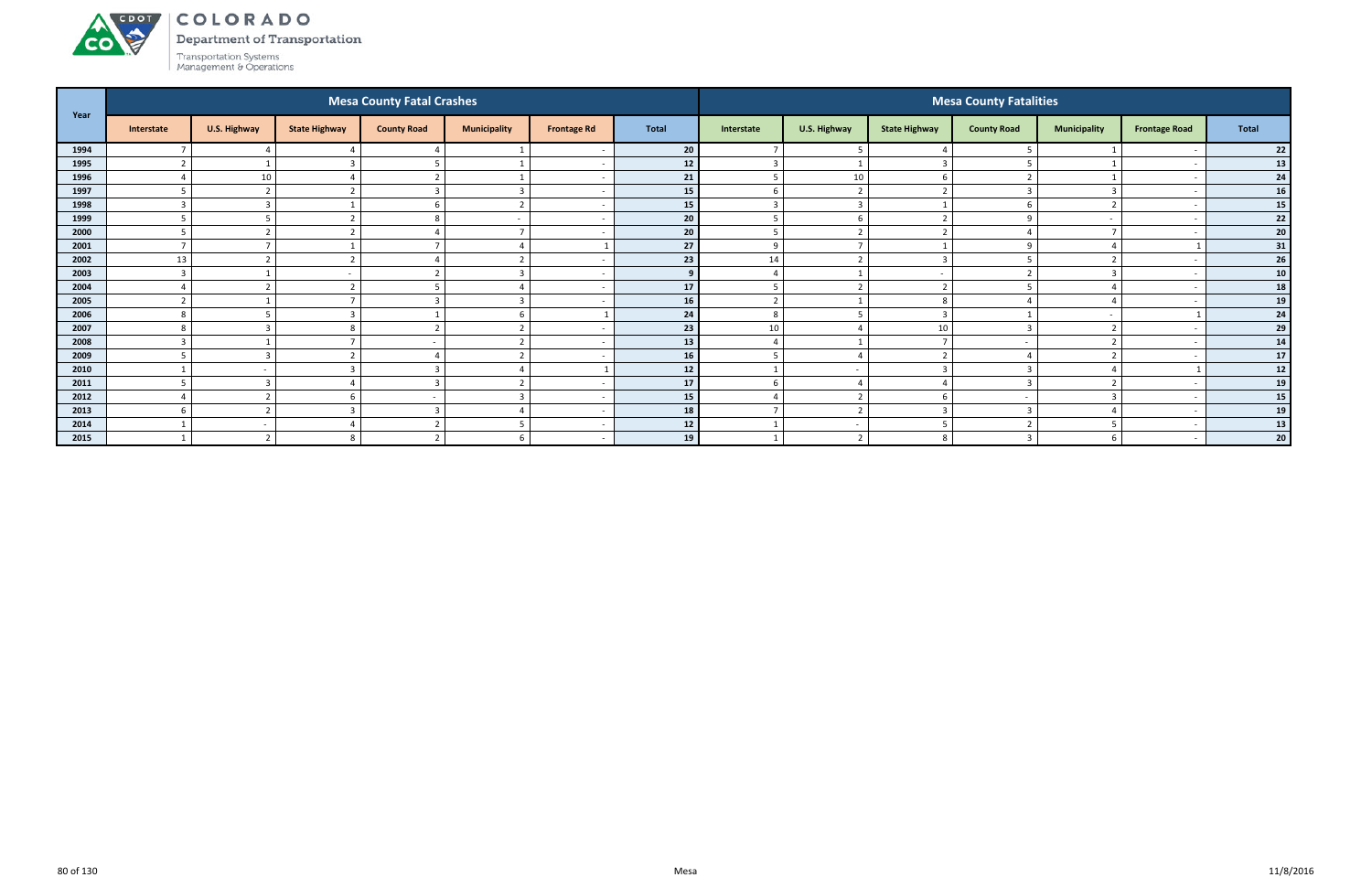Department of Transportation



| Year |                    |                          |                      | <b>Mesa County Fatal Crashes</b> |                          |                    |                 |                |                          |                      | <b>Mesa County Fatalities</b> |                          |                          |                 |
|------|--------------------|--------------------------|----------------------|----------------------------------|--------------------------|--------------------|-----------------|----------------|--------------------------|----------------------|-------------------------------|--------------------------|--------------------------|-----------------|
|      | Interstate         | U.S. Highway             | <b>State Highway</b> | <b>County Road</b>               | <b>Municipality</b>      | <b>Frontage Rd</b> | <b>Total</b>    | Interstate     | U.S. Highway             | <b>State Highway</b> | <b>County Road</b>            | <b>Municipality</b>      | <b>Frontage Road</b>     | <b>Total</b>    |
| 1994 |                    |                          |                      |                                  |                          |                    | 20 <sub>1</sub> | $\overline{7}$ | - 5                      |                      |                               |                          |                          | 22              |
| 1995 | $\mathbf{\hat{z}}$ |                          |                      |                                  |                          |                    | 12              | $\overline{3}$ | $\overline{\phantom{0}}$ | 3                    |                               |                          |                          | 13              |
| 1996 |                    | 10                       |                      | $\overline{2}$                   |                          |                    | 21              | 5              | 10                       | - to                 |                               |                          |                          | 24              |
| 1997 | 5                  | $\overline{2}$           |                      | $\overline{3}$                   | $\overline{3}$           |                    | 15              | 6              | $\overline{2}$           |                      |                               | $\overline{3}$           | $\overline{\phantom{a}}$ | 16              |
| 1998 | $\overline{3}$     | -3                       |                      | 6                                | $\overline{2}$           |                    | 15              | $\overline{3}$ | $\overline{\mathbf{3}}$  |                      |                               | $\overline{2}$           |                          | 15              |
| 1999 |                    |                          |                      | 8                                | $\overline{\phantom{0}}$ |                    | 20              | 5              | -6                       | $\mathbf{\cdot}$     | U                             | $\sim$                   |                          | $\bf 22$        |
| 2000 |                    |                          |                      |                                  |                          |                    | 20              | 5              |                          |                      |                               |                          |                          | ${\bf 20}$      |
| 2001 |                    |                          |                      |                                  |                          |                    | 27              | 9              |                          |                      |                               |                          |                          | 31              |
| 2002 | 13                 | ຳ                        |                      |                                  | $\overline{2}$           |                    | 23              | 14             | $\overline{2}$           | $\overline{3}$       |                               | $\overline{2}$           |                          | 26              |
| 2003 | $\overline{3}$     |                          |                      | ຳ                                | $\overline{3}$           |                    | <b>9</b>        | $\overline{4}$ | $\overline{\phantom{0}}$ |                      |                               | 3                        |                          | 10 <sup>1</sup> |
| 2004 |                    | $\mathbf{\overline{a}}$  |                      |                                  |                          |                    | 17              | 5              | $\overline{2}$           | ຳ                    |                               |                          |                          | 18              |
| 2005 | $\mathbf{\cdot}$   |                          |                      | $\overline{3}$                   | $\overline{3}$           |                    | 16              | $\overline{2}$ |                          | 8                    |                               |                          |                          | 19              |
| 2006 | 8                  |                          |                      |                                  | 6                        |                    | 24              | 8              | 5                        |                      |                               | $\overline{\phantom{0}}$ |                          | 24              |
| 2007 | 8                  | $\overline{3}$           |                      | $\overline{2}$                   | $\overline{2}$           |                    | 23              | 10             |                          | 10                   |                               | $\overline{2}$           |                          | 29              |
| 2008 | $\mathbf{3}$       |                          |                      |                                  | $\overline{2}$           |                    | 13              | $\overline{4}$ | $\overline{\phantom{0}}$ |                      |                               | $\overline{2}$           |                          | 14              |
| 2009 |                    | 3                        |                      |                                  | $\mathbf{\hat{z}}$       |                    | 16              | 5              |                          |                      |                               | $\overline{2}$           |                          | ${\bf 17}$      |
| 2010 |                    |                          |                      | $\overline{3}$                   |                          |                    | 12              |                | $\overline{\phantom{a}}$ | ຳ<br>- 3             |                               |                          |                          | $12$            |
| 2011 | -5                 | E                        |                      | $\overline{3}$                   | $\mathbf{\overline{a}}$  |                    | 17              | 6              |                          |                      |                               | $\overline{2}$           |                          | 19              |
| 2012 |                    |                          | h                    |                                  | $\overline{3}$           |                    | 15              | $\overline{4}$ | $\overline{2}$           | - to                 |                               | $\overline{3}$           |                          | 15              |
| 2013 | 6                  | ຳ                        |                      | $\overline{3}$                   | $\Delta$                 |                    | 18              | $\overline{ }$ | $\overline{2}$           | 3                    |                               | $\overline{4}$           |                          | 19              |
| 2014 |                    | $\sim$                   |                      | $\overline{2}$                   | -5                       |                    | 12              | -1             | $\overline{\phantom{a}}$ |                      |                               | 5                        |                          | 13              |
| 2015 |                    | $\overline{\phantom{a}}$ | $\sim$               | $\mathcal{D}$                    | 6                        |                    | 19              | $\overline{ }$ | $\overline{\phantom{a}}$ | 8                    |                               | 6                        |                          | $\bf{20}$       |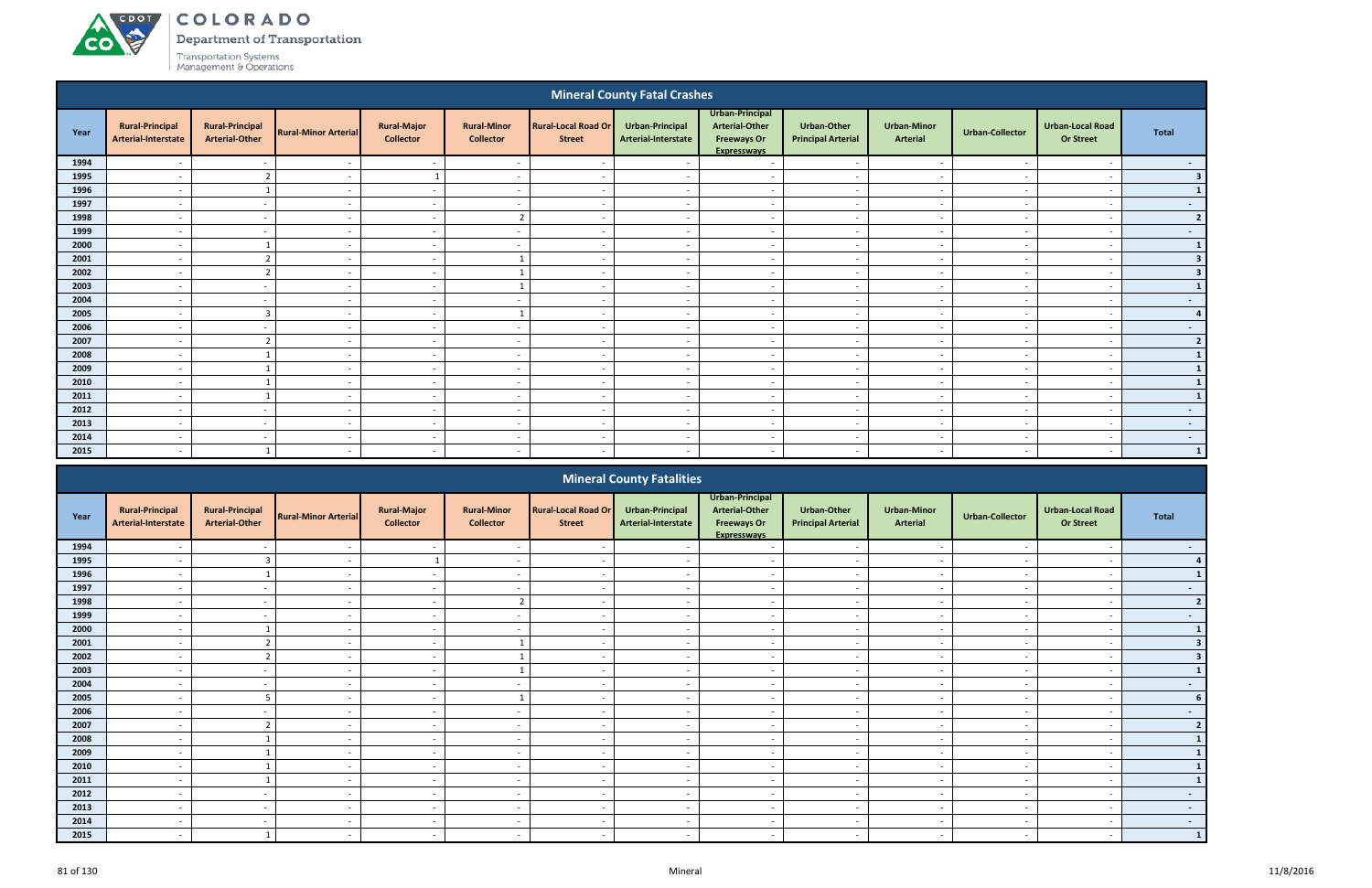# ACDOT **CO**

COLORADO

Department of Transportation

|      |                                                      |                                                 |                             |                                        |                                        |                                             | <b>Mineral County Fatal Crashes</b>    |                                                                                      |                                                   |                                       |                          |                                             |                |
|------|------------------------------------------------------|-------------------------------------------------|-----------------------------|----------------------------------------|----------------------------------------|---------------------------------------------|----------------------------------------|--------------------------------------------------------------------------------------|---------------------------------------------------|---------------------------------------|--------------------------|---------------------------------------------|----------------|
| Year | <b>Rural-Principal</b><br><b>Arterial-Interstate</b> | <b>Rural-Principal</b><br><b>Arterial-Other</b> | <b>Rural-Minor Arterial</b> | <b>Rural-Major</b><br><b>Collector</b> | <b>Rural-Minor</b><br><b>Collector</b> | <b>Rural-Local Road Or</b><br><b>Street</b> | Urban-Principal<br>Arterial-Interstate | Urban-Principal<br><b>Arterial-Other</b><br><b>Freeways Or</b><br><b>Expresswavs</b> | <b>Urban-Other</b><br><b>Principal Arterial</b>   | <b>Urban-Minor</b><br><b>Arterial</b> | <b>Urban-Collector</b>   | <b>Urban-Local Road</b><br><b>Or Street</b> | <b>Total</b>   |
| 1994 |                                                      |                                                 |                             | $\sim$                                 |                                        |                                             |                                        | $\overline{\phantom{a}}$                                                             |                                                   | $\overline{\phantom{a}}$              |                          | $\overline{\phantom{a}}$                    | $\sim$         |
| 1995 |                                                      | 2                                               |                             |                                        |                                        |                                             |                                        | $\overline{a}$                                                                       | $\overline{\phantom{a}}$                          | $\overline{\phantom{a}}$              |                          | $\overline{\phantom{a}}$                    | 3 <sup>1</sup> |
| 1996 |                                                      | - 1                                             | $\overline{\phantom{a}}$    | $\sim$                                 | $\overline{\phantom{0}}$               | $\overline{\phantom{a}}$                    |                                        | $\sim$                                                                               | $\sim$                                            | $\sim$                                | $\overline{\phantom{a}}$ | $\overline{\phantom{a}}$                    | $\mathbf{1}$   |
| 1997 |                                                      | $\sim$                                          | $\overline{\phantom{a}}$    | $\sim$                                 | $\overline{a}$                         | $\overline{\phantom{a}}$                    |                                        | $\sim$                                                                               | $\overline{a}$                                    | $\sim$                                | $\overline{\phantom{a}}$ | $\overline{\phantom{a}}$                    | $\sim$ $-$     |
| 1998 |                                                      | $\overline{\phantom{a}}$                        |                             | $\sim$                                 | $\overline{2}$                         | $\overline{\phantom{a}}$                    |                                        | $\overline{\phantom{a}}$                                                             | $\overline{\phantom{a}}$                          | $\sim$                                |                          | $\overline{\phantom{a}}$                    | 2 <sup>1</sup> |
| 1999 |                                                      |                                                 |                             | $\sim$                                 |                                        |                                             |                                        | $\overline{\phantom{a}}$                                                             | $\overline{\phantom{a}}$                          | $\overline{\phantom{a}}$              |                          | $\overline{\phantom{a}}$                    | $\sim$ $-$     |
| 2000 |                                                      | 1                                               |                             | $\sim$                                 | $\overline{a}$                         |                                             |                                        | $\sim$                                                                               | $\overline{\phantom{a}}$                          | $\overline{\phantom{a}}$              |                          | $\overline{\phantom{a}}$                    | $\mathbf{1}$   |
| 2001 |                                                      | $\overline{2}$                                  | $\overline{\phantom{0}}$    | $\sim$                                 | $\overline{1}$                         | $\overline{\phantom{a}}$                    |                                        | $\overline{\phantom{a}}$                                                             | $\overline{\phantom{0}}$                          | $\sim$                                |                          | $\overline{\phantom{a}}$                    | 3 <sup>1</sup> |
| 2002 |                                                      | $\overline{2}$                                  | $\overline{\phantom{a}}$    | $\sim$                                 | $\mathbf{1}$                           | $\overline{\phantom{a}}$                    |                                        | $\sim$                                                                               | $\sim$                                            | $\sim$                                |                          | $\overline{\phantom{a}}$                    | 3 <sup>1</sup> |
| 2003 |                                                      |                                                 | $\overline{\phantom{a}}$    | $\sim$                                 | $\overline{1}$                         | $\overline{\phantom{a}}$                    |                                        | $\sim$                                                                               | $\overline{\phantom{a}}$                          | $\overline{\phantom{a}}$              |                          | $\overline{\phantom{a}}$                    | $\mathbf{1}$   |
| 2004 |                                                      |                                                 |                             | $\sim$                                 |                                        |                                             |                                        | $\overline{\phantom{a}}$                                                             |                                                   | $\overline{a}$                        |                          | $\overline{\phantom{a}}$                    | $\sim$         |
| 2005 |                                                      | $\overline{3}$                                  | $\overline{\phantom{0}}$    | $\sim$                                 | $\mathbf{1}$                           | $\overline{\phantom{a}}$                    | $\sim$                                 | $\overline{\phantom{a}}$                                                             | $\sim$                                            | $\sim$                                | $\overline{\phantom{a}}$ | $\overline{\phantom{a}}$                    | 4 <sup>1</sup> |
| 2006 |                                                      | $\overline{\phantom{a}}$                        |                             | $\sim$                                 | $\overline{\phantom{a}}$               | <u>. на та</u>                              |                                        | $\overline{\phantom{a}}$                                                             | $\overline{\phantom{a}}$                          | $\sim$                                |                          | $\overline{\phantom{a}}$                    | $\sim$ $-$     |
| 2007 |                                                      | $\overline{2}$                                  |                             | $\sim$                                 | $\overline{a}$                         |                                             |                                        | $\sim$                                                                               | $\sim$                                            | $\sim$                                |                          | $\overline{\phantom{a}}$                    | 2              |
| 2008 |                                                      |                                                 |                             | $\sim$                                 | $\overline{a}$                         |                                             |                                        | $\sim$                                                                               | $\overline{a}$                                    | $\sim$                                |                          | $\overline{\phantom{a}}$                    | $\mathbf{1}$   |
| 2009 |                                                      | - 1                                             |                             | $\sim$                                 | $\overline{\phantom{0}}$               |                                             |                                        | $\overline{a}$                                                                       | $\sim$                                            | $\overline{\phantom{a}}$              |                          | $\overline{\phantom{a}}$                    | $\vert$ 1      |
| 2010 |                                                      | $\mathbf{1}$                                    |                             | $\sim$                                 | $\overline{a}$                         |                                             |                                        | $\overline{\phantom{a}}$                                                             | $\overline{\phantom{a}}$                          | $\overline{\phantom{a}}$              |                          | $\overline{\phantom{a}}$                    | $\vert$ 1      |
| 2011 |                                                      |                                                 |                             | $\sim$                                 |                                        | $\overline{\phantom{a}}$                    |                                        | $\sim$                                                                               | $\overline{\phantom{a}}$                          | $\overline{\phantom{a}}$              |                          | $\overline{\phantom{a}}$                    | $\mathbf{1}$   |
| 2012 |                                                      |                                                 |                             | $\overline{\phantom{a}}$               |                                        |                                             |                                        | $\overline{\phantom{a}}$                                                             | $\overline{\phantom{a}}$                          | $\overline{\phantom{a}}$              |                          | $\overline{\phantom{a}}$                    | $\sim$         |
| 2013 |                                                      | $\overline{\phantom{a}}$                        |                             | $\sim$                                 | $\overline{\phantom{0}}$               |                                             |                                        | $\sim$                                                                               | $\sim$                                            | $\sim$                                | $\overline{\phantom{a}}$ | $\overline{\phantom{a}}$                    | $\sim$         |
| 2014 |                                                      | $\overline{\phantom{0}}$                        | $\overline{\phantom{a}}$    | $\sim$                                 | $\overline{\phantom{0}}$               | $\overline{\phantom{a}}$                    | $\overline{\phantom{a}}$               | $\overline{\phantom{a}}$                                                             | $\overline{\phantom{0}}$                          | $\overline{\phantom{a}}$              | $\overline{\phantom{a}}$ | $\overline{\phantom{a}}$                    | $\sim$         |
| 2015 |                                                      | - 1                                             |                             | $\sim$                                 |                                        |                                             |                                        | $\overline{\phantom{a}}$                                                             |                                                   | $\overline{\phantom{a}}$              |                          |                                             | $\vert$ 1      |
|      |                                                      |                                                 |                             |                                        |                                        |                                             | <b>Mineral County Fatalities</b>       | Urban-Principal                                                                      |                                                   |                                       |                          |                                             |                |
|      | <b>Property Production of the Con-</b>               | <b>Channel Photography of</b>                   |                             | <b>Donal Maction</b>                   | <b>Donald Matures</b>                  | <b>Donald Start David Only</b>              | والمستعاد والمتعادل والمستحدث          | Anti-official Calculus                                                               | $\mathbf{I}$ . The set of the set of $\mathbf{I}$ | <b>Charles and Address and</b>        |                          | <b>The book of a staff the staff</b>        |                |

|      |                                               |                                                 |                             |                                        |                                        |                                             | <b>IVILICIAL COULTLY FALATILICS</b>    |                                                                               |                                          |                                       |                          |                                             |                          |
|------|-----------------------------------------------|-------------------------------------------------|-----------------------------|----------------------------------------|----------------------------------------|---------------------------------------------|----------------------------------------|-------------------------------------------------------------------------------|------------------------------------------|---------------------------------------|--------------------------|---------------------------------------------|--------------------------|
| Year | <b>Rural-Principal</b><br>Arterial-Interstate | <b>Rural-Principal</b><br><b>Arterial-Other</b> | <b>Rural-Minor Arterial</b> | <b>Rural-Major</b><br><b>Collector</b> | <b>Rural-Minor</b><br><b>Collector</b> | <b>Rural-Local Road Or</b><br><b>Street</b> | Urban-Principal<br>Arterial-Interstate | Urban-Principal<br><b>Arterial-Other</b><br><b>Freeways Or</b><br>Expressways | Urban-Other<br><b>Principal Arterial</b> | <b>Urban-Minor</b><br><b>Arterial</b> | Urban-Collector          | <b>Urban-Local Road</b><br><b>Or Street</b> | Total                    |
| 1994 |                                               |                                                 |                             |                                        |                                        |                                             |                                        |                                                                               |                                          |                                       |                          |                                             | $\sim$                   |
| 1995 |                                               | $\overline{3}$                                  |                             |                                        |                                        |                                             |                                        | $\overline{\phantom{a}}$                                                      | $\overline{\phantom{0}}$                 | $\overline{\phantom{a}}$              |                          |                                             |                          |
| 1996 |                                               |                                                 |                             | $\sim$                                 |                                        |                                             |                                        | $\overline{\phantom{0}}$                                                      |                                          |                                       |                          |                                             |                          |
| 1997 | $\overline{\phantom{0}}$                      | $\sim$ $-$                                      | $\sim$                      | $\sim$ $-$                             | $\sim$                                 | $\overline{\phantom{a}}$                    | $\sim$                                 | $\sim$                                                                        | $\sim$                                   | $\sim$                                | $\overline{\phantom{a}}$ | $\overline{\phantom{a}}$                    | $\sim$                   |
| 1998 | $\overline{\phantom{0}}$                      | $\sim$                                          | $\sim$                      | $\sim$                                 | $\overline{2}$                         |                                             |                                        | $\sim$                                                                        | $\sim$                                   | $\sim$                                |                          |                                             |                          |
| 1999 |                                               | $\overline{\phantom{a}}$                        |                             | $\sim$                                 |                                        |                                             |                                        | $\overline{\phantom{a}}$                                                      |                                          | $\overline{\phantom{a}}$              |                          |                                             |                          |
| 2000 |                                               |                                                 |                             | $\sim$                                 |                                        |                                             |                                        | $\overline{\phantom{a}}$                                                      | $\overline{\phantom{a}}$                 | $\overline{\phantom{0}}$              |                          |                                             |                          |
| 2001 |                                               |                                                 |                             | $\sim$ $-$                             |                                        |                                             |                                        | $\overline{\phantom{0}}$                                                      |                                          | $\overline{\phantom{a}}$              |                          |                                             |                          |
| 2002 |                                               |                                                 |                             | $\sim$                                 |                                        |                                             |                                        | $\overline{\phantom{0}}$                                                      |                                          |                                       |                          |                                             |                          |
| 2003 |                                               | $\sim$                                          |                             | $\sim$ $-$                             |                                        |                                             |                                        | $\sim$                                                                        | $\overline{a}$                           | $\sim$                                |                          |                                             |                          |
| 2004 | $\overline{\phantom{0}}$                      | $\sim$                                          | $\sim$                      | $\sim$ $ \sim$                         | $\overline{\phantom{0}}$               | $\overline{\phantom{a}}$                    | $\sim$                                 | $\sim$                                                                        | $\sim$                                   | $\sim$                                | $\overline{\phantom{a}}$ | $\overline{\phantom{a}}$                    | $\sim$                   |
| 2005 |                                               | -5                                              |                             | $\sim$                                 |                                        |                                             |                                        | $\overline{\phantom{a}}$                                                      | $\overline{\phantom{a}}$                 | $\sim$                                |                          |                                             |                          |
| 2006 |                                               |                                                 |                             | $\sim$                                 |                                        |                                             |                                        | $\overline{\phantom{a}}$                                                      |                                          | $\overline{\phantom{0}}$              |                          |                                             | $\overline{\phantom{a}}$ |
| 2007 |                                               |                                                 |                             | $\sim$                                 |                                        |                                             |                                        | $\overline{\phantom{0}}$                                                      |                                          | $\overline{\phantom{a}}$              |                          |                                             |                          |
| 2008 |                                               |                                                 |                             | $\sim$                                 |                                        |                                             |                                        |                                                                               |                                          |                                       |                          |                                             |                          |
| 2009 |                                               |                                                 |                             | $\sim$                                 | $\overline{\phantom{0}}$               |                                             |                                        | $\sim$                                                                        | $\overline{a}$                           | $\sim$                                |                          |                                             |                          |
| 2010 |                                               |                                                 |                             | $\sim$                                 |                                        |                                             |                                        | $\overline{\phantom{0}}$                                                      | $\overline{\phantom{a}}$                 | $\overline{\phantom{a}}$              |                          |                                             |                          |
| 2011 |                                               |                                                 |                             | $\sim$                                 |                                        |                                             |                                        | $\overline{\phantom{a}}$                                                      |                                          |                                       |                          |                                             |                          |
| 2012 |                                               |                                                 |                             | $\sim$                                 |                                        |                                             |                                        | $\overline{\phantom{0}}$                                                      |                                          | $\sim$                                |                          |                                             |                          |
| 2013 |                                               | $\sim$                                          |                             | $\sim$                                 |                                        |                                             |                                        |                                                                               |                                          |                                       |                          |                                             | $\sim$                   |
| 2014 |                                               |                                                 |                             |                                        |                                        |                                             |                                        |                                                                               |                                          |                                       |                          |                                             | $\sim$                   |
| 2015 |                                               |                                                 |                             | $\sim$                                 |                                        |                                             |                                        | $\overline{\phantom{0}}$                                                      | $\overline{\phantom{0}}$                 | $\overline{\phantom{0}}$              |                          |                                             |                          |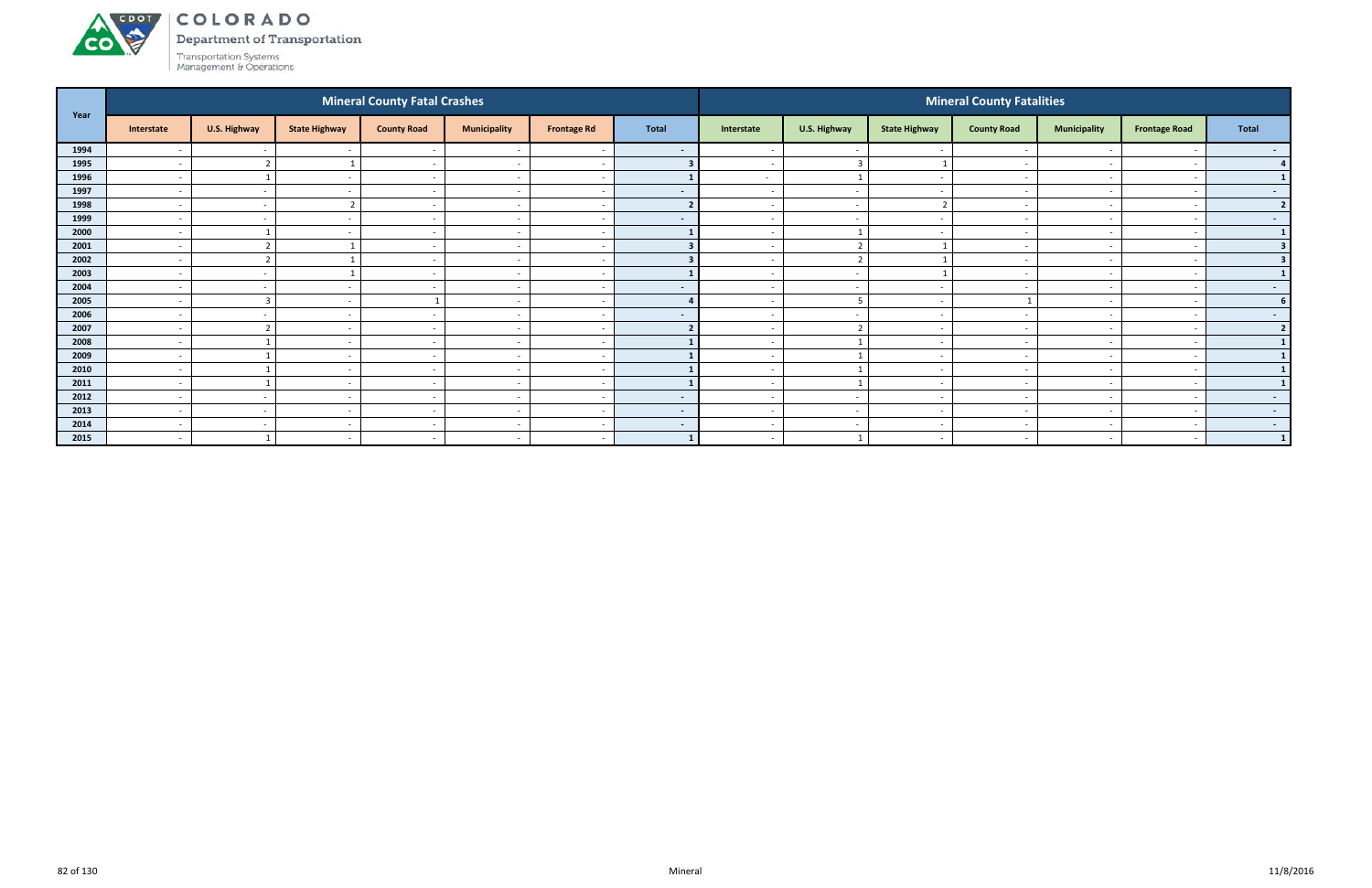

Department of Transportation

|      |                          |                         |                          | <b>Mineral County Fatal Crashes</b> |                          |                          |                |                          |                          |                          | <b>Mineral County Fatalities</b> |                          |                          |                |
|------|--------------------------|-------------------------|--------------------------|-------------------------------------|--------------------------|--------------------------|----------------|--------------------------|--------------------------|--------------------------|----------------------------------|--------------------------|--------------------------|----------------|
| Year | Interstate               | U.S. Highway            | <b>State Highway</b>     | <b>County Road</b>                  | <b>Municipality</b>      | <b>Frontage Rd</b>       | <b>Total</b>   | Interstate               | U.S. Highway             | <b>State Highway</b>     | <b>County Road</b>               | <b>Municipality</b>      | <b>Frontage Road</b>     | Total          |
| 1994 |                          | $\sim$                  |                          | $\sim$                              |                          |                          | $\sim$         |                          | $\sim$                   |                          |                                  |                          |                          | $\sim$ $-$     |
| 1995 | $\overline{\phantom{0}}$ | ຳ                       |                          | $\sim$                              | $\overline{\phantom{0}}$ | $\overline{\phantom{a}}$ |                | $\sim$                   | $\overline{\mathbf{3}}$  |                          | $\sim$                           | $\overline{\phantom{0}}$ |                          | 4 <sup>1</sup> |
| 1996 | $\overline{\phantom{a}}$ |                         |                          | $\sim$                              | $\overline{\phantom{a}}$ | - -                      |                | $\sim$                   | $\mathbf{1}$             | $\sim$                   |                                  | $\sim$                   |                          |                |
| 1997 | $\overline{\phantom{a}}$ | $\sim$                  |                          | $\sim$                              | $\overline{\phantom{a}}$ |                          | $\sim$         | $\sim$                   | $\sim$                   | $\sim$                   |                                  | $\overline{\phantom{0}}$ |                          | $\sim$         |
| 1998 | $\overline{\phantom{a}}$ | $\sim$                  |                          | $\overline{\phantom{a}}$            | $\overline{\phantom{a}}$ | $\overline{\phantom{a}}$ |                |                          | $\overline{\phantom{a}}$ | $\overline{\phantom{a}}$ |                                  | $\overline{\phantom{a}}$ |                          | $\overline{2}$ |
| 1999 | $\overline{\phantom{a}}$ | $\sim$                  |                          |                                     | $\overline{\phantom{a}}$ |                          | $\blacksquare$ |                          | $\sim$                   |                          |                                  |                          |                          | $\sim$         |
| 2000 | $\overline{\phantom{a}}$ |                         | $\overline{\phantom{a}}$ | $\sim$                              | $\overline{\phantom{a}}$ | <u>т</u>                 |                | $\sim$                   | $\overline{1}$           | $\sim$                   | $\overline{\phantom{a}}$         | $\overline{a}$           |                          | $\mathbf{1}$   |
| 2001 | $\overline{\phantom{a}}$ | $\mathbf{\overline{1}}$ |                          | $\sim$                              | $\overline{\phantom{a}}$ | $\overline{\phantom{a}}$ |                | $\sim$                   | $\overline{2}$           |                          |                                  | $\sim$                   |                          |                |
| 2002 | $\overline{\phantom{a}}$ | $\mathbf{\overline{1}}$ |                          |                                     | $\overline{\phantom{a}}$ |                          |                |                          | $\overline{2}$           |                          |                                  | $\overline{\phantom{0}}$ |                          |                |
| 2003 | $\overline{\phantom{a}}$ | $\sim$                  |                          | $\sim$                              | $\overline{\phantom{a}}$ | $\overline{\phantom{a}}$ |                | $\sim$                   | $\overline{a}$           |                          |                                  | $\overline{\phantom{0}}$ |                          |                |
| 2004 |                          | $\sim$                  |                          |                                     |                          |                          | $\sim$         |                          | $\sim$                   |                          |                                  |                          |                          | $\sim$         |
| 2005 | $\overline{\phantom{a}}$ | $\overline{3}$          | $\overline{\phantom{a}}$ |                                     | $\overline{\phantom{a}}$ | <u>т</u>                 |                | $\sim$                   | $5\overline{5}$          | $\sim$                   |                                  | $\overline{\phantom{0}}$ | $\overline{\phantom{a}}$ | 6 <sup>1</sup> |
| 2006 | $\overline{\phantom{a}}$ | $\sim$                  |                          | $\overline{\phantom{a}}$            | $\overline{\phantom{a}}$ | $\overline{\phantom{a}}$ | $\sim$         | $\sim$                   | $\sim$                   | $\overline{\phantom{0}}$ |                                  | $\overline{\phantom{0}}$ |                          | $\sim$ $-$     |
| 2007 | $\overline{\phantom{a}}$ | ຳ                       | $\overline{\phantom{a}}$ | $\sim$                              | $\overline{\phantom{a}}$ |                          |                | $\overline{\phantom{a}}$ | $\overline{2}$           | $\sim$                   |                                  | $\overline{\phantom{0}}$ |                          | $\overline{2}$ |
| 2008 | $\overline{\phantom{a}}$ |                         |                          |                                     | $\overline{\phantom{a}}$ |                          |                |                          |                          | $\sim$                   |                                  | $\overline{\phantom{0}}$ |                          | $\mathbf{1}$   |
| 2009 | $\overline{\phantom{a}}$ |                         |                          | $\sim$                              | $\overline{\phantom{a}}$ |                          |                |                          |                          |                          |                                  |                          |                          | $\mathbf{1}$   |
| 2010 | $\overline{\phantom{a}}$ |                         | $\sim$                   | $\sim$ $-$                          | $\overline{\phantom{a}}$ | . —                      |                | $\sim$                   | $\mathbf{1}$             | $\sim$                   | $\overline{\phantom{a}}$         | $\overline{\phantom{0}}$ |                          | $\mathbf{1}$   |
| 2011 | $\overline{\phantom{a}}$ |                         | $\overline{\phantom{0}}$ | $\sim$                              | $\overline{\phantom{a}}$ | $\overline{\phantom{a}}$ |                | $\sim$                   | $\overline{1}$           | $\sim$                   |                                  | $\sim$                   |                          |                |
| 2012 | $\overline{\phantom{0}}$ | $\sim$                  |                          | $\sim$                              | $\overline{\phantom{a}}$ |                          | $\sim$         | $\sim$                   | $\sim$                   | $\sim$                   |                                  | $\overline{\phantom{a}}$ |                          | $\sim$ $-$     |
| 2013 | $\overline{\phantom{a}}$ | $\sim$                  | $\overline{\phantom{a}}$ | $\sim$                              | $\overline{\phantom{a}}$ | $\overline{\phantom{a}}$ | $\sim$         | $\sim$                   | $\sim$                   | $\overline{\phantom{0}}$ | $\overline{\phantom{a}}$         | $\overline{\phantom{0}}$ |                          | $\sim$ $-$     |
| 2014 | $\overline{\phantom{a}}$ | $\sim$                  |                          |                                     | $\overline{\phantom{a}}$ |                          | $\sim$         |                          | $\sim$                   | $\overline{\phantom{a}}$ |                                  |                          |                          | $\sim$         |
| 2015 | $\overline{\phantom{a}}$ |                         | $\overline{a}$           | $\sim$                              | $\sim$                   | $\sim$                   | $\blacksquare$ | $\sim$                   | $\overline{\mathbf{1}}$  | $\sim$                   | $\overline{\phantom{a}}$         | $\sim$                   | $\overline{\phantom{a}}$ | $\vert$ 1      |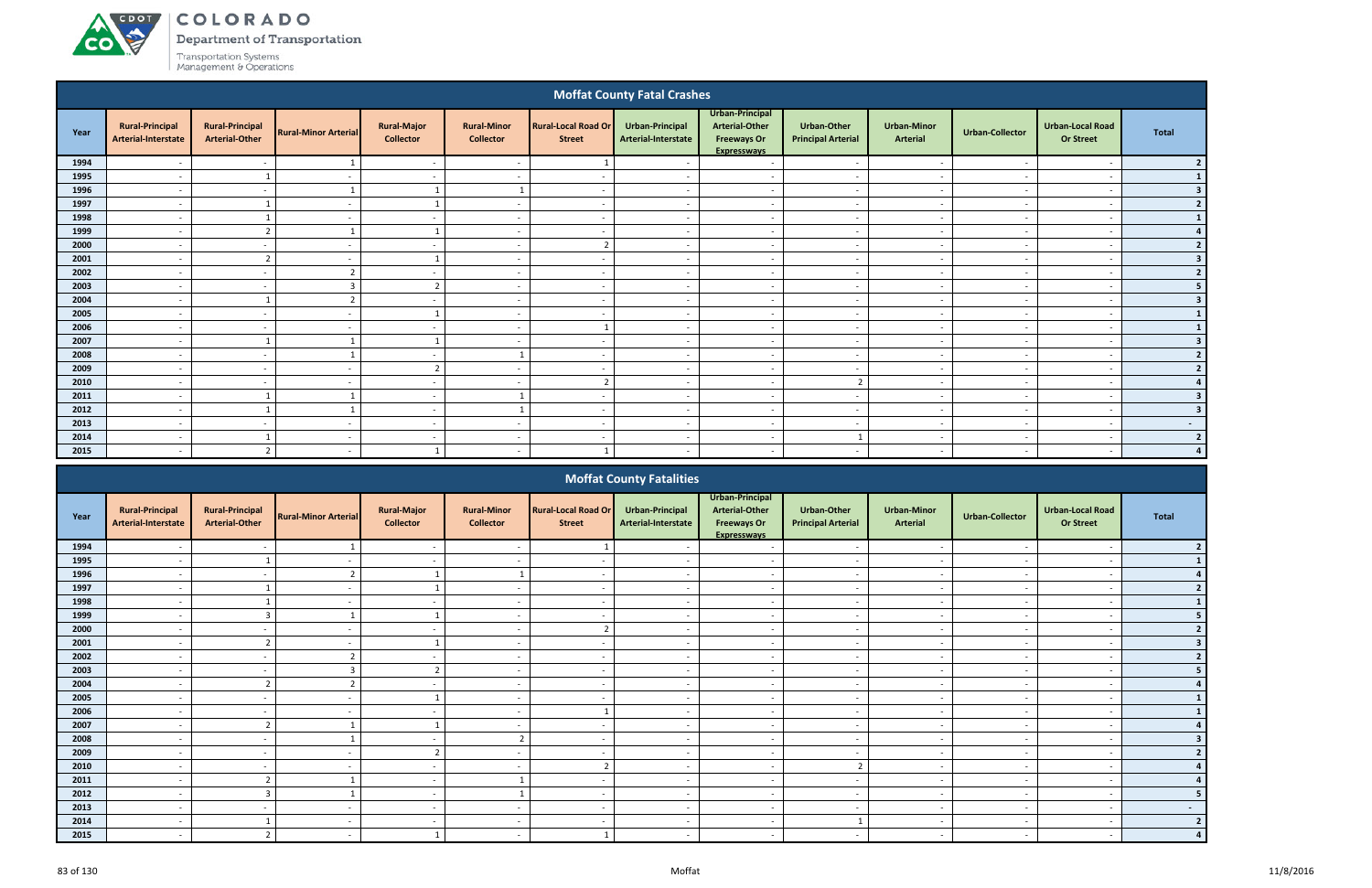# ACDOT **CO**

COLORADO

Department of Transportation

|              |                                                      |                                                 |                             |                                        |                                          |                                             | <b>Moffat County Fatal Crashes</b>     |                                                                                      |                                                 |                                                      |                          |                                             |                                  |
|--------------|------------------------------------------------------|-------------------------------------------------|-----------------------------|----------------------------------------|------------------------------------------|---------------------------------------------|----------------------------------------|--------------------------------------------------------------------------------------|-------------------------------------------------|------------------------------------------------------|--------------------------|---------------------------------------------|----------------------------------|
| Year         | <b>Rural-Principal</b><br><b>Arterial-Interstate</b> | <b>Rural-Principal</b><br><b>Arterial-Other</b> | <b>Rural-Minor Arterial</b> | <b>Rural-Major</b><br><b>Collector</b> | <b>Rural-Minor</b><br><b>Collector</b>   | <b>Rural-Local Road Or</b><br><b>Street</b> | Urban-Principal<br>Arterial-Interstate | Urban-Principal<br><b>Arterial-Other</b><br><b>Freeways Or</b><br><b>Expresswavs</b> | <b>Urban-Other</b><br><b>Principal Arterial</b> | <b>Urban-Minor</b><br><b>Arterial</b>                | <b>Urban-Collector</b>   | <b>Urban-Local Road</b><br><b>Or Street</b> | <b>Total</b>                     |
| 1994         |                                                      |                                                 |                             | $\overline{\phantom{a}}$               |                                          |                                             |                                        | $\overline{\phantom{a}}$                                                             |                                                 | $\overline{\phantom{a}}$                             |                          | $\overline{\phantom{a}}$                    | 2 <sup>1</sup>                   |
| 1995         |                                                      |                                                 | $\overline{\phantom{a}}$    | $\sim$                                 | $\overline{\phantom{0}}$                 |                                             |                                        | $\overline{\phantom{a}}$                                                             | $\overline{\phantom{0}}$                        | $\overline{\phantom{0}}$                             | . .                      | $\overline{\phantom{a}}$                    | $\mathbf{1}$                     |
| 1996         |                                                      | $\overline{\phantom{a}}$                        | 1                           | $\mathbf{1}$                           | $\mathbf{1}$                             |                                             |                                        | $\overline{\phantom{a}}$                                                             | $\sim$                                          | $\sim$                                               |                          | $\overline{\phantom{a}}$                    | 3 <sup>1</sup>                   |
| 1997         |                                                      |                                                 |                             |                                        |                                          |                                             |                                        | $\overline{\phantom{a}}$                                                             | $\overline{\phantom{a}}$                        | $\overline{\phantom{a}}$                             |                          | $\overline{\phantom{a}}$                    | 2                                |
| 1998         |                                                      |                                                 |                             | $\overline{\phantom{a}}$               | $\overline{\phantom{a}}$                 |                                             |                                        | $\overline{\phantom{a}}$                                                             | $\overline{a}$                                  | $\overline{\phantom{a}}$                             |                          | $\overline{\phantom{a}}$                    | $\vert$ 1                        |
| 1999         | $\overline{\phantom{a}}$                             | $\overline{2}$                                  |                             |                                        | $\overline{\phantom{a}}$                 | $\overline{\phantom{a}}$                    | . .                                    | $\overline{a}$                                                                       | $\sim$                                          | $\sim$                                               | $\overline{\phantom{a}}$ | $\overline{\phantom{a}}$                    | 4 <sup>1</sup>                   |
| 2000         |                                                      |                                                 |                             | $\overline{\phantom{a}}$               | $\overline{\phantom{a}}$                 |                                             |                                        | $\overline{\phantom{a}}$                                                             | $\overline{\phantom{a}}$                        | $\overline{\phantom{a}}$                             |                          | $\overline{\phantom{a}}$                    | $2 \mid$                         |
| 2001         | $\overline{\phantom{a}}$                             | $\overline{2}$                                  | $\overline{\phantom{a}}$    |                                        | $\overline{\phantom{a}}$                 | $\overline{\phantom{a}}$                    |                                        | $\overline{\phantom{a}}$                                                             | $\overline{\phantom{a}}$                        | $\sim$                                               |                          | $\overline{\phantom{a}}$                    | 3 <sup>1</sup>                   |
| 2002         |                                                      | $\overline{a}$                                  | $\overline{2}$              | $\sim$                                 | $\overline{\phantom{a}}$                 | $\overline{\phantom{a}}$                    |                                        | $\overline{a}$                                                                       | $\overline{\phantom{0}}$                        | $\sim$                                               |                          | $\overline{a}$                              | 2                                |
| 2003         | $\overline{\phantom{a}}$                             | $\overline{\phantom{a}}$                        | $\overline{3}$              | $\overline{2}$                         | $\overline{\phantom{a}}$                 |                                             | $\overline{\phantom{a}}$               | $\overline{\phantom{a}}$                                                             | $\overline{\phantom{a}}$                        | $\overline{\phantom{a}}$                             | $\overline{\phantom{a}}$ | $\overline{\phantom{a}}$                    | 5 <sub>1</sub>                   |
| 2004         |                                                      |                                                 | $\overline{2}$              | $\sim$                                 | $\overline{\phantom{a}}$                 | $\overline{\phantom{a}}$                    |                                        | $\overline{\phantom{a}}$                                                             | $\overline{\phantom{a}}$                        | $\sim$                                               |                          | $\overline{\phantom{a}}$                    | 3 <sup>1</sup>                   |
| 2005         |                                                      | $\overline{\phantom{a}}$                        |                             |                                        | $\overline{\phantom{a}}$                 |                                             |                                        | $\overline{\phantom{a}}$                                                             | $\overline{\phantom{a}}$                        | $\sim$                                               |                          | $\overline{a}$                              | $\mathbf{1}$                     |
| 2006         |                                                      | $\overline{\phantom{a}}$                        |                             | $\overline{\phantom{a}}$               | $\overline{\phantom{0}}$                 |                                             |                                        | $\overline{\phantom{a}}$                                                             | $\overline{\phantom{a}}$                        | $\overline{\phantom{a}}$                             |                          | $\overline{\phantom{a}}$                    | $\vert$ 1                        |
| 2007         | $\overline{\phantom{a}}$                             |                                                 |                             |                                        | $\overline{\phantom{0}}$                 | $\overline{\phantom{a}}$                    |                                        | $\overline{a}$                                                                       | $\overline{\phantom{0}}$                        | $\overline{\phantom{a}}$                             |                          | $\overline{\phantom{a}}$                    | 3 <sup>1</sup>                   |
| 2008         |                                                      | $\overline{\phantom{a}}$                        |                             | $\sim$                                 | 1                                        |                                             |                                        | $\overline{\phantom{a}}$                                                             | $\sim$                                          | $\overline{\phantom{a}}$                             |                          | $\overline{\phantom{a}}$                    | $2 \mid$                         |
| 2009         | $\overline{\phantom{a}}$                             | $\overline{\phantom{a}}$                        | $\overline{\phantom{a}}$    | $\overline{2}$                         | $\overline{\phantom{a}}$                 |                                             |                                        | $\overline{a}$                                                                       | $\overline{a}$                                  | $\sim$                                               |                          | $\overline{\phantom{a}}$                    | 2                                |
| 2010         | $\overline{\phantom{0}}$                             | $\overline{\phantom{0}}$                        | $\overline{\phantom{a}}$    | $\sim$                                 | $\overline{\phantom{0}}$<br>$\mathbf{1}$ |                                             |                                        | $\overline{\phantom{a}}$                                                             | $\overline{2}$                                  | $\sim$                                               |                          | $\overline{\phantom{a}}$                    | 4                                |
| 2011<br>2012 | $\overline{\phantom{a}}$                             |                                                 |                             | $\sim$                                 |                                          | $\overline{\phantom{a}}$                    |                                        | $\overline{\phantom{a}}$                                                             | $\sim$<br>$\sim$                                | $\overline{\phantom{a}}$                             |                          | $\overline{\phantom{a}}$                    | 3 <sup>1</sup><br>3 <sup>1</sup> |
| 2013         | $\overline{\phantom{a}}$                             | $\overline{\phantom{a}}$                        |                             | $\sim$<br>$\overline{\phantom{a}}$     |                                          | $\sim$                                      |                                        | $\overline{\phantom{a}}$<br>$\overline{\phantom{a}}$                                 |                                                 | $\overline{\phantom{a}}$<br>$\overline{\phantom{a}}$ |                          | $\overline{\phantom{a}}$<br>$\overline{a}$  | $\sim 100$                       |
| 2014         | $\overline{\phantom{a}}$                             |                                                 | $\sim$                      | $\sim$                                 | $\overline{\phantom{a}}$                 |                                             | . .                                    | $\overline{a}$                                                                       | $\mathbf{1}$                                    | $\overline{\phantom{a}}$                             | . .                      | $\overline{\phantom{a}}$                    | 2                                |
| 2015         | $\overline{\phantom{a}}$                             | $\overline{2}$                                  | $\overline{\phantom{a}}$    |                                        | $\overline{\phantom{a}}$                 |                                             | $\overline{\phantom{a}}$               | $\overline{a}$                                                                       | $\overline{\phantom{a}}$                        | $\overline{\phantom{a}}$                             |                          | $\overline{\phantom{a}}$                    | 4                                |
|              |                                                      |                                                 |                             |                                        |                                          |                                             |                                        |                                                                                      |                                                 |                                                      |                          |                                             |                                  |
|              |                                                      |                                                 |                             |                                        |                                          |                                             | <b>Moffat County Fatalities</b>        |                                                                                      |                                                 |                                                      |                          |                                             |                                  |
|              | <b>Rural-Principal</b>                               | <b>Rural-Principal</b>                          |                             | <b>Rural-Maior</b>                     | <b>Rural-Minor</b>                       | <b>Rural-Local Road Orl</b> Urban-Principal |                                        | Urban-Principal<br>Arterial-Other                                                    | <b>Urhan-Other</b>                              | <b>Urhan-Minor</b>                                   |                          | <b>Urban-Local Road</b>                     |                                  |

|      |                                               |                                                 |                             |                                        |                                        |                                             | <b>IVIUIIAL COUIILY FALAILLIES</b>     |                                                                               |                                                 |                                       |                          |                                             |       |
|------|-----------------------------------------------|-------------------------------------------------|-----------------------------|----------------------------------------|----------------------------------------|---------------------------------------------|----------------------------------------|-------------------------------------------------------------------------------|-------------------------------------------------|---------------------------------------|--------------------------|---------------------------------------------|-------|
| Year | <b>Rural-Principal</b><br>Arterial-Interstate | <b>Rural-Principal</b><br><b>Arterial-Other</b> | <b>Rural-Minor Arterial</b> | <b>Rural-Major</b><br><b>Collector</b> | <b>Rural-Minor</b><br><b>Collector</b> | <b>Rural-Local Road Or</b><br><b>Street</b> | Urban-Principal<br>Arterial-Interstate | Urban-Principal<br><b>Arterial-Other</b><br><b>Freeways Or</b><br>Expressways | <b>Urban-Other</b><br><b>Principal Arterial</b> | <b>Urban-Minor</b><br><b>Arterial</b> | Urban-Collector          | <b>Urban-Local Road</b><br><b>Or Street</b> | Total |
| 1994 |                                               |                                                 |                             | $\sim$                                 |                                        |                                             |                                        | $\overline{\phantom{0}}$                                                      |                                                 |                                       |                          |                                             |       |
| 1995 |                                               |                                                 |                             |                                        |                                        |                                             |                                        | $\overline{\phantom{a}}$                                                      | $\overline{\phantom{a}}$                        | $\overline{\phantom{a}}$              |                          |                                             |       |
| 1996 |                                               |                                                 |                             |                                        |                                        |                                             |                                        | $\overline{\phantom{0}}$                                                      |                                                 |                                       |                          |                                             |       |
| 1997 | $\overline{\phantom{0}}$                      |                                                 | $\sim$                      |                                        | $\overline{\phantom{0}}$               | $\overline{\phantom{a}}$                    | $\sim$                                 | $\sim$                                                                        | $\overline{a}$                                  | $\sim$                                | $\overline{\phantom{a}}$ | $\overline{\phantom{a}}$                    |       |
| 1998 | $\overline{\phantom{0}}$                      |                                                 | $\sim$                      | $\sim$                                 | $\overline{\phantom{0}}$               |                                             |                                        | $\sim$                                                                        | $\sim$                                          | $\sim$                                |                          |                                             |       |
| 1999 |                                               | $\overline{3}$                                  |                             |                                        |                                        |                                             |                                        | $\overline{\phantom{a}}$                                                      | $\overline{\phantom{a}}$                        | $\overline{\phantom{a}}$              |                          |                                             |       |
| 2000 |                                               |                                                 |                             | $\sim$                                 |                                        |                                             |                                        | $\overline{\phantom{a}}$                                                      | $\overline{\phantom{0}}$                        | $\overline{\phantom{0}}$              |                          |                                             |       |
| 2001 |                                               | r.                                              |                             |                                        |                                        |                                             |                                        | $\overline{\phantom{0}}$                                                      | $\overline{\phantom{0}}$                        | $\overline{\phantom{a}}$              |                          |                                             |       |
| 2002 |                                               |                                                 |                             |                                        |                                        |                                             |                                        | $\overline{\phantom{0}}$                                                      |                                                 | $\overline{\phantom{a}}$              |                          |                                             |       |
| 2003 |                                               | $\sim$                                          |                             | r.                                     | $\overline{\phantom{0}}$               |                                             |                                        | $\sim$                                                                        | $\overline{\phantom{a}}$                        | $\sim$                                |                          |                                             |       |
| 2004 | $\overline{\phantom{0}}$                      | $\overline{2}$                                  | 2                           | $\sim$                                 | $\overline{\phantom{0}}$               | $\sim$                                      | $\sim$                                 | $\sim$                                                                        | $\overline{a}$                                  | $\sim$                                | $\overline{\phantom{a}}$ | $\overline{\phantom{a}}$                    |       |
| 2005 |                                               | $\overline{\phantom{a}}$                        |                             |                                        |                                        |                                             |                                        | $\overline{\phantom{a}}$                                                      | $\overline{\phantom{a}}$                        | $\sim$                                |                          |                                             |       |
| 2006 |                                               |                                                 |                             | $\sim$                                 |                                        |                                             |                                        | $\overline{\phantom{0}}$                                                      |                                                 | $\overline{\phantom{0}}$              |                          |                                             |       |
| 2007 |                                               | r.                                              |                             |                                        |                                        |                                             |                                        | $\overline{\phantom{0}}$                                                      |                                                 | $\overline{\phantom{a}}$              |                          |                                             |       |
| 2008 |                                               |                                                 |                             |                                        |                                        |                                             |                                        |                                                                               |                                                 |                                       |                          |                                             |       |
| 2009 | $\overline{\phantom{0}}$                      | $\sim$                                          |                             | r.                                     | $\overline{\phantom{a}}$               |                                             |                                        | $\sim$                                                                        | $\overline{a}$                                  | $\sim$                                |                          |                                             |       |
| 2010 |                                               | $\overline{\phantom{0}}$                        |                             | $\sim$                                 |                                        |                                             |                                        | $\overline{\phantom{0}}$                                                      | $\overline{2}$                                  | $\overline{\phantom{a}}$              |                          |                                             |       |
| 2011 |                                               |                                                 |                             | $\sim$                                 |                                        |                                             |                                        | $\overline{\phantom{a}}$                                                      |                                                 |                                       |                          |                                             |       |
| 2012 |                                               | 3                                               |                             | $\sim$                                 |                                        |                                             |                                        | $\overline{\phantom{0}}$                                                      | $\overline{\phantom{a}}$                        | $\sim$                                |                          |                                             |       |
| 2013 |                                               |                                                 |                             | $\sim$                                 |                                        |                                             |                                        | $\overline{\phantom{0}}$                                                      |                                                 | $\overline{\phantom{a}}$              |                          |                                             |       |
| 2014 |                                               |                                                 |                             |                                        |                                        |                                             |                                        |                                                                               |                                                 |                                       |                          |                                             |       |
| 2015 |                                               |                                                 |                             |                                        |                                        |                                             |                                        | $\overline{\phantom{0}}$                                                      |                                                 | $\overline{\phantom{0}}$              |                          |                                             |       |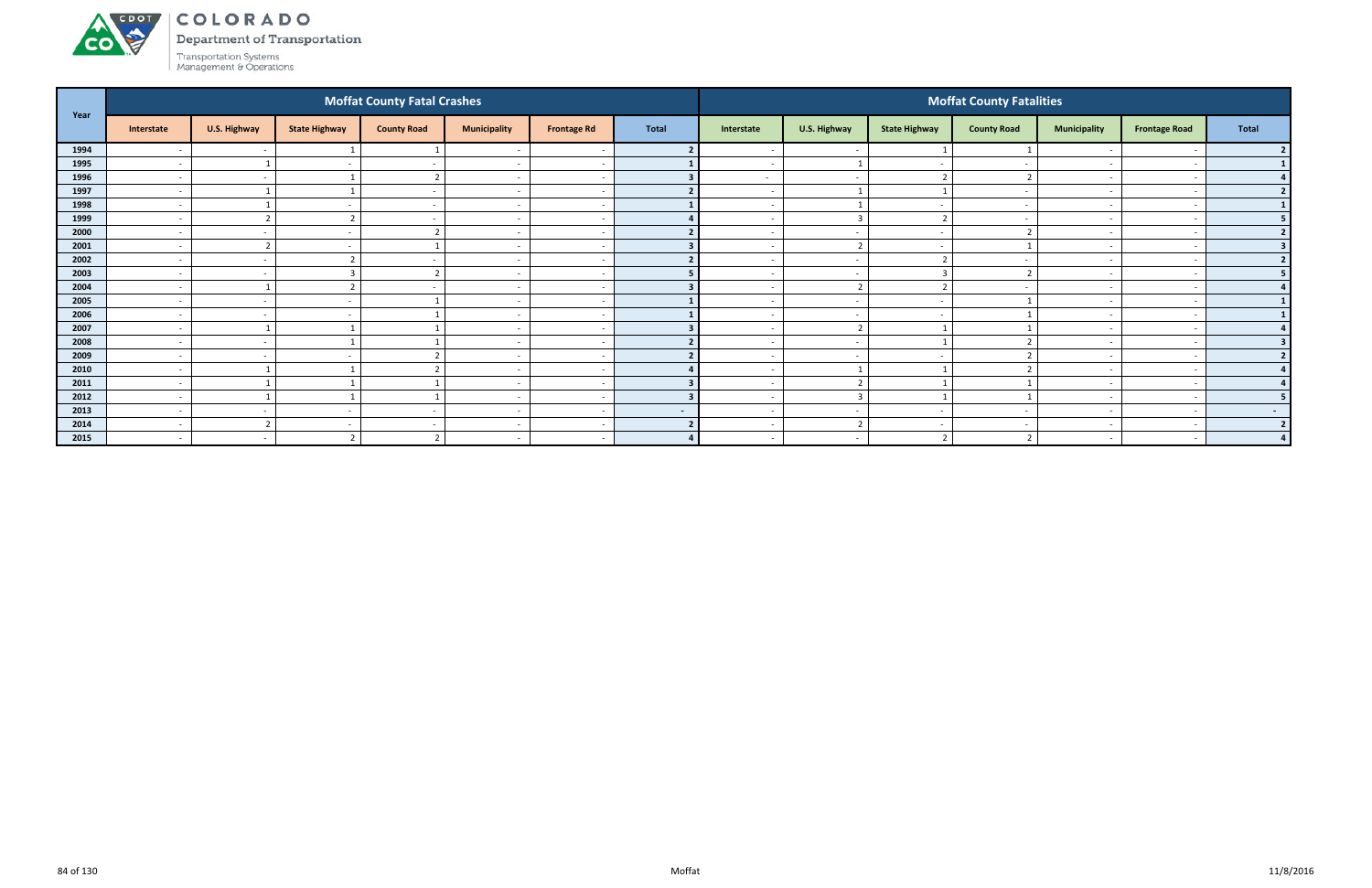

Department of Transportation

|      |                          |                          |                          | <b>Moffat County Fatal Crashes</b> |                          |                          |              |                          |                          |                          | <b>Moffat County Fatalities</b> |                          |                      |                         |
|------|--------------------------|--------------------------|--------------------------|------------------------------------|--------------------------|--------------------------|--------------|--------------------------|--------------------------|--------------------------|---------------------------------|--------------------------|----------------------|-------------------------|
| Year | Interstate               | U.S. Highway             | <b>State Highway</b>     | <b>County Road</b>                 | <b>Municipality</b>      | <b>Frontage Rd</b>       | <b>Total</b> | Interstate               | U.S. Highway             | <b>State Highway</b>     | <b>County Road</b>              | <b>Municipality</b>      | <b>Frontage Road</b> | Total                   |
| 1994 | $\overline{\phantom{a}}$ | $\sim$                   |                          |                                    |                          | $\overline{\phantom{a}}$ |              |                          | $\overline{\phantom{a}}$ |                          |                                 |                          |                      |                         |
| 1995 | $\overline{\phantom{a}}$ |                          | $\overline{\phantom{a}}$ | $\sim$                             | $\overline{\phantom{a}}$ | $\sim$                   |              | $\sim$                   |                          | $\sim$                   |                                 | $\overline{\phantom{0}}$ |                      |                         |
| 1996 | $\overline{\phantom{a}}$ | $\sim$                   |                          | $\overline{2}$                     | $\overline{\phantom{a}}$ | $\overline{\phantom{a}}$ |              | $\sim$                   | $\overline{\phantom{a}}$ | $\overline{\phantom{a}}$ |                                 | $\sim$                   |                      |                         |
| 1997 | $\overline{\phantom{a}}$ |                          |                          | $\overline{\phantom{a}}$           | $\overline{\phantom{a}}$ | $\overline{\phantom{a}}$ |              |                          |                          |                          |                                 |                          |                      |                         |
| 1998 | $\overline{\phantom{a}}$ |                          |                          | $\overline{\phantom{a}}$           | $\overline{\phantom{a}}$ | $\overline{\phantom{a}}$ |              |                          |                          | $\sim$                   |                                 |                          |                      |                         |
| 1999 | $\overline{\phantom{a}}$ | $\overline{\phantom{0}}$ |                          |                                    |                          | $\overline{\phantom{a}}$ |              |                          | $\mathbf{3}$             |                          |                                 |                          |                      | 5.                      |
| 2000 | $\overline{\phantom{a}}$ | $\sim$                   | $\overline{\phantom{a}}$ | ຳ                                  | $\overline{\phantom{a}}$ | $\sim$                   |              | $\sim$                   | $\overline{\phantom{a}}$ | $\sim$                   |                                 | $\overline{\phantom{0}}$ |                      | $\overline{2}$          |
| 2001 | $\overline{\phantom{a}}$ | $\overline{2}$           |                          |                                    | $\overline{\phantom{a}}$ | $\sim$                   |              |                          | $\overline{2}$           | $\sim$                   |                                 | $\overline{\phantom{0}}$ |                      |                         |
| 2002 | $\overline{\phantom{a}}$ | $\sim$                   |                          |                                    | $\overline{\phantom{a}}$ |                          |              |                          | $\overline{\phantom{a}}$ |                          |                                 |                          |                      | $\overline{2}$          |
| 2003 | $\overline{\phantom{a}}$ | $\sim$                   |                          | $\overline{2}$                     | $\overline{\phantom{a}}$ | $\sim$                   |              |                          | $\overline{\phantom{a}}$ | h                        |                                 | $\overline{\phantom{0}}$ |                      | 5                       |
| 2004 | $\overline{\phantom{a}}$ |                          |                          |                                    |                          | $\overline{\phantom{a}}$ |              |                          |                          |                          |                                 |                          |                      |                         |
| 2005 | $\overline{\phantom{a}}$ | $\sim$                   | $\overline{\phantom{a}}$ |                                    | $\overline{\phantom{a}}$ | $\sim$                   |              | $\overline{\phantom{0}}$ | $\overline{\phantom{a}}$ | $\sim$                   |                                 |                          |                      | $\mathbf{1}$            |
| 2006 | $\overline{\phantom{a}}$ | $\sim$                   |                          |                                    | $\overline{\phantom{a}}$ | $\overline{\phantom{a}}$ |              |                          | $\overline{\phantom{a}}$ | $\overline{\phantom{0}}$ |                                 | $\overline{\phantom{0}}$ |                      |                         |
| 2007 | $\overline{\phantom{0}}$ |                          |                          |                                    | $\overline{\phantom{0}}$ | $\overline{\phantom{a}}$ |              |                          | $\overline{2}$           |                          |                                 |                          |                      |                         |
| 2008 | $\overline{\phantom{a}}$ | $\sim$                   |                          |                                    | $\overline{\phantom{a}}$ | $\sim$                   |              |                          | $\overline{\phantom{a}}$ |                          |                                 |                          |                      | $\overline{\mathbf{3}}$ |
| 2009 | $\overline{\phantom{a}}$ | $\sim$                   |                          |                                    |                          | $\sim$                   |              |                          | $\overline{\phantom{a}}$ |                          |                                 |                          |                      | $\mathbf{z}$            |
| 2010 | $\overline{a}$           |                          |                          | ຳ                                  | $\overline{\phantom{a}}$ | $\sim$                   |              | $\sim$                   | $\mathbf{1}$             |                          |                                 | $\overline{\phantom{0}}$ |                      | $\mathbf{A}$            |
| 2011 | $\overline{\phantom{a}}$ |                          |                          |                                    | $\overline{\phantom{a}}$ | $\sim$                   |              | $\overline{\phantom{0}}$ | $\overline{2}$           |                          |                                 | $\overline{\phantom{0}}$ |                      |                         |
| 2012 | $\overline{\phantom{a}}$ |                          |                          |                                    | $\overline{\phantom{a}}$ | $\overline{\phantom{a}}$ |              |                          | $\overline{\mathbf{3}}$  |                          |                                 | $\overline{\phantom{0}}$ |                      |                         |
| 2013 | $\overline{\phantom{a}}$ | $\sim$                   |                          | $\sim$                             | $\overline{\phantom{a}}$ | $\sim$                   | $\sim$       | $\overline{\phantom{0}}$ | $\overline{\phantom{a}}$ | $\overline{\phantom{0}}$ |                                 | $\overline{\phantom{0}}$ |                      | $\sim$ 100 $\pm$        |
| 2014 | $\overline{\phantom{a}}$ | $\overline{2}$           |                          |                                    | $\overline{\phantom{a}}$ | $\overline{a}$           |              |                          |                          | $\overline{\phantom{a}}$ |                                 |                          |                      | $\overline{2}$          |
| 2015 | $\overline{a}$           | $\sim$                   | ີ                        | $\overline{2}$                     | $\overline{\phantom{a}}$ | $\sim$                   | $\mathbf{A}$ | $\sim$                   | $\sim$                   | ຳ                        |                                 | $\sim$                   |                      | $\mathbf{A}$            |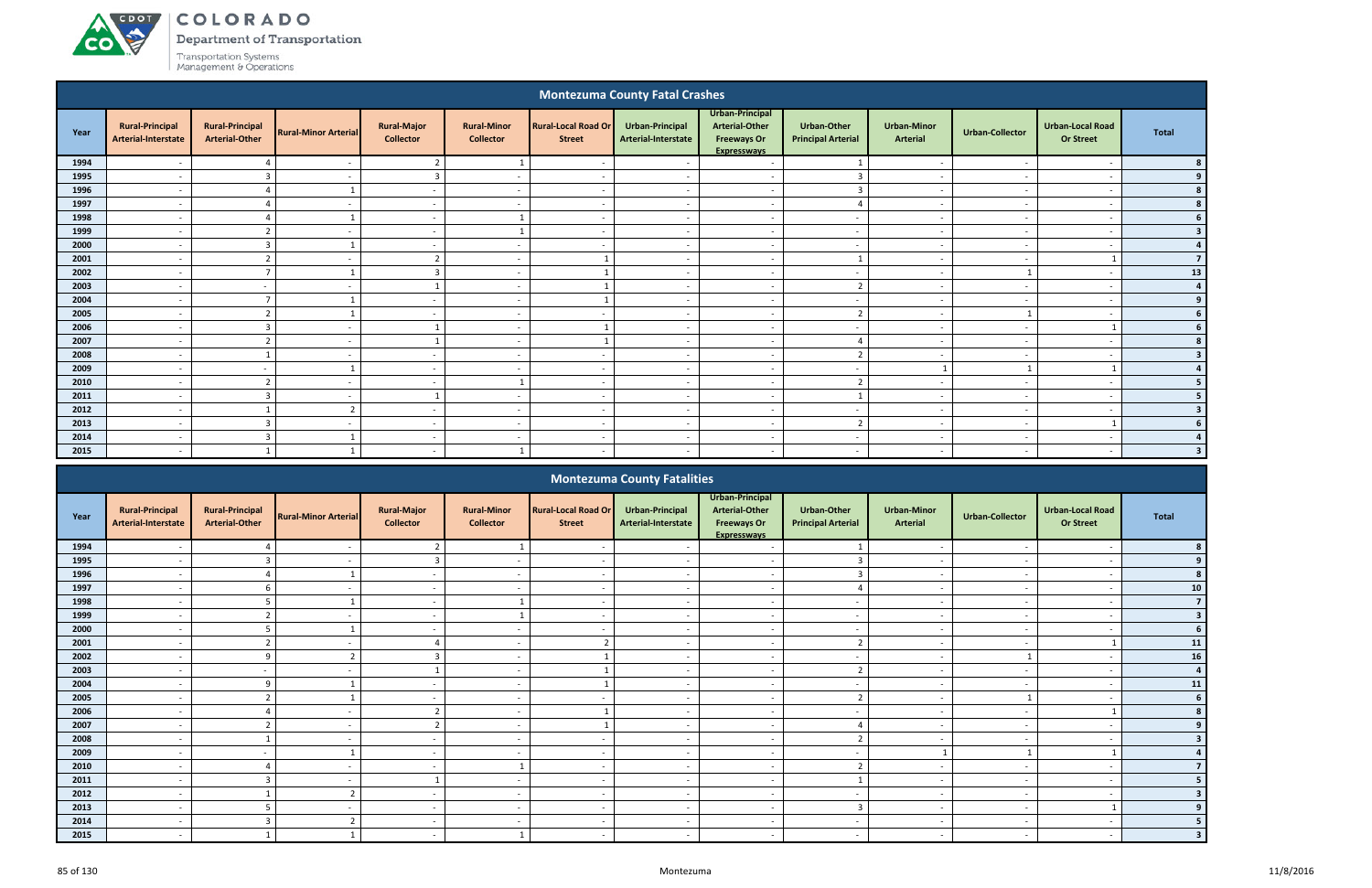**CO** 

Department of Transportation

|                                                                                                                                                                                                                                                                                                                                             |                                               |                                                 |                             |                                        |                                        |                                             | <b>Montezuma County Fatal Crashes</b>  |                                                                                      |                                                 |                                       |                          |                                             |                |  |
|---------------------------------------------------------------------------------------------------------------------------------------------------------------------------------------------------------------------------------------------------------------------------------------------------------------------------------------------|-----------------------------------------------|-------------------------------------------------|-----------------------------|----------------------------------------|----------------------------------------|---------------------------------------------|----------------------------------------|--------------------------------------------------------------------------------------|-------------------------------------------------|---------------------------------------|--------------------------|---------------------------------------------|----------------|--|
| Year                                                                                                                                                                                                                                                                                                                                        | <b>Rural-Principal</b><br>Arterial-Interstate | <b>Rural-Principal</b><br><b>Arterial-Other</b> | <b>Rural-Minor Arterial</b> | <b>Rural-Major</b><br><b>Collector</b> | <b>Rural-Minor</b><br><b>Collector</b> | <b>Rural-Local Road Or</b><br><b>Street</b> | Urban-Principal<br>Arterial-Interstate | Urban-Principal<br><b>Arterial-Other</b><br><b>Freeways Or</b><br><b>Expresswavs</b> | <b>Urban-Other</b><br><b>Principal Arterial</b> | <b>Urban-Minor</b><br><b>Arterial</b> | <b>Urban-Collector</b>   | <b>Urban-Local Road</b><br><b>Or Street</b> | <b>Total</b>   |  |
| 1994                                                                                                                                                                                                                                                                                                                                        |                                               |                                                 |                             | ຳ                                      |                                        |                                             |                                        | $\overline{\phantom{a}}$                                                             |                                                 | $\overline{\phantom{a}}$              |                          | $\overline{\phantom{a}}$                    |                |  |
| 1995                                                                                                                                                                                                                                                                                                                                        | $\overline{\phantom{a}}$                      | $\overline{3}$                                  | $\sim$                      | 3                                      | $\overline{\phantom{a}}$               | $\overline{\phantom{a}}$                    | $\sim$                                 | $\overline{\phantom{a}}$                                                             | $\overline{3}$                                  | $\overline{\phantom{a}}$              | $\sim$                   | $\overline{\phantom{a}}$                    |                |  |
| 1996                                                                                                                                                                                                                                                                                                                                        | $\overline{\phantom{a}}$                      | 4                                               |                             | $\sim$                                 | $\overline{\phantom{0}}$               | $\overline{\phantom{a}}$                    | $\overline{\phantom{a}}$               | $\sim$                                                                               | $\overline{3}$                                  | $\sim$                                | $\sim$                   | $\overline{\phantom{a}}$                    |                |  |
| 1997                                                                                                                                                                                                                                                                                                                                        | $\overline{\phantom{a}}$                      | $\Delta$                                        | $\overline{\phantom{a}}$    | $\sim$                                 | $\sim$                                 | $\overline{\phantom{a}}$                    | $\overline{\phantom{a}}$               | $\sim$                                                                               | $\overline{a}$                                  | $\sim$                                | $\overline{\phantom{a}}$ | $\overline{\phantom{a}}$                    |                |  |
| 1998                                                                                                                                                                                                                                                                                                                                        | $\overline{\phantom{a}}$                      | $\Delta$                                        |                             | $\sim$                                 |                                        | $\overline{\phantom{a}}$                    | $\overline{\phantom{a}}$               | $\overline{\phantom{a}}$                                                             | $\sim$                                          | $\sim$                                | $\sim$                   | $\overline{\phantom{a}}$                    |                |  |
| 1999                                                                                                                                                                                                                                                                                                                                        | $\overline{\phantom{a}}$                      | $\overline{2}$                                  | $\overline{\phantom{a}}$    | $\sim$                                 |                                        | $\overline{\phantom{a}}$                    | $\sim$                                 | $\overline{a}$                                                                       | $\sim$                                          | $\overline{\phantom{a}}$              | $\overline{\phantom{a}}$ | $\overline{\phantom{a}}$                    |                |  |
| 2000<br>$\overline{3}$<br>$\sim$<br>$\overline{\phantom{a}}$<br>$\overline{\phantom{a}}$<br>$\sim$<br>$\overline{\phantom{0}}$<br>$\overline{\phantom{0}}$<br>$\overline{\phantom{a}}$<br>-<br>$\overline{\phantom{a}}$<br>$\overline{\phantom{a}}$<br>2001<br>$\mathbf{\overline{2}}$<br>$\overline{2}$<br>$\overline{a}$<br>$\sim$<br>- - |                                               |                                                 |                             |                                        |                                        |                                             |                                        |                                                                                      |                                                 |                                       |                          |                                             | $\overline{7}$ |  |
| $\overline{7}$<br>$\overline{\mathbf{3}}$<br>2002<br>$\overline{a}$<br>$\sim$<br>$\sim$<br>$\overline{\phantom{0}}$<br>$\overline{\phantom{0}}$<br>$\overline{\phantom{a}}$                                                                                                                                                                 |                                               |                                                 |                             |                                        |                                        |                                             |                                        |                                                                                      |                                                 |                                       |                          |                                             |                |  |
|                                                                                                                                                                                                                                                                                                                                             |                                               |                                                 |                             |                                        |                                        |                                             |                                        |                                                                                      |                                                 |                                       |                          |                                             |                |  |
| 2003                                                                                                                                                                                                                                                                                                                                        |                                               | $\overline{\phantom{a}}$                        |                             |                                        |                                        |                                             |                                        | $\overline{\phantom{a}}$                                                             | $\overline{2}$                                  | $\overline{\phantom{a}}$              |                          |                                             | $\Delta$       |  |
| 2004                                                                                                                                                                                                                                                                                                                                        | $\overline{\phantom{a}}$                      | $\overline{z}$                                  |                             | $\sim$                                 | $\overline{\phantom{a}}$               |                                             | $\sim$                                 | $\overline{\phantom{a}}$                                                             | $\overline{\phantom{a}}$                        | $\sim$                                | $\sim$                   | $\overline{\phantom{a}}$                    |                |  |
| 2005                                                                                                                                                                                                                                                                                                                                        | $\overline{\phantom{a}}$                      | $\overline{2}$                                  |                             | $\sim$                                 | $\overline{\phantom{a}}$               | $\overline{\phantom{a}}$                    | $\sim$                                 | $\overline{\phantom{a}}$                                                             | $\overline{2}$                                  | $\sim$                                |                          | $\overline{\phantom{a}}$                    |                |  |
| 2006                                                                                                                                                                                                                                                                                                                                        | $\overline{\phantom{a}}$                      | 3                                               | $\overline{\phantom{a}}$    | $\mathbf{1}$                           | $\overline{\phantom{a}}$               |                                             | $\sim$                                 | $\overline{\phantom{a}}$                                                             | $\sim$                                          | $\sim$                                | $\sim$                   |                                             |                |  |
| 2007                                                                                                                                                                                                                                                                                                                                        | $\overline{\phantom{a}}$                      | ຳ                                               | $\overline{\phantom{a}}$    |                                        | $\overline{\phantom{a}}$               |                                             | $\sim$                                 | $\overline{a}$                                                                       | $\overline{4}$                                  | $\sim$                                | $\overline{\phantom{a}}$ | $\overline{\phantom{a}}$                    |                |  |
| 2008                                                                                                                                                                                                                                                                                                                                        | $\overline{\phantom{a}}$                      |                                                 | $\overline{\phantom{a}}$    | $\sim$                                 | $\overline{\phantom{a}}$               | $\overline{\phantom{a}}$                    | $\sim$                                 | $\overline{a}$                                                                       | $\overline{2}$                                  | $\sim$                                | $\overline{\phantom{a}}$ | $\overline{\phantom{a}}$                    |                |  |
| 2009                                                                                                                                                                                                                                                                                                                                        | $\overline{\phantom{a}}$                      | $\overline{\phantom{a}}$                        |                             | $\sim$                                 | $\sim$                                 | $\overline{\phantom{a}}$                    | $\sim$                                 | $\sim$                                                                               | $\sim$                                          |                                       |                          |                                             |                |  |
| 2010                                                                                                                                                                                                                                                                                                                                        | $\overline{\phantom{a}}$                      | $\overline{2}$                                  | $\sim$                      | $\sim$                                 |                                        | $\sim$                                      | $\overline{\phantom{a}}$               | $\overline{a}$                                                                       | $\overline{2}$                                  | $\sim$                                | $\overline{\phantom{a}}$ | $\overline{\phantom{a}}$                    |                |  |
| 2011                                                                                                                                                                                                                                                                                                                                        | $\overline{\phantom{a}}$                      | $\overline{3}$                                  | $\overline{\phantom{a}}$    |                                        | $\overline{\phantom{a}}$               | $\overline{\phantom{a}}$                    | $\overline{\phantom{a}}$               | $\overline{a}$                                                                       | $\mathbf{1}$                                    | $\overline{\phantom{a}}$              | $\overline{a}$           | - -                                         |                |  |
| 2012                                                                                                                                                                                                                                                                                                                                        | $\overline{\phantom{a}}$                      |                                                 | $\overline{2}$              | $\sim$                                 | - -                                    |                                             |                                        | $\overline{a}$                                                                       | $\overline{\phantom{0}}$                        | $\sim$                                | - -                      | - -                                         | 3              |  |
| 2013                                                                                                                                                                                                                                                                                                                                        | $\overline{\phantom{0}}$                      | $\overline{3}$                                  | $\overline{\phantom{a}}$    | $\sim$                                 | $\overline{\phantom{0}}$               | - -                                         | - -                                    | $\overline{\phantom{a}}$                                                             | $\overline{2}$                                  | $\sim$                                | $\overline{\phantom{a}}$ |                                             |                |  |
| 2014                                                                                                                                                                                                                                                                                                                                        |                                               | $\overline{3}$                                  |                             | $\sim$                                 | $\overline{\phantom{a}}$               |                                             |                                        | $\sim$                                                                               |                                                 | $\overline{a}$                        |                          | $\overline{\phantom{a}}$                    |                |  |
| 2015                                                                                                                                                                                                                                                                                                                                        | $\overline{\phantom{a}}$                      |                                                 |                             | $\sim$                                 |                                        | $\overline{\phantom{a}}$                    |                                        | $\overline{a}$                                                                       | $\sim$                                          | $\overline{\phantom{a}}$              | $\sim$                   | $\overline{\phantom{a}}$                    | 3              |  |
|                                                                                                                                                                                                                                                                                                                                             |                                               |                                                 |                             |                                        |                                        |                                             | <b>Montezuma County Fatalities</b>     |                                                                                      |                                                 |                                       |                          |                                             |                |  |

|      |                                               |                                                 |                             |                                        |                                        |                                             | <b>Montezuma County Fatalities</b>     |                                                                                      |                                                 |                                       |                          |                                             |                |
|------|-----------------------------------------------|-------------------------------------------------|-----------------------------|----------------------------------------|----------------------------------------|---------------------------------------------|----------------------------------------|--------------------------------------------------------------------------------------|-------------------------------------------------|---------------------------------------|--------------------------|---------------------------------------------|----------------|
| Year | <b>Rural-Principal</b><br>Arterial-Interstate | <b>Rural-Principal</b><br><b>Arterial-Other</b> | <b>Rural-Minor Arterial</b> | <b>Rural-Major</b><br><b>Collector</b> | <b>Rural-Minor</b><br><b>Collector</b> | <b>Rural-Local Road Or</b><br><b>Street</b> | Urban-Principal<br>Arterial-Interstate | Urban-Principal<br><b>Arterial-Other</b><br><b>Freeways Or</b><br><b>Expresswavs</b> | <b>Urban-Other</b><br><b>Principal Arterial</b> | <b>Urban-Minor</b><br><b>Arterial</b> | <b>Urban-Collector</b>   | <b>Urban-Local Road</b><br><b>Or Street</b> | <b>Total</b>   |
| 1994 |                                               |                                                 |                             |                                        |                                        |                                             |                                        |                                                                                      |                                                 |                                       |                          |                                             |                |
| 1995 |                                               |                                                 |                             | F.                                     |                                        |                                             |                                        |                                                                                      |                                                 |                                       |                          |                                             |                |
| 1996 |                                               |                                                 | $\mathbf{A}$                | $\sim$                                 | $\overline{\phantom{a}}$               |                                             |                                        | $\sim$                                                                               |                                                 | $\overline{\phantom{0}}$              |                          |                                             | 8              |
| 1997 | $\overline{\phantom{0}}$                      | 6                                               |                             | $\sim$                                 | $\overline{\phantom{0}}$               |                                             |                                        | $\overline{\phantom{a}}$                                                             |                                                 | $\overline{\phantom{a}}$              |                          |                                             | ${\bf 10}$     |
| 1998 |                                               | 5                                               |                             | $\sim$                                 |                                        |                                             |                                        | $\overline{\phantom{a}}$                                                             |                                                 |                                       |                          |                                             | $\overline{7}$ |
| 1999 |                                               | $\overline{\phantom{a}}$                        |                             | $\sim$                                 |                                        |                                             |                                        | $\overline{\phantom{0}}$                                                             | $\overline{\phantom{0}}$                        | $\overline{\phantom{a}}$              |                          |                                             |                |
| 2000 |                                               |                                                 |                             |                                        |                                        |                                             |                                        |                                                                                      |                                                 |                                       |                          |                                             |                |
| 2001 |                                               |                                                 |                             |                                        | $\overline{\phantom{0}}$               |                                             |                                        | $\overline{\phantom{0}}$                                                             | ຳ                                               | $\overline{a}$                        |                          |                                             | 11             |
| 2002 |                                               | q                                               | $\overline{2}$              | $\overline{3}$                         |                                        |                                             |                                        | $\overline{\phantom{a}}$                                                             | $\overline{\phantom{0}}$                        | $\overline{\phantom{a}}$              |                          |                                             | 16             |
| 2003 |                                               |                                                 |                             |                                        |                                        |                                             |                                        | $\overline{\phantom{a}}$                                                             | $\mathbf{r}$                                    |                                       |                          |                                             | $\overline{a}$ |
| 2004 |                                               | q                                               |                             | $\sim$                                 |                                        |                                             |                                        | $\overline{\phantom{a}}$                                                             | $\overline{a}$                                  | $\sim$                                |                          |                                             | ${\bf 11}$     |
| 2005 |                                               |                                                 |                             |                                        |                                        |                                             |                                        | $\overline{\phantom{0}}$                                                             | $\mathbf{r}$                                    |                                       |                          |                                             | -6             |
| 2006 | $\overline{\phantom{0}}$                      |                                                 | $\sim$                      | ി                                      | $\overline{\phantom{0}}$               |                                             | $\sim$                                 | $\overline{\phantom{a}}$                                                             | $\sim$                                          | $\overline{\phantom{a}}$              |                          |                                             |                |
| 2007 |                                               | $\mathbf{\overline{a}}$                         |                             | $\overline{2}$                         |                                        |                                             |                                        | $\overline{\phantom{0}}$                                                             | $\overline{4}$                                  |                                       |                          |                                             |                |
| 2008 |                                               |                                                 |                             | $\sim$                                 |                                        |                                             |                                        | $\overline{\phantom{0}}$                                                             | ຳ                                               | $\overline{\phantom{0}}$              |                          |                                             |                |
| 2009 |                                               |                                                 |                             | $\sim$                                 |                                        |                                             |                                        | $\sim$                                                                               | $\overline{\phantom{a}}$                        |                                       |                          |                                             |                |
| 2010 |                                               |                                                 |                             | $\sim$                                 |                                        |                                             |                                        | $\overline{\phantom{0}}$                                                             | $\mathcal{L}$                                   | $\overline{\phantom{a}}$              |                          |                                             |                |
| 2011 | $\overline{\phantom{0}}$                      | $\overline{3}$                                  | $\sim$                      |                                        | $\overline{\phantom{0}}$               |                                             |                                        | $\sim$                                                                               |                                                 | $\sim$                                | $\overline{\phantom{a}}$ |                                             |                |
| 2012 |                                               |                                                 | $\overline{2}$              | $\sim$                                 |                                        |                                             |                                        | $\overline{\phantom{a}}$                                                             | $\overline{\phantom{a}}$                        | $\overline{\phantom{a}}$              |                          |                                             |                |
| 2013 |                                               | 5                                               |                             | $\sim$                                 | $\overline{\phantom{0}}$               | $\sim$                                      |                                        | $\sim$                                                                               | $\overline{3}$                                  | $\sim$                                |                          |                                             |                |
| 2014 |                                               | 3                                               |                             | $\sim$                                 |                                        |                                             |                                        |                                                                                      |                                                 | $\overline{\phantom{a}}$              |                          |                                             |                |
| 2015 |                                               |                                                 |                             | $\sim$                                 |                                        |                                             |                                        | $\overline{\phantom{0}}$                                                             | $\overline{\phantom{a}}$                        | $\overline{\phantom{a}}$              |                          |                                             |                |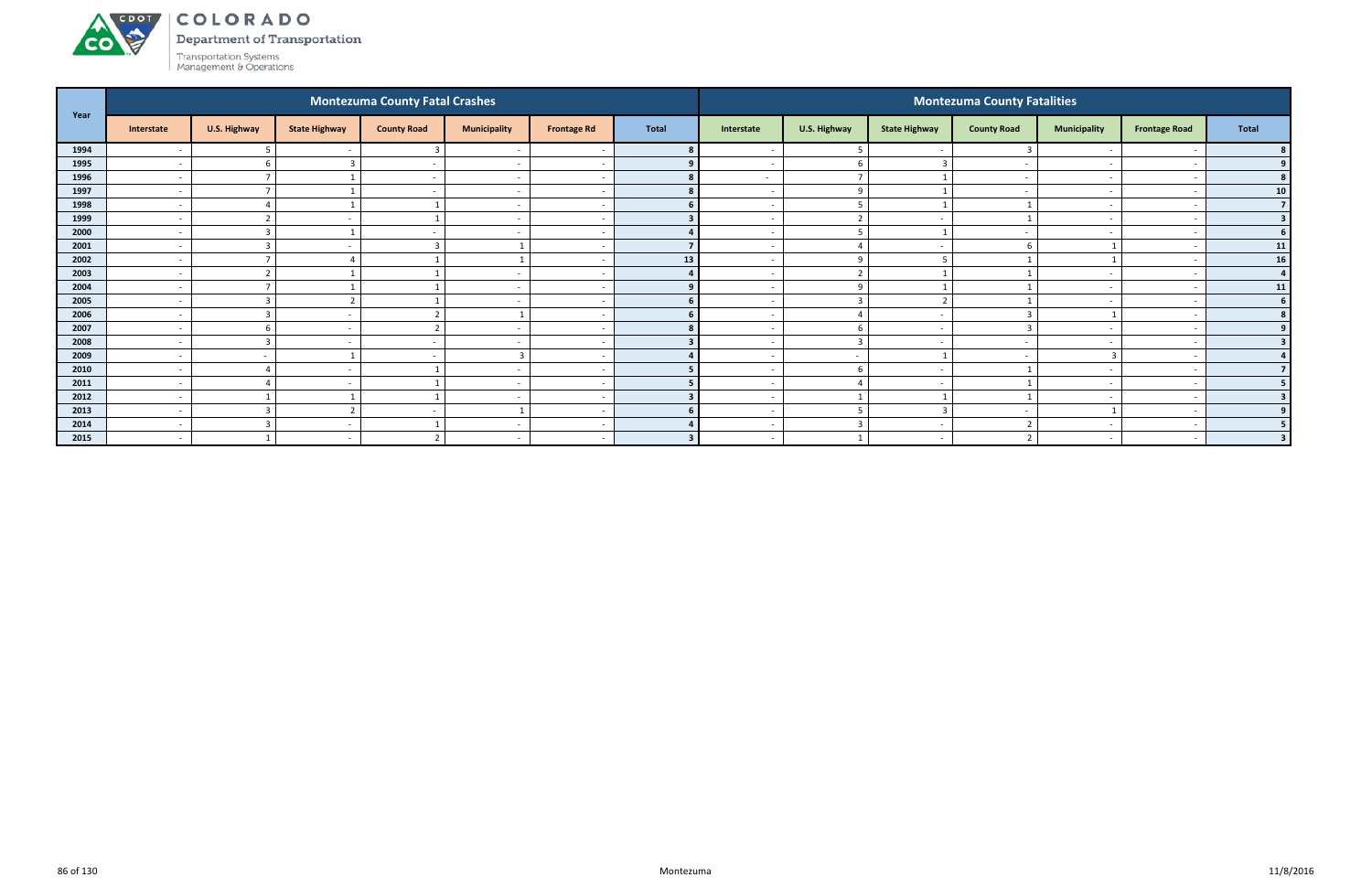Department of Transportation

Transportation Systems<br>Management & Operations

**CO** 

| Year |                          |                          |                          | <b>Montezuma County Fatal Crashes</b> |                              |                    |              |                          |                          |                      | <b>Montezuma County Fatalities</b> |                          |                          |                |
|------|--------------------------|--------------------------|--------------------------|---------------------------------------|------------------------------|--------------------|--------------|--------------------------|--------------------------|----------------------|------------------------------------|--------------------------|--------------------------|----------------|
|      | Interstate               | U.S. Highway             | <b>State Highway</b>     | <b>County Road</b>                    | <b>Municipality</b>          | <b>Frontage Rd</b> | <b>Total</b> | Interstate               | U.S. Highway             | <b>State Highway</b> | <b>County Road</b>                 | <b>Municipality</b>      | <b>Frontage Road</b>     | Total          |
| 1994 |                          | 5                        |                          | -3                                    | $\qquad \qquad \blacksquare$ |                    |              |                          | -5                       |                      |                                    |                          |                          |                |
| 1995 | $\overline{\phantom{a}}$ | -6                       |                          | $\sim$                                | $\overline{\phantom{a}}$     |                    |              | $\sim$                   | -6                       |                      | $\overline{\phantom{a}}$           | $\overline{\phantom{0}}$ |                          | 9 <sub>1</sub> |
| 1996 | $\overline{a}$           |                          |                          |                                       | $\overline{\phantom{a}}$     |                    |              | $\sim$                   | $\overline{ }$           |                      | $\overline{\phantom{a}}$           | $\overline{\phantom{0}}$ |                          | 8 <sup>1</sup> |
| 1997 | $\overline{a}$           |                          |                          | $\overline{\phantom{a}}$              | $\overline{a}$               |                    |              | $\overline{\phantom{0}}$ | -9                       |                      | $\sim$                             | $\overline{\phantom{a}}$ | $\overline{\phantom{a}}$ | 10             |
| 1998 | $\overline{\phantom{a}}$ |                          |                          |                                       | $\overline{a}$               |                    | 6            | $\sim$                   | - 5                      |                      |                                    | $\overline{\phantom{0}}$ |                          | 7 <sup>1</sup> |
| 1999 | $\overline{\phantom{a}}$ | ຳ                        | $\overline{\phantom{a}}$ |                                       | $\overline{\phantom{a}}$     |                    |              | $\overline{\phantom{0}}$ | $\overline{\phantom{a}}$ | $\sim$               |                                    | $\overline{\phantom{0}}$ | $\overline{\phantom{a}}$ | 3 <sup>1</sup> |
| 2000 | $\overline{\phantom{a}}$ | $\overline{3}$           |                          |                                       | $\overline{\phantom{a}}$     |                    |              |                          |                          |                      |                                    |                          |                          | 6 <sup>1</sup> |
| 2001 | $\overline{a}$           |                          |                          | 3                                     |                              |                    |              | $\overline{\phantom{0}}$ |                          |                      |                                    |                          |                          | 11             |
| 2002 | $\sim$                   |                          |                          |                                       |                              |                    | 13           | $\overline{\phantom{0}}$ | -9                       |                      |                                    |                          | $\overline{a}$           | 16             |
| 2003 | $\overline{\phantom{a}}$ | $\overline{\phantom{a}}$ |                          |                                       | $\overline{\phantom{a}}$     |                    |              | $\overline{\phantom{0}}$ | $\overline{2}$           |                      |                                    | $\overline{\phantom{a}}$ |                          | $\overline{4}$ |
| 2004 | $\overline{\phantom{0}}$ |                          |                          |                                       | $\overline{\phantom{a}}$     |                    | $\mathbf{q}$ | $\sim$                   | -9                       |                      |                                    | $\overline{\phantom{0}}$ |                          | 11             |
| 2005 | $\overline{\phantom{a}}$ | 3                        |                          |                                       | $\overline{\phantom{a}}$     |                    |              | $\overline{\phantom{0}}$ | $\overline{3}$           |                      |                                    | $\overline{\phantom{0}}$ |                          | 6 <sup>1</sup> |
| 2006 | $\overline{a}$           | r.                       | $\overline{\phantom{a}}$ | ຳ                                     |                              |                    |              | $\overline{\phantom{a}}$ |                          | $\sim$               |                                    |                          |                          | 8 <sup>1</sup> |
| 2007 | $\overline{a}$           | -6                       | $\overline{\phantom{a}}$ | $\overline{2}$                        | $\overline{a}$               |                    |              | $\sim$                   | 6                        | $\sim$               |                                    | $\overline{\phantom{0}}$ | . .                      | 9 <sub>o</sub> |
| 2008 | $\overline{\phantom{a}}$ | 3                        |                          |                                       | $\overline{\phantom{0}}$     |                    |              | $\overline{\phantom{a}}$ | $\overline{3}$           |                      |                                    | $\overline{\phantom{0}}$ |                          | 3 <sup>1</sup> |
| 2009 | $\overline{a}$           | $\sim$                   |                          |                                       | $\overline{3}$               |                    |              | $\overline{\phantom{0}}$ | $\sim$                   |                      |                                    | $\overline{3}$           |                          | 4 <sup>1</sup> |
| 2010 | $\overline{\phantom{a}}$ |                          |                          |                                       | $\overline{\phantom{a}}$     |                    |              | $\overline{\phantom{a}}$ | 6                        |                      |                                    |                          |                          | 7 <sup>1</sup> |
| 2011 | $\overline{a}$           |                          | $\overline{\phantom{a}}$ |                                       | $\overline{a}$               |                    |              | $\overline{a}$           |                          | $\sim$               |                                    | $\overline{\phantom{a}}$ |                          | 5 <sub>1</sub> |
| 2012 | $\overline{a}$           |                          |                          |                                       | $\sim$                       |                    |              | $\overline{\phantom{0}}$ |                          |                      |                                    | $\overline{\phantom{a}}$ | $\overline{\phantom{a}}$ | 3 <sup>1</sup> |
| 2013 | $\overline{\phantom{0}}$ | $\mathbf{B}$             |                          |                                       |                              |                    |              | $\overline{\phantom{0}}$ | - 5                      | -3                   |                                    |                          |                          | 9 <sup>1</sup> |
| 2014 | $\overline{a}$           | -3                       |                          |                                       | $\overline{\phantom{a}}$     |                    |              | $\overline{\phantom{a}}$ | $\overline{\mathbf{3}}$  | $\sim$               |                                    | $\overline{\phantom{a}}$ |                          | 5 <sub>1</sub> |
| 2015 | $\overline{\phantom{a}}$ |                          |                          | $\overline{2}$                        | $\overline{\phantom{a}}$     |                    | $\mathbf{3}$ | $\overline{\phantom{a}}$ |                          |                      |                                    |                          | $\overline{\phantom{a}}$ | 3 <sup>1</sup> |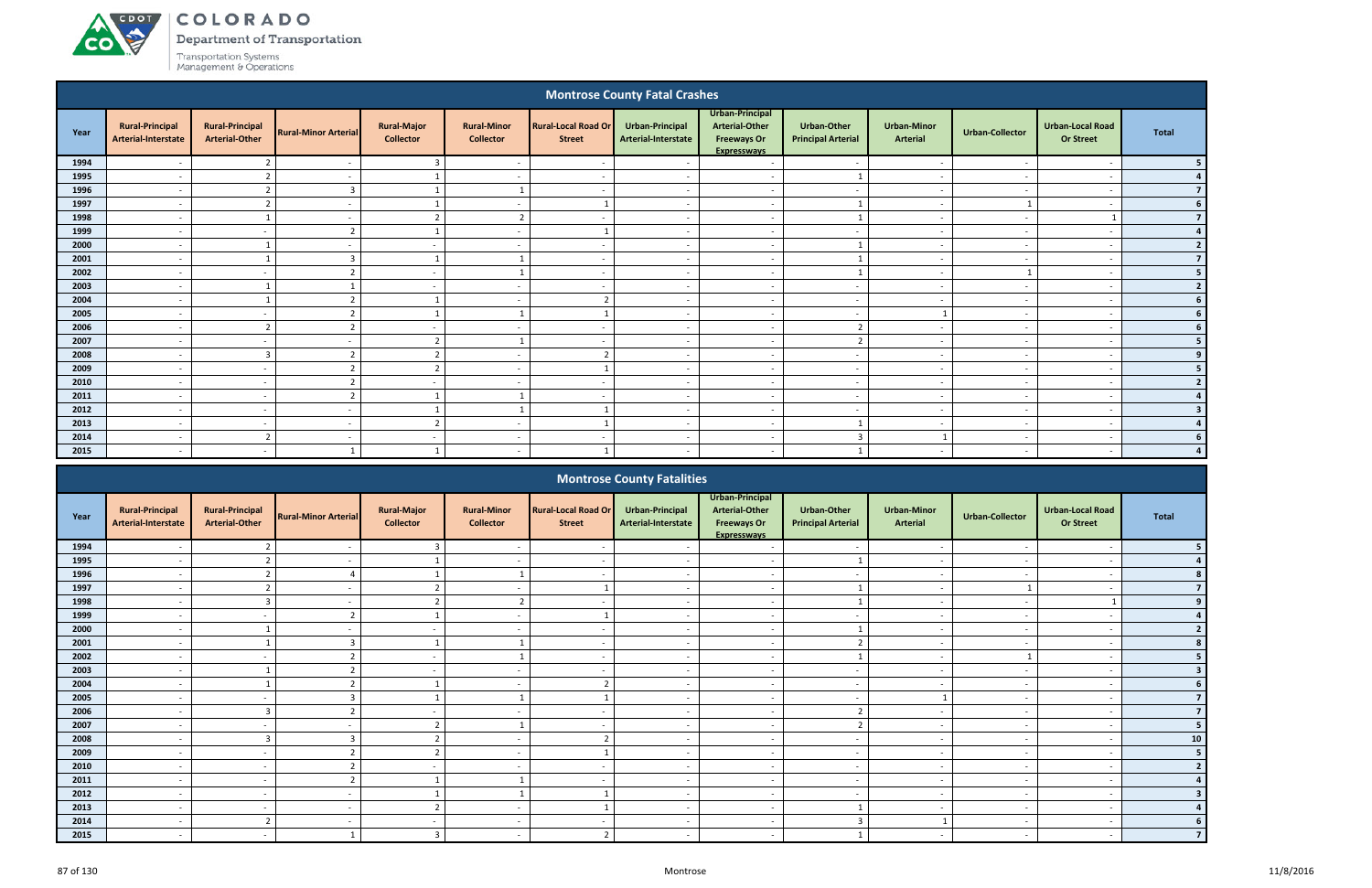# ACDOT **CO**

COLORADO

Department of Transportation

|              |                                                      |                                                 |                                            |                                        |                                        |                                             | <b>Montrose County Fatal Crashes</b>          |                                                                                      |                                          |                                                      |                          |                                             |                |
|--------------|------------------------------------------------------|-------------------------------------------------|--------------------------------------------|----------------------------------------|----------------------------------------|---------------------------------------------|-----------------------------------------------|--------------------------------------------------------------------------------------|------------------------------------------|------------------------------------------------------|--------------------------|---------------------------------------------|----------------|
| Year         | <b>Rural-Principal</b><br><b>Arterial-Interstate</b> | <b>Rural-Principal</b><br><b>Arterial-Other</b> | <b>Rural-Minor Arterial</b>                | <b>Rural-Major</b><br><b>Collector</b> | <b>Rural-Minor</b><br><b>Collector</b> | <b>Rural-Local Road Or</b><br><b>Street</b> | <b>Urban-Principal</b><br>Arterial-Interstate | Urban-Principal<br><b>Arterial-Other</b><br><b>Freeways Or</b><br><b>Expresswavs</b> | Urban-Other<br><b>Principal Arterial</b> | <b>Urban-Minor</b><br><b>Arterial</b>                | <b>Urban-Collector</b>   | <b>Urban-Local Road</b><br><b>Or Street</b> | <b>Total</b>   |
| 1994         |                                                      |                                                 |                                            | 3                                      |                                        |                                             |                                               | $\overline{\phantom{a}}$                                                             | $\overline{\phantom{a}}$                 | $\overline{\phantom{a}}$                             |                          | $\overline{\phantom{a}}$                    |                |
| 1995         |                                                      | 2                                               |                                            | -1                                     | $\overline{\phantom{a}}$               | $\overline{\phantom{a}}$                    |                                               | $\sim$                                                                               |                                          | $\overline{\phantom{a}}$                             | $\sim$                   | $\overline{\phantom{a}}$                    | $\Delta$       |
| 1996         | $\overline{\phantom{0}}$                             | $\overline{2}$                                  | $\overline{3}$                             | $\mathbf{1}$                           | $\mathbf{1}$                           | $\overline{\phantom{a}}$                    | $\overline{\phantom{a}}$                      | $\overline{a}$                                                                       | $-$                                      | $\overline{\phantom{a}}$                             | $\overline{a}$           | $\overline{\phantom{a}}$                    | $\overline{7}$ |
| 1997         |                                                      | 2                                               |                                            |                                        | $\overline{\phantom{a}}$               |                                             |                                               | $\overline{\phantom{a}}$                                                             | $\mathbf{1}$                             | $\sim$                                               |                          | $\overline{\phantom{a}}$                    |                |
| 1998         |                                                      |                                                 |                                            | $\overline{2}$                         | $\overline{2}$                         |                                             |                                               | $\overline{\phantom{a}}$                                                             |                                          | $\overline{\phantom{a}}$                             |                          |                                             | $\overline{7}$ |
| 1999         | $\overline{\phantom{a}}$                             | $\sim$                                          | $\overline{2}$                             | $\mathbf{1}$                           | $\overline{\phantom{a}}$               |                                             | $\sim$                                        | $\overline{a}$                                                                       | $\sim$                                   | $\sim$                                               | $\sim$                   | $\overline{\phantom{a}}$                    |                |
| 2000         |                                                      |                                                 | $\overline{\phantom{a}}$                   | $\sim$                                 | $\overline{\phantom{a}}$               | $\overline{\phantom{a}}$                    | $\overline{\phantom{a}}$                      | $\overline{\phantom{a}}$                                                             | $\mathbf{1}$                             | $\sim$                                               | $\sim$                   | $\overline{\phantom{a}}$                    | $\overline{2}$ |
| 2001         |                                                      |                                                 | $\overline{3}$                             |                                        | $\mathbf{1}$                           | $\overline{\phantom{a}}$                    |                                               | $\overline{\phantom{a}}$                                                             | $\mathbf{1}$                             | $\overline{\phantom{a}}$                             |                          | $\overline{\phantom{a}}$                    | $\overline{7}$ |
| 2002         | $\overline{\phantom{a}}$                             | $\overline{a}$                                  | $\overline{2}$                             | $\sim$                                 | $\mathbf{1}$                           | $\overline{\phantom{a}}$                    | $\sim$                                        | $\overline{\phantom{a}}$                                                             | $\mathbf{1}$                             | $\sim$                                               |                          | $\overline{\phantom{a}}$                    | 5              |
| 2003         |                                                      | -1                                              |                                            | $\sim$                                 | $\overline{\phantom{a}}$               | $\sim$                                      |                                               | $\sim$                                                                               | $\overline{a}$                           | $\sim$                                               |                          | $\overline{\phantom{a}}$                    | $\overline{2}$ |
| 2004         |                                                      |                                                 | $\overline{2}$                             |                                        | $\overline{\phantom{a}}$               |                                             |                                               | $\overline{\phantom{a}}$                                                             | $\overline{\phantom{a}}$                 | $\overline{\phantom{a}}$                             |                          | $\overline{\phantom{a}}$                    |                |
| 2005         | $\overline{\phantom{a}}$                             | $\overline{a}$                                  | $\overline{2}$                             | 1                                      | 1                                      |                                             | $\overline{\phantom{a}}$                      | $\overline{\phantom{a}}$                                                             | $\sim$                                   | $\mathbf{1}$                                         | $\sim$                   | $\overline{\phantom{a}}$                    |                |
| 2006         |                                                      | $\overline{2}$                                  | $\overline{2}$                             | $\sim$                                 | $\overline{\phantom{a}}$               | $\overline{\phantom{a}}$                    |                                               | $\sim$                                                                               | $\overline{2}$                           | $\sim$                                               | $\sim$                   | $\overline{\phantom{a}}$                    |                |
| 2007         |                                                      |                                                 |                                            | $\overline{2}$                         | $\mathbf{1}$                           |                                             |                                               | $\overline{\phantom{a}}$                                                             | $\overline{2}$                           | $\overline{\phantom{a}}$                             |                          | $\overline{\phantom{a}}$                    |                |
| 2008         | $\overline{\phantom{a}}$                             | $\overline{3}$                                  | $\overline{2}$                             | $\overline{2}$                         | $\overline{\phantom{a}}$               | $\overline{2}$                              | $\overline{\phantom{a}}$                      | $\overline{a}$                                                                       | $\sim$                                   | $\overline{\phantom{a}}$                             | $\sim$                   | $\overline{\phantom{a}}$                    |                |
| 2009         |                                                      | $\sim$                                          | $\overline{2}$                             | $\overline{2}$                         | $\overline{\phantom{0}}$               |                                             | $\overline{\phantom{a}}$                      | $\overline{\phantom{a}}$                                                             | $\sim$                                   | $\sim$                                               | $\sim$                   | $\overline{\phantom{a}}$                    |                |
| 2010         |                                                      | $\sim$                                          | $\overline{2}$                             | $\sim$                                 | $\overline{\phantom{0}}$               | $\overline{\phantom{0}}$                    |                                               | $\sim$                                                                               | $\overline{\phantom{a}}$                 | $\overline{a}$                                       | $\overline{\phantom{a}}$ | $\overline{\phantom{a}}$                    | $\overline{2}$ |
| 2011         | $\overline{\phantom{a}}$                             | $\overline{\phantom{a}}$                        | $\overline{2}$                             | $\mathbf{1}$                           | 1                                      |                                             |                                               | $\overline{\phantom{a}}$                                                             | $\sim$                                   | $\sim$                                               | $\overline{\phantom{a}}$ | $\overline{\phantom{a}}$                    |                |
| 2012<br>2013 | $\overline{\phantom{a}}$<br>$\overline{\phantom{a}}$ | $\sim$                                          | $\overline{\phantom{a}}$<br>$\overline{a}$ | $\overline{2}$                         | 1<br>$\overline{\phantom{0}}$          |                                             | $\overline{\phantom{a}}$<br>$\overline{a}$    | $\overline{\phantom{a}}$                                                             | $\overline{\phantom{a}}$<br>$\mathbf{1}$ | $\overline{\phantom{a}}$<br>$\overline{\phantom{a}}$ | $\sim$<br>$\overline{a}$ | $\overline{\phantom{a}}$<br>$\overline{a}$  |                |
| 2014         |                                                      | $\sim$<br>$\overline{2}$                        |                                            | $\sim$                                 | $\overline{\phantom{a}}$               | $\overline{\phantom{a}}$                    | $\overline{\phantom{a}}$                      | $\overline{a}$<br>$\overline{\phantom{a}}$                                           | $\overline{3}$                           | $\mathbf{1}$                                         | $\sim$                   | $\overline{\phantom{a}}$                    |                |
| 2015         |                                                      |                                                 | $\overline{\phantom{a}}$                   |                                        |                                        |                                             |                                               | $\overline{\phantom{a}}$                                                             |                                          |                                                      |                          |                                             |                |
|              |                                                      |                                                 |                                            |                                        |                                        |                                             |                                               |                                                                                      |                                          |                                                      |                          |                                             |                |
|              |                                                      |                                                 |                                            |                                        |                                        |                                             | <b>Montrose County Fatalities</b>             |                                                                                      |                                          |                                                      |                          |                                             |                |
| Year         | <b>Rural-Principal</b>                               | <b>Rural-Principal</b>                          | <b>Rural-Minor Arterial</b>                | <b>Rural-Major</b>                     | <b>Rural-Minor</b>                     | <b>Rural-Local Road Or</b>                  | Urban-Principal                               | Urban-Principal<br><b>Arterial-Other</b>                                             | <b>Urban-Other</b>                       | <b>Urban-Minor</b>                                   | Urban-Collector          | <b>Urban-Local Road</b>                     | <b>Total</b>   |

|      |                                               |                                                 |                             |                                        |                                        |                                             | <b>IVIUIILIUSE CUUIILY FALAIILIES</b>  |                                                                                      |                                                 |                                       |                          |                                             |            |
|------|-----------------------------------------------|-------------------------------------------------|-----------------------------|----------------------------------------|----------------------------------------|---------------------------------------------|----------------------------------------|--------------------------------------------------------------------------------------|-------------------------------------------------|---------------------------------------|--------------------------|---------------------------------------------|------------|
| Year | <b>Rural-Principal</b><br>Arterial-Interstate | <b>Rural-Principal</b><br><b>Arterial-Other</b> | <b>Rural-Minor Arterial</b> | <b>Rural-Major</b><br><b>Collector</b> | <b>Rural-Minor</b><br><b>Collector</b> | <b>Rural-Local Road Or</b><br><b>Street</b> | Urban-Principal<br>Arterial-Interstate | Urban-Principal<br><b>Arterial-Other</b><br><b>Freeways Or</b><br><b>Expressways</b> | <b>Urban-Other</b><br><b>Principal Arterial</b> | <b>Urban-Minor</b><br><b>Arterial</b> | Urban-Collector          | <b>Urban-Local Road</b><br><b>Or Street</b> | Total      |
| 1994 |                                               |                                                 |                             |                                        |                                        |                                             |                                        | $\overline{\phantom{0}}$                                                             |                                                 |                                       |                          |                                             |            |
| 1995 |                                               |                                                 |                             |                                        |                                        |                                             |                                        | $\overline{\phantom{a}}$                                                             |                                                 | $\overline{\phantom{a}}$              |                          |                                             |            |
| 1996 |                                               |                                                 |                             |                                        |                                        |                                             |                                        | $\overline{\phantom{0}}$                                                             |                                                 |                                       |                          |                                             |            |
| 1997 | $\overline{\phantom{0}}$                      |                                                 |                             |                                        | $\overline{\phantom{a}}$               |                                             | $\sim$                                 | $\sim$                                                                               |                                                 | $\sim$                                |                          |                                             |            |
| 1998 | $\overline{\phantom{0}}$                      | $\mathbf{R}$                                    |                             |                                        | $\overline{2}$                         | $\overline{\phantom{0}}$                    |                                        | $\sim$                                                                               |                                                 | $\overline{\phantom{a}}$              |                          |                                             |            |
| 1999 |                                               |                                                 |                             |                                        |                                        |                                             |                                        | $\overline{\phantom{a}}$                                                             | $\overline{\phantom{a}}$                        |                                       |                          |                                             |            |
| 2000 |                                               |                                                 |                             |                                        |                                        |                                             |                                        | $\overline{\phantom{a}}$                                                             |                                                 | $\overline{\phantom{a}}$              |                          |                                             |            |
| 2001 |                                               |                                                 |                             |                                        |                                        | $\sim$                                      |                                        | $\overline{a}$                                                                       | $\mathcal{L}$                                   | $\overline{\phantom{a}}$              |                          |                                             |            |
| 2002 |                                               |                                                 |                             |                                        |                                        |                                             |                                        | $\overline{\phantom{a}}$                                                             |                                                 |                                       |                          |                                             |            |
| 2003 | $\overline{\phantom{a}}$                      |                                                 |                             | $\sim$                                 |                                        |                                             |                                        | $\sim$                                                                               | $\overline{\phantom{a}}$                        | $\overline{\phantom{0}}$              |                          |                                             |            |
| 2004 | $-$                                           |                                                 |                             |                                        | $\overline{a}$                         | ຳ                                           | $\sim$                                 | $\sim$                                                                               | $\overline{\phantom{a}}$                        | $\overline{\phantom{a}}$              | $\overline{\phantom{a}}$ | $\overline{\phantom{a}}$                    |            |
| 2005 |                                               |                                                 |                             |                                        |                                        |                                             |                                        | $\overline{\phantom{a}}$                                                             | $\overline{\phantom{a}}$                        |                                       |                          |                                             |            |
| 2006 |                                               |                                                 |                             |                                        |                                        |                                             |                                        | $\sim$                                                                               | $\overline{2}$                                  | $\overline{\phantom{a}}$              |                          |                                             |            |
| 2007 |                                               |                                                 |                             |                                        |                                        |                                             |                                        | $\overline{\phantom{0}}$                                                             | $\overline{2}$                                  |                                       |                          |                                             | 5          |
| 2008 |                                               |                                                 |                             |                                        |                                        |                                             |                                        |                                                                                      |                                                 |                                       |                          |                                             | ${\bf 10}$ |
| 2009 |                                               | $\sim$                                          |                             |                                        | $\overline{\phantom{0}}$               |                                             |                                        | $\sim$                                                                               | $\overline{\phantom{a}}$                        | $\overline{\phantom{0}}$              |                          |                                             | 5          |
| 2010 |                                               |                                                 |                             |                                        |                                        |                                             |                                        | $\sim$                                                                               | $\overline{a}$                                  | $\overline{\phantom{0}}$              |                          |                                             |            |
| 2011 |                                               |                                                 |                             |                                        |                                        |                                             |                                        | $\overline{a}$                                                                       |                                                 |                                       |                          |                                             |            |
| 2012 |                                               |                                                 |                             |                                        |                                        |                                             |                                        | $\overline{\phantom{0}}$                                                             | $\overline{\phantom{a}}$                        | $\overline{\phantom{a}}$              |                          |                                             |            |
| 2013 |                                               |                                                 |                             |                                        |                                        |                                             |                                        | $\overline{\phantom{0}}$                                                             |                                                 |                                       |                          |                                             |            |
| 2014 |                                               |                                                 |                             |                                        |                                        |                                             |                                        |                                                                                      |                                                 |                                       |                          |                                             |            |
| 2015 |                                               |                                                 |                             |                                        |                                        |                                             |                                        | $\overline{\phantom{0}}$                                                             |                                                 | $\overline{\phantom{a}}$              |                          |                                             |            |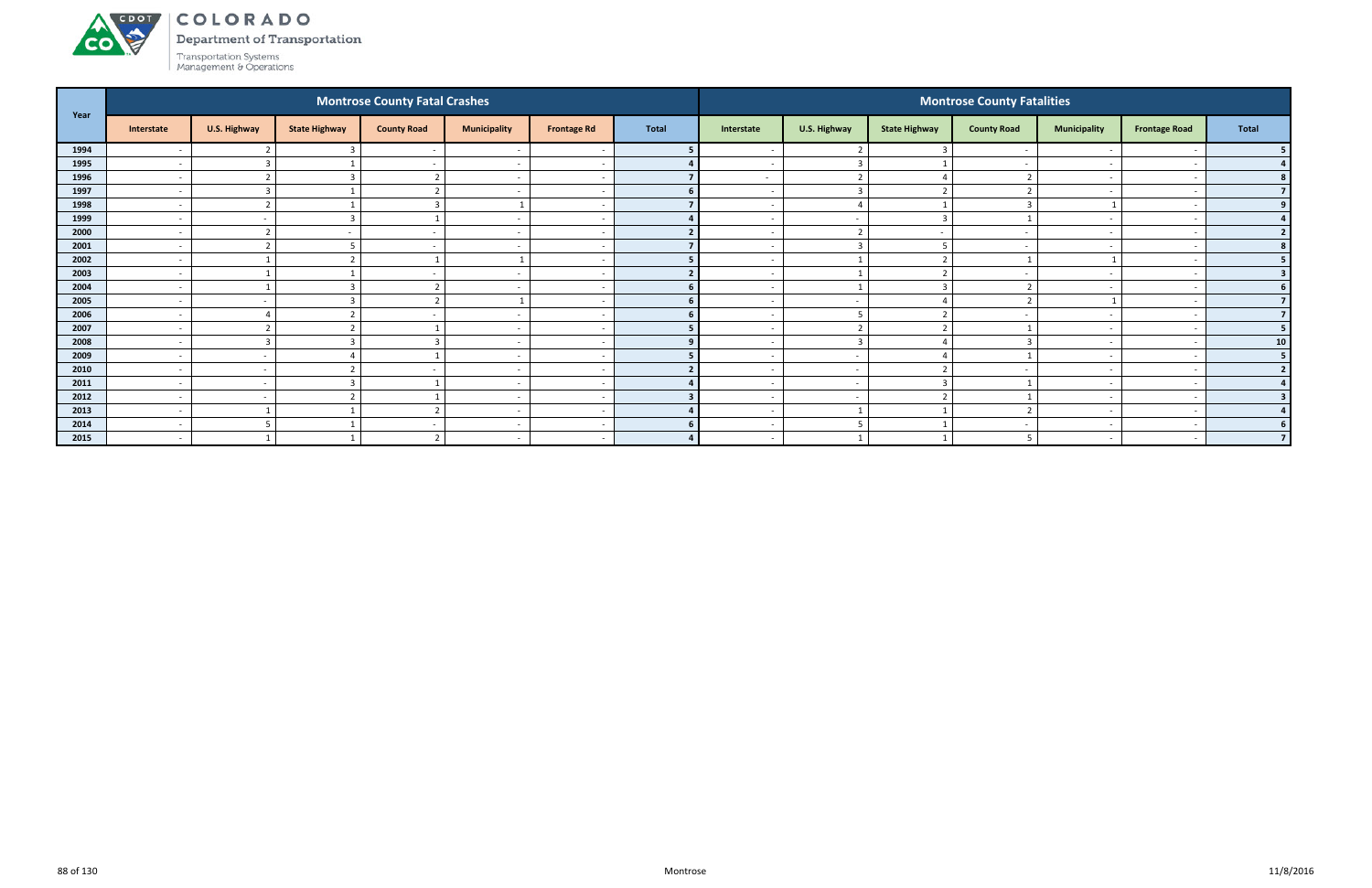# ACDOL **CO**

COLORADO

Department of Transportation

| Year |                          |                  |                      | <b>Montrose County Fatal Crashes</b> |                          |                          |              |                          |                          |                          | <b>Montrose County Fatalities</b> |                          |                      |                          |
|------|--------------------------|------------------|----------------------|--------------------------------------|--------------------------|--------------------------|--------------|--------------------------|--------------------------|--------------------------|-----------------------------------|--------------------------|----------------------|--------------------------|
|      | Interstate               | U.S. Highway     | <b>State Highway</b> | <b>County Road</b>                   | <b>Municipality</b>      | <b>Frontage Rd</b>       | <b>Total</b> | Interstate               | U.S. Highway             | <b>State Highway</b>     | <b>County Road</b>                | <b>Municipality</b>      | <b>Frontage Road</b> | <b>Total</b>             |
| 1994 |                          |                  |                      |                                      |                          |                          |              |                          |                          |                          |                                   |                          |                      |                          |
| 1995 | $\sim$                   | $\overline{3}$   |                      | $\sim$                               | $\overline{\phantom{a}}$ | $\overline{\phantom{a}}$ |              | $\sim$                   | $\overline{3}$           |                          |                                   |                          |                      |                          |
| 1996 | $\overline{\phantom{a}}$ | $\overline{2}$   |                      |                                      | $\overline{\phantom{a}}$ | $\sim$                   |              | $\sim$                   | $\overline{2}$           |                          |                                   |                          |                      |                          |
| 1997 | $\overline{\phantom{a}}$ | $\overline{3}$   |                      |                                      | $\overline{\phantom{a}}$ | $\overline{\phantom{a}}$ |              |                          |                          |                          |                                   |                          |                      |                          |
| 1998 | $\overline{\phantom{a}}$ | $\overline{2}$   |                      | $\overline{\mathbf{a}}$              |                          | $\overline{\phantom{a}}$ |              |                          | $\Delta$                 |                          |                                   |                          |                      |                          |
| 1999 | $\overline{\phantom{a}}$ | $\sim$           |                      |                                      |                          | $\overline{\phantom{a}}$ |              |                          | $\overline{\phantom{0}}$ |                          |                                   |                          |                      |                          |
| 2000 | $\overline{\phantom{a}}$ | $\mathbf{\cdot}$ |                      | $\sim$                               | $\overline{\phantom{a}}$ | $\overline{\phantom{a}}$ |              |                          | $\mathbf{\cdot}$         | $\overline{\phantom{a}}$ |                                   |                          |                      | $\overline{2}$           |
| 2001 | $\overline{\phantom{a}}$ | $\overline{2}$   |                      | $\sim$                               | $\overline{\phantom{a}}$ | $\sim$                   |              | $\sim$                   | $\overline{3}$           |                          |                                   | $\overline{\phantom{0}}$ |                      |                          |
| 2002 | $\overline{\phantom{a}}$ |                  |                      |                                      |                          | $\sim$                   |              |                          |                          | $\mathbf{\hat{z}}$       |                                   | $\mathbf{1}$             |                      |                          |
| 2003 | $\overline{\phantom{0}}$ |                  |                      |                                      | $\overline{\phantom{0}}$ | $\overline{\phantom{a}}$ |              |                          |                          |                          |                                   |                          |                      |                          |
| 2004 | $\overline{\phantom{a}}$ |                  |                      | ຳ                                    | $\overline{\phantom{a}}$ | $\overline{a}$           |              |                          |                          |                          |                                   |                          |                      |                          |
| 2005 | $\overline{\phantom{a}}$ | $\sim$           |                      | $\mathbf{\hat{}}$                    |                          | $\overline{\phantom{a}}$ |              |                          | $\overline{\phantom{a}}$ |                          |                                   |                          |                      | $\overline{\mathbf{z}}$  |
| 2006 | $\overline{\phantom{a}}$ | Δ                |                      |                                      | $\overline{\phantom{a}}$ | $\overline{\phantom{a}}$ |              |                          | -5                       |                          |                                   | $\overline{\phantom{0}}$ |                      |                          |
| 2007 | $\overline{\phantom{a}}$ | $\overline{2}$   |                      |                                      | $\overline{\phantom{a}}$ | $\overline{\phantom{a}}$ |              |                          | $\overline{2}$           |                          |                                   |                          |                      |                          |
| 2008 | $\overline{\phantom{0}}$ | $\overline{3}$   |                      |                                      | $\overline{\phantom{0}}$ | -                        |              |                          | $\overline{3}$           |                          |                                   |                          |                      | 10 <sup>1</sup>          |
| 2009 | $\overline{\phantom{a}}$ | $\sim$           |                      |                                      | $\overline{\phantom{a}}$ | $\sim$                   |              |                          | $\overline{\phantom{a}}$ |                          |                                   |                          |                      | 5                        |
| 2010 | $\overline{\phantom{a}}$ | $\sim$           |                      |                                      | $\overline{\phantom{a}}$ | $\sim$                   |              |                          | $\sim$                   |                          |                                   |                          |                      | $\overline{\mathbf{z}}$  |
| 2011 | $\sim$                   | $\sim$           |                      |                                      | $\overline{\phantom{a}}$ | $\overline{\phantom{a}}$ |              |                          | $\sim$                   |                          |                                   | $\overline{\phantom{0}}$ |                      |                          |
| 2012 | $\overline{a}$           | $\sim$           |                      |                                      | $\overline{\phantom{a}}$ | $\sim$                   |              | $\sim$                   | $\overline{\phantom{a}}$ |                          |                                   | $\overline{\phantom{a}}$ |                      |                          |
| 2013 | $\overline{\phantom{a}}$ |                  |                      | $\overline{\phantom{0}}$             | $\overline{\phantom{a}}$ | . .                      |              |                          |                          |                          |                                   |                          |                      |                          |
| 2014 | $\overline{\phantom{a}}$ | 5                |                      | $\sim$                               | $\overline{\phantom{a}}$ | $\sim$                   | 6            | $\overline{\phantom{0}}$ |                          |                          |                                   |                          |                      |                          |
| 2015 | $\overline{\phantom{a}}$ |                  |                      | $\mathbf{\hat{}}$                    | $\overline{\phantom{a}}$ | $\sim$                   |              |                          |                          |                          |                                   |                          |                      | $\overline{\phantom{a}}$ |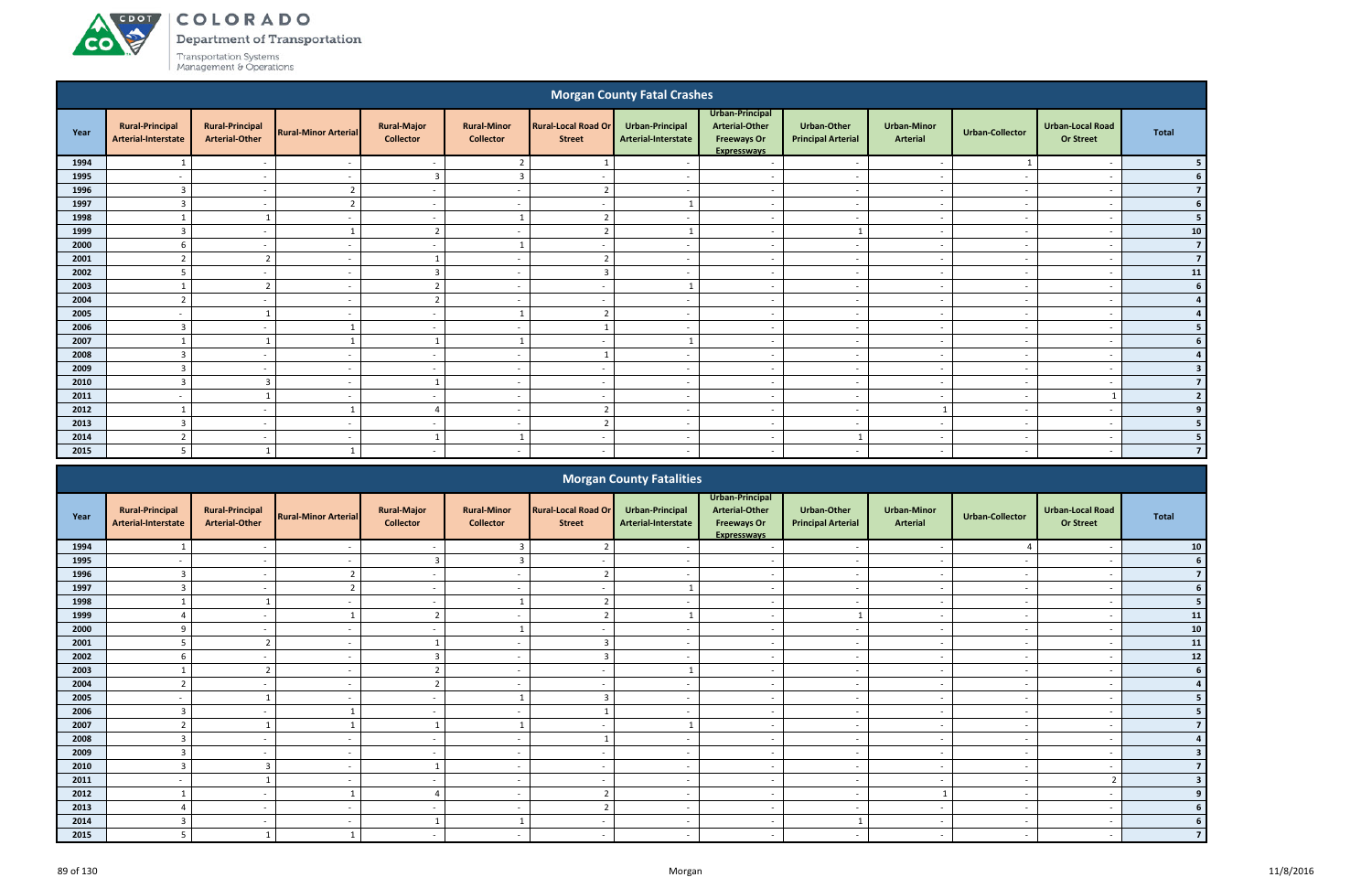**CO** 

Department of Transportation

|      |                                                                                                                                                                                                                    |                                                 |                             |                                        |                                        |                                             | <b>Morgan County Fatal Crashes</b>     |                                                                               |                                                 |                                       |                          |                                             |                |
|------|--------------------------------------------------------------------------------------------------------------------------------------------------------------------------------------------------------------------|-------------------------------------------------|-----------------------------|----------------------------------------|----------------------------------------|---------------------------------------------|----------------------------------------|-------------------------------------------------------------------------------|-------------------------------------------------|---------------------------------------|--------------------------|---------------------------------------------|----------------|
| Year | <b>Rural-Principal</b><br>Arterial-Interstate                                                                                                                                                                      | <b>Rural-Principal</b><br><b>Arterial-Other</b> | <b>Rural-Minor Arterial</b> | <b>Rural-Major</b><br><b>Collector</b> | <b>Rural-Minor</b><br><b>Collector</b> | <b>Rural-Local Road Or</b><br><b>Street</b> | Urban-Principal<br>Arterial-Interstate | Urban-Principal<br><b>Arterial-Other</b><br><b>Freeways Or</b><br>Expressways | <b>Urban-Other</b><br><b>Principal Arterial</b> | <b>Urban-Minor</b><br><b>Arterial</b> | <b>Urban-Collector</b>   | <b>Urban-Local Road</b><br><b>Or Street</b> | <b>Total</b>   |
| 1994 |                                                                                                                                                                                                                    | $\overline{\phantom{a}}$                        | $\overline{\phantom{a}}$    | $\sim$                                 | $\overline{2}$                         |                                             |                                        | $\overline{a}$                                                                | $\overline{\phantom{a}}$                        | $\overline{\phantom{a}}$              |                          | $\overline{\phantom{a}}$                    |                |
| 1995 |                                                                                                                                                                                                                    | $\sim$                                          |                             | 3                                      | 3                                      |                                             |                                        | $\overline{a}$                                                                | $\overline{\phantom{a}}$                        | $\overline{\phantom{a}}$              |                          |                                             | 6              |
| 1996 | $\overline{3}$                                                                                                                                                                                                     | $\overline{\phantom{a}}$                        | $\mathbf{r}$                | $\sim$                                 | $\overline{\phantom{a}}$               | $\mathbf{\Omega}$                           |                                        | $\overline{\phantom{a}}$                                                      | $\overline{\phantom{0}}$                        | $\overline{\phantom{a}}$              |                          | $\overline{\phantom{a}}$                    | $\overline{7}$ |
| 1997 | 3                                                                                                                                                                                                                  | <u>т</u>                                        |                             | $\overline{\phantom{a}}$               |                                        |                                             |                                        | $\overline{\phantom{a}}$                                                      |                                                 | $\overline{\phantom{a}}$              |                          |                                             | 6              |
| 1998 |                                                                                                                                                                                                                    |                                                 | $\overline{\phantom{0}}$    | $\sim$                                 |                                        |                                             |                                        | $\sim$                                                                        | $\sim$                                          | $\sim$                                | $\sim$                   | $\overline{\phantom{a}}$                    | 5              |
| 1999 | $\overline{3}$                                                                                                                                                                                                     | $\overline{\phantom{a}}$                        |                             | $\overline{2}$                         | $\overline{\phantom{a}}$               |                                             |                                        | $-$                                                                           |                                                 | $\sim$                                | $\sim$                   | $\overline{\phantom{a}}$                    | ${\bf 10}$     |
| 2000 | 6                                                                                                                                                                                                                  | $\sim$                                          | $\overline{\phantom{a}}$    | $\sim$                                 | $\mathbf{1}$                           | $\overline{\phantom{a}}$                    |                                        | $\overline{a}$                                                                | $\sim$                                          | $\sim$                                | $\sim$                   | $\overline{\phantom{a}}$                    | 7 <sup>1</sup> |
|      | 2001<br>$\overline{2}$<br>ຳ<br>ຳ<br>$\overline{\phantom{a}}$<br>$\overline{\phantom{0}}$<br>$\sim$<br>$\overline{\phantom{0}}$<br>$\overline{\phantom{a}}$<br>$\overline{\phantom{a}}$<br>$\overline{\phantom{a}}$ |                                                 |                             |                                        |                                        |                                             |                                        |                                                                               |                                                 |                                       |                          |                                             | 7 <sup>1</sup> |
| 2002 | 5                                                                                                                                                                                                                  | $\sim$                                          |                             | $\overline{3}$                         | - 1                                    | $\mathbf{3}$                                |                                        | $\overline{\phantom{a}}$                                                      | $\overline{\phantom{a}}$                        | $\sim$                                |                          | $\overline{\phantom{a}}$                    | 11             |
| 2003 |                                                                                                                                                                                                                    | h                                               |                             | $\overline{2}$                         |                                        |                                             |                                        | $\overline{\phantom{a}}$                                                      | $\overline{\phantom{a}}$                        | $\overline{\phantom{a}}$              |                          |                                             |                |
| 2004 |                                                                                                                                                                                                                    |                                                 |                             |                                        | $\overline{\phantom{0}}$               |                                             |                                        | $\overline{\phantom{a}}$                                                      | $\overline{\phantom{a}}$                        | $\sim$                                |                          |                                             |                |
| 2005 |                                                                                                                                                                                                                    |                                                 | $\overline{\phantom{a}}$    | $\sim$                                 |                                        |                                             |                                        | $\overline{\phantom{a}}$                                                      | $\overline{\phantom{a}}$                        | $\sim$                                | $\sim$                   | $\overline{\phantom{a}}$                    |                |
| 2006 | 3                                                                                                                                                                                                                  | $\sim$                                          |                             | $\sim$                                 | $\overline{\phantom{a}}$               |                                             | $\overline{\phantom{a}}$               | $\overline{a}$                                                                | $\overline{\phantom{a}}$                        | $\overline{\phantom{a}}$              | $\sim$                   | $\overline{\phantom{a}}$                    |                |
| 2007 |                                                                                                                                                                                                                    |                                                 |                             |                                        |                                        | $\overline{\phantom{a}}$                    |                                        | $\sim$                                                                        | $\sim$                                          | $\sim$                                | $\overline{\phantom{a}}$ | $\overline{\phantom{a}}$                    |                |
| 2008 | 3                                                                                                                                                                                                                  | $\overline{\phantom{a}}$                        |                             | $\sim$                                 | $\overline{\phantom{a}}$               |                                             |                                        | $\overline{\phantom{a}}$                                                      | $\overline{\phantom{0}}$                        | $\sim$                                |                          | $\overline{\phantom{a}}$                    |                |
| 2009 | 3                                                                                                                                                                                                                  | $\sim$                                          |                             | $\sim$                                 |                                        |                                             |                                        | $\overline{\phantom{a}}$                                                      |                                                 | $\overline{\phantom{a}}$              |                          |                                             | 3              |
| 2010 | $\overline{3}$                                                                                                                                                                                                     | $\overline{3}$                                  |                             |                                        | $\overline{\phantom{a}}$               | $\overline{\phantom{a}}$                    |                                        | $\overline{\phantom{a}}$                                                      | $\overline{\phantom{a}}$                        | $\sim$                                |                          | $\overline{\phantom{a}}$                    |                |
| 2011 |                                                                                                                                                                                                                    |                                                 |                             | $\overline{\phantom{a}}$               | $\overline{\phantom{0}}$               |                                             |                                        | $\overline{\phantom{a}}$                                                      | $\sim$                                          | $\sim$                                |                          |                                             |                |
| 2012 | $\mathbf{1}$                                                                                                                                                                                                       | $\sim$                                          |                             | $\overline{4}$                         | $\sim$                                 | n,                                          | $\sim$                                 | $\overline{a}$                                                                | $\overline{\phantom{a}}$                        |                                       | $\sim$                   | $\overline{\phantom{a}}$                    |                |
| 2013 | $\overline{3}$                                                                                                                                                                                                     | $\sim$                                          | $\overline{\phantom{a}}$    | $\sim$                                 | $\overline{a}$                         | ຳ                                           | $\overline{\phantom{a}}$               | $\overline{a}$                                                                | $\overline{\phantom{a}}$                        | $\sim$                                | $\sim$                   | $\overline{\phantom{a}}$                    |                |
| 2014 | $\mathbf{r}$                                                                                                                                                                                                       | $\overline{\phantom{a}}$                        |                             |                                        | 1                                      | $\overline{\phantom{a}}$                    |                                        | $\overline{a}$                                                                |                                                 | $\overline{\phantom{a}}$              | $\overline{\phantom{a}}$ | $\overline{\phantom{a}}$                    |                |
| 2015 | 5                                                                                                                                                                                                                  |                                                 |                             |                                        |                                        |                                             |                                        |                                                                               |                                                 |                                       |                          |                                             |                |
|      |                                                                                                                                                                                                                    |                                                 |                             |                                        |                                        |                                             | あきえん こうかん しょうきょうせいしょ                   |                                                                               |                                                 |                                       |                          |                                             |                |

|      |                                               |                                                 |                             |                                        |                                        |                                             | <b>Morgan County Fatalities</b>               |                                                                                      |                                                 |                                       |                          |                                             |              |
|------|-----------------------------------------------|-------------------------------------------------|-----------------------------|----------------------------------------|----------------------------------------|---------------------------------------------|-----------------------------------------------|--------------------------------------------------------------------------------------|-------------------------------------------------|---------------------------------------|--------------------------|---------------------------------------------|--------------|
| Year | <b>Rural-Principal</b><br>Arterial-Interstate | <b>Rural-Principal</b><br><b>Arterial-Other</b> | <b>Rural-Minor Arterial</b> | <b>Rural-Major</b><br><b>Collector</b> | <b>Rural-Minor</b><br><b>Collector</b> | <b>Rural-Local Road Or</b><br><b>Street</b> | <b>Urban-Principal</b><br>Arterial-Interstate | Urban-Principal<br><b>Arterial-Other</b><br><b>Freeways Or</b><br><b>Expressways</b> | <b>Urban-Other</b><br><b>Principal Arterial</b> | <b>Urban-Minor</b><br><b>Arterial</b> | <b>Urban-Collector</b>   | <b>Urban-Local Road</b><br><b>Or Street</b> | <b>Total</b> |
| 1994 |                                               |                                                 |                             |                                        | 3                                      |                                             |                                               |                                                                                      |                                                 |                                       |                          |                                             | 10           |
| 1995 |                                               |                                                 |                             | ີ                                      | $\overline{3}$                         |                                             |                                               |                                                                                      |                                                 |                                       |                          |                                             |              |
| 1996 | $\overline{3}$                                | $\sim$                                          | $\mathbf{a}$                | $\sim$                                 | $\overline{\phantom{a}}$               |                                             | $\overline{\phantom{a}}$                      | $\overline{\phantom{a}}$                                                             | $\overline{\phantom{a}}$                        | $\sim$                                | $\sim$                   | $\overline{\phantom{a}}$                    |              |
| 1997 |                                               | $\overline{\phantom{a}}$                        |                             | $\sim$                                 | $\overline{\phantom{a}}$               |                                             |                                               | $\overline{\phantom{a}}$                                                             | $\sim$                                          | $\overline{\phantom{0}}$              |                          | $\overline{\phantom{a}}$                    |              |
| 1998 |                                               |                                                 |                             | $\sim$                                 |                                        | ີ                                           |                                               | $\overline{\phantom{a}}$                                                             | $\overline{\phantom{a}}$                        | $\overline{\phantom{0}}$              |                          | $\overline{\phantom{a}}$                    |              |
| 1999 |                                               |                                                 |                             | $\overline{\phantom{a}}$               | $\overline{\phantom{a}}$               |                                             |                                               | $\overline{\phantom{a}}$                                                             |                                                 | $\qquad \qquad \blacksquare$          |                          | $\overline{\phantom{a}}$                    | 11           |
| 2000 |                                               |                                                 |                             | $\overline{\phantom{0}}$               |                                        |                                             |                                               | $\overline{\phantom{a}}$                                                             | $\overline{\phantom{0}}$                        | $\overline{\phantom{0}}$              |                          |                                             | ${\bf 10}$   |
| 2001 |                                               |                                                 | $\sim$                      |                                        | $\overline{\phantom{a}}$               |                                             | $\overline{\phantom{a}}$                      | $\overline{\phantom{a}}$                                                             | $\overline{\phantom{a}}$                        | $\sim$                                | $\overline{\phantom{a}}$ | $\overline{\phantom{a}}$                    | 11           |
| 2002 |                                               |                                                 |                             |                                        | $\overline{\phantom{a}}$               | $\sqrt{2}$                                  |                                               | $\overline{\phantom{a}}$                                                             | $\overline{\phantom{a}}$                        | $\overline{\phantom{a}}$              |                          |                                             | 12           |
| 2003 |                                               |                                                 |                             |                                        | $\overline{\phantom{a}}$               |                                             |                                               | $\overline{\phantom{a}}$                                                             | $\sim$                                          | $\overline{\phantom{a}}$              |                          | $\overline{\phantom{a}}$                    |              |
| 2004 |                                               |                                                 |                             |                                        |                                        |                                             |                                               | $\overline{\phantom{a}}$                                                             | $\overline{\phantom{0}}$                        | $\overline{\phantom{0}}$              |                          |                                             |              |
| 2005 |                                               |                                                 |                             | $\sim$                                 |                                        |                                             |                                               | $\overline{\phantom{a}}$                                                             | $\overline{a}$                                  | $\overline{\phantom{a}}$              |                          | $\overline{\phantom{a}}$                    |              |
| 2006 | 3                                             | $\overline{\phantom{a}}$                        |                             | $\sim$                                 | $\overline{\phantom{a}}$               |                                             | $\overline{\phantom{a}}$                      | $\overline{\phantom{a}}$                                                             | $\overline{\phantom{a}}$                        | $\overline{\phantom{a}}$              | $\overline{\phantom{a}}$ | $\overline{\phantom{a}}$                    |              |
| 2007 | $\mathbf{r}$                                  |                                                 |                             |                                        |                                        |                                             |                                               | $\overline{\phantom{a}}$                                                             | $\sim$                                          | $\overline{\phantom{a}}$              |                          |                                             |              |
| 2008 |                                               |                                                 |                             | $\sim$                                 | $\overline{\phantom{a}}$               |                                             |                                               | $\overline{\phantom{a}}$                                                             | $\overline{\phantom{a}}$                        | $\sim$                                |                          | $\overline{\phantom{a}}$                    |              |
| 2009 |                                               |                                                 |                             | $\sim$                                 |                                        |                                             |                                               | $\overline{\phantom{a}}$                                                             | $\overline{\phantom{a}}$                        | $\overline{\phantom{a}}$              |                          |                                             |              |
| 2010 |                                               |                                                 |                             |                                        | $\overline{\phantom{a}}$               |                                             |                                               | $\overline{\phantom{a}}$                                                             | $\overline{\phantom{a}}$                        | $\sim$                                |                          | $\overline{\phantom{a}}$                    |              |
| 2011 |                                               |                                                 |                             | $\overline{\phantom{0}}$               | $\overline{\phantom{a}}$               |                                             |                                               | $\overline{\phantom{0}}$                                                             | $\sim$                                          | $\overline{\phantom{0}}$              |                          |                                             |              |
| 2012 |                                               |                                                 |                             |                                        |                                        |                                             |                                               |                                                                                      | $\overline{\phantom{a}}$                        |                                       |                          |                                             |              |
| 2013 |                                               |                                                 |                             | $\overline{\phantom{a}}$               | $\overline{\phantom{a}}$               |                                             |                                               |                                                                                      | $\overline{\phantom{a}}$                        | $\overline{\phantom{a}}$              |                          |                                             |              |
| 2014 |                                               | $\overline{\phantom{a}}$                        |                             |                                        |                                        |                                             |                                               | $\overline{\phantom{a}}$                                                             |                                                 | $\overline{\phantom{a}}$              |                          | $\overline{\phantom{a}}$                    |              |
| 2015 |                                               |                                                 |                             | $\sim$                                 | $\overline{\phantom{a}}$               |                                             |                                               | $\sim$                                                                               | $\overline{\phantom{a}}$                        | $\sim$                                |                          |                                             |              |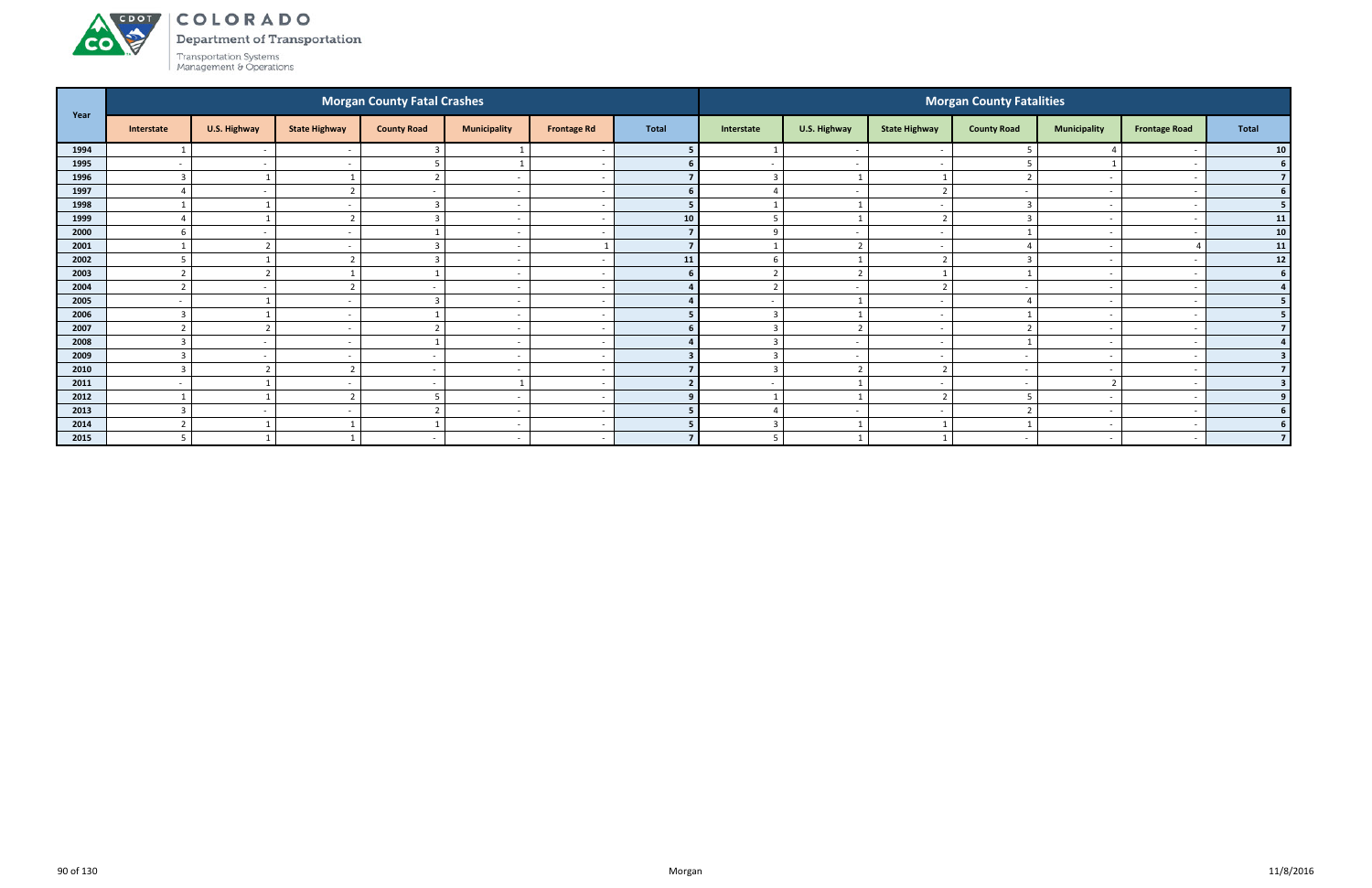**CO** 

Department of Transportation Transportation Systems<br>Management & Operations

| Year |            |                          |                          | <b>Morgan County Fatal Crashes</b> |                          |                          |                         |                          |                          |                          | <b>Morgan County Fatalities</b> |                          |                          |                         |
|------|------------|--------------------------|--------------------------|------------------------------------|--------------------------|--------------------------|-------------------------|--------------------------|--------------------------|--------------------------|---------------------------------|--------------------------|--------------------------|-------------------------|
|      | Interstate | U.S. Highway             | <b>State Highway</b>     | <b>County Road</b>                 | <b>Municipality</b>      | <b>Frontage Rd</b>       | <b>Total</b>            | Interstate               | U.S. Highway             | <b>State Highway</b>     | <b>County Road</b>              | <b>Municipality</b>      | <b>Frontage Road</b>     | <b>Total</b>            |
| 1994 |            | $\sim$                   | $\sim$                   |                                    |                          |                          | 5                       |                          | $\sim$                   | $\overline{\phantom{a}}$ |                                 | 4                        | $\overline{\phantom{a}}$ | 10 <sub>1</sub>         |
| 1995 |            | $\overline{\phantom{a}}$ | $\sim$                   |                                    |                          |                          | 6                       | $\overline{\phantom{0}}$ | $\sim$                   | $\overline{\phantom{a}}$ |                                 |                          |                          | 6 <sup>1</sup>          |
| 1996 |            |                          |                          |                                    | $\overline{\phantom{0}}$ |                          | $\overline{\mathbf{z}}$ | $\mathbf{R}$             |                          |                          |                                 | $\overline{\phantom{a}}$ |                          | 7 <sup>1</sup>          |
| 1997 |            | $\overline{\phantom{a}}$ | ຳ                        | $\overline{\phantom{a}}$           |                          |                          | 6 <sup>1</sup>          |                          | $\overline{\phantom{a}}$ |                          |                                 |                          | -                        | 6 <sup>1</sup>          |
| 1998 |            |                          | $\sim$                   |                                    | $\overline{\phantom{a}}$ |                          | 5                       |                          |                          | $\overline{\phantom{a}}$ |                                 | $\overline{\phantom{0}}$ |                          | 5 <sup>1</sup>          |
| 1999 |            |                          | $\overline{z}$           |                                    | $\sim$                   |                          | 10                      | -5                       |                          |                          |                                 | $\overline{\phantom{a}}$ | $\overline{\phantom{a}}$ | $11$                    |
| 2000 |            |                          | $\overline{\phantom{a}}$ |                                    |                          |                          | $\overline{7}$          |                          | $\sim$                   | $\overline{\phantom{a}}$ |                                 | $\overline{\phantom{0}}$ |                          | 10 <sup>1</sup>         |
| 2001 |            | $\overline{\phantom{0}}$ | $\sim$                   |                                    | $\overline{\phantom{0}}$ |                          | $\overline{7}$          |                          | ຳ                        | $\overline{\phantom{a}}$ |                                 | $\sim$                   |                          | 11                      |
| 2002 |            |                          | $\mathcal{L}$            |                                    |                          |                          | 11                      |                          |                          |                          |                                 |                          |                          | $12$                    |
| 2003 |            | $\mathbf{\hat{z}}$       |                          |                                    | $\overline{\phantom{0}}$ |                          | 6                       |                          | $\mathbf{\hat{z}}$       |                          |                                 | $\overline{\phantom{a}}$ | -                        | 6 <sup>1</sup>          |
| 2004 |            | $\overline{\phantom{a}}$ | $\overline{2}$           | $\sim$                             | $\overline{\phantom{0}}$ |                          | 4                       | ຳ                        | $\sim$                   | ຳ                        | $\overline{\phantom{a}}$        | $\overline{\phantom{a}}$ | $\overline{a}$           | $\overline{4}$          |
| 2005 |            |                          | $\sim$                   | $\overline{3}$                     |                          |                          | $\mathbf{A}$            | $\overline{\phantom{a}}$ |                          | -                        |                                 | $\overline{\phantom{0}}$ |                          | 5 <sup>1</sup>          |
| 2006 |            |                          | $\sim$                   |                                    | $\sim$                   |                          | 5                       | $\mathbf{R}$             |                          | $\overline{\phantom{a}}$ |                                 | $\overline{\phantom{a}}$ |                          | 5                       |
| 2007 |            | $\mathbf{\hat{z}}$       | $\overline{\phantom{a}}$ |                                    |                          |                          | 6                       |                          | ຳ                        |                          |                                 |                          |                          | 7 <sup>1</sup>          |
| 2008 |            | $\sim$                   | $\sim$                   |                                    | $\sim$                   |                          |                         |                          | $\sim$                   | $\overline{\phantom{a}}$ |                                 | $\sim$                   |                          |                         |
| 2009 |            | $\overline{\phantom{a}}$ | $\sim$                   | $\sim$                             | $\sim$                   |                          | $\overline{\mathbf{3}}$ | $\mathbf{R}$             | $\overline{a}$           | $\overline{\phantom{a}}$ | $\overline{\phantom{a}}$        | $\overline{\phantom{0}}$ | $\overline{\phantom{0}}$ | 3                       |
| 2010 |            | $\overline{2}$           | $\mathcal{D}$            | $\overline{a}$                     | $\overline{\phantom{0}}$ |                          | $\overline{ }$          | $\mathbf{R}$             | ຳ                        | ີ                        | $\sim$                          | $\overline{\phantom{0}}$ |                          | $\overline{7}$          |
| 2011 |            |                          | $\sim$                   | $\sim$                             |                          |                          |                         | $\overline{\phantom{a}}$ |                          | $\overline{\phantom{0}}$ |                                 | $\mathcal{L}$            |                          | $\overline{\mathbf{3}}$ |
| 2012 |            |                          | $\sqrt{2}$               |                                    |                          |                          | 9                       |                          |                          |                          |                                 |                          |                          | 9 <sup>1</sup>          |
| 2013 |            | $\sim$                   | $\sim$                   |                                    | $\sim$                   |                          | 5                       |                          | $\sim$                   | $\overline{\phantom{a}}$ |                                 | $\sim$                   | $\overline{\phantom{a}}$ | 6 <sup>1</sup>          |
| 2014 |            |                          |                          |                                    |                          | $\overline{\phantom{a}}$ | 5                       | $\overline{3}$           |                          |                          |                                 |                          | $\overline{\phantom{a}}$ | 6 <sup>1</sup>          |
| 2015 |            |                          |                          | $\overline{\phantom{a}}$           |                          |                          |                         |                          |                          |                          | $\overline{\phantom{a}}$        | $\overline{\phantom{0}}$ |                          | $\overline{7}$          |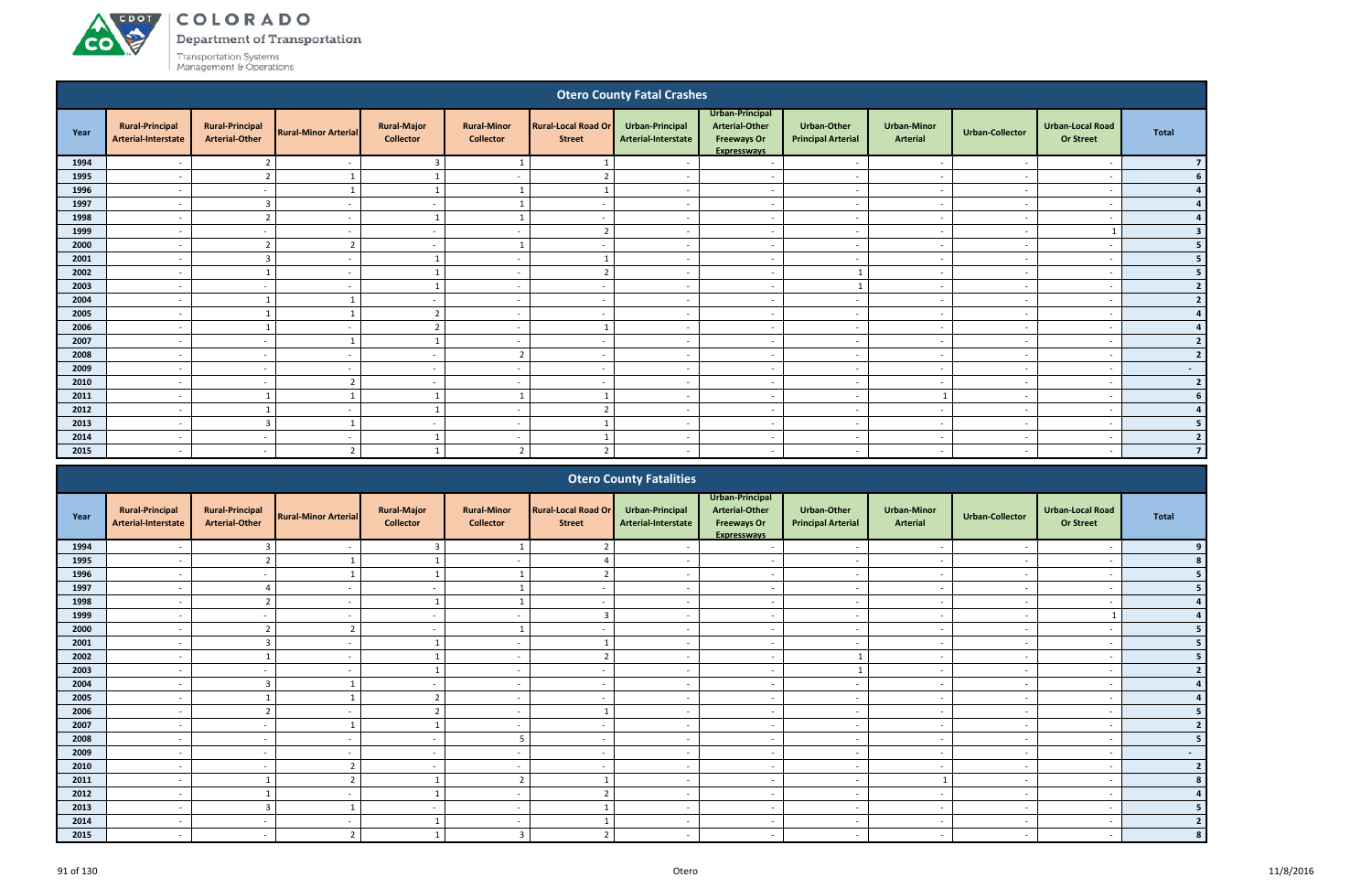**CO** 

Department of Transportation

|                                                                                                                                                                                                                                                                                                                                                                                                                                                           |                                               |                                                 |                             |                                        |                                        |                                             | <b>Otero County Fatal Crashes</b>      |                                                                               |                                          |                                |                          |                                             |                |
|-----------------------------------------------------------------------------------------------------------------------------------------------------------------------------------------------------------------------------------------------------------------------------------------------------------------------------------------------------------------------------------------------------------------------------------------------------------|-----------------------------------------------|-------------------------------------------------|-----------------------------|----------------------------------------|----------------------------------------|---------------------------------------------|----------------------------------------|-------------------------------------------------------------------------------|------------------------------------------|--------------------------------|--------------------------|---------------------------------------------|----------------|
| Year                                                                                                                                                                                                                                                                                                                                                                                                                                                      | <b>Rural-Principal</b><br>Arterial-Interstate | <b>Rural-Principal</b><br><b>Arterial-Other</b> | <b>Rural-Minor Arterial</b> | <b>Rural-Major</b><br><b>Collector</b> | <b>Rural-Minor</b><br><b>Collector</b> | <b>Rural-Local Road Or</b><br><b>Street</b> | Urban-Principal<br>Arterial-Interstate | Urban-Principal<br><b>Arterial-Other</b><br><b>Freeways Or</b><br>Expressways | Urban-Other<br><b>Principal Arterial</b> | <b>Urban-Minor</b><br>Arterial | <b>Urban-Collector</b>   | <b>Urban-Local Road</b><br><b>Or Street</b> | <b>Total</b>   |
| 1994                                                                                                                                                                                                                                                                                                                                                                                                                                                      |                                               | $\overline{2}$                                  | $\overline{\phantom{a}}$    | $\overline{3}$                         |                                        |                                             |                                        | $\sim$                                                                        | $\overline{\phantom{a}}$                 | $\sim$                         | $\sim$                   |                                             |                |
| 1995                                                                                                                                                                                                                                                                                                                                                                                                                                                      | $\overline{\phantom{a}}$                      | $\overline{2}$                                  |                             |                                        | $\overline{a}$                         | $\mathcal{D}$                               | $\sim$                                 | $\sim$                                                                        | $\overline{a}$                           | $\overline{\phantom{a}}$       | $\sim$                   | $\overline{\phantom{a}}$                    |                |
| 1996                                                                                                                                                                                                                                                                                                                                                                                                                                                      | $\overline{\phantom{a}}$                      | $\sim$                                          | $\mathbf{1}$                | $\overline{1}$                         | $\mathbf{1}$                           | $\overline{\mathbf{1}}$                     | $\sim$                                 | $\sim$                                                                        | $\overline{a}$                           | $\sim$                         | $\sim$                   | $\overline{\phantom{a}}$                    |                |
| 1997                                                                                                                                                                                                                                                                                                                                                                                                                                                      | $\overline{\phantom{a}}$                      | $\overline{3}$                                  | $\overline{\phantom{0}}$    | $\sim$                                 |                                        | $\sim$                                      | $\sim$                                 | $\overline{a}$                                                                | $\sim$                                   | $\overline{\phantom{a}}$       | $\overline{a}$           | $\overline{\phantom{a}}$                    |                |
| 1998                                                                                                                                                                                                                                                                                                                                                                                                                                                      | $\overline{\phantom{a}}$                      | $\overline{2}$                                  | $\overline{\phantom{a}}$    | - 1                                    |                                        | $\overline{\phantom{a}}$                    | $\sim$                                 | $\sim$                                                                        | $\overline{\phantom{a}}$                 | $\sim$                         | $\sim$                   |                                             |                |
| 1999                                                                                                                                                                                                                                                                                                                                                                                                                                                      | $\overline{\phantom{a}}$                      | $\overline{\phantom{a}}$                        | $\overline{\phantom{a}}$    | $\overline{\phantom{a}}$               | $\overline{\phantom{a}}$               | $\overline{2}$                              | $\sim$                                 | $\overline{a}$                                                                | $\overline{\phantom{a}}$                 | $\overline{\phantom{a}}$       |                          |                                             |                |
| 2000<br>$\overline{z}$<br>$\overline{z}$<br>$\overline{\phantom{a}}$<br>$\overline{\phantom{a}}$<br>$\sim$<br>$\overline{\phantom{a}}$<br>$\overline{\phantom{a}}$<br>$\overline{\phantom{a}}$<br>$\overline{\phantom{a}}$<br>$\overline{\phantom{a}}$<br>$\overline{\phantom{a}}$<br>2001<br>$\overline{3}$<br>$\sim$<br>$\overline{\phantom{a}}$<br>$\overline{\phantom{a}}$<br>$\sim$<br>$\sim$<br>$\sim$<br>$-$<br>$\sim$<br>$\overline{\phantom{a}}$ |                                               |                                                 |                             |                                        |                                        |                                             |                                        |                                                                               |                                          |                                |                          |                                             |                |
| 2002<br>$\overline{2}$<br>$\mathbf{1}$<br>$\overline{1}$<br>$\sim$<br>$\overline{a}$<br>$\overline{\phantom{a}}$<br>$\sim$<br>$\overline{a}$<br>$\sim$<br>$\sim$<br>$\overline{\phantom{a}}$                                                                                                                                                                                                                                                              |                                               |                                                 |                             |                                        |                                        |                                             |                                        |                                                                               |                                          |                                |                          |                                             |                |
|                                                                                                                                                                                                                                                                                                                                                                                                                                                           |                                               |                                                 |                             |                                        |                                        |                                             |                                        |                                                                               |                                          |                                |                          |                                             |                |
| 2003                                                                                                                                                                                                                                                                                                                                                                                                                                                      | $\overline{\phantom{a}}$                      | $\sim$                                          | $\sim$                      |                                        | $\overline{a}$                         | $\sim$                                      | $\sim$                                 | $\overline{a}$                                                                | $\mathbf{1}$                             | $\overline{\phantom{a}}$       | $\sim$                   | $\overline{\phantom{a}}$                    | $\overline{2}$ |
| 2004                                                                                                                                                                                                                                                                                                                                                                                                                                                      | $\overline{\phantom{a}}$                      |                                                 |                             | $\sim$                                 | $\overline{a}$                         | $\sim$                                      | $\overline{a}$                         | $\sim$                                                                        | $\sim$                                   | $\sim$                         | $\overline{\phantom{a}}$ | $\overline{\phantom{a}}$                    | $\overline{2}$ |
| 2005                                                                                                                                                                                                                                                                                                                                                                                                                                                      | $\overline{\phantom{a}}$                      |                                                 |                             | $\overline{2}$                         | $\overline{\phantom{a}}$               | $\sim$                                      | $\overline{\phantom{a}}$               | $\overline{a}$                                                                | $\sim$                                   | $\sim$                         | $\sim$                   | $\overline{\phantom{a}}$                    |                |
| 2006                                                                                                                                                                                                                                                                                                                                                                                                                                                      | $\overline{\phantom{a}}$                      |                                                 | $\overline{\phantom{a}}$    | $\overline{2}$                         | $\overline{\phantom{a}}$               |                                             | $\overline{\phantom{a}}$               | $\overline{a}$                                                                | $\overline{\phantom{a}}$                 | $\overline{\phantom{a}}$       | ۰.                       | $\overline{\phantom{a}}$                    |                |
| 2007                                                                                                                                                                                                                                                                                                                                                                                                                                                      | $\overline{\phantom{a}}$                      | $\overline{\phantom{a}}$                        |                             |                                        | $\overline{\phantom{a}}$               | $\sim$                                      | $\sim$                                 | $\overline{\phantom{a}}$                                                      | $\overline{\phantom{a}}$                 | $\overline{\phantom{a}}$       | $\sim$                   | $\overline{\phantom{a}}$                    |                |
| 2008                                                                                                                                                                                                                                                                                                                                                                                                                                                      | $\overline{\phantom{a}}$                      | $\overline{\phantom{a}}$                        | $\overline{\phantom{a}}$    | $\sim$                                 | $\overline{2}$                         | $\sim$                                      | $\overline{\phantom{a}}$               | $\overline{a}$                                                                | $\sim$                                   | $\overline{\phantom{a}}$       | $\overline{\phantom{a}}$ | $\overline{\phantom{a}}$                    | $\overline{2}$ |
| 2009                                                                                                                                                                                                                                                                                                                                                                                                                                                      | $\overline{a}$                                | $\sim$                                          | $\overline{\phantom{a}}$    | $\sim$                                 | $\overline{a}$                         | $\overline{\phantom{a}}$                    | $\sim$                                 | $\sim$                                                                        | $\sim$                                   | $\sim$                         | $\sim$                   | $\overline{\phantom{a}}$                    | $\sim$         |
| 2010                                                                                                                                                                                                                                                                                                                                                                                                                                                      | $\overline{a}$                                | $\sim$                                          | $\overline{2}$              | $\sim$                                 | $\overline{a}$                         | $\sim$                                      | $\sim$                                 | $\sim$                                                                        | $\overline{\phantom{a}}$                 | $\sim$                         | $\sim$                   | $\overline{\phantom{a}}$                    | $\overline{2}$ |
| 2011                                                                                                                                                                                                                                                                                                                                                                                                                                                      | $\overline{a}$                                |                                                 |                             |                                        | $\mathbf{1}$                           |                                             | $\sim$                                 | $\overline{a}$                                                                | $\sim$                                   |                                | $\sim$                   | $\overline{\phantom{a}}$                    |                |
| 2012                                                                                                                                                                                                                                                                                                                                                                                                                                                      | $\overline{\phantom{a}}$                      | $\mathbf{1}$                                    | $\overline{\phantom{a}}$    | $\overline{1}$                         | $\overline{a}$                         | $\overline{2}$                              | $\overline{\phantom{a}}$               | $\overline{a}$                                                                | $\sim$                                   | $\sim$                         | $\overline{\phantom{a}}$ | $\overline{\phantom{a}}$                    |                |
| 2013                                                                                                                                                                                                                                                                                                                                                                                                                                                      | $\overline{\phantom{a}}$                      | $\overline{3}$                                  |                             | $\overline{\phantom{a}}$               | $\overline{\phantom{a}}$               |                                             | $\overline{\phantom{a}}$               | $\sim$                                                                        | $\overline{\phantom{a}}$                 | $\sim$                         | $\overline{\phantom{a}}$ | $\overline{\phantom{a}}$                    | 5              |
| 2014                                                                                                                                                                                                                                                                                                                                                                                                                                                      | $\overline{\phantom{a}}$                      | $\sim$                                          | $\overline{\phantom{a}}$    |                                        | $\overline{\phantom{a}}$               |                                             | $\sim$                                 | $\overline{a}$                                                                | $\overline{\phantom{a}}$                 | $\sim$                         | $\sim$                   | $\overline{\phantom{a}}$                    | $\overline{2}$ |
| 2015                                                                                                                                                                                                                                                                                                                                                                                                                                                      | $\overline{\phantom{a}}$                      | $\sim$                                          | $\overline{2}$              |                                        | $\overline{2}$                         | $\overline{2}$                              | $\overline{\phantom{a}}$               | $\overline{a}$                                                                | $\overline{\phantom{a}}$                 | $\sim$                         | $\overline{\phantom{a}}$ |                                             | $\overline{7}$ |
|                                                                                                                                                                                                                                                                                                                                                                                                                                                           |                                               |                                                 |                             |                                        |                                        |                                             | Otoro County Estalities                |                                                                               |                                          |                                |                          |                                             |                |

|      |                                               |                                                 |                             |                                        |                                        |                                             | <b>Otero County Fatalities</b>         |                                                                               |                                                 |                                       |                        |                                             |                          |
|------|-----------------------------------------------|-------------------------------------------------|-----------------------------|----------------------------------------|----------------------------------------|---------------------------------------------|----------------------------------------|-------------------------------------------------------------------------------|-------------------------------------------------|---------------------------------------|------------------------|---------------------------------------------|--------------------------|
| Year | <b>Rural-Principal</b><br>Arterial-Interstate | <b>Rural-Principal</b><br><b>Arterial-Other</b> | <b>Rural-Minor Arterial</b> | <b>Rural-Major</b><br><b>Collector</b> | <b>Rural-Minor</b><br><b>Collector</b> | <b>Rural-Local Road Or</b><br><b>Street</b> | Urban-Principal<br>Arterial-Interstate | Urban-Principal<br>Arterial-Other<br><b>Freeways Or</b><br><b>Expressways</b> | <b>Urban-Other</b><br><b>Principal Arterial</b> | <b>Urban-Minor</b><br><b>Arterial</b> | <b>Urban-Collector</b> | <b>Urban-Local Road</b><br><b>Or Street</b> | Total                    |
| 1994 |                                               |                                                 |                             |                                        |                                        |                                             |                                        |                                                                               |                                                 |                                       |                        |                                             |                          |
| 1995 |                                               |                                                 |                             |                                        |                                        |                                             |                                        | $\overline{\phantom{a}}$                                                      | $\overline{\phantom{a}}$                        |                                       |                        | $\overline{\phantom{a}}$                    |                          |
| 1996 |                                               |                                                 |                             |                                        |                                        |                                             |                                        | $\overline{\phantom{a}}$                                                      | $\overline{\phantom{a}}$                        |                                       |                        |                                             |                          |
| 1997 | $\overline{\phantom{0}}$                      |                                                 |                             | $\sim$                                 |                                        | $\sim$                                      |                                        | $\sim$                                                                        | $\sim$                                          | $\sim$                                |                        | $\overline{\phantom{a}}$                    |                          |
| 1998 | $\overline{\phantom{0}}$                      |                                                 |                             |                                        |                                        | $\overline{\phantom{a}}$                    |                                        | $\overline{\phantom{0}}$                                                      | $\overline{\phantom{a}}$                        | $\overline{\phantom{a}}$              |                        | $\overline{\phantom{a}}$                    |                          |
| 1999 |                                               |                                                 |                             | $\sim$                                 | $\overline{\phantom{0}}$               |                                             |                                        | $\overline{\phantom{a}}$                                                      | $\overline{\phantom{0}}$                        | $\overline{\phantom{a}}$              |                        |                                             |                          |
| 2000 |                                               |                                                 |                             |                                        |                                        |                                             |                                        |                                                                               |                                                 |                                       |                        |                                             |                          |
| 2001 |                                               |                                                 |                             |                                        |                                        |                                             |                                        | $\overline{\phantom{a}}$                                                      | $\overline{\phantom{a}}$                        | $\overline{\phantom{a}}$              |                        | $\overline{\phantom{a}}$                    |                          |
| 2002 | $\overline{\phantom{0}}$                      |                                                 |                             |                                        | $\overline{\phantom{0}}$               | ຳ                                           |                                        | $\sim$                                                                        |                                                 | $\overline{\phantom{a}}$              |                        | $\overline{\phantom{a}}$                    |                          |
| 2003 |                                               |                                                 |                             |                                        |                                        |                                             |                                        | $\overline{\phantom{a}}$                                                      |                                                 |                                       |                        |                                             |                          |
| 2004 |                                               |                                                 |                             |                                        | $\overline{\phantom{0}}$               | $\sim$                                      |                                        | $\sim$                                                                        | $\overline{\phantom{0}}$                        | $\overline{\phantom{a}}$              |                        | $\overline{\phantom{a}}$                    |                          |
| 2005 |                                               |                                                 |                             |                                        |                                        |                                             |                                        |                                                                               |                                                 |                                       |                        |                                             |                          |
| 2006 |                                               |                                                 |                             |                                        | $\overline{\phantom{a}}$               |                                             |                                        | $\overline{\phantom{0}}$                                                      | $\overline{\phantom{a}}$                        | $\overline{\phantom{a}}$              |                        | $\overline{\phantom{a}}$                    |                          |
| 2007 |                                               |                                                 |                             |                                        | $\overline{\phantom{0}}$               |                                             |                                        | $\overline{\phantom{0}}$                                                      | $\overline{\phantom{a}}$                        |                                       |                        |                                             |                          |
| 2008 |                                               |                                                 |                             |                                        |                                        | $\overline{\phantom{0}}$                    |                                        |                                                                               |                                                 |                                       |                        |                                             |                          |
| 2009 |                                               |                                                 |                             | $\sim$                                 | $\overline{\phantom{a}}$               | $\overline{\phantom{0}}$                    |                                        | $\overline{\phantom{a}}$                                                      | $\overline{\phantom{0}}$                        | $\overline{\phantom{a}}$              |                        | $\overline{\phantom{a}}$                    | $\sim$                   |
| 2010 |                                               |                                                 |                             |                                        |                                        |                                             |                                        | $\overline{\phantom{0}}$                                                      | $\overline{\phantom{a}}$                        |                                       |                        |                                             | $\overline{\phantom{a}}$ |
| 2011 | $\overline{\phantom{0}}$                      |                                                 |                             |                                        | $\overline{2}$                         |                                             | $\overline{\phantom{a}}$               | $\overline{\phantom{a}}$                                                      | $\overline{\phantom{a}}$                        |                                       |                        | $\overline{\phantom{a}}$                    |                          |
| 2012 |                                               |                                                 |                             |                                        | $\overline{\phantom{a}}$               | $\mathbf{\hat{z}}$                          |                                        | $\overline{\phantom{a}}$                                                      | $\overline{\phantom{a}}$                        | $\overline{\phantom{a}}$              |                        | $\overline{\phantom{a}}$                    |                          |
| 2013 |                                               |                                                 |                             | $\sim$                                 | $\overline{\phantom{0}}$               |                                             |                                        | $\overline{\phantom{0}}$                                                      | $\overline{\phantom{a}}$                        | $\overline{\phantom{a}}$              |                        | $\overline{\phantom{a}}$                    |                          |
| 2014 |                                               | $\sim$                                          |                             |                                        | $\overline{\phantom{0}}$               |                                             |                                        | $\overline{\phantom{a}}$                                                      | $\overline{\phantom{a}}$                        | $\overline{\phantom{a}}$              |                        | $\overline{\phantom{0}}$                    |                          |
| 2015 |                                               |                                                 |                             |                                        |                                        |                                             |                                        |                                                                               |                                                 |                                       |                        |                                             |                          |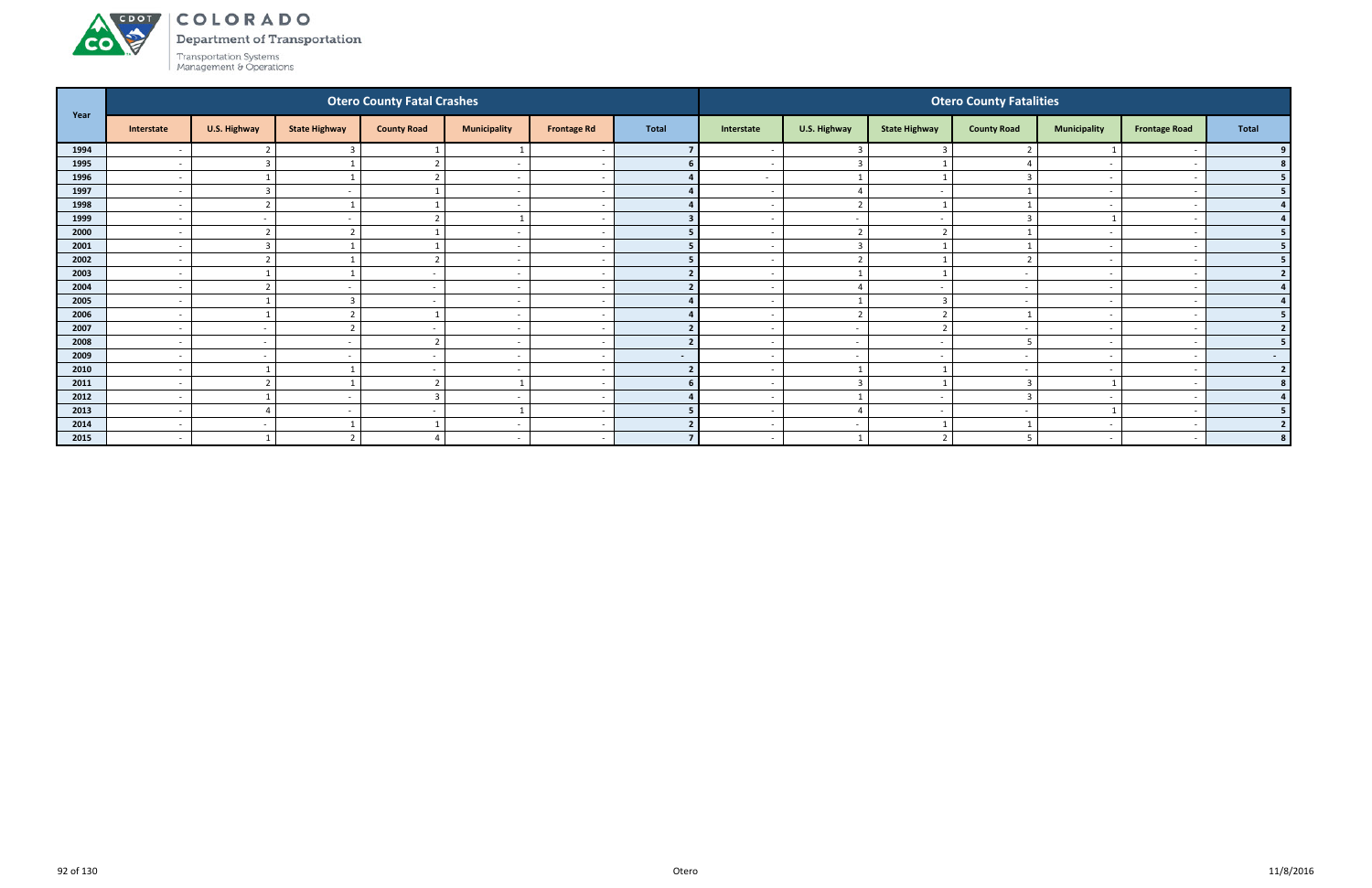# ACDOT **CO**

COLORADO

Department of Transportation

| Year |                          |                         |                          | <b>Otero County Fatal Crashes</b> |                          |                    |                |                          |                          |                      | <b>Otero County Fatalities</b> |                          |                          |                |
|------|--------------------------|-------------------------|--------------------------|-----------------------------------|--------------------------|--------------------|----------------|--------------------------|--------------------------|----------------------|--------------------------------|--------------------------|--------------------------|----------------|
|      | Interstate               | U.S. Highway            | <b>State Highway</b>     | <b>County Road</b>                | <b>Municipality</b>      | <b>Frontage Rd</b> | <b>Total</b>   | Interstate               | U.S. Highway             | <b>State Highway</b> | <b>County Road</b>             | <b>Municipality</b>      | <b>Frontage Road</b>     | Total          |
| 1994 | $\overline{\phantom{a}}$ |                         |                          |                                   |                          |                    |                |                          | $\overline{\mathbf{3}}$  |                      |                                |                          |                          | 9              |
| 1995 | $\overline{\phantom{a}}$ | $\overline{3}$          |                          |                                   | $\overline{\phantom{a}}$ |                    |                | $\sim$                   | $\overline{\mathbf{3}}$  |                      |                                | $\sim$                   | $\overline{\phantom{a}}$ | 8 <sup>1</sup> |
| 1996 | $\overline{\phantom{a}}$ |                         |                          |                                   | $\overline{\phantom{a}}$ |                    |                | $\sim$                   | $\overline{1}$           |                      |                                | $\overline{\phantom{0}}$ |                          | 5 <sub>1</sub> |
| 1997 | $\overline{\phantom{0}}$ | 3                       |                          |                                   | $\overline{\phantom{a}}$ |                    |                | $\overline{\phantom{a}}$ |                          |                      |                                | $\overline{\phantom{0}}$ |                          | 5 <sub>1</sub> |
| 1998 | $\overline{\phantom{a}}$ | $\mathbf{\overline{a}}$ |                          |                                   | $\overline{\phantom{a}}$ |                    |                |                          | $\mathbf{\cdot}$         |                      |                                |                          |                          | 4              |
| 1999 | $\overline{\phantom{a}}$ | $\sim$                  |                          |                                   |                          |                    |                |                          | $\sim$                   |                      |                                |                          |                          | $\overline{4}$ |
| 2000 | $\overline{\phantom{0}}$ | ຳ                       |                          |                                   | $\overline{\phantom{a}}$ |                    |                | $\overline{\phantom{0}}$ | $\overline{2}$           |                      |                                | $\overline{\phantom{0}}$ |                          | 5 <sub>1</sub> |
| 2001 | $\overline{\phantom{a}}$ | 3                       |                          |                                   | $\overline{\phantom{a}}$ |                    |                | $\overline{\phantom{a}}$ | $\overline{3}$           |                      |                                | $\sim$                   |                          | 5 <sub>1</sub> |
| 2002 | $\overline{\phantom{a}}$ | $\mathbf{\overline{a}}$ |                          |                                   | $\overline{\phantom{a}}$ |                    |                |                          | $\overline{2}$           |                      |                                |                          |                          | 5 <sub>1</sub> |
| 2003 | $\overline{\phantom{a}}$ |                         |                          | $\sim$                            | $\overline{\phantom{a}}$ |                    |                | $\overline{\phantom{0}}$ |                          |                      |                                | $\sim$                   |                          | 2 <sup>1</sup> |
| 2004 | $\overline{\phantom{a}}$ |                         |                          |                                   | $\overline{\phantom{a}}$ |                    |                |                          |                          |                      |                                |                          |                          | 4 <sup>1</sup> |
| 2005 | $\overline{\phantom{a}}$ |                         |                          |                                   | $\overline{\phantom{a}}$ |                    |                |                          | $\overline{\phantom{0}}$ | -3                   |                                |                          |                          | $\overline{4}$ |
| 2006 | $\overline{\phantom{0}}$ |                         |                          |                                   | $\overline{\phantom{a}}$ |                    |                | $\overline{\phantom{0}}$ | $\overline{2}$           | ຳ                    |                                | $\sim$                   |                          | 5 <sub>1</sub> |
| 2007 | $\overline{\phantom{a}}$ | $\sim$                  | $\mathbf{\hat{z}}$       | $\overline{\phantom{a}}$          | $\overline{\phantom{a}}$ |                    |                | $\sim$                   | $\sim$                   | $\overline{2}$       | $\overline{\phantom{a}}$       | $\overline{\phantom{a}}$ | $\overline{\phantom{a}}$ | 2              |
| 2008 | $\overline{\phantom{0}}$ | $\sim$                  |                          |                                   | $\overline{\phantom{a}}$ |                    |                |                          | $\overline{\phantom{a}}$ |                      |                                | $\overline{\phantom{0}}$ |                          | 5 <sub>1</sub> |
| 2009 | $\overline{\phantom{a}}$ | $\sim$                  |                          | $\sim$                            | $\overline{\phantom{a}}$ |                    | $\sim$         | $\overline{\phantom{0}}$ | $\overline{\phantom{a}}$ | $\sim$               | $\overline{\phantom{a}}$       | $\sim$                   |                          | $\sim$ $-$     |
| 2010 | $\overline{\phantom{a}}$ |                         |                          |                                   |                          |                    |                |                          |                          |                      |                                |                          |                          | 2              |
| 2011 | $\overline{\phantom{a}}$ |                         |                          |                                   |                          |                    |                | $\overline{\phantom{0}}$ | ຳ                        |                      |                                |                          |                          | 8 <sup>1</sup> |
| 2012 | $\overline{\phantom{a}}$ |                         | $\overline{\phantom{a}}$ | 3                                 | $\sim$                   |                    |                | $\sim$                   | $\overline{\phantom{0}}$ |                      |                                | $\sim$                   | $\overline{a}$           | 4              |
| 2013 | $\overline{\phantom{a}}$ | $\overline{4}$          |                          |                                   | $\overline{1}$           |                    |                | $\overline{\phantom{0}}$ | $\overline{a}$           |                      |                                |                          |                          | 5 <sub>1</sub> |
| 2014 | $\overline{\phantom{a}}$ | $\sim$                  |                          |                                   | $\overline{\phantom{a}}$ |                    |                | $\overline{\phantom{0}}$ | $\overline{\phantom{a}}$ |                      |                                | $\overline{\phantom{0}}$ |                          | 2 <sup>1</sup> |
| 2015 | $\overline{\phantom{a}}$ |                         |                          |                                   | $\overline{\phantom{a}}$ |                    | $\overline{ }$ | $\sim$                   |                          | ຳ                    |                                | $\overline{\phantom{0}}$ |                          | 8 <sup>1</sup> |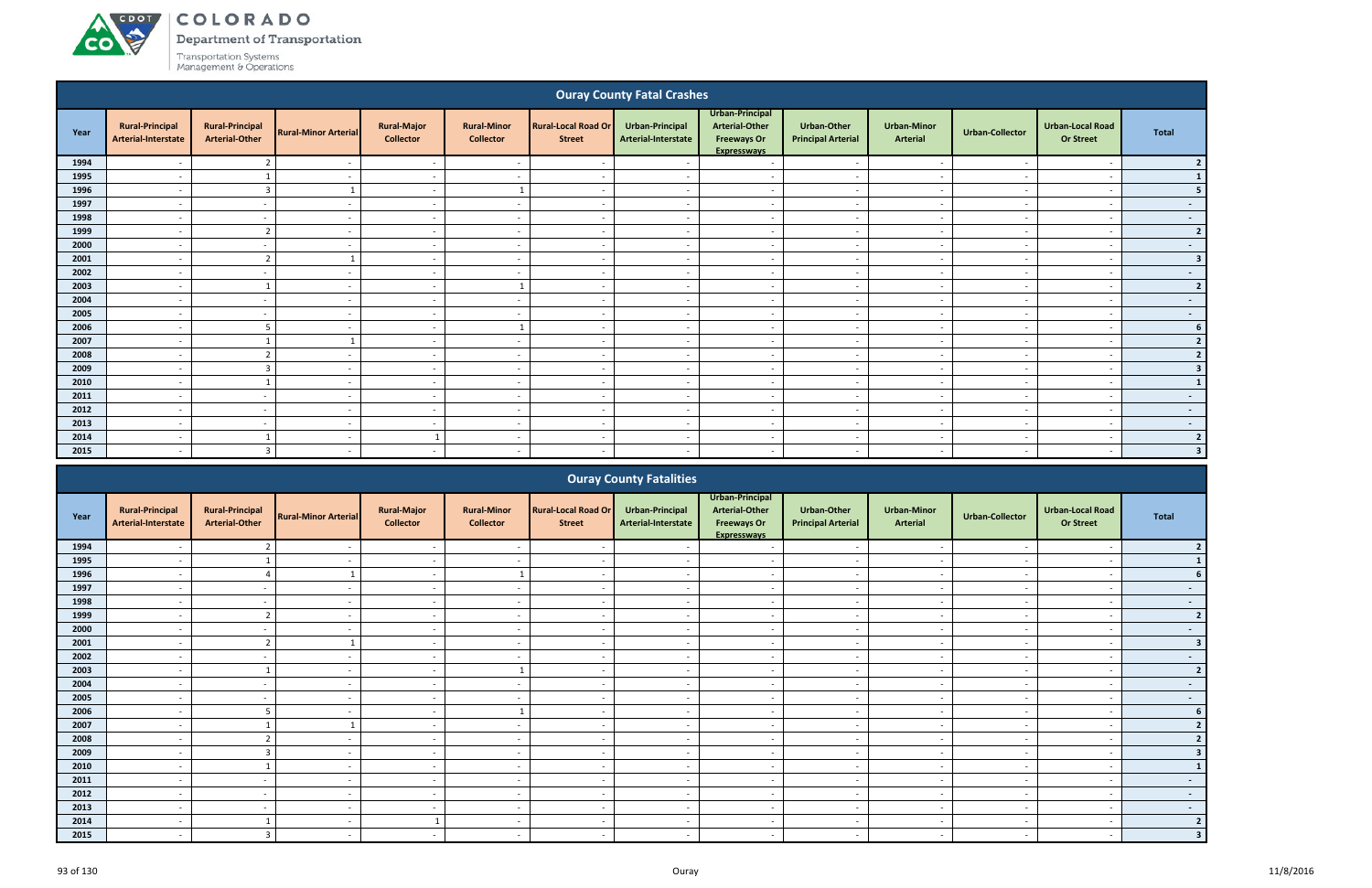**CO** 

Department of Transportation

|              |                                                      |                                                 |                             |                                        |                                        |                                             | <b>Ouray County Fatal Crashes</b>             |                                                                                             |                                                 |                                       |                          |                                             |                         |
|--------------|------------------------------------------------------|-------------------------------------------------|-----------------------------|----------------------------------------|----------------------------------------|---------------------------------------------|-----------------------------------------------|---------------------------------------------------------------------------------------------|-------------------------------------------------|---------------------------------------|--------------------------|---------------------------------------------|-------------------------|
| Year         | <b>Rural-Principal</b><br>Arterial-Interstate        | <b>Rural-Principal</b><br><b>Arterial-Other</b> | <b>Rural-Minor Arterial</b> | <b>Rural-Major</b><br><b>Collector</b> | <b>Rural-Minor</b><br><b>Collector</b> | <b>Rural-Local Road Or</b><br><b>Street</b> | Urban-Principal<br>Arterial-Interstate        | <b>Urban-Principal</b><br><b>Arterial-Other</b><br><b>Freeways Or</b><br><b>Expresswavs</b> | <b>Urban-Other</b><br><b>Principal Arterial</b> | <b>Urban-Minor</b><br><b>Arterial</b> | <b>Urban-Collector</b>   | <b>Urban-Local Road</b><br><b>Or Street</b> | <b>Total</b>            |
| 1994         | $\overline{a}$                                       | $\overline{2}$                                  |                             | $\sim$                                 | $\sim$                                 | $\overline{\phantom{a}}$                    |                                               | $\sim$                                                                                      | $\sim$                                          | $\overline{\phantom{a}}$              | $\sim$                   | $\overline{\phantom{a}}$                    | $\overline{2}$          |
| 1995         | $\overline{\phantom{0}}$                             | $\overline{1}$                                  | $\sim$                      | $\sim$                                 | $\sim$                                 | $\sim$                                      | $\sim$                                        | $\sim$                                                                                      | $\sim$                                          | $\sim$                                | $\sim$                   | $\overline{a}$                              | $\mathbf{1}$            |
| 1996         | $\overline{\phantom{0}}$                             | $\overline{3}$                                  | $\mathbf{1}$                | $\sim$                                 | $\mathbf{1}$                           | $\sim$                                      | $\sim$                                        | $\sim$                                                                                      | $\sim$                                          | $\sim$                                | $\sim$                   | $\overline{\phantom{0}}$                    | $5\phantom{a}$          |
| 1997         | $\overline{\phantom{a}}$                             | $\sim$                                          | $\sim$                      | $\sim$                                 | $\overline{a}$                         | $\sim$                                      | $\sim$                                        | $\sim$                                                                                      | $\sim$                                          | $\sim$                                | $\overline{a}$           | $\overline{\phantom{a}}$                    | $\sim$                  |
| 1998         | $\overline{\phantom{0}}$                             | $\sim$                                          | $\sim$                      | $\sim$                                 | $\sim$                                 | $\sim$                                      | $\sim$                                        | $\sim$                                                                                      | $\sim$                                          | $\sim$                                | $\sim$                   | $\sim$                                      | $\sim$                  |
| 1999         | $\sim$                                               | $\overline{2}$                                  | $\overline{\phantom{a}}$    | $\sim$                                 | $\overline{a}$                         | $\overline{\phantom{a}}$                    | $\overline{\phantom{a}}$                      | $\sim$                                                                                      | $\sim$                                          | $\overline{\phantom{a}}$              | $\sim$                   | $\overline{\phantom{a}}$                    | $\overline{2}$          |
| 2000         |                                                      | $\overline{\phantom{a}}$                        | $\sim$                      | $\sim$                                 | $\overline{\phantom{a}}$               | $\overline{a}$                              | $\overline{\phantom{a}}$                      | $\overline{\phantom{a}}$                                                                    | $\overline{\phantom{a}}$                        | $\overline{\phantom{a}}$              | $\overline{\phantom{a}}$ | $\overline{\phantom{a}}$                    | $\sim$ $-$              |
| 2001         |                                                      | $\overline{2}$                                  | $\mathbf{1}$                | $\sim$                                 | $\overline{a}$                         | $\overline{\phantom{a}}$                    | $\sim$                                        | $\sim$                                                                                      | $\sim$                                          | $\sim$                                | $\sim$                   | $\overline{\phantom{a}}$                    | $\overline{\mathbf{3}}$ |
| 2002         | $\sim$                                               | $\sim$                                          | $\sim$                      | $\sim$                                 | $\overline{a}$                         | $\overline{\phantom{a}}$                    | $\sim$                                        | $\sim$                                                                                      | $\sim$                                          | $\sim$                                | $\overline{\phantom{a}}$ | $\overline{\phantom{a}}$                    | $\sim$                  |
| 2003         |                                                      | $\overline{1}$                                  | $\sim$                      | $\sim$                                 | 1                                      | $\sim$                                      | $\sim$                                        | $\sim$                                                                                      | $\overline{\phantom{a}}$                        | $\sim$                                | $\sim$                   | $\overline{\phantom{a}}$                    | $\overline{2}$          |
| 2004         | $\sim$                                               | $\sim$                                          | $\sim$                      | $\sim$                                 | $\overline{a}$                         | $\sim$                                      | $\sim$                                        | $\sim$                                                                                      | $\sim$                                          | $\sim$                                | $\sim$                   | $\overline{\phantom{a}}$                    | $\sim$                  |
| 2005         | $\sim$                                               | $\sim$                                          | $\sim$                      | $\sim$                                 | $\overline{\phantom{a}}$               | $\overline{\phantom{a}}$                    | $\overline{\phantom{a}}$                      | $\sim$                                                                                      | $\sim$                                          | $\sim$                                | $\overline{\phantom{a}}$ | $\overline{\phantom{a}}$                    | $\sim$                  |
| 2006         | $\sim$                                               | 5                                               | $\sim$                      | $\sim$                                 | $\mathbf{1}$                           | $\overline{\phantom{a}}$                    | $\overline{\phantom{a}}$                      | $\sim$                                                                                      | $\sim$                                          | $\overline{\phantom{a}}$              | $\sim$                   | $\overline{\phantom{a}}$                    | 6 <sup>1</sup>          |
| 2007         | $\sim$                                               | $\mathbf{1}$                                    | 1                           | $\sim$                                 | $\overline{\phantom{a}}$               | $\overline{\phantom{a}}$                    | $\overline{a}$                                | $\sim$                                                                                      | $\sim$                                          | $\overline{a}$                        | $\sim$                   | $\overline{a}$                              | $\overline{2}$          |
| 2008         | $\overline{a}$                                       | $\overline{2}$                                  | $\sim$                      | $\sim$                                 | $\overline{\phantom{a}}$               | $\overline{\phantom{a}}$                    | $\sim$                                        | $\sim$                                                                                      | $\sim$                                          | $\overline{\phantom{a}}$              | $\overline{a}$           | $\overline{\phantom{a}}$                    | $\overline{2}$          |
| 2009         | $\overline{a}$                                       | $\overline{3}$                                  | $\overline{a}$              | $\sim$                                 | $\overline{\phantom{a}}$               | $\overline{\phantom{a}}$                    | $\sim$                                        | $\sim$                                                                                      | $\sim$                                          | $\sim$                                | $\sim$                   | $\overline{\phantom{a}}$                    | 3                       |
| 2010<br>2011 | $\sim$<br>$\sim$                                     | $\overline{1}$<br>$\sim$                        | $\sim$<br>$\overline{a}$    | $\sim$                                 | $\sim$<br>$\sim$                       | $\sim$<br>$\sim$                            | $\sim$<br>$\sim$                              | $\sim$                                                                                      | $\sim$                                          | $\sim$                                | $\sim$<br>$\sim$         | $\sim$                                      | $\mathbf{1}$            |
| 2012         | $\sim$                                               | $\sim$                                          | $\sim$                      | $\sim$                                 | $\sim$                                 | $\overline{a}$                              | $\sim$                                        | $\sim$<br>$\sim$                                                                            | $\sim$<br>$\sim$                                | $\sim$<br>$\sim$                      | $\sim$                   | $\sim$<br>$\sim$                            | $\sim$ $-$              |
| 2013         | $\sim$                                               | $\sim$                                          | $\sim$                      | $\sim$<br>$\sim$                       | $\sim$                                 | $\sim$                                      | $\sim$                                        | $\sim$                                                                                      | $\sim$                                          | $\sim$                                | $\sim$                   | $\sim$                                      | $\sim$ $-$<br>$\sim$    |
| 2014         | $\sim$                                               | $\overline{1}$                                  | $\sim$                      | $\overline{1}$                         | $\sim$                                 | $\sim$                                      | $\sim$                                        | $\sim$                                                                                      | $\sim$                                          | $\sim$                                | $\sim$                   | $\sim$                                      | $\overline{2}$          |
| 2015         | $\sim$                                               | $\overline{3}$                                  | $\sim$                      | $\sim$                                 | $\overline{a}$                         | $\sim$                                      | $\sim$                                        | $\overline{\phantom{a}}$                                                                    | $\sim$                                          | $\sim$                                | $\sim$                   | $\overline{\phantom{a}}$                    | $\overline{\mathbf{3}}$ |
|              |                                                      |                                                 |                             |                                        |                                        |                                             |                                               |                                                                                             |                                                 |                                       |                          |                                             |                         |
|              |                                                      |                                                 |                             |                                        |                                        |                                             | <b>Ouray County Fatalities</b>                |                                                                                             |                                                 |                                       |                          |                                             |                         |
| Year         | <b>Rural-Principal</b><br><b>Arterial-Interstate</b> | <b>Rural-Principal</b><br><b>Arterial-Other</b> | <b>Rural-Minor Arterial</b> | <b>Rural-Major</b><br><b>Collector</b> | <b>Rural-Minor</b><br><b>Collector</b> | <b>Rural-Local Road Or</b><br><b>Street</b> | <b>Urban-Principal</b><br>Arterial-Interstate | Urban-Principal<br><b>Arterial-Other</b><br><b>Freeways Or</b><br><b>Expressways</b>        | <b>Urban-Other</b><br><b>Principal Arterial</b> | <b>Urban-Minor</b><br><b>Arterial</b> | <b>Urban-Collector</b>   | <b>Urban-Local Road</b><br><b>Or Street</b> | <b>Total</b>            |
| 1994         |                                                      | $\overline{2}$                                  | $\overline{\phantom{a}}$    | $\sim$                                 | $\overline{a}$                         | $\overline{\phantom{a}}$                    |                                               | $\sim$                                                                                      | $\sim$                                          | $\overline{a}$                        | $\overline{\phantom{a}}$ | $\overline{a}$                              | $\overline{2}$          |
| 1995         | $\overline{a}$                                       | $\mathbf{1}$                                    | $\sim$                      | $\sim$                                 | $\sim$                                 | $\sim$                                      | $\overline{\phantom{a}}$                      | $\sim$                                                                                      | $\sim$                                          | $\overline{\phantom{a}}$              | $\sim$                   | $\overline{a}$                              | $\vert 1 \vert$         |
| 1996         | $\sim$                                               | $\overline{4}$                                  | 1                           | $\sim$                                 | $\mathbf{1}$                           | $\sim$                                      | $\sim$                                        | $\sim$                                                                                      | $\sim$                                          | $\overline{\phantom{a}}$              | $\overline{a}$           | $\overline{a}$                              | $6\overline{6}$         |
| 1997         |                                                      | $\overline{\phantom{a}}$                        | $\overline{a}$              | $\sim$                                 | $\overline{\phantom{0}}$               |                                             | $\sim$                                        | $\sim$                                                                                      | $\overline{\phantom{0}}$                        | $\sim$                                | $\sim$                   |                                             | $\blacksquare$          |

|      |                                               |                                                 |                             |                                        |                                        |                                             | <b>Cardy County Fatamics</b>           |                                                                                      |                                          |                                       |                          |                                             |                |
|------|-----------------------------------------------|-------------------------------------------------|-----------------------------|----------------------------------------|----------------------------------------|---------------------------------------------|----------------------------------------|--------------------------------------------------------------------------------------|------------------------------------------|---------------------------------------|--------------------------|---------------------------------------------|----------------|
| Year | <b>Rural-Principal</b><br>Arterial-Interstate | <b>Rural-Principal</b><br><b>Arterial-Other</b> | <b>Rural-Minor Arterial</b> | <b>Rural-Major</b><br><b>Collector</b> | <b>Rural-Minor</b><br><b>Collector</b> | <b>Rural-Local Road Or</b><br><b>Street</b> | Urban-Principal<br>Arterial-Interstate | Urban-Principal<br><b>Arterial-Other</b><br><b>Freeways Or</b><br><b>Expresswavs</b> | Urban-Other<br><b>Principal Arterial</b> | <b>Urban-Minor</b><br><b>Arterial</b> | <b>Urban-Collector</b>   | <b>Urban-Local Road</b><br><b>Or Street</b> | Total          |
| 1994 |                                               |                                                 |                             |                                        |                                        |                                             |                                        |                                                                                      |                                          |                                       |                          |                                             |                |
| 1995 |                                               |                                                 |                             |                                        |                                        |                                             |                                        |                                                                                      |                                          |                                       |                          |                                             |                |
| 1996 |                                               |                                                 |                             | $\overline{\phantom{a}}$               |                                        |                                             |                                        | $\overline{\phantom{a}}$                                                             | $\overline{\phantom{a}}$                 | $\overline{\phantom{0}}$              |                          |                                             |                |
| 1997 | $\overline{\phantom{a}}$                      | $\sim$                                          | $\sim$                      | $\sim$                                 | $\overline{\phantom{a}}$               | $\overline{\phantom{a}}$                    | $\sim$                                 | $\overline{\phantom{a}}$                                                             | $\sim$                                   | $\sim$                                | $\sim$                   | $\overline{\phantom{a}}$                    | $\sim$         |
| 1998 |                                               |                                                 |                             | $\overline{\phantom{a}}$               | $\overline{\phantom{a}}$               | $\overline{\phantom{a}}$                    |                                        | $\overline{\phantom{a}}$                                                             | $\overline{\phantom{a}}$                 | $\overline{\phantom{a}}$              |                          | $\overline{\phantom{a}}$                    | $\sim$         |
| 1999 |                                               |                                                 |                             | $\overline{\phantom{0}}$               | $\overline{\phantom{a}}$               |                                             |                                        |                                                                                      | $\overline{\phantom{a}}$                 |                                       |                          |                                             | $\overline{2}$ |
| 2000 |                                               | $\overline{\phantom{a}}$                        |                             | $\overline{\phantom{a}}$               | $\overline{\phantom{a}}$               | $\overline{\phantom{a}}$                    |                                        | $\overline{\phantom{a}}$                                                             | $\overline{\phantom{a}}$                 | $\overline{\phantom{a}}$              |                          | $\overline{\phantom{a}}$                    | $\sim$         |
| 2001 |                                               |                                                 |                             |                                        |                                        |                                             |                                        |                                                                                      |                                          |                                       |                          |                                             |                |
| 2002 |                                               |                                                 |                             | $\overline{\phantom{a}}$               |                                        |                                             |                                        | $\overline{\phantom{0}}$                                                             | $\overline{\phantom{0}}$                 | $\overline{\phantom{a}}$              |                          |                                             | $\sim$         |
| 2003 |                                               |                                                 |                             | $\overline{\phantom{0}}$               |                                        | $\overline{\phantom{a}}$                    |                                        | $\overline{\phantom{a}}$                                                             | $\sim$                                   | $\overline{\phantom{a}}$              |                          | $\overline{\phantom{a}}$                    | $\overline{2}$ |
| 2004 | $\overline{\phantom{a}}$                      | $\overline{\phantom{a}}$                        | $\overline{\phantom{a}}$    | $\sim$                                 | $\overline{\phantom{a}}$               | $\overline{\phantom{a}}$                    | $\overline{\phantom{a}}$               | $\overline{\phantom{a}}$                                                             | $\overline{\phantom{a}}$                 | $\overline{\phantom{a}}$              | $\overline{\phantom{a}}$ | $\overline{\phantom{a}}$                    | $\sim$         |
| 2005 |                                               |                                                 |                             | $\overline{\phantom{a}}$               | $\overline{\phantom{a}}$               |                                             |                                        | $\overline{\phantom{a}}$                                                             | $\overline{\phantom{a}}$                 | $\overline{\phantom{0}}$              |                          |                                             | $\sim$         |
| 2006 |                                               |                                                 |                             | $\overline{\phantom{a}}$               |                                        |                                             |                                        |                                                                                      | $\overline{\phantom{a}}$                 | $\overline{\phantom{a}}$              |                          | $\overline{\phantom{a}}$                    |                |
| 2007 |                                               |                                                 |                             | $\overline{\phantom{a}}$               | $\overline{\phantom{a}}$               |                                             |                                        |                                                                                      | $\overline{\phantom{a}}$                 | $\overline{\phantom{a}}$              |                          |                                             |                |
| 2008 |                                               |                                                 |                             |                                        |                                        |                                             |                                        |                                                                                      |                                          |                                       |                          |                                             |                |
| 2009 |                                               |                                                 |                             | $\overline{\phantom{a}}$               | $\overline{\phantom{a}}$               | $\overline{\phantom{0}}$                    |                                        | $\overline{\phantom{0}}$                                                             | $\sim$                                   | $\overline{\phantom{0}}$              |                          | $\overline{\phantom{a}}$                    |                |
| 2010 |                                               |                                                 |                             | $\overline{\phantom{a}}$               | $\overline{\phantom{a}}$               |                                             |                                        | $\overline{\phantom{a}}$                                                             | $\sim$                                   | $\overline{\phantom{a}}$              |                          |                                             |                |
| 2011 |                                               | $\overline{\phantom{a}}$                        |                             | $\sim$                                 | $\overline{\phantom{a}}$               | $\overline{\phantom{a}}$                    |                                        | $\overline{\phantom{a}}$                                                             | $\sim$                                   | $\sim$                                |                          | $\overline{\phantom{a}}$                    | $\sim$         |
| 2012 |                                               |                                                 |                             |                                        |                                        |                                             |                                        |                                                                                      |                                          |                                       |                          |                                             | $\sim$         |
| 2013 |                                               |                                                 |                             |                                        | $\overline{\phantom{a}}$               |                                             |                                        |                                                                                      | $\overline{\phantom{a}}$                 | $\overline{\phantom{a}}$              |                          |                                             | $\sim$         |
| 2014 |                                               |                                                 |                             |                                        |                                        | $\overline{\phantom{a}}$                    |                                        |                                                                                      |                                          | $\overline{\phantom{0}}$              |                          |                                             | $\overline{2}$ |
| 2015 |                                               |                                                 |                             |                                        |                                        |                                             |                                        |                                                                                      |                                          |                                       |                          |                                             |                |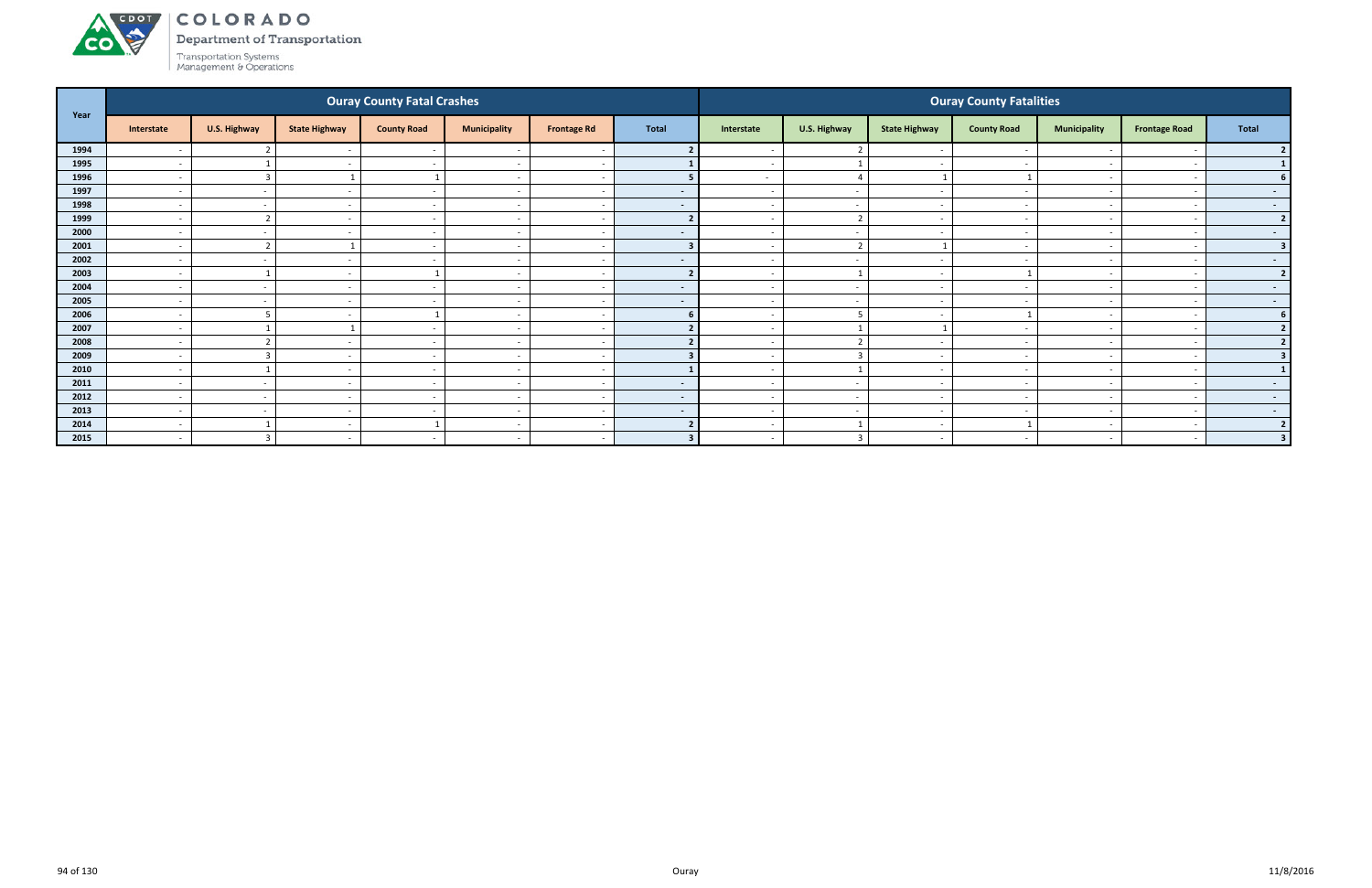

Department of Transportation

|      |                          |                |                          | <b>Ouray County Fatal Crashes</b> |                          |                          |                |                          |                         |                          | <b>Ouray County Fatalities</b> |                          |                          |                         |
|------|--------------------------|----------------|--------------------------|-----------------------------------|--------------------------|--------------------------|----------------|--------------------------|-------------------------|--------------------------|--------------------------------|--------------------------|--------------------------|-------------------------|
| Year | Interstate               | U.S. Highway   | <b>State Highway</b>     | <b>County Road</b>                | <b>Municipality</b>      | <b>Frontage Rd</b>       | <b>Total</b>   | Interstate               | U.S. Highway            | <b>State Highway</b>     | <b>County Road</b>             | <b>Municipality</b>      | <b>Frontage Road</b>     | Total                   |
| 1994 | $\overline{\phantom{a}}$ |                |                          | $\sim$                            |                          |                          |                |                          | $\mathbf{\Omega}$       | $\overline{\phantom{a}}$ |                                |                          |                          |                         |
| 1995 | $\overline{\phantom{a}}$ |                | $\overline{\phantom{a}}$ | $\sim$                            | $\overline{\phantom{a}}$ | $\overline{\phantom{a}}$ |                | $\sim$                   | $\overline{\mathbf{1}}$ | $\overline{\phantom{a}}$ |                                | $\overline{\phantom{0}}$ |                          |                         |
| 1996 | $\overline{\phantom{a}}$ | 3              |                          |                                   | $\overline{\phantom{a}}$ | <u>т</u>                 |                | $\sim$                   | $\overline{4}$          | $\overline{\mathbf{1}}$  |                                | $\sim$                   |                          |                         |
| 1997 | $\overline{\phantom{a}}$ | $\sim$         |                          |                                   | $\overline{\phantom{a}}$ |                          | $\blacksquare$ | $\sim$                   | $\sim$                  | $\sim$                   |                                |                          |                          | $\sim$                  |
| 1998 | $\overline{\phantom{a}}$ | $\sim$         | $\overline{\phantom{a}}$ | $\sim$                            | $\overline{\phantom{a}}$ | $\overline{\phantom{a}}$ | $\sim$         | $\sim$                   | $\sim$                  | $\sim$                   | $\overline{\phantom{a}}$       | $\overline{\phantom{0}}$ |                          | $\sim$ $-$              |
| 1999 | $\overline{\phantom{a}}$ | $\overline{2}$ |                          |                                   | $\overline{\phantom{a}}$ |                          |                |                          | $\overline{2}$          |                          |                                |                          |                          | $\overline{2}$          |
| 2000 | $\overline{\phantom{a}}$ | $\sim$         | $\overline{a}$           | $\sim$                            | $\overline{\phantom{a}}$ | $\overline{\phantom{a}}$ | $\sim$         | $\sim$                   | $\sim$                  | $\sim$                   | $\sim$                         | $\overline{\phantom{0}}$ | $\overline{\phantom{a}}$ | $\sim$ 100 $\mu$        |
| 2001 | $\overline{\phantom{a}}$ | $\overline{2}$ |                          | $\sim$ $-$                        | $\overline{\phantom{a}}$ | $\overline{\phantom{a}}$ |                | $\sim$                   | $\overline{2}$          | $\overline{\mathbf{1}}$  |                                | $\sim$                   |                          | 3                       |
| 2002 | $\overline{\phantom{0}}$ | $\sim$         | $\overline{\phantom{a}}$ | $\sim$                            | $\overline{\phantom{0}}$ |                          | $\sim$         | $\sim$                   | $\overline{a}$          | $\sim$                   |                                | $\overline{\phantom{0}}$ |                          | $\sim$                  |
| 2003 | $\overline{\phantom{a}}$ |                | $\overline{\phantom{a}}$ |                                   | $\overline{\phantom{a}}$ | $\overline{\phantom{a}}$ |                | $\sim$                   |                         | $\overline{\phantom{0}}$ |                                | $\overline{\phantom{0}}$ |                          | $\overline{2}$          |
| 2004 | $\overline{\phantom{a}}$ | $\sim$         |                          |                                   | $\overline{\phantom{a}}$ |                          | $\sim$         |                          | $\sim$                  |                          |                                |                          |                          | $\sim$                  |
| 2005 | $\overline{a}$           | $\sim$         | $\overline{\phantom{a}}$ | $\sim$ $-$                        | $\overline{\phantom{a}}$ | $\overline{\phantom{a}}$ | $\sim$         | $\sim$                   | $\sim$                  | $\sim$                   | $\overline{\phantom{a}}$       | $\overline{\phantom{0}}$ | $\overline{\phantom{a}}$ | $\sim$ 100 $\pm$        |
| 2006 | $\overline{\phantom{a}}$ | 5              | $\overline{\phantom{a}}$ |                                   | $\overline{\phantom{a}}$ | <u>т</u>                 | 6              | $\sim$                   | 5                       | $\sim$                   |                                | $\overline{\phantom{0}}$ |                          |                         |
| 2007 | $\overline{\phantom{a}}$ |                |                          | $\sim$                            | $\overline{\phantom{a}}$ | <u>т</u>                 |                | $\sim$                   | $\overline{\mathbf{1}}$ |                          |                                | $\overline{\phantom{0}}$ |                          |                         |
| 2008 | $\overline{\phantom{a}}$ | ຳ              |                          | $\sim$                            | $\overline{\phantom{0}}$ | - -                      |                |                          | $\overline{2}$          | $\overline{\phantom{a}}$ |                                | $\overline{\phantom{0}}$ |                          | $\overline{2}$          |
| 2009 | $\overline{\phantom{a}}$ | 3              |                          | $\sim$                            | $\overline{\phantom{a}}$ |                          |                |                          | $\overline{3}$          | $\sim$                   |                                | $\overline{\phantom{0}}$ |                          | 3                       |
| 2010 | $\overline{\phantom{a}}$ |                | $\overline{\phantom{a}}$ | $\sim$ $-$                        | $\overline{\phantom{a}}$ | $\overline{\phantom{a}}$ |                | $\sim$                   | $\mathbf{1}$            | $\sim$                   | $\sim$                         | $\overline{\phantom{a}}$ |                          | $\mathbf{1}$            |
| 2011 | $\overline{\phantom{a}}$ | $\sim$         |                          |                                   | $\overline{\phantom{a}}$ |                          | $\sim$         |                          | $\overline{a}$          | $\overline{\phantom{a}}$ |                                | $\overline{\phantom{0}}$ |                          | $\sim$ $-$              |
| 2012 | $\overline{\phantom{a}}$ | $\sim$         | $\overline{a}$           | $\sim$                            | $\overline{\phantom{a}}$ | <u>т</u>                 | $\sim$         | $\sim$                   | $\sim$                  | $\sim$                   | $\overline{\phantom{a}}$       | $\sim$                   |                          | $\sim$ $-$              |
| 2013 | $\overline{\phantom{a}}$ | $\sim$         |                          |                                   | $\overline{\phantom{a}}$ | $\sim$                   | $\sim$         | $\overline{\phantom{0}}$ | $\sim$                  | . —                      |                                |                          |                          | $\sim$ $-$              |
| 2014 | $\overline{\phantom{a}}$ |                | $\overline{\phantom{0}}$ |                                   | $\overline{\phantom{a}}$ | $\overline{\phantom{a}}$ |                | $\sim$                   | - 1                     | $\sim$                   |                                | $\overline{\phantom{0}}$ |                          | ຳ                       |
| 2015 | $\sim$                   | $\overline{3}$ | $\overline{\phantom{0}}$ | $\sim$                            | $\sim$                   | $\sim$                   | $\mathbf{R}$   | $\overline{\phantom{0}}$ | $\overline{3}$          | $\sim$                   | $\overline{\phantom{a}}$       | $\sim$                   | $\overline{\phantom{a}}$ | $\overline{\mathbf{3}}$ |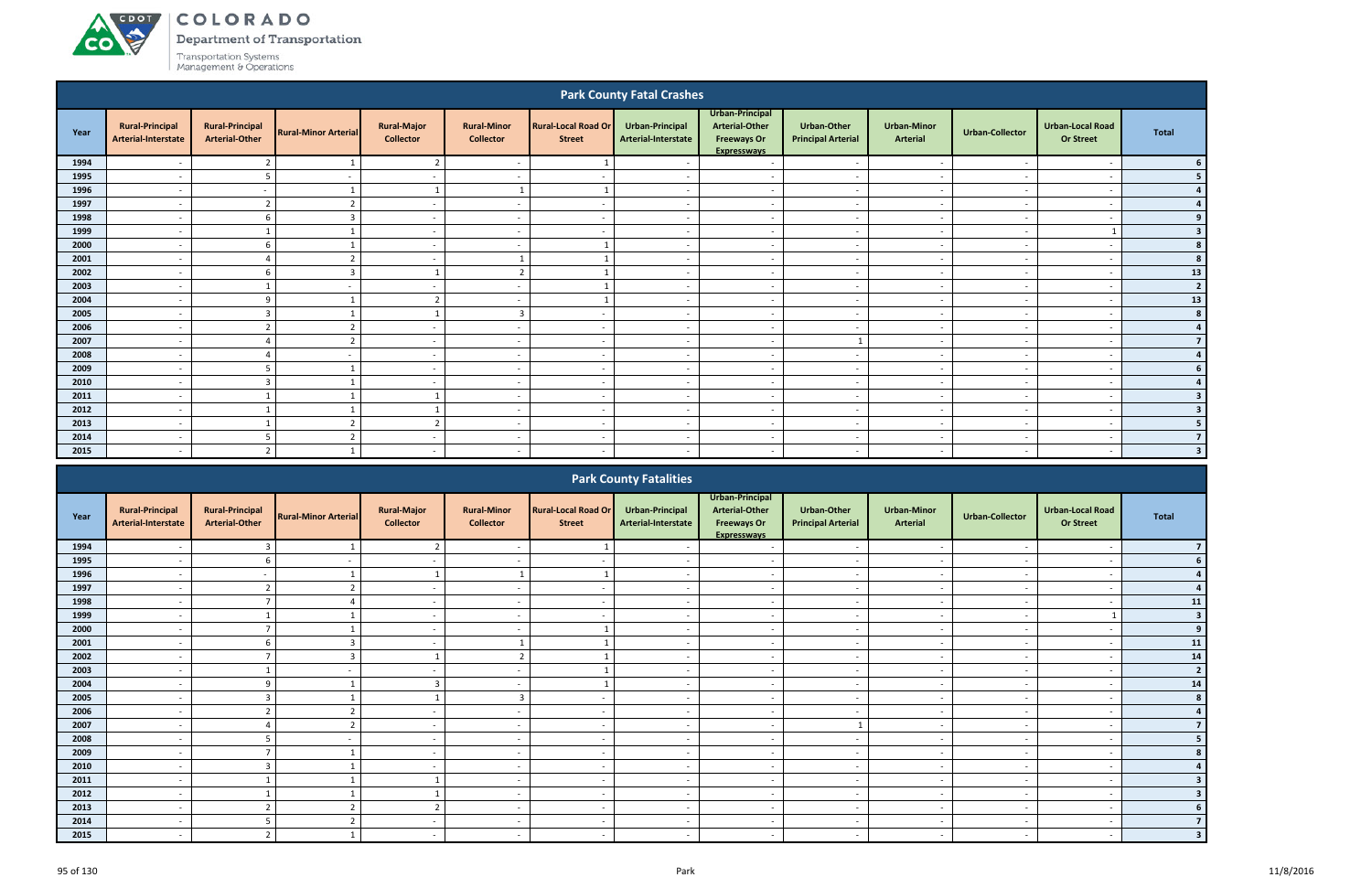Department of Transportation

**CO** 

|              |                                               |                                                 |                             |                                        |                                        |                                             | <b>Park County Fatal Crashes</b>                                     |                                                                                      |                                                      |                                       |                        |                                             |                |
|--------------|-----------------------------------------------|-------------------------------------------------|-----------------------------|----------------------------------------|----------------------------------------|---------------------------------------------|----------------------------------------------------------------------|--------------------------------------------------------------------------------------|------------------------------------------------------|---------------------------------------|------------------------|---------------------------------------------|----------------|
| Year         | <b>Rural-Principal</b><br>Arterial-Interstate | <b>Rural-Principal</b><br><b>Arterial-Other</b> | <b>Rural-Minor Arterial</b> | <b>Rural-Major</b><br><b>Collector</b> | <b>Rural-Minor</b><br><b>Collector</b> | <b>Rural-Local Road Or</b><br><b>Street</b> | Urban-Principal<br>Arterial-Interstate                               | Urban-Principal<br><b>Arterial-Other</b><br><b>Freeways Or</b><br><b>Expresswavs</b> | <b>Urban-Other</b><br><b>Principal Arterial</b>      | <b>Urban-Minor</b><br><b>Arterial</b> | <b>Urban-Collector</b> | <b>Urban-Local Road</b><br><b>Or Street</b> | <b>Total</b>   |
| 1994         |                                               |                                                 |                             | 2                                      |                                        |                                             |                                                                      | $\overline{\phantom{a}}$                                                             |                                                      |                                       |                        |                                             |                |
| 1995         |                                               | 5                                               |                             | $\sim$                                 |                                        |                                             |                                                                      | $\overline{\phantom{a}}$                                                             |                                                      | $\overline{\phantom{a}}$              |                        | $\overline{\phantom{a}}$                    | 5              |
| 1996         |                                               |                                                 | 1                           | $\overline{1}$                         | 1                                      |                                             |                                                                      | $\sim$                                                                               | $\overline{\phantom{a}}$                             | $\overline{\phantom{a}}$              |                        | $\overline{\phantom{a}}$                    |                |
| 1997         |                                               | $\overline{2}$                                  | $\overline{2}$              | $\overline{\phantom{a}}$               |                                        |                                             |                                                                      | $\overline{\phantom{a}}$                                                             |                                                      |                                       |                        |                                             |                |
| 1998         |                                               | 6                                               | 3                           | $\sim$                                 | $\overline{\phantom{0}}$               | <u>т</u>                                    |                                                                      | $\overline{\phantom{a}}$                                                             | $\overline{\phantom{0}}$                             | $\overline{\phantom{a}}$              |                        | $\overline{\phantom{a}}$                    | 9              |
| 1999         |                                               | -1                                              | $\mathbf{1}$                | $\sim$                                 | $\overline{\phantom{0}}$               |                                             |                                                                      | $\overline{\phantom{a}}$                                                             | $\overline{\phantom{a}}$                             | $\overline{\phantom{a}}$              |                        |                                             |                |
| 2000         |                                               | 6                                               | $\mathbf{1}$                | $\sim$                                 | $\overline{a}$                         |                                             |                                                                      | $\overline{\phantom{a}}$                                                             | $\overline{\phantom{a}}$                             | $\overline{\phantom{a}}$              |                        | $\overline{\phantom{a}}$                    |                |
| 2001         |                                               |                                                 | $\overline{2}$              | $\sim$                                 | $\mathbf{1}$                           |                                             |                                                                      | $\overline{\phantom{a}}$                                                             | $\overline{\phantom{a}}$                             | $\overline{\phantom{a}}$              |                        | $\overline{\phantom{a}}$                    |                |
| 2002         |                                               | -6                                              | $\overline{3}$              | -1                                     | $\overline{2}$                         |                                             |                                                                      | $\overline{\phantom{a}}$                                                             |                                                      | $\overline{\phantom{a}}$              |                        |                                             | 13             |
| 2003         |                                               |                                                 |                             | $\sim$                                 | $\overline{\phantom{0}}$               |                                             |                                                                      | $\overline{\phantom{a}}$                                                             | $\overline{\phantom{0}}$                             | $\overline{\phantom{a}}$              | <b>.</b>               | $\overline{\phantom{a}}$                    | $\overline{2}$ |
| 2004         |                                               | q                                               | $\mathbf{1}$                | 2                                      | $\overline{\phantom{a}}$               |                                             |                                                                      | $\overline{\phantom{a}}$                                                             | $\overline{\phantom{a}}$                             | $\overline{\phantom{a}}$              |                        | $\overline{\phantom{a}}$                    | 13             |
| 2005         |                                               | 3                                               | $\mathbf{1}$                | -1                                     | $\overline{3}$                         |                                             |                                                                      | $\overline{\phantom{a}}$                                                             |                                                      | $\overline{\phantom{a}}$              |                        | $\overline{\phantom{a}}$                    | 8              |
| 2006         |                                               | $\overline{2}$                                  | $\overline{2}$              | $\sim$                                 | $\overline{a}$                         |                                             |                                                                      | $\sim$                                                                               | $\overline{\phantom{a}}$                             | $\overline{\phantom{a}}$              |                        | $\overline{\phantom{a}}$                    |                |
| 2007         |                                               |                                                 |                             | $\sim$                                 | $\overline{\phantom{a}}$               |                                             |                                                                      | $\sim$                                                                               | 1                                                    | $\overline{\phantom{a}}$              |                        | $\overline{\phantom{a}}$                    |                |
| 2008         |                                               |                                                 |                             | $\overline{\phantom{0}}$               | $\overline{\phantom{0}}$               | $\overline{\phantom{a}}$                    |                                                                      | $\overline{\phantom{a}}$                                                             | $\sim$                                               | $\sim$                                |                        | $\overline{\phantom{a}}$                    |                |
| 2009         |                                               | 5                                               | 1                           | $\sim$                                 |                                        |                                             |                                                                      | $\sim$                                                                               | $\overline{\phantom{a}}$                             |                                       |                        | $\overline{\phantom{a}}$                    |                |
| 2010         |                                               | -3                                              | $\mathbf{1}$                | $\sim$                                 |                                        |                                             |                                                                      | $\sim$                                                                               | $\overline{\phantom{a}}$                             | $\overline{\phantom{a}}$              |                        | $\overline{\phantom{a}}$                    |                |
| 2011         |                                               |                                                 | $\mathbf{1}$                |                                        | $\overline{\phantom{a}}$               | . —                                         |                                                                      | $\overline{\phantom{a}}$                                                             | $\overline{\phantom{a}}$                             | $\overline{\phantom{a}}$              |                        | $\overline{\phantom{a}}$                    | 3              |
| 2012         |                                               | -1                                              | -1<br>$\overline{2}$        | -1<br>$\overline{2}$                   |                                        |                                             |                                                                      | $\overline{\phantom{a}}$                                                             | $\overline{\phantom{a}}$<br>$\overline{\phantom{a}}$ | $\overline{\phantom{a}}$              |                        |                                             |                |
| 2013<br>2014 |                                               |                                                 |                             |                                        |                                        |                                             |                                                                      | $\overline{a}$                                                                       |                                                      | $\overline{\phantom{a}}$              |                        | $\overline{\phantom{a}}$                    | $\overline{7}$ |
| 2015         |                                               | -5                                              | $\overline{2}$              | $\sim$                                 |                                        | . —                                         |                                                                      | $\sim$                                                                               |                                                      | $\overline{\phantom{a}}$              |                        |                                             | 3              |
|              |                                               |                                                 |                             |                                        |                                        |                                             |                                                                      |                                                                                      |                                                      |                                       |                        |                                             |                |
|              |                                               |                                                 |                             |                                        |                                        |                                             | <b>Park County Fatalities</b>                                        |                                                                                      |                                                      |                                       |                        |                                             |                |
| Year         | <b>Rural-Principal</b><br>Artorial Interstate | <b>Rural-Principal</b><br>Artorial Othor        | <b>Rural-Minor Arterial</b> | <b>Rural-Major</b><br>Collector        | <b>Rural-Minor</b><br>Collector        | <b>Rural-Local Road Or</b><br><b>Ctroot</b> | Urban-Principal<br>$\blacksquare$ Artorial Interctate $\blacksquare$ | Urban-Principal<br><b>Arterial-Other</b><br>$E$ rooways Or                           | <b>Urban-Other</b><br><b>Drincinal Artorial</b>      | <b>Urban-Minor</b><br><b>Artorial</b> | <b>Urban-Collector</b> | <b>Urban-Local Road</b><br>Or Stroot        | <b>Total</b>   |

|      |                                               |                                                 |                             |                                        |                                        |                                             | <b>TUIN COUTTY LUGHLICS</b>            |                                                                                      |                                          |                                |                          |                                             |                |
|------|-----------------------------------------------|-------------------------------------------------|-----------------------------|----------------------------------------|----------------------------------------|---------------------------------------------|----------------------------------------|--------------------------------------------------------------------------------------|------------------------------------------|--------------------------------|--------------------------|---------------------------------------------|----------------|
| Year | <b>Rural-Principal</b><br>Arterial-Interstate | <b>Rural-Principal</b><br><b>Arterial-Other</b> | <b>Rural-Minor Arterial</b> | <b>Rural-Major</b><br><b>Collector</b> | <b>Rural-Minor</b><br><b>Collector</b> | <b>Rural-Local Road Or</b><br><b>Street</b> | Urban-Principal<br>Arterial-Interstate | Urban-Principal<br><b>Arterial-Other</b><br><b>Freeways Or</b><br><b>Expressways</b> | Urban-Other<br><b>Principal Arterial</b> | <b>Urban-Minor</b><br>Arterial | Urban-Collector          | <b>Urban-Local Road</b><br><b>Or Street</b> | Total          |
| 1994 |                                               | 3                                               |                             |                                        |                                        |                                             |                                        | $\overline{\phantom{a}}$                                                             | $\overline{\phantom{a}}$                 |                                |                          |                                             |                |
| 1995 |                                               |                                                 |                             |                                        |                                        |                                             |                                        |                                                                                      |                                          |                                |                          |                                             |                |
| 1996 |                                               | $\sim$                                          |                             |                                        |                                        |                                             |                                        | $\sim$                                                                               | $\overline{a}$                           | $\sim$                         |                          | $\overline{\phantom{0}}$                    |                |
| 1997 | $\sim$                                        | $\overline{2}$                                  | $\overline{2}$              | $\sim$                                 | $\overline{\phantom{a}}$               | $\sim$                                      | $\sim$                                 | $\sim$                                                                               | $\overline{\phantom{a}}$                 | $\overline{\phantom{a}}$       | $\overline{\phantom{a}}$ | $\overline{\phantom{a}}$                    |                |
| 1998 |                                               |                                                 |                             | $\sim$                                 |                                        |                                             |                                        | $\overline{\phantom{a}}$                                                             | $\overline{\phantom{a}}$                 | $\overline{\phantom{a}}$       |                          | $\overline{\phantom{a}}$                    | 11             |
| 1999 |                                               |                                                 |                             | $\sim$                                 |                                        |                                             |                                        | $\overline{\phantom{0}}$                                                             | $\overline{\phantom{a}}$                 | $\overline{\phantom{a}}$       |                          |                                             |                |
| 2000 |                                               |                                                 |                             | $\sim$                                 |                                        |                                             |                                        | $\overline{\phantom{a}}$                                                             | $\overline{\phantom{a}}$                 | $\overline{\phantom{a}}$       |                          | $\overline{\phantom{a}}$                    | 9              |
| 2001 |                                               |                                                 |                             |                                        |                                        |                                             |                                        | $\overline{\phantom{a}}$                                                             |                                          |                                |                          | $\overline{\phantom{a}}$                    | 11             |
| 2002 | $\overline{\phantom{a}}$                      |                                                 |                             |                                        | ຳ                                      |                                             | $\overline{\phantom{0}}$               | $\sim$                                                                               | $\overline{\phantom{a}}$                 | $\overline{\phantom{a}}$       |                          | $\overline{\phantom{a}}$                    | 14             |
| 2003 | $\overline{\phantom{0}}$                      |                                                 |                             | $\sim$                                 | $\overline{\phantom{0}}$               |                                             |                                        | $\sim$                                                                               | $\overline{\phantom{a}}$                 | $\overline{\phantom{a}}$       |                          | $\overline{\phantom{a}}$                    | $\overline{2}$ |
| 2004 |                                               | 9                                               |                             | 3                                      |                                        |                                             |                                        | $\overline{\phantom{0}}$                                                             | $\overline{\phantom{a}}$                 | $\overline{\phantom{a}}$       |                          | $\overline{\phantom{a}}$                    | 14             |
| 2005 |                                               | 3                                               |                             |                                        |                                        | $\sim$                                      |                                        | $\sim$ $ \sim$                                                                       | $\overline{\phantom{a}}$                 | $\overline{\phantom{a}}$       |                          | $\overline{\phantom{a}}$                    |                |
| 2006 |                                               |                                                 |                             | $\sim$                                 |                                        | $\sim$                                      |                                        | $\sim$                                                                               |                                          |                                |                          | $\overline{\phantom{a}}$                    |                |
| 2007 |                                               |                                                 | $\overline{\phantom{a}}$    | $\sim$                                 |                                        |                                             |                                        | $\sim$                                                                               |                                          |                                |                          |                                             |                |
| 2008 |                                               |                                                 |                             | $\sim$                                 |                                        | $\sim$                                      |                                        | $\overline{\phantom{0}}$                                                             | $\overline{\phantom{a}}$                 | $\overline{\phantom{a}}$       |                          | $\overline{\phantom{a}}$                    |                |
| 2009 | $\sim$                                        |                                                 |                             | $\sim$                                 | $\overline{\phantom{a}}$               | $\sim$                                      | $\sim$                                 | $\sim$                                                                               | $\overline{\phantom{a}}$                 | $\sim$                         |                          | $\overline{\phantom{a}}$                    |                |
| 2010 |                                               | $\overline{3}$                                  |                             |                                        |                                        |                                             |                                        | $\sim$                                                                               | $\overline{\phantom{a}}$                 |                                |                          | $\overline{\phantom{a}}$                    |                |
| 2011 |                                               |                                                 |                             |                                        |                                        | $\sim$                                      |                                        | $\overline{\phantom{0}}$                                                             | $\overline{\phantom{a}}$                 | $\overline{\phantom{a}}$       |                          |                                             |                |
| 2012 |                                               |                                                 |                             |                                        |                                        | $\sim$                                      |                                        | $\overline{\phantom{a}}$                                                             |                                          |                                |                          | $\overline{\phantom{a}}$                    |                |
| 2013 |                                               |                                                 |                             |                                        |                                        |                                             |                                        |                                                                                      |                                          |                                |                          |                                             |                |
| 2014 |                                               |                                                 |                             | $\sim$                                 | $\overline{\phantom{0}}$               | $\sim$                                      |                                        | $\sim$ $-$                                                                           | $\overline{\phantom{a}}$                 | $\overline{\phantom{a}}$       |                          | $\overline{\phantom{0}}$                    |                |
| 2015 |                                               | ຳ                                               |                             | $\sim$                                 | $\sim$                                 | $\sim$                                      |                                        | $\sim$                                                                               | $\sim$                                   | $\overline{\phantom{a}}$       |                          |                                             |                |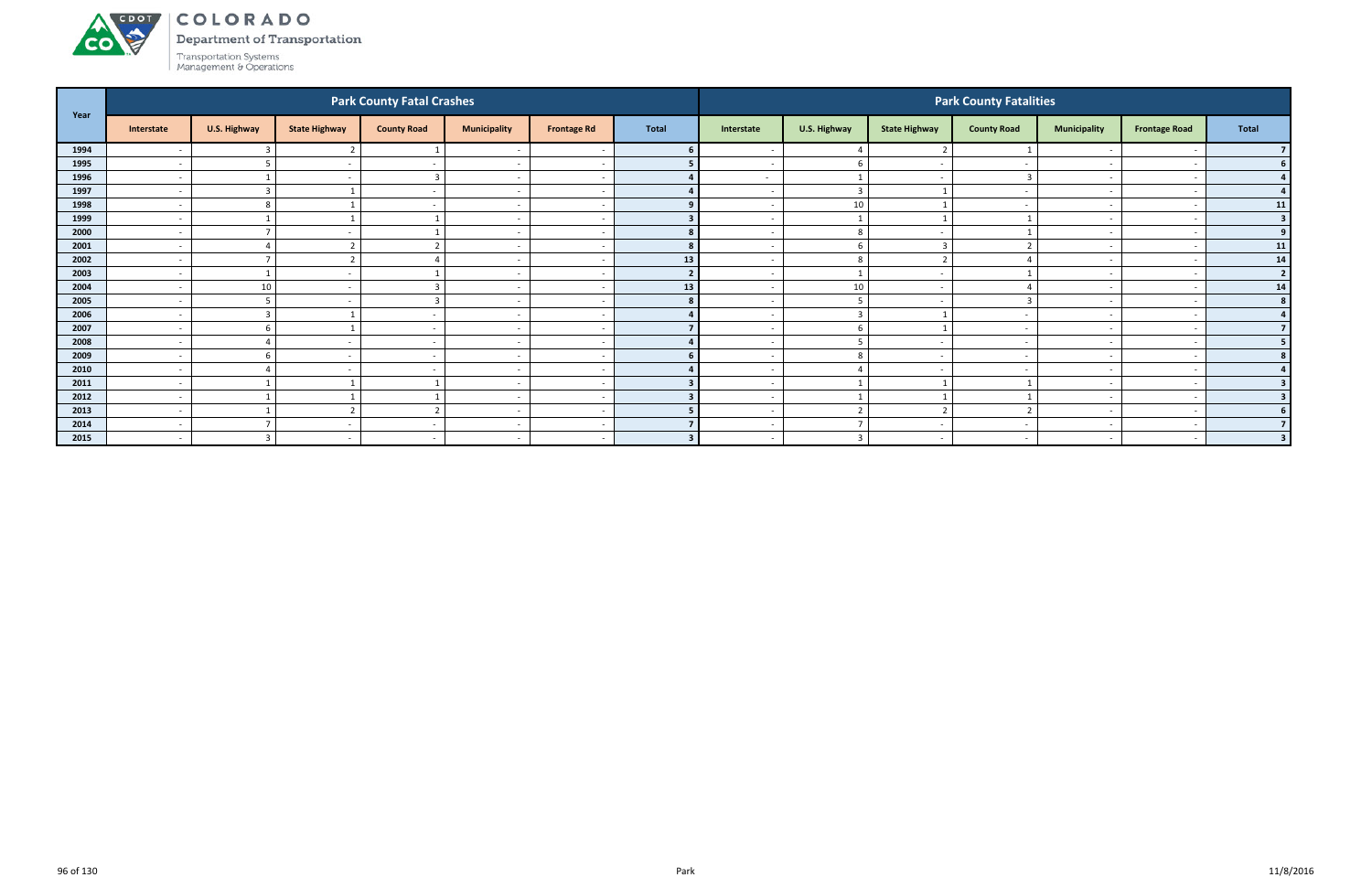

Department of Transportation

|      |                          |                 |                          | <b>Park County Fatal Crashes</b> |                          |                          |                |                          |                          |                          | <b>Park County Fatalities</b> |                          |                          |                |
|------|--------------------------|-----------------|--------------------------|----------------------------------|--------------------------|--------------------------|----------------|--------------------------|--------------------------|--------------------------|-------------------------------|--------------------------|--------------------------|----------------|
| Year | Interstate               | U.S. Highway    | <b>State Highway</b>     | <b>County Road</b>               | <b>Municipality</b>      | <b>Frontage Rd</b>       | <b>Total</b>   | Interstate               | U.S. Highway             | <b>State Highway</b>     | <b>County Road</b>            | <b>Municipality</b>      | <b>Frontage Road</b>     | <b>Total</b>   |
| 1994 | $\overline{\phantom{a}}$ |                 |                          |                                  |                          |                          |                |                          |                          | ຳ                        |                               |                          |                          |                |
| 1995 | $\overline{\phantom{a}}$ |                 |                          |                                  | $\overline{\phantom{a}}$ | - -                      |                | $\overline{\phantom{a}}$ | -6                       | $\overline{\phantom{a}}$ |                               | $\overline{\phantom{0}}$ |                          | 6 <sup>1</sup> |
| 1996 | $\overline{\phantom{a}}$ |                 |                          | 3                                | $\overline{\phantom{a}}$ |                          |                | $\sim$                   | 1                        | $\sim$                   |                               | $\sim$                   |                          |                |
| 1997 | $\overline{\phantom{a}}$ | $\overline{3}$  |                          | $\sim$                           | $\overline{\phantom{a}}$ |                          |                | $\sim$                   | $\overline{\mathbf{3}}$  |                          |                               |                          |                          |                |
| 1998 | $\overline{\phantom{0}}$ | 8               |                          |                                  | $\overline{\phantom{0}}$ | - -                      |                |                          | $10\,$                   |                          |                               | $\overline{\phantom{0}}$ |                          | 11             |
| 1999 | $\overline{\phantom{a}}$ |                 |                          |                                  | $\overline{\phantom{a}}$ |                          |                |                          | $\overline{1}$           |                          |                               |                          |                          | 3              |
| 2000 | $\overline{\phantom{a}}$ | $\mathbf{\tau}$ |                          |                                  | $\overline{\phantom{a}}$ |                          |                |                          | 8                        |                          |                               |                          |                          | 9 <sup>1</sup> |
| 2001 | $\overline{\phantom{a}}$ | $\Delta$        |                          |                                  | $\overline{\phantom{a}}$ |                          | 8              | $\sim$                   | 6                        | 3                        |                               | $\overline{\phantom{0}}$ |                          | 11             |
| 2002 | $\overline{\phantom{a}}$ | $\overline{ }$  |                          |                                  | $\overline{\phantom{a}}$ |                          | 13             |                          | 8                        | $\mathbf{\hat{z}}$       |                               |                          |                          | 14             |
| 2003 | $\overline{\phantom{0}}$ |                 |                          |                                  | $\overline{\phantom{a}}$ |                          | $\overline{2}$ |                          | $\mathbf{1}$             | $\sim$                   |                               | $\overline{\phantom{0}}$ |                          | $\overline{2}$ |
| 2004 | $\overline{\phantom{a}}$ | 10              |                          |                                  | $\overline{\phantom{a}}$ |                          | 13             |                          | 10                       | $\sim$                   |                               |                          |                          | 14             |
| 2005 | $\overline{\phantom{a}}$ |                 |                          | h                                | $\overline{\phantom{a}}$ |                          |                | $\overline{\phantom{0}}$ | -5                       | $\overline{\phantom{a}}$ |                               |                          |                          | 8 <sup>1</sup> |
| 2006 | $\overline{\phantom{a}}$ | $\overline{3}$  |                          | $\sim$                           | $\overline{\phantom{a}}$ |                          |                | $\sim$                   | $\overline{3}$           |                          |                               | $\overline{\phantom{0}}$ |                          | $\mathbf{A}$   |
| 2007 | $\overline{\phantom{a}}$ | 6               |                          | $\sim$                           | $\overline{\phantom{a}}$ |                          |                |                          | 6                        | 1                        |                               |                          |                          |                |
| 2008 | $\overline{\phantom{0}}$ | $\Delta$        |                          | $\sim$                           | $\overline{\phantom{a}}$ | - -                      |                |                          | 5                        | $\sim$                   |                               | $\overline{\phantom{0}}$ |                          | 5              |
| 2009 | $\overline{\phantom{a}}$ | -6              |                          | $\sim$                           | $\overline{\phantom{a}}$ | $\overline{\phantom{a}}$ |                | $\overline{\phantom{0}}$ | 8                        | $\sim$                   |                               | $\overline{\phantom{0}}$ |                          |                |
| 2010 | $\overline{\phantom{a}}$ | $\Delta$        |                          | $\sim$                           | $\overline{\phantom{a}}$ |                          |                |                          | $\overline{4}$           | $\overline{\phantom{a}}$ |                               |                          |                          |                |
| 2011 | $\overline{\phantom{a}}$ |                 |                          |                                  | $\overline{\phantom{a}}$ | <u>т</u>                 |                | $\sim$                   | $\overline{\phantom{0}}$ |                          |                               | $\overline{\phantom{0}}$ |                          |                |
| 2012 | $\overline{\phantom{a}}$ |                 |                          |                                  | $\overline{\phantom{a}}$ | $\overline{\phantom{a}}$ |                | $\sim$                   | $\mathbf{1}$             |                          |                               | $\overline{\phantom{0}}$ |                          |                |
| 2013 | $\overline{\phantom{a}}$ |                 |                          | ຳ                                | $\overline{\phantom{a}}$ |                          |                | $\sim$                   | $\overline{2}$           | ຳ                        |                               | $\overline{\phantom{0}}$ |                          |                |
| 2014 | $\overline{\phantom{a}}$ | $\overline{ }$  |                          |                                  | $\overline{\phantom{a}}$ | $\overline{\phantom{a}}$ |                | $\sim$                   |                          | $\sim$                   |                               | $\overline{\phantom{0}}$ |                          |                |
| 2015 | $\overline{a}$           | $\overline{3}$  | $\overline{\phantom{a}}$ | $\sim$                           | $\overline{\phantom{a}}$ | $\overline{\phantom{a}}$ | $\mathbf{z}$   |                          | $\overline{3}$           |                          |                               |                          | $\overline{\phantom{a}}$ | $\overline{3}$ |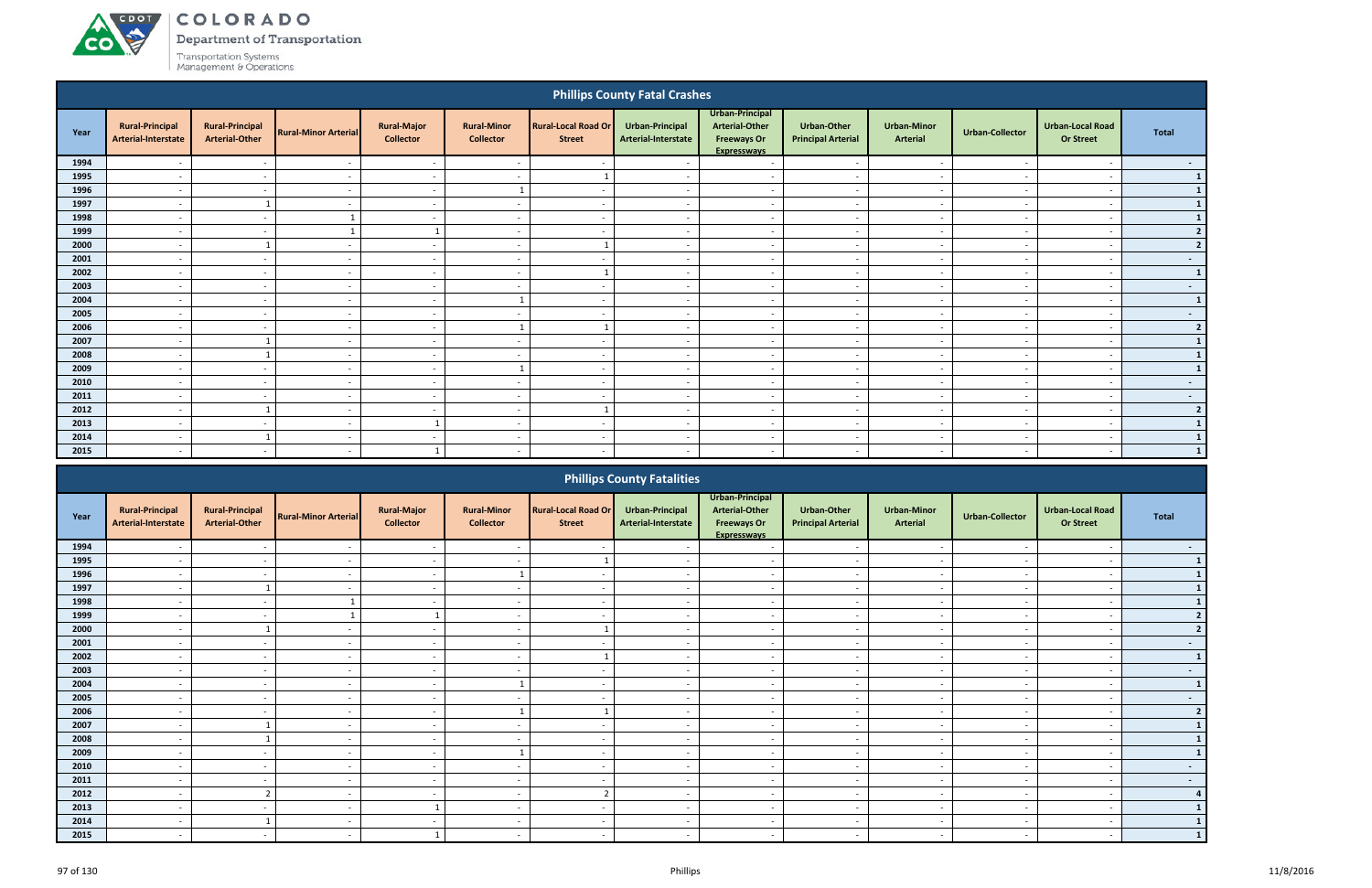# ACDOL

**CO** 

COLORADO

Department of Transportation

|      |                                                                                                                                                                                                                                                                                                                                                                                                                                    |                                                 |                             |                                        |                                        |                                             | <b>Phillips County Fatal Crashes</b>          |                                                                               |                                                 |                                       |                          |                                             |                 |
|------|------------------------------------------------------------------------------------------------------------------------------------------------------------------------------------------------------------------------------------------------------------------------------------------------------------------------------------------------------------------------------------------------------------------------------------|-------------------------------------------------|-----------------------------|----------------------------------------|----------------------------------------|---------------------------------------------|-----------------------------------------------|-------------------------------------------------------------------------------|-------------------------------------------------|---------------------------------------|--------------------------|---------------------------------------------|-----------------|
| Year | <b>Rural-Principal</b><br>Arterial-Interstate                                                                                                                                                                                                                                                                                                                                                                                      | <b>Rural-Principal</b><br><b>Arterial-Other</b> | <b>Rural-Minor Arterial</b> | <b>Rural-Major</b><br><b>Collector</b> | <b>Rural-Minor</b><br><b>Collector</b> | <b>Rural-Local Road Or</b><br><b>Street</b> | <b>Urban-Principal</b><br>Arterial-Interstate | Urban-Principal<br>Arterial-Other<br><b>Freeways Or</b><br><b>Expresswavs</b> | <b>Urban-Other</b><br><b>Principal Arterial</b> | <b>Urban-Minor</b><br><b>Arterial</b> | <b>Urban-Collector</b>   | <b>Urban-Local Road</b><br><b>Or Street</b> | <b>Total</b>    |
| 1994 |                                                                                                                                                                                                                                                                                                                                                                                                                                    | $\overline{\phantom{a}}$                        | $\overline{\phantom{a}}$    | $\sim$                                 | $\overline{\phantom{a}}$               |                                             |                                               | $\overline{\phantom{a}}$                                                      | $\overline{\phantom{0}}$                        | $\overline{\phantom{a}}$              |                          | $\overline{\phantom{a}}$                    | $\sim$ $-$      |
| 1995 |                                                                                                                                                                                                                                                                                                                                                                                                                                    | $\overline{\phantom{a}}$                        | $\overline{\phantom{a}}$    | $\sim$                                 | $\overline{\phantom{a}}$               |                                             |                                               | $\overline{a}$                                                                | $\overline{\phantom{a}}$                        | $\overline{\phantom{a}}$              |                          | $\sim$                                      | $\mathbf{1}$    |
| 1996 | $\overline{\phantom{a}}$                                                                                                                                                                                                                                                                                                                                                                                                           | $\overline{\phantom{a}}$                        | $\overline{\phantom{a}}$    | $\sim$                                 | $\mathbf{1}$                           | $\overline{\phantom{a}}$                    | $\overline{\phantom{a}}$                      | $\overline{a}$                                                                | $\sim$                                          | $\sim$                                | $\overline{\phantom{a}}$ | $\overline{\phantom{a}}$                    | $\mathbf{1}$    |
| 1997 | $\overline{a}$                                                                                                                                                                                                                                                                                                                                                                                                                     |                                                 | $\sim$                      | $\sim$                                 | $\overline{\phantom{a}}$               | $\sim$                                      | $\overline{\phantom{a}}$                      | $\overline{\phantom{a}}$                                                      | $\sim$                                          | $\sim$                                | $\overline{\phantom{a}}$ | $\overline{\phantom{a}}$                    | $\mathbf{1}$    |
| 1998 | $\overline{\phantom{a}}$                                                                                                                                                                                                                                                                                                                                                                                                           | $\overline{\phantom{a}}$                        |                             | $\sim$                                 | $\overline{\phantom{a}}$               | $\overline{\phantom{a}}$                    | $\overline{\phantom{a}}$                      | $\overline{\phantom{a}}$                                                      | $\sim$                                          | $\sim$                                | $\overline{\phantom{a}}$ | $\overline{\phantom{a}}$                    | $\mathbf{1}$    |
| 1999 | $\overline{\phantom{a}}$                                                                                                                                                                                                                                                                                                                                                                                                           | $\overline{\phantom{a}}$                        |                             |                                        | $\overline{\phantom{a}}$               | $\overline{\phantom{a}}$                    |                                               | $\overline{a}$                                                                | $\overline{\phantom{a}}$                        | $\sim$                                |                          | $\overline{\phantom{a}}$                    | $2 \mid$        |
| 2000 | $\sim$<br>$\overline{\phantom{a}}$<br>$\overline{\phantom{a}}$<br>$\overline{\phantom{a}}$<br>$\sim$<br>$\overline{\phantom{a}}$<br>$\overline{\phantom{a}}$<br>$\overline{\phantom{a}}$<br>$\overline{\phantom{a}}$<br>$\sim$<br>$\overline{\phantom{a}}$<br>$\overline{a}$<br>$\overline{\phantom{a}}$<br>$\sim$<br>$\overline{\phantom{a}}$<br>$\overline{\phantom{a}}$<br>$\overline{\phantom{a}}$<br>$\overline{\phantom{a}}$ |                                                 |                             |                                        |                                        |                                             |                                               |                                                                               |                                                 |                                       | 2                        |                                             |                 |
| 2001 |                                                                                                                                                                                                                                                                                                                                                                                                                                    |                                                 |                             |                                        |                                        |                                             |                                               |                                                                               |                                                 |                                       |                          |                                             | $\sim$ $-$      |
| 2002 | $\sim$<br>$\overline{\phantom{a}}$<br>$\overline{\phantom{a}}$<br>$\overline{a}$<br>$\sim$<br>$\overline{a}$<br>$\overline{\phantom{a}}$<br>$\overline{\phantom{a}}$<br>$\overline{\phantom{a}}$                                                                                                                                                                                                                                   |                                                 |                             |                                        |                                        |                                             |                                               |                                                                               |                                                 |                                       | $\mathbf{1}$             |                                             |                 |
| 2003 | $\overline{\phantom{a}}$                                                                                                                                                                                                                                                                                                                                                                                                           | $\sim$                                          | $\sim$                      | $\sim$                                 | $\sim$                                 | $\overline{\phantom{0}}$                    | $\sim$                                        | $\overline{a}$                                                                | $\overline{\phantom{0}}$                        | $\sim$                                | $\overline{\phantom{a}}$ | $\sim$                                      | $\sim$ $-$      |
| 2004 | $\overline{\phantom{a}}$                                                                                                                                                                                                                                                                                                                                                                                                           | $\overline{\phantom{a}}$                        | $\sim$                      | $\sim$                                 | $\ddot{\phantom{0}}$                   | $\overline{\phantom{a}}$                    | <b>.</b>                                      | $\overline{a}$                                                                | $\overline{\phantom{a}}$                        | $\sim$                                | $\overline{\phantom{a}}$ | $\overline{\phantom{a}}$                    | $\mathbf{1}$    |
| 2005 | $\overline{\phantom{a}}$                                                                                                                                                                                                                                                                                                                                                                                                           | $\sim$                                          | $\sim$                      | $\sim$                                 | $\sim$                                 | $\overline{\phantom{a}}$                    | $\overline{\phantom{a}}$                      | $\overline{a}$                                                                | $\sim$                                          | $\overline{\phantom{a}}$              |                          | $\overline{\phantom{a}}$                    | $\sim 100$      |
| 2006 | $\overline{a}$                                                                                                                                                                                                                                                                                                                                                                                                                     | $\sim$                                          | $\overline{\phantom{a}}$    | $\sim$                                 |                                        |                                             | $\overline{\phantom{a}}$                      | $\sim$                                                                        | $\overline{\phantom{a}}$                        | $\sim$                                | $\overline{\phantom{a}}$ | $\overline{\phantom{a}}$                    | 2               |
| 2007 | $\overline{\phantom{a}}$                                                                                                                                                                                                                                                                                                                                                                                                           | -1                                              | $\overline{\phantom{a}}$    | $\sim$                                 | $\overline{\phantom{a}}$               | $\overline{\phantom{a}}$                    | $\overline{\phantom{a}}$                      | $\overline{a}$                                                                | $\overline{\phantom{a}}$                        | $\sim$                                |                          | $\overline{\phantom{a}}$                    | $\mathbf{1}$    |
| 2008 | $\overline{a}$                                                                                                                                                                                                                                                                                                                                                                                                                     |                                                 | $\overline{a}$              | $\overline{\phantom{a}}$               | $\overline{a}$                         | $\overline{\phantom{a}}$                    | $\overline{\phantom{a}}$                      | $\overline{\phantom{a}}$                                                      | $\overline{\phantom{a}}$                        | $\overline{\phantom{a}}$              |                          | $\overline{\phantom{a}}$                    | $\vert$ 1       |
| 2009 |                                                                                                                                                                                                                                                                                                                                                                                                                                    | $\overline{a}$                                  | $\overline{\phantom{a}}$    | $\sim$                                 |                                        | $\overline{\phantom{a}}$                    |                                               | $\overline{a}$                                                                | $\overline{\phantom{a}}$                        | $\overline{\phantom{a}}$              |                          | $\overline{\phantom{a}}$                    | $\mathbf{1}$    |
| 2010 | $\overline{\phantom{a}}$                                                                                                                                                                                                                                                                                                                                                                                                           | $\sim$                                          | $\sim$                      | $\sim$                                 | $\sim$                                 | $\overline{\phantom{a}}$                    | $\overline{\phantom{a}}$                      | $\overline{\phantom{a}}$                                                      | $\sim$                                          | $\sim$                                | $\overline{\phantom{a}}$ | $\overline{\phantom{a}}$                    | $\sim$          |
| 2011 | $\overline{a}$                                                                                                                                                                                                                                                                                                                                                                                                                     | $\sim$                                          | $\overline{\phantom{a}}$    | $\sim$                                 | $\overline{\phantom{a}}$               | $\overline{\phantom{a}}$                    | <b>.</b>                                      | $\sim$                                                                        | $\overline{\phantom{0}}$                        | $\sim$                                | . .                      | $\overline{\phantom{a}}$                    | $\sim$ $-$      |
| 2012 | $\overline{\phantom{a}}$                                                                                                                                                                                                                                                                                                                                                                                                           | $\mathbf{1}$                                    | $\sim$                      | $\sim$                                 | $\overline{\phantom{a}}$               |                                             | $\sim$                                        | $\overline{\phantom{a}}$                                                      | $\overline{\phantom{a}}$                        | $\sim$                                | $\overline{\phantom{a}}$ | $\overline{\phantom{a}}$                    | $2 \mid$        |
| 2013 | $\overline{\phantom{a}}$                                                                                                                                                                                                                                                                                                                                                                                                           | $\sim$                                          | $\sim$                      | -1                                     | $\overline{\phantom{a}}$               | $\overline{a}$                              | $\overline{\phantom{a}}$                      | $\overline{\phantom{a}}$                                                      | $\overline{\phantom{a}}$                        | $\sim$                                |                          | $\overline{\phantom{a}}$                    | $\mathbf{1}$    |
| 2014 | $\overline{a}$                                                                                                                                                                                                                                                                                                                                                                                                                     | -1                                              | $\sim$                      | $\sim$                                 | $\sim$                                 | $\overline{\phantom{a}}$                    | $\sim$                                        | $\overline{\phantom{0}}$                                                      | $\sim$                                          | $\sim$                                |                          | $\overline{\phantom{a}}$                    | $\vert$ 1       |
| 2015 | $\overline{\phantom{a}}$                                                                                                                                                                                                                                                                                                                                                                                                           | $\overline{\phantom{a}}$                        | $\overline{\phantom{a}}$    |                                        | $\overline{\phantom{a}}$               |                                             | <b>.</b>                                      | $\overline{\phantom{a}}$                                                      |                                                 |                                       |                          |                                             | $\vert 1 \vert$ |
|      |                                                                                                                                                                                                                                                                                                                                                                                                                                    |                                                 |                             |                                        |                                        |                                             | <b>Phillips County Fatalities</b>             | Urban-Principal                                                               |                                                 |                                       |                          |                                             |                 |

|      |                                               |                                                 |                             |                                        |                                        |                                             | <b>Fillings County Fatalities</b>      |                                                                                      |                                                 |                                       |                          |                                             |        |
|------|-----------------------------------------------|-------------------------------------------------|-----------------------------|----------------------------------------|----------------------------------------|---------------------------------------------|----------------------------------------|--------------------------------------------------------------------------------------|-------------------------------------------------|---------------------------------------|--------------------------|---------------------------------------------|--------|
| Year | <b>Rural-Principal</b><br>Arterial-Interstate | <b>Rural-Principal</b><br><b>Arterial-Other</b> | <b>Rural-Minor Arterial</b> | <b>Rural-Major</b><br><b>Collector</b> | <b>Rural-Minor</b><br><b>Collector</b> | <b>Rural-Local Road Or</b><br><b>Street</b> | Urban-Principal<br>Arterial-Interstate | Urban-Principal<br><b>Arterial-Other</b><br><b>Freeways Or</b><br><b>Expressways</b> | <b>Urban-Other</b><br><b>Principal Arterial</b> | <b>Urban-Minor</b><br><b>Arterial</b> | Urban-Collector          | <b>Urban-Local Road</b><br><b>Or Street</b> | Total  |
| 1994 |                                               |                                                 |                             |                                        |                                        |                                             |                                        |                                                                                      |                                                 |                                       |                          |                                             |        |
| 1995 |                                               | $\overline{\phantom{0}}$                        |                             | $\sim$                                 |                                        |                                             |                                        |                                                                                      |                                                 |                                       |                          |                                             |        |
| 1996 |                                               |                                                 |                             | $\sim$                                 |                                        |                                             |                                        | $\overline{\phantom{0}}$                                                             |                                                 |                                       |                          |                                             |        |
| 1997 | $\overline{\phantom{0}}$                      |                                                 | $\sim$                      | $\sim$ $-$                             | $\sim$                                 | $\sim$                                      | $\sim$                                 | $\sim$                                                                               | $\sim$                                          | $\sim$                                |                          | $\overline{\phantom{a}}$                    |        |
| 1998 | $\overline{\phantom{0}}$                      | $\sim$                                          |                             | $\sim$                                 | $\overline{\phantom{0}}$               | $\sim$                                      |                                        | $\overline{\phantom{0}}$                                                             | $\overline{\phantom{a}}$                        | $\overline{\phantom{a}}$              |                          | $\overline{\phantom{a}}$                    |        |
| 1999 |                                               |                                                 |                             |                                        |                                        |                                             |                                        | $\overline{\phantom{a}}$                                                             |                                                 |                                       |                          | $\overline{\phantom{a}}$                    |        |
| 2000 |                                               |                                                 |                             | $\sim$                                 |                                        |                                             |                                        | $\overline{\phantom{a}}$                                                             |                                                 | $\overline{\phantom{a}}$              |                          | $\overline{\phantom{a}}$                    |        |
| 2001 |                                               |                                                 |                             | $\sim$                                 |                                        |                                             |                                        | $\overline{\phantom{0}}$                                                             |                                                 |                                       |                          | $\overline{\phantom{a}}$                    |        |
| 2002 |                                               |                                                 |                             | $\sim$                                 |                                        |                                             |                                        | $\overline{\phantom{a}}$                                                             |                                                 |                                       |                          |                                             |        |
| 2003 |                                               | $\sim$                                          |                             | $\sim$                                 |                                        | $\sim$                                      |                                        | $\sim$                                                                               | $\overline{\phantom{a}}$                        | $\overline{\phantom{a}}$              |                          | $\overline{\phantom{a}}$                    | $\sim$ |
| 2004 | $\overline{\phantom{0}}$                      | $\sim$                                          | $\sim$                      | $\sim$ $ \sim$                         |                                        | $\sim$                                      | $\overline{\phantom{0}}$               | $\sim$                                                                               | $\sim$                                          | $\overline{\phantom{a}}$              | $\overline{\phantom{0}}$ | $\overline{\phantom{a}}$                    |        |
| 2005 |                                               | $\overline{\phantom{a}}$                        |                             | $\sim$                                 |                                        |                                             |                                        | $\overline{\phantom{a}}$                                                             | $\overline{\phantom{a}}$                        | $\overline{\phantom{a}}$              |                          | $\overline{\phantom{a}}$                    | $\sim$ |
| 2006 |                                               |                                                 |                             | $\sim$                                 |                                        |                                             |                                        | $\overline{\phantom{a}}$                                                             |                                                 |                                       |                          | $\overline{\phantom{a}}$                    |        |
| 2007 |                                               |                                                 |                             |                                        |                                        |                                             |                                        | $\overline{\phantom{0}}$                                                             |                                                 |                                       |                          |                                             |        |
| 2008 |                                               |                                                 |                             |                                        |                                        |                                             |                                        |                                                                                      |                                                 |                                       |                          |                                             |        |
| 2009 |                                               | $\sim$                                          |                             | $\sim$                                 |                                        | $\sim$                                      |                                        | $\sim$                                                                               | $\overline{\phantom{a}}$                        | $\sim$                                |                          | $\overline{\phantom{0}}$                    |        |
| 2010 |                                               | $\overline{\phantom{a}}$                        |                             | $\sim$                                 |                                        |                                             |                                        | $\overline{\phantom{a}}$                                                             | $\overline{\phantom{a}}$                        | $\overline{\phantom{0}}$              |                          | $\overline{\phantom{a}}$                    | $\sim$ |
| 2011 |                                               |                                                 |                             | $\sim$                                 |                                        |                                             |                                        | $\overline{\phantom{a}}$                                                             |                                                 |                                       |                          |                                             | $\sim$ |
| 2012 |                                               |                                                 |                             |                                        |                                        |                                             |                                        | $\overline{\phantom{0}}$                                                             |                                                 |                                       |                          |                                             |        |
| 2013 |                                               |                                                 |                             |                                        |                                        |                                             |                                        |                                                                                      |                                                 |                                       |                          |                                             |        |
| 2014 |                                               |                                                 |                             |                                        |                                        |                                             |                                        |                                                                                      |                                                 |                                       |                          |                                             |        |
| 2015 |                                               |                                                 |                             |                                        |                                        | $\sim$                                      |                                        | $\overline{\phantom{a}}$                                                             | $\overline{\phantom{a}}$                        | $\overline{\phantom{a}}$              |                          |                                             |        |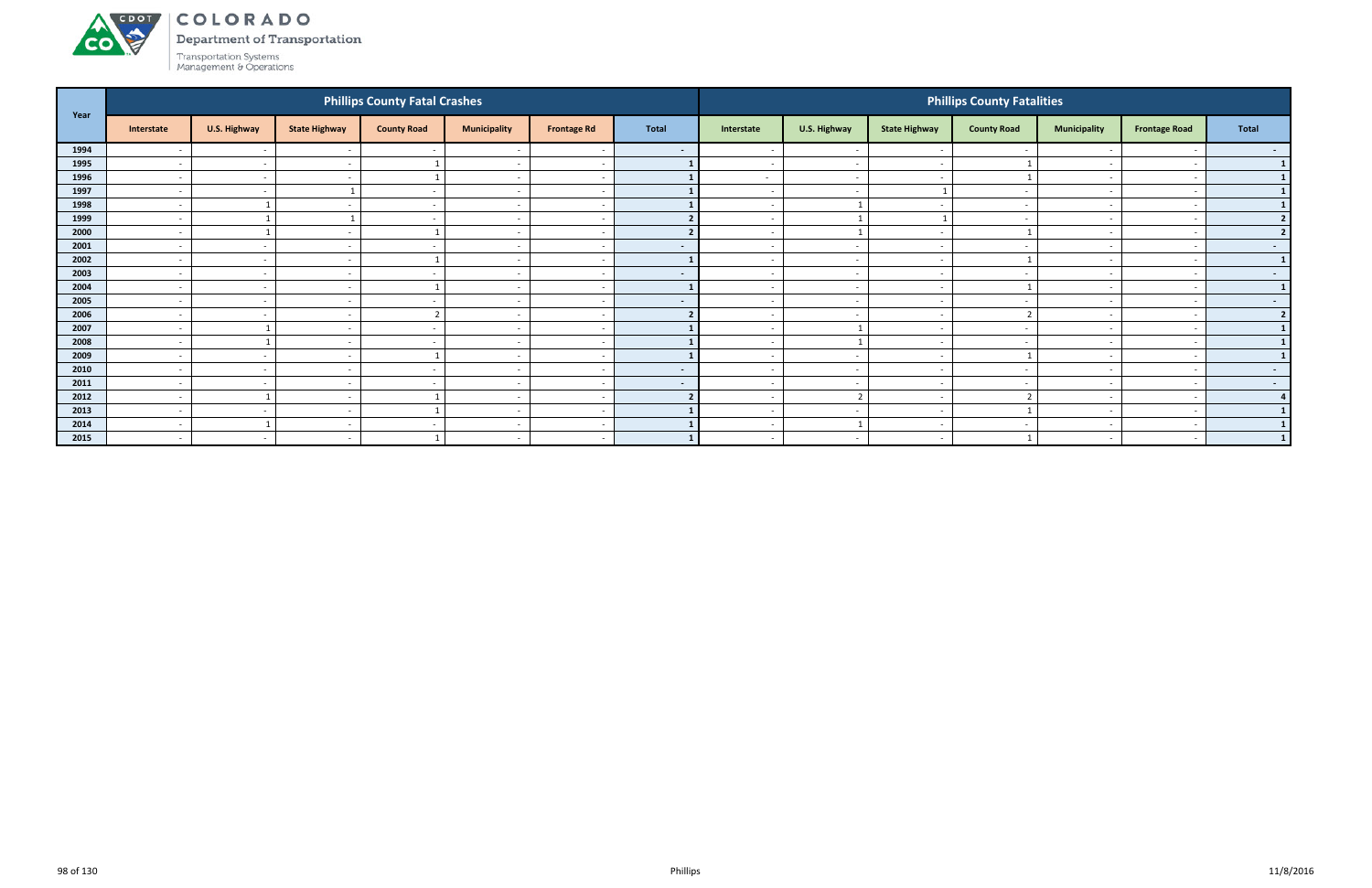

Department of Transportation

| Year |                          |                          |                      | <b>Phillips County Fatal Crashes</b> |                          |                          |              |                          |                          |                          | <b>Phillips County Fatalities</b> |                          |                          |                  |
|------|--------------------------|--------------------------|----------------------|--------------------------------------|--------------------------|--------------------------|--------------|--------------------------|--------------------------|--------------------------|-----------------------------------|--------------------------|--------------------------|------------------|
|      | Interstate               | U.S. Highway             | <b>State Highway</b> | <b>County Road</b>                   | <b>Municipality</b>      | <b>Frontage Rd</b>       | <b>Total</b> | Interstate               | U.S. Highway             | <b>State Highway</b>     | <b>County Road</b>                | <b>Municipality</b>      | <b>Frontage Road</b>     | <b>Total</b>     |
| 1994 |                          | $\overline{\phantom{a}}$ |                      |                                      |                          |                          | $\sim$       |                          | $\overline{\phantom{a}}$ | $\overline{\phantom{a}}$ |                                   |                          |                          | $\sim$           |
| 1995 | $\overline{\phantom{0}}$ | $\overline{\phantom{a}}$ | $\sim$               |                                      | $\overline{\phantom{a}}$ | . .                      |              | $\overline{\phantom{a}}$ | $\overline{\phantom{a}}$ | $\overline{\phantom{a}}$ |                                   | $\overline{\phantom{0}}$ |                          | $\mathbf{1}$     |
| 1996 | $\overline{a}$           | $\sim$                   | $\sim$               |                                      | $\overline{\phantom{a}}$ | $\overline{\phantom{a}}$ |              | $\sim$                   | $\overline{a}$           | $\overline{\phantom{0}}$ |                                   | $\overline{\phantom{0}}$ |                          |                  |
| 1997 | $\overline{\phantom{a}}$ | $\sim$                   |                      | $\overline{\phantom{a}}$             | $\overline{\phantom{a}}$ |                          |              |                          | $\overline{\phantom{a}}$ |                          |                                   |                          |                          | $1\phantom{.}$   |
| 1998 | $\overline{\phantom{0}}$ |                          | $\sim$               | $\sim$                               | $\overline{\phantom{a}}$ | $\overline{\phantom{a}}$ |              | $\overline{\phantom{0}}$ |                          | $\sim$                   |                                   | $\sim$                   |                          | $\mathbf{1}$     |
| 1999 | $\overline{\phantom{0}}$ |                          |                      |                                      | $\overline{\phantom{a}}$ |                          |              |                          |                          |                          |                                   |                          |                          | 2                |
| 2000 | $\sim$ $-$               |                          | $\sim$               |                                      | $\overline{\phantom{a}}$ | $\overline{\phantom{a}}$ |              | $\sim$                   |                          | $\sim$                   |                                   | $\overline{\phantom{0}}$ | $\overline{\phantom{a}}$ | 2                |
| 2001 | $\overline{\phantom{0}}$ | $\sim$                   | $\sim$               | $\overline{\phantom{a}}$             | $\overline{\phantom{a}}$ | $\overline{\phantom{0}}$ | $\sim$       | $\overline{\phantom{0}}$ | $\overline{\phantom{a}}$ | $\overline{\phantom{0}}$ |                                   | $\sim$                   |                          | $\sim$ 100 $\pm$ |
| 2002 | $\overline{\phantom{0}}$ | $\overline{\phantom{a}}$ | $\sim$               |                                      | $\overline{\phantom{a}}$ |                          |              | $\overline{\phantom{a}}$ | $\overline{\phantom{a}}$ | $\overline{\phantom{a}}$ |                                   | $\overline{\phantom{0}}$ |                          | $\mathbf{1}$     |
| 2003 | $\overline{\phantom{0}}$ | $\overline{\phantom{a}}$ | $\sim$               | $\sim$                               | $\overline{\phantom{a}}$ | $\overline{\phantom{a}}$ | $\sim$       |                          | $\overline{\phantom{a}}$ | $\overline{\phantom{0}}$ |                                   | $\overline{\phantom{a}}$ |                          | $\sim$ $-$       |
| 2004 |                          | $\overline{\phantom{a}}$ |                      |                                      |                          |                          |              |                          | $\overline{\phantom{a}}$ |                          |                                   |                          |                          | $\mathbf{1}$     |
| 2005 | $\sim$ $-$               | $\sim$                   | $\sim$               | $\sim$                               | $\overline{\phantom{a}}$ | <u>. на т</u>            | $\sim$       | $\sim$                   | $\overline{\phantom{a}}$ | $\sim$                   |                                   | $\overline{\phantom{0}}$ | $\sim$                   | $\sim$ 100 $\pm$ |
| 2006 | $\overline{a}$           | $\overline{\phantom{a}}$ | $\sim$               | $\mathbf{r}$                         | $\overline{\phantom{a}}$ | $\overline{\phantom{a}}$ |              | $\overline{\phantom{0}}$ | $\overline{\phantom{a}}$ | $\sim$                   |                                   | $\overline{\phantom{0}}$ |                          | $2 \mid$         |
| 2007 | $\sim$                   |                          | $\sim$               | $\overline{\phantom{a}}$             | $\overline{\phantom{a}}$ | $\overline{\phantom{a}}$ |              | $\overline{\phantom{0}}$ |                          | $\sim$                   |                                   | $\overline{\phantom{a}}$ |                          | $\mathbf{1}$     |
| 2008 | $\overline{\phantom{0}}$ |                          | $\sim$               | $\overline{\phantom{a}}$             | $\overline{\phantom{0}}$ | -                        |              |                          |                          | $\overline{\phantom{a}}$ |                                   |                          |                          | $\mathbf{1}$     |
| 2009 | $\overline{\phantom{0}}$ | $\sim$                   | $\sim$               |                                      | $\overline{\phantom{0}}$ | $\overline{\phantom{a}}$ |              |                          | $\overline{\phantom{a}}$ | $\overline{\phantom{a}}$ |                                   |                          |                          | 1 <sup>1</sup>   |
| 2010 | $\overline{\phantom{0}}$ | $\sim$                   | $\sim$               | $\sim$                               | $\overline{\phantom{a}}$ | <u>. на т</u>            | $\sim$       | $\sim$                   | $\overline{\phantom{a}}$ | $\sim$                   | $\qquad \qquad \blacksquare$      | $\overline{\phantom{0}}$ | $\overline{\phantom{a}}$ | $\sim$ 100 $\pm$ |
| 2011 | $\overline{a}$           | $\sim$                   | $\sim$               |                                      | $\overline{\phantom{a}}$ |                          | $\sim$       |                          | $\overline{\phantom{a}}$ | $\overline{\phantom{a}}$ |                                   | $\overline{\phantom{a}}$ |                          | $\sim$ $-$       |
| 2012 | $\sim$                   |                          | $\sim$               |                                      | $\overline{\phantom{a}}$ |                          |              | $\overline{\phantom{0}}$ | $\overline{2}$           | $\sim$                   |                                   | $\overline{\phantom{0}}$ |                          |                  |
| 2013 | $\overline{\phantom{a}}$ | $\overline{\phantom{a}}$ | $\sim$               |                                      | $\overline{\phantom{a}}$ |                          |              |                          | $\overline{\phantom{a}}$ | . —                      |                                   |                          |                          | $\mathbf{1}$     |
| 2014 | $\overline{\phantom{0}}$ |                          | $\sim$               | $\overline{\phantom{a}}$             | $\overline{\phantom{a}}$ | -                        |              | $\overline{\phantom{0}}$ |                          | $\sim$                   |                                   | $\overline{\phantom{0}}$ | $\overline{\phantom{0}}$ | $1\phantom{.}$   |
| 2015 | $\sim$                   | $\sim$                   | $\sim$               |                                      | $\overline{\phantom{a}}$ | $\sim$                   |              | $\sim$                   | $\sim$                   | $\sim$                   |                                   | $\sim$                   | $\sim$                   | 1                |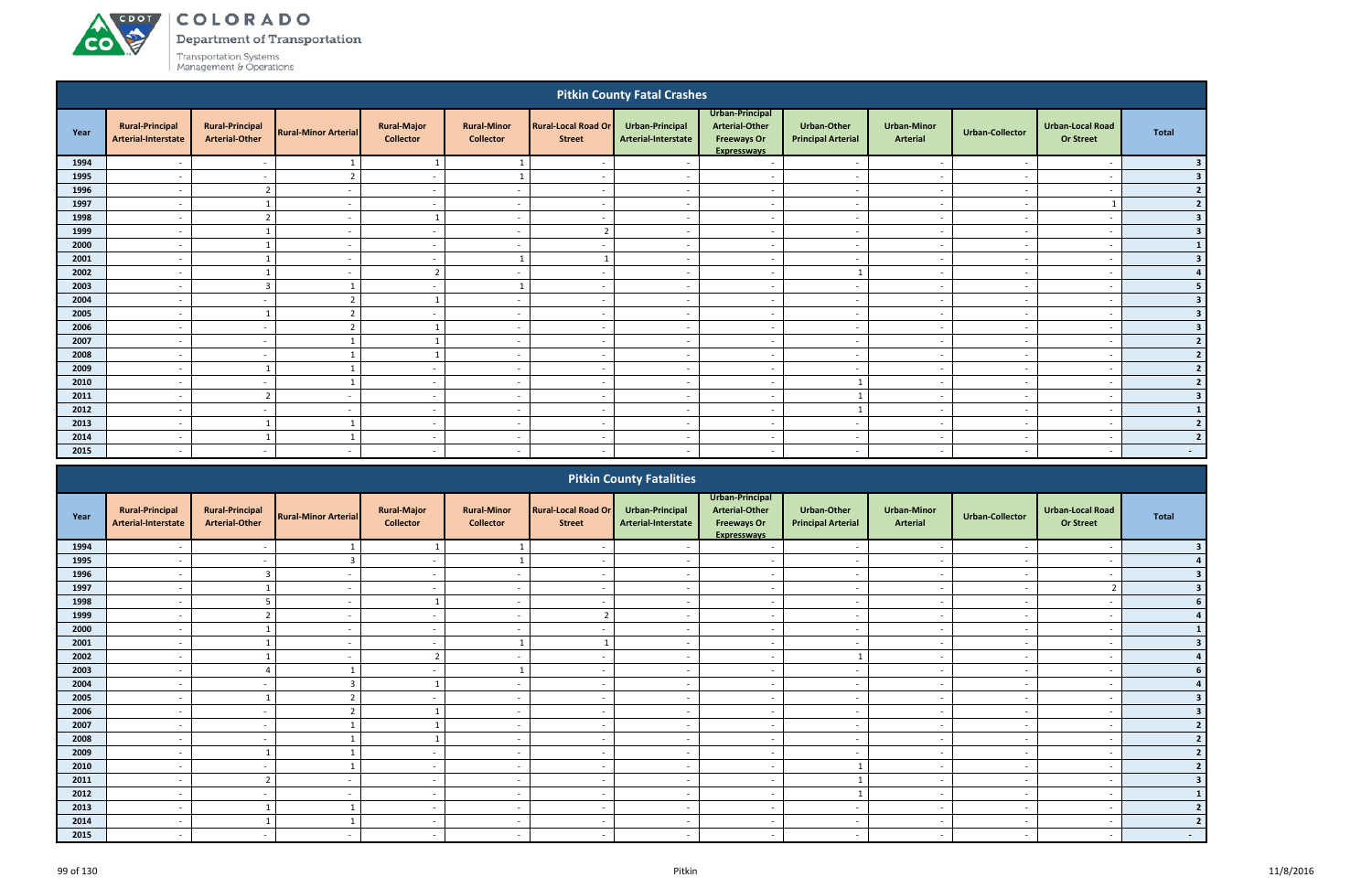# ACDOT **CO**

COLORADO

Department of Transportation

|              |                                               |                                                 |                                    |                                        |                                          |                                             | <b>Pitkin County Fatal Crashes</b>     |                                                                                      |                                                 |                                       |                                                      |                                             |                                         |
|--------------|-----------------------------------------------|-------------------------------------------------|------------------------------------|----------------------------------------|------------------------------------------|---------------------------------------------|----------------------------------------|--------------------------------------------------------------------------------------|-------------------------------------------------|---------------------------------------|------------------------------------------------------|---------------------------------------------|-----------------------------------------|
| Year         | <b>Rural-Principal</b><br>Arterial-Interstate | <b>Rural-Principal</b><br><b>Arterial-Other</b> | <b>Rural-Minor Arterial</b>        | <b>Rural-Major</b><br><b>Collector</b> | <b>Rural-Minor</b><br><b>Collector</b>   | <b>Rural-Local Road Or</b><br><b>Street</b> | Urban-Principal<br>Arterial-Interstate | Urban-Principal<br><b>Arterial-Other</b><br><b>Freeways Or</b><br><b>Expresswavs</b> | <b>Urban-Other</b><br><b>Principal Arterial</b> | <b>Urban-Minor</b><br><b>Arterial</b> | <b>Urban-Collector</b>                               | <b>Urban-Local Road</b><br><b>Or Street</b> | <b>Total</b>                            |
| 1994         |                                               | $\sim$                                          | 1                                  | $\mathbf{1}$                           | $\mathbf{1}$                             | $\sim$                                      |                                        | $\overline{\phantom{a}}$                                                             | $\overline{\phantom{a}}$                        | $\overline{\phantom{a}}$              |                                                      | $\overline{\phantom{a}}$                    | 3                                       |
| 1995         |                                               |                                                 | $\overline{2}$                     | $\sim$                                 | $\mathbf{1}$                             | $\overline{\phantom{a}}$                    |                                        | $\overline{\phantom{a}}$                                                             | $\overline{\phantom{a}}$                        | $\overline{\phantom{a}}$              | $\overline{\phantom{a}}$                             | $\overline{\phantom{a}}$                    | $\overline{\mathbf{3}}$                 |
| 1996         | $\overline{\phantom{0}}$                      | $\overline{2}$                                  | $\sim$                             | $\sim$                                 | $\overline{a}$                           | $\overline{\phantom{a}}$                    | $\overline{a}$                         | $\sim$                                                                               | $\sim$                                          | $\overline{a}$                        | $\overline{a}$                                       | $\overline{\phantom{a}}$                    | $\overline{2}$                          |
| 1997         |                                               | -1                                              | $\overline{\phantom{a}}$           | $\sim$                                 | $\overline{a}$                           | $\overline{\phantom{a}}$                    | $\overline{\phantom{a}}$               | $\overline{\phantom{a}}$                                                             | $\sim$                                          | $\sim$                                | <b>.</b>                                             |                                             | $\overline{2}$                          |
| 1998         | $\overline{\phantom{0}}$                      | $\overline{2}$                                  | $\sim$                             | -1                                     | $\sim$                                   | $\sim$                                      | $\overline{\phantom{a}}$               | $\overline{a}$                                                                       | $\sim$                                          | $\sim$                                | $\sim$                                               | $\overline{\phantom{a}}$                    | $\overline{\mathbf{3}}$                 |
| 1999         |                                               | $\mathbf{1}$                                    | $\sim$                             | $\sim$                                 | $\overline{a}$                           | $\overline{2}$                              | $\overline{\phantom{a}}$               | $\overline{\phantom{a}}$                                                             | $\overline{\phantom{a}}$                        | $\overline{\phantom{a}}$              | $\overline{\phantom{a}}$                             | $\overline{\phantom{a}}$                    | $\overline{\mathbf{3}}$                 |
| 2000<br>2001 |                                               | $\mathbf{1}$<br>$\mathbf{1}$                    | $\overline{\phantom{a}}$           | $\sim$                                 | $\overline{\phantom{a}}$<br>$\mathbf{1}$ | $\overline{\phantom{a}}$<br>$\mathbf{1}$    |                                        | $\overline{\phantom{a}}$                                                             | $\overline{\phantom{a}}$                        | $\sim$                                | $\overline{\phantom{a}}$                             | $\overline{\phantom{a}}$                    | $\mathbf{1}$<br>$\overline{\mathbf{3}}$ |
| 2002         |                                               | $\overline{1}$                                  | $\sim$<br>$\overline{\phantom{a}}$ | $\sim$<br>$\overline{2}$               | $\sim$                                   | $\sim$                                      | $\sim$<br>$\sim$                       | $\overline{\phantom{a}}$<br>$\overline{\phantom{a}}$                                 | $\overline{\phantom{a}}$<br>$\mathbf{1}$        | $\overline{\phantom{a}}$<br>$\sim$    | $\overline{\phantom{a}}$<br>$\overline{\phantom{a}}$ | $\overline{a}$<br>$\overline{\phantom{a}}$  | $\overline{a}$                          |
| 2003         | $\overline{\phantom{0}}$                      | $\overline{3}$                                  | $\mathbf{1}$                       | $\sim$                                 | $\mathbf{1}$                             | $\sim$                                      | $\overline{a}$                         | $\sim$                                                                               | $\sim$                                          | $\sim$                                | $\overline{a}$                                       | $\overline{\phantom{0}}$                    | 5                                       |
| 2004         |                                               |                                                 | $\overline{2}$                     | $\overline{1}$                         | $\overline{a}$                           | $\overline{a}$                              | $\overline{\phantom{a}}$               | $\overline{\phantom{a}}$                                                             | $\overline{a}$                                  | $\sim$                                | $\overline{\phantom{a}}$                             | $\overline{\phantom{a}}$                    | $\overline{\mathbf{3}}$                 |
| 2005         |                                               | $\mathbf{1}$                                    | $\overline{2}$                     | $\sim$                                 | $\overline{a}$                           | $\overline{\phantom{a}}$                    | $\sim$                                 | $\sim$                                                                               | $\sim$                                          | $\sim$                                | $\overline{\phantom{a}}$                             | $\overline{\phantom{a}}$                    | $\overline{\mathbf{3}}$                 |
| 2006         |                                               | $\sim$                                          | $\overline{2}$                     | $\mathbf{1}$                           | $\overline{a}$                           | $\overline{a}$                              | $\overline{\phantom{a}}$               | $\overline{\phantom{a}}$                                                             | $\overline{\phantom{a}}$                        | $\sim$                                | $\overline{\phantom{a}}$                             | $\overline{\phantom{a}}$                    | $\overline{\mathbf{3}}$                 |
| 2007         |                                               | $\sim$                                          | $\mathbf{1}$                       | $\overline{1}$                         | $\overline{a}$                           | $\overline{\phantom{a}}$                    | $\overline{\phantom{a}}$               | $\overline{a}$                                                                       | $\sim$                                          | $\overline{\phantom{a}}$              | $\overline{\phantom{a}}$                             | $\overline{\phantom{a}}$                    | $\overline{2}$                          |
| 2008         | $\overline{\phantom{0}}$                      | $\sim$                                          | $\mathbf{1}$                       | -1                                     | $\overline{a}$                           | $\sim$                                      | $\sim$                                 | $\overline{a}$                                                                       | $\overline{a}$                                  | $\sim$                                | $\sim$                                               | $\overline{\phantom{a}}$                    | $\overline{2}$                          |
| 2009         |                                               | $\mathbf{1}$                                    | $\mathbf{1}$                       | $\sim$                                 | $\overline{\phantom{a}}$                 | $\sim$                                      | $\sim$                                 | $\sim$                                                                               | $\overline{\phantom{0}}$                        | $\sim$                                | $\overline{\phantom{a}}$                             | $\overline{\phantom{a}}$                    | $\overline{2}$                          |
| 2010         | $\overline{\phantom{0}}$                      | $\sim$                                          | $\mathbf{1}$                       | $\sim$                                 | $\overline{a}$                           | $\sim$                                      | $\sim$                                 | $\sim$                                                                               | $\mathbf{1}$                                    | $\sim$                                | $\sim$                                               | $\overline{a}$                              | $\overline{2}$                          |
| 2011         |                                               | $\overline{2}$                                  |                                    | $\sim$                                 | $\overline{\phantom{a}}$                 | $\overline{\phantom{a}}$                    | $\overline{\phantom{a}}$               | $\overline{a}$                                                                       | $\mathbf{1}$                                    | $\overline{\phantom{a}}$              | $\overline{\phantom{a}}$                             | $\overline{\phantom{a}}$                    | $\overline{\mathbf{3}}$                 |
| 2012         | $\overline{\phantom{0}}$                      | $\sim$                                          | $\sim$                             | $\sim$                                 | $\overline{a}$                           | $\sim$                                      | $\overline{\phantom{a}}$               | $\overline{a}$                                                                       | $\mathbf{1}$                                    | $\overline{\phantom{a}}$              | $\overline{\phantom{a}}$                             | $\overline{a}$                              | $\sqrt{1}$                              |
| 2013         |                                               | $\mathbf{1}$                                    | $\mathbf{1}$                       | $\sim$                                 | $\overline{a}$                           | $\overline{a}$                              | $\sim$                                 | $\sim$                                                                               | $\overline{a}$                                  | $\overline{\phantom{a}}$              | $\overline{\phantom{a}}$                             | $\overline{\phantom{a}}$                    | $\overline{2}$                          |
| 2014         |                                               | $\mathbf{1}$                                    | $\mathbf{1}$                       | $\sim$                                 | $\overline{\phantom{a}}$                 | $\overline{\phantom{a}}$                    |                                        | $\overline{\phantom{a}}$                                                             | $\overline{\phantom{a}}$                        | $\overline{\phantom{a}}$              | $\overline{\phantom{a}}$                             | $\overline{\phantom{a}}$                    | 2                                       |
| 2015         |                                               |                                                 |                                    | $\sim$                                 |                                          |                                             |                                        | $\overline{\phantom{a}}$                                                             |                                                 | $\overline{\phantom{a}}$              |                                                      | $\overline{\phantom{a}}$                    | $\sim 100$                              |
|              |                                               |                                                 |                                    |                                        |                                          |                                             | <b>Pitkin County Fatalities</b>        |                                                                                      |                                                 |                                       |                                                      |                                             |                                         |
| Year         | <b>Rural-Principal</b><br>Arterial-Interstate | <b>Rural-Principal</b><br><b>Arterial-Other</b> | <b>Rural-Minor Arterial</b>        | <b>Rural-Major</b><br><b>Collector</b> | <b>Rural-Minor</b><br><b>Collector</b>   | <b>Rural-Local Road Or</b><br><b>Street</b> | Urban-Principal<br>Arterial-Interstate | Urban-Principal<br><b>Arterial-Other</b><br><b>Freeways Or</b><br><b>Expresswavs</b> | <b>Urban-Other</b><br><b>Principal Arterial</b> | <b>Urban-Minor</b><br><b>Arterial</b> | <b>Urban-Collector</b>                               | <b>Urban-Local Road</b><br><b>Or Street</b> | <b>Total</b>                            |

|      |                                               |                                                 |                             |                                        |                                        |                                             | <b>FILATE COUTLY FALATILIES</b>        |                                                                                      |                                                 |                                |                          |                                             |            |
|------|-----------------------------------------------|-------------------------------------------------|-----------------------------|----------------------------------------|----------------------------------------|---------------------------------------------|----------------------------------------|--------------------------------------------------------------------------------------|-------------------------------------------------|--------------------------------|--------------------------|---------------------------------------------|------------|
| Year | <b>Rural-Principal</b><br>Arterial-Interstate | <b>Rural-Principal</b><br><b>Arterial-Other</b> | <b>Rural-Minor Arterial</b> | <b>Rural-Major</b><br><b>Collector</b> | <b>Rural-Minor</b><br><b>Collector</b> | <b>Rural-Local Road Or</b><br><b>Street</b> | Urban-Principal<br>Arterial-Interstate | Urban-Principal<br><b>Arterial-Other</b><br><b>Freeways Or</b><br><b>Expressways</b> | <b>Urban-Other</b><br><b>Principal Arterial</b> | <b>Urban-Minor</b><br>Arterial | <b>Urban-Collector</b>   | <b>Urban-Local Road</b><br><b>Or Street</b> | Total      |
| 1994 |                                               |                                                 |                             |                                        |                                        |                                             |                                        |                                                                                      |                                                 |                                |                          |                                             |            |
| 1995 |                                               | $\overline{\phantom{a}}$                        |                             | $\overline{\phantom{a}}$               |                                        | $\overline{\phantom{a}}$                    |                                        | $\overline{\phantom{a}}$                                                             | $\overline{\phantom{a}}$                        | $\overline{\phantom{a}}$       |                          | $\overline{\phantom{0}}$                    |            |
| 1996 |                                               |                                                 |                             | $\overline{\phantom{a}}$               |                                        |                                             |                                        | $\overline{\phantom{a}}$                                                             | $\overline{\phantom{0}}$                        | $\overline{\phantom{a}}$       |                          |                                             |            |
| 1997 | $\overline{\phantom{a}}$                      |                                                 | $\sim$                      | $\sim$                                 | $\overline{\phantom{a}}$               | $\overline{\phantom{0}}$                    | $\sim$                                 | $\overline{\phantom{a}}$                                                             | $\overline{\phantom{a}}$                        | $\sim$                         | $\sim$                   |                                             |            |
| 1998 | $\overline{\phantom{a}}$                      |                                                 | $\overline{\phantom{0}}$    |                                        | $\overline{\phantom{a}}$               | $\overline{\phantom{0}}$                    | $\overline{\phantom{a}}$               | $\overline{\phantom{a}}$                                                             | $\overline{\phantom{a}}$                        | $\overline{\phantom{a}}$       |                          |                                             |            |
| 1999 |                                               | $\sim$                                          |                             | $\overline{\phantom{a}}$               | $\overline{\phantom{a}}$               |                                             |                                        | $\overline{\phantom{a}}$                                                             | $\overline{\phantom{a}}$                        | $\overline{\phantom{a}}$       |                          |                                             |            |
| 2000 |                                               |                                                 |                             | $\overline{\phantom{a}}$               | $\overline{\phantom{a}}$               |                                             |                                        | $\overline{\phantom{a}}$                                                             | $\overline{\phantom{0}}$                        | $\overline{\phantom{0}}$       |                          | $\overline{\phantom{a}}$                    |            |
| 2001 |                                               |                                                 |                             | $\overline{\phantom{0}}$               |                                        |                                             |                                        | $\overline{\phantom{a}}$                                                             | $\overline{\phantom{a}}$                        | $\overline{\phantom{a}}$       |                          | $\overline{\phantom{a}}$                    |            |
| 2002 |                                               |                                                 |                             |                                        |                                        |                                             |                                        | $\overline{\phantom{a}}$                                                             |                                                 | $\overline{\phantom{a}}$       |                          | $\overline{\phantom{a}}$                    |            |
| 2003 |                                               |                                                 |                             | $\overline{\phantom{0}}$               |                                        | $\overline{\phantom{a}}$                    | $\overline{a}$                         | $\overline{\phantom{a}}$                                                             | $\sim$                                          | $\overline{\phantom{0}}$       |                          | $\overline{\phantom{a}}$                    |            |
| 2004 | $\overline{\phantom{a}}$                      | $\overline{\phantom{a}}$                        |                             |                                        | $\overline{\phantom{a}}$               | $\overline{\phantom{a}}$                    | $\overline{\phantom{a}}$               | $\overline{\phantom{a}}$                                                             | $\overline{\phantom{a}}$                        | $\overline{\phantom{a}}$       | $\overline{\phantom{a}}$ | $\overline{\phantom{a}}$                    |            |
| 2005 |                                               |                                                 | $\mathbf{\hat{z}}$          |                                        | $\overline{\phantom{a}}$               | $\overline{\phantom{a}}$                    |                                        | $\overline{\phantom{a}}$                                                             | $\overline{\phantom{a}}$                        | $\sim$                         |                          |                                             |            |
| 2006 |                                               | $\overline{\phantom{a}}$                        |                             |                                        | $\overline{\phantom{a}}$               | $\overline{\phantom{a}}$                    |                                        | $\overline{\phantom{a}}$                                                             | $\overline{\phantom{0}}$                        | $\overline{\phantom{a}}$       |                          | $\overline{\phantom{a}}$                    |            |
| 2007 |                                               | $\overline{\phantom{a}}$                        |                             |                                        | $\overline{\phantom{a}}$               |                                             |                                        |                                                                                      | $\overline{\phantom{a}}$                        | $\overline{\phantom{0}}$       |                          | $\overline{\phantom{a}}$                    |            |
| 2008 |                                               |                                                 |                             |                                        |                                        |                                             |                                        |                                                                                      |                                                 |                                |                          |                                             |            |
| 2009 |                                               |                                                 |                             | $\sim$                                 | $\overline{\phantom{a}}$               | $\overline{\phantom{0}}$                    | $\overline{a}$                         | $\sim$                                                                               | $\overline{\phantom{a}}$                        | $\overline{\phantom{a}}$       |                          | $\overline{\phantom{0}}$                    |            |
| 2010 |                                               | $\overline{\phantom{a}}$                        |                             | $\overline{\phantom{0}}$               | $\overline{\phantom{a}}$               | $\overline{\phantom{0}}$                    |                                        | $\overline{\phantom{a}}$                                                             |                                                 | $\overline{\phantom{0}}$       |                          | $\overline{\phantom{a}}$                    |            |
| 2011 |                                               |                                                 |                             |                                        | $\overline{\phantom{a}}$               |                                             |                                        |                                                                                      |                                                 |                                |                          |                                             |            |
| 2012 |                                               |                                                 |                             | $\overline{\phantom{a}}$               | $\overline{\phantom{a}}$               | $\overline{\phantom{a}}$                    |                                        |                                                                                      |                                                 | $\sim$                         |                          |                                             |            |
| 2013 |                                               |                                                 |                             | $\overline{\phantom{0}}$               | $\overline{\phantom{a}}$               |                                             |                                        |                                                                                      |                                                 | $\overline{\phantom{a}}$       |                          |                                             |            |
| 2014 |                                               |                                                 |                             | $\overline{\phantom{a}}$               | $\overline{\phantom{a}}$               |                                             |                                        |                                                                                      |                                                 | $\overline{\phantom{a}}$       |                          |                                             |            |
| 2015 |                                               |                                                 |                             | $\overline{\phantom{a}}$               | $\overline{\phantom{a}}$               | $\overline{\phantom{a}}$                    |                                        |                                                                                      | $\overline{\phantom{a}}$                        | $\sim$                         |                          |                                             | $\sim$ $-$ |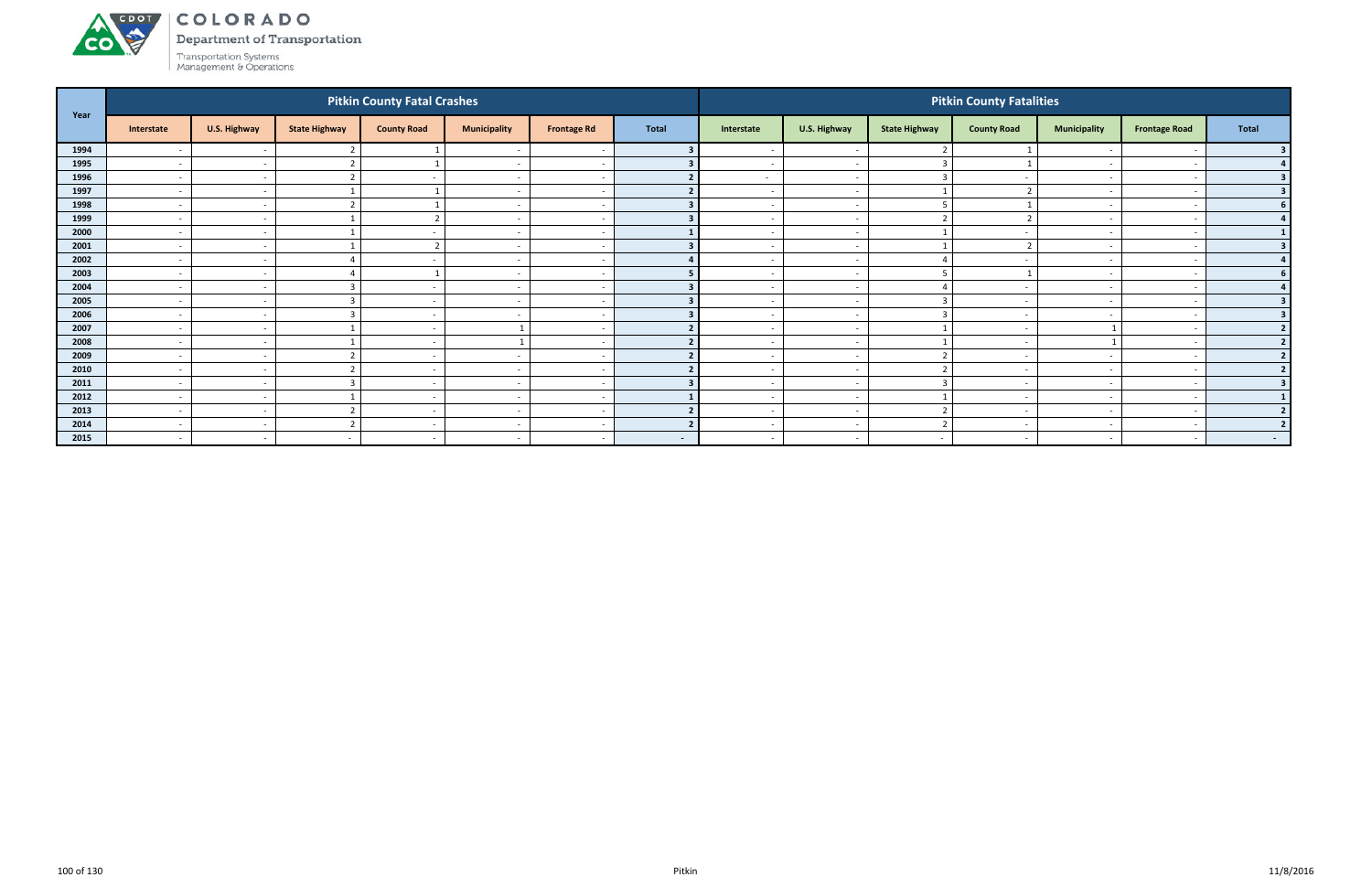

Department of Transportation

| Year |                          |                          |                      | <b>Pitkin County Fatal Crashes</b> |                          |                          |              |                          |                          |                      | <b>Pitkin County Fatalities</b> |                          |                          |                         |
|------|--------------------------|--------------------------|----------------------|------------------------------------|--------------------------|--------------------------|--------------|--------------------------|--------------------------|----------------------|---------------------------------|--------------------------|--------------------------|-------------------------|
|      | Interstate               | U.S. Highway             | <b>State Highway</b> | <b>County Road</b>                 | <b>Municipality</b>      | <b>Frontage Rd</b>       | <b>Total</b> | Interstate               | U.S. Highway             | <b>State Highway</b> | <b>County Road</b>              | <b>Municipality</b>      | <b>Frontage Road</b>     | <b>Total</b>            |
| 1994 | $\overline{\phantom{a}}$ | $\sim$                   |                      |                                    |                          |                          |              |                          | $\overline{\phantom{a}}$ |                      |                                 |                          |                          |                         |
| 1995 | $\sim$                   | $\sim$                   |                      |                                    | $\overline{\phantom{a}}$ | $\sim$                   |              | $\sim$                   | $\sim$                   | $\overline{a}$       |                                 | $\sim$                   | $\overline{\phantom{a}}$ |                         |
| 1996 | $\sim$                   | $\sim$                   |                      | $\overline{\phantom{a}}$           | $\overline{\phantom{a}}$ | $\overline{\phantom{a}}$ |              | $\sim$                   | $\sim$                   | 3                    |                                 | $\overline{\phantom{0}}$ |                          |                         |
| 1997 | $\sim$                   | $\sim$                   |                      |                                    | $\overline{\phantom{a}}$ |                          |              |                          | $\overline{\phantom{a}}$ |                      |                                 |                          |                          |                         |
| 1998 | $\sim$                   | $\sim$                   |                      |                                    | $\overline{\phantom{a}}$ | $\overline{\phantom{a}}$ |              |                          | $\overline{\phantom{a}}$ |                      |                                 |                          |                          |                         |
| 1999 | $\overline{\phantom{a}}$ | $\sim$                   |                      |                                    | $\overline{\phantom{0}}$ | . .                      |              |                          | $\overline{\phantom{a}}$ |                      |                                 |                          |                          | $\mathbf{A}$            |
| 2000 | $\sim$                   | $\sim$                   |                      | $\overline{\phantom{a}}$           | $\overline{\phantom{a}}$ | $\sim$                   |              | $\sim$                   | $\overline{\phantom{a}}$ |                      | $\overline{\phantom{a}}$        |                          |                          |                         |
| 2001 | $\sim$                   | $\sim$                   |                      | $\overline{2}$                     | $\overline{\phantom{a}}$ | $\overline{\phantom{a}}$ |              | $\overline{\phantom{0}}$ | $\overline{\phantom{a}}$ |                      |                                 | $\overline{\phantom{0}}$ |                          |                         |
| 2002 | $\sim$                   | $\sim$                   |                      | $\overline{\phantom{a}}$           | $\overline{\phantom{a}}$ | $\overline{\phantom{a}}$ |              | $\overline{\phantom{a}}$ | $\overline{\phantom{a}}$ | $\Delta$             |                                 | $\overline{\phantom{a}}$ |                          |                         |
| 2003 | $\sim$                   | $\sim$                   |                      |                                    | $\overline{\phantom{a}}$ | $\overline{\phantom{a}}$ |              |                          | $\overline{\phantom{a}}$ |                      |                                 | $\overline{\phantom{0}}$ |                          |                         |
| 2004 | $\sim$                   | $\overline{\phantom{a}}$ |                      |                                    | $\overline{\phantom{a}}$ |                          |              |                          | $\overline{\phantom{a}}$ |                      |                                 |                          |                          |                         |
| 2005 | $\sim$                   | $\sim$                   |                      | $\sim$                             | $\overline{\phantom{a}}$ | $\sim$                   |              | $\overline{\phantom{0}}$ | $\sim$                   | 3                    | $\overline{\phantom{a}}$        | $\sim$                   |                          | з                       |
| 2006 | $\sim$                   | $\sim$                   |                      | $\overline{\phantom{a}}$           | $\overline{\phantom{a}}$ | $\overline{\phantom{a}}$ |              |                          | $\sim$                   | 3                    | $\overline{\phantom{a}}$        |                          |                          |                         |
| 2007 | $\sim$                   | $\sim$                   |                      | $\overline{\phantom{a}}$           |                          | $\overline{\phantom{a}}$ |              | $\overline{\phantom{0}}$ | $\sim$                   |                      | $\sim$                          | $\mathbf{1}$             |                          |                         |
| 2008 | $\sim$                   | $\sim$                   |                      | $\overline{\phantom{a}}$           |                          | $\overline{\phantom{a}}$ |              |                          | $\overline{\phantom{a}}$ |                      | $\overline{\phantom{a}}$        |                          |                          |                         |
| 2009 | $\sim$                   | $\sim$                   |                      | $\sim$                             | $\overline{\phantom{a}}$ | $\overline{\phantom{a}}$ |              |                          | $\overline{\phantom{a}}$ | $\mathbf{\Gamma}$    | $\overline{\phantom{a}}$        | $\overline{\phantom{0}}$ |                          |                         |
| 2010 | $\sim$                   | $\sim$                   |                      | $\overline{\phantom{a}}$           | $\overline{\phantom{a}}$ | $\sim$                   |              | $\overline{\phantom{0}}$ | $\sim$                   | ຳ                    | $\overline{\phantom{a}}$        | $\overline{\phantom{0}}$ |                          |                         |
| 2011 | $\sim$                   | $\sim$                   |                      |                                    | $\overline{\phantom{a}}$ |                          |              |                          | $\overline{\phantom{a}}$ | $\overline{3}$       |                                 | $\overline{\phantom{0}}$ |                          |                         |
| 2012 | $\overline{a}$           | $\sim$                   |                      | $\overline{\phantom{a}}$           | $\overline{\phantom{a}}$ | $\overline{\phantom{a}}$ |              | $\overline{\phantom{0}}$ | $\sim$                   |                      | $\overline{\phantom{a}}$        | $\sim$                   |                          |                         |
| 2013 | $\sim$                   | $\sim$                   |                      | $\overline{\phantom{a}}$           | $\overline{\phantom{a}}$ | $\overline{\phantom{a}}$ |              |                          | $\overline{\phantom{a}}$ |                      | $\overline{\phantom{a}}$        |                          |                          | ຳ                       |
| 2014 | $\sim$                   | $\sim$                   |                      | $\sim$                             | $\overline{\phantom{a}}$ | -                        |              | $\overline{\phantom{0}}$ | $\overline{\phantom{a}}$ | $\mathbf{\Gamma}$    | $\overline{\phantom{a}}$        | $\overline{\phantom{0}}$ |                          | $\overline{\mathbf{z}}$ |
| 2015 | $\sim$                   | $\sim$                   | $\sim$               | $\sim$                             | $\overline{\phantom{a}}$ | $\sim$                   | $\sim$ $-$   | $\overline{\phantom{a}}$ | $\sim$                   | $\sim$               | $\overline{\phantom{a}}$        | $\overline{\phantom{0}}$ | $\overline{\phantom{a}}$ | $\sim$ 10 $\pm$         |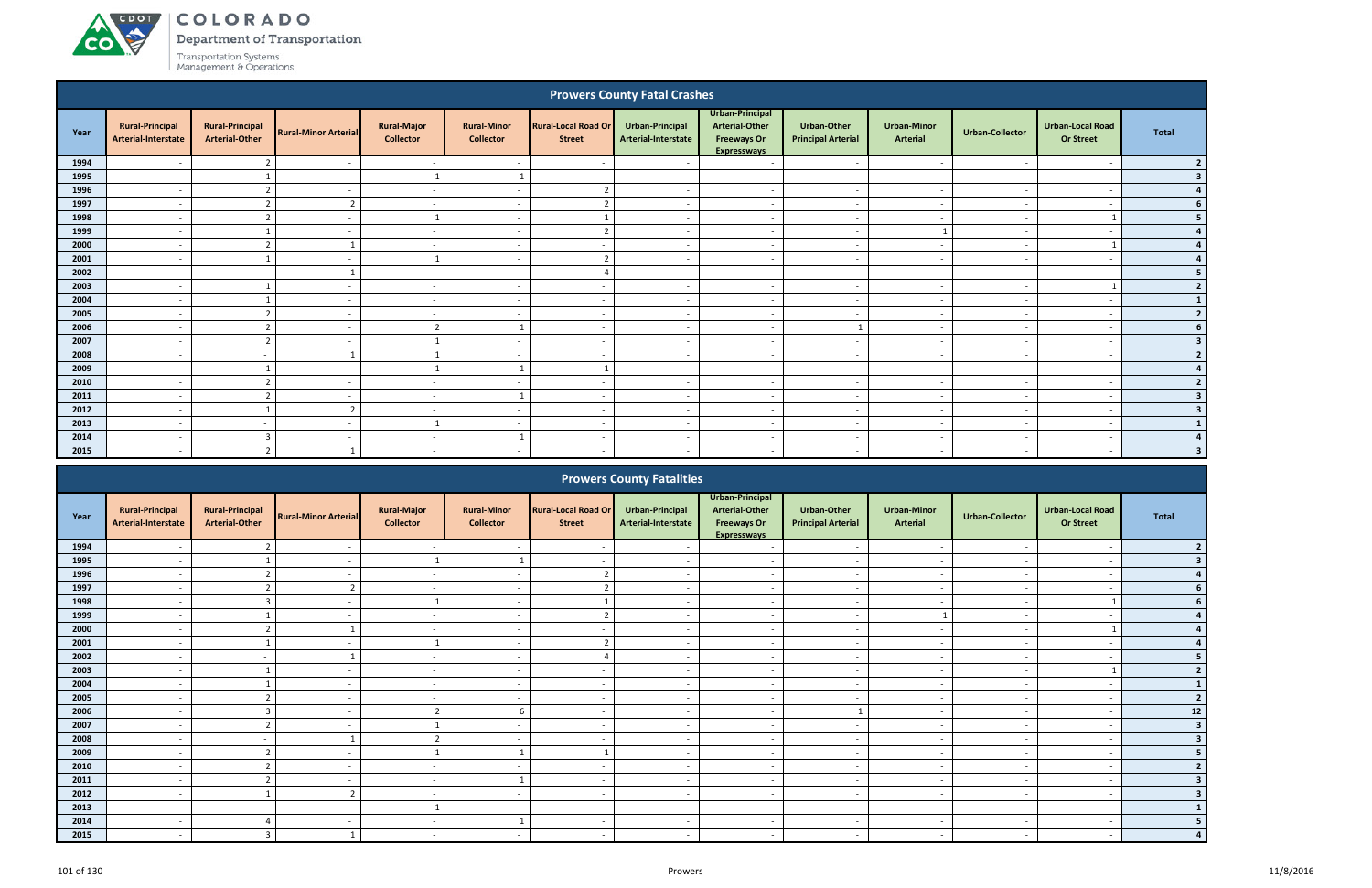**CO** 

Department of Transportation

|                                                                                                                                                                                  |                                               |                                                 |                             |                                        |                                        |                                             | <b>Prowers County Fatal Crashes</b>    |                                                                        |                                                 |                                       |                          |                                             |                |
|----------------------------------------------------------------------------------------------------------------------------------------------------------------------------------|-----------------------------------------------|-------------------------------------------------|-----------------------------|----------------------------------------|----------------------------------------|---------------------------------------------|----------------------------------------|------------------------------------------------------------------------|-------------------------------------------------|---------------------------------------|--------------------------|---------------------------------------------|----------------|
| Year                                                                                                                                                                             | <b>Rural-Principal</b><br>Arterial-Interstate | <b>Rural-Principal</b><br><b>Arterial-Other</b> | <b>Rural-Minor Arterial</b> | <b>Rural-Major</b><br><b>Collector</b> | <b>Rural-Minor</b><br><b>Collector</b> | <b>Rural-Local Road Or</b><br><b>Street</b> | Urban-Principal<br>Arterial-Interstate | Urban-Principal<br>Arterial-Other<br><b>Freeways Or</b><br>Expressways | <b>Urban-Other</b><br><b>Principal Arterial</b> | <b>Urban-Minor</b><br><b>Arterial</b> | <b>Urban-Collector</b>   | <b>Urban-Local Road</b><br><b>Or Street</b> | <b>Total</b>   |
| 1994                                                                                                                                                                             |                                               | $\overline{2}$                                  | $\sim$                      | $\sim$                                 | $\overline{\phantom{a}}$               |                                             | $\overline{\phantom{a}}$               | $\overline{\phantom{a}}$                                               | $\overline{\phantom{a}}$                        | $\overline{\phantom{a}}$              | $\overline{\phantom{a}}$ | $\overline{\phantom{a}}$                    | 2 <sub>1</sub> |
| 1995                                                                                                                                                                             | $\overline{\phantom{a}}$                      |                                                 | $\sim$                      |                                        |                                        |                                             |                                        | $\sim$                                                                 | $\overline{\phantom{a}}$                        | $\overline{\phantom{a}}$              |                          | $\overline{\phantom{a}}$                    | 3 <sup>1</sup> |
| 1996                                                                                                                                                                             | $\overline{\phantom{a}}$                      | $\overline{2}$                                  | $\overline{\phantom{0}}$    | $\sim$                                 | $\overline{\phantom{0}}$               | ຳ                                           |                                        | $\overline{a}$                                                         | $\overline{\phantom{a}}$                        | $\overline{\phantom{a}}$              |                          | $\overline{\phantom{a}}$                    | $4 \mid$       |
| 1997                                                                                                                                                                             |                                               | $\overline{2}$                                  | $\overline{2}$              | $\sim$                                 |                                        |                                             |                                        | $\overline{\phantom{a}}$                                               |                                                 | $\overline{\phantom{a}}$              |                          |                                             | 6 <sup>1</sup> |
| 1998                                                                                                                                                                             | $\overline{a}$                                | $\overline{2}$                                  | $\sim$                      | - 1                                    | $\overline{\phantom{a}}$               |                                             | $\sim$                                 | $\overline{\phantom{a}}$                                               | $\sim$                                          | $\sim$                                | $\overline{\phantom{a}}$ |                                             | 5 <sub>1</sub> |
| 1999                                                                                                                                                                             | $\overline{\phantom{a}}$                      |                                                 | $\sim$                      | $\sim$                                 | $\overline{\phantom{a}}$               | ຳ                                           | <b>.</b>                               | $\overline{\phantom{a}}$                                               | $\overline{\phantom{a}}$                        |                                       |                          | $\overline{\phantom{a}}$                    | 4              |
| 2000                                                                                                                                                                             | $\overline{\phantom{a}}$                      | $\overline{2}$                                  |                             | $\sim$                                 | $\sim$                                 | $\overline{\phantom{a}}$                    | $\overline{\phantom{a}}$               | $\overline{\phantom{a}}$                                               | $\sim$                                          | $\sim$                                | $\overline{\phantom{a}}$ |                                             | 4              |
| 2001<br>$\mathcal{L}$<br>$\mathbf{1}$<br>$\overline{a}$<br>$\sim$<br>$\overline{a}$<br>$\overline{\phantom{a}}$<br>$\sim$<br>$\sim$<br>$\sim$<br>$\overline{\phantom{a}}$<br>. . |                                               |                                                 |                             |                                        |                                        |                                             |                                        |                                                                        |                                                 |                                       |                          |                                             | 4              |
| 2002                                                                                                                                                                             | $\overline{\phantom{a}}$                      | $\sim$                                          |                             | $\sim$                                 | $\overline{\phantom{a}}$               |                                             | <b>.</b>                               | $\sim$                                                                 | $\overline{\phantom{a}}$                        | $\sim$                                |                          | $\overline{\phantom{a}}$                    | 5 <sub>1</sub> |
| 2003                                                                                                                                                                             |                                               |                                                 |                             | $\sim$                                 |                                        |                                             |                                        | $\overline{\phantom{a}}$                                               |                                                 | $\overline{\phantom{a}}$              |                          |                                             | 2 <sub>1</sub> |
| 2004                                                                                                                                                                             | $\overline{\phantom{a}}$                      |                                                 | $\sim$                      | $\sim$                                 | $\overline{\phantom{a}}$               | $\overline{\phantom{a}}$                    |                                        | $\overline{\phantom{a}}$                                               | $\overline{\phantom{a}}$                        | $\overline{\phantom{a}}$              |                          | $\overline{\phantom{a}}$                    | $1\vert$       |
| 2005                                                                                                                                                                             | $\overline{a}$                                | $\overline{2}$                                  | $\overline{\phantom{a}}$    | $\sim$                                 | $\overline{a}$                         | $\sim$                                      | $\sim$                                 | $\sim$                                                                 | $\sim$                                          | $\sim$                                | $\overline{\phantom{a}}$ | $\overline{\phantom{a}}$                    | 2              |
| 2006                                                                                                                                                                             | $\overline{\phantom{a}}$                      | $\overline{2}$                                  | $\sim$                      | $\overline{2}$                         |                                        |                                             | $\overline{\phantom{a}}$               | $\overline{\phantom{a}}$                                               |                                                 | $\overline{\phantom{a}}$              |                          | $\overline{\phantom{a}}$                    | 6 <sup>1</sup> |
| 2007                                                                                                                                                                             | $\overline{\phantom{a}}$                      | $\overline{2}$                                  | $\overline{a}$              |                                        | $\overline{\phantom{a}}$               | $\overline{\phantom{0}}$                    | $\overline{\phantom{a}}$               | $\sim$                                                                 | $\overline{\phantom{a}}$                        | $\sim$                                | $\overline{\phantom{a}}$ | $\overline{\phantom{a}}$                    | 3 <sup>1</sup> |
| 2008                                                                                                                                                                             | $\overline{a}$                                | $\sim$                                          |                             |                                        | $\overline{\phantom{a}}$               | $\overline{\phantom{a}}$                    | <b>.</b>                               | $\sim$                                                                 | $\overline{\phantom{a}}$                        | $\overline{\phantom{a}}$              | . .                      | $\overline{\phantom{a}}$                    | 2              |
| 2009                                                                                                                                                                             | $\overline{\phantom{a}}$                      |                                                 | $\overline{\phantom{a}}$    |                                        |                                        |                                             |                                        | $\sim$                                                                 | $\overline{\phantom{a}}$                        | $\overline{\phantom{a}}$              |                          | $\overline{\phantom{a}}$                    | 4              |
| 2010                                                                                                                                                                             |                                               | $\overline{2}$                                  | $\overline{\phantom{a}}$    | $\sim$                                 | $\overline{\phantom{0}}$               |                                             |                                        | $\overline{\phantom{a}}$                                               |                                                 | $\overline{\phantom{a}}$              |                          | $\overline{\phantom{a}}$                    | 2 <sup>1</sup> |
| 2011                                                                                                                                                                             | $\overline{\phantom{a}}$                      | $\mathcal{D}$                                   | $\overline{\phantom{a}}$    | $\sim$                                 |                                        |                                             |                                        | $\overline{a}$                                                         | $\overline{\phantom{a}}$                        | $\overline{\phantom{a}}$              |                          | $\overline{\phantom{a}}$                    | 3 <sup>1</sup> |
| 2012                                                                                                                                                                             | $\overline{a}$                                |                                                 | $\overline{2}$              | $\sim$                                 | $\sim$                                 | $\overline{\phantom{a}}$                    | $\overline{\phantom{a}}$               | $\sim$                                                                 | $\sim$                                          | $\sim$                                | $\overline{\phantom{a}}$ | $\overline{\phantom{a}}$                    | 3 <sup>1</sup> |
| 2013                                                                                                                                                                             | $\overline{a}$                                | $\sim$                                          | $\sim$                      | -1                                     | $\sim$                                 | $\overline{\phantom{a}}$                    | $\sim$                                 | $\overline{a}$                                                         | $\overline{a}$                                  | $\sim$                                |                          | $\overline{\phantom{a}}$                    | $\mathbf{1}$   |
| 2014                                                                                                                                                                             | $\overline{\phantom{0}}$                      | $\overline{3}$                                  | $\sim$                      | $\sim$                                 |                                        | . .                                         | $\overline{\phantom{a}}$               | $\overline{a}$                                                         | $\sim$                                          | $\overline{\phantom{a}}$              | $\overline{\phantom{a}}$ | $\overline{\phantom{a}}$                    | 4 <sup>1</sup> |
| 2015                                                                                                                                                                             | $\overline{\phantom{a}}$                      | $\overline{2}$                                  |                             | $\sim$                                 | $\overline{\phantom{0}}$               |                                             |                                        | $\overline{\phantom{a}}$                                               |                                                 | $\overline{\phantom{a}}$              |                          |                                             | 3 <sup>1</sup> |
|                                                                                                                                                                                  |                                               |                                                 |                             |                                        |                                        |                                             | <b>Daniel Communicate Hotel Hattan</b> |                                                                        |                                                 |                                       |                          |                                             |                |

|      |                                               |                                                 |                             |                                        |                                        |                                             | <b>Prowers County Fatalities</b>       |                                                                                      |                                                 |                                       |                          |                                             |                |
|------|-----------------------------------------------|-------------------------------------------------|-----------------------------|----------------------------------------|----------------------------------------|---------------------------------------------|----------------------------------------|--------------------------------------------------------------------------------------|-------------------------------------------------|---------------------------------------|--------------------------|---------------------------------------------|----------------|
| Year | <b>Rural-Principal</b><br>Arterial-Interstate | <b>Rural-Principal</b><br><b>Arterial-Other</b> | <b>Rural-Minor Arterial</b> | <b>Rural-Major</b><br><b>Collector</b> | <b>Rural-Minor</b><br><b>Collector</b> | <b>Rural-Local Road Or</b><br><b>Street</b> | Urban-Principal<br>Arterial-Interstate | Urban-Principal<br><b>Arterial-Other</b><br><b>Freeways Or</b><br><b>Expressways</b> | <b>Urban-Other</b><br><b>Principal Arterial</b> | <b>Urban-Minor</b><br><b>Arterial</b> | <b>Urban-Collector</b>   | <b>Urban-Local Road</b><br><b>Or Street</b> | Total          |
| 1994 |                                               |                                                 |                             |                                        |                                        |                                             |                                        |                                                                                      |                                                 |                                       |                          |                                             |                |
| 1995 |                                               |                                                 |                             |                                        |                                        |                                             |                                        |                                                                                      |                                                 |                                       |                          |                                             |                |
| 1996 | $\overline{\phantom{a}}$                      |                                                 |                             | $\sim$                                 | $\overline{\phantom{a}}$               |                                             |                                        | $\overline{\phantom{a}}$                                                             | $\overline{\phantom{a}}$                        | $\sim$                                | $\overline{\phantom{a}}$ | $\overline{\phantom{a}}$                    |                |
| 1997 |                                               | $\overline{2}$                                  | 2                           | $\overline{\phantom{0}}$               | $\overline{\phantom{a}}$               |                                             |                                        | $\overline{\phantom{a}}$                                                             | $\overline{\phantom{a}}$                        | $\overline{\phantom{a}}$              |                          |                                             |                |
| 1998 |                                               |                                                 |                             |                                        | $\overline{\phantom{a}}$               |                                             |                                        |                                                                                      | $\overline{\phantom{a}}$                        | $\overline{\phantom{a}}$              |                          |                                             |                |
| 1999 |                                               |                                                 |                             | $\overline{\phantom{a}}$               | $\overline{\phantom{a}}$               |                                             |                                        | $\overline{\phantom{a}}$                                                             | $\overline{\phantom{a}}$                        |                                       |                          |                                             |                |
| 2000 |                                               |                                                 |                             |                                        | $\overline{\phantom{a}}$               |                                             |                                        | $\overline{\phantom{0}}$                                                             | $\overline{\phantom{a}}$                        |                                       |                          |                                             |                |
| 2001 | $\overline{\phantom{a}}$                      |                                                 | $\overline{\phantom{0}}$    |                                        | $\overline{\phantom{a}}$               |                                             | $\overline{\phantom{a}}$               | $\overline{\phantom{a}}$                                                             | $\overline{\phantom{a}}$                        | $\sim$                                | $\sim$                   | $\overline{\phantom{a}}$                    |                |
| 2002 |                                               |                                                 |                             | $\overline{\phantom{a}}$               | $\overline{\phantom{a}}$               |                                             |                                        | $\overline{\phantom{a}}$                                                             | $\overline{\phantom{a}}$                        | $\sim$                                |                          |                                             |                |
| 2003 |                                               |                                                 |                             | $\overline{\phantom{0}}$               | $\overline{\phantom{a}}$               |                                             |                                        |                                                                                      | $\overline{\phantom{0}}$                        | $\overline{\phantom{a}}$              |                          |                                             |                |
| 2004 |                                               |                                                 |                             | $\overline{\phantom{a}}$               | $\overline{\phantom{a}}$               |                                             |                                        |                                                                                      | $\overline{\phantom{a}}$                        | $\qquad \qquad \blacksquare$          |                          |                                             |                |
| 2005 |                                               |                                                 |                             | $\overline{\phantom{a}}$               | $\overline{\phantom{a}}$               |                                             |                                        | $\overline{\phantom{0}}$                                                             | $\overline{\phantom{a}}$                        | $\overline{\phantom{0}}$              |                          |                                             | $\overline{2}$ |
| 2006 | $\overline{\phantom{a}}$                      |                                                 | $\sim$                      |                                        | 6                                      | $\overline{\phantom{a}}$                    | $\sim$                                 | $\overline{a}$                                                                       |                                                 | $\sim$                                | $\sim$                   | $\overline{\phantom{a}}$                    | 12             |
| 2007 |                                               | $\mathbf{a}$                                    |                             |                                        | $\overline{\phantom{a}}$               |                                             |                                        | $\overline{\phantom{a}}$                                                             | $\overline{\phantom{a}}$                        | $\overline{\phantom{a}}$              |                          |                                             |                |
| 2008 |                                               |                                                 |                             |                                        | $\overline{\phantom{a}}$               |                                             |                                        | $\overline{\phantom{a}}$                                                             | $\overline{\phantom{a}}$                        | $\sim$                                |                          | $\overline{\phantom{a}}$                    |                |
| 2009 |                                               | $\mathbf{\Omega}$<br>z.                         |                             |                                        |                                        |                                             |                                        | $\overline{\phantom{a}}$                                                             | $\overline{\phantom{0}}$                        | $\overline{\phantom{0}}$              |                          | $\overline{\phantom{0}}$                    |                |
| 2010 |                                               |                                                 |                             | $\overline{\phantom{a}}$               | $\overline{\phantom{0}}$               |                                             |                                        | $\overline{\phantom{a}}$                                                             | $\sim$                                          | $\overline{\phantom{a}}$              |                          | $\overline{\phantom{a}}$                    |                |
| 2011 | $\overline{\phantom{a}}$                      | $\mathcal{L}$                                   |                             | $\overline{\phantom{a}}$               |                                        |                                             |                                        | $\overline{\phantom{a}}$                                                             | $\overline{\phantom{a}}$                        | $\overline{\phantom{a}}$              | $\overline{\phantom{a}}$ | $\overline{\phantom{a}}$                    |                |
| 2012 | $\overline{\phantom{a}}$                      |                                                 | $\mathbf{\Omega}$           | $\overline{\phantom{a}}$               | $\overline{\phantom{a}}$               |                                             |                                        | $\overline{\phantom{a}}$                                                             | $\overline{\phantom{a}}$                        | $\sim$                                |                          |                                             |                |
| 2013 | $\overline{\phantom{a}}$                      | $\sim$                                          |                             |                                        | $\overline{\phantom{a}}$               | $\overline{\phantom{a}}$                    |                                        | $\overline{\phantom{a}}$                                                             | $\overline{\phantom{a}}$                        | $\sim$                                | $\overline{\phantom{a}}$ | $\overline{\phantom{a}}$                    |                |
| 2014 |                                               |                                                 |                             |                                        |                                        |                                             |                                        |                                                                                      | $\overline{\phantom{0}}$                        | $\overline{\phantom{0}}$              |                          |                                             |                |
| 2015 | $\overline{\phantom{a}}$                      |                                                 |                             | $\overline{\phantom{a}}$               |                                        |                                             |                                        |                                                                                      | $\overline{\phantom{a}}$                        | $\overline{\phantom{0}}$              |                          |                                             |                |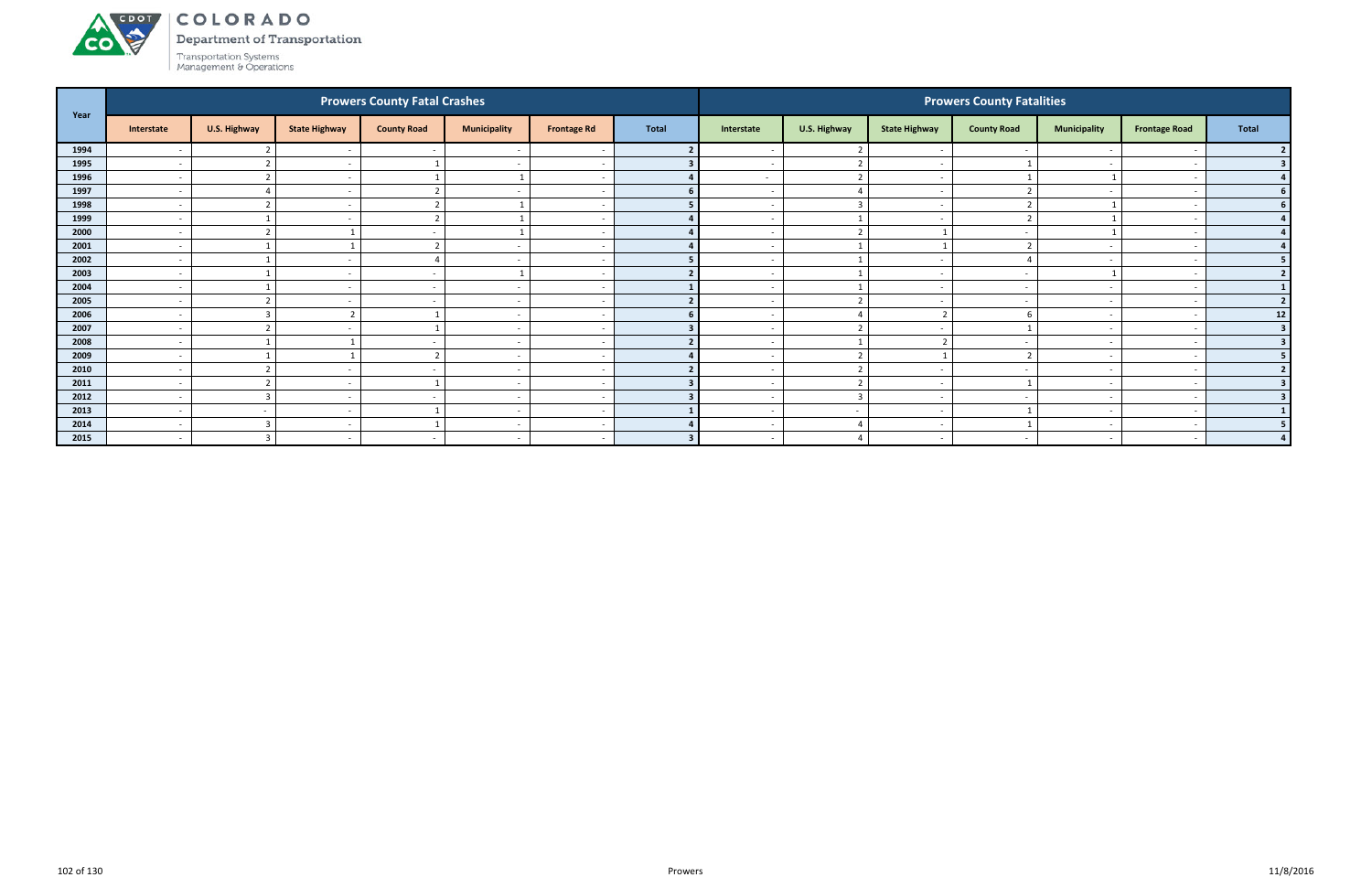# ACDOL

**CO** 

COLORADO

Department of Transportation

| Year |                          |                          |                          | <b>Prowers County Fatal Crashes</b> |                          |                    |              |                          |                          |                          | <b>Prowers County Fatalities</b> |                          |                          |              |
|------|--------------------------|--------------------------|--------------------------|-------------------------------------|--------------------------|--------------------|--------------|--------------------------|--------------------------|--------------------------|----------------------------------|--------------------------|--------------------------|--------------|
|      | Interstate               | U.S. Highway             | <b>State Highway</b>     | <b>County Road</b>                  | <b>Municipality</b>      | <b>Frontage Rd</b> | <b>Total</b> | Interstate               | U.S. Highway             | <b>State Highway</b>     | <b>County Road</b>               | <b>Municipality</b>      | <b>Frontage Road</b>     | <b>Total</b> |
| 1994 | $\overline{\phantom{a}}$ |                          |                          |                                     | $\overline{a}$           |                    |              |                          | $\overline{2}$           |                          |                                  |                          |                          |              |
| 1995 | $\overline{a}$           | r.                       | $\overline{\phantom{a}}$ |                                     | $\sim$                   |                    |              | $\sim$                   | $\overline{2}$           | $\overline{\phantom{a}}$ |                                  | $\sim$                   |                          |              |
| 1996 | $\overline{\phantom{a}}$ | ຳ                        |                          |                                     |                          |                    |              | $\sim$                   | $\overline{2}$           |                          |                                  |                          |                          |              |
| 1997 | $\overline{a}$           |                          | $\overline{\phantom{a}}$ | ຳ                                   | $\overline{a}$           |                    |              |                          |                          | $\overline{\phantom{a}}$ |                                  | $\overline{\phantom{0}}$ |                          |              |
| 1998 | $\overline{\phantom{a}}$ |                          |                          | $\overline{2}$                      |                          |                    |              |                          | $\overline{3}$           |                          |                                  |                          |                          |              |
| 1999 | $\overline{\phantom{a}}$ |                          |                          | ຳ                                   |                          |                    |              | $\overline{\phantom{0}}$ |                          |                          |                                  |                          |                          |              |
| 2000 | $\sim$                   | $\overline{\phantom{a}}$ |                          | $\overline{\phantom{a}}$            |                          |                    |              | $\overline{\phantom{0}}$ | $\overline{2}$           |                          |                                  |                          |                          |              |
| 2001 | $\overline{\phantom{a}}$ |                          |                          | $\overline{2}$                      | $\overline{a}$           |                    |              |                          | $\overline{\phantom{0}}$ |                          |                                  | $\sim$                   |                          |              |
| 2002 | $\overline{\phantom{a}}$ |                          |                          |                                     | $\overline{a}$           |                    |              | $\overline{\phantom{0}}$ | $\overline{1}$           | $\overline{\phantom{a}}$ |                                  | $\overline{\phantom{0}}$ |                          |              |
| 2003 | $\overline{\phantom{a}}$ |                          |                          |                                     |                          |                    |              |                          |                          | $\overline{\phantom{a}}$ |                                  |                          |                          |              |
| 2004 |                          |                          |                          |                                     | $\overline{\phantom{a}}$ |                    |              |                          |                          |                          |                                  |                          |                          |              |
| 2005 | $\overline{a}$           | ຳ                        | $\overline{\phantom{a}}$ | $\sim$                              | $\overline{a}$           |                    |              | $\overline{a}$           | ຳ                        | $\overline{\phantom{a}}$ |                                  | $\overline{\phantom{a}}$ |                          |              |
| 2006 | $\overline{a}$           | $\mathbf{3}$             |                          |                                     | $\overline{a}$           |                    |              | $\overline{\phantom{0}}$ |                          | - 7                      |                                  | $\overline{\phantom{0}}$ |                          | 12           |
| 2007 | $\overline{a}$           | ຳ                        |                          |                                     | $\overline{a}$           |                    |              | $\overline{\phantom{0}}$ | $\mathcal{L}$            |                          |                                  | $\overline{\phantom{0}}$ |                          |              |
| 2008 | $\overline{\phantom{a}}$ |                          |                          |                                     | $\overline{a}$           |                    |              |                          |                          |                          |                                  |                          |                          |              |
| 2009 | $\overline{\phantom{a}}$ |                          |                          | $\overline{z}$                      | $\overline{\phantom{a}}$ |                    |              |                          |                          |                          |                                  |                          |                          |              |
| 2010 | $\overline{a}$           | ຳ                        | <b>.</b>                 |                                     | $\overline{a}$           |                    |              | $\overline{\phantom{0}}$ | $\overline{\phantom{a}}$ |                          |                                  | $\overline{\phantom{0}}$ |                          |              |
| 2011 | $\overline{a}$           |                          | $\overline{\phantom{a}}$ |                                     | $-$                      |                    |              | $\overline{\phantom{0}}$ | $\overline{\phantom{a}}$ | $\overline{\phantom{a}}$ |                                  | $\sim$                   |                          |              |
| 2012 | $\overline{\phantom{a}}$ | -3                       | $\overline{\phantom{a}}$ |                                     | $\overline{a}$           |                    |              |                          | $\overline{\mathbf{3}}$  |                          |                                  |                          |                          |              |
| 2013 | $\overline{a}$           | $\sim$                   | $\overline{\phantom{a}}$ |                                     | $\overline{\phantom{0}}$ |                    |              | $\overline{\phantom{0}}$ | $\overline{a}$           | $\overline{\phantom{a}}$ |                                  | $\overline{\phantom{0}}$ |                          |              |
| 2014 | $\overline{\phantom{a}}$ | -3                       |                          |                                     | $\overline{a}$           |                    |              |                          |                          |                          |                                  |                          |                          |              |
| 2015 | $\overline{\phantom{a}}$ | -3                       | $\overline{\phantom{a}}$ | $\overline{\phantom{a}}$            | $\overline{a}$           |                    | $\mathbf{R}$ | $\overline{\phantom{0}}$ |                          |                          |                                  |                          | $\overline{\phantom{a}}$ | $\mathbf{A}$ |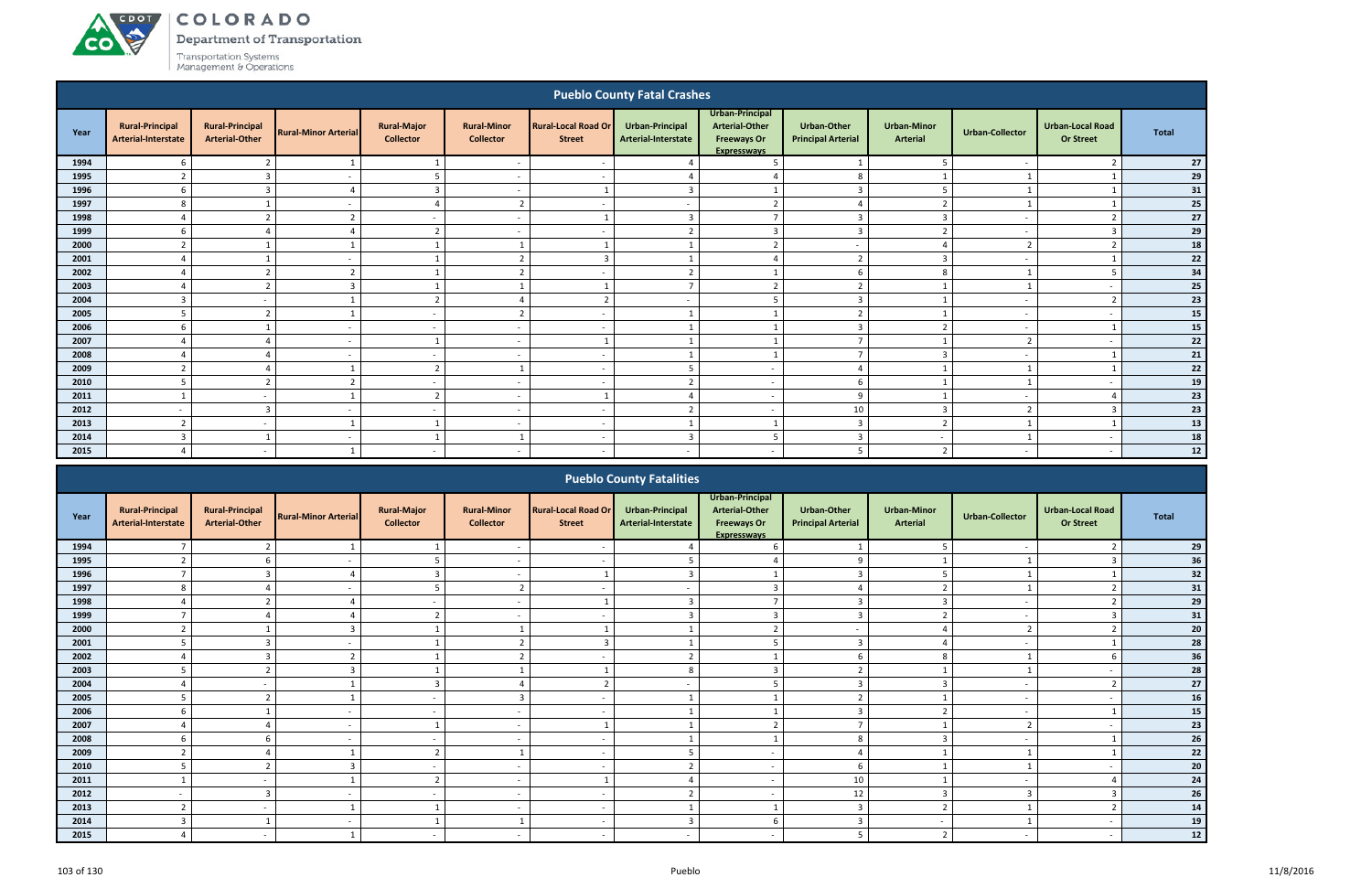ACDOT

**CO** 

Department of Transportation

|                                                                                                                                                                                                                                                                                    |                                               |                                                 |                             |                                        |                                        |                                             | <b>Pueblo County Fatal Crashes</b>     |                                                                                      |                                                 |                                |                          |                                             |              |  |
|------------------------------------------------------------------------------------------------------------------------------------------------------------------------------------------------------------------------------------------------------------------------------------|-----------------------------------------------|-------------------------------------------------|-----------------------------|----------------------------------------|----------------------------------------|---------------------------------------------|----------------------------------------|--------------------------------------------------------------------------------------|-------------------------------------------------|--------------------------------|--------------------------|---------------------------------------------|--------------|--|
| Year                                                                                                                                                                                                                                                                               | <b>Rural-Principal</b><br>Arterial-Interstate | <b>Rural-Principal</b><br><b>Arterial-Other</b> | <b>Rural-Minor Arterial</b> | <b>Rural-Major</b><br><b>Collector</b> | <b>Rural-Minor</b><br><b>Collector</b> | <b>Rural-Local Road Or</b><br><b>Street</b> | Urban-Principal<br>Arterial-Interstate | Urban-Principal<br><b>Arterial-Other</b><br><b>Freeways Or</b><br><b>Expresswavs</b> | <b>Urban-Other</b><br><b>Principal Arterial</b> | <b>Urban-Minor</b><br>Arterial | <b>Urban-Collector</b>   | <b>Urban-Local Road</b><br><b>Or Street</b> | <b>Total</b> |  |
| 1994                                                                                                                                                                                                                                                                               | 6                                             |                                                 |                             |                                        | $\overline{\phantom{0}}$               |                                             |                                        | - 5                                                                                  |                                                 | -5                             |                          |                                             | 27           |  |
| 1995                                                                                                                                                                                                                                                                               | $\overline{2}$                                | $\overline{3}$                                  | $\overline{\phantom{a}}$    | 5                                      | $\overline{\phantom{a}}$               | $\overline{\phantom{a}}$                    |                                        | $\overline{4}$                                                                       | 8                                               |                                |                          |                                             | 29           |  |
| 1996                                                                                                                                                                                                                                                                               | 6                                             | $\overline{3}$                                  | 4                           | $\overline{3}$                         | $\overline{\phantom{a}}$               |                                             | $\overline{3}$                         |                                                                                      | $\overline{3}$                                  | 5                              |                          |                                             | 31           |  |
| 1997                                                                                                                                                                                                                                                                               | 8                                             |                                                 | $\overline{\phantom{a}}$    | $\overline{4}$                         | $\overline{2}$                         | $\overline{\phantom{a}}$                    | $\sim$                                 | $\overline{2}$                                                                       | $\overline{a}$                                  | $\overline{z}$                 |                          |                                             | 25           |  |
| 1998                                                                                                                                                                                                                                                                               | $\overline{4}$                                | $\mathbf{r}$                                    | $\overline{2}$              | $\sim$                                 | $\overline{a}$                         |                                             | 3                                      | $\overline{\phantom{a}}$                                                             | $\overline{3}$                                  | 3                              | $\sim$                   | $\overline{\phantom{a}}$                    | 27           |  |
| 1999                                                                                                                                                                                                                                                                               | 6                                             | Δ                                               | $\Delta$                    | $\overline{2}$                         | $\overline{\phantom{a}}$               | $\overline{\phantom{a}}$                    | $\overline{2}$                         | $\overline{\mathbf{3}}$                                                              | $\overline{3}$                                  | $\overline{2}$                 | $\sim$                   | $\overline{3}$                              | 29<br>18     |  |
| 2000<br>$\overline{2}$<br>$\overline{2}$<br>$\overline{z}$<br>$\overline{\phantom{a}}$<br>1<br>⊿<br>$\overline{a}$<br>$\overline{2}$<br>2001<br>$\overline{2}$<br>$\overline{3}$<br>$\overline{3}$<br>$\Delta$<br>$\Delta$<br>$\overline{\phantom{a}}$<br>$\overline{\phantom{a}}$ |                                               |                                                 |                             |                                        |                                        |                                             |                                        |                                                                                      |                                                 |                                |                          |                                             |              |  |
| $\overline{2}$<br>$\overline{2}$<br>$\overline{2}$<br>6<br>8<br>2002<br>$\overline{2}$<br>-5<br>$\overline{a}$<br>$\overline{\phantom{a}}$                                                                                                                                         |                                               |                                                 |                             |                                        |                                        |                                             |                                        |                                                                                      |                                                 |                                |                          |                                             |              |  |
| $\overline{ }$<br>ຳ                                                                                                                                                                                                                                                                |                                               |                                                 |                             |                                        |                                        |                                             |                                        |                                                                                      |                                                 |                                |                          |                                             |              |  |
| 2003                                                                                                                                                                                                                                                                               | $\overline{4}$                                |                                                 | $\overline{3}$              |                                        |                                        |                                             |                                        | $\overline{2}$                                                                       | $\overline{2}$                                  |                                |                          | $\overline{\phantom{a}}$                    | 25           |  |
| 2004                                                                                                                                                                                                                                                                               | 3                                             | $\overline{\phantom{a}}$                        |                             | $\overline{2}$                         | $\overline{a}$                         | $\mathcal{D}$                               |                                        | -5                                                                                   | $\overline{3}$                                  |                                | $\overline{\phantom{a}}$ | $\overline{\phantom{a}}$                    | 23           |  |
| 2005                                                                                                                                                                                                                                                                               | 5                                             | n,                                              |                             | $\overline{\phantom{a}}$               | $\overline{2}$                         | $\overline{\phantom{a}}$                    |                                        |                                                                                      | $\overline{2}$                                  |                                | $\overline{a}$           | $\overline{a}$                              | 15           |  |
| 2006                                                                                                                                                                                                                                                                               | 6                                             |                                                 | $\overline{\phantom{a}}$    | $\sim$                                 | $\sim$                                 | $\sim$                                      |                                        |                                                                                      | $\overline{3}$                                  | $\overline{2}$                 | $\sim$                   |                                             | 15           |  |
| 2007                                                                                                                                                                                                                                                                               | $\overline{4}$                                | Δ                                               | $\sim$                      |                                        | $\overline{a}$                         |                                             |                                        |                                                                                      | $\overline{7}$                                  |                                | $\overline{2}$           | $\overline{a}$                              | 22           |  |
| 2008                                                                                                                                                                                                                                                                               | $\overline{4}$                                | $\Delta$                                        | $\overline{\phantom{a}}$    | $\sim$                                 | $\overline{\phantom{a}}$               | $\overline{\phantom{a}}$                    |                                        |                                                                                      | $\overline{7}$                                  | $\overline{3}$                 | $\sim$                   |                                             | 21           |  |
| 2009                                                                                                                                                                                                                                                                               | $\overline{2}$                                | Δ                                               |                             | $\overline{2}$                         |                                        | $\overline{\phantom{a}}$                    | 5                                      | $\overline{a}$                                                                       | $\overline{4}$                                  |                                |                          |                                             | 22           |  |
| 2010                                                                                                                                                                                                                                                                               | 5                                             | $\mathcal{D}$                                   | $\overline{2}$              | $\sim$                                 | $\overline{\phantom{a}}$               | $\overline{\phantom{a}}$                    | $\mathcal{L}$                          | $\overline{a}$                                                                       | 6                                               |                                |                          | $\overline{a}$                              | 19           |  |
| 2011                                                                                                                                                                                                                                                                               | $\mathbf{1}$                                  | $\overline{\phantom{0}}$                        | $\mathbf{1}$                | $\overline{2}$                         | $\overline{\phantom{0}}$               |                                             | $\Delta$                               | $\sim$                                                                               | 9                                               |                                | $\overline{\phantom{a}}$ | $\Lambda$                                   | 23           |  |
| 2012                                                                                                                                                                                                                                                                               |                                               | 3                                               |                             | $\overline{\phantom{a}}$               |                                        |                                             | $\mathbf{\Omega}$                      | $\overline{a}$                                                                       | 10                                              | $\overline{3}$                 | ຳ                        | $\mathbf{R}$                                | 23           |  |
| 2013                                                                                                                                                                                                                                                                               | $\overline{2}$                                | $\overline{\phantom{a}}$                        |                             |                                        | $\overline{\phantom{0}}$               | $\overline{\phantom{a}}$                    |                                        |                                                                                      | $\overline{3}$                                  | $\overline{2}$                 |                          |                                             | 13           |  |
| 2014                                                                                                                                                                                                                                                                               | $\overline{3}$                                |                                                 | $\overline{\phantom{a}}$    |                                        |                                        | $\overline{\phantom{a}}$                    | $\overline{3}$                         | -5                                                                                   | $\overline{3}$                                  | $\overline{a}$                 |                          | $\overline{a}$                              | 18           |  |
| 2015                                                                                                                                                                                                                                                                               | $\overline{4}$                                | $\overline{\phantom{0}}$                        |                             | $\sim$                                 | $\overline{\phantom{a}}$               |                                             | $\overline{\phantom{a}}$               | $\sim$                                                                               | 5                                               | $\overline{2}$                 | $\overline{\phantom{a}}$ | $\overline{\phantom{a}}$                    | $12\,$       |  |
|                                                                                                                                                                                                                                                                                    |                                               |                                                 |                             |                                        |                                        |                                             | <b>Pueblo County Fatalities</b>        |                                                                                      |                                                 |                                |                          |                                             |              |  |

|      |                                               |                                                 |                             |                                        |                                        |                                             | <b>Pueblo County Fatalities</b>               |                                                                                      |                                          |                                       |                        |                                             |              |
|------|-----------------------------------------------|-------------------------------------------------|-----------------------------|----------------------------------------|----------------------------------------|---------------------------------------------|-----------------------------------------------|--------------------------------------------------------------------------------------|------------------------------------------|---------------------------------------|------------------------|---------------------------------------------|--------------|
| Year | <b>Rural-Principal</b><br>Arterial-Interstate | <b>Rural-Principal</b><br><b>Arterial-Other</b> | <b>Rural-Minor Arterial</b> | <b>Rural-Major</b><br><b>Collector</b> | <b>Rural-Minor</b><br><b>Collector</b> | <b>Rural-Local Road Or</b><br><b>Street</b> | <b>Urban-Principal</b><br>Arterial-Interstate | Urban-Principal<br><b>Arterial-Other</b><br><b>Freeways Or</b><br><b>Expresswavs</b> | Urban-Other<br><b>Principal Arterial</b> | <b>Urban-Minor</b><br><b>Arterial</b> | <b>Urban-Collector</b> | <b>Urban-Local Road</b><br><b>Or Street</b> | <b>Total</b> |
| 1994 | $\overline{ }$                                |                                                 |                             |                                        |                                        |                                             |                                               |                                                                                      |                                          |                                       |                        |                                             | 29           |
| 1995 |                                               |                                                 |                             | 5                                      |                                        |                                             |                                               |                                                                                      | ۰Q                                       |                                       |                        |                                             | 36           |
| 1996 | $\overline{7}$                                | $\mathbf{B}$                                    | $\Delta$                    | 3                                      | $\sim$                                 |                                             | $\mathbf{3}$                                  |                                                                                      | $\mathbf{3}$                             |                                       |                        |                                             | 32           |
| 1997 | 8                                             |                                                 |                             | -5                                     | $\overline{2}$                         |                                             |                                               |                                                                                      |                                          |                                       |                        |                                             | 31           |
| 1998 |                                               |                                                 |                             | $\sim$                                 |                                        |                                             |                                               |                                                                                      |                                          |                                       |                        |                                             | 29           |
| 1999 | $\overline{ }$                                |                                                 |                             | 2                                      |                                        |                                             |                                               |                                                                                      |                                          | $\mathbf{\cdot}$                      |                        |                                             | 31           |
| 2000 |                                               |                                                 |                             |                                        |                                        |                                             |                                               |                                                                                      |                                          |                                       |                        |                                             | 20           |
| 2001 | 5                                             | $\mathbf{B}$                                    | $\sim$                      |                                        | $\overline{2}$                         | -                                           |                                               |                                                                                      | 3                                        |                                       |                        |                                             | 28           |
| 2002 | $\overline{a}$                                | 3                                               | ຳ                           |                                        | $\overline{2}$                         |                                             | ຳ                                             |                                                                                      | 6                                        | 8                                     |                        |                                             | 36           |
| 2003 |                                               | n,                                              | 3                           |                                        | $\mathbf{1}$                           |                                             |                                               |                                                                                      |                                          |                                       |                        |                                             | ${\bf 28}$   |
| 2004 |                                               | $\overline{\phantom{a}}$                        |                             | $\overline{3}$                         |                                        |                                             |                                               |                                                                                      | $\mathbf{\Omega}$                        | $\overline{\phantom{a}}$              |                        |                                             | 27           |
| 2005 | 5                                             | n,                                              |                             | $\sim$                                 | $\overline{3}$                         |                                             |                                               |                                                                                      | $\mathbf{\hat{z}}$                       |                                       |                        |                                             | 16           |
| 2006 | 6                                             |                                                 | $\sim$                      | $\sim$                                 | $\overline{\phantom{0}}$               |                                             |                                               |                                                                                      | $\overline{3}$                           | ຳ                                     |                        |                                             | 15           |
| 2007 | $\Delta$                                      |                                                 |                             | $\overline{\mathbf{1}}$                |                                        |                                             |                                               |                                                                                      | $\overline{ }$                           |                                       | ຳ                      |                                             | 23           |
| 2008 | 6                                             |                                                 |                             | $\sim$                                 |                                        |                                             |                                               |                                                                                      | 8                                        |                                       |                        |                                             | ${\bf 26}$   |
| 2009 | $\overline{ }$                                |                                                 |                             | $\overline{2}$                         |                                        |                                             |                                               |                                                                                      |                                          |                                       |                        |                                             | 22           |
| 2010 | 5                                             | $\mathbf{r}$                                    | 3                           | $\sim$                                 | $\sim$                                 |                                             |                                               | $\overline{\phantom{a}}$                                                             | 6                                        |                                       |                        |                                             | 20           |
| 2011 |                                               | $\overline{\phantom{a}}$                        |                             | $\overline{2}$                         |                                        |                                             |                                               | $\overline{\phantom{0}}$                                                             | 10                                       |                                       |                        |                                             | 24           |
| 2012 |                                               | 3                                               |                             | $\sim$                                 |                                        |                                             |                                               |                                                                                      | 12                                       |                                       |                        |                                             | 26           |
| 2013 | $\mathbf{\hat{}}$                             | $\overline{\phantom{a}}$                        |                             |                                        |                                        |                                             |                                               |                                                                                      | $\mathbf{3}$                             |                                       |                        |                                             | ${\bf 14}$   |
| 2014 | 3                                             |                                                 | $\overline{\phantom{a}}$    |                                        |                                        |                                             |                                               |                                                                                      |                                          | $\overline{\phantom{a}}$              |                        |                                             | 19           |
| 2015 | $\overline{4}$                                | $\sim$                                          |                             | $\sim$                                 | $\overline{\phantom{a}}$               |                                             |                                               |                                                                                      |                                          | $\mathcal{D}$                         |                        |                                             | $12\,$       |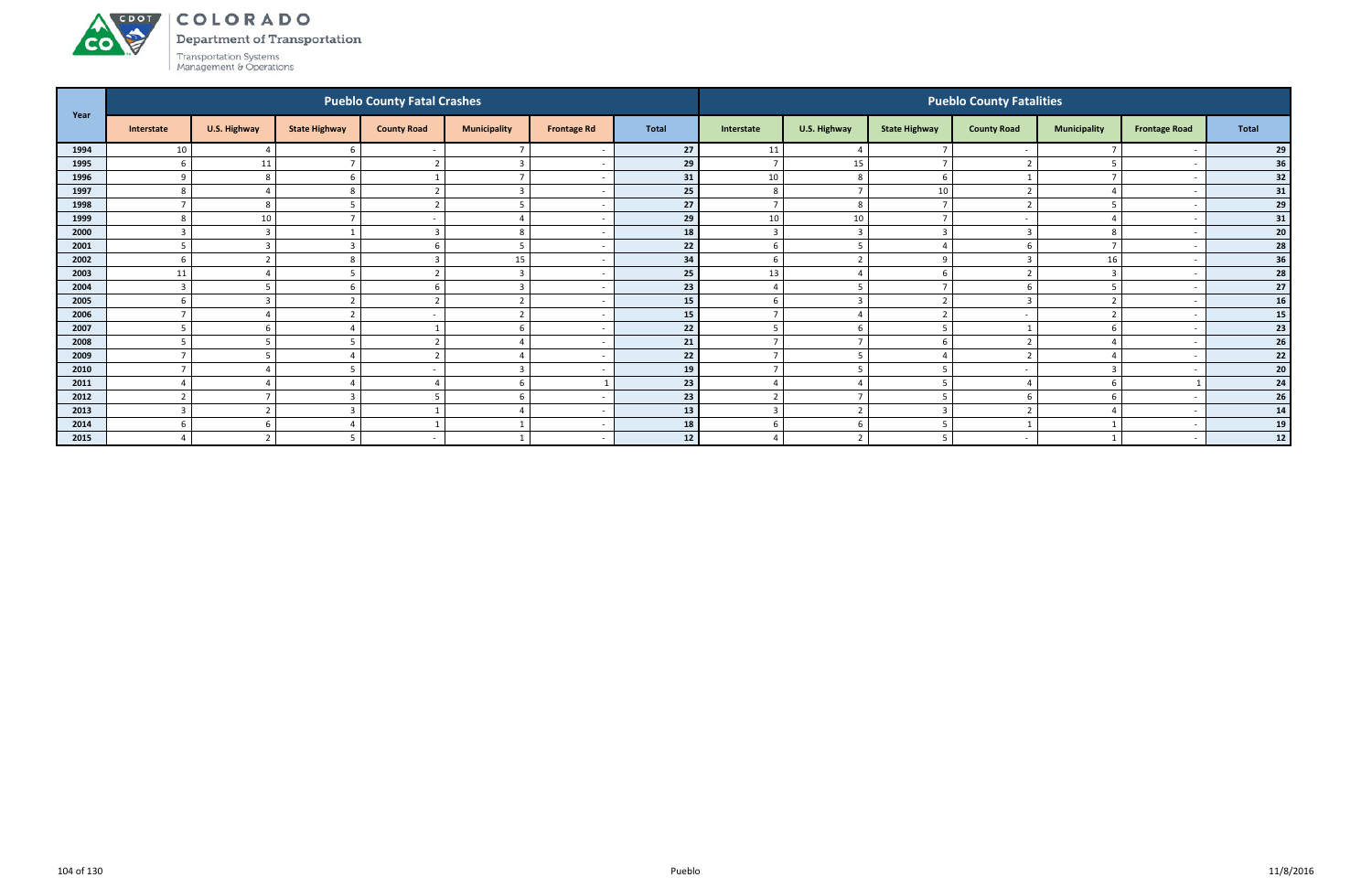Department of Transportation



ACDOL

| Year |                |                |                      | <b>Pueblo County Fatal Crashes</b> |                          |                    |                 |                          |                |                      | <b>Pueblo County Fatalities</b> |                     |                          |                 |
|------|----------------|----------------|----------------------|------------------------------------|--------------------------|--------------------|-----------------|--------------------------|----------------|----------------------|---------------------------------|---------------------|--------------------------|-----------------|
|      | Interstate     | U.S. Highway   | <b>State Highway</b> | <b>County Road</b>                 | <b>Municipality</b>      | <b>Frontage Rd</b> | <b>Total</b>    | Interstate               | U.S. Highway   | <b>State Highway</b> | <b>County Road</b>              | <b>Municipality</b> | <b>Frontage Road</b>     | Total           |
| 1994 | 10             |                |                      |                                    |                          |                    | 27              | 11                       |                |                      |                                 |                     |                          | 29              |
| 1995 | 6              | 11             |                      | $\overline{2}$                     | $\overline{3}$           |                    | 29              | $\overline{7}$           | 15             |                      |                                 | -5                  |                          | 36              |
| 1996 | $\mathbf{q}$   | -8             |                      |                                    | $\overline{\phantom{a}}$ |                    | 31              | 10                       | - 8            |                      |                                 | $\overline{7}$      | $\overline{\phantom{a}}$ | 32              |
| 1997 | 8              |                |                      |                                    | $\overline{3}$           |                    | 25              | 8                        |                | 10                   |                                 |                     | $\overline{\phantom{a}}$ | 31              |
| 1998 |                | 8              |                      |                                    | 5                        |                    | 27              | $\overline{ }$           | 8              |                      |                                 | 5                   |                          | 29              |
| 1999 | $\mathbf{8}$   | 10             |                      |                                    |                          |                    | 29              | 10                       | 10             |                      |                                 |                     |                          | 31              |
| 2000 | ຳ              | ຳ<br>-C        |                      | $\overline{3}$                     | 8                        |                    | 18              | $\overline{3}$           | $\overline{3}$ |                      |                                 | 8                   |                          | 20 <sub>2</sub> |
| 2001 | 5              | E              |                      | -6                                 | -5                       |                    | 22              | 6                        | $\overline{5}$ |                      |                                 | $\mathbf{z}$        | $\overline{\phantom{a}}$ | 28              |
| 2002 | 6              | $\overline{ }$ |                      | 3                                  | 15                       |                    | 34              | 6                        | $\overline{2}$ | q                    |                                 | 16                  | $\overline{\phantom{a}}$ | 36              |
| 2003 | 11             |                |                      | ຳ                                  | $\overline{3}$           |                    | 25              | 13                       |                |                      |                                 | $\overline{3}$      |                          | 28              |
| 2004 | $\overline{3}$ |                |                      |                                    | $\overline{3}$           |                    | 23              |                          |                |                      |                                 | -5                  |                          | 27              |
| 2005 | 6              | -              |                      | ി                                  |                          |                    | 15 <sup>1</sup> | -6                       | $\mathbf{R}$   |                      |                                 | ຳ                   |                          | 16              |
| 2006 |                |                |                      |                                    | $\mathcal{D}$            |                    | 15              | 7                        |                |                      | $\overline{\phantom{a}}$        | $\overline{2}$      | $\overline{\phantom{a}}$ | 15              |
| 2007 | -5             | 6              |                      |                                    | 6                        |                    | 22              | 5                        | 6              |                      |                                 | 6                   |                          | 23              |
| 2008 |                |                |                      |                                    |                          |                    | 21              |                          |                |                      |                                 |                     |                          | 26              |
| 2009 |                |                |                      | $\overline{2}$                     |                          |                    | 22              | $\overline{7}$           |                |                      |                                 |                     |                          | 22              |
| 2010 |                |                |                      |                                    | $\mathbf{a}$             |                    | 19              | $\overline{\phantom{a}}$ |                |                      |                                 | 3                   |                          | 20 <sub>2</sub> |
| 2011 |                |                |                      |                                    | 6                        |                    | 23              |                          |                |                      |                                 | 6                   |                          | 24              |
| 2012 | $\overline{2}$ |                |                      | .5                                 | 6                        |                    | 23              | $\overline{2}$           |                |                      |                                 | 6                   |                          | 26              |
| 2013 | $\overline{3}$ | ຳ              |                      |                                    |                          |                    | 13              | $\overline{3}$           | $\overline{2}$ | -                    |                                 |                     |                          | 14              |
| 2014 | b              | <b>D</b>       |                      |                                    |                          |                    | 18              | 6                        | b              |                      |                                 |                     |                          | 19              |
| 2015 |                | -2             |                      |                                    |                          |                    | 12              |                          | $\mathcal{L}$  |                      |                                 |                     | $\overline{\phantom{a}}$ | 12              |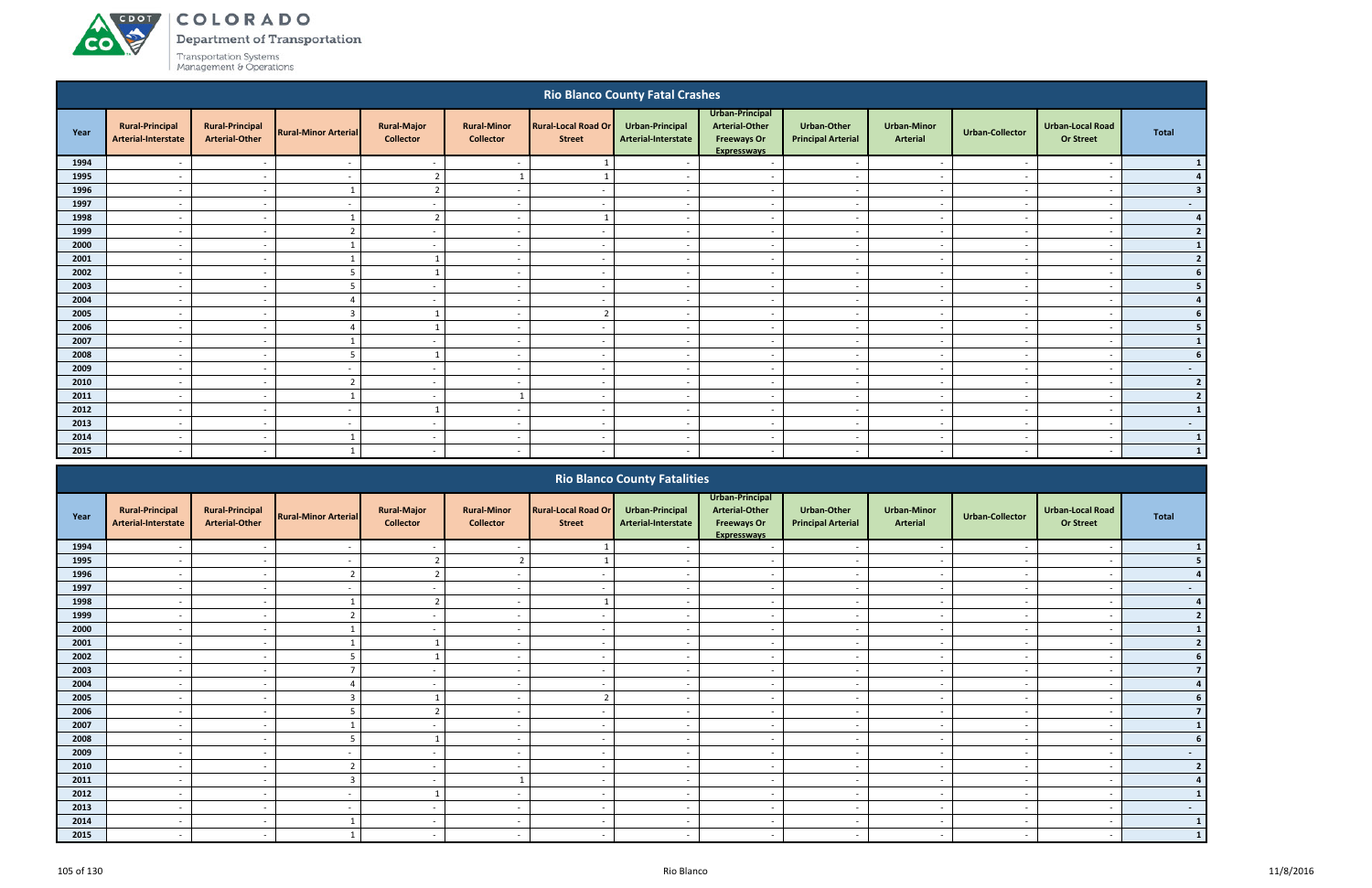## ACDOT **CO**

COLORADO

**Department of Transportation** 

| <b>Rio Blanco County Fatal Crashes</b> |                                                      |                                                      |                                            |                                        |                                        |                                                      |                                                      |                                                                                      |                                                      |                                                      |                          |                                                      |                |
|----------------------------------------|------------------------------------------------------|------------------------------------------------------|--------------------------------------------|----------------------------------------|----------------------------------------|------------------------------------------------------|------------------------------------------------------|--------------------------------------------------------------------------------------|------------------------------------------------------|------------------------------------------------------|--------------------------|------------------------------------------------------|----------------|
| Year                                   | <b>Rural-Principal</b><br>Arterial-Interstate        | <b>Rural-Principal</b><br><b>Arterial-Other</b>      | <b>Rural-Minor Arterial</b>                | <b>Rural-Major</b><br><b>Collector</b> | <b>Rural-Minor</b><br><b>Collector</b> | <b>Rural-Local Road Or</b><br><b>Street</b>          | <b>Urban-Principal</b><br>Arterial-Interstate        | Urban-Principal<br><b>Arterial-Other</b><br><b>Freeways Or</b><br><b>Expresswavs</b> | Urban-Other<br><b>Principal Arterial</b>             | <b>Urban-Minor</b><br><b>Arterial</b>                | <b>Urban-Collector</b>   | <b>Urban-Local Road</b><br><b>Or Street</b>          | <b>Total</b>   |
| 1994                                   |                                                      | $\overline{\phantom{a}}$                             |                                            | $\sim$                                 |                                        |                                                      |                                                      | $\overline{\phantom{a}}$                                                             | $\overline{\phantom{a}}$                             | $\overline{a}$                                       |                          | $\overline{\phantom{a}}$                             | $\vert$ 1      |
| 1995                                   |                                                      | $\overline{\phantom{a}}$                             | $\overline{\phantom{a}}$                   | $\overline{2}$                         |                                        |                                                      | $\overline{\phantom{a}}$                             | $\overline{\phantom{a}}$                                                             | $\overline{\phantom{a}}$                             | $\sim$                                               |                          | $\overline{a}$                                       | 4              |
| 1996                                   | $\overline{\phantom{a}}$                             | $\overline{\phantom{a}}$                             | $\mathbf{1}$                               | $\overline{2}$                         | $\overline{\phantom{a}}$               | $\sim$                                               | $\overline{\phantom{a}}$                             | $\sim$                                                                               | $\overline{\phantom{a}}$                             | $\sim$                                               |                          | $\overline{\phantom{a}}$                             | 3 <sup>1</sup> |
| 1997                                   | $\overline{\phantom{a}}$                             | $\overline{\phantom{a}}$                             | $\overline{\phantom{a}}$                   | $\sim$                                 | $\overline{\phantom{a}}$               | $\sim$                                               | $\overline{\phantom{a}}$                             | $\overline{a}$                                                                       | $\overline{\phantom{a}}$                             | $\sim$                                               |                          | $\sim$                                               | $\sim$ $-$     |
| 1998                                   | $\overline{\phantom{a}}$                             | $\overline{\phantom{a}}$                             |                                            | $\overline{2}$                         | $\overline{a}$                         | $\overline{1}$                                       | $\overline{\phantom{a}}$                             | $\overline{a}$                                                                       | $\overline{\phantom{a}}$                             | $\sim$                                               |                          | $\overline{a}$                                       | 4              |
| 1999                                   | $\overline{\phantom{a}}$                             | $\overline{a}$                                       | $\overline{2}$                             | $\sim$                                 | $\overline{\phantom{a}}$               | $\sim$                                               | $\overline{\phantom{a}}$                             | $\sim$                                                                               | $\overline{\phantom{0}}$                             | $\sim$                                               | <b>.</b>                 | $\overline{a}$                                       | $2 \mid$       |
| 2000                                   | $\overline{\phantom{a}}$                             | $\overline{\phantom{a}}$                             |                                            | $\sim$                                 | $\overline{a}$                         | $\overline{\phantom{a}}$                             | $\sim$                                               | $\sim$                                                                               | $\overline{\phantom{a}}$                             | $\sim$                                               | $\sim$                   | $\overline{a}$                                       | $\mathbf{1}$   |
| 2001                                   | $\overline{\phantom{a}}$                             | $\overline{\phantom{a}}$                             |                                            | $\overline{1}$                         | $\overline{a}$                         | $\overline{\phantom{a}}$                             | $\sim$                                               | $\sim$<br>$\overline{a}$                                                             |                                                      | $\sim$<br><b>.</b>                                   |                          | $\overline{a}$                                       | $\overline{2}$ |
| 2002                                   | $\sim$                                               | $\overline{\phantom{a}}$                             | 5                                          | 1                                      | $\overline{\phantom{a}}$               | $\overline{\phantom{a}}$<br>$\overline{\phantom{a}}$ |                                                      | $\overline{a}$                                                                       | $\overline{\phantom{a}}$                             | $\overline{\phantom{a}}$<br>$\overline{\phantom{a}}$ |                          | $\overline{\phantom{a}}$                             | 6 <sup>1</sup> |
| 2003                                   | $\overline{\phantom{a}}$                             | $\overline{\phantom{a}}$                             |                                            | $\sim$                                 | $\overline{\phantom{a}}$               | $\sim$                                               | $\sim$                                               | $\sim$<br>$\overline{\phantom{a}}$                                                   |                                                      | $\sim$<br>$\overline{\phantom{a}}$                   |                          | $\overline{\phantom{a}}$                             | 5 <sub>1</sub> |
| 2004                                   | $\overline{\phantom{a}}$                             | $\overline{\phantom{a}}$                             |                                            | $\sim$                                 | $\sim$                                 | $\sim$                                               | $\sim$                                               | $\sim$<br>$\sim$                                                                     |                                                      | $\sim$<br>$\overline{\phantom{a}}$                   |                          | $\overline{\phantom{a}}$                             | 4              |
| 2005                                   | $\overline{\phantom{a}}$                             | $\sim$                                               | $\overline{3}$                             | $\mathbf{1}$                           | $\overline{\phantom{a}}$               | $\overline{2}$                                       | $\overline{\phantom{a}}$                             | $\sim$                                                                               | $\overline{\phantom{a}}$                             | $\sim$                                               | $\overline{\phantom{a}}$ | $\overline{\phantom{a}}$                             | 6 <sup>1</sup> |
| 2006                                   | $\overline{\phantom{a}}$                             | $\overline{\phantom{a}}$                             |                                            | -1                                     | $\overline{a}$                         | $\overline{\phantom{a}}$                             | $\sim$                                               | $\sim$                                                                               | $\overline{\phantom{a}}$                             | $\sim$                                               | . .                      | $\overline{\phantom{a}}$                             | 5 <sub>1</sub> |
| 2007                                   | $\overline{\phantom{a}}$                             | $\sim$                                               |                                            | $\sim$                                 | $\overline{\phantom{a}}$               | $\overline{\phantom{a}}$                             | $\sim$                                               | $\sim$                                                                               | $\overline{\phantom{a}}$                             | $\overline{\phantom{a}}$                             | $\overline{\phantom{a}}$ | $\overline{\phantom{a}}$                             | $\mathbf{1}$   |
| 2008                                   | $\overline{\phantom{a}}$                             | $\overline{\phantom{a}}$                             | 5                                          |                                        | $\overline{\phantom{a}}$               | $\overline{\phantom{a}}$                             | $\overline{\phantom{a}}$                             | $\overline{\phantom{a}}$                                                             | $\overline{\phantom{a}}$                             | $\overline{\phantom{a}}$                             |                          | $\overline{\phantom{a}}$                             | 6 <sup>1</sup> |
| 2009                                   | $\overline{\phantom{a}}$<br>$\overline{\phantom{a}}$ | $\overline{\phantom{a}}$                             | $\overline{\phantom{a}}$<br>$\overline{2}$ | $\sim$<br>$\sim$                       | $\overline{a}$                         | $\overline{\phantom{a}}$                             | $\sim$                                               | $\overline{\phantom{a}}$<br>$\overline{a}$                                           | $\sim$                                               | $\overline{\phantom{a}}$                             |                          | $\overline{\phantom{a}}$                             | $\sim$         |
| 2010<br>2011                           | $\overline{\phantom{a}}$                             | $\overline{\phantom{a}}$<br>$\overline{\phantom{a}}$ |                                            | $\sim$                                 | $\overline{a}$<br>$\mathbf{1}$         | $\sim$<br>$\overline{\phantom{a}}$                   | $\overline{\phantom{a}}$<br>$\overline{\phantom{a}}$ | $\overline{a}$                                                                       | $\overline{\phantom{a}}$                             | $\sim$<br>$\overline{\phantom{a}}$                   |                          | $\overline{a}$                                       | 2<br>2         |
| 2012                                   | $\overline{a}$                                       | $\overline{\phantom{a}}$                             | $\overline{\phantom{a}}$                   | $\overline{1}$                         | $\overline{\phantom{a}}$               | $\sim$                                               | $\overline{\phantom{a}}$                             | $\overline{a}$                                                                       | $\overline{\phantom{a}}$<br>$\overline{\phantom{a}}$ | $\sim$                                               |                          | $\overline{\phantom{a}}$<br>$\overline{\phantom{a}}$ | $\mathbf{1}$   |
| 2013                                   | $\overline{a}$                                       | $\overline{\phantom{a}}$                             | $\overline{\phantom{a}}$                   | $\overline{\phantom{a}}$               | $\overline{a}$                         | $\overline{\phantom{a}}$                             | $\sim$                                               | $\sim$                                                                               | $\sim$                                               | $\sim$                                               | $\sim$                   | $\overline{a}$                                       | $\sim 100$     |
| 2014                                   | $\overline{a}$                                       | $\overline{\phantom{a}}$                             |                                            | $\sim$                                 | $\overline{a}$                         | $\overline{\phantom{a}}$                             | $\sim$                                               | $\overline{a}$                                                                       | $\overline{\phantom{0}}$                             | $\sim$                                               | . .                      | $\overline{a}$                                       | $\mathbf{1}$   |
| 2015                                   | $\overline{\phantom{a}}$                             | $\overline{\phantom{a}}$                             |                                            | $\overline{a}$                         | $\overline{a}$                         | $\sim$                                               | $\sim$                                               | $\sim$                                                                               | $\overline{a}$                                       | $\sim$                                               | $\overline{\phantom{a}}$ | $\overline{\phantom{a}}$                             | $\vert$ 1      |
|                                        |                                                      |                                                      |                                            |                                        |                                        |                                                      |                                                      |                                                                                      |                                                      |                                                      |                          |                                                      |                |
|                                        |                                                      |                                                      |                                            |                                        |                                        |                                                      | <b>Rio Blanco County Fatalities</b>                  |                                                                                      |                                                      |                                                      |                          |                                                      |                |

|      | <b>RIO BIANCO COUNTY FATAILIES</b>            |                                                 |                             |                                        |                                        |                                             |                                        |                                                                               |                                                 |                                |                          |                                             |                          |  |
|------|-----------------------------------------------|-------------------------------------------------|-----------------------------|----------------------------------------|----------------------------------------|---------------------------------------------|----------------------------------------|-------------------------------------------------------------------------------|-------------------------------------------------|--------------------------------|--------------------------|---------------------------------------------|--------------------------|--|
| Year | <b>Rural-Principal</b><br>Arterial-Interstate | <b>Rural-Principal</b><br><b>Arterial-Other</b> | <b>Rural-Minor Arterial</b> | <b>Rural-Major</b><br><b>Collector</b> | <b>Rural-Minor</b><br><b>Collector</b> | <b>Rural-Local Road Or</b><br><b>Street</b> | Urban-Principal<br>Arterial-Interstate | Urban-Principal<br><b>Arterial-Other</b><br><b>Freeways Or</b><br>Expressways | <b>Urban-Other</b><br><b>Principal Arterial</b> | <b>Urban-Minor</b><br>Arterial | <b>Urban-Collector</b>   | <b>Urban-Local Road</b><br><b>Or Street</b> | Total                    |  |
| 1994 |                                               |                                                 |                             | $\sim$                                 |                                        |                                             |                                        |                                                                               | $\overline{\phantom{a}}$                        |                                |                          |                                             |                          |  |
| 1995 |                                               |                                                 |                             | $\overline{\phantom{a}}$               | $\mathcal{L}$<br>∠                     |                                             |                                        |                                                                               | $\overline{\phantom{0}}$                        |                                |                          |                                             |                          |  |
| 1996 |                                               | $\sim$                                          |                             |                                        | $\overline{\phantom{a}}$               |                                             |                                        |                                                                               | $\overline{\phantom{a}}$                        | $\overline{\phantom{a}}$       |                          |                                             |                          |  |
| 1997 |                                               |                                                 |                             |                                        |                                        |                                             |                                        |                                                                               |                                                 |                                |                          |                                             |                          |  |
| 1998 |                                               |                                                 |                             |                                        |                                        |                                             |                                        |                                                                               | $\overline{\phantom{0}}$                        | $\overline{\phantom{0}}$       |                          |                                             |                          |  |
| 1999 | $\overline{\phantom{0}}$                      | $\sim$                                          |                             | $\sim$                                 | $\overline{\phantom{a}}$               |                                             |                                        | $\overline{\phantom{a}}$                                                      | $\overline{\phantom{a}}$                        | $\overline{\phantom{a}}$       | $\overline{\phantom{a}}$ | $\overline{\phantom{0}}$                    |                          |  |
| 2000 |                                               |                                                 |                             |                                        |                                        |                                             |                                        |                                                                               | $\overline{\phantom{a}}$                        | $\overline{\phantom{a}}$       |                          |                                             |                          |  |
| 2001 |                                               |                                                 |                             |                                        |                                        |                                             |                                        |                                                                               | $\overline{\phantom{a}}$                        | $\overline{\phantom{a}}$       |                          |                                             |                          |  |
| 2002 |                                               |                                                 |                             |                                        | $\overline{\phantom{a}}$               |                                             |                                        | $\overline{\phantom{a}}$                                                      | $\overline{\phantom{a}}$                        | $\overline{\phantom{a}}$       |                          |                                             |                          |  |
| 2003 |                                               |                                                 |                             |                                        |                                        |                                             |                                        |                                                                               | $\overline{\phantom{a}}$                        |                                |                          |                                             |                          |  |
| 2004 |                                               | $\sim$                                          |                             | $\sim$                                 | $\overline{\phantom{a}}$               |                                             |                                        | $\sim$                                                                        | $\overline{\phantom{a}}$                        | $\sim$                         | $\overline{\phantom{0}}$ | $\overline{\phantom{a}}$                    |                          |  |
| 2005 |                                               |                                                 |                             |                                        | $\overline{\phantom{a}}$               | $\sqrt{ }$                                  |                                        | $\overline{\phantom{0}}$                                                      | $\overline{\phantom{a}}$                        | $\overline{\phantom{a}}$       |                          |                                             |                          |  |
| 2006 |                                               |                                                 |                             |                                        |                                        |                                             |                                        |                                                                               | $\overline{\phantom{a}}$                        | $\overline{\phantom{a}}$       |                          |                                             |                          |  |
| 2007 |                                               |                                                 |                             |                                        | $\overline{\phantom{a}}$               |                                             |                                        | $\overline{\phantom{a}}$                                                      | $\overline{\phantom{a}}$                        | $\sim$                         |                          |                                             |                          |  |
| 2008 |                                               |                                                 |                             |                                        |                                        |                                             |                                        |                                                                               |                                                 |                                |                          |                                             |                          |  |
| 2009 |                                               | $\sim$                                          |                             | $\sim$                                 | $\overline{\phantom{0}}$               |                                             |                                        | $\overline{\phantom{0}}$                                                      | $\overline{\phantom{a}}$                        | $\overline{\phantom{a}}$       |                          |                                             |                          |  |
| 2010 |                                               | $\sim$                                          |                             | $\sim$                                 | $\overline{\phantom{a}}$               |                                             |                                        | $\overline{\phantom{a}}$                                                      | $\overline{\phantom{a}}$                        | $\overline{\phantom{a}}$       |                          |                                             |                          |  |
| 2011 |                                               |                                                 |                             | $\sim$                                 |                                        |                                             |                                        |                                                                               | $\overline{\phantom{a}}$                        | $\overline{\phantom{a}}$       |                          |                                             |                          |  |
| 2012 |                                               |                                                 |                             |                                        |                                        |                                             |                                        |                                                                               | $\overline{\phantom{0}}$                        | $\overline{\phantom{0}}$       |                          |                                             |                          |  |
| 2013 |                                               |                                                 |                             | $\sim$                                 | $\overline{\phantom{a}}$               |                                             |                                        |                                                                               | $\overline{\phantom{a}}$                        | $\overline{\phantom{a}}$       |                          |                                             | $\overline{\phantom{a}}$ |  |
| 2014 |                                               |                                                 |                             |                                        |                                        |                                             |                                        |                                                                               |                                                 |                                |                          |                                             |                          |  |
| 2015 |                                               |                                                 |                             | $\sim$                                 | $\overline{\phantom{a}}$               |                                             |                                        |                                                                               | $\overline{\phantom{a}}$                        | $\overline{\phantom{a}}$       |                          |                                             |                          |  |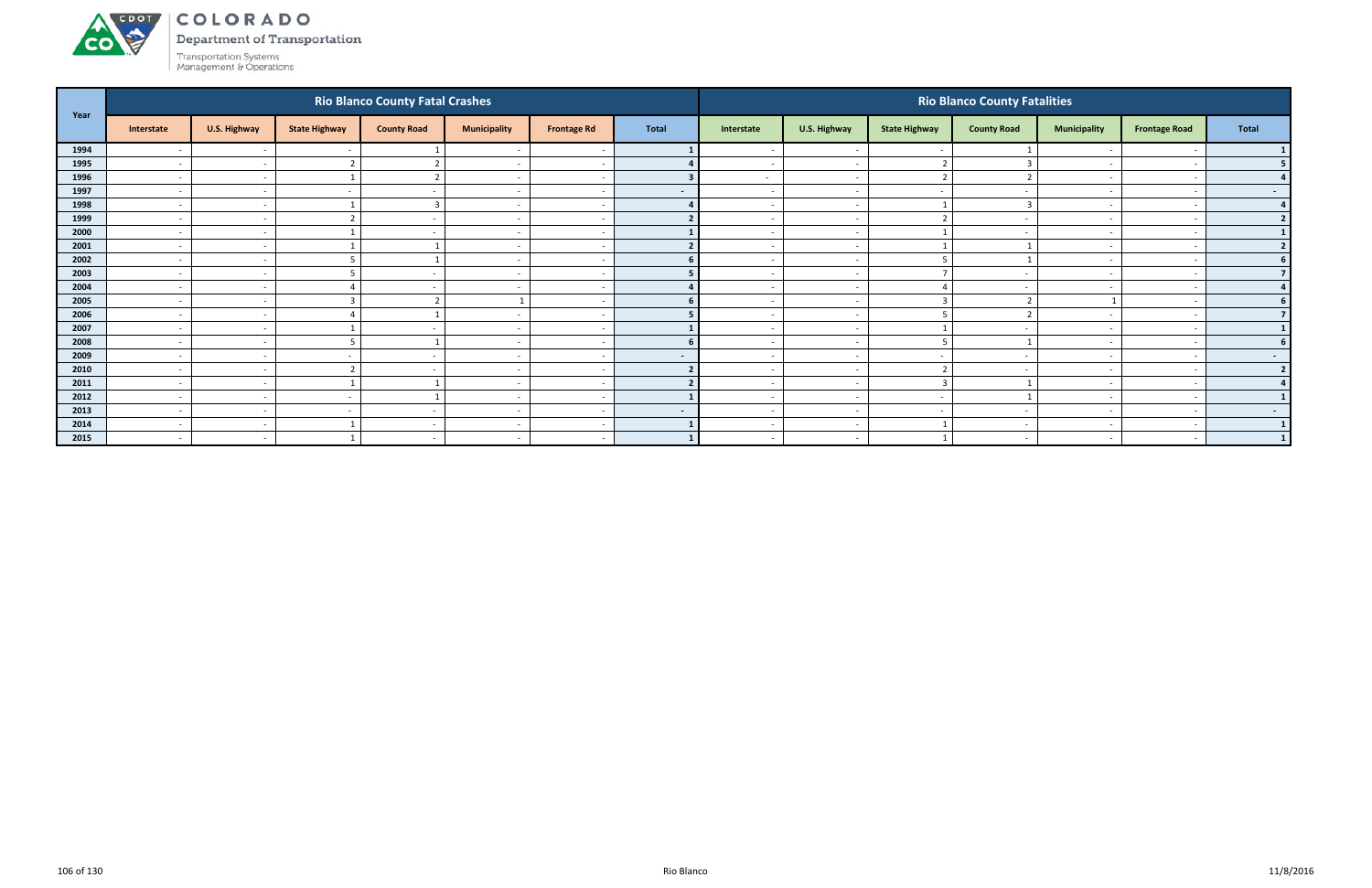Department of Transportation



| Year |                          | <b>Rio Blanco County Fatal Crashes</b> |                      |                          |                          |                          |                |                          |                          | <b>Rio Blanco County Fatalities</b> |                          |                          |                          |                |  |  |  |  |
|------|--------------------------|----------------------------------------|----------------------|--------------------------|--------------------------|--------------------------|----------------|--------------------------|--------------------------|-------------------------------------|--------------------------|--------------------------|--------------------------|----------------|--|--|--|--|
|      | Interstate               | U.S. Highway                           | <b>State Highway</b> | <b>County Road</b>       | <b>Municipality</b>      | <b>Frontage Rd</b>       | <b>Total</b>   | Interstate               | U.S. Highway             | <b>State Highway</b>                | <b>County Road</b>       | <b>Municipality</b>      | <b>Frontage Road</b>     | Total          |  |  |  |  |
| 1994 | $\overline{\phantom{a}}$ | $\sim$                                 |                      |                          |                          | $\overline{\phantom{a}}$ |                |                          | $\sim$                   |                                     |                          |                          |                          |                |  |  |  |  |
| 1995 | $\overline{a}$           | $\sim$                                 |                      | ຳ                        | $\overline{\phantom{a}}$ | $\sim$                   |                | $\sim$                   | $\sim$                   |                                     |                          | $\overline{\phantom{0}}$ |                          | 5 <sub>1</sub> |  |  |  |  |
| 1996 | $\overline{\phantom{0}}$ | $\sim$                                 |                      | $\overline{2}$           | $\overline{\phantom{a}}$ | $\overline{\phantom{a}}$ |                | $\sim$                   | $\overline{a}$           | $\mathcal{L}$                       |                          | $\overline{\phantom{0}}$ |                          | 4 <sup>1</sup> |  |  |  |  |
| 1997 | $\overline{\phantom{0}}$ | $\sim$                                 |                      |                          | $\overline{\phantom{a}}$ | $\overline{\phantom{a}}$ | $\blacksquare$ |                          | $\sim$                   |                                     |                          | $\overline{\phantom{0}}$ |                          | $\sim$ $-$     |  |  |  |  |
| 1998 | $\sim$                   | $\sim$                                 |                      | $\mathbf{3}$             | $\overline{\phantom{a}}$ | $\overline{a}$           |                |                          | $\sim$                   |                                     |                          |                          |                          | 4              |  |  |  |  |
| 1999 | $\overline{\phantom{a}}$ | $\sim$                                 |                      |                          |                          |                          |                |                          | $\sim$                   |                                     |                          |                          |                          | 2              |  |  |  |  |
| 2000 | $\overline{a}$           | $\overline{\phantom{a}}$               |                      | $\overline{\phantom{a}}$ | $\overline{\phantom{a}}$ | $\sim$                   |                | $\sim$                   | $\sim$                   |                                     |                          | $\sim$                   |                          | $\mathbf{1}$   |  |  |  |  |
| 2001 | $\sim$                   | $\sim$                                 |                      |                          | $\overline{\phantom{a}}$ | $\overline{a}$           |                |                          | $\sim$                   |                                     |                          | $\sim$                   |                          | $2 \mid$       |  |  |  |  |
| 2002 | $\overline{\phantom{a}}$ | $\sim$                                 |                      |                          | $\overline{\phantom{a}}$ |                          |                |                          | $\sim$                   |                                     |                          |                          |                          | 6 <sup>1</sup> |  |  |  |  |
| 2003 | $\sim$                   | $\overline{\phantom{a}}$               |                      |                          | $\overline{\phantom{a}}$ | $\sim$                   |                |                          | $\overline{\phantom{a}}$ |                                     |                          | $\sim$                   |                          | 7 <sup>1</sup> |  |  |  |  |
| 2004 | $\overline{\phantom{a}}$ | $\sim$                                 |                      |                          |                          |                          |                |                          | $\sim$                   |                                     |                          |                          |                          | $\overline{4}$ |  |  |  |  |
| 2005 | $\overline{a}$           | $\overline{\phantom{a}}$               |                      |                          |                          | $\sim$                   |                | $\sim$                   | $\overline{\phantom{a}}$ | 3                                   |                          |                          | $\overline{\phantom{a}}$ | 6 <sup>1</sup> |  |  |  |  |
| 2006 | $\overline{\phantom{0}}$ | $\sim$                                 |                      |                          | $\overline{\phantom{a}}$ | $\overline{a}$           |                |                          | $\sim$                   | 5                                   |                          | $\sim$                   |                          | 7 <sup>1</sup> |  |  |  |  |
| 2007 | $\sim$                   | $\overline{\phantom{a}}$               |                      |                          | $\overline{\phantom{0}}$ | . .                      |                |                          | $\overline{\phantom{a}}$ |                                     |                          | $\overline{\phantom{0}}$ |                          | 1 <sup>1</sup> |  |  |  |  |
| 2008 | $\sim$                   | $\sim$                                 |                      |                          | $\overline{\phantom{a}}$ | $\sim$                   | 6              |                          | $\sim$                   | 5                                   |                          |                          |                          | 6 <sup>1</sup> |  |  |  |  |
| 2009 | $\sim$                   | $\sim$                                 |                      |                          |                          | $\sim$                   | $\sim$         |                          | $\sim$                   |                                     |                          |                          |                          | $\sim$ $-$     |  |  |  |  |
| 2010 | $\overline{a}$           | $\sim$                                 |                      | $\sim$                   | $\overline{\phantom{a}}$ | $\sim$                   |                | $\sim$                   | $\overline{\phantom{a}}$ | $\mathbf{\Omega}$                   | $\overline{\phantom{0}}$ | $\overline{\phantom{a}}$ | $\overline{\phantom{a}}$ | $\overline{2}$ |  |  |  |  |
| 2011 | $\overline{a}$           | $\sim$                                 |                      |                          | $\overline{\phantom{a}}$ | $\overline{\phantom{a}}$ |                | $\overline{\phantom{0}}$ | $\overline{\phantom{a}}$ | $\overline{3}$                      |                          | $\sim$                   |                          | 4              |  |  |  |  |
| 2012 | $\sim$                   | $\sim$                                 |                      |                          | $\overline{\phantom{a}}$ | $\overline{\phantom{a}}$ |                |                          | $\overline{\phantom{a}}$ |                                     |                          | $\overline{\phantom{a}}$ |                          | 1              |  |  |  |  |
| 2013 | $\sim$                   | $\sim$                                 |                      | $\overline{\phantom{a}}$ | $\overline{\phantom{a}}$ | $\sim$                   | $\sim$         | $\overline{\phantom{0}}$ | $\overline{\phantom{a}}$ | $\overline{\phantom{a}}$            |                          | $\sim$                   |                          | $\sim$ $-$     |  |  |  |  |
| 2014 | $\overline{\phantom{a}}$ | $\sim$                                 |                      |                          | $\overline{\phantom{a}}$ | $\overline{\phantom{a}}$ |                |                          | $\sim$                   |                                     |                          |                          |                          | $\mathbf{1}$   |  |  |  |  |
| 2015 | $\overline{a}$           | $\sim$                                 |                      | $\sim$                   | $\overline{\phantom{a}}$ | $\sim$                   |                | $\sim$                   | $\sim$                   |                                     | $\overline{\phantom{a}}$ | $\overline{a}$           | $\overline{\phantom{a}}$ | 1              |  |  |  |  |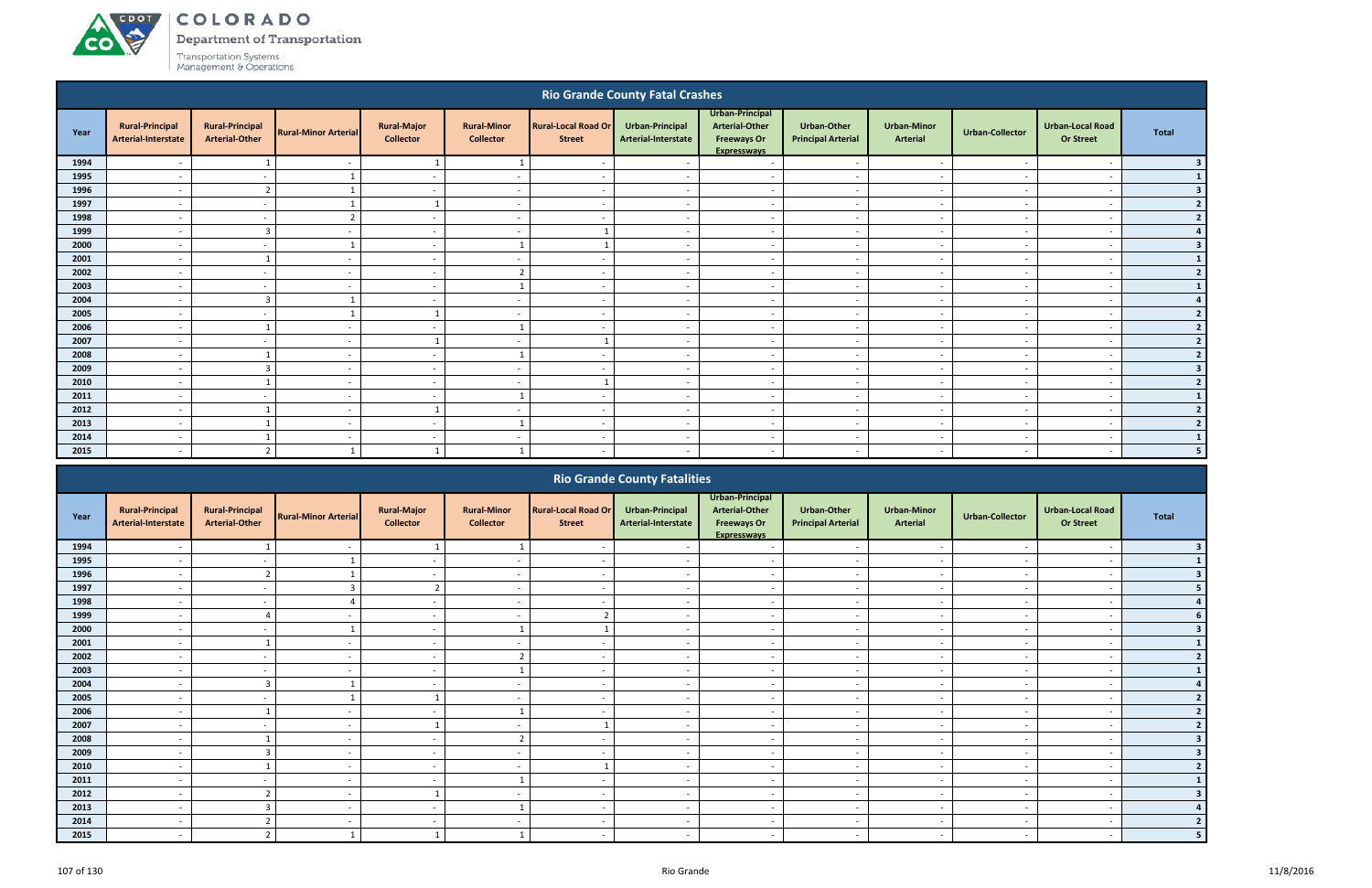**CO** 

**Department of Transportation** 

|              | <b>Rio Grande County Fatal Crashes</b>               |                                                 |                                                      |                                                      |                                            |                                             |                                                      |                                                                                      |                                                 |                                       |                                    |                                                      |                                           |
|--------------|------------------------------------------------------|-------------------------------------------------|------------------------------------------------------|------------------------------------------------------|--------------------------------------------|---------------------------------------------|------------------------------------------------------|--------------------------------------------------------------------------------------|-------------------------------------------------|---------------------------------------|------------------------------------|------------------------------------------------------|-------------------------------------------|
| Year         | <b>Rural-Principal</b><br>Arterial-Interstate        | <b>Rural-Principal</b><br><b>Arterial-Other</b> | <b>Rural-Minor Arterial</b>                          | <b>Rural-Major</b><br><b>Collector</b>               | <b>Rural-Minor</b><br><b>Collector</b>     | <b>Rural-Local Road Or</b><br><b>Street</b> | Urban-Principal<br>Arterial-Interstate               | Urban-Principal<br><b>Arterial-Other</b><br><b>Freeways Or</b><br><b>Expresswavs</b> | <b>Urban-Other</b><br><b>Principal Arterial</b> | <b>Urban-Minor</b><br><b>Arterial</b> | <b>Urban-Collector</b>             | <b>Urban-Local Road</b><br><b>Or Street</b>          | <b>Total</b>                              |
| 1994         | $\overline{\phantom{a}}$                             |                                                 | $\overline{\phantom{a}}$                             | $\overline{1}$                                       |                                            | $\overline{a}$                              | $\overline{\phantom{a}}$                             | $\overline{\phantom{a}}$                                                             | $\sim$                                          | $\sim$                                | $\overline{\phantom{a}}$           | $\overline{\phantom{a}}$                             | $\overline{\mathbf{3}}$                   |
| 1995         | $\overline{\phantom{a}}$                             | $\overline{a}$                                  | $\mathbf{1}$                                         | $\sim$                                               | $\overline{a}$                             | $\overline{\phantom{a}}$                    | $\overline{\phantom{a}}$                             | $\overline{a}$                                                                       | $\sim$                                          | $\overline{\phantom{a}}$              | $\sim$                             | $\overline{\phantom{a}}$                             |                                           |
| 1996         | $\overline{\phantom{a}}$                             | $\overline{2}$                                  |                                                      | $\sim$                                               | $\overline{a}$                             | $\sim$                                      | $\overline{a}$                                       | $\overline{a}$                                                                       | $\overline{a}$                                  | $\sim$                                | $\overline{a}$                     | $\overline{\phantom{a}}$                             | $\overline{\mathbf{3}}$                   |
| 1997         | $\overline{\phantom{a}}$                             | $\overline{a}$                                  |                                                      | $\overline{1}$                                       | $\overline{a}$                             | $\overline{\phantom{a}}$                    | $\overline{\phantom{a}}$                             | $\overline{\phantom{a}}$                                                             | $\overline{a}$                                  | $\overline{\phantom{a}}$              | $\overline{\phantom{a}}$           | $\overline{\phantom{a}}$                             | $\overline{2}$                            |
| 1998         | $\overline{\phantom{a}}$                             | $\overline{a}$                                  | ຳ                                                    | $\sim$                                               | $\overline{a}$                             | $\sim$                                      | $\overline{\phantom{a}}$                             | $\overline{a}$                                                                       | $\overline{a}$                                  | $\sim$                                | $\overline{\phantom{a}}$           | $\overline{\phantom{a}}$                             | $\overline{2}$                            |
| 1999         | $\overline{\phantom{a}}$                             | $\overline{3}$                                  | $\overline{a}$                                       | $\overline{\phantom{a}}$                             | $\overline{\phantom{a}}$                   | 1                                           | $\overline{a}$                                       | $\sim$                                                                               | $\overline{a}$                                  | $\overline{\phantom{a}}$              | $\sim$                             | $\overline{\phantom{a}}$                             |                                           |
| 2000         | $\overline{\phantom{a}}$                             | $\overline{\phantom{a}}$                        |                                                      | $\sim$                                               | $\overline{1}$                             | $\overline{1}$                              | $\sim$                                               | $\overline{\phantom{a}}$                                                             | $\overline{\phantom{a}}$                        | $\sim$                                | $\overline{\phantom{a}}$           | $\overline{\phantom{a}}$                             | $\overline{\mathbf{3}}$                   |
| 2001         | $\overline{\phantom{a}}$                             | $\overline{1}$                                  | $\overline{\phantom{a}}$                             | $\sim$                                               | $\overline{\phantom{a}}$                   | $\overline{\phantom{a}}$                    | $\overline{\phantom{a}}$                             | $\overline{\phantom{a}}$                                                             | $\sim$                                          | $\overline{\phantom{a}}$              | $\overline{\phantom{a}}$           | $\overline{\phantom{a}}$                             | $\mathbf{1}$                              |
| 2002         | $\overline{\phantom{a}}$                             | $\overline{\phantom{a}}$                        | $\overline{\phantom{a}}$                             | $\sim$                                               | $\overline{2}$                             | $\overline{\phantom{a}}$                    | $\sim$                                               | $\overline{\phantom{a}}$                                                             | $\sim$                                          | $\overline{\phantom{a}}$              | $\sim$                             | $\overline{\phantom{a}}$                             | $\overline{2}$                            |
| 2003         | $\overline{\phantom{a}}$                             | $\overline{\phantom{a}}$                        | $\overline{\phantom{0}}$                             | $\sim$                                               | $\mathbf{1}$                               | $\overline{\phantom{a}}$                    | $\overline{\phantom{a}}$                             | $\overline{\phantom{a}}$                                                             | $\sim$                                          | $\overline{\phantom{a}}$              | $\overline{\phantom{a}}$           | $\overline{\phantom{a}}$                             | $\mathbf{1}$                              |
| 2004         | $\overline{\phantom{a}}$                             | $\overline{3}$                                  |                                                      | $\sim$                                               | $\overline{\phantom{a}}$                   | $\overline{\phantom{a}}$                    | $\overline{\phantom{a}}$                             | $\overline{\phantom{a}}$                                                             | $\overline{\phantom{a}}$                        | $\sim$                                | $\overline{\phantom{a}}$           | $\overline{\phantom{a}}$                             | $\overline{a}$                            |
| 2005         | $\overline{\phantom{a}}$                             | $\overline{\phantom{a}}$                        |                                                      | $\overline{1}$                                       | $\overline{a}$                             | $\sim$                                      | $\overline{\phantom{a}}$                             | $\overline{\phantom{a}}$                                                             | $\overline{a}$                                  | $\overline{\phantom{a}}$              | $\overline{\phantom{a}}$           | $\overline{\phantom{a}}$                             | $\overline{2}$                            |
| 2006         | $\overline{\phantom{0}}$                             |                                                 | $\overline{\phantom{0}}$                             | $\overline{\phantom{a}}$                             | $\overline{1}$                             | $\sim$                                      | $\overline{\phantom{a}}$                             | $\overline{a}$                                                                       | $\overline{\phantom{a}}$                        | $\overline{\phantom{a}}$              | - -                                | $\overline{\phantom{a}}$                             | $\overline{2}$                            |
| 2007         | $\overline{\phantom{a}}$                             | $\overline{a}$<br>$\mathbf{1}$                  | $\overline{\phantom{a}}$                             | $\overline{1}$                                       | $\overline{a}$                             | 1                                           | $\overline{\phantom{a}}$                             | $\overline{\phantom{a}}$                                                             | $\overline{a}$                                  | $\overline{\phantom{a}}$              | $\overline{\phantom{a}}$           | $\overline{\phantom{a}}$                             | $\overline{2}$                            |
| 2008         | $\overline{\phantom{a}}$                             |                                                 | $\overline{\phantom{a}}$                             | $\overline{\phantom{a}}$                             | $\mathbf{1}$                               | $\sim$                                      | $\overline{\phantom{a}}$                             | $\overline{\phantom{a}}$                                                             | $\overline{\phantom{a}}$                        | $\sim$                                | $\overline{\phantom{a}}$           | $\overline{\phantom{a}}$                             | $\overline{2}$                            |
| 2009<br>2010 | $\overline{\phantom{a}}$<br>$\overline{\phantom{a}}$ | $\overline{3}$                                  | $\overline{\phantom{a}}$<br>$\overline{\phantom{a}}$ | $\overline{\phantom{a}}$<br>$\overline{\phantom{a}}$ | $\overline{a}$<br>$\overline{\phantom{a}}$ | $\overline{\phantom{a}}$<br>1               | $\overline{\phantom{a}}$<br>$\overline{\phantom{a}}$ | $\overline{\phantom{a}}$<br>$\overline{\phantom{a}}$                                 | $\sim$<br>$\overline{a}$                        | $\overline{\phantom{a}}$<br>$\sim$    | $\sim$<br>$\overline{\phantom{a}}$ | $\overline{\phantom{a}}$<br>$\overline{\phantom{a}}$ | $\overline{\mathbf{3}}$<br>$\overline{2}$ |
| 2011         | $\overline{\phantom{a}}$                             | $\overline{\phantom{a}}$                        | $\overline{\phantom{a}}$                             | $\sim$                                               | $\mathbf{1}$                               | $\sim$                                      | $\overline{\phantom{a}}$                             | $\overline{a}$                                                                       | $\sim$                                          | $\sim$                                | $\overline{\phantom{a}}$           | $\overline{\phantom{a}}$                             | $\mathbf{1}$                              |
| 2012         | $\overline{\phantom{a}}$                             |                                                 | $\overline{\phantom{a}}$                             |                                                      | $\overline{\phantom{a}}$                   | $\sim$                                      | $\overline{\phantom{a}}$                             | $\overline{\phantom{a}}$                                                             | $\overline{\phantom{a}}$                        | $\overline{\phantom{a}}$              | - -                                | $\overline{\phantom{a}}$                             | $\overline{2}$                            |
| 2013         | $\overline{\phantom{a}}$                             |                                                 | $\overline{\phantom{a}}$                             | $\overline{\phantom{a}}$                             | $\mathbf{1}$                               | $\sim$                                      | $\overline{\phantom{a}}$                             | $\overline{\phantom{a}}$                                                             | $\sim$                                          | $\sim$                                | $\overline{\phantom{a}}$           | $\overline{\phantom{a}}$                             | $\overline{2}$                            |
| 2014         | $\overline{\phantom{a}}$                             |                                                 | $\overline{\phantom{a}}$                             | $\sim$                                               | $\overline{\phantom{a}}$                   | $\sim$                                      | $\overline{\phantom{a}}$                             | $\overline{\phantom{a}}$                                                             | $\overline{\phantom{a}}$                        | $\sim$                                | $\overline{\phantom{a}}$           | $\overline{\phantom{a}}$                             | $\mathbf{1}$                              |
| 2015         |                                                      |                                                 |                                                      |                                                      |                                            | $\overline{\phantom{a}}$                    |                                                      | $\overline{\phantom{a}}$                                                             |                                                 | $\overline{\phantom{a}}$              |                                    |                                                      |                                           |
|              |                                                      |                                                 |                                                      |                                                      |                                            |                                             |                                                      |                                                                                      |                                                 |                                       |                                    |                                                      |                                           |
|              |                                                      |                                                 |                                                      |                                                      |                                            |                                             | <b>Rio Grande County Fatalities</b>                  |                                                                                      |                                                 |                                       |                                    |                                                      |                                           |

|      | <b>KIO Grande County Fatalities</b>           |                                                 |                             |                                        |                                        |                                             |                                        |                                                                               |                                          |                                |                          |                                             |       |  |
|------|-----------------------------------------------|-------------------------------------------------|-----------------------------|----------------------------------------|----------------------------------------|---------------------------------------------|----------------------------------------|-------------------------------------------------------------------------------|------------------------------------------|--------------------------------|--------------------------|---------------------------------------------|-------|--|
| Year | <b>Rural-Principal</b><br>Arterial-Interstate | <b>Rural-Principal</b><br><b>Arterial-Other</b> | <b>Rural-Minor Arterial</b> | <b>Rural-Major</b><br><b>Collector</b> | <b>Rural-Minor</b><br><b>Collector</b> | <b>Rural-Local Road Or</b><br><b>Street</b> | Urban-Principal<br>Arterial-Interstate | Urban-Principal<br>Arterial-Other<br><b>Freeways Or</b><br><b>Expresswavs</b> | Urban-Other<br><b>Principal Arterial</b> | <b>Urban-Minor</b><br>Arterial | Urban-Collector          | <b>Urban-Local Road</b><br><b>Or Street</b> | Total |  |
| 1994 |                                               |                                                 |                             |                                        |                                        |                                             |                                        |                                                                               | $\overline{\phantom{a}}$                 |                                |                          |                                             |       |  |
| 1995 |                                               |                                                 |                             |                                        |                                        |                                             |                                        |                                                                               | $\overline{\phantom{a}}$                 | $\overline{\phantom{0}}$       |                          | $\overline{\phantom{a}}$                    |       |  |
| 1996 |                                               |                                                 |                             |                                        |                                        |                                             |                                        |                                                                               |                                          |                                |                          |                                             |       |  |
| 1997 |                                               |                                                 |                             | $\overline{\phantom{a}}$               | $\overline{\phantom{a}}$               |                                             |                                        | $\overline{\phantom{a}}$                                                      | $\overline{\phantom{a}}$                 | $\overline{\phantom{a}}$       |                          | $\overline{\phantom{a}}$                    |       |  |
| 1998 | $\overline{\phantom{a}}$                      | $\overline{\phantom{a}}$                        |                             | $\sim$                                 | $\blacksquare$                         |                                             |                                        | $\overline{\phantom{a}}$                                                      | $\overline{a}$                           | $\overline{\phantom{a}}$       |                          | $\overline{\phantom{a}}$                    |       |  |
| 1999 |                                               |                                                 |                             | $\overline{\phantom{a}}$               | $\overline{\phantom{a}}$               |                                             |                                        | $\overline{\phantom{a}}$                                                      | $\overline{\phantom{a}}$                 | $\overline{\phantom{a}}$       |                          | $\overline{\phantom{a}}$                    |       |  |
| 2000 |                                               |                                                 |                             | $\overline{\phantom{a}}$               |                                        |                                             |                                        |                                                                               | $\overline{\phantom{a}}$                 | $\overline{\phantom{a}}$       |                          | $\overline{\phantom{a}}$                    |       |  |
| 2001 |                                               |                                                 |                             | $\sim$                                 |                                        |                                             |                                        | $\overline{\phantom{a}}$                                                      | $\sim$                                   | $\sim$                         |                          | $\overline{\phantom{a}}$                    |       |  |
| 2002 |                                               |                                                 |                             | $\overline{\phantom{a}}$               | $\mathbf{\hat{z}}$                     |                                             |                                        |                                                                               | $\overline{\phantom{a}}$                 | $\overline{\phantom{0}}$       |                          | $\overline{\phantom{a}}$                    |       |  |
| 2003 |                                               |                                                 |                             | $\overline{\phantom{a}}$               |                                        |                                             |                                        | $\overline{\phantom{0}}$                                                      | $\overline{\phantom{a}}$                 | $\overline{\phantom{a}}$       |                          | $\overline{\phantom{0}}$                    |       |  |
| 2004 | $\overline{\phantom{a}}$                      |                                                 |                             | $\sim$                                 | $\overline{\phantom{a}}$               | $\overline{\phantom{0}}$                    | $\sim$                                 | $\overline{a}$                                                                | $\overline{\phantom{a}}$                 | $\sim$                         | $\sim$                   | $\overline{\phantom{a}}$                    |       |  |
| 2005 |                                               |                                                 |                             |                                        | $\overline{\phantom{a}}$               |                                             |                                        | $\overline{\phantom{a}}$                                                      | $\overline{\phantom{a}}$                 | $\overline{\phantom{a}}$       |                          | $\overline{\phantom{a}}$                    |       |  |
| 2006 |                                               |                                                 |                             |                                        |                                        |                                             |                                        |                                                                               | $\sim$                                   | $\overline{\phantom{a}}$       |                          | $\overline{\phantom{a}}$                    |       |  |
| 2007 |                                               |                                                 |                             |                                        |                                        |                                             |                                        | $\overline{\phantom{a}}$                                                      | $\overline{\phantom{a}}$                 | $\overline{\phantom{a}}$       |                          | $\overline{\phantom{a}}$                    |       |  |
| 2008 |                                               |                                                 |                             |                                        | $\mathbf{\hat{z}}$                     |                                             |                                        |                                                                               | $\overline{\phantom{a}}$                 |                                |                          |                                             |       |  |
| 2009 | $\overline{\phantom{a}}$                      |                                                 |                             | $\sim$                                 | $\overline{\phantom{a}}$               |                                             |                                        | $\overline{\phantom{a}}$                                                      | $\sim$                                   | $\sim$                         | $\overline{\phantom{a}}$ | $\overline{\phantom{a}}$                    |       |  |
| 2010 |                                               |                                                 |                             | $\overline{\phantom{a}}$               | $\overline{\phantom{a}}$               |                                             |                                        | $\overline{\phantom{a}}$                                                      | $\overline{\phantom{a}}$                 | $\overline{\phantom{a}}$       |                          |                                             |       |  |
| 2011 |                                               |                                                 |                             |                                        |                                        |                                             |                                        |                                                                               | $\overline{\phantom{a}}$                 | $\overline{\phantom{a}}$       |                          |                                             |       |  |
| 2012 |                                               |                                                 |                             |                                        |                                        |                                             |                                        |                                                                               | $\overline{\phantom{a}}$                 | $\overline{\phantom{a}}$       |                          | $\overline{\phantom{a}}$                    |       |  |
| 2013 |                                               |                                                 |                             |                                        |                                        |                                             |                                        |                                                                               |                                          |                                |                          |                                             |       |  |
| 2014 |                                               |                                                 |                             | $\overline{\phantom{a}}$               |                                        |                                             |                                        | $\overline{\phantom{0}}$                                                      | $\overline{\phantom{a}}$                 | $\overline{\phantom{a}}$       |                          | $\overline{\phantom{0}}$                    |       |  |
| 2015 | $\overline{\phantom{a}}$                      |                                                 |                             |                                        |                                        |                                             |                                        |                                                                               | $\sim$                                   | $\sim$                         |                          |                                             |       |  |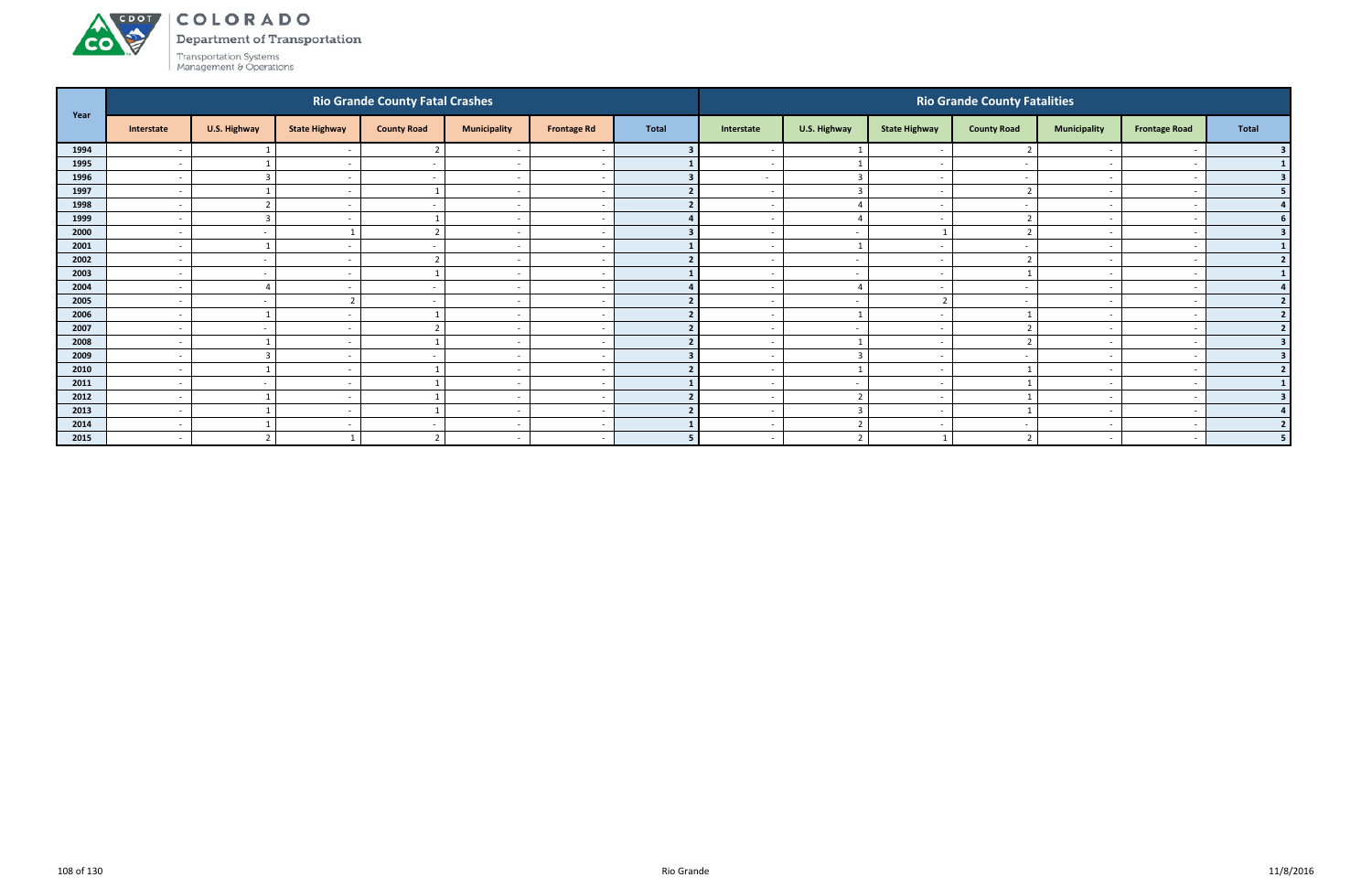**CO** 

Department of Transportation

|      |                          | <b>Rio Grande County Fatal Crashes</b> |                          |                         |                          |                    |                |                          |                         | <b>Rio Grande County Fatalities</b> |                          |                          |                          |                |  |  |  |
|------|--------------------------|----------------------------------------|--------------------------|-------------------------|--------------------------|--------------------|----------------|--------------------------|-------------------------|-------------------------------------|--------------------------|--------------------------|--------------------------|----------------|--|--|--|
| Year | Interstate               | U.S. Highway                           | <b>State Highway</b>     | <b>County Road</b>      | <b>Municipality</b>      | <b>Frontage Rd</b> | <b>Total</b>   | Interstate               | U.S. Highway            | <b>State Highway</b>                | <b>County Road</b>       | <b>Municipality</b>      | <b>Frontage Road</b>     | Total          |  |  |  |
| 1994 | $\overline{\phantom{a}}$ |                                        |                          | $\overline{2}$          |                          |                    |                |                          |                         |                                     |                          |                          |                          |                |  |  |  |
| 1995 | $\overline{\phantom{a}}$ |                                        |                          |                         | $\overline{\phantom{a}}$ |                    |                |                          |                         |                                     |                          |                          |                          | $1\phantom{0}$ |  |  |  |
| 1996 | $\sim$                   | $\mathbf{R}$                           |                          | $\sim$                  | $\overline{\phantom{a}}$ |                    |                | $\sim$ $-$               | $\overline{3}$          | $\sim$                              | $\overline{\phantom{a}}$ | $\sim$                   |                          | 3 <sup>1</sup> |  |  |  |
| 1997 | $\overline{\phantom{a}}$ |                                        |                          | -1                      | $\overline{\phantom{a}}$ |                    |                | $\overline{\phantom{0}}$ | $\overline{\mathbf{3}}$ | $\sim$                              |                          |                          |                          | 5 <sub>1</sub> |  |  |  |
| 1998 | $\overline{\phantom{a}}$ | n,                                     |                          |                         | $\overline{\phantom{0}}$ |                    |                |                          |                         |                                     |                          | $\overline{\phantom{0}}$ |                          | 4 <sup>1</sup> |  |  |  |
| 1999 | $\overline{\phantom{a}}$ | -3                                     |                          |                         | $\overline{\phantom{a}}$ |                    |                | $\overline{\phantom{0}}$ |                         |                                     |                          | $\overline{\phantom{0}}$ |                          | 6 <sup>1</sup> |  |  |  |
| 2000 | $\overline{\phantom{a}}$ |                                        |                          | $\mathbf{\overline{1}}$ | $\overline{\phantom{a}}$ |                    |                |                          | $\sim$                  |                                     |                          |                          |                          | 3 <sup>1</sup> |  |  |  |
| 2001 | $\overline{\phantom{a}}$ |                                        | $\overline{\phantom{a}}$ |                         | $\overline{\phantom{a}}$ |                    |                | $\overline{\phantom{0}}$ |                         | $\sim$                              | $\overline{\phantom{a}}$ | $\overline{\phantom{a}}$ |                          | $1\phantom{.}$ |  |  |  |
| 2002 | $\overline{\phantom{a}}$ | $\overline{\phantom{a}}$               |                          | $\overline{2}$          | $\overline{\phantom{a}}$ |                    |                | $\overline{\phantom{a}}$ | $\sim$                  |                                     |                          | $\overline{\phantom{0}}$ |                          | 2              |  |  |  |
| 2003 | $\overline{\phantom{a}}$ | $\overline{\phantom{a}}$               |                          |                         | $\overline{\phantom{0}}$ |                    |                |                          | $\sim$                  | $\sim$                              |                          | $\overline{\phantom{0}}$ |                          | $1\phantom{.}$ |  |  |  |
| 2004 | $\overline{\phantom{a}}$ |                                        |                          |                         | $\overline{\phantom{a}}$ |                    |                |                          |                         |                                     |                          | $\overline{\phantom{a}}$ |                          | 4 <sup>1</sup> |  |  |  |
| 2005 | $\overline{\phantom{a}}$ |                                        |                          |                         | $\overline{\phantom{a}}$ |                    |                |                          | $\sim$                  |                                     |                          |                          |                          | 2              |  |  |  |
| 2006 | $\overline{\phantom{a}}$ |                                        |                          |                         | $\overline{\phantom{a}}$ |                    |                | $\overline{\phantom{0}}$ |                         |                                     |                          | $\overline{a}$           |                          | 2 <sup>1</sup> |  |  |  |
| 2007 | $\overline{\phantom{a}}$ | $\overline{\phantom{a}}$               |                          | $\overline{2}$          | $\overline{\phantom{a}}$ |                    |                | $\overline{\phantom{a}}$ | $\sim$                  |                                     |                          |                          |                          | 2 <sup>1</sup> |  |  |  |
| 2008 | $\overline{\phantom{a}}$ |                                        |                          |                         | $\overline{\phantom{a}}$ |                    |                | $\overline{\phantom{0}}$ |                         |                                     |                          | $\overline{\phantom{0}}$ |                          | 3 <sup>1</sup> |  |  |  |
| 2009 | $\overline{\phantom{a}}$ | 3                                      |                          |                         | $\overline{\phantom{a}}$ |                    |                | $\overline{\phantom{0}}$ | $\mathbf{R}$            | $\sim$                              |                          | $\overline{\phantom{a}}$ |                          | 3 <sup>1</sup> |  |  |  |
| 2010 | $\overline{\phantom{a}}$ |                                        |                          |                         | $\overline{\phantom{a}}$ |                    |                |                          |                         |                                     |                          |                          |                          | 2 <sup>1</sup> |  |  |  |
| 2011 | $\overline{\phantom{a}}$ | $\overline{\phantom{a}}$               | $\overline{\phantom{a}}$ |                         | $\overline{\phantom{a}}$ |                    |                | $\overline{\phantom{0}}$ | $\sim$                  | $\sim$                              |                          | $\overline{\phantom{0}}$ |                          |                |  |  |  |
| 2012 | $\overline{\phantom{a}}$ |                                        |                          | $\mathbf{1}$            | $\overline{\phantom{a}}$ |                    | $\overline{2}$ | $\overline{\phantom{a}}$ | $\overline{2}$          | $\sim$                              |                          | $\overline{\phantom{0}}$ |                          | 3 <sup>1</sup> |  |  |  |
| 2013 | $\overline{\phantom{a}}$ |                                        |                          |                         | $\overline{\phantom{a}}$ |                    |                | $\sim$                   | $\overline{\mathbf{3}}$ | $\overline{\phantom{a}}$            |                          | $\overline{\phantom{0}}$ |                          |                |  |  |  |
| 2014 | $\overline{\phantom{a}}$ |                                        |                          |                         | $\overline{\phantom{a}}$ |                    |                | $\overline{\phantom{a}}$ |                         | $\sim$                              |                          |                          | $\overline{\phantom{a}}$ | 2 <sub>1</sub> |  |  |  |
| 2015 | $\overline{\phantom{a}}$ | ຳ                                      |                          | $\overline{2}$          | $\overline{\phantom{0}}$ |                    | 5.             | $\overline{\phantom{0}}$ | $\overline{2}$          |                                     |                          |                          | $\overline{\phantom{a}}$ | 5 <sub>1</sub> |  |  |  |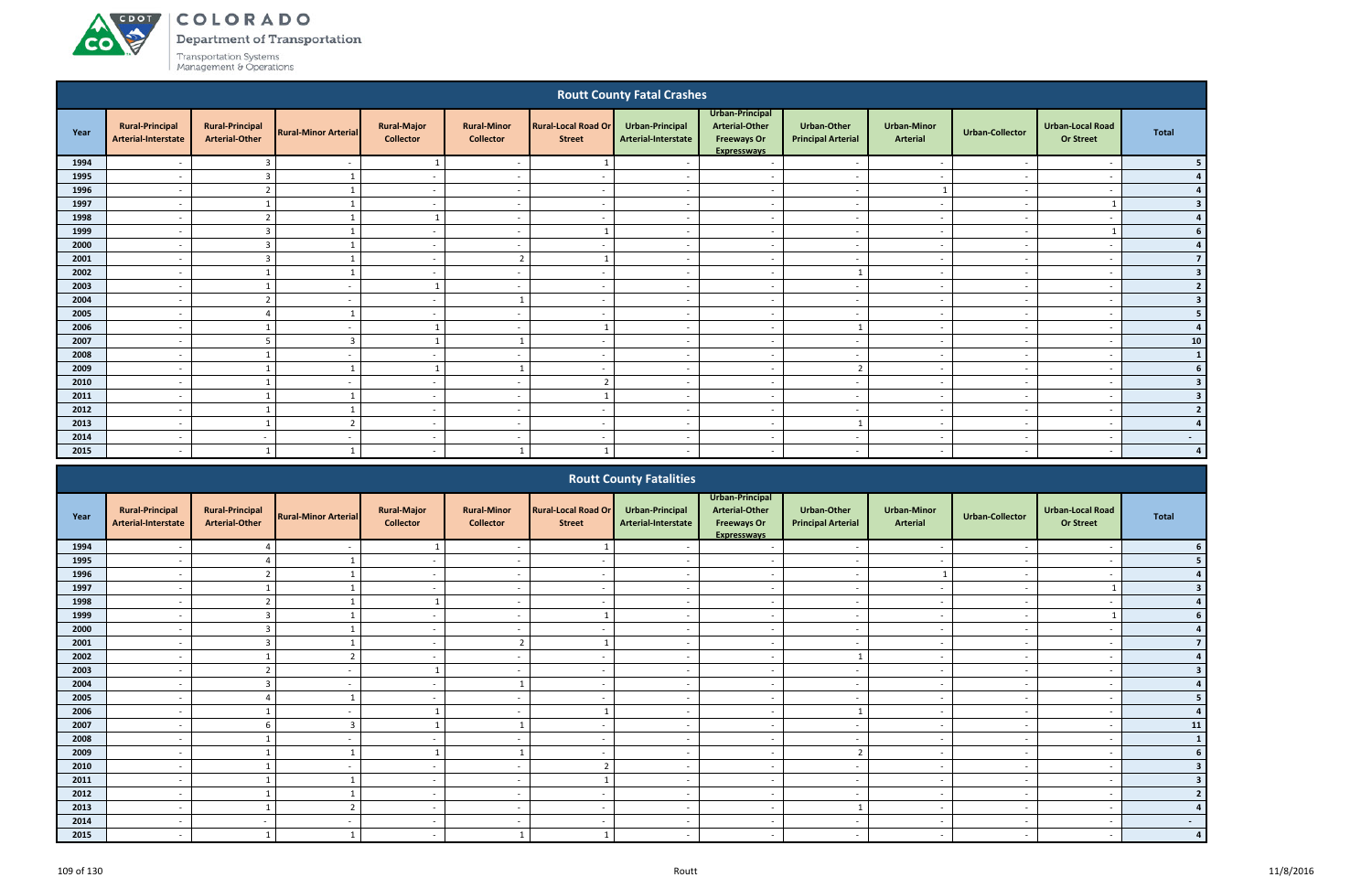**CO** 

Department of Transportation

|                                                                                                                                                                                                                                                                                                                                                                        |                                               |                                                 |                             |                                        |                                        |                                             | <b>Routt County Fatal Crashes</b>      |                                                                                      |                                          |                                       |                          |                                             |                          |  |
|------------------------------------------------------------------------------------------------------------------------------------------------------------------------------------------------------------------------------------------------------------------------------------------------------------------------------------------------------------------------|-----------------------------------------------|-------------------------------------------------|-----------------------------|----------------------------------------|----------------------------------------|---------------------------------------------|----------------------------------------|--------------------------------------------------------------------------------------|------------------------------------------|---------------------------------------|--------------------------|---------------------------------------------|--------------------------|--|
| Year                                                                                                                                                                                                                                                                                                                                                                   | <b>Rural-Principal</b><br>Arterial-Interstate | <b>Rural-Principal</b><br><b>Arterial-Other</b> | <b>Rural-Minor Arterial</b> | <b>Rural-Major</b><br><b>Collector</b> | <b>Rural-Minor</b><br><b>Collector</b> | <b>Rural-Local Road Or</b><br><b>Street</b> | Urban-Principal<br>Arterial-Interstate | Urban-Principal<br><b>Arterial-Other</b><br><b>Freeways Or</b><br><b>Expresswavs</b> | Urban-Other<br><b>Principal Arterial</b> | <b>Urban-Minor</b><br><b>Arterial</b> | <b>Urban-Collector</b>   | <b>Urban-Local Road</b><br><b>Or Street</b> | <b>Total</b>             |  |
| 1994                                                                                                                                                                                                                                                                                                                                                                   |                                               | 3                                               |                             | -1                                     | $\overline{\phantom{a}}$               |                                             |                                        | $\sim$                                                                               | $\overline{\phantom{a}}$                 | $\overline{\phantom{a}}$              |                          |                                             |                          |  |
| 1995                                                                                                                                                                                                                                                                                                                                                                   | $\overline{a}$                                | $\overline{3}$                                  |                             | $\sim$                                 | $\overline{a}$                         | $\sim$                                      | $\sim$                                 | $\sim$                                                                               | $\sim$                                   | $\sim$                                | $\sim$                   | $\overline{\phantom{a}}$                    |                          |  |
| 1996                                                                                                                                                                                                                                                                                                                                                                   | $\overline{\phantom{a}}$                      | $\overline{2}$                                  |                             | $\sim$                                 | $\overline{\phantom{a}}$               | $\sim$                                      | $\sim$                                 | $\sim$                                                                               | $\sim$                                   |                                       | $\overline{\phantom{a}}$ | $\overline{\phantom{a}}$                    |                          |  |
| 1997                                                                                                                                                                                                                                                                                                                                                                   | $\overline{\phantom{a}}$                      |                                                 |                             | $\sim$                                 | $\overline{\phantom{a}}$               | $\sim$                                      | $\overline{\phantom{a}}$               | $\overline{a}$                                                                       | $\sim$                                   | $\sim$                                | $\overline{\phantom{a}}$ |                                             | -3                       |  |
| 1998                                                                                                                                                                                                                                                                                                                                                                   | $\overline{\phantom{a}}$                      | $\overline{2}$                                  |                             |                                        | $\overline{\phantom{a}}$               | $\sim$                                      | $\sim$                                 | $\sim$                                                                               | $\overline{\phantom{a}}$                 | $\overline{\phantom{a}}$              | $\sim$                   | $\overline{\phantom{a}}$                    |                          |  |
| 1999                                                                                                                                                                                                                                                                                                                                                                   | $\overline{a}$                                | $\overline{3}$                                  |                             | $\overline{\phantom{a}}$               | $\overline{\phantom{a}}$               |                                             | $\sim$                                 | $\overline{a}$                                                                       | $\overline{\phantom{a}}$                 | $\overline{\phantom{a}}$              | $\overline{\phantom{a}}$ |                                             |                          |  |
| 2000<br>$\overline{3}$<br>$\sim$<br>$\overline{a}$<br>$\sim$<br>$\sim$<br>$\sim$<br>$\overline{a}$<br>$\sim$<br>$\overline{a}$<br>$\overline{\phantom{a}}$<br>$\sim$<br>$\overline{2}$<br>2001<br>$\overline{3}$<br>$\sim$<br>$\overline{a}$<br>$\sim$<br>$\overline{\phantom{a}}$<br>$\overline{\phantom{a}}$<br>$\overline{\phantom{a}}$<br>$\overline{\phantom{a}}$ |                                               |                                                 |                             |                                        |                                        |                                             |                                        |                                                                                      |                                          |                                       |                          |                                             |                          |  |
| 2002<br>$\mathbf{1}$<br>$\overline{\phantom{a}}$<br>$\sim$<br>$\overline{\phantom{a}}$<br>$\overline{\phantom{a}}$<br>$\overline{\phantom{a}}$<br>$\overline{\phantom{a}}$<br>$\overline{\phantom{a}}$<br>- -<br>$\overline{\phantom{a}}$                                                                                                                              |                                               |                                                 |                             |                                        |                                        |                                             |                                        |                                                                                      |                                          |                                       |                          |                                             |                          |  |
| $\overline{\phantom{a}}$<br>$\overline{a}$<br>$\overline{\phantom{a}}$<br>$\overline{\phantom{a}}$<br>$\overline{\phantom{a}}$<br>$\sim$<br>$\overline{\phantom{a}}$<br>$\overline{\phantom{a}}$<br>$\overline{\phantom{a}}$<br>$\sim$                                                                                                                                 |                                               |                                                 |                             |                                        |                                        |                                             |                                        |                                                                                      |                                          |                                       |                          |                                             |                          |  |
| 2003                                                                                                                                                                                                                                                                                                                                                                   |                                               |                                                 |                             |                                        |                                        |                                             |                                        |                                                                                      |                                          |                                       |                          |                                             |                          |  |
| 2004                                                                                                                                                                                                                                                                                                                                                                   | $\overline{\phantom{a}}$                      | $\overline{2}$                                  | $\overline{\phantom{a}}$    | $\overline{\phantom{a}}$               |                                        | $\sim$                                      | $\sim$                                 | $\overline{\phantom{a}}$                                                             | $\overline{a}$                           | $\sim$                                | $\sim$                   | $\overline{\phantom{a}}$                    | 3                        |  |
| 2005                                                                                                                                                                                                                                                                                                                                                                   | $\overline{\phantom{a}}$                      | Δ                                               |                             | $\overline{\phantom{a}}$               | $\overline{\phantom{a}}$               | $\sim$                                      | $\overline{\phantom{a}}$               | $\overline{\phantom{a}}$                                                             | $\overline{a}$                           | $\overline{\phantom{a}}$              | $\overline{\phantom{a}}$ | $\overline{\phantom{a}}$                    | 5                        |  |
| 2006                                                                                                                                                                                                                                                                                                                                                                   | $\overline{\phantom{a}}$                      |                                                 | $\overline{\phantom{a}}$    | $\overline{1}$                         | $\overline{a}$                         |                                             | $\sim$                                 | $\sim$                                                                               | $\mathbf{1}$                             | $\sim$                                | $\sim$                   | $\overline{\phantom{a}}$                    |                          |  |
| 2007                                                                                                                                                                                                                                                                                                                                                                   | $\overline{a}$                                | 5                                               | $\overline{\mathbf{3}}$     | $\overline{1}$                         | $\mathbf{1}$                           | $\sim$                                      | $\sim$                                 | $\sim$                                                                               | $-$                                      | $\sim$                                | $\sim$                   | $\overline{\phantom{a}}$                    | 10                       |  |
| 2008                                                                                                                                                                                                                                                                                                                                                                   | $\overline{a}$                                |                                                 | $\sim$                      | $\sim$                                 | $\overline{a}$                         | $\sim$                                      | $\sim$                                 | $\sim$                                                                               | $\sim$                                   | $\sim$                                | $\sim$                   | $\overline{\phantom{a}}$                    | <sup>1</sup>             |  |
| 2009                                                                                                                                                                                                                                                                                                                                                                   | $\overline{\phantom{a}}$                      |                                                 |                             | $\overline{1}$                         |                                        | $\sim$                                      | $\overline{\phantom{a}}$               | $\overline{a}$                                                                       | $\overline{2}$                           | $\sim$                                | $\overline{\phantom{a}}$ | $\overline{\phantom{a}}$                    |                          |  |
| 2010                                                                                                                                                                                                                                                                                                                                                                   | $\overline{\phantom{a}}$                      |                                                 | $\overline{\phantom{a}}$    | $\sim$                                 | $\overline{a}$                         | $\overline{2}$                              | $\sim$                                 | $\sim$                                                                               | $\sim$                                   | $\overline{\phantom{a}}$              | $\overline{\phantom{a}}$ | $\overline{\phantom{a}}$                    | -3                       |  |
| 2011                                                                                                                                                                                                                                                                                                                                                                   | $\overline{\phantom{a}}$                      |                                                 |                             | $\sim$                                 | $\overline{a}$                         |                                             | $\sim$                                 | $\overline{a}$                                                                       | $\sim$                                   | $\overline{\phantom{a}}$              | $\sim$                   | $\overline{\phantom{a}}$                    | $\overline{\mathbf{3}}$  |  |
| 2012                                                                                                                                                                                                                                                                                                                                                                   | $\overline{\phantom{a}}$                      |                                                 |                             | $\sim$                                 | $\overline{a}$                         | $\sim$                                      | $\overline{\phantom{a}}$               | $\sim$                                                                               | $\overline{a}$                           | $\overline{\phantom{a}}$              | $\overline{\phantom{a}}$ | $\overline{\phantom{a}}$                    | $\overline{2}$           |  |
| 2013                                                                                                                                                                                                                                                                                                                                                                   | $\overline{a}$                                | $\mathbf{1}$                                    | $\overline{2}$              | $\sim$                                 | $\overline{a}$                         | $\overline{\phantom{a}}$                    | $\overline{\phantom{a}}$               | $\sim$                                                                               | $\mathbf{1}$                             | $\overline{\phantom{a}}$              | $\sim$                   | $\overline{\phantom{a}}$                    |                          |  |
| 2014                                                                                                                                                                                                                                                                                                                                                                   | $\overline{\phantom{a}}$                      | $\sim$                                          | $\overline{\phantom{a}}$    | $\sim$                                 | $\overline{\phantom{0}}$               | $\sim$                                      | $\overline{\phantom{a}}$               | $\overline{a}$                                                                       | $\overline{\phantom{a}}$                 | $\sim$                                | - -                      | - -                                         | $\overline{\phantom{a}}$ |  |
| 2015                                                                                                                                                                                                                                                                                                                                                                   |                                               |                                                 |                             | $\overline{\phantom{a}}$               |                                        |                                             |                                        | $\overline{\phantom{a}}$                                                             |                                          |                                       |                          |                                             |                          |  |
|                                                                                                                                                                                                                                                                                                                                                                        |                                               |                                                 |                             |                                        |                                        |                                             | <b>Routt County Fatalities</b>         |                                                                                      |                                          |                                       |                          |                                             |                          |  |

|      |                                               |                                                 |                             |                                        |                                        |                                             | <b>Routt County Fatalities</b>         |                                                                                      |                                                 |                                       |                          |                                             |              |
|------|-----------------------------------------------|-------------------------------------------------|-----------------------------|----------------------------------------|----------------------------------------|---------------------------------------------|----------------------------------------|--------------------------------------------------------------------------------------|-------------------------------------------------|---------------------------------------|--------------------------|---------------------------------------------|--------------|
| Year | <b>Rural-Principal</b><br>Arterial-Interstate | <b>Rural-Principal</b><br><b>Arterial-Other</b> | <b>Rural-Minor Arterial</b> | <b>Rural-Major</b><br><b>Collector</b> | <b>Rural-Minor</b><br><b>Collector</b> | <b>Rural-Local Road Or</b><br><b>Street</b> | Urban-Principal<br>Arterial-Interstate | Urban-Principal<br><b>Arterial-Other</b><br><b>Freeways Or</b><br><b>Expressways</b> | <b>Urban-Other</b><br><b>Principal Arterial</b> | <b>Urban-Minor</b><br><b>Arterial</b> | Urban-Collector          | <b>Urban-Local Road</b><br><b>Or Street</b> | <b>Total</b> |
| 1994 |                                               |                                                 |                             |                                        |                                        |                                             |                                        |                                                                                      | $\overline{\phantom{a}}$                        |                                       |                          |                                             |              |
| 1995 |                                               |                                                 |                             |                                        |                                        |                                             |                                        |                                                                                      |                                                 |                                       |                          |                                             |              |
| 1996 |                                               |                                                 |                             | $\sim$                                 | $\overline{\phantom{0}}$               | $\overline{\phantom{a}}$                    | $\overline{\phantom{a}}$               | $\overline{\phantom{a}}$                                                             | $\sim$                                          |                                       | $\blacksquare$           |                                             |              |
| 1997 | $\overline{\phantom{0}}$                      |                                                 |                             | $\sim$                                 | $\overline{a}$                         | $\sim$                                      |                                        | $\overline{\phantom{a}}$                                                             | $\overline{\phantom{a}}$                        | $\overline{\phantom{a}}$              |                          |                                             |              |
| 1998 |                                               |                                                 |                             |                                        |                                        |                                             |                                        |                                                                                      | $\overline{\phantom{a}}$                        |                                       |                          |                                             |              |
| 1999 |                                               | $\mathbf{R}$                                    |                             | $\sim$                                 | $\overline{\phantom{a}}$               |                                             |                                        | $\overline{\phantom{a}}$                                                             | $\overline{\phantom{a}}$                        | $\overline{\phantom{a}}$              |                          |                                             |              |
| 2000 |                                               | ຳ                                               |                             |                                        |                                        |                                             |                                        |                                                                                      | $\overline{\phantom{a}}$                        |                                       |                          |                                             |              |
| 2001 | $\overline{\phantom{0}}$                      | P                                               |                             | $\sim$                                 | ຳ                                      |                                             | $\overline{\phantom{a}}$               | $\overline{\phantom{a}}$                                                             | $\overline{\phantom{a}}$                        | $\sim$                                | $\overline{\phantom{0}}$ | $\overline{\phantom{a}}$                    |              |
| 2002 |                                               |                                                 |                             | $\sim$                                 |                                        | $\overline{\phantom{a}}$                    |                                        | $\overline{\phantom{a}}$                                                             |                                                 | $\overline{\phantom{a}}$              |                          |                                             |              |
| 2003 |                                               |                                                 |                             |                                        |                                        | $\overline{\phantom{a}}$                    |                                        | $\overline{\phantom{0}}$                                                             | $\overline{\phantom{0}}$                        | $\overline{\phantom{0}}$              |                          |                                             |              |
| 2004 |                                               |                                                 |                             | $\sim$                                 |                                        | $\sim$                                      |                                        | $\overline{\phantom{a}}$                                                             | $\sim$                                          | $\overline{\phantom{a}}$              |                          |                                             |              |
| 2005 |                                               |                                                 |                             |                                        |                                        | $\overline{\phantom{a}}$                    |                                        | $\overline{\phantom{0}}$                                                             | $\overline{\phantom{a}}$                        | $\overline{\phantom{0}}$              |                          |                                             |              |
| 2006 | $\overline{\phantom{0}}$                      |                                                 |                             |                                        | $\overline{a}$                         |                                             | $\overline{\phantom{a}}$               | $\overline{\phantom{a}}$                                                             |                                                 | $\sim$                                | $\sim$                   | $\overline{\phantom{a}}$                    |              |
| 2007 |                                               | 6                                               | $\overline{3}$              |                                        | $\overline{\phantom{a}}$               | $\overline{\phantom{0}}$                    |                                        | $\overline{\phantom{a}}$                                                             | $\sim$                                          | $\overline{\phantom{a}}$              |                          |                                             | 11           |
| 2008 |                                               |                                                 |                             | $\sim$                                 |                                        | $\overline{\phantom{0}}$                    |                                        | $\overline{\phantom{a}}$                                                             | $\overline{\phantom{0}}$                        | $\overline{\phantom{0}}$              |                          |                                             | $\mathbf{1}$ |
| 2009 |                                               |                                                 |                             |                                        |                                        | $\overline{\phantom{a}}$                    |                                        | $\overline{\phantom{a}}$                                                             | $\overline{2}$                                  | $\overline{\phantom{a}}$              |                          |                                             |              |
| 2010 |                                               |                                                 |                             | $\sim$                                 |                                        | ∍                                           |                                        | $\overline{\phantom{a}}$                                                             | $\blacksquare$                                  | $\overline{\phantom{0}}$              |                          |                                             |              |
| 2011 | $\overline{\phantom{0}}$                      |                                                 |                             | $\sim$                                 | $\overline{\phantom{0}}$               |                                             | $\overline{\phantom{a}}$               | $\overline{\phantom{a}}$                                                             | $\overline{\phantom{a}}$                        | $\overline{\phantom{a}}$              | $\overline{\phantom{a}}$ | $\overline{\phantom{0}}$                    |              |
| 2012 |                                               |                                                 |                             | $\sim$                                 | $\overline{\phantom{a}}$               | $\sim$                                      |                                        | $\overline{\phantom{a}}$                                                             | $\overline{\phantom{a}}$                        | $\sim$                                |                          |                                             |              |
| 2013 | $\overline{\phantom{0}}$                      |                                                 |                             | $\sim$                                 | $\overline{\phantom{0}}$               | $\sim$                                      | $\overline{\phantom{a}}$               | $\overline{\phantom{a}}$                                                             |                                                 | $\sim$                                | $\sim$                   | $\overline{\phantom{a}}$                    |              |
| 2014 |                                               |                                                 |                             | $\sim$                                 |                                        | $\overline{\phantom{a}}$                    |                                        |                                                                                      | $\overline{\phantom{a}}$                        | $\overline{\phantom{0}}$              |                          |                                             |              |
| 2015 | $\overline{\phantom{0}}$                      |                                                 |                             | $\sim$                                 |                                        |                                             |                                        | $\overline{\phantom{a}}$                                                             | $\overline{\phantom{a}}$                        | $\overline{\phantom{0}}$              |                          |                                             |              |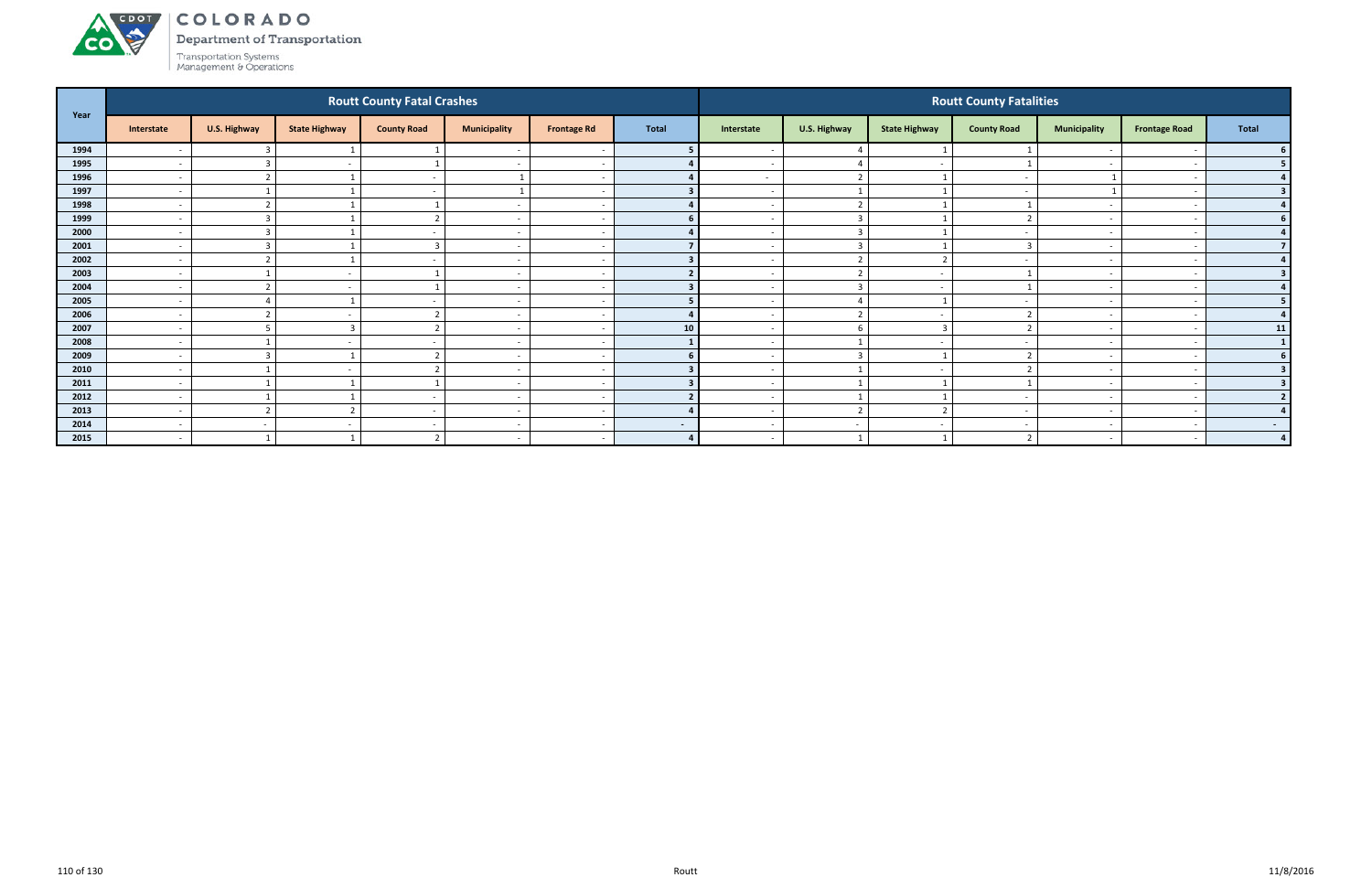# ACDOL **CO**

COLORADO

Department of Transportation

|      |                          |                         |                      | <b>Routt County Fatal Crashes</b> |                          |                          |              |                          |                          |                          | <b>Routt County Fatalities</b> |                          |                          |                         |
|------|--------------------------|-------------------------|----------------------|-----------------------------------|--------------------------|--------------------------|--------------|--------------------------|--------------------------|--------------------------|--------------------------------|--------------------------|--------------------------|-------------------------|
| Year | Interstate               | U.S. Highway            | <b>State Highway</b> | <b>County Road</b>                | <b>Municipality</b>      | <b>Frontage Rd</b>       | <b>Total</b> | Interstate               | U.S. Highway             | <b>State Highway</b>     | <b>County Road</b>             | <b>Municipality</b>      | <b>Frontage Road</b>     | Total                   |
| 1994 |                          |                         |                      |                                   |                          |                          |              |                          |                          |                          |                                |                          |                          |                         |
| 1995 | $\overline{\phantom{a}}$ | $\overline{3}$          |                      |                                   | $\overline{\phantom{a}}$ | - -                      |              | $\overline{\phantom{a}}$ | $\Delta$                 | $\overline{\phantom{a}}$ |                                | $\overline{\phantom{0}}$ |                          | 5.                      |
| 1996 | $\overline{\phantom{a}}$ | ຳ                       |                      | $\sim$                            | 1                        | $\overline{\phantom{a}}$ |              | $\sim$                   | $\overline{2}$           |                          |                                |                          |                          |                         |
| 1997 | $\overline{\phantom{a}}$ |                         |                      |                                   | 1                        |                          |              | $\sim$                   | $\mathbf{1}$             |                          |                                | $\overline{1}$           |                          |                         |
| 1998 | $\overline{\phantom{0}}$ | $\mathbf{\overline{a}}$ |                      |                                   | $\overline{\phantom{a}}$ |                          |              |                          | $\mathcal{L}$            |                          |                                | $\overline{\phantom{0}}$ |                          |                         |
| 1999 | $\overline{\phantom{a}}$ | 3                       |                      |                                   | $\overline{\phantom{a}}$ |                          |              |                          | $\overline{3}$           |                          |                                |                          |                          |                         |
| 2000 | $\overline{\phantom{a}}$ | 3                       |                      |                                   | $\overline{\phantom{a}}$ |                          |              | $\overline{\phantom{a}}$ | $\overline{3}$           |                          |                                |                          |                          | $\Delta$                |
| 2001 | $\overline{\phantom{a}}$ | $\overline{3}$          |                      | 3                                 | $\overline{\phantom{a}}$ |                          |              | $\sim$                   | $\overline{\mathbf{3}}$  |                          |                                | $\sim$                   |                          |                         |
| 2002 | $\overline{\phantom{a}}$ | $\mathbf{\overline{a}}$ |                      |                                   | $\overline{\phantom{a}}$ |                          |              |                          | $\overline{2}$           | $\mathbf{\Omega}$        |                                |                          |                          |                         |
| 2003 | $\overline{\phantom{a}}$ |                         |                      |                                   | $\overline{\phantom{a}}$ |                          |              | $\overline{\phantom{a}}$ | $\overline{2}$           | $\sim$                   |                                | $\overline{\phantom{0}}$ |                          |                         |
| 2004 | $\overline{\phantom{a}}$ |                         |                      |                                   | $\overline{\phantom{a}}$ |                          |              |                          | $\overline{3}$           |                          |                                |                          |                          |                         |
| 2005 | $\overline{\phantom{a}}$ | $\Delta$                |                      |                                   | $\overline{\phantom{a}}$ |                          |              |                          | $\overline{4}$           |                          |                                |                          |                          | 5.                      |
| 2006 | $\overline{\phantom{a}}$ | ຳ                       |                      | ຳ                                 | $\overline{\phantom{a}}$ |                          |              | $\sim$                   | $\overline{2}$           | $\sim$                   |                                | $\sim$                   |                          |                         |
| 2007 | $\overline{\phantom{a}}$ | 5                       |                      | $\overline{2}$                    | $\overline{\phantom{a}}$ |                          | 10           | $\overline{\phantom{0}}$ | 6                        | $\overline{3}$           | $\mathbf{\hat{z}}$             |                          |                          | 11                      |
| 2008 | $\overline{\phantom{a}}$ |                         |                      |                                   | $\overline{\phantom{a}}$ |                          |              | $\overline{\phantom{0}}$ |                          | $\sim$                   |                                | $\overline{\phantom{0}}$ |                          | $\mathbf{1}$            |
| 2009 | $\overline{\phantom{a}}$ | 3                       |                      | n,                                | $\overline{\phantom{a}}$ | $\overline{\phantom{a}}$ |              | $\sim$                   | $\overline{3}$           |                          |                                | $\overline{\phantom{a}}$ |                          |                         |
| 2010 | $\overline{\phantom{a}}$ |                         |                      | n,                                | $\overline{\phantom{a}}$ |                          |              |                          | $\overline{1}$           |                          |                                |                          |                          | $\overline{\mathbf{3}}$ |
| 2011 | $\overline{\phantom{a}}$ |                         |                      |                                   | $\overline{\phantom{a}}$ | <u>т</u>                 |              | $\sim$                   | $\overline{1}$           |                          |                                | $\overline{\phantom{0}}$ |                          |                         |
| 2012 | $\overline{\phantom{a}}$ |                         |                      | $\sim$                            | $\overline{\phantom{a}}$ | $\overline{\phantom{a}}$ |              | $\sim$                   | $\mathbf{1}$             | $\mathbf{1}$             |                                | $\overline{\phantom{0}}$ |                          |                         |
| 2013 | $\overline{\phantom{a}}$ | ຳ                       |                      | $\sim$                            | $\overline{\phantom{a}}$ | - -                      |              | $\sim$                   | $\overline{2}$           | ຳ                        |                                | $\sim$                   |                          |                         |
| 2014 | $\overline{\phantom{a}}$ | $\sim$                  |                      | $\overline{\phantom{a}}$          | $\overline{\phantom{a}}$ | $\overline{\phantom{a}}$ | $\sim$       | $\sim$                   | $\overline{\phantom{a}}$ | $\sim$                   |                                | $\overline{\phantom{0}}$ |                          | $\sim$                  |
| 2015 | $\overline{\phantom{0}}$ |                         |                      | $\overline{z}$                    | $\overline{\phantom{a}}$ | $\overline{\phantom{a}}$ | $\mathbf{A}$ | $\overline{\phantom{0}}$ | $\overline{\phantom{0}}$ |                          |                                |                          | $\overline{\phantom{a}}$ | $\mathbf{A}$            |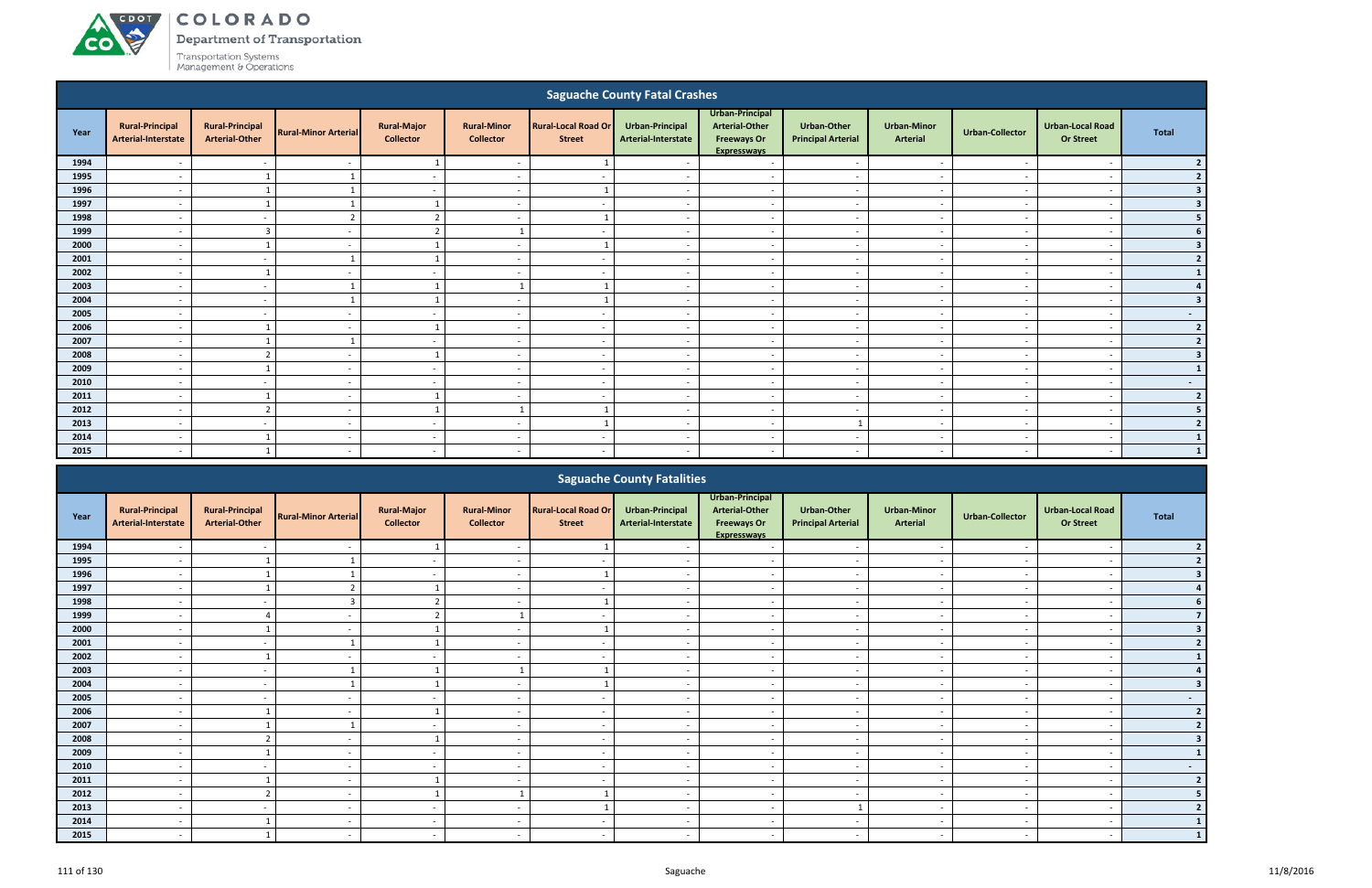**CO** 

Department of Transportation

|                                                                                                                                                                                                                                                                                                                                                                                                                                                              |                                               |                                                 |                             |                                        |                                        |                                             | <b>Saguache County Fatal Crashes</b>   |                                                                               |                                                 |                                       |                          |                                      |                  |  |
|--------------------------------------------------------------------------------------------------------------------------------------------------------------------------------------------------------------------------------------------------------------------------------------------------------------------------------------------------------------------------------------------------------------------------------------------------------------|-----------------------------------------------|-------------------------------------------------|-----------------------------|----------------------------------------|----------------------------------------|---------------------------------------------|----------------------------------------|-------------------------------------------------------------------------------|-------------------------------------------------|---------------------------------------|--------------------------|--------------------------------------|------------------|--|
| Year                                                                                                                                                                                                                                                                                                                                                                                                                                                         | <b>Rural-Principal</b><br>Arterial-Interstate | <b>Rural-Principal</b><br><b>Arterial-Other</b> | <b>Rural-Minor Arterial</b> | <b>Rural-Major</b><br><b>Collector</b> | <b>Rural-Minor</b><br><b>Collector</b> | <b>Rural-Local Road Or</b><br><b>Street</b> | Urban-Principal<br>Arterial-Interstate | Urban-Principal<br><b>Arterial-Other</b><br><b>Freeways Or</b><br>Expressways | <b>Urban-Other</b><br><b>Principal Arterial</b> | <b>Urban-Minor</b><br><b>Arterial</b> | <b>Urban-Collector</b>   | <b>Urban-Local Road</b><br>Or Street | <b>Total</b>     |  |
| 1994                                                                                                                                                                                                                                                                                                                                                                                                                                                         |                                               |                                                 |                             |                                        |                                        |                                             |                                        | $\overline{a}$                                                                |                                                 |                                       |                          | $\overline{\phantom{a}}$             | $\overline{2}$   |  |
| 1995                                                                                                                                                                                                                                                                                                                                                                                                                                                         | $\overline{\phantom{a}}$                      |                                                 |                             | $\sim$                                 | $\overline{\phantom{a}}$               | $\sim$                                      | $\sim$                                 | $\sim$                                                                        | $\sim$                                          | $\sim$                                | $\sim$                   | $\overline{\phantom{a}}$             | $2 \mid$         |  |
| 1996                                                                                                                                                                                                                                                                                                                                                                                                                                                         | $\overline{\phantom{a}}$                      |                                                 |                             | $\sim$                                 | $\overline{\phantom{a}}$               |                                             | $\sim$                                 | $\sim$                                                                        | $\sim$                                          | $\sim$                                | $\overline{\phantom{a}}$ | $\overline{\phantom{a}}$             | 3 <sup>1</sup>   |  |
| 1997                                                                                                                                                                                                                                                                                                                                                                                                                                                         | $\overline{\phantom{a}}$                      |                                                 |                             | $\overline{1}$                         | $\overline{a}$                         | $\sim$                                      | $\overline{\phantom{a}}$               | $\overline{a}$                                                                | $\overline{\phantom{a}}$                        | $\sim$                                | $\overline{\phantom{a}}$ | $\overline{\phantom{a}}$             | 3 <sup>1</sup>   |  |
| 1998                                                                                                                                                                                                                                                                                                                                                                                                                                                         | $\overline{\phantom{a}}$                      | $\sim$                                          | $\overline{z}$              | $\overline{2}$                         | $\overline{a}$                         |                                             | $\overline{\phantom{a}}$               | $\sim$                                                                        | $\overline{\phantom{a}}$                        | $\sim$                                |                          | $\overline{a}$                       | 5 <sub>1</sub>   |  |
| 1999                                                                                                                                                                                                                                                                                                                                                                                                                                                         | $\overline{\phantom{0}}$                      | $\overline{3}$                                  | $\overline{\phantom{a}}$    | $\overline{2}$                         |                                        | $\sim$                                      | $\overline{\phantom{a}}$               | $\overline{a}$                                                                | $\overline{\phantom{a}}$                        | $\sim$                                |                          | $\overline{a}$                       | 6 <sup>1</sup>   |  |
| 2000                                                                                                                                                                                                                                                                                                                                                                                                                                                         |                                               |                                                 | $\overline{\phantom{a}}$    |                                        | $\overline{\phantom{a}}$               |                                             |                                        | $\overline{\phantom{a}}$                                                      | $\overline{\phantom{a}}$                        | $\overline{\phantom{a}}$              |                          | $\overline{\phantom{a}}$             | 3 <sup>1</sup>   |  |
| 2001<br>$\overline{\phantom{a}}$<br>$\overline{\phantom{a}}$<br>$\overline{\phantom{a}}$<br>$\overline{\phantom{a}}$<br>$\overline{\phantom{a}}$<br>$\overline{\phantom{a}}$<br>$\overline{\phantom{a}}$<br>2002<br>$\overline{\phantom{a}}$<br>$\sim$<br>$\overline{\phantom{a}}$<br>$\overline{\phantom{a}}$<br>$\overline{\phantom{a}}$<br>$\sim$<br>$\overline{\phantom{a}}$<br>$\sim$<br>$\sim$<br>$\overline{\phantom{a}}$<br>$\overline{\phantom{a}}$ |                                               |                                                 |                             |                                        |                                        |                                             |                                        |                                                                               |                                                 |                                       |                          |                                      |                  |  |
| 2003<br>$\overline{1}$<br>$\overline{\phantom{a}}$<br>$\overline{\phantom{0}}$<br>$\overline{a}$<br>$\sim$<br>$\sim$<br>$\sim$<br>$\sim$<br>$\overline{\phantom{a}}$                                                                                                                                                                                                                                                                                         |                                               |                                                 |                             |                                        |                                        |                                             |                                        |                                                                               |                                                 |                                       |                          |                                      |                  |  |
|                                                                                                                                                                                                                                                                                                                                                                                                                                                              |                                               |                                                 |                             |                                        |                                        |                                             |                                        |                                                                               |                                                 |                                       |                          |                                      | 4 <sup>1</sup>   |  |
| 2004                                                                                                                                                                                                                                                                                                                                                                                                                                                         | $\overline{\phantom{a}}$                      | $\overline{\phantom{a}}$                        |                             |                                        | $\overline{a}$                         |                                             | $\sim$                                 | $\overline{a}$                                                                | $\overline{\phantom{a}}$                        | $\sim$                                | . .                      | $\overline{a}$                       | 3 <sup>1</sup>   |  |
| 2005                                                                                                                                                                                                                                                                                                                                                                                                                                                         | $\overline{\phantom{a}}$                      | $\overline{\phantom{a}}$                        | $\overline{\phantom{a}}$    | $\sim$                                 | $\overline{\phantom{a}}$               | $\overline{\phantom{a}}$                    | $\overline{\phantom{a}}$               | $\overline{a}$                                                                | $\sim$                                          | $\sim$                                | $\overline{\phantom{a}}$ | $\overline{a}$                       | $\sim 100$       |  |
| 2006                                                                                                                                                                                                                                                                                                                                                                                                                                                         | $\overline{\phantom{a}}$                      |                                                 | $\overline{\phantom{a}}$    | $\overline{1}$                         | $\overline{\phantom{a}}$               | $\sim$                                      | $\overline{a}$                         | $\overline{a}$                                                                | $\overline{\phantom{a}}$                        | $\sim$                                |                          | $\overline{\phantom{a}}$             | $2 \mid$         |  |
| 2007                                                                                                                                                                                                                                                                                                                                                                                                                                                         |                                               |                                                 |                             | $\overline{\phantom{a}}$               | $\overline{\phantom{a}}$               | $\overline{\phantom{a}}$                    |                                        | $\overline{\phantom{a}}$                                                      |                                                 | $\overline{\phantom{a}}$              |                          | $\overline{\phantom{a}}$             | 2 <sup>1</sup>   |  |
| 2008                                                                                                                                                                                                                                                                                                                                                                                                                                                         |                                               |                                                 | $\overline{\phantom{a}}$    |                                        | $\overline{\phantom{a}}$               | $\sim$                                      |                                        | $\overline{a}$                                                                |                                                 | $\overline{\phantom{a}}$              |                          | $\overline{\phantom{a}}$             | 3 <sup>1</sup>   |  |
| 2009                                                                                                                                                                                                                                                                                                                                                                                                                                                         | $\overline{\phantom{a}}$                      |                                                 | $\overline{\phantom{a}}$    | $\sim$                                 | $\overline{\phantom{a}}$               | $\overline{\phantom{a}}$                    | $\sim$                                 | $\sim$                                                                        | $\sim$                                          | $\sim$                                | . .                      | $\overline{\phantom{a}}$             | $\mathbf{1}$     |  |
| 2010                                                                                                                                                                                                                                                                                                                                                                                                                                                         | $\overline{\phantom{a}}$                      | $\overline{\phantom{a}}$                        | $\overline{\phantom{a}}$    | $\sim$                                 | $\overline{\phantom{a}}$               | $\sim$                                      | $\sim$                                 | $\sim$                                                                        | $\overline{\phantom{a}}$                        | $\sim$                                |                          | $\overline{a}$                       | $\sim$ 100 $\mu$ |  |
| 2011                                                                                                                                                                                                                                                                                                                                                                                                                                                         | $\overline{\phantom{a}}$                      | $\overline{\mathbf{1}}$                         | $\sim$                      | $\mathbf{1}$                           | $\overline{a}$                         | $\sim$                                      | $\sim$                                 | $\sim$                                                                        | $\sim$                                          | $\sim$                                |                          | $\sim$                               | 2                |  |
| 2012                                                                                                                                                                                                                                                                                                                                                                                                                                                         | $\overline{\phantom{a}}$                      | $\overline{2}$                                  | $\overline{\phantom{a}}$    | $\overline{1}$                         | $\mathbf{1}$                           |                                             | $\sim$                                 | $\sim$                                                                        | $\overline{a}$                                  | $\sim$                                | $\overline{\phantom{a}}$ | $\overline{a}$                       | 5 <sub>1</sub>   |  |
| 2013                                                                                                                                                                                                                                                                                                                                                                                                                                                         | $\overline{\phantom{a}}$                      | $\overline{\phantom{a}}$                        | $\overline{\phantom{a}}$    | $\overline{\phantom{a}}$               | $\overline{a}$                         |                                             | $\sim$                                 | $\overline{a}$                                                                | $\mathbf{1}$                                    | $\sim$                                | $\overline{\phantom{a}}$ | $\overline{a}$                       | $2 \mid$         |  |
| 2014                                                                                                                                                                                                                                                                                                                                                                                                                                                         | $\overline{\phantom{a}}$                      | $\overline{1}$                                  | $\overline{\phantom{a}}$    | $\sim$                                 | $\overline{\phantom{0}}$               | $\sim$                                      | $\sim$                                 | $\sim$                                                                        | $\sim$                                          | $\overline{\phantom{a}}$              |                          | $\overline{\phantom{0}}$             | $\mathbf{1}$     |  |
| 2015                                                                                                                                                                                                                                                                                                                                                                                                                                                         |                                               |                                                 |                             | $\overline{\phantom{a}}$               |                                        |                                             |                                        |                                                                               |                                                 |                                       |                          |                                      | $\mathbf{1}$     |  |
|                                                                                                                                                                                                                                                                                                                                                                                                                                                              |                                               |                                                 |                             |                                        |                                        |                                             | Saguache County Estalities             |                                                                               |                                                 |                                       |                          |                                      |                  |  |

|      |                                               |                                                 |                             |                                        |                                        |                                             | <b>Saguache County Fatalities</b>      |                                                                                      |                                                 |                                       |                          |                                             |              |
|------|-----------------------------------------------|-------------------------------------------------|-----------------------------|----------------------------------------|----------------------------------------|---------------------------------------------|----------------------------------------|--------------------------------------------------------------------------------------|-------------------------------------------------|---------------------------------------|--------------------------|---------------------------------------------|--------------|
| Year | <b>Rural-Principal</b><br>Arterial-Interstate | <b>Rural-Principal</b><br><b>Arterial-Other</b> | <b>Rural-Minor Arterial</b> | <b>Rural-Major</b><br><b>Collector</b> | <b>Rural-Minor</b><br><b>Collector</b> | <b>Rural-Local Road Or</b><br><b>Street</b> | Urban-Principal<br>Arterial-Interstate | Urban-Principal<br><b>Arterial-Other</b><br><b>Freeways Or</b><br><b>Expresswavs</b> | <b>Urban-Other</b><br><b>Principal Arterial</b> | <b>Urban-Minor</b><br><b>Arterial</b> | <b>Urban-Collector</b>   | <b>Urban-Local Road</b><br><b>Or Street</b> | <b>Total</b> |
| 1994 |                                               |                                                 |                             |                                        |                                        |                                             |                                        |                                                                                      |                                                 |                                       |                          |                                             |              |
| 1995 |                                               |                                                 |                             |                                        |                                        |                                             |                                        |                                                                                      |                                                 |                                       |                          |                                             |              |
| 1996 | $\overline{\phantom{0}}$                      |                                                 |                             | $\sim$                                 | $\overline{\phantom{a}}$               |                                             | $\overline{\phantom{a}}$               | $\overline{\phantom{a}}$                                                             | $\overline{\phantom{a}}$                        | $\sim$                                |                          | $\overline{\phantom{a}}$                    |              |
| 1997 |                                               |                                                 |                             |                                        | $\overline{\phantom{0}}$               | $\overline{\phantom{0}}$                    |                                        | $\overline{\phantom{0}}$                                                             | $\overline{\phantom{a}}$                        | $\overline{\phantom{a}}$              |                          | $\overline{\phantom{a}}$                    |              |
| 1998 |                                               |                                                 |                             |                                        | $\overline{\phantom{a}}$               |                                             |                                        | $\overline{\phantom{a}}$                                                             | $\overline{\phantom{a}}$                        | $\overline{\phantom{0}}$              |                          |                                             |              |
| 1999 |                                               |                                                 |                             |                                        |                                        | $\overline{\phantom{0}}$                    |                                        | $\overline{\phantom{a}}$                                                             | $\overline{\phantom{a}}$                        | $\overline{\phantom{a}}$              |                          | $\overline{\phantom{a}}$                    |              |
| 2000 |                                               |                                                 |                             |                                        |                                        |                                             |                                        | $\overline{\phantom{a}}$                                                             | $\overline{\phantom{a}}$                        |                                       |                          |                                             |              |
| 2001 | $\overline{\phantom{0}}$                      | $\overline{a}$                                  |                             |                                        | $\overline{\phantom{a}}$               | $\sim$                                      | $\overline{\phantom{a}}$               | $\overline{a}$                                                                       | $\overline{\phantom{a}}$                        | $\sim$                                | $\overline{\phantom{a}}$ | $\overline{\phantom{a}}$                    |              |
| 2002 |                                               |                                                 |                             | $\sim$                                 | $\overline{\phantom{a}}$               | $\sim$                                      |                                        | $\overline{\phantom{a}}$                                                             | $\overline{\phantom{a}}$                        | $\overline{\phantom{a}}$              |                          | $\overline{\phantom{a}}$                    |              |
| 2003 |                                               |                                                 |                             |                                        |                                        |                                             |                                        | $\overline{\phantom{0}}$                                                             | $\overline{\phantom{a}}$                        | $\overline{\phantom{a}}$              |                          | $\overline{\phantom{a}}$                    |              |
| 2004 |                                               |                                                 |                             |                                        |                                        |                                             |                                        | $\qquad \qquad \blacksquare$                                                         | $\overline{\phantom{0}}$                        | $\overline{\phantom{0}}$              |                          |                                             |              |
| 2005 |                                               |                                                 |                             |                                        | $\overline{\phantom{0}}$               | $\overline{\phantom{a}}$                    |                                        | $\overline{\phantom{a}}$                                                             | $\overline{\phantom{a}}$                        | $\overline{\phantom{0}}$              |                          | $\overline{\phantom{0}}$                    | $\sim$       |
| 2006 | $\overline{a}$                                |                                                 | $\sim$                      |                                        | $\overline{\phantom{a}}$               | $\overline{\phantom{a}}$                    | $\overline{\phantom{a}}$               | $\overline{a}$                                                                       | $\overline{\phantom{a}}$                        | $\sim$                                | $\overline{\phantom{a}}$ | $\overline{\phantom{a}}$                    |              |
| 2007 |                                               |                                                 |                             |                                        | $\overline{\phantom{a}}$               | $\overline{\phantom{a}}$                    |                                        | $\overline{\phantom{a}}$                                                             | $\overline{\phantom{a}}$                        | $\overline{\phantom{a}}$              |                          | $\overline{\phantom{a}}$                    |              |
| 2008 |                                               |                                                 |                             |                                        | $\overline{\phantom{a}}$               | $\sim$                                      |                                        | $\overline{\phantom{a}}$                                                             | $\overline{\phantom{a}}$                        | $\overline{\phantom{a}}$              |                          | $\overline{\phantom{a}}$                    |              |
| 2009 |                                               |                                                 |                             | $\sim$                                 | $\overline{\phantom{0}}$               | $\overline{\phantom{0}}$                    |                                        | $\overline{\phantom{0}}$                                                             | $\overline{\phantom{0}}$                        | $\overline{\phantom{0}}$              |                          | $\overline{\phantom{a}}$                    |              |
| 2010 |                                               |                                                 |                             | $\sim$                                 | $\overline{\phantom{a}}$               | $\overline{\phantom{0}}$                    |                                        | $\overline{\phantom{a}}$                                                             | $\overline{\phantom{a}}$                        | $\overline{\phantom{a}}$              |                          | $\overline{\phantom{a}}$                    | $\sim$       |
| 2011 | $\overline{\phantom{0}}$                      |                                                 |                             |                                        | $\overline{\phantom{a}}$               | $\overline{\phantom{a}}$                    |                                        | $\overline{\phantom{a}}$                                                             | $\overline{\phantom{a}}$                        | $\overline{\phantom{a}}$              |                          | $\overline{\phantom{a}}$                    |              |
| 2012 |                                               | $\mathbf{\overline{a}}$                         |                             |                                        |                                        |                                             |                                        | $\overline{\phantom{a}}$                                                             | $\overline{\phantom{a}}$                        | $\overline{\phantom{a}}$              |                          | $\overline{\phantom{a}}$                    |              |
| 2013 | $\overline{\phantom{0}}$                      | $\sim$                                          |                             | $\sim$                                 | $\overline{\phantom{a}}$               |                                             | $\overline{\phantom{a}}$               | $\overline{a}$                                                                       |                                                 | $\sim$                                |                          | $\overline{\phantom{a}}$                    |              |
| 2014 |                                               |                                                 |                             | $\sim$                                 |                                        | $\overline{\phantom{a}}$                    |                                        |                                                                                      |                                                 |                                       |                          |                                             |              |
| 2015 | $\overline{\phantom{0}}$                      |                                                 |                             | $\sim$                                 | $\overline{a}$                         | $\sim$                                      |                                        | $\overline{\phantom{a}}$                                                             |                                                 | $\overline{\phantom{a}}$              |                          |                                             |              |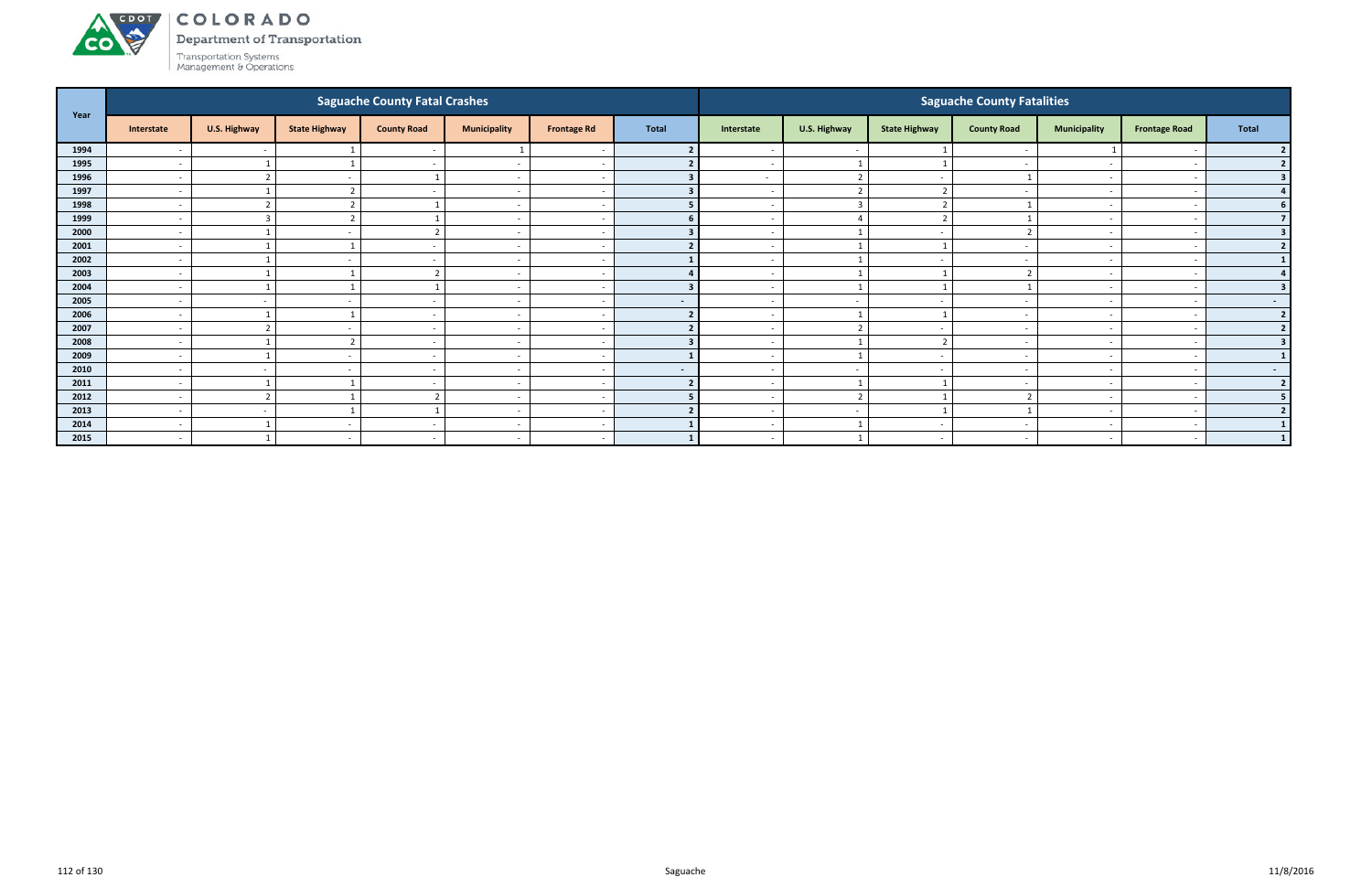Department of Transportation



|      |                              |                         |                          | <b>Saguache County Fatal Crashes</b> |                          |                    |                |                          |                          |                          | <b>Saguache County Fatalities</b> |                          |                          |                  |
|------|------------------------------|-------------------------|--------------------------|--------------------------------------|--------------------------|--------------------|----------------|--------------------------|--------------------------|--------------------------|-----------------------------------|--------------------------|--------------------------|------------------|
| Year | Interstate                   | U.S. Highway            | <b>State Highway</b>     | <b>County Road</b>                   | <b>Municipality</b>      | <b>Frontage Rd</b> | <b>Total</b>   | Interstate               | U.S. Highway             | <b>State Highway</b>     | <b>County Road</b>                | <b>Municipality</b>      | <b>Frontage Road</b>     | Total            |
| 1994 | $\overline{\phantom{a}}$     | $\sim$                  |                          | $\sim$                               |                          |                    |                |                          | $\sim$                   |                          | $\overline{\phantom{a}}$          |                          |                          | 2 <sub>1</sub>   |
| 1995 | $\overline{\phantom{a}}$     |                         |                          | $\sim$                               | $\overline{\phantom{a}}$ |                    |                | $\overline{\phantom{0}}$ | $\overline{1}$           |                          | $\sim$                            | $\sim$                   | $\overline{\phantom{a}}$ | $\overline{2}$   |
| 1996 | $\overline{\phantom{a}}$     | $\mathbf{\overline{1}}$ |                          |                                      | $\overline{\phantom{a}}$ |                    |                | $\sim$                   | $\overline{2}$           |                          |                                   | $\overline{\phantom{a}}$ |                          | 3                |
| 1997 | $\overline{\phantom{a}}$     |                         |                          |                                      | $\overline{\phantom{a}}$ |                    |                | $\overline{\phantom{0}}$ | $\overline{\phantom{a}}$ | $\overline{\phantom{a}}$ |                                   | $\sim$                   |                          |                  |
| 1998 |                              |                         |                          |                                      | $\overline{\phantom{a}}$ |                    |                | $\overline{\phantom{0}}$ | $\overline{3}$           |                          |                                   | $\overline{\phantom{a}}$ |                          | 6 <sup>1</sup>   |
| 1999 | $\overline{\phantom{a}}$     | ຳ                       |                          |                                      | $\overline{\phantom{a}}$ |                    |                |                          |                          |                          |                                   | $\overline{\phantom{0}}$ |                          | 7 <sup>1</sup>   |
| 2000 | $\overline{\phantom{a}}$     |                         | $\overline{\phantom{a}}$ | ຳ                                    | $\overline{\phantom{a}}$ |                    |                | $\overline{\phantom{0}}$ | - 1                      | $\sim$                   |                                   | $\overline{\phantom{0}}$ | $\overline{\phantom{a}}$ | 3 <sup>1</sup>   |
| 2001 | $\overline{\phantom{0}}$     |                         |                          | $\sim$                               | $\overline{\phantom{a}}$ |                    |                | $\overline{\phantom{0}}$ | $\overline{1}$           |                          | $\overline{\phantom{a}}$          | $\sim$                   |                          | 2                |
| 2002 | $\overline{\phantom{0}}$     |                         |                          |                                      | $\overline{\phantom{a}}$ |                    |                | $\overline{\phantom{0}}$ | $\overline{1}$           |                          |                                   | $\sim$                   |                          | 1 <sub>1</sub>   |
| 2003 | $\overline{\phantom{a}}$     |                         |                          | ຳ                                    | $\overline{\phantom{a}}$ |                    |                | $\overline{\phantom{0}}$ |                          |                          |                                   | $\sim$                   |                          | 4 <sup>1</sup>   |
| 2004 |                              |                         |                          |                                      | $\overline{\phantom{a}}$ |                    |                |                          |                          |                          |                                   |                          |                          | 3 <sup>1</sup>   |
| 2005 | $\overline{\phantom{a}}$     | $\sim$                  | $\overline{\phantom{a}}$ | $\sim$                               | $\overline{\phantom{a}}$ |                    | $\sim$         | $-$                      | $\sim$                   |                          | $\sim$                            | $\overline{\phantom{0}}$ | $\sim$                   | $\sim$ 100 $\mu$ |
| 2006 | $\overline{\phantom{a}}$     |                         |                          | $\overline{\phantom{a}}$             | $\overline{\phantom{a}}$ |                    |                | $\overline{\phantom{0}}$ | $\overline{\phantom{0}}$ |                          | $\overline{\phantom{a}}$          | $\overline{\phantom{0}}$ |                          | 2                |
| 2007 | $\overline{\phantom{a}}$     | $\mathbf{\overline{a}}$ |                          | $\sim$                               | $\overline{\phantom{a}}$ |                    |                | $\overline{\phantom{0}}$ | $\overline{2}$           | $\sim$                   | $\overline{\phantom{a}}$          | $\overline{a}$           |                          | 2 <sup>1</sup>   |
| 2008 | $\qquad \qquad \blacksquare$ |                         |                          |                                      | $\overline{\phantom{a}}$ |                    |                | $\overline{\phantom{0}}$ |                          |                          | $\overline{\phantom{a}}$          | $\overline{\phantom{0}}$ |                          | 3 <sup>1</sup>   |
| 2009 | $\overline{\phantom{a}}$     |                         |                          |                                      | $\overline{\phantom{a}}$ |                    |                |                          |                          |                          |                                   | $\overline{\phantom{0}}$ |                          | 1                |
| 2010 | $\overline{\phantom{a}}$     | $\sim$                  | $\overline{\phantom{a}}$ | $\sim$                               | $\overline{\phantom{a}}$ |                    | $\blacksquare$ | $-$                      | $\sim$                   | $\sim$                   | $\sim$                            | $\overline{a}$           | $\sim$                   | $\sim$ 100 $\mu$ |
| 2011 | $\overline{\phantom{a}}$     | ຳ                       |                          |                                      | $\overline{\phantom{a}}$ |                    |                | $\overline{\phantom{0}}$ | $\overline{\phantom{0}}$ |                          |                                   | $\sim$                   |                          | 2                |
| 2012 | $\overline{\phantom{a}}$     |                         |                          |                                      | $\overline{\phantom{a}}$ |                    |                | $\overline{\phantom{0}}$ | $\overline{2}$           |                          |                                   | $\sim$                   |                          | 5 <sub>1</sub>   |
| 2013 | $\overline{\phantom{a}}$     | $\sim$                  |                          |                                      | $\overline{\phantom{a}}$ |                    |                | $\overline{\phantom{0}}$ | $\overline{\phantom{a}}$ |                          |                                   | $\sim$                   |                          | 2 <sup>1</sup>   |
| 2014 | $\overline{\phantom{a}}$     |                         |                          |                                      | $\overline{\phantom{a}}$ |                    |                |                          |                          |                          |                                   |                          |                          | $1\phantom{0}$   |
| 2015 | $\overline{\phantom{a}}$     |                         | $\overline{\phantom{0}}$ | $\sim$                               | $\sim$                   |                    |                | $\sim$                   |                          | $\sim$                   | $\overline{\phantom{a}}$          | $\overline{a}$           | $\overline{\phantom{a}}$ | 1                |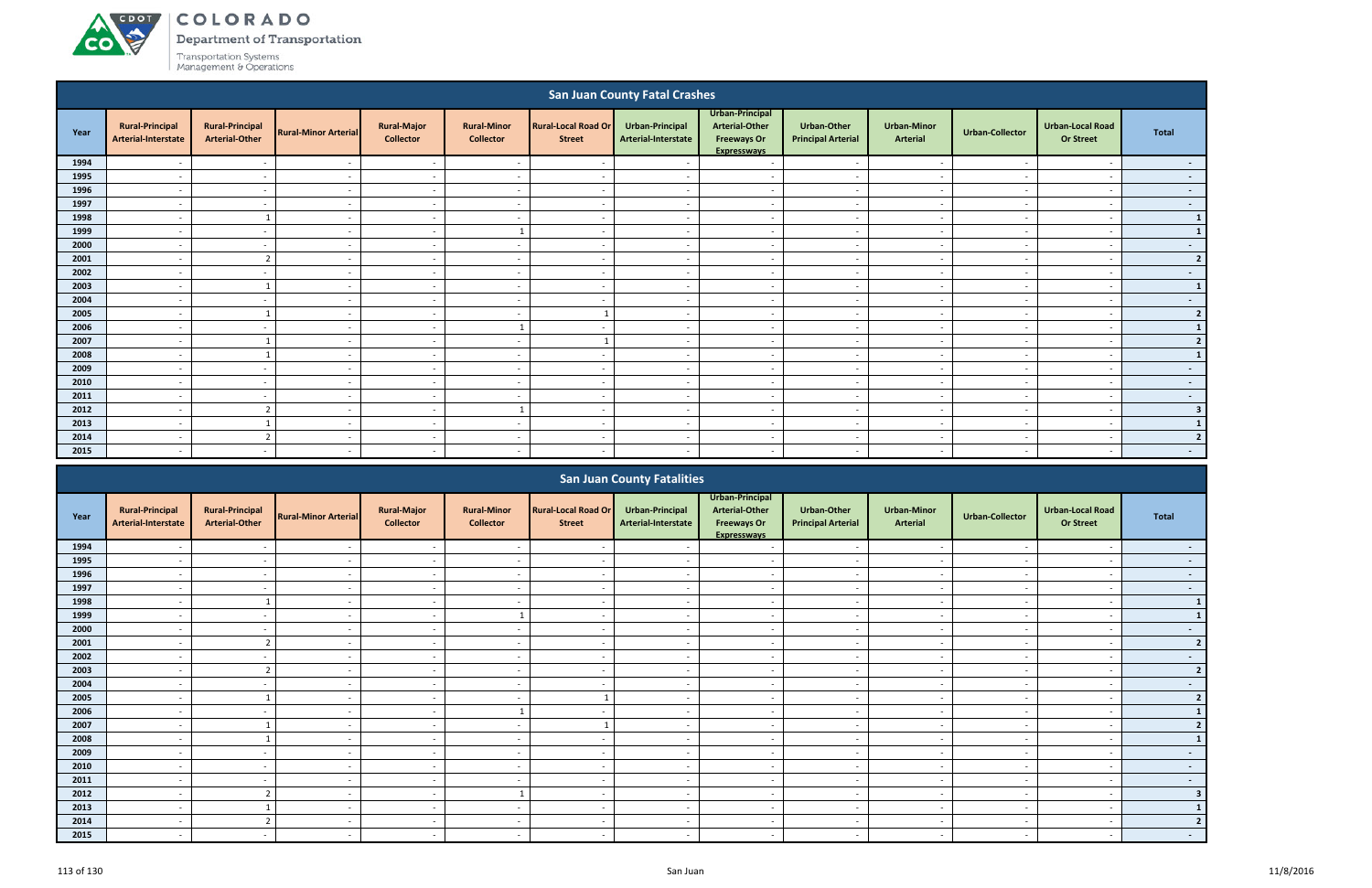# ACDOT **CO**

# COLORADO

**Department of Transportation** 

|                                                                                                                                                                                                                                                                                                                                                                                                                                                                                                            |                                               |                                                 |                             |                                        |                                        |                                             | <b>San Juan County Fatal Crashes</b>   |                                                                                      |                                                 |                                       |                          |                                             |                  |  |
|------------------------------------------------------------------------------------------------------------------------------------------------------------------------------------------------------------------------------------------------------------------------------------------------------------------------------------------------------------------------------------------------------------------------------------------------------------------------------------------------------------|-----------------------------------------------|-------------------------------------------------|-----------------------------|----------------------------------------|----------------------------------------|---------------------------------------------|----------------------------------------|--------------------------------------------------------------------------------------|-------------------------------------------------|---------------------------------------|--------------------------|---------------------------------------------|------------------|--|
| Year                                                                                                                                                                                                                                                                                                                                                                                                                                                                                                       | <b>Rural-Principal</b><br>Arterial-Interstate | <b>Rural-Principal</b><br><b>Arterial-Other</b> | <b>Rural-Minor Arterial</b> | <b>Rural-Major</b><br><b>Collector</b> | <b>Rural-Minor</b><br><b>Collector</b> | <b>Rural-Local Road Or</b><br><b>Street</b> | Urban-Principal<br>Arterial-Interstate | Urban-Principal<br><b>Arterial-Other</b><br><b>Freeways Or</b><br><b>Expresswavs</b> | <b>Urban-Other</b><br><b>Principal Arterial</b> | <b>Urban-Minor</b><br><b>Arterial</b> | <b>Urban-Collector</b>   | <b>Urban-Local Road</b><br><b>Or Street</b> | <b>Total</b>     |  |
| 1994                                                                                                                                                                                                                                                                                                                                                                                                                                                                                                       |                                               | $\overline{a}$                                  |                             | $\sim$                                 |                                        | $\overline{\phantom{a}}$                    |                                        | $\overline{a}$                                                                       |                                                 | $\overline{\phantom{a}}$              |                          | $\overline{a}$                              | $\sim$           |  |
| 1995                                                                                                                                                                                                                                                                                                                                                                                                                                                                                                       |                                               | $\overline{\phantom{a}}$                        | $\overline{\phantom{a}}$    | $\sim$                                 | $\overline{a}$                         | $\overline{\phantom{a}}$                    | $\overline{a}$                         | $\sim$                                                                               | $\overline{\phantom{a}}$                        | $\sim$                                | $\overline{\phantom{a}}$ | $\overline{\phantom{a}}$                    | $\sim$           |  |
| 1996                                                                                                                                                                                                                                                                                                                                                                                                                                                                                                       | $\overline{\phantom{a}}$                      | $\overline{\phantom{a}}$                        | $\overline{\phantom{a}}$    | $\sim$                                 | $\overline{\phantom{a}}$               | $\overline{\phantom{a}}$                    | $\sim$                                 | $\overline{\phantom{a}}$                                                             | $\overline{\phantom{a}}$                        | $\overline{\phantom{a}}$              |                          | $\overline{a}$                              | $\sim$           |  |
| 1997                                                                                                                                                                                                                                                                                                                                                                                                                                                                                                       | $\overline{\phantom{a}}$                      | $\overline{\phantom{a}}$                        | $\overline{\phantom{a}}$    | $\overline{\phantom{a}}$               | $\overline{\phantom{a}}$               | $\overline{\phantom{a}}$                    | $\overline{\phantom{a}}$               | $\sim$                                                                               | $\overline{\phantom{a}}$                        | $\sim$                                | . .                      | $\overline{\phantom{a}}$                    | $\sim$           |  |
| 1998                                                                                                                                                                                                                                                                                                                                                                                                                                                                                                       |                                               |                                                 | $\overline{\phantom{a}}$    | $\sim$                                 | $\overline{\phantom{a}}$               | $\overline{\phantom{a}}$                    | $\sim$                                 | $\sim$                                                                               | $\sim$                                          | $\overline{\phantom{a}}$              |                          | $\overline{\phantom{a}}$                    | $\mathbf{1}$     |  |
| 1999                                                                                                                                                                                                                                                                                                                                                                                                                                                                                                       | $\overline{\phantom{a}}$                      | $\overline{\phantom{a}}$                        | $\overline{\phantom{a}}$    | $\sim$                                 | $\mathbf{1}$                           | $\overline{\phantom{a}}$                    | $\sim$                                 | $\sim$                                                                               | $\sim$                                          | $\sim$                                | $\overline{\phantom{a}}$ | $\overline{\phantom{a}}$                    | $\mathbf{1}$     |  |
| 2000                                                                                                                                                                                                                                                                                                                                                                                                                                                                                                       | $\overline{\phantom{a}}$                      | $\overline{\phantom{a}}$                        | $\overline{\phantom{a}}$    | $\sim$                                 | $\overline{a}$                         | $\sim$                                      | $\sim$                                 | $\sim$                                                                               | $\overline{\phantom{0}}$                        | $\overline{\phantom{0}}$              | $\overline{\phantom{a}}$ | $\overline{\phantom{0}}$                    | $\sim 100$       |  |
| 2001<br>$\overline{2}$<br>$\sim$<br>$\overline{\phantom{a}}$<br>$\sim$<br>$\sim$<br>$\overline{\phantom{a}}$<br>$\overline{a}$<br>$\sim$<br>$\overline{\phantom{a}}$<br>$\sim$<br>$\overline{\phantom{a}}$<br>$\overline{\phantom{a}}$<br>2002<br>$\sim$<br>$\overline{\phantom{a}}$<br>$\overline{\phantom{a}}$<br>$\overline{a}$<br>$\overline{\phantom{a}}$<br>$\overline{a}$<br>$\overline{\phantom{a}}$<br>$\overline{\phantom{a}}$<br>$\overline{\phantom{a}}$<br>$\sim$<br>$\overline{\phantom{a}}$ |                                               |                                                 |                             |                                        |                                        |                                             |                                        |                                                                                      |                                                 |                                       |                          |                                             |                  |  |
| 2003<br>$\overline{1}$<br>$\sim$<br>$\overline{a}$<br>$\overline{\phantom{a}}$<br>$\sim$<br>$\overline{a}$<br>$\sim$<br>$\sim$<br>$\sim$<br>$\sim$<br>$\overline{\phantom{a}}$<br>$\overline{\phantom{a}}$                                                                                                                                                                                                                                                                                                 |                                               |                                                 |                             |                                        |                                        |                                             |                                        |                                                                                      |                                                 |                                       |                          |                                             |                  |  |
|                                                                                                                                                                                                                                                                                                                                                                                                                                                                                                            |                                               |                                                 |                             |                                        |                                        |                                             |                                        |                                                                                      |                                                 |                                       |                          |                                             |                  |  |
| 2004                                                                                                                                                                                                                                                                                                                                                                                                                                                                                                       | $\overline{\phantom{a}}$                      | $\overline{\phantom{a}}$                        | $\overline{\phantom{a}}$    | $\overline{\phantom{a}}$               | $\overline{a}$                         | $\sim$                                      | $\sim$                                 | $\overline{a}$                                                                       | $\sim$                                          | $\sim$                                | $\overline{\phantom{a}}$ | $\overline{\phantom{a}}$                    | $\sim 100$       |  |
| 2005                                                                                                                                                                                                                                                                                                                                                                                                                                                                                                       | $\overline{\phantom{a}}$                      | - 1                                             | $\overline{a}$              | $\sim$                                 | $\overline{a}$                         |                                             | $\sim$                                 | $\overline{a}$                                                                       | $\overline{\phantom{a}}$                        | $\sim$                                | $\overline{\phantom{a}}$ | $\overline{\phantom{a}}$                    | $2 \mid$         |  |
| 2006                                                                                                                                                                                                                                                                                                                                                                                                                                                                                                       | $\overline{a}$                                | $\overline{a}$                                  | $\overline{a}$              | $\sim$                                 | $\mathbf{1}$                           | $\sim$                                      | $\sim$                                 | $\overline{a}$                                                                       | $\sim$                                          | $\sim$                                | $\overline{\phantom{a}}$ | $\overline{\phantom{a}}$                    | $\mathbf{1}$     |  |
| 2007                                                                                                                                                                                                                                                                                                                                                                                                                                                                                                       | $\overline{\phantom{a}}$                      |                                                 | $\overline{\phantom{a}}$    | $\overline{\phantom{a}}$               | $\overline{a}$                         |                                             | $\overline{\phantom{a}}$               | $\overline{a}$                                                                       | $\overline{\phantom{a}}$                        | $\sim$                                | $\overline{\phantom{a}}$ | $\overline{\phantom{a}}$                    | $\overline{2}$   |  |
| 2008                                                                                                                                                                                                                                                                                                                                                                                                                                                                                                       | $\overline{\phantom{a}}$                      | $\overline{\mathbf{1}}$                         | $\overline{\phantom{a}}$    | $\sim$                                 | $\overline{a}$                         | $\overline{\phantom{a}}$                    | $\sim$                                 | $\sim$                                                                               | $\overline{\phantom{a}}$                        | $\sim$                                | $\overline{\phantom{a}}$ | $\overline{\phantom{a}}$                    | $1\vert$         |  |
| 2009                                                                                                                                                                                                                                                                                                                                                                                                                                                                                                       | $\overline{\phantom{a}}$                      | $\overline{\phantom{a}}$                        | $\overline{\phantom{a}}$    | $\sim$                                 | $\overline{\phantom{a}}$               | $\overline{\phantom{a}}$                    | $\overline{\phantom{a}}$               | $\sim$                                                                               | $\overline{\phantom{a}}$                        | $\sim$                                |                          | $\overline{\phantom{a}}$                    | $\sim$           |  |
| 2010                                                                                                                                                                                                                                                                                                                                                                                                                                                                                                       | $\overline{\phantom{a}}$                      | $\overline{\phantom{a}}$                        | $\sim$                      | $\sim$                                 | $\overline{a}$                         | $\overline{\phantom{a}}$                    | $\sim$                                 | $\overline{a}$                                                                       | $\sim$                                          | $\sim$                                | $\overline{\phantom{a}}$ | $\sim$                                      | $\sim$           |  |
| 2011                                                                                                                                                                                                                                                                                                                                                                                                                                                                                                       | $\overline{\phantom{a}}$                      | $\sim$                                          | $\overline{\phantom{a}}$    | $\overline{\phantom{a}}$               | $\overline{a}$                         | $\sim$                                      | $\overline{\phantom{a}}$               | $\overline{a}$                                                                       | $\overline{\phantom{a}}$                        | $\sim$                                |                          | $\overline{\phantom{a}}$                    | $\sim$ $-$       |  |
| 2012                                                                                                                                                                                                                                                                                                                                                                                                                                                                                                       | $\overline{\phantom{a}}$                      | $\overline{2}$                                  | $\overline{\phantom{a}}$    | $\sim$                                 |                                        | $\sim$                                      | $\sim$                                 | $\sim$                                                                               | $\sim$                                          | $\sim$                                |                          | $\overline{\phantom{a}}$                    | 3 <sup>1</sup>   |  |
| 2013                                                                                                                                                                                                                                                                                                                                                                                                                                                                                                       | $\overline{\phantom{a}}$                      |                                                 | $\overline{\phantom{a}}$    | $\sim$                                 | $\overline{\phantom{a}}$               | $\sim$                                      | $\overline{\phantom{a}}$               | $\overline{a}$                                                                       | $\overline{\phantom{a}}$                        | $\sim$                                |                          | $\sim$                                      | $\mathbf{1}$     |  |
| 2014                                                                                                                                                                                                                                                                                                                                                                                                                                                                                                       |                                               | $\overline{2}$                                  | $\overline{\phantom{a}}$    | $\overline{\phantom{a}}$               | $\overline{\phantom{a}}$               | $\overline{a}$                              | $\sim$                                 | $\overline{\phantom{a}}$                                                             | $\overline{\phantom{a}}$                        | $\overline{\phantom{a}}$              |                          | $\overline{\phantom{a}}$                    | 2 <sup>1</sup>   |  |
| 2015                                                                                                                                                                                                                                                                                                                                                                                                                                                                                                       |                                               | $\overline{a}$                                  | $\overline{\phantom{a}}$    | $\overline{\phantom{a}}$               | $\overline{\phantom{a}}$               | $\sim$                                      | $\sim$                                 | $\overline{\phantom{a}}$                                                             | $\overline{\phantom{a}}$                        | $\overline{\phantom{a}}$              |                          | $\overline{\phantom{a}}$                    | $\sim$ 100 $\mu$ |  |
|                                                                                                                                                                                                                                                                                                                                                                                                                                                                                                            |                                               |                                                 |                             |                                        |                                        |                                             | <b>San Juan County Fatalities</b>      |                                                                                      |                                                 |                                       |                          |                                             |                  |  |

|      |                                               |                                                 |                             |                                        |                                        |                                             | <b>San Juan County Fatalities</b>      |                                                                               |                                                 |                                       |                          |                                             |                          |
|------|-----------------------------------------------|-------------------------------------------------|-----------------------------|----------------------------------------|----------------------------------------|---------------------------------------------|----------------------------------------|-------------------------------------------------------------------------------|-------------------------------------------------|---------------------------------------|--------------------------|---------------------------------------------|--------------------------|
| Year | <b>Rural-Principal</b><br>Arterial-Interstate | <b>Rural-Principal</b><br><b>Arterial-Other</b> | <b>Rural-Minor Arterial</b> | <b>Rural-Major</b><br><b>Collector</b> | <b>Rural-Minor</b><br><b>Collector</b> | <b>Rural-Local Road Or</b><br><b>Street</b> | Urban-Principal<br>Arterial-Interstate | Urban-Principal<br><b>Arterial-Other</b><br><b>Freeways Or</b><br>Expressways | <b>Urban-Other</b><br><b>Principal Arterial</b> | <b>Urban-Minor</b><br><b>Arterial</b> | <b>Urban-Collector</b>   | <b>Urban-Local Road</b><br><b>Or Street</b> | Total                    |
| 1994 |                                               | $\sim$                                          |                             | $\sim$                                 | $\overline{\phantom{a}}$               | $\sim$                                      |                                        |                                                                               | $\sim$                                          | $\overline{\phantom{a}}$              | $\overline{\phantom{0}}$ |                                             | $\sim 100$               |
| 1995 |                                               |                                                 |                             | $\sim$                                 | $\overline{\phantom{0}}$               | $\overline{\phantom{a}}$                    |                                        | $\overline{\phantom{a}}$                                                      | $\sim$                                          | $\overline{\phantom{a}}$              | $\overline{\phantom{a}}$ |                                             | $\sim 100$               |
| 1996 |                                               |                                                 |                             |                                        |                                        | $\overline{\phantom{a}}$                    |                                        |                                                                               | $\overline{\phantom{a}}$                        | $\overline{\phantom{a}}$              |                          |                                             | $\sim 100$               |
| 1997 |                                               |                                                 |                             | $\sim$                                 | $\overline{\phantom{a}}$               | $\sim$                                      |                                        | $\overline{\phantom{a}}$                                                      | $\sim$                                          | $\sim$                                |                          |                                             | $\sim$                   |
| 1998 |                                               |                                                 |                             | $\sim$                                 |                                        | $\overline{\phantom{a}}$                    |                                        |                                                                               |                                                 |                                       |                          |                                             | $\mathbf{1}$             |
| 1999 |                                               | $\sim$                                          |                             | $\sim$                                 |                                        | $\sim$                                      |                                        | $\overline{\phantom{a}}$                                                      | $\sim$                                          | $\overline{\phantom{a}}$              | $\sim$                   | $\overline{\phantom{0}}$                    | $\mathbf{1}$             |
| 2000 | $\overline{\phantom{0}}$                      | $\sim$                                          |                             | $\sim$                                 | $\overline{\phantom{0}}$               | $\sim$                                      |                                        | $\overline{\phantom{a}}$                                                      | $\overline{\phantom{a}}$                        | $\overline{\phantom{a}}$              | $\overline{\phantom{a}}$ |                                             | $\sim$                   |
| 2001 |                                               | $\overline{2}$                                  |                             | $\sim$                                 |                                        | $\sim$                                      |                                        | $\overline{\phantom{a}}$                                                      | $\sim$                                          | $\sim$                                |                          |                                             | $\overline{2}$           |
| 2002 |                                               |                                                 |                             | $\sim$                                 | $\overline{\phantom{0}}$               | $\sim$                                      |                                        | $\overline{\phantom{a}}$                                                      | $\overline{\phantom{a}}$                        | $\sim$                                | $\overline{\phantom{0}}$ |                                             | $\overline{\phantom{a}}$ |
| 2003 |                                               |                                                 |                             |                                        |                                        | $\overline{\phantom{a}}$                    |                                        |                                                                               |                                                 |                                       |                          |                                             | $\overline{2}$           |
| 2004 |                                               |                                                 |                             | $\sim$                                 |                                        |                                             |                                        | $\overline{\phantom{a}}$                                                      | $\overline{\phantom{a}}$                        | $\overline{\phantom{a}}$              |                          |                                             |                          |
| 2005 |                                               |                                                 |                             | $\sim$                                 | $\overline{\phantom{0}}$               |                                             |                                        | $\overline{\phantom{a}}$                                                      | $\overline{\phantom{a}}$                        | $\sim$                                | $\blacksquare$           |                                             |                          |
| 2006 |                                               |                                                 |                             | $\sim$                                 |                                        | $\overline{\phantom{a}}$                    |                                        | $\overline{\phantom{a}}$                                                      | $\sim$                                          | $\overline{\phantom{a}}$              |                          |                                             |                          |
| 2007 |                                               |                                                 |                             | $\sim$                                 |                                        |                                             |                                        |                                                                               | $\overline{\phantom{a}}$                        | $\overline{\phantom{0}}$              |                          |                                             |                          |
| 2008 |                                               |                                                 |                             | $\sim$                                 | $\overline{\phantom{a}}$               | $\overline{\phantom{a}}$                    |                                        | $\overline{\phantom{a}}$                                                      | $\overline{\phantom{a}}$                        | $\overline{\phantom{a}}$              |                          |                                             |                          |
| 2009 |                                               |                                                 |                             |                                        |                                        |                                             |                                        |                                                                               |                                                 | $\overline{\phantom{a}}$              |                          |                                             | $\sim$                   |
| 2010 |                                               | $\sim$                                          |                             | $\sim$                                 | $\overline{\phantom{a}}$               | $\overline{\phantom{a}}$                    |                                        | $\overline{\phantom{a}}$                                                      | $\sim$                                          | $\overline{a}$                        | $\overline{\phantom{a}}$ | $\overline{\phantom{a}}$                    | $\sim 100$               |
| 2011 | $\overline{\phantom{0}}$                      | $\sim$                                          |                             | $\sim$                                 | $\overline{a}$                         | $\sim$                                      | -                                      | $\overline{\phantom{a}}$                                                      | $\overline{\phantom{a}}$                        | $\overline{\phantom{a}}$              | $\sim$                   | $\overline{\phantom{0}}$                    | <b>SOF</b>               |
| 2012 |                                               |                                                 |                             |                                        |                                        |                                             |                                        |                                                                               | $\overline{\phantom{a}}$                        | $\overline{\phantom{0}}$              |                          |                                             |                          |
| 2013 |                                               |                                                 |                             | $\sim$                                 |                                        | $\sim$                                      |                                        | $\overline{\phantom{a}}$                                                      | $\sim$                                          | $\sim$                                | $\overline{\phantom{a}}$ |                                             |                          |
| 2014 |                                               | r.                                              |                             | $\sim$                                 |                                        | $\sim$                                      |                                        |                                                                               | $\overline{\phantom{a}}$                        | $\overline{\phantom{a}}$              |                          |                                             |                          |
| 2015 |                                               |                                                 |                             |                                        |                                        | $\overline{\phantom{a}}$                    |                                        |                                                                               |                                                 |                                       |                          |                                             |                          |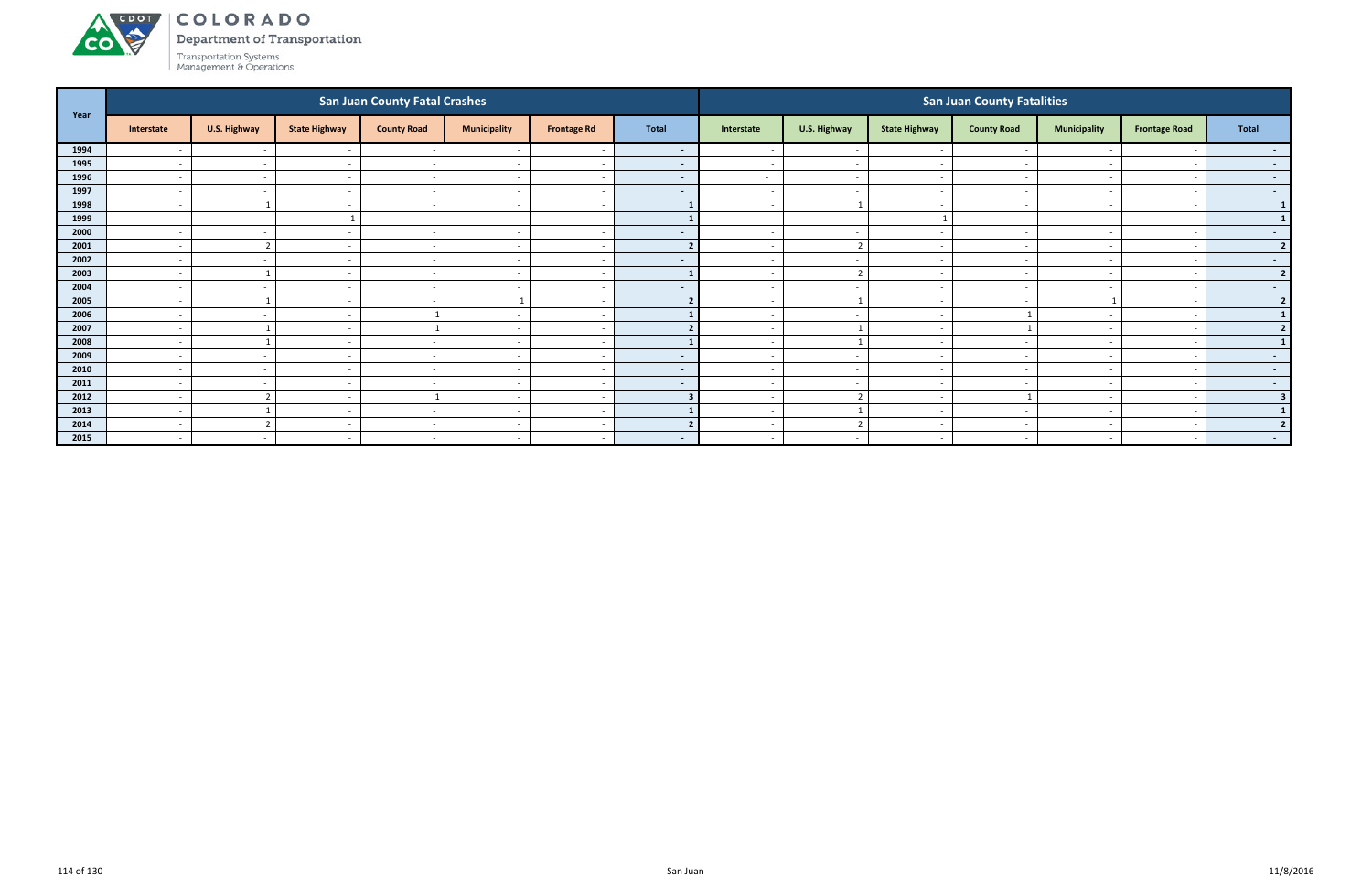

Department of Transportation

|      |                          |                |                          | <b>San Juan County Fatal Crashes</b> |                          |                          |                          |                          |                          |                          | <b>San Juan County Fatalities</b> |                          |                          |                          |
|------|--------------------------|----------------|--------------------------|--------------------------------------|--------------------------|--------------------------|--------------------------|--------------------------|--------------------------|--------------------------|-----------------------------------|--------------------------|--------------------------|--------------------------|
| Year | Interstate               | U.S. Highway   | <b>State Highway</b>     | <b>County Road</b>                   | <b>Municipality</b>      | <b>Frontage Rd</b>       | Total                    | Interstate               | U.S. Highway             | <b>State Highway</b>     | <b>County Road</b>                | <b>Municipality</b>      | <b>Frontage Road</b>     | Total                    |
| 1994 | $\overline{\phantom{a}}$ | $\sim$         |                          | $\overline{\phantom{a}}$             |                          | $\overline{\phantom{a}}$ | $\sim$                   |                          | $\overline{\phantom{a}}$ | $\sim$                   |                                   |                          |                          | $\sim$                   |
| 1995 | $\sim$                   | $\sim$         | $\overline{\phantom{a}}$ | $\sim$                               | $\overline{\phantom{a}}$ | $\sim$                   | $\sim$                   | $\sim$                   | $\sim$                   | $\sim$                   | $\sim$                            | $\overline{\phantom{0}}$ |                          | $\sim$ 100 $\mu$         |
| 1996 | $\overline{\phantom{a}}$ | $\sim$         |                          | $\sim$                               | $\overline{\phantom{a}}$ | $\sim$                   | <b>START OF</b>          | $\sim$                   | $\sim$                   | $\sim$                   |                                   | $\sim$                   |                          | $\sim$ $-$               |
| 1997 | $\overline{\phantom{a}}$ | $\sim$         |                          | $\overline{\phantom{0}}$             | $\overline{\phantom{a}}$ | $\overline{\phantom{a}}$ | $\sim$                   | $\sim$                   | $\overline{\phantom{a}}$ | $\overline{\phantom{0}}$ |                                   | $\overline{\phantom{0}}$ |                          | $\sim$ $-$               |
| 1998 | $\overline{\phantom{a}}$ |                |                          | $\overline{\phantom{0}}$             | $\overline{\phantom{a}}$ | $\overline{\phantom{a}}$ |                          |                          |                          | $\sim$                   |                                   | $\overline{\phantom{0}}$ |                          | $\mathbf{1}$             |
| 1999 |                          | $\sim$         |                          |                                      |                          | $\overline{\phantom{a}}$ |                          |                          | $\overline{\phantom{a}}$ |                          |                                   |                          |                          | $\mathbf{1}$             |
| 2000 | $\overline{\phantom{a}}$ | $\sim$         | $\overline{\phantom{a}}$ | $\sim$                               | $\overline{\phantom{a}}$ | $\sim$                   | $\overline{\phantom{a}}$ | $\sim$                   | $\sim$                   | $\sim$                   | $\overline{\phantom{a}}$          | $\overline{\phantom{0}}$ |                          | $\sim$ 100 $\mu$         |
| 2001 | $\overline{\phantom{a}}$ | $\overline{2}$ | $\overline{\phantom{0}}$ | $\sim$                               | $\overline{\phantom{a}}$ | $\sim$                   |                          | $\sim$                   | $\overline{2}$           | $\sim$                   |                                   | $\sim$                   |                          | $\overline{2}$           |
| 2002 | $\overline{\phantom{a}}$ | $\sim$         |                          |                                      | $\overline{\phantom{a}}$ | $\overline{\phantom{a}}$ | $\overline{\phantom{a}}$ |                          | $\overline{\phantom{a}}$ | $\overline{\phantom{a}}$ |                                   |                          |                          | $\sim$ 100 $\mu$         |
| 2003 | $\overline{\phantom{a}}$ |                |                          | $\sim$                               | $\overline{\phantom{a}}$ | $\sim$                   |                          | $\sim$                   | $\overline{2}$           | $\sim$                   |                                   | $\overline{\phantom{0}}$ |                          | $\overline{2}$           |
| 2004 | $\overline{\phantom{a}}$ | $\sim$         |                          |                                      |                          | $\overline{\phantom{a}}$ | $\sim$                   |                          | $\overline{\phantom{0}}$ | <u>т</u>                 |                                   |                          |                          | $\sim$                   |
| 2005 | $\overline{\phantom{a}}$ |                | $\overline{\phantom{a}}$ | $\overline{\phantom{0}}$             |                          | $\overline{\phantom{a}}$ |                          | $\sim$                   | $\mathbf{1}$             | $\sim$                   | $\overline{\phantom{a}}$          | -1                       |                          | 2 <sup>1</sup>           |
| 2006 | $\overline{\phantom{a}}$ | $\sim$         |                          |                                      | $\overline{\phantom{a}}$ | $\overline{\phantom{a}}$ |                          | $\overline{\phantom{0}}$ | $\overline{\phantom{a}}$ | $\overline{\phantom{0}}$ |                                   | $\overline{\phantom{0}}$ |                          |                          |
| 2007 | $\overline{\phantom{a}}$ |                |                          |                                      | $\overline{\phantom{a}}$ | $\overline{\phantom{a}}$ |                          |                          |                          | $\sim$                   |                                   | $\overline{\phantom{0}}$ |                          | $\overline{\phantom{a}}$ |
| 2008 | $\overline{\phantom{a}}$ |                |                          |                                      | $\overline{\phantom{a}}$ | $\sim$                   |                          |                          |                          | $\sim$                   |                                   |                          |                          |                          |
| 2009 | $\overline{\phantom{a}}$ | $\sim$         |                          |                                      |                          | $\sim$                   | $\sim$                   |                          | $\overline{\phantom{a}}$ | $\sim$                   |                                   |                          |                          | $\sim$                   |
| 2010 | $\overline{a}$           | $\sim$         | $\overline{\phantom{a}}$ | $\sim$ $-$                           | $\overline{\phantom{a}}$ | $\sim$                   | $\sim$                   | $\sim$                   | $\sim$                   | $\sim$                   | $\overline{\phantom{a}}$          | $\sim$                   | $\overline{\phantom{a}}$ | $\sim$ 100 $\pm$         |
| 2011 | $\overline{a}$           | $\sim$         | $\overline{\phantom{0}}$ | $\sim$                               | $\overline{\phantom{a}}$ | $\sim$                   | $\sim$                   | $\overline{\phantom{0}}$ | $\overline{\phantom{a}}$ | $\sim$                   |                                   | $\sim$                   |                          | $\sim$ $-$               |
| 2012 | $\overline{\phantom{a}}$ | $\overline{2}$ | $\overline{\phantom{a}}$ |                                      | $\overline{\phantom{a}}$ | $\overline{\phantom{a}}$ |                          |                          | $\overline{2}$           | $\sim$                   |                                   | $\overline{\phantom{0}}$ |                          | $\overline{\mathbf{3}}$  |
| 2013 | $\overline{\phantom{a}}$ |                | $\overline{\phantom{0}}$ | $\sim$                               | $\overline{\phantom{a}}$ | $\overline{a}$           |                          |                          |                          | $\overline{\phantom{0}}$ |                                   | $\overline{\phantom{0}}$ |                          |                          |
| 2014 | $\overline{\phantom{a}}$ | $\overline{2}$ |                          |                                      | $\overline{\phantom{a}}$ | $\overline{a}$           |                          |                          |                          | $\overline{\phantom{a}}$ |                                   |                          |                          |                          |
| 2015 | $\overline{a}$           | $\sim$         | $\overline{\phantom{a}}$ | $\sim$                               | $\overline{\phantom{a}}$ | $\sim$                   | $\sim$                   | $\sim$                   | $\sim$                   | $\sim$                   | $\overline{\phantom{a}}$          | $\sim$                   | $\overline{\phantom{a}}$ | $\sim$ 100 $\mu$         |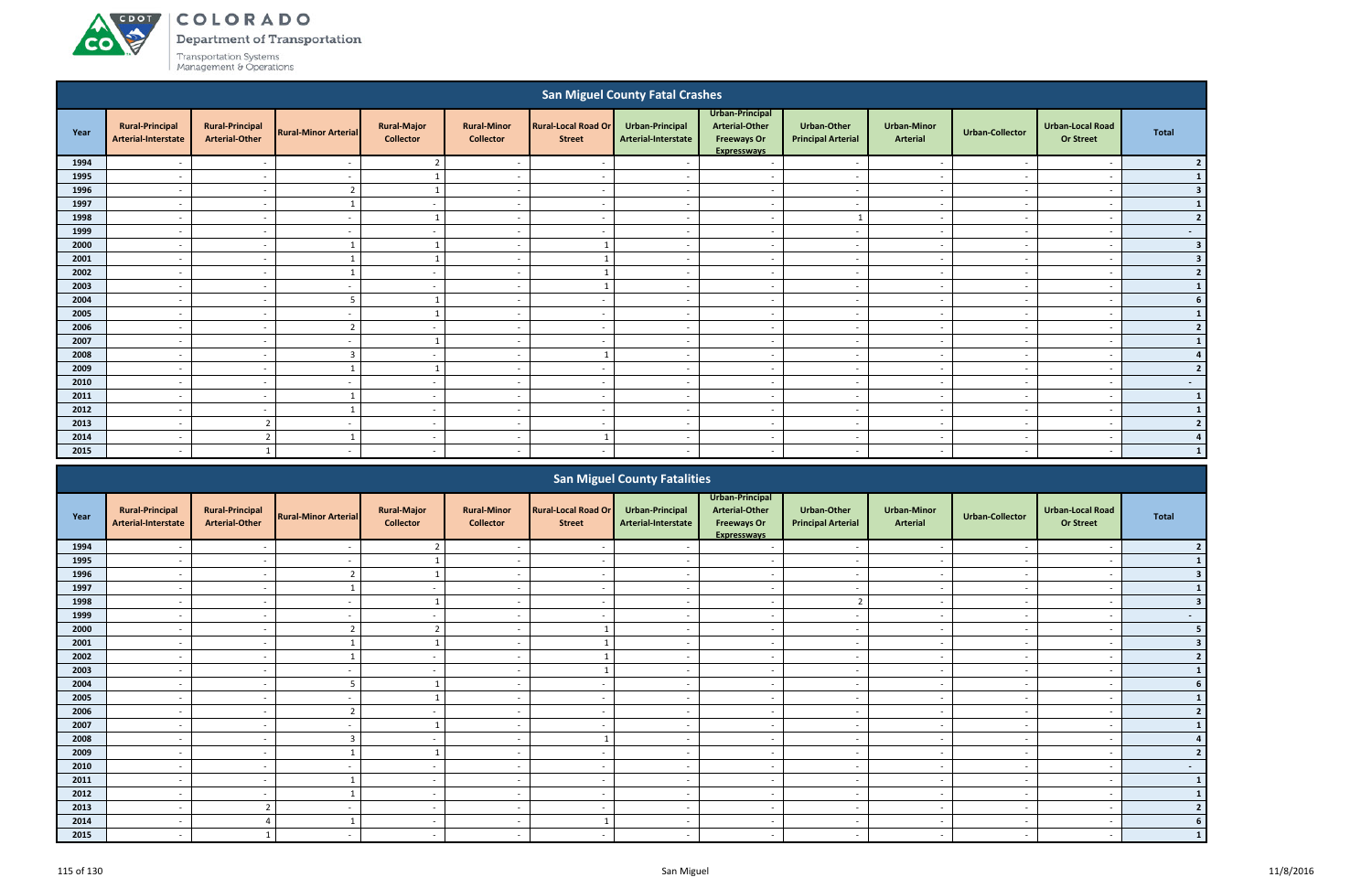**co** 

Department of Transportation

|      |                                               |                                                 |                             |                                        |                                        |                                             | <b>San Miguel County Fatal Crashes</b> |                                                                                      |                                                 |                                |                          |                                             |                         |
|------|-----------------------------------------------|-------------------------------------------------|-----------------------------|----------------------------------------|----------------------------------------|---------------------------------------------|----------------------------------------|--------------------------------------------------------------------------------------|-------------------------------------------------|--------------------------------|--------------------------|---------------------------------------------|-------------------------|
| Year | <b>Rural-Principal</b><br>Arterial-Interstate | <b>Rural-Principal</b><br><b>Arterial-Other</b> | <b>Rural-Minor Arterial</b> | <b>Rural-Major</b><br><b>Collector</b> | <b>Rural-Minor</b><br><b>Collector</b> | <b>Rural-Local Road Or</b><br><b>Street</b> | Urban-Principal<br>Arterial-Interstate | Urban-Principal<br><b>Arterial-Other</b><br><b>Freeways Or</b><br><b>Expressways</b> | <b>Urban-Other</b><br><b>Principal Arterial</b> | <b>Urban-Minor</b><br>Arterial | <b>Urban-Collector</b>   | <b>Urban-Local Road</b><br><b>Or Street</b> | <b>Total</b>            |
| 1994 |                                               | $\overline{\phantom{a}}$                        | $\overline{\phantom{a}}$    | $\overline{2}$                         | $\overline{\phantom{a}}$               | $\overline{\phantom{a}}$                    | $\overline{\phantom{a}}$               | $\overline{\phantom{a}}$                                                             | $\overline{\phantom{a}}$                        | $\overline{\phantom{a}}$       | $\sim$                   | $\overline{\phantom{a}}$                    | $\overline{2}$          |
| 1995 | $\overline{\phantom{a}}$                      | $\overline{\phantom{a}}$                        | $\sim$                      | 1                                      | $\overline{a}$                         | $\sim$                                      | $\sim$                                 | $\sim$                                                                               | $\overline{a}$                                  | $\overline{\phantom{a}}$       | $\sim$                   | $\overline{\phantom{0}}$                    |                         |
| 1996 | $\sim$                                        | $\overline{\phantom{a}}$                        | $\overline{2}$              | $\overline{1}$                         | $\overline{a}$                         | $\sim$                                      | $\sim$                                 | $\overline{\phantom{a}}$                                                             | $\overline{a}$                                  | $\overline{\phantom{a}}$       | $\sim$                   | $\overline{a}$                              | в                       |
| 1997 | $\overline{\phantom{a}}$                      | $\overline{\phantom{a}}$                        |                             | $\sim$                                 | $\overline{\phantom{a}}$               | $\overline{\phantom{a}}$                    | $\overline{\phantom{a}}$               | $\overline{\phantom{a}}$                                                             | $\sim$                                          | $\overline{\phantom{a}}$       | $\overline{a}$           | $\overline{\phantom{a}}$                    |                         |
| 1998 | $\overline{\phantom{a}}$                      | $\overline{\phantom{a}}$                        | $\overline{a}$              |                                        | $\overline{\phantom{a}}$               | $\overline{\phantom{a}}$                    | $\overline{\phantom{a}}$               | $\overline{\phantom{a}}$                                                             |                                                 | $\overline{\phantom{a}}$       | $\sim$                   | $\overline{\phantom{a}}$                    | $\overline{2}$          |
| 1999 | $\overline{a}$                                | $\sim$                                          | $\overline{\phantom{a}}$    | $\sim$                                 | $\overline{\phantom{a}}$               | $\overline{a}$                              | $\sim$                                 | $\sim$                                                                               | $\sim$                                          | $\sim$                         | $\sim$                   | $\overline{\phantom{a}}$                    | $\sim$                  |
| 2000 | $\overline{\phantom{a}}$                      | $\overline{\phantom{a}}$                        |                             |                                        | $\overline{\phantom{a}}$               |                                             | $\overline{\phantom{a}}$               | $\overline{\phantom{a}}$                                                             | $\overline{a}$                                  | $\overline{\phantom{a}}$       | $\sim$                   | $\overline{\phantom{a}}$                    | $\overline{\mathbf{3}}$ |
| 2001 | $\overline{\phantom{a}}$                      | $\overline{\phantom{a}}$                        |                             | $\mathbf{1}$                           | $\overline{\phantom{a}}$               |                                             | $\overline{a}$                         | $\overline{\phantom{a}}$                                                             | $\overline{a}$                                  | $\overline{\phantom{a}}$       | $\overline{\phantom{a}}$ | $\overline{\phantom{a}}$                    | $\overline{\mathbf{3}}$ |
| 2002 | $\overline{\phantom{a}}$                      | $\overline{\phantom{a}}$                        |                             | $\sim$                                 | $\overline{\phantom{a}}$               |                                             | $\overline{\phantom{a}}$               | $\overline{\phantom{a}}$                                                             | $\overline{\phantom{a}}$                        | $\overline{\phantom{a}}$       | $\sim$                   | $\overline{\phantom{a}}$                    | $\overline{2}$          |
| 2003 | $\overline{\phantom{a}}$                      | $\overline{\phantom{a}}$                        | $\overline{\phantom{a}}$    | $\overline{\phantom{a}}$               | $\overline{\phantom{a}}$               |                                             | $\overline{\phantom{a}}$               | $\overline{\phantom{a}}$                                                             | $\overline{\phantom{a}}$                        | $\overline{\phantom{a}}$       | $\sim$                   | $\overline{\phantom{a}}$                    |                         |
| 2004 | $\overline{a}$                                | $\sim$                                          | 5                           | $\overline{1}$                         | $\overline{a}$                         | $\sim$                                      | $\sim$                                 | $\overline{\phantom{a}}$                                                             | $\overline{a}$                                  | $\overline{\phantom{a}}$       | $\sim$                   | $\overline{\phantom{a}}$                    | 6                       |
| 2005 | $\overline{\phantom{0}}$                      | $\overline{\phantom{a}}$                        | $\overline{\phantom{a}}$    | 1                                      | $\overline{\phantom{a}}$               | $\overline{\phantom{a}}$                    | $\overline{a}$                         | $\overline{\phantom{a}}$                                                             | $\overline{a}$                                  | $\overline{\phantom{a}}$       | $\overline{\phantom{a}}$ | $\overline{\phantom{a}}$                    | $\mathbf{1}$            |
| 2006 | $\overline{\phantom{a}}$                      | $\overline{\phantom{a}}$                        | $\mathbf{\hat{z}}$          | $\overline{\phantom{a}}$               | $\overline{\phantom{a}}$               | $\overline{\phantom{a}}$                    | $\overline{\phantom{a}}$               | $\overline{\phantom{a}}$                                                             | $\overline{\phantom{a}}$                        | $\sim$                         | $\overline{\phantom{a}}$ | $\overline{\phantom{a}}$                    | $\overline{2}$          |
| 2007 | $\overline{\phantom{a}}$                      | $\overline{\phantom{a}}$                        | $\overline{\phantom{a}}$    |                                        | $\overline{\phantom{a}}$               | $\overline{\phantom{a}}$                    | $\sim$                                 | $\overline{\phantom{a}}$                                                             | $\overline{\phantom{a}}$                        | $\overline{\phantom{a}}$       | $\overline{\phantom{a}}$ | $\overline{\phantom{a}}$                    |                         |
| 2008 | $\overline{\phantom{a}}$                      | $\overline{\phantom{a}}$                        | $\overline{3}$              | $\sim$                                 | $\overline{\phantom{a}}$               |                                             | $\sim$                                 | $\overline{\phantom{a}}$                                                             | $\overline{a}$                                  | $\sim$                         | $\sim$                   | $\overline{\phantom{a}}$                    |                         |
| 2009 | $\overline{a}$                                | $\overline{a}$                                  |                             | $\overline{1}$                         | $\overline{\phantom{0}}$               | $\overline{a}$                              | $\overline{a}$                         | $\overline{a}$                                                                       | $\overline{a}$                                  | $\overline{a}$                 | $\overline{\phantom{a}}$ | $\overline{\phantom{a}}$                    | $\overline{2}$          |
| 2010 | $\overline{\phantom{a}}$                      | $\overline{\phantom{a}}$                        | $\overline{\phantom{a}}$    | $\sim$                                 | $\overline{a}$                         | $\overline{\phantom{a}}$                    | $\overline{\phantom{a}}$               | $\overline{\phantom{a}}$                                                             | $\overline{a}$                                  | $\overline{\phantom{a}}$       | $\overline{\phantom{a}}$ | $\overline{\phantom{0}}$                    | $\sim$                  |
| 2011 | $\overline{\phantom{a}}$                      | $\overline{\phantom{a}}$                        |                             | $\overline{\phantom{a}}$               | $\overline{\phantom{a}}$               | $\overline{\phantom{a}}$                    | $\overline{\phantom{a}}$               | $\sim$                                                                               | $\overline{\phantom{a}}$                        | $\sim$                         | $\overline{\phantom{a}}$ | $\overline{\phantom{a}}$                    | $\mathbf{1}$            |
| 2012 | $\overline{\phantom{a}}$                      | $\sim$                                          |                             | $\sim$                                 | $\sim$                                 | $\sim$                                      | $\sim$                                 | $\sim$                                                                               | $\sim$                                          | $\overline{\phantom{a}}$       | $\sim$                   | $\overline{\phantom{a}}$                    |                         |
| 2013 | $\overline{\phantom{a}}$                      | $\overline{2}$                                  | $\overline{\phantom{a}}$    | $\sim$                                 | $\overline{\phantom{a}}$               | $\sim$                                      | $\sim$                                 | $\overline{\phantom{a}}$                                                             | $\sim$                                          | $\overline{\phantom{a}}$       | $\sim$                   | $\overline{\phantom{a}}$                    | $\overline{\mathbf{z}}$ |
| 2014 | $\overline{\phantom{a}}$                      | $\overline{\phantom{a}}$                        |                             | $\sim$                                 | $\overline{\phantom{a}}$               |                                             | $\overline{a}$                         | $\overline{\phantom{a}}$                                                             | $\overline{\phantom{a}}$                        | $\overline{\phantom{a}}$       | $\overline{\phantom{a}}$ | $\overline{\phantom{a}}$                    |                         |
| 2015 | $\overline{\phantom{a}}$                      |                                                 | $\overline{\phantom{a}}$    | $\sim$                                 | $\overline{a}$                         | $\overline{\phantom{a}}$                    | $\sim$                                 | $\overline{\phantom{a}}$                                                             | $\sim$                                          | $\overline{\phantom{a}}$       | $\sim$                   | $\overline{\phantom{a}}$                    |                         |
|      |                                               |                                                 |                             |                                        |                                        |                                             |                                        |                                                                                      |                                                 |                                |                          |                                             |                         |

|      |                                               |                                                 |                             |                                        |                                        |                                             | <b>San Miguel County Fatalities</b>    |                                                                                      |                                          |                                       |                          |                                             |        |
|------|-----------------------------------------------|-------------------------------------------------|-----------------------------|----------------------------------------|----------------------------------------|---------------------------------------------|----------------------------------------|--------------------------------------------------------------------------------------|------------------------------------------|---------------------------------------|--------------------------|---------------------------------------------|--------|
| Year | <b>Rural-Principal</b><br>Arterial-Interstate | <b>Rural-Principal</b><br><b>Arterial-Other</b> | <b>Rural-Minor Arterial</b> | <b>Rural-Major</b><br><b>Collector</b> | <b>Rural-Minor</b><br><b>Collector</b> | <b>Rural-Local Road Or</b><br><b>Street</b> | Urban-Principal<br>Arterial-Interstate | Urban-Principal<br><b>Arterial-Other</b><br><b>Freeways Or</b><br><b>Expresswavs</b> | Urban-Other<br><b>Principal Arterial</b> | <b>Urban-Minor</b><br><b>Arterial</b> | <b>Urban-Collector</b>   | <b>Urban-Local Road</b><br><b>Or Street</b> | Total  |
| 1994 |                                               |                                                 |                             |                                        |                                        |                                             |                                        |                                                                                      |                                          |                                       |                          |                                             |        |
| 1995 |                                               |                                                 |                             |                                        |                                        |                                             |                                        |                                                                                      |                                          |                                       |                          |                                             |        |
| 1996 | $\overline{\phantom{a}}$                      | $\sim$                                          |                             |                                        | $\overline{\phantom{a}}$               |                                             |                                        | $\overline{\phantom{a}}$                                                             | $\overline{\phantom{a}}$                 | $\sim$                                |                          | $\overline{\phantom{a}}$                    |        |
| 1997 |                                               | $\overline{\phantom{0}}$                        |                             | $\sim$                                 | $\overline{\phantom{0}}$               |                                             |                                        | $\overline{\phantom{0}}$                                                             | $\overline{\phantom{0}}$                 | $\overline{\phantom{0}}$              |                          | $\overline{\phantom{0}}$                    |        |
| 1998 |                                               |                                                 |                             |                                        |                                        |                                             |                                        |                                                                                      | $\mathcal{L}$                            |                                       |                          |                                             |        |
| 1999 |                                               |                                                 |                             | $\overline{\phantom{a}}$               | $\overline{\phantom{a}}$               |                                             |                                        | $\overline{\phantom{a}}$                                                             | $\overline{\phantom{a}}$                 | $\qquad \qquad \blacksquare$          |                          | $\overline{\phantom{a}}$                    | $\sim$ |
| 2000 |                                               |                                                 |                             |                                        |                                        |                                             |                                        |                                                                                      |                                          |                                       |                          |                                             |        |
| 2001 | $\overline{\phantom{a}}$                      | $\overline{\phantom{a}}$                        |                             |                                        | $\overline{\phantom{a}}$               |                                             |                                        | $\overline{\phantom{a}}$                                                             | $\overline{\phantom{a}}$                 | $\sim$                                |                          | $\overline{\phantom{a}}$                    |        |
| 2002 |                                               |                                                 |                             | $\sim$                                 | $\overline{\phantom{a}}$               |                                             |                                        | $\overline{\phantom{a}}$                                                             | $\overline{\phantom{a}}$                 | $\overline{\phantom{0}}$              |                          |                                             |        |
| 2003 |                                               | $\overline{\phantom{a}}$                        |                             |                                        |                                        |                                             |                                        |                                                                                      | $\overline{\phantom{0}}$                 | $\overline{\phantom{0}}$              |                          |                                             |        |
| 2004 |                                               |                                                 |                             |                                        | $\overline{\phantom{a}}$               |                                             |                                        | $\overline{\phantom{a}}$                                                             | $\overline{\phantom{a}}$                 | $\overline{\phantom{a}}$              |                          | $\overline{\phantom{a}}$                    |        |
| 2005 |                                               |                                                 |                             |                                        | $\overline{\phantom{a}}$               |                                             |                                        | $\overline{\phantom{a}}$                                                             | $\overline{\phantom{a}}$                 |                                       |                          |                                             |        |
| 2006 | $\overline{\phantom{a}}$                      | $\sim$                                          | ີ                           | $\sim$                                 | $\overline{\phantom{a}}$               | $\overline{\phantom{a}}$                    | $\overline{\phantom{a}}$               | $\sim$                                                                               | $\overline{\phantom{a}}$                 | $\sim$                                | $\overline{\phantom{a}}$ | $\overline{\phantom{a}}$                    |        |
| 2007 |                                               |                                                 |                             |                                        | $\overline{\phantom{a}}$               |                                             |                                        | $\overline{\phantom{a}}$                                                             | $\overline{\phantom{a}}$                 | $\overline{\phantom{a}}$              |                          | $\overline{\phantom{a}}$                    |        |
| 2008 |                                               | $\overline{\phantom{0}}$                        |                             | $\overline{\phantom{0}}$               |                                        |                                             |                                        | $\overline{\phantom{a}}$                                                             | $\overline{\phantom{0}}$                 | $\overline{\phantom{0}}$              |                          | $\overline{\phantom{0}}$                    |        |
| 2009 |                                               |                                                 |                             |                                        |                                        |                                             |                                        |                                                                                      | $\overline{\phantom{a}}$                 |                                       |                          |                                             |        |
| 2010 |                                               | $\overline{\phantom{a}}$                        |                             | $\sim$                                 | $\overline{\phantom{a}}$               |                                             |                                        | $\overline{\phantom{a}}$                                                             | $\sim$                                   | $\overline{\phantom{0}}$              |                          | $\overline{\phantom{0}}$                    | $\sim$ |
| 2011 | $\overline{\phantom{a}}$                      | $\sim$                                          |                             | $\sim$                                 | $\overline{\phantom{a}}$               | $\overline{\phantom{a}}$                    | $\overline{\phantom{a}}$               | $\sim$                                                                               | $\overline{\phantom{a}}$                 | $\sim$                                | $\overline{\phantom{a}}$ | $\overline{\phantom{a}}$                    |        |
| 2012 |                                               |                                                 |                             | $\sim$                                 | $\overline{\phantom{a}}$               |                                             |                                        | $\overline{\phantom{a}}$                                                             | $\overline{\phantom{a}}$                 | $\overline{\phantom{0}}$              |                          | $\overline{\phantom{a}}$                    |        |
| 2013 |                                               |                                                 |                             | $\sim$                                 | $\overline{\phantom{a}}$               |                                             |                                        | $\overline{\phantom{a}}$                                                             | $\overline{\phantom{0}}$                 | $\overline{\phantom{0}}$              |                          | $\overline{\phantom{a}}$                    |        |
| 2014 |                                               |                                                 |                             | $\sim$                                 | $\overline{\phantom{a}}$               |                                             |                                        | $\overline{\phantom{a}}$                                                             | $\overline{\phantom{a}}$                 | $\overline{\phantom{a}}$              |                          | $\overline{\phantom{a}}$                    |        |
| 2015 |                                               |                                                 |                             | $\overline{\phantom{0}}$               |                                        |                                             |                                        |                                                                                      | $\overline{\phantom{a}}$                 | $\overline{\phantom{a}}$              |                          |                                             |        |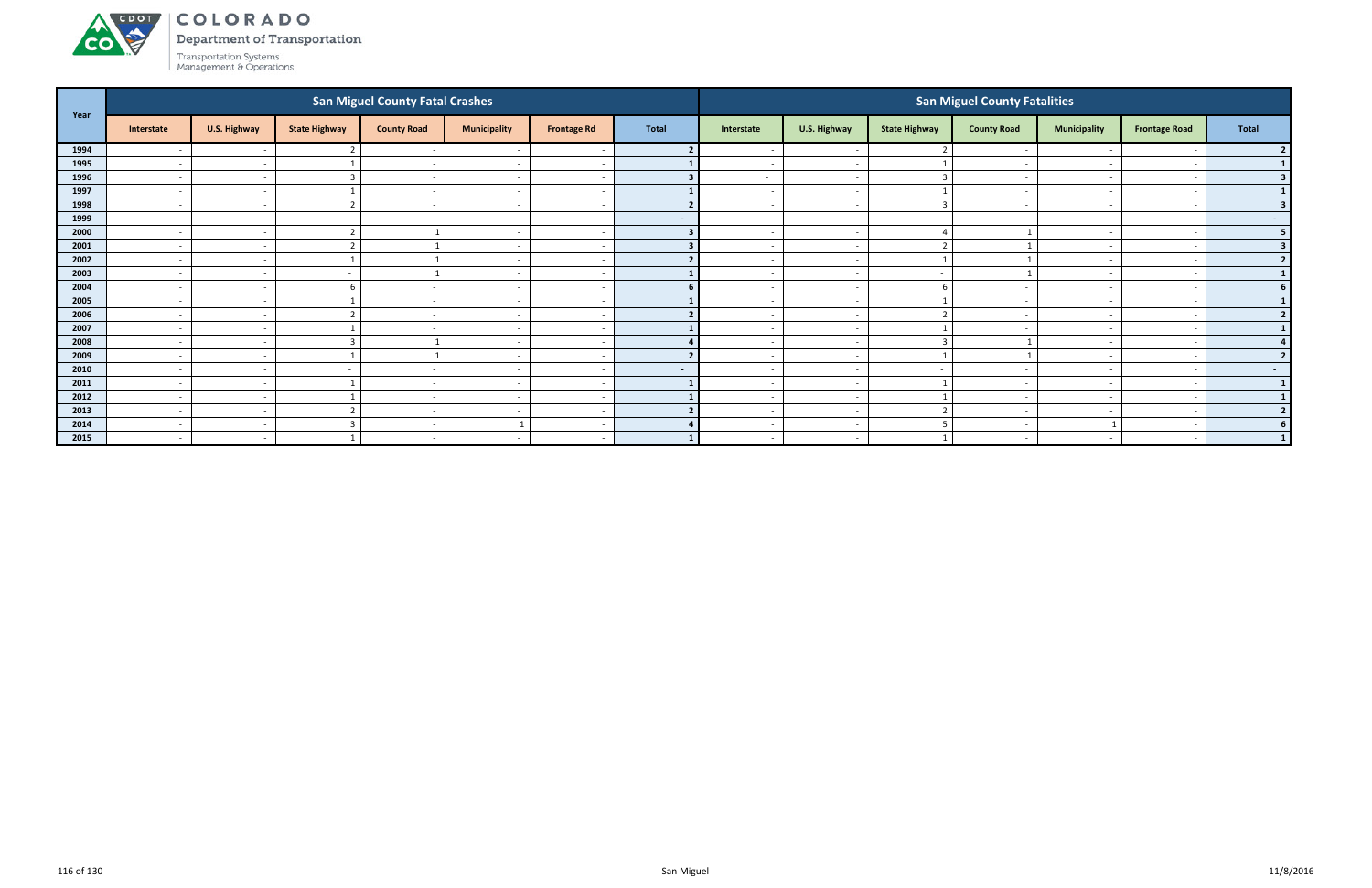

Department of Transportation

| Year |                          |                          |                      | <b>San Miguel County Fatal Crashes</b> |                          |                          |              |                          |                          |                          | <b>San Miguel County Fatalities</b> |                          |                      |                |
|------|--------------------------|--------------------------|----------------------|----------------------------------------|--------------------------|--------------------------|--------------|--------------------------|--------------------------|--------------------------|-------------------------------------|--------------------------|----------------------|----------------|
|      | Interstate               | U.S. Highway             | <b>State Highway</b> | <b>County Road</b>                     | <b>Municipality</b>      | <b>Frontage Rd</b>       | <b>Total</b> | Interstate               | U.S. Highway             | <b>State Highway</b>     | <b>County Road</b>                  | <b>Municipality</b>      | <b>Frontage Road</b> | Total          |
| 1994 |                          | $\overline{\phantom{a}}$ |                      | $\sim$                                 |                          |                          |              |                          | $\sim$                   |                          |                                     |                          |                      |                |
| 1995 | $\overline{a}$           | $\sim$                   |                      | $\sim$                                 | $\overline{\phantom{a}}$ | $\overline{\phantom{a}}$ |              | $\overline{\phantom{0}}$ | $\sim$                   |                          | $\sim$                              |                          |                      |                |
| 1996 | $\overline{\phantom{0}}$ | $\sim$                   |                      | $\sim$                                 | $\overline{\phantom{a}}$ |                          |              | $\sim$                   | $\overline{a}$           | 3                        | $\overline{\phantom{a}}$            | $\overline{\phantom{0}}$ |                      |                |
| 1997 | $\overline{\phantom{a}}$ | $\overline{\phantom{a}}$ |                      | $\sim$                                 | $\overline{\phantom{a}}$ |                          |              |                          | $\overline{\phantom{a}}$ |                          |                                     |                          |                      |                |
| 1998 | $\overline{\phantom{0}}$ | $\overline{\phantom{a}}$ |                      | $\sim$                                 | $\overline{\phantom{a}}$ |                          |              |                          | $\overline{\phantom{a}}$ | 3                        |                                     |                          |                      |                |
| 1999 |                          | $\overline{\phantom{a}}$ |                      |                                        |                          |                          | $\sim$       |                          | $\sim$                   | $\overline{\phantom{a}}$ |                                     |                          |                      | $\sim$         |
| 2000 | $\overline{a}$           | $\sim$                   |                      |                                        | $\overline{\phantom{a}}$ |                          |              | $\overline{\phantom{a}}$ | $\sim$                   | $\Delta$                 |                                     |                          |                      | 5              |
| 2001 | $\overline{\phantom{a}}$ | $\sim$                   |                      |                                        | $\overline{\phantom{a}}$ |                          |              |                          | $\sim$                   | $\mathbf{\Gamma}$        |                                     | $\sim$                   |                      |                |
| 2002 |                          | $\sim$                   |                      |                                        | $\overline{\phantom{a}}$ |                          |              |                          | $\sim$                   |                          |                                     |                          |                      | $\overline{2}$ |
| 2003 | $\sim$                   | $\sim$                   |                      |                                        | $\sim$                   |                          |              |                          | $\sim$                   | $\sim$                   |                                     | $\sim$                   |                      | $\mathbf{1}$   |
| 2004 |                          | $\overline{\phantom{a}}$ |                      |                                        |                          |                          |              |                          | $\overline{a}$           |                          |                                     |                          |                      |                |
| 2005 | $\overline{a}$           | $\sim$                   |                      | $\overline{a}$                         | $\sim$                   | и.                       |              | $\overline{\phantom{a}}$ | $\sim$                   |                          | $\sim$                              |                          |                      |                |
| 2006 | $\overline{\phantom{0}}$ | $\sim$                   |                      | $\sim$                                 | $\overline{\phantom{a}}$ |                          |              |                          | $\sim$                   | ຳ                        |                                     | $\sim$                   |                      |                |
| 2007 | $\overline{\phantom{0}}$ | $\sim$                   |                      | $\overline{\phantom{a}}$               | $\overline{\phantom{a}}$ |                          |              |                          | $\sim$                   |                          |                                     |                          |                      |                |
| 2008 |                          | $\sim$                   |                      |                                        | $\sim$                   |                          |              |                          | $\sim$                   | 3                        |                                     |                          |                      |                |
| 2009 |                          | $\sim$                   |                      |                                        |                          |                          |              |                          | $\sim$                   |                          |                                     |                          |                      | $\overline{2}$ |
| 2010 | $\sim$                   | $\overline{\phantom{a}}$ | $\sim$               | $\sim$                                 | $\sim$                   | $\overline{\phantom{a}}$ | $\sim$       | $\sim$                   | $\overline{a}$           | $\sim$                   | $\overline{\phantom{a}}$            | $\sim$                   |                      | $\sim$ $-$     |
| 2011 | $\sim$                   | $\sim$                   |                      | $\sim$                                 | $\overline{\phantom{a}}$ |                          |              | $\overline{\phantom{0}}$ | $\sim$                   |                          | $\overline{\phantom{a}}$            | $\overline{\phantom{0}}$ |                      | $\mathbf{1}$   |
| 2012 | $\overline{\phantom{0}}$ | $\overline{\phantom{a}}$ |                      | $\sim$                                 | $\overline{\phantom{a}}$ |                          |              |                          | $\sim$                   |                          |                                     |                          |                      |                |
| 2013 | $\sim$                   | $\sim$                   |                      | $\sim$                                 | $\overline{\phantom{a}}$ |                          |              |                          | $\sim$                   | ຳ                        | $\overline{\phantom{a}}$            | $\overline{\phantom{0}}$ |                      | $\overline{2}$ |
| 2014 |                          | $\sim$                   |                      | $\sim$                                 |                          |                          |              |                          | $\sim$                   |                          |                                     |                          |                      |                |
| 2015 | $\sim$                   | $\sim$                   |                      | $\sim$                                 | $\sim$                   | $\overline{\phantom{a}}$ |              | $\sim$                   | $\sim$                   |                          | $\overline{\phantom{a}}$            | $\sim$                   |                      | $\mathbf{1}$   |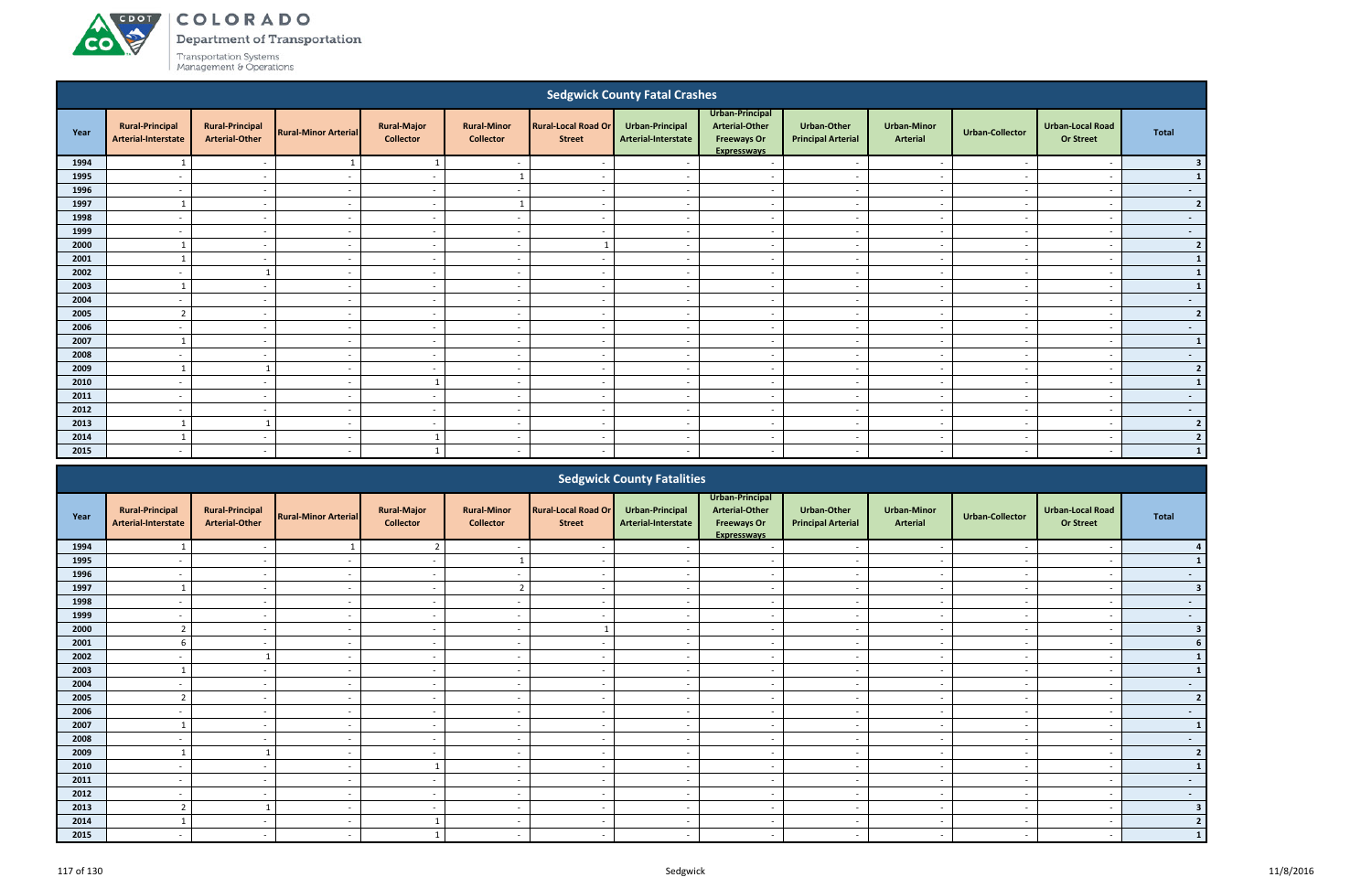# ACDOT

**CO** 

COLORADO

Department of Transportation

|                                                                                                                                                                                                                                                                                                                                                                                                                                        |                                                                                                                                                                                                  |                                                 |                             |                                        |                                        |                                             | <b>Sedgwick County Fatal Crashes</b>   |                                                                               |                                                 |                                       |                          |                                             |                |  |  |
|----------------------------------------------------------------------------------------------------------------------------------------------------------------------------------------------------------------------------------------------------------------------------------------------------------------------------------------------------------------------------------------------------------------------------------------|--------------------------------------------------------------------------------------------------------------------------------------------------------------------------------------------------|-------------------------------------------------|-----------------------------|----------------------------------------|----------------------------------------|---------------------------------------------|----------------------------------------|-------------------------------------------------------------------------------|-------------------------------------------------|---------------------------------------|--------------------------|---------------------------------------------|----------------|--|--|
| Year                                                                                                                                                                                                                                                                                                                                                                                                                                   | <b>Rural-Principal</b><br>Arterial-Interstate                                                                                                                                                    | <b>Rural-Principal</b><br><b>Arterial-Other</b> | <b>Rural-Minor Arterial</b> | <b>Rural-Major</b><br><b>Collector</b> | <b>Rural-Minor</b><br><b>Collector</b> | <b>Rural-Local Road Or</b><br><b>Street</b> | Urban-Principal<br>Arterial-Interstate | Urban-Principal<br><b>Arterial-Other</b><br><b>Freeways Or</b><br>Expressways | <b>Urban-Other</b><br><b>Principal Arterial</b> | <b>Urban-Minor</b><br><b>Arterial</b> | <b>Urban-Collector</b>   | <b>Urban-Local Road</b><br><b>Or Street</b> | <b>Total</b>   |  |  |
| 1994                                                                                                                                                                                                                                                                                                                                                                                                                                   |                                                                                                                                                                                                  | $\overline{\phantom{a}}$                        |                             | $\overline{1}$                         | $\overline{\phantom{a}}$               | $\overline{\phantom{a}}$                    |                                        | $\overline{a}$                                                                |                                                 |                                       |                          | $\overline{\phantom{a}}$                    | 3 <sup>1</sup> |  |  |
| 1995                                                                                                                                                                                                                                                                                                                                                                                                                                   | $\overline{\phantom{a}}$                                                                                                                                                                         | $\overline{\phantom{a}}$                        | $\overline{a}$              | $\sim$                                 |                                        | $\sim$                                      | $\sim$                                 | $\sim$                                                                        | $\sim$                                          | $\sim$                                | $\sim$                   | $\overline{a}$                              | $\mathbf{1}$   |  |  |
| 1996                                                                                                                                                                                                                                                                                                                                                                                                                                   | $\overline{\phantom{a}}$                                                                                                                                                                         | $\overline{\phantom{a}}$                        | $\overline{\phantom{a}}$    | $\sim$                                 | $\sim$                                 | $\overline{\phantom{a}}$                    | $\sim$                                 | $\sim$                                                                        | $\sim$                                          | $\sim$                                | $\sim$                   | $\overline{a}$                              | $\sim 100$     |  |  |
| 1997                                                                                                                                                                                                                                                                                                                                                                                                                                   |                                                                                                                                                                                                  | $\sim$                                          | $\sim$                      | $\sim$                                 |                                        | $\sim$                                      | $\overline{\phantom{a}}$               | $\overline{a}$                                                                | $\overline{\phantom{a}}$                        | $\sim$                                | $\overline{\phantom{a}}$ | $\overline{a}$                              | 2              |  |  |
| 1998                                                                                                                                                                                                                                                                                                                                                                                                                                   |                                                                                                                                                                                                  | $\sim$                                          | $\overline{\phantom{a}}$    | $\sim$                                 | $\overline{\phantom{a}}$               | $\sim$                                      | $\sim$                                 | $\overline{a}$                                                                | $\sim$                                          | $\sim$                                |                          | $\overline{\phantom{a}}$                    | $\sim$         |  |  |
| 1999                                                                                                                                                                                                                                                                                                                                                                                                                                   |                                                                                                                                                                                                  | $\overline{\phantom{a}}$                        | $\overline{\phantom{a}}$    | $\sim$                                 | $\overline{\phantom{a}}$               | $\sim$                                      | $\overline{\phantom{a}}$               | $\overline{a}$                                                                |                                                 | $\overline{\phantom{a}}$              |                          | $\overline{\phantom{a}}$                    | $\sim$ $-$     |  |  |
| 2000                                                                                                                                                                                                                                                                                                                                                                                                                                   |                                                                                                                                                                                                  | $\overline{a}$                                  | $\overline{\phantom{a}}$    | $\sim$                                 | $\overline{a}$                         |                                             | $\overline{a}$                         | $\overline{\phantom{a}}$                                                      | $\overline{\phantom{a}}$                        | $\overline{\phantom{a}}$              |                          | $\overline{\phantom{a}}$                    | $2 \mid$       |  |  |
| 2001                                                                                                                                                                                                                                                                                                                                                                                                                                   |                                                                                                                                                                                                  | $\overline{\phantom{a}}$                        | $\sim$                      | $\sim$                                 | $\overline{a}$                         | $\sim$                                      | $\overline{\phantom{a}}$               | $\sim$                                                                        | $\overline{\phantom{a}}$                        | $\sim$                                |                          | $\overline{\phantom{a}}$                    | $\mathbf{1}$   |  |  |
| 2002                                                                                                                                                                                                                                                                                                                                                                                                                                   | $\overline{\phantom{a}}$                                                                                                                                                                         | $\overline{1}$                                  | $\sim$                      | $\sim$                                 | $\overline{a}$                         | $\sim$                                      | $\sim$                                 | $\sim$                                                                        | $\sim$                                          | $\sim$                                | $\sim$                   | $\sim$                                      | $\mathbf{1}$   |  |  |
| 2003<br>$\sim$<br>$\sim$<br>$\sim$<br>$\overline{\phantom{a}}$<br>$\overline{a}$<br>$\overline{a}$<br>$\overline{\phantom{a}}$<br>$\overline{\phantom{a}}$<br>$\sim$<br>$\overline{a}$<br>$\overline{\phantom{a}}$<br>2004<br>$\overline{a}$<br>$\sim$<br>$\overline{a}$<br>$\overline{a}$<br>$\sim$<br>$\overline{a}$<br>$\sim$<br>$\overline{\phantom{a}}$<br>$\overline{a}$<br>$\overline{\phantom{a}}$<br>$\overline{\phantom{0}}$ |                                                                                                                                                                                                  |                                                 |                             |                                        |                                        |                                             |                                        |                                                                               |                                                 |                                       |                          |                                             |                |  |  |
|                                                                                                                                                                                                                                                                                                                                                                                                                                        | $\overline{\phantom{a}}$<br>$\overline{\phantom{a}}$<br>$\overline{a}$<br>$\sim$<br>$\overline{\phantom{a}}$<br>$\sim$<br>$\overline{\phantom{a}}$<br>$\overline{\phantom{a}}$<br>$\overline{a}$ |                                                 |                             |                                        |                                        |                                             |                                        |                                                                               |                                                 |                                       |                          |                                             |                |  |  |
|                                                                                                                                                                                                                                                                                                                                                                                                                                        | $\overline{2}$<br>2005<br>$\sim$                                                                                                                                                                 |                                                 |                             |                                        |                                        |                                             |                                        |                                                                               |                                                 |                                       |                          |                                             |                |  |  |
| 2006                                                                                                                                                                                                                                                                                                                                                                                                                                   |                                                                                                                                                                                                  | $\sim$                                          | $\overline{\phantom{a}}$    | $\sim$                                 | $\overline{\phantom{a}}$               | $\sim$                                      | $\overline{\phantom{a}}$               | $\overline{a}$                                                                |                                                 | $\overline{\phantom{a}}$              |                          | $\overline{\phantom{a}}$                    | $\sim$         |  |  |
| 2007                                                                                                                                                                                                                                                                                                                                                                                                                                   |                                                                                                                                                                                                  | $\sim$                                          | $\sim$                      | $\sim$                                 | $\overline{\phantom{a}}$               | $\overline{\phantom{a}}$                    | $\sim$                                 | $\overline{a}$                                                                | $\overline{\phantom{a}}$                        | $\sim$                                |                          | $\overline{a}$                              | $\mathbf{1}$   |  |  |
| 2008                                                                                                                                                                                                                                                                                                                                                                                                                                   |                                                                                                                                                                                                  | $\sim$                                          | $\overline{\phantom{a}}$    | $\sim$                                 | $\overline{a}$                         | $\sim$                                      | $\overline{\phantom{a}}$               | $\overline{a}$                                                                | $\overline{\phantom{a}}$                        | $\overline{\phantom{a}}$              |                          | $\overline{\phantom{a}}$                    | $\sim 100$     |  |  |
| 2009                                                                                                                                                                                                                                                                                                                                                                                                                                   | $\mathbf{1}$                                                                                                                                                                                     | $\overline{\mathbf{1}}$                         | $\sim$                      | $\sim$                                 | $\overline{a}$                         | $\sim$                                      | $\sim$                                 | $\sim$                                                                        | $\overline{\phantom{0}}$                        | $\sim$                                | $\overline{\phantom{a}}$ | $\overline{\phantom{a}}$                    | $2 \mid$       |  |  |
| 2010                                                                                                                                                                                                                                                                                                                                                                                                                                   | $\overline{\phantom{a}}$                                                                                                                                                                         | $\overline{a}$                                  | $\overline{a}$              | $\mathbf{1}$                           | $\overline{\phantom{a}}$               | $\sim$                                      | $\sim$                                 | $\sim$                                                                        | $\overline{\phantom{0}}$                        | $\sim$                                |                          | $\overline{\phantom{0}}$                    | 1              |  |  |
| 2011                                                                                                                                                                                                                                                                                                                                                                                                                                   | $\overline{\phantom{a}}$                                                                                                                                                                         | $\overline{\phantom{a}}$                        | $\overline{a}$              | $\sim$                                 | $\overline{a}$                         | $\overline{\phantom{a}}$                    | $\sim$                                 | $\overline{a}$                                                                | $\sim$                                          | $\overline{\phantom{a}}$              | $\overline{\phantom{a}}$ | $\overline{a}$                              | $\sim 100$     |  |  |
| 2012                                                                                                                                                                                                                                                                                                                                                                                                                                   | $\overline{\phantom{0}}$                                                                                                                                                                         | $\overline{\phantom{a}}$                        | $\overline{\phantom{a}}$    | $\sim$                                 | $\overline{a}$                         | $\sim$                                      | $\sim$                                 | $\overline{a}$                                                                | $\sim$                                          | $\sim$                                | $\overline{\phantom{a}}$ | $\overline{\phantom{a}}$                    | $\sim$         |  |  |
| 2013                                                                                                                                                                                                                                                                                                                                                                                                                                   |                                                                                                                                                                                                  | $\overline{\mathbf{1}}$                         | $\overline{\phantom{a}}$    | $\sim$                                 | $\overline{\phantom{a}}$               | $\sim$                                      | $\overline{\phantom{a}}$               | $\sim$                                                                        | $\overline{\phantom{a}}$                        | $\sim$                                |                          | $\overline{a}$                              | 2              |  |  |
| 2014                                                                                                                                                                                                                                                                                                                                                                                                                                   |                                                                                                                                                                                                  | $\sim$                                          | $\overline{\phantom{a}}$    |                                        | $\overline{\phantom{a}}$               | $\sim$                                      | $\sim$                                 | $\overline{a}$                                                                | $\overline{\phantom{a}}$                        | $\overline{\phantom{a}}$              |                          | $\overline{\phantom{a}}$                    | 2 <sup>1</sup> |  |  |
| 2015                                                                                                                                                                                                                                                                                                                                                                                                                                   |                                                                                                                                                                                                  | $\sim$                                          | $\overline{\phantom{a}}$    |                                        | $\overline{\phantom{a}}$               | $\sim$                                      |                                        | $\overline{a}$                                                                | $\overline{\phantom{a}}$                        | $\overline{\phantom{a}}$              |                          | $\overline{\phantom{a}}$                    | 1              |  |  |
|                                                                                                                                                                                                                                                                                                                                                                                                                                        |                                                                                                                                                                                                  |                                                 |                             |                                        |                                        |                                             | Codawick County Entalities             |                                                                               |                                                 |                                       |                          |                                             |                |  |  |

|      |                                               |                                                 |                             |                                        |                                        |                                             | <b>Sedgwick County Fatalities</b>      |                                                                                      |                                                 |                                       |                          |                                             |                         |
|------|-----------------------------------------------|-------------------------------------------------|-----------------------------|----------------------------------------|----------------------------------------|---------------------------------------------|----------------------------------------|--------------------------------------------------------------------------------------|-------------------------------------------------|---------------------------------------|--------------------------|---------------------------------------------|-------------------------|
| Year | <b>Rural-Principal</b><br>Arterial-Interstate | <b>Rural-Principal</b><br><b>Arterial-Other</b> | <b>Rural-Minor Arterial</b> | <b>Rural-Major</b><br><b>Collector</b> | <b>Rural-Minor</b><br><b>Collector</b> | <b>Rural-Local Road Or</b><br><b>Street</b> | Urban-Principal<br>Arterial-Interstate | Urban-Principal<br><b>Arterial-Other</b><br><b>Freeways Or</b><br><b>Expressways</b> | <b>Urban-Other</b><br><b>Principal Arterial</b> | <b>Urban-Minor</b><br><b>Arterial</b> | <b>Urban-Collector</b>   | <b>Urban-Local Road</b><br><b>Or Street</b> | Total                   |
| 1994 |                                               |                                                 |                             |                                        |                                        |                                             |                                        |                                                                                      |                                                 |                                       |                          |                                             |                         |
| 1995 |                                               |                                                 |                             |                                        |                                        |                                             |                                        |                                                                                      |                                                 |                                       |                          |                                             |                         |
| 1996 | $\overline{\phantom{a}}$                      | $\sim$                                          | $\overline{\phantom{a}}$    | $\sim$                                 | $\overline{\phantom{a}}$               |                                             |                                        | $\overline{\phantom{a}}$                                                             | $\sim$                                          | $\sim$                                | $\overline{\phantom{a}}$ | $\overline{\phantom{a}}$                    | $\sim$                  |
| 1997 |                                               |                                                 |                             | $\overline{\phantom{a}}$               | $\overline{2}$                         |                                             |                                        |                                                                                      | $\sim$                                          | $\qquad \qquad \blacksquare$          |                          |                                             |                         |
| 1998 |                                               |                                                 |                             | $\overline{\phantom{a}}$               | $\overline{\phantom{a}}$               |                                             |                                        |                                                                                      | $\overline{\phantom{a}}$                        | $\overline{\phantom{a}}$              |                          |                                             |                         |
| 1999 | $\overline{\phantom{0}}$                      | $\overline{\phantom{a}}$                        |                             | $\overline{\phantom{a}}$               | $\overline{\phantom{a}}$               |                                             |                                        | $\overline{\phantom{a}}$                                                             | $\overline{\phantom{a}}$                        | $\overline{\phantom{a}}$              |                          | $\overline{\phantom{a}}$                    | $\sim$                  |
| 2000 |                                               |                                                 |                             | $\overline{\phantom{a}}$               | $\overline{\phantom{a}}$               |                                             |                                        |                                                                                      | $\overline{\phantom{a}}$                        | $\overline{\phantom{a}}$              |                          |                                             |                         |
| 2001 | 6                                             | $\sim$                                          | $\overline{\phantom{a}}$    | $\sim$                                 | $\overline{\phantom{a}}$               | $\overline{\phantom{a}}$                    | $\overline{\phantom{a}}$               | $\overline{\phantom{a}}$                                                             | $\overline{\phantom{a}}$                        | $\sim$                                | $\sim$                   | $\overline{\phantom{a}}$                    |                         |
| 2002 |                                               |                                                 |                             | $\overline{\phantom{a}}$               | $\overline{\phantom{a}}$               |                                             |                                        | $\overline{\phantom{a}}$                                                             | $\sim$                                          | $\sim$                                |                          | $\overline{\phantom{a}}$                    |                         |
| 2003 |                                               |                                                 |                             | $\overline{\phantom{0}}$               | $\overline{\phantom{a}}$               |                                             |                                        |                                                                                      | $\overline{\phantom{0}}$                        | $\overline{\phantom{a}}$              |                          | $\overline{\phantom{0}}$                    |                         |
| 2004 |                                               |                                                 |                             | $\overline{\phantom{a}}$               | $\overline{\phantom{0}}$               |                                             |                                        |                                                                                      | $\overline{\phantom{a}}$                        | $\qquad \qquad \blacksquare$          |                          |                                             | $\sim$                  |
| 2005 |                                               |                                                 |                             | $\overline{\phantom{a}}$               | $\overline{\phantom{a}}$               |                                             |                                        | $\overline{\phantom{0}}$                                                             | $\overline{\phantom{a}}$                        | $\overline{\phantom{0}}$              |                          |                                             | $\overline{2}$          |
| 2006 | $\overline{\phantom{a}}$                      | $\sim$                                          | $\sim$                      | $\sim$                                 | $\overline{\phantom{a}}$               | $\overline{\phantom{a}}$                    | $\overline{\phantom{a}}$               | $\overline{a}$                                                                       | $\sim$                                          | $\sim$                                | $\sim$                   | $\overline{\phantom{a}}$                    | $\sim$                  |
| 2007 |                                               |                                                 |                             | $\overline{\phantom{a}}$               | $\overline{\phantom{a}}$               |                                             |                                        | $\overline{\phantom{a}}$                                                             | $\overline{\phantom{a}}$                        | $\overline{\phantom{a}}$              |                          |                                             |                         |
| 2008 |                                               |                                                 |                             | $\overline{\phantom{a}}$               | $\overline{\phantom{a}}$               |                                             |                                        | $\overline{\phantom{a}}$                                                             | $\sim$                                          | $\sim$                                |                          | $\overline{\phantom{a}}$                    | $\sim$                  |
| 2009 |                                               |                                                 |                             |                                        | $\overline{\phantom{a}}$               |                                             |                                        |                                                                                      | $\overline{\phantom{0}}$                        | $\overline{\phantom{0}}$              |                          | $\overline{\phantom{a}}$                    |                         |
| 2010 |                                               | -                                               |                             |                                        | $\overline{\phantom{a}}$               |                                             |                                        | $\overline{\phantom{a}}$                                                             | $\overline{\phantom{a}}$                        | $\overline{\phantom{a}}$              |                          | $\overline{\phantom{a}}$                    |                         |
| 2011 | $\overline{\phantom{a}}$                      | $\overline{\phantom{a}}$                        |                             | $\overline{\phantom{a}}$               | $\overline{\phantom{a}}$               |                                             |                                        | $\overline{\phantom{a}}$                                                             | $\overline{\phantom{a}}$                        | $\overline{\phantom{a}}$              | $\overline{\phantom{a}}$ | $\overline{\phantom{a}}$                    | $\sim$                  |
| 2012 | $\overline{\phantom{a}}$                      |                                                 |                             | $\overline{\phantom{a}}$               | $\overline{\phantom{a}}$               |                                             |                                        | $\overline{\phantom{a}}$                                                             | $\sim$                                          | $\sim$                                |                          |                                             | $\sim$ $-$              |
| 2013 | $\mathbf{\hat{z}}$                            |                                                 | $\overline{\phantom{a}}$    | $\sim$                                 | $\overline{\phantom{a}}$               | $\overline{\phantom{a}}$                    |                                        | $\overline{\phantom{a}}$                                                             | $\sim$                                          | $\sim$                                | $\overline{\phantom{a}}$ | $\overline{\phantom{a}}$                    | $\overline{\mathbf{3}}$ |
| 2014 |                                               |                                                 |                             |                                        |                                        |                                             |                                        |                                                                                      | $\overline{\phantom{a}}$                        | $\overline{\phantom{0}}$              |                          |                                             |                         |
| 2015 |                                               |                                                 |                             |                                        | $\overline{\phantom{a}}$               |                                             |                                        |                                                                                      | $\overline{\phantom{a}}$                        | $\overline{\phantom{0}}$              |                          |                                             |                         |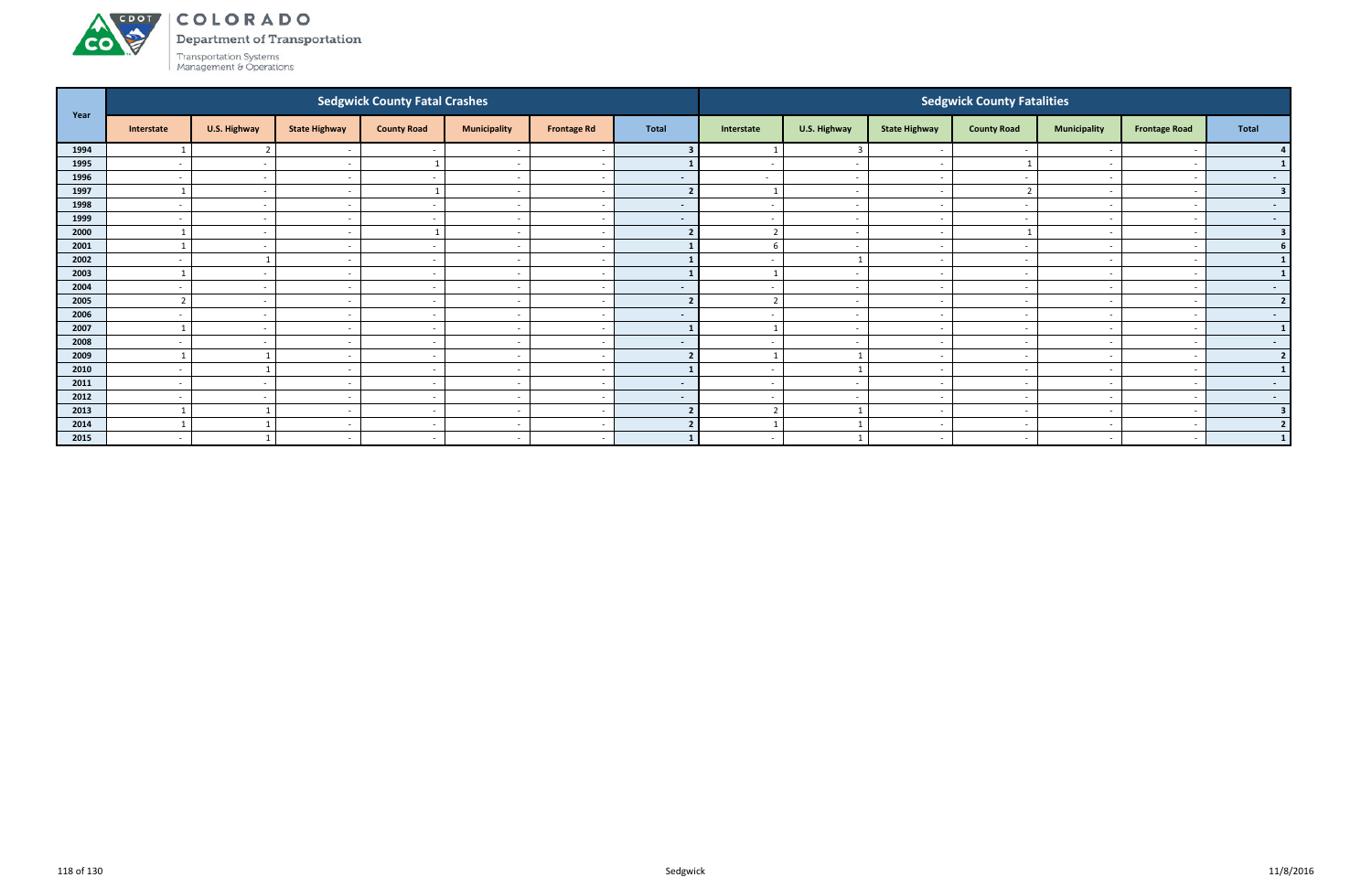Department of Transportation

Transportation Systems<br>Management & Operations

**CO** 

| Year |                          |                          |                          | <b>Sedgwick County Fatal Crashes</b> |                          |                    |                |                          |                          |                          | <b>Sedgwick County Fatalities</b> |                          |                          |                         |
|------|--------------------------|--------------------------|--------------------------|--------------------------------------|--------------------------|--------------------|----------------|--------------------------|--------------------------|--------------------------|-----------------------------------|--------------------------|--------------------------|-------------------------|
|      | Interstate               | U.S. Highway             | <b>State Highway</b>     | <b>County Road</b>                   | <b>Municipality</b>      | <b>Frontage Rd</b> | <b>Total</b>   | Interstate               | U.S. Highway             | <b>State Highway</b>     | <b>County Road</b>                | <b>Municipality</b>      | <b>Frontage Road</b>     | <b>Total</b>            |
| 1994 |                          |                          |                          |                                      | $\overline{\phantom{0}}$ |                    |                |                          | $\overline{3}$           |                          |                                   |                          |                          |                         |
| 1995 | $\overline{a}$           | $\sim$                   | $\overline{\phantom{a}}$ |                                      | $\overline{\phantom{a}}$ |                    |                | $\sim$                   | $\sim$                   |                          |                                   | $\overline{\phantom{0}}$ |                          |                         |
| 1996 | $\sim$                   | $\sim$                   | $\overline{\phantom{0}}$ | $\sim$                               | $\overline{a}$           |                    | $\blacksquare$ | $\sim$                   | $\overline{\phantom{0}}$ |                          |                                   | $\overline{\phantom{0}}$ |                          | $\sim$ $-$              |
| 1997 |                          | $\sim$                   | $\sim$                   |                                      | $\overline{a}$           |                    | $\overline{2}$ |                          | $\sim$                   | $\overline{\phantom{a}}$ |                                   | $\overline{\phantom{a}}$ | $\overline{\phantom{a}}$ | $\overline{\mathbf{3}}$ |
| 1998 | $\sim$                   | $\sim$                   | $\overline{\phantom{a}}$ |                                      | $\overline{a}$           |                    | $\sim$         | $\sim$                   | $\sim$                   | $\sim$                   |                                   | $\sim$                   |                          | $\sim$                  |
| 1999 | $\sim$                   | $\sim$                   | $\sim$                   | $\overline{\phantom{a}}$             | $\overline{a}$           |                    | $\blacksquare$ | $\overline{\phantom{0}}$ | $\sim$                   | $\sim$                   |                                   | $\overline{a}$           |                          | $\sim$ $-$              |
| 2000 |                          | $\sim$                   | <b>.</b>                 |                                      | $\overline{\phantom{a}}$ |                    |                | $\overline{2}$           | $\sim$                   |                          |                                   |                          |                          | $\overline{\mathbf{3}}$ |
| 2001 |                          | $\sim$                   | $\overline{\phantom{a}}$ |                                      | $\overline{\phantom{0}}$ |                    |                | 6                        | $\overline{a}$           |                          |                                   | $\overline{\phantom{0}}$ |                          | <b>6</b>                |
| 2002 | $\overline{a}$           |                          | $\overline{a}$           | $\sim$                               | $\sim$                   |                    |                | $\overline{\phantom{0}}$ | $\overline{\mathbf{1}}$  | $\sim$                   | $\overline{\phantom{a}}$          | $\overline{\phantom{a}}$ | $\overline{\phantom{a}}$ | $\mathbf{1}$            |
| 2003 |                          | $\sim$                   | $\overline{\phantom{a}}$ |                                      | $\overline{\phantom{a}}$ |                    |                |                          | $\overline{a}$           |                          |                                   | $\overline{\phantom{a}}$ |                          |                         |
| 2004 | $\sim$                   | $\sim$                   | $\overline{\phantom{a}}$ | $\overline{\phantom{a}}$             | $\overline{a}$           |                    | $\blacksquare$ | $\overline{\phantom{0}}$ | $\sim$                   | $\sim$                   |                                   | $\sim$                   |                          | $\sim$ $-$              |
| 2005 |                          | $\sim$                   | <b>.</b>                 | $\overline{\phantom{a}}$             | $\overline{\phantom{a}}$ |                    | 2              | $\overline{2}$           | $\overline{a}$           |                          |                                   | $\overline{\phantom{0}}$ |                          | $\overline{2}$          |
| 2006 | $\overline{\phantom{a}}$ | $\sim$                   | $\overline{\phantom{a}}$ | $\overline{\phantom{a}}$             | $\overline{\phantom{a}}$ |                    | $\blacksquare$ | $\overline{\phantom{0}}$ | $\sim$                   | $\sim$                   |                                   | $\sim$                   |                          | $\sim$ $-$              |
| 2007 |                          | $\sim$                   | $\sim$                   | $\sim$                               | $\overline{\phantom{a}}$ |                    |                |                          | $\sim$                   | $\overline{\phantom{a}}$ | $\overline{\phantom{a}}$          | $\overline{\phantom{0}}$ |                          | $\mathbf{1}$            |
| 2008 | $\overline{\phantom{a}}$ | $\overline{\phantom{a}}$ | $\overline{\phantom{0}}$ |                                      | $\overline{\phantom{a}}$ |                    | $\blacksquare$ | $\overline{\phantom{a}}$ | $\sim$                   |                          |                                   | $\overline{\phantom{a}}$ |                          | $\sim$ 100 $\mu$        |
| 2009 |                          |                          | $\sim$                   | $\sim$                               | $\sim$                   |                    | $\overline{2}$ |                          |                          | $\sim$                   |                                   | $\overline{a}$           |                          | $\overline{2}$          |
| 2010 | $\overline{\phantom{a}}$ |                          |                          |                                      | $\overline{\phantom{a}}$ |                    |                |                          |                          |                          |                                   |                          |                          | $\mathbf{1}$            |
| 2011 | $\overline{a}$           | $\sim$                   | $\overline{\phantom{a}}$ | $\sim$                               | $\overline{a}$           |                    | $\sim$         | $\overline{a}$           | $\sim$                   | $\sim$                   | $\overline{\phantom{a}}$          | $\sim$                   |                          | $\sim 100$              |
| 2012 | $\overline{a}$           | $\sim$                   | $\overline{\phantom{a}}$ | $\sim$                               | $\overline{\phantom{a}}$ |                    | $\sim$         | $\overline{\phantom{0}}$ | $\sim$                   | $\sim$                   | $\overline{\phantom{a}}$          | $\sim$                   |                          | $\sim$ 100 $\pm$        |
| 2013 |                          |                          | $\overline{\phantom{a}}$ | $\overline{\phantom{a}}$             | $\overline{\phantom{0}}$ |                    | $\overline{2}$ | $\overline{2}$           | $\overline{\mathbf{1}}$  | $\sim$                   |                                   | $\sim$                   |                          | $\overline{\mathbf{3}}$ |
| 2014 |                          |                          | $\overline{\phantom{a}}$ |                                      | $\overline{\phantom{a}}$ |                    |                |                          |                          | $\sim$                   |                                   | $\overline{\phantom{0}}$ |                          | $\overline{2}$          |
| 2015 | $\sim$                   |                          | $\overline{\phantom{0}}$ | $\sim$                               | $\overline{a}$           |                    |                | $\sim$                   |                          |                          | $\overline{\phantom{a}}$          |                          | $\overline{\phantom{a}}$ | $\mathbf{1}$            |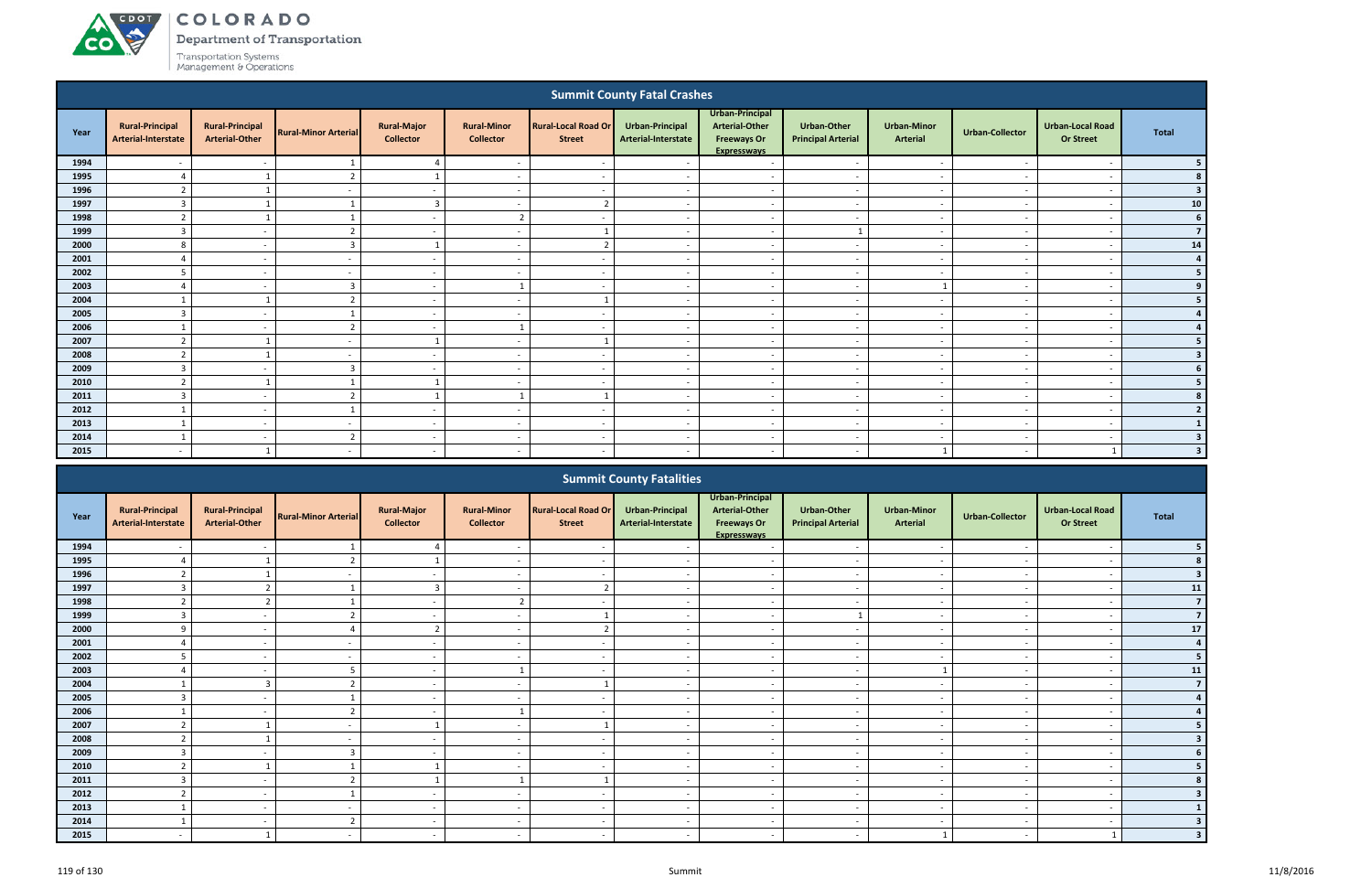**A**CDOT

**CO** 

Department of Transportation

|                                                                                                                                                                                                                                                                                                                                                                                                                                         |                                               |                                                 |                             |                                        |                                        |                                      | <b>Summit County Fatal Crashes</b>            |                                                                               |                                                 |                                       |                          |                                             |                         |
|-----------------------------------------------------------------------------------------------------------------------------------------------------------------------------------------------------------------------------------------------------------------------------------------------------------------------------------------------------------------------------------------------------------------------------------------|-----------------------------------------------|-------------------------------------------------|-----------------------------|----------------------------------------|----------------------------------------|--------------------------------------|-----------------------------------------------|-------------------------------------------------------------------------------|-------------------------------------------------|---------------------------------------|--------------------------|---------------------------------------------|-------------------------|
| Year                                                                                                                                                                                                                                                                                                                                                                                                                                    | <b>Rural-Principal</b><br>Arterial-Interstate | <b>Rural-Principal</b><br><b>Arterial-Other</b> | <b>Rural-Minor Arterial</b> | <b>Rural-Major</b><br><b>Collector</b> | <b>Rural-Minor</b><br><b>Collector</b> | Rural-Local Road Or<br><b>Street</b> | <b>Urban-Principal</b><br>Arterial-Interstate | Urban-Principal<br>Arterial-Other<br><b>Freeways Or</b><br><b>Expresswavs</b> | <b>Urban-Other</b><br><b>Principal Arterial</b> | <b>Urban-Minor</b><br><b>Arterial</b> | <b>Urban-Collector</b>   | <b>Urban-Local Road</b><br><b>Or Street</b> | <b>Total</b>            |
| 1994                                                                                                                                                                                                                                                                                                                                                                                                                                    |                                               |                                                 |                             | $\overline{4}$                         |                                        |                                      |                                               | $\overline{\phantom{a}}$                                                      |                                                 |                                       |                          |                                             |                         |
| 1995                                                                                                                                                                                                                                                                                                                                                                                                                                    | $\Delta$                                      |                                                 | $\overline{2}$              |                                        | $\overline{\phantom{a}}$               | $\overline{\phantom{a}}$             | $\overline{\phantom{a}}$                      | $\sim$                                                                        | $\overline{\phantom{a}}$                        | $\sim$                                | $\overline{\phantom{a}}$ | $\overline{\phantom{a}}$                    |                         |
| 1996                                                                                                                                                                                                                                                                                                                                                                                                                                    | $\overline{2}$                                |                                                 | $\overline{\phantom{a}}$    | $\sim$                                 | $\overline{\phantom{a}}$               |                                      | $\overline{\phantom{a}}$                      | $\sim$                                                                        | $\sim$                                          | $\sim$                                | $\overline{\phantom{a}}$ | $\overline{\phantom{a}}$                    | 3                       |
| 1997                                                                                                                                                                                                                                                                                                                                                                                                                                    | 3                                             |                                                 |                             | $\overline{3}$                         | $\overline{\phantom{0}}$               | ຳ                                    | $\overline{\phantom{a}}$                      | $\overline{a}$                                                                | $\overline{\phantom{a}}$                        | $\sim$                                | $\overline{\phantom{a}}$ | $\overline{\phantom{a}}$                    | 10                      |
| 1998                                                                                                                                                                                                                                                                                                                                                                                                                                    | $\overline{2}$                                |                                                 |                             | $\sim$                                 | $\overline{2}$                         |                                      |                                               | $\overline{a}$                                                                | $\overline{\phantom{0}}$                        | $\sim$                                | $\overline{\phantom{a}}$ | $\overline{\phantom{a}}$                    | 6                       |
| 1999                                                                                                                                                                                                                                                                                                                                                                                                                                    | $\overline{3}$                                | $\sim$                                          | $\mathcal{L}$               | $\sim$                                 | $\overline{\phantom{a}}$               |                                      |                                               | $\overline{a}$                                                                |                                                 | $\sim$                                |                          | $\overline{\phantom{a}}$                    | $\overline{7}$          |
| 2000                                                                                                                                                                                                                                                                                                                                                                                                                                    | 8                                             | $\overline{\phantom{a}}$                        | $\overline{3}$              |                                        |                                        | ຳ                                    |                                               | $\overline{a}$                                                                | $\overline{\phantom{a}}$                        | $\overline{\phantom{a}}$              |                          |                                             | 14                      |
| 2001                                                                                                                                                                                                                                                                                                                                                                                                                                    |                                               |                                                 |                             | $\sim$                                 |                                        |                                      |                                               | $\overline{a}$                                                                | $\overline{\phantom{a}}$                        | $\overline{\phantom{a}}$              |                          |                                             |                         |
| 2002<br>5<br>$\sim$<br>$\sim$<br>$\overline{\phantom{a}}$<br>$\sim$<br>$\overline{\phantom{a}}$<br>$\overline{\phantom{a}}$<br>$\overline{\phantom{a}}$<br>$\overline{\phantom{a}}$<br>$\sim$<br>$\sim$<br>$\overline{\phantom{a}}$<br>2003<br>$\overline{3}$<br>$\sim$<br>$\overline{\phantom{0}}$<br>$\overline{\phantom{a}}$<br>$\overline{\phantom{a}}$<br>$\sim$<br>$\sim$<br>$\overline{\phantom{a}}$<br>$\overline{\phantom{a}}$ |                                               |                                                 |                             |                                        |                                        |                                      |                                               |                                                                               |                                                 |                                       |                          |                                             |                         |
|                                                                                                                                                                                                                                                                                                                                                                                                                                         |                                               |                                                 |                             |                                        |                                        |                                      |                                               |                                                                               |                                                 |                                       |                          |                                             |                         |
| 2004<br>$\mathcal{D}$<br>$\sim$<br>$\overline{a}$<br>$\sim$<br>$\overline{\phantom{a}}$<br>$\overline{\phantom{a}}$<br>$\sim$<br>$\overline{\phantom{a}}$<br>$\sim$                                                                                                                                                                                                                                                                     |                                               |                                                 |                             |                                        |                                        |                                      |                                               |                                                                               |                                                 |                                       |                          |                                             |                         |
| 2005                                                                                                                                                                                                                                                                                                                                                                                                                                    | $\overline{3}$                                | $\overline{\phantom{a}}$                        |                             | $\sim$                                 | $\sim$                                 | $\overline{\phantom{a}}$             | $\sim$                                        | $\sim$                                                                        | $\sim$                                          | $\sim$                                | $\sim$                   | $\overline{\phantom{a}}$                    |                         |
| 2006                                                                                                                                                                                                                                                                                                                                                                                                                                    |                                               | $\overline{\phantom{a}}$                        | $\mathcal{L}$               | $\sim$                                 |                                        | $\overline{\phantom{a}}$             | $\overline{\phantom{a}}$                      | $\overline{a}$                                                                | $\overline{\phantom{a}}$                        | $\sim$                                | $\overline{\phantom{a}}$ | $\overline{\phantom{a}}$                    |                         |
| 2007                                                                                                                                                                                                                                                                                                                                                                                                                                    | $\overline{2}$                                |                                                 |                             |                                        |                                        |                                      |                                               | $\overline{a}$                                                                | $\overline{\phantom{a}}$                        | $\sim$                                |                          | $\overline{\phantom{a}}$                    |                         |
| 2008                                                                                                                                                                                                                                                                                                                                                                                                                                    | $\mathbf{\hat{z}}$                            |                                                 |                             | $\sim$                                 |                                        |                                      |                                               | $\overline{a}$                                                                |                                                 | $\overline{\phantom{a}}$              |                          |                                             | 3                       |
| 2009                                                                                                                                                                                                                                                                                                                                                                                                                                    | 3                                             | $\overline{\phantom{a}}$                        | $\overline{3}$              | $\sim$                                 | $\overline{\phantom{a}}$               | $\overline{\phantom{a}}$             |                                               | $\sim$                                                                        | $\overline{\phantom{a}}$                        | $\overline{\phantom{a}}$              | $\sim$                   | $\overline{\phantom{a}}$                    |                         |
| 2010                                                                                                                                                                                                                                                                                                                                                                                                                                    | ຳ                                             |                                                 |                             |                                        | $\overline{\phantom{a}}$               |                                      |                                               | $\overline{a}$                                                                | $\overline{\phantom{a}}$                        | $\overline{\phantom{a}}$              | ٠.                       | $\overline{\phantom{a}}$                    |                         |
| 2011                                                                                                                                                                                                                                                                                                                                                                                                                                    | 3                                             | $\sim$                                          | ຳ                           |                                        |                                        |                                      | $\overline{\phantom{a}}$                      | $\sim$                                                                        | $\sim$                                          | $\sim$                                | $\sim$                   | $\overline{\phantom{a}}$                    |                         |
| 2012                                                                                                                                                                                                                                                                                                                                                                                                                                    |                                               | $\overline{\phantom{a}}$                        |                             | $\sim$                                 | $\overline{\phantom{a}}$               |                                      |                                               | $\overline{a}$                                                                | $\sim$                                          | $\sim$                                | $\sim$                   | $\overline{\phantom{a}}$                    |                         |
| 2013                                                                                                                                                                                                                                                                                                                                                                                                                                    |                                               | $\sim$                                          | $\overline{\phantom{a}}$    | $\sim$                                 | $\overline{\phantom{a}}$               | $\overline{\phantom{a}}$             | $\overline{a}$                                | $\sim$                                                                        | $\overline{\phantom{a}}$                        | $\sim$                                | $\overline{\phantom{a}}$ | $\overline{\phantom{a}}$                    |                         |
| 2014                                                                                                                                                                                                                                                                                                                                                                                                                                    |                                               | $\overline{\phantom{a}}$                        | $\overline{2}$              | $\sim$                                 | $\overline{\phantom{a}}$               | $\overline{\phantom{a}}$             | $\sim$                                        | $\overline{a}$                                                                | $\overline{\phantom{a}}$                        | $\sim$                                | $\sim$                   | $\overline{\phantom{a}}$                    | $\overline{\mathbf{3}}$ |
| 2015                                                                                                                                                                                                                                                                                                                                                                                                                                    | $\overline{\phantom{0}}$                      |                                                 | $\overline{\phantom{a}}$    | $\sim$                                 | $\overline{\phantom{0}}$               | - -                                  |                                               | $\overline{\phantom{0}}$                                                      | $\overline{\phantom{0}}$                        |                                       | - -                      |                                             | $\overline{\mathbf{3}}$ |
|                                                                                                                                                                                                                                                                                                                                                                                                                                         |                                               |                                                 |                             |                                        |                                        |                                      | <b>Summit County Estalities</b>               |                                                                               |                                                 |                                       |                          |                                             |                         |

|      |                                               |                                                 |                             |                                        |                                        |                                             | <b>Summit County Fatalities</b>        |                                                                                      |                                          |                                       |                          |                                             |                |
|------|-----------------------------------------------|-------------------------------------------------|-----------------------------|----------------------------------------|----------------------------------------|---------------------------------------------|----------------------------------------|--------------------------------------------------------------------------------------|------------------------------------------|---------------------------------------|--------------------------|---------------------------------------------|----------------|
| Year | <b>Rural-Principal</b><br>Arterial-Interstate | <b>Rural-Principal</b><br><b>Arterial-Other</b> | <b>Rural-Minor Arterial</b> | <b>Rural-Major</b><br><b>Collector</b> | <b>Rural-Minor</b><br><b>Collector</b> | <b>Rural-Local Road Or</b><br><b>Street</b> | Urban-Principal<br>Arterial-Interstate | Urban-Principal<br><b>Arterial-Other</b><br><b>Freeways Or</b><br><b>Expresswavs</b> | Urban-Other<br><b>Principal Arterial</b> | <b>Urban-Minor</b><br><b>Arterial</b> | <b>Urban-Collector</b>   | <b>Urban-Local Road</b><br><b>Or Street</b> | Total          |
| 1994 |                                               |                                                 |                             |                                        |                                        |                                             |                                        |                                                                                      |                                          |                                       |                          |                                             |                |
| 1995 |                                               |                                                 |                             |                                        |                                        |                                             |                                        | $\overline{\phantom{a}}$                                                             |                                          |                                       |                          |                                             |                |
| 1996 | $\overline{2}$                                |                                                 |                             | $\sim$                                 | $\overline{\phantom{a}}$               | $\sim$                                      | $\sim$                                 | $\sim$                                                                               | $\sim$                                   | $\sim$                                | $\overline{\phantom{a}}$ | $\overline{\phantom{a}}$                    |                |
| 1997 | $\mathbf{3}$                                  |                                                 |                             | 3                                      |                                        |                                             |                                        | $\overline{\phantom{a}}$                                                             | $\overline{\phantom{a}}$                 | $\overline{\phantom{a}}$              |                          | $\overline{\phantom{a}}$                    | 11             |
| 1998 | $\mathbf{r}$                                  | $\overline{\phantom{a}}$                        |                             | $\sim$                                 | $\sqrt{ }$                             |                                             |                                        | $\overline{\phantom{a}}$                                                             | $\overline{\phantom{a}}$                 | $\overline{\phantom{a}}$              |                          | $\overline{\phantom{a}}$                    |                |
| 1999 | $\overline{3}$                                |                                                 |                             |                                        |                                        |                                             |                                        | $\overline{\phantom{0}}$                                                             |                                          | $\overline{\phantom{a}}$              |                          | $\overline{\phantom{a}}$                    | $\overline{7}$ |
| 2000 | q                                             | $\overline{\phantom{a}}$                        |                             |                                        |                                        |                                             |                                        | $\overline{\phantom{0}}$                                                             | $\overline{\phantom{a}}$                 | $\overline{\phantom{0}}$              |                          | $\overline{\phantom{0}}$                    | $17$           |
| 2001 | 4                                             | $\sim$                                          | $\sim$                      | $\sim$                                 | $\overline{\phantom{a}}$               | $\sim$                                      | $\sim$                                 | $\sim$                                                                               | $\overline{\phantom{a}}$                 | $\sim$                                | $\overline{\phantom{a}}$ | $\overline{\phantom{a}}$                    |                |
| 2002 | 5                                             | $\overline{\phantom{a}}$                        |                             | $\sim$                                 |                                        | $\sim$                                      |                                        | $\overline{\phantom{a}}$                                                             | $\overline{\phantom{a}}$                 | $\overline{\phantom{a}}$              |                          | $\overline{\phantom{a}}$                    |                |
| 2003 |                                               |                                                 |                             | $\sim$                                 |                                        |                                             |                                        | $\overline{\phantom{0}}$                                                             | $\overline{\phantom{a}}$                 |                                       |                          | $\overline{\phantom{a}}$                    | 11             |
| 2004 |                                               | $\overline{3}$                                  |                             | $\sim$                                 |                                        |                                             |                                        | $\overline{\phantom{0}}$                                                             |                                          | $\overline{\phantom{0}}$              |                          | $\overline{\phantom{a}}$                    |                |
| 2005 | $\overline{3}$                                | $\overline{\phantom{a}}$                        |                             | $\sim$                                 | $\overline{\phantom{0}}$               |                                             |                                        | $\sim$                                                                               | $\blacksquare$                           | $\overline{\phantom{a}}$              |                          | $\overline{\phantom{a}}$                    |                |
| 2006 | $\mathbf{1}$                                  | $\overline{\phantom{0}}$                        |                             | $\sim$                                 |                                        | $\overline{\phantom{a}}$                    |                                        | $\overline{\phantom{0}}$                                                             | $\overline{\phantom{a}}$                 | $\overline{\phantom{0}}$              |                          | $\overline{\phantom{0}}$                    |                |
| 2007 | $\overline{2}$                                |                                                 |                             |                                        |                                        |                                             |                                        | $\overline{\phantom{0}}$                                                             | $\overline{\phantom{a}}$                 | $\overline{\phantom{a}}$              |                          | $\overline{\phantom{a}}$                    |                |
| 2008 |                                               |                                                 |                             |                                        |                                        |                                             |                                        | $\overline{\phantom{a}}$                                                             |                                          |                                       |                          |                                             |                |
| 2009 | $\overline{3}$                                |                                                 | $\mathcal{L}$               |                                        |                                        |                                             |                                        | $\overline{\phantom{a}}$                                                             | $\overline{\phantom{0}}$                 |                                       |                          | $\overline{\phantom{a}}$                    |                |
| 2010 | $\overline{2}$                                |                                                 |                             |                                        | $\sim$                                 | $\sim$                                      | $\overline{\phantom{a}}$               | $\sim$                                                                               | $\sim$                                   | $\overline{\phantom{a}}$              | $\overline{\phantom{a}}$ | $\overline{\phantom{a}}$                    |                |
| 2011 | 3                                             |                                                 |                             |                                        |                                        |                                             |                                        | $\overline{a}$                                                                       | $\overline{\phantom{a}}$                 | $\overline{\phantom{a}}$              |                          | $\overline{\phantom{a}}$                    |                |
| 2012 | $\mathbf{r}$                                  | $\sim$                                          |                             | $\sim$                                 |                                        | $\sim$                                      |                                        | $\overline{\phantom{0}}$                                                             | $\overline{\phantom{a}}$                 | $\sim$                                |                          | $\overline{\phantom{a}}$                    |                |
| 2013 |                                               | $\overline{\phantom{a}}$                        |                             |                                        |                                        |                                             |                                        | $\overline{\phantom{0}}$                                                             |                                          |                                       |                          | $\overline{\phantom{a}}$                    |                |
| 2014 |                                               | $\sim$                                          | $\mathbf{r}$                | $\sim$                                 | $\overline{\phantom{a}}$               | $\sim$                                      |                                        | $\overline{\phantom{0}}$                                                             | $\overline{\phantom{a}}$                 | $\sim$                                |                          | $\overline{\phantom{0}}$                    |                |
| 2015 |                                               |                                                 |                             | $\sim$                                 | $\sim$                                 | $\sim$                                      |                                        | $\overline{\phantom{0}}$                                                             | $\overline{\phantom{a}}$                 |                                       |                          |                                             |                |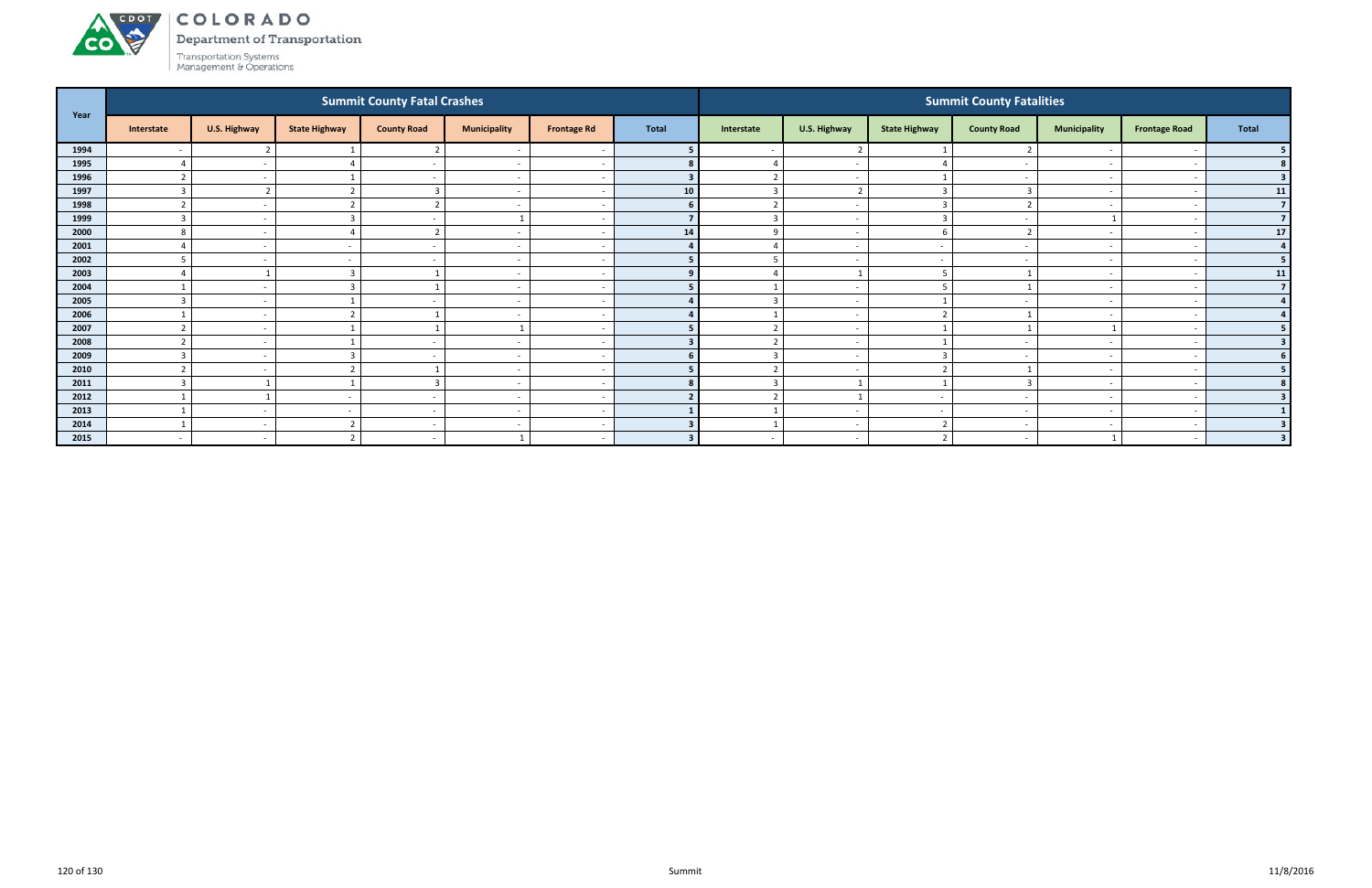Department of Transportation



ACDOT

| Year |                          |                |                          | <b>Summit County Fatal Crashes</b> |                          |                          |              |                   |                          |                          | <b>Summit County Fatalities</b> |                          |                          |                         |
|------|--------------------------|----------------|--------------------------|------------------------------------|--------------------------|--------------------------|--------------|-------------------|--------------------------|--------------------------|---------------------------------|--------------------------|--------------------------|-------------------------|
|      | Interstate               | U.S. Highway   | <b>State Highway</b>     | <b>County Road</b>                 | <b>Municipality</b>      | <b>Frontage Rd</b>       | <b>Total</b> | Interstate        | U.S. Highway             | <b>State Highway</b>     | <b>County Road</b>              | <b>Municipality</b>      | <b>Frontage Road</b>     | <b>Total</b>            |
| 1994 |                          | ຳ              |                          |                                    |                          |                          |              |                   | $\overline{2}$           |                          |                                 |                          |                          |                         |
| 1995 |                          | $\sim$         |                          |                                    | $\overline{\phantom{a}}$ | - -                      |              |                   | $\overline{\phantom{a}}$ |                          |                                 | $\overline{\phantom{0}}$ |                          |                         |
| 1996 |                          | $\sim$         |                          |                                    | $\overline{\phantom{a}}$ |                          |              | $\overline{2}$    | $\sim$                   |                          |                                 | $\sim$                   |                          | 3                       |
| 1997 | $\mathbf{3}$             | $\overline{2}$ |                          |                                    | $\overline{\phantom{a}}$ |                          | 10           | 3                 | $\overline{2}$           | $\overline{3}$           |                                 |                          |                          | 11                      |
| 1998 |                          | $\sim$         |                          | $\overline{\phantom{a}}$           | $\overline{\phantom{a}}$ |                          |              |                   | $\overline{a}$           |                          |                                 |                          |                          | $\overline{7}$          |
| 1999 |                          | $\sim$         |                          |                                    |                          |                          |              |                   | $\overline{a}$           | 3                        |                                 |                          |                          | $\overline{7}$          |
| 2000 |                          | $\sim$         |                          | $\mathbf{r}$                       | $\overline{\phantom{a}}$ |                          | 14           | 9                 | $\overline{\phantom{a}}$ | 6                        |                                 |                          |                          | 17                      |
| 2001 |                          | $\sim$         |                          | $\sim$                             | $\overline{\phantom{a}}$ |                          |              |                   | $\sim$                   | $\sim$                   |                                 | $\overline{\phantom{0}}$ |                          | $\overline{4}$          |
| 2002 |                          | $\sim$         |                          |                                    | $\overline{\phantom{a}}$ |                          |              |                   | $\overline{\phantom{a}}$ | $\overline{\phantom{a}}$ |                                 |                          |                          | 5                       |
| 2003 |                          |                |                          |                                    | $\overline{\phantom{a}}$ |                          |              |                   | - 1                      |                          |                                 | $\overline{\phantom{0}}$ |                          | 11                      |
| 2004 |                          | $\sim$         |                          |                                    | $\overline{\phantom{a}}$ |                          |              |                   | $\overline{\phantom{a}}$ |                          |                                 |                          |                          | $\overline{7}$          |
| 2005 |                          | $\sim$         |                          |                                    | $\overline{\phantom{a}}$ |                          |              | ຳ                 | $\overline{\phantom{a}}$ |                          |                                 |                          |                          | $\overline{4}$          |
| 2006 |                          | $\sim$         |                          |                                    | $\overline{\phantom{a}}$ |                          |              |                   | $\overline{a}$           | ຳ                        |                                 | $\sim$                   |                          |                         |
| 2007 | $\overline{2}$           | $\sim$         |                          |                                    |                          |                          |              | $\overline{2}$    | $\overline{\phantom{a}}$ |                          |                                 | $\mathbf{1}$             |                          |                         |
| 2008 |                          | $\sim$         |                          |                                    | $\overline{\phantom{a}}$ |                          |              |                   | $\overline{\phantom{a}}$ |                          |                                 | $\overline{\phantom{a}}$ |                          | $\overline{\mathbf{3}}$ |
| 2009 | ्द                       | $\sim$         |                          |                                    | $\overline{\phantom{a}}$ | - 11                     |              | 3                 | $\overline{\phantom{a}}$ | 3                        |                                 | $\overline{\phantom{0}}$ |                          |                         |
| 2010 | $\mathbf{a}$             | $\sim$         |                          |                                    | $\overline{\phantom{a}}$ |                          |              | $\mathbf{\hat{}}$ | $\overline{a}$           | $\mathbf{\overline{a}}$  |                                 |                          |                          | 5 <sub>1</sub>          |
| 2011 | $\mathbf{R}$             |                |                          | Е                                  | $\overline{\phantom{a}}$ | <u>т</u>                 |              | $\overline{3}$    | - 1                      |                          |                                 | $\overline{\phantom{0}}$ |                          | 8                       |
| 2012 |                          |                | $\overline{\phantom{a}}$ | $\sim$                             | $\overline{\phantom{a}}$ | $\overline{\phantom{a}}$ |              | $\overline{2}$    | $\mathbf{1}$             | $\sim$                   | $\overline{\phantom{a}}$        | $\overline{\phantom{0}}$ |                          |                         |
| 2013 |                          | $\sim$         |                          | $\sim$                             | $\overline{\phantom{a}}$ |                          |              |                   | $\overline{a}$           | $\sim$                   |                                 | $\overline{\phantom{0}}$ |                          |                         |
| 2014 |                          | $\sim$         |                          | $\sim$                             | $\overline{\phantom{a}}$ | $\overline{\phantom{a}}$ |              |                   | $\overline{\phantom{a}}$ | ຳ                        |                                 | $\overline{\phantom{0}}$ |                          |                         |
| 2015 | $\overline{\phantom{0}}$ | $\sim$         |                          | $\sim$                             |                          |                          | $\bullet$    |                   | $\overline{a}$           | $\mathbf{\overline{a}}$  |                                 | $\mathbf{1}$             | $\overline{\phantom{0}}$ | $\overline{3}$          |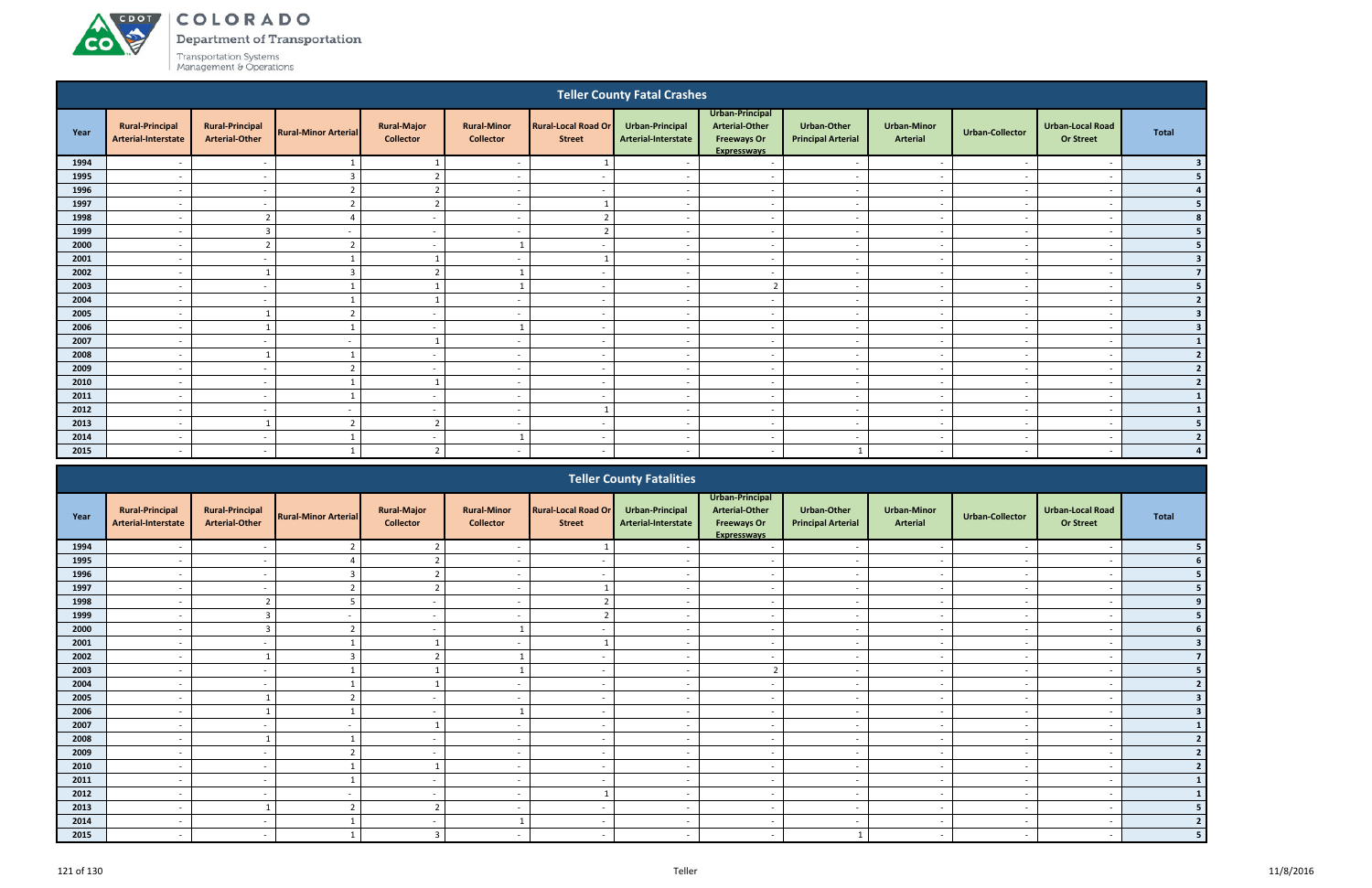**CO** 

Department of Transportation

|                                                                                                                                                                                                                                                                                                                                                                                                                                                                    |                                               |                                                 |                             |                                        |                                        |                                             | <b>Teller County Fatal Crashes</b>            |                                                                                      |                                                 |                                       |                          |                                             |                         |  |
|--------------------------------------------------------------------------------------------------------------------------------------------------------------------------------------------------------------------------------------------------------------------------------------------------------------------------------------------------------------------------------------------------------------------------------------------------------------------|-----------------------------------------------|-------------------------------------------------|-----------------------------|----------------------------------------|----------------------------------------|---------------------------------------------|-----------------------------------------------|--------------------------------------------------------------------------------------|-------------------------------------------------|---------------------------------------|--------------------------|---------------------------------------------|-------------------------|--|
| Year                                                                                                                                                                                                                                                                                                                                                                                                                                                               | <b>Rural-Principal</b><br>Arterial-Interstate | <b>Rural-Principal</b><br><b>Arterial-Other</b> | <b>Rural-Minor Arterial</b> | <b>Rural-Major</b><br><b>Collector</b> | <b>Rural-Minor</b><br><b>Collector</b> | <b>Rural-Local Road Or</b><br><b>Street</b> | <b>Urban-Principal</b><br>Arterial-Interstate | Urban-Principal<br><b>Arterial-Other</b><br><b>Freeways Or</b><br><b>Expresswavs</b> | <b>Urban-Other</b><br><b>Principal Arterial</b> | <b>Urban-Minor</b><br><b>Arterial</b> | <b>Urban-Collector</b>   | <b>Urban-Local Road</b><br><b>Or Street</b> | <b>Total</b>            |  |
| 1994                                                                                                                                                                                                                                                                                                                                                                                                                                                               |                                               | $\sim$                                          |                             |                                        | $\overline{\phantom{a}}$               |                                             |                                               | $\overline{\phantom{a}}$                                                             | $\overline{\phantom{a}}$                        | $\sim$                                |                          | . —                                         |                         |  |
| 1995                                                                                                                                                                                                                                                                                                                                                                                                                                                               |                                               | $\overline{\phantom{a}}$                        | 3                           | $\overline{2}$                         | $\overline{a}$                         | $\overline{\phantom{a}}$                    | $\overline{a}$                                | $\sim$                                                                               | $\overline{\phantom{a}}$                        | $\overline{\phantom{a}}$              | $\sim$                   | $\overline{\phantom{a}}$                    |                         |  |
| 1996                                                                                                                                                                                                                                                                                                                                                                                                                                                               | $\overline{\phantom{a}}$                      | $\overline{\phantom{a}}$                        | ຳ                           | $\overline{2}$                         | $\overline{\phantom{a}}$               | $\sim$                                      | $\overline{\phantom{a}}$                      | $\overline{\phantom{a}}$                                                             | $\overline{a}$                                  | $\overline{\phantom{a}}$              | $\overline{\phantom{a}}$ | $\overline{\phantom{a}}$                    |                         |  |
| 1997                                                                                                                                                                                                                                                                                                                                                                                                                                                               | $\overline{\phantom{a}}$                      | $\sim$                                          | $\overline{\phantom{0}}$    | $\overline{2}$                         | $\overline{\phantom{a}}$               |                                             | $\sim$                                        | $\sim$                                                                               | $\overline{a}$                                  | $\sim$                                | $\sim$                   | $\overline{\phantom{a}}$                    |                         |  |
| 1998                                                                                                                                                                                                                                                                                                                                                                                                                                                               | $\overline{\phantom{a}}$                      | $\overline{2}$                                  |                             | $\sim$                                 | $\overline{\phantom{a}}$               | $\overline{2}$                              | $\sim$                                        | $\sim$                                                                               | $\overline{a}$                                  | $\sim$                                | $\overline{\phantom{a}}$ | $\overline{\phantom{a}}$                    |                         |  |
| 1999                                                                                                                                                                                                                                                                                                                                                                                                                                                               | $\overline{\phantom{a}}$                      | $\overline{3}$                                  | $\sim$                      | $\sim$                                 | $\overline{\phantom{a}}$               | $\overline{2}$                              | $\overline{\phantom{a}}$                      | $\sim$                                                                               | $\overline{\phantom{a}}$                        | $\overline{\phantom{a}}$              | $\sim$                   | $\overline{\phantom{a}}$                    |                         |  |
| 2000                                                                                                                                                                                                                                                                                                                                                                                                                                                               | $\overline{\phantom{a}}$                      | $\overline{2}$                                  | $\overline{2}$              | $\sim$                                 | $\mathbf{1}$                           | $\overline{\phantom{a}}$                    | $\overline{a}$                                | $\overline{a}$                                                                       | $\sim$                                          | $\overline{\phantom{a}}$              | $\sim$                   | $\overline{\phantom{a}}$                    |                         |  |
| 2001                                                                                                                                                                                                                                                                                                                                                                                                                                                               | $\overline{\phantom{a}}$                      | $\overline{a}$                                  |                             | $\overline{\mathbf{1}}$                | $\overline{a}$                         | $\overline{\phantom{0}}$                    | $\sim$                                        | $\overline{a}$                                                                       | $\overline{a}$                                  | $\sim$                                | $\overline{\phantom{a}}$ | $\overline{\phantom{a}}$                    | 3                       |  |
| 2002                                                                                                                                                                                                                                                                                                                                                                                                                                                               | $\overline{\phantom{a}}$                      | 1                                               | $\overline{3}$              | $\overline{2}$                         | 1                                      | $\sim$                                      | $\sim$                                        | $\overline{\phantom{a}}$                                                             | $\sim$                                          | $\sim$                                | $\sim$                   | $\overline{\phantom{a}}$                    | $\overline{\mathbf{z}}$ |  |
| 2003<br>$\overline{2}$<br>$\overline{\phantom{a}}$<br>$\overline{a}$<br>$\overline{\phantom{a}}$<br>$\overline{\phantom{a}}$<br>$\overline{\phantom{a}}$<br>$\overline{\phantom{a}}$<br>$\overline{\phantom{a}}$<br>$\overline{\phantom{a}}$<br>2004<br>$\overline{\phantom{a}}$<br>$\overline{a}$<br>$\overline{\phantom{a}}$<br>$\overline{\phantom{a}}$<br>$\overline{\phantom{a}}$<br>$\sim$<br>$\overline{\phantom{a}}$<br>$\sim$<br>$\overline{\phantom{a}}$ |                                               |                                                 |                             |                                        |                                        |                                             |                                               |                                                                                      |                                                 |                                       |                          |                                             |                         |  |
| $\overline{\phantom{a}}$<br>$\overline{\phantom{a}}$<br>$\overline{a}$<br>$\overline{\phantom{a}}$<br>$\overline{a}$<br>$\overline{a}$<br>$\overline{\phantom{a}}$<br>$\overline{\phantom{a}}$<br>$\sim$<br>$\overline{\phantom{a}}$                                                                                                                                                                                                                               |                                               |                                                 |                             |                                        |                                        |                                             |                                               |                                                                                      |                                                 |                                       |                          |                                             |                         |  |
| 2005                                                                                                                                                                                                                                                                                                                                                                                                                                                               |                                               |                                                 |                             |                                        |                                        |                                             |                                               |                                                                                      |                                                 |                                       |                          |                                             | $\overline{\mathbf{3}}$ |  |
| 2006                                                                                                                                                                                                                                                                                                                                                                                                                                                               | $\overline{\phantom{a}}$                      |                                                 |                             | $\overline{\phantom{a}}$               |                                        | $\sim$                                      | $\overline{a}$                                | $\sim$                                                                               | $\sim$                                          | $\overline{\phantom{a}}$              | $\sim$                   | $\overline{\phantom{a}}$                    | -3                      |  |
| 2007                                                                                                                                                                                                                                                                                                                                                                                                                                                               | $\overline{\phantom{a}}$                      | $\sim$                                          | $\sim$                      | -1                                     | $\overline{\phantom{a}}$               | $\overline{\phantom{a}}$                    | $\overline{\phantom{a}}$                      | $\sim$                                                                               | $\overline{a}$                                  | $\sim$                                | $\sim$                   | $\overline{\phantom{a}}$                    |                         |  |
| 2008                                                                                                                                                                                                                                                                                                                                                                                                                                                               | $\overline{\phantom{a}}$                      | $\mathbf{1}$                                    |                             | $\sim$                                 | $\overline{\phantom{a}}$               | $\sim$                                      | $\overline{\phantom{a}}$                      | $\sim$                                                                               | $\overline{a}$                                  | $\sim$                                | $\sim$                   | $\overline{\phantom{a}}$                    | $\overline{2}$          |  |
| 2009                                                                                                                                                                                                                                                                                                                                                                                                                                                               | $\overline{\phantom{a}}$                      | $\overline{a}$                                  | $\mathcal{P}$               | $\sim$                                 | $\overline{a}$                         | $\sim$                                      | $\sim$                                        | $\sim$                                                                               | $\overline{a}$                                  | $\sim$                                | $\sim$                   | $\overline{\phantom{a}}$                    | $\overline{2}$          |  |
| 2010                                                                                                                                                                                                                                                                                                                                                                                                                                                               | $\overline{\phantom{a}}$                      | $\overline{\phantom{a}}$                        |                             | 1                                      | $\overline{a}$                         | $\overline{\phantom{a}}$                    | $\sim$                                        | $\overline{a}$                                                                       | $\overline{a}$                                  | $\overline{\phantom{a}}$              | $\sim$                   | $\overline{\phantom{a}}$                    | $\overline{2}$          |  |
| 2011                                                                                                                                                                                                                                                                                                                                                                                                                                                               | $\overline{\phantom{a}}$                      | $\overline{\phantom{a}}$                        |                             | $\sim$                                 | $\overline{a}$                         | $\overline{\phantom{a}}$                    | $\sim$                                        | $\sim$                                                                               | $\overline{a}$                                  | $\overline{\phantom{a}}$              | $\sim$                   | $\overline{\phantom{a}}$                    | $1\vert$                |  |
| 2012                                                                                                                                                                                                                                                                                                                                                                                                                                                               | $\overline{\phantom{a}}$                      | $\overline{a}$                                  | $\overline{\phantom{a}}$    | $\sim$                                 | $\overline{\phantom{0}}$               | $\overline{1}$                              | $\overline{\phantom{a}}$                      | $\overline{a}$                                                                       | $\overline{\phantom{0}}$                        | $\sim$                                | $\overline{\phantom{a}}$ | $\overline{\phantom{a}}$                    | $\mathbf{1}$            |  |
| 2013                                                                                                                                                                                                                                                                                                                                                                                                                                                               | $\overline{\phantom{a}}$                      | $\mathbf{1}$                                    | $\overline{2}$              | $\overline{2}$                         | $\overline{a}$                         | $\overline{\phantom{a}}$                    | $\overline{\phantom{a}}$                      | $\overline{a}$                                                                       | $\overline{a}$                                  | $\overline{\phantom{a}}$              | $\overline{a}$           | $\overline{\phantom{a}}$                    | -5                      |  |
| 2014                                                                                                                                                                                                                                                                                                                                                                                                                                                               | $\overline{\phantom{a}}$                      | $\overline{\phantom{a}}$                        |                             | $\sim$                                 |                                        | $\overline{\phantom{a}}$                    | $\overline{\phantom{a}}$                      | $\overline{\phantom{a}}$                                                             | $\overline{\phantom{a}}$                        | $\overline{\phantom{a}}$              | <b>.</b>                 | $\overline{\phantom{a}}$                    | $\overline{2}$          |  |
| 2015                                                                                                                                                                                                                                                                                                                                                                                                                                                               | $\overline{\phantom{a}}$                      | $\overline{\phantom{a}}$                        |                             | $\overline{2}$                         | $\overline{\phantom{a}}$               | $\overline{\phantom{a}}$                    | $\overline{\phantom{a}}$                      | $\overline{\phantom{a}}$                                                             | -1                                              | $\overline{\phantom{a}}$              | $\sim$                   | $\overline{\phantom{a}}$                    |                         |  |
|                                                                                                                                                                                                                                                                                                                                                                                                                                                                    |                                               |                                                 |                             |                                        |                                        |                                             | <b>Teller County Fatalities</b>               |                                                                                      |                                                 |                                       |                          |                                             |                         |  |

|      |                                               |                                                 |                             |                                        |                                        |                                             | <b>Teller County Fatalities</b>        |                                                                                      |                                                 |                                       |                          |                                             |       |
|------|-----------------------------------------------|-------------------------------------------------|-----------------------------|----------------------------------------|----------------------------------------|---------------------------------------------|----------------------------------------|--------------------------------------------------------------------------------------|-------------------------------------------------|---------------------------------------|--------------------------|---------------------------------------------|-------|
| Year | <b>Rural-Principal</b><br>Arterial-Interstate | <b>Rural-Principal</b><br><b>Arterial-Other</b> | <b>Rural-Minor Arterial</b> | <b>Rural-Major</b><br><b>Collector</b> | <b>Rural-Minor</b><br><b>Collector</b> | <b>Rural-Local Road Or</b><br><b>Street</b> | Urban-Principal<br>Arterial-Interstate | Urban-Principal<br><b>Arterial-Other</b><br><b>Freeways Or</b><br><b>Expresswavs</b> | <b>Urban-Other</b><br><b>Principal Arterial</b> | <b>Urban-Minor</b><br><b>Arterial</b> | <b>Urban-Collector</b>   | <b>Urban-Local Road</b><br><b>Or Street</b> | Total |
| 1994 |                                               |                                                 |                             |                                        |                                        |                                             |                                        |                                                                                      |                                                 |                                       |                          |                                             |       |
| 1995 |                                               |                                                 |                             |                                        |                                        |                                             |                                        | $\overline{\phantom{a}}$                                                             | $\overline{\phantom{a}}$                        |                                       |                          |                                             |       |
| 1996 | $\sim$                                        | $\sim$                                          | $\mathbf{R}$                |                                        | $\overline{a}$                         | $\sim$                                      | $\sim$                                 | $\overline{\phantom{a}}$                                                             | $\overline{\phantom{a}}$                        | $\sim$                                | $\sim$                   | $\overline{\phantom{a}}$                    |       |
| 1997 |                                               |                                                 |                             | $\mathcal{L}$                          |                                        |                                             |                                        | $\overline{\phantom{a}}$                                                             | $\overline{\phantom{a}}$                        | $\overline{\phantom{a}}$              |                          |                                             |       |
| 1998 |                                               |                                                 |                             | $\sim$                                 |                                        | ຳ                                           |                                        | $\overline{\phantom{a}}$                                                             | $\overline{\phantom{a}}$                        | $\sim$                                |                          |                                             |       |
| 1999 |                                               | 3                                               |                             |                                        |                                        | $\overline{\phantom{a}}$                    |                                        | $\overline{\phantom{a}}$                                                             | $\overline{\phantom{a}}$                        | $\overline{\phantom{a}}$              |                          |                                             |       |
| 2000 |                                               |                                                 |                             | $\sim$                                 |                                        | $\overline{\phantom{a}}$                    |                                        | $\overline{\phantom{0}}$                                                             | $\overline{\phantom{a}}$                        | $\overline{\phantom{0}}$              |                          |                                             |       |
| 2001 | $\sim$                                        | $\sim$                                          |                             |                                        | $\overline{a}$                         |                                             | $\sim$                                 | $\overline{\phantom{a}}$                                                             | $\overline{\phantom{a}}$                        | $\overline{\phantom{a}}$              | $\overline{\phantom{a}}$ | $\overline{\phantom{a}}$                    |       |
| 2002 |                                               |                                                 | ຳ                           | ຳ                                      |                                        | $\overline{\phantom{a}}$                    |                                        |                                                                                      | $\overline{\phantom{a}}$                        | $\overline{\phantom{a}}$              |                          |                                             |       |
| 2003 |                                               |                                                 |                             |                                        |                                        | $\overline{\phantom{a}}$                    |                                        |                                                                                      | $\overline{\phantom{a}}$                        | $\sim$                                | $\overline{\phantom{a}}$ |                                             |       |
| 2004 |                                               |                                                 |                             |                                        |                                        | $\overline{\phantom{0}}$                    |                                        | $\overline{\phantom{a}}$                                                             | $\overline{\phantom{a}}$                        | $\overline{\phantom{0}}$              |                          |                                             |       |
| 2005 |                                               |                                                 |                             | $\sim$                                 | $\overline{\phantom{a}}$               | $\sim$                                      |                                        | $\sim$                                                                               | $\blacksquare$                                  | $\sim$                                | $\overline{\phantom{a}}$ | $\overline{\phantom{a}}$                    |       |
| 2006 | $\overline{\phantom{0}}$                      |                                                 |                             | $\sim$                                 |                                        | $\sim$                                      |                                        | $\overline{\phantom{0}}$                                                             | $\overline{\phantom{a}}$                        | $\overline{\phantom{0}}$              | $\overline{\phantom{0}}$ |                                             |       |
| 2007 |                                               |                                                 |                             |                                        |                                        | $\overline{\phantom{0}}$                    |                                        | $\overline{\phantom{a}}$                                                             | $\overline{\phantom{a}}$                        | $\sim$                                |                          |                                             |       |
| 2008 |                                               |                                                 |                             |                                        |                                        | $\overline{\phantom{a}}$                    |                                        |                                                                                      | $\overline{\phantom{a}}$                        | $\overline{\phantom{a}}$              |                          |                                             |       |
| 2009 |                                               |                                                 |                             |                                        |                                        |                                             |                                        | $\overline{\phantom{a}}$                                                             | $\overline{\phantom{a}}$                        | $\overline{\phantom{a}}$              |                          |                                             |       |
| 2010 | $\sim$                                        | $\sim$                                          |                             |                                        | $\overline{a}$                         | $\sim$                                      | $\overline{\phantom{a}}$               | $\overline{\phantom{a}}$                                                             | $\overline{\phantom{a}}$                        | $\sim$                                | $\sim$                   | $\overline{\phantom{0}}$                    |       |
| 2011 |                                               |                                                 |                             | $\sim$                                 |                                        | $\sim$                                      |                                        | $\overline{\phantom{a}}$                                                             | $\overline{\phantom{a}}$                        | $\sim$                                |                          |                                             |       |
| 2012 |                                               |                                                 |                             |                                        |                                        |                                             |                                        | $\overline{\phantom{a}}$                                                             | $\overline{\phantom{a}}$                        | $\sim$                                |                          |                                             |       |
| 2013 |                                               |                                                 |                             |                                        |                                        | $\overline{\phantom{a}}$                    |                                        |                                                                                      | $\overline{\phantom{a}}$                        | $\overline{\phantom{0}}$              |                          |                                             |       |
| 2014 |                                               | $\sim$                                          |                             | $\sim$                                 |                                        | $\overline{\phantom{a}}$                    | $\overline{\phantom{0}}$               | $\overline{\phantom{0}}$                                                             | $\sim$                                          | $\overline{\phantom{a}}$              | $\overline{\phantom{0}}$ |                                             |       |
| 2015 | $\overline{\phantom{0}}$                      | $\sim$                                          |                             | 3                                      | $\overline{\phantom{0}}$               | $\sim$                                      | $\overline{\phantom{a}}$               | $\overline{\phantom{0}}$                                                             |                                                 | $\overline{\phantom{a}}$              | $\overline{\phantom{a}}$ |                                             |       |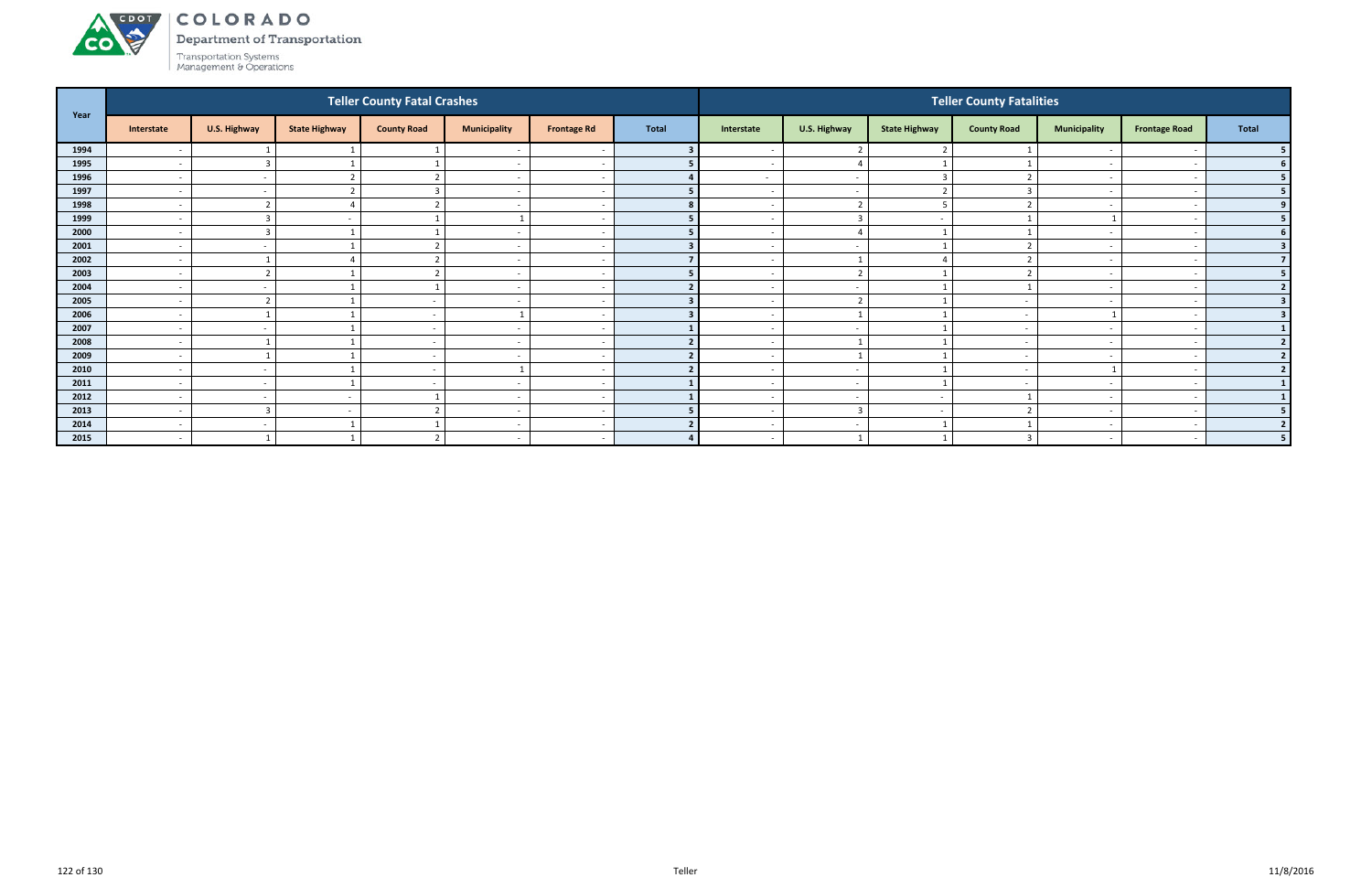# ACDOL

**CO** 

COLORADO

Department of Transportation

| Year |                          |                          |                          | <b>Teller County Fatal Crashes</b> |                          |                          |              |                          |                          |                      | <b>Teller County Fatalities</b> |                          |                          |                  |
|------|--------------------------|--------------------------|--------------------------|------------------------------------|--------------------------|--------------------------|--------------|--------------------------|--------------------------|----------------------|---------------------------------|--------------------------|--------------------------|------------------|
|      | Interstate               | U.S. Highway             | <b>State Highway</b>     | <b>County Road</b>                 | <b>Municipality</b>      | <b>Frontage Rd</b>       | <b>Total</b> | Interstate               | U.S. Highway             | <b>State Highway</b> | <b>County Road</b>              | <b>Municipality</b>      | <b>Frontage Road</b>     | Total            |
| 1994 |                          |                          |                          |                                    |                          |                          |              |                          |                          |                      |                                 |                          |                          |                  |
| 1995 | $\overline{\phantom{a}}$ | $\overline{3}$           |                          |                                    | $\overline{\phantom{a}}$ | $\sim$                   |              | $\sim$                   | $\overline{4}$           |                      |                                 | $\overline{\phantom{0}}$ | $\overline{\phantom{a}}$ | <b>6</b>         |
| 1996 | $\overline{\phantom{a}}$ | $\sim$                   |                          | $\mathbf{\overline{}}$             | $\overline{\phantom{a}}$ | <u>т</u>                 |              | $\sim$                   | $\overline{\phantom{a}}$ | $\overline{3}$       | $\mathbf{r}$                    | $\sim$                   |                          | 5                |
| 1997 | $\overline{\phantom{a}}$ | $\sim$                   |                          |                                    | $\overline{\phantom{a}}$ |                          |              | $\overline{\phantom{a}}$ | $\overline{\phantom{a}}$ |                      |                                 | $\overline{\phantom{0}}$ |                          | 5                |
| 1998 | $\overline{\phantom{a}}$ | $\mathbf{\overline{1}}$  |                          | $\mathbf{r}$                       | $\overline{\phantom{a}}$ | $\overline{\phantom{a}}$ |              | $\sim$                   | $\overline{2}$           | 5                    |                                 | $\overline{\phantom{a}}$ |                          | 9                |
| 1999 | $\overline{\phantom{a}}$ | $\overline{3}$           |                          |                                    |                          |                          |              |                          | $\overline{3}$           |                      |                                 |                          |                          |                  |
| 2000 | $\overline{\phantom{0}}$ | $\overline{3}$           |                          |                                    | $\overline{\phantom{0}}$ | $\overline{\phantom{a}}$ |              | $\sim$                   | $\overline{4}$           |                      |                                 |                          |                          | 6                |
| 2001 | $\overline{\phantom{a}}$ | $\sim$                   |                          | h                                  | $\overline{\phantom{a}}$ | $\overline{\phantom{a}}$ |              | $\sim$                   | $\sim$                   |                      |                                 | $\sim$                   |                          | 3                |
| 2002 | $\overline{\phantom{a}}$ |                          |                          | $\mathbf{\overline{}}$             | $\overline{\phantom{a}}$ |                          |              | $\overline{\phantom{0}}$ | $\mathbf{1}$             | $\Delta$             |                                 |                          |                          |                  |
| 2003 | $\overline{\phantom{a}}$ | $\mathbf{\overline{a}}$  |                          |                                    | $\overline{\phantom{a}}$ | - -                      |              |                          | $\mathbf{r}$             |                      |                                 |                          |                          | 5                |
| 2004 | $\overline{\phantom{a}}$ | $\sim$                   |                          |                                    | $\overline{\phantom{a}}$ | $\overline{\phantom{a}}$ |              | $\sim$                   | $\sim$                   |                      |                                 | $\overline{\phantom{a}}$ |                          | $\mathbf{\cdot}$ |
| 2005 | $\overline{\phantom{a}}$ | ຳ                        |                          |                                    | $\overline{\phantom{a}}$ |                          |              |                          | $\mathbf{a}$             |                      |                                 |                          |                          | 3                |
| 2006 | $\overline{\phantom{a}}$ |                          |                          | $\sim$                             |                          | - -                      |              | $\sim$                   |                          |                      | $\overline{\phantom{0}}$        |                          |                          |                  |
| 2007 | $\overline{\phantom{a}}$ | $\sim$                   |                          | $\sim$                             | $\overline{\phantom{a}}$ | <u>т</u>                 |              | $\sim$                   | $\sim$                   |                      | $\overline{\phantom{a}}$        | $\overline{\phantom{a}}$ |                          |                  |
| 2008 | $\overline{\phantom{0}}$ |                          |                          |                                    | $\overline{\phantom{0}}$ |                          |              |                          | $\overline{1}$           |                      |                                 | $\sim$                   |                          |                  |
| 2009 | $\overline{\phantom{a}}$ |                          |                          | $\sim$                             | $\overline{\phantom{a}}$ | <u>т</u>                 |              | $\sim$                   |                          |                      | $\overline{\phantom{a}}$        | $\overline{\phantom{a}}$ |                          |                  |
| 2010 | $\overline{\phantom{a}}$ | $\overline{\phantom{a}}$ |                          | . .                                |                          |                          |              |                          | $\overline{\phantom{a}}$ |                      |                                 |                          |                          | ຳ                |
| 2011 | $\overline{\phantom{a}}$ | $\sim$                   |                          |                                    | $\overline{\phantom{a}}$ |                          |              |                          | $\overline{a}$           |                      |                                 | $\overline{\phantom{0}}$ |                          |                  |
| 2012 | $\overline{\phantom{a}}$ | $\sim$                   | $\overline{\phantom{a}}$ |                                    | $\overline{\phantom{a}}$ | $\overline{\phantom{a}}$ |              | $\sim$                   | $\sim$                   | $\sim$               |                                 | $\overline{\phantom{0}}$ | $\overline{\phantom{a}}$ |                  |
| 2013 | $\overline{\phantom{a}}$ | $\overline{\mathbf{3}}$  | $\overline{\phantom{a}}$ | $\mathbf{\overline{}}$             | $\overline{\phantom{a}}$ |                          |              | $\sim$                   | $\overline{\mathbf{3}}$  | $\sim$               |                                 |                          |                          |                  |
| 2014 | $\overline{\phantom{a}}$ | $\sim$                   |                          |                                    | $\overline{\phantom{a}}$ |                          |              | $\sim$                   | $\sim$                   |                      |                                 | $\overline{\phantom{0}}$ |                          |                  |
| 2015 | $\overline{\phantom{a}}$ |                          |                          | ຳ                                  | $\overline{\phantom{a}}$ | $\sim$                   |              | $\sim$                   |                          |                      |                                 | $-$                      |                          |                  |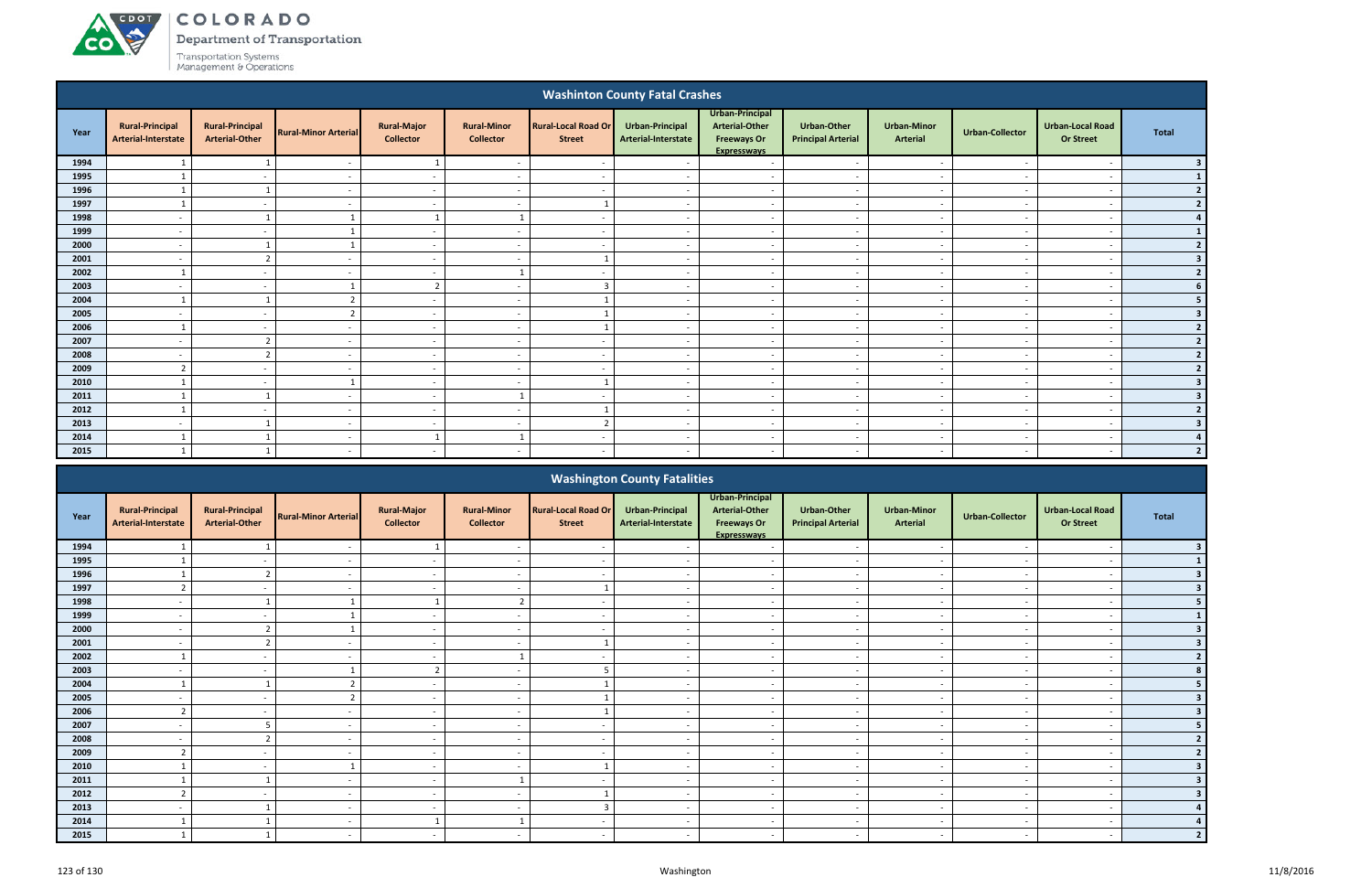ACDOT

**CO** 

Department of Transportation

|      |                                               |                                                 |                             |                                        |                                        |                                             | <b>Washinton County Fatal Crashes</b>  |                                                                                      |                                                 |                                |                          |                                             |                          |
|------|-----------------------------------------------|-------------------------------------------------|-----------------------------|----------------------------------------|----------------------------------------|---------------------------------------------|----------------------------------------|--------------------------------------------------------------------------------------|-------------------------------------------------|--------------------------------|--------------------------|---------------------------------------------|--------------------------|
| Year | <b>Rural-Principal</b><br>Arterial-Interstate | <b>Rural-Principal</b><br><b>Arterial-Other</b> | <b>Rural-Minor Arterial</b> | <b>Rural-Major</b><br><b>Collector</b> | <b>Rural-Minor</b><br><b>Collector</b> | <b>Rural-Local Road Or</b><br><b>Street</b> | Urban-Principal<br>Arterial-Interstate | Urban-Principal<br><b>Arterial-Other</b><br><b>Freeways Or</b><br><b>Expresswavs</b> | <b>Urban-Other</b><br><b>Principal Arterial</b> | <b>Urban-Minor</b><br>Arterial | <b>Urban-Collector</b>   | <b>Urban-Local Road</b><br><b>Or Street</b> | <b>Total</b>             |
| 1994 |                                               |                                                 | $\overline{\phantom{a}}$    |                                        | $\overline{\phantom{a}}$               | $\sim$                                      |                                        | $\overline{a}$                                                                       | $\overline{\phantom{a}}$                        | $\sim$                         |                          |                                             | -3                       |
| 1995 |                                               | $\sim$                                          | $\sim$                      | $\sim$                                 | $\overline{a}$                         | $\sim$                                      | $\sim$                                 | $\sim$                                                                               | $\overline{\phantom{a}}$                        | $\overline{\phantom{a}}$       | $\sim$                   | $\overline{\phantom{a}}$                    |                          |
| 1996 |                                               | $\mathbf{1}$                                    | $\sim$                      | $\sim$                                 | $\overline{a}$                         | $\sim$                                      | $\sim$                                 | $\sim$                                                                               | $\sim$                                          | $\sim$                         | $\sim$                   | $\overline{\phantom{a}}$                    |                          |
| 1997 |                                               | $\sim$                                          | $\sim$                      | $\overline{\phantom{a}}$               | $\overline{a}$                         |                                             | $\sim$                                 | $\overline{a}$                                                                       | $\overline{\phantom{a}}$                        | $\overline{\phantom{a}}$       | $\overline{\phantom{a}}$ | $\overline{\phantom{a}}$                    | $\mathbf{z}$             |
| 1998 | $\overline{\phantom{a}}$                      |                                                 |                             |                                        |                                        | $\overline{\phantom{a}}$                    | $\overline{\phantom{a}}$               | $\overline{a}$                                                                       | $\overline{\phantom{a}}$                        | $\sim$                         | $\overline{\phantom{a}}$ | $\overline{\phantom{a}}$                    | $\Delta$                 |
| 1999 | $\overline{\phantom{a}}$                      | $\sim$                                          |                             | $\overline{\phantom{a}}$               | $\overline{\phantom{a}}$               | $\sim$                                      | $\sim$                                 | $\overline{\phantom{a}}$                                                             | $\overline{\phantom{a}}$                        | $\overline{\phantom{a}}$       | $\sim$                   | $\overline{\phantom{a}}$                    |                          |
| 2000 | $\overline{\phantom{a}}$                      |                                                 |                             | $\sim$                                 | $\overline{a}$                         | $\overline{\phantom{a}}$                    | $\sim$                                 | $\sim$                                                                               | $\overline{\phantom{a}}$                        | $\overline{\phantom{a}}$       | $\sim$                   | $\overline{\phantom{a}}$                    | $\overline{2}$           |
| 2001 | $\overline{a}$                                | $\overline{2}$                                  | $\sim$                      | $\sim$                                 | $\overline{a}$                         |                                             | $\sim$                                 | $\overline{a}$                                                                       | $\overline{a}$                                  | $\overline{\phantom{a}}$       | $\overline{a}$           | $\overline{\phantom{a}}$                    | $\overline{\mathbf{3}}$  |
| 2002 | $\mathbf{1}$                                  | $\sim$                                          | $\sim$                      | $\overline{\phantom{a}}$               | $\mathbf{1}$                           | $\sim$                                      | $\overline{\phantom{a}}$               | $\overline{\phantom{a}}$                                                             | $\sim$                                          | $\overline{\phantom{a}}$       | $\overline{\phantom{a}}$ | $\overline{\phantom{a}}$                    | $\overline{2}$           |
| 2003 | $\overline{\phantom{a}}$                      | $\overline{\phantom{a}}$                        |                             | $\overline{2}$                         | $\overline{\phantom{a}}$               | $\overline{3}$                              | $\sim$                                 | $\overline{\phantom{a}}$                                                             | $\overline{\phantom{a}}$                        | $\overline{\phantom{a}}$       |                          | $\overline{\phantom{a}}$                    | 6                        |
| 2004 |                                               |                                                 | ຳ                           | $\sim$                                 | $\overline{\phantom{a}}$               |                                             | $\overline{\phantom{a}}$               | $\sim$                                                                               | $\overline{\phantom{a}}$                        | $\overline{\phantom{a}}$       | $\overline{\phantom{a}}$ | $\overline{\phantom{a}}$                    |                          |
| 2005 | $\overline{a}$                                | $\sim$                                          | ຳ                           | $\sim$                                 | $\overline{\phantom{a}}$               |                                             | $\sim$                                 | $\overline{a}$                                                                       | $\overline{\phantom{0}}$                        | $\sim$                         | $\sim$                   | $\overline{\phantom{a}}$                    | 3                        |
| 2006 |                                               | $\sim$                                          | $\sim$                      | $\sim$                                 | $\overline{\phantom{a}}$               |                                             | $\sim$                                 | $\sim$                                                                               | $\overline{a}$                                  | $\sim$                         | $\overline{\phantom{a}}$ | $\overline{\phantom{a}}$                    | $\overline{2}$           |
| 2007 | $\overline{\phantom{a}}$                      | $\overline{2}$                                  | $\overline{\phantom{a}}$    | $\sim$                                 | $\overline{\phantom{a}}$               | $\overline{\phantom{a}}$                    | $\overline{\phantom{a}}$               | $\overline{a}$                                                                       | $\overline{\phantom{a}}$                        | $\overline{\phantom{a}}$       | $\overline{\phantom{a}}$ | $\overline{\phantom{a}}$                    | $\overline{2}$           |
| 2008 | $\overline{\phantom{a}}$                      | $\overline{2}$                                  | $\overline{\phantom{a}}$    | $\overline{\phantom{a}}$               | $\overline{\phantom{a}}$               | $\overline{\phantom{a}}$                    | $\overline{\phantom{a}}$               | $\overline{a}$                                                                       |                                                 | $\overline{\phantom{a}}$       |                          | $\overline{\phantom{a}}$                    | $\overline{2}$           |
| 2009 | $\overline{2}$                                | $\sim$                                          | $\sim$                      | $\sim$                                 | $\overline{a}$                         | $\sim$                                      | $\sim$                                 | $\sim$                                                                               | $\sim$                                          | $\sim$                         | $\sim$                   | $\overline{\phantom{a}}$                    |                          |
| 2010 |                                               | $\sim$                                          |                             | $\sim$                                 | $\sim$                                 |                                             | $\sim$                                 | $\sim$                                                                               | $\overline{a}$                                  | $\sim$                         | $\overline{\phantom{a}}$ | $\overline{\phantom{a}}$                    |                          |
| 2011 |                                               |                                                 | $\sim$                      | $\overline{\phantom{a}}$               |                                        | $\sim$                                      | $\overline{\phantom{a}}$               | $\sim$                                                                               | $\overline{\phantom{a}}$                        | $\overline{\phantom{a}}$       | $\overline{\phantom{a}}$ | $\overline{\phantom{a}}$                    | 3                        |
| 2012 |                                               | $\sim$                                          | $\sim$                      | $\overline{\phantom{a}}$               | $\overline{\phantom{a}}$               |                                             | $\sim$                                 | $\overline{\phantom{a}}$                                                             | $\overline{\phantom{a}}$                        | $\overline{\phantom{a}}$       | $\sim$                   | $\overline{\phantom{a}}$                    | $\overline{\phantom{a}}$ |
| 2013 | $\overline{\phantom{a}}$                      |                                                 | $\overline{a}$              | $\overline{\phantom{a}}$               | $\overline{\phantom{a}}$               | $\overline{z}$                              | $\overline{\phantom{a}}$               | $\overline{\phantom{a}}$                                                             | $\overline{\phantom{a}}$                        | $\overline{\phantom{a}}$       | $\sim$                   | $\overline{\phantom{a}}$                    | 3                        |
| 2014 | $\mathbf{1}$                                  |                                                 | $\sim$                      | - 1                                    | $\mathbf{1}$                           | $\sim$                                      | $\overline{\phantom{a}}$               | $\sim$                                                                               | $\overline{\phantom{0}}$                        | $\sim$                         | $\sim$                   | $\overline{\phantom{a}}$                    |                          |
| 2015 |                                               |                                                 | $\sim$                      | $\sim$                                 | $\overline{a}$                         | $\sim$                                      | $\sim$                                 | $\sim$                                                                               | $\sim$                                          | $\sim$                         | $\sim$                   | $\overline{\phantom{a}}$                    |                          |
|      |                                               |                                                 |                             |                                        |                                        |                                             |                                        |                                                                                      |                                                 |                                |                          |                                             |                          |

|      |                                               |                                                 |                             |                                        |                                        |                                             | <b>Washington County Fatalities</b>    |                                                                                      |                                                 |                                       |                          |                                             |              |
|------|-----------------------------------------------|-------------------------------------------------|-----------------------------|----------------------------------------|----------------------------------------|---------------------------------------------|----------------------------------------|--------------------------------------------------------------------------------------|-------------------------------------------------|---------------------------------------|--------------------------|---------------------------------------------|--------------|
| Year | <b>Rural-Principal</b><br>Arterial-Interstate | <b>Rural-Principal</b><br><b>Arterial-Other</b> | <b>Rural-Minor Arterial</b> | <b>Rural-Major</b><br><b>Collector</b> | <b>Rural-Minor</b><br><b>Collector</b> | <b>Rural-Local Road Or</b><br><b>Street</b> | Urban-Principal<br>Arterial-Interstate | Urban-Principal<br><b>Arterial-Other</b><br><b>Freeways Or</b><br><b>Expresswavs</b> | <b>Urban-Other</b><br><b>Principal Arterial</b> | <b>Urban-Minor</b><br><b>Arterial</b> | <b>Urban-Collector</b>   | <b>Urban-Local Road</b><br><b>Or Street</b> | <b>Total</b> |
| 1994 |                                               |                                                 |                             |                                        |                                        |                                             |                                        |                                                                                      |                                                 |                                       |                          |                                             |              |
| 1995 |                                               |                                                 |                             |                                        |                                        |                                             |                                        |                                                                                      |                                                 |                                       |                          |                                             |              |
| 1996 |                                               |                                                 |                             | $\sim$                                 | $\overline{\phantom{a}}$               |                                             |                                        | $\overline{\phantom{a}}$                                                             | $\overline{\phantom{a}}$                        | $\overline{\phantom{0}}$              |                          | $\overline{\phantom{a}}$                    |              |
| 1997 | ຳ                                             |                                                 |                             | $\sim$                                 | $\overline{\phantom{0}}$               |                                             |                                        | $\overline{\phantom{a}}$                                                             | $\overline{\phantom{0}}$                        | $\overline{\phantom{a}}$              |                          | $\overline{\phantom{a}}$                    |              |
| 1998 |                                               |                                                 |                             |                                        | $\mathbf{r}$                           |                                             |                                        |                                                                                      |                                                 |                                       |                          |                                             |              |
| 1999 |                                               |                                                 |                             | $\sim$                                 | $\overline{\phantom{a}}$               | $\sim$                                      |                                        | $\overline{\phantom{a}}$                                                             | $\overline{\phantom{a}}$                        | $\overline{\phantom{a}}$              |                          | $\overline{\phantom{a}}$                    |              |
| 2000 |                                               |                                                 |                             |                                        |                                        |                                             |                                        |                                                                                      |                                                 |                                       |                          |                                             |              |
| 2001 | $\overline{\phantom{0}}$                      |                                                 |                             | $\sim$                                 | $\overline{a}$                         |                                             |                                        | $\overline{\phantom{a}}$                                                             | $\overline{\phantom{a}}$                        | $\overline{\phantom{a}}$              |                          | $\overline{\phantom{a}}$                    |              |
| 2002 |                                               |                                                 |                             | $\sim$                                 |                                        |                                             |                                        | $\overline{\phantom{a}}$                                                             | $\overline{\phantom{a}}$                        | $\overline{\phantom{0}}$              |                          |                                             |              |
| 2003 |                                               |                                                 |                             |                                        | $\overline{\phantom{0}}$               |                                             |                                        | $\overline{\phantom{0}}$                                                             | $\overline{\phantom{0}}$                        | $\overline{\phantom{a}}$              |                          |                                             |              |
| 2004 |                                               |                                                 |                             | $\sim$                                 | $\overline{\phantom{a}}$               |                                             |                                        | $\overline{\phantom{a}}$                                                             | $\overline{\phantom{a}}$                        |                                       |                          |                                             |              |
| 2005 |                                               |                                                 |                             | $\sim$                                 | $\overline{\phantom{0}}$               |                                             |                                        | $\overline{\phantom{0}}$                                                             | $\overline{\phantom{0}}$                        | $\overline{\phantom{a}}$              |                          |                                             |              |
| 2006 | 2                                             | $\sim$                                          |                             | $\sim$                                 | $\overline{\phantom{a}}$               |                                             | $\overline{\phantom{a}}$               | $\overline{\phantom{a}}$                                                             | $\overline{\phantom{a}}$                        | $\sim$                                | $\overline{\phantom{a}}$ | $\overline{\phantom{a}}$                    |              |
| 2007 |                                               |                                                 |                             | $\sim$                                 |                                        | $\overline{\phantom{a}}$                    |                                        | $\overline{\phantom{a}}$                                                             | $\overline{\phantom{a}}$                        | $\overline{\phantom{a}}$              |                          |                                             |              |
| 2008 |                                               |                                                 |                             | $\sim$                                 | $\overline{a}$                         | $\sim$                                      |                                        | $\overline{\phantom{a}}$                                                             | $\sim$                                          | $\sim$                                |                          | $\overline{\phantom{a}}$                    |              |
| 2009 |                                               |                                                 |                             | $\sim$                                 |                                        |                                             |                                        |                                                                                      |                                                 |                                       |                          |                                             |              |
| 2010 |                                               |                                                 |                             | $\sim$                                 | $\overline{\phantom{a}}$               |                                             |                                        | $\overline{\phantom{a}}$                                                             | $\blacksquare$                                  | $\overline{\phantom{a}}$              |                          | $\overline{\phantom{a}}$                    |              |
| 2011 |                                               |                                                 |                             | $\sim$                                 |                                        | $\overline{\phantom{0}}$                    |                                        | $\overline{\phantom{a}}$                                                             | $\overline{\phantom{a}}$                        | $\overline{\phantom{a}}$              |                          | $\overline{\phantom{0}}$                    |              |
| 2012 |                                               |                                                 |                             | $\sim$                                 |                                        |                                             |                                        |                                                                                      |                                                 |                                       |                          |                                             |              |
| 2013 |                                               |                                                 |                             | $\sim$                                 | $\overline{\phantom{a}}$               |                                             |                                        | $\qquad \qquad \blacksquare$                                                         | $\overline{\phantom{a}}$                        | $\overline{\phantom{0}}$              |                          |                                             |              |
| 2014 |                                               |                                                 |                             |                                        |                                        |                                             |                                        | $\overline{\phantom{a}}$                                                             | $\overline{\phantom{a}}$                        | $\overline{\phantom{a}}$              |                          |                                             |              |
| 2015 |                                               |                                                 |                             | $\sim$                                 | $\overline{a}$                         | $\sim$                                      |                                        | $\overline{\phantom{a}}$                                                             | $\sim$                                          | $\sim$                                |                          |                                             |              |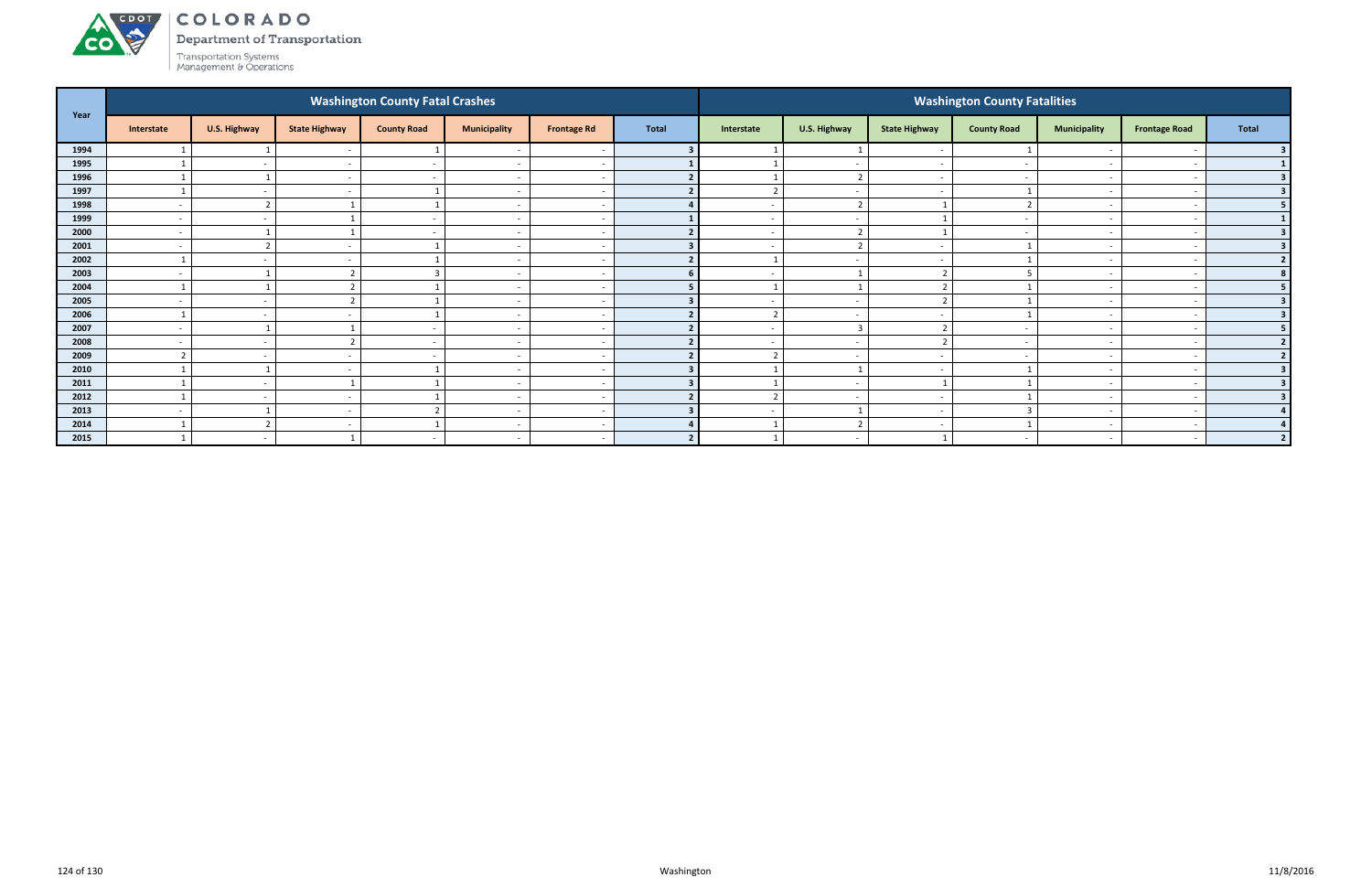Department of Transportation



|      |                          |                          |                          | <b>Washington County Fatal Crashes</b> |                          |                          |              |                         |                          |                          | <b>Washington County Fatalities</b> |                          |                          |                         |
|------|--------------------------|--------------------------|--------------------------|----------------------------------------|--------------------------|--------------------------|--------------|-------------------------|--------------------------|--------------------------|-------------------------------------|--------------------------|--------------------------|-------------------------|
| Year | Interstate               | U.S. Highway             | <b>State Highway</b>     | <b>County Road</b>                     | <b>Municipality</b>      | <b>Frontage Rd</b>       | <b>Total</b> | Interstate              | U.S. Highway             | <b>State Highway</b>     | <b>County Road</b>                  | <b>Municipality</b>      | <b>Frontage Road</b>     | <b>Total</b>            |
| 1994 |                          |                          |                          |                                        |                          |                          |              |                         |                          |                          |                                     |                          |                          | 3 <sup>1</sup>          |
| 1995 |                          | $\sim$                   | $\overline{\phantom{a}}$ | $\sim$                                 | $\overline{\phantom{a}}$ | $\sim$                   |              |                         | $\sim$                   | $\overline{\phantom{a}}$ | $\overline{\phantom{a}}$            | $\overline{\phantom{0}}$ | $\overline{\phantom{a}}$ | 1 <sub>1</sub>          |
| 1996 |                          |                          |                          |                                        | $\overline{\phantom{a}}$ |                          |              |                         | $\overline{2}$           |                          |                                     |                          |                          | 3 <sup>1</sup>          |
| 1997 |                          | $\sim$                   |                          |                                        | $\overline{\phantom{a}}$ |                          |              | $\mathbf{r}$            | $\overline{\phantom{a}}$ |                          |                                     |                          |                          | 3 <sup>1</sup>          |
| 1998 | $\overline{\phantom{a}}$ | $\overline{2}$           |                          |                                        | $\overline{\phantom{a}}$ | $\overline{\phantom{a}}$ |              |                         | $\overline{2}$           |                          |                                     | $\overline{\phantom{0}}$ |                          | 5 <sub>1</sub>          |
| 1999 | $\overline{\phantom{0}}$ | $\overline{\phantom{a}}$ |                          |                                        | $\overline{\phantom{0}}$ |                          |              |                         | $\overline{\phantom{a}}$ |                          |                                     | $\overline{\phantom{0}}$ |                          | 1                       |
| 2000 | $\overline{a}$           |                          |                          | $\sim$                                 | $\overline{\phantom{a}}$ | . —                      |              | $\sim$                  | $\overline{2}$           |                          | $\overline{\phantom{a}}$            |                          | $\overline{\phantom{a}}$ | 3 <sup>1</sup>          |
| 2001 | $\overline{\phantom{0}}$ | $\overline{2}$           |                          |                                        | $\overline{\phantom{a}}$ | - -                      |              |                         | $\overline{2}$           | $\overline{\phantom{a}}$ |                                     | $\overline{\phantom{0}}$ |                          | 3 <sup>1</sup>          |
| 2002 |                          | $\sim$                   |                          |                                        | $\overline{\phantom{0}}$ |                          |              |                         | $\overline{\phantom{a}}$ |                          |                                     | $\overline{\phantom{0}}$ |                          | 2 <sub>1</sub>          |
| 2003 | $\overline{\phantom{a}}$ |                          |                          |                                        | $\overline{\phantom{a}}$ | $\overline{\phantom{a}}$ |              |                         |                          |                          |                                     | $\overline{\phantom{a}}$ |                          | 8 <sup>1</sup>          |
| 2004 |                          |                          |                          |                                        |                          |                          |              |                         |                          |                          |                                     |                          |                          | 5 <sub>1</sub>          |
| 2005 | $\overline{\phantom{a}}$ | $\sim$                   |                          |                                        | $\overline{\phantom{a}}$ | . —                      |              | $\sim$                  | $\sim$                   | ຳ                        |                                     | $\overline{\phantom{a}}$ | $\overline{\phantom{a}}$ | 3 <sup>1</sup>          |
| 2006 |                          | $\sim$                   |                          |                                        | $\overline{\phantom{a}}$ | - -                      |              | $\overline{2}$          | $\overline{\phantom{a}}$ | $\overline{\phantom{a}}$ |                                     | $\overline{\phantom{0}}$ |                          | 3 <sup>1</sup>          |
| 2007 | $\overline{\phantom{0}}$ |                          |                          |                                        | $\overline{\phantom{a}}$ |                          |              |                         | $\overline{3}$           | $\mathbf{\Gamma}$        |                                     |                          |                          | 5 <sub>1</sub>          |
| 2008 | $\overline{\phantom{a}}$ | $\sim$                   |                          | $\sim$                                 | $\overline{\phantom{a}}$ |                          |              |                         | $\sim$                   | ຳ                        |                                     | $\overline{\phantom{a}}$ |                          | 2                       |
| 2009 |                          | $\sim$                   |                          |                                        |                          |                          |              |                         | $\overline{\phantom{a}}$ |                          |                                     |                          |                          | 2 <sup>1</sup>          |
| 2010 |                          |                          | $\overline{\phantom{a}}$ |                                        | $\overline{\phantom{a}}$ | <u>т</u>                 |              |                         | $\overline{\phantom{0}}$ | $\overline{\phantom{a}}$ |                                     |                          | $\overline{\phantom{a}}$ | 3 <sup>1</sup>          |
| 2011 |                          | $\sim$                   |                          |                                        | $\overline{\phantom{a}}$ | - -                      |              |                         | $\overline{\phantom{a}}$ |                          |                                     | $\overline{\phantom{0}}$ |                          | $\overline{\mathbf{3}}$ |
| 2012 |                          | $\sim$                   |                          |                                        | $\overline{\phantom{a}}$ |                          |              | $\mathbf{\overline{a}}$ | $\overline{\phantom{a}}$ |                          |                                     |                          |                          |                         |
| 2013 | $\overline{\phantom{a}}$ |                          |                          |                                        | $\overline{\phantom{a}}$ |                          |              |                         |                          |                          |                                     |                          |                          |                         |
| 2014 |                          | $\overline{2}$           |                          |                                        | $\overline{\phantom{a}}$ | - -                      |              |                         |                          |                          |                                     |                          |                          |                         |
| 2015 |                          | $\sim$                   |                          | $\sim$                                 | $\overline{\phantom{a}}$ | $\sim$                   |              |                         | $\overline{\phantom{a}}$ |                          |                                     | $\overline{\phantom{0}}$ | $\overline{\phantom{0}}$ | 2 <sup>1</sup>          |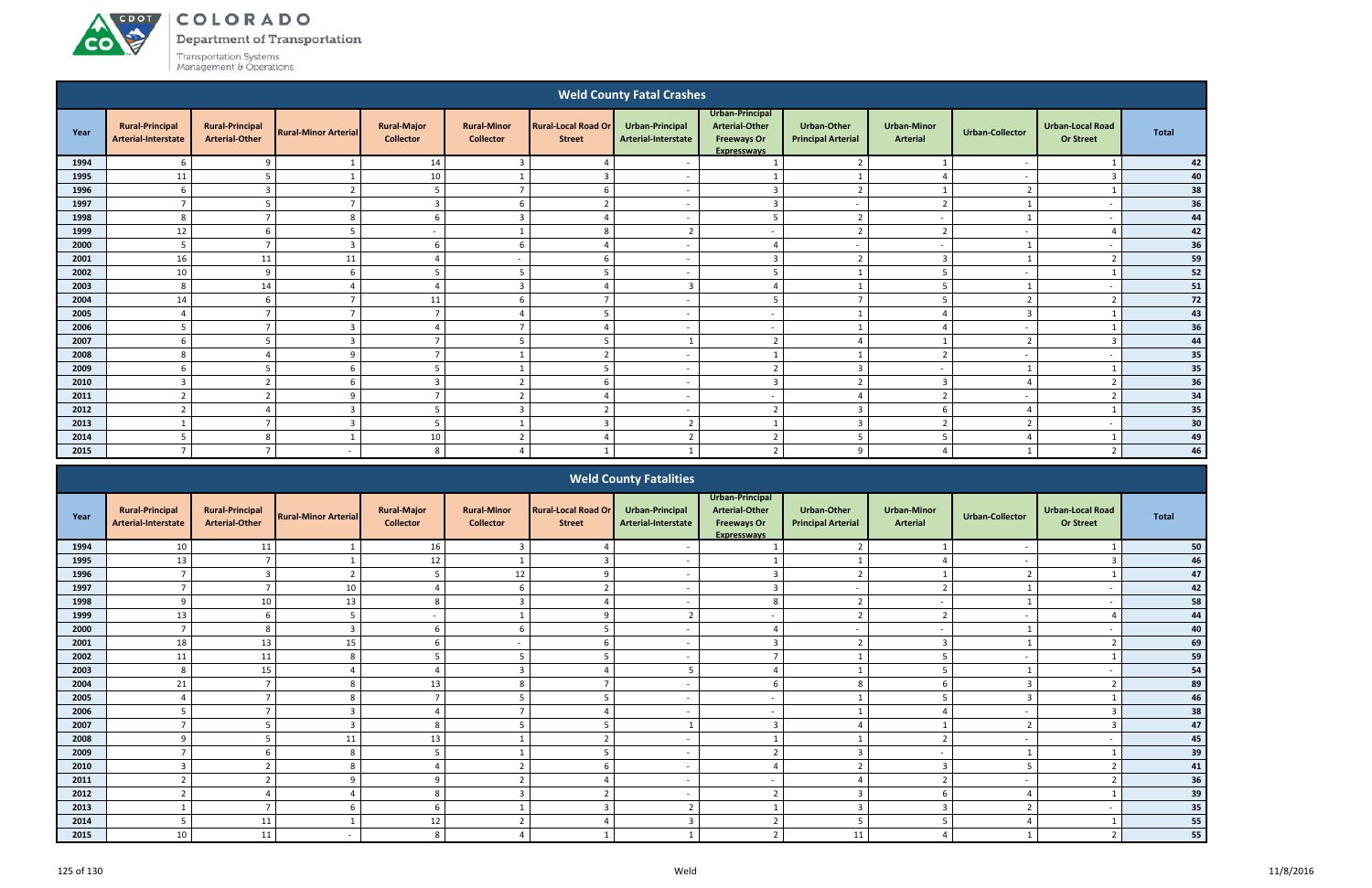ACDOT

**CO** 

Department of Transportation

| <b>Weld County Fatal Crashes</b> |                                               |                                                 |                             |                                        |                                        |                                             |                                        |                                                                                      |                                                 |                                |                          |                                             |              |
|----------------------------------|-----------------------------------------------|-------------------------------------------------|-----------------------------|----------------------------------------|----------------------------------------|---------------------------------------------|----------------------------------------|--------------------------------------------------------------------------------------|-------------------------------------------------|--------------------------------|--------------------------|---------------------------------------------|--------------|
| Year                             | <b>Rural-Principal</b><br>Arterial-Interstate | <b>Rural-Principal</b><br><b>Arterial-Other</b> | <b>Rural-Minor Arterial</b> | <b>Rural-Major</b><br><b>Collector</b> | <b>Rural-Minor</b><br><b>Collector</b> | <b>Rural-Local Road Or</b><br><b>Street</b> | Urban-Principal<br>Arterial-Interstate | Urban-Principal<br><b>Arterial-Other</b><br><b>Freeways Or</b><br><b>Expresswavs</b> | <b>Urban-Other</b><br><b>Principal Arterial</b> | <b>Urban-Minor</b><br>Arterial | <b>Urban-Collector</b>   | <b>Urban-Local Road</b><br><b>Or Street</b> | <b>Total</b> |
| 1994                             | 6                                             | 9                                               |                             | 14                                     | $\overline{3}$                         |                                             |                                        |                                                                                      | $\overline{2}$                                  |                                |                          |                                             | 42           |
| 1995                             | $11\,$                                        | 5                                               |                             | 10                                     |                                        | 3                                           | $\overline{\phantom{a}}$               |                                                                                      |                                                 | ⊿                              | $\overline{\phantom{a}}$ | $\mathbf{3}$                                | 40           |
| 1996                             | 6                                             | $\overline{3}$                                  | $\overline{2}$              | - 5                                    | $\overline{7}$                         | b                                           | $\sim$                                 | $\overline{\mathbf{3}}$                                                              | $\overline{2}$                                  |                                | $\overline{z}$           |                                             | 38           |
| 1997                             | $\overline{7}$                                | 5                                               | $\overline{ }$              | $\overline{\mathbf{3}}$                | 6                                      | $\mathcal{D}$                               | $\sim$                                 | $\overline{3}$                                                                       | $\overline{a}$                                  | $\overline{2}$                 |                          | $\overline{a}$                              | 36           |
| 1998                             | 8                                             | $\overline{ }$                                  | 8                           | 6                                      | $\overline{3}$                         |                                             | $\overline{\phantom{a}}$               | -5                                                                                   | $\overline{2}$                                  | $\overline{a}$                 |                          | $\overline{a}$                              | 44           |
| 1999                             | 12                                            | 6                                               | 5                           | $\sim$                                 |                                        | 8                                           | $\overline{z}$                         | $\overline{\phantom{a}}$                                                             | $\overline{2}$                                  | $\overline{2}$                 | $\overline{\phantom{a}}$ |                                             | 42           |
| 2000                             | 5                                             | $\overline{ }$                                  | $\overline{3}$              | 6                                      | 6                                      |                                             | $\overline{\phantom{a}}$               | $\Delta$                                                                             | $\sim$                                          | $\sim$                         |                          | $\overline{a}$                              | 36           |
| 2001                             | 16                                            | $11\,$                                          | 11                          | $\Delta$                               | $\sim$                                 |                                             | $\sim$                                 | $\overline{3}$                                                                       | $\overline{2}$                                  | $\overline{\mathbf{3}}$        |                          | ຳ                                           | 59           |
| 2002                             | 10                                            | 9                                               | 6                           | - 5                                    | 5                                      | -5                                          | $\sim$                                 | - 5                                                                                  | $\overline{ }$                                  | 5                              |                          |                                             | ${\bf 52}$   |
| 2003                             | -8                                            | 14                                              |                             | $\Delta$                               | $\overline{3}$                         |                                             | $\overline{3}$                         | $\Delta$                                                                             |                                                 | 5                              |                          | $\overline{a}$                              | ${\bf 51}$   |
| 2004                             | 14                                            | 6                                               | $\overline{7}$              | 11                                     | 6                                      | $\mathbf{z}$                                | $\sim$                                 | 5                                                                                    | $\overline{7}$                                  | 5                              | ົາ                       | $\overline{2}$                              | 72           |
| 2005                             | $\Delta$                                      | $\overline{ }$                                  | $\overline{7}$              | $\overline{7}$                         | $\overline{a}$                         | 5                                           | $\overline{\phantom{a}}$               | $\overline{a}$                                                                       | $\mathbf{1}$                                    | ⊿                              | $\mathbf{R}$             |                                             | 43           |
| 2006                             | 5                                             | $\overline{ }$                                  | $\overline{3}$              | $\Delta$                               | $\overline{ }$                         |                                             | $\overline{\phantom{a}}$               | $\overline{a}$                                                                       |                                                 | $\Lambda$                      | $\overline{\phantom{a}}$ |                                             | 36           |
| 2007                             | 6                                             | 5                                               | $\overline{3}$              | $\overline{7}$                         | 5                                      |                                             |                                        | $\overline{2}$                                                                       | $\overline{4}$                                  |                                | $\overline{\phantom{a}}$ | $\mathbf{3}$                                | 44           |
| 2008                             | 8                                             | Δ                                               | $\mathbf{q}$                | $\overline{ }$                         |                                        | $\overline{z}$                              | $\overline{\phantom{a}}$               |                                                                                      | $\mathbf{1}$                                    | $\overline{2}$                 | $\sim$                   | $\sim$                                      | 35           |
| 2009                             | 6                                             | 5                                               | 6                           | 5                                      |                                        |                                             | $\overline{\phantom{a}}$               | $\overline{\phantom{a}}$                                                             | $\overline{3}$                                  | $\sim$                         |                          |                                             | 35           |
| 2010                             | $\overline{3}$                                | $\overline{2}$                                  | 6                           | $\overline{\mathbf{3}}$                | $\overline{2}$                         |                                             | $\sim$                                 | $\overline{3}$                                                                       | $\overline{2}$                                  | $\overline{\mathbf{3}}$        |                          | $\overline{2}$                              | 36           |
| 2011                             | $\overline{2}$                                | ຳ                                               | 9                           | $\overline{ }$                         | $\overline{2}$                         |                                             | $\sim$                                 | $\overline{\phantom{a}}$                                                             | $\overline{4}$                                  | $\overline{2}$                 | $\overline{\phantom{a}}$ |                                             | 34           |
| 2012                             | $\overline{\phantom{a}}$                      | $\Delta$                                        | $\overline{\mathbf{3}}$     | -5                                     | $\overline{3}$                         | $\mathcal{D}$                               | $\sim$                                 | $\overline{2}$                                                                       | $\overline{3}$                                  | -6                             | Δ                        |                                             | 35           |
| 2013                             |                                               | $\overline{7}$                                  | $\overline{3}$              | - 5                                    | $\mathbf{1}$                           | 3                                           | $\overline{2}$                         | $\overline{\mathbf{1}}$                                                              | $\overline{3}$                                  | $\overline{2}$                 | $\mathbf{r}$             | $\overline{a}$                              | 30           |
| 2014                             | 5                                             | 8                                               |                             | 10                                     | $\overline{2}$                         |                                             | ຳ                                      | $\overline{2}$                                                                       | 5                                               | -5                             |                          |                                             | 49           |
| 2015                             | $\overline{7}$                                | $\overline{\phantom{a}}$                        | $\overline{\phantom{a}}$    | 8                                      | $\overline{4}$                         |                                             |                                        | $\overline{2}$                                                                       | 9                                               | $\overline{4}$                 |                          | $\overline{2}$                              | 46           |

|      |                                               |                                                 |                             |                                        |                                        |                                             | <b>Weld County Fatalities</b>                 |                                                                                      |                                                 |                                       |                         |                                             |              |
|------|-----------------------------------------------|-------------------------------------------------|-----------------------------|----------------------------------------|----------------------------------------|---------------------------------------------|-----------------------------------------------|--------------------------------------------------------------------------------------|-------------------------------------------------|---------------------------------------|-------------------------|---------------------------------------------|--------------|
| Year | <b>Rural-Principal</b><br>Arterial-Interstate | <b>Rural-Principal</b><br><b>Arterial-Other</b> | <b>Rural-Minor Arterial</b> | <b>Rural-Major</b><br><b>Collector</b> | <b>Rural-Minor</b><br><b>Collector</b> | <b>Rural-Local Road Or</b><br><b>Street</b> | <b>Urban-Principal</b><br>Arterial-Interstate | Urban-Principal<br><b>Arterial-Other</b><br><b>Freeways Or</b><br><b>Expresswavs</b> | <b>Urban-Other</b><br><b>Principal Arterial</b> | <b>Urban-Minor</b><br><b>Arterial</b> | <b>Urban-Collector</b>  | <b>Urban-Local Road</b><br><b>Or Street</b> | <b>Total</b> |
| 1994 | 10                                            | 11                                              |                             | 16                                     |                                        |                                             |                                               |                                                                                      | $\overline{2}$                                  |                                       |                         |                                             | 50           |
| 1995 | 13                                            |                                                 |                             | 12                                     |                                        |                                             |                                               |                                                                                      |                                                 |                                       |                         |                                             | 46           |
| 1996 |                                               |                                                 |                             | -5                                     | 12                                     |                                             | $\overline{\phantom{0}}$                      |                                                                                      | 2                                               |                                       | $\mathbf{\overline{1}}$ |                                             | 47           |
| 1997 | $\overline{ }$                                |                                                 | 10                          |                                        | h                                      |                                             |                                               |                                                                                      | $\overline{\phantom{0}}$                        | ຳ                                     |                         |                                             | 42           |
| 1998 | 9                                             | 10                                              | 13                          | 8                                      | $\mathbf{3}$                           |                                             |                                               | $\circ$                                                                              | $\overline{2}$                                  | $\overline{\phantom{a}}$              |                         |                                             | 58           |
| 1999 | 13                                            |                                                 |                             |                                        |                                        | $\Omega$                                    | $\mathbf{\cdot}$                              |                                                                                      | $\mathcal{L}$<br>∠                              | $\mathbf{\Omega}$                     |                         |                                             | 44           |
| 2000 |                                               | 8                                               |                             |                                        |                                        |                                             |                                               |                                                                                      | $\overline{a}$                                  | $\overline{\phantom{a}}$              |                         |                                             | 40           |
| 2001 | 18                                            | 13                                              | 15                          |                                        |                                        |                                             |                                               |                                                                                      | $\overline{2}$                                  | $\mathbf{3}$                          |                         |                                             | 69           |
| 2002 | 11                                            | 11                                              | 8                           |                                        |                                        |                                             |                                               |                                                                                      |                                                 |                                       |                         |                                             | 59           |
| 2003 | 8                                             | 15                                              |                             |                                        |                                        |                                             |                                               |                                                                                      |                                                 |                                       |                         |                                             | 54           |
| 2004 | 21                                            |                                                 |                             | 13                                     |                                        |                                             |                                               |                                                                                      |                                                 |                                       |                         |                                             | 89           |
| 2005 |                                               |                                                 | 8                           |                                        |                                        |                                             |                                               | $\overline{\phantom{a}}$                                                             |                                                 |                                       |                         |                                             | 46           |
| 2006 | -5                                            |                                                 |                             |                                        | $\overline{ }$                         |                                             |                                               |                                                                                      |                                                 |                                       |                         |                                             | 38           |
| 2007 |                                               |                                                 |                             | 8                                      |                                        |                                             |                                               |                                                                                      |                                                 |                                       |                         |                                             | 47           |
| 2008 | $\mathbf{q}$                                  |                                                 | 11                          | 13                                     |                                        |                                             |                                               |                                                                                      |                                                 |                                       |                         |                                             | 45           |
| 2009 |                                               |                                                 | 8                           |                                        |                                        |                                             | $\blacksquare$                                |                                                                                      | $\overline{3}$                                  | $\overline{\phantom{a}}$              |                         |                                             | 39           |
| 2010 | $\mathbf{3}$                                  | ຳ                                               | 8                           |                                        | $\mathbf{r}$                           |                                             |                                               |                                                                                      | $\overline{2}$                                  | 3                                     |                         |                                             | 41           |
| 2011 |                                               |                                                 | $\Omega$                    | c                                      |                                        |                                             |                                               | $\overline{\phantom{0}}$                                                             |                                                 |                                       |                         |                                             | 36           |
| 2012 |                                               |                                                 |                             | 8                                      |                                        |                                             |                                               |                                                                                      | $\overline{3}$                                  | b                                     |                         |                                             | 39           |
| 2013 |                                               |                                                 |                             |                                        |                                        |                                             |                                               |                                                                                      | $\overline{3}$                                  |                                       |                         |                                             | 35           |
| 2014 | -5                                            | 11                                              |                             | 12                                     | $\overline{2}$                         |                                             |                                               |                                                                                      | -5                                              |                                       |                         |                                             | 55           |
| 2015 | 10                                            | 11                                              |                             | 8                                      |                                        |                                             |                                               |                                                                                      | 11                                              |                                       |                         |                                             | 55           |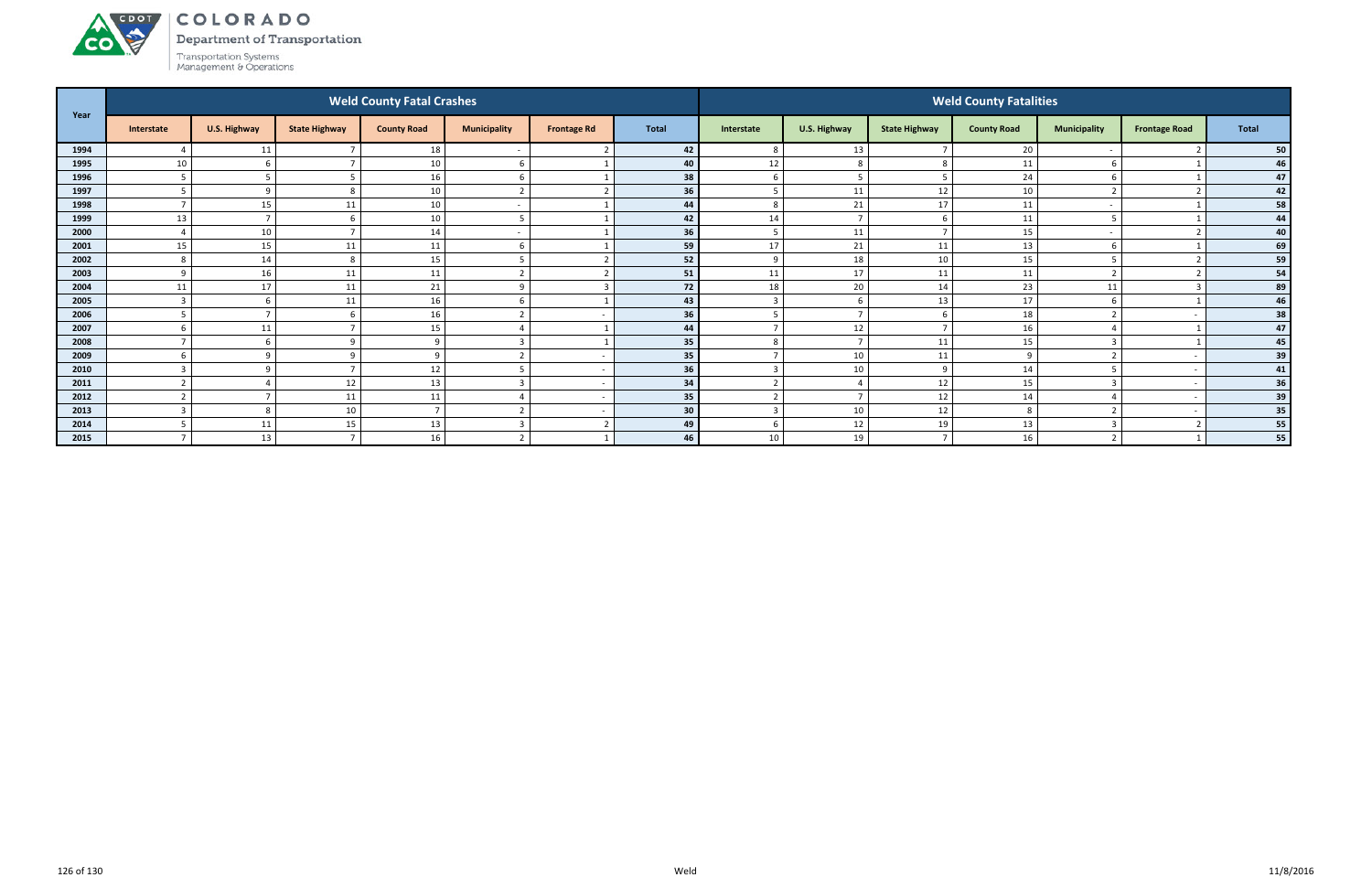Department of Transportation



ACDOL

|      |                |                          |                      | <b>Weld County Fatal Crashes</b> |                          |                          |              | <b>Weld County Fatalities</b> |                |                      |                    |                     |                      |       |  |  |
|------|----------------|--------------------------|----------------------|----------------------------------|--------------------------|--------------------------|--------------|-------------------------------|----------------|----------------------|--------------------|---------------------|----------------------|-------|--|--|
| Year | Interstate     | U.S. Highway             | <b>State Highway</b> | <b>County Road</b>               | <b>Municipality</b>      | <b>Frontage Rd</b>       | <b>Total</b> | Interstate                    | U.S. Highway   | <b>State Highway</b> | <b>County Road</b> | <b>Municipality</b> | <b>Frontage Road</b> | Total |  |  |
| 1994 |                | 11                       |                      | 18                               |                          |                          | 42           | 8                             | 13             |                      | 20                 |                     |                      | 50    |  |  |
| 1995 | 10             |                          |                      | 10                               | 6                        |                          | 40           | 12                            | 8              | Õ                    | 11                 | 6                   |                      | 46    |  |  |
| 1996 |                | 5                        |                      | 16                               | 6                        |                          | 38           | 6                             | -5             | 5                    | 24                 | 6                   |                      | 47    |  |  |
| 1997 | -5             | -9                       |                      | 10                               | $\overline{2}$           |                          | 36           | 5                             | 11             | 12                   | 10                 | $\overline{2}$      |                      | 42    |  |  |
| 1998 | $\overline{ }$ | 15                       | 11                   | 10                               | $\overline{\phantom{a}}$ |                          | 44           | 8                             | 21             | 17                   | 11                 |                     |                      | 58    |  |  |
| 1999 | 13             | $\overline{ }$           |                      | 10                               | 5                        |                          | 42           | 14                            | $\overline{7}$ |                      | 11                 | 5                   |                      | 44    |  |  |
| 2000 |                | 10                       |                      | 14                               | $\overline{\phantom{a}}$ |                          | 36           | 5                             | 11             |                      | 15                 |                     |                      | 40    |  |  |
| 2001 | 15             | 15                       | 11                   | 11                               | 6                        |                          | 59           | 17                            | 21             | 11                   | 13                 | 6                   |                      | 69    |  |  |
| 2002 | -8             | 14                       | $\circ$              | 15                               | $5\overline{5}$          |                          | 52           | 9                             | 18             | 10                   | 15                 | 5                   |                      | 59    |  |  |
| 2003 |                | 16                       | 11                   | 11                               | $\mathcal{L}$            |                          | 51           | 11                            | 17             | 11                   | 11                 | ຳ                   |                      | 54    |  |  |
| 2004 | 11             | 17                       | 11                   | 21                               | 9                        |                          | 72           | 18                            | 20             | 14                   | 23                 | 11                  |                      | 89    |  |  |
| 2005 | ຳ              | 6                        | 11                   | 16                               | 6                        |                          | 43           | ຳ                             | -6             | 13                   | 17                 | 6                   |                      | 46    |  |  |
| 2006 |                | $\overline{ }$           |                      | 16                               | $\mathcal{D}$            |                          | 36           | 5                             | $\overline{7}$ |                      | 18                 | $\overline{2}$      |                      | 38    |  |  |
| 2007 |                | 11                       |                      | 15                               | $\overline{4}$           |                          | 44           |                               | 12             |                      | 16                 | $\overline{4}$      |                      | 47    |  |  |
| 2008 |                | -6                       |                      | 9                                | $\mathbf{3}$             |                          | 35           | 8                             | $\overline{7}$ | 11                   | 15                 | 3                   |                      | 45    |  |  |
| 2009 |                | $\Omega$                 |                      | $\Omega$                         | $\overline{2}$           |                          | 35           |                               | 10             | 11                   | $\Omega$           | $\overline{2}$      |                      | 39    |  |  |
| 2010 |                | $\alpha$                 |                      | 12                               |                          |                          | 36           |                               | 10             | q                    | 14                 | 5                   |                      | 41    |  |  |
| 2011 | ຳ              | $\sqrt{ }$               | 12                   | 13                               | $\overline{3}$           |                          | 34           | ຳ                             | $\overline{4}$ | 12                   | 15                 | $\overline{3}$      |                      | 36    |  |  |
| 2012 | ຳ              | $\overline{\phantom{a}}$ | 11                   | 11                               | $\overline{4}$           | $\overline{\phantom{a}}$ | 35           | ຳ                             | $\overline{7}$ | 12                   | 14                 | $\overline{4}$      |                      | 39    |  |  |
| 2013 |                | 8                        | 10                   | $\overline{ }$                   | $\overline{2}$           |                          | 30           | 3                             | 10             | 12                   | 8                  | $\overline{2}$      |                      | 35    |  |  |
| 2014 |                | 11                       | 15                   | 13                               | $\overline{3}$           |                          | 49           | -6                            | 12             | 19                   | 13                 | 3                   |                      | 55    |  |  |
| 2015 | $\overline{ }$ | 13                       |                      | 16                               | $\overline{2}$           |                          | 46           | 10                            | 19             |                      | 16                 | $\overline{2}$      |                      | 55    |  |  |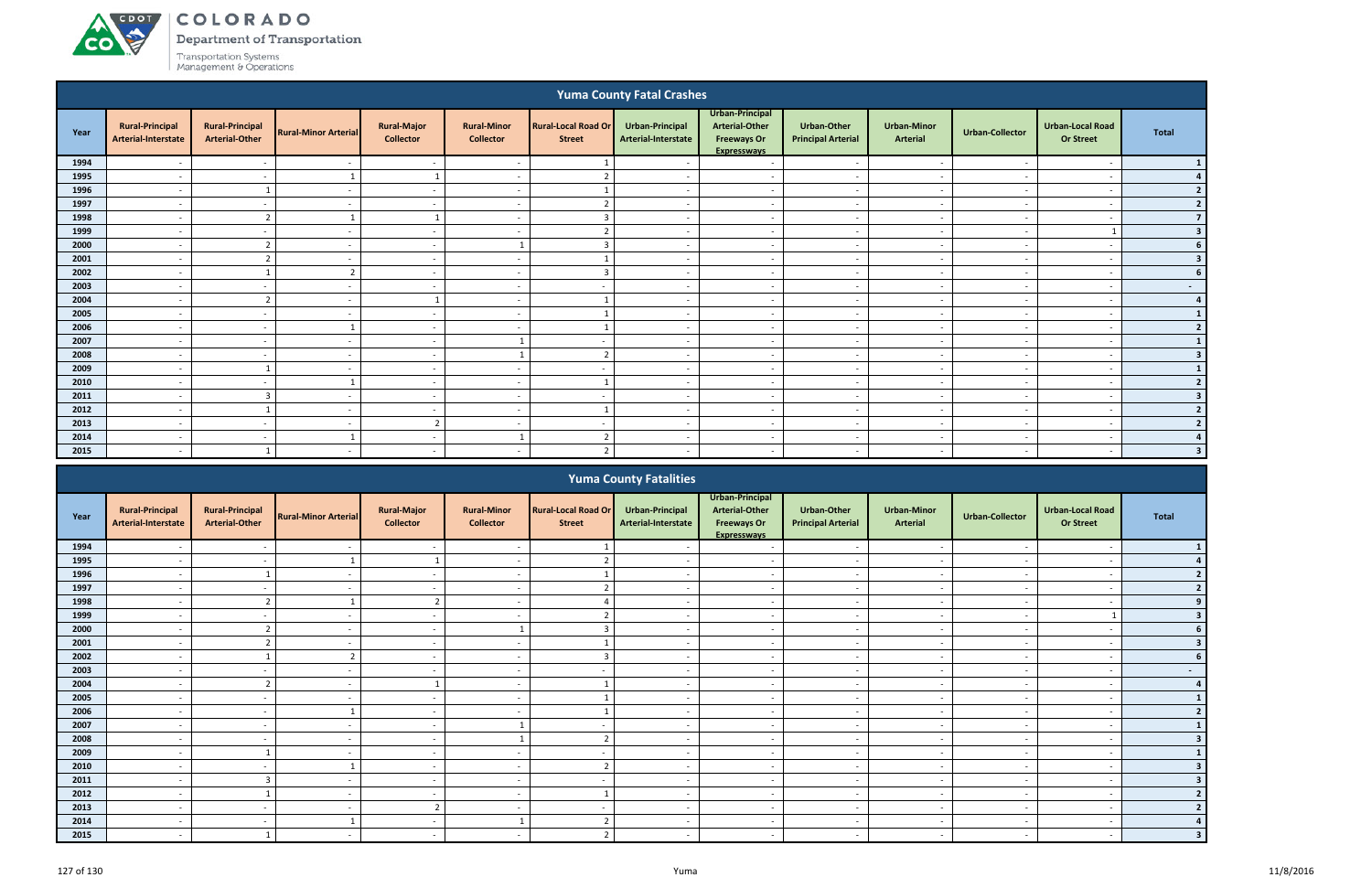**CO** 

Department of Transportation

| <b>Yuma County Fatal Crashes</b> |                                                                                                                                                                                                              |                                                 |                             |                                        |                                        |                                             |                                        |                                                                                      |                                          |                                |                          |                                             |                          |
|----------------------------------|--------------------------------------------------------------------------------------------------------------------------------------------------------------------------------------------------------------|-------------------------------------------------|-----------------------------|----------------------------------------|----------------------------------------|---------------------------------------------|----------------------------------------|--------------------------------------------------------------------------------------|------------------------------------------|--------------------------------|--------------------------|---------------------------------------------|--------------------------|
| Year                             | <b>Rural-Principal</b><br>Arterial-Interstate                                                                                                                                                                | <b>Rural-Principal</b><br><b>Arterial-Other</b> | <b>Rural-Minor Arterial</b> | <b>Rural-Major</b><br><b>Collector</b> | <b>Rural-Minor</b><br><b>Collector</b> | <b>Rural-Local Road Or</b><br><b>Street</b> | Urban-Principal<br>Arterial-Interstate | Urban-Principal<br><b>Arterial-Other</b><br><b>Freeways Or</b><br><b>Expresswavs</b> | Urban-Other<br><b>Principal Arterial</b> | <b>Urban-Minor</b><br>Arterial | <b>Urban-Collector</b>   | <b>Urban-Local Road</b><br><b>Or Street</b> | <b>Total</b>             |
| 1994                             |                                                                                                                                                                                                              | $\overline{\phantom{a}}$                        | $\overline{\phantom{a}}$    | $\sim$                                 | $\overline{\phantom{a}}$               |                                             |                                        | $\sim$                                                                               | $\overline{\phantom{a}}$                 | $\overline{\phantom{a}}$       |                          |                                             |                          |
| 1995                             | $\overline{\phantom{a}}$                                                                                                                                                                                     | $\sim$                                          |                             | - 1                                    | $\overline{\phantom{a}}$               | $\mathcal{D}$                               | $\sim$                                 | $\overline{a}$                                                                       | $\overline{\phantom{a}}$                 | $\sim$                         | $\sim$                   | $\overline{\phantom{a}}$                    |                          |
| 1996                             | $\overline{a}$                                                                                                                                                                                               | $\mathbf{1}$                                    | $\overline{a}$              | $\sim$                                 | $\overline{a}$                         | $\mathbf{1}$                                | $\sim$                                 | $\sim$                                                                               | $\sim$                                   | $\sim$                         | $\sim$                   | $\overline{\phantom{a}}$                    | $\overline{2}$           |
| 1997                             | $\overline{\phantom{a}}$                                                                                                                                                                                     | $\sim$                                          | $\sim$                      | $\sim$                                 | $\overline{a}$                         | ຳ                                           | $\sim$                                 | $\overline{a}$                                                                       | $\overline{a}$                           | $\overline{\phantom{a}}$       | $\sim$                   | $\overline{\phantom{a}}$                    | $\overline{2}$           |
| 1998                             | $\overline{\phantom{a}}$                                                                                                                                                                                     | $\overline{2}$                                  |                             | $\overline{1}$                         | $\overline{\phantom{a}}$               | $\overline{3}$                              | $\overline{\phantom{a}}$               | $\sim$                                                                               | $\overline{\phantom{0}}$                 | $\sim$                         | $\overline{\phantom{a}}$ | $\overline{\phantom{a}}$                    | $\overline{7}$           |
|                                  | 1999<br>ຳ<br>$\sim$<br>$\overline{a}$<br>$\overline{\phantom{a}}$<br>$\sim$<br>$\sim$<br>$\overline{\phantom{a}}$<br>$\overline{\phantom{a}}$<br>$\overline{\phantom{a}}$<br>$\overline{\phantom{a}}$<br>- - |                                                 |                             |                                        |                                        |                                             |                                        |                                                                                      |                                          |                                |                          |                                             |                          |
| 2000                             |                                                                                                                                                                                                              | $\overline{2}$                                  | $\overline{\phantom{a}}$    | $\sim$                                 |                                        | 3                                           | $\overline{\phantom{a}}$               | $\overline{\phantom{a}}$                                                             | $\overline{\phantom{a}}$                 | $\overline{\phantom{a}}$       |                          | $\overline{\phantom{a}}$                    |                          |
| 2001                             | $\overline{\phantom{a}}$                                                                                                                                                                                     | $\overline{2}$                                  | $\overline{\phantom{a}}$    | $\sim$                                 | $\sim$ $-$                             |                                             | $\sim$                                 | $\sim$                                                                               | $\overline{\phantom{a}}$                 | $\sim$                         | $\sim$                   | $\overline{\phantom{a}}$                    | $\overline{\mathbf{3}}$  |
| 2002                             | $\overline{\phantom{a}}$                                                                                                                                                                                     |                                                 | $\overline{2}$              | $\sim$                                 | $\overline{\phantom{a}}$               | $\overline{3}$                              | $\sim$                                 | $\sim$                                                                               | $\overline{\phantom{a}}$                 | $\sim$                         | $\sim$                   | $\overline{\phantom{a}}$                    |                          |
| 2003                             | $\overline{\phantom{a}}$                                                                                                                                                                                     | $\sim$                                          | $\sim$                      | $\sim$                                 | $\overline{\phantom{a}}$               | $\sim$                                      | $\sim$                                 | $\overline{a}$                                                                       | $\sim$                                   | $\sim$                         | $\sim$                   | $\overline{\phantom{a}}$                    | $\sim$                   |
| 2004                             | $\overline{a}$                                                                                                                                                                                               | $\overline{2}$                                  | $\sim$                      |                                        | $\overline{a}$                         |                                             | $\sim$                                 | $\sim$                                                                               | $\overline{a}$                           | $\overline{\phantom{a}}$       | $\overline{\phantom{a}}$ | $\overline{\phantom{a}}$                    | $\overline{a}$           |
| 2005                             | $\overline{a}$                                                                                                                                                                                               | $\sim$                                          | $\overline{\phantom{a}}$    | $\sim$                                 | $\overline{\phantom{a}}$               |                                             | $\sim$                                 | $\sim$                                                                               | $\overline{a}$                           | $\sim$                         | $\overline{\phantom{a}}$ | $\overline{\phantom{a}}$                    |                          |
| 2006                             | $\overline{\phantom{a}}$                                                                                                                                                                                     | $\sim$                                          |                             | $\overline{\phantom{a}}$               | $\overline{a}$                         |                                             | $\overline{\phantom{a}}$               | $\sim$                                                                               | $\overline{\phantom{a}}$                 | $\sim$                         | $\overline{\phantom{a}}$ | $\overline{\phantom{a}}$                    | $\overline{2}$           |
| 2007                             | $\overline{\phantom{a}}$                                                                                                                                                                                     | $\overline{\phantom{a}}$                        | $\overline{\phantom{a}}$    | $\sim$                                 | $\mathbf{1}$                           | $\sim$                                      | $\sim$                                 | $\sim$                                                                               | $\overline{\phantom{a}}$                 | $\overline{\phantom{a}}$       | $\sim$                   | $\overline{\phantom{a}}$                    |                          |
| 2008                             | $\overline{\phantom{a}}$                                                                                                                                                                                     | $\sim$                                          | $\overline{\phantom{a}}$    | $\sim$                                 |                                        | $\overline{2}$                              | $\overline{\phantom{a}}$               | $\overline{a}$                                                                       | $\overline{\phantom{a}}$                 | $\overline{\phantom{a}}$       | $\overline{\phantom{a}}$ | $\overline{\phantom{a}}$                    | $\overline{\mathbf{3}}$  |
| 2009                             | $\overline{\phantom{a}}$                                                                                                                                                                                     |                                                 | $\overline{\phantom{a}}$    | $\sim$                                 | $\overline{\phantom{a}}$               | $\overline{\phantom{a}}$                    | $\sim$                                 | $\overline{\phantom{a}}$                                                             | $\overline{\phantom{a}}$                 | $\overline{\phantom{a}}$       | $\sim$                   | $\overline{\phantom{a}}$                    |                          |
| 2010                             | $\overline{a}$                                                                                                                                                                                               | $\sim$                                          |                             | $\overline{\phantom{a}}$               | $\overline{\phantom{a}}$               |                                             | $\sim$                                 | $\overline{\phantom{a}}$                                                             | $\overline{\phantom{a}}$                 | $\sim$                         | $\sim$                   | $\overline{\phantom{a}}$                    | $\overline{\phantom{a}}$ |
| 2011                             | $\overline{a}$                                                                                                                                                                                               | -3                                              | $\sim$                      | $\sim$                                 | $\overline{a}$                         | $\sim$                                      | $\sim$                                 | $\sim$                                                                               | $\sim$                                   | $\sim$                         | $\sim$                   | $\overline{\phantom{a}}$                    |                          |
| 2012                             | $\overline{\phantom{a}}$                                                                                                                                                                                     | $\mathbf{1}$                                    | $\sim$                      | $\sim$                                 | $\overline{a}$                         |                                             | $\overline{\phantom{a}}$               | $\sim$                                                                               | $\sim$                                   | $\sim$                         | $\overline{\phantom{a}}$ | $\overline{\phantom{a}}$                    |                          |
| 2013                             | $\overline{\phantom{a}}$                                                                                                                                                                                     | $\sim$                                          | $\overline{\phantom{a}}$    | $\overline{2}$                         | $\overline{a}$                         | $\sim$                                      | $\sim$                                 | $\sim$                                                                               | $\overline{\phantom{a}}$                 | $\overline{\phantom{a}}$       | $\sim$                   | $\overline{\phantom{a}}$                    |                          |
| 2014                             | $\overline{a}$                                                                                                                                                                                               | $\overline{\phantom{a}}$                        |                             | $\sim$                                 | $\mathbf{1}$                           | $\overline{2}$                              | $\sim$                                 | $\overline{a}$                                                                       | $\overline{\phantom{a}}$                 | $\overline{\phantom{a}}$       | $\sim$                   | $\overline{\phantom{a}}$                    |                          |
| 2015                             | $\overline{\phantom{0}}$                                                                                                                                                                                     |                                                 | $\sim$                      | $\sim$                                 | $\overline{\phantom{0}}$               | $\overline{2}$                              | $\sim$                                 | $\sim$                                                                               | $\overline{\phantom{a}}$                 | $\sim$                         | $\sim$                   | $\overline{\phantom{a}}$                    | $\overline{\mathbf{3}}$  |
|                                  |                                                                                                                                                                                                              |                                                 |                             |                                        |                                        |                                             | Vuma County Eatalities                 |                                                                                      |                                          |                                |                          |                                             |                          |

|      |                                               |                                                 |                             |                                        |                                        |                                             | <b>Yuma County Fatalities</b>          |                                                                                      |                                          |                                       |                          |                                             |                          |
|------|-----------------------------------------------|-------------------------------------------------|-----------------------------|----------------------------------------|----------------------------------------|---------------------------------------------|----------------------------------------|--------------------------------------------------------------------------------------|------------------------------------------|---------------------------------------|--------------------------|---------------------------------------------|--------------------------|
| Year | <b>Rural-Principal</b><br>Arterial-Interstate | <b>Rural-Principal</b><br><b>Arterial-Other</b> | <b>Rural-Minor Arterial</b> | <b>Rural-Major</b><br><b>Collector</b> | <b>Rural-Minor</b><br><b>Collector</b> | <b>Rural-Local Road Or</b><br><b>Street</b> | Urban-Principal<br>Arterial-Interstate | Urban-Principal<br><b>Arterial-Other</b><br><b>Freeways Or</b><br><b>Expresswavs</b> | Urban-Other<br><b>Principal Arterial</b> | <b>Urban-Minor</b><br><b>Arterial</b> | <b>Urban-Collector</b>   | <b>Urban-Local Road</b><br><b>Or Street</b> | Total                    |
| 1994 |                                               |                                                 |                             |                                        |                                        |                                             |                                        |                                                                                      |                                          |                                       |                          |                                             |                          |
| 1995 |                                               |                                                 |                             |                                        |                                        |                                             |                                        | $\overline{\phantom{a}}$                                                             |                                          |                                       |                          |                                             |                          |
| 1996 |                                               |                                                 |                             | $\sim$                                 | $\overline{\phantom{0}}$               |                                             | $\overline{\phantom{a}}$               | $\overline{\phantom{a}}$                                                             | $\overline{\phantom{a}}$                 | $\sim$                                |                          | $\overline{\phantom{a}}$                    |                          |
| 1997 |                                               |                                                 |                             | $\sim$                                 |                                        |                                             |                                        | $\overline{\phantom{a}}$                                                             | $\overline{\phantom{a}}$                 | $\overline{\phantom{a}}$              |                          | $\overline{\phantom{a}}$                    |                          |
| 1998 |                                               | $\overline{\phantom{a}}$                        |                             | <u>и</u>                               |                                        |                                             |                                        | $\overline{\phantom{a}}$                                                             | $\overline{\phantom{a}}$                 | $\overline{\phantom{0}}$              |                          |                                             |                          |
| 1999 | $\overline{\phantom{0}}$                      |                                                 |                             | $\sim$                                 | $\overline{\phantom{0}}$               |                                             |                                        | $\sim$                                                                               | $\overline{\phantom{a}}$                 | $\overline{\phantom{a}}$              |                          |                                             |                          |
| 2000 |                                               |                                                 |                             |                                        |                                        |                                             |                                        | $\overline{\phantom{a}}$                                                             | $\overline{\phantom{a}}$                 |                                       |                          |                                             |                          |
| 2001 | $\overline{\phantom{0}}$                      | ຳ                                               | $\sim$                      | $\sim$ $-$                             | $\overline{a}$                         |                                             | $\sim$                                 | $\sim$                                                                               | $\overline{\phantom{a}}$                 | $\sim$                                | $\overline{\phantom{a}}$ | $\overline{\phantom{a}}$                    |                          |
| 2002 |                                               |                                                 | $\overline{2}$              | $\sim$                                 |                                        | ຳ                                           |                                        | $\overline{\phantom{a}}$                                                             | $\overline{\phantom{a}}$                 | $\overline{\phantom{a}}$              |                          | $\overline{\phantom{a}}$                    |                          |
| 2003 |                                               |                                                 |                             | $\sim$                                 |                                        |                                             |                                        | $\overline{\phantom{0}}$                                                             | $\overline{\phantom{a}}$                 | $\overline{\phantom{a}}$              |                          | $\overline{\phantom{a}}$                    | $\overline{\phantom{0}}$ |
| 2004 |                                               | $\overline{\phantom{a}}$                        |                             |                                        |                                        |                                             |                                        | $\overline{\phantom{a}}$                                                             | $\overline{\phantom{a}}$                 |                                       |                          |                                             |                          |
| 2005 |                                               |                                                 |                             | $\sim$                                 |                                        |                                             |                                        | $\overline{\phantom{0}}$                                                             | $\overline{\phantom{a}}$                 | $\overline{\phantom{a}}$              |                          |                                             |                          |
| 2006 | $\overline{\phantom{0}}$                      | $\sim$                                          |                             | $\sim$                                 | $\sim$                                 |                                             | $\sim$                                 | $\sim$                                                                               | $\sim$                                   | $\overline{\phantom{a}}$              | $\sim$                   | $\overline{\phantom{a}}$                    |                          |
| 2007 |                                               |                                                 |                             | $\sim$                                 | $\overline{\mathbf{1}}$                |                                             |                                        | $\overline{\phantom{a}}$                                                             | $\sim$                                   | $\overline{\phantom{a}}$              |                          | $\overline{\phantom{a}}$                    |                          |
| 2008 |                                               | $\overline{\phantom{a}}$                        |                             | $\sim$                                 |                                        |                                             |                                        | $\overline{\phantom{a}}$                                                             | $\overline{\phantom{a}}$                 | $\overline{\phantom{a}}$              |                          | $\overline{\phantom{a}}$                    |                          |
| 2009 |                                               |                                                 |                             | $\sim$                                 |                                        |                                             |                                        | $\overline{\phantom{0}}$                                                             | $\overline{\phantom{a}}$                 | $\overline{\phantom{0}}$              |                          | $\overline{\phantom{a}}$                    |                          |
| 2010 |                                               |                                                 |                             | $\sim$                                 |                                        |                                             |                                        | $\overline{a}$                                                                       | $\overline{\phantom{a}}$                 | $\sim$                                |                          | $\overline{\phantom{a}}$                    |                          |
| 2011 | $\overline{\phantom{0}}$                      | $\overline{3}$                                  |                             | $\sim$                                 | $\overline{\phantom{0}}$               | $\sim$                                      | $\overline{\phantom{0}}$               | $\overline{\phantom{0}}$                                                             | $\overline{\phantom{a}}$                 | $\overline{\phantom{a}}$              |                          | $\overline{\phantom{a}}$                    |                          |
| 2012 |                                               |                                                 |                             |                                        |                                        |                                             |                                        | $\overline{\phantom{a}}$                                                             | $\overline{\phantom{a}}$                 | $\overline{\phantom{a}}$              |                          | $\overline{\phantom{a}}$                    |                          |
| 2013 | $\overline{\phantom{0}}$                      | $\sim$                                          |                             | ി                                      | $\overline{a}$                         | $\sim$                                      | $\overline{\phantom{a}}$               | $\sim$                                                                               | $\overline{\phantom{a}}$                 | $\overline{\phantom{a}}$              |                          | $\overline{\phantom{a}}$                    |                          |
| 2014 |                                               |                                                 |                             |                                        |                                        |                                             |                                        | $\overline{\phantom{0}}$                                                             |                                          |                                       |                          | $\overline{\phantom{a}}$                    |                          |
| 2015 | $\overline{\phantom{0}}$                      |                                                 |                             | $\sim$                                 |                                        |                                             |                                        | $\overline{\phantom{0}}$                                                             | $\overline{\phantom{a}}$                 | $\overline{\phantom{a}}$              |                          |                                             |                          |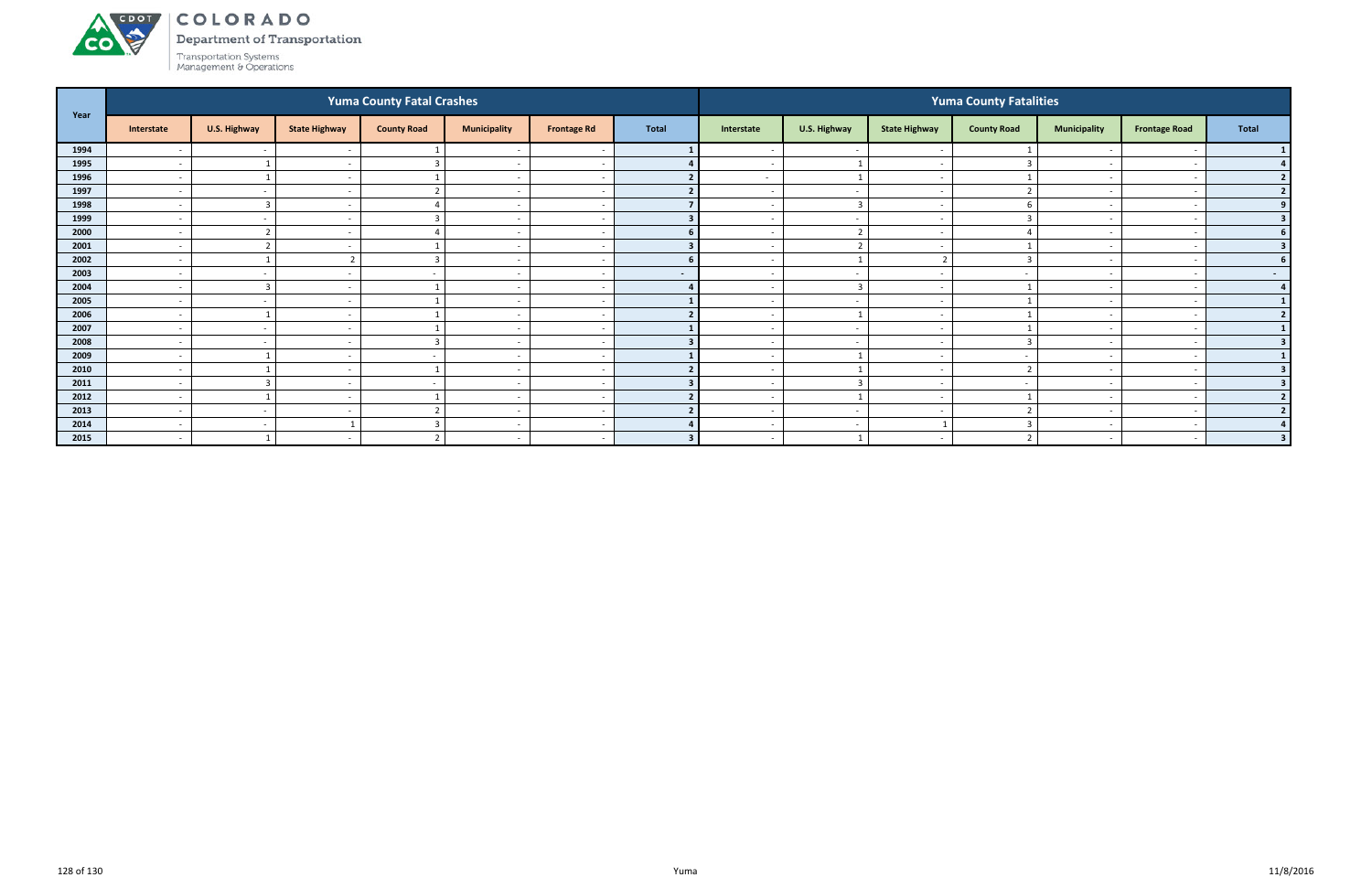

Department of Transportation

|      |                          |                         |                          | <b>Yuma County Fatal Crashes</b> |                          |                          |                          | <b>Yuma County Fatalities</b> |                          |                          |                    |                          |                      |                          |  |  |
|------|--------------------------|-------------------------|--------------------------|----------------------------------|--------------------------|--------------------------|--------------------------|-------------------------------|--------------------------|--------------------------|--------------------|--------------------------|----------------------|--------------------------|--|--|
| Year | Interstate               | U.S. Highway            | <b>State Highway</b>     | <b>County Road</b>               | <b>Municipality</b>      | <b>Frontage Rd</b>       | <b>Total</b>             | Interstate                    | U.S. Highway             | <b>State Highway</b>     | <b>County Road</b> | <b>Municipality</b>      | <b>Frontage Road</b> | <b>Total</b>             |  |  |
| 1994 | $\overline{\phantom{a}}$ | $\sim$                  |                          |                                  | $\overline{\phantom{a}}$ | - -                      |                          | $\sim$                        | $\overline{\phantom{a}}$ | $\overline{\phantom{a}}$ |                    |                          |                      |                          |  |  |
| 1995 | $\overline{\phantom{a}}$ |                         | $\overline{\phantom{a}}$ |                                  | $\overline{\phantom{a}}$ |                          |                          |                               |                          | $\overline{\phantom{a}}$ |                    |                          |                      |                          |  |  |
| 1996 | $\overline{\phantom{a}}$ |                         | $\overline{\phantom{a}}$ |                                  | $\overline{\phantom{a}}$ | $\overline{\phantom{a}}$ |                          | $\sim$                        | $\mathbf{1}$             | $\sim$                   |                    | $\sim$                   |                      | $\overline{2}$           |  |  |
| 1997 | $\overline{\phantom{a}}$ | $\sim$                  | $\overline{\phantom{a}}$ | $\mathbf{\overline{a}}$          | $\overline{\phantom{a}}$ | <u>т</u>                 |                          | $\sim$                        | $\sim$                   | $\overline{\phantom{a}}$ |                    |                          |                      |                          |  |  |
| 1998 | $\overline{\phantom{a}}$ | 3                       |                          |                                  | $\overline{\phantom{a}}$ |                          |                          |                               | $\overline{3}$           | $\sim$                   |                    |                          |                      |                          |  |  |
| 1999 | $\overline{\phantom{a}}$ | $\sim$                  |                          |                                  | $\overline{\phantom{a}}$ | $\sim$                   |                          | $\overline{\phantom{0}}$      | $\sim$                   | $\sim$                   |                    | $\overline{\phantom{0}}$ |                      | $\overline{\mathbf{3}}$  |  |  |
| 2000 | $\overline{\phantom{a}}$ | $\mathbf{\cdot}$        |                          |                                  | $\overline{\phantom{a}}$ |                          |                          |                               | $\overline{2}$           | . —                      |                    |                          |                      |                          |  |  |
| 2001 | $\overline{a}$           | $\mathbf{\overline{a}}$ |                          |                                  | $\overline{\phantom{a}}$ | - -                      |                          | $\sim$                        | $\overline{\phantom{a}}$ | $\sim$                   |                    | $\overline{\phantom{0}}$ |                      | 3                        |  |  |
| 2002 | $\overline{\phantom{a}}$ |                         |                          | 3                                | $\overline{\phantom{a}}$ | $\sim$                   | 6 <sup>1</sup>           | $\sim$                        | 1                        | ຳ                        | 3                  | $\overline{\phantom{0}}$ |                      | 6                        |  |  |
| 2003 | $\overline{\phantom{a}}$ | $\sim$                  |                          |                                  | $\overline{\phantom{a}}$ |                          | $\overline{\phantom{a}}$ | $\overline{\phantom{0}}$      | $\overline{a}$           | $\sim$                   |                    | $\overline{\phantom{0}}$ |                      | $\sim$ 100 $\mu$         |  |  |
| 2004 | $\overline{\phantom{a}}$ | $\overline{\mathbf{3}}$ | $\overline{\phantom{a}}$ |                                  | $\overline{\phantom{a}}$ | $\overline{\phantom{a}}$ |                          | $\overline{\phantom{0}}$      | $\overline{3}$           | $\sim$                   |                    |                          |                      |                          |  |  |
| 2005 | $\overline{\phantom{a}}$ | $\sim$                  |                          |                                  | $\overline{\phantom{0}}$ | <u>т</u>                 |                          |                               | $\overline{\phantom{a}}$ | <u>т</u>                 |                    |                          |                      |                          |  |  |
| 2006 | $\overline{\phantom{a}}$ |                         |                          |                                  | $\overline{\phantom{a}}$ |                          |                          |                               |                          | $\sim$                   |                    | $\overline{\phantom{0}}$ |                      | $\overline{\phantom{a}}$ |  |  |
| 2007 | $\overline{\phantom{a}}$ | $\sim$                  | $\overline{\phantom{a}}$ |                                  | $\overline{\phantom{a}}$ | $\overline{\phantom{a}}$ |                          | $\overline{\phantom{0}}$      | $\sim$                   | $\overline{\phantom{0}}$ |                    | $\overline{\phantom{a}}$ |                      |                          |  |  |
| 2008 | $\overline{\phantom{a}}$ | $\sim$                  | $\overline{\phantom{a}}$ | $\mathbf{\hat{z}}$               | $\overline{\phantom{a}}$ |                          |                          |                               | $\sim$                   | $\sim$                   |                    |                          |                      |                          |  |  |
| 2009 | $\overline{\phantom{a}}$ |                         | $\overline{\phantom{a}}$ |                                  | $\overline{\phantom{a}}$ | - -                      |                          | $\sim$                        |                          | $\sim$                   |                    | $\overline{\phantom{0}}$ |                      |                          |  |  |
| 2010 | $\overline{\phantom{a}}$ |                         |                          |                                  | $\overline{\phantom{a}}$ |                          |                          |                               |                          | $\overline{\phantom{a}}$ |                    | $\overline{\phantom{0}}$ |                      |                          |  |  |
| 2011 | $\overline{\phantom{a}}$ |                         |                          |                                  | $\overline{\phantom{a}}$ |                          |                          |                               |                          |                          |                    |                          |                      |                          |  |  |
| 2012 | $\overline{\phantom{a}}$ |                         | $\overline{a}$           |                                  | $\overline{\phantom{a}}$ | <u>т</u>                 |                          | $\sim$                        | $\mathbf{1}$             | $\sim$                   |                    | $\sim$                   |                      | $\overline{2}$           |  |  |
| 2013 | $\overline{\phantom{a}}$ | $\sim$                  | $\overline{\phantom{a}}$ | $\overline{\phantom{0}}$         | $\overline{\phantom{a}}$ | <u>т</u>                 |                          | $\sim$                        | $\sim$                   | $\sim$                   |                    | $\overline{\phantom{0}}$ |                      |                          |  |  |
| 2014 | $\overline{\phantom{a}}$ | $\sim$                  |                          | h                                | $\overline{\phantom{a}}$ | - -                      |                          | $\sim$                        | $\sim$                   |                          |                    |                          |                      |                          |  |  |
| 2015 | $\overline{\phantom{a}}$ |                         | $\overline{\phantom{a}}$ | ຳ                                | $\overline{\phantom{a}}$ | $\sim$                   |                          | $\sim$                        | - 1                      | $\sim$                   |                    | $\sim$                   |                      | $\overline{\mathbf{3}}$  |  |  |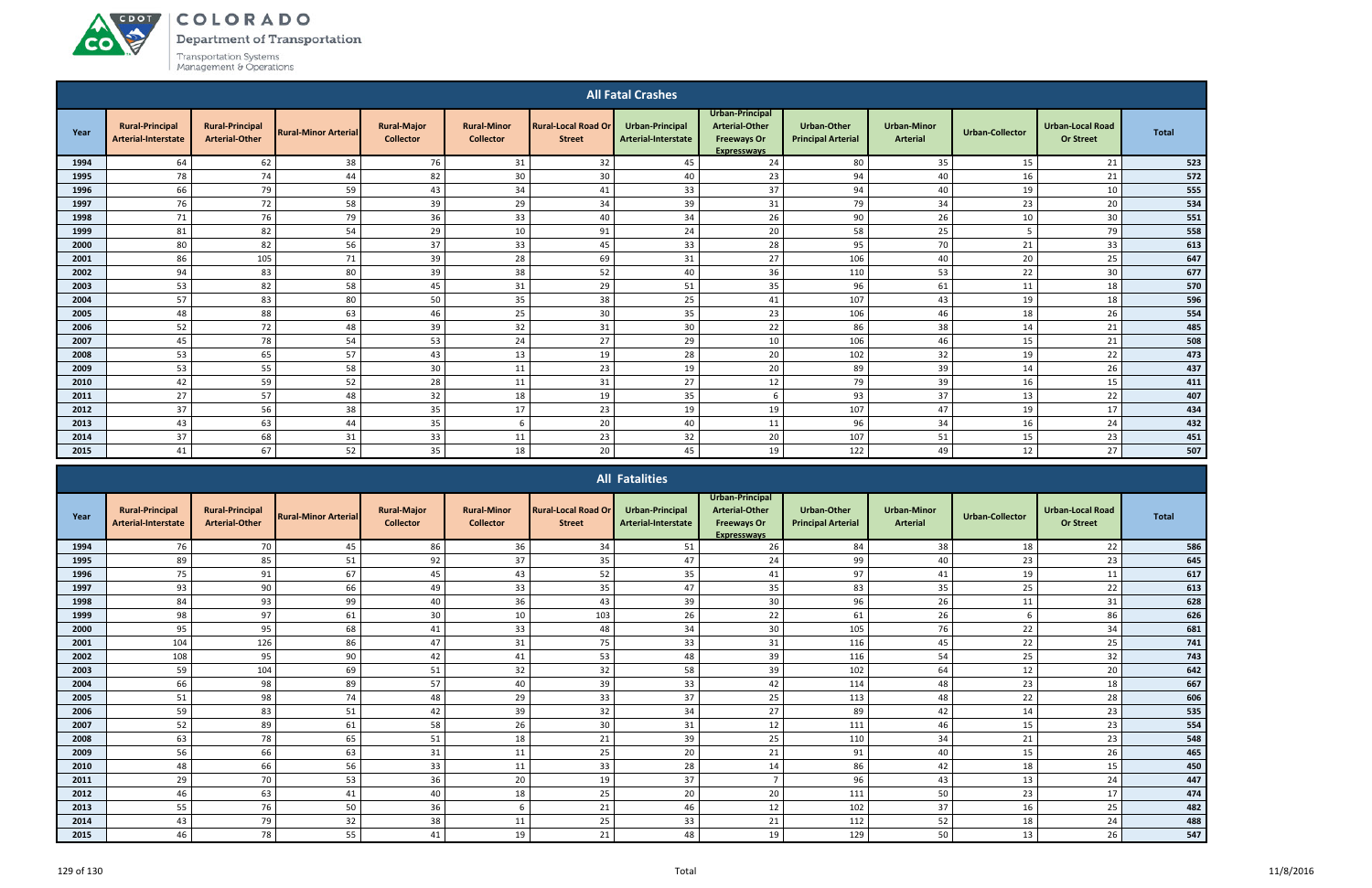ACDOT

**CO** 

Department of Transportation

|      |                                               |                                                 |                             |                                        |                                        |                                             | <b>All Fatal Crashes</b>                      |                                                                                      |                                                 |                                       |                        |                                             |              |
|------|-----------------------------------------------|-------------------------------------------------|-----------------------------|----------------------------------------|----------------------------------------|---------------------------------------------|-----------------------------------------------|--------------------------------------------------------------------------------------|-------------------------------------------------|---------------------------------------|------------------------|---------------------------------------------|--------------|
| Year | <b>Rural-Principal</b><br>Arterial-Interstate | <b>Rural-Principal</b><br><b>Arterial-Other</b> | <b>Rural-Minor Arterial</b> | <b>Rural-Maior</b><br><b>Collector</b> | <b>Rural-Minor</b><br><b>Collector</b> | <b>Rural-Local Road Or</b><br><b>Street</b> | <b>Urban-Principal</b><br>Arterial-Interstate | Urban-Principal<br><b>Arterial-Other</b><br><b>Freeways Or</b><br><b>Expresswavs</b> | <b>Urban-Other</b><br><b>Principal Arterial</b> | <b>Urban-Minor</b><br><b>Arterial</b> | <b>Urban-Collector</b> | <b>Urban-Local Road</b><br><b>Or Street</b> | <b>Total</b> |
| 1994 | 64                                            | 62                                              | 38                          | 76                                     | 31                                     | 32                                          | 45                                            | 24                                                                                   | 80                                              | 35                                    | 15                     | 21                                          | 523          |
| 1995 | 78                                            | 74                                              | 44                          | 82                                     | 30                                     | 30                                          | 40                                            | 23                                                                                   | 94                                              | 40                                    | 16                     | 21                                          | 572          |
| 1996 | 66                                            | 79                                              | 59                          | 43                                     | 34                                     | 41                                          | 33                                            | 37                                                                                   | 94                                              | 40                                    | 19                     | 10                                          | 555          |
| 1997 | 76                                            | 72                                              | 58                          | 39                                     | 29                                     | 34                                          | 39                                            | 31                                                                                   | 79                                              | 34                                    | 23                     | 20                                          | 534          |
| 1998 | 71                                            | 76                                              | 79                          | 36                                     | 33                                     | 40                                          | 34                                            | 26                                                                                   | 90                                              | 26                                    | 10                     | 30                                          | 551          |
| 1999 | 81                                            | 82                                              | 54                          | 29                                     | 10                                     | 91                                          | 24                                            | 20                                                                                   | 58                                              | 25                                    | -5                     | 79                                          | 558          |
| 2000 | 80                                            | 82                                              | 56                          | 37                                     | 33                                     | 45                                          | 33                                            | 28                                                                                   | 95                                              | 70                                    | 21                     | 33                                          | 613          |
| 2001 | 86                                            | 105                                             | 71                          | 39                                     | 28                                     | 69                                          | 31                                            | 27                                                                                   | 106                                             | 40                                    | 20                     | 25                                          | 647          |
| 2002 | 94                                            | 83                                              | 80                          | 39                                     | 38                                     | 52                                          | 40                                            | 36                                                                                   | 110                                             | 53                                    | 22                     | 30                                          | 677          |
| 2003 | 53                                            | 82                                              | 58                          | 45                                     | 31                                     | 29                                          | 51                                            | 35                                                                                   | 96                                              | 61                                    | 11                     | 18                                          | 570          |
| 2004 | 57                                            | 83                                              | 80                          | 50                                     | 35                                     | 38                                          | 25                                            | 41                                                                                   | 107                                             | 43                                    | 19                     | 18                                          | 596          |
| 2005 | 48                                            | 88                                              | 63                          | 46                                     | 25                                     | 30                                          | 35                                            | 23                                                                                   | 106                                             | 46                                    | 18                     | 26                                          | 554          |
| 2006 | 52                                            | 72                                              | 48                          | 39                                     | 32                                     | 31                                          | 30 <sup>°</sup>                               | 22                                                                                   | 86                                              | 38                                    | 14                     | 21                                          | 485          |
| 2007 | 45                                            | 78                                              | 54                          | 53                                     | 24                                     | 27                                          | 29                                            | 10                                                                                   | 106                                             | 46                                    | 15                     | 21                                          | 508          |
| 2008 | 53                                            | 65                                              | 57                          | 43                                     | 13                                     | 19                                          | 28                                            | 20                                                                                   | 102                                             | 32                                    | 19                     | 22                                          | 473          |
| 2009 | 53                                            | 55                                              | 58                          | 30                                     | 11                                     | 23                                          | 19                                            | 20                                                                                   | 89                                              | 39                                    | 14                     | 26                                          | 437          |
| 2010 | 42                                            | 59                                              | 52                          | 28                                     | 11                                     | 31                                          | 27                                            | 12                                                                                   | 79                                              | 39                                    | 16                     | 15                                          | 411          |
| 2011 | 27                                            | 57                                              | 48                          | 32                                     | 18                                     | 19                                          | 35                                            | 6                                                                                    | 93                                              | 37                                    | 13                     | 22                                          | 407          |
| 2012 | 37                                            | 56                                              | 38                          | 35                                     | 17                                     | 23                                          | 19                                            | 19                                                                                   | 107                                             | 47                                    | 19                     | 17                                          | 434          |
| 2013 | 43                                            | 63                                              | 44                          | 35                                     | 6                                      | 20                                          | 40                                            | 11                                                                                   | 96                                              | 34                                    | 16                     | 24                                          | 432          |
| 2014 | 37                                            | 68                                              | 31                          | 33                                     | 11                                     | 23                                          | 32                                            | 20                                                                                   | 107                                             | 51                                    | 15                     | 23                                          | 451          |
| 2015 | 41                                            | 67                                              | 52                          | 35                                     | 18                                     | 20                                          | 45                                            | 19                                                                                   | 122                                             | 49                                    | 12                     | 27                                          | 507          |

|      |                                                      |                                                 |                             |                                        |                                        |                                             | <b>All Fatalities</b>                         |                                                                                      |                                                 |                                       |                        |                                             |              |
|------|------------------------------------------------------|-------------------------------------------------|-----------------------------|----------------------------------------|----------------------------------------|---------------------------------------------|-----------------------------------------------|--------------------------------------------------------------------------------------|-------------------------------------------------|---------------------------------------|------------------------|---------------------------------------------|--------------|
| Year | <b>Rural-Principal</b><br><b>Arterial-Interstate</b> | <b>Rural-Principal</b><br><b>Arterial-Other</b> | <b>Rural-Minor Arterial</b> | <b>Rural-Major</b><br><b>Collector</b> | <b>Rural-Minor</b><br><b>Collector</b> | <b>Rural-Local Road Or</b><br><b>Street</b> | <b>Urban-Principal</b><br>Arterial-Interstate | Urban-Principal<br><b>Arterial-Other</b><br><b>Freeways Or</b><br><b>Expressways</b> | <b>Urban-Other</b><br><b>Principal Arterial</b> | <b>Urban-Minor</b><br><b>Arterial</b> | <b>Urban-Collector</b> | <b>Urban-Local Road</b><br><b>Or Street</b> | <b>Total</b> |
| 1994 | 76                                                   | 70                                              | 45                          | 86                                     | 36                                     | 34                                          | 51                                            | 26                                                                                   | 84                                              | 38                                    | 18                     | 22                                          | 586          |
| 1995 | 89                                                   | 85                                              | 51                          | 92                                     | 37                                     | 35                                          | 47                                            | 24                                                                                   | 99                                              | 40                                    | 23                     | 23                                          | 645          |
| 1996 | 75                                                   | 91                                              | 67                          | 45                                     | 43                                     | 52                                          | 35                                            | 41                                                                                   | 97                                              | 41                                    | 19                     | 11                                          | 617          |
| 1997 | 93                                                   | 90                                              | 66                          | 49                                     | 33                                     | 35                                          | 47                                            | 35                                                                                   | 83                                              | 35                                    | 25                     | 22                                          | 613          |
| 1998 | 84                                                   | 93                                              | 99                          | 40                                     | 36                                     | 43                                          | 39                                            | 30                                                                                   | 96                                              | 26                                    | 11                     | 31                                          | 628          |
| 1999 | 98                                                   | 97                                              | 61                          | 30                                     | 10                                     | 103                                         | 26                                            | 22                                                                                   | 61                                              | 26                                    |                        | 86                                          | 626          |
| 2000 | 95                                                   | 95                                              | 68                          | 41                                     | 33                                     | 48                                          | 34                                            | 30                                                                                   | 105                                             | 76                                    | 22                     | 34                                          | 681          |
| 2001 | 104                                                  | 126                                             | 86                          | 47                                     | 31                                     | 75                                          | 33                                            | 31                                                                                   | 116                                             | 45                                    | 22                     | 25                                          | 741          |
| 2002 | 108                                                  | 95                                              | 90                          | 42                                     | 41                                     | 53                                          | 48                                            | 39                                                                                   | 116                                             | 54                                    | 25                     | 32                                          | 743          |
| 2003 | 59                                                   | 104                                             | 69                          | 51                                     | 32                                     | 32                                          | 58                                            | 39                                                                                   | 102                                             | 64                                    | 12                     | 20                                          | 642          |
| 2004 | 66                                                   | 98                                              | 89                          | 57                                     | 40                                     | 39                                          | 33                                            | 42                                                                                   | 114                                             | 48                                    | 23                     | 18                                          | 667          |
| 2005 | 51                                                   | 98                                              | 74                          | 48                                     | 29                                     | 33                                          | 37                                            | 25                                                                                   | 113                                             | 48                                    | 22                     | 28                                          | 606          |
| 2006 | 59                                                   | 83                                              | 51                          | 42                                     | 39                                     | 32                                          | 34                                            | 27                                                                                   | 89                                              | 42                                    | 14                     | 23                                          | 535          |
| 2007 | 52                                                   | 89                                              | 61                          | 58                                     | 26                                     | 30                                          | 31                                            | 12                                                                                   | 111                                             | 46                                    | 15                     | 23                                          | 554          |
| 2008 | 63                                                   | 78                                              | 65                          | 51                                     | 18                                     | 21                                          | 39                                            | 25                                                                                   | 110                                             | 34                                    | 21                     | 23                                          | 548          |
| 2009 | 56                                                   | 66                                              | 63                          | 31                                     | 11                                     | 25                                          | 20                                            | 21                                                                                   | 91                                              | 40                                    | 15                     | 26                                          | 465          |
| 2010 | 48                                                   | 66                                              | 56                          | 33                                     | 11                                     | 33                                          | 28                                            | 14                                                                                   | 86                                              | 42                                    | 18                     | 15                                          | 450          |
| 2011 | 29                                                   | 70                                              | 53                          | 36                                     | 20                                     | 19                                          | 37                                            |                                                                                      | 96                                              | 43                                    | 13                     | 24                                          | 447          |
| 2012 | 46                                                   | 63                                              | 41                          | 40                                     | 18                                     | 25                                          | 20                                            | 20                                                                                   | 111                                             | 50                                    | 23                     | 17                                          | 474          |
| 2013 | 55                                                   | 76                                              | 50                          | 36                                     | 6                                      | 21                                          | 46                                            | 12                                                                                   | 102                                             | 37                                    | 16                     | 25                                          | 482          |
| 2014 | 43                                                   | 79                                              | 32                          | 38                                     | 11                                     | 25                                          | 33                                            | 21                                                                                   | 112                                             | 52                                    | 18                     | 24                                          | 488          |
| 2015 | 46                                                   | 78                                              | 55                          | 41                                     | 19                                     | 21                                          | 48                                            | 19                                                                                   | 129                                             | 50                                    | 13                     | 26                                          | 547          |